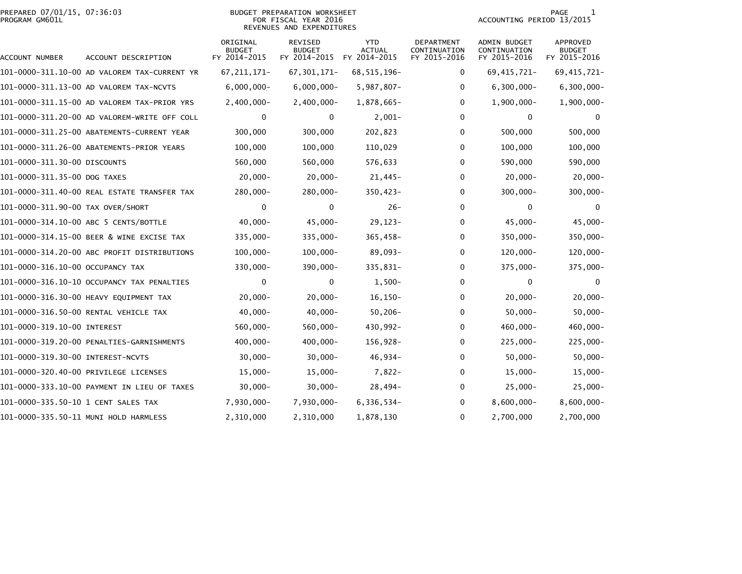# PREPARED 07/01/15, 07:36:03<br>PROGRAM GM601L

## BUDGET PREPARATION WORKSHEET<br>FOR FISCAL YEAR 2016 REVENUES AND EXPENDITURES

PAGE 1<br>ACCOUNTING PERIOD 13/2015

| ACCOUNT NUMBER                    | ACCOUNT DESCRIPTION                          | ORIGINAL<br><b>BUDGET</b><br>FY 2014-2015 | <b>REVISED</b><br><b>BUDGET</b><br>FY 2014-2015 | <b>YTD</b><br><b>ACTUAL</b><br>FY 2014-2015 | <b>DEPARTMENT</b><br>CONTINUATION<br>FY 2015-2016 | <b>ADMIN BUDGET</b><br>CONTINUATION<br>FY 2015-2016 | <b>APPROVED</b><br><b>BUDGET</b><br>FY 2015-2016 |
|-----------------------------------|----------------------------------------------|-------------------------------------------|-------------------------------------------------|---------------------------------------------|---------------------------------------------------|-----------------------------------------------------|--------------------------------------------------|
|                                   | 101-0000-311.10-00 AD VALOREM TAX-CURRENT YR | 67, 211, 171-                             | 67, 301, 171-                                   | 68, 515, 196-                               | 0                                                 | 69, 415, 721-                                       | 69, 415, 721-                                    |
|                                   | 101-0000-311.13-00 AD VALOREM TAX-NCVTS      | $6,000,000 -$                             | $6,000,000 -$                                   | $5,987,807 -$                               | 0                                                 | $6,300,000 -$                                       | $6,300,000 -$                                    |
|                                   | 101-0000-311.15-00 AD VALOREM TAX-PRIOR YRS  | $2,400,000 -$                             | $2,400,000 -$                                   | 1,878,665-                                  | 0                                                 | $1,900,000 -$                                       | $1,900,000 -$                                    |
|                                   | 101-0000-311.20-00 AD VALOREM-WRITE OFF COLL | 0                                         | 0                                               | $2,001-$                                    | 0                                                 | 0                                                   |                                                  |
|                                   | 101-0000-311.25-00 ABATEMENTS-CURRENT YEAR   | 300,000                                   | 300,000                                         | 202,823                                     | 0                                                 | 500,000                                             | 500,000                                          |
|                                   | 101-0000-311.26-00 ABATEMENTS-PRIOR YEARS    | 100,000                                   | 100,000                                         | 110,029                                     | 0                                                 | 100,000                                             | 100,000                                          |
| 101-0000-311.30-00 DISCOUNTS      |                                              | 560,000                                   | 560,000                                         | 576,633                                     | 0                                                 | 590,000                                             | 590,000                                          |
| 101-0000-311.35-00 DOG TAXES      |                                              | $20,000 -$                                | $20,000 -$                                      | $21,445-$                                   | 0                                                 | $20,000 -$                                          | $20,000 -$                                       |
|                                   | 101-0000-311.40-00 REAL ESTATE TRANSFER TAX  | 280,000-                                  | 280,000-                                        | $350,423-$                                  | 0                                                 | $300,000 -$                                         | $300,000 -$                                      |
| 101-0000-311.90-00 TAX OVER/SHORT |                                              | $\mathbf 0$                               | $\mathbf 0$                                     | $26 -$                                      | 0                                                 | 0                                                   | 0                                                |
|                                   | 101-0000-314.10-00 ABC 5 CENTS/BOTTLE        | $40,000 -$                                | $45,000 -$                                      | $29, 123 -$                                 | $\Omega$                                          | $45,000 -$                                          | $45,000 -$                                       |
|                                   | 101-0000-314.15-00 BEER & WINE EXCISE TAX    | $335,000 -$                               | $335,000 -$                                     | $365,458-$                                  | 0                                                 | $350,000 -$                                         | 350,000-                                         |
|                                   | 101-0000-314.20-00 ABC PROFIT DISTRIBUTIONS  | $100,000 -$                               | $100,000 -$                                     | $89,093-$                                   | 0                                                 | $120,000 -$                                         | $120,000 -$                                      |
| 101-0000-316.10-00 OCCUPANCY TAX  |                                              | $330,000 -$                               | $390,000 -$                                     | 335,831-                                    | 0                                                 | $375,000 -$                                         | 375,000-                                         |
|                                   | 101-0000-316.10-10 OCCUPANCY TAX PENALTIES   | 0                                         | 0                                               | $1,500-$                                    | 0                                                 | 0                                                   | $\Omega$                                         |
|                                   | 101-0000-316.30-00 HEAVY EQUIPMENT TAX       | $20,000 -$                                | $20,000 -$                                      | $16, 150 -$                                 | 0                                                 | $20,000 -$                                          | $20,000-$                                        |
|                                   | 101-0000-316.50-00 RENTAL VEHICLE TAX        | $40,000 -$                                | $40,000 -$                                      | $50, 206 -$                                 | 0                                                 | $50,000 -$                                          | $50,000 -$                                       |
| 101-0000-319.10-00 INTEREST       |                                              | $560,000 -$                               | $560,000 -$                                     | 430,992-                                    | 0                                                 | $460,000 -$                                         | 460,000-                                         |
|                                   | 101-0000-319.20-00 PENALTIES-GARNISHMENTS    | $400,000 -$                               | $400,000 -$                                     | 156,928-                                    | 0                                                 | $225,000 -$                                         | $225,000 -$                                      |
| 101-0000-319.30-00 INTEREST-NCVTS |                                              | $30,000 -$                                | $30,000 -$                                      | $46,934-$                                   | 0                                                 | $50,000 -$                                          | $50,000 -$                                       |
|                                   | 101-0000-320.40-00 PRIVILEGE LICENSES        | $15,000 -$                                | $15,000-$                                       | $7,822-$                                    | 0                                                 | $15,000-$                                           | $15,000 -$                                       |
|                                   | 101-0000-333.10-00 PAYMENT IN LIEU OF TAXES  | $30,000 -$                                | $30,000 -$                                      | $28,494-$                                   | 0                                                 | $25,000-$                                           | $25,000 -$                                       |
|                                   |                                              | 7,930,000-                                | 7,930,000-                                      | 6,336,534-                                  | 0                                                 | $8,600,000 -$                                       | $8,600,000 -$                                    |
|                                   | 101-0000-335.50-11 MUNI HOLD HARMLESS        | 2,310,000                                 | 2,310,000                                       | 1,878,130                                   | 0                                                 | 2,700,000                                           | 2,700,000                                        |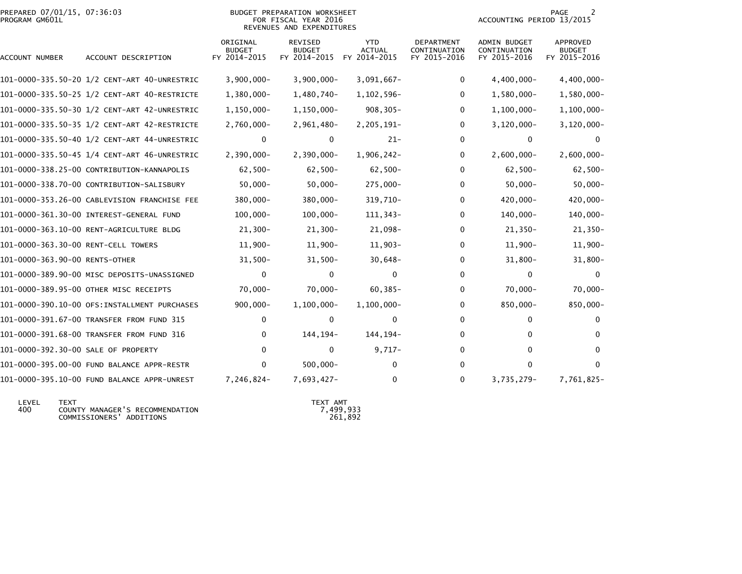| PREPARED 07/01/15, 07:36:03<br>PROGRAM GM601L |                                              | BUDGET PREPARATION WORKSHEET<br>ACCOUNTING PERIOD 13/2015<br>FOR FISCAL YEAR 2016<br>REVENUES AND EXPENDITURES |                                                 |                                             |                                                   |                                                     |                                           |
|-----------------------------------------------|----------------------------------------------|----------------------------------------------------------------------------------------------------------------|-------------------------------------------------|---------------------------------------------|---------------------------------------------------|-----------------------------------------------------|-------------------------------------------|
| ACCOUNT NUMBER                                | ACCOUNT DESCRIPTION                          | ORIGINAL<br><b>BUDGET</b><br>FY 2014-2015                                                                      | <b>REVISED</b><br><b>BUDGET</b><br>FY 2014-2015 | <b>YTD</b><br><b>ACTUAL</b><br>FY 2014-2015 | <b>DEPARTMENT</b><br>CONTINUATION<br>FY 2015-2016 | <b>ADMIN BUDGET</b><br>CONTINUATION<br>FY 2015-2016 | APPROVED<br><b>BUDGET</b><br>FY 2015-2016 |
|                                               |                                              | $3,900,000 -$                                                                                                  | $3,900,000 -$                                   | $3,091,667-$                                | 0                                                 | $4,400,000 -$                                       | 4,400,000-                                |
|                                               |                                              | $1,380,000 -$                                                                                                  | 1,480,740-                                      | $1,102,596-$                                | 0                                                 | $1,580,000 -$                                       | 1,580,000-                                |
|                                               | 101-0000-335.50-30 1/2 CENT-ART 42-UNRESTRIC | $1,150,000 -$                                                                                                  | $1, 150, 000 -$                                 | $908, 305 -$                                | 0                                                 | $1,100,000 -$                                       | $1,100,000 -$                             |
|                                               |                                              | $2,760,000 -$                                                                                                  | $2,961,480-$                                    | 2,205,191-                                  | $\Omega$                                          | $3,120,000 -$                                       | $3, 120, 000 -$                           |
|                                               | 101-0000-335.50-40 1/2 CENT-ART 44-UNRESTRIC | 0                                                                                                              | 0                                               | $21 -$                                      | 0                                                 | 0                                                   | 0                                         |
|                                               |                                              | $2,390,000 -$                                                                                                  | 2,390,000-                                      | $1,906,242-$                                | 0                                                 | $2,600,000 -$                                       | $2,600,000 -$                             |
|                                               | 101-0000-338.25-00 CONTRIBUTION-KANNAPOLIS   | $62,500 -$                                                                                                     | $62,500 -$                                      | $62,500 -$                                  | 0                                                 | $62,500 -$                                          | $62,500-$                                 |
|                                               | 101-0000-338.70-00 CONTRIBUTION-SALISBURY    | $50,000 -$                                                                                                     | $50,000 -$                                      | 275,000-                                    | 0                                                 | $50,000 -$                                          | $50,000 -$                                |
|                                               | 101-0000-353.26-00 CABLEVISION FRANCHISE FEE | $380,000 -$                                                                                                    | $380,000 -$                                     | 319,710-                                    | 0                                                 | 420,000-                                            | $420,000 -$                               |
|                                               |                                              | $100,000 -$                                                                                                    | $100,000 -$                                     | 111,343-                                    | 0                                                 | 140,000-                                            | $140,000 -$                               |
|                                               | 101-0000-363.10-00 RENT-AGRICULTURE BLDG     | $21,300-$                                                                                                      | $21,300-$                                       | 21,098-                                     | 0                                                 | $21,350-$                                           | $21,350-$                                 |
| 101-0000-363.30-00 RENT-CELL TOWERS           |                                              | $11,900-$                                                                                                      | 11,900-                                         | $11,903-$                                   | 0                                                 | $11,900 -$                                          | $11,900 -$                                |
| 101-0000-363.90-00 RENTS-OTHER                |                                              | $31,500-$                                                                                                      | $31,500 -$                                      | $30,648-$                                   | 0                                                 | $31,800 -$                                          | $31,800 -$                                |
|                                               | 101-0000-389.90-00 MISC DEPOSITS-UNASSIGNED  | $\mathbf{0}$                                                                                                   | $\Omega$                                        | $\mathbf{0}$                                | $\mathbf{0}$                                      | $\mathbf{0}$                                        | $\Omega$                                  |
|                                               | 101-0000-389.95-00 OTHER MISC RECEIPTS       | $70,000 -$                                                                                                     | $70,000 -$                                      | $60, 385 -$                                 | 0                                                 | $70,000 -$                                          | $70,000 -$                                |
|                                               | 101-0000-390.10-00 OFS:INSTALLMENT PURCHASES | $900,000 -$                                                                                                    | $1,100,000 -$                                   | $1,100,000 -$                               | 0                                                 | 850,000-                                            | 850,000-                                  |
|                                               | 101-0000-391.67-00 TRANSFER FROM FUND 315    | 0                                                                                                              | 0                                               | 0                                           | 0                                                 | 0                                                   | 0                                         |
|                                               | 101-0000-391.68-00 TRANSFER FROM FUND 316    | 0                                                                                                              | 144, 194-                                       | 144,194-                                    | 0                                                 | 0                                                   | 0                                         |
| 101-0000-392.30-00 SALE OF PROPERTY           |                                              | $\Omega$                                                                                                       | 0                                               | $9,717-$                                    | 0                                                 | 0                                                   | $\Omega$                                  |
|                                               | 101-0000-395.00-00 FUND BALANCE APPR-RESTR   | 0                                                                                                              | $500,000 -$                                     | 0                                           | 0                                                 | 0                                                   | $\Omega$                                  |
|                                               | 101-0000-395.10-00 FUND BALANCE APPR-UNREST  | 7,246,824-                                                                                                     | $7,693,427-$                                    | 0                                           | 0                                                 | 3,735,279-                                          | 7,761,825-                                |

| ∟EVEL | <b>TFXT</b>                     | TFXT AMT  |
|-------|---------------------------------|-----------|
| 400   | COUNTY MANAGER'S RECOMMENDATION | 7.499.933 |
|       | COMMISSIONERS' ADDITIONS        | 261.892   |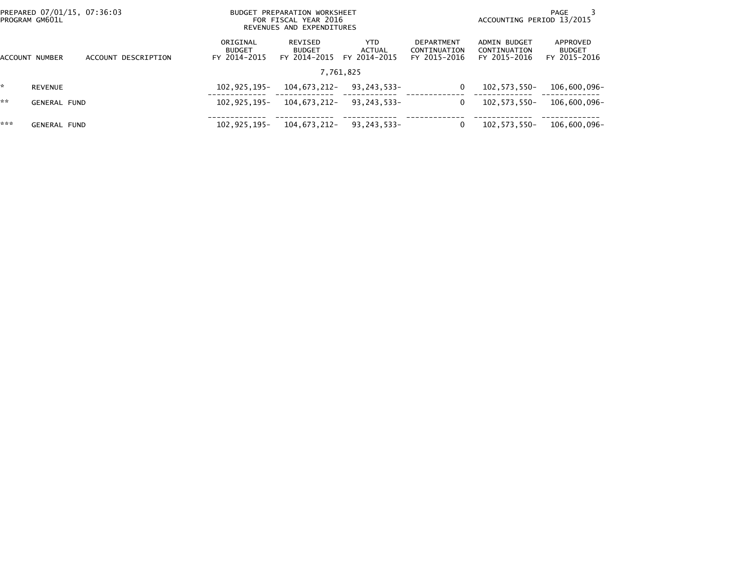| PREPARED 07/01/15, 07:36:03<br>PROGRAM GM601L |                     |                     |                                           | BUDGET PREPARATION WORKSHEET<br>FOR FISCAL YEAR 2016<br>REVENUES AND EXPENDITURES | PAGE<br>ACCOUNTING PERIOD 13/2015 |                                                   |                                              |                                           |
|-----------------------------------------------|---------------------|---------------------|-------------------------------------------|-----------------------------------------------------------------------------------|-----------------------------------|---------------------------------------------------|----------------------------------------------|-------------------------------------------|
| ACCOUNT NUMBER                                |                     | ACCOUNT DESCRIPTION | ORIGINAL<br><b>BUDGET</b><br>FY 2014-2015 | REVISED<br><b>BUDGET</b><br>FY 2014-2015                                          | YTD.<br>ACTUAL<br>FY 2014-2015    | <b>DEPARTMENT</b><br>CONTINUATION<br>FY 2015-2016 | ADMIN BUDGET<br>CONTINUATION<br>FY 2015-2016 | APPROVED<br><b>BUDGET</b><br>FY 2015-2016 |
|                                               |                     |                     |                                           |                                                                                   | 7,761,825                         |                                                   |                                              |                                           |
|                                               | <b>REVENUE</b>      |                     | 102.925.195-                              | 104,673,212-                                                                      | 93.243.533-                       | $\Omega$                                          | 102, 573, 550-                               | 106,600,096-                              |
| **                                            | <b>GENERAL FUND</b> |                     | 102,925,195-                              | 104,673,212-                                                                      | 93,243,533-                       | 0                                                 | 102, 573, 550-                               | 106,600,096-                              |
| ***                                           | <b>GENERAL FUND</b> |                     | 102,925,195-                              | 104,673,212-                                                                      | 93,243,533-                       | 0                                                 | 102, 573, 550-                               | 106,600,096-                              |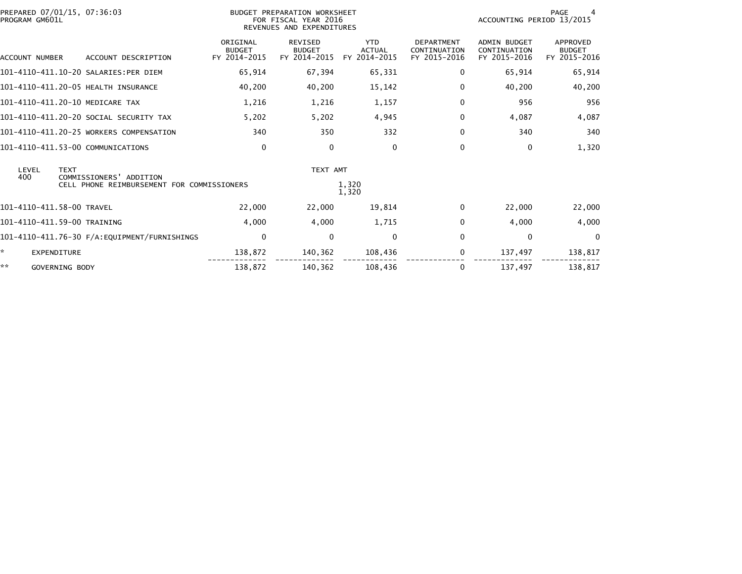| PREPARED 07/01/15, 07:36:03<br>PROGRAM GM601L          | BUDGET PREPARATION WORKSHEET<br>FOR FISCAL YEAR 2016<br>REVENUES AND EXPENDITURES | <b>PAGE</b><br>ACCOUNTING PERIOD 13/2015        |                                             |                                                   |                                                     |                                           |
|--------------------------------------------------------|-----------------------------------------------------------------------------------|-------------------------------------------------|---------------------------------------------|---------------------------------------------------|-----------------------------------------------------|-------------------------------------------|
| ACCOUNT NUMBER<br>ACCOUNT DESCRIPTION                  | ORIGINAL<br><b>BUDGET</b><br>FY 2014-2015                                         | <b>REVISED</b><br><b>BUDGET</b><br>FY 2014-2015 | <b>YTD</b><br><b>ACTUAL</b><br>FY 2014-2015 | <b>DEPARTMENT</b><br>CONTINUATION<br>FY 2015-2016 | <b>ADMIN BUDGET</b><br>CONTINUATION<br>FY 2015-2016 | APPROVED<br><b>BUDGET</b><br>FY 2015-2016 |
| 101-4110-411.10-20 SALARIES:PER DIEM                   | 65,914                                                                            | 67,394                                          | 65,331                                      | 0                                                 | 65,914                                              | 65,914                                    |
| 101-4110-411.20-05 HEALTH INSURANCE                    | 40,200                                                                            | 40,200                                          | 15,142                                      | 0                                                 | 40,200                                              | 40,200                                    |
| 101-4110-411.20-10 MEDICARE TAX                        | 1,216                                                                             | 1,216                                           | 1,157                                       | 0                                                 | 956                                                 | 956                                       |
| 101-4110-411.20-20 SOCIAL SECURITY TAX                 | 5,202                                                                             | 5,202                                           | 4,945                                       | 0                                                 | 4,087                                               | 4,087                                     |
| 101-4110-411.20-25 WORKERS COMPENSATION                | 340                                                                               | 350                                             | 332                                         | 0                                                 | 340                                                 | 340                                       |
| 101-4110-411.53-00 COMMUNICATIONS                      | 0                                                                                 | 0                                               | 0                                           | 0                                                 | 0                                                   | 1,320                                     |
| LEVEL<br><b>TEXT</b><br>400<br>COMMISSIONERS' ADDITION |                                                                                   | TEXT AMT                                        |                                             |                                                   |                                                     |                                           |
| CELL PHONE REIMBURSEMENT FOR COMMISSIONERS             |                                                                                   |                                                 | 1,320<br>1,320                              |                                                   |                                                     |                                           |
| 101-4110-411.58-00 TRAVEL                              | 22,000                                                                            | 22,000                                          | 19,814                                      | 0                                                 | 22,000                                              | 22,000                                    |
| 101-4110-411.59-00 TRAINING                            | 4,000                                                                             | 4,000                                           | 1,715                                       | 0                                                 | 4,000                                               | 4,000                                     |
|                                                        | $\mathbf 0$                                                                       | $\mathbf{0}$                                    | $\mathbf{0}$                                | $\Omega$                                          | 0                                                   | $\Omega$                                  |
| ×.<br><b>EXPENDITURE</b>                               | 138,872                                                                           | 140,362                                         | 108,436                                     | 0                                                 | 137,497                                             | 138,817                                   |
| **<br>GOVERNING BODY                                   | 138,872                                                                           | 140.362                                         | 108.436                                     | 0                                                 | 137,497                                             | 138,817                                   |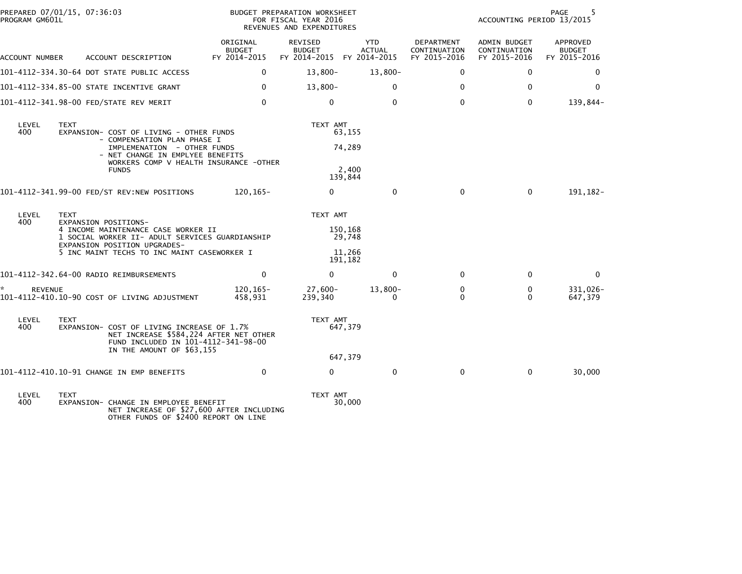| PREPARED 07/01/15, 07:36:03<br>PROGRAM GM601L |                                     |                                                                                                                                                                                                     |                                           | BUDGET PREPARATION WORKSHEET<br>FOR FISCAL YEAR 2016<br>REVENUES AND EXPENDITURES | 5<br>PAGE<br>ACCOUNTING PERIOD 13/2015 |                                            |                                              |                                           |
|-----------------------------------------------|-------------------------------------|-----------------------------------------------------------------------------------------------------------------------------------------------------------------------------------------------------|-------------------------------------------|-----------------------------------------------------------------------------------|----------------------------------------|--------------------------------------------|----------------------------------------------|-------------------------------------------|
| ACCOUNT NUMBER                                |                                     | ACCOUNT DESCRIPTION                                                                                                                                                                                 | ORIGINAL<br><b>BUDGET</b><br>FY 2014-2015 | REVISED<br><b>BUDGET</b><br>FY 2014-2015 FY 2014-2015                             | <b>YTD</b><br><b>ACTUAL</b>            | DEPARTMENT<br>CONTINUATION<br>FY 2015-2016 | ADMIN BUDGET<br>CONTINUATION<br>FY 2015-2016 | APPROVED<br><b>BUDGET</b><br>FY 2015-2016 |
|                                               |                                     | 101-4112-334.30-64 DOT STATE PUBLIC ACCESS                                                                                                                                                          | 0                                         | $13,800-$                                                                         | $13,800-$                              | 0                                          | 0                                            | 0                                         |
|                                               |                                     | 101-4112-334.85-00 STATE INCENTIVE GRANT                                                                                                                                                            | $\mathbf 0$                               | $13,800-$                                                                         | $\mathbf{0}$                           | $\mathbf{0}$                               | $\mathbf{0}$                                 | 0                                         |
|                                               |                                     | 101-4112-341.98-00 FED/STATE REV MERIT                                                                                                                                                              | $\Omega$                                  | $\mathbf{0}$                                                                      | $\mathbf{0}$                           | $\Omega$                                   | $\Omega$                                     | 139,844-                                  |
| LEVEL<br>400                                  | <b>TEXT</b>                         | EXPANSION- COST OF LIVING - OTHER FUNDS<br>- COMPENSATION PLAN PHASE I<br>IMPLEMENATION - OTHER FUNDS<br>- NET CHANGE IN EMPLYEE BENEFITS<br>WORKERS COMP V HEALTH INSURANCE -OTHER<br><b>FUNDS</b> |                                           | TEXT AMT<br>63,155<br>74,289<br>2.400<br>139,844                                  |                                        |                                            |                                              |                                           |
|                                               |                                     | 101-4112-341.99-00 FED/ST REV:NEW POSITIONS                                                                                                                                                         | 120,165-                                  | $\Omega$                                                                          | $\mathbf{0}$                           | $\Omega$                                   | $\Omega$                                     | 191, 182-                                 |
| LEVEL<br>400                                  | TEXT<br><b>EXPANSION POSITIONS-</b> | 4 INCOME MAINTENANCE CASE WORKER II<br>1 SOCIAL WORKER II- ADULT SERVICES GUARDIANSHIP<br>EXPANSION POSITION UPGRADES-<br>5 INC MAINT TECHS TO INC MAINT CASEWORKER I                               |                                           | TEXT AMT<br>150,168<br>29,748<br>11,266<br>191,182                                |                                        |                                            |                                              |                                           |
|                                               |                                     | 101-4112-342.64-00 RADIO REIMBURSEMENTS                                                                                                                                                             | $\mathbf{0}$                              | $\Omega$                                                                          | $\mathbf{0}$                           | $\Omega$                                   | $\Omega$                                     | $\Omega$                                  |
| <b>REVENUE</b>                                |                                     | 101-4112-410.10-90 COST OF LIVING ADJUSTMENT                                                                                                                                                        | 120,165-<br>458.931                       | 27,600-<br>239,340                                                                | $13,800-$<br>$\Omega$                  | 0<br>0                                     | 0<br>0                                       | 331,026-<br>647,379                       |
| LEVEL<br>400                                  | <b>TEXT</b>                         | EXPANSION- COST OF LIVING INCREASE OF 1.7%<br>NET INCREASE \$584,224 AFTER NET OTHER<br>FUND INCLUDED IN 101-4112-341-98-00<br>IN THE AMOUNT OF \$63,155                                            |                                           | TEXT AMT<br>647,379<br>647,379                                                    |                                        |                                            |                                              |                                           |
|                                               |                                     | 101-4112-410.10-91 CHANGE IN EMP BENEFITS                                                                                                                                                           | 0                                         | $\Omega$                                                                          | $\mathbf 0$                            | $\mathbf{0}$                               | $\mathbf 0$                                  | 30,000                                    |
| LEVEL<br>400                                  | <b>TEXT</b>                         | EXPANSION- CHANGE IN EMPLOYEE BENEFIT<br>NET INCREASE OF \$27,600 AFTER INCLUDING<br>OTHER FUNDS OF \$2400 REPORT ON LINE                                                                           |                                           | TEXT AMT<br>30,000                                                                |                                        |                                            |                                              |                                           |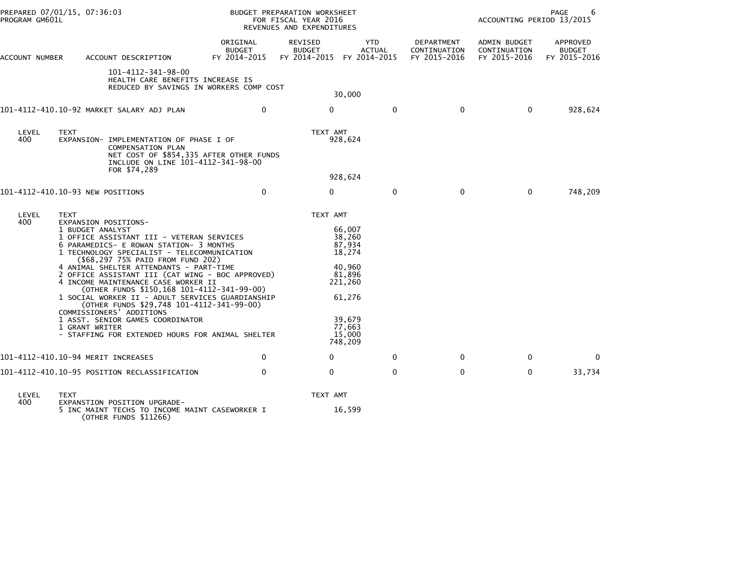| PREPARED 07/01/15, 07:36:03<br>PROGRAM GM601L |                                                                    |                                                                                                                                                                                                                                                                                                                                                                                                                                                                                                                                                                                   |                                           | BUDGET PREPARATION WORKSHEET<br>FOR FISCAL YEAR 2016<br>REVENUES AND EXPENDITURES |                                                                                                                        |                                            | PAGE<br>6<br>ACCOUNTING PERIOD 13/2015       |                                           |
|-----------------------------------------------|--------------------------------------------------------------------|-----------------------------------------------------------------------------------------------------------------------------------------------------------------------------------------------------------------------------------------------------------------------------------------------------------------------------------------------------------------------------------------------------------------------------------------------------------------------------------------------------------------------------------------------------------------------------------|-------------------------------------------|-----------------------------------------------------------------------------------|------------------------------------------------------------------------------------------------------------------------|--------------------------------------------|----------------------------------------------|-------------------------------------------|
| ACCOUNT NUMBER                                |                                                                    | ACCOUNT DESCRIPTION                                                                                                                                                                                                                                                                                                                                                                                                                                                                                                                                                               | ORIGINAL<br><b>BUDGET</b><br>FY 2014-2015 | REVISED<br><b>BUDGET</b><br>FY 2014-2015 FY 2014-2015                             | YTD<br>ACTUAL                                                                                                          | DEPARTMENT<br>CONTINUATION<br>FY 2015-2016 | ADMIN BUDGET<br>CONTINUATION<br>FY 2015-2016 | APPROVED<br><b>BUDGET</b><br>FY 2015-2016 |
|                                               |                                                                    | 101-4112-341-98-00<br>HEALTH CARE BENEFITS INCREASE IS<br>REDUCED BY SAVINGS IN WORKERS COMP COST                                                                                                                                                                                                                                                                                                                                                                                                                                                                                 |                                           |                                                                                   | 30,000                                                                                                                 |                                            |                                              |                                           |
|                                               |                                                                    | 101-4112-410.10-92 MARKET SALARY ADJ PLAN                                                                                                                                                                                                                                                                                                                                                                                                                                                                                                                                         | 0                                         | 0                                                                                 | $\mathbf{0}$                                                                                                           | $\mathbf 0$                                | $\mathbf{0}$                                 | 928,624                                   |
| LEVEL<br>400                                  | <b>TEXT</b>                                                        | EXPANSION- IMPLEMENTATION OF PHASE I OF<br>COMPENSATION PLAN<br>NET COST OF \$854,335 AFTER OTHER FUNDS<br>INCLUDE ON LINE 101-4112-341-98-00<br>FOR \$74,289                                                                                                                                                                                                                                                                                                                                                                                                                     |                                           | TEXT AMT                                                                          | 928,624                                                                                                                |                                            |                                              |                                           |
|                                               |                                                                    |                                                                                                                                                                                                                                                                                                                                                                                                                                                                                                                                                                                   |                                           |                                                                                   | 928,624                                                                                                                |                                            |                                              |                                           |
| 101-4112-410.10-93 NEW POSITIONS              |                                                                    |                                                                                                                                                                                                                                                                                                                                                                                                                                                                                                                                                                                   | $\mathbf{0}$                              | $\mathbf{0}$                                                                      | $\mathbf{0}$                                                                                                           | $\Omega$                                   | $\Omega$                                     | 748,209                                   |
| LEVEL<br>400                                  | TEXT<br>EXPANSION POSITIONS-<br>1 BUDGET ANALYST<br>1 GRANT WRITER | 1 OFFICE ASSISTANT III - VETERAN SERVICES<br>6 PARAMEDICS- E ROWAN STATION- 3 MONTHS<br>1 TECHNOLOGY SPECIALIST - TELECOMMUNICATION<br>(\$68,297 75% PAID FROM FUND 202)<br>4 ANIMAL SHELTER ATTENDANTS - PART-TIME<br>2 OFFICE ASSISTANT III (CAT WING - BOC APPROVED)<br>4 INCOME MAINTENANCE CASE WORKER II<br>(OTHER FUNDS \$150,168 101-4112-341-99-00)<br>1 SOCIAL WORKER II - ADULT SERVICES GUARDIANSHIP<br>(OTHER FUNDS \$29,748 101-4112-341-99-00)<br>COMMISSIONERS' ADDITIONS<br>1 ASST. SENIOR GAMES COORDINATOR<br>- STAFFING FOR EXTENDED HOURS FOR ANIMAL SHELTER |                                           | TEXT AMT                                                                          | 66,007<br>38,260<br>87,934<br>18,274<br>40,960<br>81,896<br>221,260<br>61,276<br>39,679<br>77,663<br>15,000<br>748,209 |                                            |                                              |                                           |
| 101-4112-410.10-94 MERIT INCREASES            |                                                                    |                                                                                                                                                                                                                                                                                                                                                                                                                                                                                                                                                                                   | $\Omega$                                  | $\Omega$                                                                          | $\Omega$                                                                                                               | $\Omega$                                   | $\Omega$                                     | $\Omega$                                  |
|                                               |                                                                    | 101-4112-410.10-95 POSITION RECLASSIFICATION                                                                                                                                                                                                                                                                                                                                                                                                                                                                                                                                      | $\Omega$                                  | 0                                                                                 | 0                                                                                                                      | 0                                          | $\mathbf 0$                                  | 33,734                                    |
| LEVEL<br>400                                  | TEXT                                                               | EXPANSTION POSITION UPGRADE-<br>5 INC MAINT TECHS TO INCOME MAINT CASEWORKER I<br>(OTHER FUNDS \$11266)                                                                                                                                                                                                                                                                                                                                                                                                                                                                           |                                           | TEXT AMT                                                                          | 16,599                                                                                                                 |                                            |                                              |                                           |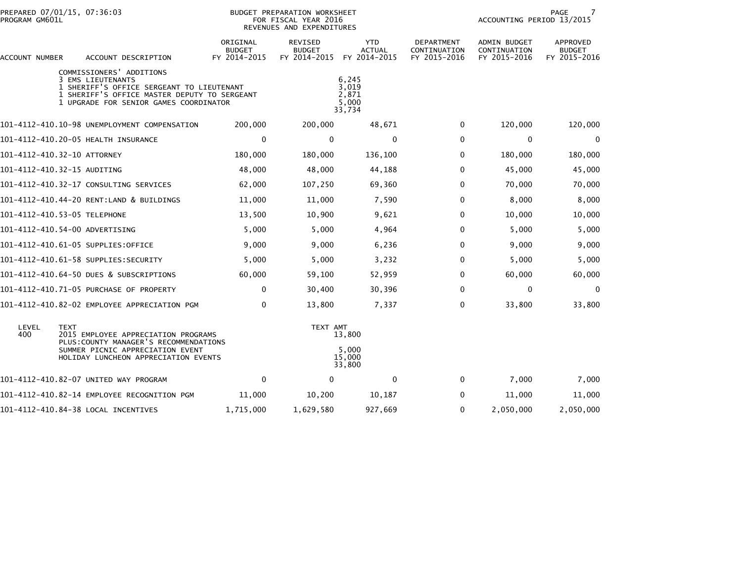| PREPARED 07/01/15, 07:36:03<br>PROGRAM GM601L |                                                                                                                                                                                      |                                           | BUDGET PREPARATION WORKSHEET<br>FOR FISCAL YEAR 2016<br>REVENUES AND EXPENDITURES |                                             |                                            | PAGE<br>7<br>ACCOUNTING PERIOD 13/2015       |                                           |  |
|-----------------------------------------------|--------------------------------------------------------------------------------------------------------------------------------------------------------------------------------------|-------------------------------------------|-----------------------------------------------------------------------------------|---------------------------------------------|--------------------------------------------|----------------------------------------------|-------------------------------------------|--|
| ACCOUNT NUMBER                                | ACCOUNT DESCRIPTION                                                                                                                                                                  | ORIGINAL<br><b>BUDGET</b><br>FY 2014-2015 | REVISED<br><b>BUDGET</b><br>FY 2014-2015                                          | <b>YTD</b><br><b>ACTUAL</b><br>FY 2014-2015 | DEPARTMENT<br>CONTINUATION<br>FY 2015-2016 | ADMIN BUDGET<br>CONTINUATION<br>FY 2015-2016 | APPROVED<br><b>BUDGET</b><br>FY 2015-2016 |  |
|                                               | COMMISSIONERS' ADDITIONS<br>3 EMS LIEUTENANTS<br>1 SHERIFF'S OFFICE SERGEANT TO LIEUTENANT<br>1 SHERIFF'S OFFICE MASTER DEPUTY TO SERGEANT<br>1 UPGRADE FOR SENIOR GAMES COORDINATOR |                                           |                                                                                   | 6,245<br>3,019<br>2.871<br>5,000<br>33,734  |                                            |                                              |                                           |  |
|                                               | 101-4112-410.10-98 UNEMPLOYMENT COMPENSATION                                                                                                                                         | 200,000                                   | 200,000                                                                           | 48,671                                      | 0                                          | 120,000                                      | 120,000                                   |  |
|                                               | 101-4112-410.20-05 HEALTH INSURANCE                                                                                                                                                  | 0                                         | $\mathbf 0$                                                                       | $\mathbf 0$                                 | $\mathbf{0}$                               | 0                                            | $\mathbf 0$                               |  |
| 101-4112-410.32-10 ATTORNEY                   |                                                                                                                                                                                      | 180,000                                   | 180,000                                                                           | 136,100                                     | $\mathbf{0}$                               | 180,000                                      | 180,000                                   |  |
| 101-4112-410.32-15 AUDITING                   |                                                                                                                                                                                      | 48,000                                    | 48,000                                                                            | 44,188                                      | $\mathbf{0}$                               | 45,000                                       | 45,000                                    |  |
|                                               | 101-4112-410.32-17 CONSULTING SERVICES                                                                                                                                               | 62,000                                    | 107,250                                                                           | 69,360                                      | 0                                          | 70,000                                       | 70,000                                    |  |
|                                               | 101-4112-410.44-20 RENT:LAND & BUILDINGS                                                                                                                                             | 11,000                                    | 11,000                                                                            | 7,590                                       | $\mathbf{0}$                               | 8,000                                        | 8,000                                     |  |
| 101-4112-410.53-05 TELEPHONE                  |                                                                                                                                                                                      | 13,500                                    | 10,900                                                                            | 9,621                                       | $\mathbf{0}$                               | 10,000                                       | 10,000                                    |  |
| 101–4112–410.54–00 ADVERTISING                |                                                                                                                                                                                      | 5,000                                     | 5,000                                                                             | 4,964                                       | $\mathbf{0}$                               | 5,000                                        | 5,000                                     |  |
| 101-4112-410.61-05 SUPPLIES:OFFICE            |                                                                                                                                                                                      | 9,000                                     | 9,000                                                                             | 6,236                                       | $\mathbf{0}$                               | 9,000                                        | 9,000                                     |  |
|                                               |                                                                                                                                                                                      | 5,000                                     | 5,000                                                                             | 3,232                                       | $\mathbf{0}$                               | 5,000                                        | 5,000                                     |  |
|                                               | 101-4112-410.64-50 DUES & SUBSCRIPTIONS                                                                                                                                              | 60,000                                    | 59,100                                                                            | 52,959                                      | $\mathbf{0}$                               | 60,000                                       | 60,000                                    |  |
|                                               | 101-4112-410.71-05 PURCHASE OF PROPERTY                                                                                                                                              | $\mathbf 0$                               | 30,400                                                                            | 30,396                                      | $\mathbf 0$                                | $\mathbf 0$                                  | 0                                         |  |
|                                               | 101-4112-410.82-02 EMPLOYEE APPRECIATION PGM                                                                                                                                         | $\mathbf{0}$                              | 13,800                                                                            | 7,337                                       | $\Omega$                                   | 33,800                                       | 33,800                                    |  |
| LEVEL<br><b>TEXT</b><br>400                   | 2015 EMPLOYEE APPRECIATION PROGRAMS                                                                                                                                                  |                                           | TEXT AMT                                                                          | 13,800                                      |                                            |                                              |                                           |  |
|                                               | PLUS: COUNTY MANAGER'S RECOMMENDATIONS<br>SUMMER PICNIC APPRECIATION EVENT<br>HOLIDAY LUNCHEON APPRECIATION EVENTS                                                                   |                                           |                                                                                   | 5,000<br>15,000<br>33,800                   |                                            |                                              |                                           |  |
|                                               | 101-4112-410.82-07 UNITED WAY PROGRAM                                                                                                                                                | $\mathbf{0}$                              | $\Omega$                                                                          | 0                                           | $\Omega$                                   | 7,000                                        | 7,000                                     |  |
|                                               | 101–4112–410.82–14 EMPLOYEE RECOGNITION PGM                                                                                                                                          | 11,000                                    | 10,200                                                                            | 10,187                                      | 0                                          | 11,000                                       | 11,000                                    |  |
|                                               | 101-4112-410.84-38 LOCAL INCENTIVES                                                                                                                                                  | 1,715,000                                 | 1,629,580                                                                         | 927,669                                     | $\mathbf{0}$                               | 2,050,000                                    | 2,050,000                                 |  |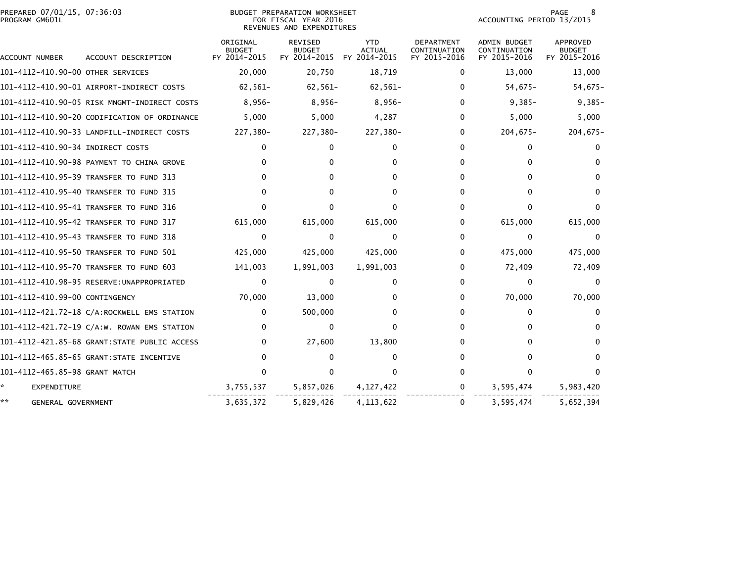| PREPARED 07/01/15, 07:36:03<br>PROGRAM GM601L |                                              |                                           | BUDGET PREPARATION WORKSHEET<br>FOR FISCAL YEAR 2016<br>REVENUES AND EXPENDITURES | 8<br>PAGE<br>ACCOUNTING PERIOD 13/2015      |                                                   |                                              |                                           |
|-----------------------------------------------|----------------------------------------------|-------------------------------------------|-----------------------------------------------------------------------------------|---------------------------------------------|---------------------------------------------------|----------------------------------------------|-------------------------------------------|
| ACCOUNT NUMBER                                | ACCOUNT DESCRIPTION                          | ORIGINAL<br><b>BUDGET</b><br>FY 2014-2015 | <b>REVISED</b><br><b>BUDGET</b><br>FY 2014-2015                                   | <b>YTD</b><br><b>ACTUAL</b><br>FY 2014-2015 | <b>DEPARTMENT</b><br>CONTINUATION<br>FY 2015-2016 | ADMIN BUDGET<br>CONTINUATION<br>FY 2015-2016 | APPROVED<br><b>BUDGET</b><br>FY 2015-2016 |
| 101-4112-410.90-00 OTHER SERVICES             |                                              | 20,000                                    | 20,750                                                                            | 18,719                                      | 0                                                 | 13,000                                       | 13,000                                    |
|                                               |                                              | $62,561-$                                 | $62,561-$                                                                         | $62,561-$                                   | 0                                                 | $54,675-$                                    | $54,675-$                                 |
|                                               | 101–4112–410.90–05 RISK MNGMT-INDIRECT COSTS | $8,956-$                                  | $8,956-$                                                                          | $8,956-$                                    | $\Omega$                                          | $9,385-$                                     | $9,385-$                                  |
|                                               | 101-4112-410.90-20 CODIFICATION OF ORDINANCE | 5,000                                     | 5,000                                                                             | 4,287                                       | 0                                                 | 5,000                                        | 5,000                                     |
|                                               | 101-4112-410.90-33 LANDFILL-INDIRECT COSTS   | 227,380-                                  | 227,380-                                                                          | 227,380-                                    | 0                                                 | $204,675-$                                   | $204,675-$                                |
| 101-4112-410.90-34 INDIRECT COSTS             |                                              | 0                                         | $\Omega$                                                                          | 0                                           | 0                                                 | 0                                            | 0                                         |
|                                               | 101-4112-410.90-98 PAYMENT TO CHINA GROVE    | 0                                         | 0                                                                                 | 0                                           | 0                                                 | $\mathbf{0}$                                 | $\Omega$                                  |
|                                               | 101-4112-410.95-39 TRANSFER TO FUND 313      | 0                                         | 0                                                                                 | 0                                           | 0                                                 | $\Omega$                                     | $\Omega$                                  |
|                                               | 101-4112-410.95-40 TRANSFER TO FUND 315      | 0                                         | 0                                                                                 | 0                                           | 0                                                 | 0                                            | $\Omega$                                  |
|                                               | 101-4112-410.95-41 TRANSFER TO FUND 316      | <sup>0</sup>                              | 0                                                                                 | O                                           | 0                                                 | $\Omega$                                     | $\Omega$                                  |
|                                               | 101-4112-410.95-42 TRANSFER TO FUND 317      | 615,000                                   | 615,000                                                                           | 615,000                                     | 0                                                 | 615,000                                      | 615,000                                   |
|                                               | 101-4112-410.95-43 TRANSFER TO FUND 318      | 0                                         | $\Omega$                                                                          | $\Omega$                                    | $\Omega$                                          | $\mathbf{0}$                                 | $\Omega$                                  |
|                                               | 101-4112-410.95-50 TRANSFER TO FUND 501      | 425,000                                   | 425,000                                                                           | 425,000                                     | 0                                                 | 475,000                                      | 475,000                                   |
|                                               | 101-4112-410.95-70 TRANSFER TO FUND 603      | 141,003                                   | 1,991,003                                                                         | 1,991,003                                   | 0                                                 | 72,409                                       | 72,409                                    |
|                                               |                                              | 0                                         | $\Omega$                                                                          | 0                                           | 0                                                 | $\mathbf{0}$                                 | 0                                         |
| 101-4112-410.99-00 CONTINGENCY                |                                              | 70,000                                    | 13,000                                                                            | 0                                           | 0                                                 | 70,000                                       | 70,000                                    |
|                                               | 101-4112-421.72-18 C/A:ROCKWELL EMS STATION  | $\mathbf{0}$                              | 500,000                                                                           | $\Omega$                                    | 0                                                 | 0                                            | 0                                         |
|                                               | 101-4112-421.72-19 C/A:W. ROWAN EMS STATION  | $\Omega$                                  | $\mathbf{0}$                                                                      | $\Omega$                                    | 0                                                 | $\Omega$                                     | 0                                         |
|                                               | 101-4112-421.85-68 GRANT:STATE PUBLIC ACCESS | 0                                         | 27,600                                                                            | 13,800                                      | 0                                                 | 0                                            | $\Omega$                                  |
|                                               |                                              | 0                                         | $\Omega$                                                                          | 0                                           | 0                                                 | 0                                            | $\Omega$                                  |
| 101-4112-465.85-98 GRANT MATCH                |                                              | 0                                         | $\Omega$                                                                          | $\Omega$                                    | 0                                                 | $\mathbf{0}$                                 | $\Omega$                                  |
| *.<br><b>EXPENDITURE</b>                      |                                              | 3,755,537                                 | 5,857,026                                                                         | 4, 127, 422                                 | 0                                                 | 3,595,474                                    | 5,983,420                                 |
| **<br>GENERAL GOVERNMENT                      |                                              | 3,635,372                                 | 5,829,426                                                                         | 4, 113, 622                                 | 0                                                 | 3,595,474                                    | 5,652,394                                 |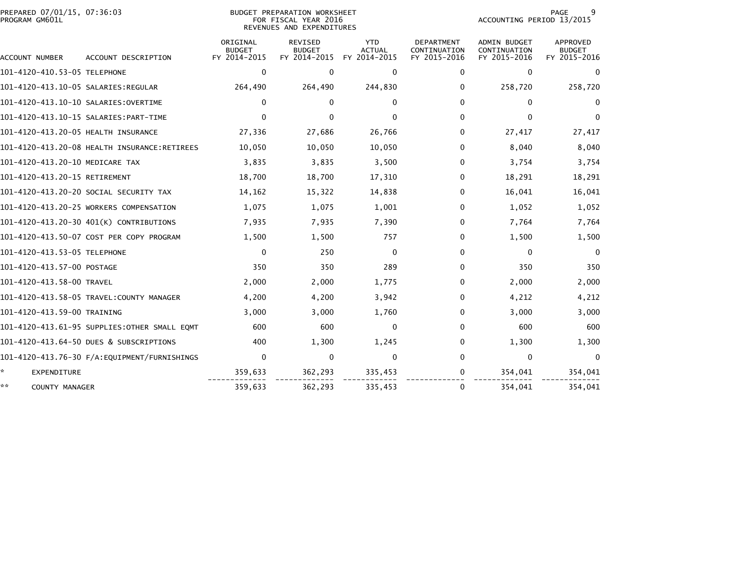| PREPARED 07/01/15, 07:36:03<br>PROGRAM GM601L |                                              |                                           | <b>BUDGET PREPARATION WORKSHEET</b><br>FOR FISCAL YEAR 2016<br>REVENUES AND EXPENDITURES | PAGE<br>9<br>ACCOUNTING PERIOD 13/2015      |                                            |                                              |                                           |
|-----------------------------------------------|----------------------------------------------|-------------------------------------------|------------------------------------------------------------------------------------------|---------------------------------------------|--------------------------------------------|----------------------------------------------|-------------------------------------------|
| ACCOUNT NUMBER                                | ACCOUNT DESCRIPTION                          | ORIGINAL<br><b>BUDGET</b><br>FY 2014-2015 | REVISED<br><b>BUDGET</b><br>FY 2014-2015                                                 | <b>YTD</b><br><b>ACTUAL</b><br>FY 2014-2015 | DEPARTMENT<br>CONTINUATION<br>FY 2015-2016 | ADMIN BUDGET<br>CONTINUATION<br>FY 2015-2016 | APPROVED<br><b>BUDGET</b><br>FY 2015-2016 |
| 101-4120-410.53-05 TELEPHONE                  |                                              | 0                                         | $\Omega$                                                                                 | $\Omega$                                    | $\Omega$                                   | $\mathbf{0}$                                 | $\Omega$                                  |
|                                               |                                              | 264,490                                   | 264,490                                                                                  | 244,830                                     | 0                                          | 258,720                                      | 258,720                                   |
| 101-4120-413.10-10 SALARIES:OVERTIME          |                                              | $\mathbf{0}$                              | $\mathbf{0}$                                                                             | $\Omega$                                    | 0                                          | $\Omega$                                     | $\Omega$                                  |
|                                               |                                              | $\Omega$                                  | $\Omega$                                                                                 | <sup>0</sup>                                | 0                                          | $\Omega$                                     | $\Omega$                                  |
| 101-4120-413.20-05 HEALTH INSURANCE           |                                              | 27,336                                    | 27,686                                                                                   | 26,766                                      | 0                                          | 27,417                                       | 27,417                                    |
|                                               | 101-4120-413.20-08 HEALTH INSURANCE:RETIREES | 10,050                                    | 10,050                                                                                   | 10,050                                      | 0                                          | 8,040                                        | 8,040                                     |
| 101-4120-413.20-10 MEDICARE TAX               |                                              | 3,835                                     | 3,835                                                                                    | 3,500                                       | 0                                          | 3,754                                        | 3,754                                     |
| 101-4120-413.20-15 RETIREMENT                 |                                              | 18,700                                    | 18,700                                                                                   | 17,310                                      | 0                                          | 18,291                                       | 18,291                                    |
|                                               | 101-4120-413.20-20 SOCIAL SECURITY TAX       | 14,162                                    | 15,322                                                                                   | 14,838                                      | 0                                          | 16,041                                       | 16,041                                    |
|                                               | 101-4120-413.20-25 WORKERS COMPENSATION      | 1,075                                     | 1,075                                                                                    | 1,001                                       | 0                                          | 1,052                                        | 1,052                                     |
|                                               | 101-4120-413.20-30 401(K) CONTRIBUTIONS      | 7,935                                     | 7,935                                                                                    | 7,390                                       | 0                                          | 7,764                                        | 7,764                                     |
|                                               | 101-4120-413.50-07 COST PER COPY PROGRAM     | 1,500                                     | 1,500                                                                                    | 757                                         | $\Omega$                                   | 1,500                                        | 1,500                                     |
| 101-4120-413.53-05 TELEPHONE                  |                                              | 0                                         | 250                                                                                      | 0                                           | 0                                          | $\mathbf{0}$                                 | $\mathbf{0}$                              |
| 101-4120-413.57-00 POSTAGE                    |                                              | 350                                       | 350                                                                                      | 289                                         | 0                                          | 350                                          | 350                                       |
| 101-4120-413.58-00 TRAVEL                     |                                              | 2,000                                     | 2,000                                                                                    | 1,775                                       | 0                                          | 2,000                                        | 2,000                                     |
|                                               |                                              | 4,200                                     | 4,200                                                                                    | 3,942                                       | 0                                          | 4,212                                        | 4,212                                     |
| 101-4120-413.59-00 TRAINING                   |                                              | 3,000                                     | 3,000                                                                                    | 1,760                                       | 0                                          | 3,000                                        | 3,000                                     |
|                                               | 101-4120-413.61-95 SUPPLIES:OTHER SMALL EQMT | 600                                       | 600                                                                                      | $\Omega$                                    | 0                                          | 600                                          | 600                                       |
|                                               | 101-4120-413.64-50 DUES & SUBSCRIPTIONS      | 400                                       | 1,300                                                                                    | 1,245                                       | 0                                          | 1,300                                        | 1,300                                     |
|                                               |                                              | 0                                         | $\Omega$                                                                                 | $\Omega$                                    | $\Omega$                                   | 0                                            | $\Omega$                                  |
| ÷.<br>EXPENDITURE                             |                                              | 359,633                                   | 362,293                                                                                  | 335,453                                     | 0                                          | 354,041                                      | 354,041                                   |
| **<br>COUNTY MANAGER                          |                                              | 359,633                                   | 362,293                                                                                  | 335,453                                     | 0                                          | 354,041                                      | 354,041                                   |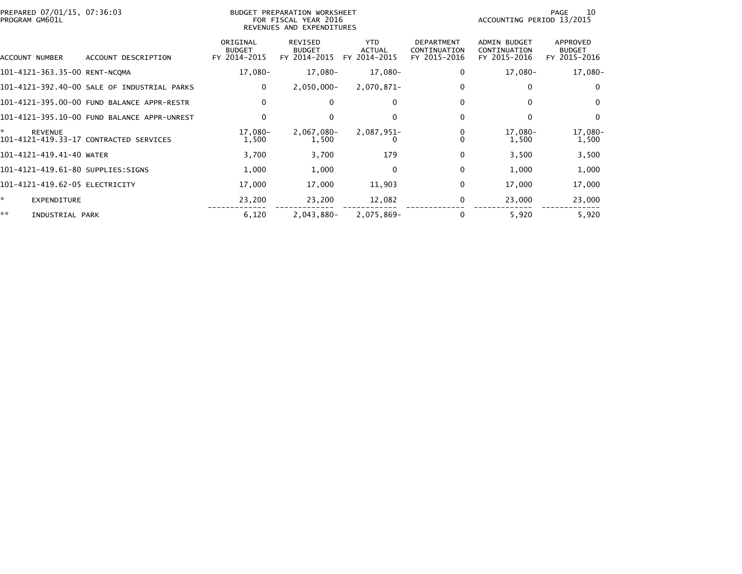| PREPARED 07/01/15, 07:36:03<br>PROGRAM GM601L |                                             | BUDGET PREPARATION WORKSHEET<br>FOR FISCAL YEAR 2016<br>REVENUES AND EXPENDITURES | 10<br>PAGE<br>ACCOUNTING PERIOD 13/2015  |                                             |                                                   |                                                     |                                           |
|-----------------------------------------------|---------------------------------------------|-----------------------------------------------------------------------------------|------------------------------------------|---------------------------------------------|---------------------------------------------------|-----------------------------------------------------|-------------------------------------------|
| ACCOUNT NUMBER                                | ACCOUNT DESCRIPTION                         | ORIGINAL<br><b>BUDGET</b><br>FY 2014-2015                                         | REVISED<br><b>BUDGET</b><br>FY 2014-2015 | <b>YTD</b><br><b>ACTUAL</b><br>FY 2014-2015 | <b>DEPARTMENT</b><br>CONTINUATION<br>FY 2015-2016 | <b>ADMIN BUDGET</b><br>CONTINUATION<br>FY 2015-2016 | APPROVED<br><b>BUDGET</b><br>FY 2015-2016 |
| 101-4121-363.35-00 RENT-NCQMA                 |                                             | 17,080-                                                                           | 17,080-                                  | 17,080-                                     | 0                                                 | 17,080-                                             | 17,080-                                   |
|                                               | 101-4121-392.40-00 SALE OF INDUSTRIAL PARKS | $\mathbf 0$                                                                       | $2,050,000 -$                            | 2,070,871-                                  | 0                                                 | $\Omega$                                            | $\mathbf{0}$                              |
|                                               | 101-4121-395.00-00 FUND BALANCE APPR-RESTR  | 0                                                                                 | $\Omega$                                 | 0                                           | 0                                                 | 0                                                   | 0                                         |
|                                               | 101-4121-395.10-00 FUND BALANCE APPR-UNREST | $\mathbf 0$                                                                       | $\Omega$                                 | $\Omega$                                    | 0                                                 | $\Omega$                                            | $\mathbf{0}$                              |
| ÷.<br><b>REVENUE</b>                          | 101-4121-419.33-17 CONTRACTED SERVICES      | 17,080-<br>1,500                                                                  | $2,067,080 -$<br>1,500                   | 2,087,951-                                  |                                                   | 17,080-<br>1,500                                    | 17,080-<br>1,500                          |
| 101-4121-419.41-40 WATER                      |                                             | 3,700                                                                             | 3,700                                    | 179                                         | $\Omega$                                          | 3,500                                               | 3,500                                     |
| 101-4121-419.61-80 SUPPLIES:SIGNS             |                                             | 1,000                                                                             | 1,000                                    | 0                                           | $\Omega$                                          | 1,000                                               | 1,000                                     |
| 101-4121-419.62-05 ELECTRICITY                |                                             | 17,000                                                                            | 17,000                                   | 11,903                                      | 0                                                 | 17,000                                              | 17,000                                    |
| *<br><b>EXPENDITURE</b>                       |                                             | 23,200                                                                            | 23,200                                   | 12,082                                      | 0                                                 | 23,000                                              | 23,000                                    |
| **<br>INDUSTRIAL PARK                         |                                             | 6,120                                                                             | 2,043,880-                               | 2,075,869-                                  |                                                   | 5,920                                               | 5,920                                     |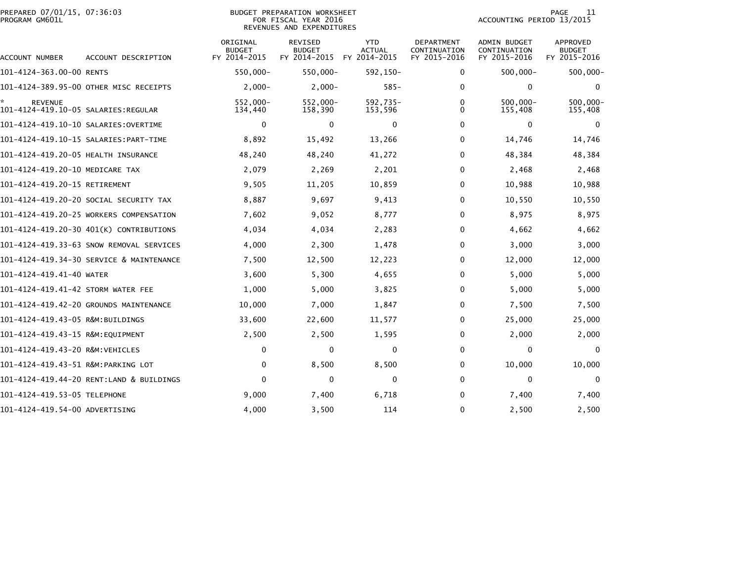| PREPARED 07/01/15, 07:36:03<br>BUDGET PREPARATION WORKSHEET<br>PROGRAM GM601L<br>FOR FISCAL YEAR 2016<br>REVENUES AND EXPENDITURES |                                          |                                           |                                                 |                                             |                                            | PAGE<br>11<br>ACCOUNTING PERIOD 13/2015      |                                           |  |
|------------------------------------------------------------------------------------------------------------------------------------|------------------------------------------|-------------------------------------------|-------------------------------------------------|---------------------------------------------|--------------------------------------------|----------------------------------------------|-------------------------------------------|--|
| ACCOUNT NUMBER                                                                                                                     | ACCOUNT DESCRIPTION                      | ORIGINAL<br><b>BUDGET</b><br>FY 2014-2015 | <b>REVISED</b><br><b>BUDGET</b><br>FY 2014-2015 | <b>YTD</b><br><b>ACTUAL</b><br>FY 2014-2015 | DEPARTMENT<br>CONTINUATION<br>FY 2015-2016 | ADMIN BUDGET<br>CONTINUATION<br>FY 2015-2016 | APPROVED<br><b>BUDGET</b><br>FY 2015-2016 |  |
| 101-4124-363.00-00 RENTS                                                                                                           |                                          | 550,000-                                  | 550,000-                                        | 592,150-                                    | 0                                          | $500,000 -$                                  | $500,000 -$                               |  |
|                                                                                                                                    | 101-4124-389.95-00 OTHER MISC RECEIPTS   | $2,000-$                                  | $2,000-$                                        | $585 -$                                     | $\Omega$                                   | $\mathbf{0}$                                 | $\Omega$                                  |  |
| ÷.<br><b>REVENUE</b>                                                                                                               |                                          | 552,000-<br>134,440                       | 552,000-<br>158,390                             | 592.735-<br>153,596                         | 0<br>0                                     | $500,000 -$<br>155,408                       | 500,000-<br>155,408                       |  |
|                                                                                                                                    |                                          | 0                                         | $\mathbf 0$                                     | $\mathbf 0$                                 | $\Omega$                                   | $\mathbf 0$                                  | $\Omega$                                  |  |
|                                                                                                                                    |                                          | 8,892                                     | 15,492                                          | 13,266                                      | 0                                          | 14,746                                       | 14,746                                    |  |
| 101-4124-419.20-05 HEALTH INSURANCE                                                                                                |                                          | 48,240                                    | 48,240                                          | 41,272                                      | $\Omega$                                   | 48,384                                       | 48,384                                    |  |
| 101-4124-419.20-10 MEDICARE TAX                                                                                                    |                                          | 2,079                                     | 2,269                                           | 2,201                                       | 0                                          | 2,468                                        | 2,468                                     |  |
| 101-4124-419.20-15 RETIREMENT                                                                                                      |                                          | 9,505                                     | 11,205                                          | 10,859                                      | 0                                          | 10,988                                       | 10,988                                    |  |
|                                                                                                                                    | 101–4124–419.20–20 SOCIAL SECURITY TAX   | 8,887                                     | 9,697                                           | 9,413                                       | $\Omega$                                   | 10,550                                       | 10,550                                    |  |
|                                                                                                                                    | 101-4124-419.20-25 WORKERS COMPENSATION  | 7,602                                     | 9,052                                           | 8,777                                       | $\Omega$                                   | 8,975                                        | 8,975                                     |  |
|                                                                                                                                    | 101-4124-419.20-30 401(K) CONTRIBUTIONS  | 4,034                                     | 4,034                                           | 2,283                                       | $\Omega$                                   | 4,662                                        | 4,662                                     |  |
|                                                                                                                                    | 101-4124-419.33-63 SNOW REMOVAL SERVICES | 4,000                                     | 2,300                                           | 1,478                                       | $\Omega$                                   | 3,000                                        | 3,000                                     |  |
|                                                                                                                                    | 101-4124-419.34-30 SERVICE & MAINTENANCE | 7,500                                     | 12,500                                          | 12,223                                      | $\Omega$                                   | 12,000                                       | 12,000                                    |  |
| 101-4124-419.41-40 WATER                                                                                                           |                                          | 3,600                                     | 5,300                                           | 4,655                                       | $\Omega$                                   | 5,000                                        | 5,000                                     |  |
| 101-4124-419.41-42 STORM WATER FEE                                                                                                 |                                          | 1,000                                     | 5,000                                           | 3,825                                       | 0                                          | 5,000                                        | 5,000                                     |  |
|                                                                                                                                    | 101-4124-419.42-20 GROUNDS MAINTENANCE   | 10,000                                    | 7,000                                           | 1,847                                       | $\Omega$                                   | 7,500                                        | 7,500                                     |  |
| 101-4124-419.43-05 R&M:BUILDINGS                                                                                                   |                                          | 33,600                                    | 22,600                                          | 11,577                                      | 0                                          | 25,000                                       | 25,000                                    |  |
| 101-4124-419.43-15 R&M:EQUIPMENT                                                                                                   |                                          | 2,500                                     | 2,500                                           | 1,595                                       | 0                                          | 2,000                                        | 2,000                                     |  |
| 101-4124-419.43-20 R&M:VEHICLES                                                                                                    |                                          | 0                                         | $\Omega$                                        | 0                                           | 0                                          | $\mathbf{0}$                                 | $\Omega$                                  |  |
| 101-4124-419.43-51 R&M:PARKING LOT                                                                                                 |                                          | $\mathbf 0$                               | 8,500                                           | 8,500                                       | $\Omega$                                   | 10,000                                       | 10,000                                    |  |
|                                                                                                                                    | 101-4124-419.44-20 RENT:LAND & BUILDINGS | $\Omega$                                  | $\Omega$                                        | $\mathbf{0}$                                | $\Omega$                                   | $\mathbf{0}$                                 | $\Omega$                                  |  |
| 101-4124-419.53-05 TELEPHONE                                                                                                       |                                          | 9,000                                     | 7,400                                           | 6,718                                       | 0                                          | 7,400                                        | 7,400                                     |  |
| 101-4124-419.54-00 ADVERTISING                                                                                                     |                                          | 4,000                                     | 3,500                                           | 114                                         | $\Omega$                                   | 2,500                                        | 2,500                                     |  |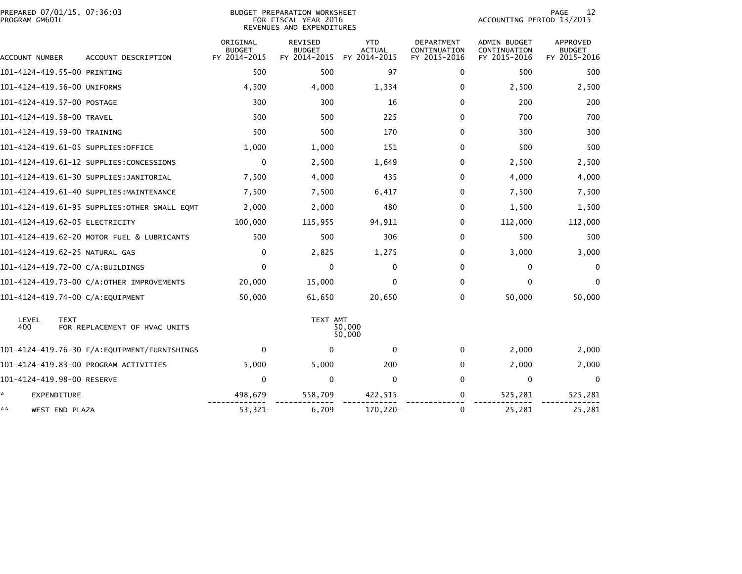| PREPARED 07/01/15, 07:36:03<br>PROGRAM GM601L |                                              | <b>BUDGET PREPARATION WORKSHEET</b><br>FOR FISCAL YEAR 2016<br>REVENUES AND EXPENDITURES | 12<br>PAGE<br>ACCOUNTING PERIOD 13/2015  |                                             |                                            |                                              |                                                  |
|-----------------------------------------------|----------------------------------------------|------------------------------------------------------------------------------------------|------------------------------------------|---------------------------------------------|--------------------------------------------|----------------------------------------------|--------------------------------------------------|
| ACCOUNT NUMBER                                | ACCOUNT DESCRIPTION                          | ORIGINAL<br><b>BUDGET</b><br>FY 2014-2015                                                | REVISED<br><b>BUDGET</b><br>FY 2014-2015 | <b>YTD</b><br><b>ACTUAL</b><br>FY 2014-2015 | DEPARTMENT<br>CONTINUATION<br>FY 2015-2016 | ADMIN BUDGET<br>CONTINUATION<br>FY 2015-2016 | <b>APPROVED</b><br><b>BUDGET</b><br>FY 2015-2016 |
| 101-4124-419.55-00 PRINTING                   |                                              | 500                                                                                      | 500                                      | 97                                          | 0                                          | 500                                          | 500                                              |
| 101-4124-419.56-00 UNIFORMS                   |                                              | 4,500                                                                                    | 4,000                                    | 1,334                                       | 0                                          | 2,500                                        | 2,500                                            |
| 101-4124-419.57-00 POSTAGE                    |                                              | 300                                                                                      | 300                                      | 16                                          | $\Omega$                                   | 200                                          | 200                                              |
| 101-4124-419.58-00 TRAVEL                     |                                              | 500                                                                                      | 500                                      | 225                                         | 0                                          | 700                                          | 700                                              |
| 101-4124-419.59-00 TRAINING                   |                                              | 500                                                                                      | 500                                      | 170                                         | $\Omega$                                   | 300                                          | 300                                              |
| 101-4124-419.61-05 SUPPLIES:OFFICE            |                                              | 1,000                                                                                    | 1,000                                    | 151                                         | $\Omega$                                   | 500                                          | 500                                              |
|                                               | 101-4124-419.61-12 SUPPLIES:CONCESSIONS      | $\mathbf 0$                                                                              | 2,500                                    | 1,649                                       | $\Omega$                                   | 2,500                                        | 2,500                                            |
|                                               | 101-4124-419.61-30 SUPPLIES:JANITORIAL       | 7,500                                                                                    | 4,000                                    | 435                                         | 0                                          | 4,000                                        | 4,000                                            |
|                                               | 101-4124-419.61-40 SUPPLIES:MAINTENANCE      | 7,500                                                                                    | 7,500                                    | 6,417                                       | 0                                          | 7,500                                        | 7,500                                            |
|                                               |                                              | 2,000                                                                                    | 2,000                                    | 480                                         | 0                                          | 1,500                                        | 1,500                                            |
| 101-4124-419.62-05 ELECTRICITY                |                                              | 100,000                                                                                  | 115,955                                  | 94,911                                      | 0                                          | 112,000                                      | 112,000                                          |
|                                               | 101-4124-419.62-20 MOTOR FUEL & LUBRICANTS   | 500                                                                                      | 500                                      | 306                                         | 0                                          | 500                                          | 500                                              |
| 101-4124-419.62-25 NATURAL GAS                |                                              | 0                                                                                        | 2,825                                    | 1,275                                       | 0                                          | 3,000                                        | 3,000                                            |
| 101-4124-419.72-00 C/A:BUILDINGS              |                                              | $\mathbf 0$                                                                              | 0                                        | 0                                           | 0                                          | 0                                            | $\mathbf{0}$                                     |
|                                               | 101-4124-419.73-00 C/A:OTHER IMPROVEMENTS    | 20,000                                                                                   | 15,000                                   | $\Omega$                                    | $\Omega$                                   | $\Omega$                                     | $\Omega$                                         |
| 101-4124-419.74-00 C/A:EQUIPMENT              |                                              | 50,000                                                                                   | 61,650                                   | 20,650                                      | $\Omega$                                   | 50,000                                       | 50,000                                           |
| LEVEL<br><b>TEXT</b><br>400                   | FOR REPLACEMENT OF HVAC UNITS                |                                                                                          | TEXT AMT                                 | 50,000<br>50,000                            |                                            |                                              |                                                  |
|                                               | 101-4124-419.76-30 F/A:EQUIPMENT/FURNISHINGS | 0                                                                                        | $\Omega$                                 | $\mathbf 0$                                 | 0                                          | 2,000                                        | 2,000                                            |
|                                               | 101-4124-419.83-00 PROGRAM ACTIVITIES        | 5,000                                                                                    | 5,000                                    | 200                                         | $\Omega$                                   | 2,000                                        | 2,000                                            |
| 101-4124-419.98-00 RESERVE                    |                                              | $\mathbf 0$                                                                              | $\Omega$                                 | $\mathbf 0$                                 | $\Omega$                                   | $\mathbf 0$                                  | $\mathbf 0$                                      |
| *<br>EXPENDITURE                              |                                              | 498,679                                                                                  | 558,709                                  | 422,515                                     | 0                                          | 525,281                                      | 525,281                                          |
| **<br>WEST END PLAZA                          |                                              | 53,321-                                                                                  | 6,709                                    | 170,220-                                    | 0                                          | 25,281                                       | 25,281                                           |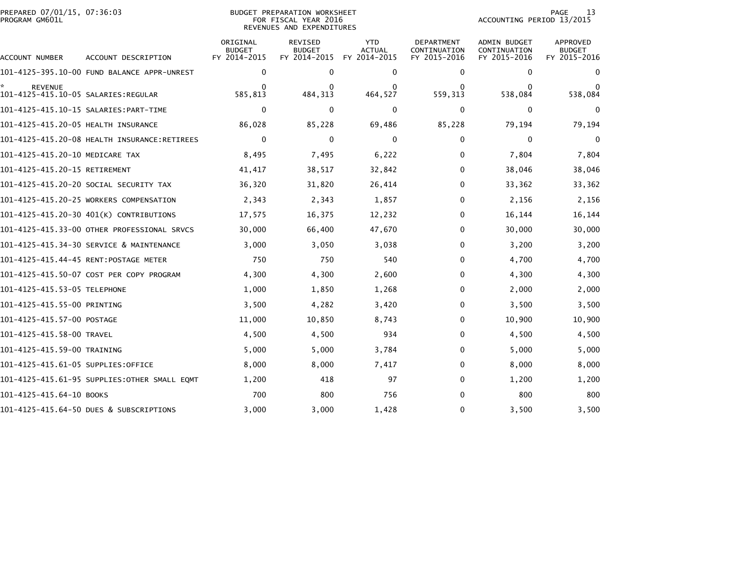| PREPARED 07/01/15, 07:36:03<br>PROGRAM GM601L         |                                              |                                           | BUDGET PREPARATION WORKSHEET<br>FOR FISCAL YEAR 2016<br>REVENUES AND EXPENDITURES | 13<br>PAGE<br>ACCOUNTING PERIOD 13/2015     |                                            |                                                     |                                                  |
|-------------------------------------------------------|----------------------------------------------|-------------------------------------------|-----------------------------------------------------------------------------------|---------------------------------------------|--------------------------------------------|-----------------------------------------------------|--------------------------------------------------|
| ACCOUNT NUMBER                                        | ACCOUNT DESCRIPTION                          | ORIGINAL<br><b>BUDGET</b><br>FY 2014-2015 | <b>REVISED</b><br><b>BUDGET</b><br>FY 2014-2015                                   | <b>YTD</b><br><b>ACTUAL</b><br>FY 2014-2015 | DEPARTMENT<br>CONTINUATION<br>FY 2015-2016 | <b>ADMIN BUDGET</b><br>CONTINUATION<br>FY 2015-2016 | <b>APPROVED</b><br><b>BUDGET</b><br>FY 2015-2016 |
|                                                       | 101-4125-395.10-00 FUND BALANCE APPR-UNREST  | $\mathbf 0$                               | 0                                                                                 | 0                                           | 0                                          | 0                                                   | $\mathbf{0}$                                     |
| <b>REVENUE</b><br>101-4125-415.10-05 SALARIES:REGULAR |                                              | 0<br>585,813                              | 0<br>484, 313                                                                     | 0<br>464,527                                | 0<br>559,313                               | $\bf{0}$<br>538,084                                 | 0<br>538,084                                     |
|                                                       |                                              | $\mathbf 0$                               | $\Omega$                                                                          | 0                                           | $\Omega$                                   | 0                                                   | $\Omega$                                         |
| 101-4125-415.20-05 HEALTH INSURANCE                   |                                              | 86,028                                    | 85,228                                                                            | 69,486                                      | 85,228                                     | 79,194                                              | 79,194                                           |
|                                                       | 101-4125-415.20-08 HEALTH INSURANCE:RETIREES | $\mathbf 0$                               | 0                                                                                 | 0                                           | 0                                          | 0                                                   | $\mathbf 0$                                      |
| 101-4125-415.20-10 MEDICARE TAX                       |                                              | 8,495                                     | 7,495                                                                             | 6,222                                       | 0                                          | 7,804                                               | 7,804                                            |
| 101-4125-415.20-15 RETIREMENT                         |                                              | 41,417                                    | 38,517                                                                            | 32,842                                      | 0                                          | 38,046                                              | 38,046                                           |
|                                                       | 101–4125–415.20–20 SOCIAL SECURITY TAX       | 36,320                                    | 31,820                                                                            | 26,414                                      | 0                                          | 33,362                                              | 33,362                                           |
|                                                       | 101-4125-415.20-25 WORKERS COMPENSATION      | 2,343                                     | 2,343                                                                             | 1,857                                       | $\Omega$                                   | 2,156                                               | 2,156                                            |
|                                                       | 101-4125-415.20-30 401(K) CONTRIBUTIONS      | 17,575                                    | 16,375                                                                            | 12,232                                      | 0                                          | 16,144                                              | 16,144                                           |
|                                                       | 101-4125-415.33-00 OTHER PROFESSIONAL SRVCS  | 30,000                                    | 66,400                                                                            | 47,670                                      | $\Omega$                                   | 30,000                                              | 30,000                                           |
|                                                       | 101-4125-415.34-30 SERVICE & MAINTENANCE     | 3,000                                     | 3,050                                                                             | 3,038                                       | $\Omega$                                   | 3,200                                               | 3,200                                            |
|                                                       |                                              | 750                                       | 750                                                                               | 540                                         | 0                                          | 4,700                                               | 4,700                                            |
|                                                       | 101-4125-415.50-07 COST PER COPY PROGRAM     | 4,300                                     | 4,300                                                                             | 2,600                                       | 0                                          | 4,300                                               | 4,300                                            |
| 101-4125-415.53-05 TELEPHONE                          |                                              | 1,000                                     | 1,850                                                                             | 1,268                                       | $\Omega$                                   | 2,000                                               | 2,000                                            |
| 101-4125-415.55-00 PRINTING                           |                                              | 3,500                                     | 4,282                                                                             | 3,420                                       | 0                                          | 3,500                                               | 3,500                                            |
| 101-4125-415.57-00 POSTAGE                            |                                              | 11,000                                    | 10,850                                                                            | 8,743                                       | $\Omega$                                   | 10,900                                              | 10,900                                           |
| 101-4125-415.58-00 TRAVEL                             |                                              | 4,500                                     | 4,500                                                                             | 934                                         | 0                                          | 4,500                                               | 4,500                                            |
| 101-4125-415.59-00 TRAINING                           |                                              | 5,000                                     | 5,000                                                                             | 3,784                                       | $\Omega$                                   | 5,000                                               | 5,000                                            |
| 101-4125-415.61-05 SUPPLIES:OFFICE                    |                                              | 8,000                                     | 8,000                                                                             | 7,417                                       | 0                                          | 8,000                                               | 8,000                                            |
|                                                       | 101-4125-415.61-95 SUPPLIES:OTHER SMALL EQMT | 1,200                                     | 418                                                                               | 97                                          | 0                                          | 1,200                                               | 1,200                                            |
| 101-4125-415.64-10 BOOKS                              |                                              | 700                                       | 800                                                                               | 756                                         | 0                                          | 800                                                 | 800                                              |
|                                                       | 101-4125-415.64-50 DUES & SUBSCRIPTIONS      | 3,000                                     | 3,000                                                                             | 1,428                                       | 0                                          | 3,500                                               | 3,500                                            |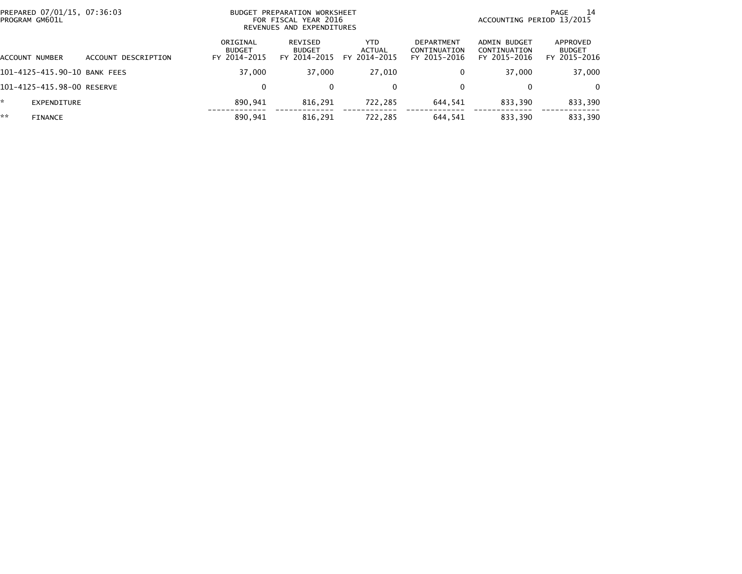|    | PREPARED 07/01/15, 07:36:03<br>PROGRAM GM601L |                     |                                           | BUDGET PREPARATION WORKSHEET<br>FOR FISCAL YEAR 2016<br>REVENUES AND EXPENDITURES | 14<br>PAGE<br>ACCOUNTING PERIOD 13/2015 |                                                   |                                              |                                           |
|----|-----------------------------------------------|---------------------|-------------------------------------------|-----------------------------------------------------------------------------------|-----------------------------------------|---------------------------------------------------|----------------------------------------------|-------------------------------------------|
|    | ACCOUNT NUMBER                                | ACCOUNT DESCRIPTION | ORIGINAL<br><b>BUDGET</b><br>FY 2014-2015 | REVISED<br><b>BUDGET</b><br>FY 2014-2015                                          | <b>YTD</b><br>ACTUAL<br>FY 2014-2015    | <b>DEPARTMENT</b><br>CONTINUATION<br>FY 2015-2016 | ADMIN BUDGET<br>CONTINUATION<br>FY 2015-2016 | APPROVED<br><b>BUDGET</b><br>FY 2015-2016 |
|    | 101-4125-415.90-10 BANK FEES                  |                     | 37,000                                    | 37.000                                                                            | 27,010                                  | 0                                                 | 37,000                                       | 37,000                                    |
|    | 101-4125-415.98-00 RESERVE                    |                     | 0                                         | 0                                                                                 | 0                                       | 0                                                 |                                              | 0                                         |
| *  | EXPENDITURE                                   |                     | 890.941                                   | 816,291                                                                           | 722,285                                 | 644,541                                           | 833.390                                      | 833,390                                   |
| ** | <b>FINANCE</b>                                |                     | 890,941                                   | 816,291                                                                           | 722,285                                 | 644,541                                           | 833,390                                      | 833,390                                   |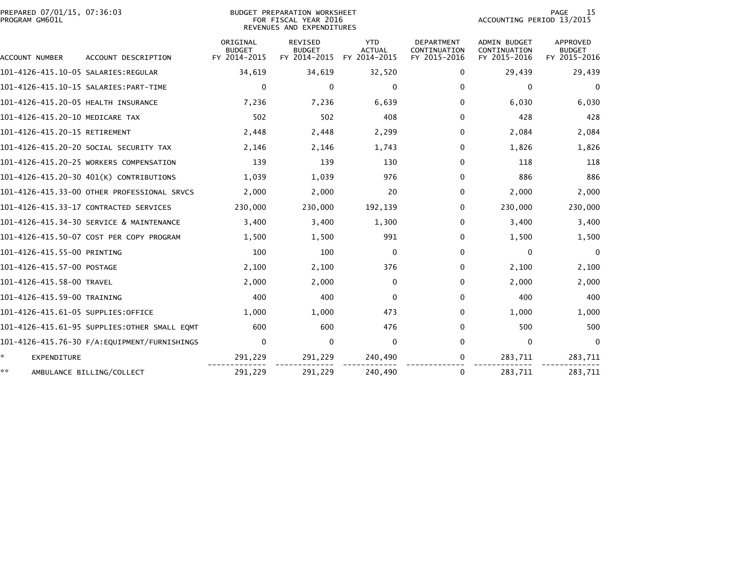| PREPARED 07/01/15, 07:36:03<br>PROGRAM GM601L |                                              |                           | BUDGET PREPARATION WORKSHEET<br>FOR FISCAL YEAR 2016<br>REVENUES AND EXPENDITURES |                             | 15<br><b>PAGE</b><br>ACCOUNTING PERIOD 13/2015 |                              |                           |  |
|-----------------------------------------------|----------------------------------------------|---------------------------|-----------------------------------------------------------------------------------|-----------------------------|------------------------------------------------|------------------------------|---------------------------|--|
|                                               |                                              | ORIGINAL<br><b>BUDGET</b> | <b>REVISED</b><br><b>BUDGET</b>                                                   | <b>YTD</b><br><b>ACTUAL</b> | <b>DEPARTMENT</b><br>CONTINUATION              | ADMIN BUDGET<br>CONTINUATION | APPROVED<br><b>BUDGET</b> |  |
| ACCOUNT NUMBER                                | ACCOUNT DESCRIPTION                          | FY 2014-2015              | FY 2014-2015                                                                      | FY 2014-2015                | FY 2015-2016                                   | FY 2015-2016                 | FY 2015-2016              |  |
|                                               |                                              | 34,619                    | 34,619                                                                            | 32,520                      | 0                                              | 29,439                       | 29,439                    |  |
|                                               |                                              | 0                         | $\Omega$                                                                          | $\Omega$                    | $\Omega$                                       | $\Omega$                     | $\mathbf{0}$              |  |
| 101-4126-415.20-05 HEALTH INSURANCE           |                                              | 7,236                     | 7,236                                                                             | 6,639                       | $\Omega$                                       | 6,030                        | 6,030                     |  |
| 101-4126-415.20-10 MEDICARE TAX               |                                              | 502                       | 502                                                                               | 408                         | 0                                              | 428                          | 428                       |  |
| 101-4126-415.20-15 RETIREMENT                 |                                              | 2,448                     | 2,448                                                                             | 2,299                       | 0                                              | 2,084                        | 2,084                     |  |
| 101–4126–415.20–20 SOCIAL SECURITY TAX        |                                              | 2,146                     | 2,146                                                                             | 1,743                       | 0                                              | 1,826                        | 1,826                     |  |
| 101-4126-415.20-25 WORKERS COMPENSATION       |                                              | 139                       | 139                                                                               | 130                         | 0                                              | 118                          | 118                       |  |
| 101-4126-415.20-30 401(K) CONTRIBUTIONS       |                                              | 1,039                     | 1,039                                                                             | 976                         | 0                                              | 886                          | 886                       |  |
|                                               | 101-4126-415.33-00 OTHER PROFESSIONAL SRVCS  | 2,000                     | 2,000                                                                             | 20                          | 0                                              | 2,000                        | 2,000                     |  |
| 101-4126-415.33-17 CONTRACTED SERVICES        |                                              | 230,000                   | 230,000                                                                           | 192,139                     | 0                                              | 230,000                      | 230,000                   |  |
| 101-4126-415.34-30 SERVICE & MAINTENANCE      |                                              | 3,400                     | 3,400                                                                             | 1,300                       | 0                                              | 3,400                        | 3,400                     |  |
|                                               | 101-4126-415.50-07 COST PER COPY PROGRAM     | 1,500                     | 1,500                                                                             | 991                         | 0                                              | 1,500                        | 1,500                     |  |
| 101-4126-415.55-00 PRINTING                   |                                              | 100                       | 100                                                                               | 0                           | 0                                              | 0                            | $\mathbf{0}$              |  |
| 101-4126-415.57-00 POSTAGE                    |                                              | 2,100                     | 2,100                                                                             | 376                         | $\Omega$                                       | 2,100                        | 2,100                     |  |
| 101-4126-415.58-00 TRAVEL                     |                                              | 2,000                     | 2,000                                                                             | $\Omega$                    | $\Omega$                                       | 2,000                        | 2,000                     |  |
| 101-4126-415.59-00 TRAINING                   |                                              | 400                       | 400                                                                               | $\Omega$                    | $\Omega$                                       | 400                          | 400                       |  |
| 101-4126-415.61-05 SUPPLIES:OFFICE            |                                              | 1,000                     | 1,000                                                                             | 473                         | 0                                              | 1,000                        | 1,000                     |  |
|                                               | 101-4126-415.61-95 SUPPLIES:OTHER SMALL EOMT | 600                       | 600                                                                               | 476                         | 0                                              | 500                          | 500                       |  |
|                                               |                                              | $\mathbf 0$               | $\mathbf 0$                                                                       | $\mathbf 0$                 | 0                                              | $\mathbf 0$                  | $\mathbf{0}$              |  |
| ×.<br>EXPENDITURE                             |                                              | 291,229                   | 291,229                                                                           | 240,490                     | 0                                              | 283,711                      | 283,711                   |  |
| **<br>AMBULANCE BILLING/COLLECT               |                                              | 291,229                   | 291,229                                                                           | 240,490                     | 0                                              | 283,711                      | 283,711                   |  |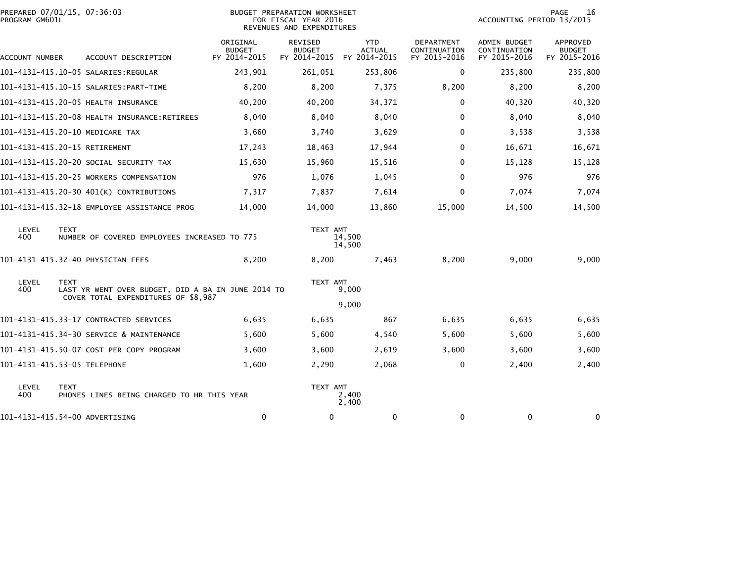| PROGRAM GM601L | PREPARED 07/01/15, 07:36:03                                                                              |                                           | <b>BUDGET PREPARATION WORKSHEET</b><br>FOR FISCAL YEAR 2016<br>REVENUES AND EXPENDITURES |                             | PAGE<br>16<br>ACCOUNTING PERIOD 13/2015    |                                              |                                           |
|----------------|----------------------------------------------------------------------------------------------------------|-------------------------------------------|------------------------------------------------------------------------------------------|-----------------------------|--------------------------------------------|----------------------------------------------|-------------------------------------------|
| ACCOUNT NUMBER | ACCOUNT DESCRIPTION                                                                                      | ORIGINAL<br><b>BUDGET</b><br>FY 2014-2015 | REVISED<br><b>BUDGET</b><br>FY 2014-2015 FY 2014-2015                                    | <b>YTD</b><br><b>ACTUAL</b> | DEPARTMENT<br>CONTINUATION<br>FY 2015-2016 | ADMIN BUDGET<br>CONTINUATION<br>FY 2015-2016 | APPROVED<br><b>BUDGET</b><br>FY 2015-2016 |
|                | 101-4131-415.10-05 SALARIES:REGULAR                                                                      | 243,901                                   | 261,051                                                                                  | 253,806                     | 0                                          | 235,800                                      | 235,800                                   |
|                |                                                                                                          | 8,200                                     | 8,200                                                                                    | 7,375                       | 8,200                                      | 8,200                                        | 8,200                                     |
|                | 101-4131-415.20-05 HEALTH INSURANCE                                                                      | 40,200                                    | 40,200                                                                                   | 34,371                      | 0                                          | 40,320                                       | 40,320                                    |
|                |                                                                                                          | 8,040                                     | 8,040                                                                                    | 8,040                       | 0                                          | 8,040                                        | 8,040                                     |
|                | 101-4131-415.20-10 MEDICARE TAX                                                                          | 3,660                                     | 3,740                                                                                    | 3,629                       | 0                                          | 3,538                                        | 3,538                                     |
|                | 101-4131-415.20-15 RETIREMENT                                                                            | 17,243                                    | 18,463                                                                                   | 17,944                      | 0                                          | 16,671                                       | 16,671                                    |
|                | 101-4131-415.20-20 SOCIAL SECURITY TAX                                                                   | 15,630                                    | 15,960                                                                                   | 15,516                      | 0                                          | 15,128                                       | 15,128                                    |
|                | 101-4131-415.20-25 WORKERS COMPENSATION                                                                  | 976                                       | 1,076                                                                                    | 1,045                       | 0                                          | 976                                          | 976                                       |
|                | 101-4131-415.20-30 401(K) CONTRIBUTIONS                                                                  | 7,317                                     | 7,837                                                                                    | 7,614                       | 0                                          | 7,074                                        | 7,074                                     |
|                | 101-4131-415.32-18 EMPLOYEE ASSISTANCE PROG                                                              | 14,000                                    | 14,000                                                                                   | 13,860                      | 15,000                                     | 14,500                                       | 14,500                                    |
| LEVEL<br>400   | <b>TEXT</b><br>NUMBER OF COVERED EMPLOYEES INCREASED TO 775                                              |                                           | TEXT AMT                                                                                 | 14,500<br>14,500            |                                            |                                              |                                           |
|                | 101-4131-415.32-40 PHYSICIAN FEES                                                                        | 8,200                                     | 8,200                                                                                    | 7,463                       | 8,200                                      | 9,000                                        | 9,000                                     |
| LEVEL<br>400   | <b>TEXT</b><br>LAST YR WENT OVER BUDGET, DID A BA IN JUNE 2014 TO<br>COVER TOTAL EXPENDITURES OF \$8,987 |                                           | TEXT AMT                                                                                 | 9,000                       |                                            |                                              |                                           |
|                |                                                                                                          |                                           |                                                                                          | 9,000                       |                                            |                                              |                                           |
|                | 101-4131-415.33-17 CONTRACTED SERVICES                                                                   | 6,635                                     | 6,635                                                                                    | 867                         | 6,635                                      | 6,635                                        | 6,635                                     |
|                | 101-4131-415.34-30 SERVICE & MAINTENANCE                                                                 | 5,600                                     | 5,600                                                                                    | 4,540                       | 5,600                                      | 5,600                                        | 5,600                                     |
|                | 101-4131-415.50-07 COST PER COPY PROGRAM                                                                 | 3,600                                     | 3,600                                                                                    | 2,619                       | 3,600                                      | 3,600                                        | 3,600                                     |
|                | 101-4131-415.53-05 TELEPHONE                                                                             | 1,600                                     | 2,290                                                                                    | 2,068                       | 0                                          | 2,400                                        | 2,400                                     |
| LEVEL<br>400   | <b>TEXT</b><br>PHONES LINES BEING CHARGED TO HR THIS YEAR                                                |                                           | TEXT AMT                                                                                 | 2,400<br>2,400              |                                            |                                              |                                           |
|                | 101-4131-415.54-00 ADVERTISING                                                                           | 0                                         | 0                                                                                        | 0                           | 0                                          | $\mathbf{0}$                                 | 0                                         |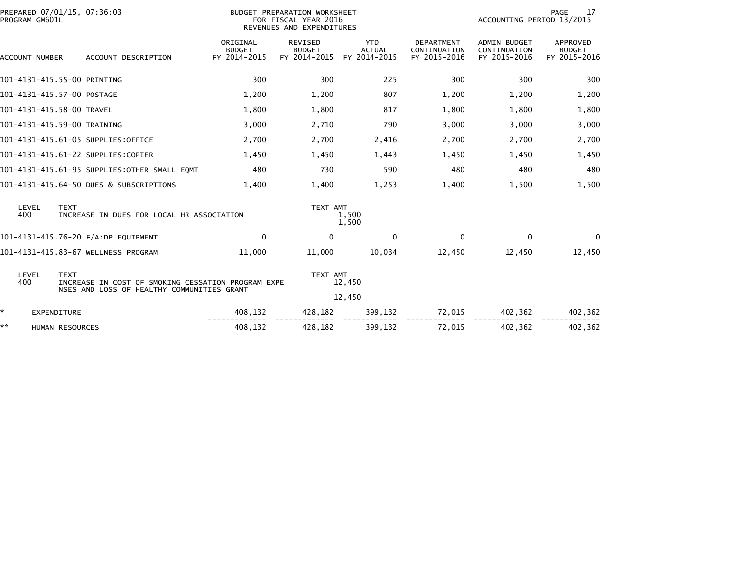| PROGRAM GM601L             | PREPARED 07/01/15, 07:36:03                                                                                     |                                           | BUDGET PREPARATION WORKSHEET<br>FOR FISCAL YEAR 2016<br>REVENUES AND EXPENDITURES |                                             | PAGE<br>17<br>ACCOUNTING PERIOD 13/2015           |                                                     |                                                  |  |
|----------------------------|-----------------------------------------------------------------------------------------------------------------|-------------------------------------------|-----------------------------------------------------------------------------------|---------------------------------------------|---------------------------------------------------|-----------------------------------------------------|--------------------------------------------------|--|
| <b>ACCOUNT NUMBER</b>      | ACCOUNT DESCRIPTION                                                                                             | ORIGINAL<br><b>BUDGET</b><br>FY 2014-2015 | <b>REVISED</b><br><b>BUDGET</b><br>FY 2014-2015                                   | <b>YTD</b><br><b>ACTUAL</b><br>FY 2014-2015 | <b>DEPARTMENT</b><br>CONTINUATION<br>FY 2015-2016 | <b>ADMIN BUDGET</b><br>CONTINUATION<br>FY 2015-2016 | <b>APPROVED</b><br><b>BUDGET</b><br>FY 2015-2016 |  |
|                            | 101-4131-415.55-00 PRINTING                                                                                     | 300                                       | 300                                                                               | 225                                         | 300                                               | 300                                                 | 300                                              |  |
| 101-4131-415.57-00 POSTAGE |                                                                                                                 | 1,200                                     | 1,200                                                                             | 807                                         | 1,200                                             | 1,200                                               | 1,200                                            |  |
| 101-4131-415.58-00 TRAVEL  |                                                                                                                 | 1,800                                     | 1,800                                                                             | 817                                         | 1,800                                             | 1,800                                               | 1,800                                            |  |
|                            | 101-4131-415.59-00 TRAINING                                                                                     | 3,000                                     | 2,710                                                                             | 790                                         | 3,000                                             | 3,000                                               | 3,000                                            |  |
|                            | 101-4131-415.61-05 SUPPLIES:OFFICE                                                                              | 2,700                                     | 2,700                                                                             | 2,416                                       | 2,700                                             | 2,700                                               | 2,700                                            |  |
|                            | 101-4131-415.61-22 SUPPLIES:COPIER                                                                              | 1,450                                     | 1,450                                                                             | 1,443                                       | 1,450                                             | 1,450                                               | 1,450                                            |  |
|                            | 101-4131-415.61-95 SUPPLIES:OTHER SMALL EQMT                                                                    | 480                                       | 730                                                                               | 590                                         | 480                                               | 480                                                 | 480                                              |  |
|                            | 101-4131-415.64-50 DUES & SUBSCRIPTIONS                                                                         | 1,400                                     | 1,400                                                                             | 1,253                                       | 1,400                                             | 1,500                                               | 1,500                                            |  |
| LEVEL<br>400               | <b>TEXT</b><br>INCREASE IN DUES FOR LOCAL HR ASSOCIATION                                                        |                                           | TEXT AMT                                                                          | 1,500<br>1,500                              |                                                   |                                                     |                                                  |  |
|                            | 101-4131-415.76-20 F/A:DP EQUIPMENT                                                                             | $\Omega$                                  | $\mathbf{0}$                                                                      | $\mathbf{0}$                                | 0                                                 | $\Omega$                                            | $\Omega$                                         |  |
|                            | 101-4131-415.83-67 WELLNESS PROGRAM                                                                             | 11,000                                    | 11,000                                                                            | 10.034                                      | 12,450                                            | 12,450                                              | 12,450                                           |  |
| LEVEL<br>400               | <b>TEXT</b><br>INCREASE IN COST OF SMOKING CESSATION PROGRAM EXPE<br>NSES AND LOSS OF HEALTHY COMMUNITIES GRANT |                                           | TEXT AMT                                                                          | 12,450<br>12,450                            |                                                   |                                                     |                                                  |  |
| *<br><b>EXPENDITURE</b>    |                                                                                                                 | 408,132                                   | 428,182                                                                           | 399,132                                     | 72,015                                            | 402,362                                             | 402,362                                          |  |
| **                         | HUMAN RESOURCES                                                                                                 | 408,132                                   | 428,182                                                                           | 399,132                                     | 72,015                                            | 402.362                                             | 402,362                                          |  |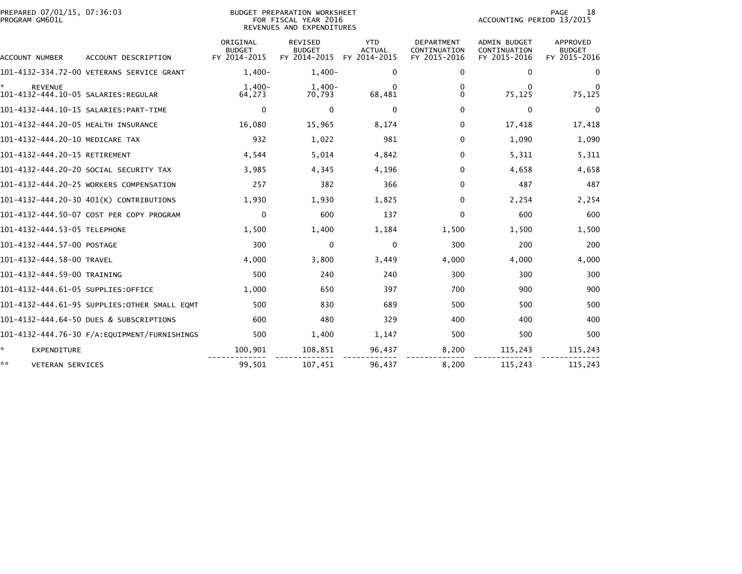| PREPARED 07/01/15, 07:36:03<br>PROGRAM GM601L |                                              |                                           | BUDGET PREPARATION WORKSHEET<br>FOR FISCAL YEAR 2016<br>REVENUES AND EXPENDITURES |                                             | PAGE<br>18<br>ACCOUNTING PERIOD 13/2015           |                                              |                                           |  |
|-----------------------------------------------|----------------------------------------------|-------------------------------------------|-----------------------------------------------------------------------------------|---------------------------------------------|---------------------------------------------------|----------------------------------------------|-------------------------------------------|--|
| ACCOUNT NUMBER                                | ACCOUNT DESCRIPTION                          | ORIGINAL<br><b>BUDGET</b><br>FY 2014-2015 | <b>REVISED</b><br><b>BUDGET</b><br>FY 2014-2015                                   | <b>YTD</b><br><b>ACTUAL</b><br>FY 2014-2015 | <b>DEPARTMENT</b><br>CONTINUATION<br>FY 2015-2016 | ADMIN BUDGET<br>CONTINUATION<br>FY 2015-2016 | APPROVED<br><b>BUDGET</b><br>FY 2015-2016 |  |
|                                               | 101-4132-334.72-00 VETERANS SERVICE GRANT    | $1.400 -$                                 | $1.400 -$                                                                         | 0                                           | 0                                                 | 0                                            | $\Omega$                                  |  |
| <b>REVENUE</b>                                |                                              | $1.400 -$<br>64,273                       | $1,400-$<br>70,793                                                                | 0<br>68,481                                 | 0<br>0                                            | 0<br>75,125                                  | 75,125                                    |  |
|                                               |                                              | 0                                         | $\Omega$                                                                          | $\Omega$                                    | $\Omega$                                          | 0                                            | $\Omega$                                  |  |
| 101-4132-444.20-05 HEALTH INSURANCE           |                                              | 16,080                                    | 15,965                                                                            | 8,174                                       | 0                                                 | 17,418                                       | 17,418                                    |  |
| 101-4132-444.20-10 MEDICARE TAX               |                                              | 932                                       | 1,022                                                                             | 981                                         | 0                                                 | 1,090                                        | 1,090                                     |  |
| 101-4132-444.20-15 RETIREMENT                 |                                              | 4,544                                     | 5,014                                                                             | 4,842                                       | $\Omega$                                          | 5,311                                        | 5,311                                     |  |
|                                               | 101-4132-444.20-20 SOCIAL SECURITY TAX       | 3,985                                     | 4,345                                                                             | 4,196                                       | 0                                                 | 4,658                                        | 4,658                                     |  |
|                                               | 101-4132-444.20-25 WORKERS COMPENSATION      | 257                                       | 382                                                                               | 366                                         | $\Omega$                                          | 487                                          | 487                                       |  |
|                                               | 101-4132-444.20-30 401(K) CONTRIBUTIONS      | 1,930                                     | 1,930                                                                             | 1,825                                       | $\Omega$                                          | 2,254                                        | 2,254                                     |  |
|                                               | 101-4132-444.50-07 COST PER COPY PROGRAM     | 0                                         | 600                                                                               | 137                                         | $\Omega$                                          | 600                                          | 600                                       |  |
| 101-4132-444.53-05 TELEPHONE                  |                                              | 1,500                                     | 1,400                                                                             | 1,184                                       | 1,500                                             | 1,500                                        | 1,500                                     |  |
| 101-4132-444.57-00 POSTAGE                    |                                              | 300                                       | $\mathbf{0}$                                                                      | $\Omega$                                    | 300                                               | 200                                          | 200                                       |  |
| 101-4132-444.58-00 TRAVEL                     |                                              | 4,000                                     | 3,800                                                                             | 3,449                                       | 4,000                                             | 4,000                                        | 4,000                                     |  |
| 101-4132-444.59-00 TRAINING                   |                                              | 500                                       | 240                                                                               | 240                                         | 300                                               | 300                                          | 300                                       |  |
| 101-4132-444.61-05 SUPPLIES:OFFICE            |                                              | 1,000                                     | 650                                                                               | 397                                         | 700                                               | 900                                          | 900                                       |  |
|                                               | 101-4132-444.61-95 SUPPLIES:OTHER SMALL EQMT | 500                                       | 830                                                                               | 689                                         | 500                                               | 500                                          | 500                                       |  |
|                                               | 101-4132-444.64-50 DUES & SUBSCRIPTIONS      | 600                                       | 480                                                                               | 329                                         | 400                                               | 400                                          | 400                                       |  |
|                                               |                                              | 500                                       | 1,400                                                                             | 1,147                                       | 500                                               | 500                                          | 500                                       |  |
| ÷.<br><b>EXPENDITURE</b>                      |                                              | 100,901                                   | 108,851                                                                           | 96,437                                      | 8,200                                             | 115,243                                      | 115,243                                   |  |
| **<br>VETERAN SERVICES                        |                                              | 99,501                                    | 107,451                                                                           | 96,437                                      | 8,200                                             | 115,243                                      | 115,243                                   |  |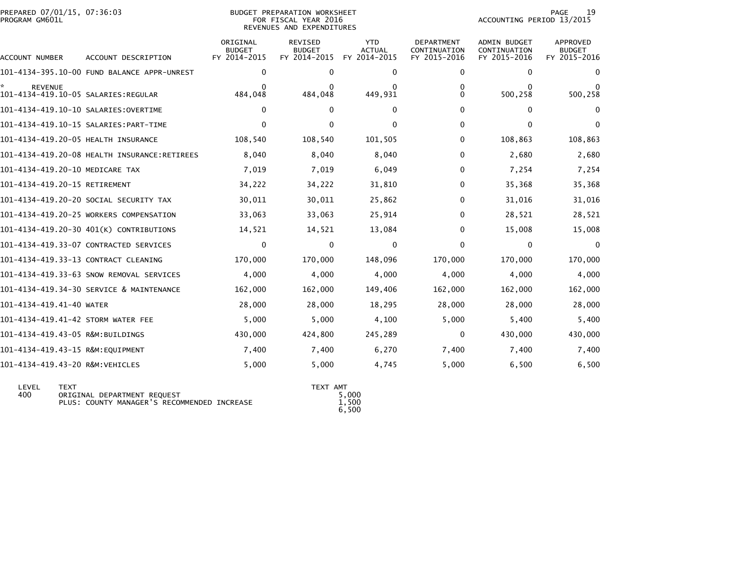| PROGRAM GM601L                       |                                              |                                           | FOR FISCAL YEAR 2016<br>REVENUES AND EXPENDITURES |                                             | ACCOUNTING PERIOD 13/2015                         |                                                     |                                           |  |
|--------------------------------------|----------------------------------------------|-------------------------------------------|---------------------------------------------------|---------------------------------------------|---------------------------------------------------|-----------------------------------------------------|-------------------------------------------|--|
| ACCOUNT NUMBER                       | ACCOUNT DESCRIPTION                          | ORIGINAL<br><b>BUDGET</b><br>FY 2014-2015 | <b>REVISED</b><br><b>BUDGET</b><br>FY 2014-2015   | <b>YTD</b><br><b>ACTUAL</b><br>FY 2014-2015 | <b>DEPARTMENT</b><br>CONTINUATION<br>FY 2015-2016 | <b>ADMIN BUDGET</b><br>CONTINUATION<br>FY 2015-2016 | APPROVED<br><b>BUDGET</b><br>FY 2015-2016 |  |
|                                      | 101-4134-395.10-00 FUND BALANCE APPR-UNREST  | 0                                         | $\Omega$                                          | $\Omega$                                    | $\Omega$                                          | 0                                                   | <sup>0</sup>                              |  |
| <b>REVENUE</b>                       |                                              | 484,048                                   | 484,048                                           | 449,931                                     | 0<br>$\Omega$                                     | 0<br>500,258                                        | 500,258                                   |  |
| 101-4134-419.10-10 SALARIES:OVERTIME |                                              | $\mathbf{0}$                              | 0                                                 | $\Omega$                                    | $\Omega$                                          | 0                                                   | $\Omega$                                  |  |
|                                      |                                              | $\Omega$                                  | $\mathbf{0}$                                      | $\Omega$                                    | $\Omega$                                          | 0                                                   | $\Omega$                                  |  |
| 101-4134-419.20-05 HEALTH INSURANCE  |                                              | 108,540                                   | 108,540                                           | 101,505                                     | 0                                                 | 108,863                                             | 108,863                                   |  |
|                                      | 101-4134-419.20-08 HEALTH INSURANCE:RETIREES | 8,040                                     | 8,040                                             | 8,040                                       | 0                                                 | 2,680                                               | 2,680                                     |  |
| 101-4134-419.20-10 MEDICARE TAX      |                                              | 7,019                                     | 7,019                                             | 6,049                                       | 0                                                 | 7,254                                               | 7,254                                     |  |
| 101-4134-419.20-15 RETIREMENT        |                                              | 34,222                                    | 34,222                                            | 31,810                                      | 0                                                 | 35,368                                              | 35,368                                    |  |
|                                      | 101-4134-419.20-20 SOCIAL SECURITY TAX       | 30,011                                    | 30,011                                            | 25,862                                      | 0                                                 | 31,016                                              | 31,016                                    |  |
|                                      | 101-4134-419.20-25 WORKERS COMPENSATION      | 33,063                                    | 33,063                                            | 25,914                                      | 0                                                 | 28,521                                              | 28,521                                    |  |
|                                      | 101-4134-419.20-30 401(K) CONTRIBUTIONS      | 14,521                                    | 14,521                                            | 13,084                                      | 0                                                 | 15,008                                              | 15,008                                    |  |
|                                      | 101-4134-419.33-07 CONTRACTED SERVICES       | 0                                         | 0                                                 | 0                                           | 0                                                 | 0                                                   | 0                                         |  |
| 101-4134-419.33-13 CONTRACT CLEANING |                                              | 170,000                                   | 170,000                                           | 148,096                                     | 170,000                                           | 170,000                                             | 170,000                                   |  |
|                                      | 101-4134-419.33-63 SNOW REMOVAL SERVICES     | 4,000                                     | 4,000                                             | 4,000                                       | 4,000                                             | 4,000                                               | 4,000                                     |  |
|                                      | 101-4134-419.34-30 SERVICE & MAINTENANCE     | 162,000                                   | 162,000                                           | 149,406                                     | 162,000                                           | 162,000                                             | 162,000                                   |  |
| 101-4134-419.41-40 WATER             |                                              | 28,000                                    | 28,000                                            | 18,295                                      | 28,000                                            | 28,000                                              | 28,000                                    |  |
| 101-4134-419.41-42 STORM WATER FEE   |                                              | 5,000                                     | 5,000                                             | 4,100                                       | 5,000                                             | 5,400                                               | 5,400                                     |  |
| 101-4134-419.43-05 R&M:BUILDINGS     |                                              | 430,000                                   | 424,800                                           | 245,289                                     | $\mathbf{0}$                                      | 430,000                                             | 430,000                                   |  |
| 101-4134-419.43-15 R&M:EQUIPMENT     |                                              | 7,400                                     | 7,400                                             | 6,270                                       | 7,400                                             | 7,400                                               | 7,400                                     |  |
| 101-4134-419.43-20 R&M:VEHICLES      |                                              | 5,000                                     | 5,000                                             | 4,745                                       | 5,000                                             | 6,500                                               | 6,500                                     |  |
|                                      |                                              |                                           |                                                   |                                             |                                                   |                                                     |                                           |  |

PREPARED 07/01/15, 07:36:03 BUDGET PREPARATION WORKSHEET PAGE 19

| I FVFI<br>400 | <b>TFYT</b><br>ORIGINAL DEPARTMENT REOUEST<br>PLUS: COUNTY MANAGER'S RECOMMENDED INCREASE | TEXT AMT<br>5,000<br>1,500 |
|---------------|-------------------------------------------------------------------------------------------|----------------------------|
|               |                                                                                           | 6.500                      |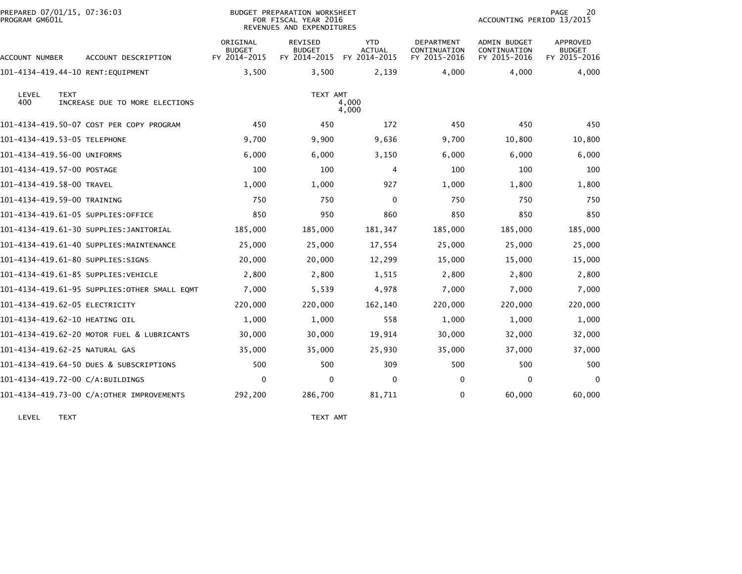| PREPARED 07/01/15, 07:36:03<br>PROGRAM GM601L |                                               |                                           | BUDGET PREPARATION WORKSHEET<br>FOR FISCAL YEAR 2016<br>REVENUES AND EXPENDITURES |                                             |                                                   | ACCOUNTING PERIOD 13/2015                           | 20<br><b>PAGE</b>                         |
|-----------------------------------------------|-----------------------------------------------|-------------------------------------------|-----------------------------------------------------------------------------------|---------------------------------------------|---------------------------------------------------|-----------------------------------------------------|-------------------------------------------|
| ACCOUNT NUMBER                                | ACCOUNT DESCRIPTION                           | ORIGINAL<br><b>BUDGET</b><br>FY 2014-2015 | <b>REVISED</b><br><b>BUDGET</b><br>FY 2014-2015                                   | <b>YTD</b><br><b>ACTUAL</b><br>FY 2014-2015 | <b>DEPARTMENT</b><br>CONTINUATION<br>FY 2015-2016 | <b>ADMIN BUDGET</b><br>CONTINUATION<br>FY 2015-2016 | APPROVED<br><b>BUDGET</b><br>FY 2015-2016 |
| 101-4134-419.44-10 RENT: EQUIPMENT            |                                               | 3,500                                     | 3,500                                                                             | 2,139                                       | 4,000                                             | 4,000                                               | 4,000                                     |
| LEVEL<br><b>TEXT</b><br>400                   | INCREASE DUE TO MORE ELECTIONS                |                                           | TEXT AMT                                                                          | 4,000<br>4,000                              |                                                   |                                                     |                                           |
|                                               | 101-4134-419.50-07 COST PER COPY PROGRAM      | 450                                       | 450                                                                               | 172                                         | 450                                               | 450                                                 | 450                                       |
| 101-4134-419.53-05 TELEPHONE                  |                                               | 9,700                                     | 9,900                                                                             | 9,636                                       | 9,700                                             | 10,800                                              | 10,800                                    |
| 101-4134-419.56-00 UNIFORMS                   |                                               | 6,000                                     | 6,000                                                                             | 3,150                                       | 6,000                                             | 6,000                                               | 6,000                                     |
| 101-4134-419.57-00 POSTAGE                    |                                               | 100                                       | 100                                                                               | 4                                           | 100                                               | 100                                                 | 100                                       |
| 101-4134-419.58-00 TRAVEL                     |                                               | 1,000                                     | 1,000                                                                             | 927                                         | 1,000                                             | 1,800                                               | 1,800                                     |
| 101-4134-419.59-00 TRAINING                   |                                               | 750                                       | 750                                                                               | 0                                           | 750                                               | 750                                                 | 750                                       |
| 101-4134-419.61-05 SUPPLIES:OFFICE            |                                               | 850                                       | 950                                                                               | 860                                         | 850                                               | 850                                                 | 850                                       |
|                                               | 101-4134-419.61-30 SUPPLIES:JANITORIAL        | 185,000                                   | 185,000                                                                           | 181,347                                     | 185,000                                           | 185,000                                             | 185,000                                   |
|                                               | 101-4134-419.61-40 SUPPLIES:MAINTENANCE       | 25,000                                    | 25,000                                                                            | 17,554                                      | 25,000                                            | 25,000                                              | 25,000                                    |
| 101-4134-419.61-80 SUPPLIES:SIGNS             |                                               | 20,000                                    | 20,000                                                                            | 12,299                                      | 15,000                                            | 15,000                                              | 15,000                                    |
| 101-4134-419.61-85 SUPPLIES: VEHICLE          |                                               | 2,800                                     | 2,800                                                                             | 1,515                                       | 2,800                                             | 2,800                                               | 2,800                                     |
|                                               | 101-4134-419.61-95 SUPPLIES: OTHER SMALL EQMT | 7,000                                     | 5,539                                                                             | 4,978                                       | 7,000                                             | 7,000                                               | 7,000                                     |
| 101-4134-419.62-05 ELECTRICITY                |                                               | 220,000                                   | 220,000                                                                           | 162,140                                     | 220,000                                           | 220,000                                             | 220,000                                   |
| 101-4134-419.62-10 HEATING OIL                |                                               | 1,000                                     | 1,000                                                                             | 558                                         | 1,000                                             | 1,000                                               | 1,000                                     |
|                                               | 101-4134-419.62-20 MOTOR FUEL & LUBRICANTS    | 30,000                                    | 30,000                                                                            | 19,914                                      | 30,000                                            | 32,000                                              | 32,000                                    |
| 101-4134-419.62-25 NATURAL GAS                |                                               | 35,000                                    | 35,000                                                                            | 25,930                                      | 35,000                                            | 37,000                                              | 37,000                                    |
|                                               | 101-4134-419.64-50 DUES & SUBSCRIPTIONS       | 500                                       | 500                                                                               | 309                                         | 500                                               | 500                                                 | 500                                       |
| 101-4134-419.72-00 C/A:BUILDINGS              |                                               | $\mathbf{0}$                              | $\mathbf{0}$                                                                      | $\mathbf{0}$                                | 0                                                 | $\Omega$                                            | $\mathbf{0}$                              |
|                                               | 101-4134-419.73-00 C/A:OTHER IMPROVEMENTS     | 292,200                                   | 286,700                                                                           | 81,711                                      | 0                                                 | 60,000                                              | 60,000                                    |
|                                               |                                               |                                           |                                                                                   |                                             |                                                   |                                                     |                                           |

LEVEL TEXT TEXT AMT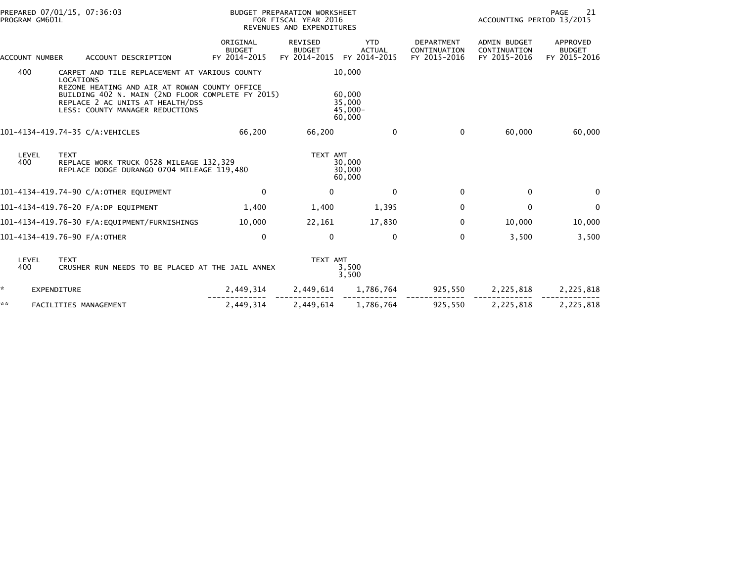| PREPARED 07/01/15, 07:36:03<br>PROGRAM GM601L |                                                                                                                                                                                                                                         |                                           | BUDGET PREPARATION WORKSHEET<br>FOR FISCAL YEAR 2016<br>REVENUES AND EXPENDITURES |                                                    |                                                   |                                                     | PAGE<br>21<br>ACCOUNTING PERIOD 13/2015   |  |  |
|-----------------------------------------------|-----------------------------------------------------------------------------------------------------------------------------------------------------------------------------------------------------------------------------------------|-------------------------------------------|-----------------------------------------------------------------------------------|----------------------------------------------------|---------------------------------------------------|-----------------------------------------------------|-------------------------------------------|--|--|
| ACCOUNT NUMBER                                | ACCOUNT DESCRIPTION                                                                                                                                                                                                                     | ORIGINAL<br><b>BUDGET</b><br>FY 2014-2015 | <b>REVISED</b><br><b>BUDGET</b><br>FY 2014-2015                                   | <b>YTD</b><br><b>ACTUAL</b><br>FY 2014-2015        | <b>DEPARTMENT</b><br>CONTINUATION<br>FY 2015-2016 | <b>ADMIN BUDGET</b><br>CONTINUATION<br>FY 2015-2016 | APPROVED<br><b>BUDGET</b><br>FY 2015-2016 |  |  |
| 400                                           | CARPET AND TILE REPLACEMENT AT VARIOUS COUNTY<br>LOCATIONS<br>REZONE HEATING AND AIR AT ROWAN COUNTY OFFICE<br>BUILDING 402 N. MAIN (2ND FLOOR COMPLETE FY 2015)<br>REPLACE 2 AC UNITS AT HEALTH/DSS<br>LESS: COUNTY MANAGER REDUCTIONS |                                           |                                                                                   | 10,000<br>60,000<br>35,000<br>$45,000 -$<br>60,000 |                                                   |                                                     |                                           |  |  |
|                                               | 101-4134-419.74-35 C/A:VEHICLES                                                                                                                                                                                                         | 66,200                                    | 66,200                                                                            | $\mathbf{0}$                                       | $\Omega$                                          | 60,000                                              | 60,000                                    |  |  |
| LEVEL<br>400                                  | <b>TEXT</b><br>REPLACE WORK TRUCK 0528 MILEAGE 132,329<br>REPLACE DODGE DURANGO 0704 MILEAGE 119,480                                                                                                                                    |                                           | TEXT AMT                                                                          | 30,000<br>30,000<br>60,000                         |                                                   |                                                     |                                           |  |  |
|                                               | 101-4134-419.74-90 C/A:OTHER EQUIPMENT                                                                                                                                                                                                  | $\Omega$                                  | $\mathbf{0}$                                                                      | $\Omega$                                           | $\Omega$                                          | $\Omega$                                            | 0                                         |  |  |
|                                               | 101-4134-419.76-20 F/A:DP EQUIPMENT                                                                                                                                                                                                     | 1,400                                     | 1,400                                                                             | 1,395                                              | 0                                                 | $\mathbf 0$                                         | 0                                         |  |  |
|                                               | 101-4134-419.76-30 F/A:EQUIPMENT/FURNISHINGS                                                                                                                                                                                            | 10,000                                    | 22,161                                                                            | 17,830                                             | 0                                                 | 10,000                                              | 10,000                                    |  |  |
|                                               | 101-4134-419.76-90 F/A:OTHER                                                                                                                                                                                                            | $\Omega$                                  | $\Omega$                                                                          | $\Omega$                                           | $\mathbf{0}$                                      | 3,500                                               | 3,500                                     |  |  |
| LEVEL<br>400                                  | <b>TEXT</b><br>CRUSHER RUN NEEDS TO BE PLACED AT THE JAIL ANNEX                                                                                                                                                                         |                                           | TEXT AMT                                                                          | 3,500<br>3,500                                     |                                                   |                                                     |                                           |  |  |
| *                                             | <b>EXPENDITURE</b>                                                                                                                                                                                                                      | 2,449,314                                 | 2,449,614                                                                         | 1,786,764                                          | 925,550                                           | 2,225,818                                           | 2,225,818                                 |  |  |
| **                                            | FACILITIES MANAGEMENT                                                                                                                                                                                                                   | 2,449,314                                 | 2,449,614                                                                         | 1,786,764                                          | 925,550                                           | 2,225,818                                           | 2,225,818                                 |  |  |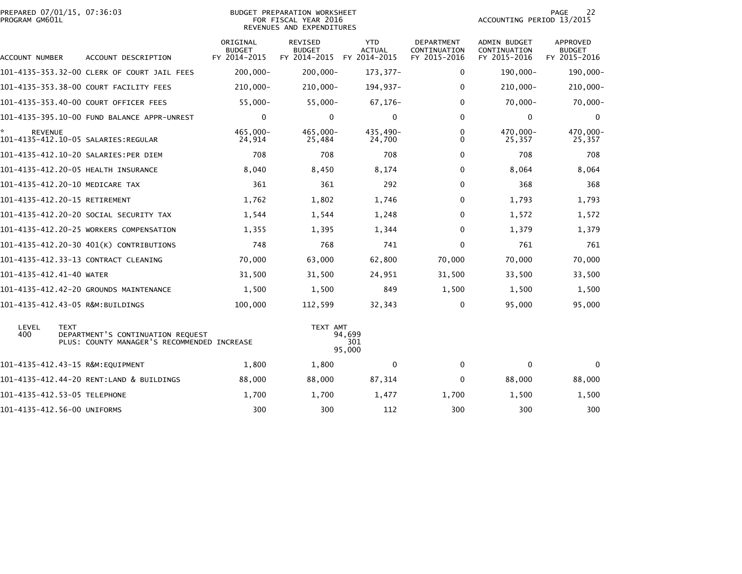| PREPARED 07/01/15, 07:36:03<br>PROGRAM GM601L |                                                                                                 |                                    | <b>BUDGET PREPARATION WORKSHEET</b><br>FOR FISCAL YEAR 2016<br>REVENUES AND EXPENDITURES |                                             | PAGE<br>22<br>ACCOUNTING PERIOD 13/2015           |                                                     |                                           |  |
|-----------------------------------------------|-------------------------------------------------------------------------------------------------|------------------------------------|------------------------------------------------------------------------------------------|---------------------------------------------|---------------------------------------------------|-----------------------------------------------------|-------------------------------------------|--|
| ACCOUNT NUMBER                                | ACCOUNT DESCRIPTION                                                                             | ORIGINAL<br>BUDGET<br>FY 2014-2015 | REVISED<br><b>BUDGET</b><br>FY 2014-2015                                                 | <b>YTD</b><br><b>ACTUAL</b><br>FY 2014-2015 | <b>DEPARTMENT</b><br>CONTINUATION<br>FY 2015-2016 | <b>ADMIN BUDGET</b><br>CONTINUATION<br>FY 2015-2016 | APPROVED<br><b>BUDGET</b><br>FY 2015-2016 |  |
|                                               | 101-4135-353.32-00 CLERK OF COURT JAIL FEES                                                     | $200,000 -$                        | $200,000 -$                                                                              | 173, 377-                                   | 0                                                 | 190,000-                                            | 190,000-                                  |  |
|                                               | 101-4135-353.38-00 COURT FACILITY FEES                                                          | 210,000-                           | 210,000-                                                                                 | 194,937-                                    | 0                                                 | 210,000-                                            | 210,000-                                  |  |
|                                               | 101-4135-353.40-00 COURT OFFICER FEES                                                           | $55,000 -$                         | $55,000 -$                                                                               | $67, 176 -$                                 | $\Omega$                                          | $70,000 -$                                          | $70,000 -$                                |  |
|                                               | 101-4135-395.10-00 FUND BALANCE APPR-UNREST                                                     | $\mathbf 0$                        | 0                                                                                        | $\mathbf 0$                                 | $\Omega$                                          | $\mathbf 0$                                         | $\mathbf 0$                               |  |
| <b>REVENUE</b>                                | 101-4135-412.10-05 SALARIES:REGULAR                                                             | 465,000-<br>24,914                 | 465,000-<br>25,484                                                                       | 435,490-<br>24,700                          | 0<br>$\Omega$                                     | 470,000-<br>25,357                                  | 470,000-<br>25,357                        |  |
|                                               | 101-4135-412.10-20 SALARIES:PER DIEM                                                            | 708                                | 708                                                                                      | 708                                         | $\Omega$                                          | 708                                                 | 708                                       |  |
|                                               | 101-4135-412.20-05 HEALTH INSURANCE                                                             | 8,040                              | 8,450                                                                                    | 8,174                                       | 0                                                 | 8,064                                               | 8,064                                     |  |
|                                               | 101-4135-412.20-10 MEDICARE TAX                                                                 | 361                                | 361                                                                                      | 292                                         | $\Omega$                                          | 368                                                 | 368                                       |  |
|                                               | 101-4135-412.20-15 RETIREMENT                                                                   | 1,762                              | 1,802                                                                                    | 1,746                                       | $\Omega$                                          | 1,793                                               | 1,793                                     |  |
|                                               | 101–4135–412.20–20 SOCIAL SECURITY TAX                                                          | 1,544                              | 1,544                                                                                    | 1,248                                       | $\Omega$                                          | 1,572                                               | 1,572                                     |  |
|                                               | 101-4135-412.20-25 WORKERS COMPENSATION                                                         | 1,355                              | 1,395                                                                                    | 1,344                                       | $\Omega$                                          | 1,379                                               | 1,379                                     |  |
|                                               | 101-4135-412.20-30 401(K) CONTRIBUTIONS                                                         | 748                                | 768                                                                                      | 741                                         | $\mathbf{0}$                                      | 761                                                 | 761                                       |  |
|                                               | 101-4135-412.33-13 CONTRACT CLEANING                                                            | 70,000                             | 63,000                                                                                   | 62,800                                      | 70,000                                            | 70,000                                              | 70,000                                    |  |
| 101-4135-412.41-40 WATER                      |                                                                                                 | 31,500                             | 31,500                                                                                   | 24,951                                      | 31,500                                            | 33,500                                              | 33,500                                    |  |
|                                               | 101-4135-412.42-20 GROUNDS MAINTENANCE                                                          | 1,500                              | 1,500                                                                                    | 849                                         | 1,500                                             | 1,500                                               | 1,500                                     |  |
|                                               | 101-4135-412.43-05 R&M:BUILDINGS                                                                | 100,000                            | 112,599                                                                                  | 32,343                                      | $\Omega$                                          | 95,000                                              | 95,000                                    |  |
| LEVEL<br>400                                  | <b>TEXT</b><br>DEPARTMENT'S CONTINUATION REQUEST<br>PLUS: COUNTY MANAGER'S RECOMMENDED INCREASE |                                    | TEXT AMT                                                                                 | 94,699<br>301<br>95,000                     |                                                   |                                                     |                                           |  |
|                                               | 101-4135-412.43-15 R&M:EQUIPMENT                                                                | 1,800                              | 1,800                                                                                    | $\Omega$                                    | $\mathbf{0}$                                      | $\mathbf 0$                                         | $\Omega$                                  |  |
|                                               | 101-4135-412.44-20 RENT:LAND & BUILDINGS                                                        | 88,000                             | 88,000                                                                                   | 87,314                                      | 0                                                 | 88,000                                              | 88,000                                    |  |
|                                               | 101-4135-412.53-05 TELEPHONE                                                                    | 1,700                              | 1,700                                                                                    | 1,477                                       | 1,700                                             | 1,500                                               | 1,500                                     |  |
| 101-4135-412.56-00 UNIFORMS                   |                                                                                                 | 300                                | 300                                                                                      | 112                                         | 300                                               | 300                                                 | 300                                       |  |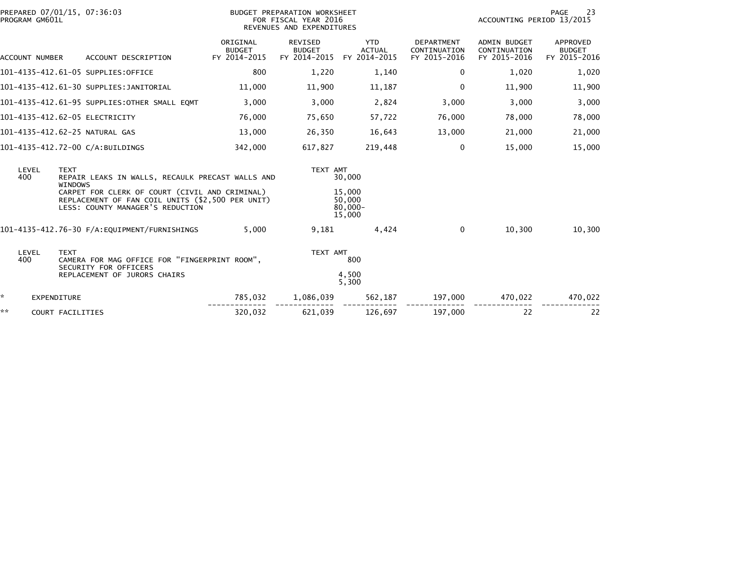| PREPARED 07/01/15, 07:36:03<br>PROGRAM GM601L |                                |                               |                                                                                                                                        | BUDGET PREPARATION WORKSHEET<br>FOR FISCAL YEAR 2016<br>REVENUES AND EXPENDITURES |                                          |                                             |                                            | PAGE<br>23<br>ACCOUNTING PERIOD 13/2015             |                                           |  |
|-----------------------------------------------|--------------------------------|-------------------------------|----------------------------------------------------------------------------------------------------------------------------------------|-----------------------------------------------------------------------------------|------------------------------------------|---------------------------------------------|--------------------------------------------|-----------------------------------------------------|-------------------------------------------|--|
|                                               | ACCOUNT NUMBER                 |                               | ACCOUNT DESCRIPTION                                                                                                                    | ORIGINAL<br><b>BUDGET</b><br>FY 2014-2015                                         | REVISED<br><b>BUDGET</b><br>FY 2014-2015 | <b>YTD</b><br><b>ACTUAL</b><br>FY 2014-2015 | DEPARTMENT<br>CONTINUATION<br>FY 2015-2016 | <b>ADMIN BUDGET</b><br>CONTINUATION<br>FY 2015-2016 | APPROVED<br><b>BUDGET</b><br>FY 2015-2016 |  |
|                                               |                                |                               | 101-4135-412.61-05 SUPPLIES:OFFICE                                                                                                     | 800                                                                               | 1,220                                    | 1,140                                       | $\Omega$                                   | 1,020                                               | 1,020                                     |  |
|                                               |                                |                               | 101-4135-412.61-30 SUPPLIES:JANITORIAL                                                                                                 | 11,000                                                                            | 11,900                                   | 11,187                                      | $\mathbf{0}$                               | 11,900                                              | 11,900                                    |  |
|                                               |                                |                               | 101-4135-412.61-95 SUPPLIES:OTHER SMALL EQMT                                                                                           | 3,000                                                                             | 3,000                                    | 2,824                                       | 3,000                                      | 3,000                                               | 3,000                                     |  |
|                                               | 101-4135-412.62-05 ELECTRICITY |                               |                                                                                                                                        | 76,000                                                                            | 75,650                                   | 57,722                                      | 76,000                                     | 78,000                                              | 78,000                                    |  |
|                                               | 101-4135-412.62-25 NATURAL GAS |                               |                                                                                                                                        | 13,000                                                                            | 26,350                                   | 16,643                                      | 13,000                                     | 21,000                                              | 21,000                                    |  |
|                                               |                                |                               | 101-4135-412.72-00 C/A:BUILDINGS                                                                                                       | 342,000                                                                           | 617,827                                  | 219,448                                     | 0                                          | 15,000                                              | 15,000                                    |  |
|                                               | LEVEL<br>400                   | <b>TEXT</b><br><b>WINDOWS</b> | REPAIR LEAKS IN WALLS, RECAULK PRECAST WALLS AND                                                                                       |                                                                                   | TEXT AMT                                 | 30,000                                      |                                            |                                                     |                                           |  |
|                                               |                                |                               | CARPET FOR CLERK OF COURT (CIVIL AND CRIMINAL)<br>REPLACEMENT OF FAN COIL UNITS (\$2,500 PER UNIT)<br>LESS: COUNTY MANAGER'S REDUCTION |                                                                                   |                                          | 15,000<br>50,000<br>$80,000 -$<br>15,000    |                                            |                                                     |                                           |  |
|                                               |                                |                               | 101-4135-412.76-30 F/A:EQUIPMENT/FURNISHINGS                                                                                           | 5,000                                                                             | 9,181                                    | 4,424                                       | $\mathbf 0$                                | 10,300                                              | 10,300                                    |  |
|                                               | LEVEL<br>400                   | <b>TEXT</b>                   | CAMERA FOR MAG OFFICE FOR "FINGERPRINT ROOM",<br>SECURITY FOR OFFICERS                                                                 |                                                                                   | TEXT AMT                                 | 800                                         |                                            |                                                     |                                           |  |
|                                               |                                |                               | REPLACEMENT OF JURORS CHAIRS                                                                                                           |                                                                                   |                                          | 4,500<br>5,300                              |                                            |                                                     |                                           |  |
| ÷.                                            |                                | <b>EXPENDITURE</b>            |                                                                                                                                        | 785,032                                                                           | 1,086,039                                | 562,187                                     | 197,000                                    | 470,022                                             | 470,022                                   |  |
| **                                            |                                | COURT FACILITIES              |                                                                                                                                        | 320,032                                                                           | 621,039                                  | 126,697                                     | 197,000                                    | 22                                                  | 22                                        |  |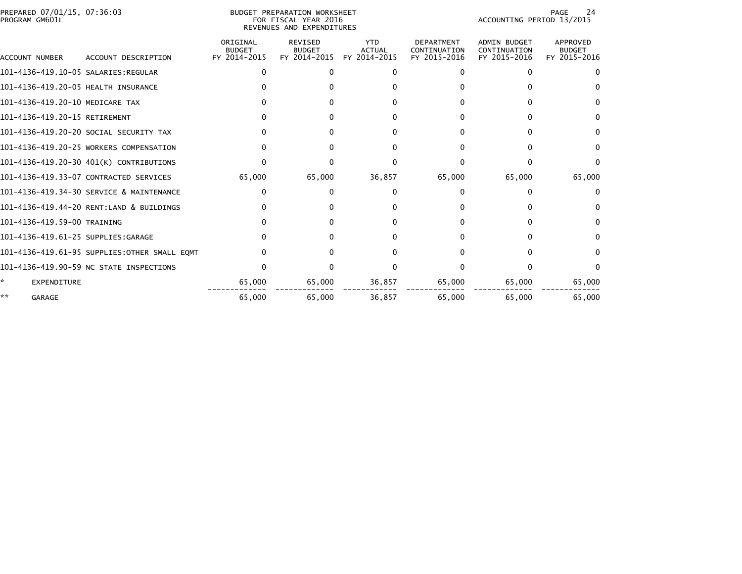| PREPARED 07/01/15, 07:36:03<br>PROGRAM GM601L |                                              | BUDGET PREPARATION WORKSHEET<br>FOR FISCAL YEAR 2016<br>REVENUES AND EXPENDITURES |                                                 |                                             |                                                   | 24<br><b>PAGE</b><br>ACCOUNTING PERIOD 13/2015      |                                           |  |
|-----------------------------------------------|----------------------------------------------|-----------------------------------------------------------------------------------|-------------------------------------------------|---------------------------------------------|---------------------------------------------------|-----------------------------------------------------|-------------------------------------------|--|
| ACCOUNT NUMBER                                | ACCOUNT DESCRIPTION                          | ORIGINAL<br><b>BUDGET</b><br>FY 2014-2015                                         | <b>REVISED</b><br><b>BUDGET</b><br>FY 2014-2015 | <b>YTD</b><br><b>ACTUAL</b><br>FY 2014-2015 | <b>DEPARTMENT</b><br>CONTINUATION<br>FY 2015-2016 | <b>ADMIN BUDGET</b><br>CONTINUATION<br>FY 2015-2016 | APPROVED<br><b>BUDGET</b><br>FY 2015-2016 |  |
|                                               |                                              | n                                                                                 | O                                               |                                             | n                                                 | <sup>0</sup>                                        | $\Omega$                                  |  |
| 101-4136-419.20-05 HEALTH INSURANCE           |                                              |                                                                                   |                                                 |                                             |                                                   |                                                     |                                           |  |
| 101-4136-419.20-10 MEDICARE TAX               |                                              |                                                                                   |                                                 |                                             |                                                   |                                                     | <sup>0</sup>                              |  |
| 101-4136-419.20-15 RETIREMENT                 |                                              |                                                                                   |                                                 |                                             |                                                   |                                                     |                                           |  |
|                                               | 101-4136-419.20-20 SOCIAL SECURITY TAX       |                                                                                   |                                                 |                                             |                                                   |                                                     | <sup>0</sup>                              |  |
|                                               | 101-4136-419.20-25 WORKERS COMPENSATION      |                                                                                   |                                                 |                                             |                                                   |                                                     | <sup>0</sup>                              |  |
|                                               | 101-4136-419.20-30 401(K) CONTRIBUTIONS      |                                                                                   |                                                 |                                             |                                                   |                                                     | $\Omega$                                  |  |
|                                               | 101-4136-419.33-07 CONTRACTED SERVICES       | 65,000                                                                            | 65,000                                          | 36,857                                      | 65,000                                            | 65,000                                              | 65,000                                    |  |
|                                               | 101-4136-419.34-30 SERVICE & MAINTENANCE     | 0                                                                                 |                                                 |                                             | $^{\circ}$                                        | ∩                                                   | $^{\circ}$                                |  |
|                                               | 101-4136-419.44-20 RENT:LAND & BUILDINGS     |                                                                                   |                                                 |                                             |                                                   |                                                     | $\Omega$                                  |  |
| 101-4136-419.59-00 TRAINING                   |                                              |                                                                                   |                                                 |                                             |                                                   |                                                     | $\Omega$                                  |  |
| 101-4136-419.61-25 SUPPLIES:GARAGE            |                                              | 0                                                                                 |                                                 |                                             | O.                                                |                                                     | $\Omega$                                  |  |
|                                               | 101-4136-419.61-95 SUPPLIES:OTHER SMALL EQMT |                                                                                   |                                                 |                                             |                                                   |                                                     | <sup>0</sup>                              |  |
|                                               | 101-4136-419.90-59 NC STATE INSPECTIONS      |                                                                                   |                                                 |                                             |                                                   |                                                     |                                           |  |
| EXPENDITURE                                   |                                              | 65,000                                                                            | 65,000                                          | 36,857                                      | 65,000                                            | 65,000                                              | 65,000                                    |  |
| **<br><b>GARAGE</b>                           |                                              | 65,000                                                                            | 65,000                                          | 36,857                                      | 65,000                                            | 65,000                                              | 65,000                                    |  |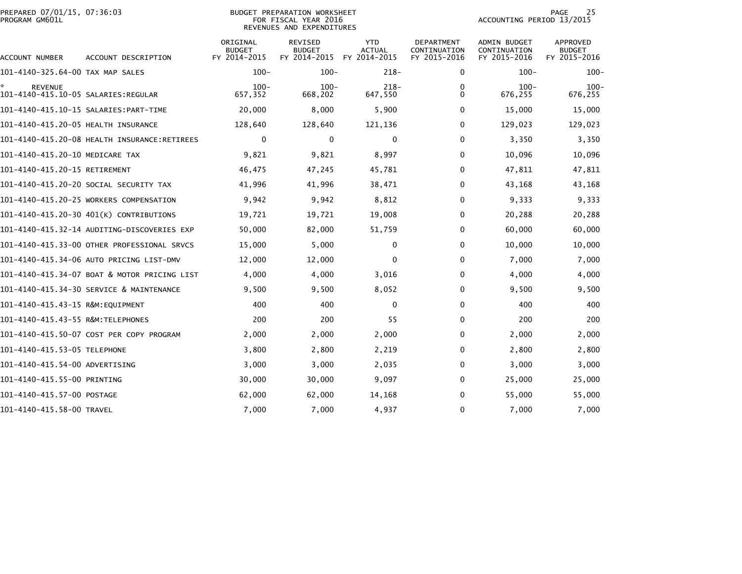|                | REPARED 07/01/15, 07:36:03" |  |
|----------------|-----------------------------|--|
| ROGRAM GM601L' |                             |  |

# PREPARED 07/01/15, 07:36:03 BUDGET PREPARATION WORKSHEET PAGE 25PROGRAM GM601L FOR FISCAL YEAR 2016 ACCOUNTING PERIOD 13/2015 REVENUES AND EXPENDITURES

PAGE 25<br>ACCOUNTING PERIOD 13/2015

| <b>ACCOUNT NUMBER</b>               | ACCOUNT DESCRIPTION                          | ORIGINAL<br><b>BUDGET</b><br>FY 2014-2015 | <b>REVISED</b><br><b>BUDGET</b><br>FY 2014-2015 | <b>YTD</b><br><b>ACTUAL</b><br>FY 2014-2015 | DEPARTMENT<br>CONTINUATION<br>FY 2015-2016 | <b>ADMIN BUDGET</b><br>CONTINUATION<br>FY 2015-2016 | APPROVED<br><b>BUDGET</b><br>FY 2015-2016 |
|-------------------------------------|----------------------------------------------|-------------------------------------------|-------------------------------------------------|---------------------------------------------|--------------------------------------------|-----------------------------------------------------|-------------------------------------------|
| 101-4140-325.64-00 TAX MAP SALES    |                                              | $100 -$                                   | $100 -$                                         | $218-$                                      | 0                                          | $100 -$                                             | $100 -$                                   |
| <b>REVENUE</b>                      |                                              | $100 -$                                   | $100 -$                                         | $218 -$                                     | 0                                          | $100 -$                                             | $100 -$                                   |
|                                     |                                              | 657,352                                   | 668,202                                         | 647,550                                     | 0                                          | 676,255                                             | 676,255                                   |
|                                     |                                              | 20,000                                    | 8,000                                           | 5,900                                       | 0                                          | 15,000                                              | 15,000                                    |
| 101-4140-415.20-05 HEALTH INSURANCE |                                              | 128,640                                   | 128,640                                         | 121,136                                     | $\Omega$                                   | 129,023                                             | 129,023                                   |
|                                     | 101-4140-415.20-08 HEALTH INSURANCE:RETIREES | 0                                         | 0                                               | 0                                           | 0                                          | 3,350                                               | 3,350                                     |
| 101-4140-415.20-10 MEDICARE TAX     |                                              | 9,821                                     | 9,821                                           | 8,997                                       | $\Omega$                                   | 10,096                                              | 10,096                                    |
| 101-4140-415.20-15 RETIREMENT       |                                              | 46,475                                    | 47,245                                          | 45,781                                      | 0                                          | 47,811                                              | 47,811                                    |
|                                     | 101-4140-415.20-20 SOCIAL SECURITY TAX       | 41,996                                    | 41,996                                          | 38,471                                      | 0                                          | 43,168                                              | 43,168                                    |
|                                     | 101-4140-415.20-25 WORKERS COMPENSATION      | 9,942                                     | 9,942                                           | 8,812                                       | 0                                          | 9,333                                               | 9,333                                     |
|                                     | 101-4140-415.20-30 401(K) CONTRIBUTIONS      | 19,721                                    | 19,721                                          | 19,008                                      | $\Omega$                                   | 20,288                                              | 20,288                                    |
|                                     | 101-4140-415.32-14 AUDITING-DISCOVERIES EXP  | 50,000                                    | 82,000                                          | 51,759                                      | 0                                          | 60,000                                              | 60,000                                    |
|                                     | 101-4140-415.33-00 OTHER PROFESSIONAL SRVCS  | 15,000                                    | 5,000                                           | $\Omega$                                    | $\Omega$                                   | 10,000                                              | 10,000                                    |
|                                     | 101-4140-415.34-06 AUTO PRICING LIST-DMV     | 12,000                                    | 12,000                                          | 0                                           | $\Omega$                                   | 7,000                                               | 7,000                                     |
|                                     | 101-4140-415.34-07 BOAT & MOTOR PRICING LIST | 4,000                                     | 4,000                                           | 3,016                                       | 0                                          | 4,000                                               | 4,000                                     |
|                                     | 101-4140-415.34-30 SERVICE & MAINTENANCE     | 9,500                                     | 9,500                                           | 8,052                                       | 0                                          | 9,500                                               | 9,500                                     |
| 101-4140-415.43-15 R&M:EOUIPMENT    |                                              | 400                                       | 400                                             | 0                                           | 0                                          | 400                                                 | 400                                       |
| 101-4140-415.43-55 R&M: TELEPHONES  |                                              | 200                                       | 200                                             | 55                                          | $\Omega$                                   | 200                                                 | 200                                       |
|                                     | 101-4140-415.50-07 COST PER COPY PROGRAM     | 2,000                                     | 2,000                                           | 2,000                                       | 0                                          | 2,000                                               | 2,000                                     |
| 101-4140-415.53-05 TELEPHONE        |                                              | 3,800                                     | 2,800                                           | 2,219                                       | 0                                          | 2,800                                               | 2,800                                     |
| 101-4140-415.54-00 ADVERTISING      |                                              | 3,000                                     | 3,000                                           | 2,035                                       | 0                                          | 3,000                                               | 3,000                                     |
| 101-4140-415.55-00 PRINTING         |                                              | 30,000                                    | 30,000                                          | 9,097                                       | 0                                          | 25,000                                              | 25,000                                    |
| 101-4140-415.57-00 POSTAGE          |                                              | 62,000                                    | 62,000                                          | 14,168                                      | 0                                          | 55,000                                              | 55,000                                    |
| 101-4140-415.58-00 TRAVEL           |                                              | 7,000                                     | 7,000                                           | 4,937                                       | $\mathbf{0}$                               | 7,000                                               | 7,000                                     |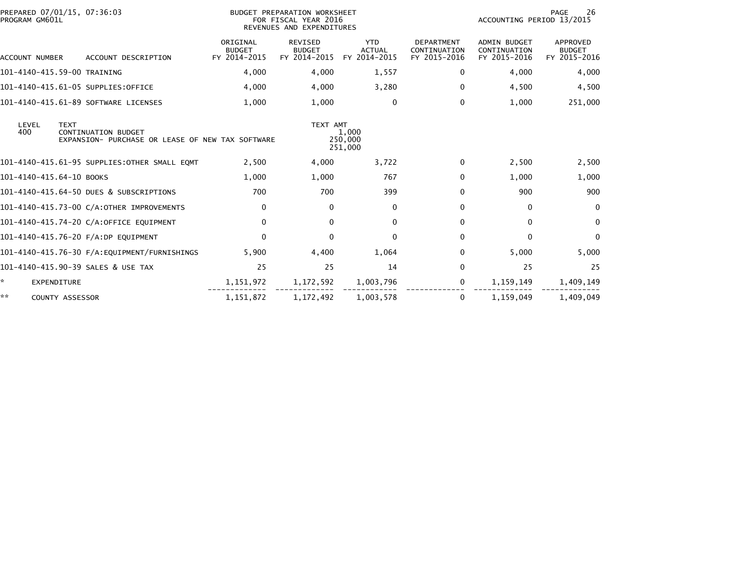| PREPARED 07/01/15, 07:36:03<br>PROGRAM GM601L             |                                                  | BUDGET PREPARATION WORKSHEET<br>FOR FISCAL YEAR 2016<br>REVENUES AND EXPENDITURES |                                             |                                                   | 26<br><b>PAGE</b><br>ACCOUNTING PERIOD 13/2015      |                                                  |  |  |
|-----------------------------------------------------------|--------------------------------------------------|-----------------------------------------------------------------------------------|---------------------------------------------|---------------------------------------------------|-----------------------------------------------------|--------------------------------------------------|--|--|
| ACCOUNT DESCRIPTION<br>ACCOUNT NUMBER                     | ORIGINAL<br><b>BUDGET</b><br>FY 2014-2015        | <b>REVISED</b><br><b>BUDGET</b><br>FY 2014-2015                                   | <b>YTD</b><br><b>ACTUAL</b><br>FY 2014-2015 | <b>DEPARTMENT</b><br>CONTINUATION<br>FY 2015-2016 | <b>ADMIN BUDGET</b><br>CONTINUATION<br>FY 2015-2016 | <b>APPROVED</b><br><b>BUDGET</b><br>FY 2015-2016 |  |  |
| 101-4140-415.59-00 TRAINING                               | 4,000                                            | 4,000                                                                             | 1,557                                       | 0                                                 | 4,000                                               | 4,000                                            |  |  |
| 101-4140-415.61-05 SUPPLIES:OFFICE                        | 4,000                                            | 4,000                                                                             | 3,280                                       | $\Omega$                                          | 4,500                                               | 4,500                                            |  |  |
| 101-4140-415.61-89 SOFTWARE LICENSES                      | 1,000                                            | 1,000                                                                             | $\mathbf 0$                                 | $\Omega$                                          | 1,000                                               | 251,000                                          |  |  |
| LEVEL<br><b>TEXT</b><br>400<br><b>CONTINUATION BUDGET</b> | EXPANSION- PURCHASE OR LEASE OF NEW TAX SOFTWARE | TEXT AMT                                                                          | 1,000<br>250,000<br>251,000                 |                                                   |                                                     |                                                  |  |  |
| 101-4140-415.61-95 SUPPLIES:OTHER SMALL EQMT              | 2,500                                            | 4,000                                                                             | 3,722                                       | 0                                                 | 2,500                                               | 2,500                                            |  |  |
| 101-4140-415.64-10 BOOKS                                  | 1,000                                            | 1,000                                                                             | 767                                         | $\Omega$                                          | 1,000                                               | 1,000                                            |  |  |
| 101-4140-415.64-50 DUES & SUBSCRIPTIONS                   | 700                                              | 700                                                                               | 399                                         | $\Omega$                                          | 900                                                 | 900                                              |  |  |
| 101-4140-415.73-00 C/A:OTHER IMPROVEMENTS                 | 0                                                | $\mathbf{0}$                                                                      | $\mathbf{0}$                                | $\Omega$                                          | 0                                                   | $\Omega$                                         |  |  |
| 101-4140-415.74-20 C/A:OFFICE EQUIPMENT                   | $\mathbf{0}$                                     | $\Omega$                                                                          | $\mathbf{0}$                                | $\Omega$                                          | $\mathbf{0}$                                        | $\Omega$                                         |  |  |
| 101-4140-415.76-20 F/A:DP EQUIPMENT                       | $\Omega$                                         | $\Omega$                                                                          | $\Omega$                                    | $\Omega$                                          | $\Omega$                                            | $\Omega$                                         |  |  |
|                                                           | 5,900                                            | 4,400                                                                             | 1,064                                       | $\Omega$                                          | 5,000                                               | 5,000                                            |  |  |
| 101-4140-415.90-39 SALES & USE TAX                        | 25                                               | 25                                                                                | 14                                          | $\Omega$                                          | 25                                                  | 25                                               |  |  |
| *<br>EXPENDITURE                                          | 1,151,972                                        | 1,172,592                                                                         | 1,003,796                                   | 0                                                 | 1,159,149                                           | 1,409,149                                        |  |  |
| **<br>COUNTY ASSESSOR                                     | 1,151,872                                        | 1,172,492                                                                         | 1,003,578                                   | 0                                                 | 1,159,049                                           | 1,409,049                                        |  |  |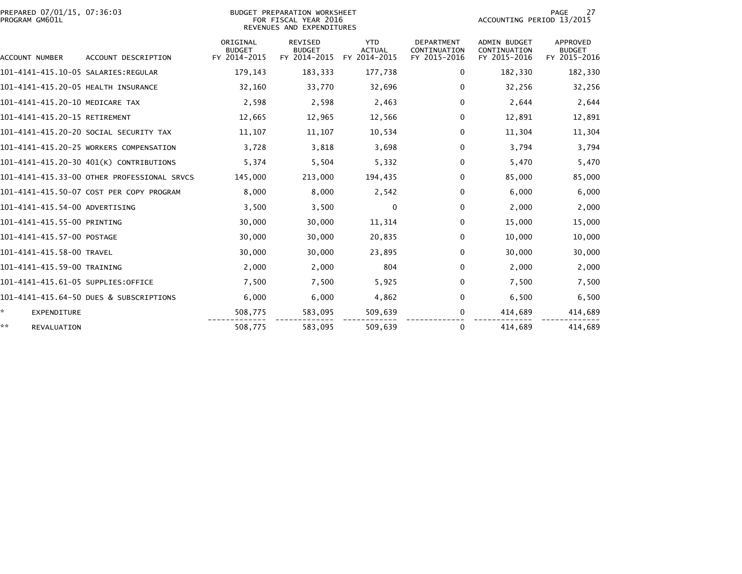| PREPARED 07/01/15, 07:36:03<br>PROGRAM GM601L |                                             |                                           | BUDGET PREPARATION WORKSHEET<br>FOR FISCAL YEAR 2016<br>REVENUES AND EXPENDITURES |                                             |                                            | <b>PAGE</b><br>27<br>ACCOUNTING PERIOD 13/2015      |                                                  |  |  |
|-----------------------------------------------|---------------------------------------------|-------------------------------------------|-----------------------------------------------------------------------------------|---------------------------------------------|--------------------------------------------|-----------------------------------------------------|--------------------------------------------------|--|--|
| ACCOUNT NUMBER                                | ACCOUNT DESCRIPTION                         | ORIGINAL<br><b>BUDGET</b><br>FY 2014-2015 | REVISED<br><b>BUDGET</b><br>FY 2014-2015                                          | <b>YTD</b><br><b>ACTUAL</b><br>FY 2014-2015 | DEPARTMENT<br>CONTINUATION<br>FY 2015-2016 | <b>ADMIN BUDGET</b><br>CONTINUATION<br>FY 2015-2016 | <b>APPROVED</b><br><b>BUDGET</b><br>FY 2015-2016 |  |  |
|                                               |                                             | 179,143                                   | 183,333                                                                           | 177,738                                     | 0                                          | 182,330                                             | 182,330                                          |  |  |
| 101-4141-415.20-05 HEALTH INSURANCE           |                                             | 32,160                                    | 33,770                                                                            | 32,696                                      | $\mathbf{0}$                               | 32,256                                              | 32,256                                           |  |  |
| 101-4141-415.20-10 MEDICARE TAX               |                                             | 2,598                                     | 2,598                                                                             | 2,463                                       | 0                                          | 2,644                                               | 2,644                                            |  |  |
| 101-4141-415.20-15 RETIREMENT                 |                                             | 12,665                                    | 12,965                                                                            | 12,566                                      | $\Omega$                                   | 12,891                                              | 12,891                                           |  |  |
|                                               | 101-4141-415.20-20 SOCIAL SECURITY TAX      | 11,107                                    | 11,107                                                                            | 10,534                                      | $\mathbf 0$                                | 11.304                                              | 11,304                                           |  |  |
|                                               | 101-4141-415.20-25 WORKERS COMPENSATION     | 3,728                                     | 3,818                                                                             | 3,698                                       | $\mathbf{0}$                               | 3,794                                               | 3,794                                            |  |  |
|                                               | 101-4141-415.20-30 401(K) CONTRIBUTIONS     | 5,374                                     | 5,504                                                                             | 5,332                                       | $\mathbf 0$                                | 5,470                                               | 5,470                                            |  |  |
|                                               | 101-4141-415.33-00 OTHER PROFESSIONAL SRVCS | 145,000                                   | 213,000                                                                           | 194,435                                     | $\mathbf{0}$                               | 85,000                                              | 85,000                                           |  |  |
|                                               | 101-4141-415.50-07 COST PER COPY PROGRAM    | 8,000                                     | 8,000                                                                             | 2,542                                       | $\mathbf{0}$                               | 6,000                                               | 6,000                                            |  |  |
| 101-4141-415.54-00 ADVERTISING                |                                             | 3,500                                     | 3,500                                                                             | $\mathbf{0}$                                | 0                                          | 2,000                                               | 2,000                                            |  |  |
| 101-4141-415.55-00 PRINTING                   |                                             | 30,000                                    | 30,000                                                                            | 11,314                                      | 0                                          | 15,000                                              | 15,000                                           |  |  |
| 101-4141-415.57-00 POSTAGE                    |                                             | 30,000                                    | 30,000                                                                            | 20,835                                      | 0                                          | 10,000                                              | 10,000                                           |  |  |
| 101-4141-415.58-00 TRAVEL                     |                                             | 30,000                                    | 30,000                                                                            | 23,895                                      | $\mathbf{0}$                               | 30,000                                              | 30,000                                           |  |  |
| 101-4141-415.59-00 TRAINING                   |                                             | 2,000                                     | 2,000                                                                             | 804                                         | $\mathbf 0$                                | 2,000                                               | 2,000                                            |  |  |
| 101-4141-415.61-05 SUPPLIES:OFFICE            |                                             | 7,500                                     | 7,500                                                                             | 5,925                                       | $\Omega$                                   | 7,500                                               | 7,500                                            |  |  |
|                                               | 101-4141-415.64-50 DUES & SUBSCRIPTIONS     | 6,000                                     | 6.000                                                                             | 4,862                                       | $\mathbf 0$                                | 6,500                                               | 6,500                                            |  |  |
| ☆.<br>EXPENDITURE                             |                                             | 508,775                                   | 583,095                                                                           | 509,639                                     | 0                                          | 414,689                                             | 414,689                                          |  |  |
| **<br>REVALUATION                             |                                             | 508,775                                   | 583,095                                                                           | 509,639                                     | 0                                          | 414,689                                             | 414,689                                          |  |  |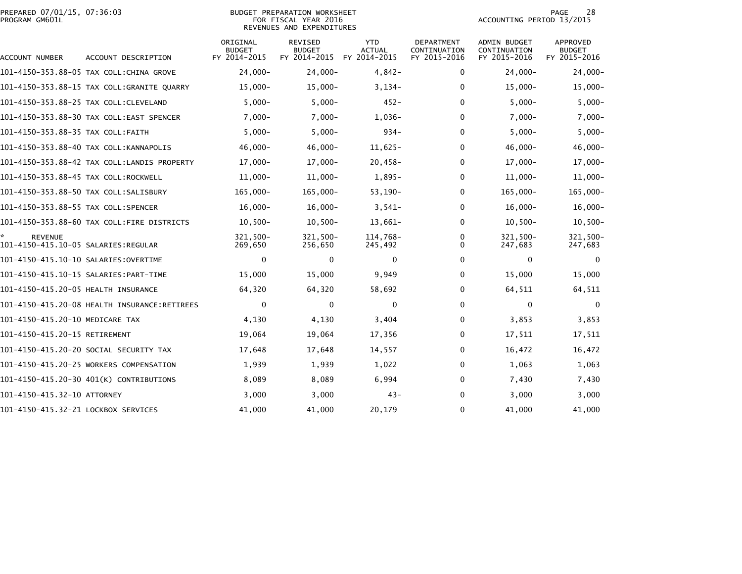# PREPARED 07/01/15, 07:36:03<br>PROGRAM GM601L

## BUDGET PREPARATION WORKSHEET<br>FOR FISCAL YEAR 2016 REVENUES AND EXPENDITURES

PAGE 28<br>ACCOUNTING PERIOD 13/2015

| ACCOUNT NUMBER                                              | ACCOUNT DESCRIPTION                          | ORIGINAL<br><b>BUDGET</b><br>FY 2014-2015 | <b>REVISED</b><br><b>BUDGET</b><br>FY 2014-2015 | <b>YTD</b><br><b>ACTUAL</b><br>FY 2014-2015 | DEPARTMENT<br>CONTINUATION<br>FY 2015-2016 | <b>ADMIN BUDGET</b><br>CONTINUATION<br>FY 2015-2016 | APPROVED<br><b>BUDGET</b><br>FY 2015-2016 |
|-------------------------------------------------------------|----------------------------------------------|-------------------------------------------|-------------------------------------------------|---------------------------------------------|--------------------------------------------|-----------------------------------------------------|-------------------------------------------|
|                                                             | 101-4150-353.88-05 TAX COLL:CHINA GROVE      | $24,000 -$                                | $24,000 -$                                      | $4,842-$                                    | 0                                          | $24.000 -$                                          | $24,000-$                                 |
|                                                             | 101-4150-353.88-15 TAX COLL:GRANITE QUARRY   | $15,000 -$                                | $15,000 -$                                      | $3,134-$                                    | 0                                          | $15,000 -$                                          | $15,000 -$                                |
|                                                             | 101-4150-353.88-25 TAX COLL:CLEVELAND        | $5,000 -$                                 | $5,000 -$                                       | $452 -$                                     | 0                                          | $5,000-$                                            | $5,000-$                                  |
|                                                             | 101-4150-353.88-30 TAX COLL:EAST SPENCER     | $7,000 -$                                 | $7,000 -$                                       | $1,036-$                                    | 0                                          | $7,000 -$                                           | $7,000-$                                  |
| 101-4150-353.88-35 TAX COLL:FAITH                           |                                              | $5,000 -$                                 | $5,000-$                                        | $934 -$                                     | 0                                          | $5,000-$                                            | $5,000 -$                                 |
|                                                             | 101-4150-353.88-40 TAX COLL:KANNAPOLIS       | $46,000 -$                                | $46,000 -$                                      | $11,625-$                                   | 0                                          | $46,000 -$                                          | $46,000 -$                                |
|                                                             |                                              | $17,000 -$                                | $17,000 -$                                      | $20,458-$                                   | 0                                          | $17,000 -$                                          | $17,000 -$                                |
| 101-4150-353.88-45 TAX COLL:ROCKWELL                        |                                              | $11,000 -$                                | $11,000 -$                                      | $1,895-$                                    | 0                                          | $11,000 -$                                          | $11,000 -$                                |
| 101-4150-353.88-50 TAX COLL:SALISBURY                       |                                              | $165,000 -$                               | $165,000 -$                                     | $53,190-$                                   | 0                                          | $165,000 -$                                         | $165,000 -$                               |
| 101-4150-353.88-55 TAX COLL:SPENCER                         |                                              | $16,000 -$                                | $16,000 -$                                      | $3,541-$                                    | 0                                          | $16,000 -$                                          | $16,000 -$                                |
|                                                             | 101-4150-353.88-60 TAX COLL:FIRE DISTRICTS   | $10,500 -$                                | $10,500 -$                                      | $13,661-$                                   | 0                                          | $10,500 -$                                          | $10,500 -$                                |
| ÷.<br><b>REVENUE</b><br>101-4150-415.10-05 SALARIES:REGULAR |                                              | $321,500 -$<br>269,650                    | 321,500-<br>256,650                             | 114,768-<br>245,492                         | 0<br>0                                     | $321,500 -$<br>247,683                              | 321,500-<br>247,683                       |
| 101-4150-415.10-10 SALARIES:OVERTIME                        |                                              | $\mathbf 0$                               | 0                                               | $\mathbf 0$                                 | 0                                          | $\mathbf 0$                                         | $\mathbf 0$                               |
|                                                             |                                              | 15,000                                    | 15,000                                          | 9,949                                       | 0                                          | 15,000                                              | 15,000                                    |
| 101-4150-415.20-05 HEALTH INSURANCE                         |                                              | 64,320                                    | 64,320                                          | 58,692                                      | 0                                          | 64,511                                              | 64,511                                    |
|                                                             | 101-4150-415.20-08 HEALTH INSURANCE:RETIREES | $\mathbf 0$                               | $\mathbf 0$                                     | $\mathbf 0$                                 | 0                                          | $\mathbf 0$                                         | 0                                         |
| 101-4150-415.20-10 MEDICARE TAX                             |                                              | 4,130                                     | 4,130                                           | 3,404                                       | 0                                          | 3,853                                               | 3,853                                     |
| 101-4150-415.20-15 RETIREMENT                               |                                              | 19,064                                    | 19,064                                          | 17,356                                      | 0                                          | 17,511                                              | 17,511                                    |
|                                                             | 101-4150-415.20-20 SOCIAL SECURITY TAX       | 17,648                                    | 17,648                                          | 14,557                                      | 0                                          | 16,472                                              | 16,472                                    |
|                                                             | 101-4150-415.20-25 WORKERS COMPENSATION      | 1,939                                     | 1,939                                           | 1,022                                       | 0                                          | 1,063                                               | 1,063                                     |
|                                                             | 101-4150-415.20-30 401(K) CONTRIBUTIONS      | 8,089                                     | 8,089                                           | 6,994                                       | 0                                          | 7,430                                               | 7,430                                     |
| 101-4150-415.32-10 ATTORNEY                                 |                                              | 3,000                                     | 3,000                                           | $43 -$                                      | 0                                          | 3,000                                               | 3,000                                     |
| 101-4150-415.32-21 LOCKBOX SERVICES                         |                                              | 41,000                                    | 41,000                                          | 20,179                                      | 0                                          | 41,000                                              | 41,000                                    |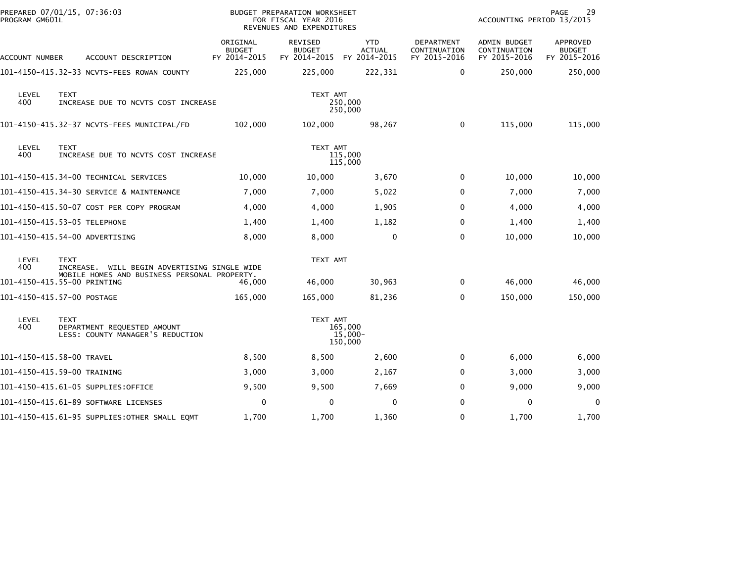| PROGRAM GM601L | PREPARED 07/01/15, 07:36:03                                                    |                                           | BUDGET PREPARATION WORKSHEET<br>FOR FISCAL YEAR 2016<br>REVENUES AND EXPENDITURES |                                             |                                                   | ACCOUNTING PERIOD 13/2015                    | 29<br>PAGE                                |
|----------------|--------------------------------------------------------------------------------|-------------------------------------------|-----------------------------------------------------------------------------------|---------------------------------------------|---------------------------------------------------|----------------------------------------------|-------------------------------------------|
| ACCOUNT NUMBER | ACCOUNT DESCRIPTION                                                            | ORIGINAL<br><b>BUDGET</b><br>FY 2014-2015 | <b>REVISED</b><br><b>BUDGET</b><br>FY 2014-2015                                   | <b>YTD</b><br><b>ACTUAL</b><br>FY 2014-2015 | <b>DEPARTMENT</b><br>CONTINUATION<br>FY 2015-2016 | ADMIN BUDGET<br>CONTINUATION<br>FY 2015-2016 | APPROVED<br><b>BUDGET</b><br>FY 2015-2016 |
|                | 101-4150-415.32-33 NCVTS-FEES ROWAN COUNTY                                     | 225,000                                   | 225,000                                                                           | 222,331                                     | 0                                                 | 250,000                                      | 250,000                                   |
| LEVEL<br>400   | <b>TEXT</b><br>INCREASE DUE TO NCVTS COST INCREASE                             |                                           | TEXT AMT                                                                          | 250,000<br>250,000                          |                                                   |                                              |                                           |
|                | 101-4150-415.32-37 NCVTS-FEES MUNICIPAL/FD                                     | 102,000                                   | 102,000                                                                           | 98,267                                      | 0                                                 | 115,000                                      | 115,000                                   |
| LEVEL<br>400   | <b>TEXT</b><br>INCREASE DUE TO NCVTS COST INCREASE                             |                                           | TEXT AMT                                                                          | 115,000<br>115,000                          |                                                   |                                              |                                           |
|                | 101-4150-415.34-00 TECHNICAL SERVICES                                          | 10,000                                    | 10,000                                                                            | 3,670                                       | 0                                                 | 10,000                                       | 10,000                                    |
|                | 101-4150-415.34-30 SERVICE & MAINTENANCE                                       | 7,000                                     | 7,000                                                                             | 5,022                                       | 0                                                 | 7,000                                        | 7,000                                     |
|                | 101-4150-415.50-07 COST PER COPY PROGRAM                                       | 4,000                                     | 4,000                                                                             | 1,905                                       | 0                                                 | 4,000                                        | 4,000                                     |
|                | 101-4150-415.53-05 TELEPHONE                                                   | 1,400                                     | 1,400                                                                             | 1,182                                       | $\Omega$                                          | 1,400                                        | 1,400                                     |
|                | 101-4150-415.54-00 ADVERTISING                                                 | 8,000                                     | 8,000                                                                             | $\mathbf 0$                                 | $\Omega$                                          | 10,000                                       | 10,000                                    |
| LEVEL<br>400   | <b>TEXT</b><br>INCREASE. WILL BEGIN ADVERTISING SINGLE WIDE                    |                                           | TEXT AMT                                                                          |                                             |                                                   |                                              |                                           |
|                | MOBILE HOMES AND BUSINESS PERSONAL PROPERTY.<br>101-4150-415.55-00 PRINTING    | 46,000                                    | 46,000                                                                            | 30,963                                      | 0                                                 | 46,000                                       | 46,000                                    |
|                | 101-4150-415.57-00 POSTAGE                                                     | 165,000                                   | 165,000                                                                           | 81,236                                      | $\Omega$                                          | 150,000                                      | 150,000                                   |
| LEVEL<br>400   | <b>TEXT</b><br>DEPARTMENT REQUESTED AMOUNT<br>LESS: COUNTY MANAGER'S REDUCTION |                                           | TEXT AMT                                                                          | 165,000<br>15,000-<br>150,000               |                                                   |                                              |                                           |
|                | 101-4150-415.58-00 TRAVEL                                                      | 8,500                                     | 8,500                                                                             | 2,600                                       | $\mathbf{0}$                                      | 6,000                                        | 6,000                                     |
|                | 101-4150-415.59-00 TRAINING                                                    | 3,000                                     | 3,000                                                                             | 2,167                                       | 0                                                 | 3,000                                        | 3,000                                     |
|                | 101-4150-415.61-05 SUPPLIES:OFFICE                                             | 9,500                                     | 9,500                                                                             | 7,669                                       | $\Omega$                                          | 9,000                                        | 9,000                                     |
|                | 101-4150-415.61-89 SOFTWARE LICENSES                                           | 0                                         | $\mathbf{0}$                                                                      | 0                                           | $\Omega$                                          | 0                                            | 0                                         |
|                | 101-4150-415.61-95 SUPPLIES:OTHER SMALL EQMT                                   | 1,700                                     | 1,700                                                                             | 1,360                                       | 0                                                 | 1,700                                        | 1,700                                     |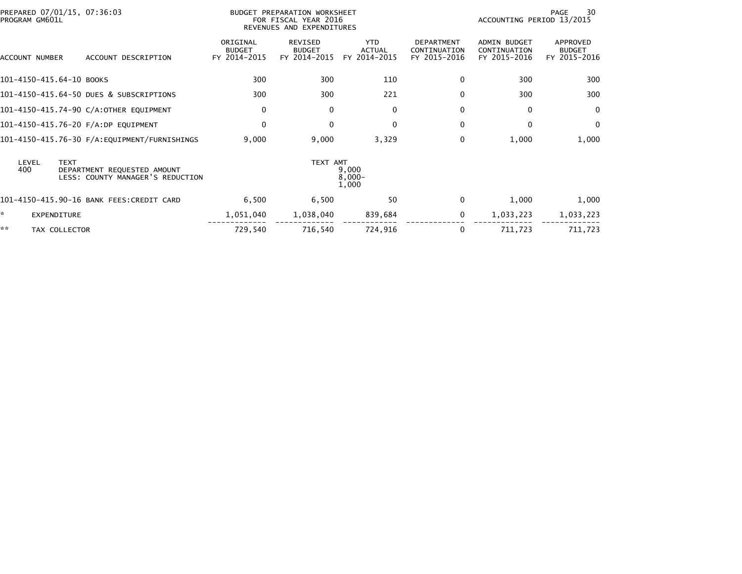| PREPARED 07/01/15, 07:36:03<br>PROGRAM GM601L |                                                                 | <b>BUDGET PREPARATION WORKSHEET</b><br>FOR FISCAL YEAR 2016<br>REVENUES AND EXPENDITURES |                                                 |                                             |                                                   | 30<br>PAGE<br>ACCOUNTING PERIOD 13/2015      |                                           |  |
|-----------------------------------------------|-----------------------------------------------------------------|------------------------------------------------------------------------------------------|-------------------------------------------------|---------------------------------------------|---------------------------------------------------|----------------------------------------------|-------------------------------------------|--|
| ACCOUNT NUMBER                                | ACCOUNT DESCRIPTION                                             | ORIGINAL<br><b>BUDGET</b><br>FY 2014-2015                                                | <b>REVISED</b><br><b>BUDGET</b><br>FY 2014-2015 | <b>YTD</b><br><b>ACTUAL</b><br>FY 2014-2015 | <b>DEPARTMENT</b><br>CONTINUATION<br>FY 2015-2016 | ADMIN BUDGET<br>CONTINUATION<br>FY 2015-2016 | APPROVED<br><b>BUDGET</b><br>FY 2015-2016 |  |
| 101-4150-415.64-10 BOOKS                      |                                                                 | 300                                                                                      | 300                                             | 110                                         | $\Omega$                                          | 300                                          | 300                                       |  |
|                                               | 101-4150-415.64-50 DUES & SUBSCRIPTIONS                         | 300                                                                                      | 300                                             | 221                                         | $\Omega$                                          | 300                                          | 300                                       |  |
|                                               | 101-4150-415.74-90 C/A:OTHER EQUIPMENT                          | 0                                                                                        | $\mathbf 0$                                     | $\mathbf 0$                                 | 0                                                 | 0                                            | 0                                         |  |
| 101-4150-415.76-20 F/A:DP EQUIPMENT           |                                                                 | $\mathbf 0$                                                                              | $\mathbf{0}$                                    | $\Omega$                                    | $\Omega$                                          | $\Omega$                                     | $\mathbf{0}$                              |  |
|                                               |                                                                 | 9,000                                                                                    | 9,000                                           | 3,329                                       | 0                                                 | 1,000                                        | 1,000                                     |  |
| LEVEL<br><b>TEXT</b><br>400                   | DEPARTMENT REQUESTED AMOUNT<br>LESS: COUNTY MANAGER'S REDUCTION |                                                                                          | TEXT AMT                                        | 9,000<br>$8,000 -$<br>1,000                 |                                                   |                                              |                                           |  |
|                                               | 101-4150-415.90-16 BANK FEES:CREDIT CARD                        | 6,500                                                                                    | 6,500                                           | 50                                          | 0                                                 | 1,000                                        | 1,000                                     |  |
| *<br>EXPENDITURE                              |                                                                 | 1,051,040                                                                                | 1,038,040                                       | 839,684                                     | 0                                                 | 1,033,223                                    | 1,033,223                                 |  |
| **<br>TAX COLLECTOR                           |                                                                 | 729,540                                                                                  | 716,540                                         | 724,916                                     | 0                                                 | 711,723                                      | 711,723                                   |  |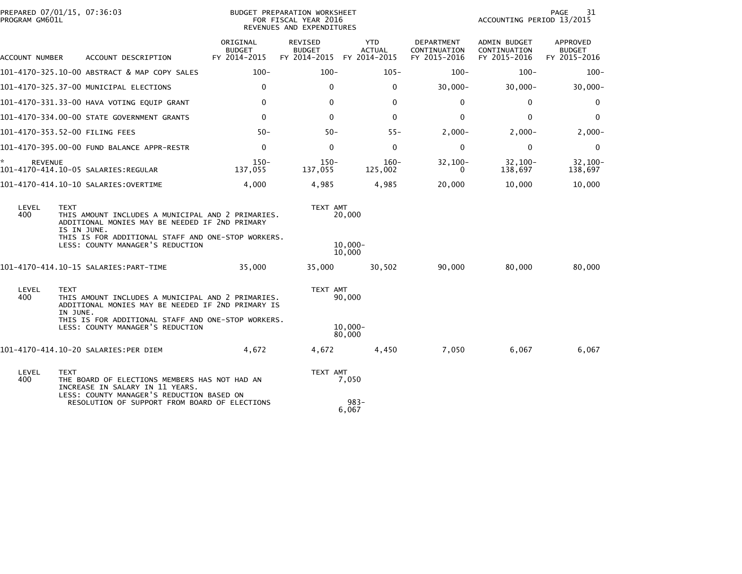| PROGRAM GM601L      | PREPARED 07/01/15, 07:36:03                                                                                                                                                                                                 | BUDGET PREPARATION WORKSHEET<br>FOR FISCAL YEAR 2016<br>REVENUES AND EXPENDITURES |                                                 |                                             |                                            | 31<br>PAGE<br>ACCOUNTING PERIOD 13/2015      |                                           |  |
|---------------------|-----------------------------------------------------------------------------------------------------------------------------------------------------------------------------------------------------------------------------|-----------------------------------------------------------------------------------|-------------------------------------------------|---------------------------------------------|--------------------------------------------|----------------------------------------------|-------------------------------------------|--|
| ACCOUNT NUMBER      | ACCOUNT DESCRIPTION                                                                                                                                                                                                         | ORIGINAL<br><b>BUDGET</b><br>FY 2014-2015                                         | <b>REVISED</b><br><b>BUDGET</b><br>FY 2014-2015 | <b>YTD</b><br><b>ACTUAL</b><br>FY 2014-2015 | DEPARTMENT<br>CONTINUATION<br>FY 2015-2016 | ADMIN BUDGET<br>CONTINUATION<br>FY 2015-2016 | APPROVED<br><b>BUDGET</b><br>FY 2015-2016 |  |
|                     | 101-4170-325.10-00 ABSTRACT & MAP COPY SALES                                                                                                                                                                                | $100 -$                                                                           | $100 -$                                         | $105 -$                                     | $100 -$                                    | $100 -$                                      | $100 -$                                   |  |
|                     | 101-4170-325.37-00 MUNICIPAL ELECTIONS                                                                                                                                                                                      | 0                                                                                 | $\mathbf 0$                                     | 0                                           | $30,000 -$                                 | $30,000 -$                                   | $30,000 -$                                |  |
|                     | 101-4170-331.33-00 HAVA VOTING EQUIP GRANT                                                                                                                                                                                  | $\Omega$                                                                          | $\Omega$                                        | $\mathbf{0}$                                | $\Omega$                                   | 0                                            | $\mathbf{0}$                              |  |
|                     | 101-4170-334.00-00 STATE GOVERNMENT GRANTS                                                                                                                                                                                  | $\mathbf{0}$                                                                      | $\mathbf 0$                                     | $\mathbf{0}$                                | $\mathbf{0}$                               | $\mathbf{0}$                                 | $\mathbf 0$                               |  |
|                     | 101–4170–353.52–00 FILING FEES                                                                                                                                                                                              | $50 -$                                                                            | $50 -$                                          | $55 -$                                      | $2,000-$                                   | $2,000-$                                     | $2,000-$                                  |  |
|                     | 101-4170-395.00-00 FUND BALANCE APPR-RESTR                                                                                                                                                                                  | $\mathbf 0$                                                                       | $\mathbf{0}$                                    | $\mathbf{0}$                                | $\Omega$                                   | $\mathbf 0$                                  | $\mathbf 0$                               |  |
| *<br><b>REVENUE</b> | 101-4170-414.10-05 SALARIES:REGULAR                                                                                                                                                                                         | $150 -$<br>137.055                                                                | $150 -$<br>137.055                              | $160 -$<br>125,002                          | $32,100-$<br>0                             | $32.100 -$<br>138,697                        | $32.100 -$<br>138,697                     |  |
|                     | 101-4170-414.10-10 SALARIES:OVERTIME                                                                                                                                                                                        | 4,000                                                                             | 4,985                                           | 4,985                                       | 20,000                                     | 10,000                                       | 10,000                                    |  |
| LEVEL<br>400        | <b>TEXT</b><br>THIS AMOUNT INCLUDES A MUNICIPAL AND 2 PRIMARIES.<br>ADDITIONAL MONIES MAY BE NEEDED IF 2ND PRIMARY<br>IS IN JUNE.<br>THIS IS FOR ADDITIONAL STAFF AND ONE-STOP WORKERS.<br>LESS: COUNTY MANAGER'S REDUCTION |                                                                                   | TEXT AMT                                        | 20,000<br>$10.000 -$<br>10.000              |                                            |                                              |                                           |  |
|                     |                                                                                                                                                                                                                             | 35,000                                                                            | 35,000                                          | 30,502                                      | 90,000                                     | 80,000                                       | 80,000                                    |  |
| LEVEL<br>400        | <b>TEXT</b><br>THIS AMOUNT INCLUDES A MUNICIPAL AND 2 PRIMARIES.<br>ADDITIONAL MONIES MAY BE NEEDED IF 2ND PRIMARY IS<br>IN JUNE.                                                                                           |                                                                                   | TEXT AMT                                        | 90,000                                      |                                            |                                              |                                           |  |
|                     | THIS IS FOR ADDITIONAL STAFF AND ONE-STOP WORKERS.<br>LESS: COUNTY MANAGER'S REDUCTION                                                                                                                                      |                                                                                   |                                                 | $10,000 -$<br>80,000                        |                                            |                                              |                                           |  |
|                     | 101-4170-414.10-20 SALARIES:PER DIEM                                                                                                                                                                                        | 4,672                                                                             | 4,672                                           | 4,450                                       | 7,050                                      | 6,067                                        | 6,067                                     |  |
| LEVEL<br>400        | <b>TEXT</b><br>THE BOARD OF ELECTIONS MEMBERS HAS NOT HAD AN<br>INCREASE IN SALARY IN 11 YEARS.<br>LESS: COUNTY MANAGER'S REDUCTION BASED ON<br>RESOLUTION OF SUPPORT FROM BOARD OF ELECTIONS                               |                                                                                   | TEXT AMT                                        | 7,050<br>$983 -$                            |                                            |                                              |                                           |  |
|                     |                                                                                                                                                                                                                             |                                                                                   |                                                 | 6,067                                       |                                            |                                              |                                           |  |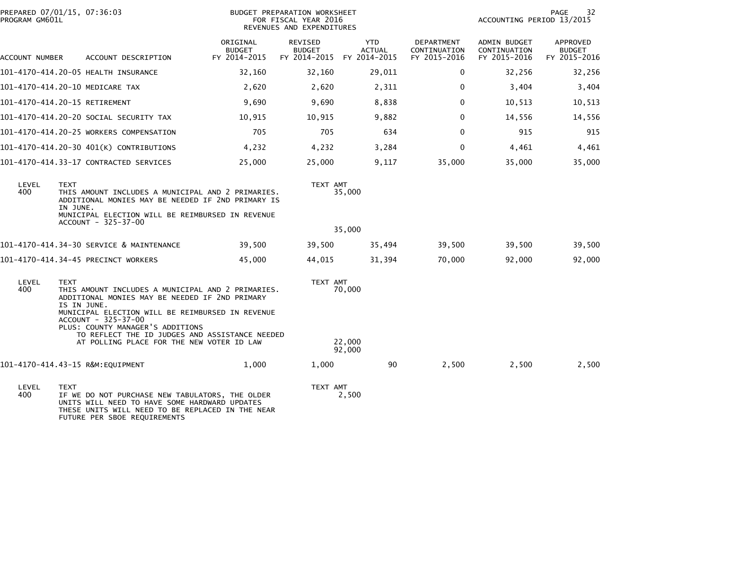| PROGRAM GM601L | PREPARED 07/01/15, 07:36:03                                                                                                                                                                                                                      | <b>BUDGET PREPARATION WORKSHEET</b><br>FOR FISCAL YEAR 2016<br>REVENUES AND EXPENDITURES | 32<br>PAGE<br>ACCOUNTING PERIOD 13/2015               |                       |                                            |                                              |                                           |
|----------------|--------------------------------------------------------------------------------------------------------------------------------------------------------------------------------------------------------------------------------------------------|------------------------------------------------------------------------------------------|-------------------------------------------------------|-----------------------|--------------------------------------------|----------------------------------------------|-------------------------------------------|
| ACCOUNT NUMBER | ACCOUNT DESCRIPTION                                                                                                                                                                                                                              | ORIGINAL<br><b>BUDGET</b><br>FY 2014-2015                                                | REVISED<br><b>BUDGET</b><br>FY 2014-2015 FY 2014-2015 | YTD.<br><b>ACTUAL</b> | DEPARTMENT<br>CONTINUATION<br>FY 2015-2016 | ADMIN BUDGET<br>CONTINUATION<br>FY 2015-2016 | APPROVED<br><b>BUDGET</b><br>FY 2015-2016 |
|                | 101-4170-414.20-05 HEALTH INSURANCE                                                                                                                                                                                                              | 32,160                                                                                   | 32,160                                                | 29,011                | 0                                          | 32,256                                       | 32,256                                    |
|                | 101-4170-414.20-10 MEDICARE TAX                                                                                                                                                                                                                  | 2,620                                                                                    | 2,620                                                 | 2,311                 | 0                                          | 3,404                                        | 3,404                                     |
|                | 101-4170-414.20-15 RETIREMENT                                                                                                                                                                                                                    | 9,690                                                                                    | 9,690                                                 | 8,838                 | 0                                          | 10,513                                       | 10,513                                    |
|                | 101–4170–414.20–20 SOCIAL SECURITY TAX                                                                                                                                                                                                           | 10,915                                                                                   | 10,915                                                | 9,882                 | $\mathbf{0}$                               | 14,556                                       | 14,556                                    |
|                | 101-4170-414.20-25 WORKERS COMPENSATION                                                                                                                                                                                                          | 705                                                                                      | 705                                                   | 634                   | $\mathbf{0}$                               | 915                                          | 915                                       |
|                | 101-4170-414.20-30 401(K) CONTRIBUTIONS                                                                                                                                                                                                          | 4,232                                                                                    | 4,232                                                 | 3,284                 | $\Omega$                                   | 4,461                                        | 4,461                                     |
|                | 101-4170-414.33-17 CONTRACTED SERVICES                                                                                                                                                                                                           | 25,000                                                                                   | 25,000                                                | 9,117                 | 35,000                                     | 35,000                                       | 35,000                                    |
| LEVEL<br>400   | <b>TEXT</b><br>THIS AMOUNT INCLUDES A MUNICIPAL AND 2 PRIMARIES.<br>ADDITIONAL MONIES MAY BE NEEDED IF 2ND PRIMARY IS<br>IN JUNE.<br>MUNICIPAL ELECTION WILL BE REIMBURSED IN REVENUE                                                            |                                                                                          | TEXT AMT                                              | 35,000                |                                            |                                              |                                           |
|                | ACCOUNT - 325-37-00                                                                                                                                                                                                                              |                                                                                          |                                                       | 35,000                |                                            |                                              |                                           |
|                | 101-4170-414.34-30 SERVICE & MAINTENANCE                                                                                                                                                                                                         | 39,500                                                                                   | 39,500                                                | 35,494                | 39,500                                     | 39,500                                       | 39,500                                    |
|                | 101-4170-414.34-45 PRECINCT WORKERS                                                                                                                                                                                                              | 45,000                                                                                   | 44,015                                                | 31,394                | 70,000                                     | 92,000                                       | 92,000                                    |
| LEVEL<br>400   | <b>TEXT</b><br>THIS AMOUNT INCLUDES A MUNICIPAL AND 2 PRIMARIES.<br>ADDITIONAL MONIES MAY BE NEEDED IF 2ND PRIMARY<br>IS IN JUNE.<br>MUNICIPAL ELECTION WILL BE REIMBURSED IN REVENUE<br>ACCOUNT - 325-37-00<br>PLUS: COUNTY MANAGER'S ADDITIONS | TEXT AMT                                                                                 | 70,000                                                |                       |                                            |                                              |                                           |
|                | TO REFLECT THE ID JUDGES AND ASSISTANCE NEEDED<br>AT POLLING PLACE FOR THE NEW VOTER ID LAW                                                                                                                                                      |                                                                                          |                                                       | 22,000<br>92,000      |                                            |                                              |                                           |
|                | 101-4170-414.43-15 R&M:EQUIPMENT                                                                                                                                                                                                                 | 1,000                                                                                    | 1,000                                                 | 90                    | 2,500                                      | 2,500                                        | 2,500                                     |
| LEVEL<br>400   | <b>TEXT</b><br>IF WE DO NOT PURCHASE NEW TABULATORS, THE OLDER<br>UNITS WILL NEED TO HAVE SOME HARDWARD UPDATES<br>THESE UNITS WILL NEED TO BE REPLACED IN THE NEAR<br>FUTURE PER SBOE REQUIREMENTS                                              |                                                                                          | TEXT AMT                                              | 2,500                 |                                            |                                              |                                           |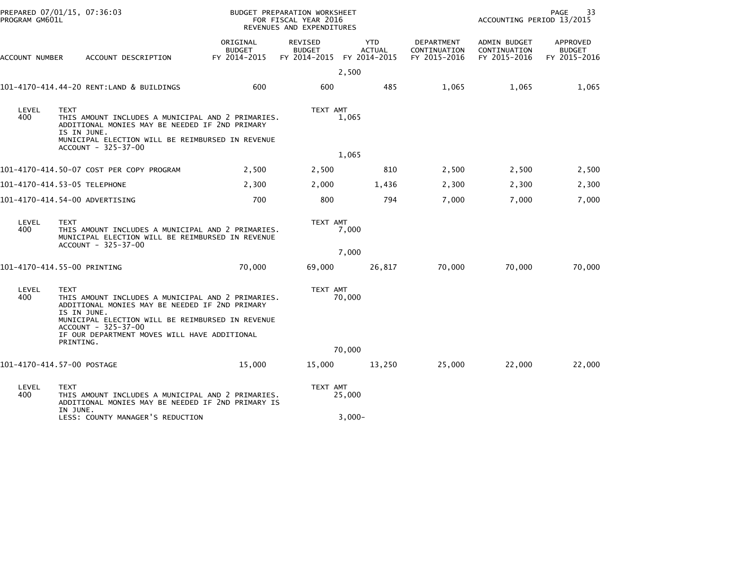| PREPARED 07/01/15, 07:36:03<br>PROGRAM GM601L |                                                                                                                                                                                       | BUDGET PREPARATION WORKSHEET<br>FOR FISCAL YEAR 2016<br>REVENUES AND EXPENDITURES |                                                 |                                             | PAGE<br>33<br>ACCOUNTING PERIOD 13/2015    |                                                     |                                           |
|-----------------------------------------------|---------------------------------------------------------------------------------------------------------------------------------------------------------------------------------------|-----------------------------------------------------------------------------------|-------------------------------------------------|---------------------------------------------|--------------------------------------------|-----------------------------------------------------|-------------------------------------------|
| ACCOUNT NUMBER                                | ACCOUNT DESCRIPTION                                                                                                                                                                   | ORIGINAL<br><b>BUDGET</b><br>FY 2014-2015                                         | <b>REVISED</b><br><b>BUDGET</b><br>FY 2014-2015 | <b>YTD</b><br><b>ACTUAL</b><br>FY 2014-2015 | DEPARTMENT<br>CONTINUATION<br>FY 2015-2016 | <b>ADMIN BUDGET</b><br>CONTINUATION<br>FY 2015-2016 | APPROVED<br><b>BUDGET</b><br>FY 2015-2016 |
|                                               |                                                                                                                                                                                       |                                                                                   |                                                 | 2,500                                       |                                            |                                                     |                                           |
|                                               | 101-4170-414.44-20 RENT:LAND & BUILDINGS                                                                                                                                              | 600                                                                               | 600                                             | 485                                         | 1,065                                      | 1,065                                               | 1,065                                     |
| LEVEL<br>400                                  | <b>TEXT</b><br>THIS AMOUNT INCLUDES A MUNICIPAL AND 2 PRIMARIES.<br>ADDITIONAL MONIES MAY BE NEEDED IF 2ND PRIMARY<br>IS IN JUNE.<br>MUNICIPAL ELECTION WILL BE REIMBURSED IN REVENUE |                                                                                   | TEXT AMT                                        | 1,065                                       |                                            |                                                     |                                           |
|                                               | ACCOUNT - 325-37-00                                                                                                                                                                   |                                                                                   |                                                 | 1,065                                       |                                            |                                                     |                                           |
|                                               | 101-4170-414.50-07 COST PER COPY PROGRAM                                                                                                                                              | 2,500                                                                             | 2,500                                           | 810                                         | 2,500                                      | 2,500                                               | 2,500                                     |
|                                               |                                                                                                                                                                                       |                                                                                   |                                                 |                                             |                                            |                                                     |                                           |
|                                               | 101-4170-414.53-05 TELEPHONE                                                                                                                                                          | 2,300                                                                             | 2,000                                           | 1,436                                       | 2,300                                      | 2,300                                               | 2,300                                     |
|                                               | 101-4170-414.54-00 ADVERTISING                                                                                                                                                        | 700                                                                               | 800                                             | 794                                         | 7,000                                      | 7,000                                               | 7,000                                     |
| LEVEL<br>400                                  | <b>TEXT</b><br>THIS AMOUNT INCLUDES A MUNICIPAL AND 2 PRIMARIES.<br>MUNICIPAL ELECTION WILL BE REIMBURSED IN REVENUE<br>ACCOUNT - 325-37-00                                           |                                                                                   | TEXT AMT                                        | 7,000                                       |                                            |                                                     |                                           |
|                                               |                                                                                                                                                                                       |                                                                                   |                                                 | 7,000                                       |                                            |                                                     |                                           |
|                                               | 101-4170-414.55-00 PRINTING                                                                                                                                                           | 70,000                                                                            | 69,000                                          | 26,817                                      | 70,000                                     | 70,000                                              | 70,000                                    |
| LEVEL<br>400                                  | <b>TEXT</b><br>THIS AMOUNT INCLUDES A MUNICIPAL AND 2 PRIMARIES.<br>ADDITIONAL MONIES MAY BE NEEDED IF 2ND PRIMARY<br>IS IN JUNE.                                                     |                                                                                   | TEXT AMT                                        | 70,000                                      |                                            |                                                     |                                           |
|                                               | MUNICIPAL ELECTION WILL BE REIMBURSED IN REVENUE<br>ACCOUNT - 325-37-00<br>IF OUR DEPARTMENT MOVES WILL HAVE ADDITIONAL                                                               |                                                                                   |                                                 |                                             |                                            |                                                     |                                           |
|                                               | PRINTING.                                                                                                                                                                             |                                                                                   |                                                 | 70,000                                      |                                            |                                                     |                                           |
|                                               | 101-4170-414.57-00 POSTAGE                                                                                                                                                            | 15,000                                                                            | 15,000                                          | 13,250                                      | 25,000                                     | 22,000                                              | 22,000                                    |
| LEVEL<br>400                                  | <b>TEXT</b><br>THIS AMOUNT INCLUDES A MUNICIPAL AND 2 PRIMARIES.<br>ADDITIONAL MONIES MAY BE NEEDED IF 2ND PRIMARY IS                                                                 |                                                                                   | TEXT AMT                                        | 25,000                                      |                                            |                                                     |                                           |
|                                               | IN JUNE.<br>LESS: COUNTY MANAGER'S REDUCTION                                                                                                                                          |                                                                                   |                                                 | $3,000 -$                                   |                                            |                                                     |                                           |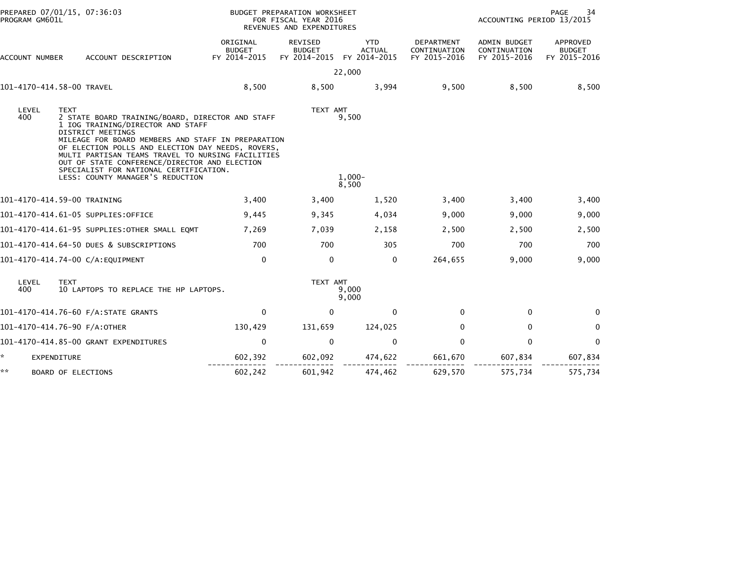| PREPARED 07/01/15, 07:36:03<br>PROGRAM GM601L |                                                                                                                                                                                                                                                                                                                                                   | BUDGET PREPARATION WORKSHEET<br>FOR FISCAL YEAR 2016<br>REVENUES AND EXPENDITURES |                                                 |                                             | PAGE<br>34<br>ACCOUNTING PERIOD 13/2015    |                                              |                                           |  |
|-----------------------------------------------|---------------------------------------------------------------------------------------------------------------------------------------------------------------------------------------------------------------------------------------------------------------------------------------------------------------------------------------------------|-----------------------------------------------------------------------------------|-------------------------------------------------|---------------------------------------------|--------------------------------------------|----------------------------------------------|-------------------------------------------|--|
| ACCOUNT NUMBER                                | ACCOUNT DESCRIPTION                                                                                                                                                                                                                                                                                                                               | ORIGINAL<br><b>BUDGET</b><br>FY 2014-2015                                         | <b>REVISED</b><br><b>BUDGET</b><br>FY 2014-2015 | <b>YTD</b><br><b>ACTUAL</b><br>FY 2014-2015 | DEPARTMENT<br>CONTINUATION<br>FY 2015-2016 | ADMIN BUDGET<br>CONTINUATION<br>FY 2015-2016 | APPROVED<br><b>BUDGET</b><br>FY 2015-2016 |  |
|                                               |                                                                                                                                                                                                                                                                                                                                                   |                                                                                   |                                                 | 22,000                                      |                                            |                                              |                                           |  |
|                                               | 101-4170-414.58-00 TRAVEL                                                                                                                                                                                                                                                                                                                         | 8,500                                                                             | 8,500                                           | 3,994                                       | 9,500                                      | 8,500                                        | 8,500                                     |  |
| LEVEL<br>400                                  | <b>TEXT</b><br>2 STATE BOARD TRAINING/BOARD, DIRECTOR AND STAFF<br>1 IOG TRAINING/DIRECTOR AND STAFF<br><b>DISTRICT MEETINGS</b><br>MILEAGE FOR BOARD MEMBERS AND STAFF IN PREPARATION<br>OF ELECTION POLLS AND ELECTION DAY NEEDS, ROVERS,<br>MULTI PARTISAN TEAMS TRAVEL TO NURSING FACILITIES<br>OUT OF STATE CONFERENCE/DIRECTOR AND ELECTION |                                                                                   | TEXT AMT                                        | 9,500                                       |                                            |                                              |                                           |  |
|                                               | SPECIALIST FOR NATIONAL CERTIFICATION.<br>LESS: COUNTY MANAGER'S REDUCTION                                                                                                                                                                                                                                                                        | $1,000-$<br>8,500                                                                 |                                                 |                                             |                                            |                                              |                                           |  |
|                                               | 101-4170-414.59-00 TRAINING                                                                                                                                                                                                                                                                                                                       | 3,400                                                                             | 3,400                                           | 1,520                                       | 3,400                                      | 3,400                                        | 3,400                                     |  |
|                                               | 101-4170-414.61-05 SUPPLIES:OFFICE                                                                                                                                                                                                                                                                                                                | 9,445                                                                             | 9,345                                           | 4,034                                       | 9,000                                      | 9,000                                        | 9,000                                     |  |
|                                               | 101-4170-414.61-95 SUPPLIES:OTHER SMALL EQMT                                                                                                                                                                                                                                                                                                      | 7,269                                                                             | 7,039                                           | 2,158                                       | 2,500                                      | 2,500                                        | 2,500                                     |  |
|                                               | 101-4170-414.64-50 DUES & SUBSCRIPTIONS                                                                                                                                                                                                                                                                                                           | 700                                                                               | 700                                             | 305                                         | 700                                        | 700                                          | 700                                       |  |
|                                               | 101-4170-414.74-00 C/A:EQUIPMENT                                                                                                                                                                                                                                                                                                                  | $\mathbf 0$                                                                       | $\mathbf 0$                                     | $\mathbf{0}$                                | 264,655                                    | 9,000                                        | 9,000                                     |  |
| LEVEL<br>400                                  | <b>TEXT</b><br>10 LAPTOPS TO REPLACE THE HP LAPTOPS.                                                                                                                                                                                                                                                                                              | TEXT AMT<br>9,000<br>9,000                                                        |                                                 |                                             |                                            |                                              |                                           |  |
|                                               | 101-4170-414.76-60 F/A:STATE GRANTS                                                                                                                                                                                                                                                                                                               | $\Omega$                                                                          | $\mathbf 0$                                     | $\mathbf{0}$                                | $\Omega$                                   | $\mathbf{0}$                                 | $\mathbf{0}$                              |  |
|                                               | 101-4170-414.76-90 F/A:OTHER                                                                                                                                                                                                                                                                                                                      | 130,429                                                                           | 131,659                                         | 124,025                                     | 0                                          | $\mathbf{0}$                                 | 0                                         |  |
|                                               | 101-4170-414.85-00 GRANT EXPENDITURES                                                                                                                                                                                                                                                                                                             | $\mathbf 0$                                                                       | $\mathbf 0$                                     | $\mathbf 0$                                 | 0                                          | $\mathbf{0}$                                 | $\mathbf 0$                               |  |
| ÷.                                            | <b>EXPENDITURE</b>                                                                                                                                                                                                                                                                                                                                | 602,392                                                                           | 602,092                                         | 474,622                                     | 661,670                                    | 607,834                                      | 607,834                                   |  |
| **                                            | BOARD OF ELECTIONS                                                                                                                                                                                                                                                                                                                                | 602,242                                                                           | 601,942                                         | 474,462                                     | 629,570                                    | 575,734                                      | 575,734                                   |  |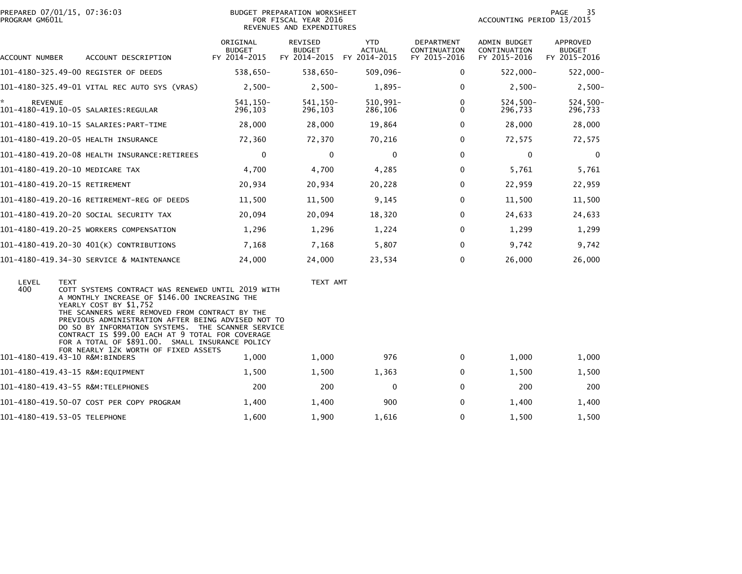| PROGRAM GM601L | PREPARED 07/01/15, 07:36:03                                                                                                                                                                                                                                                                                                                                                                                                                             | BUDGET PREPARATION WORKSHEET<br>FOR FISCAL YEAR 2016<br>REVENUES AND EXPENDITURES |                                          |                                             |                                            |                                              | PAGE<br>35<br>ACCOUNTING PERIOD 13/2015   |  |  |
|----------------|---------------------------------------------------------------------------------------------------------------------------------------------------------------------------------------------------------------------------------------------------------------------------------------------------------------------------------------------------------------------------------------------------------------------------------------------------------|-----------------------------------------------------------------------------------|------------------------------------------|---------------------------------------------|--------------------------------------------|----------------------------------------------|-------------------------------------------|--|--|
| ACCOUNT NUMBER | ACCOUNT DESCRIPTION                                                                                                                                                                                                                                                                                                                                                                                                                                     | ORIGINAL<br><b>BUDGET</b><br>FY 2014-2015                                         | REVISED<br><b>BUDGET</b><br>FY 2014-2015 | <b>YTD</b><br><b>ACTUAL</b><br>FY 2014-2015 | DEPARTMENT<br>CONTINUATION<br>FY 2015-2016 | ADMIN BUDGET<br>CONTINUATION<br>FY 2015-2016 | APPROVED<br><b>BUDGET</b><br>FY 2015-2016 |  |  |
|                | 101-4180-325.49-00 REGISTER OF DEEDS                                                                                                                                                                                                                                                                                                                                                                                                                    | 538,650-                                                                          | 538,650-                                 | $509,096 -$                                 | 0                                          | $522,000 -$                                  | 522,000-                                  |  |  |
|                | 101-4180-325.49-01 VITAL REC AUTO SYS (VRAS)                                                                                                                                                                                                                                                                                                                                                                                                            | $2,500-$                                                                          | $2,500-$                                 | $1,895-$                                    | $\Omega$                                   | $2,500-$                                     | $2,500-$                                  |  |  |
| <b>REVENUE</b> |                                                                                                                                                                                                                                                                                                                                                                                                                                                         | 541.150-<br>296,103                                                               | 541.150-<br>296,103                      | 510,991-<br>286,106                         | $\Omega$<br>0                              | $524.500 -$<br>296,733                       | 524,500-<br>296,733                       |  |  |
|                |                                                                                                                                                                                                                                                                                                                                                                                                                                                         | 28,000                                                                            | 28,000                                   | 19,864                                      | $\Omega$                                   | 28,000                                       | 28,000                                    |  |  |
|                | 101-4180-419.20-05 HEALTH INSURANCE                                                                                                                                                                                                                                                                                                                                                                                                                     | 72,360                                                                            | 72,370                                   | 70,216                                      | 0                                          | 72,575                                       | 72,575                                    |  |  |
|                | 101-4180-419.20-08 HEALTH INSURANCE:RETIREES                                                                                                                                                                                                                                                                                                                                                                                                            | $\mathbf 0$                                                                       | $\mathbf 0$                              | $\mathbf 0$                                 | $\Omega$                                   | $\mathbf 0$                                  | $\mathbf 0$                               |  |  |
|                | 101-4180-419.20-10 MEDICARE TAX                                                                                                                                                                                                                                                                                                                                                                                                                         | 4,700                                                                             | 4,700                                    | 4,285                                       | $\Omega$                                   | 5,761                                        | 5,761                                     |  |  |
|                | 101-4180-419.20-15 RETIREMENT                                                                                                                                                                                                                                                                                                                                                                                                                           | 20,934                                                                            | 20,934                                   | 20,228                                      | 0                                          | 22,959                                       | 22,959                                    |  |  |
|                | 101-4180-419.20-16 RETIREMENT-REG OF DEEDS                                                                                                                                                                                                                                                                                                                                                                                                              | 11,500                                                                            | 11,500                                   | 9,145                                       | $\Omega$                                   | 11,500                                       | 11,500                                    |  |  |
|                | 101–4180–419.20–20 SOCIAL SECURITY TAX                                                                                                                                                                                                                                                                                                                                                                                                                  | 20,094                                                                            | 20,094                                   | 18,320                                      | $\Omega$                                   | 24,633                                       | 24,633                                    |  |  |
|                | 101-4180-419.20-25 WORKERS COMPENSATION                                                                                                                                                                                                                                                                                                                                                                                                                 | 1,296                                                                             | 1,296                                    | 1,224                                       | 0                                          | 1,299                                        | 1,299                                     |  |  |
|                | 101-4180-419.20-30 401(K) CONTRIBUTIONS                                                                                                                                                                                                                                                                                                                                                                                                                 | 7,168                                                                             | 7,168                                    | 5,807                                       | $\Omega$                                   | 9,742                                        | 9,742                                     |  |  |
|                | 101-4180-419.34-30 SERVICE & MAINTENANCE                                                                                                                                                                                                                                                                                                                                                                                                                | 24,000                                                                            | 24,000                                   | 23,534                                      | 0                                          | 26,000                                       | 26,000                                    |  |  |
| LEVEL<br>400   | <b>TEXT</b><br>COTT SYSTEMS CONTRACT WAS RENEWED UNTIL 2019 WITH<br>A MONTHLY INCREASE OF \$146.00 INCREASING THE<br>YEARLY COST BY \$1,752<br>THE SCANNERS WERE REMOVED FROM CONTRACT BY THE<br>PREVIOUS ADMINISTRATION AFTER BEING ADVISED NOT TO<br>DO SO BY INFORMATION SYSTEMS. THE SCANNER SERVICE<br>CONTRACT IS \$99.00 EACH AT 9 TOTAL FOR COVERAGE<br>FOR A TOTAL OF \$891.00. SMALL INSURANCE POLICY<br>FOR NEARLY 12K WORTH OF FIXED ASSETS |                                                                                   | TEXT AMT                                 |                                             |                                            |                                              |                                           |  |  |
|                | 101-4180-419.43-10 R&M:BINDERS                                                                                                                                                                                                                                                                                                                                                                                                                          | 1,000                                                                             | 1,000                                    | 976                                         | $\mathbf{0}$                               | 1,000                                        | 1,000                                     |  |  |
|                | 101-4180-419.43-15 R&M:EQUIPMENT                                                                                                                                                                                                                                                                                                                                                                                                                        | 1,500                                                                             | 1,500                                    | 1,363                                       | 0                                          | 1,500                                        | 1,500                                     |  |  |
|                | 101-4180-419.43-55 R&M:TELEPHONES                                                                                                                                                                                                                                                                                                                                                                                                                       | 200                                                                               | 200                                      | $\mathbf 0$                                 | 0                                          | 200                                          | 200                                       |  |  |
|                | 101-4180-419.50-07 COST PER COPY PROGRAM                                                                                                                                                                                                                                                                                                                                                                                                                | 1,400                                                                             | 1,400                                    | 900                                         | $\Omega$                                   | 1,400                                        | 1,400                                     |  |  |
|                | 101-4180-419.53-05 TELEPHONE                                                                                                                                                                                                                                                                                                                                                                                                                            | 1,600                                                                             | 1,900                                    | 1,616                                       | $\Omega$                                   | 1,500                                        | 1,500                                     |  |  |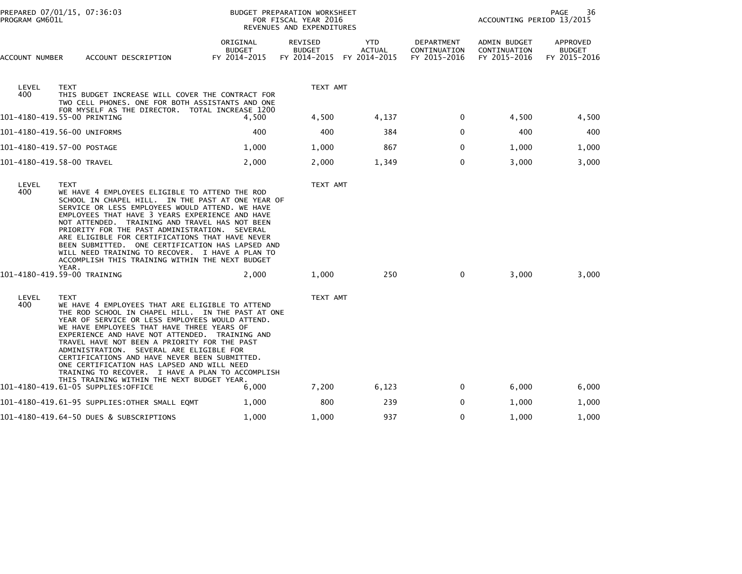| PREPARED 07/01/15, 07:36:03<br>PROGRAM GM601L |                                                                                                                                                                                                                                                                                                                                                                                                                                                                                                                                                                                                           | BUDGET PREPARATION WORKSHEET<br>FOR FISCAL YEAR 2016<br>REVENUES AND EXPENDITURES |                                          |                                             | 36<br>PAGE<br>ACCOUNTING PERIOD 13/2015    |                                              |                                           |
|-----------------------------------------------|-----------------------------------------------------------------------------------------------------------------------------------------------------------------------------------------------------------------------------------------------------------------------------------------------------------------------------------------------------------------------------------------------------------------------------------------------------------------------------------------------------------------------------------------------------------------------------------------------------------|-----------------------------------------------------------------------------------|------------------------------------------|---------------------------------------------|--------------------------------------------|----------------------------------------------|-------------------------------------------|
| ACCOUNT NUMBER                                | ACCOUNT DESCRIPTION                                                                                                                                                                                                                                                                                                                                                                                                                                                                                                                                                                                       | ORIGINAL<br><b>BUDGET</b><br>FY 2014-2015                                         | REVISED<br><b>BUDGET</b><br>FY 2014-2015 | <b>YTD</b><br><b>ACTUAL</b><br>FY 2014-2015 | DEPARTMENT<br>CONTINUATION<br>FY 2015-2016 | ADMIN BUDGET<br>CONTINUATION<br>FY 2015-2016 | APPROVED<br><b>BUDGET</b><br>FY 2015-2016 |
| LEVEL<br>400                                  | <b>TEXT</b><br>THIS BUDGET INCREASE WILL COVER THE CONTRACT FOR<br>TWO CELL PHONES. ONE FOR BOTH ASSISTANTS AND ONE                                                                                                                                                                                                                                                                                                                                                                                                                                                                                       |                                                                                   | TEXT AMT                                 |                                             |                                            |                                              |                                           |
|                                               | FOR MYSELF AS THE DIRECTOR. TOTAL INCREASE 1200<br>101-4180-419.55-00 PRINTING                                                                                                                                                                                                                                                                                                                                                                                                                                                                                                                            | 4,500                                                                             | 4,500                                    | 4,137                                       | 0                                          | 4,500                                        | 4,500                                     |
|                                               | 101–4180–419.56–00 UNIFORMS                                                                                                                                                                                                                                                                                                                                                                                                                                                                                                                                                                               | 400                                                                               | 400                                      | 384                                         | $\mathbf{0}$                               | 400                                          | 400                                       |
|                                               | 101-4180-419.57-00 POSTAGE                                                                                                                                                                                                                                                                                                                                                                                                                                                                                                                                                                                | 1,000                                                                             | 1,000                                    | 867                                         | 0                                          | 1,000                                        | 1,000                                     |
|                                               | 101-4180-419.58-00 TRAVEL                                                                                                                                                                                                                                                                                                                                                                                                                                                                                                                                                                                 | 2,000                                                                             | 2,000                                    | 1,349                                       | $\Omega$                                   | 3,000                                        | 3,000                                     |
| LEVEL<br>400                                  | <b>TEXT</b><br>WE HAVE 4 EMPLOYEES ELIGIBLE TO ATTEND THE ROD<br>SCHOOL IN CHAPEL HILL. IN THE PAST AT ONE YEAR OF<br>SERVICE OR LESS EMPLOYEES WOULD ATTEND. WE HAVE<br>EMPLOYEES THAT HAVE 3 YEARS EXPERIENCE AND HAVE<br>NOT ATTENDED. TRAINING AND TRAVEL HAS NOT BEEN<br>PRIORITY FOR THE PAST ADMINISTRATION. SEVERAL<br>ARE ELIGIBLE FOR CERTIFICATIONS THAT HAVE NEVER<br>BEEN SUBMITTED. ONE CERTIFICATION HAS LAPSED AND<br>WILL NEED TRAINING TO RECOVER. I HAVE A PLAN TO<br>ACCOMPLISH THIS TRAINING WITHIN THE NEXT BUDGET<br>YEAR.<br>101-4180-419.59-00 TRAINING                          | 2,000                                                                             | TEXT AMT<br>1,000                        | 250                                         | 0                                          | 3,000                                        | 3,000                                     |
| LEVEL<br>400                                  | <b>TEXT</b><br>WE HAVE 4 EMPLOYEES THAT ARE ELIGIBLE TO ATTEND<br>THE ROD SCHOOL IN CHAPEL HILL. IN THE PAST AT ONE<br>YEAR OF SERVICE OR LESS EMPLOYEES WOULD ATTEND.<br>WE HAVE EMPLOYEES THAT HAVE THREE YEARS OF<br>EXPERIENCE AND HAVE NOT ATTENDED. TRAINING AND<br>TRAVEL HAVE NOT BEEN A PRIORITY FOR THE PAST<br>ADMINISTRATION. SEVERAL ARE ELIGIBLE FOR<br>CERTIFICATIONS AND HAVE NEVER BEEN SUBMITTED.<br>ONE CERTIFICATION HAS LAPSED AND WILL NEED<br>TRAINING TO RECOVER. I HAVE A PLAN TO ACCOMPLISH<br>THIS TRAINING WITHIN THE NEXT BUDGET YEAR.<br>101–4180–419.61–05 SUPPLIES:OFFICE | 6,000                                                                             | TEXT AMT<br>7,200                        | 6,123                                       | 0                                          | 6,000                                        | 6,000                                     |
|                                               | 101–4180–419.61–95 SUPPLIES:OTHER SMALL EQMT                                                                                                                                                                                                                                                                                                                                                                                                                                                                                                                                                              | 1,000                                                                             | 800                                      | 239                                         | 0                                          | 1,000                                        | 1,000                                     |
|                                               | 101-4180-419.64-50 DUES & SUBSCRIPTIONS                                                                                                                                                                                                                                                                                                                                                                                                                                                                                                                                                                   | 1,000                                                                             | 1,000                                    | 937                                         | 0                                          | 1,000                                        | 1,000                                     |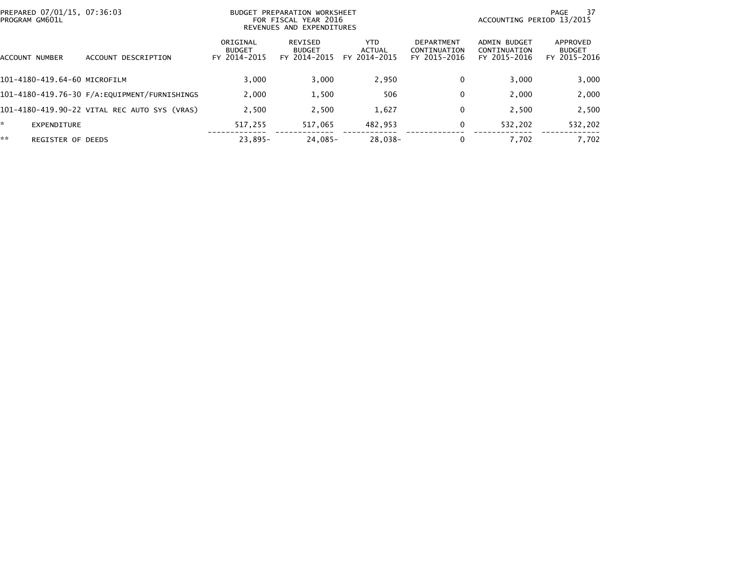| PREPARED 07/01/15, 07:36:03<br>BUDGET PREPARATION WORKSHEET<br>PROGRAM GM601L<br>REVENUES AND EXPENDITURES |                              |                                              |                                           | FOR FISCAL YEAR 2016                     |                                |                                                   |                                              | 37<br>PAGE<br>ACCOUNTING PERIOD 13/2015   |  |  |  |
|------------------------------------------------------------------------------------------------------------|------------------------------|----------------------------------------------|-------------------------------------------|------------------------------------------|--------------------------------|---------------------------------------------------|----------------------------------------------|-------------------------------------------|--|--|--|
|                                                                                                            | ACCOUNT NUMBER               | DESCRIPTION<br><b>ACCOUNT</b>                | ORIGINAL<br><b>BUDGET</b><br>FY 2014-2015 | REVISED<br><b>BUDGET</b><br>FY 2014-2015 | YTD.<br>ACTUAL<br>FY 2014-2015 | <b>DEPARTMENT</b><br>CONTINUATION<br>FY 2015-2016 | ADMIN BUDGET<br>CONTINUATION<br>FY 2015-2016 | APPROVED<br><b>BUDGET</b><br>FY 2015-2016 |  |  |  |
|                                                                                                            | 101-4180-419.64-60 MICROFILM |                                              | 3.000                                     | 3,000                                    | 2,950                          | 0                                                 | 3,000                                        | 3,000                                     |  |  |  |
|                                                                                                            |                              |                                              | 2,000                                     | 1,500                                    | 506                            | 0                                                 | 2,000                                        | 2,000                                     |  |  |  |
|                                                                                                            |                              | 101-4180-419.90-22 VITAL REC AUTO SYS (VRAS) | 2.500                                     | 2,500                                    | 1,627                          | 0                                                 | 2.500                                        | 2,500                                     |  |  |  |
| *.                                                                                                         | EXPENDITURE                  |                                              | 517.255                                   | 517,065                                  | 482,953                        | 0                                                 | 532,202                                      | 532,202                                   |  |  |  |
| **                                                                                                         | <b>REGISTER OF DEEDS</b>     |                                              | $23.895 -$                                | $24.085 -$                               | 28,038-                        | 0                                                 | 7,702                                        | 7,702                                     |  |  |  |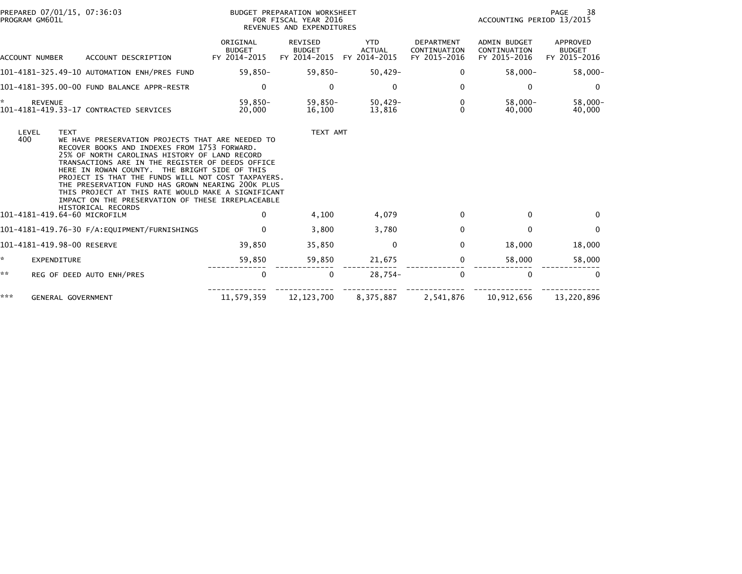| PROGRAM GM601L | PREPARED 07/01/15, 07:36:03                                                                                                                                                         |                                                                                                                                                                                                                                                                                                                            | BUDGET PREPARATION WORKSHEET<br>FOR FISCAL YEAR 2016<br>REVENUES AND EXPENDITURES | PAGE<br>38<br>ACCOUNTING PERIOD 13/2015     |                                                   |                                                     |                                           |
|----------------|-------------------------------------------------------------------------------------------------------------------------------------------------------------------------------------|----------------------------------------------------------------------------------------------------------------------------------------------------------------------------------------------------------------------------------------------------------------------------------------------------------------------------|-----------------------------------------------------------------------------------|---------------------------------------------|---------------------------------------------------|-----------------------------------------------------|-------------------------------------------|
|                | ACCOUNT DESCRIPTION<br>ACCOUNT NUMBER                                                                                                                                               | ORIGINAL<br><b>BUDGET</b><br>FY 2014-2015                                                                                                                                                                                                                                                                                  | REVISED<br><b>BUDGET</b><br>FY 2014-2015                                          | <b>YTD</b><br><b>ACTUAL</b><br>FY 2014-2015 | <b>DEPARTMENT</b><br>CONTINUATION<br>FY 2015-2016 | <b>ADMIN BUDGET</b><br>CONTINUATION<br>FY 2015-2016 | APPROVED<br><b>BUDGET</b><br>FY 2015-2016 |
|                | 101-4181-325.49-10 AUTOMATION ENH/PRES FUND                                                                                                                                         | 59,850-                                                                                                                                                                                                                                                                                                                    | 59,850-                                                                           | $50,429-$                                   | 0                                                 | $58,000 -$                                          | $58,000 -$                                |
|                | 101-4181-395.00-00 FUND BALANCE APPR-RESTR                                                                                                                                          | 0                                                                                                                                                                                                                                                                                                                          | 0                                                                                 | 0                                           | 0                                                 | 0                                                   | $\Omega$                                  |
| ŵ,             | <b>REVENUE</b><br>101-4181-419.33-17 CONTRACTED SERVICES                                                                                                                            | 59,850-<br>20,000                                                                                                                                                                                                                                                                                                          | 59,850-<br>16.100                                                                 | 50,429-<br>13,816                           | 0<br>$\Omega$                                     | $58,000 -$<br>40.000                                | $58.000 -$<br>40,000                      |
| LEVEL<br>400   | <b>TEXT</b><br>RECOVER BOOKS AND INDEXES FROM 1753 FORWARD.<br>25% OF NORTH CAROLINAS HISTORY OF LAND RECORD<br>HERE IN ROWAN COUNTY. THE BRIGHT SIDE OF THIS<br>HISTORICAL RECORDS | WE HAVE PRESERVATION PROJECTS THAT ARE NEEDED TO<br>TRANSACTIONS ARE IN THE REGISTER OF DEEDS OFFICE<br>PROJECT IS THAT THE FUNDS WILL NOT COST TAXPAYERS.<br>THE PRESERVATION FUND HAS GROWN NEARING 200K PLUS<br>THIS PROJECT AT THIS RATE WOULD MAKE A SIGNIFICANT<br>IMPACT ON THE PRESERVATION OF THESE IRREPLACEABLE | TEXT AMT                                                                          |                                             |                                                   |                                                     |                                           |
|                | 101-4181-419.64-60 MICROFILM                                                                                                                                                        | $\mathbf{0}$                                                                                                                                                                                                                                                                                                               | 4,100                                                                             | 4,079                                       | 0                                                 | $\Omega$                                            | $\Omega$                                  |
|                |                                                                                                                                                                                     | $\Omega$                                                                                                                                                                                                                                                                                                                   | 3,800                                                                             | 3.780                                       | 0                                                 | $\mathbf 0$                                         | $\Omega$                                  |
|                | 101-4181-419.98-00 RESERVE                                                                                                                                                          | 39,850                                                                                                                                                                                                                                                                                                                     | 35,850                                                                            | 0                                           | 0                                                 | 18,000                                              | 18,000                                    |
| *.             | EXPENDITURE                                                                                                                                                                         | 59,850                                                                                                                                                                                                                                                                                                                     | 59,850                                                                            | 21,675                                      | 0                                                 | 58,000                                              | 58,000                                    |
| **             | REG OF DEED AUTO ENH/PRES                                                                                                                                                           | 0                                                                                                                                                                                                                                                                                                                          | $\Omega$                                                                          | $28,754-$                                   | $\Omega$                                          | $\mathbf{0}$                                        | $\Omega$                                  |
| ***            | <b>GENERAL GOVERNMENT</b>                                                                                                                                                           | 11,579,359                                                                                                                                                                                                                                                                                                                 | 12, 123, 700                                                                      | 8,375,887                                   | 2,541,876                                         | 10,912,656                                          | 13,220,896                                |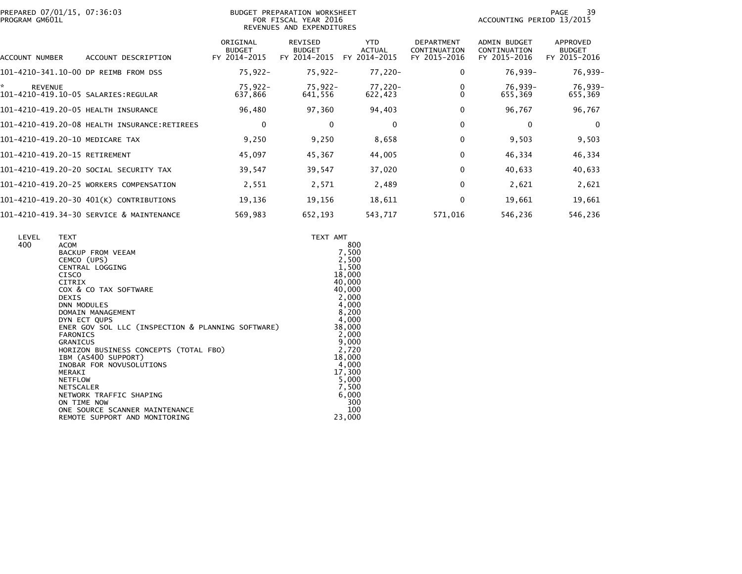|                | PREPARED 07/01/15, 07:36:03 |  |
|----------------|-----------------------------|--|
| PROGRAM GM601L |                             |  |

## PREPARED 07/01/15, 07:36:03 BUDGET PREPARATION WORKSHEET PAGE 39PROGRAM GM601L FOR FISCAL YEAR 2016 ACCOUNTING PERIOD 13/2015 REVENUES AND EXPENDITURES

PAGE 39<br>ACCOUNTING PERIOD 13/2015

| ACCOUNT NUMBER                           | ACCOUNT DESCRIPTION | ORIGINAL<br><b>BUDGET</b><br>FY 2014-2015 | REVISED<br><b>BUDGET</b><br>FY 2014-2015 | <b>YTD</b><br><b>ACTUAL</b><br>2014-2015<br>FY. | <b>DEPARTMENT</b><br>CONTINUATION<br>FY 2015-2016 | ADMIN BUDGET<br>CONTINUATION<br>FY 2015-2016 | APPROVED<br><b>BUDGET</b><br>FY 2015-2016 |
|------------------------------------------|---------------------|-------------------------------------------|------------------------------------------|-------------------------------------------------|---------------------------------------------------|----------------------------------------------|-------------------------------------------|
| 101-4210-341.10-00                       | DP REIMB FROM DSS   | $75,922 -$                                | $75,922 -$                               | 77,220-                                         | 0                                                 | 76,939-                                      | 76,939-                                   |
| *.<br><b>REVENUE</b>                     |                     | 75,922-<br>637,866                        | 75,922-<br>641,556                       | 77,220-<br>622,423                              | 0                                                 | 76,939-<br>655,369                           | 76,939-<br>655,369                        |
| 101-4210-419.20-05 HEALTH INSURANCE      |                     | 96,480                                    | 97,360                                   | 94,403                                          | 0                                                 | 96,767                                       | 96,767                                    |
|                                          |                     | 0                                         | 0                                        | $\mathbf{0}$                                    | 0                                                 | 0                                            | 0                                         |
| 101-4210-419.20-10 MEDICARE TAX          |                     | 9,250                                     | 9,250                                    | 8,658                                           | 0                                                 | 9,503                                        | 9,503                                     |
| 101-4210-419.20-15 RETIREMENT            |                     | 45,097                                    | 45,367                                   | 44,005                                          | $\Omega$                                          | 46,334                                       | 46,334                                    |
| 101–4210–419.20–20 SOCIAL SECURITY TAX   |                     | 39,547                                    | 39,547                                   | 37,020                                          | 0                                                 | 40,633                                       | 40,633                                    |
| 101-4210-419.20-25 WORKERS COMPENSATION  |                     | 2,551                                     | 2,571                                    | 2,489                                           | 0                                                 | 2,621                                        | 2,621                                     |
| 101-4210-419.20-30 401(K) CONTRIBUTIONS  |                     | 19,136                                    | 19,156                                   | 18,611                                          | 0                                                 | 19,661                                       | 19,661                                    |
| 101-4210-419.34-30 SERVICE & MAINTENANCE |                     | 569,983                                   | 652,193                                  | 543,717                                         | 571,016                                           | 546,236                                      | 546,236                                   |

| LEVEL<br><b>TEXT</b><br>400<br><b>ACOM</b><br>BACKUP FROM VEEAM<br>CEMCO (UPS)<br>CENTRAL LOGGING<br><b>CISCO</b><br><b>CITRIX</b><br>COX & CO TAX SOFTWARE<br><b>DEXIS</b><br><b>DNN MODULES</b><br>DOMAIN MANAGEMENT<br>DYN ECT QUPS<br>ENER GOV SOL LLC (INSPECTION & PLANNING SOFTWARE)<br><b>FARONICS</b><br><b>GRANICUS</b><br>HORIZON BUSINESS CONCEPTS (TOTAL FBO)<br>IBM (AS400 SUPPORT)<br>INOBAR FOR NOVUSOLUTIONS<br>MERAKI<br><b>NETFLOW</b><br>NETSCALER<br>NETWORK TRAFFIC SHAPING | TEXT AMT | 800<br>7,500<br>2,500<br>1,500<br>18,000<br>40,000<br>40,000<br>2,000<br>4,000<br>8,200<br>4,000<br>38,000<br>2,000<br>9,000<br>2,720<br>18,000<br>4,000<br>17,300<br>5,000 |
|---------------------------------------------------------------------------------------------------------------------------------------------------------------------------------------------------------------------------------------------------------------------------------------------------------------------------------------------------------------------------------------------------------------------------------------------------------------------------------------------------|----------|-----------------------------------------------------------------------------------------------------------------------------------------------------------------------------|
| ON TIME NOW<br>ONE SOURCE SCANNER MAINTENANCE<br>REMOTE SUPPORT AND MONITORING                                                                                                                                                                                                                                                                                                                                                                                                                    |          | 7,500<br>6,000<br>300<br>100<br>23,000                                                                                                                                      |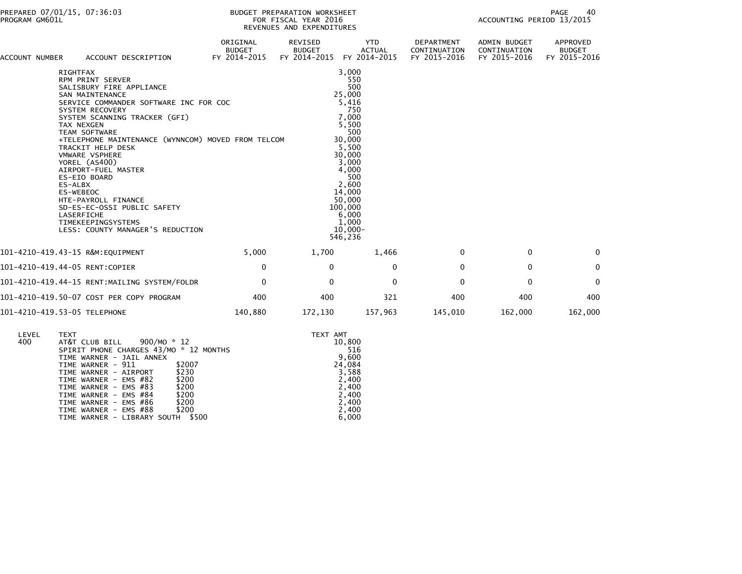| <b>ACCOUNT NUMBER</b> |                                         | ACCOUNT DESCRIPTION                                                                                                                                                                                                                                                                                                                                                                                                                                                                                  | ORIGINAL<br><b>BUDGET</b><br>FY 2014-2015 | <b>REVISED</b><br><b>BUDGET</b><br>FY 2014-2015 | <b>YTD</b><br><b>ACTUAL</b><br>FY 2014-2015                                                                                                                                                                     | <b>DEPARTMENT</b><br>CONTINUATION<br>FY 2015-2016 | <b>ADMIN BUDGET</b><br>CONTINUATION<br>FY 2015-2016 | APPROVED<br><b>BUDGET</b><br>FY 2015-2016 |  |
|-----------------------|-----------------------------------------|------------------------------------------------------------------------------------------------------------------------------------------------------------------------------------------------------------------------------------------------------------------------------------------------------------------------------------------------------------------------------------------------------------------------------------------------------------------------------------------------------|-------------------------------------------|-------------------------------------------------|-----------------------------------------------------------------------------------------------------------------------------------------------------------------------------------------------------------------|---------------------------------------------------|-----------------------------------------------------|-------------------------------------------|--|
|                       | <b>RIGHTFAX</b><br>ES-ALBX<br>ES-WEBEOC | RPM PRINT SERVER<br>SALISBURY FIRE APPLIANCE<br><b>SAN MAINTENANCE</b><br>SERVICE COMMANDER SOFTWARE INC FOR COC<br>SYSTEM RECOVERY<br>SYSTEM SCANNING TRACKER (GFI)<br>TAX NEXGEN<br><b>TEAM SOFTWARE</b><br>+TELEPHONE MAINTENANCE (WYNNCOM) MOVED FROM TELCOM<br>TRACKIT HELP DESK<br><b>VMWARE VSPHERE</b><br>YOREL (AS400)<br>AIRPORT-FUEL MASTER<br>ES-EIO BOARD<br>HTE-PAYROLL FINANCE<br>SD-ES-EC-OSSI PUBLIC SAFETY<br>LASERFICHE<br>TIMEKEEPINGSYSTEMS<br>LESS: COUNTY MANAGER'S REDUCTION |                                           |                                                 | 3,000<br>550<br>500<br>25,000<br>5,416<br>750<br>7,000<br>5,500<br>500<br>30,000<br>5,500<br>30,000<br>3,000<br>4.000<br>500<br>2,600<br>14,000<br>50,000<br>100,000<br>6,000<br>1,000<br>$10,000 -$<br>546,236 |                                                   |                                                     |                                           |  |
|                       |                                         | 101-4210-419.43-15 R&M:EOUIPMENT                                                                                                                                                                                                                                                                                                                                                                                                                                                                     | 5.000                                     | 1,700                                           | 1,466                                                                                                                                                                                                           | $\Omega$                                          | 0                                                   | $\Omega$                                  |  |
|                       |                                         | 101-4210-419.44-05 RENT:COPIER                                                                                                                                                                                                                                                                                                                                                                                                                                                                       | 0                                         | $\Omega$                                        | $\Omega$                                                                                                                                                                                                        | $\Omega$                                          | $\mathbf{0}$                                        | $\Omega$                                  |  |
|                       |                                         | 101-4210-419.44-15 RENT:MAILING SYSTEM/FOLDR                                                                                                                                                                                                                                                                                                                                                                                                                                                         | $\mathbf{0}$                              | $\Omega$                                        | $\mathbf{0}$                                                                                                                                                                                                    | $\Omega$                                          | $\mathbf{0}$                                        | $\Omega$                                  |  |
|                       |                                         | 101-4210-419.50-07 COST PER COPY PROGRAM                                                                                                                                                                                                                                                                                                                                                                                                                                                             | 400                                       | 400                                             | 321                                                                                                                                                                                                             | 400                                               | 400                                                 | 400                                       |  |
|                       |                                         | 101-4210-419.53-05 TELEPHONE                                                                                                                                                                                                                                                                                                                                                                                                                                                                         | 140,880                                   | 172,130                                         | 157,963                                                                                                                                                                                                         | 145,010                                           | 162,000                                             | 162,000                                   |  |

| LEVEL | <b>TEXT</b>                            | TEXT AMT |
|-------|----------------------------------------|----------|
| 400   | 900/MO * 12<br>AT&T CLUB BILL          | 10,800   |
|       | SPIRIT PHONE CHARGES 43/MO * 12 MONTHS | 516      |
|       | TIME WARNER - JAIL ANNEX               | 9,600    |
|       | \$2007<br>TIME WARNER - 911            | 24,084   |
|       | \$230<br>TIME WARNER - AIRPORT         | 3,588    |
|       | \$200<br>TIME WARNER - EMS #82         | 2,400    |
|       | \$200<br>TIME WARNER - EMS #83         | 2,400    |
|       | \$200<br>TIME WARNER - EMS #84         | 2,400    |
|       | \$200<br>TIME WARNER - EMS #86         | 2,400    |
|       | \$200<br>TIME WARNER - EMS #88         | 2,400    |
|       | TIME WARNER - LIBRARY SOUTH \$500      | 6.000    |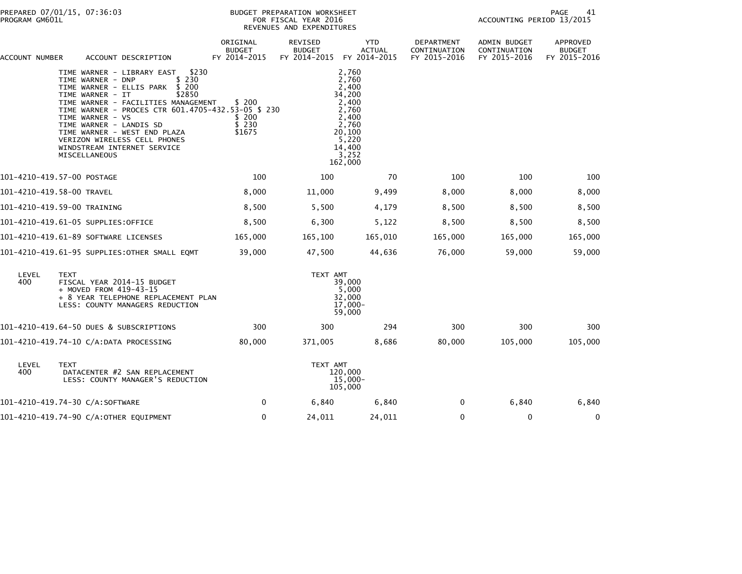| ACCOUNT NUMBER |                            | ACCOUNT DESCRIPTION                                                                                                                                                                                                                                                                                                                                                                            | ORIGINAL<br><b>BUDGET</b><br>FY 2014-2015 | REVISED<br><b>BUDGET</b><br>FY 2014-2015 | YTD<br><b>ACTUAL</b><br>FY 2014-2015                                                                                   | DEPARTMENT<br>CONTINUATION<br>FY 2015-2016 | ADMIN BUDGET<br>CONTINUATION<br>FY 2015-2016 | APPROVED<br><b>BUDGET</b><br>FY 2015-2016 |
|----------------|----------------------------|------------------------------------------------------------------------------------------------------------------------------------------------------------------------------------------------------------------------------------------------------------------------------------------------------------------------------------------------------------------------------------------------|-------------------------------------------|------------------------------------------|------------------------------------------------------------------------------------------------------------------------|--------------------------------------------|----------------------------------------------|-------------------------------------------|
|                |                            | TIME WARNER - LIBRARY EAST<br>\$230<br>\$230<br>TIME WARNER - DNP<br>TIME WARNER - ELLIS PARK \$ 200<br>TIME WARNER - IT<br>\$2850<br>TIME WARNER - FACILITIES MANAGEMENT<br>TIME WARNER - PROCES CTR 601.4705-432.53-05 \$ 230<br>TIME WARNER - VS<br>TIME WARNER - LANDIS SD<br>TIME WARNER - WEST END PLAZA<br>VERIZON WIRELESS CELL PHONES<br>WINDSTREAM INTERNET SERVICE<br>MISCELLANEOUS | \$ 200<br>\$ 200<br>\$230<br>\$1675       |                                          | 2,760<br>2,760<br>2,400<br>34,200<br>2.400<br>2,760<br>2,400<br>2,760<br>20,100<br>5,220<br>14,400<br>3,252<br>162,000 |                                            |                                              |                                           |
|                | 101-4210-419.57-00 POSTAGE |                                                                                                                                                                                                                                                                                                                                                                                                | 100                                       | 100                                      | 70                                                                                                                     | 100                                        | 100                                          | 100                                       |
|                | 101-4210-419.58-00 TRAVEL  |                                                                                                                                                                                                                                                                                                                                                                                                | 8,000                                     | 11,000                                   | 9,499                                                                                                                  | 8,000                                      | 8,000                                        | 8,000                                     |
|                |                            | 101-4210-419.59-00 TRAINING                                                                                                                                                                                                                                                                                                                                                                    | 8,500                                     | 5,500                                    | 4,179                                                                                                                  | 8,500                                      | 8,500                                        | 8,500                                     |
|                |                            | 101-4210-419.61-05 SUPPLIES:OFFICE                                                                                                                                                                                                                                                                                                                                                             | 8,500                                     | 6,300                                    | 5,122                                                                                                                  | 8,500                                      | 8,500                                        | 8,500                                     |
|                |                            | 101-4210-419.61-89 SOFTWARE LICENSES                                                                                                                                                                                                                                                                                                                                                           | 165,000                                   | 165,100                                  | 165,010                                                                                                                | 165,000                                    | 165,000                                      | 165,000                                   |
|                |                            | 101-4210-419.61-95 SUPPLIES: OTHER SMALL EQMT                                                                                                                                                                                                                                                                                                                                                  | 39,000                                    | 47,500                                   | 44,636                                                                                                                 | 76,000                                     | 59,000                                       | 59,000                                    |
| LEVEL<br>400   | <b>TEXT</b>                | FISCAL YEAR 2014-15 BUDGET<br>+ MOVED FROM 419-43-15<br>+ 8 YEAR TELEPHONE REPLACEMENT PLAN<br>LESS: COUNTY MANAGERS REDUCTION                                                                                                                                                                                                                                                                 |                                           | TEXT AMT                                 | 39,000<br>5,000<br>32,000<br>$17,000 -$<br>59,000                                                                      |                                            |                                              |                                           |
|                |                            | 101-4210-419.64-50 DUES & SUBSCRIPTIONS                                                                                                                                                                                                                                                                                                                                                        | 300                                       | 300                                      | 294                                                                                                                    | 300                                        | 300                                          | 300                                       |
|                |                            | 101-4210-419.74-10 C/A:DATA PROCESSING                                                                                                                                                                                                                                                                                                                                                         | 80,000                                    | 371,005                                  | 8,686                                                                                                                  | 80,000                                     | 105,000                                      | 105,000                                   |
| LEVEL<br>400   | TEXT                       | DATACENTER #2 SAN REPLACEMENT<br>LESS: COUNTY MANAGER'S REDUCTION                                                                                                                                                                                                                                                                                                                              |                                           | TEXT AMT                                 | 120,000<br>15,000-<br>105,000                                                                                          |                                            |                                              |                                           |
|                |                            | 101-4210-419.74-30 C/A:SOFTWARE                                                                                                                                                                                                                                                                                                                                                                | 0                                         | 6,840                                    | 6,840                                                                                                                  | $\Omega$                                   | 6,840                                        | 6,840                                     |
|                |                            | 101-4210-419.74-90 C/A:OTHER EQUIPMENT                                                                                                                                                                                                                                                                                                                                                         | $\mathbf 0$                               | 24,011                                   | 24,011                                                                                                                 | 0                                          | 0                                            | 0                                         |
|                |                            |                                                                                                                                                                                                                                                                                                                                                                                                |                                           |                                          |                                                                                                                        |                                            |                                              |                                           |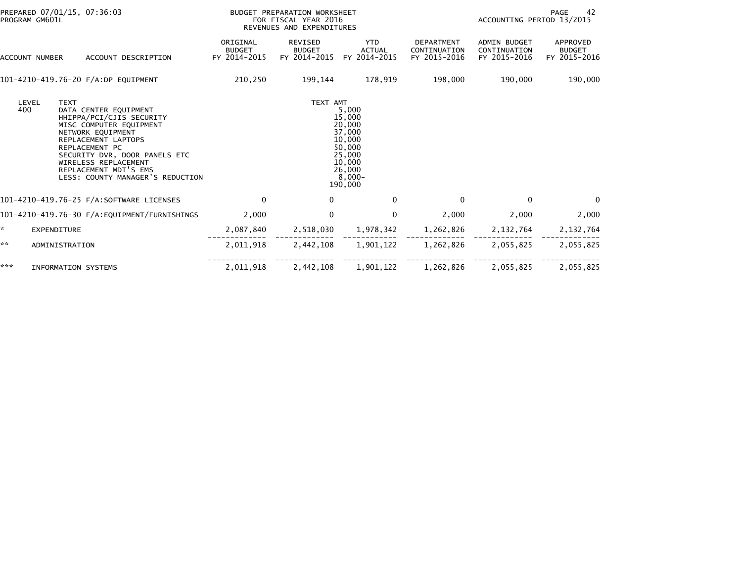| PREPARED 07/01/15, 07:36:03<br>PROGRAM GM601L |                             |                                                                                                                                                                                                                                                                  | BUDGET PREPARATION WORKSHEET<br>FOR FISCAL YEAR 2016<br>REVENUES AND EXPENDITURES |                                                 |                                                                                                               |                                                   | PAGE<br>-42<br>ACCOUNTING PERIOD 13/2015     |                                           |  |
|-----------------------------------------------|-----------------------------|------------------------------------------------------------------------------------------------------------------------------------------------------------------------------------------------------------------------------------------------------------------|-----------------------------------------------------------------------------------|-------------------------------------------------|---------------------------------------------------------------------------------------------------------------|---------------------------------------------------|----------------------------------------------|-------------------------------------------|--|
|                                               | ACCOUNT NUMBER              | ACCOUNT DESCRIPTION                                                                                                                                                                                                                                              | ORIGINAL<br><b>BUDGET</b><br>FY 2014-2015                                         | <b>REVISED</b><br><b>BUDGET</b><br>FY 2014-2015 | <b>YTD</b><br><b>ACTUAL</b><br>FY 2014-2015                                                                   | <b>DEPARTMENT</b><br>CONTINUATION<br>FY 2015-2016 | ADMIN BUDGET<br>CONTINUATION<br>FY 2015-2016 | APPROVED<br><b>BUDGET</b><br>FY 2015-2016 |  |
|                                               |                             | 101-4210-419.76-20 F/A:DP EQUIPMENT                                                                                                                                                                                                                              | 210,250                                                                           | 199,144                                         | 178,919                                                                                                       | 198,000                                           | 190,000                                      | 190,000                                   |  |
|                                               | LEVEL<br><b>TEXT</b><br>400 | DATA CENTER EQUIPMENT<br>HHIPPA/PCI/CJIS SECURITY<br>MISC COMPUTER EQUIPMENT<br>NETWORK EQUIPMENT<br>REPLACEMENT LAPTOPS<br>REPLACEMENT PC<br>SECURITY DVR, DOOR PANELS ETC<br>WIRELESS REPLACEMENT<br>REPLACEMENT MDT'S EMS<br>LESS: COUNTY MANAGER'S REDUCTION |                                                                                   | TEXT AMT                                        | 5,000<br>15,000<br>20,000<br>37,000<br>10,000<br>50,000<br>25,000<br>10,000<br>26,000<br>$8,000 -$<br>190,000 |                                                   |                                              |                                           |  |
|                                               |                             | 101-4210-419.76-25 F/A:SOFTWARE LICENSES                                                                                                                                                                                                                         | $\Omega$                                                                          | $\mathbf{0}$                                    | $\Omega$                                                                                                      | $\Omega$                                          | $\Omega$                                     | $\Omega$                                  |  |
|                                               |                             | 101-4210-419.76-30 F/A:EQUIPMENT/FURNISHINGS                                                                                                                                                                                                                     | 2,000                                                                             | $\mathbf{0}$                                    | $\mathbf{0}$                                                                                                  | 2,000                                             | 2,000                                        | 2,000                                     |  |
| ÷.                                            | <b>EXPENDITURE</b>          |                                                                                                                                                                                                                                                                  | 2,087,840                                                                         | 2,518,030                                       | 1,978,342                                                                                                     | 1,262,826                                         | 2,132,764                                    | 2,132,764                                 |  |
| **                                            | ADMINISTRATION              |                                                                                                                                                                                                                                                                  | 2,011,918                                                                         | 2,442,108                                       | 1,901,122                                                                                                     | 1,262,826                                         | 2,055,825                                    | 2,055,825                                 |  |
| ***                                           | <b>INFORMATION SYSTEMS</b>  |                                                                                                                                                                                                                                                                  | 2,011,918                                                                         | 2,442,108                                       | 1,901,122                                                                                                     | 1,262,826                                         | 2,055,825                                    | 2,055,825                                 |  |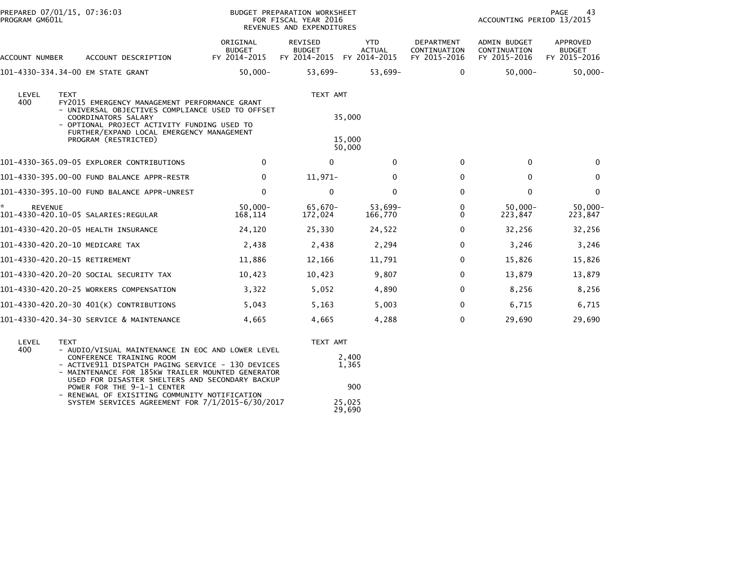|                                             | <b>BUDGET PREPARATION WORKSHEET</b><br>FOR FISCAL YEAR 2016<br>REVENUES AND EXPENDITURES |                                                                                                                                                                                                                                            |                             |                                                        | PAGE<br>43<br>ACCOUNTING PERIOD 13/2015             |                                           |
|---------------------------------------------|------------------------------------------------------------------------------------------|--------------------------------------------------------------------------------------------------------------------------------------------------------------------------------------------------------------------------------------------|-----------------------------|--------------------------------------------------------|-----------------------------------------------------|-------------------------------------------|
| ACCOUNT DESCRIPTION                         |                                                                                          | <b>REVISED</b><br><b>BUDGET</b>                                                                                                                                                                                                            | <b>YTD</b><br><b>ACTUAL</b> | <b>DEPARTMENT</b><br>CONTINUATION<br>FY 2015-2016      | <b>ADMIN BUDGET</b><br>CONTINUATION<br>FY 2015-2016 | APPROVED<br><b>BUDGET</b><br>FY 2015-2016 |
| 101-4330-334.34-00 EM STATE GRANT           | $50,000 -$                                                                               | 53,699-                                                                                                                                                                                                                                    | 53,699-                     | 0                                                      | $50,000 -$                                          | $50,000 -$                                |
| COORDINATORS SALARY                         |                                                                                          |                                                                                                                                                                                                                                            |                             |                                                        |                                                     |                                           |
| PROGRAM (RESTRICTED)                        |                                                                                          |                                                                                                                                                                                                                                            |                             |                                                        |                                                     |                                           |
| 101-4330-365.09-05 EXPLORER CONTRIBUTIONS   | 0                                                                                        | $\Omega$                                                                                                                                                                                                                                   | $\Omega$                    | $\mathbf{0}$                                           | 0                                                   | $\Omega$                                  |
| 101-4330-395.00-00 FUND BALANCE APPR-RESTR  | 0                                                                                        | 11,971-                                                                                                                                                                                                                                    | 0                           | 0                                                      | 0                                                   | $\mathbf 0$                               |
| 101-4330-395.10-00 FUND BALANCE APPR-UNREST | $\mathbf 0$                                                                              | $\mathbf{0}$                                                                                                                                                                                                                               | $\mathbf 0$                 | 0                                                      | $\Omega$                                            | $\mathbf{0}$                              |
| 101-4330-420.10-05 SALARIES:REGULAR         | $50,000 -$<br>168,114                                                                    | 65,670-<br>172,024                                                                                                                                                                                                                         | 53,699-<br>166,770          | 0<br>0                                                 | $50,000 -$<br>223,847                               | $50,000 -$<br>223,847                     |
| 101-4330-420.20-05 HEALTH INSURANCE         | 24,120                                                                                   | 25,330                                                                                                                                                                                                                                     | 24,522                      | 0                                                      | 32,256                                              | 32,256                                    |
| 101-4330-420.20-10 MEDICARE TAX             | 2,438                                                                                    | 2,438                                                                                                                                                                                                                                      | 2,294                       | 0                                                      | 3,246                                               | 3,246                                     |
| 101-4330-420.20-15 RETIREMENT               | 11,886                                                                                   | 12,166                                                                                                                                                                                                                                     | 11,791                      | 0                                                      | 15,826                                              | 15,826                                    |
| 101–4330–420.20–20 SOCIAL SECURITY TAX      | 10,423                                                                                   | 10,423                                                                                                                                                                                                                                     | 9,807                       | 0                                                      | 13,879                                              | 13,879                                    |
| 101-4330-420.20-25 WORKERS COMPENSATION     | 3,322                                                                                    | 5,052                                                                                                                                                                                                                                      | 4,890                       | 0                                                      | 8,256                                               | 8,256                                     |
| 101-4330-420.20-30 401(K) CONTRIBUTIONS     | 5,043                                                                                    | 5,163                                                                                                                                                                                                                                      | 5,003                       | 0                                                      | 6,715                                               | 6,715                                     |
| 101-4330-420.34-30 SERVICE & MAINTENANCE    | 4,665                                                                                    | 4,665                                                                                                                                                                                                                                      | 4,288                       | 0                                                      | 29,690                                              | 29,690                                    |
|                                             |                                                                                          | ORIGINAL<br><b>BUDGET</b><br>FY 2014-2015<br>FY2015 EMERGENCY MANAGEMENT PERFORMANCE GRANT<br>- UNIVERSAL OBJECTIVES COMPLIANCE USED TO OFFSET<br>- OPTIONAL PROJECT ACTIVITY FUNDING USED TO<br>FURTHER/EXPAND LOCAL EMERGENCY MANAGEMENT | FY 2014-2015                | FY 2014-2015<br>TEXT AMT<br>35,000<br>15,000<br>50,000 |                                                     |                                           |

| LEVEL | TFXT                                                                                                                                                      | TEXT AMT         |
|-------|-----------------------------------------------------------------------------------------------------------------------------------------------------------|------------------|
| 400   | - AUDIO/VISUAL MAINTENANCE IN EOC AND LOWER LEVEL<br>CONFERENCE TRAINING ROOM                                                                             | 2,400            |
|       | - ACTIVE911 DISPATCH PAGING SERVICE - 130 DEVICES<br>- MAINTENANCE FOR 185KW TRAILER MOUNTED GENERATOR<br>USED FOR DISASTER SHELTERS AND SECONDARY BACKUP | 1,365            |
|       | POWER FOR THE 9-1-1 CENTER<br>- RENEWAL OF EXISITING COMMUNITY NOTIFICATION                                                                               | 900              |
|       | SYSTEM SERVICES AGREEMENT FOR 7/1/2015-6/30/2017                                                                                                          | 25,025<br>29,690 |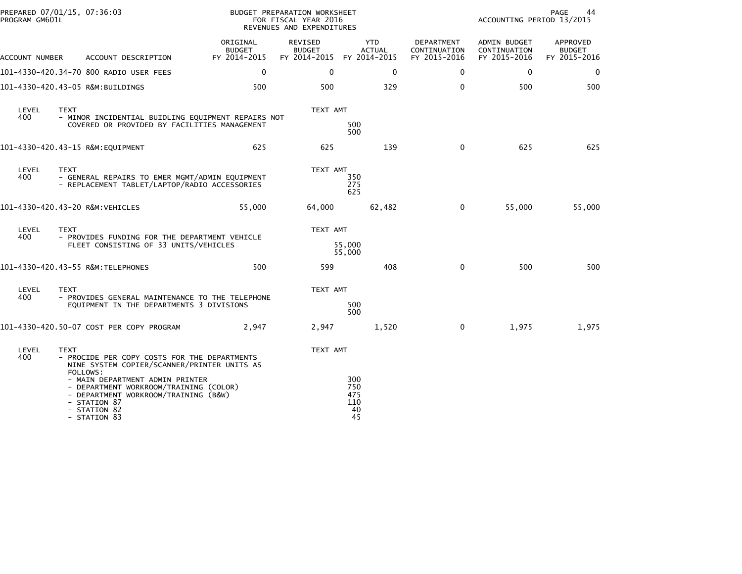|                                  | PREPARED 07/01/15, 07:36:03<br>PROGRAM GM601L |                                                                                                                                                                   |                                           | BUDGET PREPARATION WORKSHEET<br>FOR FISCAL YEAR 2016<br>REVENUES AND EXPENDITURES |                                      |               |                                            | PAGE<br>44<br>ACCOUNTING PERIOD 13/2015      |                                           |  |  |
|----------------------------------|-----------------------------------------------|-------------------------------------------------------------------------------------------------------------------------------------------------------------------|-------------------------------------------|-----------------------------------------------------------------------------------|--------------------------------------|---------------|--------------------------------------------|----------------------------------------------|-------------------------------------------|--|--|
| ACCOUNT NUMBER                   |                                               | ACCOUNT DESCRIPTION                                                                                                                                               | ORIGINAL<br><b>BUDGET</b><br>FY 2014-2015 | REVISED<br><b>BUDGET</b><br>FY 2014-2015 FY 2014-2015                             | <b>YTD</b>                           | <b>ACTUAL</b> | DEPARTMENT<br>CONTINUATION<br>FY 2015-2016 | ADMIN BUDGET<br>CONTINUATION<br>FY 2015-2016 | APPROVED<br><b>BUDGET</b><br>FY 2015-2016 |  |  |
|                                  |                                               | 101-4330-420.34-70 800 RADIO USER FEES                                                                                                                            | $\Omega$                                  | $\mathbf 0$                                                                       |                                      | $\mathbf{0}$  | 0                                          | $\mathbf{0}$                                 | $\mathbf 0$                               |  |  |
| 101-4330-420.43-05 R&M:BUILDINGS |                                               |                                                                                                                                                                   | 500                                       | 500                                                                               |                                      | 329           | $\mathbf{0}$                               | 500                                          | 500                                       |  |  |
| LEVEL<br>400                     | <b>TEXT</b>                                   | - MINOR INCIDENTIAL BUIDLING EQUIPMENT REPAIRS NOT<br>COVERED OR PROVIDED BY FACILITIES MANAGEMENT                                                                |                                           | TEXT AMT                                                                          | 500<br>500                           |               |                                            |                                              |                                           |  |  |
| 101-4330-420.43-15 R&M:EQUIPMENT |                                               |                                                                                                                                                                   | 625                                       | 625                                                                               |                                      | 139           | 0                                          | 625                                          | 625                                       |  |  |
| LEVEL<br>400                     | <b>TEXT</b>                                   | - GENERAL REPAIRS TO EMER MGMT/ADMIN EQUIPMENT<br>- REPLACEMENT TABLET/LAPTOP/RADIO ACCESSORIES                                                                   |                                           | TEXT AMT                                                                          | 350<br>275<br>625                    |               |                                            |                                              |                                           |  |  |
| 101-4330-420.43-20 R&M:VEHICLES  |                                               |                                                                                                                                                                   | 55,000                                    | 64,000                                                                            |                                      | 62,482        | 0                                          | 55,000                                       | 55,000                                    |  |  |
| LEVEL                            | <b>TEXT</b>                                   |                                                                                                                                                                   | TEXT AMT                                  |                                                                                   |                                      |               |                                            |                                              |                                           |  |  |
| 400                              |                                               | - PROVIDES FUNDING FOR THE DEPARTMENT VEHICLE<br>FLEET CONSISTING OF 33 UNITS/VEHICLES                                                                            |                                           | 55,000<br>55,000                                                                  |                                      |               |                                            |                                              |                                           |  |  |
|                                  |                                               | 101-4330-420.43-55 R&M:TELEPHONES                                                                                                                                 | 500                                       | 599                                                                               |                                      | 408           | $\mathbf{0}$                               | 500                                          | 500                                       |  |  |
| LEVEL                            | <b>TEXT</b>                                   |                                                                                                                                                                   |                                           | TEXT AMT                                                                          |                                      |               |                                            |                                              |                                           |  |  |
| 400                              |                                               | - PROVIDES GENERAL MAINTENANCE TO THE TELEPHONE<br>EQUIPMENT IN THE DEPARTMENTS 3 DIVISIONS                                                                       |                                           |                                                                                   | 500<br>500                           |               |                                            |                                              |                                           |  |  |
|                                  |                                               | 101-4330-420.50-07 COST PER COPY PROGRAM                                                                                                                          | 2,947                                     | 2,947                                                                             |                                      | 1,520         | $\mathbf 0$                                | 1,975                                        | 1,975                                     |  |  |
| LEVEL<br>400                     | <b>TEXT</b>                                   | - PROCIDE PER COPY COSTS FOR THE DEPARTMENTS<br>NINE SYSTEM COPIER/SCANNER/PRINTER UNITS AS                                                                       |                                           | TEXT AMT                                                                          |                                      |               |                                            |                                              |                                           |  |  |
|                                  | FOLLOWS:                                      | - MAIN DEPARTMENT ADMIN PRINTER<br>- DEPARTMENT WORKROOM/TRAINING (COLOR)<br>- DEPARTMENT WORKROOM/TRAINING (B&W)<br>- STATION 87<br>- STATION 82<br>- STATION 83 |                                           |                                                                                   | 300<br>750<br>475<br>110<br>40<br>45 |               |                                            |                                              |                                           |  |  |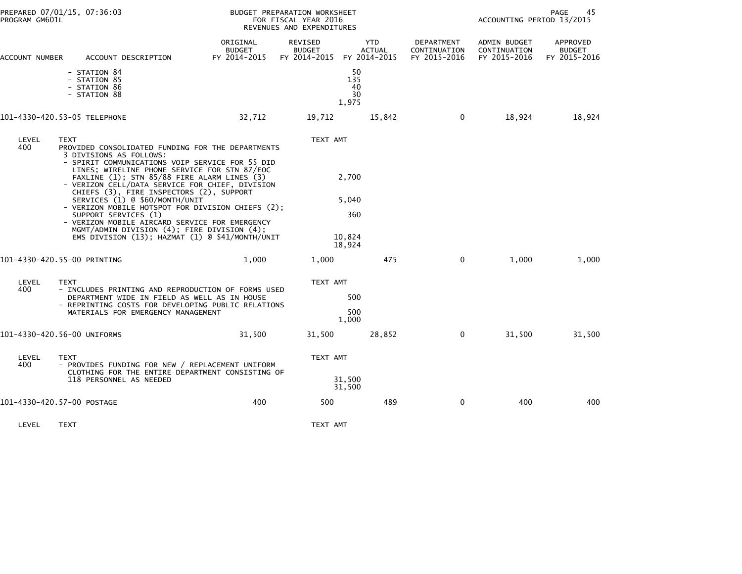| PREPARED 07/01/15, 07:36:03<br>PROGRAM GM601L                                                                                                                                                                                                                                                                                                                                                                                                                                                                                                                                                                                                                  |                                    | BUDGET PREPARATION WORKSHEET<br>FOR FISCAL YEAR 2016<br>REVENUES AND EXPENDITURES | PAGE<br>45<br>ACCOUNTING PERIOD 13/2015          |                                            |                                              |                                           |
|----------------------------------------------------------------------------------------------------------------------------------------------------------------------------------------------------------------------------------------------------------------------------------------------------------------------------------------------------------------------------------------------------------------------------------------------------------------------------------------------------------------------------------------------------------------------------------------------------------------------------------------------------------------|------------------------------------|-----------------------------------------------------------------------------------|--------------------------------------------------|--------------------------------------------|----------------------------------------------|-------------------------------------------|
| ACCOUNT DESCRIPTION<br>ACCOUNT NUMBER                                                                                                                                                                                                                                                                                                                                                                                                                                                                                                                                                                                                                          | ORIGINAL<br>BUDGET<br>FY 2014-2015 | REVISED<br><b>BUDGET</b><br>FY 2014-2015 FY 2014-2015                             | <b>YTD</b><br><b>ACTUAL</b>                      | DEPARTMENT<br>CONTINUATION<br>FY 2015-2016 | ADMIN BUDGET<br>CONTINUATION<br>FY 2015-2016 | APPROVED<br><b>BUDGET</b><br>FY 2015-2016 |
| - STATION 84<br>- STATION 85<br>- STATION 86<br>- STATION 88                                                                                                                                                                                                                                                                                                                                                                                                                                                                                                                                                                                                   |                                    |                                                                                   | 50<br>135<br>40<br>30<br>1,975                   |                                            |                                              |                                           |
| 101-4330-420.53-05 TELEPHONE                                                                                                                                                                                                                                                                                                                                                                                                                                                                                                                                                                                                                                   | 32,712                             | 19,712                                                                            | 15,842                                           | $\mathbf 0$                                | 18,924                                       | 18,924                                    |
| LEVEL<br><b>TEXT</b><br>400<br>PROVIDED CONSOLIDATED FUNDING FOR THE DEPARTMENTS<br>3 DIVISIONS AS FOLLOWS:<br>- SPIRIT COMMUNICATIONS VOIP SERVICE FOR 55 DID<br>LINES; WIRELINE PHONE SERVICE FOR STN 87/EOC<br>FAXLINE (1); STN 85/88 FIRE ALARM LINES (3)<br>- VERIZON CELL/DATA SERVICE FOR CHIEF, DIVISION<br>CHIEFS (3), FIRE INSPECTORS (2), SUPPORT<br>SERVICES (1) @ \$60/MONTH/UNIT<br>- VERIZON MOBILE HOTSPOT FOR DIVISION CHIEFS (2);<br>SUPPORT SERVICES (1)<br>- VERIZON MOBILE AIRCARD SERVICE FOR EMERGENCY<br>MGMT/ADMIN DIVISION (4); FIRE DIVISION (4);<br>EMS DIVISION (13); HAZMAT (1) @ \$41/MONTH/UNIT<br>101-4330-420.55-00 PRINTING | 1,000                              | TEXT AMT<br>1,000                                                                 | 2,700<br>5,040<br>360<br>10,824<br>18,924<br>475 | $\mathbf{0}$                               | 1,000                                        | 1,000                                     |
| LEVEL<br><b>TEXT</b><br>400<br>- INCLUDES PRINTING AND REPRODUCTION OF FORMS USED<br>DEPARTMENT WIDE IN FIELD AS WELL AS IN HOUSE<br>- REPRINTING COSTS FOR DEVELOPING PUBLIC RELATIONS<br>MATERIALS FOR EMERGENCY MANAGEMENT                                                                                                                                                                                                                                                                                                                                                                                                                                  |                                    | TEXT AMT                                                                          | 500<br>500<br>1,000                              |                                            |                                              |                                           |
| 101-4330-420.56-00 UNIFORMS                                                                                                                                                                                                                                                                                                                                                                                                                                                                                                                                                                                                                                    | 31,500                             | 31,500                                                                            | 28,852                                           | $\mathbf{0}$                               | 31,500                                       | 31,500                                    |
| LEVEL<br><b>TEXT</b><br>400<br>- PROVIDES FUNDING FOR NEW / REPLACEMENT UNIFORM<br>CLOTHING FOR THE ENTIRE DEPARTMENT CONSISTING OF<br>118 PERSONNEL AS NEEDED                                                                                                                                                                                                                                                                                                                                                                                                                                                                                                 |                                    | TEXT AMT                                                                          | 31,500<br>31,500                                 |                                            |                                              |                                           |
| 101-4330-420.57-00 POSTAGE                                                                                                                                                                                                                                                                                                                                                                                                                                                                                                                                                                                                                                     | 400                                | 500                                                                               | 489                                              | $\mathbf 0$                                | 400                                          | 400                                       |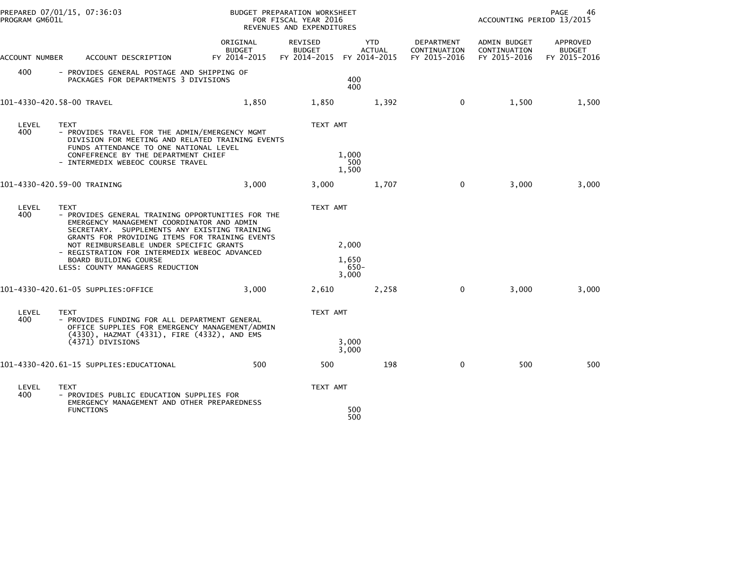| PROGRAM GM601L | PREPARED 07/01/15, 07:36:03                                                                                                                                                                                                                                                                                                                                              |                                           | <b>BUDGET PREPARATION WORKSHEET</b><br>FOR FISCAL YEAR 2016<br>REVENUES AND EXPENDITURES |                                             |                                            | PAGE<br>46<br>ACCOUNTING PERIOD 13/2015      |                                           |  |
|----------------|--------------------------------------------------------------------------------------------------------------------------------------------------------------------------------------------------------------------------------------------------------------------------------------------------------------------------------------------------------------------------|-------------------------------------------|------------------------------------------------------------------------------------------|---------------------------------------------|--------------------------------------------|----------------------------------------------|-------------------------------------------|--|
| ACCOUNT NUMBER | ACCOUNT DESCRIPTION                                                                                                                                                                                                                                                                                                                                                      | ORIGINAL<br><b>BUDGET</b><br>FY 2014-2015 | REVISED<br><b>BUDGET</b><br>FY 2014-2015                                                 | <b>YTD</b><br><b>ACTUAL</b><br>FY 2014-2015 | DEPARTMENT<br>CONTINUATION<br>FY 2015-2016 | ADMIN BUDGET<br>CONTINUATION<br>FY 2015-2016 | APPROVED<br><b>BUDGET</b><br>FY 2015-2016 |  |
| 400            | - PROVIDES GENERAL POSTAGE AND SHIPPING OF<br>PACKAGES FOR DEPARTMENTS 3 DIVISIONS                                                                                                                                                                                                                                                                                       |                                           |                                                                                          | 400<br>400                                  |                                            |                                              |                                           |  |
|                | 101-4330-420.58-00 TRAVEL                                                                                                                                                                                                                                                                                                                                                | 1,850                                     | 1,850                                                                                    | 1,392                                       | $\mathbf{0}$                               | 1,500                                        | 1,500                                     |  |
| LEVEL<br>400   | <b>TEXT</b><br>- PROVIDES TRAVEL FOR THE ADMIN/EMERGENCY MGMT<br>DIVISION FOR MEETING AND RELATED TRAINING EVENTS<br>FUNDS ATTENDANCE TO ONE NATIONAL LEVEL<br>CONFEFRENCE BY THE DEPARTMENT CHIEF<br>- INTERMEDIX WEBEOC COURSE TRAVEL                                                                                                                                  |                                           | TEXT AMT                                                                                 | 1,000<br>500<br>1,500                       |                                            |                                              |                                           |  |
|                | 101-4330-420.59-00 TRAINING                                                                                                                                                                                                                                                                                                                                              | 3,000                                     | 3,000                                                                                    | 1,707                                       | $\mathbf 0$                                | 3,000                                        | 3,000                                     |  |
| LEVEL<br>400   | <b>TEXT</b><br>- PROVIDES GENERAL TRAINING OPPORTUNITIES FOR THE<br>EMERGENCY MANAGEMENT COORDINATOR AND ADMIN<br>SECRETARY. SUPPLEMENTS ANY EXISTING TRAINING<br>GRANTS FOR PROVIDING ITEMS FOR TRAINING EVENTS<br>NOT REIMBURSEABLE UNDER SPECIFIC GRANTS<br>- REGISTRATION FOR INTERMEDIX WEBEOC ADVANCED<br>BOARD BUILDING COURSE<br>LESS: COUNTY MANAGERS REDUCTION |                                           | TEXT AMT                                                                                 | 2,000<br>1,650<br>$650 -$<br>3,000          |                                            |                                              |                                           |  |
|                | 101-4330-420.61-05 SUPPLIES:OFFICE                                                                                                                                                                                                                                                                                                                                       | 3,000                                     | 2,610                                                                                    | 2,258                                       | $\mathbf 0$                                | 3,000                                        | 3,000                                     |  |
| LEVEL<br>400   | <b>TEXT</b><br>- PROVIDES FUNDING FOR ALL DEPARTMENT GENERAL<br>OFFICE SUPPLIES FOR EMERGENCY MANAGEMENT/ADMIN<br>(4330), HAZMAT (4331), FIRE (4332), AND EMS<br>(4371) DIVISIONS                                                                                                                                                                                        |                                           | TEXT AMT                                                                                 | 3,000<br>3,000                              |                                            |                                              |                                           |  |
|                | 101–4330–420.61–15 SUPPLIES:EDUCATIONAL                                                                                                                                                                                                                                                                                                                                  | 500                                       | 500                                                                                      | 198                                         | $\mathbf 0$                                | 500                                          | 500                                       |  |
| LEVEL<br>400   | <b>TEXT</b><br>- PROVIDES PUBLIC EDUCATION SUPPLIES FOR<br>EMERGENCY MANAGEMENT AND OTHER PREPAREDNESS<br><b>FUNCTIONS</b>                                                                                                                                                                                                                                               |                                           | TEXT AMT                                                                                 | 500                                         |                                            |                                              |                                           |  |
|                |                                                                                                                                                                                                                                                                                                                                                                          |                                           |                                                                                          | 500                                         |                                            |                                              |                                           |  |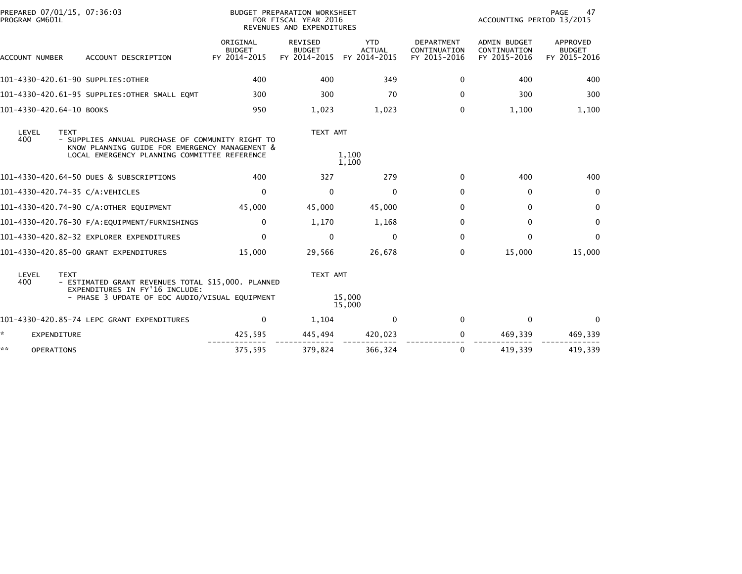| PREPARED 07/01/15, 07:36:03<br>PROGRAM GM601L |                                                                                                                                                    |                                           | BUDGET PREPARATION WORKSHEET<br>FOR FISCAL YEAR 2016<br>REVENUES AND EXPENDITURES |                                             |                                                   | ACCOUNTING PERIOD 13/2015                           | PAGE<br>47                                |
|-----------------------------------------------|----------------------------------------------------------------------------------------------------------------------------------------------------|-------------------------------------------|-----------------------------------------------------------------------------------|---------------------------------------------|---------------------------------------------------|-----------------------------------------------------|-------------------------------------------|
| ACCOUNT NUMBER                                | ACCOUNT DESCRIPTION                                                                                                                                | ORIGINAL<br><b>BUDGET</b><br>FY 2014-2015 | <b>REVISED</b><br><b>BUDGET</b><br>FY 2014-2015                                   | <b>YTD</b><br><b>ACTUAL</b><br>FY 2014-2015 | <b>DEPARTMENT</b><br>CONTINUATION<br>FY 2015-2016 | <b>ADMIN BUDGET</b><br>CONTINUATION<br>FY 2015-2016 | APPROVED<br><b>BUDGET</b><br>FY 2015-2016 |
|                                               | 101-4330-420.61-90 SUPPLIES: OTHER                                                                                                                 | 400                                       | 400                                                                               | 349                                         | 0                                                 | 400                                                 | 400                                       |
|                                               | 101-4330-420.61-95 SUPPLIES:OTHER SMALL EQMT                                                                                                       | 300                                       | 300                                                                               | 70                                          | 0                                                 | 300                                                 | 300                                       |
| 101-4330-420.64-10 BOOKS                      |                                                                                                                                                    | 950                                       | 1,023                                                                             | 1,023                                       | 0                                                 | 1.100                                               | 1,100                                     |
| LEVEL<br><b>TEXT</b><br>400                   | - SUPPLIES ANNUAL PURCHASE OF COMMUNITY RIGHT TO<br>KNOW PLANNING GUIDE FOR EMERGENCY MANAGEMENT &<br>LOCAL EMERGENCY PLANNING COMMITTEE REFERENCE |                                           | TEXT AMT                                                                          | 1,100<br>1,100                              |                                                   |                                                     |                                           |
|                                               | 101-4330-420.64-50 DUES & SUBSCRIPTIONS                                                                                                            | 400                                       | 327                                                                               | 279                                         | 0                                                 | 400                                                 | 400                                       |
| 101-4330-420.74-35 C/A:VEHICLES               |                                                                                                                                                    | $\Omega$                                  | $\Omega$                                                                          | $\Omega$                                    | $\Omega$                                          | $\mathbf{0}$                                        | $\Omega$                                  |
|                                               | 101-4330-420.74-90 C/A:OTHER EQUIPMENT                                                                                                             | 45,000                                    | 45,000                                                                            | 45,000                                      | 0                                                 | 0                                                   | 0                                         |
|                                               |                                                                                                                                                    | $\mathbf 0$                               | 1,170                                                                             | 1,168                                       | $\Omega$                                          | $\mathbf 0$                                         | $\mathbf 0$                               |
|                                               | 101-4330-420.82-32 EXPLORER EXPENDITURES                                                                                                           | $\Omega$                                  | $\Omega$                                                                          | 0                                           | $\Omega$                                          | 0                                                   | $\mathbf{0}$                              |
|                                               | 101-4330-420.85-00 GRANT EXPENDITURES                                                                                                              | 15,000                                    | 29,566                                                                            | 26,678                                      | $\Omega$                                          | 15,000                                              | 15,000                                    |
| LEVEL<br><b>TEXT</b><br>400                   | - ESTIMATED GRANT REVENUES TOTAL \$15,000. PLANNED<br>EXPENDITURES IN FY'16 INCLUDE:<br>- PHASE 3 UPDATE OF EOC AUDIO/VISUAL EQUIPMENT             |                                           | TEXT AMT                                                                          | 15,000                                      |                                                   |                                                     |                                           |
|                                               |                                                                                                                                                    |                                           |                                                                                   | 15,000                                      |                                                   |                                                     |                                           |
|                                               | 101-4330-420.85-74 LEPC GRANT EXPENDITURES                                                                                                         | 0                                         | 1,104                                                                             | $\mathbf{0}$                                | $\Omega$                                          | $\mathbf{0}$                                        | $\Omega$                                  |
| ☆.<br><b>EXPENDITURE</b>                      |                                                                                                                                                    | 425,595                                   | 445,494                                                                           | 420,023                                     | 0                                                 | 469,339                                             | 469,339                                   |
| **<br><b>OPERATIONS</b>                       |                                                                                                                                                    | 375,595                                   | 379,824                                                                           | 366,324                                     | 0                                                 | 419,339                                             | 419,339                                   |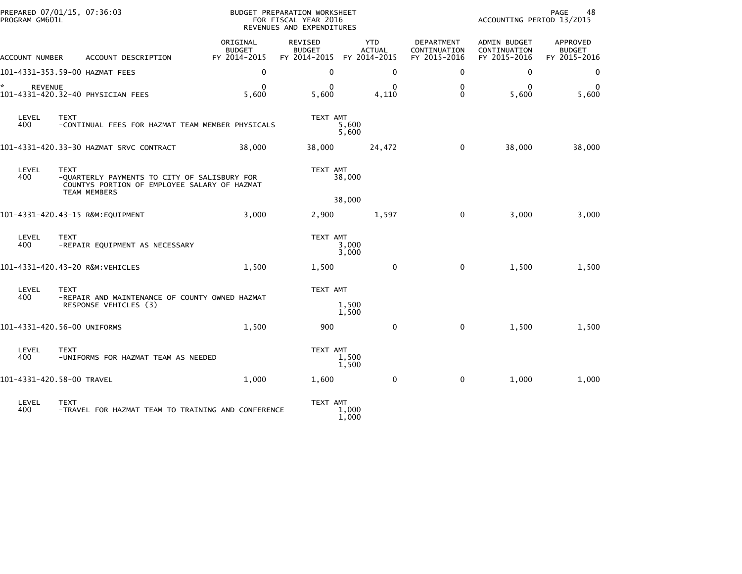| PROGRAM GM601L            | PREPARED 07/01/15, 07:36:03                                                                                                        | <b>BUDGET PREPARATION WORKSHEET</b><br>FOR FISCAL YEAR 2016<br>REVENUES AND EXPENDITURES |                                          |                                             | PAGE<br>48<br>ACCOUNTING PERIOD 13/2015    |                                              |                                           |
|---------------------------|------------------------------------------------------------------------------------------------------------------------------------|------------------------------------------------------------------------------------------|------------------------------------------|---------------------------------------------|--------------------------------------------|----------------------------------------------|-------------------------------------------|
| ACCOUNT NUMBER            | ACCOUNT DESCRIPTION                                                                                                                | ORIGINAL<br><b>BUDGET</b><br>FY 2014-2015                                                | REVISED<br><b>BUDGET</b><br>FY 2014-2015 | <b>YTD</b><br><b>ACTUAL</b><br>FY 2014-2015 | DEPARTMENT<br>CONTINUATION<br>FY 2015-2016 | ADMIN BUDGET<br>CONTINUATION<br>FY 2015-2016 | APPROVED<br><b>BUDGET</b><br>FY 2015-2016 |
|                           | 101-4331-353.59-00 HAZMAT FEES                                                                                                     | $\mathbf 0$                                                                              | 0                                        | $\mathbf 0$                                 | 0                                          | $\mathbf 0$                                  | 0                                         |
| *.<br><b>REVENUE</b>      | 101-4331-420.32-40 PHYSICIAN FEES                                                                                                  | $\bf{0}$<br>5,600                                                                        | $\Omega$<br>5,600                        | $\Omega$<br>4,110                           | $\mathbf{0}$<br>$\mathbf{0}$               | $\bf{0}$<br>5,600                            | 0<br>5,600                                |
| LEVEL<br>400              | <b>TEXT</b><br>-CONTINUAL FEES FOR HAZMAT TEAM MEMBER PHYSICALS                                                                    |                                                                                          | TEXT AMT<br>5,600<br>5,600               |                                             |                                            |                                              |                                           |
|                           |                                                                                                                                    | 38,000                                                                                   | 38,000                                   | 24,472                                      | 0                                          | 38,000                                       | 38,000                                    |
| LEVEL<br>400              | <b>TEXT</b><br>-QUARTERLY PAYMENTS TO CITY OF SALISBURY FOR<br>COUNTYS PORTION OF EMPLOYEE SALARY OF HAZMAT<br><b>TEAM MEMBERS</b> |                                                                                          | TEXT AMT<br>38,000                       |                                             |                                            |                                              |                                           |
|                           |                                                                                                                                    |                                                                                          | 38,000                                   |                                             |                                            |                                              |                                           |
|                           | 101-4331-420.43-15 R&M:EQUIPMENT                                                                                                   | 3,000                                                                                    | 2,900                                    | 1,597                                       | 0                                          | 3,000                                        | 3,000                                     |
| LEVEL<br>400              | <b>TEXT</b><br>-REPAIR EQUIPMENT AS NECESSARY                                                                                      |                                                                                          | TEXT AMT<br>3,000<br>3,000               |                                             |                                            |                                              |                                           |
|                           | 101-4331-420.43-20 R&M:VEHICLES                                                                                                    | 1,500                                                                                    | 1,500                                    | $\mathbf 0$                                 | $\mathbf 0$                                | 1,500                                        | 1,500                                     |
| LEVEL                     | <b>TEXT</b>                                                                                                                        |                                                                                          | TEXT AMT                                 |                                             |                                            |                                              |                                           |
| 400                       | -REPAIR AND MAINTENANCE OF COUNTY OWNED HAZMAT<br>RESPONSE VEHICLES (3)                                                            |                                                                                          | 1,500<br>1,500                           |                                             |                                            |                                              |                                           |
|                           | 101-4331-420.56-00 UNIFORMS                                                                                                        | 1,500                                                                                    | 900                                      | 0                                           | $\mathbf 0$                                | 1,500                                        | 1,500                                     |
| LEVEL<br>400              | <b>TEXT</b><br>-UNIFORMS FOR HAZMAT TEAM AS NEEDED                                                                                 |                                                                                          | TEXT AMT<br>1,500<br>1,500               |                                             |                                            |                                              |                                           |
| 101-4331-420.58-00 TRAVEL |                                                                                                                                    | 1,000                                                                                    | 1,600                                    | $\mathbf{0}$                                | 0                                          | 1,000                                        | 1,000                                     |
| LEVEL<br>400              | <b>TEXT</b><br>-TRAVEL FOR HAZMAT TEAM TO TRAINING AND CONFERENCE                                                                  |                                                                                          | TEXT AMT<br>1,000<br>1,000               |                                             |                                            |                                              |                                           |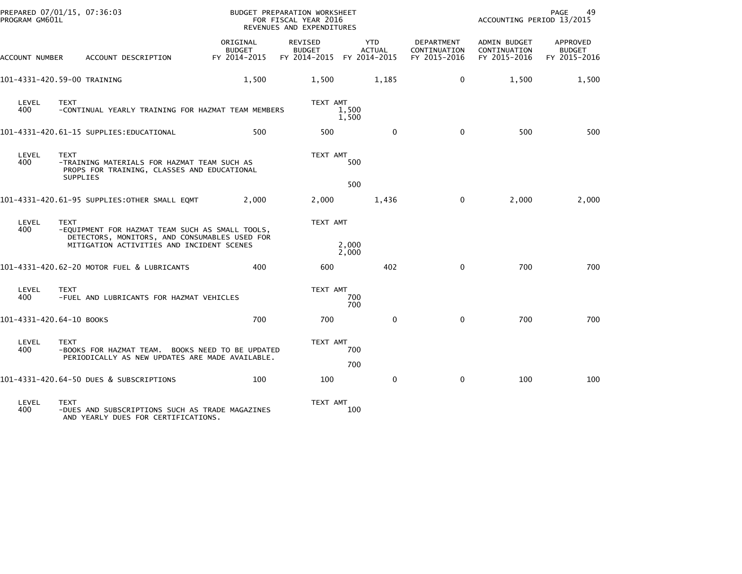| PREPARED 07/01/15, 07:36:03<br>PROGRAM GM601L |                 |                                                                                                     |                                           | BUDGET PREPARATION WORKSHEET<br>FOR FISCAL YEAR 2016<br>REVENUES AND EXPENDITURES |                             |                                                   | PAGE<br>49<br>ACCOUNTING PERIOD 13/2015             |                                           |  |
|-----------------------------------------------|-----------------|-----------------------------------------------------------------------------------------------------|-------------------------------------------|-----------------------------------------------------------------------------------|-----------------------------|---------------------------------------------------|-----------------------------------------------------|-------------------------------------------|--|
| ACCOUNT NUMBER                                |                 | ACCOUNT DESCRIPTION                                                                                 | ORIGINAL<br><b>BUDGET</b><br>FY 2014-2015 | <b>REVISED</b><br><b>BUDGET</b><br>FY 2014-2015 FY 2014-2015                      | <b>YTD</b><br><b>ACTUAL</b> | <b>DEPARTMENT</b><br>CONTINUATION<br>FY 2015-2016 | <b>ADMIN BUDGET</b><br>CONTINUATION<br>FY 2015-2016 | APPROVED<br><b>BUDGET</b><br>FY 2015-2016 |  |
| 101-4331-420.59-00 TRAINING                   |                 |                                                                                                     | 1,500                                     | 1,500                                                                             | 1,185                       | $\mathbf 0$                                       | 1,500                                               | 1,500                                     |  |
| LEVEL<br>400                                  | <b>TEXT</b>     | -CONTINUAL YEARLY TRAINING FOR HAZMAT TEAM MEMBERS                                                  |                                           | TEXT AMT                                                                          | 1,500<br>1,500              |                                                   |                                                     |                                           |  |
|                                               |                 | 101-4331-420.61-15 SUPPLIES:EDUCATIONAL                                                             | 500                                       | 500                                                                               | $\mathbf{0}$                | $\mathbf{0}$                                      | 500                                                 | 500                                       |  |
| LEVEL<br>400                                  | <b>TEXT</b>     | -TRAINING MATERIALS FOR HAZMAT TEAM SUCH AS<br>PROPS FOR TRAINING, CLASSES AND EDUCATIONAL          |                                           | TEXT AMT                                                                          | 500                         |                                                   |                                                     |                                           |  |
|                                               | <b>SUPPLIES</b> |                                                                                                     |                                           |                                                                                   | 500                         |                                                   |                                                     |                                           |  |
|                                               |                 | 101-4331-420.61-95 SUPPLIES: OTHER SMALL EQMT                                                       | 2.000                                     | 2,000                                                                             | 1,436                       | $\Omega$                                          | 2,000                                               | 2,000                                     |  |
| LEVEL<br>400                                  | <b>TEXT</b>     | -EQUIPMENT FOR HAZMAT TEAM SUCH AS SMALL TOOLS,<br>DETECTORS, MONITORS, AND CONSUMABLES USED FOR    |                                           | TEXT AMT                                                                          |                             |                                                   |                                                     |                                           |  |
|                                               |                 | MITIGATION ACTIVITIES AND INCIDENT SCENES                                                           |                                           |                                                                                   | 2,000<br>2,000              |                                                   |                                                     |                                           |  |
|                                               |                 | 101-4331-420.62-20 MOTOR FUEL & LUBRICANTS                                                          | 400                                       | 600                                                                               | 402                         | $\mathbf{0}$                                      | 700                                                 | 700                                       |  |
| LEVEL<br>400                                  | <b>TEXT</b>     | -FUEL AND LUBRICANTS FOR HAZMAT VEHICLES                                                            |                                           | TEXT AMT                                                                          | 700<br>700                  |                                                   |                                                     |                                           |  |
| 101-4331-420.64-10 BOOKS                      |                 |                                                                                                     | 700                                       | 700                                                                               | $\mathbf{0}$                | $\mathbf{0}$                                      | 700                                                 | 700                                       |  |
| LEVEL<br>400                                  | <b>TEXT</b>     | -BOOKS FOR HAZMAT TEAM. BOOKS NEED TO BE UPDATED<br>PERIODICALLY AS NEW UPDATES ARE MADE AVAILABLE. |                                           | TEXT AMT                                                                          | 700                         |                                                   |                                                     |                                           |  |
|                                               |                 |                                                                                                     |                                           |                                                                                   | 700                         |                                                   |                                                     |                                           |  |
|                                               |                 | 101-4331-420.64-50 DUES & SUBSCRIPTIONS                                                             | 100                                       | 100                                                                               | $\mathbf 0$                 | $\mathbf 0$                                       | 100                                                 | 100                                       |  |
| LEVEL<br>400                                  | <b>TEXT</b>     | -DUES AND SUBSCRIPTIONS SUCH AS TRADE MAGAZINES                                                     |                                           | TEXT AMT                                                                          | 100                         |                                                   |                                                     |                                           |  |

400 -DUES AND SUBSCRIPTIONS SUCH AS TRADE MAGAZINES 100 AND YEARLY DUES FOR CERTIFICATIONS.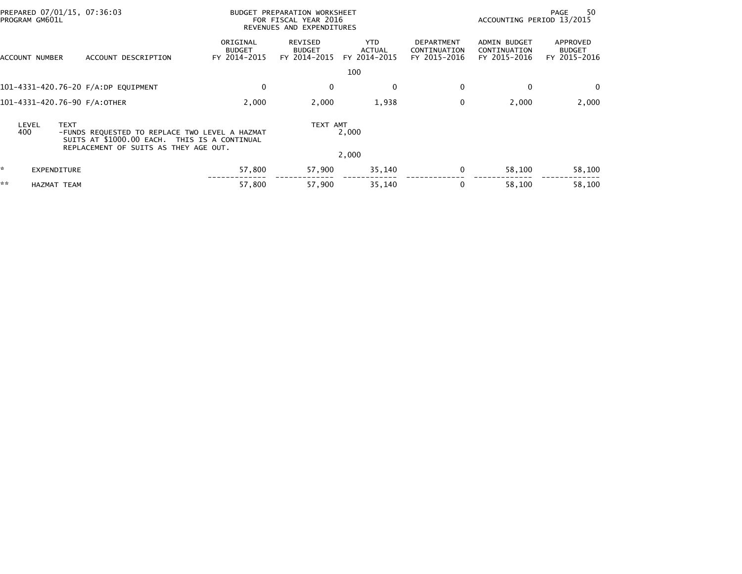| PREPARED 07/01/15, 07:36:03<br>PROGRAM GM601L |                              |                                                                                                                                         |                                           | BUDGET PREPARATION WORKSHEET<br>FOR FISCAL YEAR 2016<br>REVENUES AND EXPENDITURES |                                      |                                                   | ACCOUNTING PERIOD 13/2015                           | 50<br>PAGE                                |
|-----------------------------------------------|------------------------------|-----------------------------------------------------------------------------------------------------------------------------------------|-------------------------------------------|-----------------------------------------------------------------------------------|--------------------------------------|---------------------------------------------------|-----------------------------------------------------|-------------------------------------------|
|                                               | ACCOUNT NUMBER               | ACCOUNT DESCRIPTION                                                                                                                     | ORIGINAL<br><b>BUDGET</b><br>FY 2014-2015 | REVISED<br><b>BUDGET</b><br>FY 2014-2015                                          | <b>YTD</b><br>ACTUAL<br>FY 2014-2015 | <b>DEPARTMENT</b><br>CONTINUATION<br>FY 2015-2016 | <b>ADMIN BUDGET</b><br>CONTINUATION<br>FY 2015-2016 | APPROVED<br><b>BUDGET</b><br>FY 2015-2016 |
|                                               |                              |                                                                                                                                         |                                           |                                                                                   | 100                                  |                                                   |                                                     |                                           |
|                                               |                              | 101-4331-420.76-20 F/A:DP EQUIPMENT                                                                                                     | 0                                         | 0                                                                                 | $\mathbf{0}$                         | $\mathbf 0$                                       | $\Omega$                                            | $\mathbf{0}$                              |
|                                               | 101-4331-420.76-90 F/A:OTHER |                                                                                                                                         | 2,000                                     | 2,000                                                                             | 1,938                                | $\mathbf 0$                                       | 2,000                                               | 2,000                                     |
|                                               | <b>TEXT</b><br>LEVEL<br>400  | -FUNDS REQUESTED TO REPLACE TWO LEVEL A HAZMAT<br>SUITS AT \$1000.00 EACH. THIS IS A CONTINUAL<br>REPLACEMENT OF SUITS AS THEY AGE OUT. |                                           | TEXT AMT                                                                          | 2,000                                |                                                   |                                                     |                                           |
|                                               |                              |                                                                                                                                         |                                           |                                                                                   | 2,000                                |                                                   |                                                     |                                           |
| *                                             | EXPENDITURE                  |                                                                                                                                         | 57,800                                    | 57,900                                                                            | 35,140                               | 0                                                 | 58,100                                              | 58,100                                    |
| **                                            | <b>HAZMAT TEAM</b>           |                                                                                                                                         | 57,800                                    | 57,900                                                                            | 35,140                               | 0                                                 | 58,100                                              | 58,100                                    |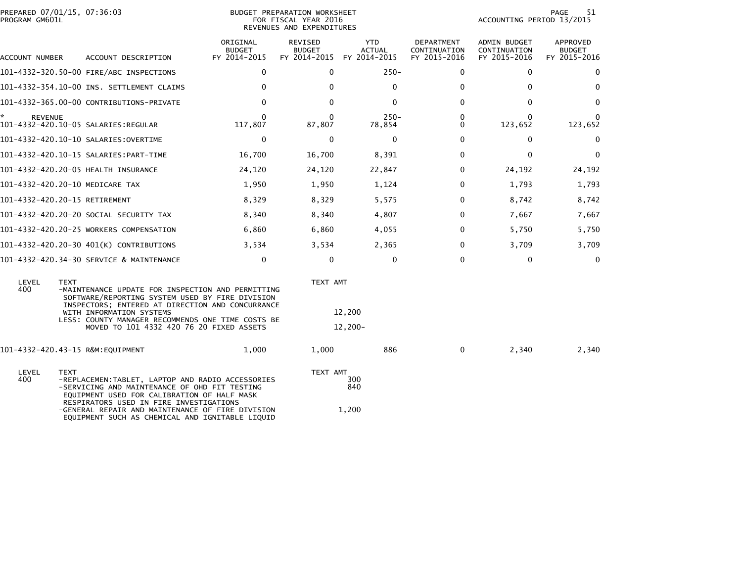| PREPARED 07/01/15, 07:36:03<br>PROGRAM GM601L |                                                                                                                                                                                                                                                                                                    | BUDGET PREPARATION WORKSHEET<br>FOR FISCAL YEAR 2016<br>REVENUES AND EXPENDITURES |                                          |                                             |                                            | 51<br>PAGE<br>ACCOUNTING PERIOD 13/2015      |                                           |  |
|-----------------------------------------------|----------------------------------------------------------------------------------------------------------------------------------------------------------------------------------------------------------------------------------------------------------------------------------------------------|-----------------------------------------------------------------------------------|------------------------------------------|---------------------------------------------|--------------------------------------------|----------------------------------------------|-------------------------------------------|--|
| ACCOUNT NUMBER                                | ACCOUNT DESCRIPTION                                                                                                                                                                                                                                                                                | ORIGINAL<br><b>BUDGET</b><br>FY 2014-2015                                         | REVISED<br><b>BUDGET</b><br>FY 2014-2015 | <b>YTD</b><br><b>ACTUAL</b><br>FY 2014-2015 | DEPARTMENT<br>CONTINUATION<br>FY 2015-2016 | ADMIN BUDGET<br>CONTINUATION<br>FY 2015-2016 | APPROVED<br><b>BUDGET</b><br>FY 2015-2016 |  |
|                                               | 101-4332-320.50-00 FIRE/ABC INSPECTIONS                                                                                                                                                                                                                                                            | 0                                                                                 | $\Omega$                                 | $250 -$                                     | 0                                          | 0                                            | 0                                         |  |
|                                               | 101-4332-354.10-00 INS. SETTLEMENT CLAIMS                                                                                                                                                                                                                                                          | $\Omega$                                                                          | 0                                        | $\mathbf 0$                                 | $\Omega$                                   | $\mathbf{0}$                                 | $\Omega$                                  |  |
|                                               | 101-4332-365.00-00 CONTRIBUTIONS-PRIVATE                                                                                                                                                                                                                                                           | $\Omega$                                                                          | $\Omega$                                 | $\mathbf{0}$                                | $\Omega$                                   | $\mathbf{0}$                                 | $\Omega$                                  |  |
| *.<br><b>REVENUE</b>                          | 101-4332-420.10-05 SALARIES:REGULAR                                                                                                                                                                                                                                                                | 0<br>117,807                                                                      | 0<br>87,807                              | $250 -$<br>78,854                           | $\Omega$<br>0                              | 0<br>123,652                                 | 123,652                                   |  |
|                                               |                                                                                                                                                                                                                                                                                                    | $\mathbf 0$                                                                       | $\Omega$                                 | $\mathbf 0$                                 | $\Omega$                                   | $\mathbf{0}$                                 | $\mathbf 0$                               |  |
|                                               |                                                                                                                                                                                                                                                                                                    | 16,700                                                                            | 16,700                                   | 8,391                                       | 0                                          | $\mathbf{0}$                                 | $\Omega$                                  |  |
|                                               | 101-4332-420.20-05 HEALTH INSURANCE                                                                                                                                                                                                                                                                | 24,120                                                                            | 24,120                                   | 22,847                                      | 0                                          | 24,192                                       | 24,192                                    |  |
| 101-4332-420.20-10 MEDICARE TAX               |                                                                                                                                                                                                                                                                                                    | 1,950                                                                             | 1,950                                    | 1,124                                       | 0                                          | 1,793                                        | 1,793                                     |  |
| 101-4332-420.20-15 RETIREMENT                 |                                                                                                                                                                                                                                                                                                    | 8,329                                                                             | 8,329                                    | 5,575                                       | $\Omega$                                   | 8,742                                        | 8,742                                     |  |
|                                               | 101–4332–420.20–20 SOCIAL SECURITY TAX                                                                                                                                                                                                                                                             | 8,340                                                                             | 8,340                                    | 4,807                                       | 0                                          | 7.667                                        | 7,667                                     |  |
|                                               | 101-4332-420.20-25 WORKERS COMPENSATION                                                                                                                                                                                                                                                            | 6,860                                                                             | 6,860                                    | 4,055                                       | $\Omega$                                   | 5,750                                        | 5,750                                     |  |
|                                               | 101-4332-420.20-30 401(K) CONTRIBUTIONS                                                                                                                                                                                                                                                            | 3,534                                                                             | 3,534                                    | 2,365                                       | $\Omega$                                   | 3,709                                        | 3,709                                     |  |
|                                               | 101-4332-420.34-30 SERVICE & MAINTENANCE                                                                                                                                                                                                                                                           | 0                                                                                 | 0                                        | 0                                           | $\Omega$                                   | 0                                            | $\mathbf{0}$                              |  |
| LEVEL<br><b>TEXT</b><br>400                   | -MAINTENANCE UPDATE FOR INSPECTION AND PERMITTING<br>SOFTWARE/REPORTING SYSTEM USED BY FIRE DIVISION<br>INSPECTORS; ENTERED AT DIRECTION AND CONCURRANCE<br>WITH INFORMATION SYSTEMS<br>LESS: COUNTY MANAGER RECOMMENDS ONE TIME COSTS BE<br>MOVED TO 101 4332 420 76 20 FIXED ASSETS              |                                                                                   | TEXT AMT                                 | 12,200<br>$12,200-$                         |                                            |                                              |                                           |  |
|                                               | 101-4332-420.43-15 R&M:EQUIPMENT                                                                                                                                                                                                                                                                   | 1,000                                                                             | 1,000                                    | 886                                         | $\mathbf{0}$                               | 2,340                                        | 2,340                                     |  |
| LEVEL<br>TEXT<br>400                          | -REPLACEMEN:TABLET, LAPTOP AND RADIO ACCESSORIES<br>-SERVICING AND MAINTENANCE OF OHD FIT TESTING<br>EQUIPMENT USED FOR CALIBRATION OF HALF MASK<br>RESPIRATORS USED IN FIRE INVESTIGATIONS<br>-GENERAL REPAIR AND MAINTENANCE OF FIRE DIVISION<br>EQUIPMENT SUCH AS CHEMICAL AND IGNITABLE LIQUID |                                                                                   | TEXT AMT                                 | 300<br>840<br>1,200                         |                                            |                                              |                                           |  |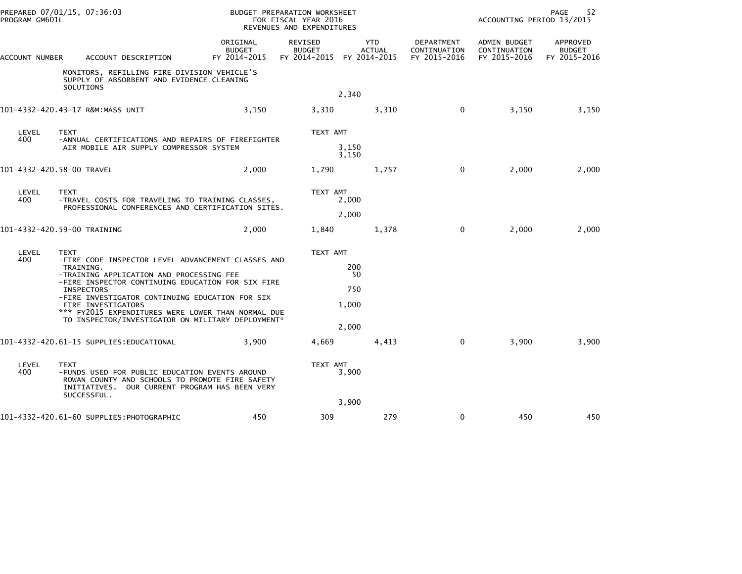| PROGRAM GM601L                                                                                                                | PREPARED 07/01/15, 07:36:03                                                                                                                                                       |                                           | BUDGET PREPARATION WORKSHEET<br>FOR FISCAL YEAR 2016<br>REVENUES AND EXPENDITURES |                             | 52<br>PAGE<br>ACCOUNTING PERIOD 13/2015    |                                              |                                           |
|-------------------------------------------------------------------------------------------------------------------------------|-----------------------------------------------------------------------------------------------------------------------------------------------------------------------------------|-------------------------------------------|-----------------------------------------------------------------------------------|-----------------------------|--------------------------------------------|----------------------------------------------|-------------------------------------------|
| ACCOUNT NUMBER                                                                                                                | ACCOUNT DESCRIPTION                                                                                                                                                               | ORIGINAL<br><b>BUDGET</b><br>FY 2014-2015 | REVISED<br><b>BUDGET</b><br>FY 2014-2015 FY 2014-2015                             | <b>YTD</b><br><b>ACTUAL</b> | DEPARTMENT<br>CONTINUATION<br>FY 2015-2016 | ADMIN BUDGET<br>CONTINUATION<br>FY 2015-2016 | APPROVED<br><b>BUDGET</b><br>FY 2015-2016 |
|                                                                                                                               | MONITORS, REFILLING FIRE DIVISION VEHICLE'S<br>SUPPLY OF ABSORBENT AND EVIDENCE CLEANING<br>SOLUTIONS                                                                             |                                           |                                                                                   | 2,340                       |                                            |                                              |                                           |
|                                                                                                                               | 101-4332-420.43-17 R&M:MASS UNIT                                                                                                                                                  | 3,150                                     | 3,310                                                                             | 3,310                       | $\mathbf{0}$                               | 3,150                                        | 3,150                                     |
| LEVEL<br>400                                                                                                                  | <b>TEXT</b>                                                                                                                                                                       |                                           | TEXT AMT                                                                          |                             |                                            |                                              |                                           |
|                                                                                                                               | -ANNUAL CERTIFICATIONS AND REPAIRS OF FIREFIGHTER<br>AIR MOBILE AIR SUPPLY COMPRESSOR SYSTEM                                                                                      |                                           |                                                                                   | 3,150<br>3,150              |                                            |                                              |                                           |
| 101-4332-420.58-00 TRAVEL                                                                                                     |                                                                                                                                                                                   | 2,000                                     | 1.790                                                                             | 1,757                       | $\mathbf 0$                                | 2,000                                        | 2,000                                     |
| LEVEL<br>TEXT<br>400<br>-TRAVEL COSTS FOR TRAVELING TO TRAINING CLASSES,<br>PROFESSIONAL CONFERENCES AND CERTIFICATION SITES. |                                                                                                                                                                                   | TEXT AMT                                  | 2,000                                                                             |                             |                                            |                                              |                                           |
|                                                                                                                               |                                                                                                                                                                                   |                                           |                                                                                   | 2,000                       |                                            |                                              |                                           |
|                                                                                                                               | 101-4332-420.59-00 TRAINING                                                                                                                                                       | 2,000                                     | 1,840                                                                             | 1,378                       | $\mathbf 0$                                | 2,000                                        | 2,000                                     |
| LEVEL<br>400                                                                                                                  | <b>TEXT</b><br>-FIRE CODE INSPECTOR LEVEL ADVANCEMENT CLASSES AND                                                                                                                 |                                           | TEXT AMT                                                                          |                             |                                            |                                              |                                           |
|                                                                                                                               | TRAINING.<br>-TRAINING APPLICATION AND PROCESSING FEE                                                                                                                             |                                           |                                                                                   | 200<br>50                   |                                            |                                              |                                           |
|                                                                                                                               | -FIRE INSPECTOR CONTINUING EDUCATION FOR SIX FIRE<br><b>INSPECTORS</b>                                                                                                            |                                           |                                                                                   | 750                         |                                            |                                              |                                           |
|                                                                                                                               | -FIRE INVESTIGATOR CONTINUING EDUCATION FOR SIX<br>FIRE INVESTIGATORS<br>*** FY2015 EXPENDITURES WERE LOWER THAN NORMAL DUE                                                       |                                           |                                                                                   | 1,000                       |                                            |                                              |                                           |
|                                                                                                                               | TO INSPECTOR/INVESTIGATOR ON MILITARY DEPLOYMENT*                                                                                                                                 |                                           |                                                                                   | 2,000                       |                                            |                                              |                                           |
|                                                                                                                               | 101-4332-420.61-15 SUPPLIES:EDUCATIONAL                                                                                                                                           | 3.900                                     | 4.669                                                                             | 4,413                       | $\Omega$                                   | 3,900                                        | 3,900                                     |
| LEVEL<br>400                                                                                                                  | <b>TEXT</b><br>-FUNDS USED FOR PUBLIC EDUCATION EVENTS AROUND<br>ROWAN COUNTY AND SCHOOLS TO PROMOTE FIRE SAFETY<br>INITIATIVES. OUR CURRENT PROGRAM HAS BEEN VERY<br>SUCCESSFUL. |                                           | TEXT AMT                                                                          | 3,900                       |                                            |                                              |                                           |
|                                                                                                                               |                                                                                                                                                                                   |                                           |                                                                                   | 3,900                       |                                            |                                              |                                           |
|                                                                                                                               | 101-4332-420.61-60 SUPPLIES: PHOTOGRAPHIC                                                                                                                                         | 450                                       | 309                                                                               | 279                         | 0                                          | 450                                          | 450                                       |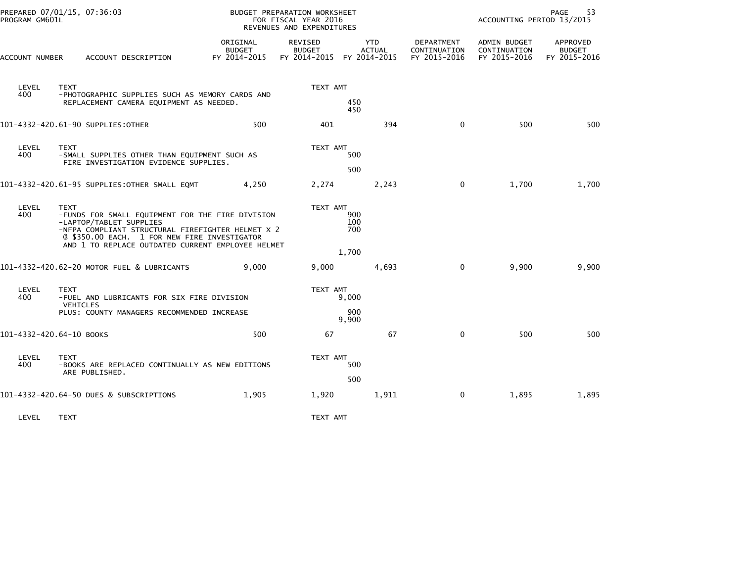| PROGRAM GM601L           | PREPARED 07/01/15, 07:36:03                                                                                                                                                                     |                                           | BUDGET PREPARATION WORKSHEET<br>FOR FISCAL YEAR 2016<br>REVENUES AND EXPENDITURES |                             |                                            | 53<br>PAGE<br>ACCOUNTING PERIOD 13/2015      |                                           |  |
|--------------------------|-------------------------------------------------------------------------------------------------------------------------------------------------------------------------------------------------|-------------------------------------------|-----------------------------------------------------------------------------------|-----------------------------|--------------------------------------------|----------------------------------------------|-------------------------------------------|--|
| ACCOUNT NUMBER           | ACCOUNT DESCRIPTION                                                                                                                                                                             | ORIGINAL<br><b>BUDGET</b><br>FY 2014-2015 | <b>REVISED</b><br><b>BUDGET</b><br>FY 2014-2015 FY 2014-2015                      | <b>YTD</b><br><b>ACTUAL</b> | DEPARTMENT<br>CONTINUATION<br>FY 2015-2016 | ADMIN BUDGET<br>CONTINUATION<br>FY 2015-2016 | APPROVED<br><b>BUDGET</b><br>FY 2015-2016 |  |
| LEVEL<br>400             | <b>TEXT</b><br>-PHOTOGRAPHIC SUPPLIES SUCH AS MEMORY CARDS AND<br>REPLACEMENT CAMERA EQUIPMENT AS NEEDED.                                                                                       |                                           | TEXT AMT                                                                          | 450                         |                                            |                                              |                                           |  |
|                          | 101-4332-420.61-90 SUPPLIES:OTHER                                                                                                                                                               | 500                                       | 401                                                                               | 450<br>394                  | $\mathbf 0$                                | 500                                          | 500                                       |  |
| LEVEL<br>400             | <b>TEXT</b><br>-SMALL SUPPLIES OTHER THAN EQUIPMENT SUCH AS<br>FIRE INVESTIGATION EVIDENCE SUPPLIES.                                                                                            |                                           | TEXT AMT                                                                          | 500<br>500                  |                                            |                                              |                                           |  |
|                          | 101-4332-420.61-95 SUPPLIES: OTHER SMALL EQMT                                                                                                                                                   | 4,250                                     | 2,274                                                                             | 2,243                       | $\mathbf 0$                                | 1,700                                        | 1,700                                     |  |
| LEVEL<br>400             | <b>TEXT</b><br>-FUNDS FOR SMALL EQUIPMENT FOR THE FIRE DIVISION<br>-LAPTOP/TABLET SUPPLIES<br>-NFPA COMPLIANT STRUCTURAL FIREFIGHTER HELMET X 2<br>@ \$350.00 EACH. 1 FOR NEW FIRE INVESTIGATOR |                                           | TEXT AMT                                                                          | 900<br>100<br>700           |                                            |                                              |                                           |  |
|                          | AND 1 TO REPLACE OUTDATED CURRENT EMPLOYEE HELMET                                                                                                                                               |                                           |                                                                                   | 1,700                       |                                            |                                              |                                           |  |
|                          | 101-4332-420.62-20 MOTOR FUEL & LUBRICANTS                                                                                                                                                      | 9.000                                     | 9,000                                                                             | 4,693                       | $\mathbf{0}$                               | 9,900                                        | 9,900                                     |  |
| LEVEL<br>400             | <b>TEXT</b><br>-FUEL AND LUBRICANTS FOR SIX FIRE DIVISION                                                                                                                                       |                                           | TEXT AMT                                                                          | 9,000                       |                                            |                                              |                                           |  |
|                          | <b>VEHICLES</b><br>PLUS: COUNTY MANAGERS RECOMMENDED INCREASE                                                                                                                                   |                                           |                                                                                   | 900<br>9,900                |                                            |                                              |                                           |  |
| 101-4332-420.64-10 BOOKS |                                                                                                                                                                                                 | 500                                       | 67                                                                                | 67                          | $\mathbf{0}$                               | 500                                          | 500                                       |  |
| LEVEL<br>400             | <b>TEXT</b><br>-BOOKS ARE REPLACED CONTINUALLY AS NEW EDITIONS<br>ARE PUBLISHED.                                                                                                                |                                           | TEXT AMT                                                                          | 500<br>500                  |                                            |                                              |                                           |  |
|                          | 101-4332-420.64-50 DUES & SUBSCRIPTIONS                                                                                                                                                         | 1,905                                     | 1,920                                                                             | 1,911                       | 0                                          | 1,895                                        | 1,895                                     |  |
| LEVEL                    | <b>TEXT</b>                                                                                                                                                                                     |                                           | TEXT AMT                                                                          |                             |                                            |                                              |                                           |  |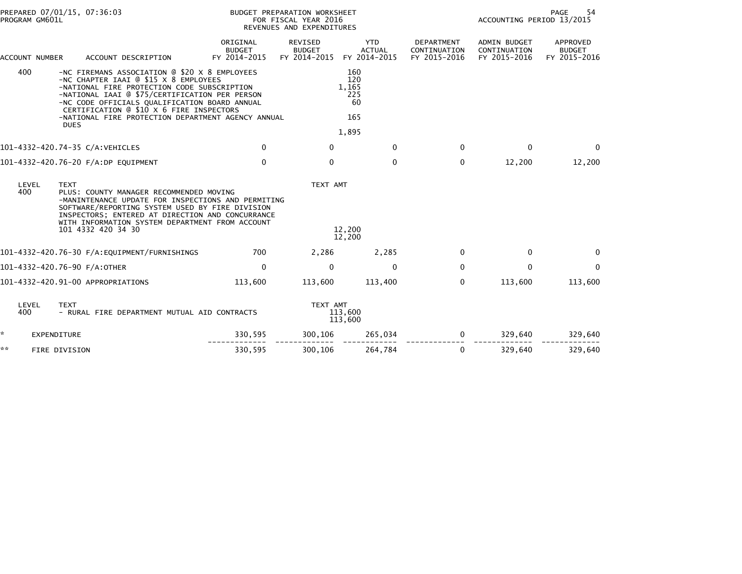| PREPARED 07/01/15, 07:36:03<br>PROGRAM GM601L |                       | BUDGET PREPARATION WORKSHEET<br>FOR FISCAL YEAR 2016<br>REVENUES AND EXPENDITURES                                                                                                                                                                                                                                                                         |                                           |                                          |                                             | PAGE<br>54<br>ACCOUNTING PERIOD 13/2015           |                                                     |                                           |
|-----------------------------------------------|-----------------------|-----------------------------------------------------------------------------------------------------------------------------------------------------------------------------------------------------------------------------------------------------------------------------------------------------------------------------------------------------------|-------------------------------------------|------------------------------------------|---------------------------------------------|---------------------------------------------------|-----------------------------------------------------|-------------------------------------------|
|                                               | <b>ACCOUNT NUMBER</b> | ACCOUNT DESCRIPTION                                                                                                                                                                                                                                                                                                                                       | ORIGINAL<br><b>BUDGET</b><br>FY 2014-2015 | REVISED<br><b>BUDGET</b><br>FY 2014-2015 | <b>YTD</b><br><b>ACTUAL</b><br>FY 2014-2015 | <b>DEPARTMENT</b><br>CONTINUATION<br>FY 2015-2016 | <b>ADMIN BUDGET</b><br>CONTINUATION<br>FY 2015-2016 | APPROVED<br><b>BUDGET</b><br>FY 2015-2016 |
|                                               | 400                   | -NC FIREMANS ASSOCIATION @ \$20 X 8 EMPLOYEES<br>-NC CHAPTER IAAI @ \$15 X 8 EMPLOYEES<br>-NATIONAL FIRE PROTECTION CODE SUBSCRIPTION<br>-NATIONAL IAAI @ \$75/CERTIFICATION PER PERSON<br>-NC CODE OFFICIALS QUALIFICATION BOARD ANNUAL<br>CERTIFICATION @ \$10 X 6 FIRE INSPECTORS<br>-NATIONAL FIRE PROTECTION DEPARTMENT AGENCY ANNUAL<br><b>DUES</b> |                                           |                                          | 160<br>120<br>1,165<br>225<br>60<br>165     |                                                   |                                                     |                                           |
|                                               |                       |                                                                                                                                                                                                                                                                                                                                                           |                                           |                                          | 1,895                                       |                                                   |                                                     |                                           |
|                                               |                       | 101-4332-420.74-35 C/A:VEHICLES                                                                                                                                                                                                                                                                                                                           | $\mathbf{0}$                              | $\mathbf{0}$                             | $\mathbf{0}$                                | $\Omega$                                          | $\mathbf{0}$                                        | $\Omega$                                  |
|                                               |                       | 101-4332-420.76-20 F/A:DP EQUIPMENT                                                                                                                                                                                                                                                                                                                       | $\mathbf 0$                               | 0                                        | $\mathbf 0$                                 | 0                                                 | 12,200                                              | 12,200                                    |
|                                               | LEVEL<br>400          | <b>TEXT</b><br>PLUS: COUNTY MANAGER RECOMMENDED MOVING<br>-MANINTENANCE UPDATE FOR INSPECTIONS AND PERMITING<br>SOFTWARE/REPORTING SYSTEM USED BY FIRE DIVISION<br>INSPECTORS; ENTERED AT DIRECTION AND CONCURRANCE<br>WITH INFORMATION SYSTEM DEPARTMENT FROM ACCOUNT<br>101 4332 420 34 30                                                              |                                           | TEXT AMT                                 | 12,200<br>12,200                            |                                                   |                                                     |                                           |
|                                               |                       |                                                                                                                                                                                                                                                                                                                                                           | 700                                       | 2,286                                    | 2,285                                       | 0                                                 | 0                                                   | $\mathbf{0}$                              |
|                                               |                       | 101-4332-420.76-90 F/A:OTHER                                                                                                                                                                                                                                                                                                                              | 0                                         | 0                                        | 0                                           | $\mathbf{0}$                                      | 0                                                   | $\mathbf{0}$                              |
|                                               |                       | 101-4332-420.91-00 APPROPRIATIONS                                                                                                                                                                                                                                                                                                                         | 113,600                                   | 113,600                                  | 113,400                                     | $\mathbf{0}$                                      | 113,600                                             | 113,600                                   |
|                                               | LEVEL<br>400          | <b>TEXT</b><br>- RURAL FIRE DEPARTMENT MUTUAL AID CONTRACTS                                                                                                                                                                                                                                                                                               |                                           | TEXT AMT                                 | 113,600<br>113,600                          |                                                   |                                                     |                                           |
| *                                             |                       | <b>EXPENDITURE</b>                                                                                                                                                                                                                                                                                                                                        | 330,595                                   | 300,106                                  | 265,034                                     | 0                                                 | 329,640                                             | 329,640                                   |
| **                                            |                       | FIRE DIVISION                                                                                                                                                                                                                                                                                                                                             | 330,595                                   | 300,106                                  | 264,784                                     | 0                                                 | 329,640                                             | 329,640                                   |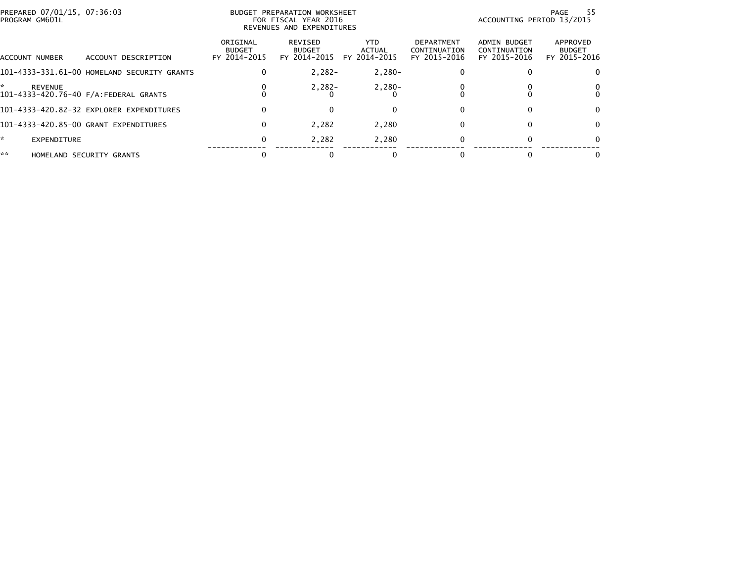| PREPARED 07/01/15, 07:36:03<br>PROGRAM GM601L |                                             |                                           | BUDGET PREPARATION WORKSHEET<br>FOR FISCAL YEAR 2016<br>REVENUES AND EXPENDITURES |                                      |                                            | ACCOUNTING PERIOD 13/2015                    | PAGE<br>55                                |
|-----------------------------------------------|---------------------------------------------|-------------------------------------------|-----------------------------------------------------------------------------------|--------------------------------------|--------------------------------------------|----------------------------------------------|-------------------------------------------|
| <b>I</b> ACCOUNT NUMBER                       | ACCOUNT DESCRIPTION                         | ORIGINAL<br><b>BUDGET</b><br>FY 2014-2015 | REVISED<br><b>BUDGET</b><br>FY 2014-2015                                          | <b>YTD</b><br>ACTUAL<br>FY 2014-2015 | DEPARTMENT<br>CONTINUATION<br>FY 2015-2016 | ADMIN BUDGET<br>CONTINUATION<br>FY 2015-2016 | APPROVED<br><b>BUDGET</b><br>FY 2015-2016 |
|                                               | 101-4333-331.61-00 HOMELAND SECURITY GRANTS | $\Omega$                                  | $2,282-$                                                                          | $2,280-$                             | 0                                          |                                              | 0                                         |
| <b>REVENUE</b>                                | 101-4333-420.76-40 F/A:FEDERAL GRANTS       |                                           | $2,282-$                                                                          | $2,280-$                             |                                            |                                              | 0<br>0                                    |
|                                               | 101-4333-420.82-32 EXPLORER EXPENDITURES    | $\Omega$                                  |                                                                                   |                                      |                                            |                                              | 0                                         |
|                                               | 101-4333-420.85-00 GRANT EXPENDITURES       | $\bf{0}$                                  | 2,282                                                                             | 2,280                                | 0                                          |                                              | 0                                         |
| ×.<br><b>EXPENDITURE</b>                      |                                             | $\bf{0}$                                  | 2,282                                                                             | 2,280                                | 0                                          |                                              | 0                                         |
| **                                            | HOMELAND SECURITY GRANTS                    |                                           |                                                                                   |                                      |                                            |                                              | 0                                         |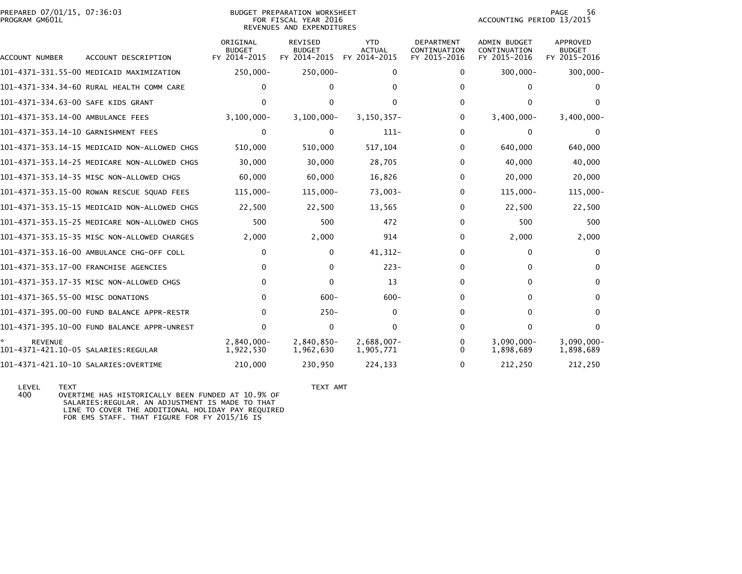| PREPARED 07/01/15, 07:36:03<br>PROGRAM GM601L |                                              |                                           | <b>BUDGET PREPARATION WORKSHEET</b><br>FOR FISCAL YEAR 2016<br>REVENUES AND EXPENDITURES |                                             |                                                   | ACCOUNTING PERIOD 13/2015                    | 56<br><b>PAGE</b>                         |
|-----------------------------------------------|----------------------------------------------|-------------------------------------------|------------------------------------------------------------------------------------------|---------------------------------------------|---------------------------------------------------|----------------------------------------------|-------------------------------------------|
| ACCOUNT NUMBER                                | ACCOUNT DESCRIPTION                          | ORIGINAL<br><b>BUDGET</b><br>FY 2014-2015 | <b>REVISED</b><br><b>BUDGET</b><br>FY 2014-2015                                          | <b>YTD</b><br><b>ACTUAL</b><br>FY 2014-2015 | <b>DEPARTMENT</b><br>CONTINUATION<br>FY 2015-2016 | ADMIN BUDGET<br>CONTINUATION<br>FY 2015-2016 | APPROVED<br><b>BUDGET</b><br>FY 2015-2016 |
|                                               | 101-4371-331.55-00 MEDICAID MAXIMIZATION     | 250,000-                                  | $250,000 -$                                                                              | 0                                           | $\Omega$                                          | $300,000 -$                                  | $300,000 -$                               |
|                                               | 101-4371-334.34-60 RURAL HEALTH COMM CARE    | 0                                         | $\Omega$                                                                                 | $\Omega$                                    | 0                                                 | 0                                            | 0                                         |
| 101-4371-334.63-00 SAFE KIDS GRANT            |                                              | 0                                         | $\Omega$                                                                                 | <sup>0</sup>                                | 0                                                 | 0                                            | $\Omega$                                  |
| 101-4371-353.14-00 AMBULANCE FEES             |                                              | $3,100,000 -$                             | $3,100,000 -$                                                                            | 3, 150, 357-                                | 0                                                 | $3,400,000 -$                                | $3,400,000 -$                             |
| 101-4371-353.14-10 GARNISHMENT FEES           |                                              | 0                                         | $\Omega$                                                                                 | $111 -$                                     | 0                                                 | $\Omega$                                     | 0                                         |
|                                               | 101-4371-353.14-15 MEDICAID NON-ALLOWED CHGS | 510,000                                   | 510,000                                                                                  | 517,104                                     | 0                                                 | 640,000                                      | 640,000                                   |
|                                               | 101-4371-353.14-25 MEDICARE NON-ALLOWED CHGS | 30,000                                    | 30,000                                                                                   | 28,705                                      | 0                                                 | 40,000                                       | 40,000                                    |
|                                               | 101-4371-353.14-35 MISC NON-ALLOWED CHGS     | 60,000                                    | 60,000                                                                                   | 16,826                                      | 0                                                 | 20,000                                       | 20,000                                    |
|                                               | 101-4371-353.15-00 ROWAN RESCUE SQUAD FEES   | 115,000-                                  | 115,000-                                                                                 | $73,003-$                                   | 0                                                 | 115,000-                                     | $115,000 -$                               |
|                                               | 101-4371-353.15-15 MEDICAID NON-ALLOWED CHGS | 22,500                                    | 22,500                                                                                   | 13,565                                      | 0                                                 | 22,500                                       | 22,500                                    |
|                                               | 101-4371-353.15-25 MEDICARE NON-ALLOWED CHGS | 500                                       | 500                                                                                      | 472                                         | $\Omega$                                          | 500                                          | 500                                       |
|                                               | 101-4371-353.15-35 MISC NON-ALLOWED CHARGES  | 2,000                                     | 2,000                                                                                    | 914                                         | $\Omega$                                          | 2,000                                        | 2,000                                     |
|                                               | 101-4371-353.16-00 AMBULANCE CHG-OFF COLL    | 0                                         | $\bf{0}$                                                                                 | $41,312-$                                   | 0                                                 | $\mathbf{0}$                                 | $\mathbf{0}$                              |
|                                               | 101-4371-353.17-00 FRANCHISE AGENCIES        | 0                                         | $\Omega$                                                                                 | $223 -$                                     | 0                                                 | 0                                            | 0                                         |
|                                               | 101-4371-353.17-35 MISC NON-ALLOWED CHGS     | $\Omega$                                  | $\Omega$                                                                                 | 13                                          | $\Omega$                                          | $\Omega$                                     | $\Omega$                                  |
| 101-4371-365.55-00 MISC DONATIONS             |                                              | $\Omega$                                  | $600 -$                                                                                  | $600 -$                                     | 0                                                 | $\Omega$                                     | $\Omega$                                  |
|                                               | 101-4371-395.00-00 FUND BALANCE APPR-RESTR   | $\Omega$                                  | $250 -$                                                                                  | $\mathbf{0}$                                | $\Omega$                                          | $\Omega$                                     | $\mathbf{0}$                              |
|                                               | 101-4371-395.10-00 FUND BALANCE APPR-UNREST  | 0                                         | 0                                                                                        | $\mathbf{0}$                                | $\Omega$                                          | $\Omega$                                     | $\mathbf{0}$                              |
| <b>REVENUE</b>                                |                                              | $2,840,000 -$<br>1,922,530                | 2,840,850-<br>1,962,630                                                                  | $2,688,007 -$<br>1,905,771                  | 0<br>0                                            | $3,090,000 -$<br>1,898,689                   | $3,090,000 -$<br>1,898,689                |
| 101-4371-421.10-10 SALARIES:OVERTIME          |                                              | 210,000                                   | 230,950                                                                                  | 224,133                                     | 0                                                 | 212,250                                      | 212,250                                   |

LEVEL TEXT AMT<br>400 OVERTIME HAS HISTORICALLY BEEN FUNDED AT 10.9% OF TEXT AMT OVERTIME HAS HISTORICALLY BEEN FUNDED AT 10.9% OF SALARIES:REGULAR. AN ADJUSTMENT IS MADE TO THATLINE TO COVER THE ADDITIONAL HOLIDAY PAY REQUIRED FOR EMS STAFF. THAT FIGURE FOR FY 2015/16 IS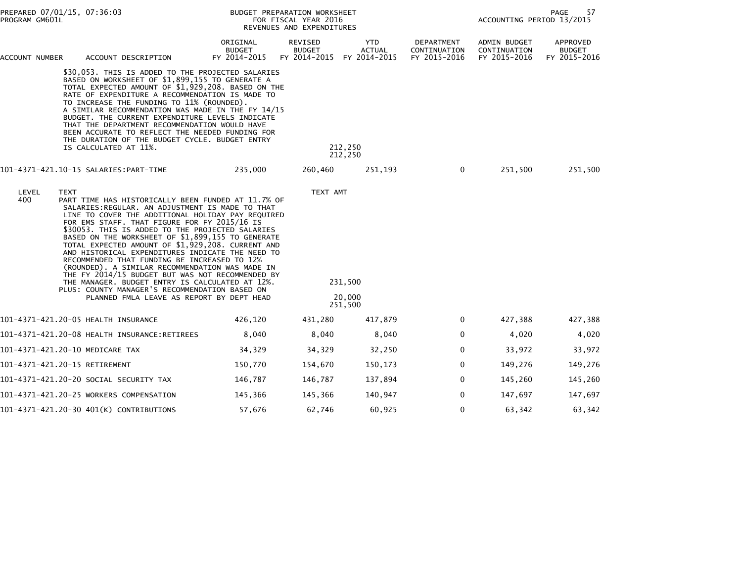| PREPARED 07/01/15, 07:36:03<br>PROGRAM GM601L                                                                                                                                                                                                                                                                                                                                                                                                                                                                                                                                                         |             |                                                                                                                                                                                                                                                                                                                                                                                                                                                                                                                                                                                                                                                                                                                                        |                                           | BUDGET PREPARATION WORKSHEET<br>FOR FISCAL YEAR 2016<br>REVENUES AND EXPENDITURES | PAGE<br>57<br>ACCOUNTING PERIOD 13/2015     |                                            |                                              |                                           |
|-------------------------------------------------------------------------------------------------------------------------------------------------------------------------------------------------------------------------------------------------------------------------------------------------------------------------------------------------------------------------------------------------------------------------------------------------------------------------------------------------------------------------------------------------------------------------------------------------------|-------------|----------------------------------------------------------------------------------------------------------------------------------------------------------------------------------------------------------------------------------------------------------------------------------------------------------------------------------------------------------------------------------------------------------------------------------------------------------------------------------------------------------------------------------------------------------------------------------------------------------------------------------------------------------------------------------------------------------------------------------------|-------------------------------------------|-----------------------------------------------------------------------------------|---------------------------------------------|--------------------------------------------|----------------------------------------------|-------------------------------------------|
| ACCOUNT NUMBER                                                                                                                                                                                                                                                                                                                                                                                                                                                                                                                                                                                        |             | ACCOUNT DESCRIPTION                                                                                                                                                                                                                                                                                                                                                                                                                                                                                                                                                                                                                                                                                                                    | ORIGINAL<br><b>BUDGET</b><br>FY 2014-2015 | REVISED<br><b>BUDGET</b><br>FY 2014-2015                                          | <b>YTD</b><br><b>ACTUAL</b><br>FY 2014-2015 | DEPARTMENT<br>CONTINUATION<br>FY 2015-2016 | ADMIN BUDGET<br>CONTINUATION<br>FY 2015-2016 | APPROVED<br><b>BUDGET</b><br>FY 2015-2016 |
| \$30,053. THIS IS ADDED TO THE PROJECTED SALARIES<br>BASED ON WORKSHEET OF \$1,899,155 TO GENERATE A<br>TOTAL EXPECTED AMOUNT OF \$1,929,208. BASED ON THE<br>RATE OF EXPENDITURE A RECOMMENDATION IS MADE TO<br>TO INCREASE THE FUNDING TO 11% (ROUNDED).<br>A SIMILAR RECOMMENDATION WAS MADE IN THE FY 14/15<br>BUDGET. THE CURRENT EXPENDITURE LEVELS INDICATE<br>THAT THE DEPARTMENT RECOMMENDATION WOULD HAVE<br>BEEN ACCURATE TO REFLECT THE NEEDED FUNDING FOR<br>THE DURATION OF THE BUDGET CYCLE. BUDGET ENTRY<br>IS CALCULATED AT 11%.<br>101-4371-421.10-15 SALARIES:PART-TIME<br>235,000 |             |                                                                                                                                                                                                                                                                                                                                                                                                                                                                                                                                                                                                                                                                                                                                        |                                           |                                                                                   | 212,250<br>212,250                          |                                            |                                              |                                           |
|                                                                                                                                                                                                                                                                                                                                                                                                                                                                                                                                                                                                       |             |                                                                                                                                                                                                                                                                                                                                                                                                                                                                                                                                                                                                                                                                                                                                        | 260,460                                   | 251,193                                                                           | $\mathbf{0}$                                | 251,500                                    | 251,500                                      |                                           |
| LEVEL<br>400                                                                                                                                                                                                                                                                                                                                                                                                                                                                                                                                                                                          | <b>TEXT</b> | PART TIME HAS HISTORICALLY BEEN FUNDED AT 11.7% OF<br>SALARIES: REGULAR. AN ADJUSTMENT IS MADE TO THAT<br>LINE TO COVER THE ADDITIONAL HOLIDAY PAY REQUIRED<br>FOR EMS STAFF. THAT FIGURE FOR FY 2015/16 IS<br>\$30053. THIS IS ADDED TO THE PROJECTED SALARIES<br>BASED ON THE WORKSHEET OF \$1,899,155 TO GENERATE<br>TOTAL EXPECTED AMOUNT OF \$1,929,208. CURRENT AND<br>AND HISTORICAL EXPENDITURES INDICATE THE NEED TO<br>RECOMMENDED THAT FUNDING BE INCREASED TO 12%<br>(ROUNDED). A SIMILAR RECOMMENDATION WAS MADE IN<br>THE FY 2014/15 BUDGET BUT WAS NOT RECOMMENDED BY<br>THE MANAGER. BUDGET ENTRY IS CALCULATED AT 12%.<br>PLUS: COUNTY MANAGER'S RECOMMENDATION BASED ON<br>PLANNED FMLA LEAVE AS REPORT BY DEPT HEAD |                                           | TEXT AMT                                                                          | 231,500<br>20,000<br>251,500                |                                            |                                              |                                           |
|                                                                                                                                                                                                                                                                                                                                                                                                                                                                                                                                                                                                       |             |                                                                                                                                                                                                                                                                                                                                                                                                                                                                                                                                                                                                                                                                                                                                        | 426,120                                   | 431,280                                                                           | 417,879                                     | 0                                          | 427,388                                      | 427,388                                   |
|                                                                                                                                                                                                                                                                                                                                                                                                                                                                                                                                                                                                       |             | 101-4371-421.20-08 HEALTH INSURANCE:RETIREES                                                                                                                                                                                                                                                                                                                                                                                                                                                                                                                                                                                                                                                                                           | 8,040                                     | 8,040                                                                             | 8,040                                       | 0                                          | 4,020                                        | 4,020                                     |
| 101-4371-421.20-10 MEDICARE TAX                                                                                                                                                                                                                                                                                                                                                                                                                                                                                                                                                                       |             |                                                                                                                                                                                                                                                                                                                                                                                                                                                                                                                                                                                                                                                                                                                                        | 34,329                                    | 34,329                                                                            | 32,250                                      | 0                                          | 33,972                                       | 33,972                                    |
| 101-4371-421.20-15 RETIREMENT                                                                                                                                                                                                                                                                                                                                                                                                                                                                                                                                                                         |             |                                                                                                                                                                                                                                                                                                                                                                                                                                                                                                                                                                                                                                                                                                                                        | 150,770                                   | 154,670                                                                           | 150,173                                     | 0                                          | 149,276                                      | 149,276                                   |
|                                                                                                                                                                                                                                                                                                                                                                                                                                                                                                                                                                                                       |             | 101–4371–421.20–20 SOCIAL SECURITY TAX                                                                                                                                                                                                                                                                                                                                                                                                                                                                                                                                                                                                                                                                                                 | 146,787                                   | 146,787                                                                           | 137,894                                     | 0                                          | 145,260                                      | 145,260                                   |
| 101-4371-421.20-25 WORKERS COMPENSATION<br>145,366                                                                                                                                                                                                                                                                                                                                                                                                                                                                                                                                                    |             | 145,366                                                                                                                                                                                                                                                                                                                                                                                                                                                                                                                                                                                                                                                                                                                                | 140,947                                   | $\mathbf 0$                                                                       | 147,697                                     | 147,697                                    |                                              |                                           |
|                                                                                                                                                                                                                                                                                                                                                                                                                                                                                                                                                                                                       |             | 101-4371-421.20-30 401(K) CONTRIBUTIONS                                                                                                                                                                                                                                                                                                                                                                                                                                                                                                                                                                                                                                                                                                | 57,676                                    | 62,746                                                                            | 60,925                                      | 0                                          | 63,342                                       | 63,342                                    |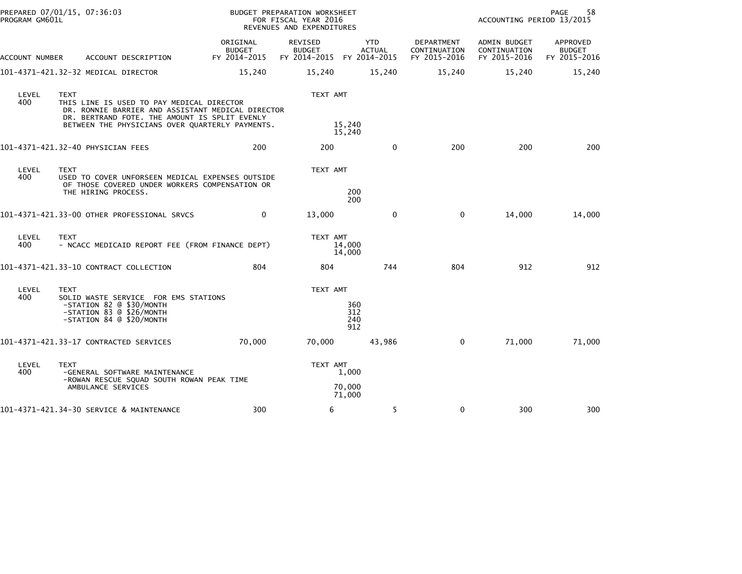| PROGRAM GM601L | PREPARED 07/01/15, 07:36:03                                                                                                                                                                                       | BUDGET PREPARATION WORKSHEET<br>FOR FISCAL YEAR 2016<br>REVENUES AND EXPENDITURES |                                                       |                             |                                            | 58<br>PAGE<br>ACCOUNTING PERIOD 13/2015      |                                           |  |
|----------------|-------------------------------------------------------------------------------------------------------------------------------------------------------------------------------------------------------------------|-----------------------------------------------------------------------------------|-------------------------------------------------------|-----------------------------|--------------------------------------------|----------------------------------------------|-------------------------------------------|--|
| ACCOUNT NUMBER | ACCOUNT DESCRIPTION                                                                                                                                                                                               | ORIGINAL<br><b>BUDGET</b><br>FY 2014-2015                                         | REVISED<br><b>BUDGET</b><br>FY 2014-2015 FY 2014-2015 | <b>YTD</b><br><b>ACTUAL</b> | DEPARTMENT<br>CONTINUATION<br>FY 2015-2016 | ADMIN BUDGET<br>CONTINUATION<br>FY 2015-2016 | APPROVED<br><b>BUDGET</b><br>FY 2015-2016 |  |
|                | 101-4371-421.32-32 MEDICAL DIRECTOR                                                                                                                                                                               | 15,240                                                                            | 15,240                                                | 15,240                      | 15,240                                     | 15,240                                       | 15,240                                    |  |
| LEVEL<br>400   | <b>TEXT</b><br>THIS LINE IS USED TO PAY MEDICAL DIRECTOR<br>DR. RONNIE BARRIER AND ASSISTANT MEDICAL DIRECTOR<br>DR. BERTRAND FOTE. THE AMOUNT IS SPLIT EVENLY<br>BETWEEN THE PHYSICIANS OVER QUARTERLY PAYMENTS. |                                                                                   | TEXT AMT                                              | 15,240<br>15,240            |                                            |                                              |                                           |  |
|                | 101-4371-421.32-40 PHYSICIAN FEES                                                                                                                                                                                 | 200                                                                               | 200                                                   | $\mathbf{0}$                | 200                                        | 200                                          | 200                                       |  |
| LEVEL<br>400   | <b>TEXT</b><br>USED TO COVER UNFORSEEN MEDICAL EXPENSES OUTSIDE<br>OF THOSE COVERED UNDER WORKERS COMPENSATION OR<br>THE HIRING PROCESS.                                                                          |                                                                                   | TEXT AMT                                              | 200<br>200                  |                                            |                                              |                                           |  |
|                | 101-4371-421.33-00 OTHER PROFESSIONAL SRVCS                                                                                                                                                                       | $\mathbf{0}$                                                                      | 13,000                                                | $\mathbf{0}$                | $\mathbf 0$                                | 14,000                                       | 14,000                                    |  |
| LEVEL<br>400   | <b>TEXT</b><br>- NCACC MEDICAID REPORT FEE (FROM FINANCE DEPT)                                                                                                                                                    |                                                                                   | TEXT AMT                                              | 14,000<br>14,000            |                                            |                                              |                                           |  |
|                | 101-4371-421.33-10 CONTRACT COLLECTION                                                                                                                                                                            | 804                                                                               | 804                                                   | 744                         | 804                                        | 912                                          | 912                                       |  |
| LEVEL<br>400   | <b>TEXT</b><br>SOLID WASTE SERVICE FOR EMS STATIONS<br>-STATION 82 @ \$30/MONTH<br>-STATION 83 @ \$26/MONTH<br>-STATION 84 @ \$20/MONTH                                                                           |                                                                                   | TEXT AMT                                              | 360<br>312<br>240<br>912    |                                            |                                              |                                           |  |
|                | 101-4371-421.33-17 CONTRACTED SERVICES                                                                                                                                                                            | 70,000                                                                            | 70,000                                                | 43,986                      | $\mathbf 0$                                | 71,000                                       | 71,000                                    |  |
| LEVEL<br>400   | <b>TEXT</b><br>-GENERAL SOFTWARE MAINTENANCE<br>-ROWAN RESCUE SQUAD SOUTH ROWAN PEAK TIME<br>AMBULANCE SERVICES                                                                                                   |                                                                                   | TEXT AMT                                              | 1,000<br>70,000<br>71,000   |                                            |                                              |                                           |  |
|                | 101-4371-421.34-30 SERVICE & MAINTENANCE                                                                                                                                                                          | 300                                                                               | 6                                                     | 5                           | 0                                          | 300                                          | 300                                       |  |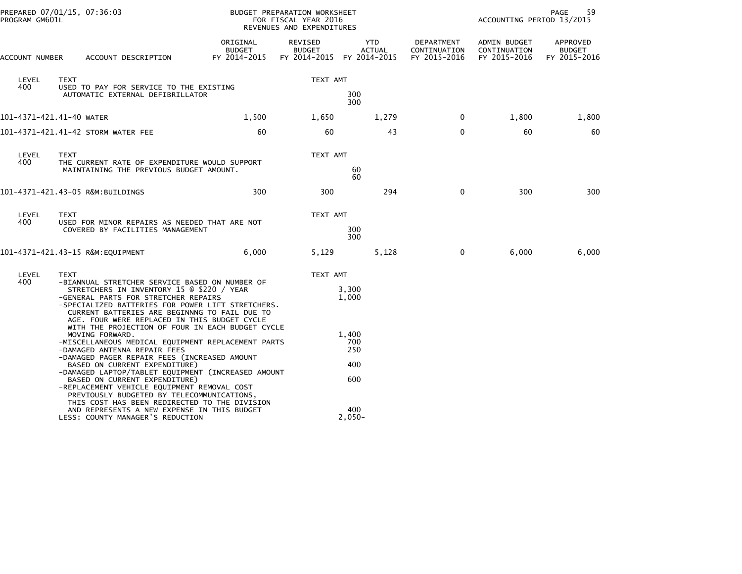|                          | PREPARED 07/01/15, 07:36:03<br>PROGRAM GM601L                                                                                                                                                                                                                                                                                                                                                                                                                                                                                  |                                           | BUDGET PREPARATION WORKSHEET<br>FOR FISCAL YEAR 2016<br>REVENUES AND EXPENDITURES |                                          |                                            | ACCOUNTING PERIOD 13/2015                    | 59<br>PAGE                                |
|--------------------------|--------------------------------------------------------------------------------------------------------------------------------------------------------------------------------------------------------------------------------------------------------------------------------------------------------------------------------------------------------------------------------------------------------------------------------------------------------------------------------------------------------------------------------|-------------------------------------------|-----------------------------------------------------------------------------------|------------------------------------------|--------------------------------------------|----------------------------------------------|-------------------------------------------|
| ACCOUNT NUMBER           | ACCOUNT DESCRIPTION                                                                                                                                                                                                                                                                                                                                                                                                                                                                                                            | ORIGINAL<br><b>BUDGET</b><br>FY 2014-2015 | REVISED<br><b>BUDGET</b><br>FY 2014-2015 FY 2014-2015                             | YTD<br>ACTUAL                            | DEPARTMENT<br>CONTINUATION<br>FY 2015-2016 | ADMIN BUDGET<br>CONTINUATION<br>FY 2015-2016 | APPROVED<br><b>BUDGET</b><br>FY 2015-2016 |
| LEVEL                    | <b>TEXT</b>                                                                                                                                                                                                                                                                                                                                                                                                                                                                                                                    |                                           | TEXT AMT                                                                          |                                          |                                            |                                              |                                           |
| 400                      | USED TO PAY FOR SERVICE TO THE EXISTING<br>AUTOMATIC EXTERNAL DEFIBRILLATOR                                                                                                                                                                                                                                                                                                                                                                                                                                                    |                                           | 300<br>300                                                                        |                                          |                                            |                                              |                                           |
| 101-4371-421.41-40 WATER |                                                                                                                                                                                                                                                                                                                                                                                                                                                                                                                                | 1,500                                     | 1,650                                                                             | 1,279                                    | $\mathbf{0}$                               | 1,800                                        | 1,800                                     |
|                          | 101-4371-421.41-42 STORM WATER FEE                                                                                                                                                                                                                                                                                                                                                                                                                                                                                             | 60                                        | 60                                                                                | 43                                       | $\mathbf{0}$                               | 60                                           | 60                                        |
| LEVEL<br>400             | <b>TEXT</b><br>THE CURRENT RATE OF EXPENDITURE WOULD SUPPORT<br>MAINTAINING THE PREVIOUS BUDGET AMOUNT.                                                                                                                                                                                                                                                                                                                                                                                                                        |                                           | TEXT AMT                                                                          | 60<br>60                                 |                                            |                                              |                                           |
|                          | 101-4371-421.43-05 R&M:BUILDINGS                                                                                                                                                                                                                                                                                                                                                                                                                                                                                               | 300                                       | 300                                                                               | 294                                      | $\mathbf 0$                                | 300                                          | 300                                       |
| LEVEL<br>400             | TEXT<br>USED FOR MINOR REPAIRS AS NEEDED THAT ARE NOT<br>COVERED BY FACILITIES MANAGEMENT                                                                                                                                                                                                                                                                                                                                                                                                                                      |                                           | TEXT AMT                                                                          | 300<br>300                               |                                            |                                              |                                           |
|                          | 101-4371-421.43-15 R&M:EQUIPMENT                                                                                                                                                                                                                                                                                                                                                                                                                                                                                               | 6,000                                     | 5,129                                                                             | 5,128                                    | $\overline{\mathbf{0}}$                    | 6,000                                        | 6,000                                     |
| LEVEL<br>400             | <b>TEXT</b><br>-BIANNUAL STRETCHER SERVICE BASED ON NUMBER OF<br>STRETCHERS IN INVENTORY 15 @ \$220 / YEAR<br>-GENERAL PARTS FOR STRETCHER REPAIRS<br>-SPECIALIZED BATTERIES FOR POWER LIFT STRETCHERS.<br>CURRENT BATTERIES ARE BEGINNNG TO FAIL DUE TO<br>AGE. FOUR WERE REPLACED IN THIS BUDGET CYCLE                                                                                                                                                                                                                       |                                           | TEXT AMT                                                                          | 3,300<br>1,000                           |                                            |                                              |                                           |
|                          | WITH THE PROJECTION OF FOUR IN EACH BUDGET CYCLE<br>MOVING FORWARD.<br>-MISCELLANEOUS MEDICAL EQUIPMENT REPLACEMENT PARTS<br>-DAMAGED ANTENNA REPAIR FEES<br>-DAMAGED PAGER REPAIR FEES (INCREASED AMOUNT<br>BASED ON CURRENT EXPENDITURE)<br>-DAMAGED LAPTOP/TABLET EQUIPMENT (INCREASED AMOUNT<br>BASED ON CURRENT EXPENDITURE)<br>-REPLACEMENT VEHICLE EQUIPMENT REMOVAL COST<br>PREVIOUSLY BUDGETED BY TELECOMMUNICATIONS,<br>THIS COST HAS BEEN REDIRECTED TO THE DIVISION<br>AND REPRESENTS A NEW EXPENSE IN THIS BUDGET |                                           |                                                                                   | 1,400<br>700<br>250<br>400<br>600<br>400 |                                            |                                              |                                           |
|                          | LESS: COUNTY MANAGER'S REDUCTION                                                                                                                                                                                                                                                                                                                                                                                                                                                                                               |                                           |                                                                                   | $2,050-$                                 |                                            |                                              |                                           |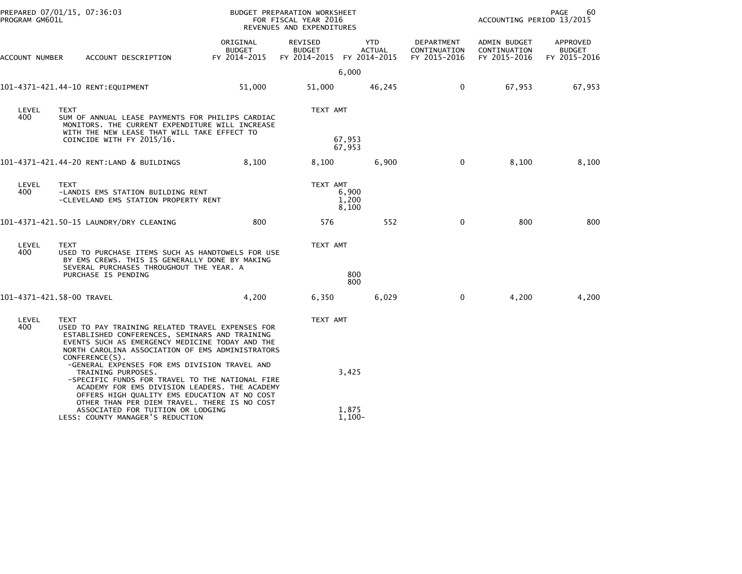| PROGRAM GM601L | PREPARED 07/01/15, 07:36:03                                                                                                                                                                                                                |                                           | BUDGET PREPARATION WORKSHEET<br>FOR FISCAL YEAR 2016<br>REVENUES AND EXPENDITURES | PAGE<br>60<br>ACCOUNTING PERIOD 13/2015 |                                            |                                              |                                           |
|----------------|--------------------------------------------------------------------------------------------------------------------------------------------------------------------------------------------------------------------------------------------|-------------------------------------------|-----------------------------------------------------------------------------------|-----------------------------------------|--------------------------------------------|----------------------------------------------|-------------------------------------------|
| ACCOUNT NUMBER | ACCOUNT DESCRIPTION                                                                                                                                                                                                                        | ORIGINAL<br><b>BUDGET</b><br>FY 2014-2015 | REVISED<br><b>BUDGET</b><br>FY 2014-2015 FY 2014-2015                             | YTD<br><b>ACTUAL</b>                    | DEPARTMENT<br>CONTINUATION<br>FY 2015-2016 | ADMIN BUDGET<br>CONTINUATION<br>FY 2015-2016 | APPROVED<br><b>BUDGET</b><br>FY 2015-2016 |
|                |                                                                                                                                                                                                                                            |                                           |                                                                                   | 6,000                                   |                                            |                                              |                                           |
|                | 101-4371-421.44-10 RENT:EQUIPMENT                                                                                                                                                                                                          | 51,000                                    | 51,000                                                                            | 46,245                                  | $\mathbf{0}$                               | 67,953                                       | 67,953                                    |
| LEVEL<br>400   | <b>TEXT</b><br>SUM OF ANNUAL LEASE PAYMENTS FOR PHILIPS CARDIAC<br>MONITORS. THE CURRENT EXPENDITURE WILL INCREASE<br>WITH THE NEW LEASE THAT WILL TAKE EFFECT TO<br>COINCIDE WITH FY 2015/16.                                             |                                           | TEXT AMT                                                                          | 67,953                                  |                                            |                                              |                                           |
|                |                                                                                                                                                                                                                                            |                                           |                                                                                   | 67,953                                  |                                            |                                              |                                           |
|                | 101-4371-421.44-20 RENT:LAND & BUILDINGS                                                                                                                                                                                                   | 8,100                                     | 8,100                                                                             | 6,900                                   | $\mathbf 0$                                | 8,100                                        | 8,100                                     |
| LEVEL<br>400   | <b>TEXT</b><br>-LANDIS EMS STATION BUILDING RENT<br>-CLEVELAND EMS STATION PROPERTY RENT                                                                                                                                                   |                                           | TEXT AMT                                                                          | 6,900<br>1,200<br>8,100                 |                                            |                                              |                                           |
|                |                                                                                                                                                                                                                                            | 800                                       | 576                                                                               | 552                                     | $\mathbf{0}$                               | 800                                          | 800                                       |
| LEVEL<br>400   | <b>TEXT</b><br>USED TO PURCHASE ITEMS SUCH AS HANDTOWELS FOR USE<br>BY EMS CREWS. THIS IS GENERALLY DONE BY MAKING<br>SEVERAL PURCHASES THROUGHOUT THE YEAR. A<br>PURCHASE IS PENDING                                                      |                                           | TEXT AMT                                                                          | 800<br>800                              |                                            |                                              |                                           |
|                | 101-4371-421.58-00 TRAVEL                                                                                                                                                                                                                  | 4,200                                     | 6,350                                                                             | 6,029                                   | $\Omega$                                   | 4,200                                        | 4,200                                     |
| LEVEL<br>400   | <b>TEXT</b><br>USED TO PAY TRAINING RELATED TRAVEL EXPENSES FOR<br>ESTABLISHED CONFERENCES, SEMINARS AND TRAINING<br>EVENTS SUCH AS EMERGENCY MEDICINE TODAY AND THE<br>NORTH CAROLINA ASSOCIATION OF EMS ADMINISTRATORS<br>CONFERENCE(S). |                                           | TEXT AMT                                                                          |                                         |                                            |                                              |                                           |
|                | -GENERAL EXPENSES FOR EMS DIVISION TRAVEL AND<br>TRAINING PURPOSES.<br>-SPECIFIC FUNDS FOR TRAVEL TO THE NATIONAL FIRE<br>ACADEMY FOR EMS DIVISION LEADERS. THE ACADEMY<br>OFFERS HIGH QUALITY EMS EDUCATION AT NO COST                    |                                           |                                                                                   | 3,425                                   |                                            |                                              |                                           |
|                | OTHER THAN PER DIEM TRAVEL. THERE IS NO COST<br>ASSOCIATED FOR TUITION OR LODGING<br>LESS: COUNTY MANAGER'S REDUCTION                                                                                                                      |                                           |                                                                                   | 1,875<br>$1,100-$                       |                                            |                                              |                                           |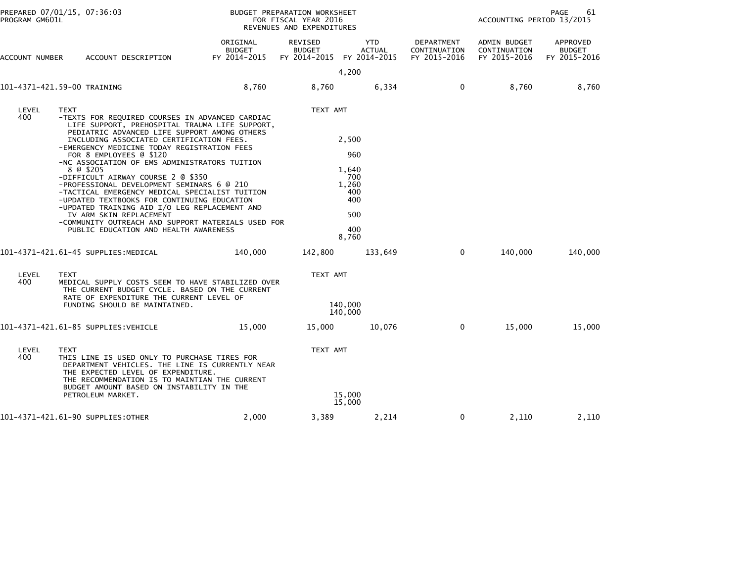|                | PREPARED 07/01/15, 07:36:03<br>PROGRAM GM601L                                                                                                                                                                                                                                                                                                                                                                                                                                                                                                                                                                                                                                                                        |                                           | BUDGET PREPARATION WORKSHEET<br>FOR FISCAL YEAR 2016<br>REVENUES AND EXPENDITURES |                                                                            |                                            | ACCOUNTING PERIOD 13/2015                    | 61<br>PAGE                                |
|----------------|----------------------------------------------------------------------------------------------------------------------------------------------------------------------------------------------------------------------------------------------------------------------------------------------------------------------------------------------------------------------------------------------------------------------------------------------------------------------------------------------------------------------------------------------------------------------------------------------------------------------------------------------------------------------------------------------------------------------|-------------------------------------------|-----------------------------------------------------------------------------------|----------------------------------------------------------------------------|--------------------------------------------|----------------------------------------------|-------------------------------------------|
| ACCOUNT NUMBER | ACCOUNT DESCRIPTION                                                                                                                                                                                                                                                                                                                                                                                                                                                                                                                                                                                                                                                                                                  | ORIGINAL<br><b>BUDGET</b><br>FY 2014-2015 | REVISED<br><b>BUDGET</b><br>FY 2014-2015                                          | <b>YTD</b><br><b>ACTUAL</b><br>FY 2014-2015                                | DEPARTMENT<br>CONTINUATION<br>FY 2015-2016 | ADMIN BUDGET<br>CONTINUATION<br>FY 2015-2016 | APPROVED<br><b>BUDGET</b><br>FY 2015-2016 |
|                |                                                                                                                                                                                                                                                                                                                                                                                                                                                                                                                                                                                                                                                                                                                      |                                           |                                                                                   | 4,200                                                                      |                                            |                                              |                                           |
|                | 101-4371-421.59-00 TRAINING                                                                                                                                                                                                                                                                                                                                                                                                                                                                                                                                                                                                                                                                                          | 8,760                                     | 8,760                                                                             | 6,334                                                                      | $\mathbf{0}$                               | 8,760                                        | 8,760                                     |
| LEVEL<br>400   | <b>TEXT</b><br>-TEXTS FOR REQUIRED COURSES IN ADVANCED CARDIAC<br>LIFE SUPPORT, PREHOSPITAL TRAUMA LIFE SUPPORT,<br>PEDIATRIC ADVANCED LIFE SUPPORT AMONG OTHERS<br>INCLUDING ASSOCIATED CERTIFICATION FEES.<br>-EMERGENCY MEDICINE TODAY REGISTRATION FEES<br>FOR 8 EMPLOYEES @ \$120<br>-NC ASSOCIATION OF EMS ADMINISTRATORS TUITION<br>8 @ \$205<br>-DIFFICULT AIRWAY COURSE 2 @ \$350<br>-PROFESSIONAL DEVELOPMENT SEMINARS 6 @ 210<br>-TACTICAL EMERGENCY MEDICAL SPECIALIST TUITION<br>-UPDATED TEXTBOOKS FOR CONTINUING EDUCATION<br>-UPDATED TRAINING AID I/O LEG REPLACEMENT AND<br>IV ARM SKIN REPLACEMENT<br>-COMMUNITY OUTREACH AND SUPPORT MATERIALS USED FOR<br>PUBLIC EDUCATION AND HEALTH AWARENESS |                                           | TEXT AMT                                                                          | 2,500<br>960<br>1,640<br>700<br>1,260<br>400<br>400<br>500<br>400<br>8,760 |                                            |                                              |                                           |
|                | 101-4371-421.61-45 SUPPLIES: MEDICAL                                                                                                                                                                                                                                                                                                                                                                                                                                                                                                                                                                                                                                                                                 | 140,000                                   | 142,800                                                                           | 133,649                                                                    | $\mathbf{0}$                               | 140,000                                      | 140,000                                   |
| LEVEL<br>400   | <b>TEXT</b><br>MEDICAL SUPPLY COSTS SEEM TO HAVE STABILIZED OVER<br>THE CURRENT BUDGET CYCLE. BASED ON THE CURRENT<br>RATE OF EXPENDITURE THE CURRENT LEVEL OF<br>FUNDING SHOULD BE MAINTAINED.                                                                                                                                                                                                                                                                                                                                                                                                                                                                                                                      |                                           | TEXT AMT<br>140,000<br>140,000                                                    |                                                                            |                                            |                                              |                                           |
|                | 101–4371–421.61–85 SUPPLIES:VEHICLE                                                                                                                                                                                                                                                                                                                                                                                                                                                                                                                                                                                                                                                                                  | 15,000                                    | 15,000                                                                            | 10,076                                                                     | $\mathbf{0}$                               | 15,000                                       | 15,000                                    |
| LEVEL<br>400   | <b>TEXT</b><br>THIS LINE IS USED ONLY TO PURCHASE TIRES FOR<br>DEPARTMENT VEHICLES. THE LINE IS CURRENTLY NEAR<br>THE EXPECTED LEVEL OF EXPENDITURE.<br>THE RECOMMENDATION IS TO MAINTIAN THE CURRENT<br>BUDGET AMOUNT BASED ON INSTABILITY IN THE<br>PETROLEUM MARKET.                                                                                                                                                                                                                                                                                                                                                                                                                                              |                                           | TEXT AMT                                                                          | 15,000<br>15,000                                                           |                                            |                                              |                                           |
|                | 101-4371-421.61-90 SUPPLIES:OTHER                                                                                                                                                                                                                                                                                                                                                                                                                                                                                                                                                                                                                                                                                    | 2,000                                     | 3,389                                                                             | 2,214                                                                      | 0                                          | 2,110                                        | 2,110                                     |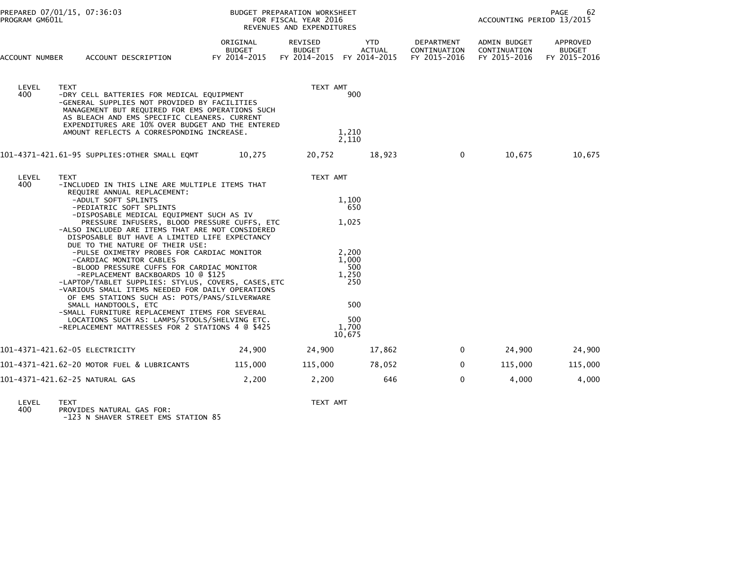| PROGRAM GM601L | PREPARED 07/01/15, 07:36:03                                                                                                                                                                                                                                                                                                                                                                                                                                                                                                                                                                                                                                                                                                                                                                                                                                                               |                                           | BUDGET PREPARATION WORKSHEET<br>FOR FISCAL YEAR 2016<br>REVENUES AND EXPENDITURES | PAGE<br>62<br>ACCOUNTING PERIOD 13/2015     |                                            |                                              |                                           |
|----------------|-------------------------------------------------------------------------------------------------------------------------------------------------------------------------------------------------------------------------------------------------------------------------------------------------------------------------------------------------------------------------------------------------------------------------------------------------------------------------------------------------------------------------------------------------------------------------------------------------------------------------------------------------------------------------------------------------------------------------------------------------------------------------------------------------------------------------------------------------------------------------------------------|-------------------------------------------|-----------------------------------------------------------------------------------|---------------------------------------------|--------------------------------------------|----------------------------------------------|-------------------------------------------|
| ACCOUNT NUMBER | ACCOUNT DESCRIPTION                                                                                                                                                                                                                                                                                                                                                                                                                                                                                                                                                                                                                                                                                                                                                                                                                                                                       | ORIGINAL<br><b>BUDGET</b><br>FY 2014-2015 | REVISED<br><b>BUDGET</b><br>FY 2014-2015                                          | <b>YTD</b><br><b>ACTUAL</b><br>FY 2014-2015 | DEPARTMENT<br>CONTINUATION<br>FY 2015-2016 | ADMIN BUDGET<br>CONTINUATION<br>FY 2015-2016 | APPROVED<br><b>BUDGET</b><br>FY 2015-2016 |
| LEVEL<br>400.  | TEXT<br>-DRY CELL BATTERIES FOR MEDICAL EQUIPMENT<br>-GENERAL SUPPLIES NOT PROVIDED BY FACILITIES<br>MANAGEMENT BUT REQUIRED FOR EMS OPERATIONS SUCH<br>AS BLEACH AND EMS SPECIFIC CLEANERS. CURRENT<br>EXPENDITURES ARE 10% OVER BUDGET AND THE ENTERED<br>AMOUNT REFLECTS A CORRESPONDING INCREASE.                                                                                                                                                                                                                                                                                                                                                                                                                                                                                                                                                                                     | TEXT AMT<br>900<br>1,210<br>2,110         |                                                                                   |                                             |                                            |                                              |                                           |
|                | 101-4371-421.61-95 SUPPLIES:OTHER SMALL EQMT                                                                                                                                                                                                                                                                                                                                                                                                                                                                                                                                                                                                                                                                                                                                                                                                                                              | 10,275                                    | 20,752                                                                            | 18,923                                      | $\mathbf{0}$                               | 10,675                                       | 10,675                                    |
| LEVEL<br>400   | <b>TEXT</b><br>-INCLUDED IN THIS LINE ARE MULTIPLE ITEMS THAT<br>REQUIRE ANNUAL REPLACEMENT:<br>-ADULT SOFT SPLINTS<br>-PEDIATRIC SOFT SPLINTS<br>-DISPOSABLE MEDICAL EQUIPMENT SUCH AS IV<br>PRESSURE INFUSERS, BLOOD PRESSURE CUFFS, ETC<br>-ALSO INCLUDED ARE ITEMS THAT ARE NOT CONSIDERED<br>DISPOSABLE BUT HAVE A LIMITED LIFE EXPECTANCY<br>DUE TO THE NATURE OF THEIR USE:<br>-PULSE OXIMETRY PROBES FOR CARDIAC MONITOR<br>-CARDIAC MONITOR CABLES<br>-BLOOD PRESSURE CUFFS FOR CARDIAC MONITOR<br>-REPLACEMENT BACKBOARDS 10 @ \$125<br>-LAPTOP/TABLET SUPPLIES: STYLUS, COVERS, CASES, ETC<br>-VARIOUS SMALL ITEMS NEEDED FOR DAILY OPERATIONS<br>OF EMS STATIONS SUCH AS: POTS/PANS/SILVERWARE<br>SMALL HANDTOOLS, ETC<br>-SMALL FURNITURE REPLACEMENT ITEMS FOR SEVERAL<br>LOCATIONS SUCH AS: LAMPS/STOOLS/SHELVING ETC.<br>-REPLACEMENT MATTRESSES FOR 2 STATIONS 4 @ \$425 |                                           | TEXT AMT<br>1,100<br>1,025<br>2,200<br>1.000<br>1.250<br>1,700<br>10,675          | 650<br>500<br>250<br>500<br>500             |                                            |                                              |                                           |
|                | 101–4371–421.62–05 ELECTRICITY                                                                                                                                                                                                                                                                                                                                                                                                                                                                                                                                                                                                                                                                                                                                                                                                                                                            | 24,900                                    | 24,900                                                                            | 17,862                                      | $\mathbf{0}$                               | 24,900                                       | 24,900                                    |
|                | 101-4371-421.62-20 MOTOR FUEL & LUBRICANTS                                                                                                                                                                                                                                                                                                                                                                                                                                                                                                                                                                                                                                                                                                                                                                                                                                                | 115,000                                   | 115,000                                                                           | 78,052                                      | $\mathbf 0$                                | 115,000                                      | 115,000                                   |
|                | 101-4371-421.62-25 NATURAL GAS                                                                                                                                                                                                                                                                                                                                                                                                                                                                                                                                                                                                                                                                                                                                                                                                                                                            | 2,200                                     | 2,200                                                                             | 646                                         | $\Omega$                                   | 4,000                                        | 4,000                                     |

LEVEL TEXT TEXT AMT 400 PROVIDES NATURAL GAS FOR: -123 N SHAVER STREET EMS STATION 85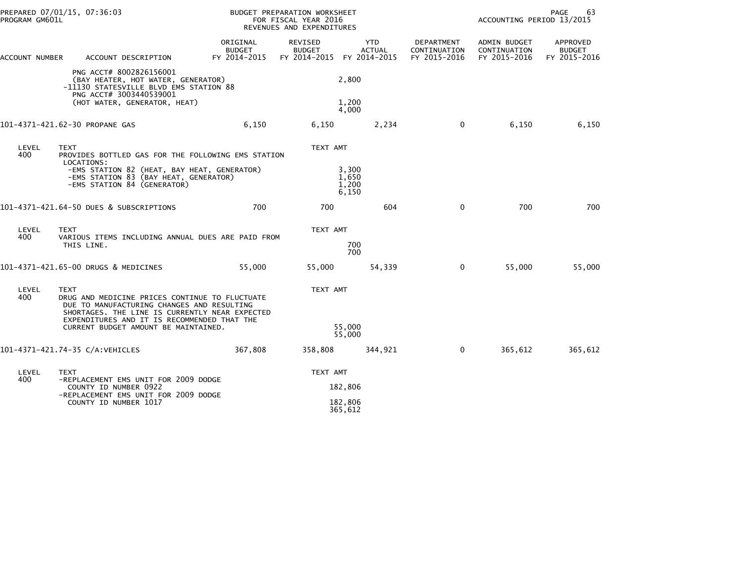|                                                                                                                                                                                                      | PREPARED 07/01/15, 07:36:03<br>PROGRAM GM601L                                                                                                                                                                |                                    | BUDGET PREPARATION WORKSHEET<br>FOR FISCAL YEAR 2016<br>REVENUES AND EXPENDITURES |                                  |                                            |                                              | <b>PAGE</b><br>63<br>ACCOUNTING PERIOD 13/2015 |  |  |
|------------------------------------------------------------------------------------------------------------------------------------------------------------------------------------------------------|--------------------------------------------------------------------------------------------------------------------------------------------------------------------------------------------------------------|------------------------------------|-----------------------------------------------------------------------------------|----------------------------------|--------------------------------------------|----------------------------------------------|------------------------------------------------|--|--|
| ACCOUNT NUMBER                                                                                                                                                                                       | ACCOUNT DESCRIPTION                                                                                                                                                                                          | ORIGINAL<br>BUDGET<br>FY 2014-2015 | REVISED<br><b>BUDGET</b><br>FY 2014-2015 FY 2014-2015                             | <b>YTD</b><br><b>ACTUAL</b>      | DEPARTMENT<br>CONTINUATION<br>FY 2015-2016 | ADMIN BUDGET<br>CONTINUATION<br>FY 2015-2016 | APPROVED<br><b>BUDGET</b><br>FY 2015-2016      |  |  |
| PNG ACCT# 8002826156001<br>(BAY HEATER, HOT WATER, GENERATOR)<br>-11130 STATESVILLE BLVD EMS STATION 88<br>PNG ACCT# 3003440539001<br>(HOT WATER, GENERATOR, HEAT)<br>101-4371-421.62-30 PROPANE GAS |                                                                                                                                                                                                              |                                    |                                                                                   | 2,800                            |                                            |                                              |                                                |  |  |
|                                                                                                                                                                                                      |                                                                                                                                                                                                              | 1,200<br>4,000                     |                                                                                   |                                  |                                            |                                              |                                                |  |  |
|                                                                                                                                                                                                      |                                                                                                                                                                                                              | 6,150                              | 6,150                                                                             | 2,234                            | $\mathbf{0}$                               | 6,150                                        | 6,150                                          |  |  |
| LEVEL<br>400                                                                                                                                                                                         | <b>TEXT</b><br>PROVIDES BOTTLED GAS FOR THE FOLLOWING EMS STATION                                                                                                                                            |                                    | TEXT AMT                                                                          |                                  |                                            |                                              |                                                |  |  |
|                                                                                                                                                                                                      | LOCATIONS:<br>-EMS STATION 82 (HEAT, BAY HEAT, GENERATOR)<br>-EMS STATION 83 (BAY HEAT, GENERATOR)<br>-EMS STATION 84 (GENERATOR)                                                                            |                                    |                                                                                   | 3.300<br>1,650<br>1,200<br>6,150 |                                            |                                              |                                                |  |  |
| 101-4371-421.64-50 DUES & SUBSCRIPTIONS                                                                                                                                                              |                                                                                                                                                                                                              | 700                                | 700                                                                               | 604                              | $\mathbf 0$                                | 700                                          | 700                                            |  |  |
| LEVEL                                                                                                                                                                                                | <b>TEXT</b>                                                                                                                                                                                                  |                                    | TEXT AMT                                                                          |                                  |                                            |                                              |                                                |  |  |
| 400                                                                                                                                                                                                  | VARIOUS ITEMS INCLUDING ANNUAL DUES ARE PAID FROM<br>THIS LINE.                                                                                                                                              |                                    |                                                                                   | 700<br>700                       |                                            |                                              |                                                |  |  |
|                                                                                                                                                                                                      | 101-4371-421.65-00 DRUGS & MEDICINES                                                                                                                                                                         | 55.000                             | 55,000                                                                            | 54,339                           | $\mathbf 0$                                | 55,000                                       | 55,000                                         |  |  |
| LEVEL<br>400                                                                                                                                                                                         | <b>TEXT</b><br>DRUG AND MEDICINE PRICES CONTINUE TO FLUCTUATE<br>DUE TO MANUFACTURING CHANGES AND RESULTING<br>SHORTAGES. THE LINE IS CURRENTLY NEAR EXPECTED<br>EXPENDITURES AND IT IS RECOMMENDED THAT THE |                                    | TEXT AMT                                                                          |                                  |                                            |                                              |                                                |  |  |
|                                                                                                                                                                                                      | CURRENT BUDGET AMOUNT BE MAINTAINED.                                                                                                                                                                         |                                    |                                                                                   | 55,000<br>55,000                 |                                            |                                              |                                                |  |  |
|                                                                                                                                                                                                      | 101-4371-421.74-35 C/A:VEHICLES                                                                                                                                                                              | 367,808                            | 358,808                                                                           | 344,921                          | $\mathbf{0}$                               | 365,612                                      | 365,612                                        |  |  |
| LEVEL                                                                                                                                                                                                | <b>TEXT</b>                                                                                                                                                                                                  |                                    | TEXT AMT                                                                          |                                  |                                            |                                              |                                                |  |  |
| 400                                                                                                                                                                                                  | -REPLACEMENT EMS UNIT FOR 2009 DODGE<br>COUNTY ID NUMBER 0922<br>-REPLACEMENT EMS UNIT FOR 2009 DODGE                                                                                                        |                                    | 182,806                                                                           |                                  |                                            |                                              |                                                |  |  |
|                                                                                                                                                                                                      | COUNTY ID NUMBER 1017                                                                                                                                                                                        |                                    | 182,806<br>365,612                                                                |                                  |                                            |                                              |                                                |  |  |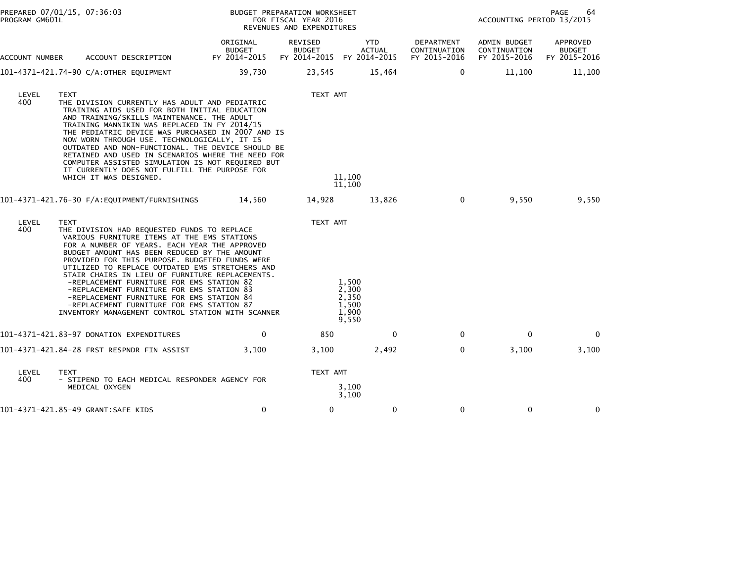| PROGRAM GM601L | PREPARED 07/01/15, 07:36:03                                                                                                                                                                                                                                                                                                                                                                                                                                                                                                                                                                                 |                                           | BUDGET PREPARATION WORKSHEET<br>FOR FISCAL YEAR 2016<br>REVENUES AND EXPENDITURES |                                                    | 64<br>PAGE<br>ACCOUNTING PERIOD 13/2015    |                                              |                                           |
|----------------|-------------------------------------------------------------------------------------------------------------------------------------------------------------------------------------------------------------------------------------------------------------------------------------------------------------------------------------------------------------------------------------------------------------------------------------------------------------------------------------------------------------------------------------------------------------------------------------------------------------|-------------------------------------------|-----------------------------------------------------------------------------------|----------------------------------------------------|--------------------------------------------|----------------------------------------------|-------------------------------------------|
| ACCOUNT NUMBER | ACCOUNT DESCRIPTION                                                                                                                                                                                                                                                                                                                                                                                                                                                                                                                                                                                         | ORIGINAL<br><b>BUDGET</b><br>FY 2014-2015 | REVISED<br><b>BUDGET</b><br>FY 2014-2015                                          | <b>YTD</b><br><b>ACTUAL</b><br>FY 2014-2015        | DEPARTMENT<br>CONTINUATION<br>FY 2015-2016 | ADMIN BUDGET<br>CONTINUATION<br>FY 2015-2016 | APPROVED<br><b>BUDGET</b><br>FY 2015-2016 |
|                | 101-4371-421.74-90 C/A:OTHER EQUIPMENT                                                                                                                                                                                                                                                                                                                                                                                                                                                                                                                                                                      | 39,730                                    | 23,545                                                                            | 15,464                                             | $\mathbf{0}$                               | 11,100                                       | 11,100                                    |
| LEVEL<br>400   | <b>TEXT</b><br>THE DIVISION CURRENTLY HAS ADULT AND PEDIATRIC<br>TRAINING AIDS USED FOR BOTH INITIAL EDUCATION<br>AND TRAINING/SKILLS MAINTENANCE. THE ADULT<br>TRAINING MANNIKIN WAS REPLACED IN FY 2014/15<br>THE PEDIATRIC DEVICE WAS PURCHASED IN 2007 AND IS<br>NOW WORN THROUGH USE. TECHNOLOGICALLY, IT IS<br>OUTDATED AND NON-FUNCTIONAL. THE DEVICE SHOULD BE<br>RETAINED AND USED IN SCENARIOS WHERE THE NEED FOR<br>COMPUTER ASSISTED SIMULATION IS NOT REQUIRED BUT<br>IT CURRENTLY DOES NOT FULFILL THE PURPOSE FOR<br>WHICH IT WAS DESIGNED.                                                  |                                           | TEXT AMT                                                                          | 11,100<br>11,100                                   |                                            |                                              |                                           |
|                | 101-4371-421.76-30 F/A:EQUIPMENT/FURNISHINGS                                                                                                                                                                                                                                                                                                                                                                                                                                                                                                                                                                | 14.560                                    | 14,928                                                                            | 13,826                                             | 0                                          | 9,550                                        | 9,550                                     |
| LEVEL<br>400   | <b>TEXT</b><br>THE DIVISION HAD REQUESTED FUNDS TO REPLACE<br>VARIOUS FURNITURE ITEMS AT THE EMS STATIONS<br>FOR A NUMBER OF YEARS. EACH YEAR THE APPROVED<br>BUDGET AMOUNT HAS BEEN REDUCED BY THE AMOUNT<br>PROVIDED FOR THIS PURPOSE. BUDGETED FUNDS WERE<br>UTILIZED TO REPLACE OUTDATED EMS STRETCHERS AND<br>STAIR CHAIRS IN LIEU OF FURNITURE REPLACEMENTS.<br>-REPLACEMENT FURNITURE FOR EMS STATION 82<br>-REPLACEMENT FURNITURE FOR EMS STATION 83<br>-REPLACEMENT FURNITURE FOR EMS STATION 84<br>-REPLACEMENT FURNITURE FOR EMS STATION 87<br>INVENTORY MANAGEMENT CONTROL STATION WITH SCANNER |                                           | TEXT AMT                                                                          | 1,500<br>2.300<br>2,350<br>1,500<br>1.900<br>9,550 |                                            |                                              |                                           |
|                | 101-4371-421.83-97 DONATION EXPENDITURES                                                                                                                                                                                                                                                                                                                                                                                                                                                                                                                                                                    | 0                                         | 850                                                                               | 0                                                  | $\mathbf 0$                                | $\mathbf{0}$                                 | $\mathbf{0}$                              |
|                | 101-4371-421.84-28 FRST RESPNDR FIN ASSIST                                                                                                                                                                                                                                                                                                                                                                                                                                                                                                                                                                  | 3,100                                     | 3,100                                                                             | 2,492                                              | $\mathbf 0$                                | 3,100                                        | 3,100                                     |
| LEVEL<br>400.  | TEXT<br>- STIPEND TO EACH MEDICAL RESPONDER AGENCY FOR<br>MEDICAL OXYGEN                                                                                                                                                                                                                                                                                                                                                                                                                                                                                                                                    |                                           | TEXT AMT                                                                          | 3,100<br>3,100                                     |                                            |                                              |                                           |
|                | 101-4371-421.85-49 GRANT:SAFE KIDS                                                                                                                                                                                                                                                                                                                                                                                                                                                                                                                                                                          | 0                                         | 0                                                                                 | 0                                                  | 0                                          | 0                                            | 0                                         |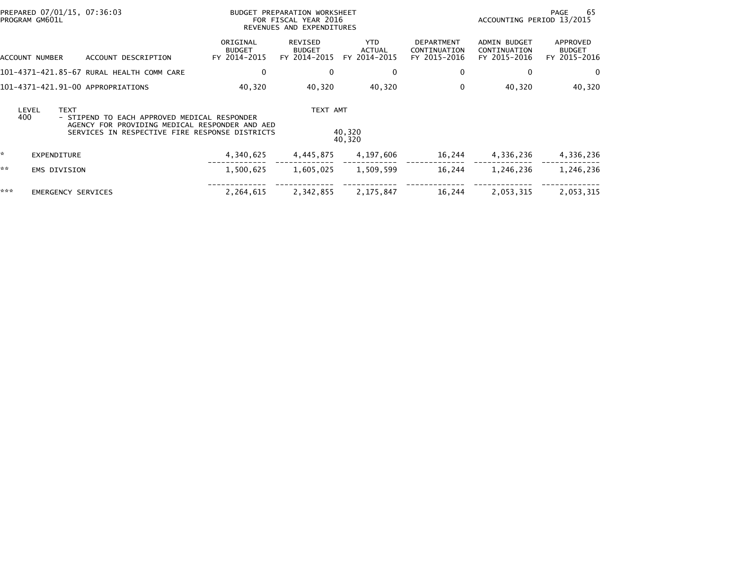|              | PREPARED 07/01/15, 07:36:03<br>PROGRAM GM601L |                                                                                                                                                  | BUDGET PREPARATION WORKSHEET<br>FOR FISCAL YEAR 2016<br>REVENUES AND EXPENDITURES |                                          |                                       |                                                   | ACCOUNTING PERIOD 13/2015                           | -65<br>PAGE                               |
|--------------|-----------------------------------------------|--------------------------------------------------------------------------------------------------------------------------------------------------|-----------------------------------------------------------------------------------|------------------------------------------|---------------------------------------|---------------------------------------------------|-----------------------------------------------------|-------------------------------------------|
|              | ACCOUNT NUMBER                                | ACCOUNT DESCRIPTION                                                                                                                              | ORIGINAL<br><b>BUDGET</b><br>FY 2014-2015                                         | REVISED<br><b>BUDGET</b><br>FY 2014-2015 | YTD.<br><b>ACTUAL</b><br>FY 2014-2015 | <b>DEPARTMENT</b><br>CONTINUATION<br>FY 2015-2016 | <b>ADMIN BUDGET</b><br>CONTINUATION<br>FY 2015-2016 | APPROVED<br><b>BUDGET</b><br>FY 2015-2016 |
|              |                                               | 101-4371-421.85-67 RURAL HEALTH COMM CARE                                                                                                        | 0                                                                                 | 0                                        | 0                                     | 0                                                 | 0                                                   | 0                                         |
|              |                                               | 101-4371-421.91-00 APPROPRIATIONS                                                                                                                | 40,320                                                                            | 40,320                                   | 40,320                                | 0                                                 | 40,320                                              | 40,320                                    |
| LEVEL<br>400 | <b>TEXT</b>                                   | - STIPEND TO EACH APPROVED MEDICAL RESPONDER<br>AGENCY FOR PROVIDING MEDICAL RESPONDER AND AED<br>SERVICES IN RESPECTIVE FIRE RESPONSE DISTRICTS |                                                                                   | TEXT AMT                                 | 40,320<br>40,320                      |                                                   |                                                     |                                           |
| *            | <b>EXPENDITURE</b>                            |                                                                                                                                                  | 4,340,625                                                                         | 4,445,875                                | 4,197,606                             | 16,244                                            | 4,336,236                                           | 4,336,236                                 |
| **           | <b>EMS DIVISION</b>                           |                                                                                                                                                  | 1,500,625                                                                         | 1,605,025                                | 1,509,599                             | 16,244                                            | 1,246,236                                           | 1,246,236                                 |
| ***          | <b>EMERGENCY SERVICES</b>                     |                                                                                                                                                  | 2,264,615                                                                         | 2,342,855                                | 2,175,847                             | 16,244                                            | 2,053,315                                           | 2,053,315                                 |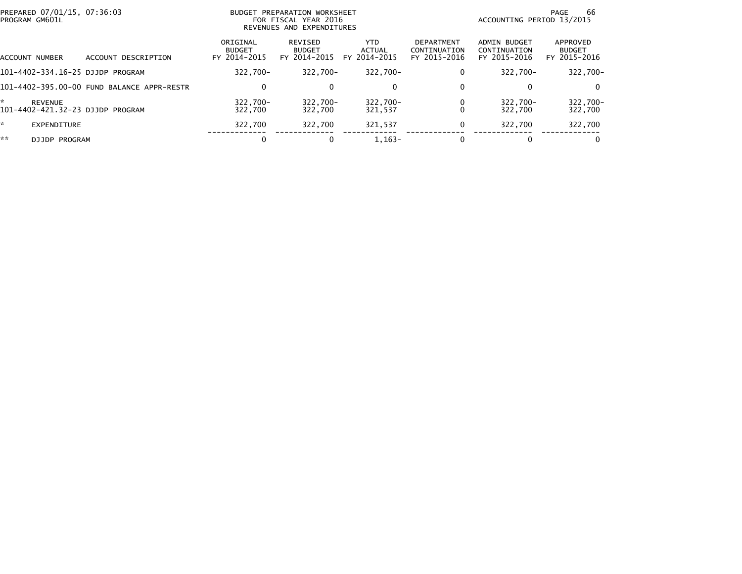| PREPARED 07/01/15, 07:36:03<br>PROGRAM GM601L           |                                            | <b>BUDGET PREPARATION WORKSHEET</b><br>FOR FISCAL YEAR 2016<br>REVENUES AND EXPENDITURES |                                          |                                |                                                   | 66<br>PAGE<br>ACCOUNTING PERIOD 13/2015      |                                           |  |
|---------------------------------------------------------|--------------------------------------------|------------------------------------------------------------------------------------------|------------------------------------------|--------------------------------|---------------------------------------------------|----------------------------------------------|-------------------------------------------|--|
| ACCOUNT NUMBER                                          | ACCOUNT DESCRIPTION                        | ORIGINAL<br><b>BUDGET</b><br>FY 2014-2015                                                | REVISED<br><b>BUDGET</b><br>FY 2014-2015 | YTD.<br>ACTUAL<br>FY 2014-2015 | <b>DEPARTMENT</b><br>CONTINUATION<br>FY 2015-2016 | ADMIN BUDGET<br>CONTINUATION<br>FY 2015-2016 | APPROVED<br><b>BUDGET</b><br>FY 2015-2016 |  |
| 101-4402-334.16-25 DJJDP PROGRAM                        |                                            | $322.700 -$                                                                              | 322.700-                                 | $322.700 -$                    | 0                                                 | 322.700-                                     | 322,700-                                  |  |
|                                                         | 101-4402-395.00-00 FUND BALANCE APPR-RESTR | 0                                                                                        | 0                                        | 0                              | 0                                                 |                                              | $\Omega$                                  |  |
| ÷<br><b>REVENUE</b><br>101-4402-421.32-23 DJJDP PROGRAM |                                            | 322.700-<br>322.700                                                                      | 322,700-<br>322,700                      | 322,700-<br>321.537            |                                                   | $322.700 -$<br>322.700                       | 322,700-<br>322,700                       |  |
| ×.<br><b>EXPENDITURE</b>                                |                                            | 322.700                                                                                  | 322.700                                  | 321.537                        | 0                                                 | 322.700                                      | 322,700                                   |  |
| **<br><b>DJJDP PROGRAM</b>                              |                                            | 0                                                                                        |                                          | $1.163 -$                      |                                                   |                                              | $\Omega$                                  |  |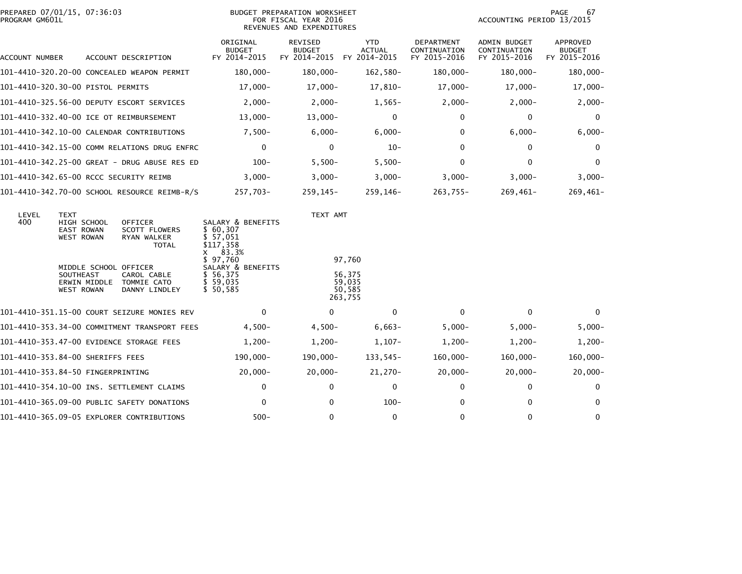| PREPARED 07/01/15, 07:36:03<br>PROGRAM GM601L |                                                                                        |  |                                                                       | <b>BUDGET PREPARATION WORKSHEET</b><br>FOR FISCAL YEAR 2016<br>REVENUES AND EXPENDITURES                 |                                                 |                                             |                                                   | ACCOUNTING PERIOD 13/2015                           | 67<br>PAGE                         |
|-----------------------------------------------|----------------------------------------------------------------------------------------|--|-----------------------------------------------------------------------|----------------------------------------------------------------------------------------------------------|-------------------------------------------------|---------------------------------------------|---------------------------------------------------|-----------------------------------------------------|------------------------------------|
| ACCOUNT NUMBER                                |                                                                                        |  | ACCOUNT DESCRIPTION                                                   | ORIGINAL<br><b>BUDGET</b><br>FY 2014-2015                                                                | <b>REVISED</b><br><b>BUDGET</b><br>FY 2014-2015 | <b>YTD</b><br><b>ACTUAL</b><br>FY 2014-2015 | <b>DEPARTMENT</b><br>CONTINUATION<br>FY 2015-2016 | <b>ADMIN BUDGET</b><br>CONTINUATION<br>FY 2015-2016 | APPROVED<br>BUDGET<br>FY 2015-2016 |
|                                               |                                                                                        |  | 101-4410-320.20-00 CONCEALED WEAPON PERMIT                            | $180,000 -$                                                                                              | 180,000-                                        | 162,580-                                    | 180,000-                                          | 180,000-                                            | 180,000-                           |
| 101-4410-320.30-00 PISTOL PERMITS             |                                                                                        |  |                                                                       | 17,000-                                                                                                  | $17,000-$                                       | $17,810-$                                   | $17,000-$                                         | $17,000-$                                           | $17,000-$                          |
|                                               |                                                                                        |  | 101-4410-325.56-00 DEPUTY ESCORT SERVICES                             | $2,000-$                                                                                                 | $2,000-$                                        | $1,565-$                                    | $2,000-$                                          | $2,000-$                                            | $2,000-$                           |
| 101-4410-332.40-00 ICE OT REIMBURSEMENT       |                                                                                        |  |                                                                       | $13,000-$                                                                                                | $13,000-$                                       | $\mathbf 0$                                 | 0                                                 | 0                                                   | 0                                  |
|                                               |                                                                                        |  | 101-4410-342.10-00 CALENDAR CONTRIBUTIONS                             | $7,500-$                                                                                                 | $6,000 -$                                       | $6,000 -$                                   | $\mathbf{0}$                                      | $6,000 -$                                           | $6,000-$                           |
|                                               |                                                                                        |  | 101-4410-342.15-00 COMM RELATIONS DRUG ENFRC                          | $\mathbf 0$                                                                                              | $\mathbf{0}$                                    | $10-$                                       | $\mathbf{0}$                                      | 0                                                   | $\Omega$                           |
|                                               |                                                                                        |  | 101-4410-342.25-00 GREAT - DRUG ABUSE RES ED                          | $100 -$                                                                                                  | $5,500-$                                        | $5,500-$                                    | 0                                                 | 0                                                   | $\mathbf{0}$                       |
| 101-4410-342.65-00 RCCC SECURITY REIMB        |                                                                                        |  |                                                                       | $3,000-$                                                                                                 | $3,000-$                                        | $3,000-$                                    | $3,000-$                                          | $3,000-$                                            | $3,000-$                           |
|                                               |                                                                                        |  | 101-4410-342.70-00 SCHOOL RESOURCE REIMB-R/S                          | 257,703-                                                                                                 | $259, 145 -$                                    | 259,146-                                    | 263,755-                                          | 269,461-                                            | $269,461-$                         |
| LEVEL<br>400                                  | TEXT<br>HIGH SCHOOL<br><b>EAST ROWAN</b><br><b>WEST ROWAN</b><br>MIDDLE SCHOOL OFFICER |  | <b>OFFICER</b><br><b>SCOTT FLOWERS</b><br>RYAN WALKER<br><b>TOTAL</b> | SALARY & BENEFITS<br>\$ 60,307<br>\$ 57.051<br>\$117,358<br>83.3%<br>x.<br>\$97,760<br>SALARY & BENEFITS | TEXT AMT                                        | 97,760                                      |                                                   |                                                     |                                    |
|                                               | <b>SOUTHEAST</b><br>ERWIN MIDDLE<br><b>WEST ROWAN</b>                                  |  | CAROL CABLE<br>TOMMIE CATO<br>DANNY LINDLEY                           | \$ 56,375<br>\$59,035<br>\$50,585                                                                        |                                                 | 56,375<br>59.035<br>50,585<br>263,755       |                                                   |                                                     |                                    |
|                                               |                                                                                        |  | 101-4410-351.15-00 COURT SEIZURE MONIES REV                           | $\mathbf{0}$                                                                                             | $\mathbf{0}$                                    | $\Omega$                                    | $\mathbf{0}$                                      | $\mathbf{0}$                                        | $\mathbf{0}$                       |
|                                               |                                                                                        |  | 101-4410-353.34-00 COMMITMENT TRANSPORT FEES                          | $4,500-$                                                                                                 | $4,500-$                                        | $6,663-$                                    | $5,000-$                                          | $5,000-$                                            | $5,000 -$                          |
|                                               |                                                                                        |  | 101-4410-353.47-00 EVIDENCE STORAGE FEES                              | $1,200-$                                                                                                 | $1,200-$                                        | $1,107-$                                    | $1,200-$                                          | $1,200-$                                            | $1,200-$                           |
| 101-4410-353.84-00 SHERIFFS FEES              |                                                                                        |  |                                                                       | 190,000-                                                                                                 | 190,000-                                        | 133,545-                                    | $160,000 -$                                       | $160,000 -$                                         | $160,000 -$                        |
| 101-4410-353.84-50 FINGERPRINTING             |                                                                                        |  |                                                                       | $20,000 -$                                                                                               | $20,000 -$                                      | $21,270-$                                   | $20,000-$                                         | $20,000 -$                                          | $20,000-$                          |
|                                               |                                                                                        |  | 101-4410-354.10-00 INS. SETTLEMENT CLAIMS                             | 0                                                                                                        | 0                                               | $\mathbf 0$                                 | 0                                                 | 0                                                   | $\mathbf{0}$                       |
|                                               |                                                                                        |  | 101–4410–365.09–00 PUBLIC SAFETY DONATIONS                            | $\mathbf{0}$                                                                                             | 0                                               | $100 -$                                     | 0                                                 | $\mathbf{0}$                                        | 0                                  |
|                                               |                                                                                        |  | 101-4410-365.09-05 EXPLORER CONTRIBUTIONS                             | $500 -$                                                                                                  | 0                                               | 0                                           | 0                                                 | $\mathbf{0}$                                        | 0                                  |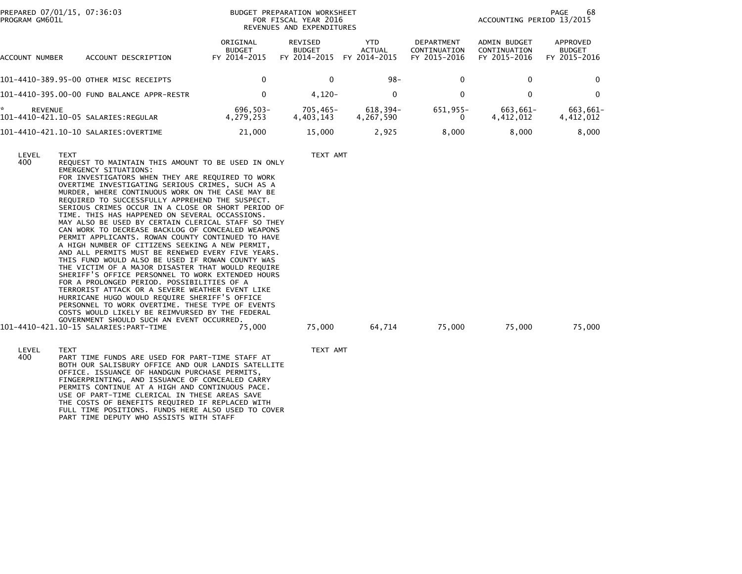| PREPARED 07/01/15, 07:36:03<br>PROGRAM GM601L |                                                                                                                                                                                                                                                                                                                                                                                                                                                                                                                                                                                                                                                                                                                                                                                                                                                                                                                                                                                                                                                                                                   |                                           | BUDGET PREPARATION WORKSHEET<br>FOR FISCAL YEAR 2016<br>REVENUES AND EXPENDITURES | 68<br>PAGE<br>ACCOUNTING PERIOD 13/2015 |                                                   |                                                     |                                           |
|-----------------------------------------------|---------------------------------------------------------------------------------------------------------------------------------------------------------------------------------------------------------------------------------------------------------------------------------------------------------------------------------------------------------------------------------------------------------------------------------------------------------------------------------------------------------------------------------------------------------------------------------------------------------------------------------------------------------------------------------------------------------------------------------------------------------------------------------------------------------------------------------------------------------------------------------------------------------------------------------------------------------------------------------------------------------------------------------------------------------------------------------------------------|-------------------------------------------|-----------------------------------------------------------------------------------|-----------------------------------------|---------------------------------------------------|-----------------------------------------------------|-------------------------------------------|
| ACCOUNT NUMBER                                | ACCOUNT DESCRIPTION                                                                                                                                                                                                                                                                                                                                                                                                                                                                                                                                                                                                                                                                                                                                                                                                                                                                                                                                                                                                                                                                               | ORIGINAL<br><b>BUDGET</b><br>FY 2014-2015 | REVISED<br><b>BUDGET</b><br>FY 2014-2015                                          | <b>YTD</b><br>ACTUAL<br>FY 2014-2015    | <b>DEPARTMENT</b><br>CONTINUATION<br>FY 2015-2016 | <b>ADMIN BUDGET</b><br>CONTINUATION<br>FY 2015-2016 | APPROVED<br><b>BUDGET</b><br>FY 2015-2016 |
|                                               | 101-4410-389.95-00 OTHER MISC RECEIPTS                                                                                                                                                                                                                                                                                                                                                                                                                                                                                                                                                                                                                                                                                                                                                                                                                                                                                                                                                                                                                                                            | 0                                         | 0                                                                                 | $98 -$                                  | 0                                                 | $\bf{0}$                                            | $\Omega$                                  |
|                                               | 101-4410-395.00-00 FUND BALANCE APPR-RESTR                                                                                                                                                                                                                                                                                                                                                                                                                                                                                                                                                                                                                                                                                                                                                                                                                                                                                                                                                                                                                                                        | $\mathbf 0$                               | $4,120-$                                                                          | $\mathbf 0$                             | 0                                                 | 0                                                   | $\mathbf 0$                               |
| *<br><b>REVENUE</b>                           | 101-4410-421.10-05 SALARIES:REGULAR                                                                                                                                                                                                                                                                                                                                                                                                                                                                                                                                                                                                                                                                                                                                                                                                                                                                                                                                                                                                                                                               | 696,503-<br>4,279,253                     | $705,465-$<br>4,403,143                                                           | 618,394-<br>4,267,590                   | 651,955-<br>0                                     | 663,661-<br>4,412,012                               | 663,661-<br>4,412,012                     |
|                                               |                                                                                                                                                                                                                                                                                                                                                                                                                                                                                                                                                                                                                                                                                                                                                                                                                                                                                                                                                                                                                                                                                                   | 21,000                                    | 15,000                                                                            | 2,925                                   | 8,000                                             | 8,000                                               | 8,000                                     |
| LEVEL<br><b>TEXT</b><br>400                   | REQUEST TO MAINTAIN THIS AMOUNT TO BE USED IN ONLY<br>EMERGENCY SITUATIONS:<br>FOR INVESTIGATORS WHEN THEY ARE REQUIRED TO WORK<br>OVERTIME INVESTIGATING SERIOUS CRIMES, SUCH AS A<br>MURDER, WHERE CONTINUOUS WORK ON THE CASE MAY BE<br>REQUIRED TO SUCCESSFULLY APPREHEND THE SUSPECT.<br>SERIOUS CRIMES OCCUR IN A CLOSE OR SHORT PERIOD OF<br>TIME. THIS HAS HAPPENED ON SEVERAL OCCASSIONS.<br>MAY ALSO BE USED BY CERTAIN CLERICAL STAFF SO THEY<br>CAN WORK TO DECREASE BACKLOG OF CONCEALED WEAPONS<br>PERMIT APPLICANTS. ROWAN COUNTY CONTINUED TO HAVE<br>A HIGH NUMBER OF CITIZENS SEEKING A NEW PERMIT,<br>AND ALL PERMITS MUST BE RENEWED EVERY FIVE YEARS.<br>THIS FUND WOULD ALSO BE USED IF ROWAN COUNTY WAS<br>THE VICTIM OF A MAJOR DISASTER THAT WOULD REQUIRE<br>SHERIFF'S OFFICE PERSONNEL TO WORK EXTENDED HOURS<br>FOR A PROLONGED PERIOD. POSSIBILITIES OF A<br>TERRORIST ATTACK OR A SEVERE WEATHER EVENT LIKE<br>HURRICANE HUGO WOULD REQUIRE SHERIFF'S OFFICE<br>PERSONNEL TO WORK OVERTIME. THESE TYPE OF EVENTS<br>COSTS WOULD LIKELY BE REIMVURSED BY THE FEDERAL |                                           | TEXT AMT                                                                          |                                         |                                                   |                                                     |                                           |
|                                               | GOVERNMENT SHOULD SUCH AN EVENT OCCURRED.                                                                                                                                                                                                                                                                                                                                                                                                                                                                                                                                                                                                                                                                                                                                                                                                                                                                                                                                                                                                                                                         | 75,000                                    | 75,000                                                                            | 64,714                                  | 75,000                                            | 75,000                                              | 75,000                                    |

LEVEL TEXT AMT<br>400 PART TIME FUNDS ARE USED FOR PART-TIME STAFF AT TEXT AMT PART TIME FUNDS ARE USED FOR PART-TIME STAFF AT BOTH OUR SALISBURY OFFICE AND OUR LANDIS SATELLITE OFFICE. ISSUANCE OF HANDGUN PURCHASE PERMITS,FINGERPRINTING, AND ISSUANCE OF CONCEALED CARRY<br>PERMITS CONTINUE AT A HIGH AND CONTINUOUS PACE.<br>USE OF PART-TIME CLERICAL IN THESE AREAS SAVE. THE COSTS OF BENEFITS REQUIRED IF REPLACED WITH<br>FULL TIME POSITIONS. FUNDS HERE ALSO USED TO COVER<br>PART TIME DEPUTY WHO ASSISTS WITH STAFF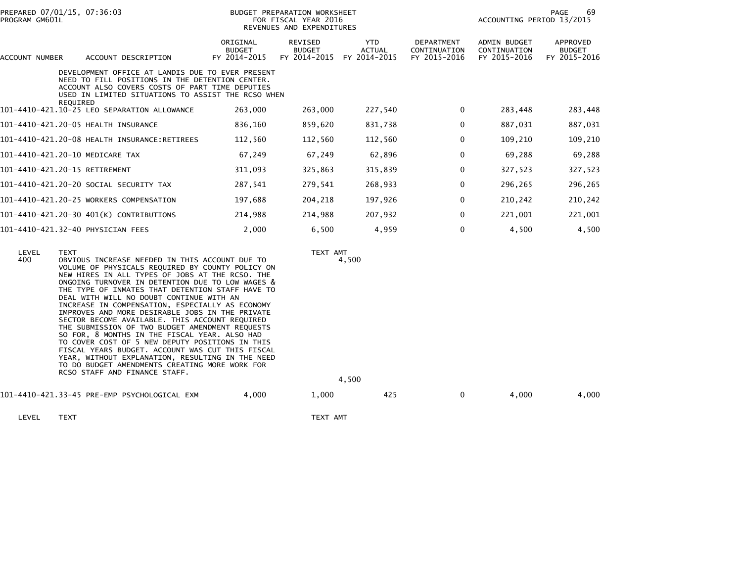| PREPARED 07/01/15, 07:36:03<br>PROGRAM GM601L |                                                                                                                                                                                                                                                                                                                                                                             | BUDGET PREPARATION WORKSHEET<br>FOR FISCAL YEAR 2016<br>REVENUES AND EXPENDITURES |                                          |                                             |                                                   | PAGE<br>69<br>ACCOUNTING PERIOD 13/2015             |                                           |  |
|-----------------------------------------------|-----------------------------------------------------------------------------------------------------------------------------------------------------------------------------------------------------------------------------------------------------------------------------------------------------------------------------------------------------------------------------|-----------------------------------------------------------------------------------|------------------------------------------|---------------------------------------------|---------------------------------------------------|-----------------------------------------------------|-------------------------------------------|--|
| ACCOUNT NUMBER                                | ACCOUNT DESCRIPTION                                                                                                                                                                                                                                                                                                                                                         | ORIGINAL<br><b>BUDGET</b><br>FY 2014-2015                                         | REVISED<br><b>BUDGET</b><br>FY 2014-2015 | <b>YTD</b><br><b>ACTUAL</b><br>FY 2014-2015 | <b>DEPARTMENT</b><br>CONTINUATION<br>FY 2015-2016 | <b>ADMIN BUDGET</b><br>CONTINUATION<br>FY 2015-2016 | APPROVED<br><b>BUDGET</b><br>FY 2015-2016 |  |
|                                               | DEVELOPMENT OFFICE AT LANDIS DUE TO EVER PRESENT<br>NEED TO FILL POSITIONS IN THE DETENTION CENTER.<br>ACCOUNT ALSO COVERS COSTS OF PART TIME DEPUTIES<br>USED IN LIMITED SITUATIONS TO ASSIST THE RCSO WHEN                                                                                                                                                                |                                                                                   |                                          |                                             |                                                   |                                                     |                                           |  |
|                                               | REQUIRED<br>101-4410-421.10-25 LEO SEPARATION ALLOWANCE                                                                                                                                                                                                                                                                                                                     | 263,000                                                                           | 263,000                                  | 227,540                                     | $\mathbf{0}$                                      | 283,448                                             | 283,448                                   |  |
|                                               | 101-4410-421.20-05 HEALTH INSURANCE                                                                                                                                                                                                                                                                                                                                         | 836,160                                                                           | 859,620                                  | 831,738                                     | 0                                                 | 887,031                                             | 887,031                                   |  |
|                                               | 101-4410-421.20-08 HEALTH INSURANCE:RETIREES                                                                                                                                                                                                                                                                                                                                | 112,560                                                                           | 112,560                                  | 112,560                                     | 0                                                 | 109,210                                             | 109,210                                   |  |
| 101-4410-421.20-10 MEDICARE TAX               |                                                                                                                                                                                                                                                                                                                                                                             | 67,249                                                                            | 67,249                                   | 62,896                                      | $\Omega$                                          | 69,288                                              | 69,288                                    |  |
| 101-4410-421.20-15 RETIREMENT                 |                                                                                                                                                                                                                                                                                                                                                                             | 311,093                                                                           | 325,863                                  | 315,839                                     | 0                                                 | 327,523                                             | 327,523                                   |  |
|                                               | 101-4410-421.20-20 SOCIAL SECURITY TAX                                                                                                                                                                                                                                                                                                                                      | 287,541                                                                           | 279,541                                  | 268,933                                     | 0                                                 | 296,265                                             | 296,265                                   |  |
|                                               | 101-4410-421.20-25 WORKERS COMPENSATION                                                                                                                                                                                                                                                                                                                                     | 197,688                                                                           | 204,218                                  | 197,926                                     | $\mathbf{0}$                                      | 210,242                                             | 210,242                                   |  |
|                                               | 101-4410-421.20-30 401(K) CONTRIBUTIONS                                                                                                                                                                                                                                                                                                                                     | 214,988                                                                           | 214,988                                  | 207,932                                     | $\Omega$                                          | 221,001                                             | 221,001                                   |  |
| 101-4410-421.32-40 PHYSICIAN FEES             |                                                                                                                                                                                                                                                                                                                                                                             | 2,000                                                                             | 6,500                                    | 4,959                                       | 0                                                 | 4,500                                               | 4,500                                     |  |
| LEVEL<br>400                                  | <b>TEXT</b><br>OBVIOUS INCREASE NEEDED IN THIS ACCOUNT DUE TO<br>VOLUME OF PHYSICALS REQUIRED BY COUNTY POLICY ON<br>NEW HIRES IN ALL TYPES OF JOBS AT THE RCSO. THE<br>ONGOING TURNOVER IN DETENTION DUE TO LOW WAGES &<br>THE TYPE OF INMATES THAT DETENTION STAFF HAVE TO<br>DEAL WITH WILL NO DOUBT CONTINUE WITH AN<br>INCREASE IN COMPENSATION, ESPECIALLY AS ECONOMY |                                                                                   |                                          | TEXT AMT<br>4,500                           |                                                   |                                                     |                                           |  |

 IMPROVES AND MORE DESIRABLE JOBS IN THE PRIVATESECTOR BECOME AVAILABLE. THIS ACCOUNT REQUIRED THE SUBMISSION OF TWO BUDGET AMENDMENT REQUESTS

SO FOR, 8 MONTHS IN THE FISCAL YEAR. ALSO HAD<br>TO COVER COST OF 5 NEW DEPUTY POSITIONS IN THIS<br>FISCAL YEARS BUDGET. ACCOUNT WAS CUT THIS FISCAL<br>YEAR, WITHOUT EXPLANATION, RESULTING IN THE NEED<br>TO DO BUDGET AMENDMENTS CREATI

101-4410-421.33-45 PRE-EMP PSYCHOLOGICAL EXM 4,000 1,000 425 0 4,000 4,000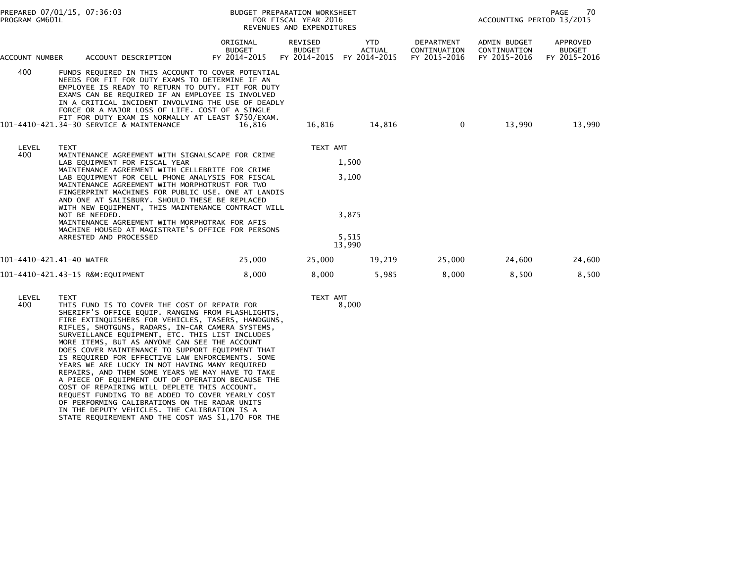| PREPARED 07/01/15, 07:36:03<br>PROGRAM GM601L |                                                                                                                                                                                                                                                                                                                                                                                                                                                                                                                                                                            | BUDGET PREPARATION WORKSHEET<br>FOR FISCAL YEAR 2016<br>REVENUES AND EXPENDITURES |                                          |                                             |                                                   | PAGE<br>70<br>ACCOUNTING PERIOD 13/2015      |                                           |  |
|-----------------------------------------------|----------------------------------------------------------------------------------------------------------------------------------------------------------------------------------------------------------------------------------------------------------------------------------------------------------------------------------------------------------------------------------------------------------------------------------------------------------------------------------------------------------------------------------------------------------------------------|-----------------------------------------------------------------------------------|------------------------------------------|---------------------------------------------|---------------------------------------------------|----------------------------------------------|-------------------------------------------|--|
| ACCOUNT NUMBER                                | ACCOUNT DESCRIPTION                                                                                                                                                                                                                                                                                                                                                                                                                                                                                                                                                        | ORIGINAL<br><b>BUDGET</b><br>FY 2014-2015                                         | REVISED<br><b>BUDGET</b><br>FY 2014-2015 | <b>YTD</b><br><b>ACTUAL</b><br>FY 2014-2015 | <b>DEPARTMENT</b><br>CONTINUATION<br>FY 2015-2016 | ADMIN BUDGET<br>CONTINUATION<br>FY 2015-2016 | APPROVED<br><b>BUDGET</b><br>FY 2015-2016 |  |
| 400                                           | FUNDS REQUIRED IN THIS ACCOUNT TO COVER POTENTIAL<br>NEEDS FOR FIT FOR DUTY EXAMS TO DETERMINE IF AN<br>EMPLOYEE IS READY TO RETURN TO DUTY. FIT FOR DUTY<br>EXAMS CAN BE REQUIRED IF AN EMPLOYEE IS INVOLVED<br>IN A CRITICAL INCIDENT INVOLVING THE USE OF DEADLY<br>FORCE OR A MAJOR LOSS OF LIFE. COST OF A SINGLE<br>FIT FOR DUTY EXAM IS NORMALLY AT LEAST \$750/EXAM.<br>101-4410-421.34-30 SERVICE & MAINTENANCE                                                                                                                                                   | 16.816                                                                            | 16.816                                   | 14,816                                      | $\mathbf{0}$                                      | 13,990                                       | 13,990                                    |  |
| LEVEL<br>400                                  | <b>TEXT</b><br>MAINTENANCE AGREEMENT WITH SIGNALSCAPE FOR CRIME<br>LAB EQUIPMENT FOR FISCAL YEAR<br>MAINTENANCE AGREEMENT WITH CELLEBRITE FOR CRIME<br>LAB EQUIPMENT FOR CELL PHONE ANALYSIS FOR FISCAL<br>MAINTENANCE AGREEMENT WITH MORPHOTRUST FOR TWO<br>FINGERPRINT MACHINES FOR PUBLIC USE, ONE AT LANDIS<br>AND ONE AT SALISBURY. SHOULD THESE BE REPLACED<br>WITH NEW EQUIPMENT, THIS MAINTENANCE CONTRACT WILL<br>NOT BE NEEDED.<br>MAINTENANCE AGREEMENT WITH MORPHOTRAK FOR AFIS<br>MACHINE HOUSED AT MAGISTRATE'S OFFICE FOR PERSONS<br>ARRESTED AND PROCESSED |                                                                                   | TEXT AMT                                 | 1,500<br>3,100<br>3.875<br>5,515<br>13,990  |                                                   |                                              |                                           |  |
| 101-4410-421.41-40 WATER                      |                                                                                                                                                                                                                                                                                                                                                                                                                                                                                                                                                                            | 25,000                                                                            | 25,000                                   | 19,219                                      | 25,000                                            | 24,600                                       | 24,600                                    |  |
|                                               | 101-4410-421.43-15 R&M:EQUIPMENT                                                                                                                                                                                                                                                                                                                                                                                                                                                                                                                                           | 8,000                                                                             | 8,000                                    | 5,985                                       | 8,000                                             | 8,500                                        | 8,500                                     |  |

8,000

400 THIS FUND IS TO COVER THE COST OF REPAIR FOR SHERIFF'S OFFICE EQUIP. RANGING FROM FLASHLIGHTS, FIRE EXTINQUISHERS FOR VEHICLES, TASERS, HANDGUNS, RIFLES, SHOTGUNS, RADARS, IN-CAR CAMERA SYSTEMS, SURVEILLANCE EQUIPMENT, ETC. THIS LIST INCLUDES MORE ITEMS, BUT AS ANYONE CAN SEE THE ACCOUNT DOES COVER MAINTENANCE TO SUPPORT EQUIPMENT THAT IS REQUIRED FOR EFFECTIVE LAW ENFORCEMENTS. SOME YEARS WE ARE LUCKY IN NOT HAVING MANY REQUIRED REPAIRS, AND THEM SOME YEARS WE MAY HAVE TO TAKE A PIECE OF EQUIPMENT OUT OF OPERATION BECAUSE THE COST OF REPAIRING WILL DEPLETE THIS ACCOUNT. REQUEST FUNDING TO BE ADDED TO COVER YEARLY COST OF PERFORMING CALIBRATIONS ON THE RADAR UNITS IN THE DEPUTY VEHICLES. THE CALIBRATION IS ASTATE REQUIREMENT AND THE COST WAS \$1,170 FOR THE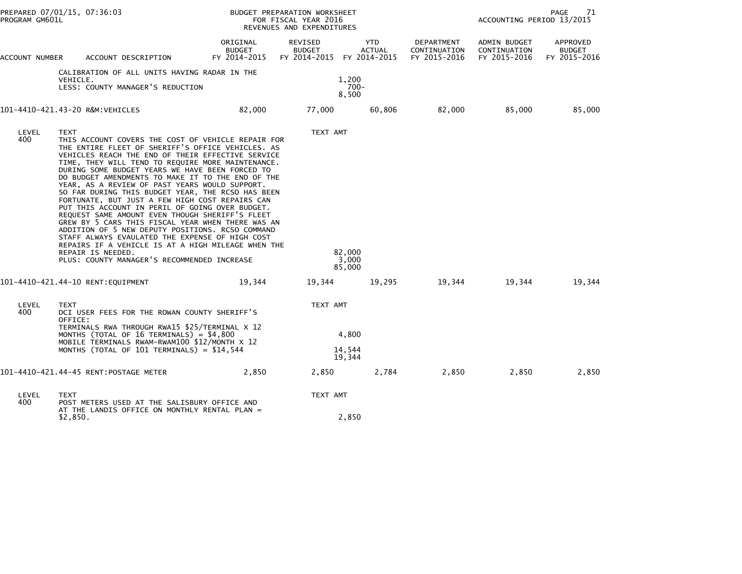| PROGRAM GM601L                                                                               | PREPARED 07/01/15, 07:36:03           |                                                                                                                                                                                                                                                                                                                                                                                                                  | BUDGET PREPARATION WORKSHEET<br>FOR FISCAL YEAR 2016<br>REVENUES AND EXPENDITURES                                                                                                                                                                                                                                                                                                                                                      |                          |                                                   | PAGE<br>71<br>ACCOUNTING PERIOD 13/2015    |                                              |                                           |
|----------------------------------------------------------------------------------------------|---------------------------------------|------------------------------------------------------------------------------------------------------------------------------------------------------------------------------------------------------------------------------------------------------------------------------------------------------------------------------------------------------------------------------------------------------------------|----------------------------------------------------------------------------------------------------------------------------------------------------------------------------------------------------------------------------------------------------------------------------------------------------------------------------------------------------------------------------------------------------------------------------------------|--------------------------|---------------------------------------------------|--------------------------------------------|----------------------------------------------|-------------------------------------------|
| ACCOUNT NUMBER                                                                               |                                       | ACCOUNT DESCRIPTION                                                                                                                                                                                                                                                                                                                                                                                              | ORIGINAL<br><b>BUDGET</b><br>FY 2014-2015                                                                                                                                                                                                                                                                                                                                                                                              | REVISED<br><b>BUDGET</b> | <b>YTD</b><br>ACTUAL<br>FY 2014-2015 FY 2014-2015 | DEPARTMENT<br>CONTINUATION<br>FY 2015-2016 | ADMIN BUDGET<br>CONTINUATION<br>FY 2015-2016 | APPROVED<br><b>BUDGET</b><br>FY 2015-2016 |
| CALIBRATION OF ALL UNITS HAVING RADAR IN THE<br>VEHICLE.<br>LESS: COUNTY MANAGER'S REDUCTION |                                       |                                                                                                                                                                                                                                                                                                                                                                                                                  | 1,200<br>$700 -$<br>8,500                                                                                                                                                                                                                                                                                                                                                                                                              |                          |                                                   |                                            |                                              |                                           |
|                                                                                              | 101-4410-421.43-20 R&M:VEHICLES       |                                                                                                                                                                                                                                                                                                                                                                                                                  | 82,000                                                                                                                                                                                                                                                                                                                                                                                                                                 | 77,000                   | 60,806                                            | 82,000                                     | 85,000                                       | 85,000                                    |
| LEVEL<br>400                                                                                 | <b>TEXT</b><br>REPAIR IS NEEDED.      | DURING SOME BUDGET YEARS WE HAVE BEEN FORCED TO<br>YEAR, AS A REVIEW OF PAST YEARS WOULD SUPPORT.<br>FORTUNATE, BUT JUST A FEW HIGH COST REPAIRS CAN<br>PUT THIS ACCOUNT IN PERIL OF GOING OVER BUDGET.<br>REQUEST SAME AMOUNT EVEN THOUGH SHERIFF'S FLEET<br>ADDITION OF 5 NEW DEPUTY POSITIONS. RCSO COMMAND<br>STAFF ALWAYS EVAULATED THE EXPENSE OF HIGH COST<br>PLUS: COUNTY MANAGER'S RECOMMENDED INCREASE | THIS ACCOUNT COVERS THE COST OF VEHICLE REPAIR FOR<br>THE ENTIRE FLEET OF SHERIFF'S OFFICE VEHICLES. AS<br>VEHICLES REACH THE END OF THEIR EFFECTIVE SERVICE<br>TIME, THEY WILL TEND TO REQUIRE MORE MAINTENANCE.<br>DO BUDGET AMENDMENTS TO MAKE IT TO THE END OF THE<br>SO FAR DURING THIS BUDGET YEAR, THE RCSO HAS BEEN<br>GREW BY 5 CARS THIS FISCAL YEAR WHEN THERE WAS AN<br>REPAIRS IF A VEHICLE IS AT A HIGH MILEAGE WHEN THE | TEXT AMT                 | 82,000<br>3,000<br>85,000                         |                                            |                                              |                                           |
|                                                                                              | 101-4410-421.44-10 RENT: EQUIPMENT    |                                                                                                                                                                                                                                                                                                                                                                                                                  | 19,344                                                                                                                                                                                                                                                                                                                                                                                                                                 | 19,344                   | 19,295                                            | 19,344                                     | 19,344                                       | 19,344                                    |
| LEVEL<br>400                                                                                 | TEXT<br>OFFICE:                       | DCI USER FEES FOR THE ROWAN COUNTY SHERIFF'S<br>TERMINALS RWA THROUGH RWA15 \$25/TERMINAL X 12                                                                                                                                                                                                                                                                                                                   |                                                                                                                                                                                                                                                                                                                                                                                                                                        |                          | TEXT AMT                                          |                                            |                                              |                                           |
|                                                                                              |                                       | MONTHS (TOTAL OF 16 TERMINALS) = \$4,800<br>MOBILE TERMINALS RWAM-RWAM100 \$12/MONTH X 12                                                                                                                                                                                                                                                                                                                        |                                                                                                                                                                                                                                                                                                                                                                                                                                        | 4,800                    |                                                   |                                            |                                              |                                           |
|                                                                                              |                                       | MONTHS (TOTAL OF $101$ TERMINALS) = \$14,544                                                                                                                                                                                                                                                                                                                                                                     |                                                                                                                                                                                                                                                                                                                                                                                                                                        |                          | 14,544<br>19,344                                  |                                            |                                              |                                           |
|                                                                                              | 101-4410-421.44-45 RENT:POSTAGE METER |                                                                                                                                                                                                                                                                                                                                                                                                                  | 2,850                                                                                                                                                                                                                                                                                                                                                                                                                                  | 2,850                    | 2,784                                             | 2,850                                      | 2,850                                        | 2,850                                     |
| LEVEL<br>400                                                                                 | <b>TEXT</b>                           | POST METERS USED AT THE SALISBURY OFFICE AND<br>AT THE LANDIS OFFICE ON MONTHLY RENTAL PLAN =                                                                                                                                                                                                                                                                                                                    |                                                                                                                                                                                                                                                                                                                                                                                                                                        |                          | TEXT AMT                                          |                                            |                                              |                                           |
|                                                                                              | \$2,850.                              |                                                                                                                                                                                                                                                                                                                                                                                                                  |                                                                                                                                                                                                                                                                                                                                                                                                                                        |                          | 2,850                                             |                                            |                                              |                                           |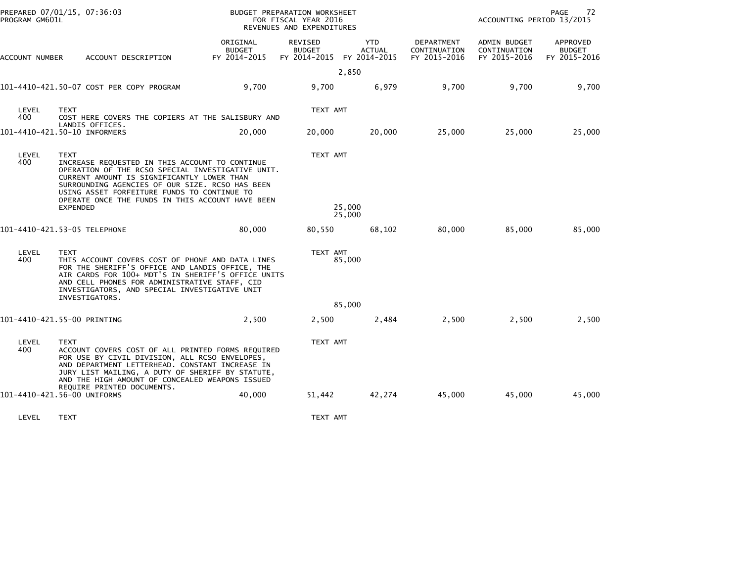| ORIGINAL<br>REVISED<br><b>YTD</b><br>DEPARTMENT<br>ADMIN BUDGET<br>APPROVED<br><b>BUDGET</b><br><b>BUDGET</b><br><b>ACTUAL</b><br>CONTINUATION<br>CONTINUATION<br><b>BUDGET</b><br>FY 2014-2015<br>FY 2014-2015 FY 2014-2015<br>FY 2015-2016<br>FY 2015-2016<br>ACCOUNT DESCRIPTION<br>FY 2015-2016<br>ACCOUNT NUMBER<br>2,850<br>9,700<br>101-4410-421.50-07 COST PER COPY PROGRAM<br>9,700<br>9,700<br>6,979<br>9,700<br>9,700<br>LEVEL<br>TEXT AMT<br><b>TEXT</b><br>400<br>COST HERE COVERS THE COPIERS AT THE SALISBURY AND<br>LANDIS OFFICES.<br>101-4410-421.50-10 INFORMERS<br>20,000<br>25,000<br>25,000<br>25,000<br>20,000<br>20,000<br>LEVEL<br>TEXT AMT<br><b>TEXT</b><br>400<br>INCREASE REQUESTED IN THIS ACCOUNT TO CONTINUE<br>OPERATION OF THE RCSO SPECIAL INVESTIGATIVE UNIT.<br>CURRENT AMOUNT IS SIGNIFICANTLY LOWER THAN<br>SURROUNDING AGENCIES OF OUR SIZE. RCSO HAS BEEN<br>USING ASSET FORFEITURE FUNDS TO CONTINUE TO<br>OPERATE ONCE THE FUNDS IN THIS ACCOUNT HAVE BEEN<br>25,000<br><b>EXPENDED</b><br>25,000<br>101-4410-421.53-05 TELEPHONE<br>80,000<br>80,000<br>85,000<br>85,000<br>80,550<br>68,102<br>LEVEL<br><b>TEXT</b><br>TEXT AMT<br>400<br>85,000<br>THIS ACCOUNT COVERS COST OF PHONE AND DATA LINES<br>FOR THE SHERIFF'S OFFICE AND LANDIS OFFICE, THE<br>AIR CARDS FOR 100+ MDT'S IN SHERIFF'S OFFICE UNITS<br>AND CELL PHONES FOR ADMINISTRATIVE STAFF, CID<br>INVESTIGATORS, AND SPECIAL INVESTIGATIVE UNIT<br>INVESTIGATORS.<br>85,000<br>2,500<br>2,500<br>101-4410-421.55-00 PRINTING<br>2,500<br>2,500<br>2,484<br>2,500<br>LEVEL<br><b>TEXT</b><br>TEXT AMT<br>400<br>ACCOUNT COVERS COST OF ALL PRINTED FORMS REQUIRED<br>FOR USE BY CIVIL DIVISION, ALL RCSO ENVELOPES,<br>AND DEPARTMENT LETTERHEAD. CONSTANT INCREASE IN<br>JURY LIST MAILING, A DUTY OF SHERIFF BY STATUTE,<br>AND THE HIGH AMOUNT OF CONCEALED WEAPONS ISSUED<br>REQUIRE PRINTED DOCUMENTS.<br>101-4410-421.56-00 UNIFORMS<br>40,000<br>51,442<br>42,274<br>45,000<br>45,000<br>45,000 | PREPARED 07/01/15, 07:36:03<br>PROGRAM GM601L |  | BUDGET PREPARATION WORKSHEET<br>FOR FISCAL YEAR 2016<br>REVENUES AND EXPENDITURES |  |  |  | PAGE<br>72<br>ACCOUNTING PERIOD 13/2015 |  |
|--------------------------------------------------------------------------------------------------------------------------------------------------------------------------------------------------------------------------------------------------------------------------------------------------------------------------------------------------------------------------------------------------------------------------------------------------------------------------------------------------------------------------------------------------------------------------------------------------------------------------------------------------------------------------------------------------------------------------------------------------------------------------------------------------------------------------------------------------------------------------------------------------------------------------------------------------------------------------------------------------------------------------------------------------------------------------------------------------------------------------------------------------------------------------------------------------------------------------------------------------------------------------------------------------------------------------------------------------------------------------------------------------------------------------------------------------------------------------------------------------------------------------------------------------------------------------------------------------------------------------------------------------------------------------------------------------------------------------------------------------------------------------------------------------------------------------------------------------------------------------------------------------------------------------------------------------------------------------------------------------------------------|-----------------------------------------------|--|-----------------------------------------------------------------------------------|--|--|--|-----------------------------------------|--|
|                                                                                                                                                                                                                                                                                                                                                                                                                                                                                                                                                                                                                                                                                                                                                                                                                                                                                                                                                                                                                                                                                                                                                                                                                                                                                                                                                                                                                                                                                                                                                                                                                                                                                                                                                                                                                                                                                                                                                                                                                    |                                               |  |                                                                                   |  |  |  |                                         |  |
|                                                                                                                                                                                                                                                                                                                                                                                                                                                                                                                                                                                                                                                                                                                                                                                                                                                                                                                                                                                                                                                                                                                                                                                                                                                                                                                                                                                                                                                                                                                                                                                                                                                                                                                                                                                                                                                                                                                                                                                                                    |                                               |  |                                                                                   |  |  |  |                                         |  |
|                                                                                                                                                                                                                                                                                                                                                                                                                                                                                                                                                                                                                                                                                                                                                                                                                                                                                                                                                                                                                                                                                                                                                                                                                                                                                                                                                                                                                                                                                                                                                                                                                                                                                                                                                                                                                                                                                                                                                                                                                    |                                               |  |                                                                                   |  |  |  |                                         |  |
|                                                                                                                                                                                                                                                                                                                                                                                                                                                                                                                                                                                                                                                                                                                                                                                                                                                                                                                                                                                                                                                                                                                                                                                                                                                                                                                                                                                                                                                                                                                                                                                                                                                                                                                                                                                                                                                                                                                                                                                                                    |                                               |  |                                                                                   |  |  |  |                                         |  |
|                                                                                                                                                                                                                                                                                                                                                                                                                                                                                                                                                                                                                                                                                                                                                                                                                                                                                                                                                                                                                                                                                                                                                                                                                                                                                                                                                                                                                                                                                                                                                                                                                                                                                                                                                                                                                                                                                                                                                                                                                    |                                               |  |                                                                                   |  |  |  |                                         |  |
|                                                                                                                                                                                                                                                                                                                                                                                                                                                                                                                                                                                                                                                                                                                                                                                                                                                                                                                                                                                                                                                                                                                                                                                                                                                                                                                                                                                                                                                                                                                                                                                                                                                                                                                                                                                                                                                                                                                                                                                                                    |                                               |  |                                                                                   |  |  |  |                                         |  |
|                                                                                                                                                                                                                                                                                                                                                                                                                                                                                                                                                                                                                                                                                                                                                                                                                                                                                                                                                                                                                                                                                                                                                                                                                                                                                                                                                                                                                                                                                                                                                                                                                                                                                                                                                                                                                                                                                                                                                                                                                    |                                               |  |                                                                                   |  |  |  |                                         |  |
|                                                                                                                                                                                                                                                                                                                                                                                                                                                                                                                                                                                                                                                                                                                                                                                                                                                                                                                                                                                                                                                                                                                                                                                                                                                                                                                                                                                                                                                                                                                                                                                                                                                                                                                                                                                                                                                                                                                                                                                                                    |                                               |  |                                                                                   |  |  |  |                                         |  |
|                                                                                                                                                                                                                                                                                                                                                                                                                                                                                                                                                                                                                                                                                                                                                                                                                                                                                                                                                                                                                                                                                                                                                                                                                                                                                                                                                                                                                                                                                                                                                                                                                                                                                                                                                                                                                                                                                                                                                                                                                    |                                               |  |                                                                                   |  |  |  |                                         |  |
|                                                                                                                                                                                                                                                                                                                                                                                                                                                                                                                                                                                                                                                                                                                                                                                                                                                                                                                                                                                                                                                                                                                                                                                                                                                                                                                                                                                                                                                                                                                                                                                                                                                                                                                                                                                                                                                                                                                                                                                                                    |                                               |  |                                                                                   |  |  |  |                                         |  |
|                                                                                                                                                                                                                                                                                                                                                                                                                                                                                                                                                                                                                                                                                                                                                                                                                                                                                                                                                                                                                                                                                                                                                                                                                                                                                                                                                                                                                                                                                                                                                                                                                                                                                                                                                                                                                                                                                                                                                                                                                    |                                               |  |                                                                                   |  |  |  |                                         |  |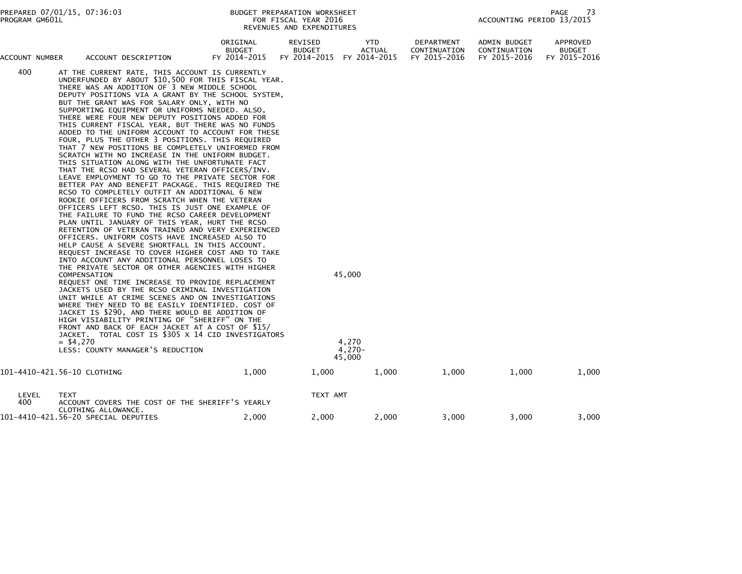| PROGRAM GM601L | PREPARED 07/01/15, 07:36:03                                                                                                                                                                                                                                                                                                                                                                                                                                                                                                                                                                                                                                                                                                                                                                                                                                                                                                                                                                                                                                                                                                                                                                                                                                                                                                                                                                                                                                                                                                                                                                                                                                                                                                                                                                                                                                                                                                  | BUDGET PREPARATION WORKSHEET<br>REVENUES AND EXPENDITURES | FOR FISCAL YEAR 2016                     |                                       |                                            | ACCOUNTING PERIOD 13/2015                    | 73<br>PAGE                                |
|----------------|------------------------------------------------------------------------------------------------------------------------------------------------------------------------------------------------------------------------------------------------------------------------------------------------------------------------------------------------------------------------------------------------------------------------------------------------------------------------------------------------------------------------------------------------------------------------------------------------------------------------------------------------------------------------------------------------------------------------------------------------------------------------------------------------------------------------------------------------------------------------------------------------------------------------------------------------------------------------------------------------------------------------------------------------------------------------------------------------------------------------------------------------------------------------------------------------------------------------------------------------------------------------------------------------------------------------------------------------------------------------------------------------------------------------------------------------------------------------------------------------------------------------------------------------------------------------------------------------------------------------------------------------------------------------------------------------------------------------------------------------------------------------------------------------------------------------------------------------------------------------------------------------------------------------------|-----------------------------------------------------------|------------------------------------------|---------------------------------------|--------------------------------------------|----------------------------------------------|-------------------------------------------|
| ACCOUNT NUMBER | ACCOUNT DESCRIPTION                                                                                                                                                                                                                                                                                                                                                                                                                                                                                                                                                                                                                                                                                                                                                                                                                                                                                                                                                                                                                                                                                                                                                                                                                                                                                                                                                                                                                                                                                                                                                                                                                                                                                                                                                                                                                                                                                                          | ORIGINAL<br><b>BUDGET</b><br>FY 2014-2015                 | REVISED<br><b>BUDGET</b><br>FY 2014-2015 | YTD.<br>ACTUAL<br>FY 2014-2015        | DEPARTMENT<br>CONTINUATION<br>FY 2015-2016 | ADMIN BUDGET<br>CONTINUATION<br>FY 2015-2016 | APPROVED<br><b>BUDGET</b><br>FY 2015-2016 |
| 400            | AT THE CURRENT RATE, THIS ACCOUNT IS CURRENTLY<br>UNDERFUNDED BY ABOUT \$10,500 FOR THIS FISCAL YEAR.<br>THERE WAS AN ADDITION OF 3 NEW MIDDLE SCHOOL<br>DEPUTY POSITIONS VIA A GRANT BY THE SCHOOL SYSTEM,<br>BUT THE GRANT WAS FOR SALARY ONLY, WITH NO<br>SUPPORTING EQUIPMENT OR UNIFORMS NEEDED. ALSO,<br>THERE WERE FOUR NEW DEPUTY POSITIONS ADDED FOR<br>THIS CURRENT FISCAL YEAR, BUT THERE WAS NO FUNDS<br>ADDED TO THE UNIFORM ACCOUNT TO ACCOUNT FOR THESE<br>FOUR, PLUS THE OTHER 3 POSITIONS. THIS REQUIRED<br>THAT 7 NEW POSITIONS BE COMPLETELY UNIFORMED FROM<br>SCRATCH WITH NO INCREASE IN THE UNIFORM BUDGET.<br>THIS SITUATION ALONG WITH THE UNFORTUNATE FACT<br>THAT THE RCSO HAD SEVERAL VETERAN OFFICERS/INV.<br>LEAVE EMPLOYMENT TO GO TO THE PRIVATE SECTOR FOR<br>BETTER PAY AND BENEFIT PACKAGE. THIS REQUIRED THE<br>RCSO TO COMPLETELY OUTFIT AN ADDITIONAL 6 NEW<br>ROOKIE OFFICERS FROM SCRATCH WHEN THE VETERAN<br>OFFICERS LEFT RCSO. THIS IS JUST ONE EXAMPLE OF<br>THE FAILURE TO FUND THE RCSO CAREER DEVELOPMENT<br>PLAN UNTIL JANUARY OF THIS YEAR, HURT THE RCSO<br>RETENTION OF VETERAN TRAINED AND VERY EXPERIENCED<br>OFFICERS. UNIFORM COSTS HAVE INCREASED ALSO TO<br>HELP CAUSE A SEVERE SHORTFALL IN THIS ACCOUNT.<br>REQUEST INCREASE TO COVER HIGHER COST AND TO TAKE<br>INTO ACCOUNT ANY ADDITIONAL PERSONNEL LOSES TO<br>THE PRIVATE SECTOR OR OTHER AGENCIES WITH HIGHER<br>COMPENSATION<br>REQUEST ONE TIME INCREASE TO PROVIDE REPLACEMENT<br>JACKETS USED BY THE RCSO CRIMINAL INVESTIGATION<br>UNIT WHILE AT CRIME SCENES AND ON INVESTIGATIONS<br>WHERE THEY NEED TO BE EASILY IDENTIFIED. COST OF<br>JACKET IS \$290, AND THERE WOULD BE ADDITION OF<br>HIGH VISIABILITY PRINTING OF "SHERIFF" ON THE<br>FRONT AND BACK OF EACH JACKET AT A COST OF \$15/<br>JACKET. TOTAL COST IS \$305 X 14 CID INVESTIGATORS<br>$= $4,270$<br>LESS: COUNTY MANAGER'S REDUCTION |                                                           |                                          | 45,000<br>4,270<br>$4,270-$<br>45,000 |                                            |                                              |                                           |
|                | 101-4410-421.56-10 CLOTHING                                                                                                                                                                                                                                                                                                                                                                                                                                                                                                                                                                                                                                                                                                                                                                                                                                                                                                                                                                                                                                                                                                                                                                                                                                                                                                                                                                                                                                                                                                                                                                                                                                                                                                                                                                                                                                                                                                  | 1,000                                                     | 1,000                                    | 1,000                                 | 1,000                                      | 1,000                                        | 1,000                                     |
| LEVEL<br>400   | TEXT<br>ACCOUNT COVERS THE COST OF THE SHERIFF'S YEARLY<br>CLOTHING ALLOWANCE.                                                                                                                                                                                                                                                                                                                                                                                                                                                                                                                                                                                                                                                                                                                                                                                                                                                                                                                                                                                                                                                                                                                                                                                                                                                                                                                                                                                                                                                                                                                                                                                                                                                                                                                                                                                                                                               |                                                           | TEXT AMT                                 |                                       |                                            |                                              |                                           |
|                | 101-4410-421.56-20 SPECIAL DEPUTIES                                                                                                                                                                                                                                                                                                                                                                                                                                                                                                                                                                                                                                                                                                                                                                                                                                                                                                                                                                                                                                                                                                                                                                                                                                                                                                                                                                                                                                                                                                                                                                                                                                                                                                                                                                                                                                                                                          | 2,000                                                     | 2,000                                    | 2,000                                 | 3,000                                      | 3,000                                        | 3,000                                     |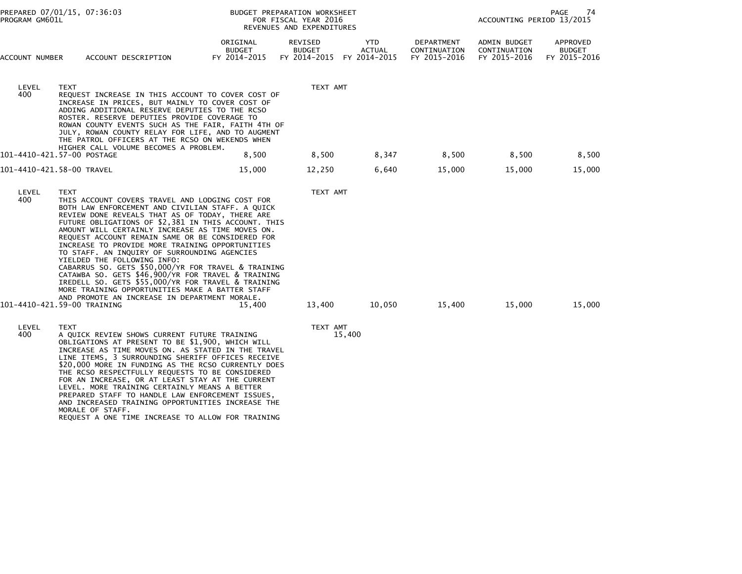| PROGRAM GM601L | PREPARED 07/01/15, 07:36:03                                                                                                                                                                                                                                                                                                                                                                                                                                                                                                                                                                                                                                                                                                                                                  |                                           | BUDGET PREPARATION WORKSHEET<br>FOR FISCAL YEAR 2016<br>REVENUES AND EXPENDITURES |                                      |                                            | ACCOUNTING PERIOD 13/2015                    | PAGE<br>74                                |
|----------------|------------------------------------------------------------------------------------------------------------------------------------------------------------------------------------------------------------------------------------------------------------------------------------------------------------------------------------------------------------------------------------------------------------------------------------------------------------------------------------------------------------------------------------------------------------------------------------------------------------------------------------------------------------------------------------------------------------------------------------------------------------------------------|-------------------------------------------|-----------------------------------------------------------------------------------|--------------------------------------|--------------------------------------------|----------------------------------------------|-------------------------------------------|
| ACCOUNT NUMBER | ACCOUNT DESCRIPTION                                                                                                                                                                                                                                                                                                                                                                                                                                                                                                                                                                                                                                                                                                                                                          | ORIGINAL<br><b>BUDGET</b><br>FY 2014-2015 | REVISED<br><b>BUDGET</b><br>FY 2014-2015                                          | YTD<br><b>ACTUAL</b><br>FY 2014-2015 | DEPARTMENT<br>CONTINUATION<br>FY 2015-2016 | ADMIN BUDGET<br>CONTINUATION<br>FY 2015-2016 | APPROVED<br><b>BUDGET</b><br>FY 2015-2016 |
| LEVEL<br>400   | <b>TEXT</b><br>REQUEST INCREASE IN THIS ACCOUNT TO COVER COST OF<br>INCREASE IN PRICES, BUT MAINLY TO COVER COST OF<br>ADDING ADDITIONAL RESERVE DEPUTIES TO THE RCSO<br>ROSTER. RESERVE DEPUTIES PROVIDE COVERAGE TO<br>ROWAN COUNTY EVENTS SUCH AS THE FAIR, FAITH 4TH OF<br>JULY, ROWAN COUNTY RELAY FOR LIFE, AND TO AUGMENT<br>THE PATROL OFFICERS AT THE RCSO ON WEKENDS WHEN<br>HIGHER CALL VOLUME BECOMES A PROBLEM.                                                                                                                                                                                                                                                                                                                                                 |                                           | TEXT AMT                                                                          |                                      |                                            |                                              |                                           |
|                | 101-4410-421.57-00 POSTAGE                                                                                                                                                                                                                                                                                                                                                                                                                                                                                                                                                                                                                                                                                                                                                   | 8,500                                     | 8,500                                                                             | 8,347                                | 8,500                                      | 8,500                                        | 8,500                                     |
|                | 101-4410-421.58-00 TRAVEL                                                                                                                                                                                                                                                                                                                                                                                                                                                                                                                                                                                                                                                                                                                                                    | 15,000                                    | 12,250                                                                            | 6,640                                | 15,000                                     | 15,000                                       | 15,000                                    |
| LEVEL<br>400   | <b>TEXT</b><br>THIS ACCOUNT COVERS TRAVEL AND LODGING COST FOR<br>BOTH LAW ENFORCEMENT AND CIVILIAN STAFF. A QUICK<br>REVIEW DONE REVEALS THAT AS OF TODAY, THERE ARE<br>FUTURE OBLIGATIONS OF \$2,381 IN THIS ACCOUNT. THIS<br>AMOUNT WILL CERTAINLY INCREASE AS TIME MOVES ON.<br>REQUEST ACCOUNT REMAIN SAME OR BE CONSIDERED FOR<br>INCREASE TO PROVIDE MORE TRAINING OPPORTUNITIES<br>TO STAFF. AN INQUIRY OF SURROUNDING AGENCIES<br>YIELDED THE FOLLOWING INFO:<br>CABARRUS SO. GETS \$50,000/YR FOR TRAVEL & TRAINING<br>CATAWBA SO. GETS \$46,900/YR FOR TRAVEL & TRAINING<br>IREDELL SO. GETS \$55,000/YR FOR TRAVEL & TRAINING<br>MORE TRAINING OPPORTUNITIES MAKE A BATTER STAFF<br>AND PROMOTE AN INCREASE IN DEPARTMENT MORALE.<br>101-4410-421.59-00 TRAINING | 15,400                                    | TEXT AMT<br>13,400                                                                | 10,050                               | 15,400                                     | 15,000                                       | 15,000                                    |
| LEVEL<br>400   | <b>TEXT</b><br>A QUICK REVIEW SHOWS CURRENT FUTURE TRAINING<br>OBLIGATIONS AT PRESENT TO BE \$1,900, WHICH WILL<br>INCREASE AS TIME MOVES ON. AS STATED IN THE TRAVEL<br>LINE ITEMS, 3 SURROUNDING SHERIFF OFFICES RECEIVE<br>\$20,000 MORE IN FUNDING AS THE RCSO CURRENTLY DOES<br>THE RCSO RESPECTFULLY REQUESTS TO BE CONSIDERED                                                                                                                                                                                                                                                                                                                                                                                                                                         |                                           | TEXT AMT                                                                          | 15,400                               |                                            |                                              |                                           |

 FOR AN INCREASE, OR AT LEAST STAY AT THE CURRENT LEVEL. MORE TRAINING CERTAINLY MEANS A BETTER PREPARED STAFF TO HANDLE LAW ENFORCEMENT ISSUES,AND INCREASED TRAINING OPPORTUNITIES INCREASE THE

REQUEST A ONE TIME INCREASE TO ALLOW FOR TRAINING

MORALE OF STAFF.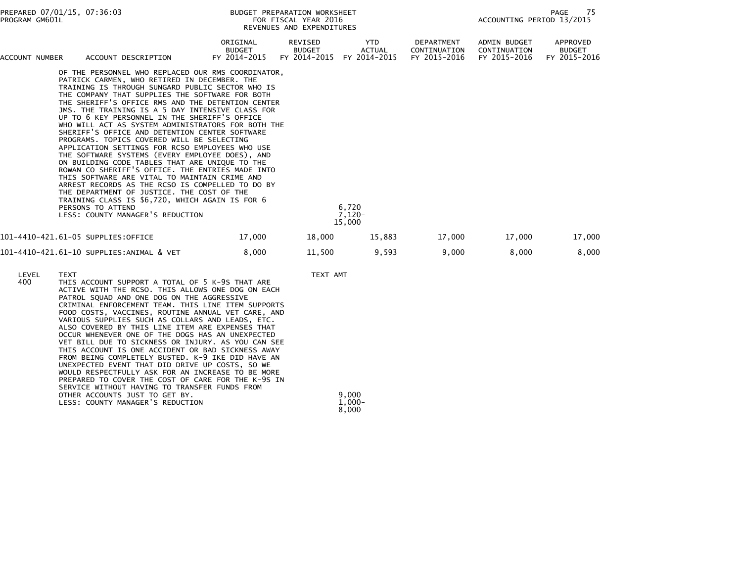| PROGRAM GM601L | PREPARED 07/01/15, 07:36:03                                                                                                                                                                                                                                                                                                                                                                                                                                                                                                                                                                                                                                                                                                                                                                                                                                                                                                                                                                          |                                           | <b>BUDGET PREPARATION WORKSHEET</b><br>FOR FISCAL YEAR 2016<br>REVENUES AND EXPENDITURES |                                      |                                            | 75<br>PAGE<br>ACCOUNTING PERIOD 13/2015      |                                           |  |
|----------------|------------------------------------------------------------------------------------------------------------------------------------------------------------------------------------------------------------------------------------------------------------------------------------------------------------------------------------------------------------------------------------------------------------------------------------------------------------------------------------------------------------------------------------------------------------------------------------------------------------------------------------------------------------------------------------------------------------------------------------------------------------------------------------------------------------------------------------------------------------------------------------------------------------------------------------------------------------------------------------------------------|-------------------------------------------|------------------------------------------------------------------------------------------|--------------------------------------|--------------------------------------------|----------------------------------------------|-------------------------------------------|--|
| ACCOUNT NUMBER | ACCOUNT DESCRIPTION                                                                                                                                                                                                                                                                                                                                                                                                                                                                                                                                                                                                                                                                                                                                                                                                                                                                                                                                                                                  | ORIGINAL<br><b>BUDGET</b><br>FY 2014-2015 | REVISED<br><b>BUDGET</b><br>FY 2014-2015                                                 | YTD<br><b>ACTUAL</b><br>FY 2014-2015 | DEPARTMENT<br>CONTINUATION<br>FY 2015-2016 | ADMIN BUDGET<br>CONTINUATION<br>FY 2015-2016 | APPROVED<br><b>BUDGET</b><br>FY 2015-2016 |  |
|                | OF THE PERSONNEL WHO REPLACED OUR RMS COORDINATOR,<br>PATRICK CARMEN, WHO RETIRED IN DECEMBER. THE<br>TRAINING IS THROUGH SUNGARD PUBLIC SECTOR WHO IS<br>THE COMPANY THAT SUPPLIES THE SOFTWARE FOR BOTH<br>THE SHERIFF'S OFFICE RMS AND THE DETENTION CENTER<br>JMS. THE TRAINING IS A 5 DAY INTENSIVE CLASS FOR<br>UP TO 6 KEY PERSONNEL IN THE SHERIFF'S OFFICE<br>WHO WILL ACT AS SYSTEM ADMINISTRATORS FOR BOTH THE<br>SHERIFF'S OFFICE AND DETENTION CENTER SOFTWARE<br>PROGRAMS. TOPICS COVERED WILL BE SELECTING<br>APPLICATION SETTINGS FOR RCSO EMPLOYEES WHO USE<br>THE SOFTWARE SYSTEMS (EVERY EMPLOYEE DOES), AND<br>ON BUILDING CODE TABLES THAT ARE UNIQUE TO THE<br>ROWAN CO SHERIFF'S OFFICE. THE ENTRIES MADE INTO<br>THIS SOFTWARE ARE VITAL TO MAINTAIN CRIME AND<br>ARREST RECORDS AS THE RCSO IS COMPELLED TO DO BY<br>THE DEPARTMENT OF JUSTICE. THE COST OF THE<br>TRAINING CLASS IS \$6,720, WHICH AGAIN IS FOR 6<br>PERSONS TO ATTEND<br>LESS: COUNTY MANAGER'S REDUCTION |                                           |                                                                                          | 6,720<br>$7,120-$<br>15,000          |                                            |                                              |                                           |  |
|                | 101-4410-421.61-05 SUPPLIES:OFFICE                                                                                                                                                                                                                                                                                                                                                                                                                                                                                                                                                                                                                                                                                                                                                                                                                                                                                                                                                                   | 17,000                                    | 18,000                                                                                   | 15,883                               | 17,000                                     | 17,000                                       | 17,000                                    |  |
|                | 101-4410-421.61-10 SUPPLIES:ANIMAL & VET                                                                                                                                                                                                                                                                                                                                                                                                                                                                                                                                                                                                                                                                                                                                                                                                                                                                                                                                                             | 8,000                                     | 11,500                                                                                   | 9,593                                | 9,000                                      | 8,000                                        | 8,000                                     |  |
| LEVEL<br>400   | <b>TEXT</b><br>THIS ACCOUNT SUPPORT A TOTAL OF 5 K-9S THAT ARE<br>ACTIVE WITH THE RCSO. THIS ALLOWS ONE DOG ON EACH<br>PATROL SQUAD AND ONE DOG ON THE AGGRESSIVE<br>CRIMINAL ENFORCEMENT TEAM. THIS LINE ITEM SUPPORTS<br>FOOD COSTS, VACCINES, ROUTINE ANNUAL VET CARE, AND                                                                                                                                                                                                                                                                                                                                                                                                                                                                                                                                                                                                                                                                                                                        |                                           | TEXT AMT                                                                                 |                                      |                                            |                                              |                                           |  |

 $1,000-$ 

 $8,000$ 

VARIOUS SUPPLIES SUCH AS COLLARS AND LEADS, ETC.

UNEXPECTED EVENT THAT DID DRIVE UP COSTS, SO WE

8,000

OTHER ACCOUNTS JUST TO GET BY. And the state of the state of the state of the state of the state of the state o

SERVICE WITHOUT HAVING TO TRANSFER FUNDS FROM

 ALSO COVERED BY THIS LINE ITEM ARE EXPENSES THAT OCCUR WHENEVER ONE OF THE DOGS HAS AN UNEXPECTED VET BILL DUE TO SICKNESS OR INJURY. AS YOU CAN SEE THIS ACCOUNT IS ONE ACCIDENT OR BAD SICKNESS AWAYFROM BEING COMPLETELY BUSTED. K-9 IKE DID HAVE AN

 WOULD RESPECTFULLY ASK FOR AN INCREASE TO BE MOREPREPARED TO COVER THE COST OF CARE FOR THE K-9S IN

LESS: COUNTY MANAGER'S REDUCTION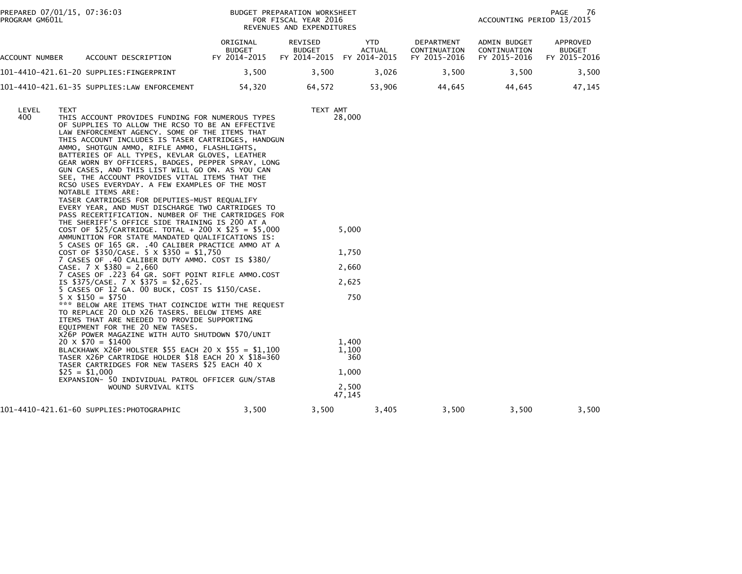PREPARED 07/01/15, 07:36:03<br>PROGRAM GM601L

## BUDGET PREPARATION WORKSHEET<br>FOR FISCAL YEAR 2016 REVENUES AND EXPENDITURES

76 PAGE 76<br>ACCOUNTING PERIOD 13/2015

| ACCOUNT<br>NUMBER | ACCOUNT DESCRIPTION                         | ORIGINAL<br><b>BUDGET</b><br>FY 2014-2015 | REVISED<br><b>BUDGET</b><br>FY 2014-2015 | <b>YTD</b><br><b>ACTUAL</b><br>FY 2014-2015 | DEPARTMENT<br>CONTINUATION<br>FY 2015-2016 | ADMIN BUDGET<br>CONTINUATION<br>FY 2015-2016 | APPROVED<br><b>BUDGET</b><br>2015-2016<br><b>EV</b> |
|-------------------|---------------------------------------------|-------------------------------------------|------------------------------------------|---------------------------------------------|--------------------------------------------|----------------------------------------------|-----------------------------------------------------|
|                   | 101-4410-421.61-20 SUPPLIES:FINGERPRINT     | 3.500                                     | 3.500                                    | 3.026                                       | 3.500                                      | 3.500                                        | 3,500                                               |
|                   | 101-4410-421.61-35 SUPPLIES:LAW ENFORCEMENT | 54.320                                    | 64.572                                   | 53.906                                      | 44.645                                     | 44.645                                       | 47.145                                              |

| LEVEL<br>400 | TEXT<br>THIS ACCOUNT PROVIDES FUNDING FOR NUMEROUS TYPES<br>OF SUPPLIES TO ALLOW THE RCSO TO BE AN EFFECTIVE<br>LAW ENFORCEMENT AGENCY. SOME OF THE ITEMS THAT<br>THIS ACCOUNT INCLUDES IS TASER CARTRIDGES, HANDGUN<br>AMMO, SHOTGUN AMMO, RIFLE AMMO, FLASHLIGHTS,             |       | TEXT AMT<br>28,000    |       |       |       |       |
|--------------|----------------------------------------------------------------------------------------------------------------------------------------------------------------------------------------------------------------------------------------------------------------------------------|-------|-----------------------|-------|-------|-------|-------|
|              | BATTERIES OF ALL TYPES, KEVLAR GLOVES, LEATHER<br>GEAR WORN BY OFFICERS, BADGES, PEPPER SPRAY, LONG<br>GUN CASES, AND THIS LIST WILL GO ON. AS YOU CAN<br>SEE, THE ACCOUNT PROVIDES VITAL ITEMS THAT THE<br>RCSO USES EVERYDAY. A FEW EXAMPLES OF THE MOST<br>NOTABLE ITEMS ARE: |       |                       |       |       |       |       |
|              | TASER CARTRIDGES FOR DEPUTIES-MUST REQUALIFY<br>EVERY YEAR, AND MUST DISCHARGE TWO CARTRIDGES TO<br>PASS RECERTIFICATION. NUMBER OF THE CARTRIDGES FOR                                                                                                                           |       |                       |       |       |       |       |
|              | THE SHERIFF'S OFFICE SIDE TRAINING IS 200 AT A<br>COST OF \$25/CARTRIDGE. TOTAL + 200 X \$25 = \$5,000<br>AMMUNITION FOR STATE MANDATED QUALIFICATIONS IS:                                                                                                                       |       | 5,000                 |       |       |       |       |
|              | 5 CASES OF 165 GR. .40 CALIBER PRACTICE AMMO AT A<br>COST OF $$350/CASE$ . 5 X $$350 = $1,750$<br>7 CASES OF .40 CALIBER DUTY AMMO. COST IS \$380/                                                                                                                               |       | 1,750                 |       |       |       |       |
|              | CASE. $7 \times $380 = 2,660$<br>7 CASES OF .223 64 GR. SOFT POINT RIFLE AMMO.COST                                                                                                                                                                                               |       | 2,660                 |       |       |       |       |
|              | IS \$375/CASE. 7 $\times$ \$375 = \$2,625.<br>5 CASES OF 12 GA. 00 BUCK, COST IS \$150/CASE.                                                                                                                                                                                     |       | 2,625                 |       |       |       |       |
|              | $5 \times \$150 = \$750$<br>*** BELOW ARE ITEMS THAT COINCIDE WITH THE REQUEST<br>TO REPLACE 20 OLD X26 TASERS. BELOW ITEMS ARE<br>ITEMS THAT ARE NEEDED TO PROVIDE SUPPORTING<br>EOUIPMENT FOR THE 20 NEW TASES.                                                                |       | 750                   |       |       |       |       |
|              | X26P POWER MAGAZINE WITH AUTO SHUTDOWN \$70/UNIT<br>$20 \times $70 = $1400$<br>BLACKHAWK X26P HOLSTER \$55 EACH 20 X \$55 = \$1,100<br>TASER X26P CARTRIDGE HOLDER \$18 EACH 20 X \$18=360<br>TASER CARTRIDGES FOR NEW TASERS \$25 EACH 40 X                                     |       | 1,400<br>1,100<br>360 |       |       |       |       |
|              | $$25 = $1,000$<br>EXPANSION- 50 INDIVIDUAL PATROL OFFICER GUN/STAB                                                                                                                                                                                                               |       | 1,000                 |       |       |       |       |
|              | WOUND SURVIVAL KITS                                                                                                                                                                                                                                                              |       | 2,500<br>47,145       |       |       |       |       |
|              | 101-4410-421.61-60 SUPPLIES:PHOTOGRAPHIC                                                                                                                                                                                                                                         | 3,500 | 3,500                 | 3,405 | 3,500 | 3,500 | 3,500 |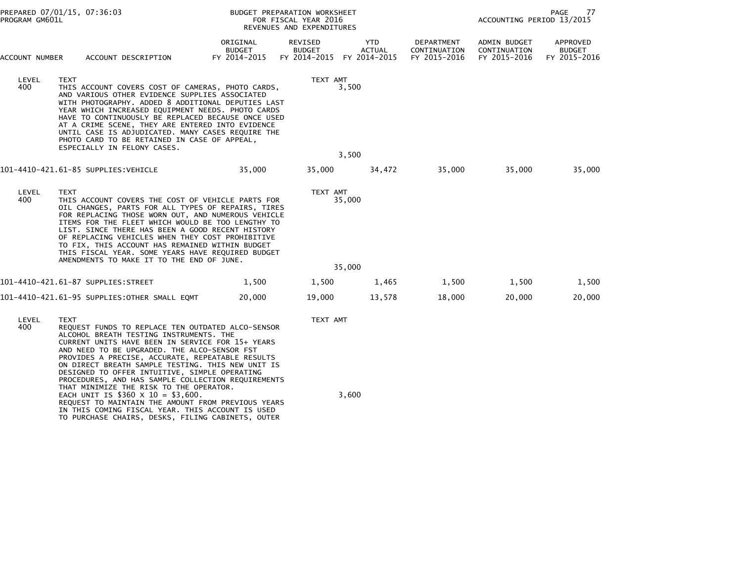| PROGRAM GM601L | PREPARED 07/01/15, 07:36:03                                                                                                                                                                                                                                                                                                                                                                                                                                                                                     |                                           | BUDGET PREPARATION WORKSHEET<br>FOR FISCAL YEAR 2016<br>REVENUES AND EXPENDITURES |                      |                                            | ACCOUNTING PERIOD 13/2015                    | PAGE<br>77                                |
|----------------|-----------------------------------------------------------------------------------------------------------------------------------------------------------------------------------------------------------------------------------------------------------------------------------------------------------------------------------------------------------------------------------------------------------------------------------------------------------------------------------------------------------------|-------------------------------------------|-----------------------------------------------------------------------------------|----------------------|--------------------------------------------|----------------------------------------------|-------------------------------------------|
| ACCOUNT NUMBER | ACCOUNT DESCRIPTION                                                                                                                                                                                                                                                                                                                                                                                                                                                                                             | ORIGINAL<br><b>BUDGET</b><br>FY 2014-2015 | REVISED<br><b>BUDGET</b><br>FY 2014-2015 FY 2014-2015                             | YTD<br><b>ACTUAL</b> | DEPARTMENT<br>CONTINUATION<br>FY 2015-2016 | ADMIN BUDGET<br>CONTINUATION<br>FY 2015-2016 | APPROVED<br><b>BUDGET</b><br>FY 2015-2016 |
| LEVEL<br>400   | TEXT<br>THIS ACCOUNT COVERS COST OF CAMERAS, PHOTO CARDS,<br>AND VARIOUS OTHER EVIDENCE SUPPLIES ASSOCIATED<br>WITH PHOTOGRAPHY. ADDED 8 ADDITIONAL DEPUTIES LAST<br>YEAR WHICH INCREASED EQUIPMENT NEEDS. PHOTO CARDS<br>HAVE TO CONTINUOUSLY BE REPLACED BECAUSE ONCE USED<br>AT A CRIME SCENE, THEY ARE ENTERED INTO EVIDENCE<br>UNTIL CASE IS ADJUDICATED. MANY CASES REQUIRE THE<br>PHOTO CARD TO BE RETAINED IN CASE OF APPEAL,<br>ESPECIALLY IN FELONY CASES.                                            |                                           | TEXT AMT                                                                          | 3,500                |                                            |                                              |                                           |
|                |                                                                                                                                                                                                                                                                                                                                                                                                                                                                                                                 |                                           |                                                                                   | 3,500                |                                            |                                              |                                           |
|                | 101-4410-421.61-85 SUPPLIES:VEHICLE                                                                                                                                                                                                                                                                                                                                                                                                                                                                             | 35,000                                    | 35,000                                                                            | 34,472               | 35,000                                     | 35,000                                       | 35,000                                    |
| LEVEL<br>400   | <b>TEXT</b><br>THIS ACCOUNT COVERS THE COST OF VEHICLE PARTS FOR<br>OIL CHANGES, PARTS FOR ALL TYPES OF REPAIRS, TIRES<br>FOR REPLACING THOSE WORN OUT, AND NUMEROUS VEHICLE<br>ITEMS FOR THE FLEET WHICH WOULD BE TOO LENGTHY TO<br>LIST. SINCE THERE HAS BEEN A GOOD RECENT HISTORY<br>OF REPLACING VEHICLES WHEN THEY COST PROHIBITIVE<br>TO FIX, THIS ACCOUNT HAS REMAINED WITHIN BUDGET<br>THIS FISCAL YEAR. SOME YEARS HAVE REQUIRED BUDGET<br>AMENDMENTS TO MAKE IT TO THE END OF JUNE.                  |                                           | TEXT AMT                                                                          | 35,000               |                                            |                                              |                                           |
|                |                                                                                                                                                                                                                                                                                                                                                                                                                                                                                                                 |                                           |                                                                                   | 35,000               |                                            |                                              |                                           |
|                | 101-4410-421.61-87 SUPPLIES:STREET                                                                                                                                                                                                                                                                                                                                                                                                                                                                              | 1,500                                     | 1,500                                                                             | 1,465                | 1,500                                      | 1,500                                        | 1,500                                     |
|                | 101-4410-421.61-95 SUPPLIES:OTHER SMALL EQMT                                                                                                                                                                                                                                                                                                                                                                                                                                                                    | 20,000                                    | 19,000                                                                            | 13,578               | 18,000                                     | 20,000                                       | 20,000                                    |
| LEVEL<br>400   | TEXT<br>REQUEST FUNDS TO REPLACE TEN OUTDATED ALCO-SENSOR<br>ALCOHOL BREATH TESTING INSTRUMENTS. THE<br>CURRENT UNITS HAVE BEEN IN SERVICE FOR 15+ YEARS<br>AND NEED TO BE UPGRADED. THE ALCO-SENSOR FST<br>PROVIDES A PRECISE, ACCURATE, REPEATABLE RESULTS<br>ON DIRECT BREATH SAMPLE TESTING. THIS NEW UNIT IS<br>DESIGNED TO OFFER INTUITIVE, SIMPLE OPERATING<br>PROCEDURES, AND HAS SAMPLE COLLECTION REQUIREMENTS<br>THAT MINIMIZE THE RISK TO THE OPERATOR.<br>EACH UNIT IS $$360 \times 10 = $3,600$ . |                                           | TEXT AMT                                                                          | 3,600                |                                            |                                              |                                           |
|                |                                                                                                                                                                                                                                                                                                                                                                                                                                                                                                                 |                                           |                                                                                   |                      |                                            |                                              |                                           |

REQUEST TO MAINTAIN THE AMOUNT FROM PREVIOUS YEARS IN THIS COMING FISCAL YEAR. THIS ACCOUNT IS USED TO PURCHASE CHAIRS, DESKS, FILING CABINETS, OUTER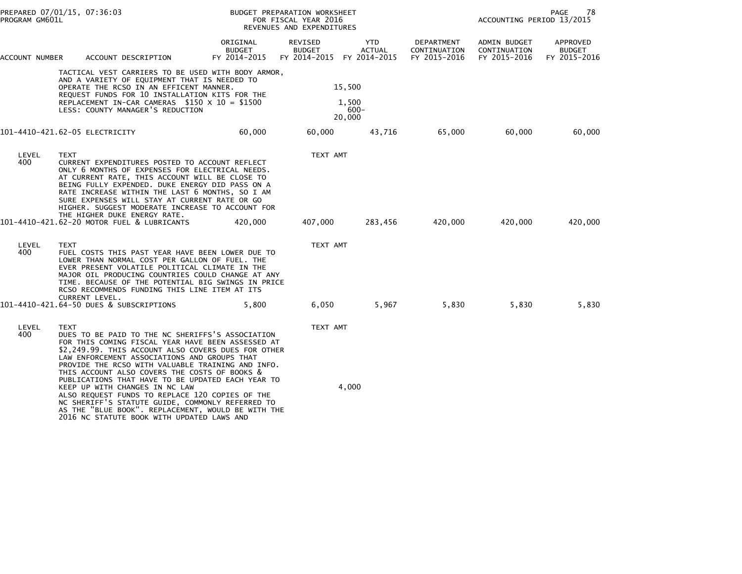| PROGRAM GM601L | PREPARED 07/01/15, 07:36:03                                                                                                                                                                                                                                                                                                                                                            |                                           | BUDGET PREPARATION WORKSHEET<br>FOR FISCAL YEAR 2016<br>REVENUES AND EXPENDITURES |                      |                                            | ACCOUNTING PERIOD 13/2015                    | 78<br>PAGE                                |
|----------------|----------------------------------------------------------------------------------------------------------------------------------------------------------------------------------------------------------------------------------------------------------------------------------------------------------------------------------------------------------------------------------------|-------------------------------------------|-----------------------------------------------------------------------------------|----------------------|--------------------------------------------|----------------------------------------------|-------------------------------------------|
| ACCOUNT NUMBER | ACCOUNT DESCRIPTION                                                                                                                                                                                                                                                                                                                                                                    | ORIGINAL<br><b>BUDGET</b><br>FY 2014-2015 | REVISED<br><b>BUDGET</b><br>FY 2014-2015 FY 2014-2015                             | YTD<br><b>ACTUAL</b> | DEPARTMENT<br>CONTINUATION<br>FY 2015-2016 | ADMIN BUDGET<br>CONTINUATION<br>FY 2015-2016 | APPROVED<br><b>BUDGET</b><br>FY 2015-2016 |
|                | TACTICAL VEST CARRIERS TO BE USED WITH BODY ARMOR,<br>AND A VARIETY OF EQUIPMENT THAT IS NEEDED TO<br>OPERATE THE RCSO IN AN EFFICENT MANNER.<br>REQUEST FUNDS FOR 10 INSTALLATION KITS FOR THE<br>REPLACEMENT IN-CAR CAMERAS $$150 \times 10 = $1500$<br>LESS: COUNTY MANAGER'S REDUCTION                                                                                             |                                           | 15,500<br>1,500<br>20,000                                                         | $600 -$              |                                            |                                              |                                           |
|                | 101-4410-421.62-05 ELECTRICITY                                                                                                                                                                                                                                                                                                                                                         | 60,000                                    | 60,000                                                                            | 43,716               | 65,000                                     | 60,000                                       | 60,000                                    |
| LEVEL<br>400   | <b>TEXT</b><br>CURRENT EXPENDITURES POSTED TO ACCOUNT REFLECT<br>ONLY 6 MONTHS OF EXPENSES FOR ELECTRICAL NEEDS.<br>AT CURRENT RATE, THIS ACCOUNT WILL BE CLOSE TO<br>BEING FULLY EXPENDED. DUKE ENERGY DID PASS ON A<br>RATE INCREASE WITHIN THE LAST 6 MONTHS, SO I AM<br>SURE EXPENSES WILL STAY AT CURRENT RATE OR GO<br>HIGHER. SUGGEST MODERATE INCREASE TO ACCOUNT FOR          |                                           | TEXT AMT                                                                          |                      |                                            |                                              |                                           |
|                | THE HIGHER DUKE ENERGY RATE.<br>101-4410-421.62-20 MOTOR FUEL & LUBRICANTS                                                                                                                                                                                                                                                                                                             | 420,000                                   | 407,000                                                                           | 283,456              | 420,000                                    | 420,000                                      | 420,000                                   |
| LEVEL<br>400   | <b>TEXT</b><br>FUEL COSTS THIS PAST YEAR HAVE BEEN LOWER DUE TO<br>LOWER THAN NORMAL COST PER GALLON OF FUEL. THE<br>EVER PRESENT VOLATILE POLITICAL CLIMATE IN THE<br>MAJOR OIL PRODUCING COUNTRIES COULD CHANGE AT ANY<br>TIME. BECAUSE OF THE POTENTIAL BIG SWINGS IN PRICE<br>RCSO RECOMMENDS FUNDING THIS LINE ITEM AT ITS<br>CURRENT LEVEL.                                      |                                           | TEXT AMT                                                                          |                      |                                            |                                              |                                           |
|                | 101-4410-421.64-50 DUES & SUBSCRIPTIONS                                                                                                                                                                                                                                                                                                                                                | 5,800                                     | 6,050                                                                             | 5,967                | 5,830                                      | 5,830                                        | 5,830                                     |
| LEVEL<br>400   | <b>TEXT</b><br>DUES TO BE PAID TO THE NC SHERIFFS'S ASSOCIATION<br>FOR THIS COMING FISCAL YEAR HAVE BEEN ASSESSED AT<br>\$2,249.99. THIS ACCOUNT ALSO COVERS DUES FOR OTHER<br>LAW ENFORCEMENT ASSOCIATIONS AND GROUPS THAT<br>PROVIDE THE RCSO WITH VALUABLE TRAINING AND INFO.<br>THIS ACCOUNT ALSO COVERS THE COSTS OF BOOKS &<br>PUBLICATIONS THAT HAVE TO BE UPDATED EACH YEAR TO |                                           | TEXT AMT                                                                          |                      |                                            |                                              |                                           |
|                | KEEP UP WITH CHANGES IN NC LAW<br>ALSO REQUEST FUNDS TO REPLACE 120 COPIES OF THE<br>NC SHERIFF'S STATUTE GUIDE, COMMONLY REFERRED TO<br>AS THE "BLUE BOOK". REPLACEMENT, WOULD BE WITH THE<br>2016 NC STATUTE BOOK WITH UPDATED LAWS AND                                                                                                                                              |                                           | 4,000                                                                             |                      |                                            |                                              |                                           |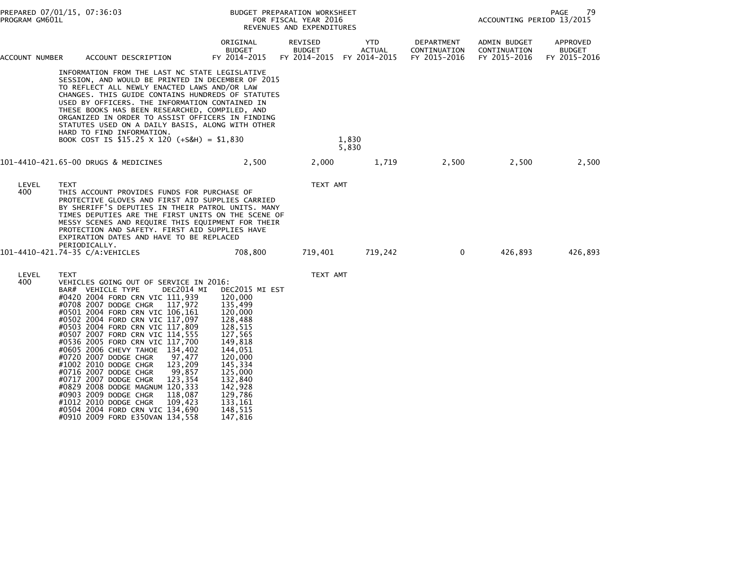| PROGRAM GM601L | PREPARED 07/01/15, 07:36:03                                                                                                                                                                                                                                                                                                                                                                                                                                                                      |                                                                                  | BUDGET PREPARATION WORKSHEET<br>FOR FISCAL YEAR 2016<br>REVENUES AND EXPENDITURES |                      |                                            | ACCOUNTING PERIOD 13/2015                    | PAGE<br>79                                |
|----------------|--------------------------------------------------------------------------------------------------------------------------------------------------------------------------------------------------------------------------------------------------------------------------------------------------------------------------------------------------------------------------------------------------------------------------------------------------------------------------------------------------|----------------------------------------------------------------------------------|-----------------------------------------------------------------------------------|----------------------|--------------------------------------------|----------------------------------------------|-------------------------------------------|
| ACCOUNT NUMBER | ACCOUNT DESCRIPTION                                                                                                                                                                                                                                                                                                                                                                                                                                                                              | ORIGINAL<br><b>BUDGET</b><br>FY 2014-2015                                        | REVISED<br><b>BUDGET</b><br>FY 2014-2015 FY 2014-2015                             | YTD<br><b>ACTUAL</b> | DEPARTMENT<br>CONTINUATION<br>FY 2015-2016 | ADMIN BUDGET<br>CONTINUATION<br>FY 2015-2016 | APPROVED<br><b>BUDGET</b><br>FY 2015-2016 |
|                | INFORMATION FROM THE LAST NC STATE LEGISLATIVE<br>SESSION, AND WOULD BE PRINTED IN DECEMBER OF 2015<br>TO REFLECT ALL NEWLY ENACTED LAWS AND/OR LAW<br>CHANGES. THIS GUIDE CONTAINS HUNDREDS OF STATUTES<br>USED BY OFFICERS. THE INFORMATION CONTAINED IN<br>THESE BOOKS HAS BEEN RESEARCHED, COMPILED, AND<br>ORGANIZED IN ORDER TO ASSIST OFFICERS IN FINDING<br>STATUTES USED ON A DAILY BASIS, ALONG WITH OTHER<br>HARD TO FIND INFORMATION.<br>BOOK COST IS \$15.25 X 120 (+S&H) = \$1,830 |                                                                                  |                                                                                   | 1,830<br>5,830       |                                            |                                              |                                           |
|                | 101-4410-421.65-00 DRUGS & MEDICINES                                                                                                                                                                                                                                                                                                                                                                                                                                                             | 2,500                                                                            | 2,000                                                                             | 1,719                | 2,500                                      | 2,500                                        | 2,500                                     |
| LEVEL<br>400   | <b>TEXT</b><br>THIS ACCOUNT PROVIDES FUNDS FOR PURCHASE OF<br>PROTECTIVE GLOVES AND FIRST AID SUPPLIES CARRIED<br>BY SHERIFF'S DEPUTIES IN THEIR PATROL UNITS. MANY<br>TIMES DEPUTIES ARE THE FIRST UNITS ON THE SCENE OF<br>MESSY SCENES AND REQUIRE THIS EQUIPMENT FOR THEIR<br>PROTECTION AND SAFETY. FIRST AID SUPPLIES HAVE<br>EXPIRATION DATES AND HAVE TO BE REPLACED<br>PERIODICALLY.                                                                                                    |                                                                                  | TEXT AMT                                                                          |                      |                                            |                                              |                                           |
|                | 101-4410-421.74-35 C/A:VEHICLES                                                                                                                                                                                                                                                                                                                                                                                                                                                                  | 708,800                                                                          | 719,401                                                                           | 719,242              | $\overline{0}$                             | 426,893                                      | 426,893                                   |
| LEVEL<br>400   | <b>TEXT</b><br>VEHICLES GOING OUT OF SERVICE IN 2016:<br>DEC2014 MI<br>BAR# VEHICLE TYPE<br>#0420 2004 FORD CRN VIC 111,939<br>#0708 2007 DODGE CHGR 117,972<br>#0501 2004 FORD CRN VIC 106,161<br>#0502 2004 FORD CRN VIC 117,097<br>#0503 2004 FORD CRN VIC 117.809<br>#0507 2007 FORD CRN VIC 114,555                                                                                                                                                                                         | DEC2015 MI EST<br>120,000<br>135,499<br>120,000<br>128,488<br>128,515<br>127,565 | TEXT AMT                                                                          |                      |                                            |                                              |                                           |

 #0536 2005 FORD CRN VIC 117,700 149,818 #0605 2006 CHEVY TAHOE 134,402 144,051 #0720 2007 DODGE CHGR 97,477 120,000 #1002 2010 DODGE CHGR 123,209 145,334 #0716 2007 DODGE CHGR 99,857 125,000 #0717 2007 DODGE CHGR 123,354 132,840 #0829 2008 DODGE MAGNUM 120,333 142,928 #0903 2009 DODGE CHGR 118,087 129,786 #1012 2010 DODGE CHGR 109,423 133,161 #0504 2004 FORD CRN VIC 134,690 148,515#0910 2009 FORD E350VAN 134,558 147,816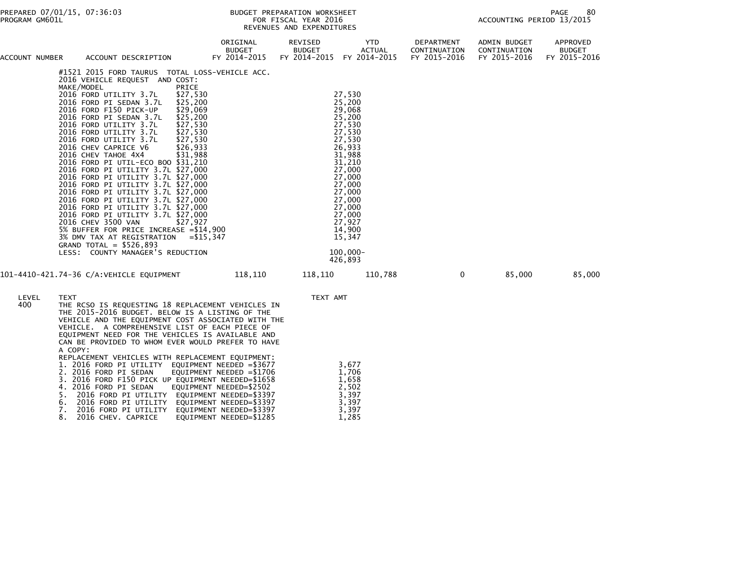## PREPARED 07/01/15, 07:36:03 PREPARATION WORKSHEET PREPARATION WORKSHEET PREPARATION WORKSHEET<br>FOR FISCAL YEAR 2016 ACCOUNTING PERIOD 13/2015 REVENUES AND EXPENDITURES<br>REVENUES AND EXPENDITURES

| ACCOUNT NUMBER | ACCOUNT DESCRIPTION                                                                                                                                                                                                                                                                                                                                                                                                                                                                                                                                                                                                                                                                                                                                                                                                                                                                                                                                              | ORIGINAL<br><b>BUDGET</b><br>FY 2014-2015 | REVISED<br><b>BUDGET</b><br>FY 2014-2015 FY 2014-2015 | YTD<br><b>ACTUAL</b>                                                                                                                                                                                                           | DEPARTMENT<br>CONTINUATION<br>FY 2015-2016 | <b>ADMIN BUDGET</b><br>CONTINUATION<br>FY 2015-2016 | APPROVED<br><b>BUDGET</b><br>FY 2015-2016 |
|----------------|------------------------------------------------------------------------------------------------------------------------------------------------------------------------------------------------------------------------------------------------------------------------------------------------------------------------------------------------------------------------------------------------------------------------------------------------------------------------------------------------------------------------------------------------------------------------------------------------------------------------------------------------------------------------------------------------------------------------------------------------------------------------------------------------------------------------------------------------------------------------------------------------------------------------------------------------------------------|-------------------------------------------|-------------------------------------------------------|--------------------------------------------------------------------------------------------------------------------------------------------------------------------------------------------------------------------------------|--------------------------------------------|-----------------------------------------------------|-------------------------------------------|
|                | #1521 2015 FORD TAURUS TOTAL LOSS-VEHICLE ACC.<br>2016 VEHICLE REQUEST AND COST:<br>MAKE/MODEL<br>PRICE<br>2016 FORD UTILITY 3.7L<br>\$27,530<br>\$25,200<br>2016 FORD PI SEDAN 3.7L<br>2016 FORD F150 PICK-UP<br>\$29,069<br>2016 FORD PI SEDAN 3.7L<br>\$25,200<br>\$27,530<br>2016 FORD UTILITY 3.7L<br>2016 FORD UTILITY 3.7L<br>\$27,530<br>2016 FORD UTILITY 3.7L<br>\$27,530<br>\$26,933<br>2016 CHEV CAPRICE V6<br>2016 CHEV TAHOE 4X4<br>\$31,988<br>2016 FORD PI UTIL-ECO BOO \$31,210<br>2016 FORD PI UTILITY 3.7L \$27,000<br>2016 FORD PI UTILITY 3.7L \$27,000<br>2016 FORD PI UTILITY 3.7L \$27,000<br>2016 FORD PI UTILITY 3.7L \$27,000<br>2016 FORD PI UTILITY 3.7L \$27,000<br>2016 FORD PI UTILITY 3.7L \$27,000<br>2016 FORD PI UTILITY 3.7L \$27,000<br>2016 CHEV 3500 VAN<br>\$27,927<br>5% BUFFER FOR PRICE INCREASE = \$14,900<br>3% DMV TAX AT REGISTRATION = \$15,347<br>GRAND TOTAL = $$526,893$<br>LESS: COUNTY MANAGER'S REDUCTION |                                           |                                                       | 27,530<br>25,200<br>29,068<br>25,200<br>27,530<br>27,530<br>27,530<br>26,933<br>31,988<br>31,210<br>27,000<br>27,000<br>27,000<br>27,000<br>27,000<br>27,000<br>27,000<br>27,927<br>14,900<br>15,347<br>$100,000 -$<br>426,893 |                                            |                                                     |                                           |
|                | 101-4410-421.74-36 C/A:VEHICLE EQUIPMENT                                                                                                                                                                                                                                                                                                                                                                                                                                                                                                                                                                                                                                                                                                                                                                                                                                                                                                                         | 118,110                                   | 118,110                                               | 110,788                                                                                                                                                                                                                        | $\mathbf 0$                                | 85,000                                              | 85,000                                    |
| LEVEL<br>400   | <b>TEXT</b><br>THE RCSO IS REQUESTING 18 REPLACEMENT VEHICLES IN<br>THE 2015-2016 BUDGET. BELOW IS A LISTING OF THE<br>VEHICLE AND THE EQUIPMENT COST ASSOCIATED WITH THE<br>VEHICLE. A COMPREHENSIVE LIST OF EACH PIECE OF<br>EQUIPMENT NEED FOR THE VEHICLES IS AVAILABLE AND<br>CAN BE PROVIDED TO WHOM EVER WOULD PREFER TO HAVE<br>A COPY:<br>REPLACEMENT VEHICLES WITH REPLACEMENT EQUIPMENT:                                                                                                                                                                                                                                                                                                                                                                                                                                                                                                                                                              |                                           | TEXT AMT                                              | $\sim$ $\sim$ $\sim$                                                                                                                                                                                                           |                                            |                                                     |                                           |

|                         | 1. 2016 FORD PI UTILITY EOUIPMENT NEEDED = \$3677 | 3,677 |
|-------------------------|---------------------------------------------------|-------|
|                         | 2. 2016 FORD PI SEDAN EQUIPMENT NEEDED =\$1706    | 1,706 |
|                         | 3. 2016 FORD F150 PICK UP EOUIPMENT NEEDED=\$1658 | 1,658 |
|                         | 4. 2016 FORD PI SEDAN EQUIPMENT NEEDED=\$2502     | 2,502 |
|                         | 5. 2016 FORD PI UTILITY EOUIPMENT NEEDED=\$3397   | 3,397 |
| 6. 2016 FORD PI UTILITY | EOUIPMENT NEEDED=\$3397                           | 3.397 |
| 7. 2016 FORD PI UTILITY | EOUIPMENT NEEDED=\$3397                           | 3.397 |
| 8. 2016 CHEV. CAPRICE   | EOUIPMENT NEEDED=\$1285                           | 1.285 |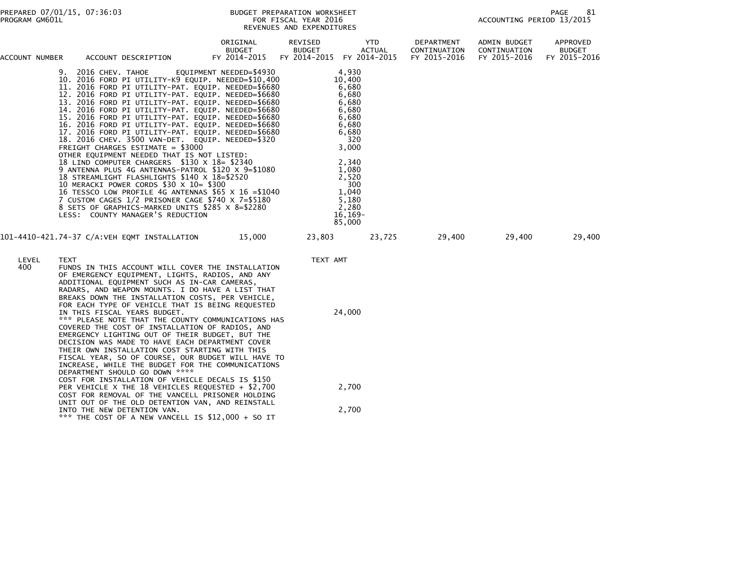| ACCOUNT NUMBER |                     | ACCOUNT DESCRIPTION                                                                                                                                                                                                                                                                                                                                                                                                                                                                                                                                                                                                                                                                                                                                                                                                                                                                                                                                                                            | ORIGINAL<br><b>BUDGET</b><br>FY 2014-2015 | REVISED<br><b>BUDGET</b> | <b>YTD</b><br>ACTUAL<br>FY 2014-2015 FY 2014-2015                                                                                                                                   | DEPARTMENT<br>CONTINUATION<br>FY 2015-2016 | ADMIN BUDGET<br>CONTINUATION<br>FY 2015-2016 | APPROVED<br><b>BUDGET</b><br>FY 2015-2016 |
|----------------|---------------------|------------------------------------------------------------------------------------------------------------------------------------------------------------------------------------------------------------------------------------------------------------------------------------------------------------------------------------------------------------------------------------------------------------------------------------------------------------------------------------------------------------------------------------------------------------------------------------------------------------------------------------------------------------------------------------------------------------------------------------------------------------------------------------------------------------------------------------------------------------------------------------------------------------------------------------------------------------------------------------------------|-------------------------------------------|--------------------------|-------------------------------------------------------------------------------------------------------------------------------------------------------------------------------------|--------------------------------------------|----------------------------------------------|-------------------------------------------|
|                | 9. 2016 CHEV. TAHOE | 10. 2016 FORD PI UTILITY-K9 EQUIP. NEEDED=\$10,400<br>11. 2016 FORD PI UTILITY-PAT. EQUIP. NEEDED=\$6680<br>12. 2016 FORD PI UTILITY-PAT. EQUIP. NEEDED=\$6680<br>13. 2016 FORD PI UTILITY-PAT. EQUIP. NEEDED=\$6680<br>14. 2016 FORD PI UTILITY-PAT. EQUIP. NEEDED=\$6680<br>15. 2016 FORD PI UTILITY-PAT. EQUIP. NEEDED=\$6680<br>16. 2016 FORD PI UTILITY-PAT. EQUIP. NEEDED=\$6680<br>17. 2016 FORD PI UTILITY-PAT. EQUIP. NEEDED=\$6680<br>18. 2016 CHEV. 3500 VAN-DET. EQUIP. NEEDED=\$320<br>FREIGHT CHARGES ESTIMATE = \$3000<br>OTHER EQUIPMENT NEEDED THAT IS NOT LISTED:<br>18 LIND COMPUTER CHARGERS \$130 X 18= \$2340<br>9 ANTENNA PLUS 4G ANTENNAS-PATROL \$120 X 9=\$1080<br>18 STREAMLIGHT FLASHLIGHTS \$140 X 18=\$2520<br>10 MERACKI POWER CORDS \$30 X 10= \$300<br>16 TESSCO LOW PROFILE 4G ANTENNAS $$65 \times 16 = $1040$<br>7 CUSTOM CAGES 1/2 PRISONER CAGE \$740 X 7=\$5180<br>8 SETS OF GRAPHICS-MARKED UNITS \$285 X 8=\$2280<br>LESS: COUNTY MANAGER'S REDUCTION | EQUIPMENT NEEDED=\$4930                   |                          | 4,930<br>10.400<br>6,680<br>6,680<br>6,680<br>6,680<br>6,680<br>6,680<br>6,680<br>320<br>3,000<br>2,340<br>1,080<br>2,520<br>300<br>1.040<br>5,180<br>2,280<br>$16, 169-$<br>85,000 |                                            |                                              |                                           |
|                |                     |                                                                                                                                                                                                                                                                                                                                                                                                                                                                                                                                                                                                                                                                                                                                                                                                                                                                                                                                                                                                | 15,000                                    | 23,803                   | 23,725                                                                                                                                                                              | 29,400                                     | 29,400                                       | 29,400                                    |
| LEVEL<br>400.  | TEXT                | FUNDS IN THIS ACCOUNT WILL COVER THE INSTALLATION<br>OF EMERGENCY EQUIPMENT, LIGHTS, RADIOS, AND ANY<br>ADDITIONAL EQUIPMENT SUCH AS IN-CAR CAMERAS,<br>RADARS, AND WEAPON MOUNTS. I DO HAVE A LIST THAT<br>BREAKS DOWN THE INSTALLATION COSTS, PER VEHICLE,<br>FOR EACH TYPE OF VEHICLE THAT IS BEING REQUESTED<br>IN THIS FISCAL YEARS BUDGET.<br>*** PLEASE NOTE THAT THE COUNTY COMMUNICATIONS HAS<br>COVERED THE COST OF INSTALLATION OF RADIOS, AND<br>EMERGENCY LIGHTING OUT OF THEIR BUDGET, BUT THE<br>DECISION WAS MADE TO HAVE EACH DEPARTMENT COVER<br>THEIR OWN INSTALLATION COST STARTING WITH THIS<br>FISCAL YEAR, SO OF COURSE, OUR BUDGET WILL HAVE TO<br>INCREASE, WHILE THE BUDGET FOR THE COMMUNICATIONS<br>DEPARTMENT SHOULD GO DOWN ****                                                                                                                                                                                                                                 |                                           | TEXT AMT                 | 24,000                                                                                                                                                                              |                                            |                                              |                                           |
|                |                     | COST FOR INSTALLATION OF VEHICLE DECALS IS \$150<br>PER VEHICLE X THE 18 VEHICLES REQUESTED + \$2,700<br>COST FOR REMOVAL OF THE VANCELL PRISONER HOLDING<br>UNIT OUT OF THE OLD DETENTION VAN, AND REINSTALL                                                                                                                                                                                                                                                                                                                                                                                                                                                                                                                                                                                                                                                                                                                                                                                  |                                           |                          | 2,700                                                                                                                                                                               |                                            |                                              |                                           |
|                |                     | INTO THE NEW DETENTION VAN.<br>$***$ THE COST OF A NEW VANCELL IS $$12,000 +$ SO IT                                                                                                                                                                                                                                                                                                                                                                                                                                                                                                                                                                                                                                                                                                                                                                                                                                                                                                            |                                           |                          | 2,700                                                                                                                                                                               |                                            |                                              |                                           |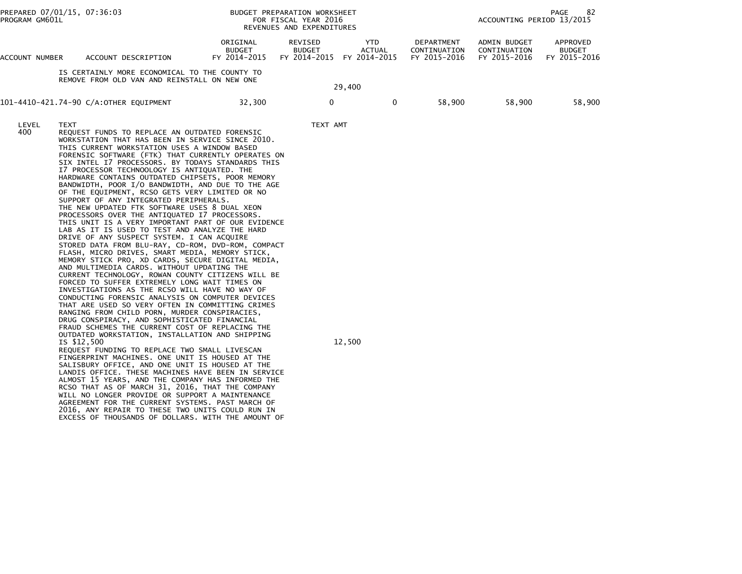| PREPARED 07/01/15, 07:36:03<br>PROGRAM GM601L |                            | <b>BUDGET PREPARATION WORKSHEET</b><br>FOR FISCAL YEAR 2016<br>REVENUES AND EXPENDITURES                                                                                                                                                                                                                                                                                                                                                                                                                                                                                                                                                                                                                                                                                                                                                                                                                                                                                                                                                                                                                                                                                                                                                                                                                                                                                                                                                                                                                                                                                                                                                                                                                                                                                                                                                                                                                                                                                                           | 82<br>PAGE<br>ACCOUNTING PERIOD 13/2015   |                                          |        |                               |                                            |                                              |                                           |
|-----------------------------------------------|----------------------------|----------------------------------------------------------------------------------------------------------------------------------------------------------------------------------------------------------------------------------------------------------------------------------------------------------------------------------------------------------------------------------------------------------------------------------------------------------------------------------------------------------------------------------------------------------------------------------------------------------------------------------------------------------------------------------------------------------------------------------------------------------------------------------------------------------------------------------------------------------------------------------------------------------------------------------------------------------------------------------------------------------------------------------------------------------------------------------------------------------------------------------------------------------------------------------------------------------------------------------------------------------------------------------------------------------------------------------------------------------------------------------------------------------------------------------------------------------------------------------------------------------------------------------------------------------------------------------------------------------------------------------------------------------------------------------------------------------------------------------------------------------------------------------------------------------------------------------------------------------------------------------------------------------------------------------------------------------------------------------------------------|-------------------------------------------|------------------------------------------|--------|-------------------------------|--------------------------------------------|----------------------------------------------|-------------------------------------------|
| ACCOUNT NUMBER                                |                            | ACCOUNT DESCRIPTION                                                                                                                                                                                                                                                                                                                                                                                                                                                                                                                                                                                                                                                                                                                                                                                                                                                                                                                                                                                                                                                                                                                                                                                                                                                                                                                                                                                                                                                                                                                                                                                                                                                                                                                                                                                                                                                                                                                                                                                | ORIGINAL<br><b>BUDGET</b><br>FY 2014-2015 | REVISED<br><b>BUDGET</b><br>FY 2014-2015 |        | YTD<br>ACTUAL<br>FY 2014-2015 | DEPARTMENT<br>CONTINUATION<br>FY 2015-2016 | ADMIN BUDGET<br>CONTINUATION<br>FY 2015-2016 | APPROVED<br><b>BUDGET</b><br>FY 2015-2016 |
|                                               |                            | IS CERTAINLY MORE ECONOMICAL TO THE COUNTY TO<br>REMOVE FROM OLD VAN AND REINSTALL ON NEW ONE                                                                                                                                                                                                                                                                                                                                                                                                                                                                                                                                                                                                                                                                                                                                                                                                                                                                                                                                                                                                                                                                                                                                                                                                                                                                                                                                                                                                                                                                                                                                                                                                                                                                                                                                                                                                                                                                                                      |                                           |                                          | 29,400 |                               |                                            |                                              |                                           |
|                                               |                            | 101-4410-421.74-90 C/A:OTHER EQUIPMENT                                                                                                                                                                                                                                                                                                                                                                                                                                                                                                                                                                                                                                                                                                                                                                                                                                                                                                                                                                                                                                                                                                                                                                                                                                                                                                                                                                                                                                                                                                                                                                                                                                                                                                                                                                                                                                                                                                                                                             | 32,300                                    | 0                                        |        | 0                             | 58,900                                     | 58,900                                       | 58,900                                    |
| LEVEL<br>400                                  | <b>TEXT</b><br>IS \$12,500 | REQUEST FUNDS TO REPLACE AN OUTDATED FORENSIC<br>WORKSTATION THAT HAS BEEN IN SERVICE SINCE 2010.<br>THIS CURRENT WORKSTATION USES A WINDOW BASED<br>FORENSIC SOFTWARE (FTK) THAT CURRENTLY OPERATES ON<br>SIX INTEL I7 PROCESSORS. BY TODAYS STANDARDS THIS<br>I7 PROCESSOR TECHNOOLOGY IS ANTIQUATED. THE<br>HARDWARE CONTAINS OUTDATED CHIPSETS, POOR MEMORY<br>BANDWIDTH, POOR I/O BANDWIDTH, AND DUE TO THE AGE<br>OF THE EQUIPMENT, RCSO GETS VERY LIMITED OR NO<br>SUPPORT OF ANY INTEGRATED PERIPHERALS.<br>THE NEW UPDATED FTK SOFTWARE USES 8 DUAL XEON<br>PROCESSORS OVER THE ANTIQUATED I7 PROCESSORS.<br>THIS UNIT IS A VERY IMPORTANT PART OF OUR EVIDENCE<br>LAB AS IT IS USED TO TEST AND ANALYZE THE HARD<br>DRIVE OF ANY SUSPECT SYSTEM. I CAN ACQUIRE<br>STORED DATA FROM BLU-RAY, CD-ROM, DVD-ROM, COMPACT<br>FLASH, MICRO DRIVES, SMART MEDIA, MEMORY STICK,<br>MEMORY STICK PRO, XD CARDS, SECURE DIGITAL MEDIA,<br>AND MULTIMEDIA CARDS. WITHOUT UPDATING THE<br>CURRENT TECHNOLOGY, ROWAN COUNTY CITIZENS WILL BE<br>FORCED TO SUFFER EXTREMELY LONG WAIT TIMES ON<br>INVESTIGATIONS AS THE RCSO WILL HAVE NO WAY OF<br>CONDUCTING FORENSIC ANALYSIS ON COMPUTER DEVICES<br>THAT ARE USED SO VERY OFTEN IN COMMITTING CRIMES<br>RANGING FROM CHILD PORN, MURDER CONSPIRACIES,<br>DRUG CONSPIRACY, AND SOPHISTICATED FINANCIAL<br>FRAUD SCHEMES THE CURRENT COST OF REPLACING THE<br>OUTDATED WORKSTATION, INSTALLATION AND SHIPPING<br>REQUEST FUNDING TO REPLACE TWO SMALL LIVESCAN<br>FINGERPRINT MACHINES. ONE UNIT IS HOUSED AT THE<br>SALISBURY OFFICE, AND ONE UNIT IS HOUSED AT THE<br>LANDIS OFFICE. THESE MACHINES HAVE BEEN IN SERVICE<br>ALMOST 15 YEARS, AND THE COMPANY HAS INFORMED THE<br>RCSO THAT AS OF MARCH 31, 2016, THAT THE COMPANY<br>WILL NO LONGER PROVIDE OR SUPPORT A MAINTENANCE<br>AGREEMENT FOR THE CURRENT SYSTEMS. PAST MARCH OF<br>2016, ANY REPAIR TO THESE TWO UNITS COULD RUN IN<br>EXCESS OF THOUSANDS OF DOLLARS. WITH THE AMOUNT OF |                                           | TEXT AMT                                 | 12,500 |                               |                                            |                                              |                                           |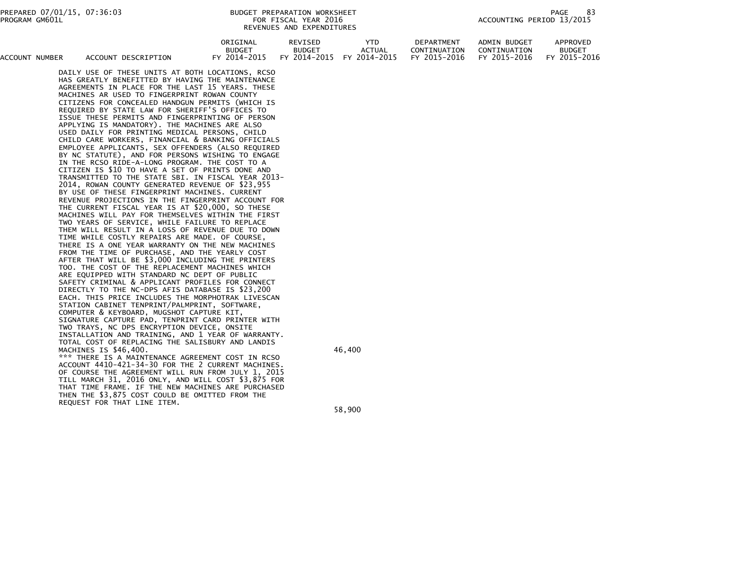| ACCOUNT NUMBER | ACCOUNT DESCRIPTION                              | ORIGINAL<br><b>BUDGET</b><br>FY 2014-2015 | REVISED<br><b>BUDGET</b><br>FY 2014-2015 | YTD.<br>ACTUAL<br>FY 2014-2015 | <b>DEPARTMENT</b><br>CONTINUATION<br>FY 2015-2016 | ADMIN BUDGET<br>CONTINUATION<br>FY 2015-2016 | APPROVED<br><b>BUDGET</b><br>FY 2015-2016 |  |
|----------------|--------------------------------------------------|-------------------------------------------|------------------------------------------|--------------------------------|---------------------------------------------------|----------------------------------------------|-------------------------------------------|--|
|                | DAILY USE OF THESE UNITS AT BOTH LOCATIONS, RCSO |                                           |                                          |                                |                                                   |                                              |                                           |  |
|                | HAS GREATLY BENEFITTED BY HAVING THE MAINTENANCE |                                           |                                          |                                |                                                   |                                              |                                           |  |
|                | AGREEMENTS IN PLACE FOR THE LAST 15 YEARS. THESE |                                           |                                          |                                |                                                   |                                              |                                           |  |
|                | MACHINES AR USED TO FINGERPRINT ROWAN COUNTY     |                                           |                                          |                                |                                                   |                                              |                                           |  |
|                | CITIZENS FOR CONCEALED HANDGUN PERMITS (WHICH IS |                                           |                                          |                                |                                                   |                                              |                                           |  |
|                | BEQUIDED BY STATE LAW FOR SUEBTEE'S OFFICES TO   |                                           |                                          |                                |                                                   |                                              |                                           |  |

 REQUIRED BY STATE LAW FOR SHERIFF'S OFFICES TO ISSUE THESE PERMITS AND FINGERPRINTING OF PERSON APPLYING IS MANDATORY). THE MACHINES ARE ALSO USED DAILY FOR PRINTING MEDICAL PERSONS, CHILD CHILD CARE WORKERS, FINANCIAL & BANKING OFFICIALS EMPLOYEE APPLICANTS, SEX OFFENDERS (ALSO REQUIRED BY NC STATUTE), AND FOR PERSONS WISHING TO ENGAGE IN THE RCSO RIDE-A-LONG PROGRAM. THE COST TO A CITIZEN IS \$10 TO HAVE A SET OF PRINTS DONE AND TRANSMITTED TO THE STATE SBI. IN FISCAL YEAR 2013- 2014, ROWAN COUNTY GENERATED REVENUE OF \$23,955 BY USE OF THESE FINGERPRINT MACHINES. CURRENT REVENUE PROJECTIONS IN THE FINGERPRINT ACCOUNT FOR THE CURRENT FISCAL YEAR IS AT \$20,000, SO THESE MACHINES WILL PAY FOR THEMSELVES WITHIN THE FIRST TWO YEARS OF SERVICE, WHILE FAILURE TO REPLACE THEM WILL RESULT IN A LOSS OF REVENUE DUE TO DOWN TIME WHILE COSTLY REPAIRS ARE MADE. OF COURSE, THERE IS A ONE YEAR WARRANTY ON THE NEW MACHINES FROM THE TIME OF PURCHASE, AND THE YEARLY COST AFTER THAT WILL BE \$3,000 INCLUDING THE PRINTERS TOO. THE COST OF THE REPLACEMENT MACHINES WHICH ARE EQUIPPED WITH STANDARD NC DEPT OF PUBLIC SAFETY CRIMINAL & APPLICANT PROFILES FOR CONNECT DIRECTLY TO THE NC-DPS AFIS DATABASE IS \$23,200 EACH. THIS PRICE INCLUDES THE MORPHOTRAK LIVESCAN STATION CABINET TENPRINT/PALMPRINT, SOFTWARE, COMPUTER & KEYBOARD, MUGSHOT CAPTURE KIT, SIGNATURE CAPTURE PAD, TENPRINT CARD PRINTER WITH TWO TRAYS, NC DPS ENCRYPTION DEVICE, ONSITE INSTALLATION AND TRAINING, AND 1 YEAR OF WARRANTY. TOTAL COST OF REPLACING THE SALISBURY AND LANDISMACHINES IS \$46,400. 46,400

 \*\*\* THERE IS A MAINTENANCE AGREEMENT COST IN RCSO ACCOUNT 4410-421-34-30 FOR THE 2 CURRENT MACHINES. OF COURSE THE AGREEMENT WILL RUN FROM JULY 1, 2015 TILL MARCH 31, 2016 ONLY, AND WILL COST \$3,875 FOR THAT TIME FRAME. IF THE NEW MACHINES ARE PURCHASED THEN THE \$3,875 COST COULD BE OMITTED FROM THEREQUEST FOR THAT LINE ITEM.

 $58,900$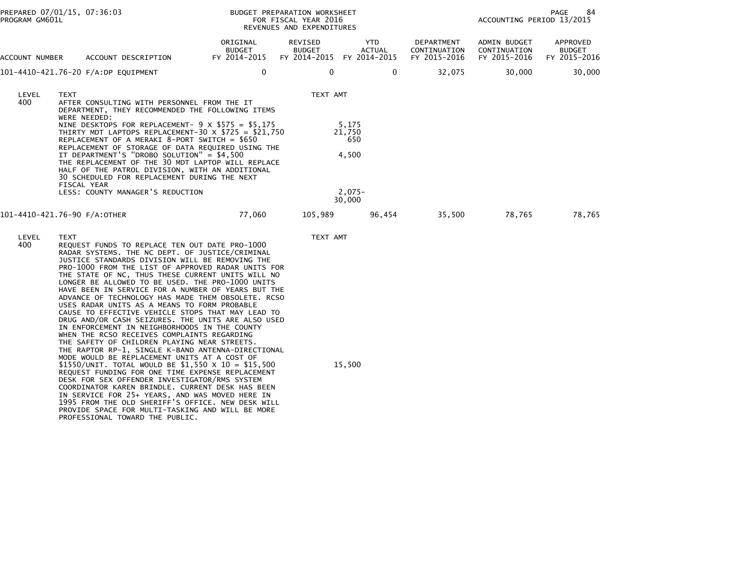| PROGRAM GM601L | PREPARED 07/01/15, 07:36:03                                                                                                                                                                                                                                                                                                                                                                                                                                                                                                                                                                                                                                                                                                                                                                                                                                                                                                                                                                                                                                                                                                                                                                                                                                             |                                           | BUDGET PREPARATION WORKSHEET<br>FOR FISCAL YEAR 2016<br>REVENUES AND EXPENDITURES |                      |                                            | ACCOUNTING PERIOD 13/2015                    | PAGE<br>84                                |
|----------------|-------------------------------------------------------------------------------------------------------------------------------------------------------------------------------------------------------------------------------------------------------------------------------------------------------------------------------------------------------------------------------------------------------------------------------------------------------------------------------------------------------------------------------------------------------------------------------------------------------------------------------------------------------------------------------------------------------------------------------------------------------------------------------------------------------------------------------------------------------------------------------------------------------------------------------------------------------------------------------------------------------------------------------------------------------------------------------------------------------------------------------------------------------------------------------------------------------------------------------------------------------------------------|-------------------------------------------|-----------------------------------------------------------------------------------|----------------------|--------------------------------------------|----------------------------------------------|-------------------------------------------|
| ACCOUNT NUMBER | ACCOUNT DESCRIPTION                                                                                                                                                                                                                                                                                                                                                                                                                                                                                                                                                                                                                                                                                                                                                                                                                                                                                                                                                                                                                                                                                                                                                                                                                                                     | ORIGINAL<br><b>BUDGET</b><br>FY 2014-2015 | REVISED<br><b>BUDGET</b><br>FY 2014-2015 FY 2014-2015                             | YTD<br><b>ACTUAL</b> | DEPARTMENT<br>CONTINUATION<br>FY 2015-2016 | ADMIN BUDGET<br>CONTINUATION<br>FY 2015-2016 | APPROVED<br><b>BUDGET</b><br>FY 2015-2016 |
|                | 101-4410-421.76-20 F/A:DP EQUIPMENT                                                                                                                                                                                                                                                                                                                                                                                                                                                                                                                                                                                                                                                                                                                                                                                                                                                                                                                                                                                                                                                                                                                                                                                                                                     | 0                                         | 0                                                                                 | 0                    | 32,075                                     | 30,000                                       | 30,000                                    |
| LEVEL<br>400   | <b>TEXT</b><br>AFTER CONSULTING WITH PERSONNEL FROM THE IT<br>DEPARTMENT, THEY RECOMMENDED THE FOLLOWING ITEMS<br>WERE NEEDED:<br>NINE DESKTOPS FOR REPLACEMENT- $9 \times $575 = $5,175$<br>THIRTY MDT LAPTOPS REPLACEMENT-30 $\times$ \$725 = \$21,750<br>REPLACEMENT OF A MERAKI 8-PORT SWITCH = \$650<br>REPLACEMENT OF STORAGE OF DATA REQUIRED USING THE<br>IT DEPARTMENT'S "DROBO SOLUTION" = \$4,500<br>THE REPLACEMENT OF THE 30 MDT LAPTOP WILL REPLACE<br>HALF OF THE PATROL DIVISION, WITH AN ADDITIONAL<br>30 SCHEDULED FOR REPLACEMENT DURING THE NEXT<br>FISCAL YEAR                                                                                                                                                                                                                                                                                                                                                                                                                                                                                                                                                                                                                                                                                     |                                           | TEXT AMT<br>5,175<br>21,750<br>650<br>4,500<br>$2,075-$                           |                      |                                            |                                              |                                           |
|                | LESS: COUNTY MANAGER'S REDUCTION                                                                                                                                                                                                                                                                                                                                                                                                                                                                                                                                                                                                                                                                                                                                                                                                                                                                                                                                                                                                                                                                                                                                                                                                                                        |                                           | 30,000                                                                            |                      |                                            |                                              |                                           |
|                | 101-4410-421.76-90 F/A:OTHER                                                                                                                                                                                                                                                                                                                                                                                                                                                                                                                                                                                                                                                                                                                                                                                                                                                                                                                                                                                                                                                                                                                                                                                                                                            | 77,060                                    | 105,989                                                                           | 96,454               | 35,500                                     | 78,765                                       | 78,765                                    |
| LEVEL<br>400   | TEXT<br>REQUEST FUNDS TO REPLACE TEN OUT DATE PRO-1000<br>RADAR SYSTEMS. THE NC DEPT. OF JUSTICE/CRIMINAL<br>JUSTICE STANDARDS DIVISION WILL BE REMOVING THE<br>PRO-1000 FROM THE LIST OF APPROVED RADAR UNITS FOR<br>THE STATE OF NC, THUS THESE CURRENT UNITS WILL NO<br>LONGER BE ALLOWED TO BE USED. THE PRO-1000 UNITS<br>HAVE BEEN IN SERVICE FOR A NUMBER OF YEARS BUT THE<br>ADVANCE OF TECHNOLOGY HAS MADE THEM OBSOLETE. RCSO<br>USES RADAR UNITS AS A MEANS TO FORM PROBABLE<br>CAUSE TO EFFECTIVE VEHICLE STOPS THAT MAY LEAD TO<br>DRUG AND/OR CASH SEIZURES. THE UNITS ARE ALSO USED<br>IN ENFORCEMENT IN NEIGHBORHOODS IN THE COUNTY<br>WHEN THE RCSO RECEIVES COMPLAINTS REGARDING<br>THE SAFETY OF CHILDREN PLAYING NEAR STREETS.<br>THE RAPTOR RP-1, SINGLE K-BAND ANTENNA-DIRECTIONAL<br>MODE WOULD BE REPLACEMENT UNITS AT A COST OF<br>\$1550/UNIT. TOTAL WOULD BE \$1,550 X 10 = \$15,500<br>REQUEST FUNDING FOR ONE TIME EXPENSE REPLACEMENT<br>DESK FOR SEX OFFENDER INVESTIGATOR/RMS SYSTEM<br>COORDINATOR KAREN BRINDLE. CURRENT DESK HAS BEEN<br>IN SERVICE FOR 25+ YEARS, AND WAS MOVED HERE IN<br>1995 FROM THE OLD SHERIFF'S OFFICE. NEW DESK WILL<br>PROVIDE SPACE FOR MULTI-TASKING AND WILL BE MORE<br>PROFESSIONAL TOWARD THE PUBLIC. |                                           | TEXT AMT<br>15,500                                                                |                      |                                            |                                              |                                           |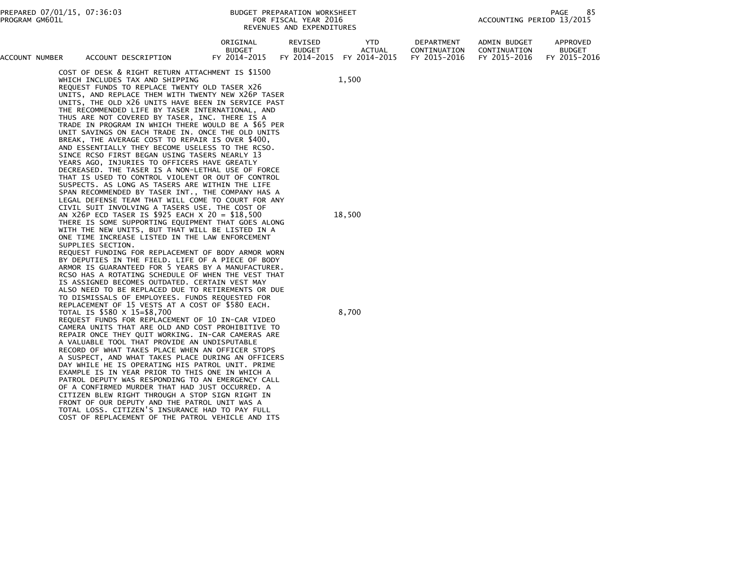|                |                                                                                                                                                                                                                                                                                                                                                                                                                                                                                                                                                                                                                                                                                                                                                                                                                                                                                                                                                                                                       |                                           | KEVENUES AND EAPENDITURES                |        |                                             |                                            |                                              |                                           |
|----------------|-------------------------------------------------------------------------------------------------------------------------------------------------------------------------------------------------------------------------------------------------------------------------------------------------------------------------------------------------------------------------------------------------------------------------------------------------------------------------------------------------------------------------------------------------------------------------------------------------------------------------------------------------------------------------------------------------------------------------------------------------------------------------------------------------------------------------------------------------------------------------------------------------------------------------------------------------------------------------------------------------------|-------------------------------------------|------------------------------------------|--------|---------------------------------------------|--------------------------------------------|----------------------------------------------|-------------------------------------------|
| ACCOUNT NUMBER | ACCOUNT DESCRIPTION                                                                                                                                                                                                                                                                                                                                                                                                                                                                                                                                                                                                                                                                                                                                                                                                                                                                                                                                                                                   | ORIGINAL<br><b>BUDGET</b><br>FY 2014-2015 | REVISED<br><b>BUDGET</b><br>FY 2014-2015 |        | <b>YTD</b><br><b>ACTUAL</b><br>FY 2014-2015 | DEPARTMENT<br>CONTINUATION<br>FY 2015-2016 | ADMIN BUDGET<br>CONTINUATION<br>FY 2015-2016 | APPROVED<br><b>BUDGET</b><br>FY 2015-2016 |
|                | COST OF DESK & RIGHT RETURN ATTACHMENT IS \$1500<br>WHICH INCLUDES TAX AND SHIPPING<br>REQUEST FUNDS TO REPLACE TWENTY OLD TASER X26<br>UNITS, AND REPLACE THEM WITH TWENTY NEW X26P TASER<br>UNITS, THE OLD X26 UNITS HAVE BEEN IN SERVICE PAST<br>THE RECOMMENDED LIFE BY TASER INTERNATIONAL, AND<br>THUS ARE NOT COVERED BY TASER, INC. THERE IS A<br>TRADE IN PROGRAM IN WHICH THERE WOULD BE A \$65 PER<br>UNIT SAVINGS ON EACH TRADE IN. ONCE THE OLD UNITS<br>BREAK, THE AVERAGE COST TO REPAIR IS OVER \$400,<br>AND ESSENTIALLY THEY BECOME USELESS TO THE RCSO.<br>SINCE RCSO FIRST BEGAN USING TASERS NEARLY 13<br>YEARS AGO, INJURIES TO OFFICERS HAVE GREATLY<br>DECREASED. THE TASER IS A NON-LETHAL USE OF FORCE<br>THAT IS USED TO CONTROL VIOLENT OR OUT OF CONTROL<br>SUSPECTS. AS LONG AS TASERS ARE WITHIN THE LIFE<br>SPAN RECOMMENDED BY TASER INT., THE COMPANY HAS A<br>LEGAL DEFENSE TEAM THAT WILL COME TO COURT FOR ANY<br>CIVIL SUIT INVOLVING A TASERS USE. THE COST OF |                                           |                                          | 1,500  |                                             |                                            |                                              |                                           |
|                | AN X26P ECD TASER IS \$925 EACH X 20 = \$18,500<br>THERE IS SOME SUPPORTING EQUIPMENT THAT GOES ALONG<br>WITH THE NEW UNITS, BUT THAT WILL BE LISTED IN A<br>ONE TIME INCREASE LISTED IN THE LAW ENFORCEMENT<br>SUPPLIES SECTION.<br>REQUEST FUNDING FOR REPLACEMENT OF BODY ARMOR WORN<br>BY DEPUTIES IN THE FIELD. LIFE OF A PIECE OF BODY<br>ARMOR IS GUARANTEED FOR 5 YEARS BY A MANUFACTURER.<br>RCSO HAS A ROTATING SCHEDULE OF WHEN THE VEST THAT<br>IS ASSIGNED BECOMES OUTDATED. CERTAIN VEST MAY<br>ALSO NEED TO BE REPLACED DUE TO RETIREMENTS OR DUE<br>TO DISMISSALS OF EMPLOYEES. FUNDS REQUESTED FOR<br>REPLACEMENT OF 15 VESTS AT A COST OF \$580 EACH.                                                                                                                                                                                                                                                                                                                               |                                           |                                          | 18,500 |                                             |                                            |                                              |                                           |
|                | TOTAL IS \$580 X 15=\$8,700<br>REQUEST FUNDS FOR REPLACEMENT OF 10 IN-CAR VIDEO<br>CAMERA UNITS THAT ARE OLD AND COST PROHIBITIVE TO<br>REPAIR ONCE THEY QUIT WORKING. IN-CAR CAMERAS ARE<br>A VALUABLE TOOL THAT PROVIDE AN UNDISPUTABLE<br>RECORD OF WHAT TAKES PLACE WHEN AN OFFICER STOPS<br>A SUSPECT, AND WHAT TAKES PLACE DURING AN OFFICERS<br>DAY WHILE HE IS OPERATING HIS PATROL UNIT. PRIME<br>EXAMPLE IS IN YEAR PRIOR TO THIS ONE IN WHICH A<br>PATROL DEPUTY WAS RESPONDING TO AN EMERGENCY CALL<br>OF A CONFIRMED MURDER THAT HAD JUST OCCURRED. A<br>CITIZEN BLEW RIGHT THROUGH A STOP SIGN RIGHT IN<br>FRONT OF OUR DEPUTY AND THE PATROL UNIT WAS A<br>TOTAL LOSS. CITIZEN'S INSURANCE HAD TO PAY FULL<br>COST OF REPLACEMENT OF THE PATROL VEHICLE AND ITS                                                                                                                                                                                                                        |                                           |                                          | 8,700  |                                             |                                            |                                              |                                           |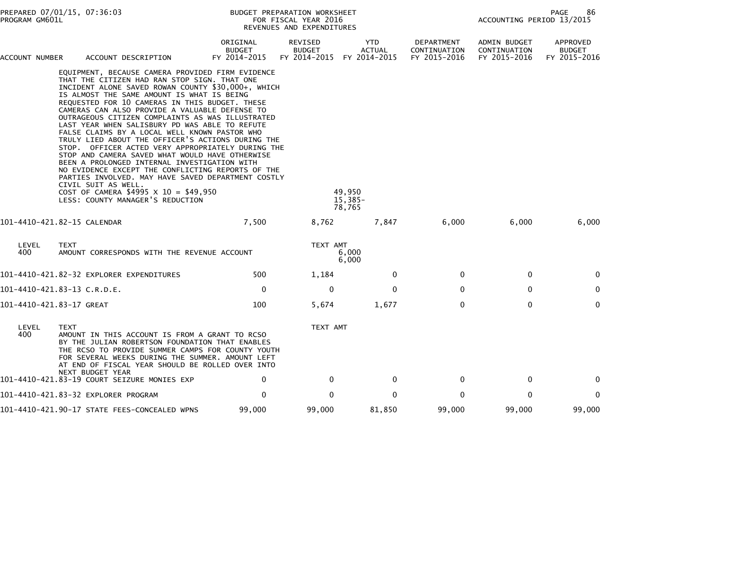| PREPARED 07/01/15, 07:36:03<br>PROGRAM GM601L |                                                                                                                                                                                                                                                                                                                                                                                                                                                                                                                                                                                                                                                                                                                                                                                                                                                                                             | BUDGET PREPARATION WORKSHEET<br>FOR FISCAL YEAR 2016<br>REVENUES AND EXPENDITURES |                                                 |                                       |                                            |                                              | 86<br>PAGE<br>ACCOUNTING PERIOD 13/2015   |  |  |
|-----------------------------------------------|---------------------------------------------------------------------------------------------------------------------------------------------------------------------------------------------------------------------------------------------------------------------------------------------------------------------------------------------------------------------------------------------------------------------------------------------------------------------------------------------------------------------------------------------------------------------------------------------------------------------------------------------------------------------------------------------------------------------------------------------------------------------------------------------------------------------------------------------------------------------------------------------|-----------------------------------------------------------------------------------|-------------------------------------------------|---------------------------------------|--------------------------------------------|----------------------------------------------|-------------------------------------------|--|--|
| ACCOUNT NUMBER                                | ACCOUNT DESCRIPTION                                                                                                                                                                                                                                                                                                                                                                                                                                                                                                                                                                                                                                                                                                                                                                                                                                                                         | ORIGINAL<br><b>BUDGET</b><br>FY 2014-2015                                         | <b>REVISED</b><br><b>BUDGET</b><br>FY 2014-2015 | YTD.<br><b>ACTUAL</b><br>FY 2014-2015 | DEPARTMENT<br>CONTINUATION<br>FY 2015-2016 | ADMIN BUDGET<br>CONTINUATION<br>FY 2015-2016 | APPROVED<br><b>BUDGET</b><br>FY 2015-2016 |  |  |
|                                               | EQUIPMENT, BECAUSE CAMERA PROVIDED FIRM EVIDENCE<br>THAT THE CITIZEN HAD RAN STOP SIGN. THAT ONE<br>INCIDENT ALONE SAVED ROWAN COUNTY \$30,000+, WHICH<br>IS ALMOST THE SAME AMOUNT IS WHAT IS BEING<br>REQUESTED FOR 10 CAMERAS IN THIS BUDGET. THESE<br>CAMERAS CAN ALSO PROVIDE A VALUABLE DEFENSE TO<br>OUTRAGEOUS CITIZEN COMPLAINTS AS WAS ILLUSTRATED<br>LAST YEAR WHEN SALISBURY PD WAS ABLE TO REFUTE<br>FALSE CLAIMS BY A LOCAL WELL KNOWN PASTOR WHO<br>TRULY LIED ABOUT THE OFFICER'S ACTIONS DURING THE<br>STOP. OFFICER ACTED VERY APPROPRIATELY DURING THE<br>STOP AND CAMERA SAVED WHAT WOULD HAVE OTHERWISE<br>BEEN A PROLONGED INTERNAL INVESTIGATION WITH<br>NO EVIDENCE EXCEPT THE CONFLICTING REPORTS OF THE<br>PARTIES INVOLVED. MAY HAVE SAVED DEPARTMENT COSTLY<br>CIVIL SUIT AS WELL.<br>COST OF CAMERA \$4995 X 10 = \$49,950<br>LESS: COUNTY MANAGER'S REDUCTION |                                                                                   |                                                 | 49.950<br>$15,385-$<br>78,765         |                                            |                                              |                                           |  |  |
|                                               | 101-4410-421.82-15 CALENDAR                                                                                                                                                                                                                                                                                                                                                                                                                                                                                                                                                                                                                                                                                                                                                                                                                                                                 | 7,500                                                                             | 8,762                                           | 7,847                                 | 6,000                                      | 6,000                                        | 6,000                                     |  |  |
| LEVEL<br>400                                  | <b>TEXT</b><br>AMOUNT CORRESPONDS WITH THE REVENUE ACCOUNT                                                                                                                                                                                                                                                                                                                                                                                                                                                                                                                                                                                                                                                                                                                                                                                                                                  |                                                                                   | TEXT AMT                                        | 6,000<br>6,000                        |                                            |                                              |                                           |  |  |
|                                               | 101-4410-421.82-32 EXPLORER EXPENDITURES                                                                                                                                                                                                                                                                                                                                                                                                                                                                                                                                                                                                                                                                                                                                                                                                                                                    | 500                                                                               | 1,184                                           | 0                                     | $\Omega$                                   | 0                                            | $\mathbf{0}$                              |  |  |
|                                               | 101-4410-421.83-13 C.R.D.E.                                                                                                                                                                                                                                                                                                                                                                                                                                                                                                                                                                                                                                                                                                                                                                                                                                                                 | $\mathbf 0$                                                                       | 0                                               | $\Omega$                              | $\mathbf{0}$                               | $\mathbf 0$                                  | $\mathbf 0$                               |  |  |
| 101-4410-421.83-17 GREAT                      |                                                                                                                                                                                                                                                                                                                                                                                                                                                                                                                                                                                                                                                                                                                                                                                                                                                                                             | 100                                                                               | 5,674                                           | 1,677                                 | $\mathbf{0}$                               | $\Omega$                                     | $\mathbf{0}$                              |  |  |
| LEVEL<br>400                                  | <b>TEXT</b><br>AMOUNT IN THIS ACCOUNT IS FROM A GRANT TO RCSO<br>BY THE JULIAN ROBERTSON FOUNDATION THAT ENABLES<br>THE RCSO TO PROVIDE SUMMER CAMPS FOR COUNTY YOUTH<br>FOR SEVERAL WEEKS DURING THE SUMMER. AMOUNT LEFT<br>AT END OF FISCAL YEAR SHOULD BE ROLLED OVER INTO                                                                                                                                                                                                                                                                                                                                                                                                                                                                                                                                                                                                               |                                                                                   | TEXT AMT                                        |                                       |                                            |                                              |                                           |  |  |
|                                               | NEXT BUDGET YEAR<br>101-4410-421.83-19 COURT SEIZURE MONIES EXP                                                                                                                                                                                                                                                                                                                                                                                                                                                                                                                                                                                                                                                                                                                                                                                                                             | 0                                                                                 | $\mathbf{0}$                                    | $\Omega$                              | 0                                          | 0                                            | 0                                         |  |  |
|                                               | 101-4410-421.83-32 EXPLORER PROGRAM                                                                                                                                                                                                                                                                                                                                                                                                                                                                                                                                                                                                                                                                                                                                                                                                                                                         | 0                                                                                 | $\Omega$                                        | 0                                     | 0                                          | $\mathbf{0}$                                 | $\mathbf{0}$                              |  |  |
|                                               | 101-4410-421.90-17 STATE FEES-CONCEALED WPNS                                                                                                                                                                                                                                                                                                                                                                                                                                                                                                                                                                                                                                                                                                                                                                                                                                                | 99,000                                                                            | 99,000                                          | 81,850                                | 99,000                                     | 99,000                                       | 99,000                                    |  |  |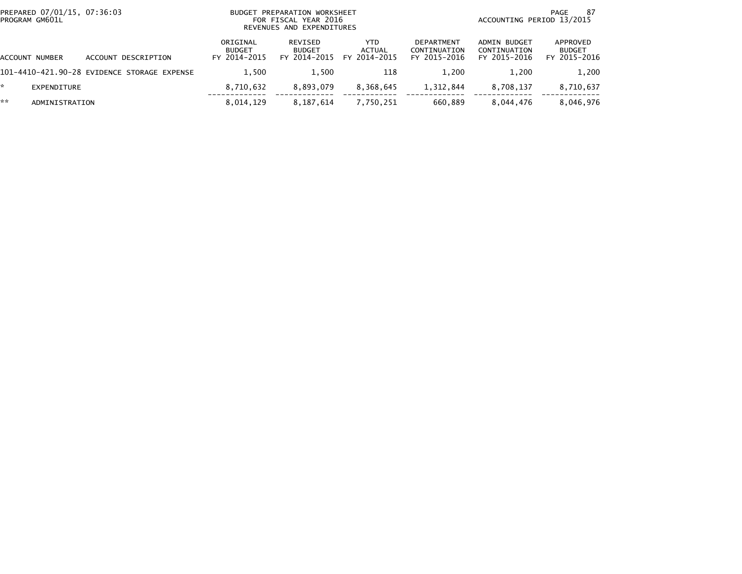| PREPARED 07/01/15, 07:36:03<br>PROGRAM GM601L |                                             |                                           | BUDGET PREPARATION WORKSHEET<br>FOR FISCAL YEAR 2016<br>REVENUES AND EXPENDITURES |                                | -87<br>PAGE<br>ACCOUNTING PERIOD 13/2015          |                                              |                                           |
|-----------------------------------------------|---------------------------------------------|-------------------------------------------|-----------------------------------------------------------------------------------|--------------------------------|---------------------------------------------------|----------------------------------------------|-------------------------------------------|
| ACCOUNT NUMBER                                | ACCOUNT DESCRIPTION                         | ORIGINAL<br><b>BUDGET</b><br>FY 2014-2015 | REVISED<br><b>BUDGET</b><br>FY 2014-2015                                          | YTD.<br>ACTUAL<br>FY 2014-2015 | <b>DEPARTMENT</b><br>CONTINUATION<br>FY 2015-2016 | ADMIN BUDGET<br>CONTINUATION<br>FY 2015-2016 | APPROVED<br><b>BUDGET</b><br>FY 2015-2016 |
|                                               | 101-4410-421.90-28 EVIDENCE STORAGE EXPENSE | 1.500                                     | 1.500                                                                             | 118                            | 1.200                                             | 1.200                                        | 1,200                                     |
| EXPENDITURE                                   |                                             | 8,710,632                                 | 8.893.079                                                                         | 8,368,645                      | 1,312,844                                         | 8.708.137                                    | 8,710,637                                 |
| **<br>ADMINISTRATION                          |                                             | 8,014,129                                 | 8,187,614                                                                         | 7,750,251                      | 660.889                                           | 8,044,476                                    | 8,046,976                                 |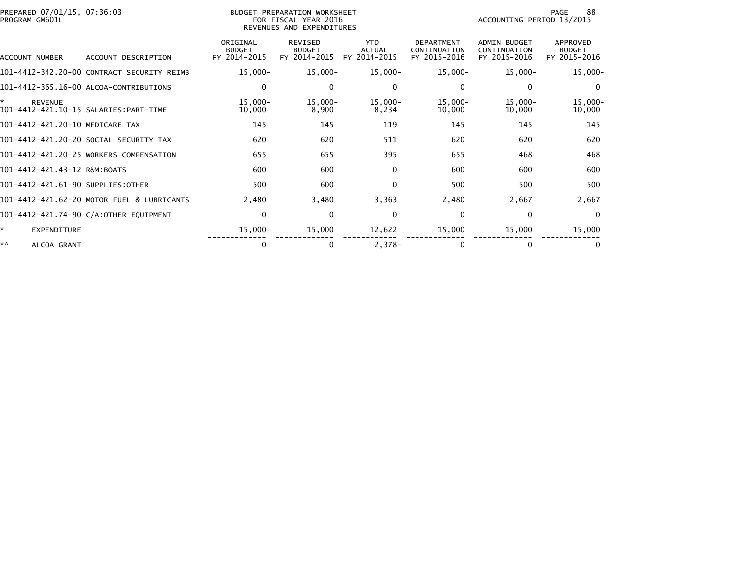| PREPARED 07/01/15, 07:36:03<br>PROGRAM GM601L |                                            |                                           | BUDGET PREPARATION WORKSHEET<br>FOR FISCAL YEAR 2016<br>REVENUES AND EXPENDITURES |                                             |                                                   | ACCOUNTING PERIOD 13/2015                           | 88<br>PAGE                                |
|-----------------------------------------------|--------------------------------------------|-------------------------------------------|-----------------------------------------------------------------------------------|---------------------------------------------|---------------------------------------------------|-----------------------------------------------------|-------------------------------------------|
| ACCOUNT NUMBER                                | ACCOUNT DESCRIPTION                        | ORIGINAL<br><b>BUDGET</b><br>FY 2014-2015 | <b>REVISED</b><br><b>BUDGET</b><br>FY 2014-2015                                   | <b>YTD</b><br><b>ACTUAL</b><br>FY 2014-2015 | <b>DEPARTMENT</b><br>CONTINUATION<br>FY 2015-2016 | <b>ADMIN BUDGET</b><br>CONTINUATION<br>FY 2015-2016 | APPROVED<br><b>BUDGET</b><br>FY 2015-2016 |
|                                               | 101-4412-342.20-00 CONTRACT SECURITY REIMB | $15,000 -$                                | $15,000 -$                                                                        | $15,000-$                                   | $15,000 -$                                        | $15,000 -$                                          | $15,000 -$                                |
|                                               | 101-4412-365.16-00 ALCOA-CONTRIBUTIONS     | 0                                         | $\mathbf{0}$                                                                      | 0                                           | $\Omega$                                          | $\Omega$                                            | $\mathbf{0}$                              |
| *<br><b>REVENUE</b>                           | 101-4412-421.10-15 SALARIES: PART-TIME     | $15,000 -$<br>10,000                      | $15,000 -$<br>8,900                                                               | $15,000 -$<br>8,234                         | $15,000 -$<br>10,000                              | $15,000 -$<br>10,000                                | $15,000 -$<br>10,000                      |
| 101-4412-421.20-10 MEDICARE TAX               |                                            | 145                                       | 145                                                                               | 119                                         | 145                                               | 145                                                 | 145                                       |
|                                               | 101-4412-421.20-20 SOCIAL SECURITY TAX     | 620                                       | 620                                                                               | 511                                         | 620                                               | 620                                                 | 620                                       |
|                                               | 101-4412-421.20-25 WORKERS COMPENSATION    | 655                                       | 655                                                                               | 395                                         | 655                                               | 468                                                 | 468                                       |
| 101-4412-421.43-12 R&M:BOATS                  |                                            | 600                                       | 600                                                                               | $\Omega$                                    | 600                                               | 600                                                 | 600                                       |
| 101-4412-421.61-90 SUPPLIES:OTHER             |                                            | 500                                       | 600                                                                               | $\Omega$                                    | 500                                               | 500                                                 | 500                                       |
|                                               | 101-4412-421.62-20 MOTOR FUEL & LUBRICANTS | 2,480                                     | 3,480                                                                             | 3,363                                       | 2,480                                             | 2,667                                               | 2,667                                     |
|                                               | 101-4412-421.74-90 C/A:OTHER EQUIPMENT     | $\mathbf 0$                               | $\mathbf{0}$                                                                      | $\Omega$                                    | $\mathbf{0}$                                      | $\Omega$                                            | $\mathbf{0}$                              |
| ÷.<br>EXPENDITURE                             |                                            | 15,000                                    | 15,000                                                                            | 12,622                                      | 15,000                                            | 15,000                                              | 15,000                                    |
| **<br>ALCOA GRANT                             |                                            | 0                                         | $\bf{0}$                                                                          | $2,378-$                                    |                                                   | 0                                                   | 0                                         |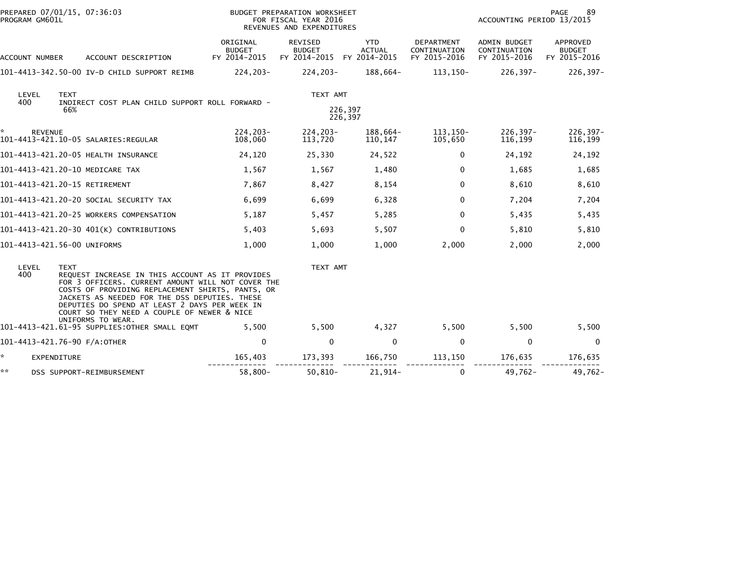|     | PROGRAM GM601L |                    | PREPARED 07/01/15, 07:36:03                                                                                                                                                                                                                                                                                                    |                                           | BUDGET PREPARATION WORKSHEET<br>FOR FISCAL YEAR 2016<br>REVENUES AND EXPENDITURES | 89<br>PAGE<br>ACCOUNTING PERIOD 13/2015     |                                            |                                              |                                           |
|-----|----------------|--------------------|--------------------------------------------------------------------------------------------------------------------------------------------------------------------------------------------------------------------------------------------------------------------------------------------------------------------------------|-------------------------------------------|-----------------------------------------------------------------------------------|---------------------------------------------|--------------------------------------------|----------------------------------------------|-------------------------------------------|
|     | ACCOUNT NUMBER |                    | ACCOUNT DESCRIPTION                                                                                                                                                                                                                                                                                                            | ORIGINAL<br><b>BUDGET</b><br>FY 2014-2015 | REVISED<br><b>BUDGET</b><br>FY 2014-2015                                          | <b>YTD</b><br><b>ACTUAL</b><br>FY 2014-2015 | DEPARTMENT<br>CONTINUATION<br>FY 2015-2016 | ADMIN BUDGET<br>CONTINUATION<br>FY 2015-2016 | APPROVED<br><b>BUDGET</b><br>FY 2015-2016 |
|     |                |                    | 101-4413-342.50-00 IV-D CHILD SUPPORT REIMB                                                                                                                                                                                                                                                                                    | 224,203-                                  | $224, 203 -$                                                                      | 188,664-                                    | 113,150-                                   | $226, 397 -$                                 | $226, 397 -$                              |
| 400 | LEVEL          | <b>TEXT</b><br>66% | INDIRECT COST PLAN CHILD SUPPORT ROLL FORWARD -                                                                                                                                                                                                                                                                                |                                           | TEXT AMT                                                                          | 226,397<br>226,397                          |                                            |                                              |                                           |
|     | <b>REVENUE</b> |                    | 101-4413-421.10-05 SALARIES:REGULAR                                                                                                                                                                                                                                                                                            | 224,203-<br>108,060                       | $224, 203 -$<br>113,720                                                           | 188,664-<br>110,147                         | 113,150-<br>105,650                        | $226, 397 -$<br>116,199                      | $226, 397 -$<br>116,199                   |
|     |                |                    | 101-4413-421.20-05 HEALTH INSURANCE                                                                                                                                                                                                                                                                                            | 24,120                                    | 25,330                                                                            | 24,522                                      | 0                                          | 24,192                                       | 24,192                                    |
|     |                |                    | 101-4413-421.20-10 MEDICARE TAX                                                                                                                                                                                                                                                                                                | 1,567                                     | 1,567                                                                             | 1,480                                       | $\Omega$                                   | 1,685                                        | 1,685                                     |
|     |                |                    | 101-4413-421.20-15 RETIREMENT                                                                                                                                                                                                                                                                                                  | 7,867                                     | 8,427                                                                             | 8,154                                       | $\mathbf{0}$                               | 8,610                                        | 8,610                                     |
|     |                |                    | 101-4413-421.20-20 SOCIAL SECURITY TAX                                                                                                                                                                                                                                                                                         | 6,699                                     | 6,699                                                                             | 6,328                                       | $\Omega$                                   | 7,204                                        | 7,204                                     |
|     |                |                    | 101-4413-421.20-25 WORKERS COMPENSATION                                                                                                                                                                                                                                                                                        | 5,187                                     | 5,457                                                                             | 5,285                                       | $\mathbf{0}$                               | 5,435                                        | 5,435                                     |
|     |                |                    | 101-4413-421.20-30 401(K) CONTRIBUTIONS                                                                                                                                                                                                                                                                                        | 5,403                                     | 5,693                                                                             | 5,507                                       | $\Omega$                                   | 5,810                                        | 5,810                                     |
|     |                |                    | 101-4413-421.56-00 UNIFORMS                                                                                                                                                                                                                                                                                                    | 1,000                                     | 1,000                                                                             | 1,000                                       | 2,000                                      | 2,000                                        | 2,000                                     |
|     | LEVEL<br>400   | <b>TEXT</b>        | REQUEST INCREASE IN THIS ACCOUNT AS IT PROVIDES<br>FOR 3 OFFICERS. CURRENT AMOUNT WILL NOT COVER THE<br>COSTS OF PROVIDING REPLACEMENT SHIRTS, PANTS, OR<br>JACKETS AS NEEDED FOR THE DSS DEPUTIES. THESE<br>DEPUTIES DO SPEND AT LEAST 2 DAYS PER WEEK IN<br>COURT SO THEY NEED A COUPLE OF NEWER & NICE<br>UNIFORMS TO WEAR. |                                           | TEXT AMT                                                                          |                                             |                                            |                                              |                                           |
|     |                |                    | 101-4413-421.61-95 SUPPLIES:OTHER SMALL EQMT                                                                                                                                                                                                                                                                                   | 5,500                                     | 5,500                                                                             | 4,327                                       | 5,500                                      | 5,500                                        | 5,500                                     |
|     |                |                    | 101-4413-421.76-90 F/A:OTHER                                                                                                                                                                                                                                                                                                   | 0                                         | $\mathbf 0$                                                                       | 0                                           | $\mathbf 0$                                | $\mathbf 0$                                  | 0                                         |
| *.  | EXPENDITURE    |                    |                                                                                                                                                                                                                                                                                                                                | 165,403                                   | 173,393                                                                           | 166,750                                     | 113,150                                    | 176,635                                      | 176,635                                   |
| **  |                |                    | DSS SUPPORT-REIMBURSEMENT                                                                                                                                                                                                                                                                                                      | 58,800-                                   | $50,810-$                                                                         | $21,914-$                                   | $\mathbf{0}$                               | $49,762 -$                                   | $49,762 -$                                |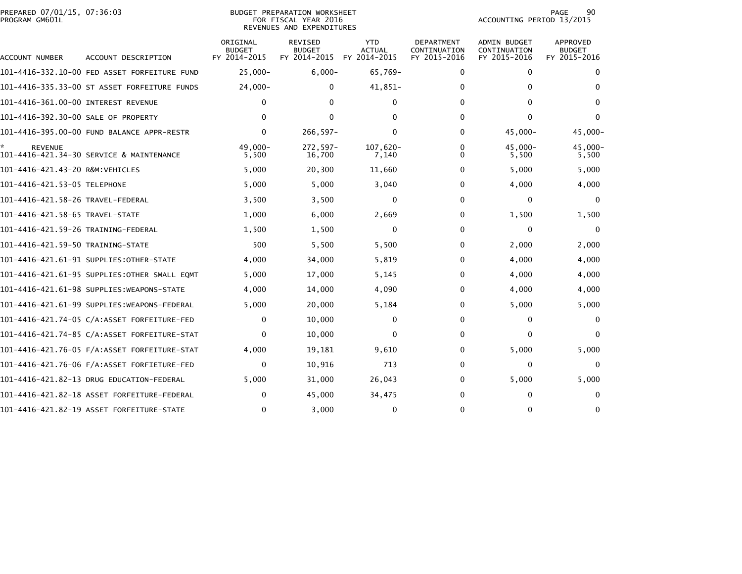|                | PREPARED 07/01/15, 07:36:03 |  |
|----------------|-----------------------------|--|
| PROGRAM GM601L |                             |  |

## BUDGET PREPARATION WORKSHEET<br>FOR FISCAL YEAR 2016 PROGRAM GM601L FOR FISCAL YEAR 2016 ACCOUNTING PERIOD 13/2015REVENUES AND EXPENDITURES

| ACCOUNT NUMBER                      | ACCOUNT DESCRIPTION                          | ORIGINAL<br><b>BUDGET</b><br>FY 2014-2015 | REVISED<br><b>BUDGET</b><br>FY 2014-2015 | <b>YTD</b><br><b>ACTUAL</b><br>FY 2014-2015 | DEPARTMENT<br>CONTINUATION<br>FY 2015-2016 | ADMIN BUDGET<br>CONTINUATION<br>FY 2015-2016 | APPROVED<br><b>BUDGET</b><br>FY 2015-2016 |
|-------------------------------------|----------------------------------------------|-------------------------------------------|------------------------------------------|---------------------------------------------|--------------------------------------------|----------------------------------------------|-------------------------------------------|
|                                     |                                              | $25,000 -$                                | $6,000 -$                                | 65,769-                                     | 0                                          | 0                                            | 0                                         |
|                                     | 101-4416-335.33-00 ST ASSET FORFEITURE FUNDS | $24,000 -$                                | 0                                        | 41,851-                                     | 0                                          | 0                                            | $\Omega$                                  |
| 101-4416-361.00-00 INTEREST REVENUE |                                              | 0                                         | 0                                        | $\mathbf{0}$                                | $\Omega$                                   | 0                                            | $\Omega$                                  |
| 101-4416-392.30-00 SALE OF PROPERTY |                                              | $\Omega$                                  | 0                                        | O                                           | $\Omega$                                   | 0                                            | $\Omega$                                  |
|                                     | 101-4416-395.00-00 FUND BALANCE APPR-RESTR   | $\mathbf{0}$                              | $266, 597 -$                             | $\Omega$                                    | $\Omega$                                   | 45,000-                                      | 45,000-                                   |
| <b>REVENUE</b>                      | 101-4416-421.34-30 SERVICE & MAINTENANCE     | $49.000 -$<br>5,500                       | $272.597 -$<br>16,700                    | 107.620-<br>7,140                           | 0<br><sup>0</sup>                          | $45.000 -$<br>5,500                          | 45,000-<br>5,500                          |
| 101-4416-421.43-20 R&M: VEHICLES    |                                              | 5,000                                     | 20,300                                   | 11,660                                      | 0                                          | 5,000                                        | 5,000                                     |
| 101-4416-421.53-05 TELEPHONE        |                                              | 5,000                                     | 5,000                                    | 3,040                                       | 0                                          | 4,000                                        | 4,000                                     |
| 101-4416-421.58-26 TRAVEL-FEDERAL   |                                              | 3,500                                     | 3,500                                    | 0                                           | 0                                          | 0                                            | 0                                         |
| 101-4416-421.58-65 TRAVEL-STATE     |                                              | 1,000                                     | 6,000                                    | 2,669                                       | 0                                          | 1,500                                        | 1,500                                     |
| 101-4416-421.59-26 TRAINING-FEDERAL |                                              | 1,500                                     | 1,500                                    | 0                                           | 0                                          | 0                                            | 0                                         |
| 101-4416-421.59-50 TRAINING-STATE   |                                              | 500                                       | 5,500                                    | 5,500                                       | 0                                          | 2,000                                        | 2,000                                     |
|                                     | 101-4416-421.61-91 SUPPLIES: OTHER-STATE     | 4,000                                     | 34,000                                   | 5,819                                       | 0                                          | 4,000                                        | 4,000                                     |
|                                     | 101–4416–421.61–95 SUPPLIES:OTHER SMALL EOMT | 5,000                                     | 17,000                                   | 5,145                                       | 0                                          | 4,000                                        | 4,000                                     |
|                                     | 101-4416-421.61-98 SUPPLIES:WEAPONS-STATE    | 4,000                                     | 14,000                                   | 4,090                                       | 0                                          | 4,000                                        | 4,000                                     |
|                                     | 101-4416-421.61-99 SUPPLIES:WEAPONS-FEDERAL  | 5,000                                     | 20,000                                   | 5,184                                       | 0                                          | 5,000                                        | 5,000                                     |
|                                     | 101-4416-421.74-05 C/A:ASSET FORFEITURE-FED  | 0                                         | 10,000                                   | 0                                           | 0                                          | 0                                            | $\Omega$                                  |
|                                     | 101-4416-421.74-85 C/A:ASSET FORFEITURE-STAT | $\mathbf{0}$                              | 10,000                                   | 0                                           | 0                                          | 0                                            | $\Omega$                                  |
|                                     |                                              | 4,000                                     | 19,181                                   | 9,610                                       | 0                                          | 5,000                                        | 5,000                                     |
|                                     |                                              | 0                                         | 10,916                                   | 713                                         | 0                                          | 0                                            | $\Omega$                                  |
|                                     | 101-4416-421.82-13 DRUG EDUCATION-FEDERAL    | 5,000                                     | 31,000                                   | 26,043                                      | 0                                          | 5,000                                        | 5,000                                     |
|                                     | 101-4416-421.82-18 ASSET FORFEITURE-FEDERAL  | 0                                         | 45,000                                   | 34,475                                      | 0                                          | 0                                            | $\Omega$                                  |
|                                     | 101-4416-421.82-19 ASSET FORFEITURE-STATE    | $\mathbf{0}$                              | 3,000                                    | 0                                           | 0                                          | $\Omega$                                     | $\Omega$                                  |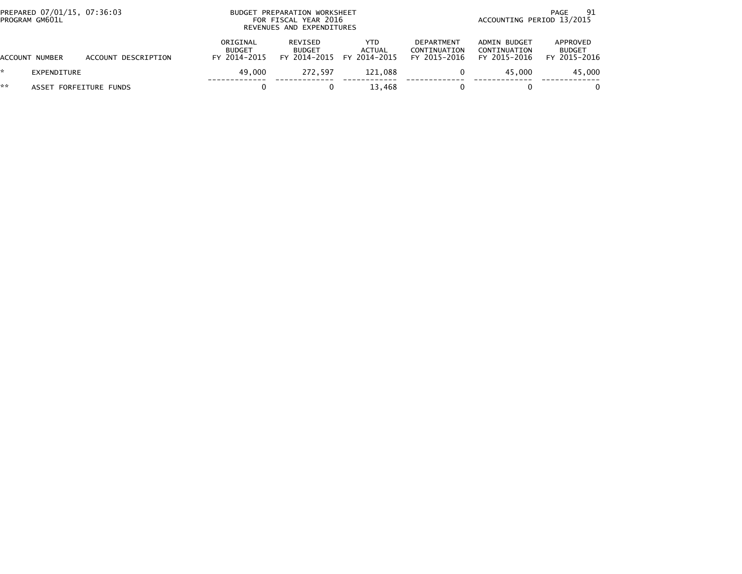|    | PREPARED 07/01/15, 07:36:03<br>PROGRAM GM601L |                     |                                           | BUDGET PREPARATION WORKSHEET<br>FOR FISCAL YEAR 2016<br>REVENUES AND EXPENDITURES |                                                    |                                                   |                                              |                                           |
|----|-----------------------------------------------|---------------------|-------------------------------------------|-----------------------------------------------------------------------------------|----------------------------------------------------|---------------------------------------------------|----------------------------------------------|-------------------------------------------|
|    | ACCOUNT NUMBER                                | ACCOUNT DESCRIPTION | ORIGINAL<br><b>BUDGET</b><br>FY 2014-2015 | REVISED<br><b>BUDGET</b>                                                          | YTD.<br><b>ACTUAL</b><br>FY 2014-2015 FY 2014-2015 | <b>DEPARTMENT</b><br>CONTINUATION<br>FY 2015-2016 | ADMIN BUDGET<br>CONTINUATION<br>FY 2015-2016 | APPROVED<br><b>BUDGET</b><br>FY 2015-2016 |
| ÷. | <b>EXPENDITURE</b>                            |                     | 49.000                                    | 272.597                                                                           | 121.088                                            |                                                   | 45.000                                       | 45,000                                    |
| ** | ASSET FORFEITURE FUNDS                        |                     |                                           |                                                                                   | 13.468                                             |                                                   |                                              | 0                                         |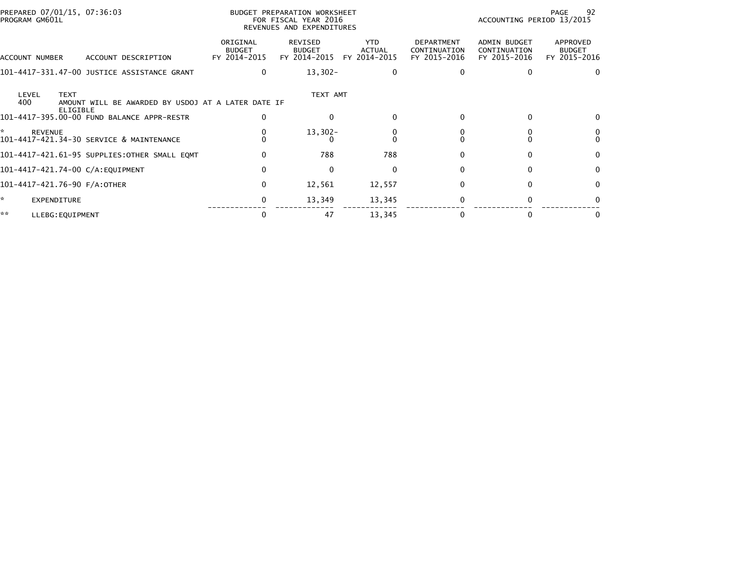| PREPARED 07/01/15, 07:36:03<br>PROGRAM GM601L                                                        |                                           | BUDGET PREPARATION WORKSHEET<br>FOR FISCAL YEAR 2016<br>REVENUES AND EXPENDITURES |                                             |                                            | ACCOUNTING PERIOD 13/2015                           | 92<br>PAGE                                |
|------------------------------------------------------------------------------------------------------|-------------------------------------------|-----------------------------------------------------------------------------------|---------------------------------------------|--------------------------------------------|-----------------------------------------------------|-------------------------------------------|
| ACCOUNT DESCRIPTION<br>ACCOUNT NUMBER                                                                | ORIGINAL<br><b>BUDGET</b><br>FY 2014-2015 | REVISED<br><b>BUDGET</b><br>FY 2014-2015                                          | <b>YTD</b><br><b>ACTUAL</b><br>FY 2014-2015 | DEPARTMENT<br>CONTINUATION<br>FY 2015-2016 | <b>ADMIN BUDGET</b><br>CONTINUATION<br>FY 2015-2016 | APPROVED<br><b>BUDGET</b><br>FY 2015-2016 |
| 101-4417-331.47-00 JUSTICE ASSISTANCE GRANT                                                          | $\mathbf{0}$                              | $13,302-$                                                                         | $\Omega$                                    | 0                                          |                                                     | $\Omega$                                  |
| LEVEL<br><b>TEXT</b><br>400<br>AMOUNT WILL BE AWARDED BY USDOJ AT A LATER DATE IF<br><b>ELIGIBLE</b> |                                           | TEXT AMT                                                                          |                                             |                                            |                                                     |                                           |
| 101-4417-395.00-00 FUND BALANCE APPR-RESTR                                                           | $\Omega$                                  | $\Omega$                                                                          | $\Omega$                                    | $\Omega$                                   | 0                                                   | $\Omega$                                  |
| <b>REVENUE</b><br>101-4417-421.34-30 SERVICE & MAINTENANCE                                           |                                           | $13,302-$                                                                         |                                             |                                            |                                                     | $\Omega$                                  |
| 101-4417-421.61-95 SUPPLIES: OTHER SMALL EQMT                                                        | $\Omega$                                  | 788                                                                               | 788                                         | 0                                          |                                                     | $\Omega$                                  |
| 101-4417-421.74-00 C/A:EQUIPMENT                                                                     | $\mathbf{0}$                              | $\mathbf{0}$                                                                      | 0                                           | 0                                          |                                                     | $\Omega$                                  |
| 101-4417-421.76-90 F/A:OTHER                                                                         | $\mathbf{0}$                              | 12,561                                                                            | 12,557                                      | $\Omega$                                   | <sup>0</sup>                                        | $\Omega$                                  |
| <b>EXPENDITURE</b>                                                                                   | 0                                         | 13,349                                                                            | 13,345                                      | 0                                          |                                                     | 0                                         |
| **<br>LLEBG: EQUIPMENT                                                                               | $\Omega$                                  | 47                                                                                | 13,345                                      | $\Omega$                                   | $\Omega$                                            | $\Omega$                                  |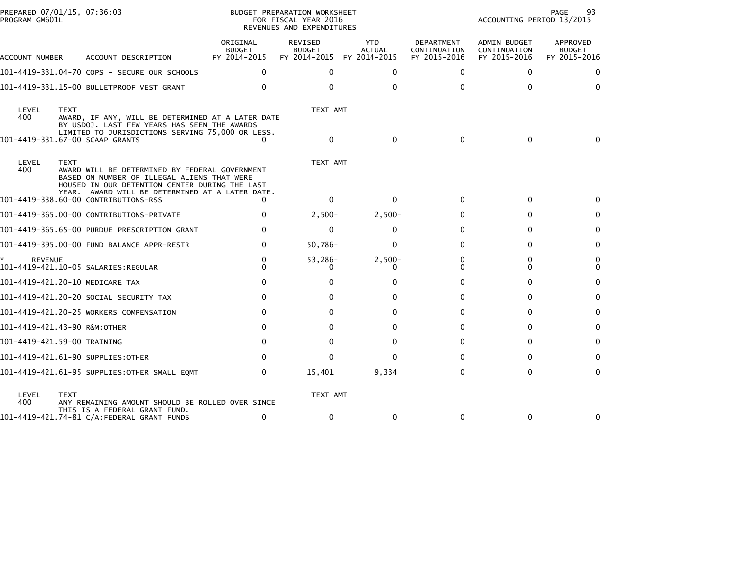| PROGRAM GM601L | PREPARED 07/01/15, 07:36:03                                                                                                                                          |                                    | BUDGET PREPARATION WORKSHEET<br>FOR FISCAL YEAR 2016<br>REVENUES AND EXPENDITURES |                                       |                                            | ACCOUNTING PERIOD 13/2015                    | 93<br>PAGE                                |
|----------------|----------------------------------------------------------------------------------------------------------------------------------------------------------------------|------------------------------------|-----------------------------------------------------------------------------------|---------------------------------------|--------------------------------------------|----------------------------------------------|-------------------------------------------|
| ACCOUNT NUMBER | ACCOUNT DESCRIPTION                                                                                                                                                  | ORIGINAL<br>BUDGET<br>FY 2014-2015 | REVISED<br><b>BUDGET</b><br>FY 2014-2015                                          | YTD.<br><b>ACTUAL</b><br>FY 2014-2015 | DEPARTMENT<br>CONTINUATION<br>FY 2015-2016 | ADMIN BUDGET<br>CONTINUATION<br>FY 2015-2016 | APPROVED<br><b>BUDGET</b><br>FY 2015-2016 |
|                | 101-4419-331.04-70 COPS - SECURE OUR SCHOOLS                                                                                                                         | $\Omega$                           | 0                                                                                 | $\Omega$                              | $\Omega$                                   | 0                                            |                                           |
|                | 101-4419-331.15-00 BULLETPROOF VEST GRANT                                                                                                                            | $\Omega$                           | $\Omega$                                                                          | $\Omega$                              | 0                                          | $\Omega$                                     | 0                                         |
| LEVEL<br>400   | <b>TEXT</b><br>AWARD, IF ANY, WILL BE DETERMINED AT A LATER DATE<br>BY USDOJ. LAST FEW YEARS HAS SEEN THE AWARDS<br>LIMITED TO JURISDICTIONS SERVING 75,000 OR LESS. |                                    | TEXT AMT                                                                          |                                       |                                            |                                              |                                           |
|                | 101-4419-331.67-00 SCAAP GRANTS                                                                                                                                      | 0                                  | $\mathbf{0}$                                                                      | $\Omega$                              | $\mathbf{0}$                               | $\Omega$                                     | 0                                         |
| LEVEL<br>400   | <b>TEXT</b><br>AWARD WILL BE DETERMINED BY FEDERAL GOVERNMENT<br>BASED ON NUMBER OF ILLEGAL ALIENS THAT WERE<br>HOUSED IN OUR DETENTION CENTER DURING THE LAST       |                                    | TEXT AMT                                                                          |                                       |                                            |                                              |                                           |
|                | YEAR. AWARD WILL BE DETERMINED AT A LATER DATE.<br>101-4419-338.60-00 CONTRIBUTIONS-RSS                                                                              | 0                                  | $\mathbf{0}$                                                                      | $\Omega$                              | $\mathbf{0}$                               | 0                                            |                                           |
|                | 101-4419-365.00-00 CONTRIBUTIONS-PRIVATE                                                                                                                             | $\Omega$                           | $2,500-$                                                                          | $2,500-$                              | 0                                          | 0                                            | 0                                         |
|                | 101-4419-365.65-00 PURDUE PRESCRIPTION GRANT                                                                                                                         | 0                                  | $\mathbf{0}$                                                                      | 0                                     | 0                                          | 0                                            | 0                                         |
|                | 101-4419-395.00-00 FUND BALANCE APPR-RESTR                                                                                                                           | 0                                  | $50,786 -$                                                                        | $\Omega$                              | $\Omega$                                   | 0                                            | 0                                         |
| <b>REVENUE</b> |                                                                                                                                                                      | $\Omega$<br>$\Omega$               | 53,286-<br>0.                                                                     | $2,500-$<br>0                         | $\Omega$<br>0                              | 0<br>0                                       | 0<br>$\mathbf{0}$                         |
|                | 101-4419-421.20-10 MEDICARE TAX                                                                                                                                      | 0                                  | 0                                                                                 | ŋ                                     | $\Omega$                                   | 0                                            | $\Omega$                                  |
|                | 101–4419–421.20–20 SOCIAL SECURITY TAX                                                                                                                               | $\Omega$                           | 0                                                                                 | o                                     | 0                                          | 0                                            | 0                                         |
|                | 101-4419-421.20-25 WORKERS COMPENSATION                                                                                                                              | 0                                  | 0                                                                                 | 0                                     | 0                                          | 0                                            | 0                                         |
|                | 101-4419-421.43-90 R&M:OTHER                                                                                                                                         |                                    | 0                                                                                 |                                       | $\Omega$                                   | 0                                            | 0                                         |
|                | 101-4419-421.59-00 TRAINING                                                                                                                                          | $\Omega$                           | 0                                                                                 | <sup>0</sup>                          | 0                                          | $\Omega$                                     | 0                                         |
|                | 101-4419-421.61-90 SUPPLIES:OTHER                                                                                                                                    | $\Omega$                           | 0                                                                                 | ŋ                                     | 0                                          | 0                                            | 0                                         |
|                | 101-4419-421.61-95 SUPPLIES:OTHER SMALL EQMT                                                                                                                         | 0                                  | 15,401                                                                            | 9,334                                 | $\Omega$                                   | 0                                            | $\mathbf{0}$                              |
| LEVEL<br>400   | <b>TEXT</b><br>ANY REMAINING AMOUNT SHOULD BE ROLLED OVER SINCE<br>THIS IS A FEDERAL GRANT FUND.                                                                     |                                    | TEXT AMT                                                                          |                                       |                                            |                                              |                                           |
|                | 101-4419-421.74-81 C/A:FEDERAL GRANT FUNDS                                                                                                                           | 0                                  | $\mathbf{0}$                                                                      | $\Omega$                              | 0                                          | $\mathbf{0}$                                 | 0                                         |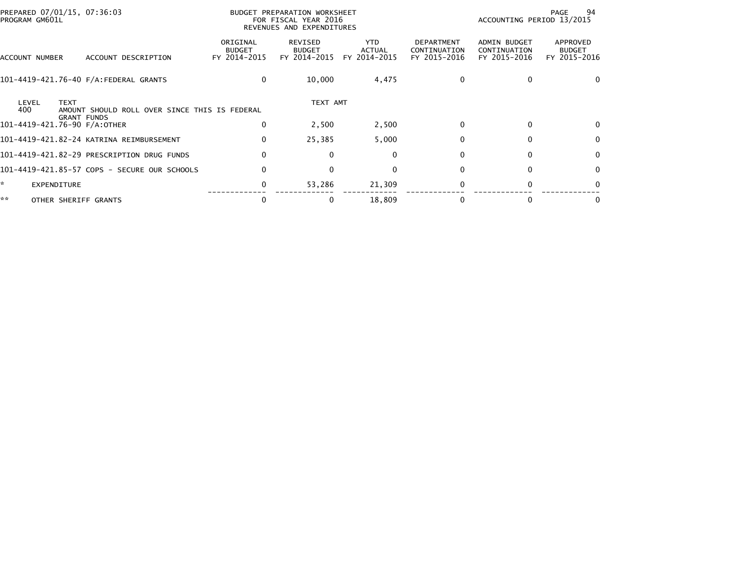|                                                   |                                               |                                           |                                                                                   |                                      |                                                   |                                                     | 94                                        |  |
|---------------------------------------------------|-----------------------------------------------|-------------------------------------------|-----------------------------------------------------------------------------------|--------------------------------------|---------------------------------------------------|-----------------------------------------------------|-------------------------------------------|--|
| PREPARED 07/01/15, 07:36:03<br>PROGRAM GM601L     |                                               |                                           | BUDGET PREPARATION WORKSHEET<br>FOR FISCAL YEAR 2016<br>REVENUES AND EXPENDITURES |                                      |                                                   | PAGE<br>ACCOUNTING PERIOD 13/2015                   |                                           |  |
| ACCOUNT NUMBER                                    | ACCOUNT DESCRIPTION                           | ORIGINAL<br><b>BUDGET</b><br>FY 2014-2015 | <b>REVISED</b><br><b>BUDGET</b><br>FY 2014-2015                                   | <b>YTD</b><br>ACTUAL<br>FY 2014-2015 | <b>DEPARTMENT</b><br>CONTINUATION<br>FY 2015-2016 | <b>ADMIN BUDGET</b><br>CONTINUATION<br>FY 2015-2016 | APPROVED<br><b>BUDGET</b><br>FY 2015-2016 |  |
|                                                   | 101-4419-421.76-40 F/A:FEDERAL GRANTS         | 0                                         | 10,000                                                                            | 4,475                                | $\Omega$                                          | $\Omega$                                            | $\Omega$                                  |  |
| LEVEL<br><b>TEXT</b><br>400<br><b>GRANT FUNDS</b> | AMOUNT SHOULD ROLL OVER SINCE THIS IS FEDERAL |                                           | TEXT AMT                                                                          |                                      |                                                   |                                                     |                                           |  |
| 101-4419-421.76-90 F/A:OTHER                      |                                               | 0                                         | 2,500                                                                             | 2,500                                | $\Omega$                                          | $\Omega$                                            | 0                                         |  |
|                                                   | 101-4419-421.82-24 KATRINA REIMBURSEMENT      | $\mathbf{0}$                              | 25,385                                                                            | 5,000                                | $\Omega$                                          | 0                                                   | $\mathbf{0}$                              |  |
|                                                   | 101-4419-421.82-29 PRESCRIPTION DRUG FUNDS    | $\Omega$                                  | $\Omega$                                                                          | $\mathbf{0}$                         | <sup>0</sup>                                      | $\Omega$                                            | $\mathbf{0}$                              |  |
|                                                   | 101-4419-421.85-57 COPS - SECURE OUR SCHOOLS  | $\Omega$                                  | $\Omega$                                                                          | $\mathbf{0}$                         | 0                                                 | $\Omega$                                            | $\mathbf{0}$                              |  |
| <b>EXPENDITURE</b>                                |                                               | 0                                         | 53,286                                                                            | 21,309                               | $\Omega$                                          | $\Omega$                                            | $\Omega$                                  |  |
| **<br>OTHER SHERIFF GRANTS                        |                                               | 0                                         | 0                                                                                 | 18,809                               | 0                                                 |                                                     | 0                                         |  |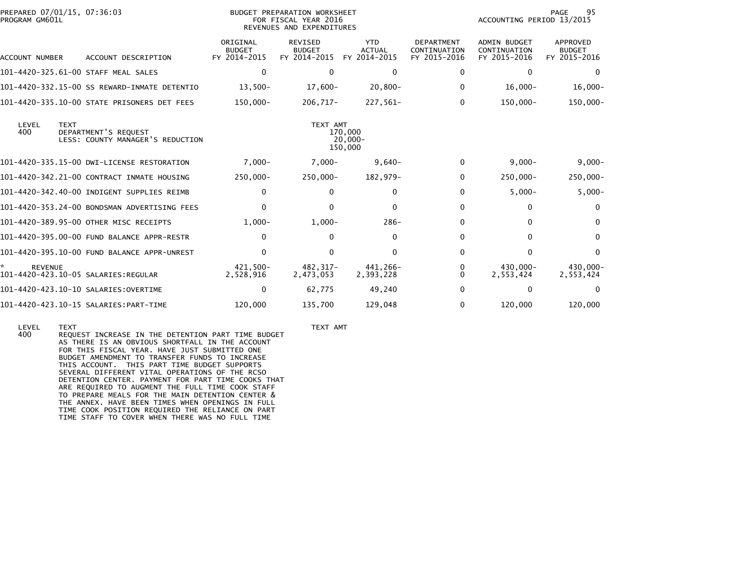| PREPARED 07/01/15, 07:36:03<br>PROGRAM GM601L         |                                                          |                                           | BUDGET PREPARATION WORKSHEET<br>FOR FISCAL YEAR 2016<br>REVENUES AND EXPENDITURES |                                             |                                                   | 95<br>PAGE<br>ACCOUNTING PERIOD 13/2015      |                                           |  |
|-------------------------------------------------------|----------------------------------------------------------|-------------------------------------------|-----------------------------------------------------------------------------------|---------------------------------------------|---------------------------------------------------|----------------------------------------------|-------------------------------------------|--|
| <b>ACCOUNT NUMBER</b>                                 | ACCOUNT DESCRIPTION                                      | ORIGINAL<br><b>BUDGET</b><br>FY 2014-2015 | <b>REVISED</b><br><b>BUDGET</b><br>FY 2014-2015                                   | <b>YTD</b><br><b>ACTUAL</b><br>FY 2014-2015 | <b>DEPARTMENT</b><br>CONTINUATION<br>FY 2015-2016 | ADMIN BUDGET<br>CONTINUATION<br>FY 2015-2016 | APPROVED<br><b>BUDGET</b><br>FY 2015-2016 |  |
| 101-4420-325.61-00 STAFF MEAL SALES                   |                                                          | $\Omega$                                  | $\Omega$                                                                          | 0                                           | 0                                                 | $\mathbf{0}$                                 | $\Omega$                                  |  |
|                                                       | 101-4420-332.15-00 SS REWARD-INMATE DETENTIO             | $13,500-$                                 | 17,600-                                                                           | $20,800 -$                                  | 0                                                 | $16,000-$                                    | $16,000-$                                 |  |
|                                                       | 101-4420-335.10-00 STATE PRISONERS DET FEES              | 150,000-                                  | $206,717-$                                                                        | 227,561-                                    | 0                                                 | 150,000-                                     | 150,000-                                  |  |
| LEVEL<br><b>TEXT</b><br>400                           | DEPARTMENT'S REQUEST<br>LESS: COUNTY MANAGER'S REDUCTION |                                           | TEXT AMT<br>170,000<br>150,000                                                    | -20,000                                     |                                                   |                                              |                                           |  |
|                                                       | 101-4420-335.15-00 DWI-LICENSE RESTORATION               | $7,000 -$                                 | $7,000-$                                                                          | $9,640-$                                    | 0                                                 | $9,000 -$                                    | $9,000 -$                                 |  |
|                                                       | 101-4420-342.21-00 CONTRACT INMATE HOUSING               | 250,000-                                  | $250,000 -$                                                                       | 182,979-                                    | 0                                                 | 250,000-                                     | 250,000-                                  |  |
|                                                       | 101-4420-342.40-00 INDIGENT SUPPLIES REIMB               | 0                                         | 0                                                                                 | $\Omega$                                    | $\Omega$                                          | $5,000-$                                     | $5,000-$                                  |  |
|                                                       | 101-4420-353.24-00 BONDSMAN ADVERTISING FEES             | 0                                         | 0                                                                                 | $\Omega$                                    | $\Omega$                                          | 0                                            | $\Omega$                                  |  |
| 101-4420-389.95-00 OTHER MISC RECEIPTS                |                                                          | $1,000-$                                  | $1,000-$                                                                          | $286-$                                      | 0                                                 | $\Omega$                                     | $\Omega$                                  |  |
|                                                       | 101-4420-395.00-00 FUND BALANCE APPR-RESTR               | 0                                         | $\Omega$                                                                          | $\Omega$                                    | $\Omega$                                          | $\mathbf{0}$                                 | $\Omega$                                  |  |
|                                                       | 101-4420-395.10-00 FUND BALANCE APPR-UNREST              | 0                                         | $\Omega$                                                                          | $\Omega$                                    | $\Omega$                                          | $\Omega$                                     | $\Omega$                                  |  |
| <b>REVENUE</b><br>101-4420-423.10-05 SALARIES:REGULAR |                                                          | 421.500-<br>2,528,916                     | 482.317-<br>2,473,053                                                             | 441.266-<br>2,393,228                       | 0<br>0                                            | 430.000-<br>2,553,424                        | 430.000-<br>2,553,424                     |  |
|                                                       |                                                          | 0                                         | 62,775                                                                            | 49,240                                      | 0                                                 | 0                                            | $\Omega$                                  |  |
|                                                       |                                                          | 120,000                                   | 135,700                                                                           | 129,048                                     | 0                                                 | 120,000                                      | 120,000                                   |  |

 LEVEL TEXT TEXT AMT 400 REQUEST INCREASE IN THE DETENTION PART TIME BUDGET AS THERE IS AN OBVIOUS SHORTFALL IN THE ACCOUNT FOR THIS FISCAL YEAR. HAVE JUST SUBMITTED ONE BUDGET AMENDMENT TO TRANSFER FUNDS TO INCREASE THIS ACCOUNT. THIS PART TIME BUDGET SUPPORTS SEVERAL DIFFERENT VITAL OPERATIONS OF THE RCSO DETENTION CENTER. PAYMENT FOR PART TIME COOKS THAT ARE REQUIRED TO AUGMENT THE FULL TIME COOK STAFF TO PREPARE MEALS FOR THE MAIN DETENTION CENTER & THE ANNEX. HAVE BEEN TIMES WHEN OPENINGS IN FULL TIME COOK POSITION REQUIRED THE RELIANCE ON PARTTIME STAFF TO COVER WHEN THERE WAS NO FULL TIME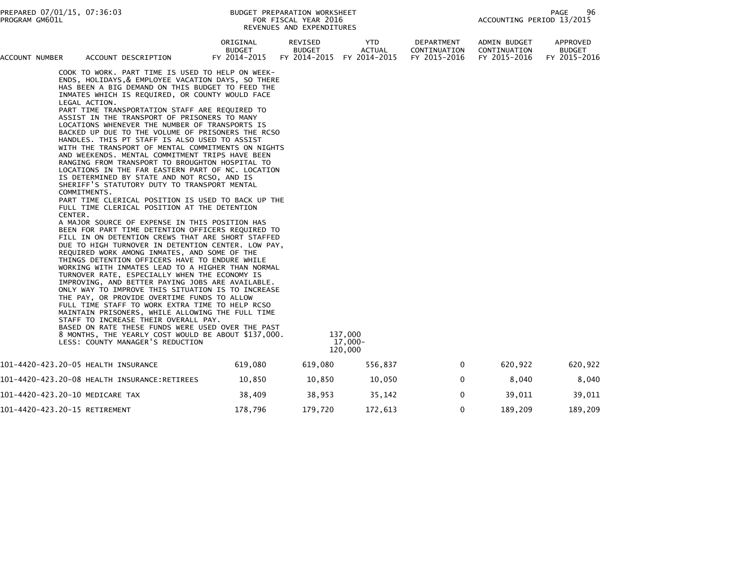| ACCOUNT NUMBER | ACCOUNT DESCRIPTION                      |                                                                                                                                                                                                                                                                                                                                                                                                                                                                                                                                                                                                                                                                                                                                                                                                                                                                                                                                                                                                                                                                                                                                                                                                                                                                                                                                                                                                                                                                                                                                                                                                                                                                                                                                                                                | ORIGINAL<br><b>BUDGET</b><br>FY 2014-2015 | REVISED<br><b>BUDGET</b><br>FY 2014-2015 | YTD<br><b>ACTUAL</b><br>FY 2014-2015 | DEPARTMENT<br>CONTINUATION<br>FY 2015-2016 | ADMIN BUDGET<br>CONTINUATION<br>FY 2015-2016 | APPROVED<br><b>BUDGET</b><br>FY 2015-2016 |
|----------------|------------------------------------------|--------------------------------------------------------------------------------------------------------------------------------------------------------------------------------------------------------------------------------------------------------------------------------------------------------------------------------------------------------------------------------------------------------------------------------------------------------------------------------------------------------------------------------------------------------------------------------------------------------------------------------------------------------------------------------------------------------------------------------------------------------------------------------------------------------------------------------------------------------------------------------------------------------------------------------------------------------------------------------------------------------------------------------------------------------------------------------------------------------------------------------------------------------------------------------------------------------------------------------------------------------------------------------------------------------------------------------------------------------------------------------------------------------------------------------------------------------------------------------------------------------------------------------------------------------------------------------------------------------------------------------------------------------------------------------------------------------------------------------------------------------------------------------|-------------------------------------------|------------------------------------------|--------------------------------------|--------------------------------------------|----------------------------------------------|-------------------------------------------|
|                | LEGAL ACTION.<br>COMMITMENTS.<br>CENTER. | COOK TO WORK. PART TIME IS USED TO HELP ON WEEK-<br>ENDS, HOLIDAYS, & EMPLOYEE VACATION DAYS, SO THERE<br>HAS BEEN A BIG DEMAND ON THIS BUDGET TO FEED THE<br>INMATES WHICH IS REQUIRED, OR COUNTY WOULD FACE<br>PART TIME TRANSPORTATION STAFF ARE REQUIRED TO<br>ASSIST IN THE TRANSPORT OF PRISONERS TO MANY<br>LOCATIONS WHENEVER THE NUMBER OF TRANSPORTS IS<br>BACKED UP DUE TO THE VOLUME OF PRISONERS THE RCSO<br>HANDLES. THIS PT STAFF IS ALSO USED TO ASSIST<br>WITH THE TRANSPORT OF MENTAL COMMITMENTS ON NIGHTS<br>AND WEEKENDS. MENTAL COMMITMENT TRIPS HAVE BEEN<br>RANGING FROM TRANSPORT TO BROUGHTON HOSPITAL TO<br>LOCATIONS IN THE FAR EASTERN PART OF NC. LOCATION<br>IS DETERMINED BY STATE AND NOT RCSO, AND IS<br>SHERIFF'S STATUTORY DUTY TO TRANSPORT MENTAL<br>PART TIME CLERICAL POSITION IS USED TO BACK UP THE<br>FULL TIME CLERICAL POSITION AT THE DETENTION<br>A MAJOR SOURCE OF EXPENSE IN THIS POSITION HAS<br>BEEN FOR PART TIME DETENTION OFFICERS REQUIRED TO<br>FILL IN ON DETENTION CREWS THAT ARE SHORT STAFFED<br>DUE TO HIGH TURNOVER IN DETENTION CENTER. LOW PAY,<br>REQUIRED WORK AMONG INMATES, AND SOME OF THE<br>THINGS DETENTION OFFICERS HAVE TO ENDURE WHILE<br>WORKING WITH INMATES LEAD TO A HIGHER THAN NORMAL<br>TURNOVER RATE, ESPECIALLY WHEN THE ECONOMY IS<br>IMPROVING, AND BETTER PAYING JOBS ARE AVAILABLE.<br>ONLY WAY TO IMPROVE THIS SITUATION IS TO INCREASE<br>THE PAY, OR PROVIDE OVERTIME FUNDS TO ALLOW<br>FULL TIME STAFF TO WORK EXTRA TIME TO HELP RCSO<br>MAINTAIN PRISONERS, WHILE ALLOWING THE FULL TIME<br>STAFF TO INCREASE THEIR OVERALL PAY.<br>BASED ON RATE THESE FUNDS WERE USED OVER THE PAST<br>8 MONTHS, THE YEARLY COST WOULD BE ABOUT \$137,000.<br>LESS: COUNTY MANAGER'S REDUCTION |                                           |                                          | 137,000<br>17,000-<br>120,000        |                                            |                                              |                                           |
|                | 101-4420-423.20-05 HEALTH INSURANCE      |                                                                                                                                                                                                                                                                                                                                                                                                                                                                                                                                                                                                                                                                                                                                                                                                                                                                                                                                                                                                                                                                                                                                                                                                                                                                                                                                                                                                                                                                                                                                                                                                                                                                                                                                                                                | 619,080                                   | 619,080                                  | 556,837                              | $\mathbf{0}$                               | 620,922                                      | 620,922                                   |
|                |                                          |                                                                                                                                                                                                                                                                                                                                                                                                                                                                                                                                                                                                                                                                                                                                                                                                                                                                                                                                                                                                                                                                                                                                                                                                                                                                                                                                                                                                                                                                                                                                                                                                                                                                                                                                                                                | 10,850                                    | 10,850                                   | 10,050                               | 0                                          | 8,040                                        | 8,040                                     |
|                | 101-4420-423.20-10 MEDICARE TAX          |                                                                                                                                                                                                                                                                                                                                                                                                                                                                                                                                                                                                                                                                                                                                                                                                                                                                                                                                                                                                                                                                                                                                                                                                                                                                                                                                                                                                                                                                                                                                                                                                                                                                                                                                                                                | 38,409                                    | 38,953                                   | 35,142                               | 0                                          | 39,011                                       | 39,011                                    |
|                | 101-4420-423.20-15 RETIREMENT            |                                                                                                                                                                                                                                                                                                                                                                                                                                                                                                                                                                                                                                                                                                                                                                                                                                                                                                                                                                                                                                                                                                                                                                                                                                                                                                                                                                                                                                                                                                                                                                                                                                                                                                                                                                                | 178,796                                   | 179,720                                  | 172,613                              | 0                                          | 189,209                                      | 189,209                                   |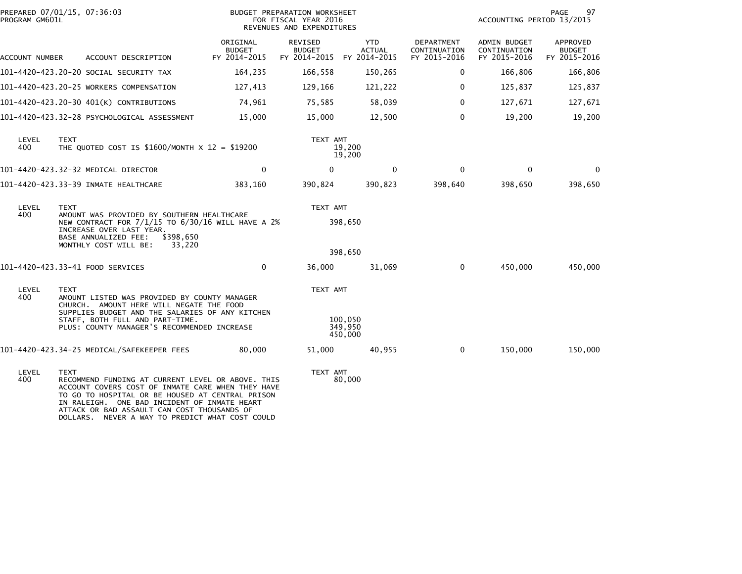| PROGRAM GM601L | PREPARED 07/01/15, 07:36:03                                                                                                                                                                                                                                                                                                 |                                           | BUDGET PREPARATION WORKSHEET<br>FOR FISCAL YEAR 2016<br>REVENUES AND EXPENDITURES |                               |                                            | ACCOUNTING PERIOD 13/2015                           | PAGE<br>97                                |
|----------------|-----------------------------------------------------------------------------------------------------------------------------------------------------------------------------------------------------------------------------------------------------------------------------------------------------------------------------|-------------------------------------------|-----------------------------------------------------------------------------------|-------------------------------|--------------------------------------------|-----------------------------------------------------|-------------------------------------------|
| ACCOUNT NUMBER | ACCOUNT DESCRIPTION                                                                                                                                                                                                                                                                                                         | ORIGINAL<br><b>BUDGET</b><br>FY 2014-2015 | REVISED<br><b>BUDGET</b><br>FY 2014-2015 FY 2014-2015                             | <b>YTD</b><br><b>ACTUAL</b>   | DEPARTMENT<br>CONTINUATION<br>FY 2015-2016 | <b>ADMIN BUDGET</b><br>CONTINUATION<br>FY 2015-2016 | APPROVED<br><b>BUDGET</b><br>FY 2015-2016 |
|                | 101–4420–423.20–20 SOCIAL SECURITY TAX                                                                                                                                                                                                                                                                                      | 164,235                                   | 166,558                                                                           | 150,265                       | 0                                          | 166,806                                             | 166,806                                   |
|                | 101-4420-423.20-25 WORKERS COMPENSATION                                                                                                                                                                                                                                                                                     | 127,413                                   | 129,166                                                                           | 121,222                       | $\Omega$                                   | 125,837                                             | 125,837                                   |
|                | 101-4420-423.20-30 401(K) CONTRIBUTIONS                                                                                                                                                                                                                                                                                     | 74,961                                    | 75,585                                                                            | 58,039                        | $\mathbf 0$                                | 127,671                                             | 127,671                                   |
|                | 101-4420-423.32-28 PSYCHOLOGICAL ASSESSMENT                                                                                                                                                                                                                                                                                 | 15,000                                    | 15,000                                                                            | 12,500                        | $\mathbf{0}$                               | 19,200                                              | 19,200                                    |
| LEVEL<br>400   | <b>TEXT</b><br>THE QUOTED COST IS \$1600/MONTH $\times$ 12 = \$19200                                                                                                                                                                                                                                                        |                                           | TEXT AMT                                                                          | 19,200<br>19,200              |                                            |                                                     |                                           |
|                | 101-4420-423.32-32 MEDICAL DIRECTOR                                                                                                                                                                                                                                                                                         | $\mathbf 0$                               | $\Omega$                                                                          | $\mathbf 0$                   | $\Omega$                                   | $\mathbf{0}$                                        | $\Omega$                                  |
|                | 101-4420-423.33-39 INMATE HEALTHCARE                                                                                                                                                                                                                                                                                        | 383,160                                   | 390,824                                                                           | 390,823                       | 398,640                                    | 398,650                                             | 398,650                                   |
| LEVEL<br>400   | <b>TEXT</b><br>AMOUNT WAS PROVIDED BY SOUTHERN HEALTHCARE<br>NEW CONTRACT FOR 7/1/15 TO 6/30/16 WILL HAVE A 2%<br>INCREASE OVER LAST YEAR.<br>BASE ANNUALIZED FEE:<br>MONTHLY COST WILL BE:                                                                                                                                 | \$398,650<br>33,220                       | TEXT AMT                                                                          | 398,650<br>398,650            |                                            |                                                     |                                           |
|                | 101-4420-423.33-41 FOOD SERVICES                                                                                                                                                                                                                                                                                            | 0                                         | 36,000                                                                            | 31,069                        | $\mathbf 0$                                | 450,000                                             | 450,000                                   |
| LEVEL<br>400   | <b>TEXT</b><br>AMOUNT LISTED WAS PROVIDED BY COUNTY MANAGER<br>CHURCH. AMOUNT HERE WILL NEGATE THE FOOD<br>SUPPLIES BUDGET AND THE SALARIES OF ANY KITCHEN<br>STAFF, BOTH FULL AND PART-TIME.<br>PLUS: COUNTY MANAGER'S RECOMMENDED INCREASE                                                                                |                                           | TEXT AMT                                                                          | 100.050<br>349,950<br>450,000 |                                            |                                                     |                                           |
|                | 101-4420-423.34-25 MEDICAL/SAFEKEEPER FEES                                                                                                                                                                                                                                                                                  | 80,000                                    | 51,000                                                                            | 40,955                        | $\mathbf 0$                                | 150,000                                             | 150,000                                   |
| LEVEL<br>400   | <b>TEXT</b><br>RECOMMEND FUNDING AT CURRENT LEVEL OR ABOVE. THIS<br>ACCOUNT COVERS COST OF INMATE CARE WHEN THEY HAVE<br>TO GO TO HOSPITAL OR BE HOUSED AT CENTRAL PRISON<br>IN RALEIGH. ONE BAD INCIDENT OF INMATE HEART<br>ATTACK OR BAD ASSAULT CAN COST THOUSANDS OF<br>DOLLARS. NEVER A WAY TO PREDICT WHAT COST COULD |                                           | TEXT AMT                                                                          | 80,000                        |                                            |                                                     |                                           |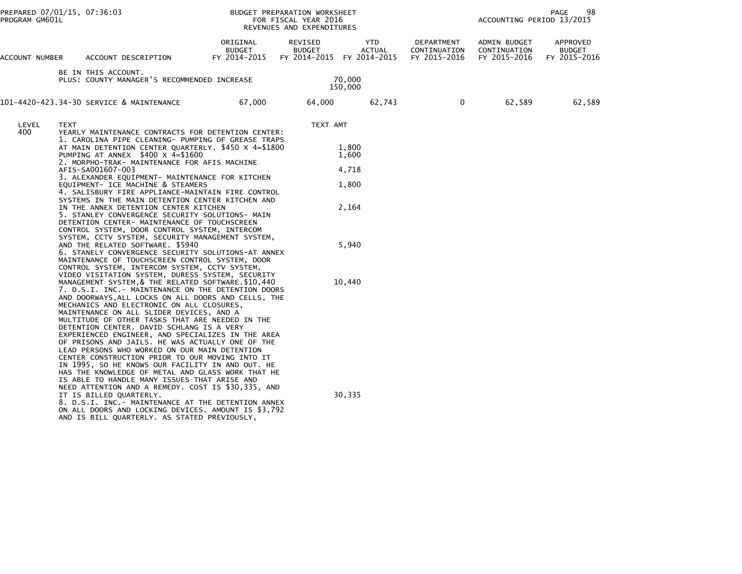|                | PREPARED 07/01/15, 07:36:03<br>PROGRAM GM601L                                                                        |                                                                                                                                                                                                                                                                                                                                                                                                                                                                                                                                                                                                                                                                                                                                                                                                                                                                                                                                                                                                                                                                                    | BUDGET PREPARATION WORKSHEET<br>FOR FISCAL YEAR 2016<br>REVENUES AND EXPENDITURES |                          |                                                                |                                            | 98<br>PAGE<br>ACCOUNTING PERIOD 13/2015      |                                           |  |
|----------------|----------------------------------------------------------------------------------------------------------------------|------------------------------------------------------------------------------------------------------------------------------------------------------------------------------------------------------------------------------------------------------------------------------------------------------------------------------------------------------------------------------------------------------------------------------------------------------------------------------------------------------------------------------------------------------------------------------------------------------------------------------------------------------------------------------------------------------------------------------------------------------------------------------------------------------------------------------------------------------------------------------------------------------------------------------------------------------------------------------------------------------------------------------------------------------------------------------------|-----------------------------------------------------------------------------------|--------------------------|----------------------------------------------------------------|--------------------------------------------|----------------------------------------------|-------------------------------------------|--|
| ACCOUNT NUMBER |                                                                                                                      | ACCOUNT DESCRIPTION                                                                                                                                                                                                                                                                                                                                                                                                                                                                                                                                                                                                                                                                                                                                                                                                                                                                                                                                                                                                                                                                | ORIGINAL<br><b>BUDGET</b><br>FY 2014-2015                                         | REVISED<br><b>BUDGET</b> | YTD<br><b>ACTUAL</b><br>FY 2014-2015 FY 2014-2015              | DEPARTMENT<br>CONTINUATION<br>FY 2015-2016 | ADMIN BUDGET<br>CONTINUATION<br>FY 2015-2016 | APPROVED<br><b>BUDGET</b><br>FY 2015-2016 |  |
|                |                                                                                                                      | BE IN THIS ACCOUNT.<br>PLUS: COUNTY MANAGER'S RECOMMENDED INCREASE                                                                                                                                                                                                                                                                                                                                                                                                                                                                                                                                                                                                                                                                                                                                                                                                                                                                                                                                                                                                                 |                                                                                   |                          | 70,000<br>150,000                                              |                                            |                                              |                                           |  |
|                |                                                                                                                      | 101-4420-423.34-30 SERVICE & MAINTENANCE                                                                                                                                                                                                                                                                                                                                                                                                                                                                                                                                                                                                                                                                                                                                                                                                                                                                                                                                                                                                                                           | 67,000                                                                            | 64,000                   | 62,743                                                         | $\mathbf{0}$                               | 62,589                                       | 62,589                                    |  |
| LEVEL<br>400   | <b>TEXT</b><br>6. STANELY CONVERGENCE SECURITY SOLUTIONS-AT ANNEX<br>MAINTENANCE OF TOUCHSCREEN CONTROL SYSTEM, DOOR | YEARLY MAINTENANCE CONTRACTS FOR DETENTION CENTER:<br>1. CAROLINA PIPE CLEANING- PUMPING OF GREASE TRAPS<br>AT MAIN DETENTION CENTER QUARTERLY. \$450 X 4=\$1800<br>PUMPING AT ANNEX $$400 \times 4 = $1600$<br>2. MORPHO-TRAK- MAINTENANCE FOR AFIS MACHINE<br>AFIS-SA001607-003<br>3. ALEXANDER EQUIPMENT- MAINTENANCE FOR KITCHEN<br>EQUIPMENT- ICE MACHINE & STEAMERS<br>4. SALISBURY FIRE APPLIANCE-MAINTAIN FIRE CONTROL<br>SYSTEMS IN THE MAIN DETENTION CENTER KITCHEN AND<br>IN THE ANNEX DETENTION CENTER KITCHEN<br>5. STANLEY CONVERGENCE SECURITY SOLUTIONS- MAIN<br>DETENTION CENTER- MAINTENANCE OF TOUCHSCREEN<br>CONTROL SYSTEM, DOOR CONTROL SYSTEM, INTERCOM<br>SYSTEM, CCTV SYSTEM, SECURITY MANAGEMENT SYSTEM,<br>AND THE RELATED SOFTWARE. \$5940                                                                                                                                                                                                                                                                                                            |                                                                                   |                          | TEXT AMT<br>1,800<br>1,600<br>4,718<br>1,800<br>2,164<br>5,940 |                                            |                                              |                                           |  |
|                |                                                                                                                      | CONTROL SYSTEM, INTERCOM SYSTEM, CCTV SYSTEM,<br>VIDEO VISITATION SYSTEM, DURESS SYSTEM, SECURITY<br>MANAGEMENT SYSTEM, & THE RELATED SOFTWARE. \$10,440<br>7. D.S.I. INC.- MAINTENANCE ON THE DETENTION DOORS<br>AND DOORWAYS, ALL LOCKS ON ALL DOORS AND CELLS, THE<br>MECHANICS AND ELECTRONIC ON ALL CLOSURES,<br>MAINTENANCE ON ALL SLIDER DEVICES, AND A<br>MULTITUDE OF OTHER TASKS THAT ARE NEEDED IN THE<br>DETENTION CENTER. DAVID SCHLANG IS A VERY<br>EXPERIENCED ENGINEER, AND SPECIALIZES IN THE AREA<br>OF PRISONS AND JAILS. HE WAS ACTUALLY ONE OF THE<br>LEAD PERSONS WHO WORKED ON OUR MAIN DETENTION<br>CENTER CONSTRUCTION PRIOR TO OUR MOVING INTO IT<br>IN 1995, SO HE KNOWS OUR FACILITY IN AND OUT. HE<br>HAS THE KNOWLEDGE OF METAL AND GLASS WORK THAT HE<br>IS ABLE TO HANDLE MANY ISSUES THAT ARISE AND<br>NEED ATTENTION AND A REMEDY. COST IS \$30,335, AND<br>IT IS BILLED QUARTERLY.<br>8. D.S.I. INC.- MAINTENANCE AT THE DETENTION ANNEX<br>ON ALL DOORS AND LOCKING DEVICES. AMOUNT IS \$3,792<br>AND IS BILL QUARTERLY. AS STATED PREVIOUSLY, |                                                                                   |                          | 10,440<br>30,335                                               |                                            |                                              |                                           |  |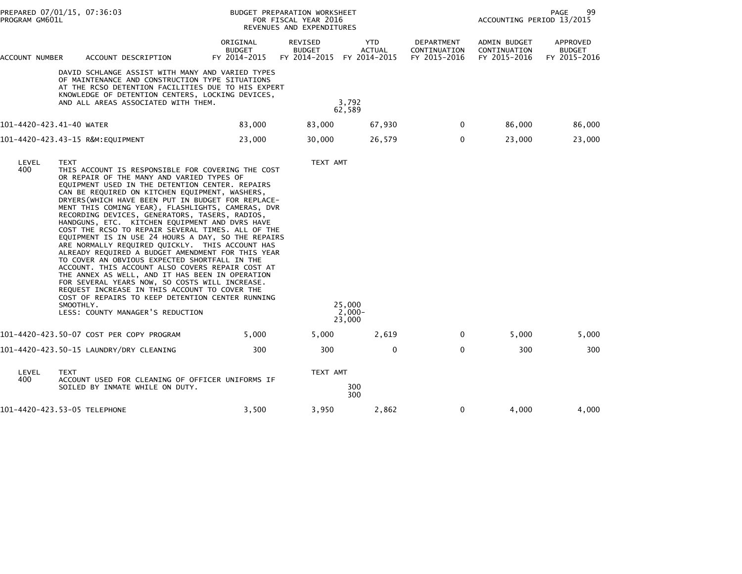| PREPARED 07/01/15, 07:36:03<br>PROGRAM GM601L |                          |                                                                                                                                                                                                                                                                                                                                                                                                                                                                                                                                                                                                                                                                                                                                                                                                                                                                                                                                                                                          | BUDGET PREPARATION WORKSHEET<br>FOR FISCAL YEAR 2016<br>REVENUES AND EXPENDITURES | 99<br>PAGE<br>ACCOUNTING PERIOD 13/2015         |                                             |                                            |                                              |                                           |
|-----------------------------------------------|--------------------------|------------------------------------------------------------------------------------------------------------------------------------------------------------------------------------------------------------------------------------------------------------------------------------------------------------------------------------------------------------------------------------------------------------------------------------------------------------------------------------------------------------------------------------------------------------------------------------------------------------------------------------------------------------------------------------------------------------------------------------------------------------------------------------------------------------------------------------------------------------------------------------------------------------------------------------------------------------------------------------------|-----------------------------------------------------------------------------------|-------------------------------------------------|---------------------------------------------|--------------------------------------------|----------------------------------------------|-------------------------------------------|
| ACCOUNT NUMBER                                |                          | ACCOUNT DESCRIPTION                                                                                                                                                                                                                                                                                                                                                                                                                                                                                                                                                                                                                                                                                                                                                                                                                                                                                                                                                                      | ORIGINAL<br><b>BUDGET</b><br>FY 2014-2015                                         | <b>REVISED</b><br><b>BUDGET</b><br>FY 2014-2015 | <b>YTD</b><br><b>ACTUAL</b><br>FY 2014-2015 | DEPARTMENT<br>CONTINUATION<br>FY 2015-2016 | ADMIN BUDGET<br>CONTINUATION<br>FY 2015-2016 | APPROVED<br><b>BUDGET</b><br>FY 2015-2016 |
|                                               |                          | DAVID SCHLANGE ASSIST WITH MANY AND VARIED TYPES<br>OF MAINTENANCE AND CONSTRUCTION TYPE SITUATIONS<br>AT THE RCSO DETENTION FACILITIES DUE TO HIS EXPERT<br>KNOWLEDGE OF DETENTION CENTERS, LOCKING DEVICES,<br>AND ALL AREAS ASSOCIATED WITH THEM.                                                                                                                                                                                                                                                                                                                                                                                                                                                                                                                                                                                                                                                                                                                                     |                                                                                   |                                                 | 3,792<br>62,589                             |                                            |                                              |                                           |
| 101-4420-423.41-40 WATER                      |                          |                                                                                                                                                                                                                                                                                                                                                                                                                                                                                                                                                                                                                                                                                                                                                                                                                                                                                                                                                                                          | 83,000                                                                            | 83,000                                          | 67,930                                      | 0                                          | 86,000                                       | 86,000                                    |
|                                               |                          | 101-4420-423.43-15 R&M:EQUIPMENT                                                                                                                                                                                                                                                                                                                                                                                                                                                                                                                                                                                                                                                                                                                                                                                                                                                                                                                                                         | 23,000                                                                            | 30,000                                          | 26,579                                      | 0                                          | 23,000                                       | 23,000                                    |
| LEVEL<br>400                                  | <b>TEXT</b><br>SMOOTHLY. | THIS ACCOUNT IS RESPONSIBLE FOR COVERING THE COST<br>OR REPAIR OF THE MANY AND VARIED TYPES OF<br>EQUIPMENT USED IN THE DETENTION CENTER. REPAIRS<br>CAN BE REQUIRED ON KITCHEN EQUIPMENT, WASHERS,<br>DRYERS (WHICH HAVE BEEN PUT IN BUDGET FOR REPLACE-<br>MENT THIS COMING YEAR), FLASHLIGHTS, CAMERAS, DVR<br>RECORDING DEVICES, GENERATORS, TASERS, RADIOS,<br>HANDGUNS, ETC. KITCHEN EQUIPMENT AND DVRS HAVE<br>COST THE RCSO TO REPAIR SEVERAL TIMES. ALL OF THE<br>EQUIPMENT IS IN USE 24 HOURS A DAY, SO THE REPAIRS<br>ARE NORMALLY REQUIRED QUICKLY. THIS ACCOUNT HAS<br>ALREADY REQUIRED A BUDGET AMENDMENT FOR THIS YEAR<br>TO COVER AN OBVIOUS EXPECTED SHORTFALL IN THE<br>ACCOUNT. THIS ACCOUNT ALSO COVERS REPAIR COST AT<br>THE ANNEX AS WELL, AND IT HAS BEEN IN OPERATION<br>FOR SEVERAL YEARS NOW, SO COSTS WILL INCREASE.<br>REQUEST INCREASE IN THIS ACCOUNT TO COVER THE<br>COST OF REPAIRS TO KEEP DETENTION CENTER RUNNING<br>LESS: COUNTY MANAGER'S REDUCTION |                                                                                   | TEXT AMT                                        | 25.000<br>$2,000 -$<br>23,000               |                                            |                                              |                                           |
|                                               |                          | 101-4420-423.50-07 COST PER COPY PROGRAM                                                                                                                                                                                                                                                                                                                                                                                                                                                                                                                                                                                                                                                                                                                                                                                                                                                                                                                                                 | 5,000                                                                             | 5,000                                           | 2,619                                       | 0                                          | 5,000                                        | 5,000                                     |
|                                               |                          |                                                                                                                                                                                                                                                                                                                                                                                                                                                                                                                                                                                                                                                                                                                                                                                                                                                                                                                                                                                          | 300                                                                               | 300                                             | $\mathbf 0$                                 | $\mathbf{0}$                               | 300                                          | 300                                       |
| LEVEL<br>400                                  | <b>TEXT</b>              | ACCOUNT USED FOR CLEANING OF OFFICER UNIFORMS IF<br>SOILED BY INMATE WHILE ON DUTY.                                                                                                                                                                                                                                                                                                                                                                                                                                                                                                                                                                                                                                                                                                                                                                                                                                                                                                      |                                                                                   | TEXT AMT                                        | 300<br>300                                  |                                            |                                              |                                           |
| 101-4420-423.53-05 TELEPHONE                  |                          |                                                                                                                                                                                                                                                                                                                                                                                                                                                                                                                                                                                                                                                                                                                                                                                                                                                                                                                                                                                          | 3,500                                                                             | 3,950                                           | 2,862                                       | 0                                          | 4,000                                        | 4,000                                     |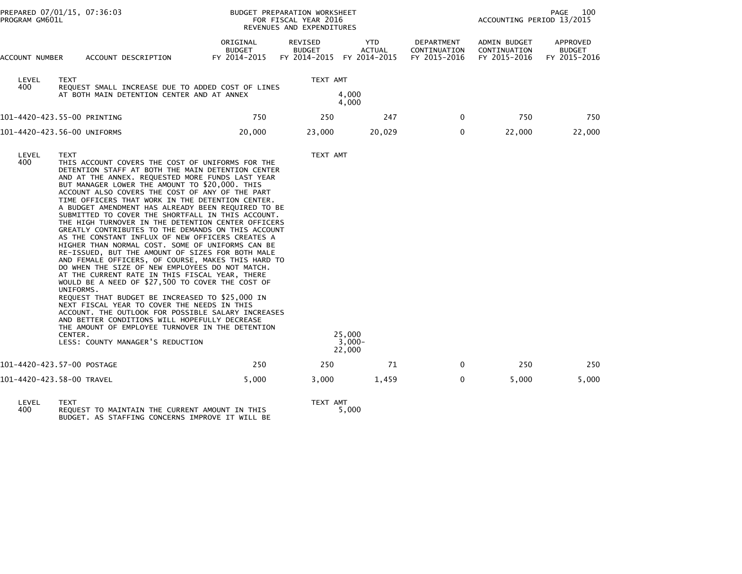| PROGRAM GM601L | PREPARED 07/01/15, 07:36:03                                                                                                                                                                                                                                                                                                                                                                                                                                                                                                                                                                                                                                                                                                                                                                                                                                                                                                                                                                                                                                                                                                                                                                                                                                  |                                           | BUDGET PREPARATION WORKSHEET<br>FOR FISCAL YEAR 2016<br>REVENUES AND EXPENDITURES | PAGE<br>100<br>ACCOUNTING PERIOD 13/2015 |                                            |                                              |                                           |
|----------------|--------------------------------------------------------------------------------------------------------------------------------------------------------------------------------------------------------------------------------------------------------------------------------------------------------------------------------------------------------------------------------------------------------------------------------------------------------------------------------------------------------------------------------------------------------------------------------------------------------------------------------------------------------------------------------------------------------------------------------------------------------------------------------------------------------------------------------------------------------------------------------------------------------------------------------------------------------------------------------------------------------------------------------------------------------------------------------------------------------------------------------------------------------------------------------------------------------------------------------------------------------------|-------------------------------------------|-----------------------------------------------------------------------------------|------------------------------------------|--------------------------------------------|----------------------------------------------|-------------------------------------------|
| ACCOUNT NUMBER | ACCOUNT DESCRIPTION                                                                                                                                                                                                                                                                                                                                                                                                                                                                                                                                                                                                                                                                                                                                                                                                                                                                                                                                                                                                                                                                                                                                                                                                                                          | ORIGINAL<br><b>BUDGET</b><br>FY 2014-2015 | REVISED<br><b>BUDGET</b><br>FY 2014-2015 FY 2014-2015                             | YTD<br><b>ACTUAL</b>                     | DEPARTMENT<br>CONTINUATION<br>FY 2015-2016 | ADMIN BUDGET<br>CONTINUATION<br>FY 2015-2016 | APPROVED<br><b>BUDGET</b><br>FY 2015-2016 |
| LEVEL<br>400   | <b>TEXT</b><br>REQUEST SMALL INCREASE DUE TO ADDED COST OF LINES<br>AT BOTH MAIN DETENTION CENTER AND AT ANNEX                                                                                                                                                                                                                                                                                                                                                                                                                                                                                                                                                                                                                                                                                                                                                                                                                                                                                                                                                                                                                                                                                                                                               |                                           | TEXT AMT                                                                          | 4,000<br>4,000                           |                                            |                                              |                                           |
|                | 101-4420-423.55-00 PRINTING                                                                                                                                                                                                                                                                                                                                                                                                                                                                                                                                                                                                                                                                                                                                                                                                                                                                                                                                                                                                                                                                                                                                                                                                                                  | 750                                       | 250                                                                               | 247                                      | $\mathbf{0}$                               | 750                                          | 750                                       |
|                | 101-4420-423.56-00 UNIFORMS                                                                                                                                                                                                                                                                                                                                                                                                                                                                                                                                                                                                                                                                                                                                                                                                                                                                                                                                                                                                                                                                                                                                                                                                                                  | 20,000                                    | 23,000                                                                            | 20,029                                   | 0                                          | 22,000                                       | 22,000                                    |
| LEVEL<br>400   | <b>TEXT</b><br>THIS ACCOUNT COVERS THE COST OF UNIFORMS FOR THE<br>DETENTION STAFF AT BOTH THE MAIN DETENTION CENTER<br>AND AT THE ANNEX. REQUESTED MORE FUNDS LAST YEAR<br>BUT MANAGER LOWER THE AMOUNT TO \$20,000. THIS<br>ACCOUNT ALSO COVERS THE COST OF ANY OF THE PART<br>TIME OFFICERS THAT WORK IN THE DETENTION CENTER.<br>A BUDGET AMENDMENT HAS ALREADY BEEN REQUIRED TO BE<br>SUBMITTED TO COVER THE SHORTFALL IN THIS ACCOUNT.<br>THE HIGH TURNOVER IN THE DETENTION CENTER OFFICERS<br>GREATLY CONTRIBUTES TO THE DEMANDS ON THIS ACCOUNT<br>AS THE CONSTANT INFLUX OF NEW OFFICERS CREATES A<br>HIGHER THAN NORMAL COST. SOME OF UNIFORMS CAN BE<br>RE-ISSUED, BUT THE AMOUNT OF SIZES FOR BOTH MALE<br>AND FEMALE OFFICERS, OF COURSE, MAKES THIS HARD TO<br>DO WHEN THE SIZE OF NEW EMPLOYEES DO NOT MATCH.<br>AT THE CURRENT RATE IN THIS FISCAL YEAR, THERE<br>WOULD BE A NEED OF \$27,500 TO COVER THE COST OF<br>UNIFORMS.<br>REQUEST THAT BUDGET BE INCREASED TO \$25,000 IN<br>NEXT FISCAL YEAR TO COVER THE NEEDS IN THIS<br>ACCOUNT. THE OUTLOOK FOR POSSIBLE SALARY INCREASES<br>AND BETTER CONDITIONS WILL HOPEFULLY DECREASE<br>THE AMOUNT OF EMPLOYEE TURNOVER IN THE DETENTION<br>CENTER.<br>LESS: COUNTY MANAGER'S REDUCTION |                                           | TEXT AMT                                                                          | 25,000<br>$3,000 -$<br>22,000            |                                            |                                              |                                           |
|                | 101-4420-423.57-00 POSTAGE                                                                                                                                                                                                                                                                                                                                                                                                                                                                                                                                                                                                                                                                                                                                                                                                                                                                                                                                                                                                                                                                                                                                                                                                                                   | 250                                       | 250                                                                               | 71                                       | 0                                          | 250                                          | 250                                       |
|                | 101-4420-423.58-00 TRAVEL                                                                                                                                                                                                                                                                                                                                                                                                                                                                                                                                                                                                                                                                                                                                                                                                                                                                                                                                                                                                                                                                                                                                                                                                                                    | 5,000                                     | 3,000                                                                             | 1,459                                    | 0                                          | 5,000                                        | 5,000                                     |

LEVEL TEXT TEXT AMT 400 REQUEST TO MAINTAIN THE CURRENT AMOUNT IN THIS 5,000 BUDGET. AS STAFFING CONCERNS IMPROVE IT WILL BE

TEXT AMT<br>5,000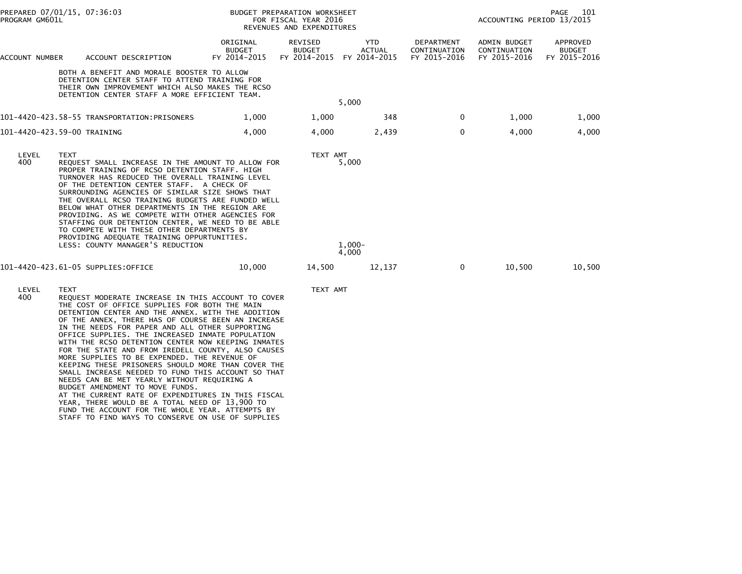| PROGRAM GM601L              | PREPARED 07/01/15, 07:36:03 |                                                                                                                                                                                                                                                                                                                                                                                                                                                                                                                                                                                                                                                                                                                                                                                                                                             |                                           | BUDGET PREPARATION WORKSHEET<br>FOR FISCAL YEAR 2016<br>REVENUES AND EXPENDITURES |                            |                                            | 101<br>PAGE<br>ACCOUNTING PERIOD 13/2015     |                                           |  |
|-----------------------------|-----------------------------|---------------------------------------------------------------------------------------------------------------------------------------------------------------------------------------------------------------------------------------------------------------------------------------------------------------------------------------------------------------------------------------------------------------------------------------------------------------------------------------------------------------------------------------------------------------------------------------------------------------------------------------------------------------------------------------------------------------------------------------------------------------------------------------------------------------------------------------------|-------------------------------------------|-----------------------------------------------------------------------------------|----------------------------|--------------------------------------------|----------------------------------------------|-------------------------------------------|--|
| ACCOUNT NUMBER              |                             | ACCOUNT DESCRIPTION                                                                                                                                                                                                                                                                                                                                                                                                                                                                                                                                                                                                                                                                                                                                                                                                                         | ORIGINAL<br><b>BUDGET</b><br>FY 2014-2015 | REVISED<br><b>BUDGET</b><br>FY 2014-2015 FY 2014-2015                             | YTD<br><b>ACTUAL</b>       | DEPARTMENT<br>CONTINUATION<br>FY 2015-2016 | ADMIN BUDGET<br>CONTINUATION<br>FY 2015-2016 | APPROVED<br><b>BUDGET</b><br>FY 2015-2016 |  |
|                             |                             | BOTH A BENEFIT AND MORALE BOOSTER TO ALLOW<br>DETENTION CENTER STAFF TO ATTEND TRAINING FOR<br>THEIR OWN IMPROVEMENT WHICH ALSO MAKES THE RCSO<br>DETENTION CENTER STAFF A MORE EFFICIENT TEAM.                                                                                                                                                                                                                                                                                                                                                                                                                                                                                                                                                                                                                                             |                                           |                                                                                   | 5,000                      |                                            |                                              |                                           |  |
|                             |                             | 101-4420-423.58-55 TRANSPORTATION:PRISONERS                                                                                                                                                                                                                                                                                                                                                                                                                                                                                                                                                                                                                                                                                                                                                                                                 | 1,000                                     | 1,000                                                                             | 348                        | $\mathbf{0}$                               | 1,000                                        | 1,000                                     |  |
| 101-4420-423.59-00 TRAINING |                             |                                                                                                                                                                                                                                                                                                                                                                                                                                                                                                                                                                                                                                                                                                                                                                                                                                             | 4.000                                     | 4,000                                                                             | 2,439                      | $\Omega$                                   | 4.000                                        | 4,000                                     |  |
| LEVEL<br>400                | TEXT                        | REQUEST SMALL INCREASE IN THE AMOUNT TO ALLOW FOR<br>PROPER TRAINING OF RCSO DETENTION STAFF. HIGH<br>TURNOVER HAS REDUCED THE OVERALL TRAINING LEVEL<br>OF THE DETENTION CENTER STAFF. A CHECK OF<br>SURROUNDING AGENCIES OF SIMILAR SIZE SHOWS THAT<br>THE OVERALL RCSO TRAINING BUDGETS ARE FUNDED WELL<br>BELOW WHAT OTHER DEPARTMENTS IN THE REGION ARE<br>PROVIDING. AS WE COMPETE WITH OTHER AGENCIES FOR<br>STAFFING OUR DETENTION CENTER, WE NEED TO BE ABLE<br>TO COMPETE WITH THESE OTHER DEPARTMENTS BY<br>PROVIDING ADEQUATE TRAINING OPPURTUNITIES.<br>LESS: COUNTY MANAGER'S REDUCTION                                                                                                                                                                                                                                       |                                           | TEXT AMT                                                                          | 5,000<br>$1,000-$<br>4,000 |                                            |                                              |                                           |  |
|                             |                             | 101-4420-423.61-05 SUPPLIES:OFFICE                                                                                                                                                                                                                                                                                                                                                                                                                                                                                                                                                                                                                                                                                                                                                                                                          | 10,000                                    | 14,500                                                                            | 12,137                     | $\mathbf{0}$                               | 10,500                                       | 10,500                                    |  |
| LEVEL<br>400                | <b>TEXT</b>                 | REQUEST MODERATE INCREASE IN THIS ACCOUNT TO COVER<br>THE COST OF OFFICE SUPPLIES FOR BOTH THE MAIN<br>DETENTION CENTER AND THE ANNEX. WITH THE ADDITION<br>OF THE ANNEX, THERE HAS OF COURSE BEEN AN INCREASE<br>IN THE NEEDS FOR PAPER AND ALL OTHER SUPPORTING<br>OFFICE SUPPLIES. THE INCREASED INMATE POPULATION<br>WITH THE RCSO DETENTION CENTER NOW KEEPING INMATES<br>FOR THE STATE AND FROM IREDELL COUNTY, ALSO CAUSES<br>MORE SUPPLIES TO BE EXPENDED. THE REVENUE OF<br>KEEPING THESE PRISONERS SHOULD MORE THAN COVER THE<br>SMALL INCREASE NEEDED TO FUND THIS ACCOUNT SO THAT<br>NEEDS CAN BE MET YEARLY WITHOUT REQUIRING A<br>BUDGET AMENDMENT TO MOVE FUNDS.<br>AT THE CURRENT RATE OF EXPENDITURES IN THIS FISCAL<br>YEAR, THERE WOULD BE A TOTAL NEED OF 13,900 TO<br>FUND THE ACCOUNT FOR THE WHOLE YEAR. ATTEMPTS BY |                                           | TEXT AMT                                                                          |                            |                                            |                                              |                                           |  |

STAFF TO FIND WAYS TO CONSERVE ON USE OF SUPPLIES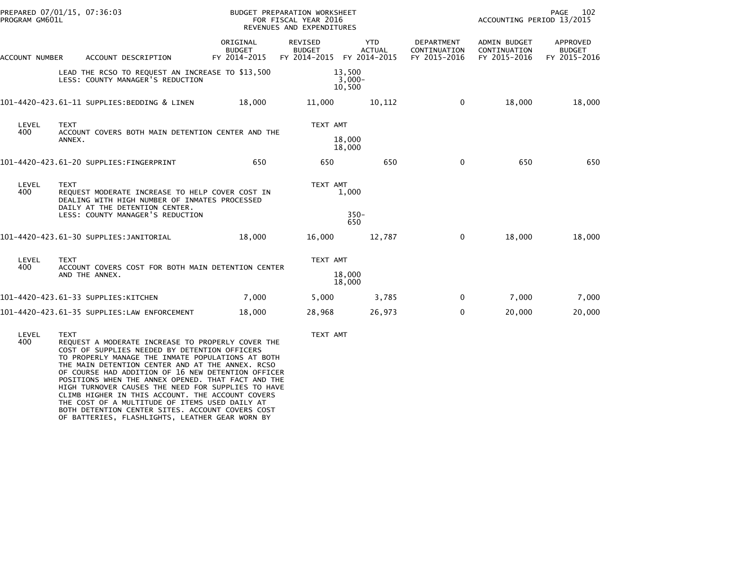| PROGRAM GM601L | PREPARED 07/01/15, 07:36:03                                                                                                                       |                                           | BUDGET PREPARATION WORKSHEET<br>FOR FISCAL YEAR 2016<br>REVENUES AND EXPENDITURES |                                             |                                            | PAGE<br>102<br>ACCOUNTING PERIOD 13/2015     |                                           |
|----------------|---------------------------------------------------------------------------------------------------------------------------------------------------|-------------------------------------------|-----------------------------------------------------------------------------------|---------------------------------------------|--------------------------------------------|----------------------------------------------|-------------------------------------------|
| ACCOUNT NUMBER | ACCOUNT DESCRIPTION                                                                                                                               | ORIGINAL<br><b>BUDGET</b><br>FY 2014-2015 | REVISED<br><b>BUDGET</b><br>FY 2014-2015                                          | <b>YTD</b><br><b>ACTUAL</b><br>FY 2014-2015 | DEPARTMENT<br>CONTINUATION<br>FY 2015-2016 | ADMIN BUDGET<br>CONTINUATION<br>FY 2015-2016 | APPROVED<br><b>BUDGET</b><br>FY 2015-2016 |
|                | LEAD THE RCSO TO REQUEST AN INCREASE TO \$13,500<br>LESS: COUNTY MANAGER'S REDUCTION                                                              |                                           |                                                                                   | 13,500<br>$3,000-$<br>10,500                |                                            |                                              |                                           |
|                | 101-4420-423.61-11 SUPPLIES:BEDDING & LINEN                                                                                                       | 18,000                                    | 11,000                                                                            | 10,112                                      | $\Omega$                                   | 18,000                                       | 18,000                                    |
| LEVEL<br>400   | <b>TEXT</b><br>ACCOUNT COVERS BOTH MAIN DETENTION CENTER AND THE<br>ANNEX.                                                                        |                                           | TEXT AMT                                                                          | 18,000                                      |                                            |                                              |                                           |
|                |                                                                                                                                                   |                                           |                                                                                   | 18,000                                      |                                            |                                              |                                           |
|                | 101-4420-423.61-20 SUPPLIES:FINGERPRINT                                                                                                           | 650                                       | 650                                                                               | 650                                         | $\Omega$                                   | 650                                          | 650                                       |
| LEVEL<br>400   | <b>TEXT</b><br>REQUEST MODERATE INCREASE TO HELP COVER COST IN<br>DEALING WITH HIGH NUMBER OF INMATES PROCESSED<br>DAILY AT THE DETENTION CENTER. |                                           | TEXT AMT                                                                          | 1,000                                       |                                            |                                              |                                           |
|                | LESS: COUNTY MANAGER'S REDUCTION                                                                                                                  |                                           |                                                                                   | $350 -$<br>650                              |                                            |                                              |                                           |
|                | 101-4420-423.61-30 SUPPLIES:JANITORIAL                                                                                                            | 18,000                                    | 16,000                                                                            | 12,787                                      | $\mathbf 0$                                | 18,000                                       | 18,000                                    |
| LEVEL<br>400   | <b>TEXT</b><br>ACCOUNT COVERS COST FOR BOTH MAIN DETENTION CENTER                                                                                 |                                           | TEXT AMT                                                                          |                                             |                                            |                                              |                                           |
|                | AND THE ANNEX.                                                                                                                                    |                                           |                                                                                   | 18,000<br>18,000                            |                                            |                                              |                                           |
|                | 101-4420-423.61-33 SUPPLIES:KITCHEN                                                                                                               | 7,000                                     | 5,000                                                                             | 3,785                                       | $\Omega$                                   | 7,000                                        | 7,000                                     |
|                | 101-4420-423.61-35 SUPPLIES:LAW ENFORCEMENT                                                                                                       | 18,000                                    | 28,968                                                                            | 26,973                                      | $\mathbf 0$                                | 20,000                                       | 20,000                                    |
|                |                                                                                                                                                   |                                           |                                                                                   |                                             |                                            |                                              |                                           |

 LEVEL TEXT TEXT AMT 400 REQUEST A MODERATE INCREASE TO PROPERLY COVER THE COST OF SUPPLIES NEEDED BY DETENTION OFFICERS TO PROPERLY MANAGE THE INMATE POPULATIONS AT BOTH THE MAIN DETENTION CENTER AND AT THE ANNEX. RCSO OF COURSE HAD ADDITION OF 16 NEW DETENTION OFFICER POSITIONS WHEN THE ANNEX OPENED. THAT FACT AND THE HIGH TURNOVER CAUSES THE NEED FOR SUPPLIES TO HAVE CLIMB HIGHER IN THIS ACCOUNT. THE ACCOUNT COVERS THE COST OF A MULTITUDE OF ITEMS USED DAILY ATBOTH DETENTION CENTER SITES. ACCOUNT COVERS COST OF BATTERIES, FLASHLIGHTS, LEATHER GEAR WORN BY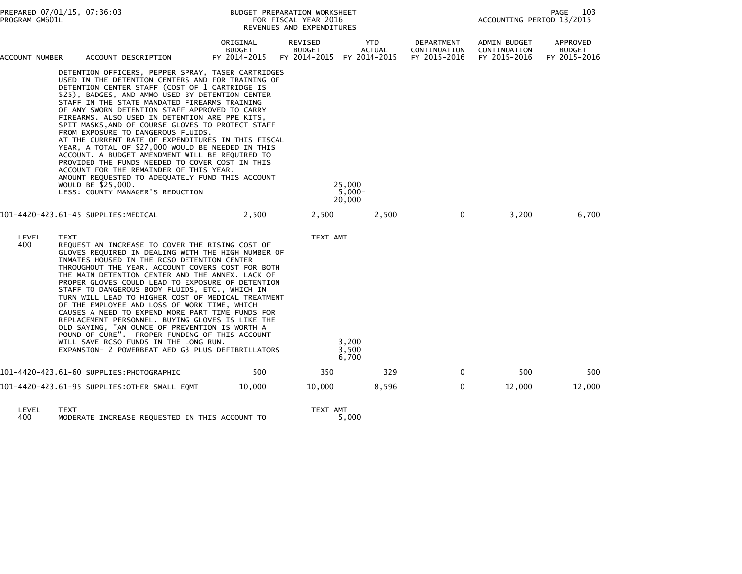|                | PREPARED 07/01/15, 07:36:03<br>PROGRAM GM601L |                                                                                                                                                                                                                                                                                                                                                                                                                                                                                                                                                                                                                                                                                                                                                                                                                                                                                |                                           | BUDGET PREPARATION WORKSHEET<br>FOR FISCAL YEAR 2016<br>REVENUES AND EXPENDITURES |                                        |                                                   | PAGE<br>103<br>ACCOUNTING PERIOD 13/2015     |                                           |  |
|----------------|-----------------------------------------------|--------------------------------------------------------------------------------------------------------------------------------------------------------------------------------------------------------------------------------------------------------------------------------------------------------------------------------------------------------------------------------------------------------------------------------------------------------------------------------------------------------------------------------------------------------------------------------------------------------------------------------------------------------------------------------------------------------------------------------------------------------------------------------------------------------------------------------------------------------------------------------|-------------------------------------------|-----------------------------------------------------------------------------------|----------------------------------------|---------------------------------------------------|----------------------------------------------|-------------------------------------------|--|
| ACCOUNT NUMBER |                                               | ACCOUNT DESCRIPTION                                                                                                                                                                                                                                                                                                                                                                                                                                                                                                                                                                                                                                                                                                                                                                                                                                                            | ORIGINAL<br><b>BUDGET</b><br>FY 2014-2015 | <b>REVISED</b><br><b>BUDGET</b><br>FY 2014-2015 FY 2014-2015                      | <b>YTD</b><br><b>ACTUAL</b>            | <b>DEPARTMENT</b><br>CONTINUATION<br>FY 2015-2016 | ADMIN BUDGET<br>CONTINUATION<br>FY 2015-2016 | APPROVED<br><b>BUDGET</b><br>FY 2015-2016 |  |
|                |                                               | DETENTION OFFICERS, PEPPER SPRAY, TASER CARTRIDGES<br>USED IN THE DETENTION CENTERS AND FOR TRAINING OF<br>DETENTION CENTER STAFF (COST OF 1 CARTRIDGE IS<br>\$25), BADGES, AND AMMO USED BY DETENTION CENTER<br>STAFF IN THE STATE MANDATED FIREARMS TRAINING<br>OF ANY SWORN DETENTION STAFF APPROVED TO CARRY<br>FIREARMS. ALSO USED IN DETENTION ARE PPE KITS,<br>SPIT MASKS, AND OF COURSE GLOVES TO PROTECT STAFF<br>FROM EXPOSURE TO DANGEROUS FLUIDS.<br>AT THE CURRENT RATE OF EXPENDITURES IN THIS FISCAL<br>YEAR, A TOTAL OF \$27,000 WOULD BE NEEDED IN THIS<br>ACCOUNT. A BUDGET AMENDMENT WILL BE REQUIRED TO<br>PROVIDED THE FUNDS NEEDED TO COVER COST IN THIS<br>ACCOUNT FOR THE REMAINDER OF THIS YEAR.<br>AMOUNT REQUESTED TO ADEQUATELY FUND THIS ACCOUNT<br>WOULD BE \$25,000.<br>LESS: COUNTY MANAGER'S REDUCTION<br>101-4420-423.61-45 SUPPLIES:MEDICAL | 2,500                                     | 2,500                                                                             | 25,000<br>$5,000 -$<br>20,000<br>2,500 | $\mathbf{0}$                                      | 3,200                                        | 6,700                                     |  |
| LEVEL<br>400   | <b>TEXT</b>                                   | REQUEST AN INCREASE TO COVER THE RISING COST OF<br>GLOVES REQUIRED IN DEALING WITH THE HIGH NUMBER OF<br>INMATES HOUSED IN THE RCSO DETENTION CENTER<br>THROUGHOUT THE YEAR. ACCOUNT COVERS COST FOR BOTH<br>THE MAIN DETENTION CENTER AND THE ANNEX. LACK OF<br>PROPER GLOVES COULD LEAD TO EXPOSURE OF DETENTION<br>STAFF TO DANGEROUS BODY FLUIDS, ETC., WHICH IN<br>TURN WILL LEAD TO HIGHER COST OF MEDICAL TREATMENT<br>OF THE EMPLOYEE AND LOSS OF WORK TIME, WHICH<br>CAUSES A NEED TO EXPEND MORE PART TIME FUNDS FOR<br>REPLACEMENT PERSONNEL. BUYING GLOVES IS LIKE THE<br>OLD SAYING, "AN OUNCE OF PREVENTION IS WORTH A<br>POUND OF CURE". PROPER FUNDING OF THIS ACCOUNT<br>WILL SAVE RCSO FUNDS IN THE LONG RUN.<br>EXPANSION- 2 POWERBEAT AED G3 PLUS DEFIBRILLATORS                                                                                           |                                           | TEXT AMT                                                                          | 3,200<br>3.500<br>6,700                |                                                   |                                              |                                           |  |
|                |                                               | 101-4420-423.61-60 SUPPLIES:PHOTOGRAPHIC                                                                                                                                                                                                                                                                                                                                                                                                                                                                                                                                                                                                                                                                                                                                                                                                                                       | 500                                       | 350                                                                               | 329                                    | $\mathbf{0}$                                      | 500                                          | 500                                       |  |
|                |                                               | 101–4420–423.61–95 SUPPLIES:OTHER SMALL EQMT                                                                                                                                                                                                                                                                                                                                                                                                                                                                                                                                                                                                                                                                                                                                                                                                                                   | 10,000                                    | 10,000                                                                            | 8,596                                  | $\mathbf{0}$                                      | 12,000                                       | 12,000                                    |  |
| LEVEL<br>400   | <b>TEXT</b>                                   | MODERATE INCREASE REQUESTED IN THIS ACCOUNT TO                                                                                                                                                                                                                                                                                                                                                                                                                                                                                                                                                                                                                                                                                                                                                                                                                                 |                                           | TEXT AMT                                                                          | 5,000                                  |                                                   |                                              |                                           |  |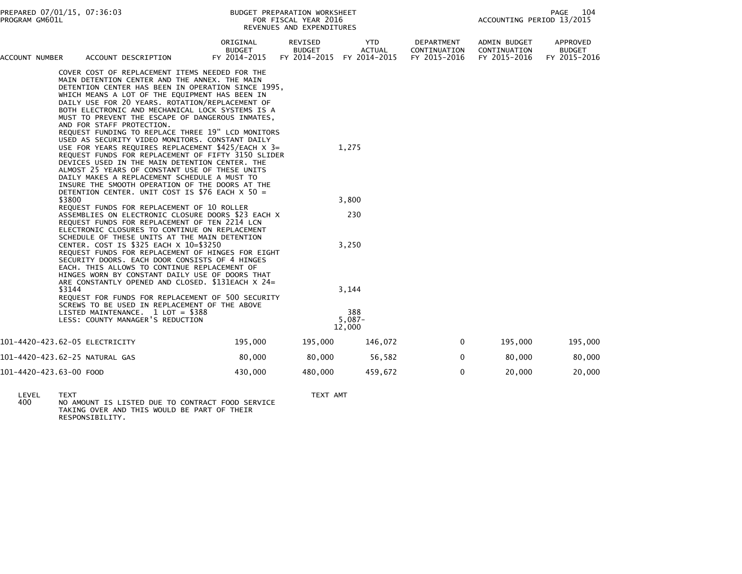| ACCOUNT NUMBER          | ACCOUNT DESCRIPTION                                                                                                                                                                                                                                                                                                                                                                                                                                                                                                                                                                                                                                                                                                                                                                                                        | ORIGINAL<br><b>BUDGET</b><br>FY 2014-2015 | REVISED<br><b>BUDGET</b><br>FY 2014-2015 | <b>YTD</b><br><b>ACTUAL</b><br>FY 2014-2015 | DEPARTMENT<br>CONTINUATION<br>FY 2015-2016 | ADMIN BUDGET<br>CONTINUATION<br>FY 2015-2016 | APPROVED<br><b>BUDGET</b><br>FY 2015-2016 |
|-------------------------|----------------------------------------------------------------------------------------------------------------------------------------------------------------------------------------------------------------------------------------------------------------------------------------------------------------------------------------------------------------------------------------------------------------------------------------------------------------------------------------------------------------------------------------------------------------------------------------------------------------------------------------------------------------------------------------------------------------------------------------------------------------------------------------------------------------------------|-------------------------------------------|------------------------------------------|---------------------------------------------|--------------------------------------------|----------------------------------------------|-------------------------------------------|
|                         | COVER COST OF REPLACEMENT ITEMS NEEDED FOR THE<br>MAIN DETENTION CENTER AND THE ANNEX. THE MAIN<br>DETENTION CENTER HAS BEEN IN OPERATION SINCE 1995,<br>WHICH MEANS A LOT OF THE EQUIPMENT HAS BEEN IN<br>DAILY USE FOR 20 YEARS. ROTATION/REPLACEMENT OF<br>BOTH ELECTRONIC AND MECHANICAL LOCK SYSTEMS IS A<br>MUST TO PREVENT THE ESCAPE OF DANGEROUS INMATES,<br>AND FOR STAFF PROTECTION.<br>REQUEST FUNDING TO REPLACE THREE 19" LCD MONITORS<br>USED AS SECURITY VIDEO MONITORS. CONSTANT DAILY<br>USE FOR YEARS REQUIRES REPLACEMENT \$425/EACH X 3=<br>REQUEST FUNDS FOR REPLACEMENT OF FIFTY 3150 SLIDER<br>DEVICES USED IN THE MAIN DETENTION CENTER. THE<br>ALMOST 25 YEARS OF CONSTANT USE OF THESE UNITS<br>DAILY MAKES A REPLACEMENT SCHEDULE A MUST TO<br>INSURE THE SMOOTH OPERATION OF THE DOORS AT THE |                                           |                                          | 1,275                                       |                                            |                                              |                                           |
|                         | DETENTION CENTER. UNIT COST IS \$76 EACH X 50 =<br>\$3800                                                                                                                                                                                                                                                                                                                                                                                                                                                                                                                                                                                                                                                                                                                                                                  |                                           |                                          | 3,800                                       |                                            |                                              |                                           |
|                         | REQUEST FUNDS FOR REPLACEMENT OF 10 ROLLER                                                                                                                                                                                                                                                                                                                                                                                                                                                                                                                                                                                                                                                                                                                                                                                 |                                           |                                          |                                             |                                            |                                              |                                           |
|                         | ASSEMBLIES ON ELECTRONIC CLOSURE DOORS \$23 EACH X<br>REQUEST FUNDS FOR REPLACEMENT OF TEN 2214 LCN<br>ELECTRONIC CLOSURES TO CONTINUE ON REPLACEMENT                                                                                                                                                                                                                                                                                                                                                                                                                                                                                                                                                                                                                                                                      |                                           |                                          | 230                                         |                                            |                                              |                                           |
|                         | SCHEDULE OF THESE UNITS AT THE MAIN DETENTION<br>CENTER. COST IS \$325 EACH X 10=\$3250<br>REQUEST FUNDS FOR REPLACEMENT OF HINGES FOR EIGHT<br>SECURITY DOORS. EACH DOOR CONSISTS OF 4 HINGES<br>EACH. THIS ALLOWS TO CONTINUE REPLACEMENT OF<br>HINGES WORN BY CONSTANT DAILY USE OF DOORS THAT                                                                                                                                                                                                                                                                                                                                                                                                                                                                                                                          |                                           |                                          | 3,250                                       |                                            |                                              |                                           |
|                         | ARE CONSTANTLY OPENED AND CLOSED. \$131EACH X 24=<br>\$3144<br>REQUEST FOR FUNDS FOR REPLACEMENT OF 500 SECURITY                                                                                                                                                                                                                                                                                                                                                                                                                                                                                                                                                                                                                                                                                                           |                                           |                                          | 3,144                                       |                                            |                                              |                                           |
|                         | SCREWS TO BE USED IN REPLACEMENT OF THE ABOVE<br>LISTED MAINTENANCE. 1 LOT = \$388<br>LESS: COUNTY MANAGER'S REDUCTION                                                                                                                                                                                                                                                                                                                                                                                                                                                                                                                                                                                                                                                                                                     |                                           |                                          | 388<br>$5,087-$<br>12,000                   |                                            |                                              |                                           |
|                         | 101-4420-423.62-05 ELECTRICITY                                                                                                                                                                                                                                                                                                                                                                                                                                                                                                                                                                                                                                                                                                                                                                                             | 195,000                                   | 195,000                                  | 146,072                                     | $\Omega$                                   | 195,000                                      | 195,000                                   |
|                         | 101-4420-423.62-25 NATURAL GAS                                                                                                                                                                                                                                                                                                                                                                                                                                                                                                                                                                                                                                                                                                                                                                                             | 80,000                                    | 80,000                                   | 56,582                                      | 0                                          | 80,000                                       | 80,000                                    |
| 101-4420-423.63-00 FOOD |                                                                                                                                                                                                                                                                                                                                                                                                                                                                                                                                                                                                                                                                                                                                                                                                                            | 430,000                                   | 480,000                                  | 459,672                                     | 0                                          | 20,000                                       | 20,000                                    |

 LEVEL TEXT TEXT AMT 400 NO AMOUNT IS LISTED DUE TO CONTRACT FOOD SERVICETAKING OVER AND THIS WOULD BE PART OF THEIR RESPONSIBILITY.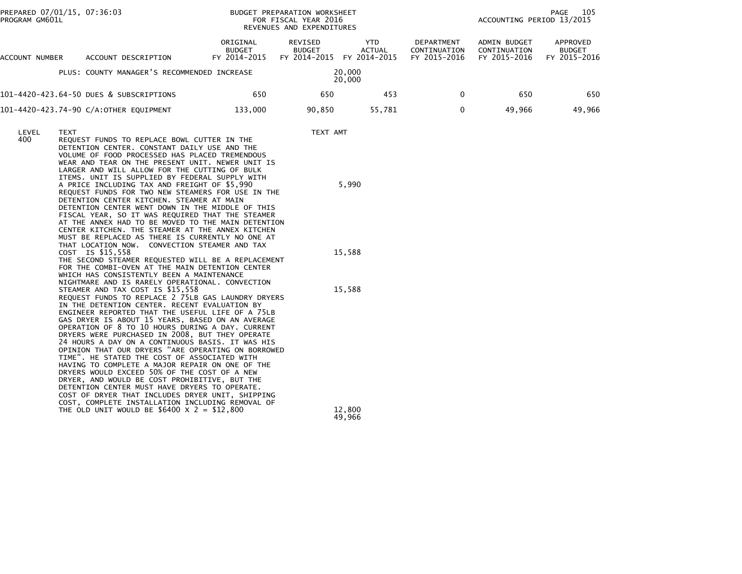| PROGRAM GM601L | PREPARED 07/01/15, 07:36:03 |                                                                                                                                                                                                                                                                                                                                                                                                                                                                                                                                                                                                                                                                                                                                                                                                                                                                                                                                                                                                                                                                                                                                                                                                                                                                                                                                                                                                                                                                                                                                                                                                                                                                                                                                                                                                                                             | BUDGET PREPARATION WORKSHEET<br>FOR FISCAL YEAR 2016<br>REVENUES AND EXPENDITURES |                                          |                                             |                                            | PAGE<br>105<br>ACCOUNTING PERIOD 13/2015     |                                           |  |
|----------------|-----------------------------|---------------------------------------------------------------------------------------------------------------------------------------------------------------------------------------------------------------------------------------------------------------------------------------------------------------------------------------------------------------------------------------------------------------------------------------------------------------------------------------------------------------------------------------------------------------------------------------------------------------------------------------------------------------------------------------------------------------------------------------------------------------------------------------------------------------------------------------------------------------------------------------------------------------------------------------------------------------------------------------------------------------------------------------------------------------------------------------------------------------------------------------------------------------------------------------------------------------------------------------------------------------------------------------------------------------------------------------------------------------------------------------------------------------------------------------------------------------------------------------------------------------------------------------------------------------------------------------------------------------------------------------------------------------------------------------------------------------------------------------------------------------------------------------------------------------------------------------------|-----------------------------------------------------------------------------------|------------------------------------------|---------------------------------------------|--------------------------------------------|----------------------------------------------|-------------------------------------------|--|
| ACCOUNT NUMBER |                             | ACCOUNT DESCRIPTION                                                                                                                                                                                                                                                                                                                                                                                                                                                                                                                                                                                                                                                                                                                                                                                                                                                                                                                                                                                                                                                                                                                                                                                                                                                                                                                                                                                                                                                                                                                                                                                                                                                                                                                                                                                                                         | ORIGINAL<br><b>BUDGET</b><br>FY 2014-2015                                         | REVISED<br><b>BUDGET</b><br>FY 2014-2015 | <b>YTD</b><br><b>ACTUAL</b><br>FY 2014-2015 | DEPARTMENT<br>CONTINUATION<br>FY 2015-2016 | ADMIN BUDGET<br>CONTINUATION<br>FY 2015-2016 | APPROVED<br><b>BUDGET</b><br>FY 2015-2016 |  |
|                |                             | PLUS: COUNTY MANAGER'S RECOMMENDED INCREASE                                                                                                                                                                                                                                                                                                                                                                                                                                                                                                                                                                                                                                                                                                                                                                                                                                                                                                                                                                                                                                                                                                                                                                                                                                                                                                                                                                                                                                                                                                                                                                                                                                                                                                                                                                                                 |                                                                                   |                                          | 20,000<br>20,000                            |                                            |                                              |                                           |  |
|                |                             | 101-4420-423.64-50 DUES & SUBSCRIPTIONS                                                                                                                                                                                                                                                                                                                                                                                                                                                                                                                                                                                                                                                                                                                                                                                                                                                                                                                                                                                                                                                                                                                                                                                                                                                                                                                                                                                                                                                                                                                                                                                                                                                                                                                                                                                                     | 650                                                                               | 650                                      | 453                                         | $\mathbf{0}$                               | 650                                          | 650                                       |  |
|                |                             | 101-4420-423.74-90 C/A:OTHER EQUIPMENT                                                                                                                                                                                                                                                                                                                                                                                                                                                                                                                                                                                                                                                                                                                                                                                                                                                                                                                                                                                                                                                                                                                                                                                                                                                                                                                                                                                                                                                                                                                                                                                                                                                                                                                                                                                                      | 133,000                                                                           | 90,850                                   | 55,781                                      | $\mathbf 0$                                | 49,966                                       | 49,966                                    |  |
| LEVEL<br>400   | <b>TEXT</b>                 | REQUEST FUNDS TO REPLACE BOWL CUTTER IN THE<br>DETENTION CENTER. CONSTANT DAILY USE AND THE<br>VOLUME OF FOOD PROCESSED HAS PLACED TREMENDOUS<br>WEAR AND TEAR ON THE PRESENT UNIT. NEWER UNIT IS<br>LARGER AND WILL ALLOW FOR THE CUTTING OF BULK<br>ITEMS. UNIT IS SUPPLIED BY FEDERAL SUPPLY WITH<br>A PRICE INCLUDING TAX AND FREIGHT OF \$5,990<br>REQUEST FUNDS FOR TWO NEW STEAMERS FOR USE IN THE<br>DETENTION CENTER KITCHEN. STEAMER AT MAIN<br>DETENTION CENTER WENT DOWN IN THE MIDDLE OF THIS<br>FISCAL YEAR, SO IT WAS REQUIRED THAT THE STEAMER<br>AT THE ANNEX HAD TO BE MOVED TO THE MAIN DETENTION<br>CENTER KITCHEN. THE STEAMER AT THE ANNEX KITCHEN<br>MUST BE REPLACED AS THERE IS CURRENTLY NO ONE AT<br>THAT LOCATION NOW. CONVECTION STEAMER AND TAX<br>COST IS \$15,558<br>THE SECOND STEAMER REQUESTED WILL BE A REPLACEMENT<br>FOR THE COMBI-OVEN AT THE MAIN DETENTION CENTER<br>WHICH HAS CONSISTENTLY BEEN A MAINTENANCE<br>NIGHTMARE AND IS RARELY OPERATIONAL. CONVECTION<br>STEAMER AND TAX COST IS \$15,558<br>REQUEST FUNDS TO REPLACE 2 75LB GAS LAUNDRY DRYERS<br>IN THE DETENTION CENTER. RECENT EVALUATION BY<br>ENGINEER REPORTED THAT THE USEFUL LIFE OF A 75LB<br>GAS DRYER IS ABOUT 15 YEARS, BASED ON AN AVERAGE<br>OPERATION OF 8 TO 10 HOURS DURING A DAY. CURRENT<br>DRYERS WERE PURCHASED IN 2008, BUT THEY OPERATE<br>24 HOURS A DAY ON A CONTINUOUS BASIS. IT WAS HIS<br>OPINION THAT OUR DRYERS "ARE OPERATING ON BORROWED<br>TIME". HE STATED THE COST OF ASSOCIATED WITH<br>HAVING TO COMPLETE A MAJOR REPAIR ON ONE OF THE<br>DRYERS WOULD EXCEED 50% OF THE COST OF A NEW<br>DRYER, AND WOULD BE COST PROHIBITIVE, BUT THE<br>DETENTION CENTER MUST HAVE DRYERS TO OPERATE.<br>COST OF DRYER THAT INCLUDES DRYER UNIT, SHIPPING<br>COST, COMPLETE INSTALLATION INCLUDING REMOVAL OF |                                                                                   | TEXT AMT                                 | 5,990<br>15,588<br>15,588                   |                                            |                                              |                                           |  |
|                |                             | THE OLD UNIT WOULD BE \$6400 $\times$ 2 = \$12,800                                                                                                                                                                                                                                                                                                                                                                                                                                                                                                                                                                                                                                                                                                                                                                                                                                                                                                                                                                                                                                                                                                                                                                                                                                                                                                                                                                                                                                                                                                                                                                                                                                                                                                                                                                                          |                                                                                   |                                          | 12,800<br>49,966                            |                                            |                                              |                                           |  |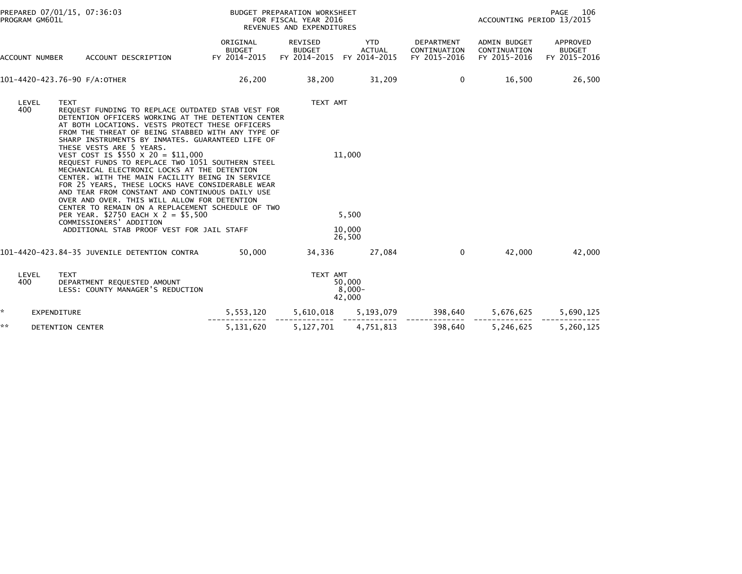| PREPARED 07/01/15, 07:36:03<br>PROGRAM GM601L |                                                                                                                                                                                                                                                                                                                                                                                                                                                                                                                                                                                                                                                                                                                                                                                                                                        | BUDGET PREPARATION WORKSHEET<br>FOR FISCAL YEAR 2016<br>REVENUES AND EXPENDITURES |                                          |                                                 |                                            | PAGE<br>106<br>ACCOUNTING PERIOD 13/2015     |                                           |  |
|-----------------------------------------------|----------------------------------------------------------------------------------------------------------------------------------------------------------------------------------------------------------------------------------------------------------------------------------------------------------------------------------------------------------------------------------------------------------------------------------------------------------------------------------------------------------------------------------------------------------------------------------------------------------------------------------------------------------------------------------------------------------------------------------------------------------------------------------------------------------------------------------------|-----------------------------------------------------------------------------------|------------------------------------------|-------------------------------------------------|--------------------------------------------|----------------------------------------------|-------------------------------------------|--|
| ACCOUNT NUMBER                                | ACCOUNT DESCRIPTION                                                                                                                                                                                                                                                                                                                                                                                                                                                                                                                                                                                                                                                                                                                                                                                                                    | ORIGINAL<br><b>BUDGET</b><br>FY 2014-2015                                         | REVISED<br><b>BUDGET</b><br>FY 2014-2015 | <b>YTD</b><br><b>ACTUAL</b><br>FY 2014-2015     | DEPARTMENT<br>CONTINUATION<br>FY 2015-2016 | ADMIN BUDGET<br>CONTINUATION<br>FY 2015-2016 | APPROVED<br><b>BUDGET</b><br>FY 2015-2016 |  |
|                                               | 101-4420-423.76-90 F/A:OTHER                                                                                                                                                                                                                                                                                                                                                                                                                                                                                                                                                                                                                                                                                                                                                                                                           | 26,200                                                                            | 38,200                                   | 31,209                                          | 0                                          | 16,500                                       | 26,500                                    |  |
| LEVEL<br>400                                  | <b>TEXT</b><br>REQUEST FUNDING TO REPLACE OUTDATED STAB VEST FOR<br>DETENTION OFFICERS WORKING AT THE DETENTION CENTER<br>AT BOTH LOCATIONS. VESTS PROTECT THESE OFFICERS<br>FROM THE THREAT OF BEING STABBED WITH ANY TYPE OF<br>SHARP INSTRUMENTS BY INMATES. GUARANTEED LIFE OF<br>THESE VESTS ARE 5 YEARS.<br>VEST COST IS \$550 X 20 = \$11,000<br>REQUEST FUNDS TO REPLACE TWO 1051 SOUTHERN STEEL<br>MECHANICAL ELECTRONIC LOCKS AT THE DETENTION<br>CENTER. WITH THE MAIN FACILITY BEING IN SERVICE<br>FOR 25 YEARS, THESE LOCKS HAVE CONSIDERABLE WEAR<br>AND TEAR FROM CONSTANT AND CONTINUOUS DAILY USE<br>OVER AND OVER. THIS WILL ALLOW FOR DETENTION<br>CENTER TO REMAIN ON A REPLACEMENT SCHEDULE OF TWO<br>PER YEAR. \$2750 EACH X 2 = \$5,500<br>COMMISSIONERS' ADDITION<br>ADDITIONAL STAB PROOF VEST FOR JAIL STAFF |                                                                                   |                                          | TEXT AMT<br>11,000<br>5,500<br>10,000<br>26,500 |                                            |                                              |                                           |  |
|                                               | 101-4420-423.84-35 JUVENILE DETENTION CONTRA                                                                                                                                                                                                                                                                                                                                                                                                                                                                                                                                                                                                                                                                                                                                                                                           | 50,000                                                                            | 34,336                                   | 27,084                                          | $\Omega$                                   | 42,000                                       | 42,000                                    |  |
| LEVEL<br>400                                  | <b>TEXT</b><br>DEPARTMENT REQUESTED AMOUNT<br>LESS: COUNTY MANAGER'S REDUCTION                                                                                                                                                                                                                                                                                                                                                                                                                                                                                                                                                                                                                                                                                                                                                         | TEXT AMT<br>50,000<br>8,000-<br>42,000                                            |                                          |                                                 |                                            |                                              |                                           |  |
| *                                             | <b>EXPENDITURE</b>                                                                                                                                                                                                                                                                                                                                                                                                                                                                                                                                                                                                                                                                                                                                                                                                                     | 5,553,120                                                                         | 5,610,018                                | 5,193,079                                       | 398,640                                    | 5,676,625                                    | 5,690,125                                 |  |
| **                                            | DETENTION CENTER                                                                                                                                                                                                                                                                                                                                                                                                                                                                                                                                                                                                                                                                                                                                                                                                                       | 5,131,620                                                                         | 5,127,701                                | 4,751,813                                       | 398,640                                    | 5,246,625                                    | 5,260,125                                 |  |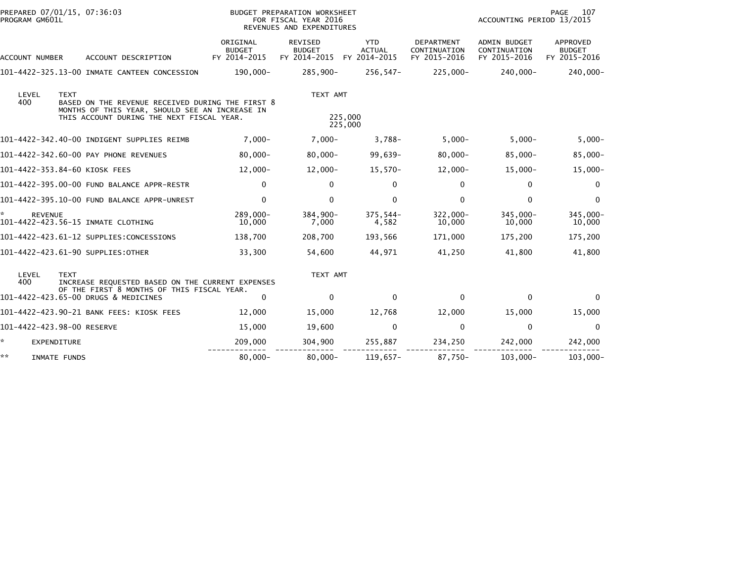| PREPARED 07/01/15, 07:36:03<br>PROGRAM GM601L |                                                                                                                                                                | BUDGET PREPARATION WORKSHEET<br>FOR FISCAL YEAR 2016<br>REVENUES AND EXPENDITURES |                                          |                                       |                                                   |                                              | PAGE<br>107<br>ACCOUNTING PERIOD 13/2015  |  |
|-----------------------------------------------|----------------------------------------------------------------------------------------------------------------------------------------------------------------|-----------------------------------------------------------------------------------|------------------------------------------|---------------------------------------|---------------------------------------------------|----------------------------------------------|-------------------------------------------|--|
| ACCOUNT NUMBER                                | ACCOUNT DESCRIPTION                                                                                                                                            | ORIGINAL<br><b>BUDGET</b><br>FY 2014-2015                                         | REVISED<br><b>BUDGET</b><br>FY 2014-2015 | YTD.<br><b>ACTUAL</b><br>FY 2014-2015 | <b>DEPARTMENT</b><br>CONTINUATION<br>FY 2015-2016 | ADMIN BUDGET<br>CONTINUATION<br>FY 2015-2016 | APPROVED<br><b>BUDGET</b><br>FY 2015-2016 |  |
|                                               | 101-4422-325.13-00 INMATE CANTEEN CONCESSION                                                                                                                   | 190,000-                                                                          | 285,900-                                 | 256,547-                              | 225,000-                                          | 240,000-                                     | $240,000 -$                               |  |
| LEVEL<br>400                                  | <b>TEXT</b><br>BASED ON THE REVENUE RECEIVED DURING THE FIRST 8<br>MONTHS OF THIS YEAR, SHOULD SEE AN INCREASE IN<br>THIS ACCOUNT DURING THE NEXT FISCAL YEAR. |                                                                                   | TEXT AMT                                 | 225,000<br>225,000                    |                                                   |                                              |                                           |  |
|                                               | 101-4422-342.40-00 INDIGENT SUPPLIES REIMB                                                                                                                     | $7,000 -$                                                                         | $7,000 -$                                | $3,788-$                              | $5,000 -$                                         | $5,000 -$                                    | $5,000-$                                  |  |
|                                               | 101-4422-342.60-00 PAY PHONE REVENUES                                                                                                                          | $80,000 -$                                                                        | $80,000 -$                               | 99,639-                               | $80,000 -$                                        | $85,000 -$                                   | $85,000 -$                                |  |
|                                               | 101-4422-353.84-60 KIOSK FEES                                                                                                                                  | $12,000 -$                                                                        | $12,000-$                                | $15,570-$                             | $12,000 -$                                        | $15,000 -$                                   | $15,000-$                                 |  |
|                                               | 101-4422-395.00-00 FUND BALANCE APPR-RESTR                                                                                                                     | 0                                                                                 | 0                                        | 0                                     | $\mathbf 0$                                       | 0                                            | $\mathbf 0$                               |  |
|                                               | 101-4422-395.10-00 FUND BALANCE APPR-UNREST                                                                                                                    | 0                                                                                 | $\mathbf{0}$                             | $\mathbf{0}$                          | $\mathbf{0}$                                      | $\mathbf{0}$                                 | $\mathbf{0}$                              |  |
| <b>REVENUE</b>                                | 101-4422-423.56-15 INMATE CLOTHING                                                                                                                             | 289.000-<br>10,000                                                                | 384,900-<br>7,000                        | $375.544-$<br>4,582                   | $322,000 -$<br>10,000                             | 345,000-<br>10,000                           | 345,000-<br>10,000                        |  |
|                                               | 101-4422-423.61-12 SUPPLIES:CONCESSIONS                                                                                                                        | 138,700                                                                           | 208,700                                  | 193,566                               | 171,000                                           | 175,200                                      | 175,200                                   |  |
|                                               | 101-4422-423.61-90 SUPPLIES:OTHER                                                                                                                              | 33,300                                                                            | 54,600                                   | 44,971                                | 41,250                                            | 41,800                                       | 41,800                                    |  |
| LEVEL<br>400                                  | <b>TEXT</b><br>INCREASE REQUESTED BASED ON THE CURRENT EXPENSES                                                                                                |                                                                                   | TEXT AMT                                 |                                       |                                                   |                                              |                                           |  |
|                                               | OF THE FIRST 8 MONTHS OF THIS FISCAL YEAR.<br>101-4422-423.65-00 DRUGS & MEDICINES                                                                             | $\mathbf{0}$                                                                      | $\Omega$                                 | $\mathbf{0}$                          | $\Omega$                                          | $\mathbf{0}$                                 | $\Omega$                                  |  |
|                                               | 101-4422-423.90-21 BANK FEES: KIOSK FEES                                                                                                                       | 12,000                                                                            | 15,000                                   | 12,768                                | 12,000                                            | 15,000                                       | 15,000                                    |  |
| 101-4422-423.98-00 RESERVE                    |                                                                                                                                                                | 15,000                                                                            | 19,600                                   | $\mathbf 0$                           | $\mathbf 0$                                       | $\mathbf 0$                                  | $\mathbf 0$                               |  |
| ☆.<br>EXPENDITURE                             |                                                                                                                                                                | 209,000                                                                           | 304,900                                  | 255,887                               | 234,250                                           | 242,000                                      | 242,000                                   |  |
| **<br>INMATE FUNDS                            |                                                                                                                                                                | $80,000 -$                                                                        | $80,000 -$                               | $119,657-$                            | 87,750-                                           | $103,000 -$                                  | $103,000 -$                               |  |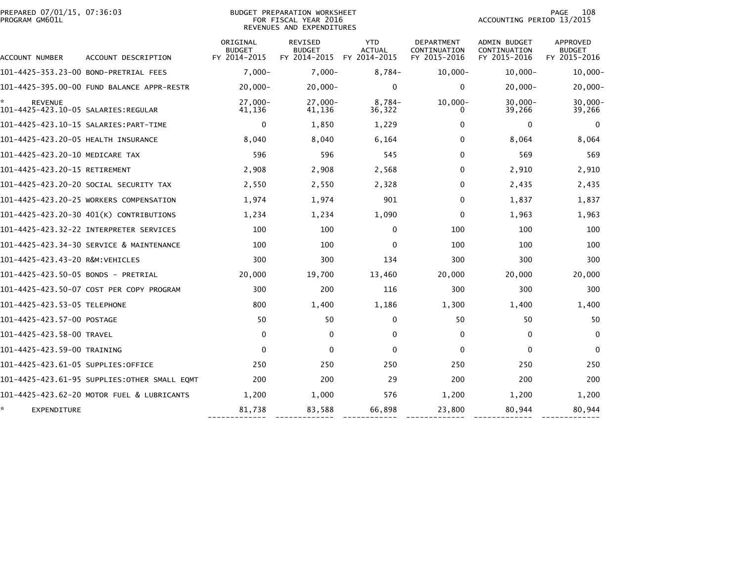| PREPARED 07/01/15, 07:36:03<br>PROGRAM GM601L |                                              |                                           | <b>BUDGET PREPARATION WORKSHEET</b><br>FOR FISCAL YEAR 2016<br>REVENUES AND EXPENDITURES | 108<br><b>PAGE</b><br>ACCOUNTING PERIOD 13/2015 |                                                   |                                              |                                           |
|-----------------------------------------------|----------------------------------------------|-------------------------------------------|------------------------------------------------------------------------------------------|-------------------------------------------------|---------------------------------------------------|----------------------------------------------|-------------------------------------------|
| ACCOUNT NUMBER                                | ACCOUNT DESCRIPTION                          | ORIGINAL<br><b>BUDGET</b><br>FY 2014-2015 | <b>REVISED</b><br><b>BUDGET</b><br>FY 2014-2015                                          | <b>YTD</b><br><b>ACTUAL</b><br>FY 2014-2015     | <b>DEPARTMENT</b><br>CONTINUATION<br>FY 2015-2016 | ADMIN BUDGET<br>CONTINUATION<br>FY 2015-2016 | APPROVED<br><b>BUDGET</b><br>FY 2015-2016 |
|                                               | 101-4425-353.23-00 BOND-PRETRIAL FEES        | $7,000 -$                                 | $7,000-$                                                                                 | 8,784-                                          | $10,000 -$                                        | $10,000 -$                                   | $10,000 -$                                |
|                                               | 101-4425-395.00-00 FUND BALANCE APPR-RESTR   | $20,000 -$                                | $20,000 -$                                                                               | $\mathbf{0}$                                    | $\mathbf{0}$                                      | $20,000 -$                                   | $20,000 -$                                |
| <b>REVENUE</b>                                |                                              | $27.000 -$<br>41,136                      | $27,000 -$<br>41,136                                                                     | $8,784-$<br>36,322                              | $10,000 -$<br>$\Omega$                            | $30,000 -$<br>39,266                         | $30,000 -$<br>39,266                      |
|                                               |                                              | 0                                         | 1,850                                                                                    | 1,229                                           | 0                                                 | 0                                            | $\mathbf 0$                               |
| 101-4425-423.20-05 HEALTH INSURANCE           |                                              | 8,040                                     | 8,040                                                                                    | 6,164                                           | $\Omega$                                          | 8,064                                        | 8,064                                     |
| 101-4425-423.20-10 MEDICARE TAX               |                                              | 596                                       | 596                                                                                      | 545                                             | $\Omega$                                          | 569                                          | 569                                       |
| 101-4425-423.20-15 RETIREMENT                 |                                              | 2,908                                     | 2,908                                                                                    | 2,568                                           | $\Omega$                                          | 2,910                                        | 2,910                                     |
|                                               | 101-4425-423.20-20 SOCIAL SECURITY TAX       | 2,550                                     | 2,550                                                                                    | 2,328                                           | $\Omega$                                          | 2,435                                        | 2,435                                     |
|                                               | 101-4425-423.20-25 WORKERS COMPENSATION      | 1,974                                     | 1,974                                                                                    | 901                                             | $\Omega$                                          | 1,837                                        | 1,837                                     |
|                                               | 101-4425-423.20-30 401(K) CONTRIBUTIONS      | 1,234                                     | 1,234                                                                                    | 1,090                                           | $\Omega$                                          | 1,963                                        | 1,963                                     |
|                                               |                                              | 100                                       | 100                                                                                      | $\Omega$                                        | 100                                               | 100                                          | 100                                       |
|                                               | 101-4425-423.34-30 SERVICE & MAINTENANCE     | 100                                       | 100                                                                                      | $\mathbf{0}$                                    | 100                                               | 100                                          | 100                                       |
| 101-4425-423.43-20 R&M:VEHICLES               |                                              | 300                                       | 300                                                                                      | 134                                             | 300                                               | 300                                          | 300                                       |
| 101-4425-423.50-05 BONDS - PRETRIAL           |                                              | 20,000                                    | 19,700                                                                                   | 13,460                                          | 20,000                                            | 20,000                                       | 20,000                                    |
|                                               | 101-4425-423.50-07 COST PER COPY PROGRAM     | 300                                       | 200                                                                                      | 116                                             | 300                                               | 300                                          | 300                                       |
| 101-4425-423.53-05 TELEPHONE                  |                                              | 800                                       | 1,400                                                                                    | 1,186                                           | 1,300                                             | 1,400                                        | 1,400                                     |
| 101-4425-423.57-00 POSTAGE                    |                                              | 50                                        | 50                                                                                       | $\Omega$                                        | 50                                                | 50                                           | 50                                        |
| 101-4425-423.58-00 TRAVEL                     |                                              | 0                                         | $\mathbf{0}$                                                                             | 0                                               | $\mathbf{0}$                                      | $\mathbf{0}$                                 | $\mathbf{0}$                              |
| 101-4425-423.59-00 TRAINING                   |                                              | $\mathbf 0$                               | $\mathbf{0}$                                                                             | $\Omega$                                        | $\mathbf{0}$                                      | $\mathbf{0}$                                 | $\Omega$                                  |
| 101-4425-423.61-05 SUPPLIES:OFFICE            |                                              | 250                                       | 250                                                                                      | 250                                             | 250                                               | 250                                          | 250                                       |
|                                               | 101-4425-423.61-95 SUPPLIES:OTHER SMALL EQMT | 200                                       | 200                                                                                      | 29                                              | 200                                               | 200                                          | 200                                       |
|                                               | 101-4425-423.62-20 MOTOR FUEL & LUBRICANTS   | 1,200                                     | 1,000                                                                                    | 576                                             | 1,200                                             | 1,200                                        | 1,200                                     |
| EXPENDITURE                                   |                                              | 81,738                                    | 83,588                                                                                   | 66,898                                          | 23,800                                            | 80,944                                       | 80,944                                    |

------------- ------------- ------------ ------------- ------------- -------------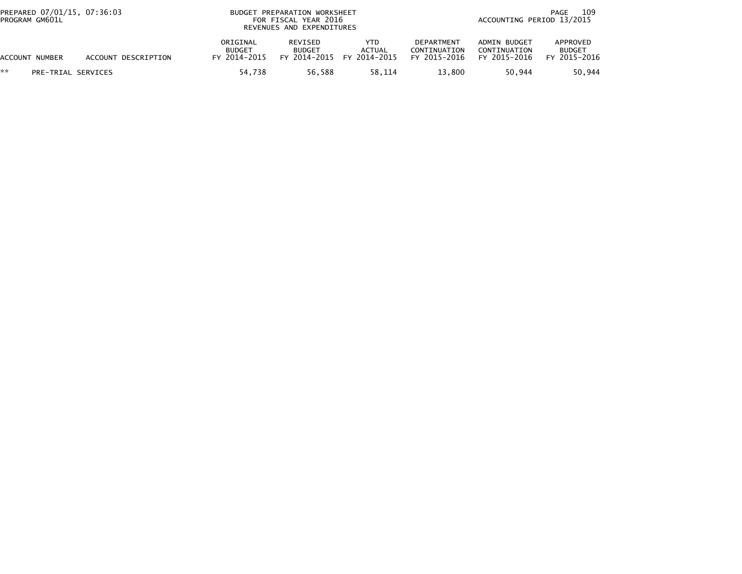| PREPARED 07/01/15, 07:36:03<br>PROGRAM GM601L |                     |                                           | BUDGET PREPARATION WORKSHEET<br>FOR FISCAL YEAR 2016<br>REVENUES AND EXPENDITURES |                                       |                                                   |                                              | 109<br>PAGE<br>ACCOUNTING PERIOD 13/2015  |  |  |  |
|-----------------------------------------------|---------------------|-------------------------------------------|-----------------------------------------------------------------------------------|---------------------------------------|---------------------------------------------------|----------------------------------------------|-------------------------------------------|--|--|--|
| ACCOUNT NUMBER                                | ACCOUNT DESCRIPTION | ORIGINAL<br><b>BUDGET</b><br>FY 2014-2015 | REVISED<br><b>BUDGET</b><br>FY 2014-2015                                          | YTD.<br><b>ACTUAL</b><br>FY 2014-2015 | <b>DEPARTMENT</b><br>CONTINUATION<br>FY 2015-2016 | ADMIN BUDGET<br>CONTINUATION<br>FY 2015-2016 | APPROVED<br><b>BUDGET</b><br>FY 2015-2016 |  |  |  |
| **<br>PRE-TRIAL SERVICES                      |                     | 54.738                                    | 56.588                                                                            | 58.114                                | 13.800                                            | 50.944                                       | 50,944                                    |  |  |  |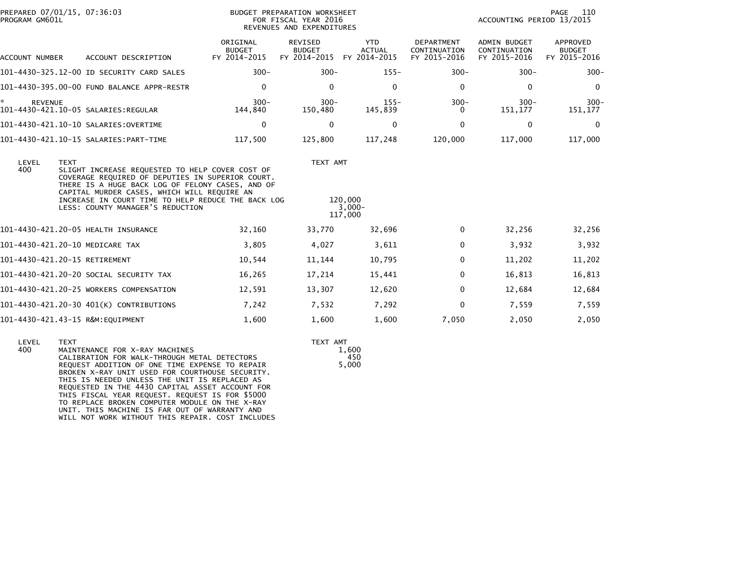| PROGRAM GM601L        | PREPARED 07/01/15, 07:36:03                                                                                                                                                                                                                                                                                     |                                           | BUDGET PREPARATION WORKSHEET<br>FOR FISCAL YEAR 2016<br>REVENUES AND EXPENDITURES |                                             |                                            | ACCOUNTING PERIOD 13/2015                           | PAGE 110                                  |
|-----------------------|-----------------------------------------------------------------------------------------------------------------------------------------------------------------------------------------------------------------------------------------------------------------------------------------------------------------|-------------------------------------------|-----------------------------------------------------------------------------------|---------------------------------------------|--------------------------------------------|-----------------------------------------------------|-------------------------------------------|
| <b>ACCOUNT NUMBER</b> | ACCOUNT DESCRIPTION                                                                                                                                                                                                                                                                                             | ORIGINAL<br><b>BUDGET</b><br>FY 2014-2015 | REVISED<br><b>BUDGET</b><br>FY 2014-2015                                          | <b>YTD</b><br><b>ACTUAL</b><br>FY 2014-2015 | DEPARTMENT<br>CONTINUATION<br>FY 2015-2016 | <b>ADMIN BUDGET</b><br>CONTINUATION<br>FY 2015-2016 | APPROVED<br><b>BUDGET</b><br>FY 2015-2016 |
|                       | 101-4430-325.12-00 ID SECURITY CARD SALES                                                                                                                                                                                                                                                                       | $300 -$                                   | $300 -$                                                                           | $155 -$                                     | $300 -$                                    | $300 -$                                             | $300 -$                                   |
|                       | 101-4430-395.00-00 FUND BALANCE APPR-RESTR                                                                                                                                                                                                                                                                      | $\Omega$                                  | $\Omega$                                                                          | $\Omega$                                    | $\Omega$                                   | $\Omega$                                            | $\Omega$                                  |
| *.<br><b>REVENUE</b>  |                                                                                                                                                                                                                                                                                                                 | $300 -$<br>144,840                        | $300 -$<br>150,480                                                                | $155 -$<br>145,839                          | $300 -$<br>0                               | $300 -$<br>151,177                                  | $300 -$<br>151,177                        |
|                       |                                                                                                                                                                                                                                                                                                                 | 0                                         | $\mathbf{0}$                                                                      | 0                                           | $\mathbf{0}$                               | 0                                                   | $\mathbf 0$                               |
|                       |                                                                                                                                                                                                                                                                                                                 | 117,500                                   | 125,800                                                                           | 117,248                                     | 120,000                                    | 117,000                                             | 117,000                                   |
| LEVEL<br>400          | <b>TEXT</b><br>SLIGHT INCREASE REQUESTED TO HELP COVER COST OF<br>COVERAGE REQUIRED OF DEPUTIES IN SUPERIOR COURT.<br>THERE IS A HUGE BACK LOG OF FELONY CASES, AND OF<br>CAPITAL MURDER CASES, WHICH WILL REQUIRE AN<br>INCREASE IN COURT TIME TO HELP REDUCE THE BACK LOG<br>LESS: COUNTY MANAGER'S REDUCTION |                                           | TEXT AMT                                                                          | 120,000<br>$3,000-$<br>117,000              |                                            |                                                     |                                           |
|                       | 101-4430-421.20-05 HEALTH INSURANCE                                                                                                                                                                                                                                                                             | 32,160                                    | 33,770                                                                            | 32,696                                      | $\Omega$                                   | 32,256                                              | 32,256                                    |
|                       | 101-4430-421.20-10 MEDICARE TAX                                                                                                                                                                                                                                                                                 | 3,805                                     | 4,027                                                                             | 3,611                                       | 0                                          | 3,932                                               | 3,932                                     |
|                       | 101-4430-421.20-15 RETIREMENT                                                                                                                                                                                                                                                                                   | 10,544                                    | 11,144                                                                            | 10,795                                      | $\Omega$                                   | 11,202                                              | 11,202                                    |
|                       | 101–4430–421.20–20 SOCIAL SECURITY TAX                                                                                                                                                                                                                                                                          | 16,265                                    | 17,214                                                                            | 15,441                                      | 0                                          | 16,813                                              | 16,813                                    |
|                       | 101-4430-421.20-25 WORKERS COMPENSATION                                                                                                                                                                                                                                                                         | 12,591                                    | 13,307                                                                            | 12,620                                      | $\Omega$                                   | 12,684                                              | 12,684                                    |
|                       | 101-4430-421.20-30 401(K) CONTRIBUTIONS                                                                                                                                                                                                                                                                         | 7,242                                     | 7,532                                                                             | 7,292                                       | $\Omega$                                   | 7,559                                               | 7,559                                     |
|                       | 101-4430-421.43-15 R&M:EQUIPMENT                                                                                                                                                                                                                                                                                | 1,600                                     | 1,600                                                                             | 1,600                                       | 7,050                                      | 2,050                                               | 2,050                                     |
|                       |                                                                                                                                                                                                                                                                                                                 |                                           |                                                                                   |                                             |                                            |                                                     |                                           |

 $1,600$ 

 $5,000$ 

 $450$ 

 LEVEL TEXT TEXT AMTMAINTENANCE FOR X-RAY MACHINES CALIBRATION FOR WALK-THROUGH METAL DETECTORS REQUEST ADDITION OF ONE TIME EXPENSE TO REPAIR 5,000 BROKEN X-RAY UNIT USED FOR COURTHOUSE SECURITY. THIS IS NEEDED UNLESS THE UNIT IS REPLACED AS REQUESTED IN THE 4430 CAPITAL ASSET ACCOUNT FOR THIS FISCAL YEAR REQUEST. REQUEST IS FOR \$5000 TO REPLACE BROKEN COMPUTER MODULE ON THE X-RAY UNIT. THIS MACHINE IS FAR OUT OF WARRANTY ANDWILL NOT WORK WITHOUT THIS REPAIR. COST INCLUDES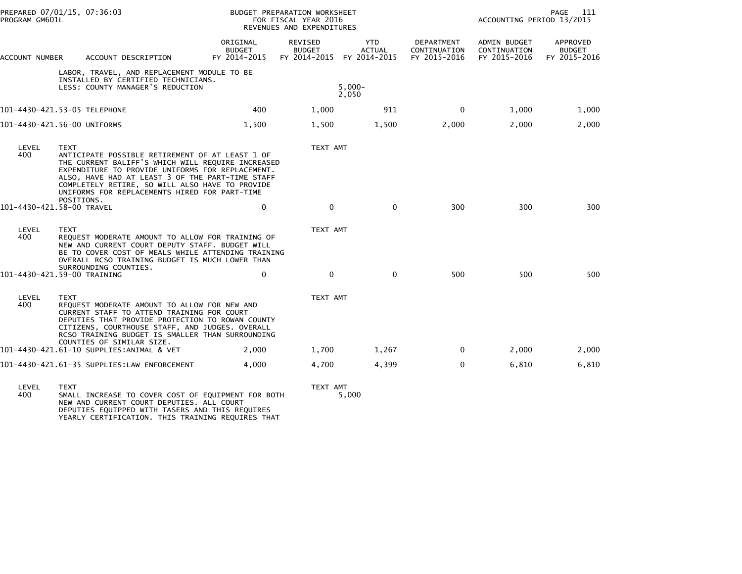| PREPARED 07/01/15, 07:36:03<br>PROGRAM GM601L |                                                                                                                                                                                                                                                                                                                                               | <b>BUDGET PREPARATION WORKSHEET</b><br>FOR FISCAL YEAR 2016<br>REVENUES AND EXPENDITURES |                                 |                                                          |                                                   | PAGE<br>111<br>ACCOUNTING PERIOD 13/2015            |                                           |
|-----------------------------------------------|-----------------------------------------------------------------------------------------------------------------------------------------------------------------------------------------------------------------------------------------------------------------------------------------------------------------------------------------------|------------------------------------------------------------------------------------------|---------------------------------|----------------------------------------------------------|---------------------------------------------------|-----------------------------------------------------|-------------------------------------------|
| ACCOUNT NUMBER                                | ACCOUNT DESCRIPTION                                                                                                                                                                                                                                                                                                                           | ORIGINAL<br><b>BUDGET</b><br>FY 2014-2015                                                | <b>REVISED</b><br><b>BUDGET</b> | <b>YTD</b><br><b>ACTUAL</b><br>FY 2014-2015 FY 2014-2015 | <b>DEPARTMENT</b><br>CONTINUATION<br>FY 2015-2016 | <b>ADMIN BUDGET</b><br>CONTINUATION<br>FY 2015-2016 | APPROVED<br><b>BUDGET</b><br>FY 2015-2016 |
|                                               | LABOR, TRAVEL, AND REPLACEMENT MODULE TO BE<br>INSTALLED BY CERTIFIED TECHNICIANS.<br>LESS: COUNTY MANAGER'S REDUCTION                                                                                                                                                                                                                        |                                                                                          |                                 | $5.000 -$<br>2,050                                       |                                                   |                                                     |                                           |
|                                               | 101-4430-421.53-05 TELEPHONE                                                                                                                                                                                                                                                                                                                  | 400                                                                                      | 1,000                           | 911                                                      | 0                                                 | 1,000                                               | 1,000                                     |
|                                               | 101-4430-421.56-00 UNIFORMS                                                                                                                                                                                                                                                                                                                   | 1,500                                                                                    | 1,500                           | 1,500                                                    | 2,000                                             | 2,000                                               | 2,000                                     |
| LEVEL<br>400                                  | <b>TEXT</b><br>ANTICIPATE POSSIBLE RETIREMENT OF AT LEAST 1 OF<br>THE CURRENT BALIFF'S WHICH WILL REQUIRE INCREASED<br>EXPENDITURE TO PROVIDE UNIFORMS FOR REPLACEMENT.<br>ALSO, HAVE HAD AT LEAST 3 OF THE PART-TIME STAFF<br>COMPLETELY RETIRE, SO WILL ALSO HAVE TO PROVIDE<br>UNIFORMS FOR REPLACEMENTS HIRED FOR PART-TIME<br>POSITIONS. |                                                                                          | TEXT AMT                        |                                                          |                                                   |                                                     |                                           |
|                                               | 101-4430-421.58-00 TRAVEL                                                                                                                                                                                                                                                                                                                     | 0                                                                                        | $\mathbf 0$                     | $\mathbf{0}$                                             | 300                                               | 300                                                 | 300                                       |
| LEVEL<br>400                                  | <b>TEXT</b><br>REQUEST MODERATE AMOUNT TO ALLOW FOR TRAINING OF<br>NEW AND CURRENT COURT DEPUTY STAFF. BUDGET WILL<br>BE TO COVER COST OF MEALS WHILE ATTENDING TRAINING<br>OVERALL RCSO TRAINING BUDGET IS MUCH LOWER THAN<br>SURROUNDING COUNTIES.                                                                                          |                                                                                          | TEXT AMT                        |                                                          |                                                   |                                                     |                                           |
|                                               | 101-4430-421.59-00 TRAINING                                                                                                                                                                                                                                                                                                                   | $\mathbf 0$                                                                              | $\mathbf{0}$                    | $\mathbf 0$                                              | 500                                               | 500                                                 | 500                                       |
| LEVEL<br>400                                  | <b>TEXT</b><br>REQUEST MODERATE AMOUNT TO ALLOW FOR NEW AND<br>CURRENT STAFF TO ATTEND TRAINING FOR COURT<br>DEPUTIES THAT PROVIDE PROTECTION TO ROWAN COUNTY<br>CITIZENS, COURTHOUSE STAFF, AND JUDGES. OVERALL<br>RCSO TRAINING BUDGET IS SMALLER THAN SURROUNDING<br>COUNTIES OF SIMILAR SIZE.                                             |                                                                                          | TEXT AMT                        |                                                          |                                                   |                                                     |                                           |
|                                               | 101-4430-421.61-10 SUPPLIES:ANIMAL & VET                                                                                                                                                                                                                                                                                                      | 2,000                                                                                    | 1,700                           | 1,267                                                    | $\mathbf 0$                                       | 2,000                                               | 2,000                                     |
|                                               | 101-4430-421.61-35 SUPPLIES:LAW ENFORCEMENT                                                                                                                                                                                                                                                                                                   | 4,000                                                                                    | 4,700                           | 4,399                                                    | $\mathbf{0}$                                      | 6,810                                               | 6,810                                     |
|                                               |                                                                                                                                                                                                                                                                                                                                               |                                                                                          |                                 |                                                          |                                                   |                                                     |                                           |

LEVEL TEXT TEXT AMT 400 SMALL INCREASE TO COVER COST OF EQUIPMENT FOR BOTH 5,000 NEW AND CURRENT COURT DEPUTIES. ALL COURT DEPUTIES EQUIPPED WITH TASERS AND THIS REQUIRES YEARLY CERTIFICATION. THIS TRAINING REQUIRES THAT

TEXT AMT<br>5,000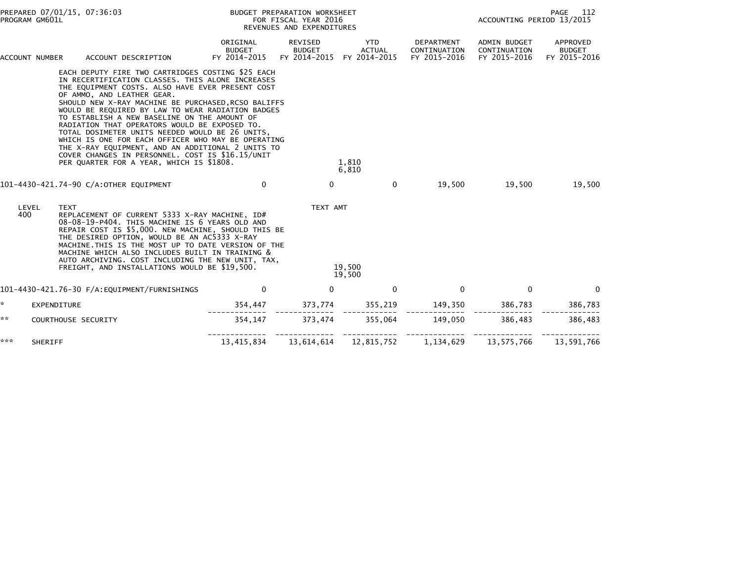| PREPARED 07/01/15, 07:36:03<br>PROGRAM GM601L |                             |                                                                                                                                                                                                                                                                                                                                                                                                                                                                                                                                                                                                                                                                    | BUDGET PREPARATION WORKSHEET<br>FOR FISCAL YEAR 2016<br>REVENUES AND EXPENDITURES |                                          |                                      |                                            | <b>PAGE</b> 112<br>ACCOUNTING PERIOD 13/2015        |                                           |
|-----------------------------------------------|-----------------------------|--------------------------------------------------------------------------------------------------------------------------------------------------------------------------------------------------------------------------------------------------------------------------------------------------------------------------------------------------------------------------------------------------------------------------------------------------------------------------------------------------------------------------------------------------------------------------------------------------------------------------------------------------------------------|-----------------------------------------------------------------------------------|------------------------------------------|--------------------------------------|--------------------------------------------|-----------------------------------------------------|-------------------------------------------|
|                                               | ACCOUNT NUMBER              | ACCOUNT DESCRIPTION                                                                                                                                                                                                                                                                                                                                                                                                                                                                                                                                                                                                                                                | ORIGINAL<br><b>BUDGET</b><br>FY 2014-2015                                         | REVISED<br><b>BUDGET</b><br>FY 2014-2015 | YTD<br><b>ACTUAL</b><br>FY 2014-2015 | DEPARTMENT<br>CONTINUATION<br>FY 2015-2016 | <b>ADMIN BUDGET</b><br>CONTINUATION<br>FY 2015-2016 | APPROVED<br><b>BUDGET</b><br>FY 2015-2016 |
|                                               |                             | EACH DEPUTY FIRE TWO CARTRIDGES COSTING \$25 EACH<br>IN RECERTIFICATION CLASSES. THIS ALONE INCREASES<br>THE EQUIPMENT COSTS. ALSO HAVE EVER PRESENT COST<br>OF AMMO, AND LEATHER GEAR.<br>SHOULD NEW X-RAY MACHINE BE PURCHASED, RCSO BALIFFS<br>WOULD BE REQUIRED BY LAW TO WEAR RADIATION BADGES<br>TO ESTABLISH A NEW BASELINE ON THE AMOUNT OF<br>RADIATION THAT OPERATORS WOULD BE EXPOSED TO.<br>TOTAL DOSIMETER UNITS NEEDED WOULD BE 26 UNITS,<br>WHICH IS ONE FOR EACH OFFICER WHO MAY BE OPERATING<br>THE X-RAY EQUIPMENT, AND AN ADDITIONAL 2 UNITS TO<br>COVER CHANGES IN PERSONNEL. COST IS \$16.15/UNIT<br>PER QUARTER FOR A YEAR, WHICH IS \$1808. |                                                                                   |                                          | 1,810<br>6,810                       |                                            |                                                     |                                           |
|                                               |                             | 101-4430-421.74-90 C/A:OTHER EQUIPMENT                                                                                                                                                                                                                                                                                                                                                                                                                                                                                                                                                                                                                             | $\mathbf{0}$                                                                      | $\mathbf{0}$                             | $\mathbf{0}$                         | 19,500                                     | 19,500                                              | 19,500                                    |
|                                               | LEVEL<br><b>TEXT</b><br>400 | REPLACEMENT OF CURRENT 5333 X-RAY MACHINE, ID#<br>08-08-19-P404. THIS MACHINE IS 6 YEARS OLD AND<br>REPAIR COST IS \$5,000. NEW MACHINE, SHOULD THIS BE<br>THE DESIRED OPTION, WOULD BE AN AC5333 X-RAY<br>MACHINE. THIS IS THE MOST UP TO DATE VERSION OF THE<br>MACHINE WHICH ALSO INCLUDES BUILT IN TRAINING &<br>AUTO ARCHIVING. COST INCLUDING THE NEW UNIT, TAX,<br>FREIGHT, AND INSTALLATIONS WOULD BE \$19,500.                                                                                                                                                                                                                                            |                                                                                   | TEXT AMT                                 | 19,500<br>19,500                     |                                            |                                                     |                                           |
|                                               |                             | 101-4430-421.76-30 F/A:EQUIPMENT/FURNISHINGS                                                                                                                                                                                                                                                                                                                                                                                                                                                                                                                                                                                                                       | 0                                                                                 | $\mathbf{0}$                             | $\mathbf{0}$                         | $\Omega$                                   | $\mathbf{0}$                                        | $\Omega$                                  |
| *                                             | EXPENDITURE                 |                                                                                                                                                                                                                                                                                                                                                                                                                                                                                                                                                                                                                                                                    | 354,447                                                                           | 373,774                                  | 355,219                              | 149,350                                    | 386,783                                             | 386,783                                   |
| **                                            | COURTHOUSE SECURITY         |                                                                                                                                                                                                                                                                                                                                                                                                                                                                                                                                                                                                                                                                    | 354,147                                                                           | 373,474                                  | 355.064                              | 149.050                                    | 386.483                                             | 386.483                                   |
| ***                                           | SHERIFF                     |                                                                                                                                                                                                                                                                                                                                                                                                                                                                                                                                                                                                                                                                    | 13,415,834                                                                        | 13,614,614                               | 12,815,752                           | 1,134,629                                  | 13,575,766                                          | 13,591,766                                |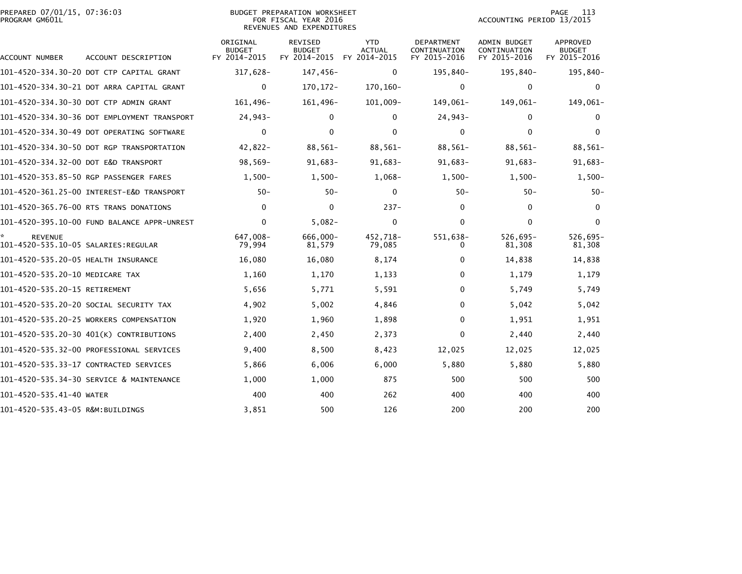|                | PREPARED 07/01/15, 07:36:03 |  |
|----------------|-----------------------------|--|
| PROGRAM GM601L |                             |  |

| PREPARED 07/01/15, 07:36:03 | BUDGET PREPARATION WORKSHEET | 113<br>PAGE               |
|-----------------------------|------------------------------|---------------------------|
| PROGRAM GM601L              | FOR FISCAL YEAR 2016         | ACCOUNTING PERIOD 13/2015 |
|                             | REVENUES AND EXPENDITURES    |                           |

| ACCOUNT NUMBER                       | ACCOUNT DESCRIPTION                         | ORIGINAL<br><b>BUDGET</b><br>FY 2014-2015 | <b>REVISED</b><br><b>BUDGET</b><br>FY 2014-2015 | <b>YTD</b><br><b>ACTUAL</b><br>FY 2014-2015 | DEPARTMENT<br>CONTINUATION<br>FY 2015-2016 | <b>ADMIN BUDGET</b><br>CONTINUATION<br>FY 2015-2016 | APPROVED<br><b>BUDGET</b><br>FY 2015-2016 |
|--------------------------------------|---------------------------------------------|-------------------------------------------|-------------------------------------------------|---------------------------------------------|--------------------------------------------|-----------------------------------------------------|-------------------------------------------|
|                                      | 101-4520-334.30-20 DOT CTP CAPITAL GRANT    | $317.628 -$                               | 147,456-                                        | 0                                           | 195,840-                                   | 195,840-                                            | 195,840-                                  |
|                                      | 101-4520-334.30-21 DOT ARRA CAPITAL GRANT   | $\mathbf 0$                               | $170, 172 -$                                    | 170,160-                                    | $\Omega$                                   | 0                                                   | $\mathbf{0}$                              |
|                                      | 101-4520-334.30-30 DOT CTP ADMIN GRANT      | 161,496-                                  | 161,496-                                        | 101,009-                                    | 149,061-                                   | 149,061-                                            | 149,061-                                  |
|                                      | 101-4520-334.30-36 DOT EMPLOYMENT TRANSPORT | $24,943-$                                 | $\Omega$                                        | $\Omega$                                    | 24,943-                                    | 0                                                   | $\Omega$                                  |
|                                      | 101-4520-334.30-49 DOT OPERATING SOFTWARE   | 0                                         | 0                                               | $\mathbf{0}$                                | $\mathbf{0}$                               | $\Omega$                                            | $\Omega$                                  |
|                                      | 101-4520-334.30-50 DOT RGP TRANSPORTATION   | $42,822 -$                                | 88,561-                                         | 88,561-                                     | 88,561-                                    | 88,561-                                             | 88,561-                                   |
| 101-4520-334.32-00 DOT E&D TRANSPORT |                                             | $98,569-$                                 | 91,683-                                         | $91,683-$                                   | $91,683-$                                  | $91,683-$                                           | $91,683-$                                 |
|                                      | 101-4520-353.85-50 RGP PASSENGER FARES      | $1,500-$                                  | $1,500-$                                        | $1,068-$                                    | $1.500 -$                                  | $1.500 -$                                           | $1,500-$                                  |
|                                      | 101-4520-361.25-00 INTEREST-E&D TRANSPORT   | $50 -$                                    | $50 -$                                          | $\Omega$                                    | $50 -$                                     | $50-$                                               | $50 -$                                    |
|                                      | 101-4520-365.76-00 RTS TRANS DONATIONS      | $\mathbf{0}$                              | 0                                               | $237 -$                                     | $\Omega$                                   | 0                                                   | $\Omega$                                  |
|                                      |                                             | $\mathbf{0}$                              | $5,082 -$                                       | $\Omega$                                    | $\mathbf{0}$                               | $\Omega$                                            | $\Omega$                                  |
| <b>REVENUE</b>                       |                                             | 647.008-<br>79,994                        | 666.000-<br>81,579                              | 452.718-<br>79,085                          | 551,638-<br>0                              | $526,695 -$<br>81,308                               | $526,695-$<br>81,308                      |
| 101-4520-535.20-05 HEALTH INSURANCE  |                                             | 16,080                                    | 16,080                                          | 8,174                                       | 0                                          | 14,838                                              | 14,838                                    |
| 101-4520-535.20-10 MEDICARE TAX      |                                             | 1,160                                     | 1,170                                           | 1,133                                       | 0                                          | 1,179                                               | 1,179                                     |
| 101-4520-535.20-15 RETIREMENT        |                                             | 5,656                                     | 5,771                                           | 5,591                                       | 0                                          | 5,749                                               | 5,749                                     |
|                                      | 101-4520-535.20-20 SOCIAL SECURITY TAX      | 4,902                                     | 5,002                                           | 4,846                                       | 0                                          | 5,042                                               | 5,042                                     |
|                                      | 101-4520-535.20-25 WORKERS COMPENSATION     | 1,920                                     | 1,960                                           | 1,898                                       | 0                                          | 1,951                                               | 1,951                                     |
|                                      | 101-4520-535.20-30 401(K) CONTRIBUTIONS     | 2,400                                     | 2,450                                           | 2,373                                       | 0                                          | 2,440                                               | 2,440                                     |
|                                      | 101-4520-535.32-00 PROFESSIONAL SERVICES    | 9,400                                     | 8,500                                           | 8,423                                       | 12,025                                     | 12,025                                              | 12,025                                    |
|                                      | 101-4520-535.33-17 CONTRACTED SERVICES      | 5,866                                     | 6,006                                           | 6,000                                       | 5,880                                      | 5,880                                               | 5,880                                     |
|                                      | 101-4520-535.34-30 SERVICE & MAINTENANCE    | 1,000                                     | 1,000                                           | 875                                         | 500                                        | 500                                                 | 500                                       |
| 101-4520-535.41-40 WATER             |                                             | 400                                       | 400                                             | 262                                         | 400                                        | 400                                                 | 400                                       |
| 101-4520-535.43-05 R&M:BUILDINGS     |                                             | 3,851                                     | 500                                             | 126                                         | 200                                        | 200                                                 | 200                                       |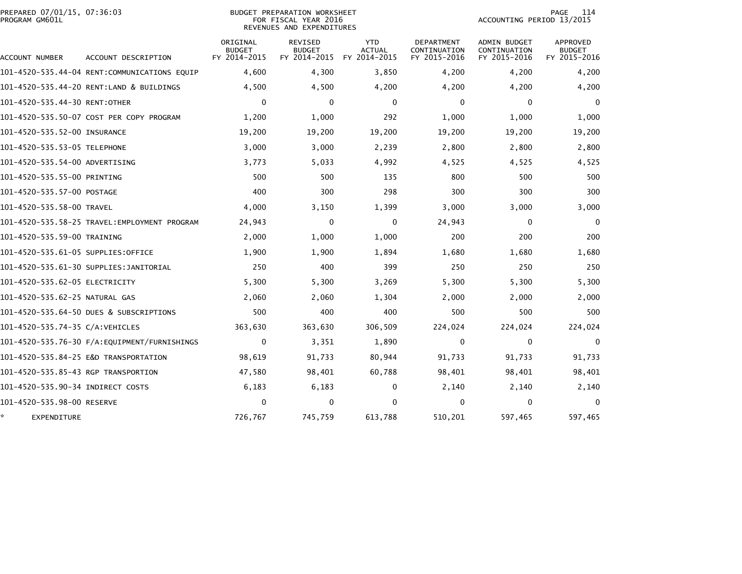| PREPARED 07/01/15, 07:36:03<br>PROGRAM GM601L |                                              | BUDGET PREPARATION WORKSHEET<br>FOR FISCAL YEAR 2016<br>REVENUES AND EXPENDITURES |                                                 |                                             |                                            | 114<br>PAGE<br>ACCOUNTING PERIOD 13/2015     |                                                  |  |
|-----------------------------------------------|----------------------------------------------|-----------------------------------------------------------------------------------|-------------------------------------------------|---------------------------------------------|--------------------------------------------|----------------------------------------------|--------------------------------------------------|--|
| ACCOUNT NUMBER                                | ACCOUNT DESCRIPTION                          | ORIGINAL<br><b>BUDGET</b><br>FY 2014-2015                                         | <b>REVISED</b><br><b>BUDGET</b><br>FY 2014-2015 | <b>YTD</b><br><b>ACTUAL</b><br>FY 2014-2015 | DEPARTMENT<br>CONTINUATION<br>FY 2015-2016 | ADMIN BUDGET<br>CONTINUATION<br>FY 2015-2016 | <b>APPROVED</b><br><b>BUDGET</b><br>FY 2015-2016 |  |
|                                               | 101-4520-535.44-04 RENT:COMMUNICATIONS EQUIP | 4,600                                                                             | 4,300                                           | 3,850                                       | 4,200                                      | 4,200                                        | 4,200                                            |  |
|                                               | 101-4520-535.44-20 RENT:LAND & BUILDINGS     | 4,500                                                                             | 4,500                                           | 4,200                                       | 4,200                                      | 4,200                                        | 4,200                                            |  |
| 101-4520-535.44-30 RENT:OTHER                 |                                              | $\Omega$                                                                          | $\mathbf{0}$                                    | $\mathbf{0}$                                | $\Omega$                                   | $\mathbf{0}$                                 | $\Omega$                                         |  |
|                                               | 101-4520-535.50-07 COST PER COPY PROGRAM     | 1,200                                                                             | 1,000                                           | 292                                         | 1,000                                      | 1,000                                        | 1,000                                            |  |
| 101-4520-535.52-00 INSURANCE                  |                                              | 19,200                                                                            | 19,200                                          | 19,200                                      | 19,200                                     | 19,200                                       | 19,200                                           |  |
| 101-4520-535.53-05 TELEPHONE                  |                                              | 3,000                                                                             | 3,000                                           | 2,239                                       | 2,800                                      | 2,800                                        | 2,800                                            |  |
| 101-4520-535.54-00 ADVERTISING                |                                              | 3,773                                                                             | 5,033                                           | 4,992                                       | 4,525                                      | 4,525                                        | 4,525                                            |  |
| 101-4520-535.55-00 PRINTING                   |                                              | 500                                                                               | 500                                             | 135                                         | 800                                        | 500                                          | 500                                              |  |
| 101-4520-535.57-00 POSTAGE                    |                                              | 400                                                                               | 300                                             | 298                                         | 300                                        | 300                                          | 300                                              |  |
| 101-4520-535.58-00 TRAVEL                     |                                              | 4,000                                                                             | 3,150                                           | 1,399                                       | 3,000                                      | 3,000                                        | 3,000                                            |  |
|                                               |                                              | 24,943                                                                            | 0                                               | 0                                           | 24,943                                     | 0                                            | $\mathbf 0$                                      |  |
| 101-4520-535.59-00 TRAINING                   |                                              | 2,000                                                                             | 1,000                                           | 1,000                                       | 200                                        | 200                                          | 200                                              |  |
| 101–4520–535.61–05 SUPPLIES:OFFICE            |                                              | 1,900                                                                             | 1,900                                           | 1,894                                       | 1,680                                      | 1,680                                        | 1,680                                            |  |
|                                               |                                              | 250                                                                               | 400                                             | 399                                         | 250                                        | 250                                          | 250                                              |  |
| 101-4520-535.62-05 ELECTRICITY                |                                              | 5,300                                                                             | 5,300                                           | 3,269                                       | 5,300                                      | 5,300                                        | 5,300                                            |  |
| 101-4520-535.62-25 NATURAL GAS                |                                              | 2,060                                                                             | 2,060                                           | 1,304                                       | 2,000                                      | 2,000                                        | 2,000                                            |  |
|                                               | 101-4520-535.64-50 DUES & SUBSCRIPTIONS      | 500                                                                               | 400                                             | 400                                         | 500                                        | 500                                          | 500                                              |  |
| 101-4520-535.74-35 C/A:VEHICLES               |                                              | 363,630                                                                           | 363,630                                         | 306,509                                     | 224,024                                    | 224,024                                      | 224,024                                          |  |
|                                               |                                              | 0                                                                                 | 3,351                                           | 1,890                                       | 0                                          | 0                                            | $\mathbf 0$                                      |  |
|                                               | 101-4520-535.84-25 E&D TRANSPORTATION        | 98,619                                                                            | 91,733                                          | 80,944                                      | 91,733                                     | 91,733                                       | 91,733                                           |  |
| 101-4520-535.85-43 RGP TRANSPORTION           |                                              | 47,580                                                                            | 98,401                                          | 60,788                                      | 98,401                                     | 98,401                                       | 98,401                                           |  |
|                                               |                                              | 6,183                                                                             | 6,183                                           | 0                                           | 2,140                                      | 2,140                                        | 2,140                                            |  |
| 101-4520-535.98-00 RESERVE                    |                                              | $\Omega$                                                                          | 0                                               | $\Omega$                                    | 0                                          | 0                                            | $\Omega$                                         |  |
| EXPENDITURE                                   |                                              | 726,767                                                                           | 745,759                                         | 613,788                                     | 510,201                                    | 597,465                                      | 597,465                                          |  |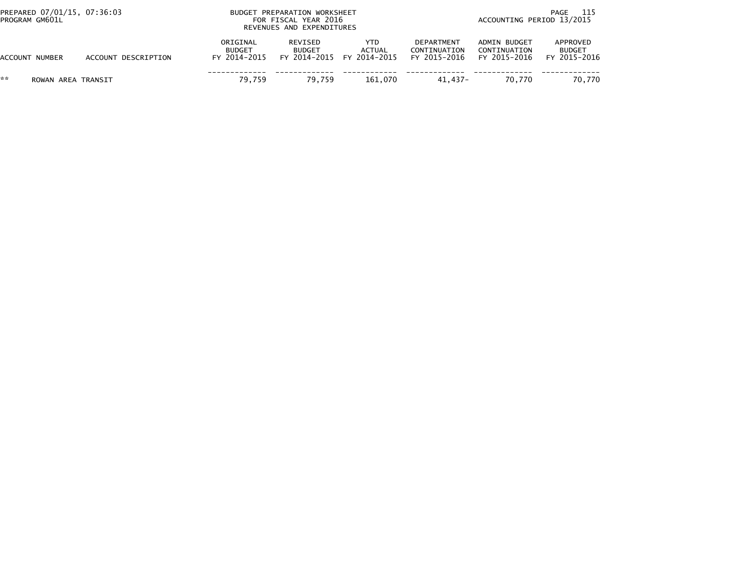| PREPARED 07/01/15, 07:36:03<br>PROGRAM GM601L |                     | BUDGET PREPARATION WORKSHEET<br>FOR FISCAL YEAR 2016<br>REVENUES AND EXPENDITURES | 115<br>PAGE<br>ACCOUNTING PERIOD 13/2015 |                                            |                                            |                                              |                                           |
|-----------------------------------------------|---------------------|-----------------------------------------------------------------------------------|------------------------------------------|--------------------------------------------|--------------------------------------------|----------------------------------------------|-------------------------------------------|
| <b>ACCOUNT NUMBER</b>                         | ACCOUNT DESCRIPTION | ORIGINAL<br><b>BUDGET</b><br>FY 2014-2015                                         | REVISED<br><b>BUDGET</b>                 | YTD<br>ACTUAL<br>FY 2014-2015 FY 2014-2015 | DEPARTMENT<br>CONTINUATION<br>FY 2015-2016 | ADMIN BUDGET<br>CONTINUATION<br>FY 2015-2016 | APPROVED<br><b>BUDGET</b><br>FY 2015-2016 |
| **<br>ROWAN AREA TRANSIT                      |                     | 79.759                                                                            | 79.759                                   | 161.070                                    | 41.437-                                    | 70.770                                       | 70.770                                    |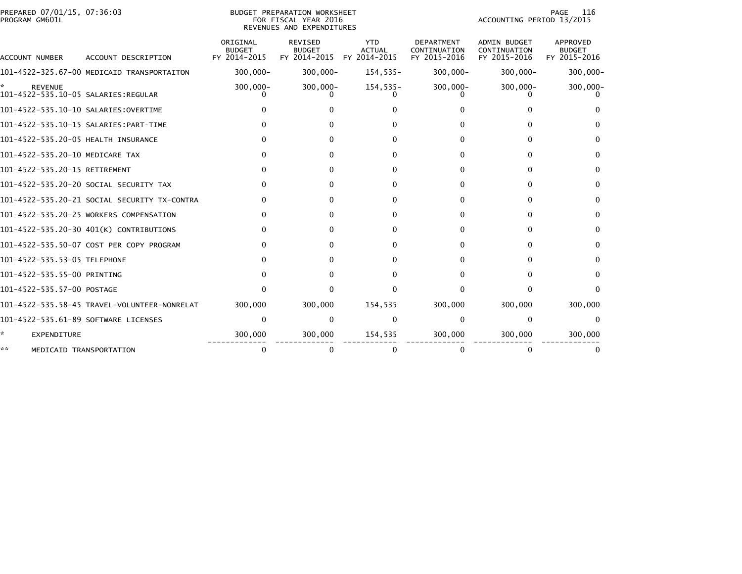| PREPARED 07/01/15, 07:36:03<br>PROGRAM GM601L |                                              | BUDGET PREPARATION WORKSHEET<br>FOR FISCAL YEAR 2016<br>REVENUES AND EXPENDITURES |                                                 |                                             |                                                   |                                                     | PAGE<br>116<br>ACCOUNTING PERIOD 13/2015  |  |  |
|-----------------------------------------------|----------------------------------------------|-----------------------------------------------------------------------------------|-------------------------------------------------|---------------------------------------------|---------------------------------------------------|-----------------------------------------------------|-------------------------------------------|--|--|
| ACCOUNT NUMBER                                | ACCOUNT DESCRIPTION                          | ORIGINAL<br><b>BUDGET</b><br>FY 2014-2015                                         | <b>REVISED</b><br><b>BUDGET</b><br>FY 2014-2015 | <b>YTD</b><br><b>ACTUAL</b><br>FY 2014-2015 | <b>DEPARTMENT</b><br>CONTINUATION<br>FY 2015-2016 | <b>ADMIN BUDGET</b><br>CONTINUATION<br>FY 2015-2016 | APPROVED<br><b>BUDGET</b><br>FY 2015-2016 |  |  |
|                                               | 101-4522-325.67-00 MEDICAID TRANSPORTAITON   | $300.000 -$                                                                       | $300,000 -$                                     | 154,535-                                    | $300,000 -$                                       | $300,000 -$                                         | $300,000 -$                               |  |  |
| <b>REVENUE</b>                                |                                              | $300,000 -$                                                                       | $300,000 -$                                     | $154,535-$                                  | $300,000 -$                                       | $300,000 -$                                         | $300,000 -$                               |  |  |
| 101-4522-535.10-10 SALARIES:OVERTIME          |                                              |                                                                                   |                                                 |                                             |                                                   |                                                     |                                           |  |  |
|                                               | 101-4522-535.10-15 SALARIES: PART-TIME       |                                                                                   |                                                 | 0                                           |                                                   |                                                     | 0                                         |  |  |
| 101-4522-535.20-05 HEALTH INSURANCE           |                                              |                                                                                   |                                                 | 0                                           |                                                   | 0                                                   | $\Omega$                                  |  |  |
| 101-4522-535.20-10 MEDICARE TAX               |                                              |                                                                                   |                                                 | 0                                           | o                                                 | 0                                                   | $\Omega$                                  |  |  |
| 101-4522-535.20-15 RETIREMENT                 |                                              |                                                                                   |                                                 | 0                                           |                                                   | 0                                                   | $\Omega$                                  |  |  |
|                                               | 101–4522–535.20–20 SOCIAL SECURITY TAX       |                                                                                   |                                                 | 0                                           |                                                   |                                                     | 0                                         |  |  |
|                                               | 101-4522-535.20-21 SOCIAL SECURITY TX-CONTRA |                                                                                   |                                                 | 0                                           |                                                   | O                                                   | $\Omega$                                  |  |  |
|                                               | 101-4522-535.20-25 WORKERS COMPENSATION      |                                                                                   |                                                 | 0                                           |                                                   | O                                                   | $\Omega$                                  |  |  |
|                                               | 101-4522-535.20-30 401(K) CONTRIBUTIONS      |                                                                                   |                                                 | 0                                           |                                                   |                                                     | 0                                         |  |  |
|                                               | 101-4522-535.50-07 COST PER COPY PROGRAM     |                                                                                   |                                                 | 0                                           |                                                   |                                                     | 0                                         |  |  |
| 101-4522-535.53-05 TELEPHONE                  |                                              |                                                                                   |                                                 | 0                                           |                                                   |                                                     | 0                                         |  |  |
| 101-4522-535.55-00 PRINTING                   |                                              |                                                                                   |                                                 | 0                                           |                                                   | O                                                   | $\Omega$                                  |  |  |
| 101-4522-535.57-00 POSTAGE                    |                                              |                                                                                   |                                                 | O                                           |                                                   | O                                                   | $\Omega$                                  |  |  |
|                                               | 101-4522-535.58-45 TRAVEL-VOLUNTEER-NONRELAT | 300,000                                                                           | 300,000                                         | 154,535                                     | 300,000                                           | 300,000                                             | 300,000                                   |  |  |
| 101-4522-535.61-89 SOFTWARE LICENSES          |                                              | $\Omega$                                                                          | $\mathbf{0}$                                    | $\mathbf{0}$                                | $\Omega$                                          | 0                                                   | 0                                         |  |  |
| EXPENDITURE                                   |                                              | 300,000                                                                           | 300,000                                         | 154,535                                     | 300,000                                           | 300,000                                             | 300,000                                   |  |  |
| **                                            | MEDICAID TRANSPORTATION                      | 0                                                                                 |                                                 | 0                                           |                                                   | 0                                                   |                                           |  |  |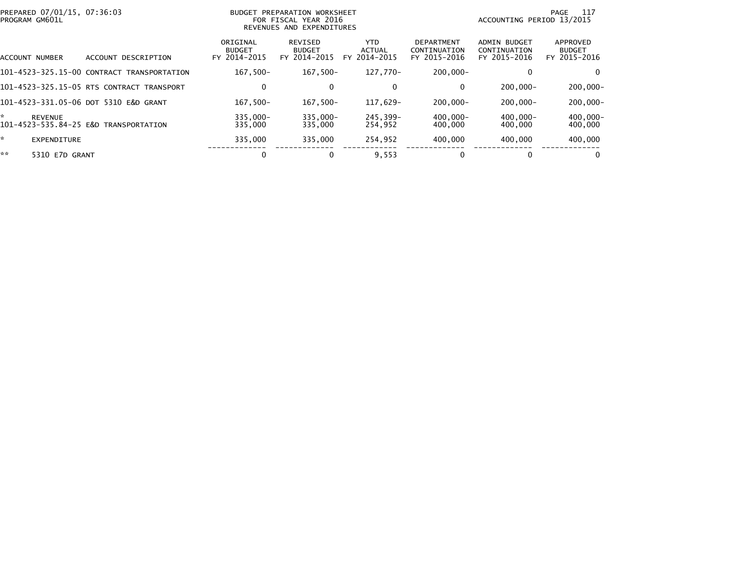|    | PREPARED 07/01/15, 07:36:03<br>PROGRAM GM601L |                                            |                                           | BUDGET PREPARATION WORKSHEET<br>FOR FISCAL YEAR 2016<br>REVENUES AND EXPENDITURES |                                |                                                   | ACCOUNTING PERIOD 13/2015                    | 117<br>PAGE                               |
|----|-----------------------------------------------|--------------------------------------------|-------------------------------------------|-----------------------------------------------------------------------------------|--------------------------------|---------------------------------------------------|----------------------------------------------|-------------------------------------------|
|    | ACCOUNT NUMBER                                | ACCOUNT DESCRIPTION                        | ORIGINAL<br><b>BUDGET</b><br>FY 2014-2015 | REVISED<br><b>BUDGET</b><br>FY 2014-2015                                          | YTD.<br>ACTUAL<br>FY 2014-2015 | <b>DEPARTMENT</b><br>CONTINUATION<br>FY 2015-2016 | ADMIN BUDGET<br>CONTINUATION<br>FY 2015-2016 | APPROVED<br><b>BUDGET</b><br>FY 2015-2016 |
|    |                                               | 101-4523-325.15-00 CONTRACT TRANSPORTATION | $167.500 -$                               | $167.500 -$                                                                       | 127.770-                       | $200.000 -$                                       |                                              | 0                                         |
|    |                                               | 101-4523-325.15-05 RTS CONTRACT TRANSPORT  | 0                                         | $\mathbf{0}$                                                                      | 0                              | 0                                                 | $200.000 -$                                  | $200,000 -$                               |
|    |                                               | 101-4523-331.05-06 DOT 5310 E&D GRANT      | $167,500-$                                | $167,500-$                                                                        | 117,629-                       | $200,000 -$                                       | $200.000 -$                                  | $200,000 -$                               |
| *  | <b>REVENUE</b>                                | 101-4523-535.84-25 E&D TRANSPORTATION      | 335.000-<br>335,000                       | $335.000 -$<br>335,000                                                            | 245.399-<br>254,952            | 400,000-<br>400,000                               | $400.000 -$<br>400,000                       | $400,000 -$<br>400,000                    |
| ×. | <b>EXPENDITURE</b>                            |                                            | 335.000                                   | 335,000                                                                           | 254.952                        | 400,000                                           | 400.000                                      | 400,000                                   |
| ** | 5310 E7D GRANT                                |                                            | 0                                         | $\bf{0}$                                                                          | 9,553                          |                                                   | 0                                            | $\Omega$                                  |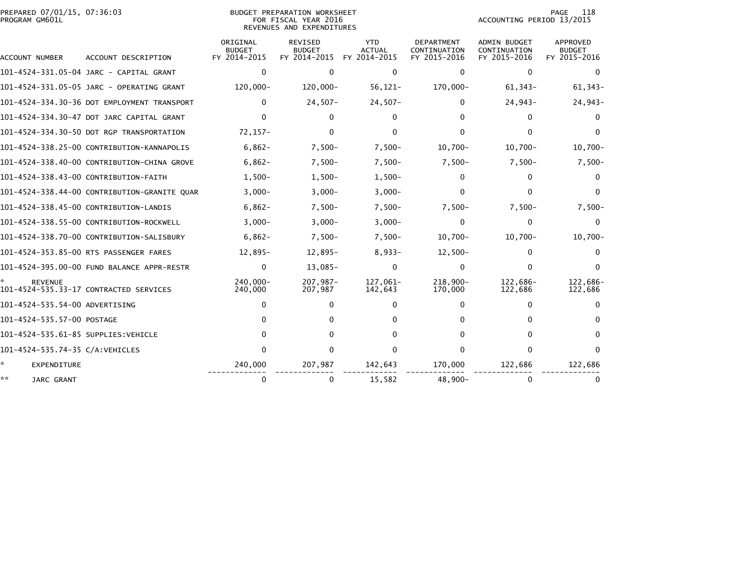|                | PREPARED 07/01/15, 07:36:03 |  |
|----------------|-----------------------------|--|
| PROGRAM GM601L |                             |  |

## PREPARED 07/01/15, 07:36:03 BUDGET PREPARATION WORKSHEET PAGE 118PROGRAM GM601L FOR FISCAL YEAR 2016 ACCOUNTING PERIOD 13/2015 REVENUES AND EXPENDITURES

PAGE 118<br>ACCOUNTING PERIOD 13/2015

| <b>ACCOUNT NUMBER</b>                | ACCOUNT DESCRIPTION                          | ORIGINAL<br><b>BUDGET</b><br>FY 2014-2015 | <b>REVISED</b><br><b>BUDGET</b><br>FY 2014-2015 | <b>YTD</b><br><b>ACTUAL</b><br>FY 2014-2015 | <b>DEPARTMENT</b><br>CONTINUATION<br>FY 2015-2016 | <b>ADMIN BUDGET</b><br>CONTINUATION<br>FY 2015-2016 | <b>APPROVED</b><br><b>BUDGET</b><br>FY 2015-2016 |
|--------------------------------------|----------------------------------------------|-------------------------------------------|-------------------------------------------------|---------------------------------------------|---------------------------------------------------|-----------------------------------------------------|--------------------------------------------------|
|                                      | 101-4524-331.05-04 JARC - CAPITAL GRANT      | $\Omega$                                  | $\Omega$                                        | $\Omega$                                    | <sup>0</sup>                                      | $\mathbf{0}$                                        |                                                  |
|                                      | 101-4524-331.05-05 JARC - OPERATING GRANT    | 120,000-                                  | 120,000-                                        | $56, 121 -$                                 | 170,000-                                          | $61,343-$                                           | $61,343-$                                        |
|                                      | 101-4524-334.30-36 DOT EMPLOYMENT TRANSPORT  | 0                                         | $24,507-$                                       | $24,507-$                                   | 0                                                 | $24,943-$                                           | $24,943-$                                        |
|                                      | 101-4524-334.30-47 DOT JARC CAPITAL GRANT    | 0                                         |                                                 | U                                           |                                                   | 0                                                   |                                                  |
|                                      | 101-4524-334.30-50 DOT RGP TRANSPORTATION    | $72,157-$                                 | 0                                               | 0                                           | 0                                                 | 0                                                   |                                                  |
|                                      | 101-4524-338.25-00 CONTRIBUTION-KANNAPOLIS   | $6,862-$                                  | $7,500-$                                        | $7,500-$                                    | $10,700 -$                                        | $10,700 -$                                          | $10,700 -$                                       |
|                                      | 101-4524-338.40-00 CONTRIBUTION-CHINA GROVE  | $6,862-$                                  | $7,500-$                                        | $7,500-$                                    | $7,500-$                                          | $7,500-$                                            | $7,500-$                                         |
|                                      | 101-4524-338.43-00 CONTRIBUTION-FAITH        | $1,500-$                                  | $1,500-$                                        | $1,500-$                                    | 0                                                 | 0                                                   |                                                  |
|                                      | 101-4524-338.44-00 CONTRIBUTION-GRANITE QUAR | $3,000-$                                  | $3,000-$                                        | $3,000-$                                    | $\Omega$                                          | 0                                                   |                                                  |
|                                      | 101-4524-338.45-00 CONTRIBUTION-LANDIS       | $6,862-$                                  | $7,500-$                                        | $7,500-$                                    | $7,500-$                                          | $7,500-$                                            | $7,500-$                                         |
|                                      | 101-4524-338.55-00 CONTRIBUTION-ROCKWELL     | $3,000-$                                  | $3,000-$                                        | $3,000-$                                    | 0                                                 | $\mathbf 0$                                         | $\Omega$                                         |
|                                      | 101-4524-338.70-00 CONTRIBUTION-SALISBURY    | $6,862-$                                  | $7,500-$                                        | $7,500-$                                    | $10,700 -$                                        | $10,700 -$                                          | $10,700 -$                                       |
|                                      | 101-4524-353.85-00 RTS PASSENGER FARES       | 12,895-                                   | 12,895-                                         | $8,933-$                                    | $12,500-$                                         | 0                                                   | $\Omega$                                         |
|                                      | 101-4524-395.00-00 FUND BALANCE APPR-RESTR   | 0                                         | $13,085-$                                       | $\Omega$                                    | $\Omega$                                          | 0                                                   | $\Omega$                                         |
| <b>REVENUE</b>                       | 101-4524-535.33-17 CONTRACTED SERVICES       | 240.000-<br>240,000                       | 207,987-<br>207,987                             | 127,061-<br>142,643                         | 218,900-<br>170,000                               | 122,686-<br>122,686                                 | 122,686-<br>122,686                              |
| 101-4524-535.54-00 ADVERTISING       |                                              | 0                                         |                                                 |                                             | 0                                                 | $\Omega$                                            |                                                  |
| 101-4524-535.57-00 POSTAGE           |                                              |                                           |                                                 |                                             |                                                   | 0                                                   |                                                  |
| 101-4524-535.61-85 SUPPLIES: VEHICLE |                                              | <sup>0</sup>                              |                                                 |                                             | 0                                                 | 0                                                   |                                                  |
| 101-4524-535.74-35 C/A: VEHICLES     |                                              | $\Omega$                                  | 0                                               |                                             | 0                                                 | $\Omega$                                            |                                                  |
| *.<br><b>EXPENDITURE</b>             |                                              | 240,000                                   | 207,987                                         | 142,643                                     | 170,000                                           | 122,686                                             | 122,686                                          |
| **<br>JARC GRANT                     |                                              | 0                                         | 0                                               | 15,582                                      | $48.900 -$                                        | 0                                                   |                                                  |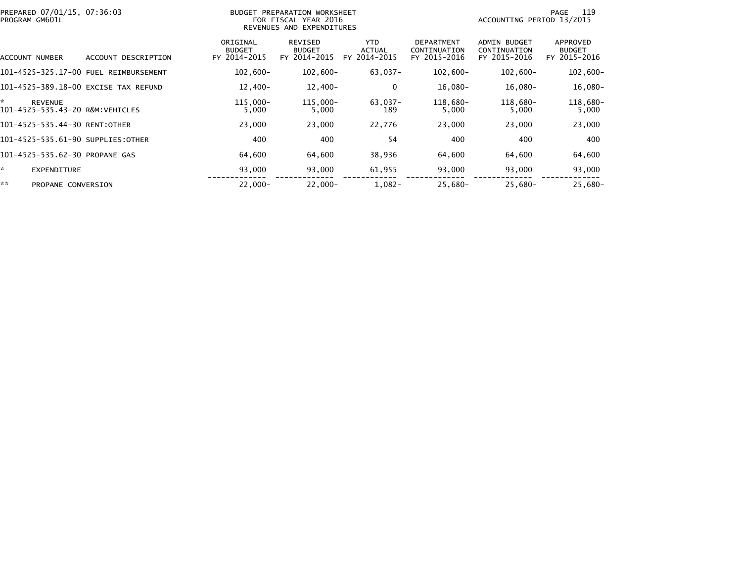| PREPARED 07/01/15, 07:36:03<br>PROGRAM GM601L           |                                       | BUDGET PREPARATION WORKSHEET<br>FOR FISCAL YEAR 2016<br>REVENUES AND EXPENDITURES |                                          |                                       |                                                   | 119<br>PAGE<br>ACCOUNTING PERIOD 13/2015            |                                           |  |
|---------------------------------------------------------|---------------------------------------|-----------------------------------------------------------------------------------|------------------------------------------|---------------------------------------|---------------------------------------------------|-----------------------------------------------------|-------------------------------------------|--|
| ACCOUNT NUMBER                                          | ACCOUNT DESCRIPTION                   | ORIGINAL<br><b>BUDGET</b><br>FY 2014-2015                                         | REVISED<br><b>BUDGET</b><br>FY 2014-2015 | YTD.<br><b>ACTUAL</b><br>FY 2014-2015 | <b>DEPARTMENT</b><br>CONTINUATION<br>FY 2015-2016 | <b>ADMIN BUDGET</b><br>CONTINUATION<br>FY 2015-2016 | APPROVED<br><b>BUDGET</b><br>FY 2015-2016 |  |
|                                                         | 101-4525-325.17-00 FUEL REIMBURSEMENT | $102,600 -$                                                                       | $102,600 -$                              | $63,037 -$                            | $102,600 -$                                       | $102,600 -$                                         | $102,600 -$                               |  |
| 101-4525-389.18-00 EXCISE TAX REFUND                    |                                       | $12,400-$                                                                         | $12,400-$                                | 0                                     | 16,080-                                           | $16,080-$                                           | 16,080-                                   |  |
| ÷.<br><b>REVENUE</b><br>101-4525-535.43-20 R&M:VEHICLES |                                       | $115,000 -$<br>5,000                                                              | 115,000-<br>5,000                        | 63,037-<br>189                        | 118,680-<br>5,000                                 | 118,680-<br>5,000                                   | 118,680-<br>5,000                         |  |
| 101-4525-535.44-30 RENT:OTHER                           |                                       | 23,000                                                                            | 23,000                                   | 22,776                                | 23,000                                            | 23,000                                              | 23,000                                    |  |
| 101-4525-535.61-90 SUPPLIES:OTHER                       |                                       | 400                                                                               | 400                                      | 54                                    | 400                                               | 400                                                 | 400                                       |  |
| 101-4525-535.62-30 PROPANE GAS                          |                                       | 64,600                                                                            | 64,600                                   | 38,936                                | 64,600                                            | 64,600                                              | 64,600                                    |  |
| *.<br><b>EXPENDITURE</b>                                |                                       | 93,000                                                                            | 93,000                                   | 61,955                                | 93,000                                            | 93,000                                              | 93,000                                    |  |
| **<br>PROPANE CONVERSION                                |                                       | $22.000 -$                                                                        | $22,000 -$                               | $1,082-$                              | $25,680-$                                         | $25,680-$                                           | 25,680-                                   |  |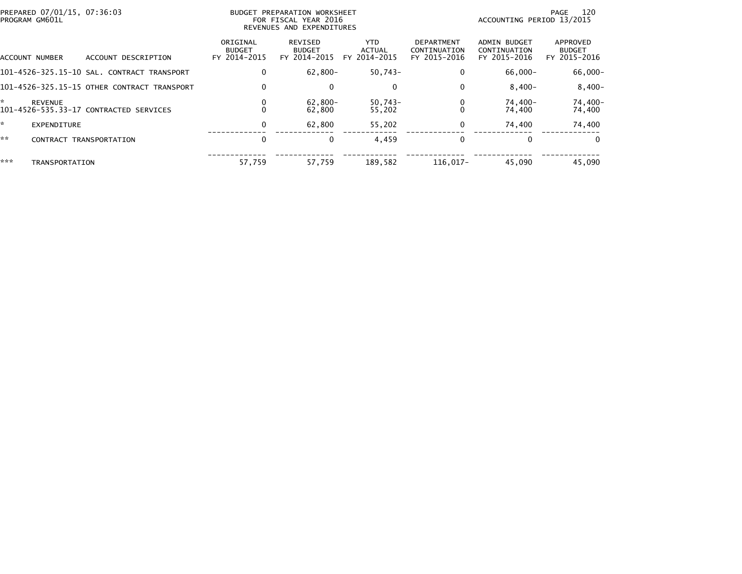| PREPARED 07/01/15, 07:36:03<br>PROGRAM GM601L |                                             | BUDGET PREPARATION WORKSHEET<br>FOR FISCAL YEAR 2016<br>REVENUES AND EXPENDITURES |                                          |                                |                                                   | 120<br>PAGE<br>ACCOUNTING PERIOD 13/2015            |                                           |  |
|-----------------------------------------------|---------------------------------------------|-----------------------------------------------------------------------------------|------------------------------------------|--------------------------------|---------------------------------------------------|-----------------------------------------------------|-------------------------------------------|--|
| ACCOUNT NUMBER                                | ACCOUNT DESCRIPTION                         | ORIGINAL<br><b>BUDGET</b><br>FY 2014-2015                                         | REVISED<br><b>BUDGET</b><br>FY 2014-2015 | YTD.<br>ACTUAL<br>FY 2014-2015 | <b>DEPARTMENT</b><br>CONTINUATION<br>FY 2015-2016 | <b>ADMIN BUDGET</b><br>CONTINUATION<br>FY 2015-2016 | APPROVED<br><b>BUDGET</b><br>FY 2015-2016 |  |
|                                               | 101-4526-325.15-10 SAL. CONTRACT TRANSPORT  | 0                                                                                 | $62,800 -$                               | $50,743-$                      | 0                                                 | $66,000 -$                                          | 66,000-                                   |  |
|                                               | 101-4526-325.15-15 OTHER CONTRACT TRANSPORT | 0                                                                                 | $\Omega$                                 | 0                              | 0                                                 | $8.400 -$                                           | $8,400-$                                  |  |
| *<br><b>REVENUE</b>                           | 101-4526-535.33-17 CONTRACTED SERVICES      | 0                                                                                 | $62,800 -$<br>62.800                     | 50,743-<br>55,202              |                                                   | 74,400-<br>74,400                                   | 74,400-<br>74,400                         |  |
| ×.<br>EXPENDITURE                             |                                             | 0                                                                                 | 62.800                                   | 55,202                         | 0                                                 | 74,400                                              | 74,400                                    |  |
| **<br><b>CONTRACT</b>                         | TRANSPORTATION                              | 0                                                                                 | $\mathbf{0}$                             | 4,459                          |                                                   |                                                     | $\Omega$                                  |  |
| ***<br>TRANSPORTATION                         |                                             | 57,759                                                                            | 57,759                                   | 189,582                        | 116.017-                                          | 45.090                                              | 45,090                                    |  |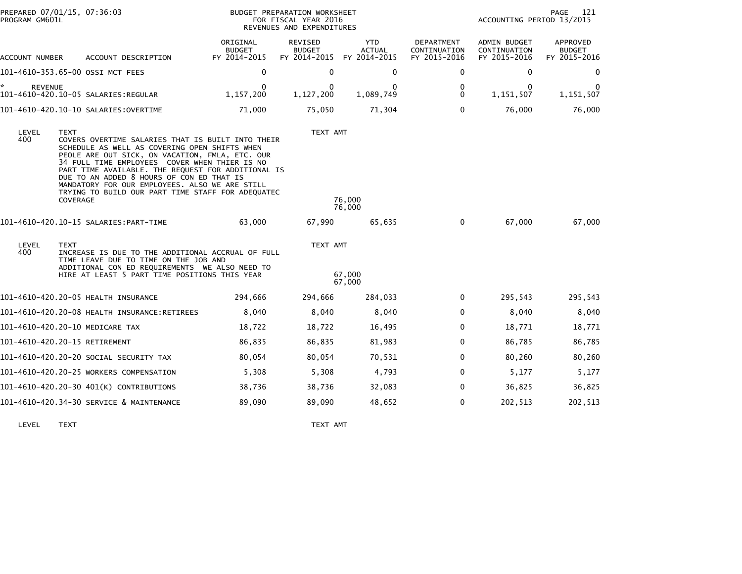| PROGRAM GM601L       | PREPARED 07/01/15, 07:36:03                                                                                                                                                                                                                                                                                                                                                                                                                 |                                           | BUDGET PREPARATION WORKSHEET<br>FOR FISCAL YEAR 2016<br>REVENUES AND EXPENDITURES |                                             |                                            | ACCOUNTING PERIOD 13/2015                    | 121<br>PAGE                               |
|----------------------|---------------------------------------------------------------------------------------------------------------------------------------------------------------------------------------------------------------------------------------------------------------------------------------------------------------------------------------------------------------------------------------------------------------------------------------------|-------------------------------------------|-----------------------------------------------------------------------------------|---------------------------------------------|--------------------------------------------|----------------------------------------------|-------------------------------------------|
| ACCOUNT NUMBER       | ACCOUNT DESCRIPTION                                                                                                                                                                                                                                                                                                                                                                                                                         | ORIGINAL<br><b>BUDGET</b><br>FY 2014-2015 | REVISED<br><b>BUDGET</b><br>FY 2014-2015                                          | <b>YTD</b><br><b>ACTUAL</b><br>FY 2014-2015 | DEPARTMENT<br>CONTINUATION<br>FY 2015-2016 | ADMIN BUDGET<br>CONTINUATION<br>FY 2015-2016 | APPROVED<br><b>BUDGET</b><br>FY 2015-2016 |
|                      | 101-4610-353.65-00 OSSI MCT FEES                                                                                                                                                                                                                                                                                                                                                                                                            | $\mathbf 0$                               | $\mathbf 0$                                                                       | 0                                           | 0                                          | $\mathbf 0$                                  | $\bf{0}$                                  |
| ÷.<br><b>REVENUE</b> | 101-4610-420.10-05 SALARIES:REGULAR                                                                                                                                                                                                                                                                                                                                                                                                         | $\Omega$<br>1,157,200                     | $\mathbf{0}$<br>1,127,200                                                         | 0<br>1,089,749                              | 0<br>$\mathbf{0}$                          | $\mathbf{0}$<br>1,151,507                    | 1,151,507                                 |
|                      |                                                                                                                                                                                                                                                                                                                                                                                                                                             | 71,000                                    | 75,050                                                                            | 71,304                                      | $\mathbf{0}$                               | 76,000                                       | 76,000                                    |
| LEVEL<br>400         | <b>TEXT</b><br>COVERS OVERTIME SALARIES THAT IS BUILT INTO THEIR<br>SCHEDULE AS WELL AS COVERING OPEN SHIFTS WHEN<br>PEOLE ARE OUT SICK, ON VACATION, FMLA, ETC. OUR<br>34 FULL TIME EMPLOYEES COVER WHEN THIER IS NO<br>PART TIME AVAILABLE. THE REQUEST FOR ADDITIONAL IS<br>DUE TO AN ADDED 8 HOURS OF CON ED THAT IS<br>MANDATORY FOR OUR EMPLOYEES. ALSO WE ARE STILL<br>TRYING TO BUILD OUR PART TIME STAFF FOR ADEQUATEC<br>COVERAGE |                                           | TEXT AMT                                                                          | 76,000<br>76,000                            |                                            |                                              |                                           |
|                      | 101-4610-420.10-15 SALARIES: PART-TIME                                                                                                                                                                                                                                                                                                                                                                                                      | 63,000                                    | 67,990                                                                            | 65,635                                      | 0                                          | 67,000                                       | 67,000                                    |
| LEVEL<br>400         | <b>TEXT</b><br>INCREASE IS DUE TO THE ADDITIONAL ACCRUAL OF FULL<br>TIME LEAVE DUE TO TIME ON THE JOB AND<br>ADDITIONAL CON ED REQUIREMENTS WE ALSO NEED TO<br>HIRE AT LEAST 5 PART TIME POSITIONS THIS YEAR                                                                                                                                                                                                                                |                                           | TEXT AMT                                                                          | 67,000<br>67.000                            |                                            |                                              |                                           |
|                      | 101-4610-420.20-05 HEALTH INSURANCE                                                                                                                                                                                                                                                                                                                                                                                                         | 294,666                                   | 294,666                                                                           | 284,033                                     | 0                                          | 295,543                                      | 295,543                                   |
|                      |                                                                                                                                                                                                                                                                                                                                                                                                                                             | 8,040                                     | 8,040                                                                             | 8,040                                       | $\Omega$                                   | 8,040                                        | 8,040                                     |
|                      | 101-4610-420.20-10 MEDICARE TAX                                                                                                                                                                                                                                                                                                                                                                                                             | 18,722                                    | 18,722                                                                            | 16,495                                      | 0                                          | 18,771                                       | 18,771                                    |
|                      | 101-4610-420.20-15 RETIREMENT                                                                                                                                                                                                                                                                                                                                                                                                               | 86,835                                    | 86,835                                                                            | 81,983                                      | 0                                          | 86,785                                       | 86,785                                    |
|                      | 101-4610-420.20-20 SOCIAL SECURITY TAX                                                                                                                                                                                                                                                                                                                                                                                                      | 80,054                                    | 80,054                                                                            | 70,531                                      | 0                                          | 80,260                                       | 80,260                                    |
|                      | 101-4610-420.20-25 WORKERS COMPENSATION                                                                                                                                                                                                                                                                                                                                                                                                     | 5,308                                     | 5,308                                                                             | 4,793                                       | 0                                          | 5,177                                        | 5,177                                     |
|                      | 101-4610-420.20-30 401(K) CONTRIBUTIONS                                                                                                                                                                                                                                                                                                                                                                                                     | 38,736                                    | 38,736                                                                            | 32,083                                      | 0                                          | 36,825                                       | 36,825                                    |
|                      | 101-4610-420.34-30 SERVICE & MAINTENANCE                                                                                                                                                                                                                                                                                                                                                                                                    | 89,090                                    | 89,090                                                                            | 48,652                                      | 0                                          | 202,513                                      | 202,513                                   |

LEVEL TEXT TEXT AMT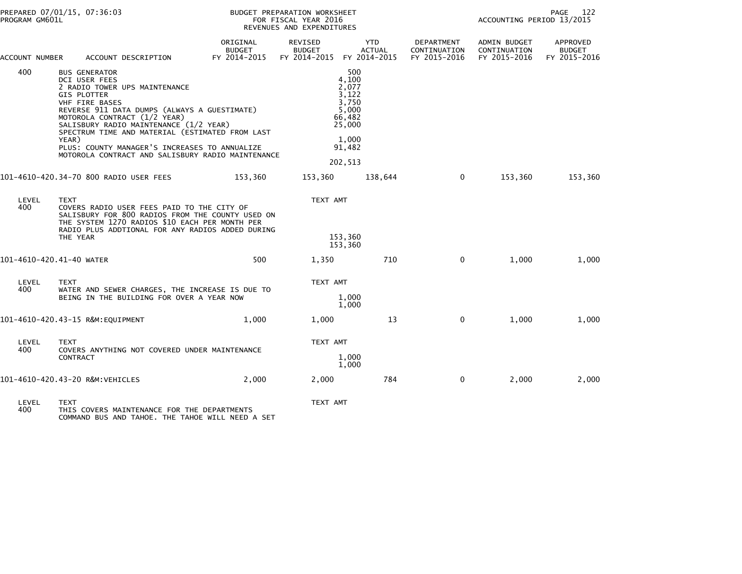| PREPARED 07/01/15, 07:36:03<br>PROGRAM GM601L |                                                                                        |                                                                                                                                                                                                                                                                                                                  |                                           | BUDGET PREPARATION WORKSHEET<br>FOR FISCAL YEAR 2016<br>REVENUES AND EXPENDITURES |                                                                                                    |                                            | PAGE<br>- 122<br>ACCOUNTING PERIOD 13/2015   |                                           |  |
|-----------------------------------------------|----------------------------------------------------------------------------------------|------------------------------------------------------------------------------------------------------------------------------------------------------------------------------------------------------------------------------------------------------------------------------------------------------------------|-------------------------------------------|-----------------------------------------------------------------------------------|----------------------------------------------------------------------------------------------------|--------------------------------------------|----------------------------------------------|-------------------------------------------|--|
| ACCOUNT NUMBER                                |                                                                                        | ACCOUNT DESCRIPTION                                                                                                                                                                                                                                                                                              | ORIGINAL<br><b>BUDGET</b><br>FY 2014-2015 | REVISED<br><b>BUDGET</b><br>FY 2014-2015 FY 2014-2015                             | <b>YTD</b><br><b>ACTUAL</b>                                                                        | DEPARTMENT<br>CONTINUATION<br>FY 2015-2016 | ADMIN BUDGET<br>CONTINUATION<br>FY 2015-2016 | APPROVED<br><b>BUDGET</b><br>FY 2015-2016 |  |
| 400                                           | <b>BUS GENERATOR</b><br>DCI USER FEES<br><b>GIS PLOTTER</b><br>VHF FIRE BASES<br>YEAR) | 2 RADIO TOWER UPS MAINTENANCE<br>REVERSE 911 DATA DUMPS (ALWAYS A GUESTIMATE)<br>MOTOROLA CONTRACT (1/2 YEAR)<br>SALISBURY RADIO MAINTENANCE (1/2 YEAR)<br>SPECTRUM TIME AND MATERIAL (ESTIMATED FROM LAST<br>PLUS: COUNTY MANAGER'S INCREASES TO ANNUALIZE<br>MOTOROLA CONTRACT AND SALISBURY RADIO MAINTENANCE |                                           |                                                                                   | 500<br>4,100<br>2,077<br>3,122<br>3.750<br>5,000<br>66,482<br>25,000<br>1,000<br>91,482<br>202,513 |                                            |                                              |                                           |  |
|                                               | 101-4610-420.34-70 800 RADIO USER FEES                                                 |                                                                                                                                                                                                                                                                                                                  | 153,360                                   | 153,360                                                                           | 138,644                                                                                            | $\mathbf{0}$                               | 153,360                                      | 153,360                                   |  |
| LEVEL<br>400                                  | <b>TEXT</b><br>THE YEAR                                                                | COVERS RADIO USER FEES PAID TO THE CITY OF<br>SALISBURY FOR 800 RADIOS FROM THE COUNTY USED ON<br>THE SYSTEM 1270 RADIOS \$10 EACH PER MONTH PER<br>RADIO PLUS ADDTIONAL FOR ANY RADIOS ADDED DURING                                                                                                             |                                           | TEXT AMT                                                                          | 153,360<br>153,360                                                                                 |                                            |                                              |                                           |  |
| 101-4610-420.41-40 WATER                      |                                                                                        |                                                                                                                                                                                                                                                                                                                  | 500                                       | 1,350                                                                             | 710                                                                                                | 0                                          | 1,000                                        | 1,000                                     |  |
| LEVEL<br>400                                  | <b>TEXT</b>                                                                            | WATER AND SEWER CHARGES, THE INCREASE IS DUE TO<br>BEING IN THE BUILDING FOR OVER A YEAR NOW                                                                                                                                                                                                                     |                                           | TEXT AMT                                                                          | 1,000<br>1,000                                                                                     |                                            |                                              |                                           |  |
|                                               | 101-4610-420.43-15 R&M:EQUIPMENT                                                       |                                                                                                                                                                                                                                                                                                                  | 1,000                                     | 1,000                                                                             | 13                                                                                                 | $\mathbf 0$                                | 1,000                                        | 1,000                                     |  |
| LEVEL<br>400                                  | <b>TEXT</b><br>CONTRACT                                                                | COVERS ANYTHING NOT COVERED UNDER MAINTENANCE                                                                                                                                                                                                                                                                    |                                           | TEXT AMT                                                                          | 1,000<br>1,000                                                                                     |                                            |                                              |                                           |  |
|                                               | 101-4610-420.43-20 R&M:VEHICLES                                                        |                                                                                                                                                                                                                                                                                                                  | 2,000                                     | 2,000                                                                             | 784                                                                                                | $\mathbf 0$                                | 2,000                                        | 2,000                                     |  |
| LEVEL.                                        | <b>TEYT</b>                                                                            |                                                                                                                                                                                                                                                                                                                  |                                           | TEYT AMT                                                                          |                                                                                                    |                                            |                                              |                                           |  |

LEVEL TEXT TEXT AMT 400 THIS COVERS MAINTENANCE FOR THE DEPARTMENTS COMMAND BUS AND TAHOE. THE TAHOE WILL NEED A SET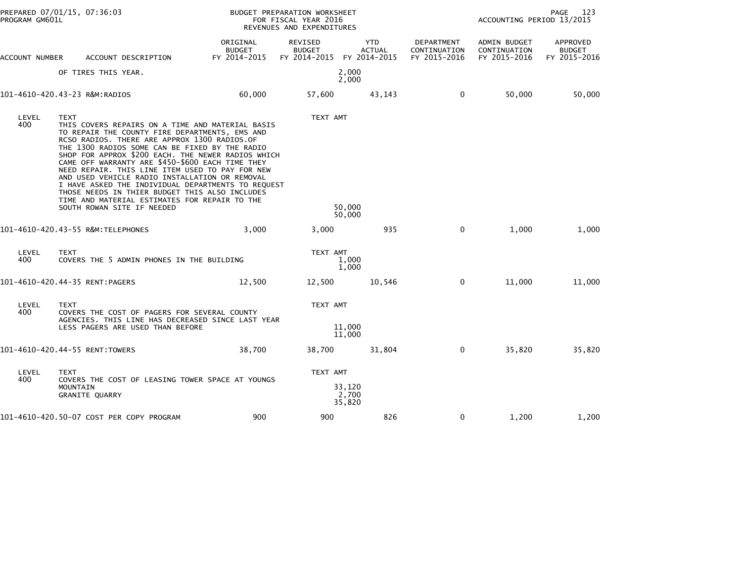| PROGRAM GM601L | PREPARED 07/01/15, 07:36:03                                                                                                                                                                                                                                                                                                                                                                                                                                                                                                                                                                                               |                                    | BUDGET PREPARATION WORKSHEET<br>FOR FISCAL YEAR 2016<br>REVENUES AND EXPENDITURES |                             | PAGE<br>- 123<br>ACCOUNTING PERIOD 13/2015 |                                              |                                           |
|----------------|---------------------------------------------------------------------------------------------------------------------------------------------------------------------------------------------------------------------------------------------------------------------------------------------------------------------------------------------------------------------------------------------------------------------------------------------------------------------------------------------------------------------------------------------------------------------------------------------------------------------------|------------------------------------|-----------------------------------------------------------------------------------|-----------------------------|--------------------------------------------|----------------------------------------------|-------------------------------------------|
| ACCOUNT NUMBER | ACCOUNT DESCRIPTION                                                                                                                                                                                                                                                                                                                                                                                                                                                                                                                                                                                                       | ORIGINAL<br>BUDGET<br>FY 2014-2015 | REVISED<br><b>BUDGET</b><br>FY 2014-2015 FY 2014-2015                             | <b>YTD</b><br><b>ACTUAL</b> | DEPARTMENT<br>CONTINUATION<br>FY 2015-2016 | ADMIN BUDGET<br>CONTINUATION<br>FY 2015-2016 | APPROVED<br><b>BUDGET</b><br>FY 2015-2016 |
|                | OF TIRES THIS YEAR.                                                                                                                                                                                                                                                                                                                                                                                                                                                                                                                                                                                                       |                                    |                                                                                   | 2,000<br>2,000              |                                            |                                              |                                           |
|                | 101-4610-420.43-23 R&M:RADIOS                                                                                                                                                                                                                                                                                                                                                                                                                                                                                                                                                                                             | 60,000                             | 57,600                                                                            | 43,143                      | 0                                          | 50,000                                       | 50,000                                    |
| LEVEL<br>400   | <b>TEXT</b><br>THIS COVERS REPAIRS ON A TIME AND MATERIAL BASIS<br>TO REPAIR THE COUNTY FIRE DEPARTMENTS, EMS AND<br>RCSO RADIOS. THERE ARE APPROX 1300 RADIOS.OF<br>THE 1300 RADIOS SOME CAN BE FIXED BY THE RADIO<br>SHOP FOR APPROX \$200 EACH. THE NEWER RADIOS WHICH<br>CAME OFF WARRANTY ARE \$450-\$600 EACH TIME THEY<br>NEED REPAIR. THIS LINE ITEM USED TO PAY FOR NEW<br>AND USED VEHICLE RADIO INSTALLATION OR REMOVAL<br>I HAVE ASKED THE INDIVIDUAL DEPARTMENTS TO REQUEST<br>THOSE NEEDS IN THIER BUDGET THIS ALSO INCLUDES<br>TIME AND MATERIAL ESTIMATES FOR REPAIR TO THE<br>SOUTH ROWAN SITE IF NEEDED |                                    | TEXT AMT                                                                          | 50,000                      |                                            |                                              |                                           |
|                | 101-4610-420.43-55 R&M:TELEPHONES                                                                                                                                                                                                                                                                                                                                                                                                                                                                                                                                                                                         | 3,000                              | 3,000                                                                             | 50,000<br>935               | $\mathbf 0$                                | 1,000                                        | 1,000                                     |
| LEVEL<br>400   | <b>TEXT</b><br>COVERS THE 5 ADMIN PHONES IN THE BUILDING                                                                                                                                                                                                                                                                                                                                                                                                                                                                                                                                                                  |                                    | TEXT AMT                                                                          | 1,000<br>1,000              |                                            |                                              |                                           |
|                | 101-4610-420.44-35 RENT:PAGERS                                                                                                                                                                                                                                                                                                                                                                                                                                                                                                                                                                                            | 12.500                             | 12,500                                                                            | 10,546                      | $\mathbf 0$                                | 11,000                                       | 11,000                                    |
| LEVEL<br>400   | <b>TEXT</b><br>COVERS THE COST OF PAGERS FOR SEVERAL COUNTY<br>AGENCIES. THIS LINE HAS DECREASED SINCE LAST YEAR<br>LESS PAGERS ARE USED THAN BEFORE                                                                                                                                                                                                                                                                                                                                                                                                                                                                      |                                    | TEXT AMT                                                                          | 11,000<br>11,000            |                                            |                                              |                                           |
|                | 101-4610-420.44-55 RENT:TOWERS                                                                                                                                                                                                                                                                                                                                                                                                                                                                                                                                                                                            | 38,700                             | 38,700                                                                            | 31,804                      | 0                                          | 35,820                                       | 35,820                                    |
| LEVEL<br>400   | <b>TEXT</b><br>COVERS THE COST OF LEASING TOWER SPACE AT YOUNGS<br>MOUNTAIN<br><b>GRANITE QUARRY</b>                                                                                                                                                                                                                                                                                                                                                                                                                                                                                                                      |                                    | TEXT AMT                                                                          | 33,120<br>2,700<br>35,820   |                                            |                                              |                                           |
|                | 101-4610-420.50-07 COST PER COPY PROGRAM                                                                                                                                                                                                                                                                                                                                                                                                                                                                                                                                                                                  | 900                                | 900                                                                               | 826                         | 0                                          | 1,200                                        | 1,200                                     |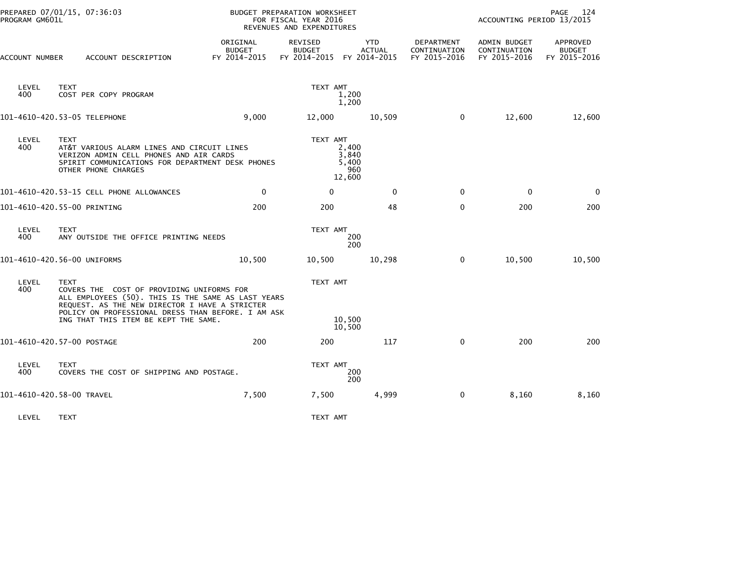| PROGRAM GM601L | PREPARED 07/01/15, 07:36:03                                                                                                                                                                                                                                    |                                           | <b>BUDGET PREPARATION WORKSHEET</b><br>FOR FISCAL YEAR 2016<br>REVENUES AND EXPENDITURES |                             |                                            | ACCOUNTING PERIOD 13/2015                    | 124<br>PAGE                               |
|----------------|----------------------------------------------------------------------------------------------------------------------------------------------------------------------------------------------------------------------------------------------------------------|-------------------------------------------|------------------------------------------------------------------------------------------|-----------------------------|--------------------------------------------|----------------------------------------------|-------------------------------------------|
| ACCOUNT NUMBER | ACCOUNT DESCRIPTION                                                                                                                                                                                                                                            | ORIGINAL<br><b>BUDGET</b><br>FY 2014-2015 | REVISED<br><b>BUDGET</b><br>FY 2014-2015 FY 2014-2015                                    | <b>YTD</b><br><b>ACTUAL</b> | DEPARTMENT<br>CONTINUATION<br>FY 2015-2016 | ADMIN BUDGET<br>CONTINUATION<br>FY 2015-2016 | APPROVED<br><b>BUDGET</b><br>FY 2015-2016 |
| LEVEL<br>400   | <b>TEXT</b><br>COST PER COPY PROGRAM                                                                                                                                                                                                                           |                                           | TEXT AMT<br>1,200<br>1,200                                                               |                             |                                            |                                              |                                           |
|                | 101-4610-420.53-05 TELEPHONE                                                                                                                                                                                                                                   | 9,000                                     | 12,000                                                                                   | 10,509                      | $\mathbf 0$                                | 12,600                                       | 12,600                                    |
| LEVEL<br>400   | <b>TEXT</b><br>AT&T VARIOUS ALARM LINES AND CIRCUIT LINES<br>VERIZON ADMIN CELL PHONES AND AIR CARDS<br>SPIRIT COMMUNICATIONS FOR DEPARTMENT DESK PHONES<br>OTHER PHONE CHARGES                                                                                |                                           | TEXT AMT<br>2,400<br>3,840<br>5,400<br>960<br>12,600                                     |                             |                                            |                                              |                                           |
|                | 101-4610-420.53-15 CELL PHONE ALLOWANCES                                                                                                                                                                                                                       | $\mathbf 0$                               | $\mathbf{0}$                                                                             | $\mathbf{0}$                | $\Omega$                                   | $\mathbf{0}$                                 | $\mathbf 0$                               |
|                | 101-4610-420.55-00 PRINTING                                                                                                                                                                                                                                    | 200                                       | 200                                                                                      | 48                          | $\mathbf 0$                                | 200                                          | 200                                       |
| LEVEL<br>400   | <b>TEXT</b><br>ANY OUTSIDE THE OFFICE PRINTING NEEDS                                                                                                                                                                                                           |                                           | TEXT AMT<br>200<br>200                                                                   |                             |                                            |                                              |                                           |
|                | 101-4610-420.56-00 UNIFORMS                                                                                                                                                                                                                                    | 10,500                                    | 10,500                                                                                   | 10,298                      | $\Omega$                                   | 10,500                                       | 10,500                                    |
| LEVEL<br>400   | <b>TEXT</b><br>COVERS THE COST OF PROVIDING UNIFORMS FOR<br>ALL EMPLOYEES (50). THIS IS THE SAME AS LAST YEARS<br>REQUEST. AS THE NEW DIRECTOR I HAVE A STRICTER<br>POLICY ON PROFESSIONAL DRESS THAN BEFORE. I AM ASK<br>ING THAT THIS ITEM BE KEPT THE SAME. |                                           | TEXT AMT<br>10,500<br>10,500                                                             |                             |                                            |                                              |                                           |
|                | 101-4610-420.57-00 POSTAGE                                                                                                                                                                                                                                     | 200                                       | 200                                                                                      | 117                         | $\mathbf 0$                                | 200                                          | 200                                       |
| LEVEL<br>400   | <b>TEXT</b><br>COVERS THE COST OF SHIPPING AND POSTAGE.                                                                                                                                                                                                        |                                           | TEXT AMT<br>200<br>200                                                                   |                             |                                            |                                              |                                           |
|                | 101-4610-420.58-00 TRAVEL                                                                                                                                                                                                                                      | 7,500                                     | 7,500                                                                                    | 4,999                       | $\mathbf 0$                                | 8,160                                        | 8,160                                     |
| LEVEL          | <b>TEXT</b>                                                                                                                                                                                                                                                    |                                           | TEXT AMT                                                                                 |                             |                                            |                                              |                                           |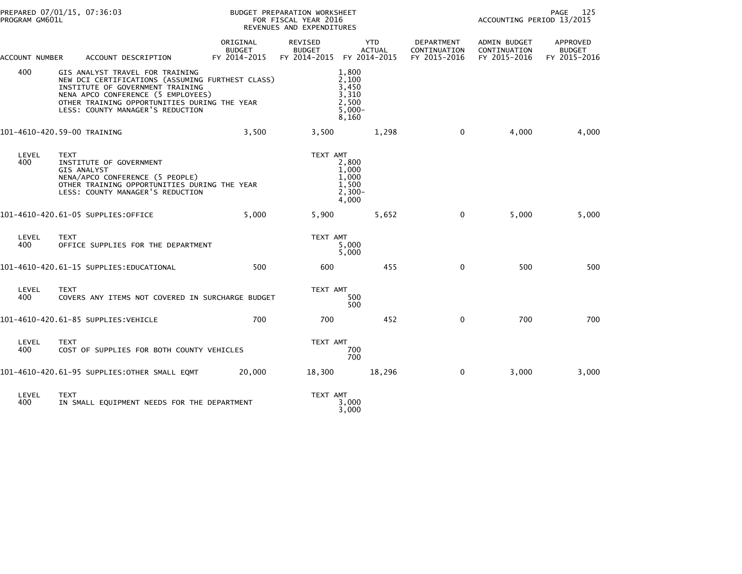| PREPARED 07/01/15, 07:36:03<br>PROGRAM GM601L |             |                                                                                                                                                                                                                                                   | BUDGET PREPARATION WORKSHEET<br>FOR FISCAL YEAR 2016<br>REVENUES AND EXPENDITURES |                                          |                                                                | ACCOUNTING PERIOD 13/2015                  | 125<br>PAGE                                  |                                           |
|-----------------------------------------------|-------------|---------------------------------------------------------------------------------------------------------------------------------------------------------------------------------------------------------------------------------------------------|-----------------------------------------------------------------------------------|------------------------------------------|----------------------------------------------------------------|--------------------------------------------|----------------------------------------------|-------------------------------------------|
| ACCOUNT NUMBER                                |             | ACCOUNT DESCRIPTION                                                                                                                                                                                                                               | ORIGINAL<br><b>BUDGET</b><br>FY 2014-2015                                         | REVISED<br><b>BUDGET</b><br>FY 2014-2015 | <b>YTD</b><br><b>ACTUAL</b><br>FY 2014-2015                    | DEPARTMENT<br>CONTINUATION<br>FY 2015-2016 | ADMIN BUDGET<br>CONTINUATION<br>FY 2015-2016 | APPROVED<br><b>BUDGET</b><br>FY 2015-2016 |
| 400                                           |             | GIS ANALYST TRAVEL FOR TRAINING<br>NEW DCI CERTIFICATIONS (ASSUMING FURTHEST CLASS)<br>INSTITUTE OF GOVERNMENT TRAINING<br>NENA APCO CONFERENCE (5 EMPLOYEES)<br>OTHER TRAINING OPPORTUNITIES DURING THE YEAR<br>LESS: COUNTY MANAGER'S REDUCTION |                                                                                   |                                          | 1,800<br>2,100<br>3,450<br>3,310<br>2,500<br>$5,000-$<br>8,160 |                                            |                                              |                                           |
| 101-4610-420.59-00 TRAINING                   |             |                                                                                                                                                                                                                                                   | 3,500                                                                             | 3,500                                    | 1,298                                                          | $\mathbf 0$                                | 4,000                                        | 4,000                                     |
| LEVEL<br>400                                  | <b>TEXT</b> | INSTITUTE OF GOVERNMENT<br><b>GIS ANALYST</b><br>NENA/APCO CONFERENCE (5 PEOPLE)<br>OTHER TRAINING OPPORTUNITIES DURING THE YEAR<br>LESS: COUNTY MANAGER'S REDUCTION                                                                              |                                                                                   | TEXT AMT                                 | 2,800<br>1.000<br>1,000<br>1,500<br>$2,300-$<br>4,000          |                                            |                                              |                                           |
|                                               |             | 101-4610-420.61-05 SUPPLIES:OFFICE                                                                                                                                                                                                                | 5,000                                                                             | 5,900                                    | 5,652                                                          | $\mathbf 0$                                | 5,000                                        | 5,000                                     |
| LEVEL<br>400                                  | <b>TEXT</b> | OFFICE SUPPLIES FOR THE DEPARTMENT                                                                                                                                                                                                                |                                                                                   | TEXT AMT                                 | 5,000<br>5,000                                                 |                                            |                                              |                                           |
|                                               |             | 101-4610-420.61-15 SUPPLIES:EDUCATIONAL                                                                                                                                                                                                           | 500                                                                               | 600                                      | 455                                                            | $\mathbf 0$                                | 500                                          | 500                                       |
| LEVEL<br>400                                  | <b>TEXT</b> | COVERS ANY ITEMS NOT COVERED IN SURCHARGE BUDGET                                                                                                                                                                                                  |                                                                                   | TEXT AMT                                 | 500<br>500                                                     |                                            |                                              |                                           |
|                                               |             | 101-4610-420.61-85 SUPPLIES:VEHICLE                                                                                                                                                                                                               | 700                                                                               | 700                                      | 452                                                            | $\mathbf{0}$                               | 700                                          | 700                                       |
| LEVEL<br>400                                  | <b>TEXT</b> | COST OF SUPPLIES FOR BOTH COUNTY VEHICLES                                                                                                                                                                                                         |                                                                                   | TEXT AMT                                 | 700<br>700                                                     |                                            |                                              |                                           |
|                                               |             | 101-4610-420.61-95 SUPPLIES:OTHER SMALL EQMT                                                                                                                                                                                                      | 20,000                                                                            | 18,300                                   | 18,296                                                         | $\mathbf 0$                                | 3,000                                        | 3,000                                     |
| LEVEL<br>400                                  | <b>TEXT</b> | IN SMALL EQUIPMENT NEEDS FOR THE DEPARTMENT                                                                                                                                                                                                       |                                                                                   | TEXT AMT                                 | 3,000<br>3,000                                                 |                                            |                                              |                                           |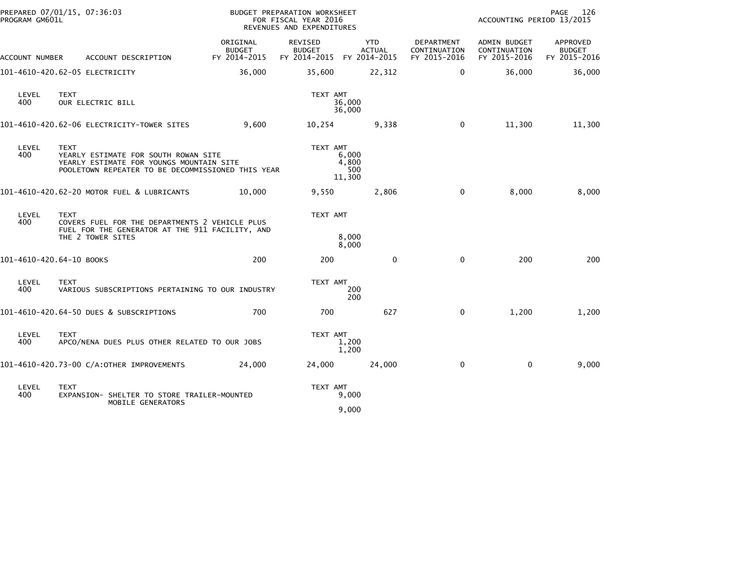| PROGRAM GM601L           | PREPARED 07/01/15, 07:36:03                                                                                                                   |                                           | BUDGET PREPARATION WORKSHEET<br>FOR FISCAL YEAR 2016<br>REVENUES AND EXPENDITURES |                                 |                                            | ACCOUNTING PERIOD 13/2015                    | PAGE<br>126                               |
|--------------------------|-----------------------------------------------------------------------------------------------------------------------------------------------|-------------------------------------------|-----------------------------------------------------------------------------------|---------------------------------|--------------------------------------------|----------------------------------------------|-------------------------------------------|
| ACCOUNT NUMBER           | ACCOUNT DESCRIPTION                                                                                                                           | ORIGINAL<br><b>BUDGET</b><br>FY 2014-2015 | REVISED<br><b>BUDGET</b><br>FY 2014-2015 FY 2014-2015                             | <b>YTD</b><br><b>ACTUAL</b>     | DEPARTMENT<br>CONTINUATION<br>FY 2015-2016 | ADMIN BUDGET<br>CONTINUATION<br>FY 2015-2016 | APPROVED<br><b>BUDGET</b><br>FY 2015-2016 |
|                          | 101-4610-420.62-05 ELECTRICITY                                                                                                                | 36,000                                    | 35,600                                                                            | 22,312                          | $\mathbf 0$                                | 36,000                                       | 36,000                                    |
| LEVEL<br>400             | <b>TEXT</b><br>OUR ELECTRIC BILL                                                                                                              |                                           | TEXT AMT                                                                          | 36,000<br>36,000                |                                            |                                              |                                           |
|                          | 101-4610-420.62-06 ELECTRICITY-TOWER SITES                                                                                                    | 9,600                                     | 10,254                                                                            | 9,338                           | 0                                          | 11,300                                       | 11,300                                    |
| LEVEL<br>400             | TEXT<br>YEARLY ESTIMATE FOR SOUTH ROWAN SITE<br>YEARLY ESTIMATE FOR YOUNGS MOUNTAIN SITE<br>POOLETOWN REPEATER TO BE DECOMMISSIONED THIS YEAR |                                           | TEXT AMT                                                                          | 6,000<br>4,800<br>500<br>11,300 |                                            |                                              |                                           |
|                          | 101-4610-420.62-20 MOTOR FUEL & LUBRICANTS                                                                                                    | 10,000                                    | 9,550                                                                             | 2,806                           | 0                                          | 8,000                                        | 8,000                                     |
| LEVEL<br>400             | <b>TEXT</b><br>COVERS FUEL FOR THE DEPARTMENTS 2 VEHICLE PLUS<br>FUEL FOR THE GENERATOR AT THE 911 FACILITY, AND<br>THE 2 TOWER SITES         |                                           | TEXT AMT                                                                          | 8,000                           |                                            |                                              |                                           |
| 101-4610-420.64-10 BOOKS |                                                                                                                                               | 200                                       | 200                                                                               | 8,000<br>$\mathbf{0}$           | $\mathbf 0$                                | 200                                          | 200                                       |
| LEVEL<br>400             | <b>TEXT</b><br>VARIOUS SUBSCRIPTIONS PERTAINING TO OUR INDUSTRY                                                                               |                                           | TEXT AMT                                                                          | 200<br>200                      |                                            |                                              |                                           |
|                          | 101-4610-420.64-50 DUES & SUBSCRIPTIONS                                                                                                       | 700                                       | 700                                                                               | 627                             | 0                                          | 1,200                                        | 1,200                                     |
| LEVEL<br>400             | <b>TEXT</b><br>APCO/NENA DUES PLUS OTHER RELATED TO OUR JOBS                                                                                  |                                           | TEXT AMT                                                                          | 1,200<br>1,200                  |                                            |                                              |                                           |
|                          | 101-4610-420.73-00 C/A:OTHER IMPROVEMENTS                                                                                                     | 24,000                                    | 24,000                                                                            | 24,000                          | $\mathbf 0$                                | $\mathbf 0$                                  | 9,000                                     |
| LEVEL<br>400             | <b>TEXT</b><br>EXPANSION- SHELTER TO STORE TRAILER-MOUNTED<br>MOBILE GENERATORS                                                               |                                           | TEXT AMT                                                                          | 9,000<br>9,000                  |                                            |                                              |                                           |
|                          |                                                                                                                                               |                                           |                                                                                   |                                 |                                            |                                              |                                           |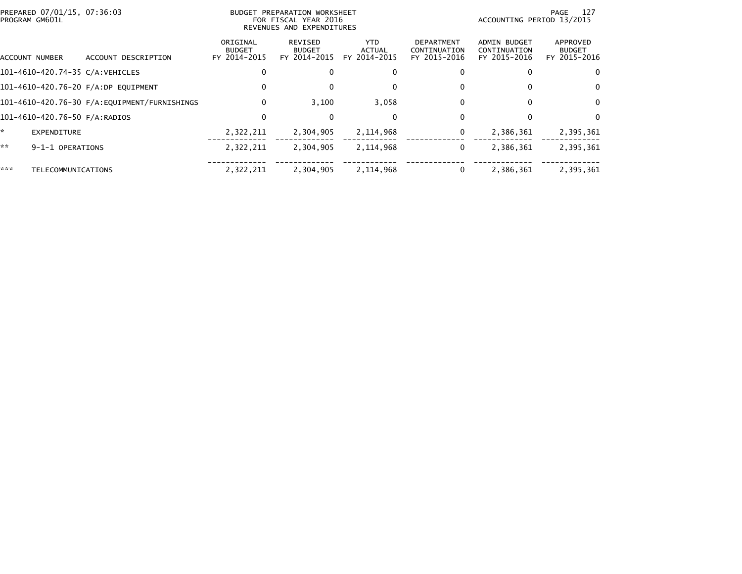| PREPARED 07/01/15, 07:36:03<br>PROGRAM GM601L |                                              |                                           | BUDGET PREPARATION WORKSHEET<br>FOR FISCAL YEAR 2016<br>REVENUES AND EXPENDITURES |                                       |                                                   | - 127<br>PAGE<br>ACCOUNTING PERIOD 13/2015          |                                           |  |  |
|-----------------------------------------------|----------------------------------------------|-------------------------------------------|-----------------------------------------------------------------------------------|---------------------------------------|---------------------------------------------------|-----------------------------------------------------|-------------------------------------------|--|--|
| ACCOUNT NUMBER                                | ACCOUNT DESCRIPTION                          | ORIGINAL<br><b>BUDGET</b><br>FY 2014-2015 | REVISED<br><b>BUDGET</b><br>FY 2014-2015                                          | YTD.<br><b>ACTUAL</b><br>FY 2014-2015 | <b>DEPARTMENT</b><br>CONTINUATION<br>FY 2015-2016 | <b>ADMIN BUDGET</b><br>CONTINUATION<br>FY 2015-2016 | APPROVED<br><b>BUDGET</b><br>FY 2015-2016 |  |  |
| 101-4610-420.74-35 C/A:VEHICLES               |                                              | 0                                         |                                                                                   | 0                                     |                                                   |                                                     | 0                                         |  |  |
| 101-4610-420.76-20 F/A:DP EQUIPMENT           |                                              | 0                                         |                                                                                   | 0                                     |                                                   | 0                                                   | 0                                         |  |  |
|                                               | 101-4610-420.76-30 F/A:EQUIPMENT/FURNISHINGS | 0                                         | 3,100                                                                             | 3,058                                 | 0                                                 | $\bf{0}$                                            | $\Omega$                                  |  |  |
| 101-4610-420.76-50 F/A:RADIOS                 |                                              | 0                                         |                                                                                   | $\mathbf{0}$                          |                                                   | 0                                                   | $\Omega$                                  |  |  |
| *.<br>EXPENDITURE                             |                                              | 2,322,211                                 | 2,304,905                                                                         | 2,114,968                             | 0                                                 | 2,386,361                                           | 2,395,361                                 |  |  |
| **<br>9-1-1 OPERATIONS                        |                                              | 2,322,211                                 | 2,304,905                                                                         | 2,114,968                             | 0                                                 | 2,386,361                                           | 2,395,361                                 |  |  |
| ***<br>TELECOMMUNICATIONS                     |                                              | 2,322,211                                 | 2,304,905                                                                         | 2,114,968                             | 0                                                 | 2,386,361                                           | 2,395,361                                 |  |  |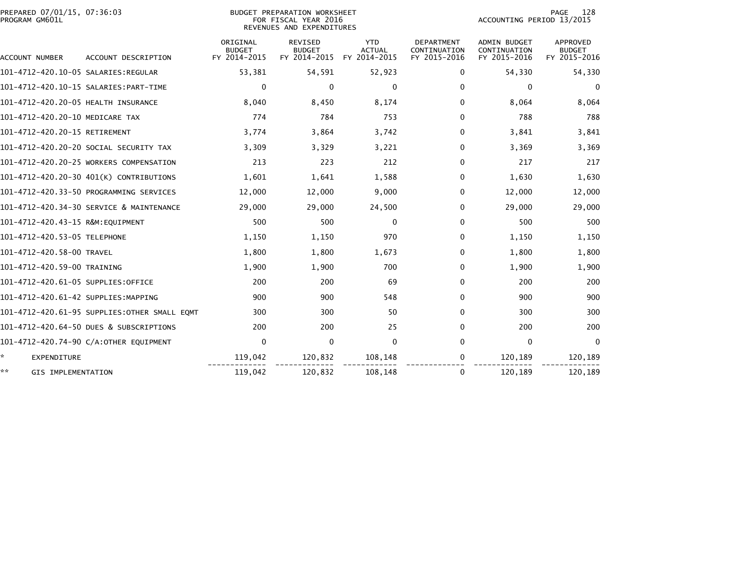| PREPARED 07/01/15, 07:36:03<br>PROGRAM GM601L |                                              |                           | <b>BUDGET PREPARATION WORKSHEET</b><br>FOR FISCAL YEAR 2016<br>REVENUES AND EXPENDITURES |                             |                            | ACCOUNTING PERIOD 13/2015    | 128<br>PAGE               |
|-----------------------------------------------|----------------------------------------------|---------------------------|------------------------------------------------------------------------------------------|-----------------------------|----------------------------|------------------------------|---------------------------|
|                                               |                                              | ORIGINAL<br><b>BUDGET</b> | <b>REVISED</b><br><b>BUDGET</b>                                                          | <b>YTD</b><br><b>ACTUAL</b> | DEPARTMENT<br>CONTINUATION | ADMIN BUDGET<br>CONTINUATION | APPROVED<br><b>BUDGET</b> |
| ACCOUNT NUMBER                                | ACCOUNT DESCRIPTION                          | FY 2014-2015              | FY 2014-2015                                                                             | FY 2014-2015                | FY 2015-2016               | FY 2015-2016                 | FY 2015-2016              |
|                                               |                                              | 53,381                    | 54,591                                                                                   | 52,923                      | 0                          | 54,330                       | 54,330                    |
|                                               |                                              | 0                         | $\mathbf{0}$                                                                             | $\Omega$                    | $\Omega$                   | 0                            | $\mathbf{0}$              |
| 101-4712-420.20-05 HEALTH INSURANCE           |                                              | 8,040                     | 8,450                                                                                    | 8,174                       | $\Omega$                   | 8,064                        | 8,064                     |
| 101-4712-420.20-10 MEDICARE TAX               |                                              | 774                       | 784                                                                                      | 753                         | $\Omega$                   | 788                          | 788                       |
| 101-4712-420.20-15 RETIREMENT                 |                                              | 3,774                     | 3,864                                                                                    | 3,742                       | 0                          | 3,841                        | 3,841                     |
|                                               | 101-4712-420.20-20 SOCIAL SECURITY TAX       | 3,309                     | 3,329                                                                                    | 3,221                       | 0                          | 3,369                        | 3,369                     |
|                                               | 101-4712-420.20-25 WORKERS COMPENSATION      | 213                       | 223                                                                                      | 212                         | 0                          | 217                          | 217                       |
|                                               | 101-4712-420.20-30 401(K) CONTRIBUTIONS      | 1,601                     | 1,641                                                                                    | 1,588                       | 0                          | 1,630                        | 1,630                     |
|                                               | 101-4712-420.33-50 PROGRAMMING SERVICES      | 12,000                    | 12,000                                                                                   | 9,000                       | 0                          | 12,000                       | 12,000                    |
|                                               | 101-4712-420.34-30 SERVICE & MAINTENANCE     | 29,000                    | 29,000                                                                                   | 24,500                      | 0                          | 29,000                       | 29,000                    |
| 101-4712-420.43-15 R&M:EQUIPMENT              |                                              | 500                       | 500                                                                                      | $\Omega$                    | 0                          | 500                          | 500                       |
| 101-4712-420.53-05 TELEPHONE                  |                                              | 1,150                     | 1,150                                                                                    | 970                         | 0                          | 1,150                        | 1,150                     |
| 101-4712-420.58-00 TRAVEL                     |                                              | 1,800                     | 1,800                                                                                    | 1,673                       | 0                          | 1,800                        | 1,800                     |
| 101-4712-420.59-00 TRAINING                   |                                              | 1,900                     | 1,900                                                                                    | 700                         | $\Omega$                   | 1,900                        | 1,900                     |
| 101-4712-420.61-05 SUPPLIES:OFFICE            |                                              | 200                       | 200                                                                                      | 69                          | 0                          | 200                          | 200                       |
| 101-4712-420.61-42 SUPPLIES:MAPPING           |                                              | 900                       | 900                                                                                      | 548                         | 0                          | 900                          | 900                       |
|                                               | 101-4712-420.61-95 SUPPLIES:OTHER SMALL EQMT | 300                       | 300                                                                                      | 50                          | 0                          | 300                          | 300                       |
|                                               | 101-4712-420.64-50 DUES & SUBSCRIPTIONS      | 200                       | 200                                                                                      | 25                          | 0                          | 200                          | 200                       |
|                                               | 101-4712-420.74-90 C/A:OTHER EQUIPMENT       | $\mathbf 0$               | $\mathbf 0$                                                                              | $\mathbf 0$                 | 0                          | $\mathbf 0$                  | $\mathbf{0}$              |
| ÷.<br><b>EXPENDITURE</b>                      |                                              | 119,042                   | 120,832                                                                                  | 108,148                     | 0                          | 120,189                      | 120,189                   |
| **<br>GIS IMPLEMENTATION                      |                                              | 119,042                   | 120,832                                                                                  | 108,148                     | 0                          | 120,189                      | 120,189                   |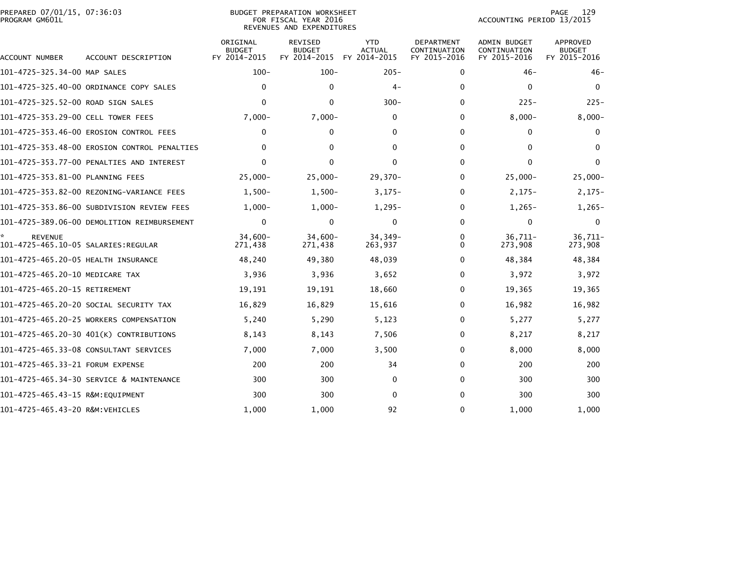|                | PREPARED 07/01/15, 07:36:03 |  |
|----------------|-----------------------------|--|
| PROGRAM GM601L |                             |  |

| ACCOUNT NUMBER                      | ACCOUNT DESCRIPTION                          | ORIGINAL<br><b>BUDGET</b><br>FY 2014-2015 | <b>REVISED</b><br><b>BUDGET</b><br>FY 2014-2015 | <b>YTD</b><br><b>ACTUAL</b><br>FY 2014-2015 | <b>DEPARTMENT</b><br>CONTINUATION<br>FY 2015-2016 | <b>ADMIN BUDGET</b><br>CONTINUATION<br>FY 2015-2016 | <b>APPROVED</b><br><b>BUDGET</b><br>FY 2015-2016 |
|-------------------------------------|----------------------------------------------|-------------------------------------------|-------------------------------------------------|---------------------------------------------|---------------------------------------------------|-----------------------------------------------------|--------------------------------------------------|
| 101-4725-325.34-00 MAP SALES        |                                              | $100 -$                                   | $100 -$                                         | $205 -$                                     | 0                                                 | $46 -$                                              | $46 -$                                           |
|                                     | 101-4725-325.40-00 ORDINANCE COPY SALES      | 0                                         | $\mathbf{0}$                                    | $4-$                                        | 0                                                 | 0                                                   | 0                                                |
| 101-4725-325.52-00 ROAD SIGN SALES  |                                              | $\Omega$                                  | $\Omega$                                        | $300 -$                                     | $\mathbf 0$                                       | $225 -$                                             | $225 -$                                          |
| 101-4725-353.29-00 CELL TOWER FEES  |                                              | $7,000-$                                  | $7,000 -$                                       | 0                                           | 0                                                 | $8,000 -$                                           | $8,000 -$                                        |
|                                     | 101-4725-353.46-00 EROSION CONTROL FEES      | $\Omega$                                  | $\mathbf{0}$                                    | 0                                           | $\Omega$                                          | $\mathbf{0}$                                        | $\Omega$                                         |
|                                     | 101-4725-353.48-00 EROSION CONTROL PENALTIES | $\Omega$                                  | $\mathbf{0}$                                    | 0                                           | $\mathbf{0}$                                      | $\Omega$                                            | $\Omega$                                         |
|                                     | 101-4725-353.77-00 PENALTIES AND INTEREST    | 0                                         | $\mathbf{0}$                                    | 0                                           | $\mathbf{0}$                                      | $\Omega$                                            | $\mathbf{0}$                                     |
| 101-4725-353.81-00 PLANNING FEES    |                                              | $25,000 -$                                | $25,000 -$                                      | $29,370-$                                   | $\mathbf{0}$                                      | $25,000 -$                                          | $25,000 -$                                       |
|                                     |                                              | $1,500-$                                  | $1,500-$                                        | $3,175-$                                    | $\Omega$                                          | $2,175-$                                            | $2,175-$                                         |
|                                     | 101-4725-353.86-00 SUBDIVISION REVIEW FEES   | $1,000-$                                  | $1,000-$                                        | $1,295-$                                    | $\mathbf{0}$                                      | $1,265-$                                            | $1,265-$                                         |
|                                     | 101-4725-389.06-00 DEMOLITION REIMBURSEMENT  | $\Omega$                                  | $\Omega$                                        | $\mathbf{0}$                                | $\Omega$                                          | $\Omega$                                            | $\bf{0}$                                         |
| <b>REVENUE</b>                      |                                              | $34,600 -$<br>271,438                     | $34,600 -$<br>271,438                           | 34,349-<br>263,937                          | 0<br>0                                            | 36,711-<br>273,908                                  | $36,711-$<br>273,908                             |
| 101-4725-465.20-05 HEALTH INSURANCE |                                              | 48,240                                    | 49,380                                          | 48,039                                      | $\mathbf{0}$                                      | 48,384                                              | 48,384                                           |
| 101-4725-465.20-10 MEDICARE TAX     |                                              | 3,936                                     | 3,936                                           | 3,652                                       | 0                                                 | 3,972                                               | 3,972                                            |
| 101-4725-465.20-15 RETIREMENT       |                                              | 19,191                                    | 19,191                                          | 18,660                                      | 0                                                 | 19,365                                              | 19,365                                           |
|                                     | 101-4725-465.20-20 SOCIAL SECURITY TAX       | 16,829                                    | 16,829                                          | 15,616                                      | $\Omega$                                          | 16,982                                              | 16,982                                           |
|                                     | 101-4725-465.20-25 WORKERS COMPENSATION      | 5,240                                     | 5,290                                           | 5,123                                       | $\Omega$                                          | 5,277                                               | 5,277                                            |
|                                     | 101-4725-465.20-30 401(K) CONTRIBUTIONS      | 8,143                                     | 8,143                                           | 7,506                                       | $\Omega$                                          | 8,217                                               | 8,217                                            |
|                                     | 101-4725-465.33-08 CONSULTANT SERVICES       | 7,000                                     | 7,000                                           | 3,500                                       | $\mathbf{0}$                                      | 8,000                                               | 8,000                                            |
| 101-4725-465.33-21 FORUM EXPENSE    |                                              | 200                                       | 200                                             | 34                                          | $\Omega$                                          | 200                                                 | 200                                              |
|                                     | 101-4725-465.34-30 SERVICE & MAINTENANCE     | 300                                       | 300                                             | 0                                           | $\mathbf{0}$                                      | 300                                                 | 300                                              |
| 101-4725-465.43-15 R&M:EQUIPMENT    |                                              | 300                                       | 300                                             | 0                                           | $\mathbf{0}$                                      | 300                                                 | 300                                              |
|                                     |                                              | 1,000                                     | 1.000                                           | 92                                          | $\mathbf{0}$                                      | 1.000                                               | 1,000                                            |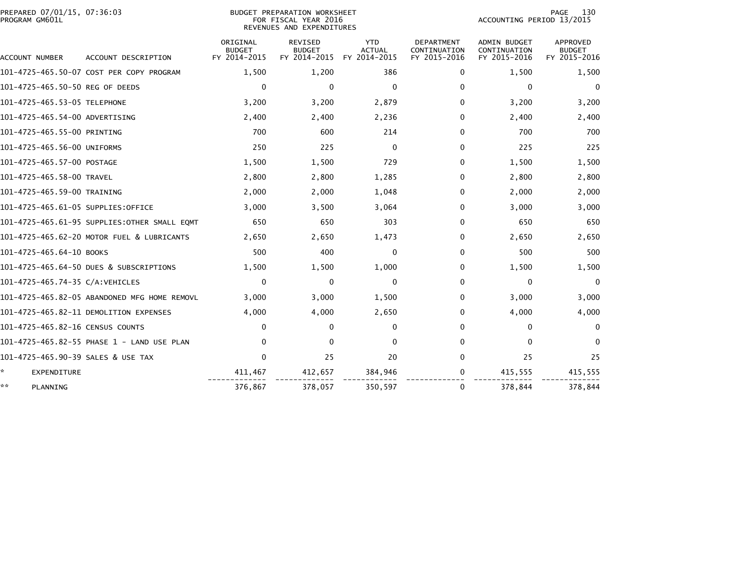| PREPARED 07/01/15, 07:36:03<br>PROGRAM GM601L |                                              |                                           | <b>BUDGET PREPARATION WORKSHEET</b><br>FOR FISCAL YEAR 2016<br>REVENUES AND EXPENDITURES |                                             | 130<br>PAGE<br>ACCOUNTING PERIOD 13/2015          |                                                     |                                           |
|-----------------------------------------------|----------------------------------------------|-------------------------------------------|------------------------------------------------------------------------------------------|---------------------------------------------|---------------------------------------------------|-----------------------------------------------------|-------------------------------------------|
| ACCOUNT NUMBER                                | ACCOUNT DESCRIPTION                          | ORIGINAL<br><b>BUDGET</b><br>FY 2014-2015 | <b>REVISED</b><br><b>BUDGET</b><br>FY 2014-2015                                          | <b>YTD</b><br><b>ACTUAL</b><br>FY 2014-2015 | <b>DEPARTMENT</b><br>CONTINUATION<br>FY 2015-2016 | <b>ADMIN BUDGET</b><br>CONTINUATION<br>FY 2015-2016 | APPROVED<br><b>BUDGET</b><br>FY 2015-2016 |
|                                               | 101-4725-465.50-07 COST PER COPY PROGRAM     | 1,500                                     | 1,200                                                                                    | 386                                         | $\mathbf{0}$                                      | 1,500                                               | 1,500                                     |
| 101-4725-465.50-50 REG OF DEEDS               |                                              | $\mathbf 0$                               | $\mathbf{0}$                                                                             | $\mathbf 0$                                 | $\Omega$                                          | 0                                                   | $\mathbf{0}$                              |
| 101-4725-465.53-05 TELEPHONE                  |                                              | 3,200                                     | 3,200                                                                                    | 2,879                                       | $\Omega$                                          | 3,200                                               | 3,200                                     |
| 101-4725-465.54-00 ADVERTISING                |                                              | 2,400                                     | 2,400                                                                                    | 2,236                                       | 0                                                 | 2,400                                               | 2,400                                     |
| 101-4725-465.55-00 PRINTING                   |                                              | 700                                       | 600                                                                                      | 214                                         | 0                                                 | 700                                                 | 700                                       |
| 101-4725-465.56-00 UNIFORMS                   |                                              | 250                                       | 225                                                                                      | $\Omega$                                    | $\Omega$                                          | 225                                                 | 225                                       |
| 101-4725-465.57-00 POSTAGE                    |                                              | 1,500                                     | 1,500                                                                                    | 729                                         | 0                                                 | 1,500                                               | 1,500                                     |
| 101-4725-465.58-00 TRAVEL                     |                                              | 2,800                                     | 2,800                                                                                    | 1,285                                       | 0                                                 | 2,800                                               | 2,800                                     |
| 101-4725-465.59-00 TRAINING                   |                                              | 2,000                                     | 2,000                                                                                    | 1,048                                       | 0                                                 | 2,000                                               | 2,000                                     |
| 101–4725–465.61–05 SUPPLIES:OFFICE            |                                              | 3,000                                     | 3,500                                                                                    | 3,064                                       | 0                                                 | 3,000                                               | 3,000                                     |
|                                               | 101-4725-465.61-95 SUPPLIES:OTHER SMALL EOMT | 650                                       | 650                                                                                      | 303                                         | $\Omega$                                          | 650                                                 | 650                                       |
|                                               | 101-4725-465.62-20 MOTOR FUEL & LUBRICANTS   | 2,650                                     | 2,650                                                                                    | 1,473                                       | 0                                                 | 2,650                                               | 2,650                                     |
| 101-4725-465.64-10 BOOKS                      |                                              | 500                                       | 400                                                                                      | $\Omega$                                    | $\Omega$                                          | 500                                                 | 500                                       |
|                                               | 101-4725-465.64-50 DUES & SUBSCRIPTIONS      | 1,500                                     | 1,500                                                                                    | 1,000                                       | 0                                                 | 1,500                                               | 1,500                                     |
| 101-4725-465.74-35 C/A:VEHICLES               |                                              | 0                                         | $\mathbf{0}$                                                                             | 0                                           | 0                                                 | 0                                                   | $\mathbf{0}$                              |
|                                               | 101-4725-465.82-05 ABANDONED MFG HOME REMOVL | 3,000                                     | 3,000                                                                                    | 1,500                                       | 0                                                 | 3,000                                               | 3,000                                     |
|                                               | 101-4725-465.82-11 DEMOLITION EXPENSES       | 4,000                                     | 4,000                                                                                    | 2,650                                       | 0                                                 | 4,000                                               | 4,000                                     |
| 101-4725-465.82-16 CENSUS COUNTS              |                                              | 0                                         | $\mathbf{0}$                                                                             | $\Omega$                                    | 0                                                 | 0                                                   | $\mathbf 0$                               |
|                                               | 101-4725-465.82-55 PHASE 1 - LAND USE PLAN   | $\mathbf{0}$                              | 0                                                                                        | 0                                           | 0                                                 | $\Omega$                                            | $\Omega$                                  |
| 101-4725-465.90-39 SALES & USE TAX            |                                              | $\mathbf 0$                               | 25                                                                                       | 20                                          | $\Omega$                                          | 25                                                  | 25                                        |
| ÷.<br>EXPENDITURE                             |                                              | 411,467                                   | 412,657                                                                                  | 384,946                                     | 0                                                 | 415,555                                             | 415,555                                   |
| **<br>PLANNING                                |                                              | 376,867                                   | 378,057                                                                                  | 350,597                                     | $\mathbf{0}$                                      | 378,844                                             | 378,844                                   |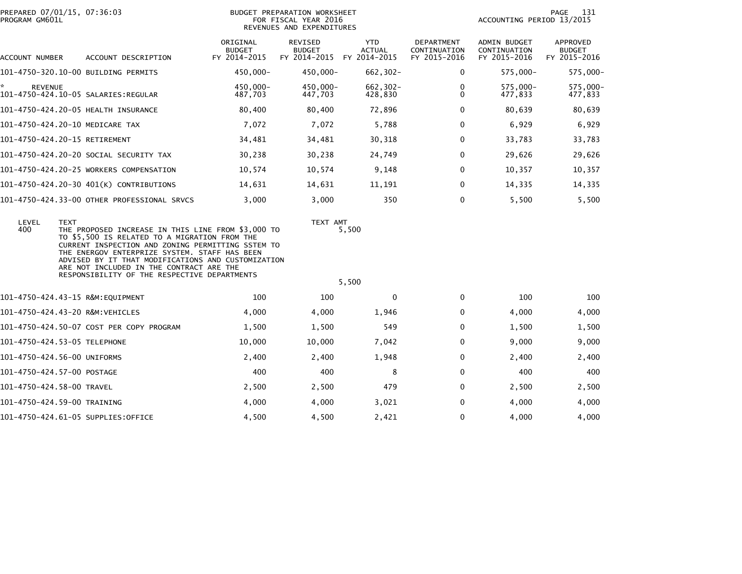| PROGRAM GM601L      | PREPARED 07/01/15, 07:36:03                                                                                                                                                                                                                                                                                                                                                | BUDGET PREPARATION WORKSHEET<br>FOR FISCAL YEAR 2016<br>REVENUES AND EXPENDITURES |                                                              |                             |                                            | 131<br>PAGE<br>ACCOUNTING PERIOD 13/2015     |                                                  |  |
|---------------------|----------------------------------------------------------------------------------------------------------------------------------------------------------------------------------------------------------------------------------------------------------------------------------------------------------------------------------------------------------------------------|-----------------------------------------------------------------------------------|--------------------------------------------------------------|-----------------------------|--------------------------------------------|----------------------------------------------|--------------------------------------------------|--|
| ACCOUNT NUMBER      | ACCOUNT DESCRIPTION                                                                                                                                                                                                                                                                                                                                                        | ORIGINAL<br><b>BUDGET</b><br>FY 2014-2015                                         | <b>REVISED</b><br><b>BUDGET</b><br>FY 2014-2015 FY 2014-2015 | <b>YTD</b><br><b>ACTUAL</b> | DEPARTMENT<br>CONTINUATION<br>FY 2015-2016 | ADMIN BUDGET<br>CONTINUATION<br>FY 2015-2016 | <b>APPROVED</b><br><b>BUDGET</b><br>FY 2015-2016 |  |
|                     | 101-4750-320.10-00 BUILDING PERMITS                                                                                                                                                                                                                                                                                                                                        | 450,000-                                                                          | 450,000-                                                     | $662, 302 -$                | 0                                          | 575,000-                                     | 575,000-                                         |  |
| *<br><b>REVENUE</b> |                                                                                                                                                                                                                                                                                                                                                                            | 450.000-<br>487,703                                                               | 450,000-<br>447,703                                          | 662,302-<br>428,830         | 0<br>0                                     | 575,000-<br>477,833                          | 575,000-<br>477,833                              |  |
|                     | 101-4750-424.20-05 HEALTH INSURANCE                                                                                                                                                                                                                                                                                                                                        | 80,400                                                                            | 80,400                                                       | 72,896                      | 0                                          | 80,639                                       | 80,639                                           |  |
|                     | 101-4750-424.20-10 MEDICARE TAX                                                                                                                                                                                                                                                                                                                                            | 7,072                                                                             | 7,072                                                        | 5,788                       | $\Omega$                                   | 6,929                                        | 6,929                                            |  |
|                     | 101-4750-424.20-15 RETIREMENT                                                                                                                                                                                                                                                                                                                                              | 34,481                                                                            | 34,481                                                       | 30,318                      | 0                                          | 33,783                                       | 33,783                                           |  |
|                     | 101–4750–424.20–20 SOCIAL SECURITY TAX                                                                                                                                                                                                                                                                                                                                     | 30,238                                                                            | 30,238                                                       | 24,749                      | 0                                          | 29,626                                       | 29,626                                           |  |
|                     | 101-4750-424.20-25 WORKERS COMPENSATION                                                                                                                                                                                                                                                                                                                                    | 10,574                                                                            | 10,574                                                       | 9,148                       | $\mathbf{0}$                               | 10,357                                       | 10,357                                           |  |
|                     | 101-4750-424.20-30 401(K) CONTRIBUTIONS                                                                                                                                                                                                                                                                                                                                    | 14,631                                                                            | 14,631                                                       | 11,191                      | 0                                          | 14,335                                       | 14,335                                           |  |
|                     | 101-4750-424.33-00 OTHER PROFESSIONAL SRVCS                                                                                                                                                                                                                                                                                                                                | 3,000                                                                             | 3,000                                                        | 350                         | $\Omega$                                   | 5,500                                        | 5,500                                            |  |
| LEVEL<br>400        | <b>TEXT</b><br>THE PROPOSED INCREASE IN THIS LINE FROM \$3,000 TO<br>TO \$5,500 IS RELATED TO A MIGRATION FROM THE<br>CURRENT INSPECTION AND ZONING PERMITTING SSTEM TO<br>THE ENERGOV ENTERPRIZE SYSTEM. STAFF HAS BEEN<br>ADVISED BY IT THAT MODIFICATIONS AND CUSTOMIZATION<br>ARE NOT INCLUDED IN THE CONTRACT ARE THE<br>RESPONSIBILITY OF THE RESPECTIVE DEPARTMENTS |                                                                                   | TEXT AMT                                                     | 5,500                       |                                            |                                              |                                                  |  |
|                     |                                                                                                                                                                                                                                                                                                                                                                            |                                                                                   |                                                              | 5,500                       |                                            |                                              |                                                  |  |
|                     | 101-4750-424.43-15 R&M:EQUIPMENT                                                                                                                                                                                                                                                                                                                                           | 100                                                                               | 100                                                          | $\Omega$                    | $\mathbf{0}$                               | 100                                          | 100                                              |  |
|                     | 101-4750-424.43-20 R&M:VEHICLES                                                                                                                                                                                                                                                                                                                                            | 4,000                                                                             | 4,000                                                        | 1,946                       | 0                                          | 4,000                                        | 4,000                                            |  |
|                     | 101-4750-424.50-07 COST PER COPY PROGRAM                                                                                                                                                                                                                                                                                                                                   | 1,500                                                                             | 1,500                                                        | 549                         | 0                                          | 1,500                                        | 1,500                                            |  |
|                     | 101-4750-424.53-05 TELEPHONE                                                                                                                                                                                                                                                                                                                                               | 10,000                                                                            | 10,000                                                       | 7,042                       | 0                                          | 9,000                                        | 9,000                                            |  |
|                     | 101-4750-424.56-00 UNIFORMS                                                                                                                                                                                                                                                                                                                                                | 2,400                                                                             | 2,400                                                        | 1,948                       | 0                                          | 2,400                                        | 2,400                                            |  |
|                     | 101-4750-424.57-00 POSTAGE                                                                                                                                                                                                                                                                                                                                                 | 400                                                                               | 400                                                          | 8                           | $\mathbf{0}$                               | 400                                          | 400                                              |  |
|                     | 101-4750-424.58-00 TRAVEL                                                                                                                                                                                                                                                                                                                                                  | 2,500                                                                             | 2,500                                                        | 479                         | $\mathbf{0}$                               | 2,500                                        | 2,500                                            |  |
|                     | 101-4750-424.59-00 TRAINING                                                                                                                                                                                                                                                                                                                                                | 4,000                                                                             | 4,000                                                        | 3,021                       | $\Omega$                                   | 4,000                                        | 4,000                                            |  |
|                     | 101-4750-424.61-05 SUPPLIES:OFFICE                                                                                                                                                                                                                                                                                                                                         | 4,500                                                                             | 4,500                                                        | 2,421                       | $\Omega$                                   | 4,000                                        | 4,000                                            |  |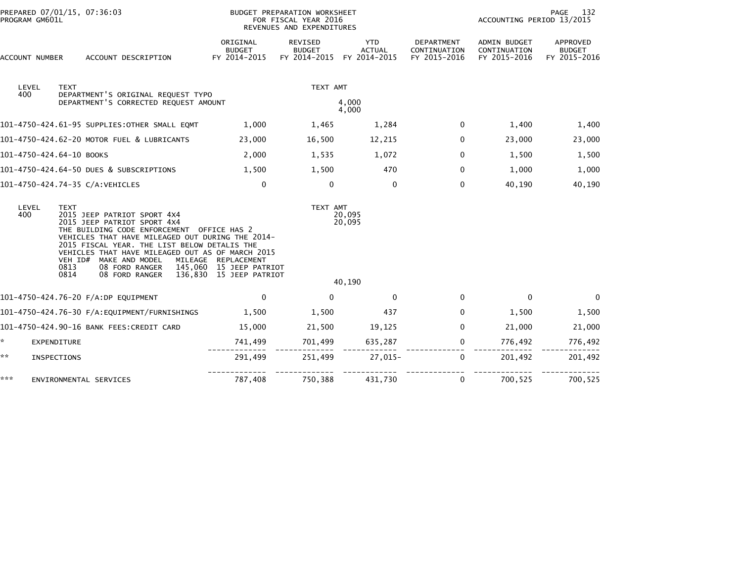| PROGRAM GM601L           | PREPARED 07/01/15, 07:36:03                                                                                                                                                                                                                                                                                                                                   |                                                                           | BUDGET PREPARATION WORKSHEET<br>FOR FISCAL YEAR 2016<br>REVENUES AND EXPENDITURES |                                             |                                                   | PAGE<br>132<br>ACCOUNTING PERIOD 13/2015     |                                           |  |
|--------------------------|---------------------------------------------------------------------------------------------------------------------------------------------------------------------------------------------------------------------------------------------------------------------------------------------------------------------------------------------------------------|---------------------------------------------------------------------------|-----------------------------------------------------------------------------------|---------------------------------------------|---------------------------------------------------|----------------------------------------------|-------------------------------------------|--|
| ACCOUNT NUMBER           | ACCOUNT DESCRIPTION                                                                                                                                                                                                                                                                                                                                           | ORIGINAL<br>BUDGET<br>FY 2014-2015                                        | REVISED<br><b>BUDGET</b><br>FY 2014-2015                                          | <b>YTD</b><br><b>ACTUAL</b><br>FY 2014-2015 | <b>DEPARTMENT</b><br>CONTINUATION<br>FY 2015-2016 | ADMIN BUDGET<br>CONTINUATION<br>FY 2015-2016 | APPROVED<br><b>BUDGET</b><br>FY 2015-2016 |  |
| LEVEL<br>400             | <b>TEXT</b><br>DEPARTMENT'S ORIGINAL REQUEST TYPO                                                                                                                                                                                                                                                                                                             |                                                                           | TEXT AMT                                                                          |                                             |                                                   |                                              |                                           |  |
|                          | DEPARTMENT'S CORRECTED REQUEST AMOUNT                                                                                                                                                                                                                                                                                                                         |                                                                           |                                                                                   | 4.000<br>4,000                              |                                                   |                                              |                                           |  |
|                          | 101-4750-424.61-95 SUPPLIES:OTHER SMALL EQMT                                                                                                                                                                                                                                                                                                                  | 1,000                                                                     | 1,465                                                                             | 1,284                                       | $\mathbf{0}$                                      | 1,400                                        | 1,400                                     |  |
|                          | 101-4750-424.62-20 MOTOR FUEL & LUBRICANTS                                                                                                                                                                                                                                                                                                                    | 23,000                                                                    | 16,500                                                                            | 12,215                                      | $\Omega$                                          | 23,000                                       | 23,000                                    |  |
| 101-4750-424.64-10 BOOKS |                                                                                                                                                                                                                                                                                                                                                               | 2,000                                                                     | 1,535                                                                             | 1,072                                       | $\Omega$                                          | 1,500                                        | 1,500                                     |  |
|                          | 101-4750-424.64-50 DUES & SUBSCRIPTIONS                                                                                                                                                                                                                                                                                                                       | 1,500                                                                     | 1,500                                                                             | 470                                         | $\Omega$                                          | 1,000                                        | 1,000                                     |  |
|                          | 101-4750-424.74-35 C/A:VEHICLES                                                                                                                                                                                                                                                                                                                               | $\mathbf 0$                                                               | $\mathbf{0}$                                                                      | $\mathbf{0}$                                | $\mathbf{0}$                                      | 40,190                                       | 40,190                                    |  |
| LEVEL<br>400             | <b>TEXT</b><br>2015 JEEP PATRIOT SPORT 4X4<br>2015 JEEP PATRIOT SPORT 4X4<br>THE BUILDING CODE ENFORCEMENT OFFICE HAS 2<br>VEHICLES THAT HAVE MILEAGED OUT DURING THE 2014-<br>2015 FISCAL YEAR. THE LIST BELOW DETALIS THE<br>VEHICLES THAT HAVE MILEAGED OUT AS OF MARCH 2015<br>VEH ID# MAKE AND MODEL<br>0813<br>08 FORD RANGER<br>0814<br>08 FORD RANGER | MILEAGE REPLACEMENT<br>145,060 15 JEEP PATRIOT<br>136,830 15 JEEP PATRIOT | TEXT AMT                                                                          | 20,095<br>20,095<br>40,190                  |                                                   |                                              |                                           |  |
|                          | 101-4750-424.76-20 F/A:DP EQUIPMENT                                                                                                                                                                                                                                                                                                                           | $\mathbf 0$                                                               | $\Omega$                                                                          | $\Omega$                                    | $\Omega$                                          | $\mathbf 0$                                  | $\Omega$                                  |  |
|                          | 101-4750-424.76-30 F/A:EQUIPMENT/FURNISHINGS                                                                                                                                                                                                                                                                                                                  | 1,500                                                                     | 1,500                                                                             | 437                                         | $\Omega$                                          | 1,500                                        | 1,500                                     |  |
|                          | 101-4750-424.90-16 BANK FEES:CREDIT CARD                                                                                                                                                                                                                                                                                                                      | 15,000                                                                    | 21,500                                                                            | 19,125                                      | $\Omega$                                          | 21,000                                       | 21,000                                    |  |
| *.                       | <b>EXPENDITURE</b>                                                                                                                                                                                                                                                                                                                                            | 741,499                                                                   | 701,499                                                                           | 635,287                                     | 0                                                 | 776,492                                      | 776,492                                   |  |
| **                       | INSPECTIONS                                                                                                                                                                                                                                                                                                                                                   | 291,499                                                                   | 251,499                                                                           | $27,015-$                                   | $\Omega$                                          | 201,492                                      | 201,492                                   |  |
| ***                      | ENVIRONMENTAL SERVICES                                                                                                                                                                                                                                                                                                                                        | 787,408                                                                   | 750,388                                                                           | 431,730                                     | 0                                                 | 700,525                                      | 700,525                                   |  |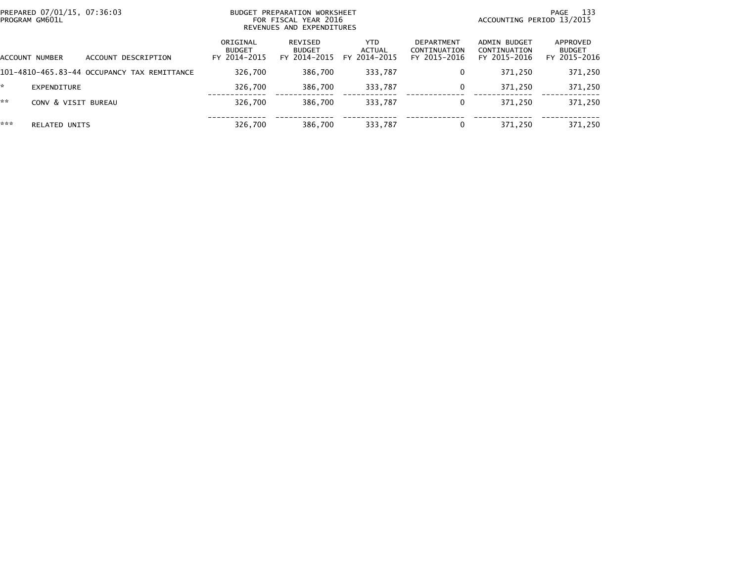| PROGRAM GM601L | PREPARED 07/01/15, 07:36:03 |                                             |                                           | BUDGET PREPARATION WORKSHEET<br>FOR FISCAL YEAR 2016<br>REVENUES AND EXPENDITURES | 133<br>PAGE<br>ACCOUNTING PERIOD 13/2015 |                                            |                                              |                                           |
|----------------|-----------------------------|---------------------------------------------|-------------------------------------------|-----------------------------------------------------------------------------------|------------------------------------------|--------------------------------------------|----------------------------------------------|-------------------------------------------|
| ACCOUNT NUMBER |                             | ACCOUNT DESCRIPTION                         | ORIGINAL<br><b>BUDGET</b><br>FY 2014-2015 | REVISED<br><b>BUDGET</b><br>FY 2014-2015                                          | YTD.<br>ACTUAL<br>FY 2014-2015           | DEPARTMENT<br>CONTINUATION<br>FY 2015-2016 | ADMIN BUDGET<br>CONTINUATION<br>FY 2015-2016 | APPROVED<br><b>BUDGET</b><br>FY 2015-2016 |
|                |                             | 101-4810-465.83-44 OCCUPANCY TAX REMITTANCE | 326,700                                   | 386,700                                                                           | 333,787                                  | 0                                          | 371,250                                      | 371,250                                   |
|                | EXPENDITURE                 |                                             | 326.700                                   | 386,700                                                                           | 333,787                                  | $\Omega$                                   | 371.250                                      | 371,250                                   |
| **             | CONV & VISIT BUREAU         |                                             | 326,700                                   | 386,700                                                                           | 333,787                                  | 0                                          | 371,250                                      | 371,250                                   |
| ***            | <b>RELATED UNITS</b>        |                                             | 326,700                                   | 386,700                                                                           | 333,787                                  | 0                                          | 371.250                                      | 371,250                                   |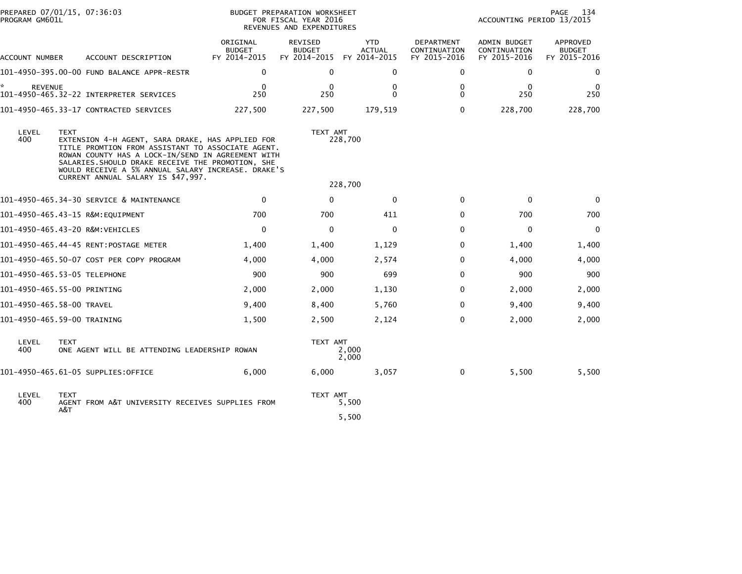|                              | PREPARED 07/01/15, 07:36:03<br>PROGRAM GM601L |                                                                                                                                                                                                                                                                                                             |                                           | BUDGET PREPARATION WORKSHEET<br>FOR FISCAL YEAR 2016<br>REVENUES AND EXPENDITURES | 134<br>PAGE<br>ACCOUNTING PERIOD 13/2015    |                                            |                                              |                                           |
|------------------------------|-----------------------------------------------|-------------------------------------------------------------------------------------------------------------------------------------------------------------------------------------------------------------------------------------------------------------------------------------------------------------|-------------------------------------------|-----------------------------------------------------------------------------------|---------------------------------------------|--------------------------------------------|----------------------------------------------|-------------------------------------------|
| ACCOUNT NUMBER               |                                               | ACCOUNT DESCRIPTION                                                                                                                                                                                                                                                                                         | ORIGINAL<br><b>BUDGET</b><br>FY 2014-2015 | REVISED<br><b>BUDGET</b><br>FY 2014-2015                                          | <b>YTD</b><br><b>ACTUAL</b><br>FY 2014-2015 | DEPARTMENT<br>CONTINUATION<br>FY 2015-2016 | ADMIN BUDGET<br>CONTINUATION<br>FY 2015-2016 | APPROVED<br><b>BUDGET</b><br>FY 2015-2016 |
|                              |                                               | 101-4950-395.00-00 FUND BALANCE APPR-RESTR                                                                                                                                                                                                                                                                  | 0                                         | $\Omega$                                                                          | 0                                           | 0                                          | 0                                            | $\mathbf{0}$                              |
| <b>REVENUE</b>               |                                               | 101-4950-465.32-22 INTERPRETER SERVICES                                                                                                                                                                                                                                                                     | $\Omega$<br>250                           | $\bf{0}$<br>250                                                                   | 0<br>$\Omega$                               | 0<br>$\Omega$                              | $\Omega$<br>250                              | $\Omega$<br>250                           |
|                              |                                               | 101-4950-465.33-17 CONTRACTED SERVICES                                                                                                                                                                                                                                                                      | 227,500                                   | 227,500                                                                           | 179,519                                     | $\Omega$                                   | 228,700                                      | 228,700                                   |
| LEVEL<br>400                 | <b>TEXT</b>                                   | EXTENSION 4-H AGENT, SARA DRAKE, HAS APPLIED FOR<br>TITLE PROMTION FROM ASSISTANT TO ASSOCIATE AGENT.<br>ROWAN COUNTY HAS A LOCK-IN/SEND IN AGREEMENT WITH<br>SALARIES. SHOULD DRAKE RECEIVE THE PROMOTION, SHE<br>WOULD RECEIVE A 5% ANNUAL SALARY INCREASE. DRAKE'S<br>CURRENT ANNUAL SALARY IS \$47,997. |                                           | TEXT AMT                                                                          | 228,700<br>228,700                          |                                            |                                              |                                           |
|                              |                                               | 101-4950-465.34-30 SERVICE & MAINTENANCE                                                                                                                                                                                                                                                                    | $\Omega$                                  | $\mathbf{0}$                                                                      | $\mathbf{0}$                                | $\mathbf{0}$                               | $\mathbf{0}$                                 | $\Omega$                                  |
|                              |                                               |                                                                                                                                                                                                                                                                                                             | 700                                       | 700                                                                               | 411                                         | $\Omega$                                   | 700                                          | 700                                       |
|                              |                                               | 101-4950-465.43-20 R&M:VEHICLES                                                                                                                                                                                                                                                                             | $\mathbf 0$                               | $\mathbf{0}$                                                                      | 0                                           | 0                                          | 0                                            | $\mathbf 0$                               |
|                              |                                               |                                                                                                                                                                                                                                                                                                             | 1,400                                     | 1,400                                                                             | 1,129                                       | $\Omega$                                   | 1,400                                        | 1,400                                     |
|                              |                                               | 101-4950-465.50-07 COST PER COPY PROGRAM                                                                                                                                                                                                                                                                    | 4,000                                     | 4,000                                                                             | 2,574                                       | $\Omega$                                   | 4,000                                        | 4,000                                     |
| 101-4950-465.53-05 TELEPHONE |                                               |                                                                                                                                                                                                                                                                                                             | 900                                       | 900                                                                               | 699                                         | 0                                          | 900                                          | 900                                       |
| 101-4950-465.55-00 PRINTING  |                                               |                                                                                                                                                                                                                                                                                                             | 2,000                                     | 2,000                                                                             | 1,130                                       | 0                                          | 2,000                                        | 2,000                                     |
| 101-4950-465.58-00 TRAVEL    |                                               |                                                                                                                                                                                                                                                                                                             | 9,400                                     | 8,400                                                                             | 5,760                                       | 0                                          | 9,400                                        | 9,400                                     |
| 101-4950-465.59-00 TRAINING  |                                               |                                                                                                                                                                                                                                                                                                             | 1,500                                     | 2,500                                                                             | 2,124                                       | 0                                          | 2,000                                        | 2,000                                     |
| LEVEL<br>400                 | <b>TEXT</b>                                   | ONE AGENT WILL BE ATTENDING LEADERSHIP ROWAN                                                                                                                                                                                                                                                                |                                           | TEXT AMT                                                                          | 2,000<br>2,000                              |                                            |                                              |                                           |
|                              |                                               | 101-4950-465.61-05 SUPPLIES:OFFICE                                                                                                                                                                                                                                                                          | 6.000                                     | 6,000                                                                             | 3,057                                       | 0                                          | 5,500                                        | 5,500                                     |
| LEVEL<br>400                 | <b>TEXT</b><br>A&T                            | AGENT FROM A&T UNIVERSITY RECEIVES SUPPLIES FROM                                                                                                                                                                                                                                                            |                                           | TEXT AMT                                                                          | 5,500<br>5,500                              |                                            |                                              |                                           |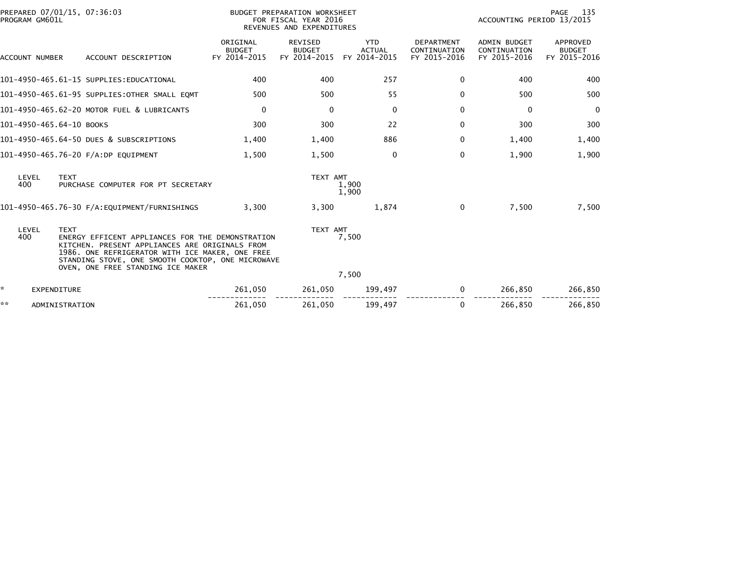| PREPARED 07/01/15, 07:36:03<br>PROGRAM GM601L |                                                                                                                                                                                                                                                 |                                           | BUDGET PREPARATION WORKSHEET<br>FOR FISCAL YEAR 2016<br>REVENUES AND EXPENDITURES | 135<br>PAGE<br>ACCOUNTING PERIOD 13/2015    |                                                   |                                                     |                                           |
|-----------------------------------------------|-------------------------------------------------------------------------------------------------------------------------------------------------------------------------------------------------------------------------------------------------|-------------------------------------------|-----------------------------------------------------------------------------------|---------------------------------------------|---------------------------------------------------|-----------------------------------------------------|-------------------------------------------|
| <b>ACCOUNT NUMBER</b>                         | ACCOUNT DESCRIPTION                                                                                                                                                                                                                             | ORIGINAL<br><b>BUDGET</b><br>FY 2014-2015 | REVISED<br><b>BUDGET</b><br>FY 2014-2015                                          | <b>YTD</b><br><b>ACTUAL</b><br>FY 2014-2015 | <b>DEPARTMENT</b><br>CONTINUATION<br>FY 2015-2016 | <b>ADMIN BUDGET</b><br>CONTINUATION<br>FY 2015-2016 | APPROVED<br><b>BUDGET</b><br>FY 2015-2016 |
|                                               | 101–4950–465.61–15 SUPPLIES:EDUCATIONAL                                                                                                                                                                                                         | 400                                       | 400                                                                               | 257                                         | 0                                                 | 400                                                 | 400                                       |
|                                               | 101-4950-465.61-95 SUPPLIES:OTHER SMALL EQMT                                                                                                                                                                                                    | 500                                       | 500                                                                               | 55                                          | 0                                                 | 500                                                 | 500                                       |
|                                               | 101-4950-465.62-20 MOTOR FUEL & LUBRICANTS                                                                                                                                                                                                      | $\mathbf 0$                               | $\Omega$                                                                          | $\Omega$                                    | 0                                                 | 0                                                   | $\Omega$                                  |
| 101-4950-465.64-10 BOOKS                      |                                                                                                                                                                                                                                                 | 300                                       | 300                                                                               | 22                                          | 0                                                 | 300                                                 | 300                                       |
|                                               | 101-4950-465.64-50 DUES & SUBSCRIPTIONS                                                                                                                                                                                                         | 1,400                                     | 1,400                                                                             | 886                                         | 0                                                 | 1,400                                               | 1,400                                     |
|                                               | 101-4950-465.76-20 F/A:DP EQUIPMENT                                                                                                                                                                                                             | 1.500                                     | 1,500                                                                             | $\Omega$                                    | 0                                                 | 1,900                                               | 1,900                                     |
| LEVEL<br><b>TEXT</b><br>400                   | PURCHASE COMPUTER FOR PT SECRETARY                                                                                                                                                                                                              |                                           | TEXT AMT                                                                          | 1,900<br>1,900                              |                                                   |                                                     |                                           |
|                                               | 101-4950-465.76-30 F/A:EQUIPMENT/FURNISHINGS                                                                                                                                                                                                    | 3,300                                     | 3,300                                                                             | 1,874                                       | $\mathbf{0}$                                      | 7,500                                               | 7,500                                     |
| LEVEL<br><b>TEXT</b><br>400                   | ENERGY EFFICENT APPLIANCES FOR THE DEMONSTRATION<br>KITCHEN. PRESENT APPLIANCES ARE ORIGINALS FROM<br>1986. ONE REFRIGERATOR WITH ICE MAKER, ONE FREE<br>STANDING STOVE, ONE SMOOTH COOKTOP, ONE MICROWAVE<br>OVEN, ONE FREE STANDING ICE MAKER |                                           | TEXT AMT                                                                          | 7,500<br>7,500                              |                                                   |                                                     |                                           |
| ×.<br><b>EXPENDITURE</b>                      |                                                                                                                                                                                                                                                 | 261,050                                   | 261,050                                                                           | 199,497                                     | 0                                                 | 266,850                                             | 266,850                                   |
| **<br>ADMINISTRATION                          |                                                                                                                                                                                                                                                 | 261,050                                   | 261,050                                                                           | 199,497                                     | 0                                                 | 266,850                                             | 266,850                                   |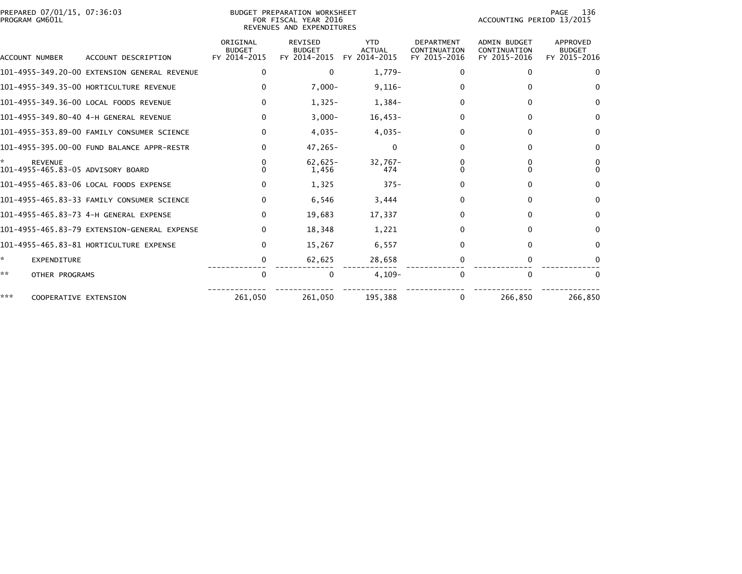| PROGRAM GM601L | PREPARED 07/01/15, 07:36:03                         |                                           | BUDGET PREPARATION WORKSHEET<br>FOR FISCAL YEAR 2016<br>REVENUES AND EXPENDITURES | ACCOUNTING PERIOD 13/2015                   | 136<br>PAGE                                       |                                                     |                                           |
|----------------|-----------------------------------------------------|-------------------------------------------|-----------------------------------------------------------------------------------|---------------------------------------------|---------------------------------------------------|-----------------------------------------------------|-------------------------------------------|
| ACCOUNT NUMBER | ACCOUNT DESCRIPTION                                 | ORIGINAL<br><b>BUDGET</b><br>FY 2014-2015 | REVISED<br><b>BUDGET</b><br>FY 2014-2015                                          | <b>YTD</b><br><b>ACTUAL</b><br>FY 2014-2015 | <b>DEPARTMENT</b><br>CONTINUATION<br>FY 2015-2016 | <b>ADMIN BUDGET</b><br>CONTINUATION<br>FY 2015-2016 | APPROVED<br><b>BUDGET</b><br>FY 2015-2016 |
|                | 101-4955-349.20-00 EXTENSION GENERAL REVENUE        | 0                                         | $\Omega$                                                                          | $1,779-$                                    | 0                                                 | 0                                                   | $\Omega$                                  |
|                | 101-4955-349.35-00 HORTICULTURE REVENUE             | 0                                         | $7,000 -$                                                                         | $9,116-$                                    |                                                   | $\Omega$                                            | $\Omega$                                  |
|                | 101-4955-349.36-00 LOCAL FOODS REVENUE              | $\Omega$                                  | $1,325-$                                                                          | 1,384-                                      | 0                                                 | $\Omega$                                            | $\Omega$                                  |
|                | 101-4955-349.80-40 4-H GENERAL REVENUE              | 0                                         | $3,000-$                                                                          | $16,453-$                                   | 0                                                 | 0                                                   | $\Omega$                                  |
|                | 101-4955-353.89-00 FAMILY CONSUMER SCIENCE          | $\Omega$                                  | $4.035 -$                                                                         | $4,035-$                                    | 0                                                 | $\Omega$                                            | $\Omega$                                  |
|                | 101-4955-395.00-00 FUND BALANCE APPR-RESTR          | 0                                         | $47,265 -$                                                                        | 0                                           | 0                                                 | $\Omega$                                            | 0                                         |
| ÷.             | <b>REVENUE</b><br>101-4955-465.83-05 ADVISORY BOARD | 0                                         | $62,625-$<br>1,456                                                                | $32.767 -$<br>474                           |                                                   | 0<br><sup>0</sup>                                   | 0<br>$\Omega$                             |
|                | 101-4955-465.83-06 LOCAL FOODS EXPENSE              | 0                                         | 1,325                                                                             | $375 -$                                     |                                                   | 0                                                   | $\Omega$                                  |
|                | 101–4955–465.83–33 FAMILY CONSUMER SCIENCE          | $\mathbf{0}$                              | 6,546                                                                             | 3,444                                       | 0                                                 | $\mathbf{0}$                                        | $\Omega$                                  |
|                |                                                     | $\mathbf{0}$                              | 19,683                                                                            | 17,337                                      | 0                                                 | $\Omega$                                            | $\Omega$                                  |
|                | 101-4955-465.83-79 EXTENSION-GENERAL EXPENSE        | 0                                         | 18,348                                                                            | 1,221                                       | 0                                                 | $\Omega$                                            | $\Omega$                                  |
|                | 101-4955-465.83-81 HORTICULTURE EXPENSE             | $\Omega$                                  | 15,267                                                                            | 6,557                                       | 0                                                 | $\Omega$                                            | $\Omega$                                  |
| ×.             | <b>EXPENDITURE</b>                                  | 0                                         | 62,625                                                                            | 28,658                                      | 0                                                 | 0                                                   | $\Omega$                                  |
| **             | OTHER PROGRAMS                                      | $\mathbf 0$                               | 0                                                                                 | $4,109-$                                    | $\Omega$                                          | $\mathbf{0}$                                        | $\Omega$                                  |
| ***            | COOPERATIVE EXTENSION                               | 261,050                                   | 261,050                                                                           | 195,388                                     | 0                                                 | 266,850                                             | 266,850                                   |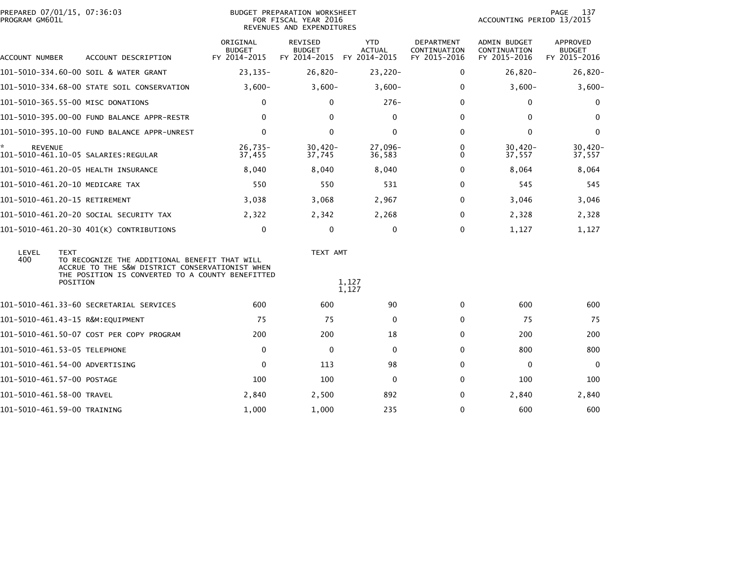| PREPARED 07/01/15, 07:36:03<br>PROGRAM GM601L |                                                                                                                                                                  |                                           | BUDGET PREPARATION WORKSHEET<br>FOR FISCAL YEAR 2016<br>REVENUES AND EXPENDITURES |                                             |                                                   | ACCOUNTING PERIOD 13/2015                           | 137<br>PAGE                               |
|-----------------------------------------------|------------------------------------------------------------------------------------------------------------------------------------------------------------------|-------------------------------------------|-----------------------------------------------------------------------------------|---------------------------------------------|---------------------------------------------------|-----------------------------------------------------|-------------------------------------------|
| ACCOUNT NUMBER                                | ACCOUNT DESCRIPTION                                                                                                                                              | ORIGINAL<br><b>BUDGET</b><br>FY 2014-2015 | <b>REVISED</b><br><b>BUDGET</b><br>FY 2014-2015                                   | <b>YTD</b><br><b>ACTUAL</b><br>FY 2014-2015 | <b>DEPARTMENT</b><br>CONTINUATION<br>FY 2015-2016 | <b>ADMIN BUDGET</b><br>CONTINUATION<br>FY 2015-2016 | APPROVED<br><b>BUDGET</b><br>FY 2015-2016 |
|                                               | 101-5010-334.60-00 SOIL & WATER GRANT                                                                                                                            | $23, 135 -$                               | $26,820-$                                                                         | 23,220-                                     | 0                                                 | $26,820-$                                           | $26,820-$                                 |
|                                               | 101-5010-334.68-00 STATE SOIL CONSERVATION                                                                                                                       | $3,600-$                                  | $3,600-$                                                                          | $3,600-$                                    | 0                                                 | $3,600-$                                            | $3,600-$                                  |
| 101-5010-365.55-00 MISC DONATIONS             |                                                                                                                                                                  | 0                                         | $\mathbf{0}$                                                                      | $276-$                                      | $\Omega$                                          | $\mathbf{0}$                                        | 0                                         |
|                                               | 101-5010-395.00-00 FUND BALANCE APPR-RESTR                                                                                                                       | $\Omega$                                  | $\Omega$                                                                          | 0                                           | $\Omega$                                          | $\mathbf{0}$                                        | $\mathbf{0}$                              |
|                                               | 101-5010-395.10-00 FUND BALANCE APPR-UNREST                                                                                                                      | 0                                         | $\mathbf{0}$                                                                      | $\mathbf 0$                                 | $\mathbf{0}$                                      | $\Omega$                                            | $\mathbf 0$                               |
| <b>REVENUE</b>                                |                                                                                                                                                                  | $26,735-$<br>37,455                       | $30,420 -$<br>37,745                                                              | $27.096 -$<br>36,583                        | 0<br>0                                            | $30.420 -$<br>37,557                                | $30,420 -$<br>37,557                      |
|                                               | 101-5010-461.20-05 HEALTH INSURANCE                                                                                                                              | 8,040                                     | 8,040                                                                             | 8,040                                       | $\Omega$                                          | 8,064                                               | 8,064                                     |
| 101-5010-461.20-10 MEDICARE TAX               |                                                                                                                                                                  | 550                                       | 550                                                                               | 531                                         | 0                                                 | 545                                                 | 545                                       |
| 101-5010-461.20-15 RETIREMENT                 |                                                                                                                                                                  | 3,038                                     | 3,068                                                                             | 2,967                                       | $\Omega$                                          | 3,046                                               | 3,046                                     |
|                                               | 101–5010–461.20–20 SOCIAL SECURITY TAX                                                                                                                           | 2,322                                     | 2,342                                                                             | 2,268                                       | 0                                                 | 2,328                                               | 2,328                                     |
|                                               | 101-5010-461.20-30 401(K) CONTRIBUTIONS                                                                                                                          | 0                                         | $\mathbf 0$                                                                       | $\mathbf 0$                                 | $\mathbf{0}$                                      | 1,127                                               | 1,127                                     |
| LEVEL<br><b>TEXT</b><br>400                   | TO RECOGNIZE THE ADDITIONAL BENEFIT THAT WILL<br>ACCRUE TO THE S&W DISTRICT CONSERVATIONIST WHEN<br>THE POSITION IS CONVERTED TO A COUNTY BENEFITTED<br>POSITION |                                           | TEXT AMT                                                                          | 1,127<br>1,127                              |                                                   |                                                     |                                           |
|                                               | 101-5010-461.33-60 SECRETARIAL SERVICES                                                                                                                          | 600                                       | 600                                                                               | 90                                          | $\mathbf{0}$                                      | 600                                                 | 600                                       |
| 101-5010-461.43-15 R&M:EQUIPMENT              |                                                                                                                                                                  | 75                                        | 75                                                                                | $\mathbf 0$                                 | $\Omega$                                          | 75                                                  | 75                                        |
|                                               | 101-5010-461.50-07 COST PER COPY PROGRAM                                                                                                                         | 200                                       | 200                                                                               | 18                                          | $\Omega$                                          | 200                                                 | 200                                       |
| 101-5010-461.53-05 TELEPHONE                  |                                                                                                                                                                  | 0                                         | $\mathbf 0$                                                                       | 0                                           | $\Omega$                                          | 800                                                 | 800                                       |
| 101–5010–461.54–00 ADVERTISING                |                                                                                                                                                                  | $\mathbf 0$                               | 113                                                                               | 98                                          | $\mathbf{0}$                                      | $\Omega$                                            | $\mathbf{0}$                              |
| 101-5010-461.57-00 POSTAGE                    |                                                                                                                                                                  | 100                                       | 100                                                                               | 0                                           | $\Omega$                                          | 100                                                 | 100                                       |
| 101-5010-461.58-00 TRAVEL                     |                                                                                                                                                                  | 2,840                                     | 2,500                                                                             | 892                                         | 0                                                 | 2,840                                               | 2,840                                     |
| 101-5010-461.59-00 TRAINING                   |                                                                                                                                                                  | 1,000                                     | 1,000                                                                             | 235                                         | $\Omega$                                          | 600                                                 | 600                                       |
|                                               |                                                                                                                                                                  |                                           |                                                                                   |                                             |                                                   |                                                     |                                           |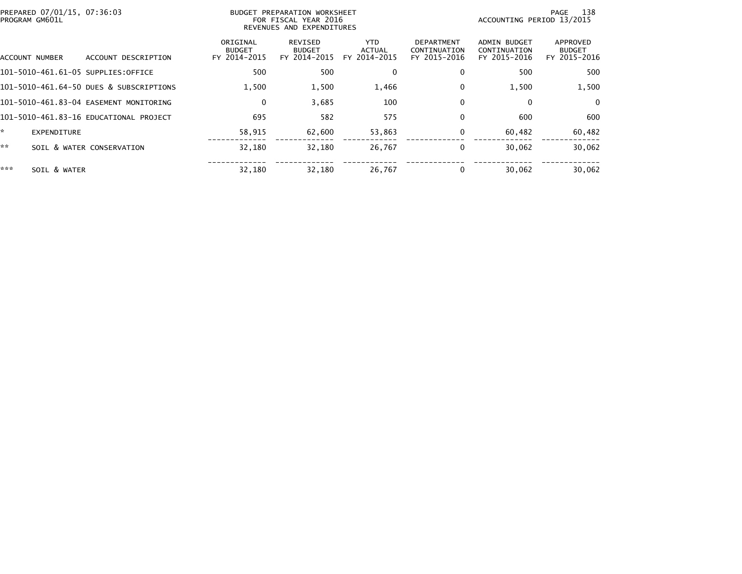| PREPARED 07/01/15, 07:36:03<br>PROGRAM GM601L |                                         |                                           | BUDGET PREPARATION WORKSHEET<br>FOR FISCAL YEAR 2016<br>REVENUES AND EXPENDITURES | 138<br>PAGE<br>ACCOUNTING PERIOD 13/2015    |                                                   |                                              |                                           |
|-----------------------------------------------|-----------------------------------------|-------------------------------------------|-----------------------------------------------------------------------------------|---------------------------------------------|---------------------------------------------------|----------------------------------------------|-------------------------------------------|
| ACCOUNT NUMBER                                | ACCOUNT DESCRIPTION                     | ORIGINAL<br><b>BUDGET</b><br>FY 2014-2015 | REVISED<br><b>BUDGET</b><br>FY 2014-2015                                          | <b>YTD</b><br><b>ACTUAL</b><br>FY 2014-2015 | <b>DEPARTMENT</b><br>CONTINUATION<br>FY 2015-2016 | ADMIN BUDGET<br>CONTINUATION<br>FY 2015-2016 | APPROVED<br><b>BUDGET</b><br>FY 2015-2016 |
| 101-5010-461.61-05 SUPPLIES:OFFICE            |                                         | 500                                       | 500                                                                               | $\mathbf{0}$                                | 0                                                 | 500                                          | 500                                       |
|                                               | 101-5010-461.64-50 DUES & SUBSCRIPTIONS | 1,500                                     | 1,500                                                                             | 1,466                                       | 0                                                 | 1,500                                        | 1,500                                     |
|                                               | 101-5010-461.83-04 EASEMENT MONITORING  | $\mathbf 0$                               | 3,685                                                                             | 100                                         | $\Omega$                                          | $\Omega$                                     | $\Omega$                                  |
|                                               | 101-5010-461.83-16 EDUCATIONAL PROJECT  | 695                                       | 582                                                                               | 575                                         | 0                                                 | 600                                          | 600                                       |
| ÷.<br><b>EXPENDITURE</b>                      |                                         | 58,915                                    | 62,600                                                                            | 53,863                                      | 0                                                 | 60,482                                       | 60,482                                    |
| **                                            | SOIL & WATER CONSERVATION               | 32,180                                    | 32,180                                                                            | 26,767                                      | 0                                                 | 30,062                                       | 30,062                                    |
| ***<br>SOIL & WATER                           |                                         | 32,180                                    | 32,180                                                                            | 26,767                                      | 0                                                 | 30,062                                       | 30,062                                    |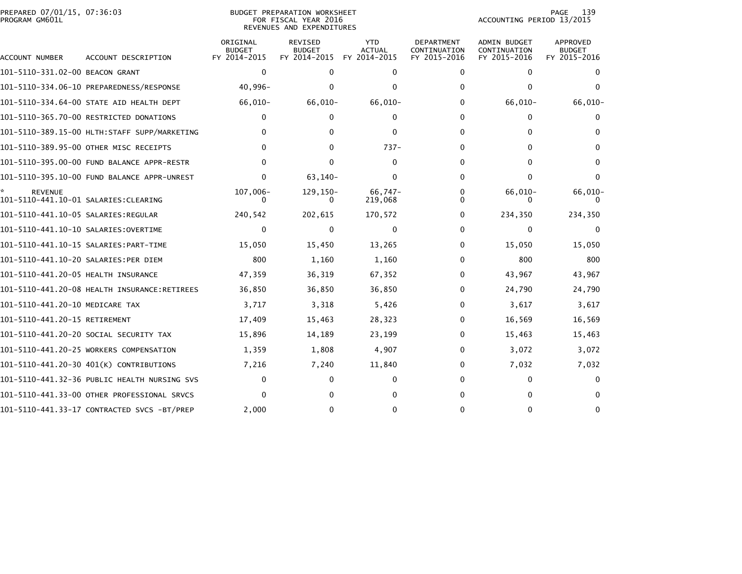| PREPARED 07/01/15, 07:36:03<br>PROGRAM GM601L |                                              |                                           | <b>BUDGET PREPARATION WORKSHEET</b><br>FOR FISCAL YEAR 2016<br>REVENUES AND EXPENDITURES |                                             |                                                   | ACCOUNTING PERIOD 13/2015                           | 139<br>PAGE                                      |
|-----------------------------------------------|----------------------------------------------|-------------------------------------------|------------------------------------------------------------------------------------------|---------------------------------------------|---------------------------------------------------|-----------------------------------------------------|--------------------------------------------------|
| ACCOUNT NUMBER                                | ACCOUNT DESCRIPTION                          | ORIGINAL<br><b>BUDGET</b><br>FY 2014-2015 | <b>REVISED</b><br><b>BUDGET</b><br>FY 2014-2015                                          | <b>YTD</b><br><b>ACTUAL</b><br>FY 2014-2015 | <b>DEPARTMENT</b><br>CONTINUATION<br>FY 2015-2016 | <b>ADMIN BUDGET</b><br>CONTINUATION<br>FY 2015-2016 | <b>APPROVED</b><br><b>BUDGET</b><br>FY 2015-2016 |
| 101-5110-331.02-00 BEACON GRANT               |                                              | $\mathbf 0$                               | $\Omega$                                                                                 | 0                                           | 0                                                 | 0                                                   | $\Omega$                                         |
|                                               |                                              | $40,996-$                                 | 0                                                                                        | $\Omega$                                    | 0                                                 | $\mathbf{0}$                                        | $\Omega$                                         |
|                                               | 101-5110-334.64-00 STATE AID HEALTH DEPT     | 66,010-                                   | 66,010-                                                                                  | $66,010-$                                   | 0                                                 | 66,010-                                             | 66,010-                                          |
|                                               | 101-5110-365.70-00 RESTRICTED DONATIONS      | 0                                         | 0                                                                                        | $\Omega$                                    | 0                                                 | 0                                                   | 0                                                |
|                                               |                                              | 0                                         | 0                                                                                        | 0                                           | 0                                                 | $\mathbf{0}$                                        | 0                                                |
|                                               | 101-5110-389.95-00 OTHER MISC RECEIPTS       | 0                                         | $\Omega$                                                                                 | $737-$                                      | 0                                                 | $\Omega$                                            | $\Omega$                                         |
|                                               | 101-5110-395.00-00 FUND BALANCE APPR-RESTR   | $\Omega$                                  | $\Omega$                                                                                 | $\mathbf 0$                                 | $\Omega$                                          | $\mathbf{0}$                                        | $\Omega$                                         |
|                                               |                                              | 0                                         | 63,140-                                                                                  | $\Omega$                                    | 0                                                 | $\Omega$                                            | $\Omega$                                         |
| <b>REVENUE</b>                                |                                              | 107,006-                                  | 129,150-<br>0                                                                            | $66,747-$<br>219,068                        | $\Omega$<br>0                                     | 66,010-                                             | 66,010-                                          |
|                                               |                                              | 240,542                                   | 202,615                                                                                  | 170,572                                     | 0                                                 | 234,350                                             | 234,350                                          |
|                                               |                                              | $\mathbf{0}$                              | $\mathbf{0}$                                                                             | $\mathbf{0}$                                | 0                                                 | $\mathbf{0}$                                        | $\mathbf{0}$                                     |
|                                               |                                              | 15,050                                    | 15,450                                                                                   | 13,265                                      | 0                                                 | 15,050                                              | 15,050                                           |
| 101-5110-441.10-20 SALARIES:PER DIEM          |                                              | 800                                       | 1,160                                                                                    | 1,160                                       | 0                                                 | 800                                                 | 800                                              |
|                                               |                                              | 47,359                                    | 36,319                                                                                   | 67,352                                      | 0                                                 | 43,967                                              | 43,967                                           |
|                                               | 101-5110-441.20-08 HEALTH INSURANCE:RETIREES | 36,850                                    | 36,850                                                                                   | 36,850                                      | 0                                                 | 24,790                                              | 24,790                                           |
| 101-5110-441.20-10 MEDICARE TAX               |                                              | 3,717                                     | 3,318                                                                                    | 5,426                                       | 0                                                 | 3.617                                               | 3,617                                            |
| 101-5110-441.20-15 RETIREMENT                 |                                              | 17,409                                    | 15,463                                                                                   | 28,323                                      | 0                                                 | 16,569                                              | 16,569                                           |
|                                               | 101–5110–441.20–20 SOCIAL SECURITY TAX       | 15,896                                    | 14,189                                                                                   | 23,199                                      | 0                                                 | 15,463                                              | 15,463                                           |
|                                               | 101-5110-441.20-25 WORKERS COMPENSATION      | 1,359                                     | 1,808                                                                                    | 4,907                                       | 0                                                 | 3,072                                               | 3,072                                            |
|                                               | 101-5110-441.20-30 401(K) CONTRIBUTIONS      | 7,216                                     | 7,240                                                                                    | 11,840                                      | 0                                                 | 7,032                                               | 7,032                                            |
|                                               |                                              | 0                                         | $\Omega$                                                                                 | 0                                           | 0                                                 | $\mathbf{0}$                                        | 0                                                |
|                                               | 101–5110–441.33–00 OTHER PROFESSIONAL SRVCS  | 0                                         | 0                                                                                        | 0                                           | 0                                                 | 0                                                   | 0                                                |
|                                               | 101-5110-441.33-17 CONTRACTED SVCS -BT/PREP  | 2,000                                     | 0                                                                                        | 0                                           |                                                   | $\Omega$                                            | $\Omega$                                         |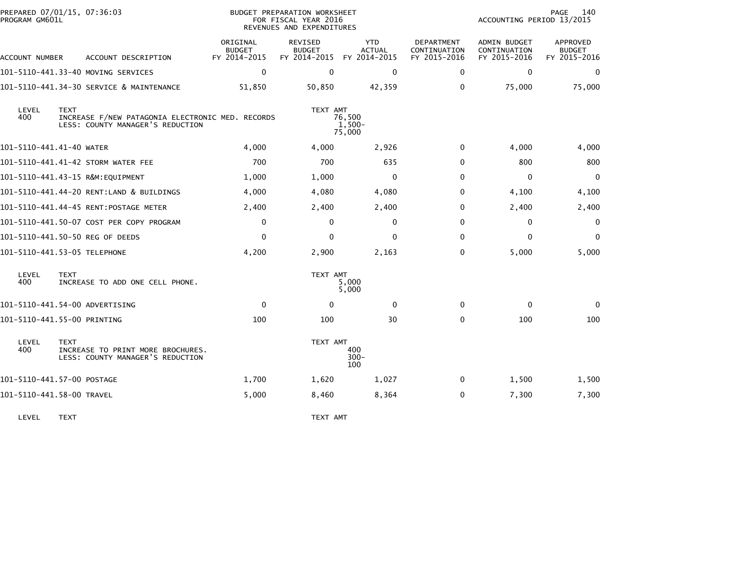| PREPARED 07/01/15, 07:36:03<br>PROGRAM GM601L |             |                                                                                      |                                           | BUDGET PREPARATION WORKSHEET<br>FOR FISCAL YEAR 2016<br>REVENUES AND EXPENDITURES |                                             |                                                   | ACCOUNTING PERIOD 13/2015                           | 140<br>PAGE                                      |
|-----------------------------------------------|-------------|--------------------------------------------------------------------------------------|-------------------------------------------|-----------------------------------------------------------------------------------|---------------------------------------------|---------------------------------------------------|-----------------------------------------------------|--------------------------------------------------|
| ACCOUNT NUMBER                                |             | ACCOUNT DESCRIPTION                                                                  | ORIGINAL<br><b>BUDGET</b><br>FY 2014-2015 | <b>REVISED</b><br><b>BUDGET</b><br>FY 2014-2015                                   | <b>YTD</b><br><b>ACTUAL</b><br>FY 2014-2015 | <b>DEPARTMENT</b><br>CONTINUATION<br>FY 2015-2016 | <b>ADMIN BUDGET</b><br>CONTINUATION<br>FY 2015-2016 | <b>APPROVED</b><br><b>BUDGET</b><br>FY 2015-2016 |
|                                               |             | 101–5110–441.33–40 MOVING SERVICES                                                   | $\Omega$                                  | $\Omega$                                                                          | $\mathbf{0}$                                | 0                                                 | $\mathbf{0}$                                        | $\Omega$                                         |
|                                               |             | 101-5110-441.34-30 SERVICE & MAINTENANCE                                             | 51,850                                    | 50,850                                                                            | 42,359                                      | 0                                                 | 75,000                                              | 75,000                                           |
| LEVEL<br>400                                  | <b>TEXT</b> | INCREASE F/NEW PATAGONIA ELECTRONIC MED. RECORDS<br>LESS: COUNTY MANAGER'S REDUCTION |                                           | TEXT AMT                                                                          | 76,500<br>1,500-<br>75,000                  |                                                   |                                                     |                                                  |
| 101-5110-441.41-40 WATER                      |             |                                                                                      | 4,000                                     | 4,000                                                                             | 2,926                                       | 0                                                 | 4,000                                               | 4,000                                            |
|                                               |             | 101-5110-441.41-42 STORM WATER FEE                                                   | 700                                       | 700                                                                               | 635                                         | $\Omega$                                          | 800                                                 | 800                                              |
|                                               |             | 101-5110-441.43-15 R&M:EQUIPMENT                                                     | 1,000                                     | 1,000                                                                             | $\mathbf{0}$                                | $\Omega$                                          | $\mathbf 0$                                         | $\Omega$                                         |
|                                               |             | 101-5110-441.44-20 RENT:LAND & BUILDINGS                                             | 4,000                                     | 4,080                                                                             | 4,080                                       | 0                                                 | 4,100                                               | 4,100                                            |
|                                               |             | 101-5110-441.44-45 RENT:POSTAGE METER                                                | 2,400                                     | 2,400                                                                             | 2,400                                       | $\Omega$                                          | 2,400                                               | 2,400                                            |
|                                               |             | 101-5110-441.50-07 COST PER COPY PROGRAM                                             | $\mathbf 0$                               | $\mathbf{0}$                                                                      | $\mathbf{0}$                                | $\Omega$                                          | $\mathbf 0$                                         | $\mathbf 0$                                      |
|                                               |             | 101-5110-441.50-50 REG OF DEEDS                                                      | $\mathbf{0}$                              | $\mathbf{0}$                                                                      | $\mathbf{0}$                                | $\Omega$                                          | $\mathbf{0}$                                        | $\Omega$                                         |
| 101-5110-441.53-05 TELEPHONE                  |             |                                                                                      | 4,200                                     | 2,900                                                                             | 2,163                                       | $\Omega$                                          | 5,000                                               | 5,000                                            |
| LEVEL<br>400                                  | <b>TEXT</b> | INCREASE TO ADD ONE CELL PHONE.                                                      |                                           | TEXT AMT                                                                          | 5,000<br>5,000                              |                                                   |                                                     |                                                  |
| 101-5110-441.54-00 ADVERTISING                |             |                                                                                      | $\mathbf 0$                               | $\Omega$                                                                          | $\mathbf{0}$                                | 0                                                 | 0                                                   | $\Omega$                                         |
| 101-5110-441.55-00 PRINTING                   |             |                                                                                      | 100                                       | 100                                                                               | 30                                          | 0                                                 | 100                                                 | 100                                              |
| LEVEL<br>400                                  | <b>TEXT</b> | INCREASE TO PRINT MORE BROCHURES.<br>LESS: COUNTY MANAGER'S REDUCTION                |                                           | TEXT AMT                                                                          | 400<br>$300 -$<br>100                       |                                                   |                                                     |                                                  |
| 101-5110-441.57-00 POSTAGE                    |             |                                                                                      | 1,700                                     | 1,620                                                                             | 1,027                                       | 0                                                 | 1,500                                               | 1,500                                            |
| 101-5110-441.58-00 TRAVEL                     |             |                                                                                      | 5,000                                     | 8,460                                                                             | 8,364                                       | 0                                                 | 7,300                                               | 7,300                                            |
|                                               |             |                                                                                      |                                           |                                                                                   |                                             |                                                   |                                                     |                                                  |

LEVEL TEXT TEXT AMT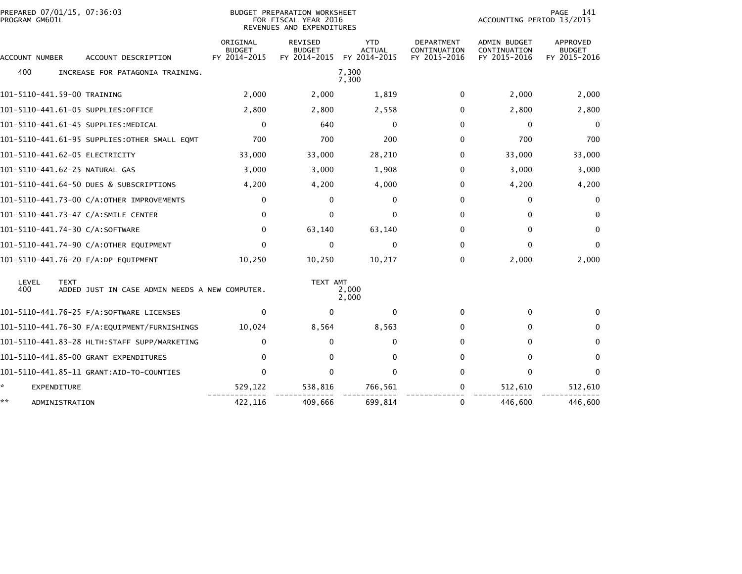| PREPARED 07/01/15, 07:36:03<br>PROGRAM GM601L |                                                               | <b>BUDGET PREPARATION WORKSHEET</b><br>FOR FISCAL YEAR 2016<br>REVENUES AND EXPENDITURES |                                                 |                                             | PAGE<br>141<br>ACCOUNTING PERIOD 13/2015   |                                              |                                           |
|-----------------------------------------------|---------------------------------------------------------------|------------------------------------------------------------------------------------------|-------------------------------------------------|---------------------------------------------|--------------------------------------------|----------------------------------------------|-------------------------------------------|
| ACCOUNT NUMBER                                | ACCOUNT DESCRIPTION                                           | ORIGINAL<br><b>BUDGET</b><br>FY 2014-2015                                                | <b>REVISED</b><br><b>BUDGET</b><br>FY 2014-2015 | <b>YTD</b><br><b>ACTUAL</b><br>FY 2014-2015 | DEPARTMENT<br>CONTINUATION<br>FY 2015-2016 | ADMIN BUDGET<br>CONTINUATION<br>FY 2015-2016 | APPROVED<br><b>BUDGET</b><br>FY 2015-2016 |
| 400                                           | INCREASE FOR PATAGONIA TRAINING.                              |                                                                                          |                                                 | 7,300<br>7,300                              |                                            |                                              |                                           |
| 101-5110-441.59-00 TRAINING                   |                                                               | 2,000                                                                                    | 2,000                                           | 1,819                                       | 0                                          | 2,000                                        | 2,000                                     |
|                                               | 101-5110-441.61-05 SUPPLIES:OFFICE                            | 2,800                                                                                    | 2,800                                           | 2,558                                       | $\mathbf{0}$                               | 2,800                                        | 2,800                                     |
|                                               | 101-5110-441.61-45 SUPPLIES:MEDICAL                           | $\mathbf 0$                                                                              | 640                                             | $\Omega$                                    | $\mathbf{0}$                               | $\mathbf{0}$                                 | $\Omega$                                  |
|                                               | 101-5110-441.61-95 SUPPLIES:OTHER SMALL EQMT                  | 700                                                                                      | 700                                             | 200                                         | $\mathbf{0}$                               | 700                                          | 700                                       |
|                                               | 101-5110-441.62-05 ELECTRICITY                                | 33,000                                                                                   | 33,000                                          | 28,210                                      | $\mathbf{0}$                               | 33,000                                       | 33,000                                    |
|                                               | 101-5110-441.62-25 NATURAL GAS                                | 3,000                                                                                    | 3,000                                           | 1,908                                       | 0                                          | 3,000                                        | 3,000                                     |
|                                               | 101-5110-441.64-50 DUES & SUBSCRIPTIONS                       | 4,200                                                                                    | 4,200                                           | 4,000                                       | $\mathbf{0}$                               | 4,200                                        | 4,200                                     |
|                                               | 101-5110-441.73-00 C/A:OTHER IMPROVEMENTS                     | 0                                                                                        | $\Omega$                                        | $\Omega$                                    | $\Omega$                                   | 0                                            | $\Omega$                                  |
|                                               | 101-5110-441.73-47 C/A:SMILE CENTER                           | 0                                                                                        | $\Omega$                                        | O                                           | 0                                          | $\mathbf{0}$                                 | $\Omega$                                  |
|                                               | 101-5110-441.74-30 C/A:SOFTWARE                               | 0                                                                                        | 63,140                                          | 63,140                                      | 0                                          | $\mathbf{0}$                                 | $\bf{0}$                                  |
|                                               | 101-5110-441.74-90 C/A:OTHER EQUIPMENT                        | $\mathbf{0}$                                                                             | $\Omega$                                        | $\Omega$                                    | $\mathbf{0}$                               | $\Omega$                                     | $\Omega$                                  |
|                                               | 101-5110-441.76-20 F/A:DP EQUIPMENT                           | 10,250                                                                                   | 10,250                                          | 10,217                                      | 0                                          | 2,000                                        | 2,000                                     |
| LEVEL<br>400                                  | <b>TEXT</b><br>ADDED JUST IN CASE ADMIN NEEDS A NEW COMPUTER. |                                                                                          | TEXT AMT                                        | 2,000<br>2,000                              |                                            |                                              |                                           |
|                                               |                                                               | $\mathbf{0}$                                                                             | $\Omega$                                        | $\Omega$                                    | 0                                          | 0                                            | $\Omega$                                  |
|                                               | 101-5110-441.76-30 F/A:EQUIPMENT/FURNISHINGS                  | 10,024                                                                                   | 8,564                                           | 8,563                                       | 0                                          | 0                                            | $\bf{0}$                                  |
|                                               |                                                               | $\mathbf{0}$                                                                             | 0                                               | 0                                           | $\mathbf{0}$                               | $\Omega$                                     | $\mathbf{0}$                              |
|                                               | 101-5110-441.85-00 GRANT EXPENDITURES                         | $\Omega$                                                                                 | $\Omega$                                        | $\Omega$                                    | $\Omega$                                   | $\Omega$                                     | $\Omega$                                  |
|                                               |                                                               | $\mathbf{0}$                                                                             | $\Omega$                                        | $\Omega$                                    | $\Omega$                                   | $\mathbf{0}$                                 | $\Omega$                                  |
| *<br>EXPENDITURE                              |                                                               | 529,122                                                                                  | 538,816                                         | 766,561                                     | 0                                          | 512,610                                      | 512,610                                   |
| **                                            | ADMINISTRATION                                                | 422,116                                                                                  | 409,666                                         | 699,814                                     | 0                                          | 446,600                                      | 446,600                                   |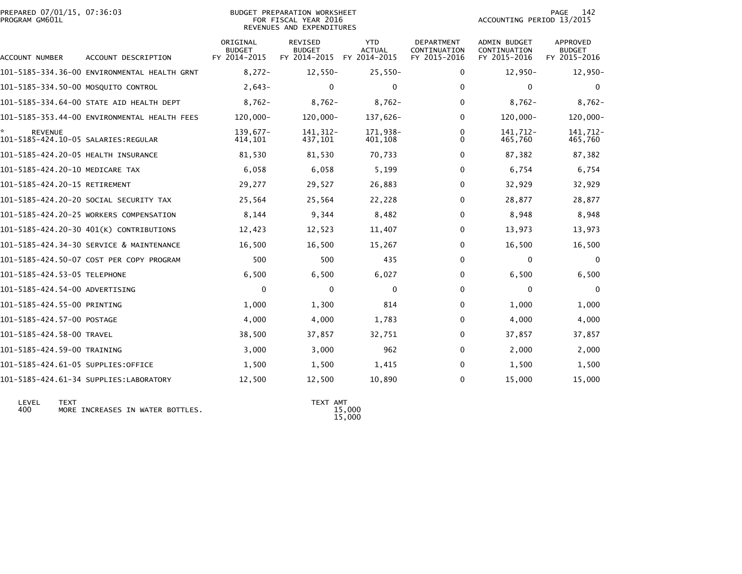|                | PREPARED 07/01/15, 07:36:03 |  |
|----------------|-----------------------------|--|
| PROGRAM GM601L |                             |  |

## PREPARED 07/01/15, 07:36:03 PREPARATION WORKSHEET PREPARATION WORKSHEET PREPARATION WORKSHEET<br>FOR FISCAL YEAR 2016 ACCOUNTING PERIOD 13/2015 REVENUES AND EXPENDITURES<br>REVENUES AND EXPENDITURES

PAGE 142<br>ACCOUNTING PERIOD 13/2015

| ACCOUNT NUMBER                                        | ACCOUNT DESCRIPTION                          | ORIGINAL<br><b>BUDGET</b><br>FY 2014-2015 | <b>REVISED</b><br><b>BUDGET</b><br>FY 2014-2015 | <b>YTD</b><br><b>ACTUAL</b><br>FY 2014-2015 | <b>DEPARTMENT</b><br>CONTINUATION<br>FY 2015-2016 | <b>ADMIN BUDGET</b><br>CONTINUATION<br>FY 2015-2016 | <b>APPROVED</b><br><b>BUDGET</b><br>FY 2015-2016 |
|-------------------------------------------------------|----------------------------------------------|-------------------------------------------|-------------------------------------------------|---------------------------------------------|---------------------------------------------------|-----------------------------------------------------|--------------------------------------------------|
|                                                       | 101-5185-334.36-00 ENVIRONMENTAL HEALTH GRNT | $8,272-$                                  | $12,550-$                                       | $25,550-$                                   | 0                                                 | $12,950-$                                           | $12,950-$                                        |
| 101-5185-334.50-00 MOSQUITO CONTROL                   |                                              | $2,643-$                                  | $\Omega$                                        | 0                                           | $\Omega$                                          | $\mathbf{0}$                                        | $\mathbf{0}$                                     |
|                                                       | 101-5185-334.64-00 STATE AID HEALTH DEPT     | $8,762-$                                  | $8,762-$                                        | $8,762-$                                    | 0                                                 | $8,762-$                                            | $8,762-$                                         |
|                                                       | 101-5185-353.44-00 ENVIRONMENTAL HEALTH FEES | 120,000-                                  | $120,000 -$                                     | 137,626-                                    | $\Omega$                                          | 120,000-                                            | 120,000-                                         |
| <b>REVENUE</b><br>101-5185-424.10-05 SALARIES:REGULAR |                                              | $139.677-$<br>414,101                     | 141, 312-<br>437,101                            | 171,938-<br>401,108                         | 0<br>0                                            | 141.712-<br>465,760                                 | 141,712-<br>465,760                              |
| 101-5185-424.20-05 HEALTH INSURANCE                   |                                              | 81,530                                    | 81,530                                          | 70,733                                      | 0                                                 | 87,382                                              | 87,382                                           |
| 101-5185-424.20-10 MEDICARE TAX                       |                                              | 6,058                                     | 6,058                                           | 5,199                                       | $\Omega$                                          | 6,754                                               | 6,754                                            |
| 101-5185-424.20-15 RETIREMENT                         |                                              | 29,277                                    | 29,527                                          | 26,883                                      | 0                                                 | 32,929                                              | 32,929                                           |
|                                                       | 101-5185-424.20-20 SOCIAL SECURITY TAX       | 25,564                                    | 25,564                                          | 22,228                                      | 0                                                 | 28,877                                              | 28,877                                           |
|                                                       | 101-5185-424.20-25 WORKERS COMPENSATION      | 8,144                                     | 9,344                                           | 8,482                                       | $\Omega$                                          | 8,948                                               | 8,948                                            |
|                                                       | 101-5185-424.20-30 401(K) CONTRIBUTIONS      | 12,423                                    | 12,523                                          | 11,407                                      | 0                                                 | 13,973                                              | 13,973                                           |
|                                                       | 101-5185-424.34-30 SERVICE & MAINTENANCE     | 16,500                                    | 16,500                                          | 15,267                                      | $\Omega$                                          | 16,500                                              | 16,500                                           |
|                                                       | 101-5185-424.50-07 COST PER COPY PROGRAM     | 500                                       | 500                                             | 435                                         | 0                                                 | 0                                                   | $\mathbf 0$                                      |
| 101-5185-424.53-05 TELEPHONE                          |                                              | 6,500                                     | 6,500                                           | 6,027                                       | 0                                                 | 6,500                                               | 6,500                                            |
| 101-5185-424.54-00 ADVERTISING                        |                                              | $\Omega$                                  | $\mathbf{0}$                                    | 0                                           | $\Omega$                                          | $\mathbf{0}$                                        | $\Omega$                                         |
| 101-5185-424.55-00 PRINTING                           |                                              | 1,000                                     | 1,300                                           | 814                                         | 0                                                 | 1,000                                               | 1,000                                            |
| 101-5185-424.57-00 POSTAGE                            |                                              | 4,000                                     | 4,000                                           | 1,783                                       | 0                                                 | 4,000                                               | 4,000                                            |
| 101-5185-424.58-00 TRAVEL                             |                                              | 38,500                                    | 37,857                                          | 32,751                                      | $\Omega$                                          | 37,857                                              | 37,857                                           |
| 101-5185-424.59-00 TRAINING                           |                                              | 3,000                                     | 3,000                                           | 962                                         | 0                                                 | 2,000                                               | 2,000                                            |
| 101-5185-424.61-05 SUPPLIES:OFFICE                    |                                              | 1,500                                     | 1,500                                           | 1,415                                       | $\Omega$                                          | 1,500                                               | 1,500                                            |
|                                                       | 101-5185-424.61-34 SUPPLIES:LABORATORY       | 12,500                                    | 12,500                                          | 10,890                                      | 0                                                 | 15,000                                              | 15,000                                           |

 LEVEL TEXT TEXT AMT 400 MORE INCREASES IN WATER BOTTLES. 15,000

15,000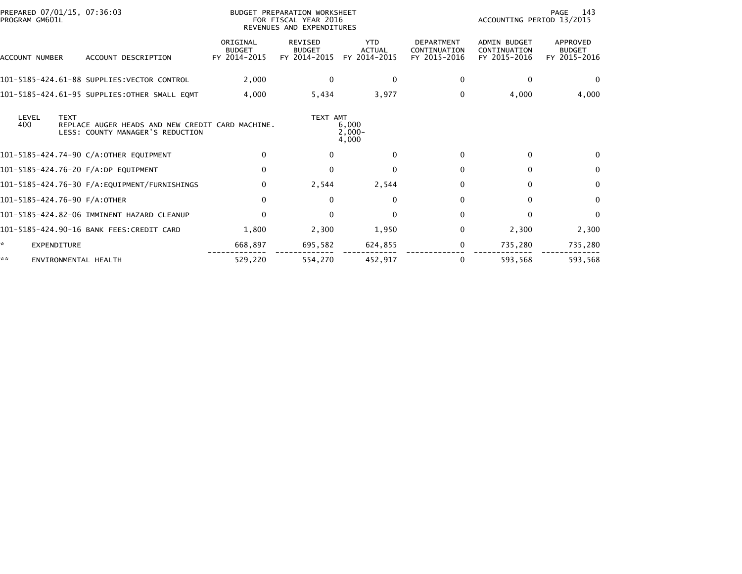| PROGRAM GM601L | PREPARED 07/01/15, 07:36:03                                                                         |                                           | BUDGET PREPARATION WORKSHEET<br>FOR FISCAL YEAR 2016<br>REVENUES AND EXPENDITURES |                                             |                                                   | ACCOUNTING PERIOD 13/2015                           | PAGE<br>143                               |
|----------------|-----------------------------------------------------------------------------------------------------|-------------------------------------------|-----------------------------------------------------------------------------------|---------------------------------------------|---------------------------------------------------|-----------------------------------------------------|-------------------------------------------|
| ACCOUNT NUMBER | ACCOUNT DESCRIPTION                                                                                 | ORIGINAL<br><b>BUDGET</b><br>FY 2014-2015 | <b>REVISED</b><br><b>BUDGET</b><br>FY 2014-2015                                   | <b>YTD</b><br><b>ACTUAL</b><br>FY 2014-2015 | <b>DEPARTMENT</b><br>CONTINUATION<br>FY 2015-2016 | <b>ADMIN BUDGET</b><br>CONTINUATION<br>FY 2015-2016 | APPROVED<br><b>BUDGET</b><br>FY 2015-2016 |
|                | 101-5185-424.61-88 SUPPLIES:VECTOR CONTROL                                                          | 2,000                                     | $\mathbf{0}$                                                                      | 0                                           | 0                                                 | $\mathbf{0}$                                        | $\Omega$                                  |
|                | 101-5185-424.61-95 SUPPLIES:OTHER SMALL EQMT                                                        | 4,000                                     | 5,434                                                                             | 3,977                                       | 0                                                 | 4,000                                               | 4,000                                     |
| LEVEL<br>400   | <b>TEXT</b><br>REPLACE AUGER HEADS AND NEW CREDIT CARD MACHINE.<br>LESS: COUNTY MANAGER'S REDUCTION |                                           | TEXT AMT                                                                          | 6,000<br>$2,000 -$<br>4,000                 |                                                   |                                                     |                                           |
|                | 101-5185-424.74-90 C/A:OTHER EQUIPMENT                                                              | 0                                         | 0                                                                                 | $\Omega$                                    | 0                                                 | $\bf{0}$                                            | 0                                         |
|                | 101-5185-424.76-20 F/A:DP EQUIPMENT                                                                 | $\mathbf 0$                               | $\mathbf{0}$                                                                      | $\Omega$                                    | $\Omega$                                          | $\mathbf{0}$                                        | $\mathbf{0}$                              |
|                |                                                                                                     | $\mathbf{0}$                              | 2,544                                                                             | 2,544                                       | 0                                                 | $\mathbf{0}$                                        | $\Omega$                                  |
|                | 101-5185-424.76-90 F/A:OTHER                                                                        | $\mathbf{0}$                              | $\bf{0}$                                                                          | 0                                           | 0                                                 | 0                                                   | $\Omega$                                  |
|                | 101-5185-424.82-06 IMMINENT HAZARD CLEANUP                                                          | $\mathbf 0$                               | $\mathbf{0}$                                                                      | $\Omega$                                    | 0                                                 | $\Omega$                                            | $\Omega$                                  |
|                | 101-5185-424.90-16 BANK FEES:CREDIT CARD                                                            | 1,800                                     | 2,300                                                                             | 1,950                                       | 0                                                 | 2,300                                               | 2,300                                     |
| *              | <b>EXPENDITURE</b>                                                                                  | 668,897                                   | 695,582                                                                           | 624,855                                     | 0                                                 | 735,280                                             | 735,280                                   |
| **             | ENVIRONMENTAL HEALTH                                                                                | 529,220                                   | 554,270                                                                           | 452.917                                     | 0                                                 | 593,568                                             | 593,568                                   |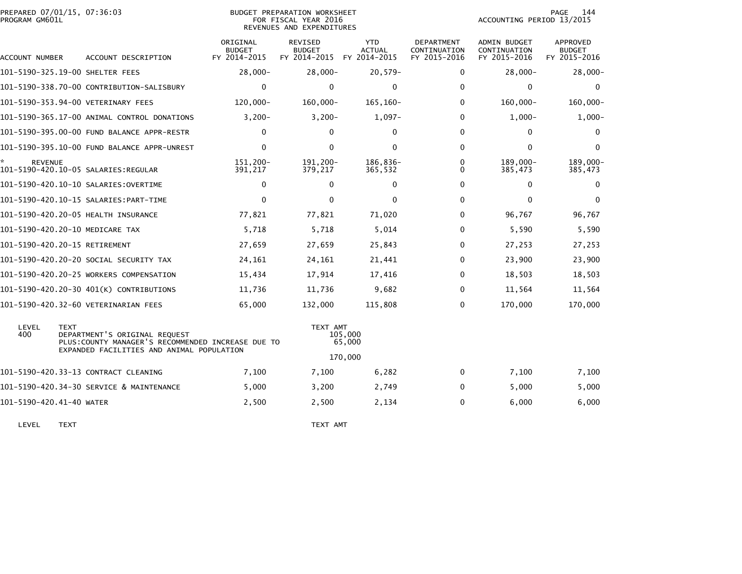| PROGRAM GM601L           | PREPARED 07/01/15, 07:36:03                                                               | <b>BUDGET PREPARATION WORKSHEET</b><br>FOR FISCAL YEAR 2016<br>REVENUES AND EXPENDITURES |                                                 |                                             |                                                   | PAGE<br>144<br>ACCOUNTING PERIOD 13/2015     |                                           |  |
|--------------------------|-------------------------------------------------------------------------------------------|------------------------------------------------------------------------------------------|-------------------------------------------------|---------------------------------------------|---------------------------------------------------|----------------------------------------------|-------------------------------------------|--|
| ACCOUNT NUMBER           | ACCOUNT DESCRIPTION                                                                       | ORIGINAL<br><b>BUDGET</b><br>FY 2014-2015                                                | <b>REVISED</b><br><b>BUDGET</b><br>FY 2014-2015 | <b>YTD</b><br><b>ACTUAL</b><br>FY 2014-2015 | <b>DEPARTMENT</b><br>CONTINUATION<br>FY 2015-2016 | ADMIN BUDGET<br>CONTINUATION<br>FY 2015-2016 | APPROVED<br><b>BUDGET</b><br>FY 2015-2016 |  |
|                          | 101-5190-325.19-00 SHELTER FEES                                                           | $28,000 -$                                                                               | $28,000 -$                                      | $20,579-$                                   | $\Omega$                                          | $28,000 -$                                   | $28,000 -$                                |  |
|                          | 101-5190-338.70-00 CONTRIBUTION-SALISBURY                                                 | $\mathbf 0$                                                                              | $\mathbf{0}$                                    | $\mathbf 0$                                 | $\mathbf 0$                                       | $\Omega$                                     | 0                                         |  |
|                          | 101-5190-353.94-00 VETERINARY FEES                                                        | 120,000-                                                                                 | $160,000 -$                                     | $165, 160 -$                                | $\mathbf{0}$                                      | 160,000-                                     | $160,000 -$                               |  |
|                          | 101-5190-365.17-00 ANIMAL CONTROL DONATIONS                                               | $3,200-$                                                                                 | $3,200-$                                        | $1,097-$                                    | $\Omega$                                          | $1,000-$                                     | $1,000 -$                                 |  |
|                          | 101-5190-395.00-00 FUND BALANCE APPR-RESTR                                                | $\Omega$                                                                                 | $\mathbf{0}$                                    | 0                                           | $\Omega$                                          | 0                                            | $\Omega$                                  |  |
|                          | 101-5190-395.10-00 FUND BALANCE APPR-UNREST                                               | $\Omega$                                                                                 | $\Omega$                                        | $\Omega$                                    | $\mathbf{0}$                                      | $\Omega$                                     | $\mathbf{0}$                              |  |
| <b>REVENUE</b>           |                                                                                           | 151,200-<br>391,217                                                                      | 191,200-<br>379,217                             | 186,836-<br>365,532                         | $\Omega$<br>$\Omega$                              | 189,000-<br>385,473                          | 189,000-<br>385,473                       |  |
|                          |                                                                                           | $\Omega$                                                                                 | $\mathbf{0}$                                    | 0                                           | $\Omega$                                          | $\Omega$                                     | $\Omega$                                  |  |
|                          |                                                                                           | $\Omega$                                                                                 | $\mathbf{0}$                                    | $\Omega$                                    | $\Omega$                                          | $\Omega$                                     | $\mathbf{0}$                              |  |
|                          | 101-5190-420.20-05 HEALTH INSURANCE                                                       | 77,821                                                                                   | 77,821                                          | 71,020                                      | $\Omega$                                          | 96,767                                       | 96,767                                    |  |
|                          | 101-5190-420.20-10 MEDICARE TAX                                                           | 5,718                                                                                    | 5,718                                           | 5,014                                       | $\mathbf{0}$                                      | 5,590                                        | 5,590                                     |  |
|                          | 101-5190-420.20-15 RETIREMENT                                                             | 27,659                                                                                   | 27,659                                          | 25,843                                      | 0                                                 | 27,253                                       | 27,253                                    |  |
|                          | 101-5190-420.20-20 SOCIAL SECURITY TAX                                                    | 24,161                                                                                   | 24,161                                          | 21,441                                      | $\Omega$                                          | 23,900                                       | 23,900                                    |  |
|                          | 101-5190-420.20-25 WORKERS COMPENSATION                                                   | 15,434                                                                                   | 17,914                                          | 17,416                                      | $\Omega$                                          | 18,503                                       | 18,503                                    |  |
|                          | 101-5190-420.20-30 401(K) CONTRIBUTIONS                                                   | 11,736                                                                                   | 11,736                                          | 9,682                                       | $\Omega$                                          | 11,564                                       | 11,564                                    |  |
|                          | 101-5190-420.32-60 VETERINARIAN FEES                                                      | 65,000                                                                                   | 132,000                                         | 115,808                                     | $\mathbf{0}$                                      | 170,000                                      | 170,000                                   |  |
| LEVEL<br>400             | <b>TEXT</b><br>DEPARTMENT'S ORIGINAL REQUEST<br>EXPANDED FACILITIES AND ANIMAL POPULATION | PLUS: COUNTY MANAGER'S RECOMMENDED INCREASE DUE TO                                       |                                                 | TEXT AMT<br>105,000<br>65,000               |                                                   |                                              |                                           |  |
|                          |                                                                                           |                                                                                          |                                                 | 170,000                                     |                                                   |                                              |                                           |  |
|                          | 101-5190-420.33-13 CONTRACT CLEANING                                                      | 7,100                                                                                    | 7,100                                           | 6,282                                       | $\mathbf 0$                                       | 7,100                                        | 7,100                                     |  |
|                          | 101-5190-420.34-30 SERVICE & MAINTENANCE                                                  | 5,000                                                                                    | 3,200                                           | 2,749                                       | $\Omega$                                          | 5,000                                        | 5,000                                     |  |
| 101-5190-420.41-40 WATER |                                                                                           | 2,500                                                                                    | 2,500                                           | 2,134                                       | $\mathbf{0}$                                      | 6,000                                        | 6,000                                     |  |

LEVEL TEXT TEXT AMT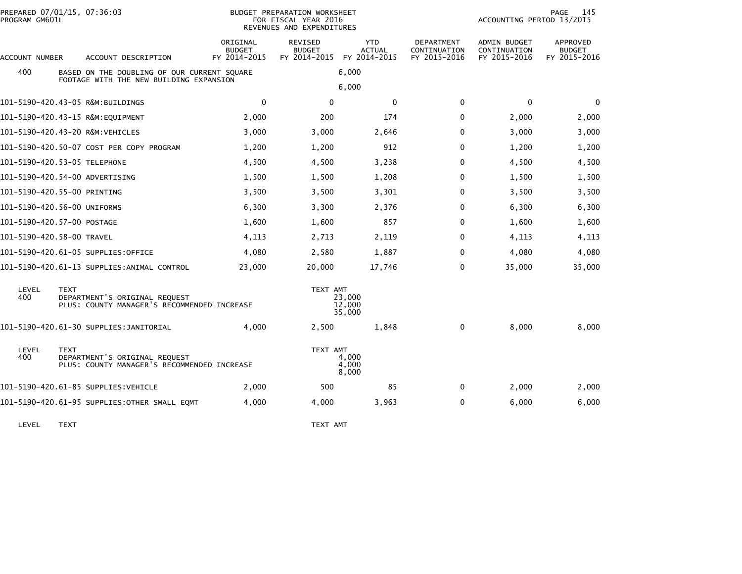| PREPARED 07/01/15, 07:36:03<br>PROGRAM GM601L |             |                                                                                        | BUDGET PREPARATION WORKSHEET<br>FOR FISCAL YEAR 2016<br>REVENUES AND EXPENDITURES |                                          |                                             |                                            | 145<br>PAGE<br>ACCOUNTING PERIOD 13/2015     |                                           |  |
|-----------------------------------------------|-------------|----------------------------------------------------------------------------------------|-----------------------------------------------------------------------------------|------------------------------------------|---------------------------------------------|--------------------------------------------|----------------------------------------------|-------------------------------------------|--|
| ACCOUNT NUMBER                                |             | ACCOUNT DESCRIPTION                                                                    | ORIGINAL<br><b>BUDGET</b><br>FY 2014-2015                                         | REVISED<br><b>BUDGET</b><br>FY 2014-2015 | <b>YTD</b><br><b>ACTUAL</b><br>FY 2014-2015 | DEPARTMENT<br>CONTINUATION<br>FY 2015-2016 | ADMIN BUDGET<br>CONTINUATION<br>FY 2015-2016 | APPROVED<br><b>BUDGET</b><br>FY 2015-2016 |  |
| 400                                           |             | BASED ON THE DOUBLING OF OUR CURRENT SQUARE<br>FOOTAGE WITH THE NEW BUILDING EXPANSION |                                                                                   |                                          | 6,000                                       |                                            |                                              |                                           |  |
|                                               |             |                                                                                        |                                                                                   |                                          | 6,000                                       |                                            |                                              |                                           |  |
|                                               |             | 101-5190-420.43-05 R&M:BUILDINGS                                                       | $\mathbf{0}$                                                                      | $\Omega$                                 | $\mathbf{0}$                                | $\mathbf{0}$                               | $\mathbf{0}$                                 | $\Omega$                                  |  |
|                                               |             | 101-5190-420.43-15 R&M:EQUIPMENT                                                       | 2,000                                                                             | 200                                      | 174                                         | 0                                          | 2,000                                        | 2,000                                     |  |
|                                               |             | 101-5190-420.43-20 R&M:VEHICLES                                                        | 3,000                                                                             | 3,000                                    | 2,646                                       | $\Omega$                                   | 3,000                                        | 3,000                                     |  |
|                                               |             | 101-5190-420.50-07 COST PER COPY PROGRAM                                               | 1,200                                                                             | 1,200                                    | 912                                         | $\Omega$                                   | 1,200                                        | 1,200                                     |  |
| 101-5190-420.53-05 TELEPHONE                  |             |                                                                                        | 4,500                                                                             | 4,500                                    | 3,238                                       | 0                                          | 4,500                                        | 4,500                                     |  |
| 101-5190-420.54-00 ADVERTISING                |             |                                                                                        | 1,500                                                                             | 1,500                                    | 1,208                                       | 0                                          | 1,500                                        | 1,500                                     |  |
| 101-5190-420.55-00 PRINTING                   |             |                                                                                        | 3,500                                                                             | 3,500                                    | 3,301                                       | 0                                          | 3,500                                        | 3,500                                     |  |
| 101-5190-420.56-00 UNIFORMS                   |             |                                                                                        | 6,300                                                                             | 3,300                                    | 2,376                                       | 0                                          | 6,300                                        | 6,300                                     |  |
| 101-5190-420.57-00 POSTAGE                    |             |                                                                                        | 1,600                                                                             | 1,600                                    | 857                                         | $\Omega$                                   | 1,600                                        | 1,600                                     |  |
| 101-5190-420.58-00 TRAVEL                     |             |                                                                                        | 4,113                                                                             | 2,713                                    | 2,119                                       | 0                                          | 4,113                                        | 4,113                                     |  |
|                                               |             | 101–5190–420.61–05 SUPPLIES:OFFICE                                                     | 4,080                                                                             | 2,580                                    | 1,887                                       | 0                                          | 4,080                                        | 4,080                                     |  |
|                                               |             | 101-5190-420.61-13 SUPPLIES:ANIMAL CONTROL                                             | 23,000                                                                            | 20,000                                   | 17,746                                      | 0                                          | 35,000                                       | 35,000                                    |  |
| LEVEL<br>400                                  | <b>TEXT</b> | DEPARTMENT'S ORIGINAL REQUEST<br>PLUS: COUNTY MANAGER'S RECOMMENDED INCREASE           |                                                                                   | TEXT AMT                                 | 23,000<br>12,000<br>35,000                  |                                            |                                              |                                           |  |
|                                               |             |                                                                                        | 4.000                                                                             | 2,500                                    | 1,848                                       | $\Omega$                                   | 8,000                                        | 8,000                                     |  |
| LEVEL<br>400                                  | <b>TEXT</b> | DEPARTMENT'S ORIGINAL REQUEST<br>PLUS: COUNTY MANAGER'S RECOMMENDED INCREASE           |                                                                                   | TEXT AMT                                 | 4.000<br>4,000<br>8,000                     |                                            |                                              |                                           |  |
|                                               |             | 101-5190-420.61-85 SUPPLIES:VEHICLE                                                    | 2,000                                                                             | 500                                      | 85                                          | 0                                          | 2,000                                        | 2,000                                     |  |
|                                               |             | 101–5190–420.61–95 SUPPLIES:OTHER SMALL EOMT                                           | 4.000                                                                             | 4,000                                    | 3,963                                       | 0                                          | 6,000                                        | 6,000                                     |  |
|                                               |             |                                                                                        |                                                                                   |                                          |                                             |                                            |                                              |                                           |  |

LEVEL TEXT TEXT AMT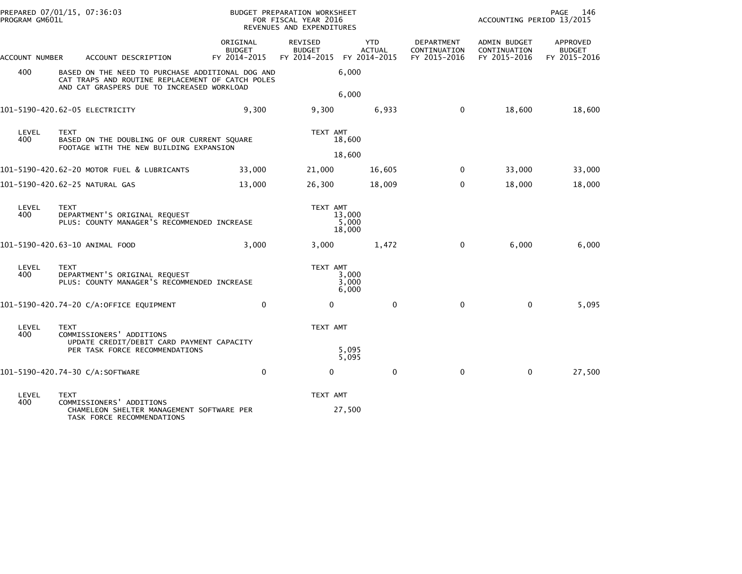| PREPARED 07/01/15, 07:36:03<br>PROGRAM GM601L |                                                                                                                                                    |                                           | BUDGET PREPARATION WORKSHEET<br>FOR FISCAL YEAR 2016<br>REVENUES AND EXPENDITURES |                                                          |                                                   | PAGE<br>- 146<br>ACCOUNTING PERIOD 13/2015   |                                           |  |
|-----------------------------------------------|----------------------------------------------------------------------------------------------------------------------------------------------------|-------------------------------------------|-----------------------------------------------------------------------------------|----------------------------------------------------------|---------------------------------------------------|----------------------------------------------|-------------------------------------------|--|
| ACCOUNT NUMBER                                | ACCOUNT DESCRIPTION                                                                                                                                | ORIGINAL<br><b>BUDGET</b><br>FY 2014-2015 | <b>REVISED</b><br><b>BUDGET</b>                                                   | <b>YTD</b><br><b>ACTUAL</b><br>FY 2014-2015 FY 2014-2015 | <b>DEPARTMENT</b><br>CONTINUATION<br>FY 2015-2016 | ADMIN BUDGET<br>CONTINUATION<br>FY 2015-2016 | APPROVED<br><b>BUDGET</b><br>FY 2015-2016 |  |
| 400                                           | BASED ON THE NEED TO PURCHASE ADDITIONAL DOG AND<br>CAT TRAPS AND ROUTINE REPLACEMENT OF CATCH POLES<br>AND CAT GRASPERS DUE TO INCREASED WORKLOAD |                                           |                                                                                   | 6,000<br>6,000                                           |                                                   |                                              |                                           |  |
|                                               | 101-5190-420.62-05 ELECTRICITY                                                                                                                     | 9,300                                     | 9,300                                                                             | 6,933                                                    | $\mathbf 0$                                       | 18,600                                       | 18,600                                    |  |
| LEVEL<br>400                                  | <b>TEXT</b><br>BASED ON THE DOUBLING OF OUR CURRENT SQUARE<br>FOOTAGE WITH THE NEW BUILDING EXPANSION                                              |                                           | TEXT AMT                                                                          | 18,600<br>18,600                                         |                                                   |                                              |                                           |  |
|                                               | 101-5190-420.62-20 MOTOR FUEL & LUBRICANTS                                                                                                         | 33,000                                    | 21,000                                                                            | 16,605                                                   | $\Omega$                                          | 33.000                                       | 33,000                                    |  |
|                                               | 101-5190-420.62-25 NATURAL GAS                                                                                                                     | 13,000                                    | 26,300                                                                            | 18,009                                                   | $\mathbf 0$                                       | 18,000                                       | 18,000                                    |  |
| LEVEL<br>400                                  | <b>TEXT</b><br>DEPARTMENT'S ORIGINAL REQUEST<br>PLUS: COUNTY MANAGER'S RECOMMENDED INCREASE                                                        |                                           | TEXT AMT                                                                          | 13,000<br>5,000<br>18,000                                |                                                   |                                              |                                           |  |
|                                               | 101-5190-420.63-10 ANIMAL FOOD                                                                                                                     | 3,000                                     | 3,000                                                                             | 1,472                                                    | $\mathbf 0$                                       | 6,000                                        | 6,000                                     |  |
| LEVEL<br>400                                  | <b>TEXT</b><br>DEPARTMENT'S ORIGINAL REQUEST<br>PLUS: COUNTY MANAGER'S RECOMMENDED INCREASE                                                        |                                           | TEXT AMT                                                                          | 3,000<br>3,000<br>6,000                                  |                                                   |                                              |                                           |  |
|                                               | 101-5190-420.74-20 C/A:OFFICE EQUIPMENT                                                                                                            | $\Omega$                                  | 0                                                                                 | $\mathbf 0$                                              | $\mathbf 0$                                       | $\mathbf{0}$                                 | 5,095                                     |  |
| LEVEL<br>400                                  | <b>TEXT</b><br>COMMISSIONERS' ADDITIONS<br>UPDATE CREDIT/DEBIT CARD PAYMENT CAPACITY<br>PER TASK FORCE RECOMMENDATIONS                             |                                           | TEXT AMT                                                                          | 5,095<br>5,095                                           |                                                   |                                              |                                           |  |
|                                               | 101-5190-420.74-30 C/A:SOFTWARE                                                                                                                    | $\mathbf{0}$                              | $\mathbf 0$                                                                       | $\mathbf 0$                                              | $\mathbf 0$                                       | $\mathbf{0}$                                 | 27,500                                    |  |
| LEVEL                                         | <b>TEXT</b>                                                                                                                                        |                                           | TEXT AMT                                                                          |                                                          |                                                   |                                              |                                           |  |
| 400                                           | COMMISSIONERS' ADDITIONS<br>CHAMELEON SHELTER MANAGEMENT SOFTWARE PER<br>TASK FORCE RECOMMENDATIONS                                                |                                           |                                                                                   | 27,500                                                   |                                                   |                                              |                                           |  |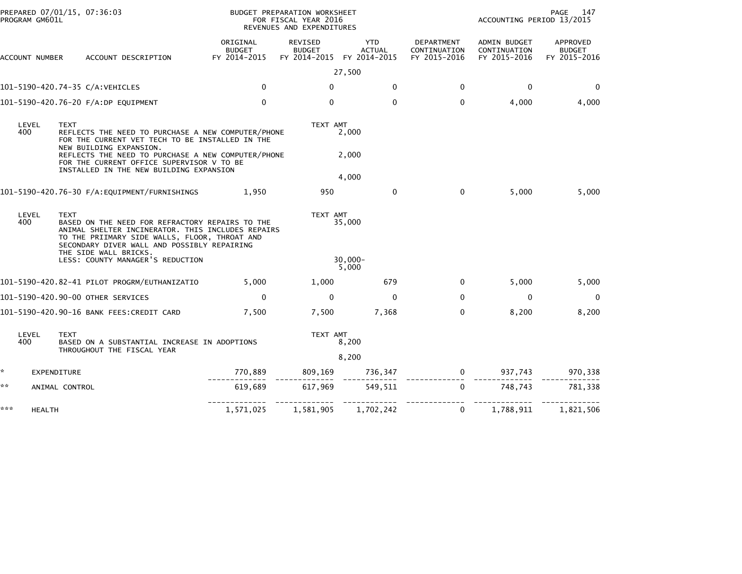| PROGRAM GM601L       | PREPARED 07/01/15, 07:36:03                                                                                                                                                                                                                                                                   |                                    | BUDGET PREPARATION WORKSHEET<br>FOR FISCAL YEAR 2016<br>REVENUES AND EXPENDITURES |                               |                                            | ACCOUNTING PERIOD 13/2015                           | PAGE<br>147                               |
|----------------------|-----------------------------------------------------------------------------------------------------------------------------------------------------------------------------------------------------------------------------------------------------------------------------------------------|------------------------------------|-----------------------------------------------------------------------------------|-------------------------------|--------------------------------------------|-----------------------------------------------------|-------------------------------------------|
| ACCOUNT NUMBER       | ACCOUNT DESCRIPTION                                                                                                                                                                                                                                                                           | ORIGINAL<br>BUDGET<br>FY 2014-2015 | REVISED<br><b>BUDGET</b><br>FY 2014-2015 FY 2014-2015                             | YTD<br>ACTUAL                 | DEPARTMENT<br>CONTINUATION<br>FY 2015-2016 | ADMIN BUDGET<br>CONTINUATION<br>FY 2015-2016        | APPROVED<br><b>BUDGET</b><br>FY 2015-2016 |
|                      |                                                                                                                                                                                                                                                                                               |                                    |                                                                                   | 27,500                        |                                            |                                                     |                                           |
|                      | 101-5190-420.74-35 C/A:VEHICLES                                                                                                                                                                                                                                                               | $\mathbf{0}$                       | $\mathbf{0}$                                                                      | $\mathbf{0}$                  | $\Omega$                                   | $\mathbf 0$                                         | $\Omega$                                  |
|                      | 101-5190-420.76-20 F/A:DP EQUIPMENT                                                                                                                                                                                                                                                           | $\Omega$                           | $\mathbf 0$                                                                       | $\mathbf 0$                   | $\mathbf{0}$                               | 4,000                                               | 4,000                                     |
| LEVEL<br>400         | <b>TEXT</b><br>REFLECTS THE NEED TO PURCHASE A NEW COMPUTER/PHONE<br>FOR THE CURRENT VET TECH TO BE INSTALLED IN THE<br>NEW BUILDING EXPANSION.<br>REFLECTS THE NEED TO PURCHASE A NEW COMPUTER/PHONE<br>FOR THE CURRENT OFFICE SUPERVISOR V TO BE<br>INSTALLED IN THE NEW BUILDING EXPANSION |                                    | TEXT AMT                                                                          | 2,000<br>2,000<br>4,000       |                                            |                                                     |                                           |
|                      | 101-5190-420.76-30 F/A:EQUIPMENT/FURNISHINGS                                                                                                                                                                                                                                                  | 1,950                              | 950                                                                               | $\mathbf{0}$                  | $\mathbf{0}$                               | 5,000                                               | 5,000                                     |
| LEVEL<br>400         | <b>TEXT</b><br>BASED ON THE NEED FOR REFRACTORY REPAIRS TO THE<br>ANIMAL SHELTER INCINERATOR. THIS INCLUDES REPAIRS<br>TO THE PRIIMARY SIDE WALLS, FLOOR, THROAT AND<br>SECONDARY DIVER WALL AND POSSIBLY REPAIRING<br>THE SIDE WALL BRICKS.<br>LESS: COUNTY MANAGER'S REDUCTION              |                                    | TEXT AMT                                                                          | 35,000<br>$30,000 -$<br>5,000 |                                            |                                                     |                                           |
|                      | 101-5190-420.82-41 PILOT PROGRM/EUTHANIZATIO                                                                                                                                                                                                                                                  | 5,000                              | 1,000                                                                             | 679                           | $\mathbf{0}$                               | 5,000                                               | 5,000                                     |
|                      | 101-5190-420.90-00 OTHER SERVICES                                                                                                                                                                                                                                                             | $\mathbf{0}$                       | $\Omega$                                                                          | $\Omega$                      | $\mathbf{0}$                               | $\mathbf{0}$                                        | $\Omega$                                  |
|                      | 101-5190-420.90-16 BANK FEES: CREDIT CARD                                                                                                                                                                                                                                                     | 7,500                              | 7,500                                                                             | 7,368                         | $\mathbf{0}$                               | 8,200                                               | 8,200                                     |
| LEVEL<br>400         | <b>TEXT</b><br>BASED ON A SUBSTANTIAL INCREASE IN ADOPTIONS<br>THROUGHOUT THE FISCAL YEAR                                                                                                                                                                                                     |                                    | TEXT AMT                                                                          | 8,200<br>8,200                |                                            |                                                     |                                           |
| *.                   | EXPENDITURE                                                                                                                                                                                                                                                                                   |                                    |                                                                                   |                               |                                            | $770,889$ $809,169$ $736,347$ 0 $937,743$ $970,338$ |                                           |
| **                   | ANIMAL CONTROL                                                                                                                                                                                                                                                                                | 619,689                            | 617,969                                                                           | 549,511                       | $\Omega$                                   | 748,743                                             | 781,338                                   |
| ***<br><b>HEALTH</b> |                                                                                                                                                                                                                                                                                               | 1,571,025                          | 1,581,905                                                                         | -------------<br>1,702,242    | $\mathbf{0}$                               | 1,788,911                                           | 1,821,506                                 |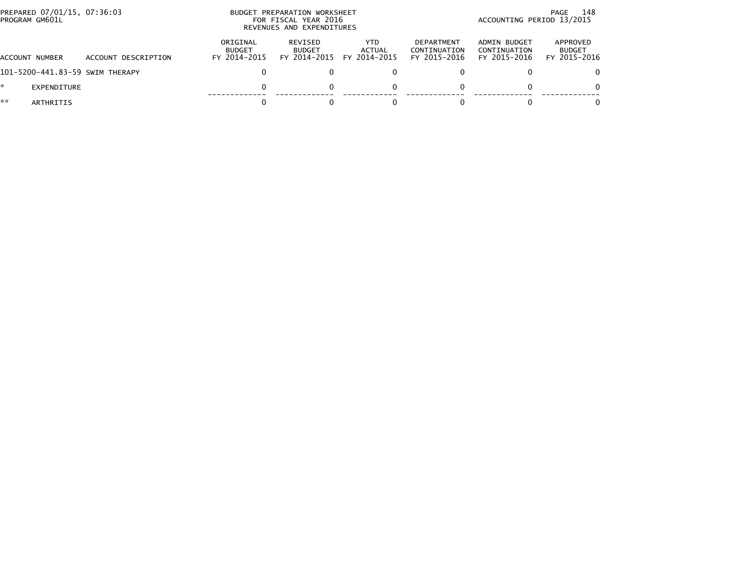| PREPARED 07/01/15, 07:36:03<br>PROGRAM GM601L |                                 | PREPARATION WORKSHEET<br><b>BUDGET</b><br>FOR FISCAL YEAR 2016<br>REVENUES AND EXPENDITURES | 148<br>PAGE<br>ACCOUNTING PERIOD 13/2015        |                                |                                                   |                                              |                                           |
|-----------------------------------------------|---------------------------------|---------------------------------------------------------------------------------------------|-------------------------------------------------|--------------------------------|---------------------------------------------------|----------------------------------------------|-------------------------------------------|
| ACCOUNT NUMBER                                | ACCOUNT DESCRIPTION             | ORIGINAL<br><b>BUDGET</b><br>FY 2014-2015                                                   | <b>REVISED</b><br><b>BUDGET</b><br>FY 2014-2015 | YTD.<br>ACTUAL<br>FY 2014-2015 | <b>DEPARTMENT</b><br>CONTINUATION<br>FY 2015-2016 | ADMIN BUDGET<br>CONTINUATION<br>FY 2015-2016 | APPROVED<br><b>BUDGET</b><br>FY 2015-2016 |
|                                               | 101-5200-441.83-59 SWIM THERAPY |                                                                                             |                                                 |                                |                                                   |                                              | 0                                         |
| *.<br>EXPENDITURE                             |                                 |                                                                                             |                                                 |                                |                                                   |                                              | 0                                         |
| **<br>ARTHRITIS                               |                                 |                                                                                             |                                                 |                                |                                                   |                                              | 0                                         |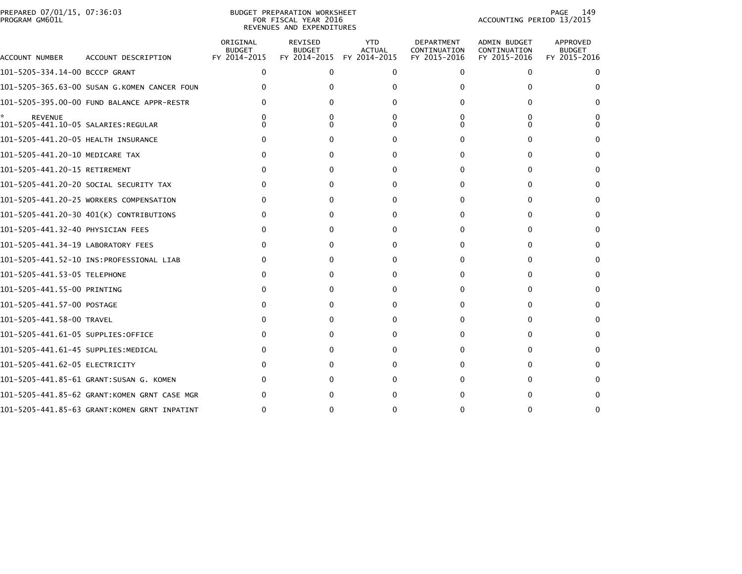|                | PREPARED 07/01/15, 07:36:03 |  |
|----------------|-----------------------------|--|
| PROGRAM GM601L |                             |  |

# PREPARED 07/01/15, 07:36:03 PREPARATION WORKSHEET PREPARATION WORKSHEET PREPARATION WORKSHEET<br>FOR FISCAL YEAR 2016 ACCOUNTING PERIOD 13/2015 REVENUES AND EXPENDITURES<br>REVENUES AND EXPENDITURES

PAGE 149<br>ACCOUNTING PERIOD 13/2015

| ACCOUNT NUMBER                      | ACCOUNT DESCRIPTION                          | ORIGINAL<br><b>BUDGET</b><br>FY 2014-2015 | <b>REVISED</b><br><b>BUDGET</b><br>FY 2014-2015 | <b>YTD</b><br><b>ACTUAL</b><br>FY 2014-2015 | <b>DEPARTMENT</b><br>CONTINUATION<br>FY 2015-2016 | <b>ADMIN BUDGET</b><br>CONTINUATION<br>FY 2015-2016 | APPROVED<br><b>BUDGET</b><br>FY 2015-2016 |
|-------------------------------------|----------------------------------------------|-------------------------------------------|-------------------------------------------------|---------------------------------------------|---------------------------------------------------|-----------------------------------------------------|-------------------------------------------|
| 101-5205-334.14-00 BCCCP GRANT      |                                              | $\mathbf{0}$                              | 0                                               | $\mathbf{0}$                                | $\Omega$                                          | $\mathbf{0}$                                        | 0                                         |
|                                     | 101-5205-365.63-00 SUSAN G.KOMEN CANCER FOUN |                                           |                                                 |                                             |                                                   | 0                                                   |                                           |
|                                     | 101-5205-395.00-00 FUND BALANCE APPR-RESTR   |                                           |                                                 |                                             |                                                   | O.                                                  |                                           |
| *.<br><b>REVENUE</b>                |                                              |                                           |                                                 |                                             |                                                   | Ω<br>O                                              |                                           |
| 101-5205-441.20-05 HEALTH INSURANCE |                                              |                                           |                                                 | $^{(1)}$                                    |                                                   | $\Omega$                                            |                                           |
| 101-5205-441.20-10 MEDICARE TAX     |                                              |                                           |                                                 | 0                                           |                                                   | 0                                                   | 0                                         |
| 101-5205-441.20-15 RETIREMENT       |                                              |                                           |                                                 | 0                                           |                                                   | 0                                                   |                                           |
|                                     | 101–5205–441.20–20 SOCIAL SECURITY TAX       |                                           |                                                 | 0                                           |                                                   | 0                                                   | 0                                         |
|                                     | 101-5205-441.20-25 WORKERS COMPENSATION      |                                           |                                                 | 0                                           |                                                   | 0                                                   |                                           |
|                                     | 101-5205-441.20-30 401(K) CONTRIBUTIONS      |                                           |                                                 | o                                           |                                                   | 0                                                   | 0                                         |
| 101-5205-441.32-40 PHYSICIAN FEES   |                                              |                                           |                                                 | n                                           |                                                   |                                                     |                                           |
| 101-5205-441.34-19 LABORATORY FEES  |                                              |                                           |                                                 |                                             |                                                   | 0                                                   |                                           |
|                                     |                                              |                                           |                                                 | O                                           |                                                   | O.                                                  |                                           |
| 101-5205-441.53-05 TELEPHONE        |                                              |                                           |                                                 | 0                                           |                                                   | 0                                                   | 0                                         |
| 101-5205-441.55-00 PRINTING         |                                              |                                           |                                                 | 0                                           |                                                   | 0                                                   |                                           |
| 101–5205–441.57–00 POSTAGE          |                                              |                                           |                                                 | 0                                           |                                                   | 0                                                   | <sup>0</sup>                              |
| 101-5205-441.58-00 TRAVEL           |                                              |                                           |                                                 | 0                                           |                                                   | 0                                                   | 0                                         |
| 101-5205-441.61-05 SUPPLIES:OFFICE  |                                              |                                           |                                                 | 0                                           |                                                   | $\Omega$                                            | 0                                         |
| 101-5205-441.61-45 SUPPLIES:MEDICAL |                                              |                                           |                                                 | 0                                           |                                                   | 0                                                   |                                           |
| 101–5205–441.62–05 ELECTRICITY      |                                              |                                           |                                                 |                                             |                                                   | 0                                                   |                                           |
|                                     | 101-5205-441.85-61 GRANT:SUSAN G. KOMEN      |                                           |                                                 |                                             |                                                   | O.                                                  |                                           |
|                                     | 101-5205-441.85-62 GRANT:KOMEN GRNT CASE MGR |                                           |                                                 |                                             |                                                   |                                                     |                                           |
|                                     | 101-5205-441.85-63 GRANT:KOMEN GRNT INPATINT |                                           |                                                 | o                                           |                                                   | 0                                                   |                                           |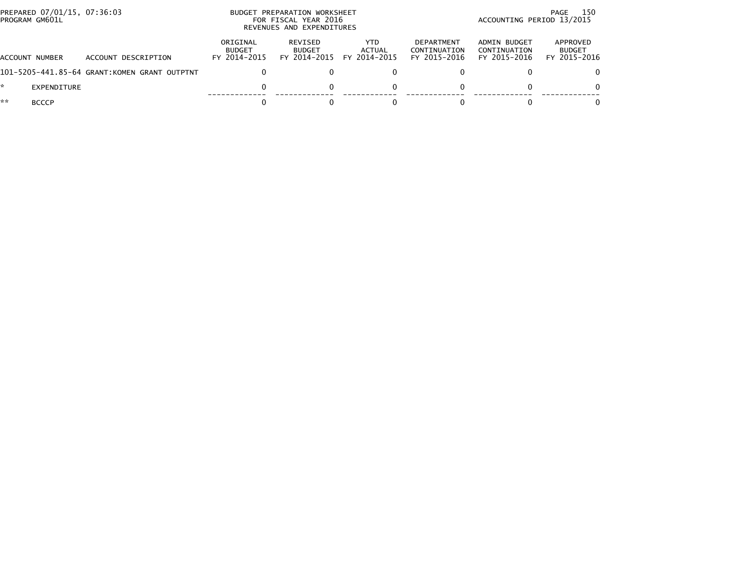| PROGRAM GM601L | PREPARED 07/01/15, 07:36:03 |                                              |                                           | BUDGET PREPARATION WORKSHEET<br>FOR FISCAL YEAR 2016<br>REVENUES AND EXPENDITURES | -150<br>PAGE<br>ACCOUNTING PERIOD 13/2015 |                                            |                                              |                                           |
|----------------|-----------------------------|----------------------------------------------|-------------------------------------------|-----------------------------------------------------------------------------------|-------------------------------------------|--------------------------------------------|----------------------------------------------|-------------------------------------------|
| ACCOUNT NUMBER |                             | ACCOUNT DESCRIPTION                          | ORIGINAL<br><b>BUDGET</b><br>FY 2014-2015 | REVISED<br><b>BUDGET</b><br>FY 2014-2015                                          | YTD.<br>ACTUAL<br>FY 2014-2015            | DEPARTMENT<br>CONTINUATION<br>FY 2015-2016 | ADMIN BUDGET<br>CONTINUATION<br>FY 2015-2016 | APPROVED<br><b>BUDGET</b><br>FY 2015-2016 |
|                |                             | 101-5205-441.85-64 GRANT:KOMEN GRANT OUTPTNT |                                           |                                                                                   |                                           |                                            |                                              | 0.                                        |
|                | EXPENDITURE                 |                                              |                                           |                                                                                   |                                           |                                            |                                              | 0                                         |
| **             | <b>BCCCP</b>                |                                              |                                           |                                                                                   |                                           |                                            |                                              |                                           |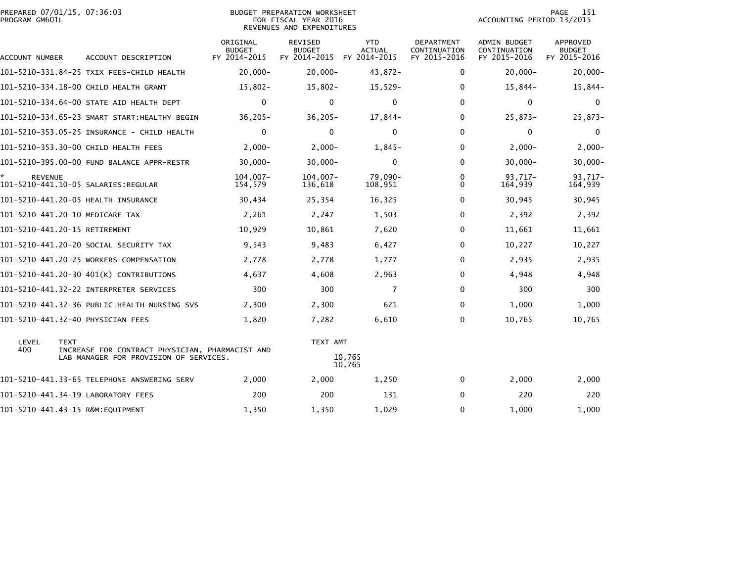| PREPARED 07/01/15, 07:36:03 | BUDGET PREPARATION WORKSHEET | 15<br>PAGE                |
|-----------------------------|------------------------------|---------------------------|
| PROGRAM GM601L              | FOR FISCAL YEAR 2016         | ACCOUNTING PERIOD 13/2015 |

### BUDGET PREPARATION WORKSHEET<br>FOR FISCAL YEAR 2016 REVENUES AND EXPENDITURES

| ACCOUNT NUMBER                | ACCOUNT DESCRIPTION                             | ORIGINAL<br><b>BUDGET</b><br>FY 2014-2015 | <b>REVISED</b><br><b>BUDGET</b><br>FY 2014-2015 | <b>YTD</b><br><b>ACTUAL</b><br>FY 2014-2015 | <b>DEPARTMENT</b><br>CONTINUATION<br>FY 2015-2016 | <b>ADMIN BUDGET</b><br>CONTINUATION<br>FY 2015-2016 | <b>APPROVED</b><br><b>BUDGET</b><br>FY 2015-2016 |
|-------------------------------|-------------------------------------------------|-------------------------------------------|-------------------------------------------------|---------------------------------------------|---------------------------------------------------|-----------------------------------------------------|--------------------------------------------------|
|                               | 101-5210-331.84-25 TXIX FEES-CHILD HEALTH       | $20,000 -$                                | $20,000 -$                                      | 43,872-                                     | 0                                                 | $20,000 -$                                          | $20,000 -$                                       |
|                               | 101-5210-334.18-00 CHILD HEALTH GRANT           | $15,802 -$                                | $15,802 -$                                      | $15,529-$                                   | 0                                                 | $15,844-$                                           | 15,844-                                          |
|                               | 101-5210-334.64-00 STATE AID HEALTH DEPT        | $\Omega$                                  | $\mathbf{0}$                                    | $\Omega$                                    | $\mathbf{0}$                                      | $\Omega$                                            | 0                                                |
|                               | 101-5210-334.65-23 SMART START:HEALTHY BEGIN    | $36,205 -$                                | $36, 205 -$                                     | $17,844-$                                   | 0                                                 | $25,873-$                                           | 25,873-                                          |
|                               |                                                 | $\Omega$                                  | 0                                               | $\Omega$                                    | $\mathbf{0}$                                      | $\mathbf{0}$                                        | 0                                                |
|                               | 101-5210-353.30-00 CHILD HEALTH FEES            | $2,000-$                                  | $2,000-$                                        | $1,845-$                                    | 0                                                 | $2,000-$                                            | $2,000 -$                                        |
|                               | 101-5210-395.00-00 FUND BALANCE APPR-RESTR      | $30,000 -$                                | $30,000 -$                                      | $\mathbf{0}$                                | $\mathbf{0}$                                      | $30,000 -$                                          | $30,000 -$                                       |
| <b>REVENUE</b>                |                                                 | $104.007 -$<br>154,579                    | $104.007 -$<br>136,618                          | 79,090-<br>108,951                          | $\mathbf{0}$<br>0                                 | $93.717 -$<br>164,939                               | 93.717-<br>164,939                               |
|                               | 101-5210-441.20-05 HEALTH INSURANCE             | 30,434                                    | 25,354                                          | 16,325                                      | 0                                                 | 30,945                                              | 30,945                                           |
|                               | 101-5210-441.20-10 MEDICARE TAX                 | 2,261                                     | 2,247                                           | 1,503                                       | 0                                                 | 2,392                                               | 2,392                                            |
| 101-5210-441.20-15 RETIREMENT |                                                 | 10,929                                    | 10,861                                          | 7,620                                       | 0                                                 | 11,661                                              | 11,661                                           |
|                               | 101–5210–441.20–20 SOCIAL SECURITY TAX          | 9,543                                     | 9,483                                           | 6,427                                       | $\mathbf{0}$                                      | 10,227                                              | 10,227                                           |
|                               | 101-5210-441.20-25 WORKERS COMPENSATION         | 2,778                                     | 2,778                                           | 1,777                                       | $\mathbf{0}$                                      | 2,935                                               | 2,935                                            |
|                               | 101-5210-441.20-30 401(K) CONTRIBUTIONS         | 4,637                                     | 4,608                                           | 2,963                                       | 0                                                 | 4,948                                               | 4,948                                            |
|                               | 101-5210-441.32-22 INTERPRETER SERVICES         | 300                                       | 300                                             | 7                                           | 0                                                 | 300                                                 | 300                                              |
|                               | 101-5210-441.32-36 PUBLIC HEALTH NURSING SVS    | 2,300                                     | 2,300                                           | 621                                         | 0                                                 | 1,000                                               | 1,000                                            |
|                               | 101-5210-441.32-40 PHYSICIAN FEES               | 1,820                                     | 7,282                                           | 6,610                                       | 0                                                 | 10,765                                              | 10,765                                           |
| LEVEL<br><b>TEXT</b><br>400   | INCREASE FOR CONTRACT PHYSICIAN, PHARMACIST AND |                                           | TEXT AMT                                        |                                             |                                                   |                                                     |                                                  |
|                               | LAB MANAGER FOR PROVISION OF SERVICES.          |                                           |                                                 | 10,765<br>10,765                            |                                                   |                                                     |                                                  |
|                               | 101-5210-441.33-65 TELEPHONE ANSWERING SERV     | 2,000                                     | 2,000                                           | 1,250                                       | 0                                                 | 2,000                                               | 2,000                                            |
|                               | 101-5210-441.34-19 LABORATORY FEES              | 200                                       | 200                                             | 131                                         | $\mathbf{0}$                                      | 220                                                 | 220                                              |
|                               | 101-5210-441.43-15 R&M:EQUIPMENT                | 1,350                                     | 1,350                                           | 1,029                                       | $\Omega$                                          | 1,000                                               | 1,000                                            |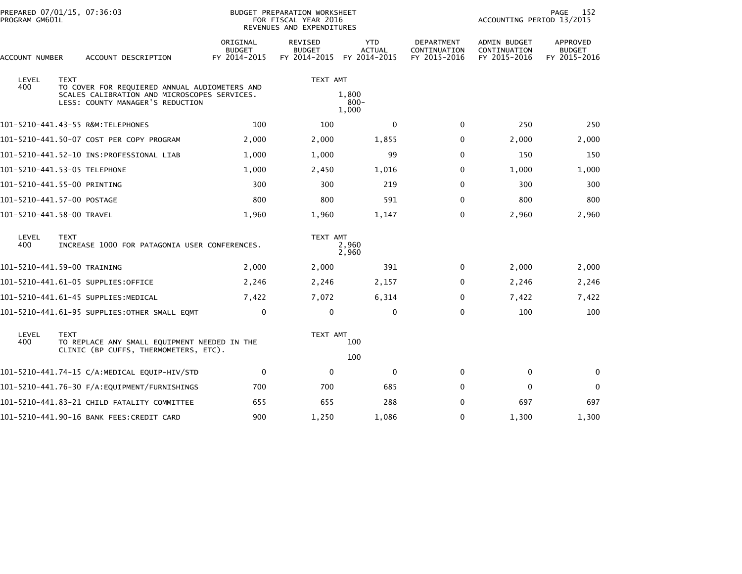| PREPARED 07/01/15, 07:36:03<br>PROGRAM GM601L |             |                                                                                                                                   |                                           | BUDGET PREPARATION WORKSHEET<br>FOR FISCAL YEAR 2016<br>REVENUES AND EXPENDITURES |                                             |                                                   | ACCOUNTING PERIOD 13/2015                    | 152<br>PAGE                               |
|-----------------------------------------------|-------------|-----------------------------------------------------------------------------------------------------------------------------------|-------------------------------------------|-----------------------------------------------------------------------------------|---------------------------------------------|---------------------------------------------------|----------------------------------------------|-------------------------------------------|
| ACCOUNT NUMBER                                |             | ACCOUNT DESCRIPTION                                                                                                               | ORIGINAL<br><b>BUDGET</b><br>FY 2014-2015 | <b>REVISED</b><br><b>BUDGET</b><br>FY 2014-2015                                   | <b>YTD</b><br><b>ACTUAL</b><br>FY 2014-2015 | <b>DEPARTMENT</b><br>CONTINUATION<br>FY 2015-2016 | ADMIN BUDGET<br>CONTINUATION<br>FY 2015-2016 | APPROVED<br><b>BUDGET</b><br>FY 2015-2016 |
| LEVEL                                         | <b>TEXT</b> |                                                                                                                                   |                                           | TEXT AMT                                                                          |                                             |                                                   |                                              |                                           |
| 400                                           |             | TO COVER FOR REQUIERED ANNUAL AUDIOMETERS AND<br>SCALES CALIBRATION AND MICROSCOPES SERVICES.<br>LESS: COUNTY MANAGER'S REDUCTION |                                           |                                                                                   | 1,800<br>$800 -$<br>1,000                   |                                                   |                                              |                                           |
|                                               |             | 101-5210-441.43-55 R&M:TELEPHONES                                                                                                 | 100                                       | 100                                                                               | $\mathbf{0}$                                | $\mathbf{0}$                                      | 250                                          | 250                                       |
|                                               |             | 101-5210-441.50-07 COST PER COPY PROGRAM                                                                                          | 2,000                                     | 2,000                                                                             | 1,855                                       | 0                                                 | 2,000                                        | 2,000                                     |
|                                               |             |                                                                                                                                   | 1,000                                     | 1,000                                                                             | 99                                          | $\Omega$                                          | 150                                          | 150                                       |
| 101-5210-441.53-05 TELEPHONE                  |             |                                                                                                                                   | 1,000                                     | 2,450                                                                             | 1,016                                       | 0                                                 | 1,000                                        | 1,000                                     |
| 101-5210-441.55-00 PRINTING                   |             |                                                                                                                                   | 300                                       | 300                                                                               | 219                                         | $\Omega$                                          | 300                                          | 300                                       |
| 101-5210-441.57-00 POSTAGE                    |             |                                                                                                                                   | 800                                       | 800                                                                               | 591                                         | $\Omega$                                          | 800                                          | 800                                       |
| 101-5210-441.58-00 TRAVEL                     |             |                                                                                                                                   | 1,960                                     | 1,960                                                                             | 1,147                                       | 0                                                 | 2,960                                        | 2,960                                     |
| LEVEL<br>400                                  | <b>TEXT</b> | INCREASE 1000 FOR PATAGONIA USER CONFERENCES.                                                                                     |                                           | TEXT AMT                                                                          | 2,960<br>2,960                              |                                                   |                                              |                                           |
| 101-5210-441.59-00 TRAINING                   |             |                                                                                                                                   | 2,000                                     | 2,000                                                                             | 391                                         | 0                                                 | 2,000                                        | 2,000                                     |
|                                               |             | 101–5210–441.61–05 SUPPLIES:OFFICE                                                                                                | 2,246                                     | 2,246                                                                             | 2,157                                       | 0                                                 | 2,246                                        | 2,246                                     |
|                                               |             | 101-5210-441.61-45 SUPPLIES:MEDICAL                                                                                               | 7,422                                     | 7,072                                                                             | 6,314                                       | $\Omega$                                          | 7,422                                        | 7,422                                     |
|                                               |             | 101–5210–441.61–95 SUPPLIES:OTHER SMALL EQMT                                                                                      | 0                                         | $\mathbf 0$                                                                       | 0                                           | $\Omega$                                          | 100                                          | 100                                       |
| LEVEL<br>400                                  | <b>TEXT</b> | TO REPLACE ANY SMALL EQUIPMENT NEEDED IN THE<br>CLINIC (BP CUFFS, THERMOMETERS, ETC).                                             | TEXT AMT                                  |                                                                                   | 100<br>100                                  |                                                   |                                              |                                           |
|                                               |             | 101-5210-441.74-15 C/A:MEDICAL EQUIP-HIV/STD                                                                                      | 0                                         | $\mathbf 0$                                                                       | $\mathbf 0$                                 | 0                                                 | $\mathbf 0$                                  | 0                                         |
|                                               |             |                                                                                                                                   | 700                                       | 700                                                                               | 685                                         | $\Omega$                                          | $\mathbf{0}$                                 | $\Omega$                                  |
|                                               |             | 101–5210–441.83–21 CHILD FATALITY COMMITTEE                                                                                       | 655                                       | 655                                                                               | 288                                         | $\Omega$                                          | 697                                          | 697                                       |
|                                               |             | 101-5210-441.90-16 BANK FEES:CREDIT CARD                                                                                          | 900                                       | 1,250                                                                             | 1,086                                       | 0                                                 | 1,300                                        | 1,300                                     |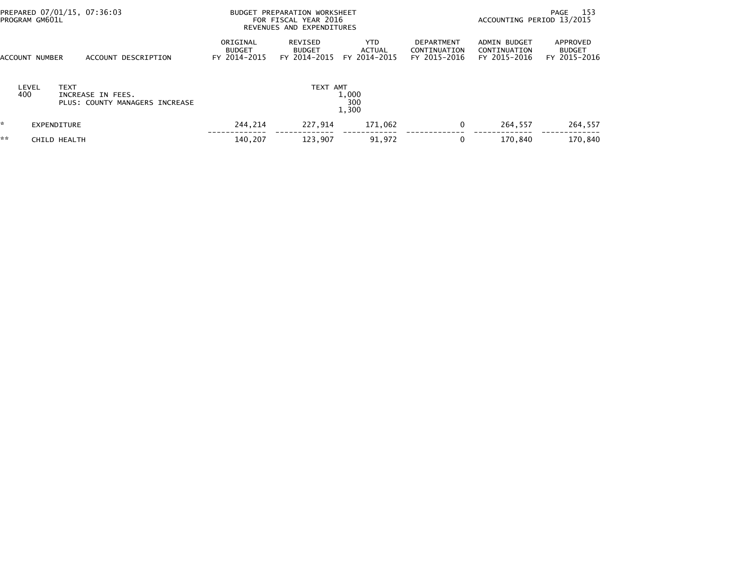| PREPARED 07/01/15, 07:36:03<br>PROGRAM GM601L |                                                     | BUDGET PREPARATION WORKSHEET<br>FOR FISCAL YEAR 2016<br>REVENUES AND EXPENDITURES |                                          |                                       |                                                   | PAGE 153<br>ACCOUNTING PERIOD 13/2015        |                                           |  |
|-----------------------------------------------|-----------------------------------------------------|-----------------------------------------------------------------------------------|------------------------------------------|---------------------------------------|---------------------------------------------------|----------------------------------------------|-------------------------------------------|--|
| ACCOUNT NUMBER                                | ACCOUNT DESCRIPTION                                 | ORIGINAL<br><b>BUDGET</b><br>FY 2014-2015                                         | REVISED<br><b>BUDGET</b><br>FY 2014-2015 | YTD.<br><b>ACTUAL</b><br>FY 2014-2015 | <b>DEPARTMENT</b><br>CONTINUATION<br>FY 2015-2016 | ADMIN BUDGET<br>CONTINUATION<br>FY 2015-2016 | APPROVED<br><b>BUDGET</b><br>FY 2015-2016 |  |
| LEVEL<br><b>TEXT</b><br>400                   | INCREASE IN FEES.<br>PLUS: COUNTY MANAGERS INCREASE |                                                                                   | TEXT AMT                                 | 1,000<br>300<br>1,300                 |                                                   |                                              |                                           |  |
| W.<br>EXPENDITURE                             |                                                     | 244.214                                                                           | 227.914                                  | 171,062                               | 0                                                 | 264.557                                      | 264,557                                   |  |
| **<br>CHILD HEALTH                            |                                                     | 140,207                                                                           | 123,907                                  | 91,972                                | 0                                                 | 170.840                                      | 170,840                                   |  |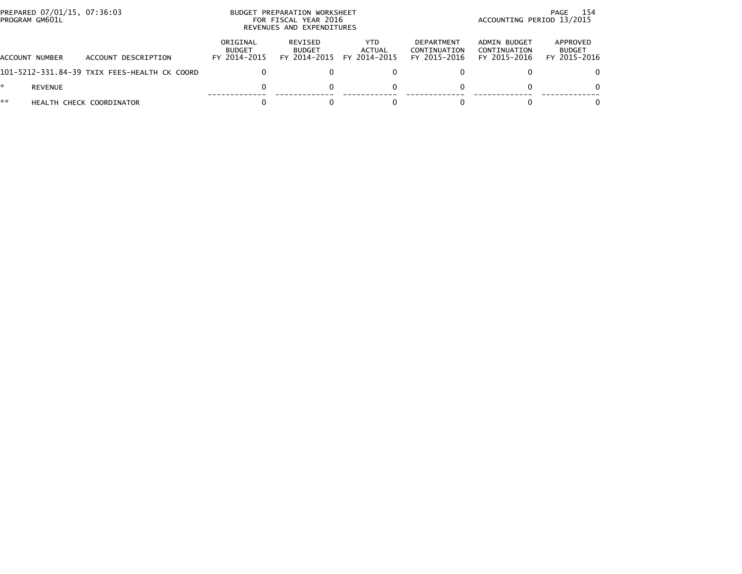| PREPARED 07/01/15, 07:36:03<br>PROGRAM GM601L |                                              | BUDGET PREPARATION WORKSHEET<br>FOR FISCAL YEAR 2016<br>REVENUES AND EXPENDITURES |                                          |                                |                                            |                                              | 154<br>PAGE<br>ACCOUNTING PERIOD 13/2015  |
|-----------------------------------------------|----------------------------------------------|-----------------------------------------------------------------------------------|------------------------------------------|--------------------------------|--------------------------------------------|----------------------------------------------|-------------------------------------------|
| ACCOUNT NUMBER                                | ACCOUNT DESCRIPTION                          | ORIGINAL<br><b>BUDGET</b><br>FY 2014-2015                                         | REVISED<br><b>BUDGET</b><br>FY 2014-2015 | YTD.<br>ACTUAL<br>FY 2014-2015 | DEPARTMENT<br>CONTINUATION<br>FY 2015-2016 | ADMIN BUDGET<br>CONTINUATION<br>FY 2015-2016 | APPROVED<br><b>BUDGET</b><br>FY 2015-2016 |
|                                               | 101-5212-331.84-39 TXIX FEES-HEALTH CK COORD |                                                                                   |                                          |                                |                                            |                                              | 0                                         |
| <b>REVENUE</b>                                |                                              |                                                                                   |                                          |                                |                                            | $\Omega$                                     | $\Omega$                                  |
| **                                            | HEALTH CHECK COORDINATOR                     |                                                                                   |                                          |                                |                                            |                                              |                                           |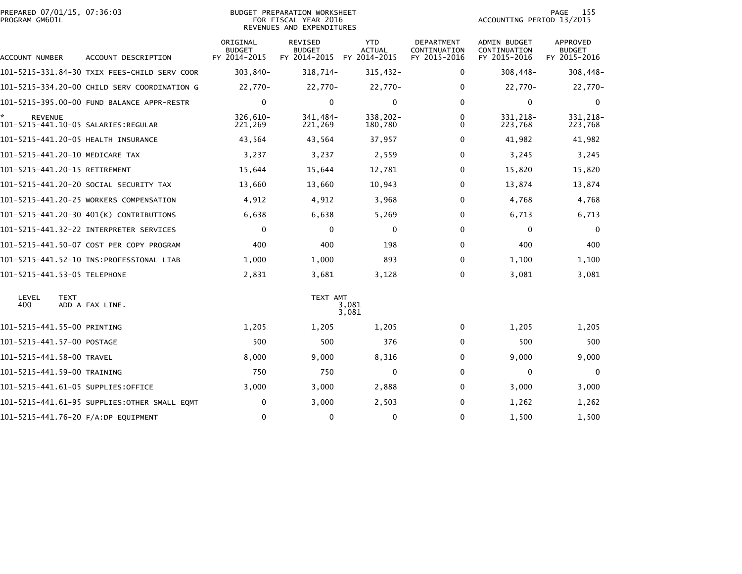| PREPARED 07/01/15, 07:36:03<br>PROGRAM GM601L |             |                                              |                                           | <b>BUDGET PREPARATION WORKSHEET</b><br>FOR FISCAL YEAR 2016<br>REVENUES AND EXPENDITURES |                                             |                                            | ACCOUNTING PERIOD 13/2015                    | 155<br>PAGE                               |
|-----------------------------------------------|-------------|----------------------------------------------|-------------------------------------------|------------------------------------------------------------------------------------------|---------------------------------------------|--------------------------------------------|----------------------------------------------|-------------------------------------------|
| ACCOUNT NUMBER                                |             | ACCOUNT DESCRIPTION                          | ORIGINAL<br><b>BUDGET</b><br>FY 2014-2015 | REVISED<br><b>BUDGET</b><br>FY 2014-2015                                                 | <b>YTD</b><br><b>ACTUAL</b><br>FY 2014-2015 | DEPARTMENT<br>CONTINUATION<br>FY 2015-2016 | ADMIN BUDGET<br>CONTINUATION<br>FY 2015-2016 | APPROVED<br><b>BUDGET</b><br>FY 2015-2016 |
|                                               |             | 101-5215-331.84-30 TXIX FEES-CHILD SERV COOR | 303,840-                                  | 318,714-                                                                                 | 315,432-                                    | 0                                          | 308,448-                                     | 308,448-                                  |
|                                               |             | 101-5215-334.20-00 CHILD SERV COORDINATION G | 22,770-                                   | 22,770-                                                                                  | 22,770-                                     | $\mathbf{0}$                               | 22,770-                                      | 22,770-                                   |
|                                               |             | 101-5215-395.00-00 FUND BALANCE APPR-RESTR   | $\mathbf 0$                               | $\Omega$                                                                                 | $\mathbf 0$                                 | $\mathbf{0}$                               | 0                                            | 0                                         |
| <b>REVENUE</b>                                |             |                                              | 326.610-<br>221,269                       | 341.484-<br>221,269                                                                      | 338,202-<br>180,780                         | $\Omega$<br>$\Omega$                       | 331.218-<br>223,768                          | 331, 218-<br>223,768                      |
|                                               |             | 101-5215-441.20-05 HEALTH INSURANCE          | 43,564                                    | 43,564                                                                                   | 37,957                                      | $\mathbf{0}$                               | 41,982                                       | 41,982                                    |
| 101-5215-441.20-10 MEDICARE TAX               |             |                                              | 3,237                                     | 3,237                                                                                    | 2,559                                       | 0                                          | 3,245                                        | 3,245                                     |
| 101-5215-441.20-15 RETIREMENT                 |             |                                              | 15,644                                    | 15,644                                                                                   | 12,781                                      | $\mathbf{0}$                               | 15,820                                       | 15,820                                    |
|                                               |             | 101–5215–441.20–20 SOCIAL SECURITY TAX       | 13,660                                    | 13,660                                                                                   | 10,943                                      | $\mathbf{0}$                               | 13,874                                       | 13,874                                    |
|                                               |             | 101-5215-441.20-25 WORKERS COMPENSATION      | 4,912                                     | 4,912                                                                                    | 3,968                                       | $\mathbf{0}$                               | 4,768                                        | 4,768                                     |
|                                               |             | 101-5215-441.20-30 401(K) CONTRIBUTIONS      | 6,638                                     | 6,638                                                                                    | 5,269                                       | 0                                          | 6,713                                        | 6,713                                     |
|                                               |             |                                              | $\mathbf 0$                               | $\mathbf{0}$                                                                             | $\mathbf 0$                                 | $\Omega$                                   | $\mathbf 0$                                  | $\mathbf{0}$                              |
|                                               |             | 101-5215-441.50-07 COST PER COPY PROGRAM     | 400                                       | 400                                                                                      | 198                                         | $\mathbf{0}$                               | 400                                          | 400                                       |
|                                               |             |                                              | 1,000                                     | 1,000                                                                                    | 893                                         | 0                                          | 1,100                                        | 1,100                                     |
| 101-5215-441.53-05 TELEPHONE                  |             |                                              | 2,831                                     | 3,681                                                                                    | 3,128                                       | 0                                          | 3,081                                        | 3,081                                     |
| LEVEL<br>400                                  | <b>TEXT</b> | ADD A FAX LINE.                              |                                           | TEXT AMT                                                                                 | 3,081<br>3,081                              |                                            |                                              |                                           |
| 101-5215-441.55-00 PRINTING                   |             |                                              | 1,205                                     | 1,205                                                                                    | 1,205                                       | $\mathbf{0}$                               | 1,205                                        | 1,205                                     |
| 101-5215-441.57-00 POSTAGE                    |             |                                              | 500                                       | 500                                                                                      | 376                                         | $\mathbf 0$                                | 500                                          | 500                                       |
| 101-5215-441.58-00 TRAVEL                     |             |                                              | 8,000                                     | 9,000                                                                                    | 8,316                                       | 0                                          | 9,000                                        | 9,000                                     |
| 101-5215-441.59-00 TRAINING                   |             |                                              | 750                                       | 750                                                                                      | $\Omega$                                    | 0                                          | $\mathbf{0}$                                 | $\Omega$                                  |
|                                               |             | 101-5215-441.61-05 SUPPLIES:OFFICE           | 3,000                                     | 3,000                                                                                    | 2,888                                       | $\mathbf{0}$                               | 3,000                                        | 3,000                                     |
|                                               |             | 101–5215–441.61–95 SUPPLIES:OTHER SMALL EQMT | 0                                         | 3,000                                                                                    | 2,503                                       | $\mathbf{0}$                               | 1,262                                        | 1,262                                     |
|                                               |             | 101-5215-441.76-20 F/A:DP EQUIPMENT          | 0                                         | 0                                                                                        | 0                                           | 0                                          | 1,500                                        | 1,500                                     |
|                                               |             |                                              |                                           |                                                                                          |                                             |                                            |                                              |                                           |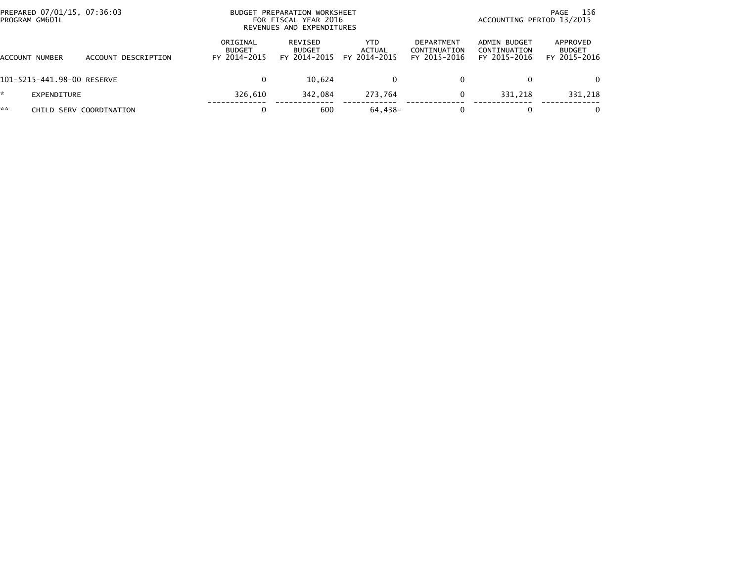| PREPARED 07/01/15, 07:36:03<br>PROGRAM GM601L |                         | <b>BUDGET</b>                             | PREPARATION WORKSHEET<br>FOR FISCAL YEAR 2016<br>REVENUES AND EXPENDITURES |                                |                                                   |                                              | 156<br>PAGE<br>ACCOUNTING PERIOD 13/2015  |  |  |  |
|-----------------------------------------------|-------------------------|-------------------------------------------|----------------------------------------------------------------------------|--------------------------------|---------------------------------------------------|----------------------------------------------|-------------------------------------------|--|--|--|
| ACCOUNT NUMBER                                | ACCOUNT DESCRIPTION     | ORIGINAL<br><b>BUDGET</b><br>FY 2014-2015 | <b>REVISED</b><br><b>BUDGET</b><br>FY 2014-2015                            | YTD.<br>ACTUAL<br>FY 2014-2015 | <b>DEPARTMENT</b><br>CONTINUATION<br>FY 2015-2016 | ADMIN BUDGET<br>CONTINUATION<br>FY 2015-2016 | APPROVED<br><b>BUDGET</b><br>FY 2015-2016 |  |  |  |
| 101-5215-441.98-00 RESERVE                    |                         | $\Omega$                                  | 10.624                                                                     | 0                              |                                                   | 0                                            | $\Omega$                                  |  |  |  |
| EXPENDITURE                                   |                         | 326.610                                   | 342.084                                                                    | 273.764                        |                                                   | 331.218                                      | 331,218                                   |  |  |  |
| **                                            | CHILD SERV COORDINATION |                                           | 600                                                                        | 64,438-                        |                                                   | 0                                            |                                           |  |  |  |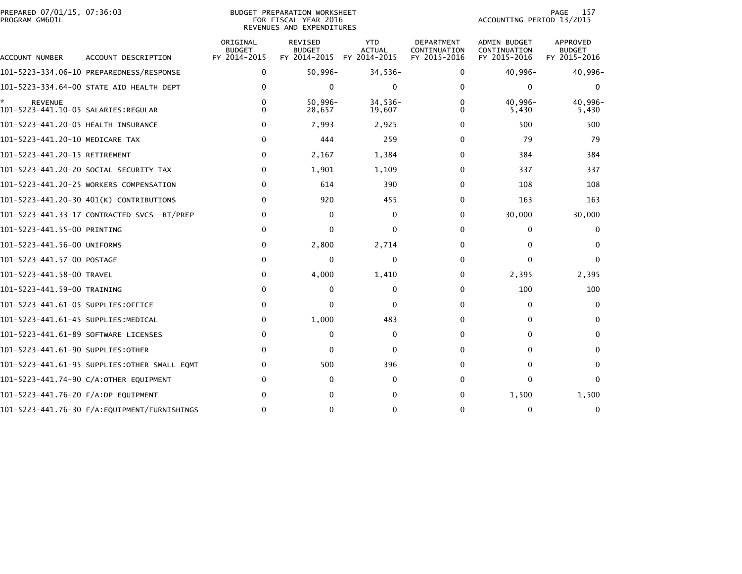| PREPARED 07/01/15, 07:36:03<br>PROGRAM GM601L               |                                              |                                           | BUDGET PREPARATION WORKSHEET<br>FOR FISCAL YEAR 2016<br>REVENUES AND EXPENDITURES |                                             |                                            | ACCOUNTING PERIOD 13/2015                    | 157<br>PAGE                                      |
|-------------------------------------------------------------|----------------------------------------------|-------------------------------------------|-----------------------------------------------------------------------------------|---------------------------------------------|--------------------------------------------|----------------------------------------------|--------------------------------------------------|
| ACCOUNT NUMBER                                              | ACCOUNT DESCRIPTION                          | ORIGINAL<br><b>BUDGET</b><br>FY 2014-2015 | <b>REVISED</b><br><b>BUDGET</b><br>FY 2014-2015                                   | <b>YTD</b><br><b>ACTUAL</b><br>FY 2014-2015 | DEPARTMENT<br>CONTINUATION<br>FY 2015-2016 | ADMIN BUDGET<br>CONTINUATION<br>FY 2015-2016 | <b>APPROVED</b><br><b>BUDGET</b><br>FY 2015-2016 |
|                                                             |                                              | 0                                         | 50,996-                                                                           | $34,536-$                                   | 0                                          | 40,996-                                      | $40,996-$                                        |
|                                                             | 101-5223-334.64-00 STATE AID HEALTH DEPT     | $\Omega$                                  | $\mathbf{0}$                                                                      | $\mathbf{0}$                                | 0                                          | $\Omega$                                     | $\mathbf{0}$                                     |
| ÷.<br><b>REVENUE</b><br>101-5223-441.10-05 SALARIES:REGULAR |                                              | 0<br>0                                    | $50,996 -$<br>28,657                                                              | $34,536-$<br>19,607                         | 0<br>0                                     | 40,996-<br>5,430                             | 40,996-<br>5,430                                 |
| 101-5223-441.20-05 HEALTH INSURANCE                         |                                              | 0                                         | 7,993                                                                             | 2,925                                       | 0                                          | 500                                          | 500                                              |
| 101-5223-441.20-10 MEDICARE TAX                             |                                              | $\Omega$                                  | 444                                                                               | 259                                         | 0                                          | 79                                           | 79                                               |
| 101-5223-441.20-15 RETIREMENT                               |                                              | 0                                         | 2,167                                                                             | 1,384                                       | 0                                          | 384                                          | 384                                              |
|                                                             | 101-5223-441.20-20 SOCIAL SECURITY TAX       | 0                                         | 1,901                                                                             | 1,109                                       | 0                                          | 337                                          | 337                                              |
|                                                             | 101-5223-441.20-25 WORKERS COMPENSATION      | 0                                         | 614                                                                               | 390                                         | 0                                          | 108                                          | 108                                              |
|                                                             | 101-5223-441.20-30 401(K) CONTRIBUTIONS      | 0                                         | 920                                                                               | 455                                         | O.                                         | 163                                          | 163                                              |
|                                                             | 101-5223-441.33-17 CONTRACTED SVCS -BT/PREP  | 0                                         | $\Omega$                                                                          | 0                                           | 0                                          | 30,000                                       | 30,000                                           |
| 101-5223-441.55-00 PRINTING                                 |                                              | 0                                         | $\Omega$                                                                          | $\Omega$                                    | 0                                          | $\Omega$                                     | 0                                                |
| 101-5223-441.56-00 UNIFORMS                                 |                                              | 0                                         | 2,800                                                                             | 2,714                                       | 0                                          | $\Omega$                                     | $\mathbf{0}$                                     |
| 101-5223-441.57-00 POSTAGE                                  |                                              | $\Omega$                                  | $\Omega$                                                                          | $\Omega$                                    | 0                                          | $\Omega$                                     | $\Omega$                                         |
| 101-5223-441.58-00 TRAVEL                                   |                                              | 0                                         | 4,000                                                                             | 1,410                                       | 0                                          | 2,395                                        | 2,395                                            |
| 101-5223-441.59-00 TRAINING                                 |                                              | 0                                         | 0                                                                                 | 0                                           | 0                                          | 100                                          | 100                                              |
| 101-5223-441.61-05 SUPPLIES:OFFICE                          |                                              | $\Omega$                                  | $\Omega$                                                                          | $\mathbf{0}$                                | 0                                          | $\Omega$                                     | $\mathbf{0}$                                     |
| 101-5223-441.61-45 SUPPLIES:MEDICAL                         |                                              | 0                                         | 1,000                                                                             | 483                                         | 0                                          | $\Omega$                                     | 0                                                |
| 101-5223-441.61-89 SOFTWARE LICENSES                        |                                              | 0                                         | $\Omega$                                                                          | 0                                           | 0                                          | $\Omega$                                     | 0                                                |
| 101-5223-441.61-90 SUPPLIES:OTHER                           |                                              | 0                                         | $\Omega$                                                                          | 0                                           | 0                                          | 0                                            | 0                                                |
|                                                             | 101-5223-441.61-95 SUPPLIES:OTHER SMALL EQMT | $\Omega$                                  | 500                                                                               | 396                                         | 0                                          | $\Omega$                                     | 0                                                |
|                                                             | 101-5223-441.74-90 C/A:OTHER EQUIPMENT       | 0                                         | 0                                                                                 | $\mathbf{0}$                                | 0                                          | $\Omega$                                     | $\mathbf{0}$                                     |
| 101-5223-441.76-20 F/A:DP EQUIPMENT                         |                                              |                                           |                                                                                   | 0                                           | 0                                          | 1,500                                        | 1,500                                            |
|                                                             | 101-5223-441.76-30 F/A:EQUIPMENT/FURNISHINGS | 0                                         | 0                                                                                 | 0                                           | 0                                          | $\Omega$                                     | 0                                                |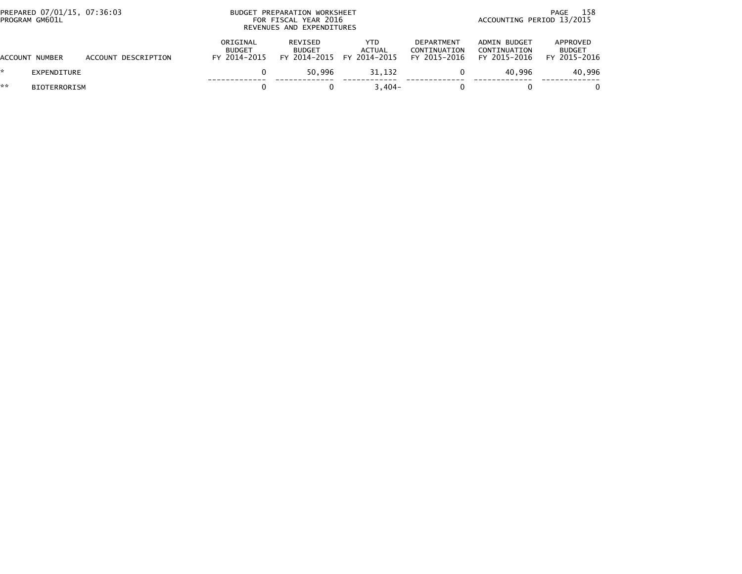|    | PREPARED 07/01/15, 07:36:03<br>PROGRAM GM601L |                     | PREPARATION WORKSHEET<br>BUDGET<br>FOR FISCAL YEAR 2016<br>REVENUES AND EXPENDITURES | 158<br>PAGE<br>ACCOUNTING PERIOD 13/2015 |                                                   |                                                   |                                              |                                           |
|----|-----------------------------------------------|---------------------|--------------------------------------------------------------------------------------|------------------------------------------|---------------------------------------------------|---------------------------------------------------|----------------------------------------------|-------------------------------------------|
|    | ACCOUNT NUMBER                                | ACCOUNT DESCRIPTION | ORIGINAL<br><b>BUDGET</b><br>FY 2014-2015                                            | REVISED<br><b>BUDGET</b>                 | YTD<br><b>ACTUAL</b><br>FY 2014-2015 FY 2014-2015 | <b>DEPARTMENT</b><br>CONTINUATION<br>FY 2015-2016 | ADMIN BUDGET<br>CONTINUATION<br>FY 2015-2016 | APPROVED<br><b>BUDGET</b><br>FY 2015-2016 |
| ÷. | <b>EXPENDITURE</b>                            |                     |                                                                                      | 50.996                                   | 31,132                                            |                                                   | 40.996                                       | 40,996                                    |
| ** | <b>BIOTERRORISM</b>                           |                     |                                                                                      |                                          | $3.404 -$                                         |                                                   |                                              |                                           |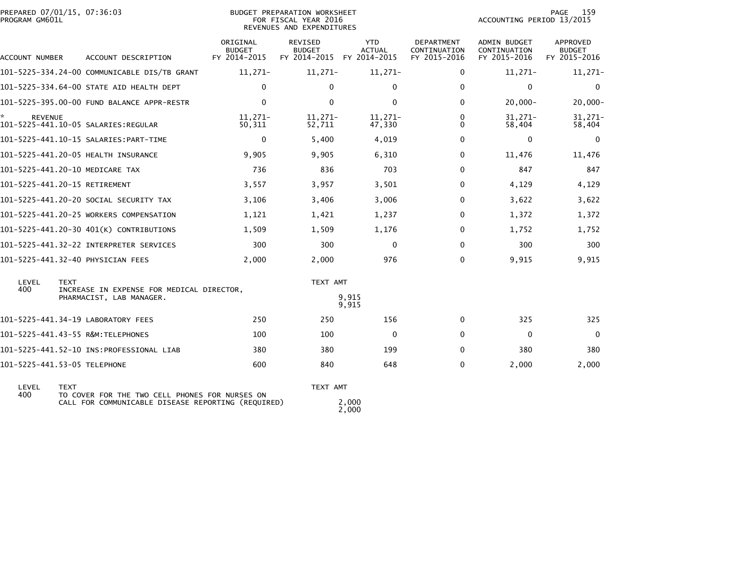| PREPARED 07/01/15, 07:36:03<br>PROGRAM GM601L |                                              |                                           | BUDGET PREPARATION WORKSHEET<br>FOR FISCAL YEAR 2016<br>REVENUES AND EXPENDITURES |                             |                                            | ACCOUNTING PERIOD 13/2015                           | 159<br>PAGE                               |
|-----------------------------------------------|----------------------------------------------|-------------------------------------------|-----------------------------------------------------------------------------------|-----------------------------|--------------------------------------------|-----------------------------------------------------|-------------------------------------------|
| ACCOUNT NUMBER                                | ACCOUNT DESCRIPTION                          | ORIGINAL<br><b>BUDGET</b><br>FY 2014-2015 | REVISED<br><b>BUDGET</b><br>FY 2014-2015 FY 2014-2015                             | <b>YTD</b><br><b>ACTUAL</b> | DEPARTMENT<br>CONTINUATION<br>FY 2015-2016 | <b>ADMIN BUDGET</b><br>CONTINUATION<br>FY 2015-2016 | APPROVED<br><b>BUDGET</b><br>FY 2015-2016 |
|                                               | 101-5225-334.24-00 COMMUNICABLE DIS/TB GRANT | $11,271-$                                 | $11,271-$                                                                         | $11,271-$                   | 0                                          | $11,271-$                                           | $11,271-$                                 |
|                                               | 101-5225-334.64-00 STATE AID HEALTH DEPT     | $\mathbf 0$                               | 0                                                                                 | $\Omega$                    | $\Omega$                                   | 0                                                   | 0                                         |
|                                               | 101-5225-395.00-00 FUND BALANCE APPR-RESTR   | $\Omega$                                  | $\mathbf{0}$                                                                      | $\Omega$                    | 0                                          | $20,000 -$                                          | $20,000 -$                                |
| *<br><b>REVENUE</b>                           |                                              | $11.271-$<br>50,311                       | $11,271-$<br>52,711                                                               | $11,271-$<br>47,330         | $\Omega$<br>$\Omega$                       | $31,271-$<br>58,404                                 | $31,271-$<br>58,404                       |
|                                               |                                              | $\mathbf 0$                               | 5,400                                                                             | 4,019                       | 0                                          | 0                                                   | $\Omega$                                  |
|                                               | 101-5225-441.20-05 HEALTH INSURANCE          | 9,905                                     | 9,905                                                                             | 6,310                       | 0                                          | 11,476                                              | 11,476                                    |
| 101-5225-441.20-10 MEDICARE TAX               |                                              | 736                                       | 836                                                                               | 703                         | 0                                          | 847                                                 | 847                                       |
| 101-5225-441.20-15 RETIREMENT                 |                                              | 3,557                                     | 3,957                                                                             | 3,501                       | 0                                          | 4,129                                               | 4,129                                     |
|                                               | 101-5225-441.20-20 SOCIAL SECURITY TAX       | 3,106                                     | 3,406                                                                             | 3,006                       | 0                                          | 3,622                                               | 3,622                                     |
|                                               | 101-5225-441.20-25 WORKERS COMPENSATION      | 1,121                                     | 1,421                                                                             | 1.237                       | $\Omega$                                   | 1,372                                               | 1,372                                     |
|                                               | 101-5225-441.20-30 401(K) CONTRIBUTIONS      | 1,509                                     | 1,509                                                                             | 1,176                       | 0                                          | 1,752                                               | 1,752                                     |
|                                               | 101-5225-441.32-22 INTERPRETER SERVICES      | 300                                       | 300                                                                               | $\Omega$                    | $\Omega$                                   | 300                                                 | 300                                       |
|                                               | 101-5225-441.32-40 PHYSICIAN FEES            | 2,000                                     | 2,000                                                                             | 976                         | $\Omega$                                   | 9,915                                               | 9,915                                     |
| LEVEL<br><b>TEXT</b><br>400                   | INCREASE IN EXPENSE FOR MEDICAL DIRECTOR,    |                                           | TEXT AMT                                                                          |                             |                                            |                                                     |                                           |
|                                               | PHARMACIST, LAB MANAGER.                     |                                           |                                                                                   | 9,915<br>9,915              |                                            |                                                     |                                           |
|                                               | 101-5225-441.34-19 LABORATORY FEES           | 250                                       | 250                                                                               | 156                         | $\mathbf{0}$                               | 325                                                 | 325                                       |
|                                               | 101-5225-441.43-55 R&M:TELEPHONES            | 100                                       | 100                                                                               | $\Omega$                    | $\Omega$                                   | $\Omega$                                            | $\Omega$                                  |
|                                               |                                              | 380                                       | 380                                                                               | 199                         | $\Omega$                                   | 380                                                 | 380                                       |
| 101-5225-441.53-05 TELEPHONE                  |                                              | 600                                       | 840                                                                               | 648                         | $\Omega$                                   | 2,000                                               | 2,000                                     |
| $\mathbf{F}$                                  |                                              |                                           | $TIVT$ $MTT$                                                                      |                             |                                            |                                                     |                                           |

 LEVEL TEXT TEXT AMT 400 TO COVER FOR THE TWO CELL PHONES FOR NURSES ON CALL FOR COMMUNICABLE DISEASE REPORTING (REQUIRED) 2,0002,000

 $\frac{2}{2},\frac{000}{000}$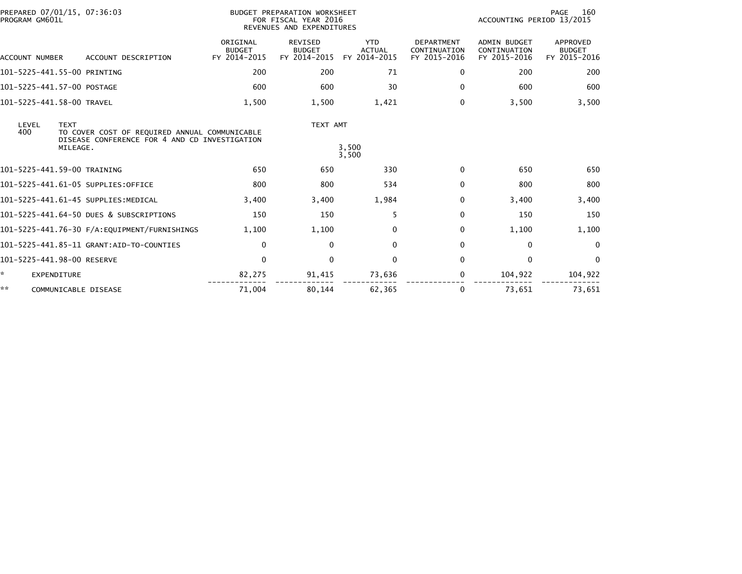|              | PROGRAM GM601L     | PREPARED 07/01/15, 07:36:03                                                                                |                                           | BUDGET PREPARATION WORKSHEET<br>FOR FISCAL YEAR 2016<br>REVENUES AND EXPENDITURES |                                             |                                                   | ACCOUNTING PERIOD 13/2015                           | 160<br>PAGE                               |
|--------------|--------------------|------------------------------------------------------------------------------------------------------------|-------------------------------------------|-----------------------------------------------------------------------------------|---------------------------------------------|---------------------------------------------------|-----------------------------------------------------|-------------------------------------------|
|              | ACCOUNT NUMBER     | ACCOUNT DESCRIPTION                                                                                        | ORIGINAL<br><b>BUDGET</b><br>FY 2014-2015 | REVISED<br><b>BUDGET</b><br>FY 2014-2015                                          | <b>YTD</b><br><b>ACTUAL</b><br>FY 2014-2015 | <b>DEPARTMENT</b><br>CONTINUATION<br>FY 2015-2016 | <b>ADMIN BUDGET</b><br>CONTINUATION<br>FY 2015-2016 | APPROVED<br><b>BUDGET</b><br>FY 2015-2016 |
|              |                    | 101-5225-441.55-00 PRINTING                                                                                | 200                                       | 200                                                                               | 71                                          | 0                                                 | 200                                                 | 200                                       |
|              |                    | 101-5225-441.57-00 POSTAGE                                                                                 | 600                                       | 600                                                                               | 30                                          | $\Omega$                                          | 600                                                 | 600                                       |
|              |                    | 101-5225-441.58-00 TRAVEL                                                                                  | 1,500                                     | 1,500                                                                             | 1,421                                       | $\Omega$                                          | 3,500                                               | 3,500                                     |
| LEVEL<br>400 | <b>TEXT</b>        | TO COVER COST OF REQUIRED ANNUAL COMMUNICABLE<br>DISEASE CONFERENCE FOR 4 AND CD INVESTIGATION<br>MILEAGE. |                                           | TEXT AMT                                                                          | 3,500<br>3,500                              |                                                   |                                                     |                                           |
|              |                    | 101-5225-441.59-00 TRAINING                                                                                | 650                                       | 650                                                                               | 330                                         | 0                                                 | 650                                                 | 650                                       |
|              |                    | 101-5225-441.61-05 SUPPLIES:OFFICE                                                                         | 800                                       | 800                                                                               | 534                                         | $\Omega$                                          | 800                                                 | 800                                       |
|              |                    | 101-5225-441.61-45 SUPPLIES:MEDICAL                                                                        | 3,400                                     | 3,400                                                                             | 1,984                                       | $\Omega$                                          | 3,400                                               | 3,400                                     |
|              |                    | 101-5225-441.64-50 DUES & SUBSCRIPTIONS                                                                    | 150                                       | 150                                                                               | 5                                           | $\Omega$                                          | 150                                                 | 150                                       |
|              |                    |                                                                                                            | 1,100                                     | 1,100                                                                             | $\mathbf{0}$                                | $\Omega$                                          | 1,100                                               | 1,100                                     |
|              |                    | 101-5225-441.85-11 GRANT:AID-TO-COUNTIES                                                                   | $\mathbf 0$                               | $\mathbf{0}$                                                                      | $\mathbf{0}$                                | $\Omega$                                          | $\mathbf 0$                                         | $\Omega$                                  |
|              |                    | 101-5225-441.98-00 RESERVE                                                                                 | $\mathbf 0$                               | $\mathbf 0$                                                                       | $\mathbf 0$                                 | 0                                                 | $\mathbf 0$                                         | $\mathbf 0$                               |
| ×.           | <b>EXPENDITURE</b> |                                                                                                            | 82,275                                    | 91,415                                                                            | 73,636                                      | 0                                                 | 104,922                                             | 104,922                                   |
| **           |                    | COMMUNICABLE DISEASE                                                                                       | 71,004                                    | 80.144                                                                            | 62,365                                      | 0                                                 | 73,651                                              | 73.651                                    |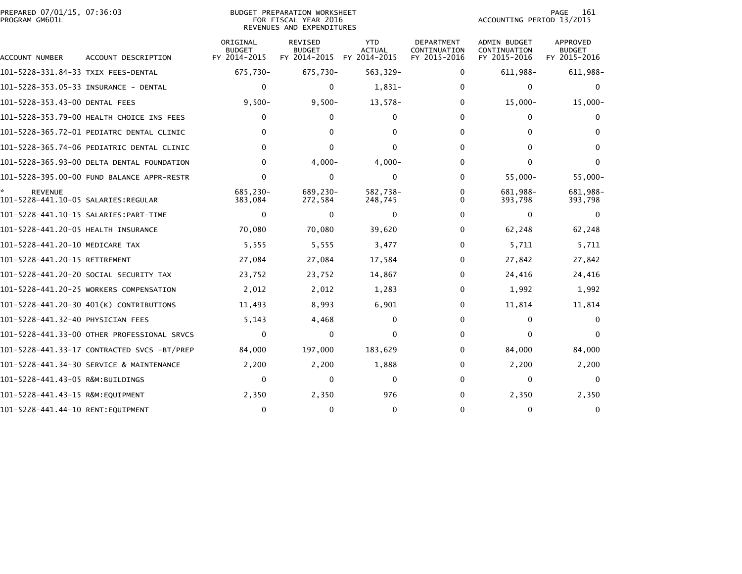| PREPARED 07/01/15, 07:36:03<br>PROGRAM GM601L |                                             |                                           | <b>BUDGET PREPARATION WORKSHEET</b><br>FOR FISCAL YEAR 2016<br>REVENUES AND EXPENDITURES |                                             |                                                   | ACCOUNTING PERIOD 13/2015                           | 161<br>PAGE                                      |
|-----------------------------------------------|---------------------------------------------|-------------------------------------------|------------------------------------------------------------------------------------------|---------------------------------------------|---------------------------------------------------|-----------------------------------------------------|--------------------------------------------------|
| ACCOUNT NUMBER                                | ACCOUNT DESCRIPTION                         | ORIGINAL<br><b>BUDGET</b><br>FY 2014-2015 | <b>REVISED</b><br><b>BUDGET</b><br>FY 2014-2015                                          | <b>YTD</b><br><b>ACTUAL</b><br>FY 2014-2015 | <b>DEPARTMENT</b><br>CONTINUATION<br>FY 2015-2016 | <b>ADMIN BUDGET</b><br>CONTINUATION<br>FY 2015-2016 | <b>APPROVED</b><br><b>BUDGET</b><br>FY 2015-2016 |
| 101-5228-331.84-33 TXIX FEES-DENTAL           |                                             | 675,730-                                  | 675,730-                                                                                 | 563,329-                                    | 0                                                 | 611,988-                                            | 611,988-                                         |
|                                               |                                             | $\mathbf{0}$                              | 0                                                                                        | 1,831-                                      | $\Omega$                                          | $\mathbf{0}$                                        | 0                                                |
| 101-5228-353.43-00 DENTAL FEES                |                                             | $9,500-$                                  | $9,500 -$                                                                                | 13,578-                                     | 0                                                 | $15,000 -$                                          | $15,000 -$                                       |
|                                               | 101-5228-353.79-00 HEALTH CHOICE INS FEES   | 0                                         | 0                                                                                        | 0                                           | 0                                                 | 0                                                   | 0                                                |
|                                               | 101-5228-365.72-01 PEDIATRC DENTAL CLINIC   | 0                                         | 0                                                                                        | $\Omega$                                    | 0                                                 | $\mathbf{0}$                                        | 0                                                |
|                                               | 101-5228-365.74-06 PEDIATRIC DENTAL CLINIC  | $\Omega$                                  | $\Omega$                                                                                 | $\Omega$                                    | 0                                                 | $\Omega$                                            | $\mathbf{0}$                                     |
|                                               | 101-5228-365.93-00 DELTA DENTAL FOUNDATION  | $\Omega$                                  | $4,000 -$                                                                                | $4,000 -$                                   | 0                                                 | $\mathbf{0}$                                        | $\mathbf{0}$                                     |
|                                               | 101-5228-395.00-00 FUND BALANCE APPR-RESTR  | $\Omega$                                  | $\mathbf{0}$                                                                             | 0                                           | 0                                                 | $55,000 -$                                          | $55,000 -$                                       |
| <b>REVENUE</b>                                |                                             | 685.230-<br>383,084                       | 689.230-<br>272,584                                                                      | 582.738-<br>248,745                         | 0<br>$\Omega$                                     | 681.988-<br>393,798                                 | 681,988-<br>393,798                              |
|                                               |                                             | 0                                         | $\mathbf{0}$                                                                             | $\Omega$                                    | 0                                                 | $\mathbf{0}$                                        | 0                                                |
| 101-5228-441.20-05 HEALTH INSURANCE           |                                             | 70,080                                    | 70,080                                                                                   | 39,620                                      | 0                                                 | 62,248                                              | 62,248                                           |
| 101-5228-441.20-10 MEDICARE TAX               |                                             | 5,555                                     | 5,555                                                                                    | 3,477                                       | 0                                                 | 5,711                                               | 5,711                                            |
| 101-5228-441.20-15 RETIREMENT                 |                                             | 27,084                                    | 27,084                                                                                   | 17,584                                      | 0                                                 | 27,842                                              | 27,842                                           |
|                                               | 101-5228-441.20-20 SOCIAL SECURITY TAX      | 23,752                                    | 23,752                                                                                   | 14,867                                      | 0                                                 | 24,416                                              | 24,416                                           |
|                                               | 101-5228-441.20-25 WORKERS COMPENSATION     | 2,012                                     | 2,012                                                                                    | 1,283                                       | 0                                                 | 1,992                                               | 1,992                                            |
|                                               | 101-5228-441.20-30 401(K) CONTRIBUTIONS     | 11,493                                    | 8,993                                                                                    | 6,901                                       | 0                                                 | 11,814                                              | 11,814                                           |
| 101-5228-441.32-40 PHYSICIAN FEES             |                                             | 5,143                                     | 4,468                                                                                    | $\Omega$                                    | 0                                                 | $\mathbf{0}$                                        | 0                                                |
|                                               | 101-5228-441.33-00 OTHER PROFESSIONAL SRVCS | 0                                         | $\mathbf{0}$                                                                             | $\Omega$                                    | 0                                                 | 0                                                   | 0                                                |
|                                               | 101-5228-441.33-17 CONTRACTED SVCS -BT/PREP | 84,000                                    | 197,000                                                                                  | 183,629                                     | 0                                                 | 84,000                                              | 84,000                                           |
|                                               | 101-5228-441.34-30 SERVICE & MAINTENANCE    | 2,200                                     | 2,200                                                                                    | 1,888                                       | 0                                                 | 2,200                                               | 2,200                                            |
| 101-5228-441.43-05 R&M:BUILDINGS              |                                             | 0                                         | 0                                                                                        | 0                                           | $\Omega$                                          | $\mathbf{0}$                                        | $\mathbf{0}$                                     |
| 101-5228-441.43-15 R&M:EQUIPMENT              |                                             | 2,350                                     | 2,350                                                                                    | 976                                         | 0                                                 | 2,350                                               | 2,350                                            |
| 101-5228-441.44-10 RENT:EQUIPMENT             |                                             | $\Omega$                                  | 0                                                                                        | $\Omega$                                    | $\Omega$                                          | $\mathbf{0}$                                        | 0                                                |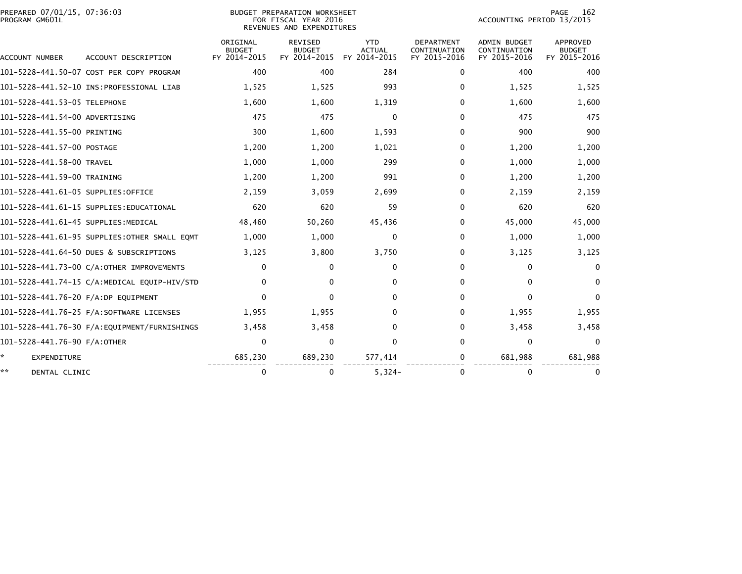| PREPARED 07/01/15, 07:36:03<br>PROGRAM GM601L |                                              |                                           | <b>BUDGET PREPARATION WORKSHEET</b><br>FOR FISCAL YEAR 2016<br>REVENUES AND EXPENDITURES |                                             |                                                   | ACCOUNTING PERIOD 13/2015                           | 162<br>PAGE                                      |
|-----------------------------------------------|----------------------------------------------|-------------------------------------------|------------------------------------------------------------------------------------------|---------------------------------------------|---------------------------------------------------|-----------------------------------------------------|--------------------------------------------------|
| ACCOUNT NUMBER                                | ACCOUNT DESCRIPTION                          | ORIGINAL<br><b>BUDGET</b><br>FY 2014-2015 | <b>REVISED</b><br><b>BUDGET</b><br>FY 2014-2015                                          | <b>YTD</b><br><b>ACTUAL</b><br>FY 2014-2015 | <b>DEPARTMENT</b><br>CONTINUATION<br>FY 2015-2016 | <b>ADMIN BUDGET</b><br>CONTINUATION<br>FY 2015-2016 | <b>APPROVED</b><br><b>BUDGET</b><br>FY 2015-2016 |
|                                               | 101-5228-441.50-07 COST PER COPY PROGRAM     | 400                                       | 400                                                                                      | 284                                         | 0                                                 | 400                                                 | 400                                              |
|                                               |                                              | 1,525                                     | 1,525                                                                                    | 993                                         | 0                                                 | 1,525                                               | 1,525                                            |
| 101-5228-441.53-05 TELEPHONE                  |                                              | 1,600                                     | 1,600                                                                                    | 1,319                                       | 0                                                 | 1,600                                               | 1,600                                            |
| 101-5228-441.54-00 ADVERTISING                |                                              | 475                                       | 475                                                                                      | 0                                           | 0                                                 | 475                                                 | 475                                              |
| 101-5228-441.55-00 PRINTING                   |                                              | 300                                       | 1,600                                                                                    | 1,593                                       | 0                                                 | 900                                                 | 900                                              |
| 101-5228-441.57-00 POSTAGE                    |                                              | 1,200                                     | 1,200                                                                                    | 1,021                                       | 0                                                 | 1,200                                               | 1,200                                            |
| 101-5228-441.58-00 TRAVEL                     |                                              | 1,000                                     | 1,000                                                                                    | 299                                         | 0                                                 | 1,000                                               | 1,000                                            |
| 101-5228-441.59-00 TRAINING                   |                                              | 1,200                                     | 1,200                                                                                    | 991                                         | 0                                                 | 1,200                                               | 1,200                                            |
| 101-5228-441.61-05 SUPPLIES:OFFICE            |                                              | 2,159                                     | 3,059                                                                                    | 2,699                                       | $\Omega$                                          | 2,159                                               | 2,159                                            |
|                                               | 101-5228-441.61-15 SUPPLIES:EDUCATIONAL      | 620                                       | 620                                                                                      | 59                                          | $\Omega$                                          | 620                                                 | 620                                              |
| 101-5228-441.61-45 SUPPLIES:MEDICAL           |                                              | 48,460                                    | 50,260                                                                                   | 45,436                                      | 0                                                 | 45,000                                              | 45,000                                           |
|                                               | 101-5228-441.61-95 SUPPLIES:OTHER SMALL EQMT | 1,000                                     | 1,000                                                                                    | 0                                           | 0                                                 | 1,000                                               | 1,000                                            |
|                                               | 101-5228-441.64-50 DUES & SUBSCRIPTIONS      | 3,125                                     | 3,800                                                                                    | 3,750                                       | 0                                                 | 3,125                                               | 3,125                                            |
|                                               | 101-5228-441.73-00 C/A:OTHER IMPROVEMENTS    | 0                                         | 0                                                                                        | $\Omega$                                    | 0                                                 | 0                                                   | $\mathbf{0}$                                     |
|                                               | 101-5228-441.74-15 C/A:MEDICAL EQUIP-HIV/STD | 0                                         | 0                                                                                        | 0                                           | 0                                                 | $\mathbf{0}$                                        | $\Omega$                                         |
| 101-5228-441.76-20 F/A:DP EQUIPMENT           |                                              | $\Omega$                                  | 0                                                                                        | 0                                           | $\Omega$                                          | $\mathbf{0}$                                        | 0                                                |
|                                               |                                              | 1,955                                     | 1,955                                                                                    | 0                                           | 0                                                 | 1,955                                               | 1,955                                            |
|                                               |                                              | 3,458                                     | 3,458                                                                                    | 0                                           | $\Omega$                                          | 3,458                                               | 3,458                                            |
| 101-5228-441.76-90 F/A:OTHER                  |                                              | $\Omega$                                  | $\mathbf{0}$                                                                             | $\mathbf 0$                                 | $\Omega$                                          | 0                                                   | $\Omega$                                         |
| *<br><b>EXPENDITURE</b>                       |                                              | 685,230                                   | 689,230                                                                                  | 577,414                                     | 0                                                 | 681,988                                             | 681,988                                          |
| **<br>DENTAL CLINIC                           |                                              | 0                                         | 0                                                                                        | $5,324-$                                    | 0                                                 | $\mathbf{0}$                                        | 0                                                |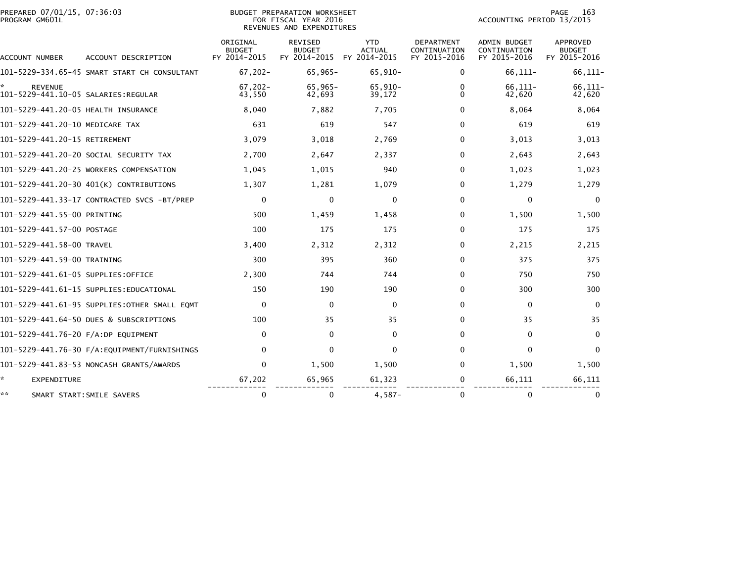| PREPARED 07/01/15, 07:36:03<br>PROGRAM GM601L |                                              |                                           | <b>BUDGET PREPARATION WORKSHEET</b><br>FOR FISCAL YEAR 2016<br>REVENUES AND EXPENDITURES |                                             |                                                   | ACCOUNTING PERIOD 13/2015                           | PAGE<br>163                               |
|-----------------------------------------------|----------------------------------------------|-------------------------------------------|------------------------------------------------------------------------------------------|---------------------------------------------|---------------------------------------------------|-----------------------------------------------------|-------------------------------------------|
| ACCOUNT NUMBER                                | ACCOUNT DESCRIPTION                          | ORIGINAL<br><b>BUDGET</b><br>FY 2014-2015 | <b>REVISED</b><br><b>BUDGET</b><br>FY 2014-2015                                          | <b>YTD</b><br><b>ACTUAL</b><br>FY 2014-2015 | <b>DEPARTMENT</b><br>CONTINUATION<br>FY 2015-2016 | <b>ADMIN BUDGET</b><br>CONTINUATION<br>FY 2015-2016 | <b>APPROVED</b><br>BUDGET<br>FY 2015-2016 |
|                                               | 101-5229-334.65-45 SMART START CH CONSULTANT | $67,202 -$                                | $65,965-$                                                                                | $65,910-$                                   | 0                                                 | $66, 111 -$                                         | $66, 111 -$                               |
| <b>REVENUE</b>                                |                                              | $67,202 -$<br>43,550                      | $65,965-$<br>42,693                                                                      | 65,910-<br>39,172                           | 0<br>$\Omega$                                     | 66,111-<br>42,620                                   | $66, 111 -$<br>42,620                     |
| 101-5229-441.20-05 HEALTH INSURANCE           |                                              | 8,040                                     | 7,882                                                                                    | 7,705                                       | 0                                                 | 8,064                                               | 8,064                                     |
| 101-5229-441.20-10 MEDICARE TAX               |                                              | 631                                       | 619                                                                                      | 547                                         | $\Omega$                                          | 619                                                 | 619                                       |
| 101-5229-441.20-15 RETIREMENT                 |                                              | 3,079                                     | 3,018                                                                                    | 2,769                                       | 0                                                 | 3,013                                               | 3,013                                     |
|                                               | 101-5229-441.20-20 SOCIAL SECURITY TAX       | 2,700                                     | 2,647                                                                                    | 2,337                                       | $\Omega$                                          | 2,643                                               | 2,643                                     |
|                                               | 101-5229-441.20-25 WORKERS COMPENSATION      | 1,045                                     | 1,015                                                                                    | 940                                         | $\Omega$                                          | 1,023                                               | 1,023                                     |
|                                               | 101-5229-441.20-30 401(K) CONTRIBUTIONS      | 1,307                                     | 1,281                                                                                    | 1,079                                       | 0                                                 | 1,279                                               | 1,279                                     |
|                                               | 101-5229-441.33-17 CONTRACTED SVCS -BT/PREP  | $\mathbf 0$                               | $\mathbf 0$                                                                              | $\mathbf 0$                                 | $\Omega$                                          | 0                                                   | 0                                         |
| 101-5229-441.55-00 PRINTING                   |                                              | 500                                       | 1,459                                                                                    | 1,458                                       | $\Omega$                                          | 1,500                                               | 1,500                                     |
| 101-5229-441.57-00 POSTAGE                    |                                              | 100                                       | 175                                                                                      | 175                                         | $\Omega$                                          | 175                                                 | 175                                       |
| 101-5229-441.58-00 TRAVEL                     |                                              | 3,400                                     | 2,312                                                                                    | 2,312                                       | $\Omega$                                          | 2,215                                               | 2,215                                     |
| 101-5229-441.59-00 TRAINING                   |                                              | 300                                       | 395                                                                                      | 360                                         | $\Omega$                                          | 375                                                 | 375                                       |
| 101–5229–441.61–05 SUPPLIES:OFFICE            |                                              | 2,300                                     | 744                                                                                      | 744                                         | 0                                                 | 750                                                 | 750                                       |
|                                               | 101-5229-441.61-15 SUPPLIES:EDUCATIONAL      | 150                                       | 190                                                                                      | 190                                         | $\Omega$                                          | 300                                                 | 300                                       |
|                                               | 101–5229–441.61–95 SUPPLIES:OTHER SMALL EOMT | $\mathbf 0$                               | $\mathbf{0}$                                                                             | $\mathbf 0$                                 | $\Omega$                                          | $\Omega$                                            | $\mathbf{0}$                              |
|                                               | 101-5229-441.64-50 DUES & SUBSCRIPTIONS      | 100                                       | 35                                                                                       | 35                                          | $\Omega$                                          | 35                                                  | 35                                        |
| 101-5229-441.76-20 F/A:DP EQUIPMENT           |                                              | 0                                         | $\mathbf{0}$                                                                             | 0                                           | $\Omega$                                          | $\Omega$                                            | $\mathbf{0}$                              |
|                                               |                                              | $\mathbf{0}$                              | 0                                                                                        | $\Omega$                                    | $\Omega$                                          | 0                                                   | $\Omega$                                  |
|                                               | 101-5229-441.83-53 NONCASH GRANTS/AWARDS     | $\Omega$                                  | 1,500                                                                                    | 1,500                                       | $\Omega$                                          | 1,500                                               | 1,500                                     |
| ×.<br><b>EXPENDITURE</b>                      |                                              | 67,202                                    | 65,965                                                                                   | 61,323                                      | 0                                                 | 66,111                                              | 66,111                                    |
| **<br>SMART START: SMILE SAVERS               |                                              | 0                                         | 0                                                                                        | $4,587-$                                    | 0                                                 | 0                                                   | 0                                         |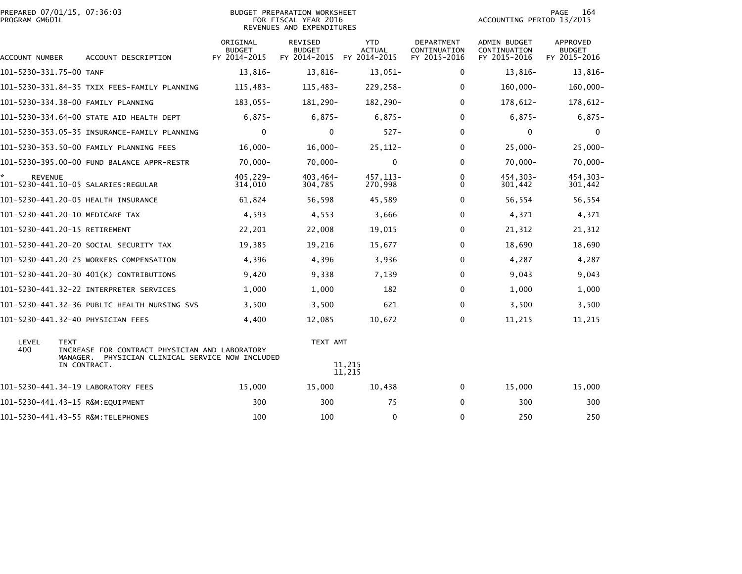| PREPARED 07/01/15, 07:36:03<br>PROGRAM GM601L |                         |                                                                                                           |                                           | <b>BUDGET PREPARATION WORKSHEET</b><br>FOR FISCAL YEAR 2016<br>REVENUES AND EXPENDITURES |                                             |                                            | ACCOUNTING PERIOD 13/2015                    | 164<br>PAGE                               |
|-----------------------------------------------|-------------------------|-----------------------------------------------------------------------------------------------------------|-------------------------------------------|------------------------------------------------------------------------------------------|---------------------------------------------|--------------------------------------------|----------------------------------------------|-------------------------------------------|
| ACCOUNT NUMBER                                |                         | ACCOUNT DESCRIPTION                                                                                       | ORIGINAL<br><b>BUDGET</b><br>FY 2014-2015 | REVISED<br><b>BUDGET</b><br>FY 2014-2015                                                 | <b>YTD</b><br><b>ACTUAL</b><br>FY 2014-2015 | DEPARTMENT<br>CONTINUATION<br>FY 2015-2016 | ADMIN BUDGET<br>CONTINUATION<br>FY 2015-2016 | APPROVED<br><b>BUDGET</b><br>FY 2015-2016 |
| 101-5230-331.75-00 TANF                       |                         |                                                                                                           | 13,816-                                   | 13,816-                                                                                  | $13,051-$                                   | 0                                          | 13,816-                                      | 13,816-                                   |
|                                               |                         | 101-5230-331.84-35 TXIX FEES-FAMILY PLANNING                                                              | 115,483-                                  | 115,483-                                                                                 | 229,258-                                    | $\Omega$                                   | $160,000 -$                                  | 160,000-                                  |
|                                               |                         | 101-5230-334.38-00 FAMILY PLANNING                                                                        | $183,055-$                                | 181,290-                                                                                 | 182,290-                                    | $\Omega$                                   | 178,612-                                     | 178,612-                                  |
|                                               |                         | 101-5230-334.64-00 STATE AID HEALTH DEPT                                                                  | $6,875-$                                  | $6,875-$                                                                                 | $6,875-$                                    | $\Omega$                                   | $6,875-$                                     | $6,875-$                                  |
|                                               |                         | 101-5230-353.05-35 INSURANCE-FAMILY PLANNING                                                              | $\mathbf 0$                               | $\mathbf 0$                                                                              | $527 -$                                     | 0                                          | 0                                            | 0                                         |
|                                               |                         | 101-5230-353.50-00 FAMILY PLANNING FEES                                                                   | $16,000 -$                                | $16,000 -$                                                                               | $25, 112 -$                                 | $\Omega$                                   | $25,000 -$                                   | $25,000-$                                 |
|                                               |                         | 101-5230-395.00-00 FUND BALANCE APPR-RESTR                                                                | $70.000 -$                                | $70,000 -$                                                                               | $\mathbf{0}$                                | $\Omega$                                   | $70,000 -$                                   | $70,000 -$                                |
| <b>REVENUE</b>                                |                         | 101-5230-441.10-05 SALARIES:REGULAR                                                                       | 405,229-<br>314,010                       | $403,464-$<br>304,785                                                                    | 457, 113-<br>270,998                        | 0<br>0                                     | 454,303-<br>301,442                          | 454,303-<br>301,442                       |
|                                               |                         | 101-5230-441.20-05 HEALTH INSURANCE                                                                       | 61,824                                    | 56,598                                                                                   | 45,589                                      | 0                                          | 56,554                                       | 56,554                                    |
|                                               |                         | 101-5230-441.20-10 MEDICARE TAX                                                                           | 4,593                                     | 4,553                                                                                    | 3,666                                       | 0                                          | 4,371                                        | 4,371                                     |
| 101-5230-441.20-15 RETIREMENT                 |                         |                                                                                                           | 22,201                                    | 22,008                                                                                   | 19,015                                      | 0                                          | 21,312                                       | 21,312                                    |
|                                               |                         | 101-5230-441.20-20 SOCIAL SECURITY TAX                                                                    | 19,385                                    | 19,216                                                                                   | 15,677                                      | $\Omega$                                   | 18,690                                       | 18,690                                    |
|                                               |                         | 101-5230-441.20-25 WORKERS COMPENSATION                                                                   | 4,396                                     | 4,396                                                                                    | 3,936                                       | 0                                          | 4,287                                        | 4,287                                     |
|                                               |                         | 101-5230-441.20-30 401(K) CONTRIBUTIONS                                                                   | 9,420                                     | 9,338                                                                                    | 7,139                                       | $\Omega$                                   | 9,043                                        | 9,043                                     |
|                                               |                         |                                                                                                           | 1,000                                     | 1,000                                                                                    | 182                                         | 0                                          | 1,000                                        | 1,000                                     |
|                                               |                         | 101-5230-441.32-36 PUBLIC HEALTH NURSING SVS                                                              | 3,500                                     | 3,500                                                                                    | 621                                         | $\Omega$                                   | 3,500                                        | 3,500                                     |
|                                               |                         | 101-5230-441.32-40 PHYSICIAN FEES                                                                         | 4,400                                     | 12,085                                                                                   | 10,672                                      | 0                                          | 11,215                                       | 11,215                                    |
| LEVEL<br>400                                  | <b>TEXT</b><br>MANAGER. | INCREASE FOR CONTRACT PHYSICIAN AND LABORATORY<br>PHYSICIAN CLINICAL SERVICE NOW INCLUDED<br>IN CONTRACT. |                                           | TEXT AMT                                                                                 | 11,215                                      |                                            |                                              |                                           |
|                                               |                         |                                                                                                           |                                           |                                                                                          | 11,215                                      |                                            |                                              |                                           |
|                                               |                         | 101-5230-441.34-19 LABORATORY FEES                                                                        | 15,000                                    | 15,000                                                                                   | 10,438                                      | 0                                          | 15,000                                       | 15,000                                    |
|                                               |                         | 101-5230-441.43-15 R&M:EQUIPMENT                                                                          | 300                                       | 300                                                                                      | 75                                          | $\Omega$                                   | 300                                          | 300                                       |
|                                               |                         | 101-5230-441.43-55 R&M:TELEPHONES                                                                         | 100                                       | 100                                                                                      | 0                                           | $\Omega$                                   | 250                                          | 250                                       |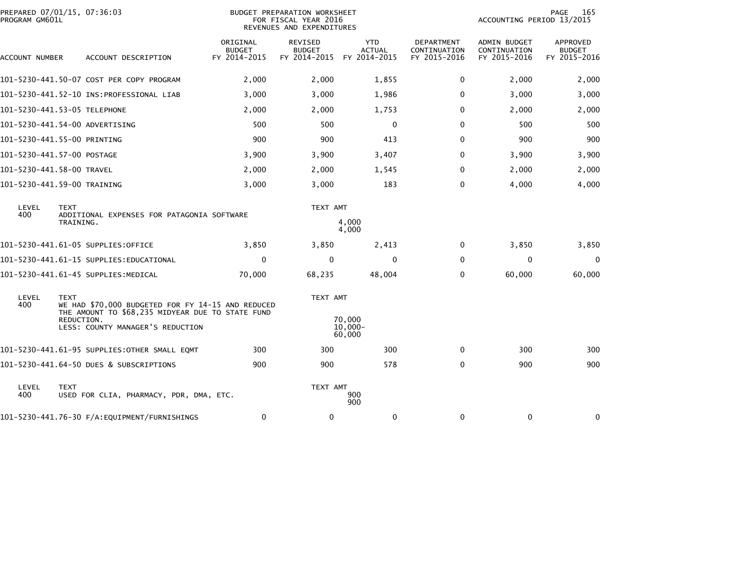| PROGRAM GM601L            | PREPARED 07/01/15, 07:36:03                                                                                                                                            |                                           | BUDGET PREPARATION WORKSHEET<br>FOR FISCAL YEAR 2016<br>REVENUES AND EXPENDITURES |                                             |                                                   | ACCOUNTING PERIOD 13/2015                    | 165<br>PAGE                                      |
|---------------------------|------------------------------------------------------------------------------------------------------------------------------------------------------------------------|-------------------------------------------|-----------------------------------------------------------------------------------|---------------------------------------------|---------------------------------------------------|----------------------------------------------|--------------------------------------------------|
| ACCOUNT NUMBER            | ACCOUNT DESCRIPTION                                                                                                                                                    | ORIGINAL<br><b>BUDGET</b><br>FY 2014-2015 | <b>REVISED</b><br><b>BUDGET</b><br>FY 2014-2015                                   | <b>YTD</b><br><b>ACTUAL</b><br>FY 2014-2015 | <b>DEPARTMENT</b><br>CONTINUATION<br>FY 2015-2016 | ADMIN BUDGET<br>CONTINUATION<br>FY 2015-2016 | <b>APPROVED</b><br><b>BUDGET</b><br>FY 2015-2016 |
|                           | 101-5230-441.50-07 COST PER COPY PROGRAM                                                                                                                               | 2,000                                     | 2,000                                                                             | 1,855                                       | 0                                                 | 2,000                                        | 2,000                                            |
|                           |                                                                                                                                                                        | 3,000                                     | 3,000                                                                             | 1,986                                       | 0                                                 | 3,000                                        | 3,000                                            |
|                           | 101-5230-441.53-05 TELEPHONE                                                                                                                                           | 2,000                                     | 2,000                                                                             | 1,753                                       | $\Omega$                                          | 2,000                                        | 2,000                                            |
|                           | 101-5230-441.54-00 ADVERTISING                                                                                                                                         | 500                                       | 500                                                                               | $\mathbf{0}$                                | $\Omega$                                          | 500                                          | 500                                              |
|                           | 101-5230-441.55-00 PRINTING                                                                                                                                            | 900                                       | 900                                                                               | 413                                         | $\Omega$                                          | 900                                          | 900                                              |
|                           | 101-5230-441.57-00 POSTAGE                                                                                                                                             | 3,900                                     | 3,900                                                                             | 3,407                                       | $\Omega$                                          | 3,900                                        | 3,900                                            |
| 101-5230-441.58-00 TRAVEL |                                                                                                                                                                        | 2,000                                     | 2,000                                                                             | 1,545                                       | $\Omega$                                          | 2,000                                        | 2,000                                            |
|                           | 101-5230-441.59-00 TRAINING                                                                                                                                            | 3,000                                     | 3,000                                                                             | 183                                         | 0                                                 | 4,000                                        | 4,000                                            |
| LEVEL<br>400              | <b>TEXT</b><br>ADDITIONAL EXPENSES FOR PATAGONIA SOFTWARE<br>TRAINING.                                                                                                 |                                           | TEXT AMT                                                                          | 4,000<br>4,000                              |                                                   |                                              |                                                  |
|                           | 101-5230-441.61-05 SUPPLIES:OFFICE                                                                                                                                     | 3,850                                     | 3,850                                                                             | 2,413                                       | 0                                                 | 3,850                                        | 3,850                                            |
|                           | 101-5230-441.61-15 SUPPLIES:EDUCATIONAL                                                                                                                                | $\mathbf 0$                               | $\Omega$                                                                          | $\mathbf{0}$                                | $\Omega$                                          | $\mathbf 0$                                  | $\mathbf 0$                                      |
|                           | 101-5230-441.61-45 SUPPLIES:MEDICAL                                                                                                                                    | 70,000                                    | 68,235                                                                            | 48,004                                      | $\Omega$                                          | 60,000                                       | 60,000                                           |
| LEVEL<br>400              | <b>TEXT</b><br>WE HAD \$70,000 BUDGETED FOR FY 14-15 AND REDUCED<br>THE AMOUNT TO \$68,235 MIDYEAR DUE TO STATE FUND<br>REDUCTION.<br>LESS: COUNTY MANAGER'S REDUCTION |                                           | TEXT AMT                                                                          | 70,000<br>$10.000 -$<br>60,000              |                                                   |                                              |                                                  |
|                           | 101-5230-441.61-95 SUPPLIES:OTHER SMALL EQMT                                                                                                                           | 300                                       | 300                                                                               | 300                                         | 0                                                 | 300                                          | 300                                              |
|                           | 101-5230-441.64-50 DUES & SUBSCRIPTIONS                                                                                                                                | 900                                       | 900                                                                               | 578                                         | $\Omega$                                          | 900                                          | 900                                              |
| LEVEL<br>400              | <b>TEXT</b><br>USED FOR CLIA, PHARMACY, PDR, DMA, ETC.                                                                                                                 |                                           | TEXT AMT                                                                          | 900<br>900                                  |                                                   |                                              |                                                  |
|                           |                                                                                                                                                                        | 0                                         | 0                                                                                 | 0                                           | 0                                                 | 0                                            | 0                                                |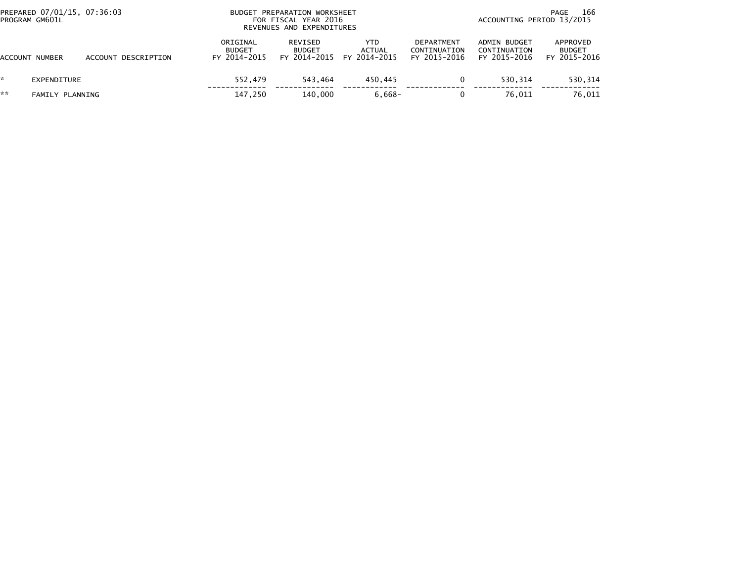|     | PREPARED 07/01/15, 07:36:03<br>PROGRAM GM601L |                     | <b>BUDGET</b>                             | PREPARATION WORKSHEET<br>FOR FISCAL YEAR 2016<br>REVENUES AND EXPENDITURES |                               | 166<br>PAGE<br>ACCOUNTING PERIOD 13/2015          |                                              |                                           |  |
|-----|-----------------------------------------------|---------------------|-------------------------------------------|----------------------------------------------------------------------------|-------------------------------|---------------------------------------------------|----------------------------------------------|-------------------------------------------|--|
|     | ACCOUNT NUMBER                                | ACCOUNT DESCRIPTION | ORIGINAL<br><b>BUDGET</b><br>FY 2014-2015 | REVISED<br><b>BUDGET</b><br>FY 2014-2015                                   | YTD<br>ACTUAL<br>FY 2014-2015 | <b>DEPARTMENT</b><br>CONTINUATION<br>FY 2015-2016 | ADMIN BUDGET<br>CONTINUATION<br>FY 2015-2016 | APPROVED<br><b>BUDGET</b><br>FY 2015-2016 |  |
|     | EXPENDITURE                                   |                     | 552.479                                   | 543.464                                                                    | 450.445                       |                                                   | 530.314                                      | 530,314                                   |  |
| k k | FAMILY PLANNING                               |                     | 147,250                                   | 140.000                                                                    | $6,668-$                      |                                                   | 76.011                                       | 76,011                                    |  |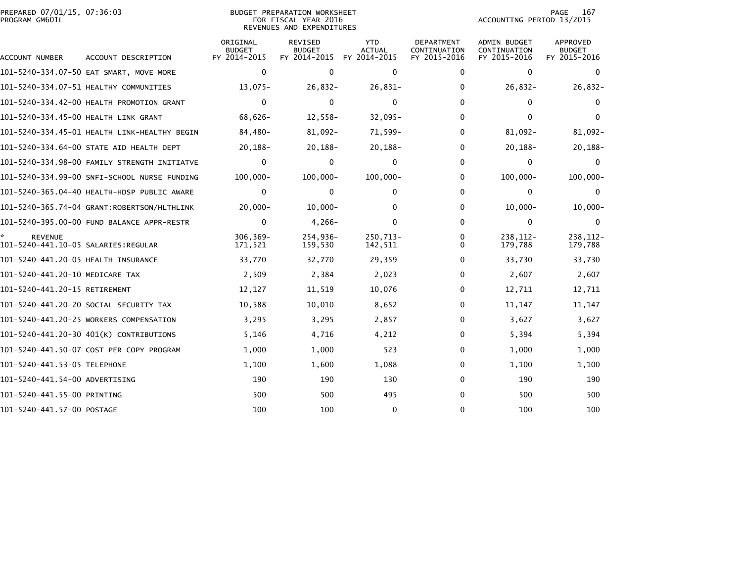|                | PREPARED 07/01/15, 07:36:03 |  |
|----------------|-----------------------------|--|
| PROGRAM GM601L |                             |  |

## BUDGET PREPARATION WORKSHEET PROGRAM GM601L FOR FISCAL YEAR 2016 ACCOUNTING PERIOD 13/2015 REVENUES AND EXPENDITURES

PAGE 167<br>ACCOUNTING PERIOD 13/2015

| ACCOUNT NUMBER                                        | ACCOUNT DESCRIPTION                          | ORIGINAL<br><b>BUDGET</b><br>FY 2014-2015 | <b>REVISED</b><br><b>BUDGET</b><br>FY 2014-2015 | <b>YTD</b><br><b>ACTUAL</b><br>FY 2014-2015 | <b>DEPARTMENT</b><br>CONTINUATION<br>FY 2015-2016 | <b>ADMIN BUDGET</b><br>CONTINUATION<br>FY 2015-2016 | <b>APPROVED</b><br><b>BUDGET</b><br>FY 2015-2016 |
|-------------------------------------------------------|----------------------------------------------|-------------------------------------------|-------------------------------------------------|---------------------------------------------|---------------------------------------------------|-----------------------------------------------------|--------------------------------------------------|
|                                                       | 101-5240-334.07-50 EAT SMART, MOVE MORE      | $\mathbf 0$                               | $\mathbf{0}$                                    | 0                                           | $\mathbf{0}$                                      | $\mathbf 0$                                         | $\Omega$                                         |
|                                                       | 101-5240-334.07-51 HEALTHY COMMUNITIES       | $13,075-$                                 | $26,832-$                                       | $26,831-$                                   | 0                                                 | $26,832-$                                           | $26,832-$                                        |
|                                                       | 101-5240-334.42-00 HEALTH PROMOTION GRANT    | $\mathbf{0}$                              | $\mathbf{0}$                                    | $\mathbf{0}$                                | $\mathbf{0}$                                      | $\Omega$                                            | $\mathbf{0}$                                     |
| 101-5240-334.45-00 HEALTH LINK GRANT                  |                                              | $68,626-$                                 | $12,558-$                                       | $32,095 -$                                  | 0                                                 | $\Omega$                                            | $\Omega$                                         |
|                                                       | 101-5240-334.45-01 HEALTH LINK-HEALTHY BEGIN | 84,480-                                   | $81,092 -$                                      | 71,599-                                     | $\mathbf{0}$                                      | 81,092-                                             | $81,092 -$                                       |
|                                                       | 101-5240-334.64-00 STATE AID HEALTH DEPT     | 20,188-                                   | $20,188-$                                       | $20, 188 -$                                 | 0                                                 | $20,188-$                                           | $20, 188 -$                                      |
|                                                       | 101-5240-334.98-00 FAMILY STRENGTH INITIATVE | 0                                         | $\mathbf{0}$                                    | $\mathbf{0}$                                | $\mathbf{0}$                                      | $\Omega$                                            | $\Omega$                                         |
|                                                       | 101-5240-334.99-00 SNFI-SCHOOL NURSE FUNDING | $100,000 -$                               | $100,000 -$                                     | $100,000 -$                                 | 0                                                 | $100,000 -$                                         | $100,000 -$                                      |
|                                                       | 101-5240-365.04-40 HEALTH-HDSP PUBLIC AWARE  | 0                                         | 0                                               | $\mathbf{0}$                                | $\mathbf{0}$                                      | 0                                                   | $\mathbf{0}$                                     |
|                                                       | 101-5240-365.74-04 GRANT:ROBERTSON/HLTHLINK  | $20,000 -$                                | $10.000 -$                                      | 0                                           | $\mathbf{0}$                                      | $10.000 -$                                          | $10,000 -$                                       |
|                                                       | 101-5240-395.00-00 FUND BALANCE APPR-RESTR   | $\mathbf{0}$                              | $4,266-$                                        | $\mathbf{0}$                                | $\mathbf{0}$                                      | $\Omega$                                            | $\mathbf{0}$                                     |
| <b>REVENUE</b><br>101-5240-441.10-05 SALARIES:REGULAR |                                              | $306.369 -$<br>171,521                    | 254.936-<br>159,530                             | 250,713-<br>142,511                         | 0<br>$\Omega$                                     | 238.112-<br>179,788                                 | 238.112-<br>179,788                              |
| 101-5240-441.20-05 HEALTH INSURANCE                   |                                              | 33,770                                    | 32,770                                          | 29,359                                      | 0                                                 | 33,730                                              | 33,730                                           |
| 101-5240-441.20-10 MEDICARE TAX                       |                                              | 2,509                                     | 2,384                                           | 2,023                                       | $\mathbf{0}$                                      | 2,607                                               | 2,607                                            |
| 101-5240-441.20-15 RETIREMENT                         |                                              | 12,127                                    | 11,519                                          | 10,076                                      | 0                                                 | 12,711                                              | 12,711                                           |
|                                                       | 101-5240-441.20-20 SOCIAL SECURITY TAX       | 10,588                                    | 10,010                                          | 8,652                                       | $\mathbf{0}$                                      | 11,147                                              | 11,147                                           |
|                                                       | 101-5240-441.20-25 WORKERS COMPENSATION      | 3,295                                     | 3,295                                           | 2,857                                       | 0                                                 | 3,627                                               | 3,627                                            |
|                                                       | 101-5240-441.20-30 401(K) CONTRIBUTIONS      | 5,146                                     | 4,716                                           | 4,212                                       | 0                                                 | 5,394                                               | 5,394                                            |
|                                                       | 101-5240-441.50-07 COST PER COPY PROGRAM     | 1,000                                     | 1,000                                           | 523                                         | 0                                                 | 1,000                                               | 1,000                                            |
| 101-5240-441.53-05 TELEPHONE                          |                                              | 1,100                                     | 1,600                                           | 1,088                                       | $\mathbf{0}$                                      | 1,100                                               | 1,100                                            |
| 101-5240-441.54-00 ADVERTISING                        |                                              | 190                                       | 190                                             | 130                                         | $\mathbf{0}$                                      | 190                                                 | 190                                              |
| 101-5240-441.55-00 PRINTING                           |                                              | 500                                       | 500                                             | 495                                         | $\mathbf{0}$                                      | 500                                                 | 500                                              |
| 101-5240-441.57-00 POSTAGE                            |                                              | 100                                       | 100                                             | $\mathbf{0}$                                | 0                                                 | 100                                                 | 100                                              |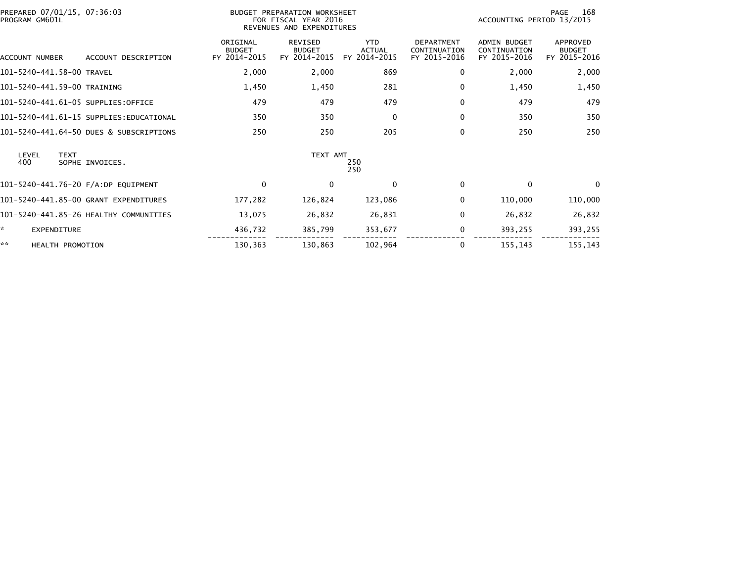| PREPARED 07/01/15, 07:36:03<br>PROGRAM GM601L |                                         |                                           | BUDGET PREPARATION WORKSHEET<br>FOR FISCAL YEAR 2016<br>REVENUES AND EXPENDITURES |                                             |                                                   |                                                     | 168<br>PAGE<br>ACCOUNTING PERIOD 13/2015  |  |
|-----------------------------------------------|-----------------------------------------|-------------------------------------------|-----------------------------------------------------------------------------------|---------------------------------------------|---------------------------------------------------|-----------------------------------------------------|-------------------------------------------|--|
| ACCOUNT NUMBER                                | ACCOUNT DESCRIPTION                     | ORIGINAL<br><b>BUDGET</b><br>FY 2014-2015 | <b>REVISED</b><br><b>BUDGET</b><br>FY 2014-2015                                   | <b>YTD</b><br><b>ACTUAL</b><br>FY 2014-2015 | <b>DEPARTMENT</b><br>CONTINUATION<br>FY 2015-2016 | <b>ADMIN BUDGET</b><br>CONTINUATION<br>FY 2015-2016 | APPROVED<br><b>BUDGET</b><br>FY 2015-2016 |  |
| 101-5240-441.58-00 TRAVEL                     |                                         | 2,000                                     | 2,000                                                                             | 869                                         | 0                                                 | 2,000                                               | 2,000                                     |  |
| 101-5240-441.59-00 TRAINING                   |                                         | 1,450                                     | 1,450                                                                             | 281                                         | 0                                                 | 1,450                                               | 1,450                                     |  |
| 101-5240-441.61-05 SUPPLIES:OFFICE            |                                         | 479                                       | 479                                                                               | 479                                         | 0                                                 | 479                                                 | 479                                       |  |
|                                               | 101-5240-441.61-15 SUPPLIES:EDUCATIONAL | 350                                       | 350                                                                               | $\mathbf 0$                                 | 0                                                 | 350                                                 | 350                                       |  |
|                                               | 101-5240-441.64-50 DUES & SUBSCRIPTIONS | 250                                       | 250                                                                               | 205                                         | 0                                                 | 250                                                 | 250                                       |  |
| LEVEL<br><b>TEXT</b><br>400                   | SOPHE INVOICES.                         |                                           | TEXT AMT                                                                          | 250<br>250                                  |                                                   |                                                     |                                           |  |
| 101-5240-441.76-20 F/A:DP EQUIPMENT           |                                         | $\Omega$                                  | $\mathbf{0}$                                                                      | $\mathbf{0}$                                | 0                                                 | $\Omega$                                            | $\Omega$                                  |  |
|                                               | 101-5240-441.85-00 GRANT EXPENDITURES   | 177,282                                   | 126,824                                                                           | 123,086                                     | 0                                                 | 110,000                                             | 110,000                                   |  |
|                                               | 101-5240-441.85-26 HEALTHY COMMUNITIES  | 13,075                                    | 26,832                                                                            | 26,831                                      | 0                                                 | 26,832                                              | 26,832                                    |  |
| ×.<br><b>EXPENDITURE</b>                      |                                         | 436,732                                   | 385,799                                                                           | 353,677                                     | 0                                                 | 393,255                                             | 393,255                                   |  |
| **<br>HEALTH PROMOTION                        |                                         | 130,363                                   | 130,863                                                                           | 102,964                                     | 0                                                 | 155,143                                             | 155,143                                   |  |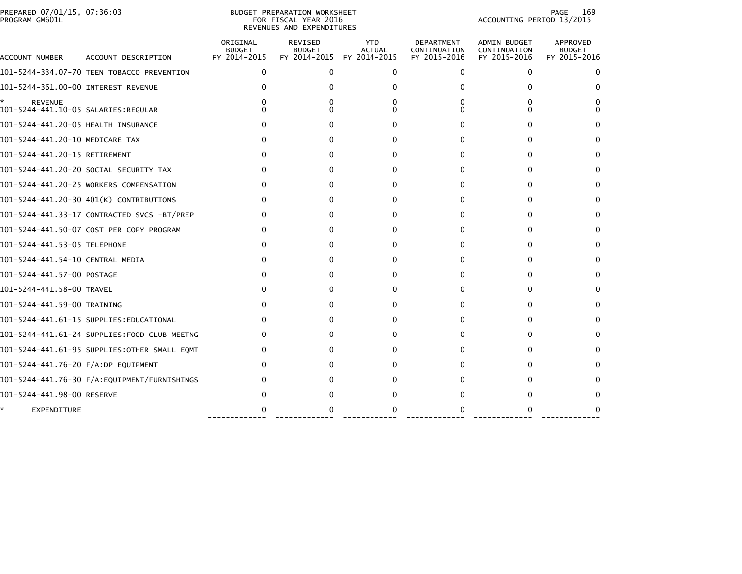|                | PREPARED 07/01/15, 07:36:03 |  |
|----------------|-----------------------------|--|
| PROGRAM GM601L |                             |  |

#### BUDGET PREPARATION WORKSHEET<br>FOR FISCAL YEAR 2016 PROGRAM GM601L FOR FISCAL YEAR 2016 ACCOUNTING PERIOD 13/2015REVENUES AND EXPENDITURES

| ACCOUNT NUMBER                      | ACCOUNT DESCRIPTION                          | ORIGINAL<br><b>BUDGET</b><br>FY 2014-2015 | REVISED<br><b>BUDGET</b><br>FY 2014-2015 | <b>YTD</b><br><b>ACTUAL</b><br>FY 2014-2015 | DEPARTMENT<br>CONTINUATION<br>FY 2015-2016 | <b>ADMIN BUDGET</b><br>CONTINUATION<br>FY 2015-2016 | APPROVED<br><b>BUDGET</b><br>FY 2015-2016 |
|-------------------------------------|----------------------------------------------|-------------------------------------------|------------------------------------------|---------------------------------------------|--------------------------------------------|-----------------------------------------------------|-------------------------------------------|
|                                     | 101-5244-334.07-70 TEEN TOBACCO PREVENTION   | $\Omega$                                  | $\Omega$                                 | 0                                           | 0                                          | 0                                                   | 0                                         |
| 101-5244-361.00-00 INTEREST REVENUE |                                              | o                                         |                                          |                                             | O                                          | $\Omega$                                            |                                           |
| <b>REVENUE</b>                      |                                              |                                           |                                          |                                             |                                            | 0<br>$\Omega$                                       |                                           |
| 101-5244-441.20-05 HEALTH INSURANCE |                                              | o                                         | $^{\circ}$                               | 0                                           | O                                          | 0                                                   |                                           |
| 101-5244-441.20-10 MEDICARE TAX     |                                              | 0                                         | $^{\circ}$                               | 0                                           | $\Omega$                                   | 0                                                   |                                           |
| 101-5244-441.20-15 RETIREMENT       |                                              | 0                                         | $^{\circ}$                               | 0                                           | 0                                          | $\Omega$                                            | $\Omega$                                  |
|                                     | 101-5244-441.20-20 SOCIAL SECURITY TAX       | $^{\circ}$                                | $^{\circ}$                               | 0                                           | $\Omega$                                   | 0                                                   |                                           |
|                                     | 101-5244-441.20-25 WORKERS COMPENSATION      | 0                                         |                                          | 0                                           | O                                          | 0                                                   |                                           |
|                                     | 101-5244-441.20-30 401(K) CONTRIBUTIONS      | 0                                         | 0                                        | 0                                           | O                                          | 0                                                   |                                           |
|                                     | 101-5244-441.33-17 CONTRACTED SVCS -BT/PREP  | 0                                         | 0                                        | 0                                           | 0                                          | $\mathbf{0}$                                        | 0                                         |
|                                     | 101-5244-441.50-07 COST PER COPY PROGRAM     | 0                                         |                                          | 0                                           | 0                                          | 0                                                   |                                           |
| 101-5244-441.53-05 TELEPHONE        |                                              | 0                                         |                                          | $\Omega$                                    | $\Omega$                                   | 0                                                   |                                           |
| 101-5244-441.54-10 CENTRAL MEDIA    |                                              | 0                                         |                                          | 0                                           |                                            | 0                                                   |                                           |
| 101-5244-441.57-00 POSTAGE          |                                              | 0                                         |                                          | 0                                           | 0                                          | 0                                                   | 0                                         |
| 101-5244-441.58-00 TRAVEL           |                                              | O                                         |                                          | 0                                           | 0                                          | 0                                                   |                                           |
| 101-5244-441.59-00 TRAINING         |                                              | 0                                         |                                          | $\Omega$                                    | 0                                          | 0                                                   |                                           |
|                                     | 101-5244-441.61-15 SUPPLIES:EDUCATIONAL      | 0                                         |                                          | O                                           |                                            | 0                                                   |                                           |
|                                     | 101–5244–441.61–24 SUPPLIES:FOOD CLUB MEETNG | 0                                         |                                          |                                             |                                            | 0                                                   | $\Omega$                                  |
|                                     | 101-5244-441.61-95 SUPPLIES:OTHER SMALL EQMT | 0                                         |                                          | ŋ                                           |                                            | 0                                                   |                                           |
| 101-5244-441.76-20 F/A:DP EQUIPMENT |                                              |                                           |                                          |                                             |                                            | 0                                                   |                                           |
|                                     | 101-5244-441.76-30 F/A:EQUIPMENT/FURNISHINGS |                                           |                                          |                                             |                                            |                                                     |                                           |
| 101-5244-441.98-00 RESERVE          |                                              |                                           |                                          |                                             |                                            |                                                     |                                           |
| EXPENDITURE                         |                                              |                                           |                                          |                                             |                                            |                                                     |                                           |

------------- ------------- ------------ ------------- ------------- -------------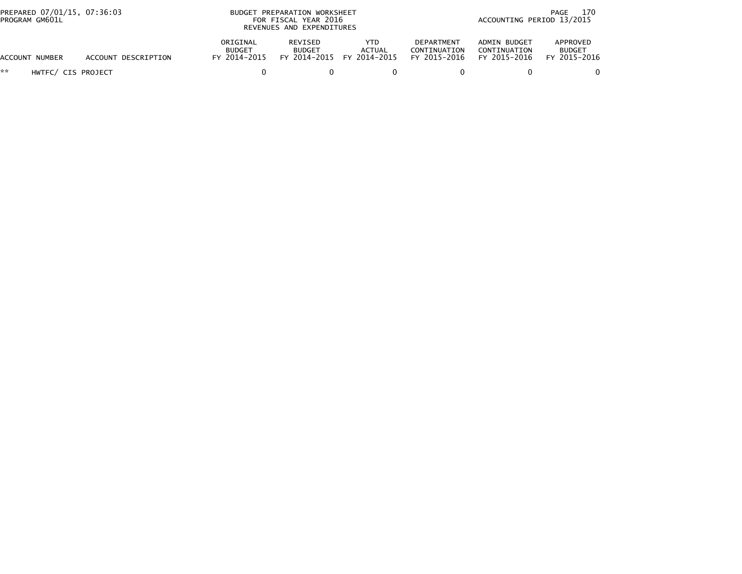| PREPARED 07/01/15, 07:36:03<br>PROGRAM GM601L |                     | BUDGET PREPARATION WORKSHEET<br>FOR FISCAL YEAR 2016<br>REVENUES AND EXPENDITURES |                                          |                                      |                                            | 170<br>PAGE<br>ACCOUNTING PERIOD 13/2015     |                                           |
|-----------------------------------------------|---------------------|-----------------------------------------------------------------------------------|------------------------------------------|--------------------------------------|--------------------------------------------|----------------------------------------------|-------------------------------------------|
| ACCOUNT NUMBER                                | ACCOUNT DESCRIPTION | ORIGINAL<br><b>BUDGET</b><br>FY 2014-2015                                         | REVISED<br><b>BUDGET</b><br>FY 2014-2015 | <b>YTD</b><br>ACTUAL<br>FY 2014-2015 | DEPARTMENT<br>CONTINUATION<br>FY 2015-2016 | ADMIN BUDGET<br>CONTINUATION<br>FY 2015-2016 | APPROVED<br><b>BUDGET</b><br>FY 2015-2016 |
| **<br>HWTFC/ CIS PROJECT                      |                     |                                                                                   |                                          |                                      |                                            |                                              |                                           |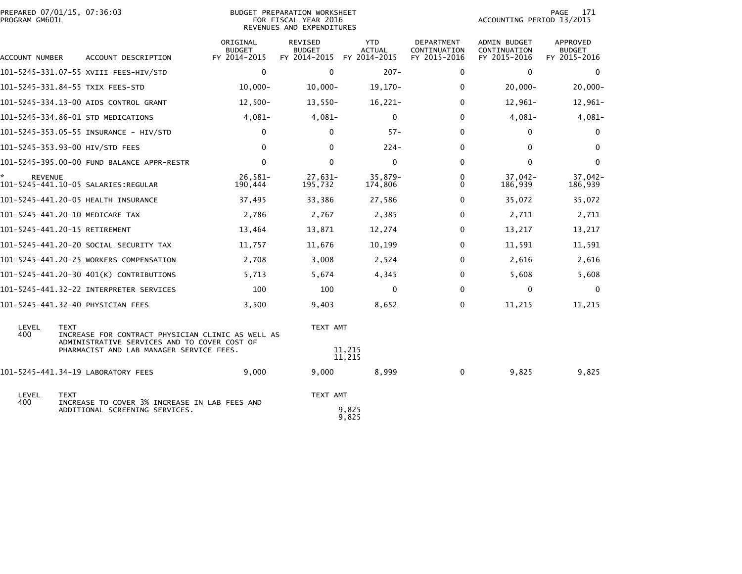| PREPARED 07/01/15, 07:36:03<br>PROGRAM GM601L |                                                                                                                  |                                           | BUDGET PREPARATION WORKSHEET<br>FOR FISCAL YEAR 2016<br>REVENUES AND EXPENDITURES |                                             |                                            | ACCOUNTING PERIOD 13/2015                    | 171<br>PAGE                               |
|-----------------------------------------------|------------------------------------------------------------------------------------------------------------------|-------------------------------------------|-----------------------------------------------------------------------------------|---------------------------------------------|--------------------------------------------|----------------------------------------------|-------------------------------------------|
| ACCOUNT NUMBER                                | ACCOUNT DESCRIPTION                                                                                              | ORIGINAL<br><b>BUDGET</b><br>FY 2014-2015 | <b>REVISED</b><br><b>BUDGET</b><br>FY 2014-2015                                   | <b>YTD</b><br><b>ACTUAL</b><br>FY 2014-2015 | DEPARTMENT<br>CONTINUATION<br>FY 2015-2016 | ADMIN BUDGET<br>CONTINUATION<br>FY 2015-2016 | APPROVED<br><b>BUDGET</b><br>FY 2015-2016 |
|                                               | 101-5245-331.07-55 XVIII FEES-HIV/STD                                                                            | $\mathbf{0}$                              | $\mathbf{0}$                                                                      | $207 -$                                     | $\Omega$                                   | 0                                            | $\mathbf{0}$                              |
|                                               | 101-5245-331.84-55 TXIX FEES-STD                                                                                 | $10,000 -$                                | $10,000 -$                                                                        | $19,170-$                                   | $\Omega$                                   | $20,000 -$                                   | $20,000-$                                 |
|                                               | 101-5245-334.13-00 AIDS CONTROL GRANT                                                                            | $12,500-$                                 | $13,550-$                                                                         | $16,221-$                                   | $\Omega$                                   | $12,961-$                                    | 12,961-                                   |
|                                               | 101-5245-334.86-01 STD MEDICATIONS                                                                               | $4,081-$                                  | $4,081-$                                                                          | $\mathbf{0}$                                | $\Omega$                                   | $4,081-$                                     | $4,081-$                                  |
|                                               |                                                                                                                  | 0                                         | 0                                                                                 | $57 -$                                      | $\Omega$                                   | 0                                            | 0                                         |
|                                               | 101-5245-353.93-00 HIV/STD FEES                                                                                  | $\mathbf{0}$                              | $\Omega$                                                                          | $224 -$                                     | $\Omega$                                   | $\mathbf{0}$                                 | $\mathbf{0}$                              |
|                                               | 101-5245-395.00-00 FUND BALANCE APPR-RESTR                                                                       | $\mathbf 0$                               | $\mathbf{0}$                                                                      | $\mathbf 0$                                 | $\Omega$                                   | $\mathbf 0$                                  | $\mathbf 0$                               |
| ÷.<br><b>REVENUE</b>                          |                                                                                                                  | 26,581-<br>190,444                        | 27,631-<br>195,732                                                                | 35,879-<br>174,806                          | $\Omega$<br>$\Omega$                       | $37,042-$<br>186,939                         | 37,042-<br>186,939                        |
|                                               | 101-5245-441.20-05 HEALTH INSURANCE                                                                              | 37,495                                    | 33,386                                                                            | 27,586                                      | $\Omega$                                   | 35,072                                       | 35,072                                    |
|                                               | 101-5245-441.20-10 MEDICARE TAX                                                                                  | 2,786                                     | 2,767                                                                             | 2,385                                       | $\Omega$                                   | 2,711                                        | 2,711                                     |
|                                               | 101-5245-441.20-15 RETIREMENT                                                                                    | 13,464                                    | 13,871                                                                            | 12,274                                      | $\Omega$                                   | 13,217                                       | 13,217                                    |
|                                               | 101-5245-441.20-20 SOCIAL SECURITY TAX                                                                           | 11,757                                    | 11,676                                                                            | 10,199                                      | 0                                          | 11,591                                       | 11,591                                    |
|                                               | 101-5245-441.20-25 WORKERS COMPENSATION                                                                          | 2,708                                     | 3,008                                                                             | 2,524                                       | $\Omega$                                   | 2,616                                        | 2,616                                     |
|                                               | 101-5245-441.20-30 401(K) CONTRIBUTIONS                                                                          | 5,713                                     | 5,674                                                                             | 4,345                                       | $\Omega$                                   | 5,608                                        | 5,608                                     |
|                                               | 101-5245-441.32-22 INTERPRETER SERVICES                                                                          | 100                                       | 100                                                                               | $\mathbf{0}$                                | $\Omega$                                   | $\mathbf 0$                                  | $\mathbf{0}$                              |
|                                               | 101-5245-441.32-40 PHYSICIAN FEES                                                                                | 3,500                                     | 9,403                                                                             | 8,652                                       | $\Omega$                                   | 11,215                                       | 11,215                                    |
| LEVEL<br>400                                  | <b>TEXT</b><br>INCREASE FOR CONTRACT PHYSICIAN CLINIC AS WELL AS<br>ADMINISTRATIVE SERVICES AND TO COVER COST OF |                                           | TEXT AMT                                                                          |                                             |                                            |                                              |                                           |
|                                               | PHARMACIST AND LAB MANAGER SERVICE FEES.                                                                         |                                           |                                                                                   | 11,215<br>11,215                            |                                            |                                              |                                           |
|                                               | 101-5245-441.34-19 LABORATORY FEES                                                                               | 9,000                                     | 9,000                                                                             | 8,999                                       | 0                                          | 9,825                                        | 9,825                                     |
| LEVEL<br>400                                  | <b>TEXT</b><br>INCREASE TO COVER 3% INCREASE IN LAB FEES AND                                                     |                                           | TEXT AMT                                                                          |                                             |                                            |                                              |                                           |
|                                               | ADDITIONAL SCREENING SERVICES.                                                                                   |                                           |                                                                                   | 9,825<br>9,825                              |                                            |                                              |                                           |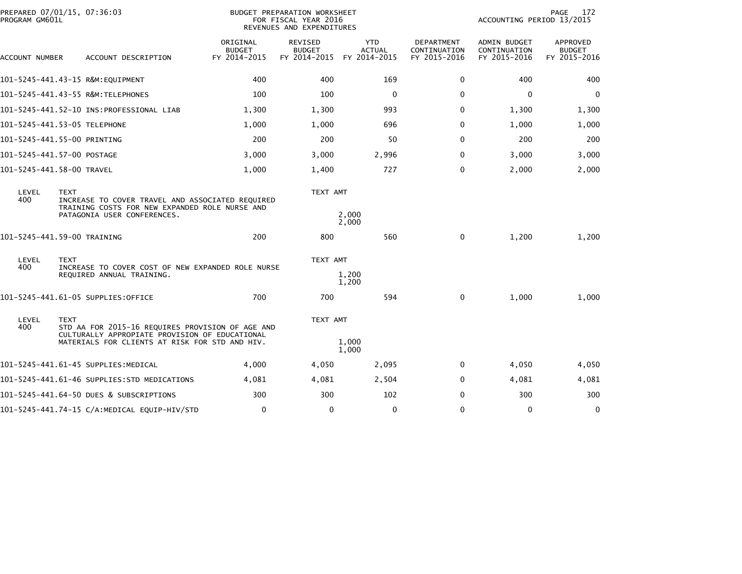| PROGRAM GM601L | PREPARED 07/01/15, 07:36:03<br>BUDGET PREPARATION WORKSHEET<br>FOR FISCAL YEAR 2016<br>REVENUES AND EXPENDITURES                                                    |                                           |                                                 |                                             |                                            | 172<br>PAGE<br>ACCOUNTING PERIOD 13/2015     |                                                  |
|----------------|---------------------------------------------------------------------------------------------------------------------------------------------------------------------|-------------------------------------------|-------------------------------------------------|---------------------------------------------|--------------------------------------------|----------------------------------------------|--------------------------------------------------|
| ACCOUNT NUMBER | ACCOUNT DESCRIPTION                                                                                                                                                 | ORIGINAL<br><b>BUDGET</b><br>FY 2014-2015 | <b>REVISED</b><br><b>BUDGET</b><br>FY 2014-2015 | <b>YTD</b><br><b>ACTUAL</b><br>FY 2014-2015 | DEPARTMENT<br>CONTINUATION<br>FY 2015-2016 | ADMIN BUDGET<br>CONTINUATION<br>FY 2015-2016 | <b>APPROVED</b><br><b>BUDGET</b><br>FY 2015-2016 |
|                | 101-5245-441.43-15 R&M:EQUIPMENT                                                                                                                                    | 400                                       | 400                                             | 169                                         | 0                                          | 400                                          | 400                                              |
|                | 101-5245-441.43-55 R&M:TELEPHONES                                                                                                                                   | 100                                       | 100                                             | $\mathbf 0$                                 | 0                                          | 0                                            | $\mathbf 0$                                      |
|                |                                                                                                                                                                     | 1,300                                     | 1,300                                           | 993                                         | $\Omega$                                   | 1,300                                        | 1,300                                            |
|                | 101-5245-441.53-05 TELEPHONE                                                                                                                                        | 1,000                                     | 1,000                                           | 696                                         | 0                                          | 1,000                                        | 1,000                                            |
|                | 101-5245-441.55-00 PRINTING                                                                                                                                         | 200                                       | 200                                             | 50                                          | $\Omega$                                   | 200                                          | 200                                              |
|                | 101-5245-441.57-00 POSTAGE                                                                                                                                          | 3,000                                     | 3,000                                           | 2,996                                       | 0                                          | 3,000                                        | 3,000                                            |
|                | 101-5245-441.58-00 TRAVEL                                                                                                                                           | 1,000                                     | 1,400                                           | 727                                         | 0                                          | 2,000                                        | 2,000                                            |
| LEVEL<br>400   | <b>TEXT</b><br>INCREASE TO COVER TRAVEL AND ASSOCIATED REQUIRED<br>TRAINING COSTS FOR NEW EXPANDED ROLE NURSE AND<br>PATAGONIA USER CONFERENCES.                    |                                           | TEXT AMT                                        | 2,000<br>2,000                              |                                            |                                              |                                                  |
|                | 101-5245-441.59-00 TRAINING                                                                                                                                         | 200                                       | 800                                             | 560                                         | 0                                          | 1,200                                        | 1,200                                            |
| LEVEL<br>400   | <b>TEXT</b><br>INCREASE TO COVER COST OF NEW EXPANDED ROLE NURSE<br>REQUIRED ANNUAL TRAINING.                                                                       |                                           | TEXT AMT                                        | 1,200<br>1,200                              |                                            |                                              |                                                  |
|                | 101-5245-441.61-05 SUPPLIES:OFFICE                                                                                                                                  | 700                                       | 700                                             | 594                                         | 0                                          | 1,000                                        | 1,000                                            |
| LEVEL<br>400   | <b>TEXT</b><br>STD AA FOR 2015-16 REQUIRES PROVISION OF AGE AND<br>CULTURALLY APPROPIATE PROVISION OF EDUCATIONAL<br>MATERIALS FOR CLIENTS AT RISK FOR STD AND HIV. |                                           | TEXT AMT                                        | 1,000<br>1,000                              |                                            |                                              |                                                  |
|                | 101–5245–441.61–45 SUPPLIES:MEDICAL                                                                                                                                 | 4,000                                     | 4,050                                           | 2,095                                       | 0                                          | 4,050                                        | 4,050                                            |
|                | 101-5245-441.61-46 SUPPLIES:STD MEDICATIONS                                                                                                                         | 4,081                                     | 4,081                                           | 2,504                                       | $\Omega$                                   | 4,081                                        | 4,081                                            |
|                | 101-5245-441.64-50 DUES & SUBSCRIPTIONS                                                                                                                             | 300                                       | 300                                             | 102                                         | 0                                          | 300                                          | 300                                              |
|                | 101-5245-441.74-15 C/A:MEDICAL EQUIP-HIV/STD                                                                                                                        | $\mathbf 0$                               | $\mathbf{0}$                                    | $\mathbf 0$                                 | $\Omega$                                   | $\mathbf 0$                                  | $\mathbf 0$                                      |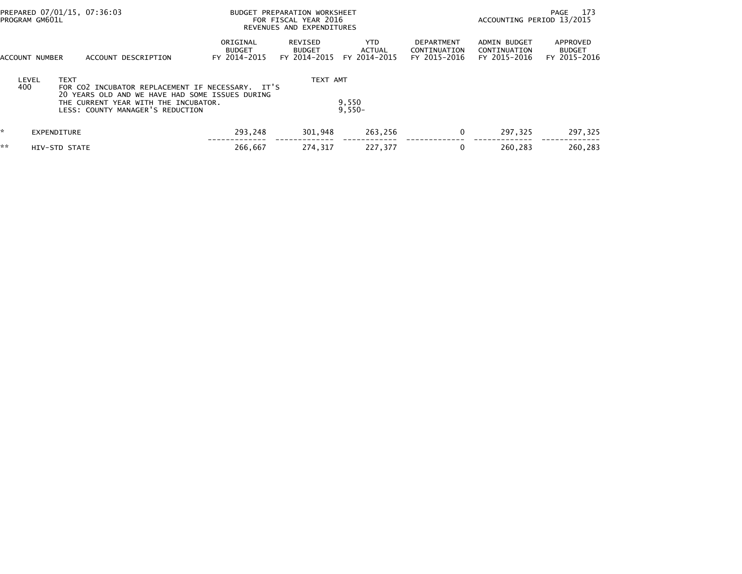| PREPARED 07/01/15, 07:36:03<br>PROGRAM GM601L |                             |                                                                                                                                                                                 |                                           | BUDGET PREPARATION WORKSHEET<br>FOR FISCAL YEAR 2016<br>REVENUES AND EXPENDITURES |                                |                                            | ACCOUNTING PERIOD 13/2015                           | 173<br>PAGE                               |
|-----------------------------------------------|-----------------------------|---------------------------------------------------------------------------------------------------------------------------------------------------------------------------------|-------------------------------------------|-----------------------------------------------------------------------------------|--------------------------------|--------------------------------------------|-----------------------------------------------------|-------------------------------------------|
|                                               | ACCOUNT NUMBER              | ACCOUNT DESCRIPTION                                                                                                                                                             | ORIGINAL<br><b>BUDGET</b><br>FY 2014-2015 | REVISED<br><b>BUDGET</b><br>FY 2014-2015                                          | YTD.<br>ACTUAL<br>FY 2014-2015 | DEPARTMENT<br>CONTINUATION<br>FY 2015-2016 | <b>ADMIN BUDGET</b><br>CONTINUATION<br>FY 2015-2016 | APPROVED<br><b>BUDGET</b><br>FY 2015-2016 |
|                                               | <b>TEXT</b><br>LEVEL<br>400 | FOR CO2 INCUBATOR REPLACEMENT IF NECESSARY. IT'S<br>20 YEARS OLD AND WE HAVE HAD SOME ISSUES DURING<br>THE CURRENT YEAR WITH THE INCUBATOR.<br>LESS: COUNTY MANAGER'S REDUCTION |                                           | TEXT AMT                                                                          | 9,550<br>$9,550-$              |                                            |                                                     |                                           |
| ÷.                                            | EXPENDITURE                 |                                                                                                                                                                                 | 293,248                                   | 301,948                                                                           | 263,256                        | 0                                          | 297.325                                             | 297,325                                   |
| **                                            | HIV-STD STATE               |                                                                                                                                                                                 | 266,667                                   | 274,317                                                                           | 227,377                        | 0                                          | 260,283                                             | 260.283                                   |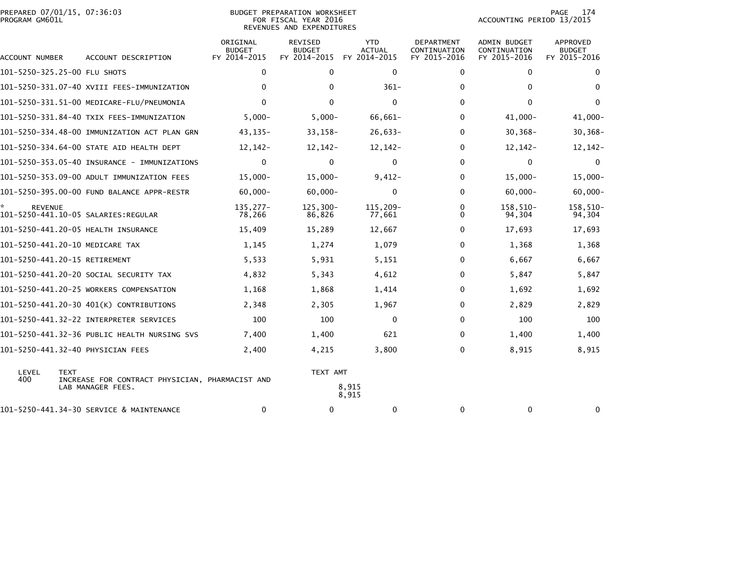|                | PREPARED 07/01/15, 07:36:03 |  |
|----------------|-----------------------------|--|
| PROGRAM GM601L |                             |  |

| ACCOUNT NUMBER                | ACCOUNT DESCRIPTION                                                  | ORIGINAL<br><b>BUDGET</b><br>FY 2014-2015 | <b>REVISED</b><br><b>BUDGET</b><br>FY 2014-2015 | <b>YTD</b><br><b>ACTUAL</b><br>FY 2014-2015 | <b>DEPARTMENT</b><br>CONTINUATION<br>FY 2015-2016 | <b>ADMIN BUDGET</b><br>CONTINUATION<br>FY 2015-2016 | <b>APPROVED</b><br><b>BUDGET</b><br>FY 2015-2016 |
|-------------------------------|----------------------------------------------------------------------|-------------------------------------------|-------------------------------------------------|---------------------------------------------|---------------------------------------------------|-----------------------------------------------------|--------------------------------------------------|
| 101-5250-325.25-00 FLU SHOTS  |                                                                      | $\mathbf 0$                               | $\Omega$                                        | $\Omega$                                    | $\mathbf{0}$                                      | $\mathbf{0}$                                        | 0                                                |
|                               | 101-5250-331.07-40 XVIII FEES-IMMUNIZATION                           | $\mathbf{0}$                              | $\mathbf{0}$                                    | $361 -$                                     | $\Omega$                                          | 0                                                   | $\Omega$                                         |
|                               | 101-5250-331.51-00 MEDICARE-FLU/PNEUMONIA                            | $\Omega$                                  | $\Omega$                                        | $\Omega$                                    | $\Omega$                                          | $\Omega$                                            | $\Omega$                                         |
|                               | 101-5250-331.84-40 TXIX FEES-IMMUNIZATION                            | $5,000-$                                  | $5,000-$                                        | 66,661-                                     | $\Omega$                                          | $41,000 -$                                          | $41,000 -$                                       |
|                               | 101-5250-334.48-00 IMMUNIZATION ACT PLAN GRN                         | $43, 135 -$                               | $33, 158 -$                                     | $26,633-$                                   | $\Omega$                                          | $30, 368 -$                                         | $30, 368 -$                                      |
|                               | 101-5250-334.64-00 STATE AID HEALTH DEPT                             | $12, 142 -$                               | $12, 142 -$                                     | $12, 142 -$                                 | $\Omega$                                          | $12, 142 -$                                         | $12, 142 -$                                      |
|                               | 101-5250-353.05-40 INSURANCE - IMMUNIZATIONS                         | $\mathbf 0$                               | $\mathbf{0}$                                    | $\mathbf 0$                                 | 0                                                 | 0                                                   | $\mathbf{0}$                                     |
|                               | 101-5250-353.09-00 ADULT IMMUNIZATION FEES                           | $15,000 -$                                | $15,000 -$                                      | $9,412-$                                    | 0                                                 | $15,000 -$                                          | $15,000 -$                                       |
|                               | 101-5250-395.00-00 FUND BALANCE APPR-RESTR                           | $60,000 -$                                | $60,000 -$                                      | $\mathbf 0$                                 | $\Omega$                                          | $60,000 -$                                          | $60,000 -$                                       |
| <b>REVENUE</b>                |                                                                      | $135,277-$<br>78,266                      | $125,300-$<br>86,826                            | 115,209-<br>77,661                          | 0<br>0                                            | 158,510-<br>94,304                                  | 158,510-<br>94,304                               |
|                               | 101-5250-441.20-05 HEALTH INSURANCE                                  | 15,409                                    | 15,289                                          | 12,667                                      | $\Omega$                                          | 17,693                                              | 17,693                                           |
|                               | 101-5250-441.20-10 MEDICARE TAX                                      | 1,145                                     | 1,274                                           | 1,079                                       | $\Omega$                                          | 1,368                                               | 1,368                                            |
| 101-5250-441.20-15 RETIREMENT |                                                                      | 5,533                                     | 5,931                                           | 5,151                                       | $\Omega$                                          | 6,667                                               | 6,667                                            |
|                               | 101-5250-441.20-20 SOCIAL SECURITY TAX                               | 4,832                                     | 5,343                                           | 4,612                                       | $\Omega$                                          | 5,847                                               | 5,847                                            |
|                               | 101-5250-441.20-25 WORKERS COMPENSATION                              | 1,168                                     | 1,868                                           | 1,414                                       | $\Omega$                                          | 1,692                                               | 1,692                                            |
|                               | 101-5250-441.20-30 401(K) CONTRIBUTIONS                              | 2,348                                     | 2,305                                           | 1,967                                       | $\Omega$                                          | 2,829                                               | 2,829                                            |
|                               | 101-5250-441.32-22 INTERPRETER SERVICES                              | 100                                       | 100                                             | $\mathbf 0$                                 | $\Omega$                                          | 100                                                 | 100                                              |
|                               | 101-5250-441.32-36 PUBLIC HEALTH NURSING SVS                         | 7,400                                     | 1,400                                           | 621                                         | $\Omega$                                          | 1,400                                               | 1,400                                            |
|                               | 101-5250-441.32-40 PHYSICIAN FEES                                    | 2,400                                     | 4,215                                           | 3,800                                       | $\Omega$                                          | 8,915                                               | 8,915                                            |
| LEVEL<br><b>TEXT</b><br>400   | INCREASE FOR CONTRACT PHYSICIAN, PHARMACIST AND<br>LAB MANAGER FEES. |                                           | TEXT AMT                                        | 8,915<br>8,915                              |                                                   |                                                     |                                                  |
|                               | 101-5250-441.34-30 SERVICE & MAINTENANCE                             | 0                                         | 0                                               | 0                                           | 0                                                 | 0                                                   | 0                                                |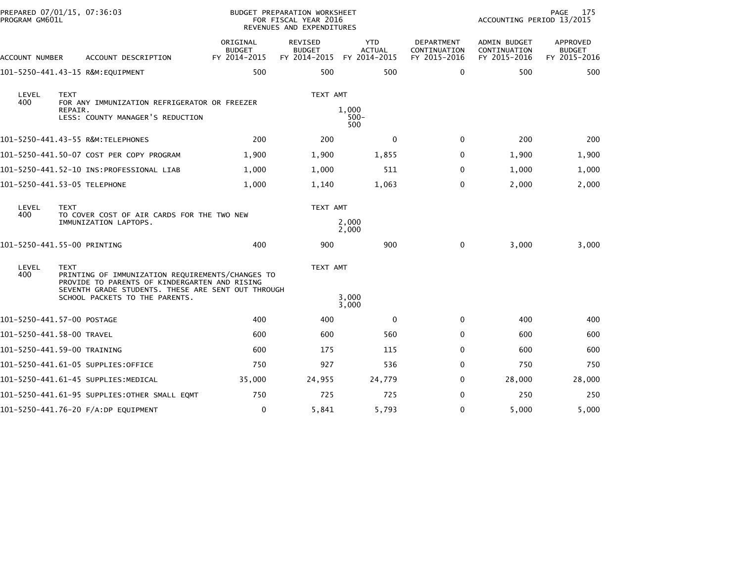| PROGRAM GM601L | PREPARED 07/01/15, 07:36:03                                                                                      |                                           | BUDGET PREPARATION WORKSHEET<br>FOR FISCAL YEAR 2016<br>REVENUES AND EXPENDITURES |                             |                                            | ACCOUNTING PERIOD 13/2015                    | PAGE<br>175                               |
|----------------|------------------------------------------------------------------------------------------------------------------|-------------------------------------------|-----------------------------------------------------------------------------------|-----------------------------|--------------------------------------------|----------------------------------------------|-------------------------------------------|
| ACCOUNT NUMBER | ACCOUNT DESCRIPTION                                                                                              | ORIGINAL<br><b>BUDGET</b><br>FY 2014-2015 | REVISED<br><b>BUDGET</b><br>FY 2014-2015 FY 2014-2015                             | <b>YTD</b><br><b>ACTUAL</b> | DEPARTMENT<br>CONTINUATION<br>FY 2015-2016 | ADMIN BUDGET<br>CONTINUATION<br>FY 2015-2016 | APPROVED<br><b>BUDGET</b><br>FY 2015-2016 |
|                | 101-5250-441.43-15 R&M:EQUIPMENT                                                                                 | 500                                       | 500                                                                               | 500                         | 0                                          | 500                                          | 500                                       |
| LEVEL<br>400   | <b>TEXT</b><br>FOR ANY IMMUNIZATION REFRIGERATOR OR FREEZER<br>REPAIR.                                           |                                           | TEXT AMT                                                                          | 1,000                       |                                            |                                              |                                           |
|                | LESS: COUNTY MANAGER'S REDUCTION                                                                                 |                                           |                                                                                   | $500 -$<br>500              |                                            |                                              |                                           |
|                | 101-5250-441.43-55 R&M:TELEPHONES                                                                                | 200                                       | 200                                                                               | $\Omega$                    | $\mathbf{0}$                               | 200                                          | 200                                       |
|                | 101-5250-441.50-07 COST PER COPY PROGRAM                                                                         | 1,900                                     | 1,900                                                                             | 1,855                       | 0                                          | 1,900                                        | 1,900                                     |
|                |                                                                                                                  | 1,000                                     | 1,000                                                                             | 511                         | 0                                          | 1,000                                        | 1,000                                     |
|                | 101-5250-441.53-05 TELEPHONE                                                                                     | 1,000                                     | 1,140                                                                             | 1,063                       | 0                                          | 2,000                                        | 2,000                                     |
| LEVEL<br>400   | <b>TEXT</b><br>TO COVER COST OF AIR CARDS FOR THE TWO NEW                                                        |                                           | TEXT AMT                                                                          |                             |                                            |                                              |                                           |
|                | IMMUNIZATION LAPTOPS.                                                                                            |                                           |                                                                                   | 2,000<br>2,000              |                                            |                                              |                                           |
|                | 101-5250-441.55-00 PRINTING                                                                                      | 400                                       | 900                                                                               | 900                         | $\mathbf 0$                                | 3,000                                        | 3,000                                     |
| LEVEL<br>400   | <b>TEXT</b><br>PRINTING OF IMMUNIZATION REQUIREMENTS/CHANGES TO<br>PROVIDE TO PARENTS OF KINDERGARTEN AND RISING |                                           | TEXT AMT                                                                          |                             |                                            |                                              |                                           |
|                | SEVENTH GRADE STUDENTS. THESE ARE SENT OUT THROUGH<br>SCHOOL PACKETS TO THE PARENTS.                             |                                           |                                                                                   | 3,000<br>3,000              |                                            |                                              |                                           |
|                | 101-5250-441.57-00 POSTAGE                                                                                       | 400                                       | 400                                                                               | $\mathbf{0}$                | 0                                          | 400                                          | 400                                       |
|                | 101-5250-441.58-00 TRAVEL                                                                                        | 600                                       | 600                                                                               | 560                         | 0                                          | 600                                          | 600                                       |
|                | 101-5250-441.59-00 TRAINING                                                                                      | 600                                       | 175                                                                               | 115                         | 0                                          | 600                                          | 600                                       |
|                | 101–5250–441.61–05 SUPPLIES:OFFICE                                                                               | 750                                       | 927                                                                               | 536                         | 0                                          | 750                                          | 750                                       |
|                | 101-5250-441.61-45 SUPPLIES:MEDICAL                                                                              | 35,000                                    | 24,955                                                                            | 24,779                      | 0                                          | 28,000                                       | 28,000                                    |
|                | 101-5250-441.61-95 SUPPLIES:OTHER SMALL EQMT                                                                     | 750                                       | 725                                                                               | 725                         | 0                                          | 250                                          | 250                                       |
|                | 101-5250-441.76-20 F/A:DP EQUIPMENT                                                                              | 0                                         | 5,841                                                                             | 5,793                       | 0                                          | 5,000                                        | 5,000                                     |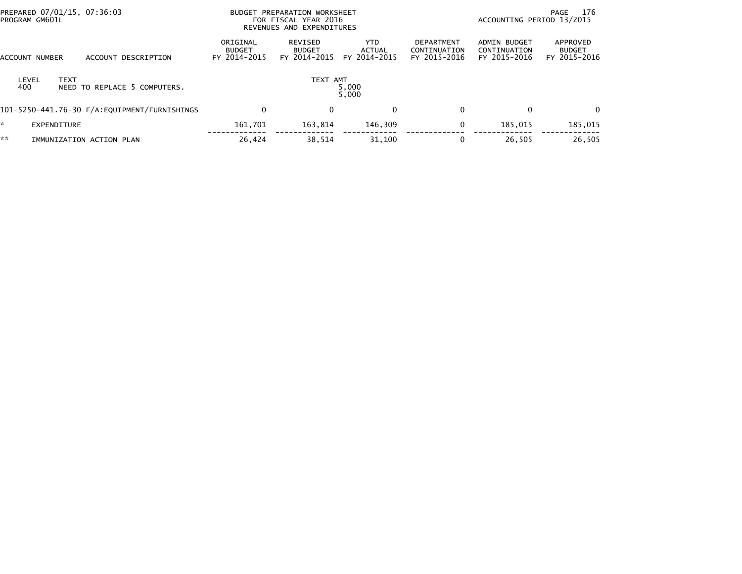| PREPARED 07/01/15, 07:36:03<br>PROGRAM GM601L               |                                           | BUDGET PREPARATION WORKSHEET<br>FOR FISCAL YEAR 2016<br>REVENUES AND EXPENDITURES |                                      |                                                   |                                              | 176<br>PAGE<br>ACCOUNTING PERIOD 13/2015  |  |  |
|-------------------------------------------------------------|-------------------------------------------|-----------------------------------------------------------------------------------|--------------------------------------|---------------------------------------------------|----------------------------------------------|-------------------------------------------|--|--|
| <b>ACCOUNT NUMBER</b><br>ACCOUNT DESCRIPTION                | ORIGINAL<br><b>BUDGET</b><br>FY 2014-2015 | REVISED<br><b>BUDGET</b><br>FY 2014-2015                                          | <b>YTD</b><br>ACTUAL<br>FY 2014-2015 | <b>DEPARTMENT</b><br>CONTINUATION<br>FY 2015-2016 | ADMIN BUDGET<br>CONTINUATION<br>FY 2015-2016 | APPROVED<br><b>BUDGET</b><br>FY 2015-2016 |  |  |
| <b>TEXT</b><br>LEVEL<br>400<br>NEED TO REPLACE 5 COMPUTERS. |                                           | TEXT AMT                                                                          | 5,000<br>5,000                       |                                                   |                                              |                                           |  |  |
| 101-5250-441.76-30 F/A:EQUIPMENT/FURNISHINGS                | 0                                         | $\Omega$                                                                          | $\mathbf 0$                          | 0                                                 | $\mathbf{0}$                                 | $\Omega$                                  |  |  |
| $\mathbf{r}$<br><b>EXPENDITURE</b>                          | 161.701                                   | 163,814                                                                           | 146,309                              | 0                                                 | 185,015                                      | 185,015                                   |  |  |
| **<br>IMMUNIZATION ACTION PLAN                              | 26,424                                    | 38,514                                                                            | 31,100                               |                                                   | 26,505                                       | 26,505                                    |  |  |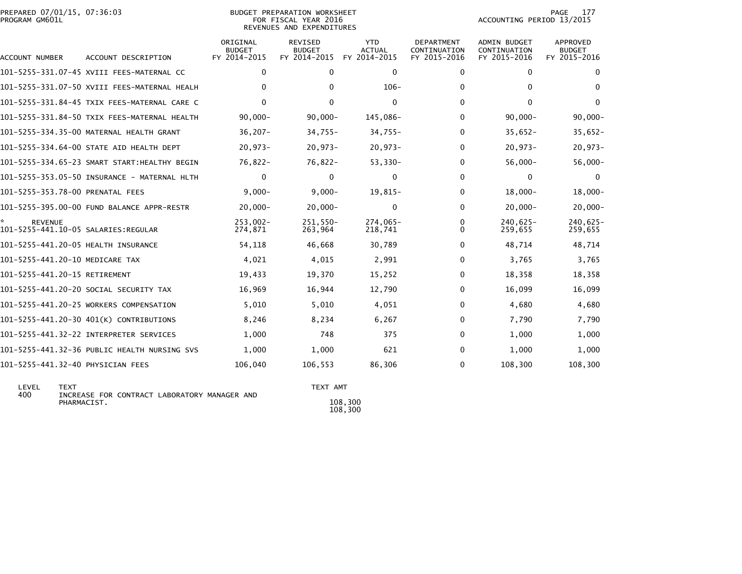|                | PREPARED 07/01/15, 07:36:03 |  |
|----------------|-----------------------------|--|
| PROGRAM GM601L |                             |  |

#### BUDGET PREPARATION WORKSHEET<br>FOR FISCAL YEAR 2016 PROGRAM GM601L FOR FISCAL YEAR 2016 ACCOUNTING PERIOD 13/2015REVENUES AND EXPENDITURES

| <b>ACCOUNT NUMBER</b>                                 | ACCOUNT DESCRIPTION                           | ORIGINAL<br><b>BUDGET</b><br>FY 2014-2015 | REVISED<br><b>BUDGET</b><br>FY 2014-2015 | <b>YTD</b><br><b>ACTUAL</b><br>FY 2014-2015 | <b>DEPARTMENT</b><br>CONTINUATION<br>FY 2015-2016 | <b>ADMIN BUDGET</b><br>CONTINUATION<br>FY 2015-2016 | APPROVED<br><b>BUDGET</b><br>FY 2015-2016 |
|-------------------------------------------------------|-----------------------------------------------|-------------------------------------------|------------------------------------------|---------------------------------------------|---------------------------------------------------|-----------------------------------------------------|-------------------------------------------|
|                                                       | 101-5255-331.07-45 XVIII FEES-MATERNAL CC     | $\Omega$                                  | 0                                        | $\Omega$                                    | 0                                                 | $\Omega$                                            | $\Omega$                                  |
|                                                       | 101-5255-331.07-50 XVIII FEES-MATERNAL HEALH  | $\Omega$                                  | $\Omega$                                 | $106 -$                                     | 0                                                 | $\Omega$                                            | $\Omega$                                  |
|                                                       | 101-5255-331.84-45 TXIX FEES-MATERNAL CARE C  | 0                                         | 0                                        | $\mathbf{0}$                                | 0                                                 | $\Omega$                                            | $\mathbf{0}$                              |
|                                                       | 101-5255-331.84-50 TXIX FEES-MATERNAL HEALTH  | $90,000 -$                                | $90,000 -$                               | 145,086-                                    | 0                                                 | $90,000 -$                                          | $90,000 -$                                |
|                                                       | 101-5255-334.35-00 MATERNAL HEALTH GRANT      | $36,207 -$                                | $34,755-$                                | $34,755-$                                   | 0                                                 | $35,652-$                                           | $35,652-$                                 |
|                                                       | 101-5255-334.64-00 STATE AID HEALTH DEPT      | $20,973-$                                 | $20,973-$                                | $20,973-$                                   | 0                                                 | $20,973-$                                           | $20,973-$                                 |
|                                                       | 101-5255-334.65-23 SMART START: HEALTHY BEGIN | 76,822-                                   | $76,822 -$                               | $53,330-$                                   | 0                                                 | $56,000 -$                                          | $56,000 -$                                |
|                                                       | 101-5255-353.05-50 INSURANCE - MATERNAL HLTH  | 0                                         | $\Omega$                                 | $\mathbf{0}$                                | 0                                                 | $\mathbf{0}$                                        | $\Omega$                                  |
| 101-5255-353.78-00 PRENATAL FEES                      |                                               | $9,000 -$                                 | $9,000 -$                                | 19,815-                                     | 0                                                 | $18,000 -$                                          | $18,000 -$                                |
|                                                       | 101-5255-395.00-00 FUND BALANCE APPR-RESTR    | $20,000 -$                                | $20,000 -$                               | $\Omega$                                    | 0                                                 | $20,000 -$                                          | $20,000 -$                                |
| <b>REVENUE</b><br>101-5255-441.10-05 SALARIES:REGULAR |                                               | $253.002 -$<br>274,871                    | 251.550-<br>263,964                      | 274,065-<br>218.741                         | 0<br>0                                            | $240.625 -$<br>259,655                              | 240,625-<br>259,655                       |
| 101-5255-441.20-05 HEALTH INSURANCE                   |                                               | 54,118                                    | 46,668                                   | 30,789                                      | 0                                                 | 48,714                                              | 48,714                                    |
| 101-5255-441.20-10 MEDICARE TAX                       |                                               | 4,021                                     | 4,015                                    | 2,991                                       | 0                                                 | 3,765                                               | 3,765                                     |
| 101-5255-441.20-15 RETIREMENT                         |                                               | 19,433                                    | 19,370                                   | 15,252                                      | 0                                                 | 18,358                                              | 18,358                                    |
|                                                       | 101-5255-441.20-20 SOCIAL SECURITY TAX        | 16,969                                    | 16,944                                   | 12,790                                      | 0                                                 | 16,099                                              | 16,099                                    |
|                                                       | 101-5255-441.20-25 WORKERS COMPENSATION       | 5,010                                     | 5,010                                    | 4,051                                       | 0                                                 | 4,680                                               | 4,680                                     |
|                                                       | 101-5255-441.20-30 401(K) CONTRIBUTIONS       | 8,246                                     | 8,234                                    | 6,267                                       | 0                                                 | 7,790                                               | 7,790                                     |
|                                                       | 101-5255-441.32-22 INTERPRETER SERVICES       | 1,000                                     | 748                                      | 375                                         | 0                                                 | 1,000                                               | 1,000                                     |
|                                                       | 101-5255-441.32-36 PUBLIC HEALTH NURSING SVS  | 1,000                                     | 1,000                                    | 621                                         | 0                                                 | 1,000                                               | 1,000                                     |
| 101-5255-441.32-40 PHYSICIAN FEES                     |                                               | 106,040                                   | 106,553                                  | 86,306                                      | 0                                                 | 108,300                                             | 108,300                                   |

LEVEL TEXT TEXT AMT TEXT AMT TEXT AMT AND TEXT AMT TEXT AMT INCREASE FOR CONTRACT LABORATORY MANAGER AND PHARMACIST.  $108,300$ 

 $\frac{108,300}{108,300}$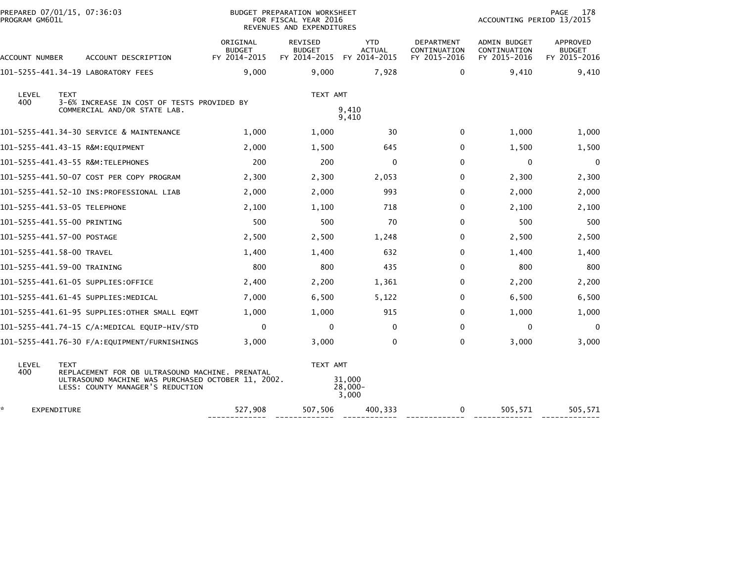| PREPARED 07/01/15, 07:36:03<br>PROGRAM GM601L |                                                                                                                                           | BUDGET PREPARATION WORKSHEET<br>FOR FISCAL YEAR 2016<br>REVENUES AND EXPENDITURES |                                          |                                             | PAGE<br>178<br>ACCOUNTING PERIOD 13/2015   |                                              |                                           |
|-----------------------------------------------|-------------------------------------------------------------------------------------------------------------------------------------------|-----------------------------------------------------------------------------------|------------------------------------------|---------------------------------------------|--------------------------------------------|----------------------------------------------|-------------------------------------------|
| ACCOUNT NUMBER                                | ACCOUNT DESCRIPTION                                                                                                                       | ORIGINAL<br><b>BUDGET</b><br>FY 2014-2015                                         | REVISED<br><b>BUDGET</b><br>FY 2014-2015 | <b>YTD</b><br><b>ACTUAL</b><br>FY 2014-2015 | DEPARTMENT<br>CONTINUATION<br>FY 2015-2016 | ADMIN BUDGET<br>CONTINUATION<br>FY 2015-2016 | APPROVED<br><b>BUDGET</b><br>FY 2015-2016 |
|                                               | 101-5255-441.34-19 LABORATORY FEES                                                                                                        | 9,000                                                                             | 9,000                                    | 7,928                                       | $\mathbf{0}$                               | 9,410                                        | 9,410                                     |
| LEVEL<br><b>TEXT</b><br>400                   | 3-6% INCREASE IN COST OF TESTS PROVIDED BY                                                                                                |                                                                                   | TEXT AMT                                 |                                             |                                            |                                              |                                           |
|                                               | COMMERCIAL AND/OR STATE LAB.                                                                                                              | 9,410<br>9,410                                                                    |                                          |                                             |                                            |                                              |                                           |
|                                               | 101-5255-441.34-30 SERVICE & MAINTENANCE                                                                                                  | 1,000                                                                             | 1,000                                    | 30                                          | 0                                          | 1,000                                        | 1,000                                     |
| 101-5255-441.43-15 R&M:EQUIPMENT              |                                                                                                                                           | 2,000                                                                             | 1,500                                    | 645                                         | 0                                          | 1,500                                        | 1,500                                     |
|                                               | 101-5255-441.43-55 R&M:TELEPHONES                                                                                                         | 200                                                                               | 200                                      | 0                                           | $\mathbf{0}$                               | 0                                            | $\mathbf 0$                               |
|                                               | 101-5255-441.50-07 COST PER COPY PROGRAM                                                                                                  | 2,300                                                                             | 2,300                                    | 2,053                                       | $\Omega$                                   | 2,300                                        | 2,300                                     |
|                                               |                                                                                                                                           | 2,000                                                                             | 2,000                                    | 993                                         | 0                                          | 2,000                                        | 2,000                                     |
| 101-5255-441.53-05 TELEPHONE                  |                                                                                                                                           | 2,100                                                                             | 1,100                                    | 718                                         | 0                                          | 2,100                                        | 2,100                                     |
| 101-5255-441.55-00 PRINTING                   |                                                                                                                                           | 500                                                                               | 500                                      | 70                                          | $\Omega$                                   | 500                                          | 500                                       |
| 101-5255-441.57-00 POSTAGE                    |                                                                                                                                           | 2,500                                                                             | 2,500                                    | 1,248                                       | 0                                          | 2,500                                        | 2,500                                     |
| 101-5255-441.58-00 TRAVEL                     |                                                                                                                                           | 1,400                                                                             | 1,400                                    | 632                                         | $\Omega$                                   | 1,400                                        | 1,400                                     |
| 101-5255-441.59-00 TRAINING                   |                                                                                                                                           | 800                                                                               | 800                                      | 435                                         | 0                                          | 800                                          | 800                                       |
|                                               | 101-5255-441.61-05 SUPPLIES:OFFICE                                                                                                        | 2,400                                                                             | 2,200                                    | 1,361                                       | 0                                          | 2,200                                        | 2,200                                     |
|                                               | 101–5255–441.61–45 SUPPLIES:MEDICAL                                                                                                       | 7,000                                                                             | 6,500                                    | 5,122                                       | 0                                          | 6,500                                        | 6,500                                     |
|                                               | 101–5255–441.61–95 SUPPLIES:OTHER SMALL EQMT                                                                                              | 1,000                                                                             | 1,000                                    | 915                                         | 0                                          | 1,000                                        | 1,000                                     |
|                                               |                                                                                                                                           | 0                                                                                 | $\mathbf{0}$                             | $\mathbf{0}$                                | $\Omega$                                   | $\mathbf{0}$                                 | $\Omega$                                  |
|                                               | 101-5255-441.76-30 F/A:EQUIPMENT/FURNISHINGS                                                                                              | 3,000                                                                             | 3,000                                    | $\Omega$                                    | $\Omega$                                   | 3,000                                        | 3,000                                     |
| LEVEL<br><b>TEXT</b>                          |                                                                                                                                           |                                                                                   | TEXT AMT                                 |                                             |                                            |                                              |                                           |
| 400                                           | REPLACEMENT FOR OB ULTRASOUND MACHINE. PRENATAL<br>ULTRASOUND MACHINE WAS PURCHASED OCTOBER 11, 2002.<br>LESS: COUNTY MANAGER'S REDUCTION |                                                                                   |                                          | 31.000<br>28,000-<br>3,000                  |                                            |                                              |                                           |
| ×.<br>EXPENDITURE                             |                                                                                                                                           | 527,908                                                                           | 507,506                                  | 400,333                                     | 0                                          | 505,571                                      | 505,571                                   |

------------- ------------- ------------ ------------- ------------- -------------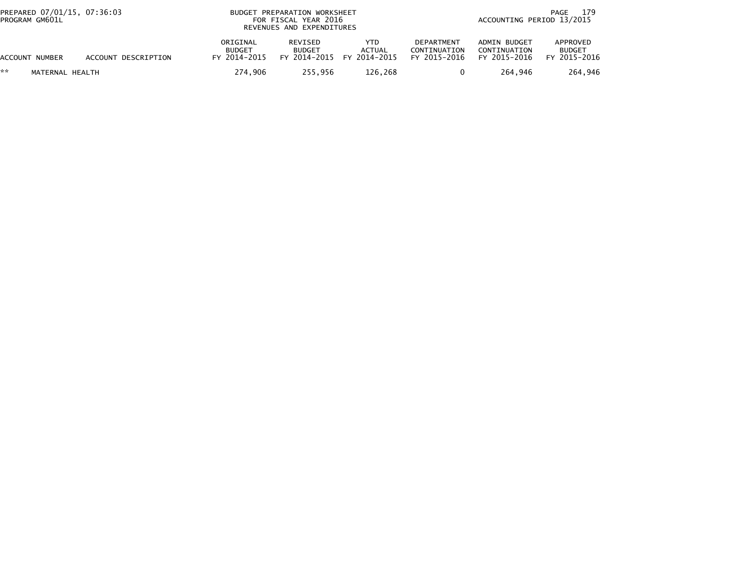| PREPARED 07/01/15, 07:36:03<br>PROGRAM GM601L |                     | BUDGET PREPARATION WORKSHEET<br>FOR FISCAL YEAR 2016<br>REVENUES AND EXPENDITURES |                          |                                            | 179<br>PAGE<br>ACCOUNTING PERIOD 13/2015          |                                              |                                           |
|-----------------------------------------------|---------------------|-----------------------------------------------------------------------------------|--------------------------|--------------------------------------------|---------------------------------------------------|----------------------------------------------|-------------------------------------------|
| ACCOUNT NUMBER                                | ACCOUNT DESCRIPTION | ORIGINAL<br><b>BUDGET</b><br>FY 2014-2015                                         | REVISED<br><b>BUDGET</b> | YTD<br>ACTUAL<br>FY 2014-2015 FY 2014-2015 | <b>DEPARTMENT</b><br>CONTINUATION<br>FY 2015-2016 | ADMIN BUDGET<br>CONTINUATION<br>FY 2015-2016 | APPROVED<br><b>BUDGET</b><br>FY 2015-2016 |
| **<br>MATERNAL HEALTH                         |                     | 274.906                                                                           | 255.956                  | 126,268                                    |                                                   | 264.946                                      | 264.946                                   |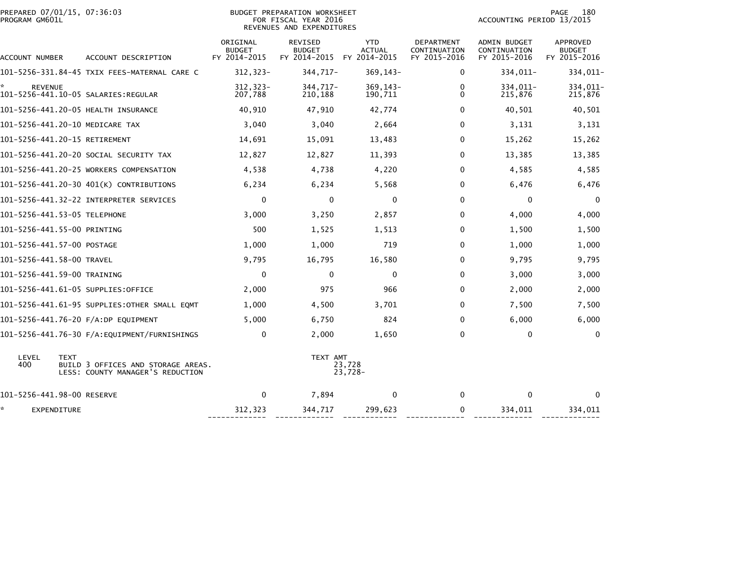| PREPARED 07/01/15, 07:36:03<br>PROGRAM GM601L |                                                                                       | <b>BUDGET PREPARATION WORKSHEET</b><br>FOR FISCAL YEAR 2016<br>REVENUES AND EXPENDITURES |                                                 |                                             |                                            |                                                     | 180<br><b>PAGE</b><br>ACCOUNTING PERIOD 13/2015 |  |  |
|-----------------------------------------------|---------------------------------------------------------------------------------------|------------------------------------------------------------------------------------------|-------------------------------------------------|---------------------------------------------|--------------------------------------------|-----------------------------------------------------|-------------------------------------------------|--|--|
| ACCOUNT NUMBER                                | ACCOUNT DESCRIPTION                                                                   | ORIGINAL<br><b>BUDGET</b><br>FY 2014-2015                                                | <b>REVISED</b><br><b>BUDGET</b><br>FY 2014-2015 | <b>YTD</b><br><b>ACTUAL</b><br>FY 2014-2015 | DEPARTMENT<br>CONTINUATION<br>FY 2015-2016 | <b>ADMIN BUDGET</b><br>CONTINUATION<br>FY 2015-2016 | APPROVED<br><b>BUDGET</b><br>FY 2015-2016       |  |  |
|                                               | 101-5256-331.84-45 TXIX FEES-MATERNAL CARE C                                          | $312, 323 -$                                                                             | 344,717-                                        | 369, 143-                                   | 0                                          | 334,011-                                            | 334,011-                                        |  |  |
| <b>REVENUE</b>                                |                                                                                       | $312, 323 -$<br>207,788                                                                  | 344,717-<br>210,188                             | 369, 143-<br>190,711                        | 0<br>$\Omega$                              | 334,011-<br>215,876                                 | 334,011-<br>215,876                             |  |  |
|                                               | 101-5256-441.20-05 HEALTH INSURANCE                                                   | 40,910                                                                                   | 47,910                                          | 42,774                                      | $\Omega$                                   | 40,501                                              | 40,501                                          |  |  |
|                                               | 101-5256-441.20-10 MEDICARE TAX                                                       | 3,040                                                                                    | 3,040                                           | 2,664                                       | $\Omega$                                   | 3,131                                               | 3,131                                           |  |  |
|                                               | 101-5256-441.20-15 RETIREMENT                                                         | 14,691                                                                                   | 15,091                                          | 13,483                                      | 0                                          | 15,262                                              | 15,262                                          |  |  |
|                                               | 101–5256–441.20–20 SOCIAL SECURITY TAX                                                | 12,827                                                                                   | 12,827                                          | 11,393                                      | 0                                          | 13,385                                              | 13,385                                          |  |  |
|                                               | 101-5256-441.20-25 WORKERS COMPENSATION                                               | 4,538                                                                                    | 4,738                                           | 4,220                                       | $\Omega$                                   | 4,585                                               | 4,585                                           |  |  |
|                                               | 101-5256-441.20-30 401(K) CONTRIBUTIONS                                               | 6,234                                                                                    | 6,234                                           | 5,568                                       | 0                                          | 6,476                                               | 6,476                                           |  |  |
|                                               |                                                                                       | $\mathbf{0}$                                                                             | $\mathbf{0}$                                    | $\Omega$                                    | $\Omega$                                   | 0                                                   | $\Omega$                                        |  |  |
|                                               | 101-5256-441.53-05 TELEPHONE                                                          | 3,000                                                                                    | 3,250                                           | 2,857                                       | 0                                          | 4,000                                               | 4,000                                           |  |  |
| 101-5256-441.55-00 PRINTING                   |                                                                                       | 500                                                                                      | 1,525                                           | 1,513                                       | $\Omega$                                   | 1,500                                               | 1,500                                           |  |  |
| 101-5256-441.57-00 POSTAGE                    |                                                                                       | 1,000                                                                                    | 1,000                                           | 719                                         | $\Omega$                                   | 1,000                                               | 1,000                                           |  |  |
| 101-5256-441.58-00 TRAVEL                     |                                                                                       | 9,795                                                                                    | 16,795                                          | 16,580                                      | 0                                          | 9,795                                               | 9,795                                           |  |  |
| 101-5256-441.59-00 TRAINING                   |                                                                                       | 0                                                                                        | $\mathbf 0$                                     | $\mathbf 0$                                 | $\Omega$                                   | 3,000                                               | 3,000                                           |  |  |
|                                               | 101-5256-441.61-05 SUPPLIES:OFFICE                                                    | 2,000                                                                                    | 975                                             | 966                                         | 0                                          | 2,000                                               | 2,000                                           |  |  |
|                                               | 101-5256-441.61-95 SUPPLIES:OTHER SMALL EOMT                                          | 1,000                                                                                    | 4,500                                           | 3,701                                       | 0                                          | 7,500                                               | 7,500                                           |  |  |
|                                               | 101-5256-441.76-20 F/A:DP EQUIPMENT                                                   | 5,000                                                                                    | 6,750                                           | 824                                         | 0                                          | 6,000                                               | 6,000                                           |  |  |
|                                               | 101-5256-441.76-30 F/A:EQUIPMENT/FURNISHINGS                                          | 0                                                                                        | 2,000                                           | 1,650                                       | 0                                          | 0                                                   | $\mathbf 0$                                     |  |  |
| LEVEL<br>400                                  | <b>TEXT</b><br>BUILD 3 OFFICES AND STORAGE AREAS.<br>LESS: COUNTY MANAGER'S REDUCTION |                                                                                          | TEXT AMT                                        | 23,728<br>$23,728-$                         |                                            |                                                     |                                                 |  |  |
| 101-5256-441.98-00 RESERVE                    |                                                                                       | $\mathbf 0$                                                                              | 7,894                                           | $\Omega$                                    | $\mathbf{0}$                               | $\mathbf 0$                                         | $\Omega$                                        |  |  |
| ×.<br>EXPENDITURE                             |                                                                                       | 312,323                                                                                  | 344,717                                         | 299,623                                     | 0                                          | 334,011                                             | 334,011                                         |  |  |

------------- ------------- ------------ ------------- ------------- -------------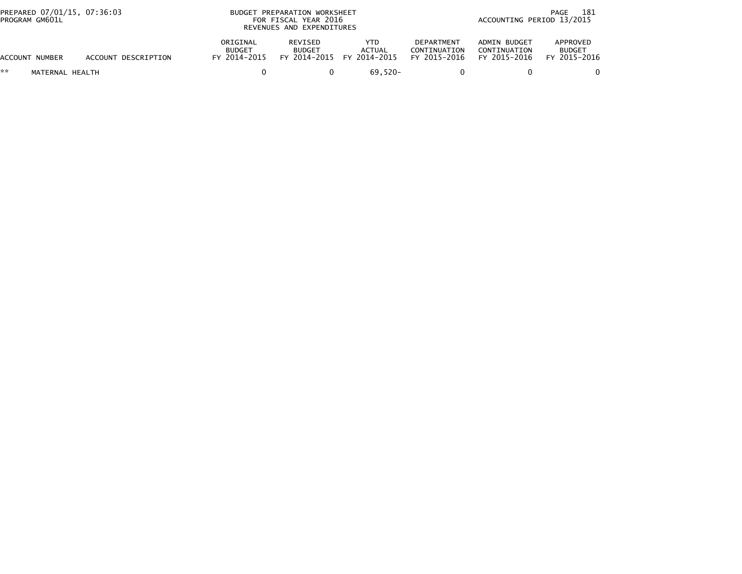| PREPARED 07/01/15, 07:36:03<br>PROGRAM GM601L |                     |                                           | BUDGET PREPARATION WORKSHEET<br>FOR FISCAL YEAR 2016<br>REVENUES AND EXPENDITURES |                                                    |                                            |                                              | 181<br>PAGE<br>ACCOUNTING PERIOD 13/2015  |  |
|-----------------------------------------------|---------------------|-------------------------------------------|-----------------------------------------------------------------------------------|----------------------------------------------------|--------------------------------------------|----------------------------------------------|-------------------------------------------|--|
| ACCOUNT NUMBER                                | ACCOUNT DESCRIPTION | ORIGINAL<br><b>BUDGET</b><br>FY 2014-2015 | REVISED<br><b>BUDGET</b>                                                          | YTD.<br><b>ACTUAL</b><br>FY 2014-2015 FY 2014-2015 | DEPARTMENT<br>CONTINUATION<br>FY 2015-2016 | ADMIN BUDGET<br>CONTINUATION<br>FY 2015-2016 | APPROVED<br><b>BUDGET</b><br>FY 2015-2016 |  |
| **<br>MATERNAL HEALTH                         |                     |                                           |                                                                                   | 69.520-                                            |                                            |                                              |                                           |  |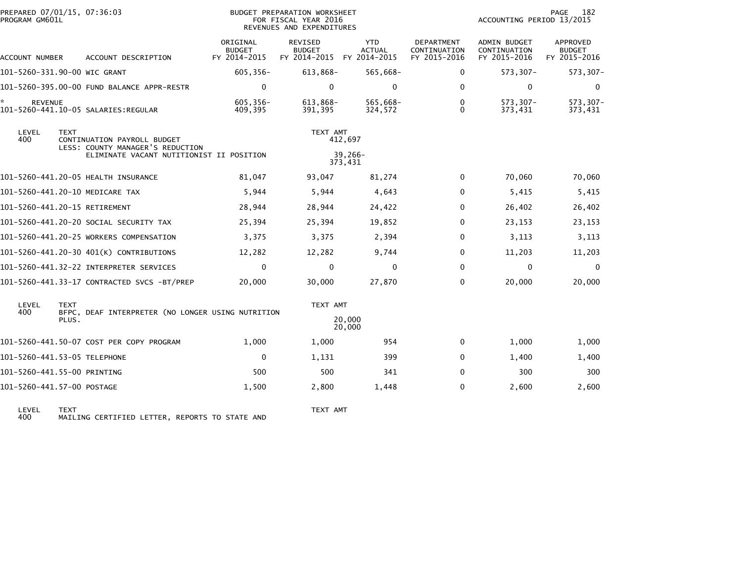|                                                            | PREPARED 07/01/15, 07:36:03<br>PROGRAM GM601L |             |                                                   |                                           | <b>BUDGET PREPARATION WORKSHEET</b><br>FOR FISCAL YEAR 2016<br>REVENUES AND EXPENDITURES |                             | ACCOUNTING PERIOD 13/2015                  | PAGE<br>182                                  |                                           |
|------------------------------------------------------------|-----------------------------------------------|-------------|---------------------------------------------------|-------------------------------------------|------------------------------------------------------------------------------------------|-----------------------------|--------------------------------------------|----------------------------------------------|-------------------------------------------|
|                                                            | ACCOUNT NUMBER                                |             | ACCOUNT DESCRIPTION                               | ORIGINAL<br><b>BUDGET</b><br>FY 2014-2015 | REVISED<br><b>BUDGET</b><br>FY 2014-2015 FY 2014-2015                                    | <b>YTD</b><br><b>ACTUAL</b> | DEPARTMENT<br>CONTINUATION<br>FY 2015-2016 | ADMIN BUDGET<br>CONTINUATION<br>FY 2015-2016 | APPROVED<br><b>BUDGET</b><br>FY 2015-2016 |
|                                                            |                                               |             | 101-5260-331.90-00 WIC GRANT                      | 605,356-                                  | $613,868-$                                                                               | 565,668-                    | 0                                          | 573,307-                                     | 573,307-                                  |
|                                                            |                                               |             | 101-5260-395.00-00 FUND BALANCE APPR-RESTR        | $\Omega$                                  | $\mathbf{0}$                                                                             | $\Omega$                    | $\Omega$                                   | $\mathbf 0$                                  | $\mathbf 0$                               |
|                                                            | <b>REVENUE</b>                                |             | 101-5260-441.10-05 SALARIES:REGULAR               | 605,356-<br>409.395                       | 613,868-<br>391.395                                                                      | 565,668-<br>324.572         | 0<br>$\Omega$                              | $573, 307 -$<br>373,431                      | 573,307-<br>373,431                       |
| LEVEL<br><b>TEXT</b><br>400<br>CONTINUATION PAYROLL BUDGET |                                               |             | LESS: COUNTY MANAGER'S REDUCTION                  |                                           | TEXT AMT                                                                                 | 412,697                     |                                            |                                              |                                           |
|                                                            |                                               |             | ELIMINATE VACANT NUTITIONIST II POSITION          |                                           | 39,266-<br>373,431                                                                       |                             |                                            |                                              |                                           |
|                                                            |                                               |             | 101-5260-441.20-05 HEALTH INSURANCE               | 81,047                                    | 93,047                                                                                   | 81,274                      | 0                                          | 70,060                                       | 70,060                                    |
|                                                            |                                               |             | 101-5260-441.20-10 MEDICARE TAX                   | 5,944                                     | 5,944                                                                                    | 4,643                       | $\Omega$                                   | 5,415                                        | 5,415                                     |
|                                                            |                                               |             | 101-5260-441.20-15 RETIREMENT                     | 28,944                                    | 28,944                                                                                   | 24,422                      | 0                                          | 26,402                                       | 26,402                                    |
|                                                            |                                               |             | 101-5260-441.20-20 SOCIAL SECURITY TAX            | 25,394                                    | 25,394                                                                                   | 19,852                      | 0                                          | 23,153                                       | 23,153                                    |
|                                                            |                                               |             | 101-5260-441.20-25 WORKERS COMPENSATION           | 3,375                                     | 3,375                                                                                    | 2,394                       | 0                                          | 3,113                                        | 3,113                                     |
|                                                            |                                               |             | 101-5260-441.20-30 401(K) CONTRIBUTIONS           | 12,282                                    | 12,282                                                                                   | 9,744                       | 0                                          | 11,203                                       | 11,203                                    |
|                                                            |                                               |             | 101-5260-441.32-22 INTERPRETER SERVICES           | $\mathbf 0$                               | $\mathbf 0$                                                                              | $\mathbf{0}$                | 0                                          | $\mathbf{0}$                                 | $\mathbf 0$                               |
|                                                            |                                               |             | 101-5260-441.33-17 CONTRACTED SVCS -BT/PREP       | 20,000                                    | 30,000                                                                                   | 27,870                      | $\Omega$                                   | 20,000                                       | 20,000                                    |
|                                                            | LEVEL<br>400                                  | <b>TEXT</b> | BFPC, DEAF INTERPRETER (NO LONGER USING NUTRITION |                                           | TEXT AMT                                                                                 |                             |                                            |                                              |                                           |
|                                                            |                                               | PLUS.       |                                                   |                                           |                                                                                          | 20,000<br>20,000            |                                            |                                              |                                           |
|                                                            |                                               |             | 101-5260-441.50-07 COST PER COPY PROGRAM          | 1,000                                     | 1,000                                                                                    | 954                         | $\mathbf 0$                                | 1,000                                        | 1,000                                     |
|                                                            |                                               |             | 101-5260-441.53-05 TELEPHONE                      | $\mathbf 0$                               | 1,131                                                                                    | 399                         | 0                                          | 1,400                                        | 1,400                                     |
|                                                            |                                               |             | 101-5260-441.55-00 PRINTING                       | 500                                       | 500                                                                                      | 341                         | 0                                          | 300                                          | 300                                       |
|                                                            | 101-5260-441.57-00 POSTAGE                    |             |                                                   | 1,500                                     | 2,800                                                                                    | 1,448                       | $\Omega$                                   | 2,600                                        | 2,600                                     |
|                                                            |                                               |             |                                                   |                                           |                                                                                          |                             |                                            |                                              |                                           |

LEVEL TEXT TEXT AMT 400 MAILING CERTIFIED LETTER, REPORTS TO STATE AND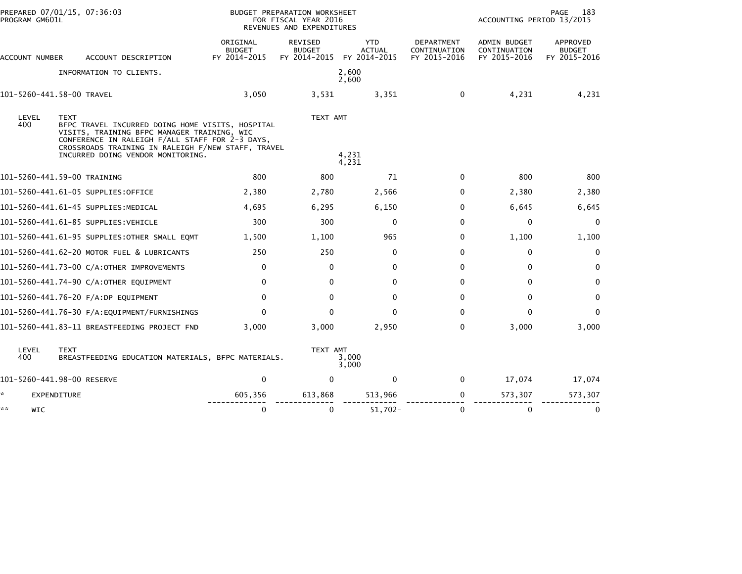|                | PREPARED 07/01/15, 07:36:03<br>PROGRAM GM601L                                                                                                                                                                                                                |                                           | BUDGET PREPARATION WORKSHEET<br>FOR FISCAL YEAR 2016<br>REVENUES AND EXPENDITURES |                                             | PAGE<br>183<br>ACCOUNTING PERIOD 13/2015          |                                              |                                           |
|----------------|--------------------------------------------------------------------------------------------------------------------------------------------------------------------------------------------------------------------------------------------------------------|-------------------------------------------|-----------------------------------------------------------------------------------|---------------------------------------------|---------------------------------------------------|----------------------------------------------|-------------------------------------------|
| ACCOUNT NUMBER | ACCOUNT DESCRIPTION                                                                                                                                                                                                                                          | ORIGINAL<br><b>BUDGET</b><br>FY 2014-2015 | <b>REVISED</b><br><b>BUDGET</b><br>FY 2014-2015                                   | <b>YTD</b><br><b>ACTUAL</b><br>FY 2014-2015 | <b>DEPARTMENT</b><br>CONTINUATION<br>FY 2015-2016 | ADMIN BUDGET<br>CONTINUATION<br>FY 2015-2016 | APPROVED<br><b>BUDGET</b><br>FY 2015-2016 |
|                | INFORMATION TO CLIENTS.                                                                                                                                                                                                                                      |                                           |                                                                                   | 2,600<br>2,600                              |                                                   |                                              |                                           |
|                | 101-5260-441.58-00 TRAVEL                                                                                                                                                                                                                                    | 3,050                                     | 3,531                                                                             | 3,351                                       | 0                                                 | 4,231                                        | 4,231                                     |
| LEVEL<br>400   | <b>TEXT</b><br>BFPC TRAVEL INCURRED DOING HOME VISITS, HOSPITAL<br>VISITS, TRAINING BFPC MANAGER TRAINING, WIC<br>CONFERENCE IN RALEIGH F/ALL STAFF FOR 2-3 DAYS,<br>CROSSROADS TRAINING IN RALEIGH F/NEW STAFF, TRAVEL<br>INCURRED DOING VENDOR MONITORING. |                                           | TEXT AMT                                                                          | 4,231                                       |                                                   |                                              |                                           |
|                |                                                                                                                                                                                                                                                              |                                           |                                                                                   | 4,231                                       |                                                   |                                              |                                           |
|                | 101-5260-441.59-00 TRAINING                                                                                                                                                                                                                                  | 800                                       | 800                                                                               | 71                                          | 0                                                 | 800                                          | 800                                       |
|                | 101-5260-441.61-05 SUPPLIES:OFFICE                                                                                                                                                                                                                           | 2,380                                     | 2,780                                                                             | 2,566                                       | 0                                                 | 2,380                                        | 2,380                                     |
|                | 101–5260–441.61–45 SUPPLIES:MEDICAL                                                                                                                                                                                                                          | 4.695                                     | 6,295                                                                             | 6,150                                       | 0                                                 | 6,645                                        | 6,645                                     |
|                | 101–5260–441.61–85 SUPPLIES:VEHICLE                                                                                                                                                                                                                          | 300                                       | 300                                                                               | $\mathbf{0}$                                | 0                                                 | $\mathbf{0}$                                 | 0                                         |
|                | 101–5260–441.61–95 SUPPLIES:OTHER SMALL EQMT                                                                                                                                                                                                                 | 1,500                                     | 1,100                                                                             | 965                                         | 0                                                 | 1,100                                        | 1,100                                     |
|                | 101-5260-441.62-20 MOTOR FUEL & LUBRICANTS                                                                                                                                                                                                                   | 250                                       | 250                                                                               | $\mathbf{0}$                                | 0                                                 | 0                                            | $\mathbf 0$                               |
|                | 101-5260-441.73-00 C/A:OTHER IMPROVEMENTS                                                                                                                                                                                                                    | 0                                         | $\mathbf 0$                                                                       | $\mathbf 0$                                 | 0                                                 | $\mathbf 0$                                  | $\mathbf 0$                               |
|                | 101-5260-441.74-90 C/A:OTHER EQUIPMENT                                                                                                                                                                                                                       | $\mathbf{0}$                              | $\Omega$                                                                          | $\mathbf{0}$                                | 0                                                 | $\Omega$                                     | $\mathbf 0$                               |
|                | 101-5260-441.76-20 F/A:DP EQUIPMENT                                                                                                                                                                                                                          | $\mathbf{0}$                              | $\mathbf{0}$                                                                      | $\mathbf{0}$                                | 0                                                 | $\mathbf{0}$                                 | $\mathbf 0$                               |
|                |                                                                                                                                                                                                                                                              | $\mathbf{0}$                              | $\Omega$                                                                          | $\Omega$                                    | 0                                                 | $\mathbf 0$                                  | $\Omega$                                  |
|                | 101-5260-441.83-11 BREASTFEEDING PROJECT FND                                                                                                                                                                                                                 | 3,000                                     | 3,000                                                                             | 2,950                                       | 0                                                 | 3,000                                        | 3,000                                     |
| LEVEL<br>400   | <b>TEXT</b><br>BREASTFEEDING EDUCATION MATERIALS, BFPC MATERIALS.                                                                                                                                                                                            |                                           | TEXT AMT                                                                          | 3,000<br>3,000                              |                                                   |                                              |                                           |
|                | 101-5260-441.98-00 RESERVE                                                                                                                                                                                                                                   | $\mathbf 0$                               | $\mathbf{0}$                                                                      | 0                                           | $\mathbf{0}$                                      | 17,074                                       | 17,074                                    |
| *              | EXPENDITURE                                                                                                                                                                                                                                                  | 605,356                                   | 613,868                                                                           | 513,966                                     | 0                                                 | 573,307                                      | 573,307                                   |
| **<br>WIC      |                                                                                                                                                                                                                                                              | $\mathbf 0$                               | $\mathbf 0$                                                                       | $51,702 -$                                  | 0                                                 | $\mathbf 0$                                  | $\mathbf 0$                               |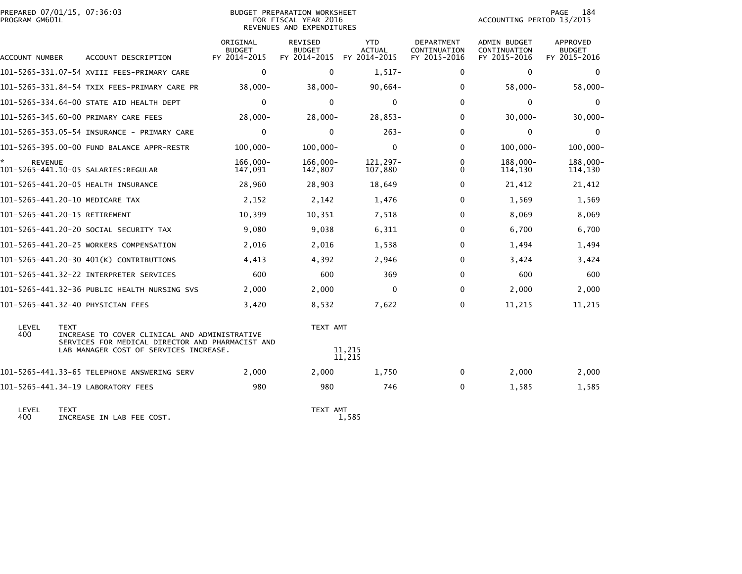| PREPARED 07/01/15, 07:36:03<br>PROGRAM GM601L |                                                                                                                  |                                           | BUDGET PREPARATION WORKSHEET<br>FOR FISCAL YEAR 2016<br>REVENUES AND EXPENDITURES |                                             | <b>PAGE</b><br>184<br>ACCOUNTING PERIOD 13/2015   |                                                     |                                                  |
|-----------------------------------------------|------------------------------------------------------------------------------------------------------------------|-------------------------------------------|-----------------------------------------------------------------------------------|---------------------------------------------|---------------------------------------------------|-----------------------------------------------------|--------------------------------------------------|
| <b>ACCOUNT NUMBER</b>                         | ACCOUNT DESCRIPTION                                                                                              | ORIGINAL<br><b>BUDGET</b><br>FY 2014-2015 | <b>REVISED</b><br><b>BUDGET</b><br>FY 2014-2015                                   | <b>YTD</b><br><b>ACTUAL</b><br>FY 2014-2015 | <b>DEPARTMENT</b><br>CONTINUATION<br>FY 2015-2016 | <b>ADMIN BUDGET</b><br>CONTINUATION<br>FY 2015-2016 | <b>APPROVED</b><br><b>BUDGET</b><br>FY 2015-2016 |
|                                               | 101-5265-331.07-54 XVIII FEES-PRIMARY CARE                                                                       | $\mathbf{0}$                              | 0                                                                                 | $1,517-$                                    | 0                                                 | 0                                                   | $\mathbf{0}$                                     |
|                                               | 101-5265-331.84-54 TXIX FEES-PRIMARY CARE PR                                                                     | $38,000 -$                                | $38,000 -$                                                                        | $90,664-$                                   | 0                                                 | $58,000 -$                                          | $58,000 -$                                       |
|                                               | 101-5265-334.64-00 STATE AID HEALTH DEPT                                                                         | $\mathbf{0}$                              | $\mathbf{0}$                                                                      | $\mathbf{0}$                                | 0                                                 | 0                                                   | $\mathbf{0}$                                     |
|                                               | 101-5265-345.60-00 PRIMARY CARE FEES                                                                             | $28,000 -$                                | $28,000 -$                                                                        | $28,853-$                                   | 0                                                 | $30,000 -$                                          | $30,000 -$                                       |
|                                               | 101-5265-353.05-54 INSURANCE - PRIMARY CARE                                                                      | $\mathbf{0}$                              | $\Omega$                                                                          | $263 -$                                     | 0                                                 | $\mathbf 0$                                         | $\mathbf 0$                                      |
|                                               | 101-5265-395.00-00 FUND BALANCE APPR-RESTR                                                                       | $100.000 -$                               | $100.000 -$                                                                       | $\Omega$                                    | 0                                                 | $100,000 -$                                         | $100,000 -$                                      |
| <b>REVENUE</b>                                | 101-5265-441.10-05 SALARIES: REGULAR                                                                             | 166,000-<br>147,091                       | 166,000-<br>142,807                                                               | 121,297-<br>107,880                         | 0<br>0                                            | 188,000-<br>114,130                                 | 188,000-<br>114,130                              |
|                                               | 101-5265-441.20-05 HEALTH INSURANCE                                                                              | 28,960                                    | 28,903                                                                            | 18,649                                      | 0                                                 | 21,412                                              | 21,412                                           |
|                                               | 101-5265-441.20-10 MEDICARE TAX                                                                                  | 2,152                                     | 2,142                                                                             | 1,476                                       | $\Omega$                                          | 1,569                                               | 1,569                                            |
| 101-5265-441.20-15 RETIREMENT                 |                                                                                                                  | 10,399                                    | 10,351                                                                            | 7,518                                       | 0                                                 | 8,069                                               | 8,069                                            |
|                                               | 101-5265-441.20-20 SOCIAL SECURITY TAX                                                                           | 9,080                                     | 9,038                                                                             | 6,311                                       | 0                                                 | 6,700                                               | 6,700                                            |
|                                               | 101-5265-441.20-25 WORKERS COMPENSATION                                                                          | 2,016                                     | 2,016                                                                             | 1,538                                       | $\Omega$                                          | 1,494                                               | 1,494                                            |
|                                               | 101-5265-441.20-30 401(K) CONTRIBUTIONS                                                                          | 4,413                                     | 4,392                                                                             | 2,946                                       | 0                                                 | 3,424                                               | 3,424                                            |
|                                               | 101-5265-441.32-22 INTERPRETER SERVICES                                                                          | 600                                       | 600                                                                               | 369                                         | $\Omega$                                          | 600                                                 | 600                                              |
|                                               | 101-5265-441.32-36 PUBLIC HEALTH NURSING SVS                                                                     | 2,000                                     | 2,000                                                                             | $\mathbf{0}$                                | 0                                                 | 2,000                                               | 2,000                                            |
|                                               | 101-5265-441.32-40 PHYSICIAN FEES                                                                                | 3,420                                     | 8,532                                                                             | 7,622                                       | 0                                                 | 11,215                                              | 11,215                                           |
| LEVEL<br>400                                  | <b>TEXT</b><br>INCREASE TO COVER CLINICAL AND ADMINISTRATIVE<br>SERVICES FOR MEDICAL DIRECTOR AND PHARMACIST AND |                                           | TEXT AMT                                                                          |                                             |                                                   |                                                     |                                                  |
|                                               | LAB MANAGER COST OF SERVICES INCREASE.                                                                           |                                           | 11,215<br>11,215                                                                  |                                             |                                                   |                                                     |                                                  |
|                                               | 101-5265-441.33-65 TELEPHONE ANSWERING SERV                                                                      | 2,000                                     | 2,000                                                                             | 1,750                                       | 0                                                 | 2,000                                               | 2,000                                            |
|                                               | 101-5265-441.34-19 LABORATORY FEES                                                                               | 980                                       | 980                                                                               | 746                                         | 0                                                 | 1,585                                               | 1,585                                            |
|                                               |                                                                                                                  |                                           |                                                                                   |                                             |                                                   |                                                     |                                                  |

LEVEL TEXT TEXT AMT 400 INCREASE IN LAB FEE COST. 1,585

TEXT AMT<br>1,585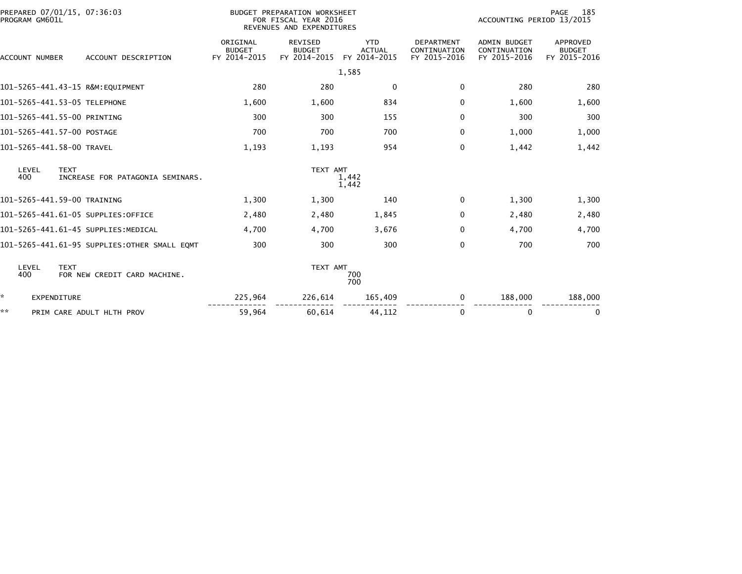| PROGRAM GM601L           | PREPARED 07/01/15, 07:36:03                             | BUDGET PREPARATION WORKSHEET<br>FOR FISCAL YEAR 2016<br>REVENUES AND EXPENDITURES |                                          |                                             |                                                   | 185<br>PAGE<br>ACCOUNTING PERIOD 13/2015            |                                           |  |
|--------------------------|---------------------------------------------------------|-----------------------------------------------------------------------------------|------------------------------------------|---------------------------------------------|---------------------------------------------------|-----------------------------------------------------|-------------------------------------------|--|
| ACCOUNT NUMBER           | ACCOUNT DESCRIPTION                                     | ORIGINAL<br><b>BUDGET</b><br>FY 2014-2015                                         | REVISED<br><b>BUDGET</b><br>FY 2014-2015 | <b>YTD</b><br><b>ACTUAL</b><br>FY 2014-2015 | <b>DEPARTMENT</b><br>CONTINUATION<br>FY 2015-2016 | <b>ADMIN BUDGET</b><br>CONTINUATION<br>FY 2015-2016 | APPROVED<br><b>BUDGET</b><br>FY 2015-2016 |  |
|                          |                                                         |                                                                                   |                                          | 1,585                                       |                                                   |                                                     |                                           |  |
|                          | 101-5265-441.43-15 R&M:EOUIPMENT                        | 280                                                                               | 280                                      | $\mathbf 0$                                 | 0                                                 | 280                                                 | 280                                       |  |
|                          | 101-5265-441.53-05 TELEPHONE<br>1,600<br>1,600          |                                                                                   |                                          |                                             | 0                                                 | 1,600                                               | 1,600                                     |  |
|                          | 101-5265-441.55-00 PRINTING                             | 300                                                                               | 300                                      | 155                                         | $\Omega$                                          | 300                                                 | 300                                       |  |
|                          | 101-5265-441.57-00 POSTAGE                              | 700                                                                               | 700                                      | 700                                         | 0                                                 | 1,000                                               | 1,000                                     |  |
|                          | 101-5265-441.58-00 TRAVEL                               | 1,193                                                                             | 1,193                                    | 954                                         | 0                                                 | 1,442                                               | 1,442                                     |  |
| LEVEL<br>400             | <b>TEXT</b><br>INCREASE FOR PATAGONIA SEMINARS.         |                                                                                   | TEXT AMT<br>1,442<br>1,442               |                                             |                                                   |                                                     |                                           |  |
|                          | 101-5265-441.59-00 TRAINING                             | 1,300                                                                             | 1,300                                    | 140                                         | $\Omega$                                          | 1,300                                               | 1,300                                     |  |
|                          | 101-5265-441.61-05 SUPPLIES:OFFICE                      | 2,480                                                                             | 2,480                                    | 1,845                                       | 0                                                 | 2,480                                               | 2,480                                     |  |
|                          | 101-5265-441.61-45 SUPPLIES:MEDICAL                     | 4,700                                                                             | 4,700                                    | 3,676                                       | 0                                                 | 4,700                                               | 4,700                                     |  |
|                          | 101-5265-441.61-95 SUPPLIES:OTHER SMALL EQMT            | 300                                                                               | 300                                      | 300                                         | 0                                                 | 700                                                 | 700                                       |  |
| LEVEL<br>400             | <b>TEXT</b><br>FOR NEW CREDIT CARD MACHINE.             |                                                                                   | TEXT AMT                                 | 700<br>700                                  |                                                   |                                                     |                                           |  |
| ×.<br><b>EXPENDITURE</b> |                                                         | 225,964                                                                           | 226,614                                  | 165,409                                     | 0                                                 | 188,000                                             | 188,000                                   |  |
| **                       | 59,964<br>60,614<br>44,112<br>PRIM CARE ADULT HLTH PROV |                                                                                   |                                          |                                             | 0                                                 | 0                                                   | 0                                         |  |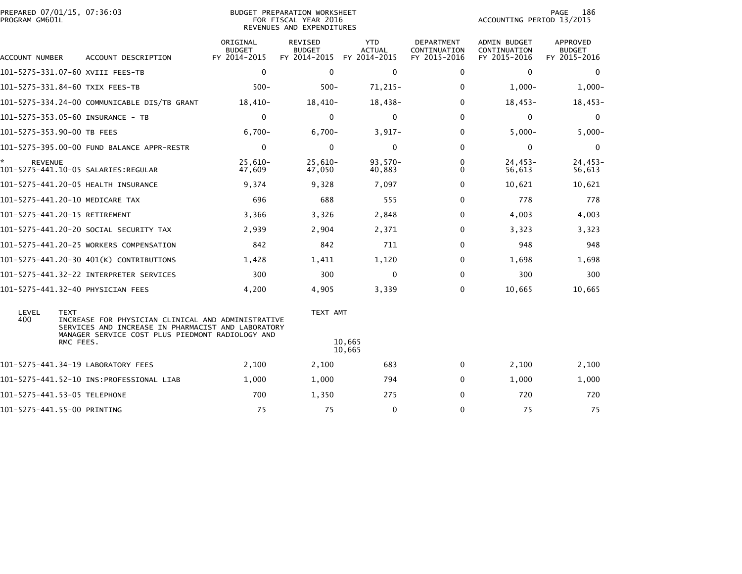| PREPARED 07/01/15, 07:36:03<br>PROGRAM GM601L |                                                                                                                                                                           |                                           | BUDGET PREPARATION WORKSHEET<br>FOR FISCAL YEAR 2016<br>REVENUES AND EXPENDITURES |                                             | PAGE<br>186<br>ACCOUNTING PERIOD 13/2015   |                                              |                                    |
|-----------------------------------------------|---------------------------------------------------------------------------------------------------------------------------------------------------------------------------|-------------------------------------------|-----------------------------------------------------------------------------------|---------------------------------------------|--------------------------------------------|----------------------------------------------|------------------------------------|
| ACCOUNT NUMBER                                | ACCOUNT DESCRIPTION                                                                                                                                                       | ORIGINAL<br><b>BUDGET</b><br>FY 2014-2015 | <b>REVISED</b><br><b>BUDGET</b><br>FY 2014-2015                                   | <b>YTD</b><br><b>ACTUAL</b><br>FY 2014-2015 | DEPARTMENT<br>CONTINUATION<br>FY 2015-2016 | ADMIN BUDGET<br>CONTINUATION<br>FY 2015-2016 | APPROVED<br>BUDGET<br>FY 2015-2016 |
|                                               | 101–5275–331.07–60 XVIII FEES–TB                                                                                                                                          | $\mathbf 0$                               | $\mathbf{0}$                                                                      | $\mathbf 0$                                 | $\mathbf{0}$                               | $\Omega$                                     | $\mathbf{0}$                       |
|                                               | 101-5275-331.84-60 TXIX FEES-TB                                                                                                                                           | $500 -$                                   | $500 -$                                                                           | $71,215-$                                   | 0                                          | $1,000-$                                     | $1,000-$                           |
|                                               | 101-5275-334.24-00 COMMUNICABLE DIS/TB GRANT                                                                                                                              | $18,410-$                                 | $18,410-$                                                                         | $18,438-$                                   | $\Omega$                                   | $18,453-$                                    | $18,453-$                          |
|                                               | 101-5275-353.05-60 INSURANCE - TB                                                                                                                                         | $\mathbf 0$                               | $\Omega$                                                                          | 0                                           | $\Omega$                                   | 0                                            | 0                                  |
| 101-5275-353.90-00 TB FEES                    |                                                                                                                                                                           | $6,700-$                                  | $6,700-$                                                                          | $3,917-$                                    | $\Omega$                                   | $5,000 -$                                    | $5,000-$                           |
|                                               | 101-5275-395.00-00 FUND BALANCE APPR-RESTR                                                                                                                                | $\mathbf 0$                               | 0                                                                                 | $\mathbf 0$                                 | 0                                          | 0                                            | 0                                  |
| <b>REVENUE</b>                                |                                                                                                                                                                           | $25,610-$<br>47,609                       | $25,610-$<br>47,050                                                               | $93,570-$<br>40,883                         | 0<br>$\Omega$                              | $24,453-$<br>56,613                          | $24,453-$<br>56,613                |
|                                               | 101-5275-441.20-05 HEALTH INSURANCE                                                                                                                                       | 9,374                                     | 9,328                                                                             | 7,097                                       | $\Omega$                                   | 10,621                                       | 10,621                             |
|                                               | 101-5275-441.20-10 MEDICARE TAX                                                                                                                                           | 696                                       | 688                                                                               | 555                                         | $\Omega$                                   | 778                                          | 778                                |
| 101-5275-441.20-15 RETIREMENT                 |                                                                                                                                                                           | 3,366                                     | 3,326                                                                             | 2,848                                       | 0                                          | 4,003                                        | 4,003                              |
|                                               | 101-5275-441.20-20 SOCIAL SECURITY TAX                                                                                                                                    | 2,939                                     | 2,904                                                                             | 2,371                                       | 0                                          | 3,323                                        | 3,323                              |
|                                               | 101-5275-441.20-25 WORKERS COMPENSATION                                                                                                                                   | 842                                       | 842                                                                               | 711                                         | $\Omega$                                   | 948                                          | 948                                |
|                                               | 101-5275-441.20-30 401(K) CONTRIBUTIONS                                                                                                                                   | 1,428                                     | 1,411                                                                             | 1,120                                       | 0                                          | 1,698                                        | 1,698                              |
|                                               |                                                                                                                                                                           | 300                                       | 300                                                                               | 0                                           | $\Omega$                                   | 300                                          | 300                                |
|                                               | 101-5275-441.32-40 PHYSICIAN FEES                                                                                                                                         | 4,200                                     | 4,905                                                                             | 3,339                                       | 0                                          | 10,665                                       | 10,665                             |
| LEVEL<br><b>TEXT</b><br>400                   | INCREASE FOR PHYSICIAN CLINICAL AND ADMINISTRATIVE<br>SERVICES AND INCREASE IN PHARMACIST AND LABORATORY<br>MANAGER SERVICE COST PLUS PIEDMONT RADIOLOGY AND<br>RMC FEES. |                                           | TEXT AMT                                                                          | 10,665<br>10,665                            |                                            |                                              |                                    |
|                                               | 101-5275-441.34-19 LABORATORY FEES                                                                                                                                        | 2,100                                     | 2,100                                                                             | 683                                         | 0                                          | 2,100                                        | 2,100                              |
|                                               |                                                                                                                                                                           | 1,000                                     | 1,000                                                                             | 794                                         | $\mathbf{0}$                               | 1,000                                        | 1,000                              |
| 101-5275-441.53-05 TELEPHONE                  |                                                                                                                                                                           | 700                                       | 1,350                                                                             | 275                                         | $\Omega$                                   | 720                                          | 720                                |
| 101-5275-441.55-00 PRINTING                   |                                                                                                                                                                           | 75                                        | 75                                                                                | $\mathbf 0$                                 | $\Omega$                                   | 75                                           | 75                                 |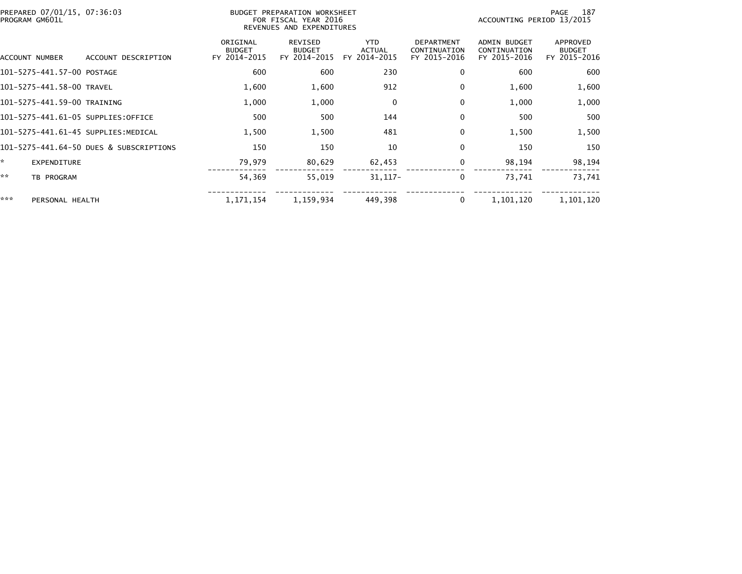| PREPARED 07/01/15, 07:36:03<br>BUDGET PREPARATION WORKSHEET<br>FOR FISCAL YEAR 2016<br>PROGRAM GM601L<br>REVENUES AND EXPENDITURES |                                         |                                           |                                          |                                             |                                                   | 187<br>PAGE<br>ACCOUNTING PERIOD 13/2015            |                                           |  |  |
|------------------------------------------------------------------------------------------------------------------------------------|-----------------------------------------|-------------------------------------------|------------------------------------------|---------------------------------------------|---------------------------------------------------|-----------------------------------------------------|-------------------------------------------|--|--|
| ACCOUNT NUMBER                                                                                                                     | ACCOUNT DESCRIPTION                     | ORIGINAL<br><b>BUDGET</b><br>FY 2014-2015 | REVISED<br><b>BUDGET</b><br>FY 2014-2015 | <b>YTD</b><br><b>ACTUAL</b><br>FY 2014-2015 | <b>DEPARTMENT</b><br>CONTINUATION<br>FY 2015-2016 | <b>ADMIN BUDGET</b><br>CONTINUATION<br>FY 2015-2016 | APPROVED<br><b>BUDGET</b><br>FY 2015-2016 |  |  |
| 101-5275-441.57-00 POSTAGE                                                                                                         |                                         | 600                                       | 600                                      | 230                                         | 0                                                 | 600                                                 | 600                                       |  |  |
| 101-5275-441.58-00 TRAVEL                                                                                                          |                                         | 1,600                                     | 1,600                                    | 912                                         | 0                                                 | 1,600                                               | 1,600                                     |  |  |
| 101-5275-441.59-00 TRAINING                                                                                                        |                                         | 1,000                                     | 1,000                                    | 0                                           | $\mathbf{0}$                                      | 1,000                                               | 1,000                                     |  |  |
| 101-5275-441.61-05 SUPPLIES:OFFICE                                                                                                 |                                         | 500                                       | 500                                      | 144                                         | 0                                                 | 500                                                 | 500                                       |  |  |
| 101–5275–441.61–45 SUPPLIES:MEDICAL                                                                                                |                                         | 1,500                                     | 1,500                                    | 481                                         | 0                                                 | 1,500                                               | 1,500                                     |  |  |
|                                                                                                                                    | 101-5275-441.64-50 DUES & SUBSCRIPTIONS | 150                                       | 150                                      | 10                                          | 0                                                 | 150                                                 | 150                                       |  |  |
| ×.<br><b>EXPENDITURE</b>                                                                                                           |                                         | 79,979                                    | 80,629                                   | 62,453                                      | 0                                                 | 98,194                                              | 98,194                                    |  |  |
| **<br>TB PROGRAM                                                                                                                   |                                         | 54,369                                    | 55,019                                   | $31,117-$                                   | 0                                                 | 73,741                                              | 73,741                                    |  |  |
| ***<br>PERSONAL HEALTH                                                                                                             |                                         | 1, 171, 154                               | 1,159,934                                | 449,398                                     | 0                                                 | 1,101,120                                           | 1,101,120                                 |  |  |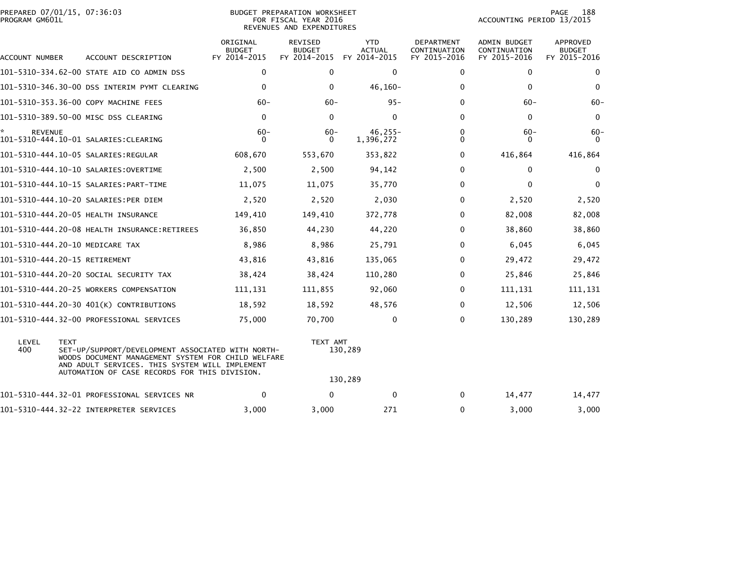|                | PREPARED 07/01/15, 07:36:03 |  |
|----------------|-----------------------------|--|
| PROGRAM GM601L |                             |  |

BUDGET PREPARATION WORKSHEET PROGRAM GM601L FOR FISCAL YEAR 2016 ACCOUNTING PERIOD 13/2015 REVENUES AND EXPENDITURES

PAGE 188<br>ACCOUNTING PERIOD 13/2015

| ACCOUNT NUMBER | ACCOUNT DESCRIPTION                                                                                                                                                                                                       | ORIGINAL<br><b>BUDGET</b><br>FY 2014-2015 | REVISED<br><b>BUDGET</b><br>FY 2014-2015 | <b>YTD</b><br><b>ACTUAL</b><br>FY 2014-2015 | <b>DEPARTMENT</b><br>CONTINUATION<br>FY 2015-2016 | <b>ADMIN BUDGET</b><br>CONTINUATION<br>FY 2015-2016 | APPROVED<br><b>BUDGET</b><br>FY 2015-2016 |
|----------------|---------------------------------------------------------------------------------------------------------------------------------------------------------------------------------------------------------------------------|-------------------------------------------|------------------------------------------|---------------------------------------------|---------------------------------------------------|-----------------------------------------------------|-------------------------------------------|
|                | 101-5310-334.62-00 STATE AID CO ADMIN DSS                                                                                                                                                                                 | $\mathbf 0$                               | $\Omega$                                 | $\mathbf 0$                                 | $\Omega$                                          | $\Omega$                                            | $\mathbf{0}$                              |
|                | 101-5310-346.30-00 DSS INTERIM PYMT CLEARING                                                                                                                                                                              | 0                                         | $\mathbf{0}$                             | $46, 160 -$                                 | 0                                                 | $\mathbf{0}$                                        | $\mathbf{0}$                              |
|                | 101-5310-353.36-00 COPY MACHINE FEES                                                                                                                                                                                      | $60 -$                                    | $60 -$                                   | $95 -$                                      | 0                                                 | $60 -$                                              | $60 -$                                    |
|                | 101-5310-389.50-00 MISC DSS CLEARING                                                                                                                                                                                      | 0                                         | $\mathbf{0}$                             | $\mathbf{0}$                                | 0                                                 | 0                                                   | 0                                         |
| <b>REVENUE</b> |                                                                                                                                                                                                                           | $60 -$<br>0                               | $60 -$<br>$\Omega$                       | $46.255 -$<br>1,396,272                     | 0<br>0                                            | $60 -$<br>0                                         | -60<br>$\Omega$                           |
|                |                                                                                                                                                                                                                           | 608,670                                   | 553,670                                  | 353,822                                     | 0                                                 | 416,864                                             | 416,864                                   |
|                |                                                                                                                                                                                                                           | 2,500                                     | 2,500                                    | 94,142                                      | 0                                                 | 0                                                   | $\bf{0}$                                  |
|                |                                                                                                                                                                                                                           | 11,075                                    | 11,075                                   | 35,770                                      | 0                                                 | 0                                                   | $\mathbf{0}$                              |
|                | 101-5310-444.10-20 SALARIES:PER DIEM                                                                                                                                                                                      | 2,520                                     | 2,520                                    | 2,030                                       | 0                                                 | 2,520                                               | 2,520                                     |
|                | 101-5310-444.20-05 HEALTH INSURANCE                                                                                                                                                                                       | 149,410                                   | 149,410                                  | 372,778                                     | 0                                                 | 82,008                                              | 82,008                                    |
|                | 101-5310-444.20-08 HEALTH INSURANCE:RETIREES                                                                                                                                                                              | 36,850                                    | 44,230                                   | 44,220                                      | 0                                                 | 38,860                                              | 38,860                                    |
|                | 101-5310-444.20-10 MEDICARE TAX                                                                                                                                                                                           | 8,986                                     | 8,986                                    | 25,791                                      | 0                                                 | 6,045                                               | 6,045                                     |
|                | 101-5310-444.20-15 RETIREMENT                                                                                                                                                                                             | 43,816                                    | 43,816                                   | 135,065                                     | 0                                                 | 29,472                                              | 29,472                                    |
|                | 101–5310–444.20–20 SOCIAL SECURITY TAX                                                                                                                                                                                    | 38,424                                    | 38,424                                   | 110,280                                     | 0                                                 | 25,846                                              | 25,846                                    |
|                | 101-5310-444.20-25 WORKERS COMPENSATION                                                                                                                                                                                   | 111,131                                   | 111,855                                  | 92,060                                      | 0                                                 | 111,131                                             | 111,131                                   |
|                | 101-5310-444.20-30 401(K) CONTRIBUTIONS                                                                                                                                                                                   | 18,592                                    | 18,592                                   | 48,576                                      | $\Omega$                                          | 12,506                                              | 12,506                                    |
|                | 101-5310-444.32-00 PROFESSIONAL SERVICES                                                                                                                                                                                  | 75,000                                    | 70,700                                   | 0                                           | $\Omega$                                          | 130,289                                             | 130,289                                   |
| LEVEL<br>400   | <b>TEXT</b><br>SET-UP/SUPPORT/DEVELOPMENT ASSOCIATED WITH NORTH-<br>WOODS DOCUMENT MANAGEMENT SYSTEM FOR CHILD WELFARE<br>AND ADULT SERVICES. THIS SYSTEM WILL IMPLEMENT<br>AUTOMATION OF CASE RECORDS FOR THIS DIVISION. |                                           |                                          | TEXT AMT<br>130,289<br>130,289              |                                                   |                                                     |                                           |
|                | 101-5310-444.32-01 PROFESSIONAL SERVICES NR                                                                                                                                                                               | $\mathbf 0$                               | $\mathbf{0}$                             | 0                                           | 0                                                 | 14,477                                              | 14,477                                    |
|                | 101-5310-444.32-22 INTERPRETER SERVICES                                                                                                                                                                                   | 3,000                                     | 3,000                                    | 271                                         | 0                                                 | 3,000                                               | 3,000                                     |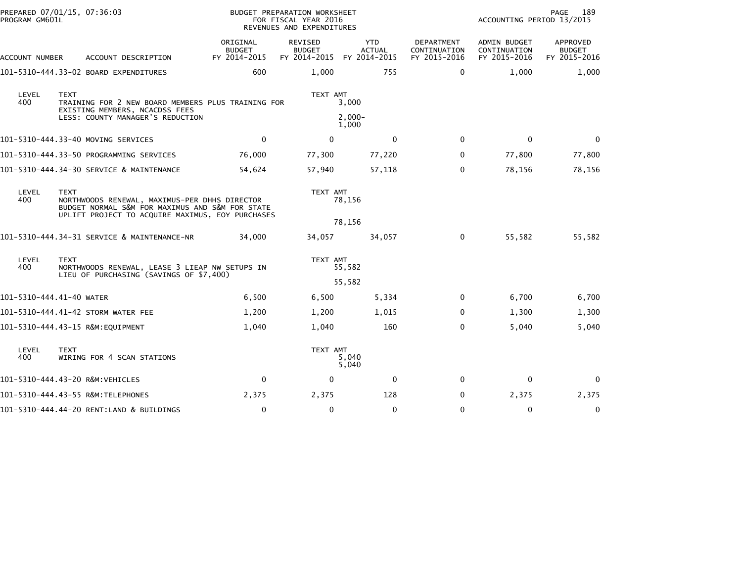| PROGRAM GM601L           | PREPARED 07/01/15, 07:36:03                                                                                                                                         |                                           | <b>BUDGET PREPARATION WORKSHEET</b><br>FOR FISCAL YEAR 2016<br>REVENUES AND EXPENDITURES |                                             |                                            | PAGE<br>189<br>ACCOUNTING PERIOD 13/2015     |                                           |  |
|--------------------------|---------------------------------------------------------------------------------------------------------------------------------------------------------------------|-------------------------------------------|------------------------------------------------------------------------------------------|---------------------------------------------|--------------------------------------------|----------------------------------------------|-------------------------------------------|--|
| ACCOUNT NUMBER           | ACCOUNT DESCRIPTION                                                                                                                                                 | ORIGINAL<br><b>BUDGET</b><br>FY 2014-2015 | REVISED<br><b>BUDGET</b><br>FY 2014-2015                                                 | <b>YTD</b><br><b>ACTUAL</b><br>FY 2014-2015 | DEPARTMENT<br>CONTINUATION<br>FY 2015-2016 | ADMIN BUDGET<br>CONTINUATION<br>FY 2015-2016 | APPROVED<br><b>BUDGET</b><br>FY 2015-2016 |  |
|                          | 101-5310-444.33-02 BOARD EXPENDITURES                                                                                                                               | 600                                       | 1,000                                                                                    | 755                                         | 0                                          | 1,000                                        | 1,000                                     |  |
| LEVEL<br>400             | <b>TEXT</b><br>TRAINING FOR 2 NEW BOARD MEMBERS PLUS TRAINING FOR<br>EXISTING MEMBERS, NCACDSS FEES<br>LESS: COUNTY MANAGER'S REDUCTION                             |                                           | TEXT AMT                                                                                 | 3,000<br>$2,000-$<br>1,000                  |                                            |                                              |                                           |  |
|                          | 101–5310–444.33–40 MOVING SERVICES                                                                                                                                  | $\Omega$                                  | $\mathbf{0}$                                                                             | 0                                           | $\mathbf{0}$                               | $\Omega$                                     | $\Omega$                                  |  |
|                          | 101-5310-444.33-50 PROGRAMMING SERVICES                                                                                                                             | 76,000                                    | 77,300                                                                                   | 77,220                                      | 0                                          | 77,800                                       | 77,800                                    |  |
|                          | 101-5310-444.34-30 SERVICE & MAINTENANCE                                                                                                                            | 54,624                                    | 57,940                                                                                   | 57,118                                      | $\Omega$                                   | 78,156                                       | 78,156                                    |  |
| LEVEL<br>400             | <b>TEXT</b><br>NORTHWOODS RENEWAL, MAXIMUS-PER DHHS DIRECTOR<br>BUDGET NORMAL S&M FOR MAXIMUS AND S&M FOR STATE<br>UPLIFT PROJECT TO ACQUIRE MAXIMUS, EOY PURCHASES |                                           | TEXT AMT                                                                                 | 78,156<br>78,156                            |                                            |                                              |                                           |  |
|                          | 101-5310-444.34-31 SERVICE & MAINTENANCE-NR                                                                                                                         | 34,000                                    | 34,057                                                                                   | 34,057                                      | 0                                          | 55,582                                       | 55,582                                    |  |
| LEVEL<br>400             | <b>TEXT</b><br>NORTHWOODS RENEWAL, LEASE 3 LIEAP NW SETUPS IN<br>LIEU OF PURCHASING (SAVINGS OF \$7,400)                                                            |                                           | TEXT AMT                                                                                 | 55,582<br>55,582                            |                                            |                                              |                                           |  |
| 101-5310-444.41-40 WATER |                                                                                                                                                                     | 6,500                                     | 6,500                                                                                    | 5,334                                       | $\mathbf{0}$                               | 6,700                                        | 6,700                                     |  |
|                          | 101-5310-444.41-42 STORM WATER FEE                                                                                                                                  | 1,200                                     | 1,200                                                                                    | 1,015                                       | 0                                          | 1,300                                        | 1,300                                     |  |
|                          | 101-5310-444.43-15 R&M:EQUIPMENT                                                                                                                                    | 1,040                                     | 1,040                                                                                    | 160                                         | $\Omega$                                   | 5,040                                        | 5,040                                     |  |
| LEVEL<br>400             | <b>TEXT</b><br>WIRING FOR 4 SCAN STATIONS                                                                                                                           |                                           | TEXT AMT                                                                                 | 5,040<br>5,040                              |                                            |                                              |                                           |  |
|                          | 101-5310-444.43-20 R&M:VEHICLES                                                                                                                                     | $\mathbf 0$                               | $\mathbf 0$                                                                              | 0                                           | $\mathbf{0}$                               | 0                                            | $\Omega$                                  |  |
|                          | 101-5310-444.43-55 R&M:TELEPHONES                                                                                                                                   | 2,375                                     | 2,375                                                                                    | 128                                         | 0                                          | 2,375                                        | 2,375                                     |  |
|                          | 101-5310-444.44-20 RENT:LAND & BUILDINGS                                                                                                                            | 0                                         | $\mathbf 0$                                                                              | $\mathbf 0$                                 | $\Omega$                                   | $\mathbf 0$                                  | 0                                         |  |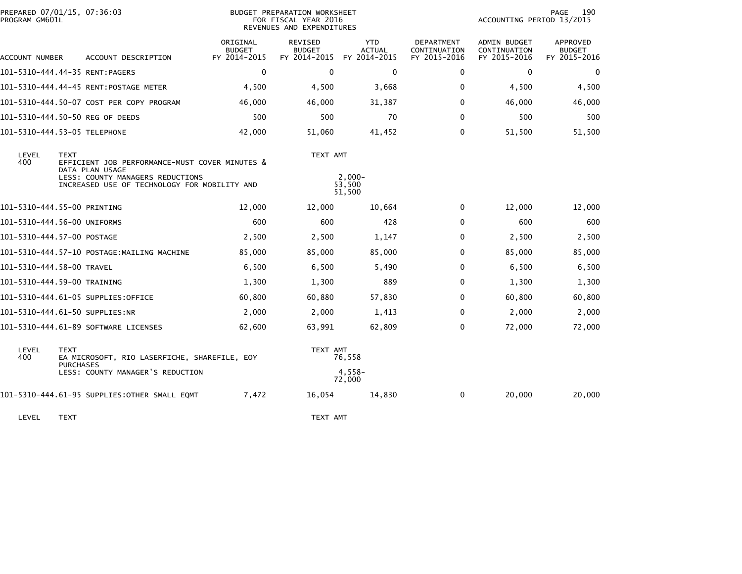|                                                                                                  | PREPARED 07/01/15, 07:36:03<br>PROGRAM GM601L                                    |  |                                           | BUDGET PREPARATION WORKSHEET<br>FOR FISCAL YEAR 2016<br>REVENUES AND EXPENDITURES |                                             |                                                   |                                                     | PAGE<br>190<br>ACCOUNTING PERIOD 13/2015  |  |  |
|--------------------------------------------------------------------------------------------------|----------------------------------------------------------------------------------|--|-------------------------------------------|-----------------------------------------------------------------------------------|---------------------------------------------|---------------------------------------------------|-----------------------------------------------------|-------------------------------------------|--|--|
| ACCOUNT NUMBER                                                                                   | ACCOUNT DESCRIPTION                                                              |  | ORIGINAL<br><b>BUDGET</b><br>FY 2014-2015 | <b>REVISED</b><br><b>BUDGET</b><br>FY 2014-2015                                   | <b>YTD</b><br><b>ACTUAL</b><br>FY 2014-2015 | <b>DEPARTMENT</b><br>CONTINUATION<br>FY 2015-2016 | <b>ADMIN BUDGET</b><br>CONTINUATION<br>FY 2015-2016 | APPROVED<br><b>BUDGET</b><br>FY 2015-2016 |  |  |
|                                                                                                  | 101-5310-444.44-35 RENT:PAGERS                                                   |  | $\mathbf 0$                               | $\mathbf 0$                                                                       | $\mathbf{0}$                                | 0                                                 | 0                                                   | 0                                         |  |  |
|                                                                                                  |                                                                                  |  | 4,500                                     | 4,500                                                                             | 3,668                                       | 0                                                 | 4,500                                               | 4,500                                     |  |  |
|                                                                                                  | 101-5310-444.50-07 COST PER COPY PROGRAM                                         |  | 46,000                                    | 46,000                                                                            | 31,387                                      | $\mathbf{0}$                                      | 46,000                                              | 46,000                                    |  |  |
|                                                                                                  | 101-5310-444.50-50 REG OF DEEDS                                                  |  | 500                                       | 500                                                                               | 70                                          | $\mathbf 0$                                       | 500                                                 | 500                                       |  |  |
|                                                                                                  | 101-5310-444.53-05 TELEPHONE                                                     |  | 42,000                                    | 51,060                                                                            | 41,452                                      | $\mathbf{0}$                                      | 51,500                                              | 51,500                                    |  |  |
| LEVEL<br><b>TEXT</b><br>400<br>EFFICIENT JOB PERFORMANCE-MUST COVER MINUTES &<br>DATA PLAN USAGE |                                                                                  |  |                                           | TEXT AMT                                                                          |                                             |                                                   |                                                     |                                           |  |  |
|                                                                                                  | LESS: COUNTY MANAGERS REDUCTIONS<br>INCREASED USE OF TECHNOLOGY FOR MOBILITY AND |  |                                           |                                                                                   | $2,000-$<br>53,500<br>51,500                |                                                   |                                                     |                                           |  |  |
|                                                                                                  | 101-5310-444.55-00 PRINTING                                                      |  | 12,000                                    | 12,000                                                                            | 10,664                                      | 0                                                 | 12,000                                              | 12,000                                    |  |  |
|                                                                                                  | 101-5310-444.56-00 UNIFORMS                                                      |  | 600                                       | 600                                                                               | 428                                         | $\mathbf{0}$                                      | 600                                                 | 600                                       |  |  |
|                                                                                                  | 101-5310-444.57-00 POSTAGE                                                       |  | 2,500                                     | 2,500                                                                             | 1,147                                       | $\mathbf{0}$                                      | 2,500                                               | 2,500                                     |  |  |
|                                                                                                  | 101-5310-444.57-10 POSTAGE:MAILING MACHINE                                       |  | 85,000                                    | 85,000                                                                            | 85,000                                      | $\mathbf{0}$                                      | 85,000                                              | 85,000                                    |  |  |
|                                                                                                  | 101-5310-444.58-00 TRAVEL                                                        |  | 6,500                                     | 6,500                                                                             | 5,490                                       | 0                                                 | 6,500                                               | 6,500                                     |  |  |
|                                                                                                  | 101-5310-444.59-00 TRAINING                                                      |  | 1,300                                     | 1,300                                                                             | 889                                         | $\mathbf 0$                                       | 1,300                                               | 1,300                                     |  |  |
|                                                                                                  | 101-5310-444.61-05 SUPPLIES:OFFICE                                               |  | 60,800                                    | 60,880                                                                            | 57,830                                      | $\mathbf{0}$                                      | 60,800                                              | 60,800                                    |  |  |
|                                                                                                  | 101-5310-444.61-50 SUPPLIES:NR                                                   |  | 2,000                                     | 2,000                                                                             | 1,413                                       | $\mathbf{0}$                                      | 2,000                                               | 2,000                                     |  |  |
|                                                                                                  | 101-5310-444.61-89 SOFTWARE LICENSES                                             |  | 62,600                                    | 63,991                                                                            | 62,809                                      | $\mathbf{0}$                                      | 72,000                                              | 72,000                                    |  |  |
| LEVEL<br>400                                                                                     | <b>TEXT</b><br>EA MICROSOFT, RIO LASERFICHE, SHAREFILE, EOY<br><b>PURCHASES</b>  |  |                                           | TEXT AMT                                                                          | 76,558                                      |                                                   |                                                     |                                           |  |  |
|                                                                                                  | LESS: COUNTY MANAGER'S REDUCTION                                                 |  |                                           |                                                                                   | 4,558-<br>72,000                            |                                                   |                                                     |                                           |  |  |
|                                                                                                  | 101-5310-444.61-95 SUPPLIES:OTHER SMALL EQMT                                     |  | 7,472                                     | 16,054                                                                            | 14,830                                      | 0                                                 | 20,000                                              | 20,000                                    |  |  |
|                                                                                                  |                                                                                  |  |                                           |                                                                                   |                                             |                                                   |                                                     |                                           |  |  |

LEVEL TEXT TEXT AMT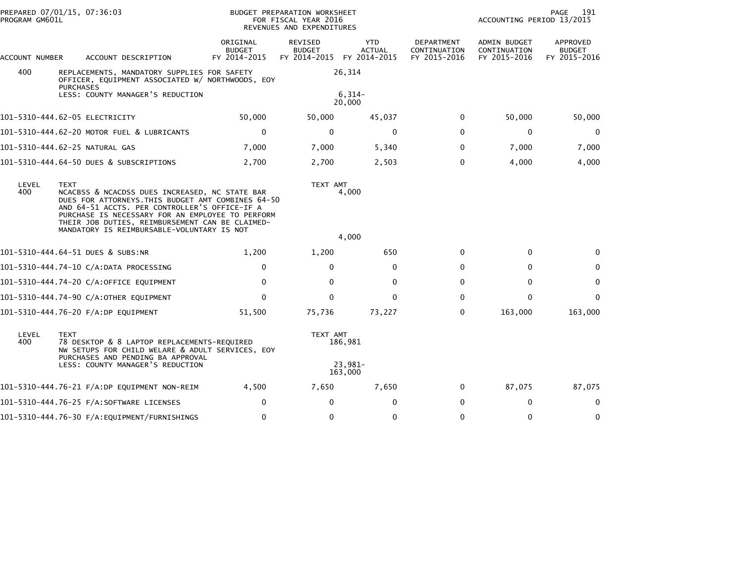| PROGRAM GM601L | PREPARED 07/01/15, 07:36:03                                                                                                                                                                                                                                                                                               |                                           | BUDGET PREPARATION WORKSHEET<br>FOR FISCAL YEAR 2016<br>REVENUES AND EXPENDITURES |                             | PAGE<br>191<br>ACCOUNTING PERIOD 13/2015          |                                              |                                           |
|----------------|---------------------------------------------------------------------------------------------------------------------------------------------------------------------------------------------------------------------------------------------------------------------------------------------------------------------------|-------------------------------------------|-----------------------------------------------------------------------------------|-----------------------------|---------------------------------------------------|----------------------------------------------|-------------------------------------------|
| ACCOUNT NUMBER | ACCOUNT DESCRIPTION                                                                                                                                                                                                                                                                                                       | ORIGINAL<br><b>BUDGET</b><br>FY 2014-2015 | <b>REVISED</b><br><b>BUDGET</b><br>FY 2014-2015 FY 2014-2015                      | <b>YTD</b><br><b>ACTUAL</b> | <b>DEPARTMENT</b><br>CONTINUATION<br>FY 2015-2016 | ADMIN BUDGET<br>CONTINUATION<br>FY 2015-2016 | APPROVED<br><b>BUDGET</b><br>FY 2015-2016 |
| 400            | REPLACEMENTS, MANDATORY SUPPLIES FOR SAFETY<br>OFFICER, EQUIPMENT ASSOCIATED W/ NORTHWOODS, EOY<br><b>PURCHASES</b>                                                                                                                                                                                                       |                                           |                                                                                   | 26,314                      |                                                   |                                              |                                           |
|                | LESS: COUNTY MANAGER'S REDUCTION                                                                                                                                                                                                                                                                                          |                                           |                                                                                   | $6,314-$<br>20,000          |                                                   |                                              |                                           |
|                | 101-5310-444.62-05 ELECTRICITY                                                                                                                                                                                                                                                                                            | 50,000                                    | 50,000                                                                            | 45,037                      | 0                                                 | 50,000                                       | 50,000                                    |
|                | 101-5310-444.62-20 MOTOR FUEL & LUBRICANTS                                                                                                                                                                                                                                                                                | $\mathbf 0$                               | $\mathbf 0$                                                                       | $\mathbf 0$                 | $\mathbf{0}$                                      | $\mathbf 0$                                  | $\mathbf 0$                               |
|                | 101-5310-444.62-25 NATURAL GAS                                                                                                                                                                                                                                                                                            | 7,000                                     | 7,000                                                                             | 5,340                       | $\Omega$                                          | 7,000                                        | 7,000                                     |
|                | 101-5310-444.64-50 DUES & SUBSCRIPTIONS                                                                                                                                                                                                                                                                                   | 2,700                                     | 2,700                                                                             | 2,503                       | 0                                                 | 4,000                                        | 4,000                                     |
| LEVEL<br>400   | <b>TEXT</b><br>NCACBSS & NCACDSS DUES INCREASED, NC STATE BAR<br>DUES FOR ATTORNEYS. THIS BUDGET AMT COMBINES 64-50<br>AND 64-51 ACCTS. PER CONTROLLER'S OFFICE-IF A<br>PURCHASE IS NECESSARY FOR AN EMPLOYEE TO PERFORM<br>THEIR JOB DUTIES, REIMBURSEMENT CAN BE CLAIMED-<br>MANDATORY IS REIMBURSABLE-VOLUNTARY IS NOT |                                           | TEXT AMT                                                                          | 4,000<br>4,000              |                                                   |                                              |                                           |
|                | 101-5310-444.64-51 DUES & SUBS:NR                                                                                                                                                                                                                                                                                         | 1,200                                     | 1,200                                                                             | 650                         | $\mathbf{0}$                                      | $\mathbf{0}$                                 | $\Omega$                                  |
|                | 101-5310-444.74-10 C/A:DATA PROCESSING                                                                                                                                                                                                                                                                                    | $\mathbf 0$                               | $\Omega$                                                                          | 0                           | $\mathbf{0}$                                      | $\mathbf 0$                                  | $\mathbf 0$                               |
|                | 101-5310-444.74-20 C/A:OFFICE EQUIPMENT                                                                                                                                                                                                                                                                                   | $\mathbf{0}$                              | $\mathbf{0}$                                                                      | $\Omega$                    | $\mathbf{0}$                                      | $\Omega$                                     | $\mathbf 0$                               |
|                | 101-5310-444.74-90 C/A:OTHER EQUIPMENT                                                                                                                                                                                                                                                                                    | $\Omega$                                  | $\mathbf{0}$                                                                      | $\mathbf{0}$                | $\mathbf{0}$                                      | $\mathbf{0}$                                 | $\mathbf{0}$                              |
|                | 101-5310-444.76-20 F/A:DP EQUIPMENT                                                                                                                                                                                                                                                                                       | 51,500                                    | 75,736                                                                            | 73,227                      | 0                                                 | 163,000                                      | 163,000                                   |
| LEVEL<br>400   | <b>TEXT</b><br>78 DESKTOP & 8 LAPTOP REPLACEMENTS-REQUIRED<br>NW SETUPS FOR CHILD WELARE & ADULT SERVICES, EOY<br>PURCHASES AND PENDING BA APPROVAL<br>LESS: COUNTY MANAGER'S REDUCTION                                                                                                                                   |                                           | TEXT AMT                                                                          | 186,981<br>23,981-          |                                                   |                                              |                                           |
|                |                                                                                                                                                                                                                                                                                                                           |                                           |                                                                                   | 163,000                     |                                                   |                                              |                                           |
|                |                                                                                                                                                                                                                                                                                                                           | 4.500                                     | 7,650                                                                             | 7,650                       | 0                                                 | 87,075                                       | 87,075                                    |
|                |                                                                                                                                                                                                                                                                                                                           | 0                                         | $\mathbf{0}$                                                                      | 0                           | 0                                                 | 0                                            | 0                                         |
|                | 101–5310–444.76–30 F/A:EQUIPMENT/FURNISHINGS                                                                                                                                                                                                                                                                              | $\mathbf 0$                               | 0                                                                                 | $\mathbf 0$                 | 0                                                 | $\mathbf 0$                                  | 0                                         |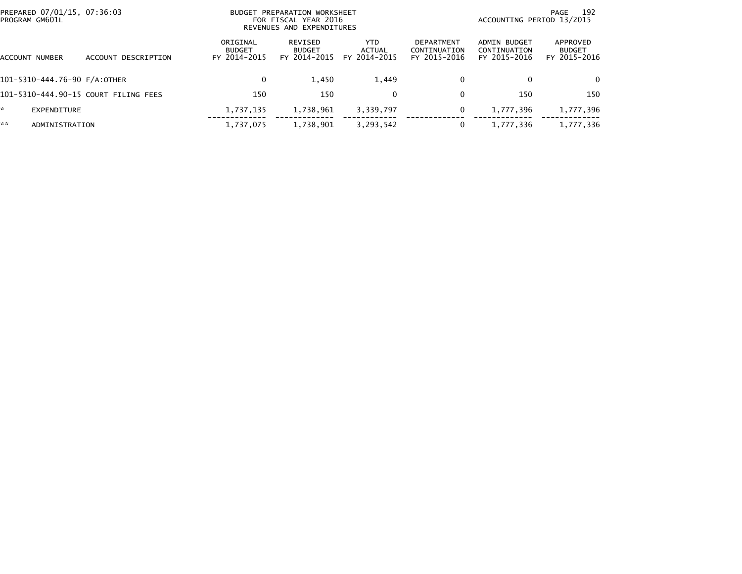| PREPARED 07/01/15, 07:36:03<br>PROGRAM GM601L |                                      |                                           | BUDGET PREPARATION WORKSHEET<br>FOR FISCAL YEAR 2016<br>REVENUES AND EXPENDITURES |                                      |                                            | - 192<br>PAGE<br>ACCOUNTING PERIOD 13/2015   |                                           |  |
|-----------------------------------------------|--------------------------------------|-------------------------------------------|-----------------------------------------------------------------------------------|--------------------------------------|--------------------------------------------|----------------------------------------------|-------------------------------------------|--|
| ACCOUNT NUMBER                                | ACCOUNT DESCRIPTION                  | ORIGINAL<br><b>BUDGET</b><br>FY 2014-2015 | REVISED<br><b>BUDGET</b><br>FY 2014-2015                                          | <b>YTD</b><br>ACTUAL<br>FY 2014-2015 | DEPARTMENT<br>CONTINUATION<br>FY 2015-2016 | ADMIN BUDGET<br>CONTINUATION<br>FY 2015-2016 | APPROVED<br><b>BUDGET</b><br>FY 2015-2016 |  |
| 101-5310-444.76-90 F/A:OTHER                  |                                      | 0                                         | 1,450                                                                             | 1,449                                | 0                                          | 0                                            | 0                                         |  |
|                                               | 101-5310-444.90-15 COURT FILING FEES | 150                                       | 150                                                                               |                                      | $\mathbf{0}$                               | 150                                          | 150                                       |  |
| *.<br>EXPENDITURE                             |                                      | 1,737,135                                 | 1,738,961                                                                         | 3,339,797                            | 0                                          | 1,777,396                                    | 1,777,396                                 |  |
| **<br>ADMINISTRATION                          |                                      | 1,737,075                                 | 1,738,901                                                                         | 3,293,542                            |                                            | 1,777,336                                    | 1,777,336                                 |  |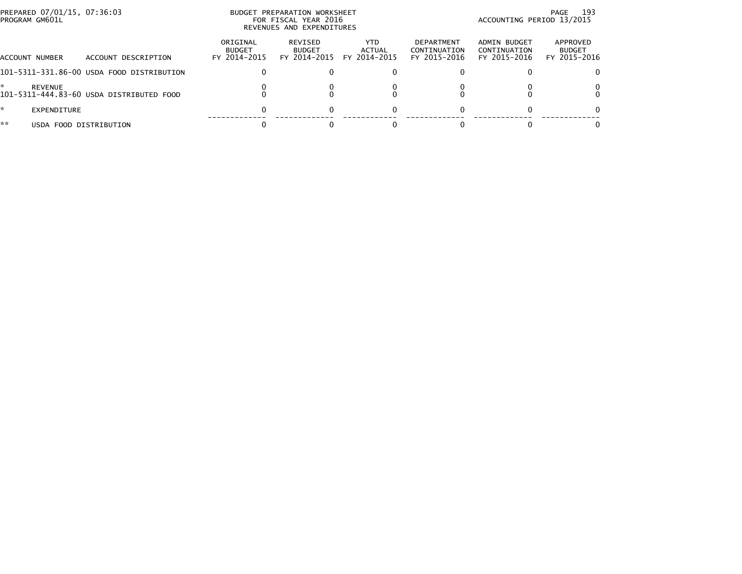| PROGRAM GM601L       | PREPARED 07/01/15, 07:36:03               |                                           | BUDGET PREPARATION WORKSHEET<br>FOR FISCAL YEAR 2016<br>REVENUES AND EXPENDITURES | PAGE 193<br>ACCOUNTING PERIOD 13/2015 |                                            |                                              |                                           |
|----------------------|-------------------------------------------|-------------------------------------------|-----------------------------------------------------------------------------------|---------------------------------------|--------------------------------------------|----------------------------------------------|-------------------------------------------|
| ACCOUNT NUMBER       | ACCOUNT DESCRIPTION                       | ORIGINAL<br><b>BUDGET</b><br>FY 2014-2015 | REVISED<br><b>BUDGET</b><br>FY 2014-2015                                          | YTD.<br>ACTUAL<br>FY 2014-2015        | DEPARTMENT<br>CONTINUATION<br>FY 2015-2016 | ADMIN BUDGET<br>CONTINUATION<br>FY 2015-2016 | APPROVED<br><b>BUDGET</b><br>FY 2015-2016 |
|                      | 101-5311-331.86-00 USDA FOOD DISTRIBUTION | 0                                         |                                                                                   |                                       |                                            |                                              |                                           |
| *.<br><b>REVENUE</b> | 101-5311-444.83-60 USDA DISTRIBUTED FOOD  |                                           |                                                                                   |                                       |                                            |                                              |                                           |
| *.<br>EXPENDITURE    |                                           | 0                                         |                                                                                   |                                       |                                            |                                              |                                           |
| **                   | USDA FOOD DISTRIBUTION                    |                                           |                                                                                   |                                       |                                            |                                              |                                           |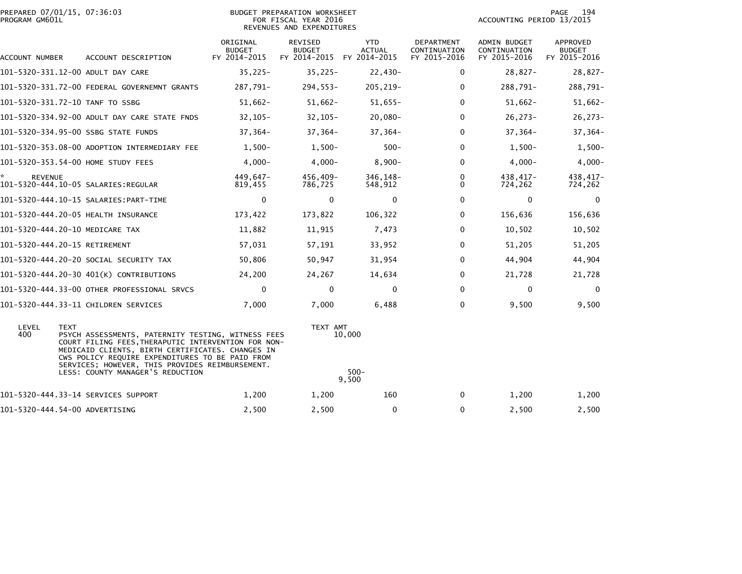| PREPARED 07/01/15, 07:36:03<br>PROGRAM GM601L |             |                                                                                                                                                                                                                                                                                                         |                                           | BUDGET PREPARATION WORKSHEET<br>FOR FISCAL YEAR 2016<br>REVENUES AND EXPENDITURES |                                             |                                            | ACCOUNTING PERIOD 13/2015                    | 194<br>PAGE                                      |
|-----------------------------------------------|-------------|---------------------------------------------------------------------------------------------------------------------------------------------------------------------------------------------------------------------------------------------------------------------------------------------------------|-------------------------------------------|-----------------------------------------------------------------------------------|---------------------------------------------|--------------------------------------------|----------------------------------------------|--------------------------------------------------|
| ACCOUNT NUMBER                                |             | ACCOUNT DESCRIPTION                                                                                                                                                                                                                                                                                     | ORIGINAL<br><b>BUDGET</b><br>FY 2014-2015 | REVISED<br><b>BUDGET</b><br>FY 2014-2015                                          | <b>YTD</b><br><b>ACTUAL</b><br>FY 2014-2015 | DEPARTMENT<br>CONTINUATION<br>FY 2015-2016 | ADMIN BUDGET<br>CONTINUATION<br>FY 2015-2016 | <b>APPROVED</b><br><b>BUDGET</b><br>FY 2015-2016 |
|                                               |             | 101-5320-331.12-00 ADULT DAY CARE                                                                                                                                                                                                                                                                       | $35,225 -$                                | $35,225-$                                                                         | $22,430-$                                   | 0                                          | $28,827-$                                    | $28,827-$                                        |
|                                               |             | 101-5320-331.72-00 FEDERAL GOVERNEMNT GRANTS                                                                                                                                                                                                                                                            | 287,791-                                  | $294,553-$                                                                        | 205, 219-                                   | 0                                          | 288,791-                                     | 288,791-                                         |
|                                               |             | 101-5320-331.72-10 TANF TO SSBG                                                                                                                                                                                                                                                                         | $51,662-$                                 | $51,662-$                                                                         | $51,655-$                                   | $\Omega$                                   | $51,662-$                                    | $51,662-$                                        |
|                                               |             | 101-5320-334.92-00 ADULT DAY CARE STATE FNDS                                                                                                                                                                                                                                                            | $32,105-$                                 | $32, 105 -$                                                                       | $20,080-$                                   | $\mathbf{0}$                               | $26, 273 -$                                  | $26, 273-$                                       |
|                                               |             | 101-5320-334.95-00 SSBG STATE FUNDS                                                                                                                                                                                                                                                                     | $37,364-$                                 | $37,364-$                                                                         | $37,364-$                                   | $\mathbf{0}$                               | $37,364-$                                    | $37,364-$                                        |
|                                               |             | 101-5320-353.08-00 ADOPTION INTERMEDIARY FEE                                                                                                                                                                                                                                                            | $1,500-$                                  | $1,500-$                                                                          | $500 -$                                     | $\mathbf{0}$                               | $1,500-$                                     | $1,500-$                                         |
|                                               |             | 101-5320-353.54-00 HOME STUDY FEES                                                                                                                                                                                                                                                                      | $4,000-$                                  | $4,000 -$                                                                         | $8,900-$                                    | $\Omega$                                   | $4,000 -$                                    | $4,000-$                                         |
| <b>REVENUE</b>                                |             |                                                                                                                                                                                                                                                                                                         | 449.647-<br>819,455                       | 456,409-<br>786,725                                                               | 346.148-<br>548,912                         | $\mathbf{0}$<br>0                          | 438,417-<br>724,262                          | 438,417-<br>724,262                              |
|                                               |             |                                                                                                                                                                                                                                                                                                         | $\mathbf 0$                               | $\mathbf{0}$                                                                      | $\mathbf 0$                                 | $\mathbf{0}$                               | $\mathbf 0$                                  | $\Omega$                                         |
|                                               |             | 101-5320-444.20-05 HEALTH INSURANCE                                                                                                                                                                                                                                                                     | 173,422                                   | 173,822                                                                           | 106,322                                     | 0                                          | 156,636                                      | 156,636                                          |
|                                               |             | 101-5320-444.20-10 MEDICARE TAX                                                                                                                                                                                                                                                                         | 11,882                                    | 11,915                                                                            | 7,473                                       | $\mathbf{0}$                               | 10,502                                       | 10,502                                           |
| 101-5320-444.20-15 RETIREMENT                 |             |                                                                                                                                                                                                                                                                                                         | 57,031                                    | 57,191                                                                            | 33,952                                      | 0                                          | 51,205                                       | 51,205                                           |
|                                               |             | 101-5320-444.20-20 SOCIAL SECURITY TAX                                                                                                                                                                                                                                                                  | 50,806                                    | 50,947                                                                            | 31,954                                      | 0                                          | 44,904                                       | 44,904                                           |
|                                               |             | 101-5320-444.20-30 401(K) CONTRIBUTIONS                                                                                                                                                                                                                                                                 | 24,200                                    | 24,267                                                                            | 14,634                                      | $\mathbf{0}$                               | 21,728                                       | 21,728                                           |
|                                               |             | 101-5320-444.33-00 OTHER PROFESSIONAL SRVCS                                                                                                                                                                                                                                                             | $\mathbf 0$                               | $\mathbf 0$                                                                       | 0                                           | $\mathbf 0$                                | $\mathbf 0$                                  | $\mathbf 0$                                      |
|                                               |             | 101-5320-444.33-11 CHILDREN SERVICES                                                                                                                                                                                                                                                                    | 7.000                                     | 7.000                                                                             | 6,488                                       | $\mathbf{0}$                               | 9.500                                        | 9,500                                            |
| LEVEL<br>400                                  | <b>TEXT</b> | PSYCH ASSESSMENTS, PATERNITY TESTING, WITNESS FEES<br>COURT FILING FEES, THERAPUTIC INTERVENTION FOR NON-<br>MEDICAID CLIENTS, BIRTH CERTIFICATES. CHANGES IN<br>CWS POLICY REQUIRE EXPENDITURES TO BE PAID FROM<br>SERVICES; HOWEVER, THIS PROVIDES REIMBURSEMENT.<br>LESS: COUNTY MANAGER'S REDUCTION |                                           | TEXT AMT                                                                          | 10,000<br>$500 -$<br>9.500                  |                                            |                                              |                                                  |
|                                               |             | 101-5320-444.33-14 SERVICES SUPPORT                                                                                                                                                                                                                                                                     | 1,200                                     | 1,200                                                                             | 160                                         | 0                                          | 1,200                                        | 1,200                                            |
| 101-5320-444.54-00 ADVERTISING                |             |                                                                                                                                                                                                                                                                                                         | 2,500                                     | 2,500                                                                             | $\mathbf 0$                                 | $\mathbf 0$                                | 2,500                                        | 2,500                                            |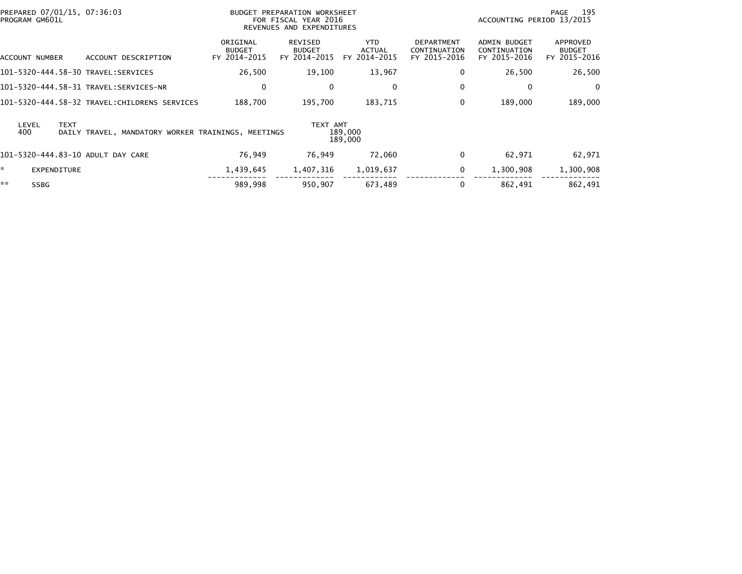|    | PROGRAM GM601L     |             | PREPARED 07/01/15, 07:36:03                        |                                           | BUDGET PREPARATION WORKSHEET<br>FOR FISCAL YEAR 2016<br>REVENUES AND EXPENDITURES |                                       |                                                   | ACCOUNTING PERIOD 13/2015                           | - 195<br>PAGE                             |
|----|--------------------|-------------|----------------------------------------------------|-------------------------------------------|-----------------------------------------------------------------------------------|---------------------------------------|---------------------------------------------------|-----------------------------------------------------|-------------------------------------------|
|    | ACCOUNT NUMBER     |             | ACCOUNT DESCRIPTION                                | ORIGINAL<br><b>BUDGET</b><br>FY 2014-2015 | REVISED<br><b>BUDGET</b><br>FY 2014-2015                                          | YTD.<br><b>ACTUAL</b><br>FY 2014-2015 | <b>DEPARTMENT</b><br>CONTINUATION<br>FY 2015-2016 | <b>ADMIN BUDGET</b><br>CONTINUATION<br>FY 2015-2016 | APPROVED<br><b>BUDGET</b><br>FY 2015-2016 |
|    |                    |             |                                                    | 26,500                                    | 19,100                                                                            | 13,967                                | $\mathbf 0$                                       | 26,500                                              | 26,500                                    |
|    |                    |             |                                                    | 0                                         | 0                                                                                 | $\mathbf{0}$                          | 0                                                 | 0                                                   | $\mathbf{0}$                              |
|    |                    |             | 101–5320–444.58–32 TRAVEL:CHILDRENS SERVICES       | 188.700                                   | 195,700                                                                           | 183,715                               | $\Omega$                                          | 189,000                                             | 189,000                                   |
|    | LEVEL<br>400       | <b>TEXT</b> | DAILY TRAVEL, MANDATORY WORKER TRAININGS, MEETINGS |                                           | TEXT AMT                                                                          | 189,000<br>189,000                    |                                                   |                                                     |                                           |
|    |                    |             | 101-5320-444.83-10 ADULT DAY CARE                  | 76,949                                    | 76,949                                                                            | 72,060                                | $\mathbf 0$                                       | 62,971                                              | 62,971                                    |
| ÷. | <b>EXPENDITURE</b> |             |                                                    | 1,439,645                                 | 1,407,316                                                                         | 1,019,637                             | $\mathbf 0$                                       | 1,300,908                                           | 1,300,908                                 |
| ** | <b>SSBG</b>        |             |                                                    | 989,998                                   | 950,907                                                                           | 673,489                               | 0                                                 | 862,491                                             | 862,491                                   |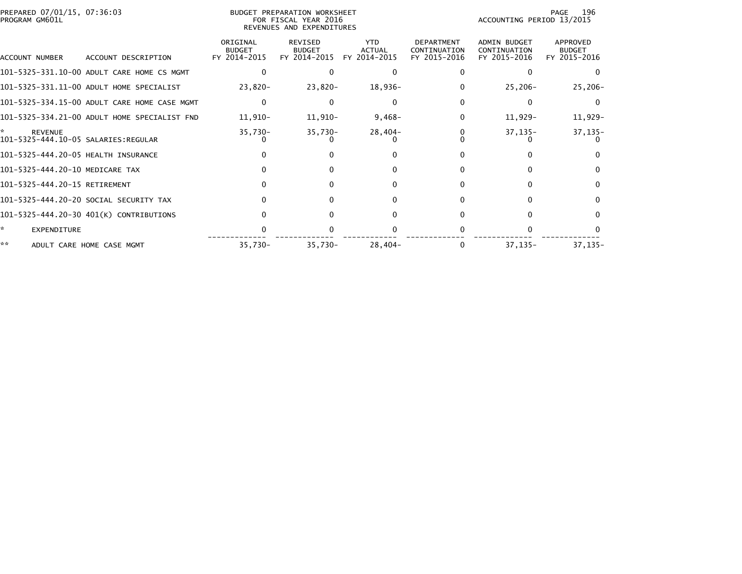| PREPARED 07/01/15, 07:36:03<br>PROGRAM GM601L         |                                              |                                           | BUDGET PREPARATION WORKSHEET<br>FOR FISCAL YEAR 2016<br>REVENUES AND EXPENDITURES |                                             | 196<br>PAGE<br>ACCOUNTING PERIOD 13/2015          |                                                     |                                           |
|-------------------------------------------------------|----------------------------------------------|-------------------------------------------|-----------------------------------------------------------------------------------|---------------------------------------------|---------------------------------------------------|-----------------------------------------------------|-------------------------------------------|
| ACCOUNT NUMBER                                        | ACCOUNT DESCRIPTION                          | ORIGINAL<br><b>BUDGET</b><br>FY 2014-2015 | <b>REVISED</b><br><b>BUDGET</b><br>FY 2014-2015                                   | <b>YTD</b><br><b>ACTUAL</b><br>FY 2014-2015 | <b>DEPARTMENT</b><br>CONTINUATION<br>FY 2015-2016 | <b>ADMIN BUDGET</b><br>CONTINUATION<br>FY 2015-2016 | APPROVED<br><b>BUDGET</b><br>FY 2015-2016 |
|                                                       | 101-5325-331.10-00 ADULT CARE HOME CS MGMT   |                                           | 0                                                                                 |                                             |                                                   |                                                     |                                           |
|                                                       | 101-5325-331.11-00 ADULT HOME SPECIALIST     | 23,820-                                   | $23,820-$                                                                         | 18,936-                                     |                                                   | $25,206-$                                           | $25,206-$                                 |
|                                                       | 101-5325-334.15-00 ADULT CARE HOME CASE MGMT | 0                                         |                                                                                   |                                             |                                                   |                                                     |                                           |
|                                                       | 101-5325-334.21-00 ADULT HOME SPECIALIST FND | 11,910-                                   | 11,910-                                                                           | $9,468-$                                    | $\Omega$                                          | 11,929-                                             | 11,929-                                   |
| <b>REVENUE</b><br>101-5325-444.10-05 SALARIES:REGULAR |                                              | $35,730-$                                 | $35,730-$                                                                         | 28,404-                                     |                                                   | $37, 135 -$                                         | $37,135-$                                 |
| 101-5325-444.20-05 HEALTH INSURANCE                   |                                              |                                           |                                                                                   |                                             |                                                   |                                                     |                                           |
| 101-5325-444.20-10 MEDICARE TAX                       |                                              |                                           |                                                                                   |                                             | <sup>n</sup>                                      |                                                     |                                           |
| 101-5325-444.20-15 RETIREMENT                         |                                              |                                           |                                                                                   |                                             |                                                   |                                                     |                                           |
|                                                       | 101-5325-444.20-20 SOCIAL SECURITY TAX       |                                           |                                                                                   |                                             |                                                   |                                                     |                                           |
|                                                       | 101-5325-444.20-30 401(K) CONTRIBUTIONS      |                                           |                                                                                   |                                             | 0                                                 |                                                     |                                           |
| *<br><b>EXPENDITURE</b>                               |                                              |                                           |                                                                                   |                                             |                                                   |                                                     |                                           |
| **                                                    | ADULT CARE HOME CASE MGMT                    | $35,730-$                                 | $35,730-$                                                                         | $28,404-$                                   |                                                   | $37, 135 -$                                         | $37, 135 -$                               |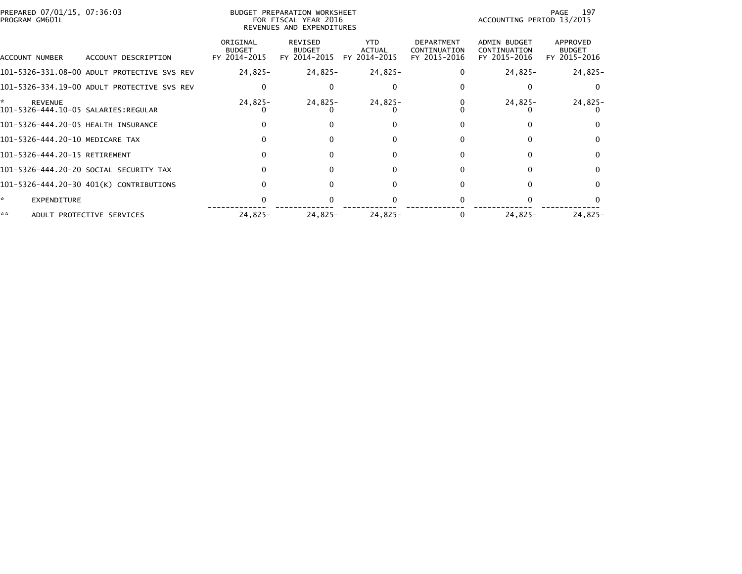| PREPARED 07/01/15, 07:36:03<br>PROGRAM GM601L |                                             |                                           | BUDGET PREPARATION WORKSHEET<br>FOR FISCAL YEAR 2016<br>REVENUES AND EXPENDITURES |                                             |                                            | ACCOUNTING PERIOD 13/2015                           | 197<br>PAGE                               |
|-----------------------------------------------|---------------------------------------------|-------------------------------------------|-----------------------------------------------------------------------------------|---------------------------------------------|--------------------------------------------|-----------------------------------------------------|-------------------------------------------|
| ACCOUNT NUMBER                                | ACCOUNT DESCRIPTION                         | ORIGINAL<br><b>BUDGET</b><br>FY 2014-2015 | REVISED<br><b>BUDGET</b><br>FY 2014-2015                                          | <b>YTD</b><br><b>ACTUAL</b><br>FY 2014-2015 | DEPARTMENT<br>CONTINUATION<br>FY 2015-2016 | <b>ADMIN BUDGET</b><br>CONTINUATION<br>FY 2015-2016 | APPROVED<br><b>BUDGET</b><br>FY 2015-2016 |
|                                               | 101-5326-331.08-00 ADULT PROTECTIVE SVS REV | $24,825-$                                 | 24,825-                                                                           | 24,825-                                     |                                            | $24,825-$                                           | $24,825-$                                 |
|                                               | 101-5326-334.19-00 ADULT PROTECTIVE SVS REV |                                           | $\Omega$                                                                          | 0                                           |                                            |                                                     | $\Omega$                                  |
| <b>REVENUE</b>                                |                                             | 24,825-                                   | 24,825-                                                                           | $24,825-$                                   |                                            | $24,825-$                                           | 24,825-                                   |
| 101-5326-444.20-05 HEALTH INSURANCE           |                                             |                                           |                                                                                   | 0                                           |                                            |                                                     |                                           |
| 101-5326-444.20-10 MEDICARE TAX               |                                             |                                           | $\Omega$                                                                          | 0                                           |                                            | 0                                                   | $\mathbf{0}$                              |
| 101-5326-444.20-15 RETIREMENT                 |                                             |                                           | $\Omega$                                                                          | 0                                           |                                            | 0                                                   | 0                                         |
|                                               | 101–5326–444.20–20 SOCIAL SECURITY TAX      |                                           | $\Omega$                                                                          | $\Omega$                                    |                                            |                                                     | $\Omega$                                  |
|                                               | 101-5326-444.20-30 401(K) CONTRIBUTIONS     |                                           | $\Omega$                                                                          | 0                                           |                                            | 0                                                   | $\Omega$                                  |
| *<br><b>EXPENDITURE</b>                       |                                             |                                           |                                                                                   |                                             |                                            |                                                     |                                           |
| **                                            | ADULT PROTECTIVE SERVICES                   | $24,825-$                                 | $24,825-$                                                                         | $24,825-$                                   |                                            | $24,825-$                                           | $24,825-$                                 |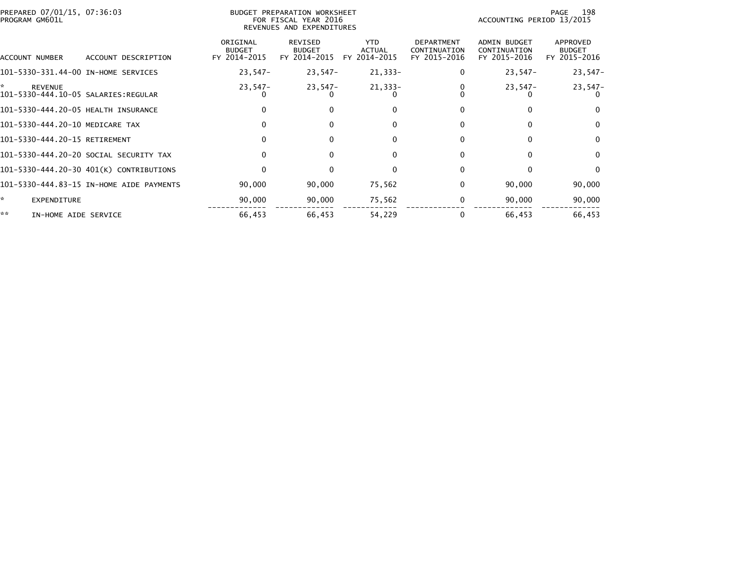| PREPARED 07/01/15, 07:36:03<br>PROGRAM GM601L               |                                          |                                           | BUDGET PREPARATION WORKSHEET<br>FOR FISCAL YEAR 2016<br>REVENUES AND EXPENDITURES |                                             |                                                   | ACCOUNTING PERIOD 13/2015                           | 198<br>PAGE                               |
|-------------------------------------------------------------|------------------------------------------|-------------------------------------------|-----------------------------------------------------------------------------------|---------------------------------------------|---------------------------------------------------|-----------------------------------------------------|-------------------------------------------|
| ACCOUNT NUMBER                                              | ACCOUNT DESCRIPTION                      | ORIGINAL<br><b>BUDGET</b><br>FY 2014-2015 | REVISED<br><b>BUDGET</b><br>FY 2014-2015                                          | <b>YTD</b><br><b>ACTUAL</b><br>FY 2014-2015 | <b>DEPARTMENT</b><br>CONTINUATION<br>FY 2015-2016 | <b>ADMIN BUDGET</b><br>CONTINUATION<br>FY 2015-2016 | APPROVED<br><b>BUDGET</b><br>FY 2015-2016 |
| 101-5330-331.44-00 IN-HOME SERVICES                         |                                          | $23,547-$                                 | 23,547-                                                                           | 21,333-                                     | 0                                                 | $23,547-$                                           | $23,547-$                                 |
| ÷.<br><b>REVENUE</b><br>101-5330-444.10-05 SALARIES:REGULAR |                                          | $23,547-$                                 | $23,547-$                                                                         | $21,333-$                                   |                                                   | $23,547-$                                           | $23,547-$                                 |
| 101-5330-444.20-05 HEALTH INSURANCE                         |                                          | $\mathbf{0}$                              | $\Omega$                                                                          | $\Omega$                                    | 0                                                 | 0                                                   | $\Omega$                                  |
| 101-5330-444.20-10 MEDICARE TAX                             |                                          | 0                                         |                                                                                   | $\Omega$                                    | 0                                                 |                                                     | $\mathbf{0}$                              |
| 101-5330-444.20-15 RETIREMENT                               |                                          | $\Omega$                                  | $\Omega$                                                                          | $\Omega$                                    | 0                                                 | $\Omega$                                            | $\mathbf{0}$                              |
|                                                             | 101–5330–444.20–20 SOCIAL SECURITY TAX   | $\mathbf{0}$                              | $\bf{0}$                                                                          | 0                                           | 0                                                 | 0                                                   | $\mathbf{0}$                              |
|                                                             | 101-5330-444.20-30 401(K) CONTRIBUTIONS  | 0                                         |                                                                                   | $\Omega$                                    |                                                   |                                                     | $\Omega$                                  |
|                                                             | 101-5330-444.83-15 IN-HOME AIDE PAYMENTS | 90,000                                    | 90,000                                                                            | 75,562                                      | 0                                                 | 90,000                                              | 90,000                                    |
| ŵ.<br><b>EXPENDITURE</b>                                    |                                          | 90,000                                    | 90,000                                                                            | 75,562                                      | 0                                                 | 90,000                                              | 90,000                                    |
| **<br>IN-HOME AIDE SERVICE                                  |                                          | 66,453                                    | 66,453                                                                            | 54,229                                      |                                                   | 66,453                                              | 66,453                                    |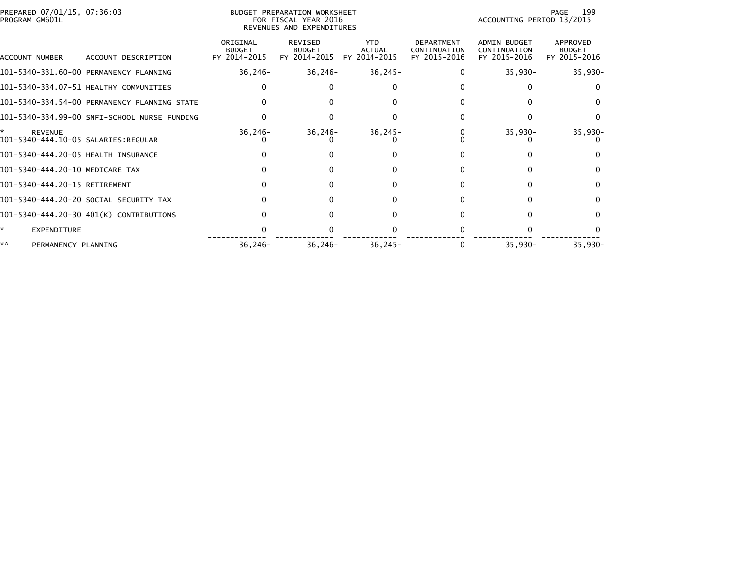| PREPARED 07/01/15, 07:36:03<br>PROGRAM GM601L |                                              |                                           | BUDGET PREPARATION WORKSHEET<br>FOR FISCAL YEAR 2016<br>REVENUES AND EXPENDITURES |                                             | 199<br>PAGE<br>ACCOUNTING PERIOD 13/2015          |                                                     |                                           |
|-----------------------------------------------|----------------------------------------------|-------------------------------------------|-----------------------------------------------------------------------------------|---------------------------------------------|---------------------------------------------------|-----------------------------------------------------|-------------------------------------------|
| ACCOUNT NUMBER                                | ACCOUNT DESCRIPTION                          | ORIGINAL<br><b>BUDGET</b><br>FY 2014-2015 | REVISED<br><b>BUDGET</b><br>FY 2014-2015                                          | <b>YTD</b><br><b>ACTUAL</b><br>FY 2014-2015 | <b>DEPARTMENT</b><br>CONTINUATION<br>FY 2015-2016 | <b>ADMIN BUDGET</b><br>CONTINUATION<br>FY 2015-2016 | APPROVED<br><b>BUDGET</b><br>FY 2015-2016 |
|                                               | 101-5340-331.60-00 PERMANENCY PLANNING       | 36,246-                                   | 36,246–                                                                           | $36,245-$                                   | $\Omega$                                          | $35,930-$                                           | $35,930-$                                 |
|                                               | 101-5340-334.07-51 HEALTHY COMMUNITIES       |                                           |                                                                                   |                                             |                                                   |                                                     |                                           |
|                                               | 101-5340-334.54-00 PERMANENCY PLANNING STATE |                                           |                                                                                   |                                             |                                                   |                                                     |                                           |
|                                               | 101-5340-334.99-00 SNFI-SCHOOL NURSE FUNDING |                                           |                                                                                   |                                             |                                                   |                                                     |                                           |
| <b>REVENUE</b>                                |                                              | $36, 246 -$                               | $36, 246 -$                                                                       | $36, 245 -$                                 |                                                   | $35,930-$                                           | $35,930-$                                 |
| 101-5340-444.20-05 HEALTH INSURANCE           |                                              |                                           |                                                                                   |                                             |                                                   |                                                     |                                           |
| 101-5340-444.20-10 MEDICARE TAX               |                                              |                                           |                                                                                   |                                             | <sup>0</sup>                                      |                                                     |                                           |
| 101-5340-444.20-15 RETIREMENT                 |                                              |                                           |                                                                                   |                                             |                                                   |                                                     |                                           |
|                                               | 101-5340-444.20-20 SOCIAL SECURITY TAX       | 0                                         |                                                                                   |                                             |                                                   |                                                     |                                           |
|                                               | 101-5340-444.20-30 401(K) CONTRIBUTIONS      |                                           |                                                                                   |                                             | 0                                                 |                                                     |                                           |
| ÷.<br><b>EXPENDITURE</b>                      |                                              |                                           |                                                                                   |                                             |                                                   |                                                     |                                           |
| **<br>PERMANENCY PLANNING                     |                                              | $36, 246 -$                               | $36, 246 -$                                                                       | $36, 245 -$                                 |                                                   | $35,930-$                                           | $35,930-$                                 |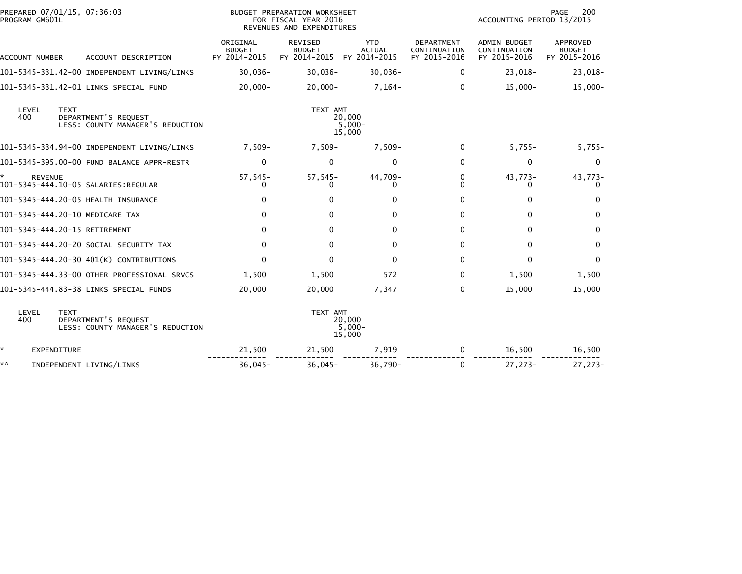|     | PROGRAM GM601L |             | PREPARED 07/01/15, 07:36:03                              |                                           | BUDGET PREPARATION WORKSHEET<br>FOR FISCAL YEAR 2016<br>REVENUES AND EXPENDITURES |                                             |                                                   | ACCOUNTING PERIOD 13/2015                           | 200<br>PAGE                               |
|-----|----------------|-------------|----------------------------------------------------------|-------------------------------------------|-----------------------------------------------------------------------------------|---------------------------------------------|---------------------------------------------------|-----------------------------------------------------|-------------------------------------------|
|     | ACCOUNT NUMBER |             | ACCOUNT DESCRIPTION                                      | ORIGINAL<br><b>BUDGET</b><br>FY 2014-2015 | REVISED<br><b>BUDGET</b><br>FY 2014-2015                                          | <b>YTD</b><br><b>ACTUAL</b><br>FY 2014-2015 | <b>DEPARTMENT</b><br>CONTINUATION<br>FY 2015-2016 | <b>ADMIN BUDGET</b><br>CONTINUATION<br>FY 2015-2016 | APPROVED<br><b>BUDGET</b><br>FY 2015-2016 |
|     |                |             | 101-5345-331.42-00 INDEPENDENT LIVING/LINKS              | $30,036 -$                                | $30,036 -$                                                                        | $30,036 -$                                  | $\Omega$                                          | 23,018-                                             | 23,018-                                   |
|     |                |             | 101-5345-331.42-01 LINKS SPECIAL FUND                    | $20,000 -$                                | $20,000 -$                                                                        | $7,164-$                                    | $\Omega$                                          | $15,000 -$                                          | $15,000 -$                                |
| 400 | LEVEL          | <b>TEXT</b> | DEPARTMENT'S REQUEST<br>LESS: COUNTY MANAGER'S REDUCTION |                                           | TEXT AMT                                                                          | 20,000<br>$5,000-$<br>15,000                |                                                   |                                                     |                                           |
|     |                |             | 101-5345-334.94-00 INDEPENDENT LIVING/LINKS              | 7,509-                                    | $7,509-$                                                                          | $7,509-$                                    | $\Omega$                                          | $5,755-$                                            | $5,755-$                                  |
|     |                |             | 101-5345-395.00-00 FUND BALANCE APPR-RESTR               | $\mathbf 0$                               | $\mathbf{0}$                                                                      | 0                                           | $\mathbf{0}$                                      | 0                                                   | 0                                         |
|     | <b>REVENUE</b> |             | 101-5345-444.10-05 SALARIES:REGULAR                      | $57,545-$<br>0                            | $57,545-$                                                                         | 44,709-<br>0                                | 0<br>0                                            | 43,773-<br>0                                        | 43,773-<br>0                              |
|     |                |             | 101-5345-444.20-05 HEALTH INSURANCE                      | 0                                         | 0                                                                                 | $\Omega$                                    | 0                                                 | $\Omega$                                            | $\mathbf{0}$                              |
|     |                |             | 101-5345-444.20-10 MEDICARE TAX                          | 0                                         | 0                                                                                 | $\Omega$                                    | $\mathbf{0}$                                      | 0                                                   | 0                                         |
|     |                |             | 101-5345-444.20-15 RETIREMENT                            | 0                                         | $\Omega$                                                                          | $\Omega$                                    | $\mathbf{0}$                                      | 0                                                   | 0                                         |
|     |                |             | 101-5345-444.20-20 SOCIAL SECURITY TAX                   | 0                                         | $\Omega$                                                                          | 0                                           | $\Omega$                                          | 0                                                   | 0                                         |
|     |                |             | 101-5345-444.20-30 401(K) CONTRIBUTIONS                  | 0                                         | $\Omega$                                                                          | $\mathbf{0}$                                | $\Omega$                                          | $\Omega$                                            | $\mathbf{0}$                              |
|     |                |             | 101-5345-444.33-00 OTHER PROFESSIONAL SRVCS              | 1,500                                     | 1,500                                                                             | 572                                         | 0                                                 | 1,500                                               | 1,500                                     |
|     |                |             | 101-5345-444.83-38 LINKS SPECIAL FUNDS                   | 20,000                                    | 20,000                                                                            | 7,347                                       | $\Omega$                                          | 15,000                                              | 15,000                                    |
| 400 | LEVEL          | <b>TEXT</b> | DEPARTMENT'S REQUEST<br>LESS: COUNTY MANAGER'S REDUCTION |                                           | TEXT AMT                                                                          | 20,000<br>$5,000 -$<br>15,000               |                                                   |                                                     |                                           |
| *.  | EXPENDITURE    |             |                                                          | 21,500                                    | 21,500                                                                            | 7,919                                       | $\mathbf{0}$                                      | 16,500                                              | 16,500                                    |
| **  |                |             | INDEPENDENT LIVING/LINKS                                 | $36,045-$                                 | $36,045-$                                                                         | $36,790 -$                                  | $\Omega$                                          | 27,273-                                             | $27,273-$                                 |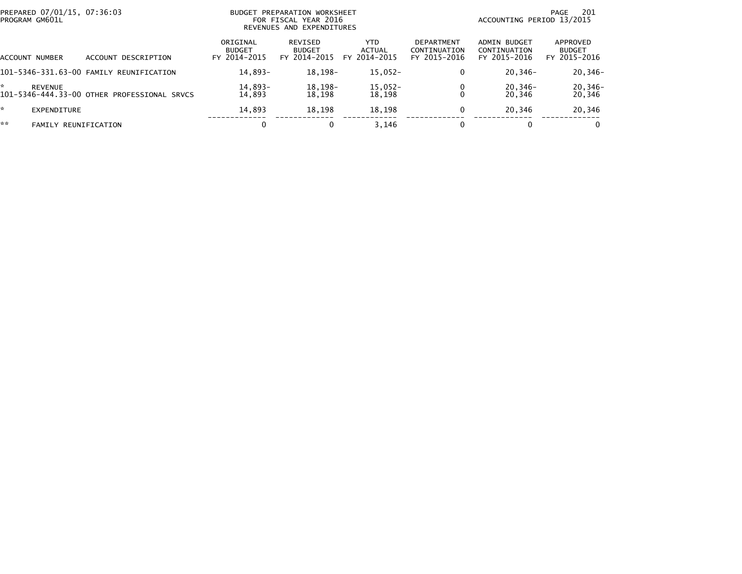| PREPARED 07/01/15, 07:36:03<br>PROGRAM GM601L |                                             | <b>BUDGET</b>                             | PREPARATION WORKSHEET<br>FOR FISCAL YEAR 2016<br>REVENUES AND EXPENDITURES | -201<br>PAGE<br>ACCOUNTING PERIOD 13/2015 |                                                   |                                              |                                           |
|-----------------------------------------------|---------------------------------------------|-------------------------------------------|----------------------------------------------------------------------------|-------------------------------------------|---------------------------------------------------|----------------------------------------------|-------------------------------------------|
| <b>ACCOUNT NUMBER</b>                         | ACCOUNT DESCRIPTION                         | ORIGINAL<br><b>BUDGET</b><br>FY 2014-2015 | REVISED<br><b>BUDGET</b><br>FY 2014-2015                                   | YTD.<br>ACTUAL<br>FY 2014-2015            | <b>DEPARTMENT</b><br>CONTINUATION<br>FY 2015-2016 | ADMIN BUDGET<br>CONTINUATION<br>FY 2015-2016 | APPROVED<br><b>BUDGET</b><br>FY 2015-2016 |
|                                               | 101-5346-331.63-00 FAMILY REUNIFICATION     | 14,893-                                   | 18,198-                                                                    | $15,052-$                                 | 0                                                 | $20, 346 -$                                  | $20,346-$                                 |
| <b>REVENUE</b>                                | 101-5346-444.33-00 OTHER PROFESSIONAL SRVCS | 14,893-<br>14.893                         | 18,198-<br>18.198                                                          | $15,052-$<br>18,198                       |                                                   | $20, 346 -$<br>20.346                        | $20,346-$<br>20,346                       |
| EXPENDITURE                                   |                                             | 14,893                                    | 18,198                                                                     | 18,198                                    | 0                                                 | 20,346                                       | 20,346                                    |
| **<br><b>FAMILY REUNIFICATION</b>             |                                             |                                           |                                                                            | 3.146                                     |                                                   |                                              | 0                                         |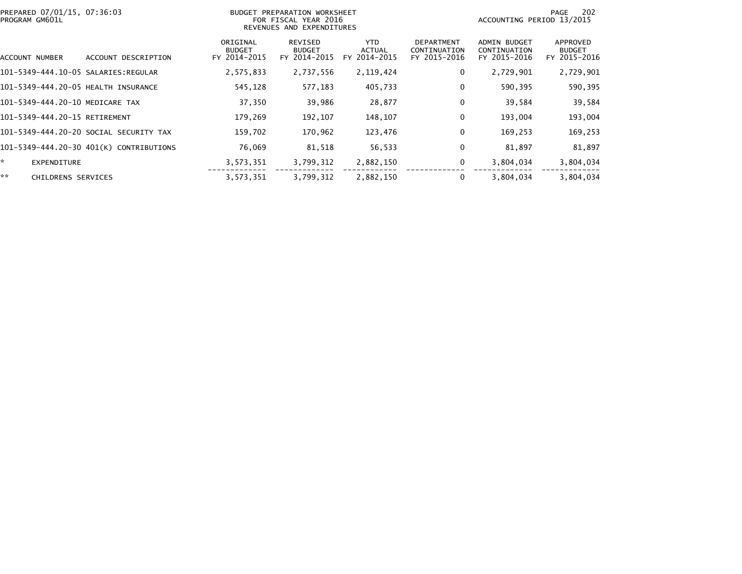| PREPARED 07/01/15, 07:36:03<br>PROGRAM GM601L |                                         |                                           | BUDGET PREPARATION WORKSHEET<br>FOR FISCAL YEAR 2016<br>REVENUES AND EXPENDITURES |                                       | 202<br>PAGE<br>ACCOUNTING PERIOD 13/2015          |                                                     |                                           |
|-----------------------------------------------|-----------------------------------------|-------------------------------------------|-----------------------------------------------------------------------------------|---------------------------------------|---------------------------------------------------|-----------------------------------------------------|-------------------------------------------|
| ACCOUNT NUMBER                                | ACCOUNT DESCRIPTION                     | ORIGINAL<br><b>BUDGET</b><br>FY 2014-2015 | REVISED<br><b>BUDGET</b><br>FY 2014-2015                                          | YTD.<br><b>ACTUAL</b><br>FY 2014-2015 | <b>DEPARTMENT</b><br>CONTINUATION<br>FY 2015-2016 | <b>ADMIN BUDGET</b><br>CONTINUATION<br>FY 2015-2016 | APPROVED<br><b>BUDGET</b><br>FY 2015-2016 |
|                                               |                                         | 2,575,833                                 | 2,737,556                                                                         | 2,119,424                             | 0                                                 | 2,729,901                                           | 2,729,901                                 |
| 101-5349-444.20-05 HEALTH INSURANCE           |                                         | 545,128                                   | 577,183                                                                           | 405,733                               | 0                                                 | 590,395                                             | 590,395                                   |
| 101-5349-444.20-10 MEDICARE TAX               |                                         | 37,350                                    | 39,986                                                                            | 28,877                                | 0                                                 | 39,584                                              | 39,584                                    |
| 101-5349-444.20-15 RETIREMENT                 |                                         | 179,269                                   | 192,107                                                                           | 148,107                               | 0                                                 | 193,004                                             | 193,004                                   |
|                                               | 101–5349–444.20–20 SOCIAL SECURITY TAX  | 159,702                                   | 170,962                                                                           | 123,476                               | $\mathbf 0$                                       | 169,253                                             | 169,253                                   |
|                                               | 101-5349-444.20-30 401(K) CONTRIBUTIONS | 76,069                                    | 81,518                                                                            | 56,533                                | 0                                                 | 81,897                                              | 81,897                                    |
| *.<br><b>EXPENDITURE</b>                      |                                         | 3,573,351                                 | 3,799,312                                                                         | 2,882,150                             | 0                                                 | 3,804,034                                           | 3,804,034                                 |
| **<br><b>CHILDRENS SERVICES</b>               |                                         | 3,573,351                                 | 3,799,312                                                                         | 2,882,150                             | 0                                                 | 3,804,034                                           | 3,804,034                                 |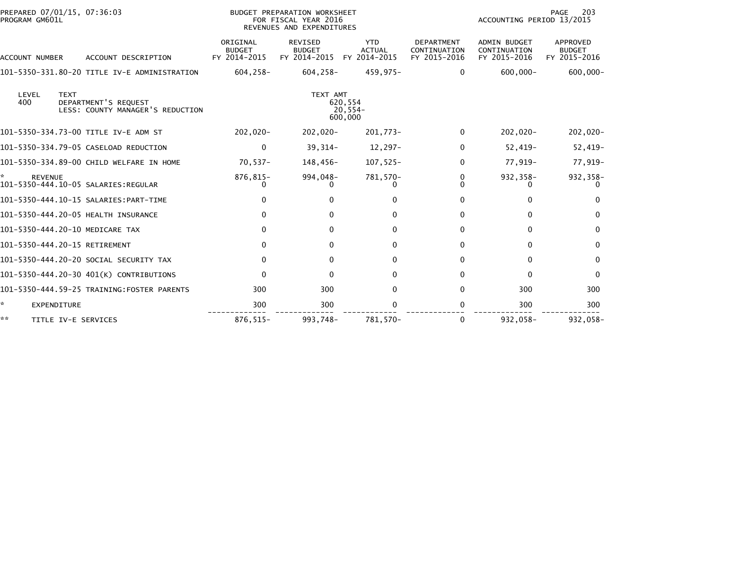| PREPARED 07/01/15, 07:36:03<br>PROGRAM GM601L                                           |                                           | BUDGET PREPARATION WORKSHEET<br>FOR FISCAL YEAR 2016<br>REVENUES AND EXPENDITURES |                                             | 203<br>PAGE<br>ACCOUNTING PERIOD 13/2015          |                                                     |                                           |  |
|-----------------------------------------------------------------------------------------|-------------------------------------------|-----------------------------------------------------------------------------------|---------------------------------------------|---------------------------------------------------|-----------------------------------------------------|-------------------------------------------|--|
| ACCOUNT DESCRIPTION<br><b>ACCOUNT NUMBER</b>                                            | ORIGINAL<br><b>BUDGET</b><br>FY 2014-2015 | <b>REVISED</b><br><b>BUDGET</b><br>FY 2014-2015                                   | <b>YTD</b><br><b>ACTUAL</b><br>FY 2014-2015 | <b>DEPARTMENT</b><br>CONTINUATION<br>FY 2015-2016 | <b>ADMIN BUDGET</b><br>CONTINUATION<br>FY 2015-2016 | APPROVED<br><b>BUDGET</b><br>FY 2015-2016 |  |
| 101-5350-331.80-20 TITLE IV-E ADMINISTRATION                                            | $604, 258 -$                              | $604, 258 -$                                                                      | 459,975-                                    | $\Omega$                                          | $600,000 -$                                         | $600,000 -$                               |  |
| LEVEL<br><b>TEXT</b><br>400<br>DEPARTMENT'S REQUEST<br>LESS: COUNTY MANAGER'S REDUCTION |                                           | TEXT AMT                                                                          | 620,554<br>20,554-<br>600,000               |                                                   |                                                     |                                           |  |
| 101-5350-334.73-00 TITLE IV-E ADM ST                                                    | -020, 202                                 | $202,020 -$                                                                       | 201,773-                                    | $\Omega$                                          | $202,020 -$                                         | $202,020-$                                |  |
| 101-5350-334.79-05 CASELOAD REDUCTION                                                   | 0                                         | $39,314-$                                                                         | 12,297-                                     | 0                                                 | $52,419-$                                           | $52,419-$                                 |  |
| 101-5350-334.89-00 CHILD WELFARE IN HOME                                                | $70,537-$                                 | 148,456-                                                                          | 107,525-                                    | $\Omega$                                          | 77,919-                                             | 77,919-                                   |  |
| <b>REVENUE</b><br>101-5350-444.10-05 SALARIES: REGULAR                                  | 876,815-                                  | 994,048-                                                                          | 781,570-                                    | 0                                                 | 932,358-                                            | 932,358-                                  |  |
| 101-5350-444.10-15 SALARIES: PART-TIME                                                  | 0                                         | 0                                                                                 | $\Omega$                                    | 0                                                 | 0                                                   | $\Omega$                                  |  |
| 101-5350-444.20-05 HEALTH INSURANCE                                                     | $\bf{0}$                                  | $\Omega$                                                                          | $\mathbf{0}$                                | 0                                                 | 0                                                   | $\bf{0}$                                  |  |
| 101-5350-444.20-10 MEDICARE TAX                                                         | $\mathbf{0}$                              | $\Omega$                                                                          | $\mathbf{0}$                                | 0                                                 | $\mathbf{0}$                                        | $\mathbf{0}$                              |  |
| 101-5350-444.20-15 RETIREMENT                                                           | $\mathbf{0}$                              | $\Omega$                                                                          | $\mathbf{0}$                                | $\Omega$                                          | $\Omega$                                            | $\mathbf{0}$                              |  |
| 101-5350-444.20-20 SOCIAL SECURITY TAX                                                  | $\Omega$                                  | $\mathbf{0}$                                                                      | $\mathbf{0}$                                | 0                                                 | $\mathbf{0}$                                        | $\mathbf{0}$                              |  |
| 101-5350-444.20-30 401(K) CONTRIBUTIONS                                                 | $\mathbf{0}$                              | 0                                                                                 | $\Omega$                                    | 0                                                 | $\Omega$                                            | $\Omega$                                  |  |
| 101-5350-444.59-25 TRAINING:FOSTER PARENTS                                              | 300                                       | 300                                                                               | $\Omega$                                    | $\Omega$                                          | 300                                                 | 300                                       |  |
| *<br>EXPENDITURE                                                                        | 300                                       | 300                                                                               | 0                                           |                                                   | 300                                                 | 300                                       |  |
| **<br>TITLE IV-E SERVICES                                                               | 876,515-                                  | 993.748-                                                                          | 781.570-                                    | $\Omega$                                          | 932,058-                                            | 932,058-                                  |  |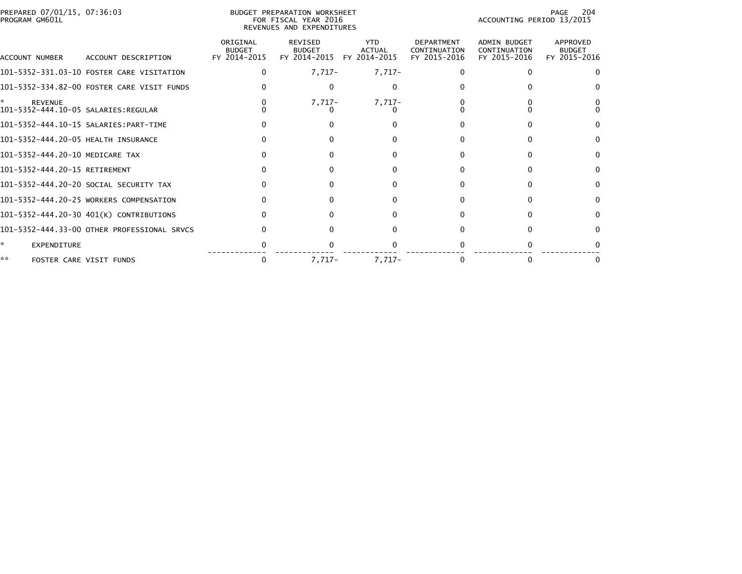| PREPARED 07/01/15, 07:36:03<br>PROGRAM GM601L |                                             | BUDGET PREPARATION WORKSHEET<br>FOR FISCAL YEAR 2016<br>REVENUES AND EXPENDITURES | 204<br>PAGE<br>ACCOUNTING PERIOD 13/2015        |                                             |                                                   |                                              |                                           |
|-----------------------------------------------|---------------------------------------------|-----------------------------------------------------------------------------------|-------------------------------------------------|---------------------------------------------|---------------------------------------------------|----------------------------------------------|-------------------------------------------|
| ACCOUNT NUMBER                                | ACCOUNT DESCRIPTION                         | ORIGINAL<br><b>BUDGET</b><br>FY 2014-2015                                         | <b>REVISED</b><br><b>BUDGET</b><br>FY 2014-2015 | <b>YTD</b><br><b>ACTUAL</b><br>FY 2014-2015 | <b>DEPARTMENT</b><br>CONTINUATION<br>FY 2015-2016 | ADMIN BUDGET<br>CONTINUATION<br>FY 2015-2016 | APPROVED<br><b>BUDGET</b><br>FY 2015-2016 |
|                                               | 101-5352-331.03-10 FOSTER CARE VISITATION   | 0                                                                                 | $7,717-$                                        | $7,717-$                                    |                                                   | 0                                            |                                           |
|                                               | 101-5352-334.82-00 FOSTER CARE VISIT FUNDS  |                                                                                   | <sup>0</sup>                                    | 0                                           |                                                   |                                              |                                           |
| *<br><b>REVENUE</b>                           |                                             |                                                                                   | $7,717-$                                        | $7,717-$                                    |                                                   |                                              |                                           |
|                                               | 101-5352-444.10-15 SALARIES:PART-TIME       |                                                                                   |                                                 |                                             |                                                   |                                              |                                           |
| 101-5352-444.20-05 HEALTH INSURANCE           |                                             |                                                                                   |                                                 |                                             |                                                   |                                              |                                           |
| 101-5352-444.20-10 MEDICARE TAX               |                                             |                                                                                   |                                                 | O                                           |                                                   |                                              |                                           |
| 101-5352-444.20-15 RETIREMENT                 |                                             |                                                                                   |                                                 | 0                                           |                                                   |                                              |                                           |
|                                               | 101-5352-444.20-20 SOCIAL SECURITY TAX      |                                                                                   |                                                 | 0                                           |                                                   |                                              |                                           |
|                                               | 101-5352-444.20-25 WORKERS COMPENSATION     |                                                                                   |                                                 | 0                                           |                                                   | O                                            |                                           |
|                                               | 101-5352-444.20-30 401(K) CONTRIBUTIONS     |                                                                                   |                                                 |                                             |                                                   |                                              |                                           |
|                                               | 101-5352-444.33-00 OTHER PROFESSIONAL SRVCS |                                                                                   |                                                 |                                             |                                                   |                                              |                                           |
| *.<br>EXPENDITURE                             |                                             |                                                                                   |                                                 |                                             |                                                   |                                              |                                           |
| **                                            | FOSTER CARE VISIT FUNDS                     | 0                                                                                 | $7,717-$                                        | $7.717-$                                    |                                                   |                                              |                                           |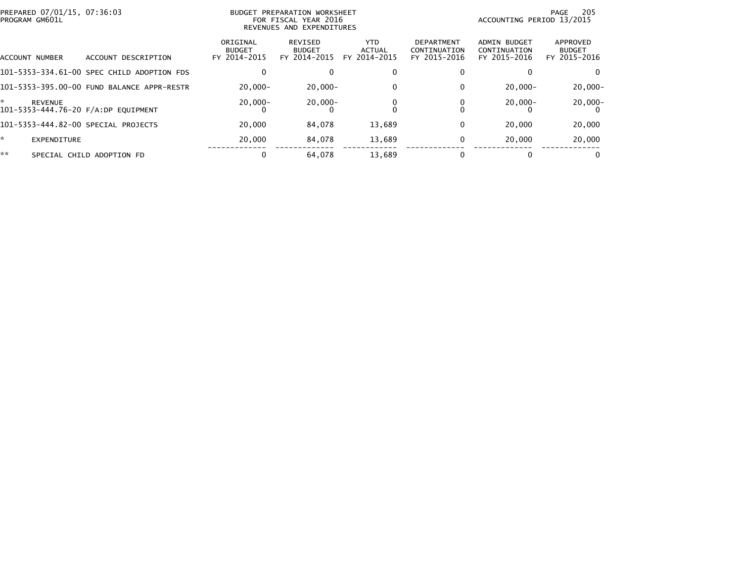| PREPARED 07/01/15, 07:36:03<br>PROGRAM GM601L         |                                            | BUDGET PREPARATION WORKSHEET<br>FOR FISCAL YEAR 2016<br>REVENUES AND EXPENDITURES |                                          |                                       |                                                   | 205<br>PAGE<br>ACCOUNTING PERIOD 13/2015            |                                           |  |
|-------------------------------------------------------|--------------------------------------------|-----------------------------------------------------------------------------------|------------------------------------------|---------------------------------------|---------------------------------------------------|-----------------------------------------------------|-------------------------------------------|--|
| ACCOUNT NUMBER                                        | ACCOUNT DESCRIPTION                        | ORIGINAL<br><b>BUDGET</b><br>FY 2014-2015                                         | REVISED<br><b>BUDGET</b><br>FY 2014-2015 | YTD.<br><b>ACTUAL</b><br>FY 2014-2015 | <b>DEPARTMENT</b><br>CONTINUATION<br>FY 2015-2016 | <b>ADMIN BUDGET</b><br>CONTINUATION<br>FY 2015-2016 | APPROVED<br><b>BUDGET</b><br>FY 2015-2016 |  |
|                                                       | 101-5353-334.61-00 SPEC CHILD ADOPTION FDS | 0                                                                                 |                                          |                                       |                                                   |                                                     | 0                                         |  |
|                                                       | 101-5353-395.00-00 FUND BALANCE APPR-RESTR | $20.000 -$                                                                        | $20,000 -$                               | 0                                     |                                                   | $20.000 -$                                          | $20,000 -$                                |  |
| <b>REVENUE</b><br>101-5353-444.76-20 F/A:DP EQUIPMENT |                                            | $20,000 -$                                                                        | $20,000 -$                               |                                       |                                                   | $20,000 -$                                          | $20,000-$                                 |  |
| 101-5353-444.82-00 SPECIAL PROJECTS                   |                                            | 20,000                                                                            | 84,078                                   | 13,689                                |                                                   | 20,000                                              | 20,000                                    |  |
| <b>EXPENDITURE</b>                                    |                                            | 20,000                                                                            | 84,078                                   | 13,689                                |                                                   | 20,000                                              | 20,000                                    |  |
| **                                                    | SPECIAL CHILD ADOPTION FD                  | 0                                                                                 | 64,078                                   | 13.689                                |                                                   |                                                     | 0                                         |  |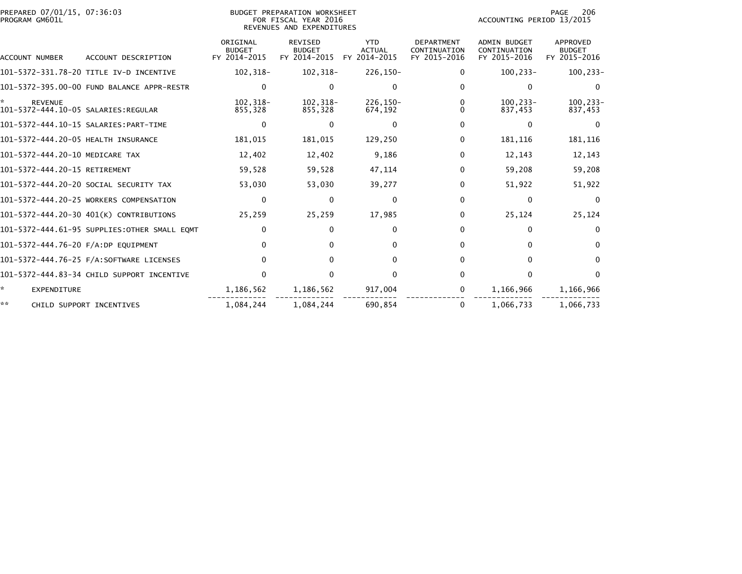| PREPARED 07/01/15, 07:36:03<br>PROGRAM GM601L |                                              | BUDGET PREPARATION WORKSHEET<br>FOR FISCAL YEAR 2016<br>REVENUES AND EXPENDITURES |                                                 |                                             |                                                   |                                                     |                                           |
|-----------------------------------------------|----------------------------------------------|-----------------------------------------------------------------------------------|-------------------------------------------------|---------------------------------------------|---------------------------------------------------|-----------------------------------------------------|-------------------------------------------|
| ACCOUNT NUMBER                                | ACCOUNT DESCRIPTION                          | ORIGINAL<br><b>BUDGET</b><br>FY 2014-2015                                         | <b>REVISED</b><br><b>BUDGET</b><br>FY 2014-2015 | <b>YTD</b><br><b>ACTUAL</b><br>FY 2014-2015 | <b>DEPARTMENT</b><br>CONTINUATION<br>FY 2015-2016 | <b>ADMIN BUDGET</b><br>CONTINUATION<br>FY 2015-2016 | APPROVED<br><b>BUDGET</b><br>FY 2015-2016 |
|                                               | 101-5372-331.78-20 TITLE IV-D INCENTIVE      | 102,318-                                                                          | 102,318-                                        | 226,150-                                    | 0                                                 | $100, 233 -$                                        | 100,233-                                  |
|                                               | 101-5372-395.00-00 FUND BALANCE APPR-RESTR   | 0                                                                                 |                                                 | 0                                           | 0                                                 | $\mathbf{0}$                                        | $\Omega$                                  |
| <b>REVENUE</b>                                |                                              | $102.318 -$<br>855.328                                                            | $102.318 -$<br>855.328                          | 226.150-<br>674,192                         | 0                                                 | $100.233 -$<br>837.453                              | 100,233-<br>837,453                       |
|                                               |                                              | $\mathbf{0}$                                                                      |                                                 | 0                                           | 0                                                 | $\mathbf{0}$                                        | 0                                         |
| 101-5372-444.20-05 HEALTH INSURANCE           |                                              | 181,015                                                                           | 181,015                                         | 129,250                                     | 0                                                 | 181,116                                             | 181,116                                   |
| 101-5372-444.20-10 MEDICARE TAX               |                                              | 12,402                                                                            | 12,402                                          | 9,186                                       | 0                                                 | 12,143                                              | 12,143                                    |
| 101-5372-444.20-15 RETIREMENT                 |                                              | 59,528                                                                            | 59,528                                          | 47,114                                      | 0                                                 | 59,208                                              | 59,208                                    |
|                                               | 101-5372-444.20-20 SOCIAL SECURITY TAX       | 53,030                                                                            | 53,030                                          | 39,277                                      | 0                                                 | 51,922                                              | 51,922                                    |
|                                               | 101-5372-444.20-25 WORKERS COMPENSATION      | 0                                                                                 | 0                                               | 0                                           | 0                                                 | 0                                                   | $\Omega$                                  |
|                                               | 101-5372-444.20-30 401(K) CONTRIBUTIONS      | 25,259                                                                            | 25,259                                          | 17,985                                      | 0                                                 | 25,124                                              | 25,124                                    |
|                                               | 101-5372-444.61-95 SUPPLIES:OTHER SMALL EQMT | $\mathbf{0}$                                                                      | 0                                               | $\Omega$                                    | 0                                                 | 0                                                   | $\Omega$                                  |
| 101-5372-444.76-20 F/A:DP EQUIPMENT           |                                              | $\Omega$                                                                          |                                                 | <sup>0</sup>                                | 0                                                 | $\Omega$                                            | $\Omega$                                  |
|                                               |                                              | $\Omega$                                                                          | 0                                               | $\Omega$                                    | 0                                                 | $\Omega$                                            | $\Omega$                                  |
|                                               | 101-5372-444.83-34 CHILD SUPPORT INCENTIVE   | $\Omega$                                                                          |                                                 | O                                           | 0                                                 | 0                                                   | $\Omega$                                  |
| ÷.<br><b>EXPENDITURE</b>                      |                                              | 1,186,562                                                                         | 1,186,562                                       | 917,004                                     | 0                                                 | 1,166,966                                           | 1,166,966                                 |
| **                                            | CHILD SUPPORT INCENTIVES                     | 1,084,244                                                                         | 1.084.244                                       | 690.854                                     | 0                                                 | 1,066,733                                           | 1,066,733                                 |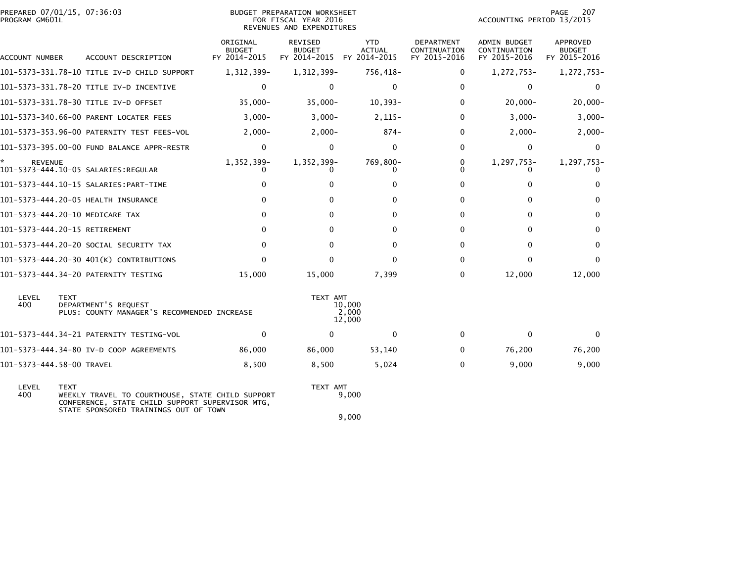| PREPARED 07/01/15, 07:36:03<br>PROGRAM GM601L |             |                                                                                                                                              | BUDGET PREPARATION WORKSHEET<br>FOR FISCAL YEAR 2016<br>REVENUES AND EXPENDITURES |                                                              |                             |                                                   | PAGE<br>207<br>ACCOUNTING PERIOD 13/2015     |                                           |  |
|-----------------------------------------------|-------------|----------------------------------------------------------------------------------------------------------------------------------------------|-----------------------------------------------------------------------------------|--------------------------------------------------------------|-----------------------------|---------------------------------------------------|----------------------------------------------|-------------------------------------------|--|
| ACCOUNT NUMBER                                |             | ACCOUNT DESCRIPTION                                                                                                                          | ORIGINAL<br><b>BUDGET</b><br>FY 2014-2015                                         | <b>REVISED</b><br><b>BUDGET</b><br>FY 2014-2015 FY 2014-2015 | <b>YTD</b><br><b>ACTUAL</b> | <b>DEPARTMENT</b><br>CONTINUATION<br>FY 2015-2016 | ADMIN BUDGET<br>CONTINUATION<br>FY 2015-2016 | APPROVED<br><b>BUDGET</b><br>FY 2015-2016 |  |
|                                               |             | 101-5373-331.78-10 TITLE IV-D CHILD SUPPORT                                                                                                  | 1,312,399-                                                                        | 1,312,399-                                                   | 756,418-                    | 0                                                 | 1,272,753-                                   | 1,272,753-                                |  |
|                                               |             | 101-5373-331.78-20 TITLE IV-D INCENTIVE                                                                                                      | $\mathbf{0}$                                                                      | $\mathbf{0}$                                                 | $\mathbf{0}$                | $\Omega$                                          | $\mathbf{0}$                                 | $\mathbf{0}$                              |  |
|                                               |             | 101-5373-331.78-30 TITLE IV-D OFFSET                                                                                                         | $35,000 -$                                                                        | $35,000 -$                                                   | $10,393-$                   | 0                                                 | $20,000 -$                                   | $20,000-$                                 |  |
|                                               |             | 101-5373-340.66-00 PARENT LOCATER FEES                                                                                                       | $3,000-$                                                                          | $3,000-$                                                     | $2,115-$                    | 0                                                 | $3,000-$                                     | $3,000-$                                  |  |
|                                               |             | 101-5373-353.96-00 PATERNITY TEST FEES-VOL                                                                                                   | $2,000-$                                                                          | $2,000-$                                                     | $874 -$                     | 0                                                 | $2,000-$                                     | $2,000-$                                  |  |
|                                               |             | 101-5373-395.00-00 FUND BALANCE APPR-RESTR                                                                                                   | $\mathbf 0$                                                                       | $\Omega$                                                     | $\mathbf{0}$                | 0                                                 | $\mathbf 0$                                  | 0                                         |  |
| <b>REVENUE</b>                                |             |                                                                                                                                              | 1,352,399-<br>0                                                                   | 1,352,399-<br>0                                              | 769,800-<br>0               | 0<br>0                                            | 1,297,753-<br>0                              | 1,297,753-                                |  |
|                                               |             |                                                                                                                                              | 0                                                                                 | 0                                                            | 0                           | 0                                                 | $\Omega$                                     |                                           |  |
|                                               |             | 101-5373-444.20-05 HEALTH INSURANCE                                                                                                          | 0                                                                                 | 0                                                            | 0                           | 0                                                 | 0                                            | 0                                         |  |
|                                               |             | 101-5373-444.20-10 MEDICARE TAX                                                                                                              | $\Omega$                                                                          | $\Omega$                                                     | 0                           | 0                                                 | $\Omega$                                     | 0                                         |  |
| 101-5373-444.20-15 RETIREMENT                 |             |                                                                                                                                              | 0                                                                                 | 0                                                            | 0                           | 0                                                 | $\mathbf{0}$                                 | $\bf{0}$                                  |  |
|                                               |             | 101-5373-444.20-20 SOCIAL SECURITY TAX                                                                                                       | $\Omega$                                                                          | $\Omega$                                                     | $\Omega$                    | 0                                                 | $\Omega$                                     | $\Omega$                                  |  |
|                                               |             | 101-5373-444.20-30 401(K) CONTRIBUTIONS                                                                                                      | $\Omega$                                                                          | $\Omega$                                                     | $\Omega$                    | 0                                                 | $\Omega$                                     | $\mathbf{0}$                              |  |
|                                               |             | 101-5373-444.34-20 PATERNITY TESTING                                                                                                         | 15,000                                                                            | 15,000                                                       | 7,399                       | 0                                                 | 12,000                                       | 12,000                                    |  |
| LEVEL<br>400                                  | <b>TEXT</b> | DEPARTMENT'S REQUEST<br>PLUS: COUNTY MANAGER'S RECOMMENDED INCREASE                                                                          |                                                                                   | TEXT AMT                                                     | 10,000<br>2,000<br>12,000   |                                                   |                                              |                                           |  |
|                                               |             |                                                                                                                                              | $\Omega$                                                                          | $\Omega$                                                     | $\Omega$                    | $\Omega$                                          | $\Omega$                                     |                                           |  |
|                                               |             | 101-5373-444.34-80 IV-D COOP AGREEMENTS                                                                                                      | 86,000                                                                            | 86,000                                                       | 53,140                      | 0                                                 | 76,200                                       | 76,200                                    |  |
| 101-5373-444.58-00 TRAVEL                     |             |                                                                                                                                              | 8,500                                                                             | 8,500                                                        | 5,024                       | 0                                                 | 9,000                                        | 9,000                                     |  |
| LEVEL<br>400                                  | <b>TEXT</b> | WEEKLY TRAVEL TO COURTHOUSE, STATE CHILD SUPPORT<br>CONFERENCE, STATE CHILD SUPPORT SUPERVISOR MTG,<br>STATE SPONSORED TRAININGS OUT OF TOWN |                                                                                   | TEXT AMT                                                     | 9,000                       |                                                   |                                              |                                           |  |

9,000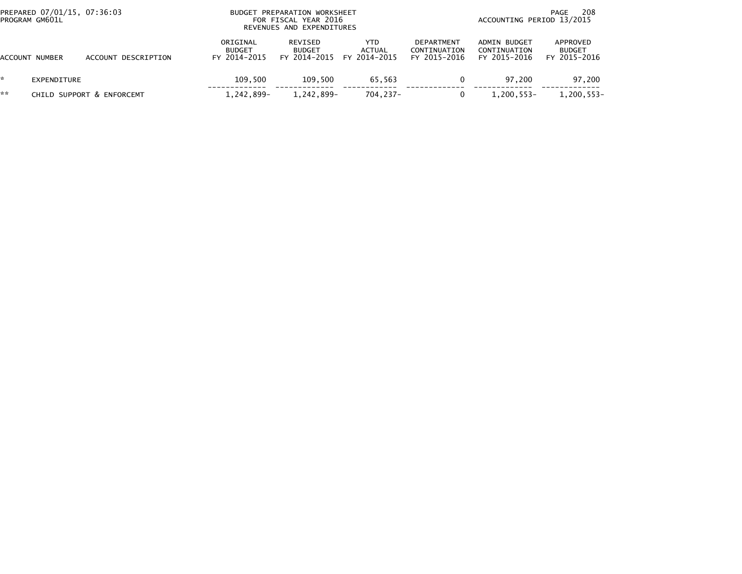|                | PREPARED 07/01/15, 07:36:03<br>PROGRAM GM601L |                           | <b>BUDGET</b>                             | PREPARATION WORKSHEET<br>FOR FISCAL YEAR 2016<br>REVENUES AND EXPENDITURES |                                      | 208<br>PAGE<br>ACCOUNTING PERIOD 13/2015   |                                              |                                           |  |
|----------------|-----------------------------------------------|---------------------------|-------------------------------------------|----------------------------------------------------------------------------|--------------------------------------|--------------------------------------------|----------------------------------------------|-------------------------------------------|--|
| ACCOUNT NUMBER |                                               | ACCOUNT DESCRIPTION       | ORIGINAL<br><b>BUDGET</b><br>FY 2014-2015 | REVISED<br><b>BUDGET</b><br>FY 2014-2015                                   | YTD<br><b>ACTUAL</b><br>FY 2014-2015 | DEPARTMENT<br>CONTINUATION<br>FY 2015-2016 | ADMIN BUDGET<br>CONTINUATION<br>FY 2015-2016 | APPROVED<br><b>BUDGET</b><br>FY 2015-2016 |  |
| *              | EXPENDITURE                                   |                           | 109,500                                   | 109.500                                                                    | 65,563                               |                                            | 97.200                                       | 97,200                                    |  |
| **             |                                               | CHILD SUPPORT & ENFORCEMT | 1,242,899-                                | 1,242,899-                                                                 | 704.237-                             |                                            | 1,200,553-                                   | 1,200,553-                                |  |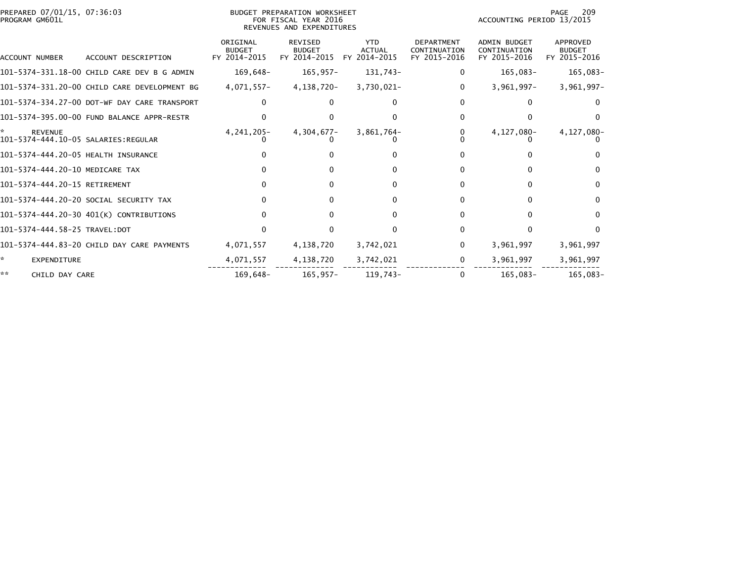| PREPARED 07/01/15, 07:36:03<br>PROGRAM GM601L |                                              | BUDGET PREPARATION WORKSHEET<br>FOR FISCAL YEAR 2016<br>REVENUES AND EXPENDITURES |                                                 |                                             |                                                   |                                                     | 209<br>PAGE<br>ACCOUNTING PERIOD 13/2015  |  |  |
|-----------------------------------------------|----------------------------------------------|-----------------------------------------------------------------------------------|-------------------------------------------------|---------------------------------------------|---------------------------------------------------|-----------------------------------------------------|-------------------------------------------|--|--|
| ACCOUNT NUMBER                                | ACCOUNT DESCRIPTION                          | ORIGINAL<br><b>BUDGET</b><br>FY 2014-2015                                         | <b>REVISED</b><br><b>BUDGET</b><br>FY 2014-2015 | <b>YTD</b><br><b>ACTUAL</b><br>FY 2014-2015 | <b>DEPARTMENT</b><br>CONTINUATION<br>FY 2015-2016 | <b>ADMIN BUDGET</b><br>CONTINUATION<br>FY 2015-2016 | APPROVED<br><b>BUDGET</b><br>FY 2015-2016 |  |  |
|                                               | 101-5374-331.18-00 CHILD CARE DEV B G ADMIN  | 169,648-                                                                          | $165, 957 -$                                    | 131,743-                                    |                                                   | 165,083-                                            | 165,083-                                  |  |  |
|                                               | 101-5374-331.20-00 CHILD CARE DEVELOPMENT BG | 4,071,557-                                                                        | 4,138,720-                                      | 3,730,021-                                  | 0                                                 | $3,961,997 -$                                       | $3,961,997-$                              |  |  |
|                                               | 101-5374-334.27-00 DOT-WF DAY CARE TRANSPORT |                                                                                   |                                                 |                                             |                                                   | 0                                                   |                                           |  |  |
|                                               | 101-5374-395.00-00 FUND BALANCE APPR-RESTR   |                                                                                   |                                                 |                                             |                                                   | 0                                                   | n                                         |  |  |
| <b>REVENUE</b>                                |                                              | 4, 241, 205-                                                                      | $4,304,677-$                                    | 3,861,764-                                  |                                                   | 4,127,080-                                          | 4,127,080-                                |  |  |
| 101-5374-444.20-05 HEALTH INSURANCE           |                                              |                                                                                   |                                                 |                                             |                                                   | O                                                   |                                           |  |  |
| 101-5374-444.20-10 MEDICARE TAX               |                                              |                                                                                   |                                                 | $\Omega$                                    |                                                   | 0                                                   | $\Omega$                                  |  |  |
| 101-5374-444.20-15 RETIREMENT                 |                                              |                                                                                   | 0                                               | $\Omega$                                    |                                                   | $\Omega$                                            | $\Omega$                                  |  |  |
|                                               | 101–5374–444.20–20 SOCIAL SECURITY TAX       |                                                                                   | 0                                               | O                                           |                                                   | $\Omega$                                            | $\Omega$                                  |  |  |
|                                               | 101-5374-444.20-30 401(K) CONTRIBUTIONS      |                                                                                   |                                                 |                                             |                                                   | 0                                                   | $\Omega$                                  |  |  |
| 101-5374-444.58-25 TRAVEL:DOT                 |                                              |                                                                                   |                                                 | U                                           |                                                   | <sup>0</sup>                                        | $\Omega$                                  |  |  |
|                                               | 101-5374-444.83-20 CHILD DAY CARE PAYMENTS   | 4,071,557                                                                         | 4,138,720                                       | 3,742,021                                   | 0                                                 | 3,961,997                                           | 3,961,997                                 |  |  |
| *<br><b>EXPENDITURE</b>                       |                                              | 4,071,557                                                                         | 4,138,720                                       | 3,742,021                                   | 0                                                 | 3,961,997                                           | 3,961,997                                 |  |  |
| **<br>CHILD DAY CARE                          |                                              | 169,648-                                                                          | $165, 957 -$                                    | 119,743-                                    | $\mathbf{0}$                                      | $165,083-$                                          | 165,083-                                  |  |  |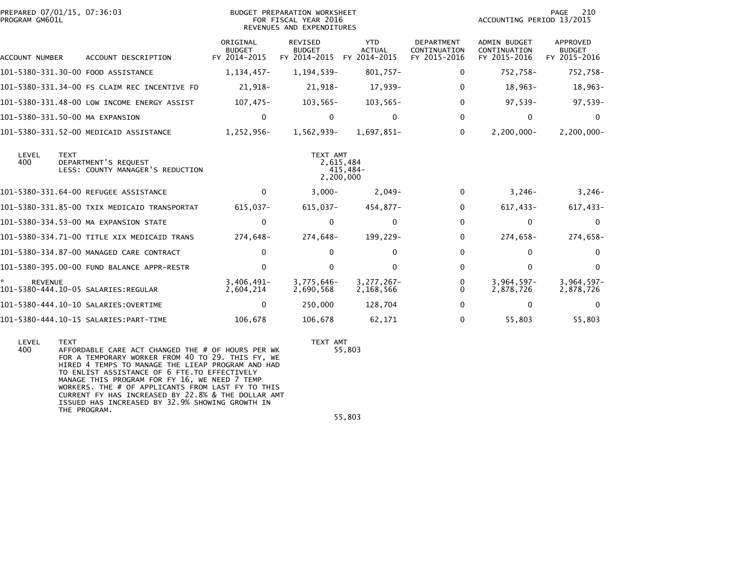| PREPARED 07/01/15, 07:36:03<br>PROGRAM GM601L |                                                          |                                           | <b>BUDGET PREPARATION WORKSHEET</b><br>FOR FISCAL YEAR 2016<br>REVENUES AND EXPENDITURES |                                             |                                                   | ACCOUNTING PERIOD 13/2015                           | PAGE<br>210                               |
|-----------------------------------------------|----------------------------------------------------------|-------------------------------------------|------------------------------------------------------------------------------------------|---------------------------------------------|---------------------------------------------------|-----------------------------------------------------|-------------------------------------------|
| ACCOUNT NUMBER                                | ACCOUNT DESCRIPTION                                      | ORIGINAL<br><b>BUDGET</b><br>FY 2014-2015 | <b>REVISED</b><br><b>BUDGET</b><br>FY 2014-2015                                          | <b>YTD</b><br><b>ACTUAL</b><br>FY 2014-2015 | <b>DEPARTMENT</b><br>CONTINUATION<br>FY 2015-2016 | <b>ADMIN BUDGET</b><br>CONTINUATION<br>FY 2015-2016 | APPROVED<br><b>BUDGET</b><br>FY 2015-2016 |
| 101-5380-331.30-00 FOOD ASSISTANCE            |                                                          | $1,134,457-$                              | 1, 194, 539-                                                                             | 801,757-                                    | 0                                                 | 752,758-                                            | 752,758-                                  |
|                                               | 101-5380-331.34-00 FS CLAIM REC INCENTIVE FD             | 21,918-                                   | 21,918-                                                                                  | 17,939-                                     | 0                                                 | $18,963-$                                           | $18,963-$                                 |
|                                               | 101-5380-331.48-00 LOW INCOME ENERGY ASSIST              | 107,475-                                  | $103, 565 -$                                                                             | $103,565-$                                  | 0                                                 | 97,539-                                             | $97,539-$                                 |
| 101-5380-331.50-00 MA EXPANSION               |                                                          | $\mathbf 0$                               | $\mathbf{0}$                                                                             | $\Omega$                                    | $\Omega$                                          | $\mathbf{0}$                                        | $\Omega$                                  |
|                                               | 101-5380-331.52-00 MEDICAID ASSISTANCE                   | 1,252,956-                                | 1,562,939-                                                                               | $1.697.851 -$                               | $\Omega$                                          | $2,200,000 -$                                       | $2,200,000 -$                             |
| LEVEL<br><b>TEXT</b><br>400                   | DEPARTMENT'S REOUEST<br>LESS: COUNTY MANAGER'S REDUCTION |                                           | TEXT AMT                                                                                 | 2,615,484<br>415,484-<br>2.200.000          |                                                   |                                                     |                                           |
|                                               | 101-5380-331.64-00 REFUGEE ASSISTANCE                    | $\mathbf{0}$                              | $3,000-$                                                                                 | $2,049-$                                    | $\Omega$                                          | $3,246-$                                            | $3,246-$                                  |
|                                               | 101-5380-331.85-00 TXIX MEDICAID TRANSPORTAT             | 615,037-                                  | 615,037-                                                                                 | 454,877-                                    | 0                                                 | $617,433-$                                          | 617,433-                                  |
|                                               | 101-5380-334.53-00 MA EXPANSION STATE                    | 0                                         | $\mathbf{0}$                                                                             | 0                                           | 0                                                 | 0                                                   | $\mathbf{0}$                              |
|                                               | 101-5380-334.71-00 TITLE XIX MEDICAID TRANS              | 274,648-                                  | 274,648-                                                                                 | 199,229-                                    | 0                                                 | 274,658-                                            | 274,658-                                  |
|                                               | 101-5380-334.87-00 MANAGED CARE CONTRACT                 | $\Omega$                                  | 0                                                                                        | <sup>0</sup>                                | 0                                                 | 0                                                   | $\Omega$                                  |
|                                               | 101-5380-395.00-00 FUND BALANCE APPR-RESTR               | $\mathbf{0}$                              | $\mathbf{0}$                                                                             | $\Omega$                                    | $\Omega$                                          | $\Omega$                                            | $\mathbf{0}$                              |
| <b>REVENUE</b>                                |                                                          | $3,406,491 -$<br>2,604,214                | 3,775,646-<br>2,690,568                                                                  | $3,277,267-$<br>2,168,566                   | 0<br>0                                            | $3,964,597-$<br>2,878,726                           | $3,964,597-$<br>2,878,726                 |
|                                               |                                                          | 0                                         | 250,000                                                                                  | 128,704                                     | 0                                                 | 0                                                   | $\mathbf 0$                               |
|                                               |                                                          | 106,678                                   | 106,678                                                                                  | 62,171                                      | 0                                                 | 55,803                                              | 55,803                                    |

 LEVEL TEXT TEXT AMT 400 AFFORDABLE CARE ACT CHANGED THE # OF HOURS PER WK 55,803FOR A TEMPORARY WORKER FROM 40 TO 29. THIS FY, WE<br>HIRED 4 TEMPS TO MANAGE THE LIEAP PROGRAM AND HAD<br>TO ENLIST ASSISTANCE OF 6 FTE.TO EFFECTIVELY<br>MANAGE THIS PROGRAM FOR FY 16, WE NEED 7 TEMP<br>WORKERS. THE # OF APPLICANTS FR THE PROGRAM.

TEXT AMT<br>55,803

55,803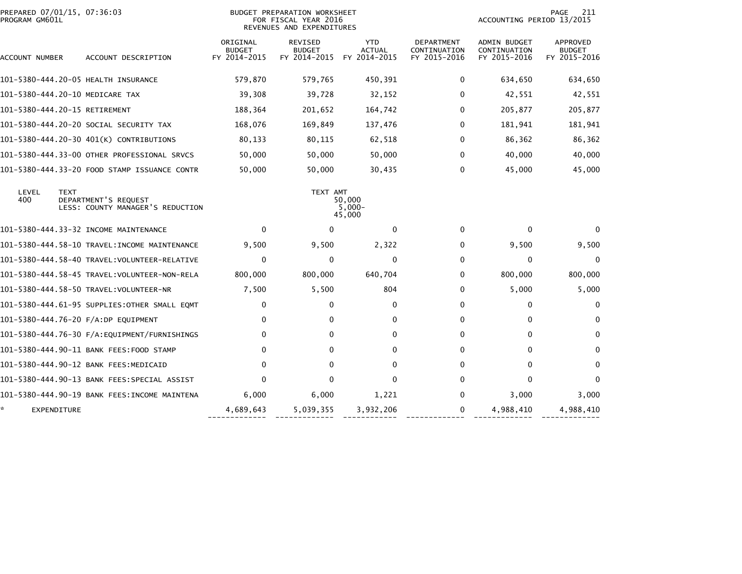| PROGRAM GM601L    | PREPARED 07/01/15, 07:36:03                                             |                                           | BUDGET PREPARATION WORKSHEET<br>FOR FISCAL YEAR 2016<br>REVENUES AND EXPENDITURES |                                             |                                            | ACCOUNTING PERIOD 13/2015                    | 211<br>PAGE                                      |
|-------------------|-------------------------------------------------------------------------|-------------------------------------------|-----------------------------------------------------------------------------------|---------------------------------------------|--------------------------------------------|----------------------------------------------|--------------------------------------------------|
| ACCOUNT NUMBER    | ACCOUNT DESCRIPTION                                                     | ORIGINAL<br><b>BUDGET</b><br>FY 2014-2015 | REVISED<br><b>BUDGET</b><br>FY 2014-2015                                          | <b>YTD</b><br><b>ACTUAL</b><br>FY 2014-2015 | DEPARTMENT<br>CONTINUATION<br>FY 2015-2016 | ADMIN BUDGET<br>CONTINUATION<br>FY 2015-2016 | <b>APPROVED</b><br><b>BUDGET</b><br>FY 2015-2016 |
|                   | 101-5380-444.20-05 HEALTH INSURANCE                                     | 579,870                                   | 579,765                                                                           | 450,391                                     | 0                                          | 634,650                                      | 634,650                                          |
|                   | 101-5380-444.20-10 MEDICARE TAX                                         | 39,308                                    | 39,728                                                                            | 32,152                                      | $\Omega$                                   | 42,551                                       | 42,551                                           |
|                   | 101-5380-444.20-15 RETIREMENT                                           | 188,364                                   | 201,652                                                                           | 164,742                                     | $\Omega$                                   | 205,877                                      | 205,877                                          |
|                   | 101–5380–444.20–20 SOCIAL SECURITY TAX                                  | 168,076                                   | 169,849                                                                           | 137,476                                     | $\Omega$                                   | 181,941                                      | 181,941                                          |
|                   | 101-5380-444.20-30 401(K) CONTRIBUTIONS                                 | 80,133                                    | 80,115                                                                            | 62,518                                      | $\Omega$                                   | 86,362                                       | 86,362                                           |
|                   | 101-5380-444.33-00 OTHER PROFESSIONAL SRVCS                             | 50,000                                    | 50,000                                                                            | 50,000                                      | $\Omega$                                   | 40,000                                       | 40,000                                           |
|                   | 101-5380-444.33-20 FOOD STAMP ISSUANCE CONTR                            | 50,000                                    | 50,000                                                                            | 30,435                                      | $\Omega$                                   | 45,000                                       | 45,000                                           |
| LEVEL<br>400      | <b>TEXT</b><br>DEPARTMENT'S REQUEST<br>LESS: COUNTY MANAGER'S REDUCTION |                                           | TEXT AMT                                                                          | 50,000<br>$5,000-$<br>45,000                |                                            |                                              |                                                  |
|                   | 101-5380-444.33-32 INCOME MAINTENANCE                                   | $\Omega$                                  | $\Omega$                                                                          | $\mathbf{0}$                                | 0                                          | $\mathbf{0}$                                 |                                                  |
|                   | 101-5380-444.58-10 TRAVEL:INCOME MAINTENANCE                            | 9,500                                     | 9,500                                                                             | 2,322                                       | $\Omega$                                   | 9,500                                        | 9,500                                            |
|                   | 101–5380–444.58–40 TRAVEL:VOLUNTEER-RELATIVE                            | $\Omega$                                  | $\Omega$                                                                          | $\mathbf{0}$                                | 0                                          | 0                                            | 0                                                |
|                   |                                                                         | 800,000                                   | 800,000                                                                           | 640,704                                     | 0                                          | 800,000                                      | 800,000                                          |
|                   |                                                                         | 7,500                                     | 5,500                                                                             | 804                                         | $\Omega$                                   | 5,000                                        | 5,000                                            |
|                   | 101–5380–444.61–95 SUPPLIES:OTHER SMALL EQMT                            | 0                                         | $\Omega$                                                                          | 0                                           | 0                                          | $\mathbf 0$                                  | 0                                                |
|                   | 101-5380-444.76-20 F/A:DP EQUIPMENT                                     | $\mathbf{0}$                              | $\Omega$                                                                          | $\mathbf{0}$                                | $\Omega$                                   | $\mathbf{0}$                                 | $\mathbf{0}$                                     |
|                   | 101-5380-444.76-30 F/A:EQUIPMENT/FURNISHINGS                            | $\mathbf{0}$                              | $\Omega$                                                                          | $\mathbf{0}$                                | 0                                          | $\mathbf{0}$                                 | 0                                                |
|                   | 101-5380-444.90-11 BANK FEES:FOOD STAMP                                 | $\mathbf{0}$                              | $\Omega$                                                                          | $\mathbf{0}$                                | 0                                          | 0                                            | $\mathbf{0}$                                     |
|                   | 101-5380-444.90-12 BANK FEES:MEDICAID                                   | $\mathbf{0}$                              | $\Omega$                                                                          | $\mathbf{0}$                                | $\Omega$                                   | $\mathbf{0}$                                 | $\mathbf{0}$                                     |
|                   | 101–5380–444.90–13 BANK FEES:SPECIAL ASSIST                             | $\Omega$                                  | $\Omega$                                                                          | $\mathbf{0}$                                | $\Omega$                                   | $\mathbf{0}$                                 | $\mathbf{0}$                                     |
|                   | 101-5380-444.90-19 BANK FEES:INCOME MAINTENA                            | 6,000                                     | 6,000                                                                             | 1,221                                       | 0                                          | 3,000                                        | 3,000                                            |
| ×.<br>EXPENDITURE |                                                                         | 4,689,643                                 | 5,039,355                                                                         | 3,932,206                                   | 0                                          | 4,988,410                                    | 4,988,410                                        |
|                   |                                                                         |                                           |                                                                                   |                                             |                                            |                                              |                                                  |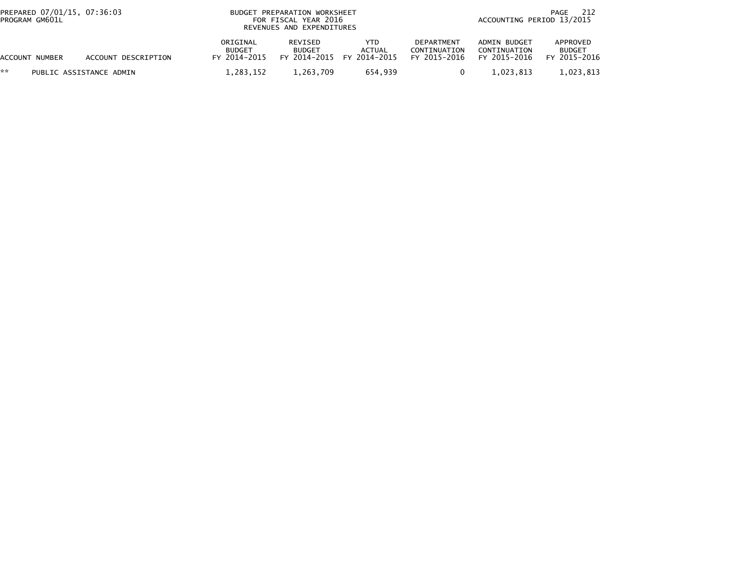| PREPARED 07/01/15, 07:36:03<br>PROGRAM GM601L |                         | BUDGET PREPARATION WORKSHEET<br>FOR FISCAL YEAR 2016<br>REVENUES AND EXPENDITURES | 212<br>PAGE<br>ACCOUNTING PERIOD 13/2015 |                                                    |                                            |                                              |                                           |
|-----------------------------------------------|-------------------------|-----------------------------------------------------------------------------------|------------------------------------------|----------------------------------------------------|--------------------------------------------|----------------------------------------------|-------------------------------------------|
| ACCOUNT NUMBER                                | ACCOUNT DESCRIPTION     | ORIGINAL<br><b>BUDGET</b><br>FY 2014-2015                                         | REVISED<br><b>BUDGET</b>                 | YTD.<br><b>ACTUAL</b><br>FY 2014-2015 FY 2014-2015 | DEPARTMENT<br>CONTINUATION<br>FY 2015-2016 | ADMIN BUDGET<br>CONTINUATION<br>FY 2015-2016 | APPROVED<br><b>BUDGET</b><br>FY 2015-2016 |
| **                                            | PUBLIC ASSISTANCE ADMIN | 1,283,152                                                                         | 1,263,709                                | 654,939                                            |                                            | 1.023.813                                    | 1,023,813                                 |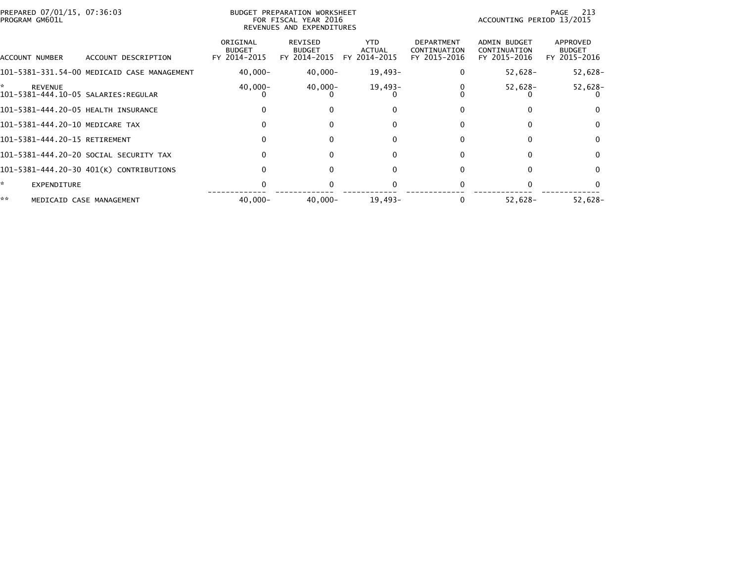| PREPARED 07/01/15, 07:36:03<br>PROGRAM GM601L       |                                             |                                           | BUDGET PREPARATION WORKSHEET<br>FOR FISCAL YEAR 2016<br>REVENUES AND EXPENDITURES |                                             |                                                   | ACCOUNTING PERIOD 13/2015                           | PAGE 213                                  |
|-----------------------------------------------------|---------------------------------------------|-------------------------------------------|-----------------------------------------------------------------------------------|---------------------------------------------|---------------------------------------------------|-----------------------------------------------------|-------------------------------------------|
| ACCOUNT NUMBER                                      | ACCOUNT DESCRIPTION                         | ORIGINAL<br><b>BUDGET</b><br>FY 2014-2015 | REVISED<br><b>BUDGET</b><br>FY 2014-2015                                          | <b>YTD</b><br><b>ACTUAL</b><br>FY 2014-2015 | <b>DEPARTMENT</b><br>CONTINUATION<br>FY 2015-2016 | <b>ADMIN BUDGET</b><br>CONTINUATION<br>FY 2015-2016 | APPROVED<br><b>BUDGET</b><br>FY 2015-2016 |
|                                                     | 101-5381-331.54-00 MEDICAID CASE MANAGEMENT | $40,000 -$                                | $40,000 -$                                                                        | 19,493-                                     |                                                   | $52,628-$                                           | 52,628-                                   |
| *<br>REVENUE<br>101-5381-444.10-05 SALARIES:REGULAR |                                             | $40,000 -$                                | 40,000-                                                                           | $19,493-$                                   |                                                   | $52,628-$                                           | 52,628-                                   |
| 101-5381-444.20-05 HEALTH INSURANCE                 |                                             |                                           |                                                                                   |                                             |                                                   |                                                     | $\Omega$                                  |
| 101-5381-444.20-10 MEDICARE TAX                     |                                             |                                           |                                                                                   |                                             | <sup>0</sup>                                      |                                                     | $\Omega$                                  |
| 101-5381-444.20-15 RETIREMENT                       |                                             | o                                         | 0                                                                                 | 0                                           | 0                                                 |                                                     | $\Omega$                                  |
|                                                     | 101–5381–444.20–20 SOCIAL SECURITY TAX      |                                           |                                                                                   |                                             |                                                   |                                                     | $\Omega$                                  |
|                                                     | 101-5381-444.20-30 401(K) CONTRIBUTIONS     |                                           |                                                                                   |                                             |                                                   |                                                     | $\Omega$                                  |
| *.<br><b>EXPENDITURE</b>                            |                                             |                                           |                                                                                   |                                             |                                                   |                                                     |                                           |
| **                                                  | MEDICAID CASE MANAGEMENT                    | $40,000 -$                                | $40.000 -$                                                                        | $19.493 -$                                  |                                                   | $52,628-$                                           | $52,628-$                                 |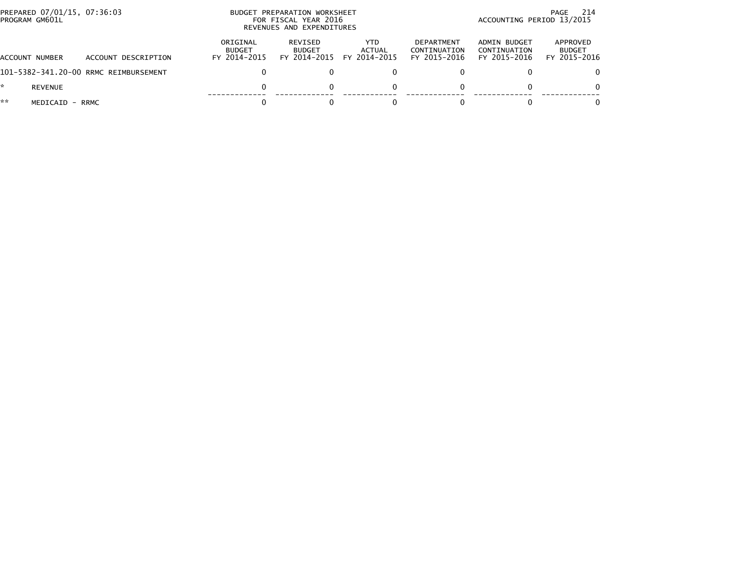| PREPARED 07/01/15, 07:36:03<br>PROGRAM GM601L |                                       |                                           | BUDGET PREPARATION WORKSHEET<br>FOR FISCAL YEAR 2016<br>REVENUES AND EXPENDITURES | -214<br>PAGE<br>ACCOUNTING PERIOD 13/2015 |                                            |                                              |                                           |
|-----------------------------------------------|---------------------------------------|-------------------------------------------|-----------------------------------------------------------------------------------|-------------------------------------------|--------------------------------------------|----------------------------------------------|-------------------------------------------|
| ACCOUNT NUMBER                                | ACCOUNT DESCRIPTION                   | ORIGINAL<br><b>BUDGET</b><br>FY 2014-2015 | REVISED<br><b>BUDGET</b><br>FY 2014-2015                                          | YTD.<br>ACTUAL<br>FY 2014-2015            | DEPARTMENT<br>CONTINUATION<br>FY 2015-2016 | ADMIN BUDGET<br>CONTINUATION<br>FY 2015-2016 | APPROVED<br><b>BUDGET</b><br>FY 2015-2016 |
|                                               | 101-5382-341.20-00 RRMC REIMBURSEMENT |                                           |                                                                                   |                                           |                                            |                                              | 0.                                        |
| <b>REVENUE</b>                                |                                       | $\Omega$                                  |                                                                                   |                                           | 0                                          |                                              | 0                                         |
| **<br>MEDICAID - RRMC                         |                                       |                                           |                                                                                   |                                           |                                            |                                              | 0                                         |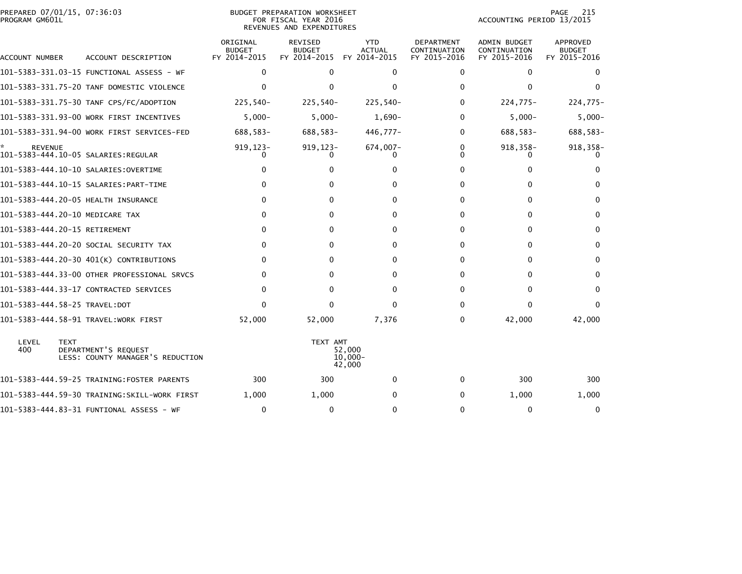| PROGRAM GM601L                | PREPARED 07/01/15, 07:36:03<br>BUDGET PREPARATION WORKSHEET<br>FOR FISCAL YEAR 2016<br>REVENUES AND EXPENDITURES |                                                          |                                           |                                                 |                                             |                                                   | 215<br>PAGE<br>ACCOUNTING PERIOD 13/2015            |                                           |
|-------------------------------|------------------------------------------------------------------------------------------------------------------|----------------------------------------------------------|-------------------------------------------|-------------------------------------------------|---------------------------------------------|---------------------------------------------------|-----------------------------------------------------|-------------------------------------------|
| ACCOUNT NUMBER                |                                                                                                                  | ACCOUNT DESCRIPTION                                      | ORIGINAL<br><b>BUDGET</b><br>FY 2014-2015 | <b>REVISED</b><br><b>BUDGET</b><br>FY 2014-2015 | <b>YTD</b><br><b>ACTUAL</b><br>FY 2014-2015 | <b>DEPARTMENT</b><br>CONTINUATION<br>FY 2015-2016 | <b>ADMIN BUDGET</b><br>CONTINUATION<br>FY 2015-2016 | APPROVED<br><b>BUDGET</b><br>FY 2015-2016 |
|                               |                                                                                                                  |                                                          | 0                                         | $\Omega$                                        | $\mathbf{0}$                                | 0                                                 | 0                                                   | 0                                         |
|                               |                                                                                                                  | 101-5383-331.75-20 TANF DOMESTIC VIOLENCE                |                                           | 0                                               | 0                                           | 0                                                 | $\mathbf{0}$                                        | $\Omega$                                  |
|                               |                                                                                                                  | 101-5383-331.75-30 TANF CPS/FC/ADOPTION                  | 225,540-                                  | $225,540-$                                      | $225,540-$                                  | $\Omega$                                          | $224,775-$                                          | 224,775-                                  |
|                               |                                                                                                                  | 101-5383-331.93-00 WORK FIRST INCENTIVES                 | $5,000-$                                  | $5,000-$                                        | $1,690-$                                    | 0                                                 | $5,000 -$                                           | $5,000-$                                  |
|                               |                                                                                                                  | 101-5383-331.94-00 WORK FIRST SERVICES-FED               | 688,583-                                  | 688,583-                                        | 446,777-                                    | 0                                                 | 688,583-                                            | 688,583-                                  |
| <b>REVENUE</b>                |                                                                                                                  |                                                          | 919,123-                                  | $919, 123 -$                                    | 674,007-                                    | 0                                                 | 918,358-                                            | 918, 358-                                 |
|                               |                                                                                                                  |                                                          |                                           | 0                                               | 0                                           | 0                                                 | 0                                                   |                                           |
|                               |                                                                                                                  |                                                          |                                           | 0                                               | <sup>0</sup>                                | 0                                                 | $\Omega$                                            | $\Omega$                                  |
|                               |                                                                                                                  | 101-5383-444.20-05 HEALTH INSURANCE                      | 0                                         | 0                                               | $\Omega$                                    | 0                                                 | $\mathbf{0}$                                        | $\Omega$                                  |
|                               |                                                                                                                  | 101-5383-444.20-10 MEDICARE TAX                          | 0                                         | 0                                               | 0                                           | 0                                                 | 0                                                   | $\Omega$                                  |
| 101-5383-444.20-15 RETIREMENT |                                                                                                                  |                                                          | 0                                         | 0                                               | 0                                           | 0                                                 | 0                                                   | 0                                         |
|                               |                                                                                                                  | 101-5383-444.20-20 SOCIAL SECURITY TAX                   | 0                                         | 0                                               | 0                                           | 0                                                 | 0                                                   | $\Omega$                                  |
|                               |                                                                                                                  | 101-5383-444.20-30 401(K) CONTRIBUTIONS                  | $\Omega$                                  | 0                                               | $\Omega$                                    | 0                                                 | $\Omega$                                            | $\Omega$                                  |
|                               |                                                                                                                  | 101-5383-444.33-00 OTHER PROFESSIONAL SRVCS              | 0                                         | 0                                               | 0                                           | 0                                                 | $\mathbf{0}$                                        | $\Omega$                                  |
|                               |                                                                                                                  | 101-5383-444.33-17 CONTRACTED SERVICES                   | 0                                         | 0                                               | 0                                           | 0                                                 | $\mathbf{0}$                                        | 0                                         |
| 101-5383-444.58-25 TRAVEL:DOT |                                                                                                                  |                                                          | 0                                         | 0                                               | 0                                           | 0                                                 | $\mathbf{0}$                                        | $\Omega$                                  |
|                               |                                                                                                                  |                                                          | 52,000                                    | 52,000                                          | 7,376                                       | 0                                                 | 42,000                                              | 42,000                                    |
| LEVEL<br>400                  | <b>TEXT</b>                                                                                                      | DEPARTMENT'S REQUEST<br>LESS: COUNTY MANAGER'S REDUCTION |                                           | TEXT AMT                                        | 52,000<br>$10,000 -$<br>42,000              |                                                   |                                                     |                                           |
|                               |                                                                                                                  | 101-5383-444.59-25 TRAINING:FOSTER PARENTS               | 300                                       | 300                                             | $\mathbf{0}$                                | 0                                                 | 300                                                 | 300                                       |
|                               |                                                                                                                  | 101–5383–444.59–30 TRAINING:SKILL-WORK FIRST             | 1,000                                     | 1,000                                           | 0                                           | $\Omega$                                          | 1,000                                               | 1,000                                     |
|                               |                                                                                                                  |                                                          | 0                                         | $\mathbf{0}$                                    | 0                                           | $\mathbf{0}$                                      | 0                                                   | 0                                         |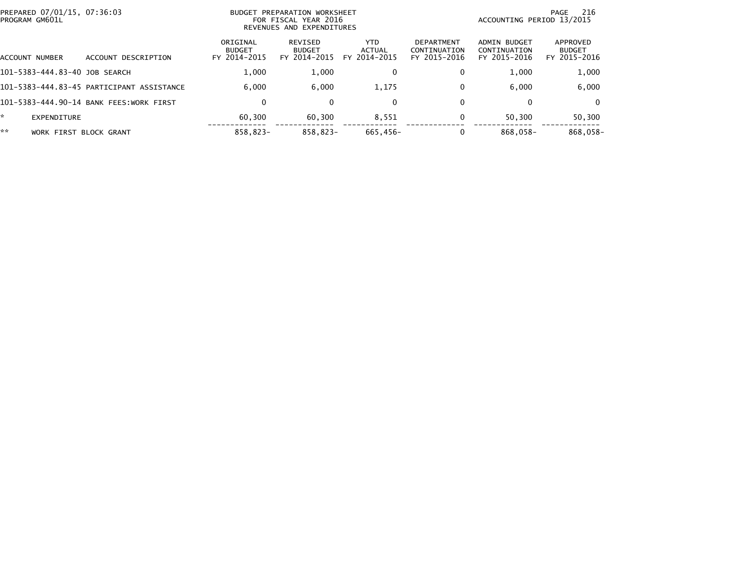| PREPARED 07/01/15, 07:36:03<br>PROGRAM GM601L |                                           | BUDGET PREPARATION WORKSHEET<br>FOR FISCAL YEAR 2016<br>REVENUES AND EXPENDITURES |                                          |                                      |                                                   | -216<br>PAGE<br>ACCOUNTING PERIOD 13/2015    |                                           |
|-----------------------------------------------|-------------------------------------------|-----------------------------------------------------------------------------------|------------------------------------------|--------------------------------------|---------------------------------------------------|----------------------------------------------|-------------------------------------------|
| ACCOUNT NUMBER                                | ACCOUNT DESCRIPTION                       | ORIGINAL<br><b>BUDGET</b><br>FY 2014-2015                                         | REVISED<br><b>BUDGET</b><br>FY 2014-2015 | <b>YTD</b><br>ACTUAL<br>FY 2014-2015 | <b>DEPARTMENT</b><br>CONTINUATION<br>FY 2015-2016 | ADMIN BUDGET<br>CONTINUATION<br>FY 2015-2016 | APPROVED<br><b>BUDGET</b><br>FY 2015-2016 |
| 101-5383-444.83-40 JOB SEARCH                 |                                           | 1.000                                                                             | 1,000                                    | 0                                    | 0                                                 | 1.000                                        | 1,000                                     |
|                                               | 101-5383-444.83-45 PARTICIPANT ASSISTANCE | 6.000                                                                             | 6.000                                    | 1,175                                | 0                                                 | 6.000                                        | 6,000                                     |
|                                               | 101-5383-444.90-14 BANK FEES:WORK FIRST   | 0                                                                                 | $\Omega$                                 | $\Omega$                             | 0                                                 | 0                                            | $\Omega$                                  |
| *<br>EXPENDITURE                              |                                           | 60.300                                                                            | 60,300                                   | 8,551                                | 0                                                 | 50.300                                       | 50,300                                    |
| **<br><b>WORK FIRST</b>                       | BLOCK GRANT                               | 858.823-                                                                          | 858.823-                                 | 665,456-                             |                                                   | 868,058-                                     | 868,058-                                  |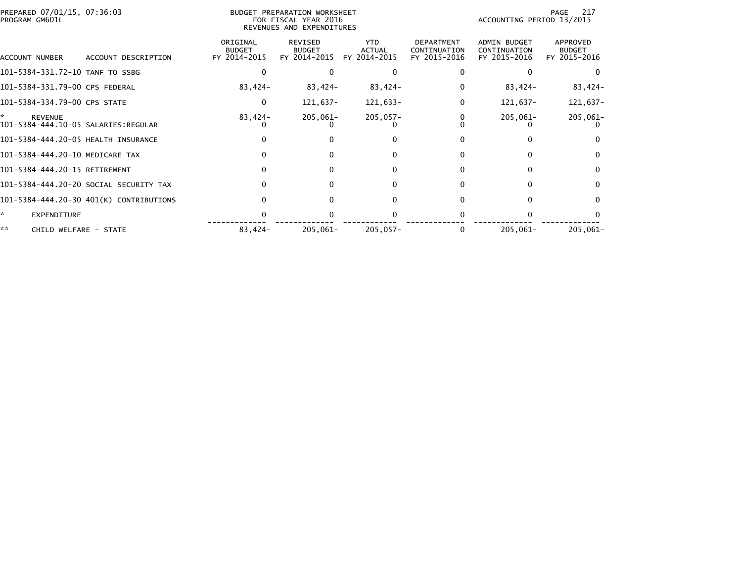| PREPARED 07/01/15, 07:36:03<br>PROGRAM GM601L | <b>BUDGET PREPARATION WORKSHEET</b><br>FOR FISCAL YEAR 2016<br>REVENUES AND EXPENDITURES |                                          |                                             |                                                   | 217<br>PAGE<br>ACCOUNTING PERIOD 13/2015     |                                           |  |  |
|-----------------------------------------------|------------------------------------------------------------------------------------------|------------------------------------------|---------------------------------------------|---------------------------------------------------|----------------------------------------------|-------------------------------------------|--|--|
| ACCOUNT DESCRIPTION<br>ACCOUNT NUMBER         | ORIGINAL<br><b>BUDGET</b><br>FY 2014-2015                                                | REVISED<br><b>BUDGET</b><br>FY 2014-2015 | <b>YTD</b><br><b>ACTUAL</b><br>FY 2014-2015 | <b>DEPARTMENT</b><br>CONTINUATION<br>FY 2015-2016 | ADMIN BUDGET<br>CONTINUATION<br>FY 2015-2016 | APPROVED<br><b>BUDGET</b><br>FY 2015-2016 |  |  |
| 101-5384-331.72-10 TANF TO SSBG               |                                                                                          |                                          |                                             |                                                   |                                              | $\Omega$                                  |  |  |
| 101-5384-331.79-00 CPS FEDERAL                | 83,424-                                                                                  | 83,424-                                  | 83,424-                                     |                                                   | 83,424-                                      | 83,424-                                   |  |  |
| 101-5384-334.79-00 CPS STATE                  | $\Omega$                                                                                 | 121,637-                                 | 121,633-                                    |                                                   | $121,637-$                                   | 121,637-                                  |  |  |
| *<br><b>REVENUE</b>                           | 83,424-                                                                                  | $205,061 -$                              | $205,057-$                                  |                                                   | $205,061 -$                                  | $205,061-$                                |  |  |
| 101-5384-444.20-05 HEALTH INSURANCE           |                                                                                          |                                          | 0                                           |                                                   |                                              | $\Omega$                                  |  |  |
| 101-5384-444.20-10 MEDICARE TAX               |                                                                                          | 0                                        | $\Omega$                                    |                                                   |                                              | $\Omega$                                  |  |  |
| 101-5384-444.20-15 RETIREMENT                 |                                                                                          |                                          | 0                                           |                                                   |                                              | $\Omega$                                  |  |  |
| 101-5384-444.20-20 SOCIAL SECURITY TAX        |                                                                                          | $\Omega$                                 | $\Omega$                                    |                                                   | O                                            | $\Omega$                                  |  |  |
| 101-5384-444.20-30 401(K) CONTRIBUTIONS       |                                                                                          |                                          | 0                                           |                                                   |                                              | $\Omega$                                  |  |  |
| ×.<br><b>EXPENDITURE</b>                      |                                                                                          |                                          |                                             |                                                   |                                              | $\Omega$                                  |  |  |
| **<br>CHILD WELFARE - STATE                   | 83,424-                                                                                  | 205,061-                                 | $205,057-$                                  |                                                   | $205,061 -$                                  | 205,061-                                  |  |  |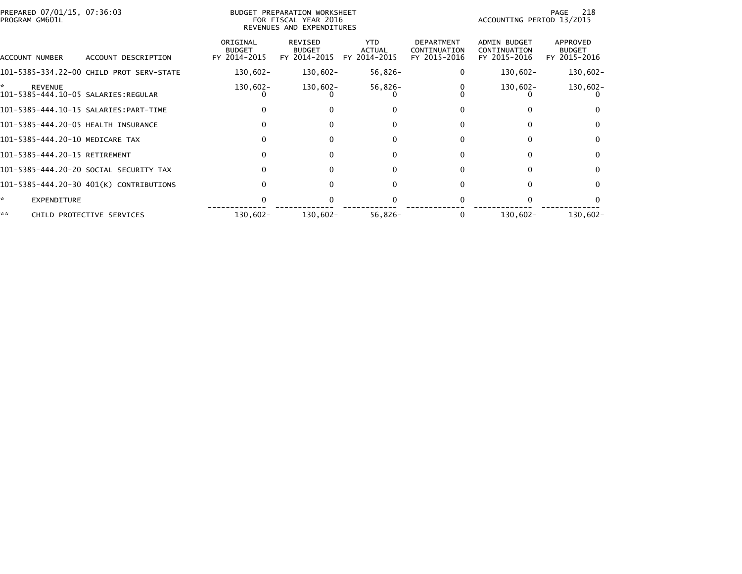| PREPARED 07/01/15, 07:36:03<br>BUDGET PREPARATION WORKSHEET<br>PROGRAM GM601L<br>FOR FISCAL YEAR 2016<br>REVENUES AND EXPENDITURES |                                           |                                                 |                                             |                                                   |                                              | 218<br>PAGE<br>ACCOUNTING PERIOD 13/2015  |  |
|------------------------------------------------------------------------------------------------------------------------------------|-------------------------------------------|-------------------------------------------------|---------------------------------------------|---------------------------------------------------|----------------------------------------------|-------------------------------------------|--|
| ACCOUNT DESCRIPTION                                                                                                                | ORIGINAL<br><b>BUDGET</b><br>FY 2014-2015 | <b>REVISED</b><br><b>BUDGET</b><br>FY 2014-2015 | <b>YTD</b><br><b>ACTUAL</b><br>FY 2014-2015 | <b>DEPARTMENT</b><br>CONTINUATION<br>FY 2015-2016 | ADMIN BUDGET<br>CONTINUATION<br>FY 2015-2016 | APPROVED<br><b>BUDGET</b><br>FY 2015-2016 |  |
| 101-5385-334.22-00 CHILD PROT SERV-STATE                                                                                           | 130,602-                                  | 130,602-                                        | 56,826-                                     |                                                   | 130,602-                                     | $130,602 -$                               |  |
| 101-5385-444.10-05 SALARIES:REGULAR                                                                                                | 130,602-                                  | 130,602-                                        | $56,826-$                                   |                                                   | 130,602-                                     | $130,602 -$                               |  |
|                                                                                                                                    |                                           | 0                                               | $\Omega$                                    |                                                   |                                              |                                           |  |
| 101-5385-444.20-05 HEALTH INSURANCE                                                                                                |                                           |                                                 |                                             |                                                   |                                              | 0                                         |  |
| 101-5385-444.20-10 MEDICARE TAX                                                                                                    |                                           | $\Omega$                                        | ŋ                                           |                                                   |                                              | $\mathbf{0}$                              |  |
| 101-5385-444.20-15 RETIREMENT                                                                                                      |                                           | 0                                               | 0                                           |                                                   | 0                                            | $\mathbf{0}$                              |  |
| 101-5385-444.20-20 SOCIAL SECURITY TAX                                                                                             |                                           |                                                 |                                             |                                                   |                                              | 0                                         |  |
| 101-5385-444.20-30 401(K) CONTRIBUTIONS                                                                                            |                                           | $\Omega$                                        | $\Omega$                                    |                                                   | 0                                            | $\Omega$                                  |  |
|                                                                                                                                    |                                           |                                                 |                                             |                                                   |                                              |                                           |  |
| CHILD PROTECTIVE SERVICES                                                                                                          | 130,602-                                  | 130,602-                                        | $56,826-$                                   |                                                   | 130,602-                                     | $130,602 -$                               |  |
|                                                                                                                                    |                                           |                                                 |                                             |                                                   |                                              |                                           |  |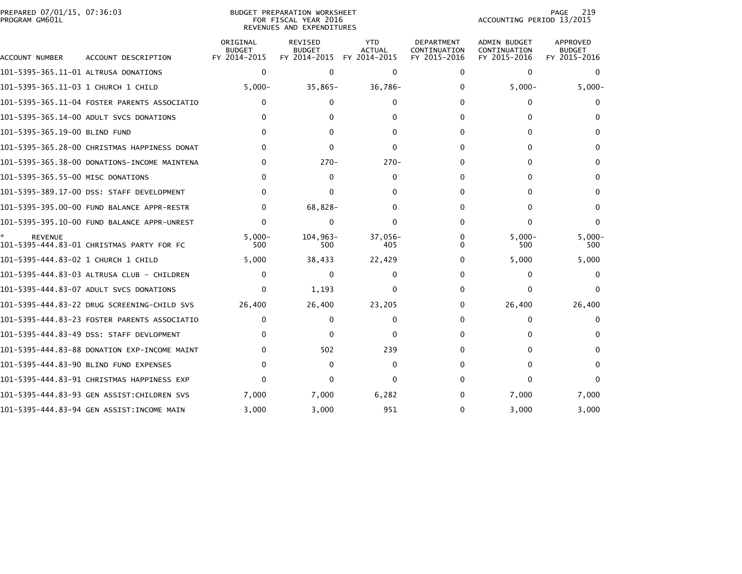|                | PREPARED 07/01/15, 07:36:03 |  |
|----------------|-----------------------------|--|
| PROGRAM GM601L |                             |  |

## BUDGET PREPARATION WORKSHEET PROGRAM GM601L FOR FISCAL YEAR 2016 ACCOUNTING PERIOD 13/2015 REVENUES AND EXPENDITURES

PAGE 219<br>ACCOUNTING PERIOD 13/2015

| ACCOUNT NUMBER                       | ACCOUNT DESCRIPTION                          | ORIGINAL<br><b>BUDGET</b><br>FY 2014-2015 | REVISED<br><b>BUDGET</b><br>FY 2014-2015 | <b>YTD</b><br><b>ACTUAL</b><br>FY 2014-2015 | <b>DEPARTMENT</b><br>CONTINUATION<br>FY 2015-2016 | <b>ADMIN BUDGET</b><br>CONTINUATION<br>FY 2015-2016 | APPROVED<br><b>BUDGET</b><br>FY 2015-2016 |
|--------------------------------------|----------------------------------------------|-------------------------------------------|------------------------------------------|---------------------------------------------|---------------------------------------------------|-----------------------------------------------------|-------------------------------------------|
| 101-5395-365.11-01 ALTRUSA DONATIONS |                                              | $\mathbf 0$                               | $\Omega$                                 | $\Omega$                                    | $\Omega$                                          | $\mathbf{0}$                                        | $\Omega$                                  |
| 101-5395-365.11-03 1 CHURCH 1 CHILD  |                                              | $5,000 -$                                 | $35,865-$                                | 36,786-                                     | 0                                                 | $5,000 -$                                           | $5,000 -$                                 |
|                                      | 101-5395-365.11-04 FOSTER PARENTS ASSOCIATIO | $\mathbf{0}$                              | 0                                        | $\Omega$                                    | 0                                                 | 0                                                   |                                           |
|                                      | 101-5395-365.14-00 ADULT SVCS DONATIONS      |                                           |                                          |                                             | 0                                                 |                                                     |                                           |
| 101-5395-365.19-00 BLIND FUND        |                                              |                                           |                                          |                                             | 0                                                 | 0                                                   |                                           |
|                                      | 101-5395-365.28-00 CHRISTMAS HAPPINESS DONAT | <sup>0</sup>                              |                                          | 0                                           | 0                                                 | 0                                                   |                                           |
|                                      | 101-5395-365.38-00 DONATIONS-INCOME MAINTENA | $\Omega$                                  | $270-$                                   | $270-$                                      | 0                                                 | 0                                                   |                                           |
| 101-5395-365.55-00 MISC DONATIONS    |                                              | ∩                                         | <sup>n</sup>                             | 0                                           | 0                                                 | <sup>n</sup>                                        |                                           |
|                                      | 101-5395-389.17-00 DSS: STAFF DEVELOPMENT    | ∩                                         | $\Omega$                                 | ∩                                           | 0                                                 | 0                                                   | 0                                         |
|                                      |                                              | $\Omega$                                  | 68,828-                                  |                                             | 0                                                 | <sup>n</sup>                                        |                                           |
|                                      |                                              | $\Omega$                                  | $\Omega$                                 | $\Omega$                                    | 0                                                 | 0                                                   | $\Omega$                                  |
| <b>REVENUE</b>                       | 101-5395-444.83-01 CHRISTMAS PARTY FOR FC    | $5.000 -$<br>500                          | $104.963 -$<br>500                       | $37.056 -$<br>405                           | 0<br><sup>0</sup>                                 | $5.000 -$<br>500                                    | $5.000 -$<br>500                          |
|                                      |                                              | 5,000                                     | 38,433                                   | 22,429                                      | 0                                                 | 5,000                                               | 5,000                                     |
|                                      | 101-5395-444.83-03 ALTRUSA CLUB - CHILDREN   | $\mathbf{0}$                              | 0                                        | 0                                           | 0                                                 | 0                                                   |                                           |
|                                      | 101-5395-444.83-07 ADULT SVCS DONATIONS      | $\Omega$                                  | 1,193                                    | 0                                           | 0                                                 | 0                                                   |                                           |
|                                      | 101–5395–444.83–22 DRUG SCREENING–CHILD SVS  | 26,400                                    | 26,400                                   | 23,205                                      | 0                                                 | 26,400                                              | 26,400                                    |
|                                      | 101–5395–444.83–23 FOSTER PARENTS ASSOCIATIO | 0                                         | 0                                        | 0                                           | o                                                 | 0                                                   |                                           |
|                                      | 101-5395-444.83-49 DSS: STAFF DEVLOPMENT     | 0                                         | $\Omega$                                 | 0                                           | 0                                                 | 0                                                   |                                           |
|                                      | 101-5395-444.83-88 DONATION EXP-INCOME MAINT | 0                                         | 502                                      | 239                                         | 0                                                 |                                                     |                                           |
|                                      | 101-5395-444.83-90 BLIND FUND EXPENSES       | 0                                         | 0                                        | 0                                           | 0                                                 | 0                                                   | 0                                         |
|                                      | 101–5395–444.83–91 CHRISTMAS HAPPINESS EXP   |                                           |                                          |                                             | Ω                                                 | 0                                                   |                                           |
|                                      | 101-5395-444.83-93 GEN ASSIST:CHILDREN SVS   | 7,000                                     | 7,000                                    | 6,282                                       | 0                                                 | 7,000                                               | 7,000                                     |
|                                      | 101-5395-444.83-94 GEN ASSIST:INCOME MAIN    | 3.000                                     | 3.000                                    | 951                                         | 0                                                 | 3.000                                               | 3.000                                     |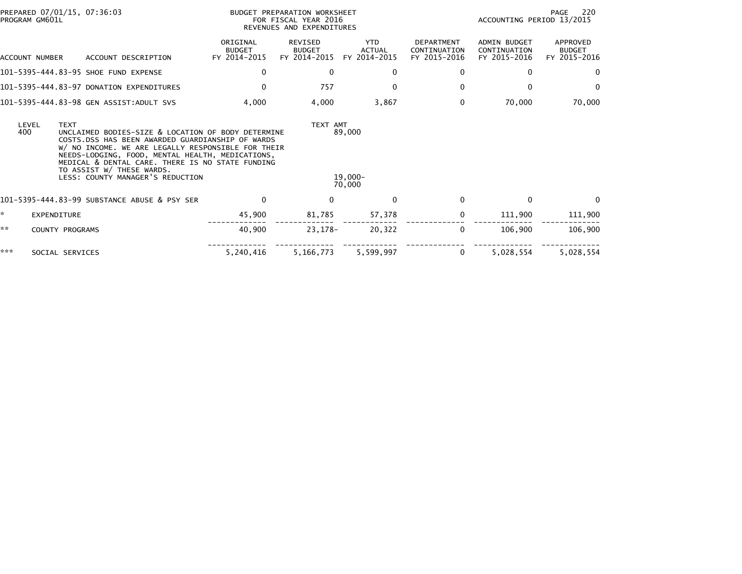| PREPARED 07/01/15, 07:36:03<br>PROGRAM GM601L |                                                                                                                                                                                                                                                                                                                                       |                                           | BUDGET PREPARATION WORKSHEET<br>FOR FISCAL YEAR 2016<br>REVENUES AND EXPENDITURES |                                             | PAGE<br>-220<br>ACCOUNTING PERIOD 13/2015         |                                                     |                                           |
|-----------------------------------------------|---------------------------------------------------------------------------------------------------------------------------------------------------------------------------------------------------------------------------------------------------------------------------------------------------------------------------------------|-------------------------------------------|-----------------------------------------------------------------------------------|---------------------------------------------|---------------------------------------------------|-----------------------------------------------------|-------------------------------------------|
| ACCOUNT NUMBER                                | ACCOUNT DESCRIPTION                                                                                                                                                                                                                                                                                                                   | ORIGINAL<br><b>BUDGET</b><br>FY 2014-2015 | <b>REVISED</b><br><b>BUDGET</b><br>FY 2014-2015                                   | <b>YTD</b><br><b>ACTUAL</b><br>FY 2014-2015 | <b>DEPARTMENT</b><br>CONTINUATION<br>FY 2015-2016 | <b>ADMIN BUDGET</b><br>CONTINUATION<br>FY 2015-2016 | APPROVED<br><b>BUDGET</b><br>FY 2015-2016 |
|                                               | 101-5395-444.83-95 SHOE FUND EXPENSE                                                                                                                                                                                                                                                                                                  | $\mathbf{0}$                              | $\mathbf{0}$                                                                      | 0                                           | 0                                                 | 0                                                   | $\mathbf{0}$                              |
|                                               | 101-5395-444.83-97 DONATION EXPENDITURES                                                                                                                                                                                                                                                                                              | $\Omega$                                  | 757                                                                               | $\Omega$                                    | $\mathbf{0}$                                      | $\Omega$                                            | $\mathbf{0}$                              |
|                                               | 101-5395-444.83-98 GEN ASSIST:ADULT SVS                                                                                                                                                                                                                                                                                               | 4,000                                     | 4,000                                                                             | 3,867                                       | 0                                                 | 70,000                                              | 70,000                                    |
| LEVEL<br><b>TEXT</b><br>400                   | UNCLAIMED BODIES-SIZE & LOCATION OF BODY DETERMINE<br>COSTS.DSS HAS BEEN AWARDED GUARDIANSHIP OF WARDS<br>W/ NO INCOME. WE ARE LEGALLY RESPONSIBLE FOR THEIR<br>NEEDS-LODGING, FOOD, MENTAL HEALTH, MEDICATIONS,<br>MEDICAL & DENTAL CARE. THERE IS NO STATE FUNDING<br>TO ASSIST W/ THESE WARDS.<br>LESS: COUNTY MANAGER'S REDUCTION |                                           | TEXT AMT                                                                          | 89,000<br>$19,000-$<br>70,000               |                                                   |                                                     |                                           |
|                                               | 101-5395-444.83-99 SUBSTANCE ABUSE & PSY SER                                                                                                                                                                                                                                                                                          | 0                                         | $\mathbf{0}$                                                                      | $\Omega$                                    | $\Omega$                                          | 0                                                   | $\Omega$                                  |
| *<br><b>EXPENDITURE</b>                       |                                                                                                                                                                                                                                                                                                                                       | 45,900                                    | 81,785                                                                            | 57,378                                      | 0                                                 | 111,900                                             | 111,900                                   |
| **<br>COUNTY PROGRAMS                         |                                                                                                                                                                                                                                                                                                                                       | 40,900                                    | 23,178-                                                                           | 20,322                                      | 0                                                 | 106.900                                             | 106,900                                   |
| ***<br>SOCIAL SERVICES                        |                                                                                                                                                                                                                                                                                                                                       | 5,240,416                                 | 5,166,773                                                                         | 5,599,997                                   | 0                                                 | 5,028,554                                           | 5,028,554                                 |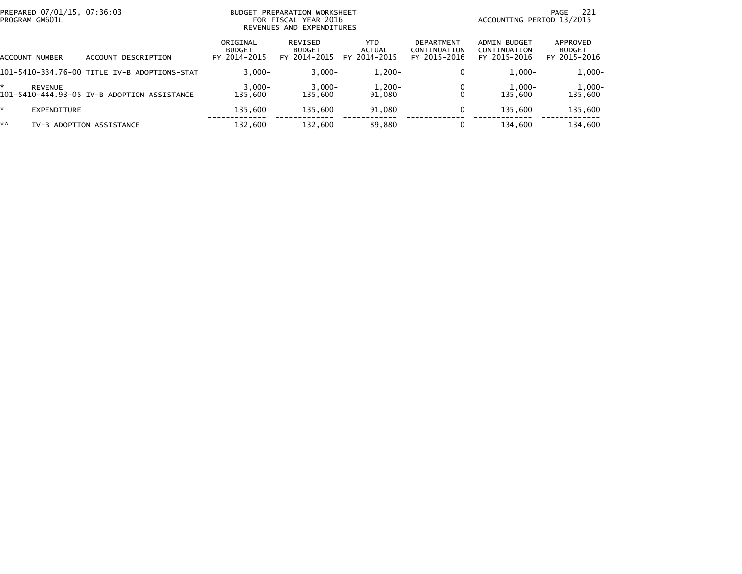| PREPARED 07/01/15, 07:36:03<br>PROGRAM GM601L |                                              | <b>BUDGET</b>                             | PREPARATION WORKSHEET<br>FOR FISCAL YEAR 2016<br>REVENUES AND EXPENDITURES |                                | -221<br>PAGE<br>ACCOUNTING PERIOD 13/2015  |                                              |                                           |  |
|-----------------------------------------------|----------------------------------------------|-------------------------------------------|----------------------------------------------------------------------------|--------------------------------|--------------------------------------------|----------------------------------------------|-------------------------------------------|--|
| ACCOUNT NUMBER                                | ACCOUNT DESCRIPTION                          | ORIGINAL<br><b>BUDGET</b><br>FY 2014-2015 | <b>REVISED</b><br><b>BUDGET</b><br>FY 2014-2015                            | YTD.<br>ACTUAL<br>FY 2014-2015 | DEPARTMENT<br>CONTINUATION<br>FY 2015-2016 | ADMIN BUDGET<br>CONTINUATION<br>FY 2015-2016 | APPROVED<br><b>BUDGET</b><br>FY 2015-2016 |  |
|                                               | 101-5410-334.76-00 TITLE IV-B ADOPTIONS-STAT | $3.000 -$                                 | $3,000-$                                                                   | $1,200-$                       | 0                                          | $1.000 -$                                    | $1,000-$                                  |  |
| *.<br><b>REVENUE</b>                          | 101-5410-444.93-05 IV-B ADOPTION ASSISTANCE  | $3,000-$<br>135,600                       | $3,000-$<br>135,600                                                        | $1,200-$<br>91.080             |                                            | $1,000-$<br>135,600                          | $1,000-$<br>135,600                       |  |
| $\mathcal{R}$<br><b>EXPENDITURE</b>           |                                              | 135,600                                   | 135.600                                                                    | 91.080                         | 0                                          | 135,600                                      | 135,600                                   |  |
| **                                            | IV-B ADOPTION ASSISTANCE                     | 132,600                                   | 132,600                                                                    | 89,880                         |                                            | 134,600                                      | 134,600                                   |  |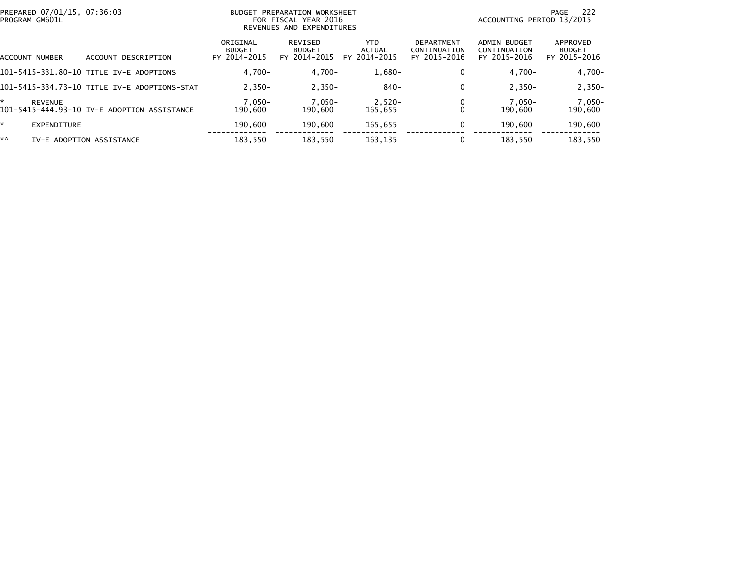|    | PREPARED 07/01/15, 07:36:03<br>PROGRAM GM601L |                                              | <b>BUDGET</b>                             | PREPARATION WORKSHEET<br>FOR FISCAL YEAR 2016<br>REVENUES AND EXPENDITURES | 222<br>PAGE<br>ACCOUNTING PERIOD 13/2015 |                                            |                                                     |                                           |
|----|-----------------------------------------------|----------------------------------------------|-------------------------------------------|----------------------------------------------------------------------------|------------------------------------------|--------------------------------------------|-----------------------------------------------------|-------------------------------------------|
|    | ACCOUNT NUMBER                                | DESCRIPTION<br><b>ACCOUNT</b>                | ORIGINAL<br><b>BUDGET</b><br>FY 2014-2015 | REVISED<br><b>BUDGET</b><br>FY 2014-2015                                   | YTD.<br><b>ACTUAL</b><br>FY 2014-2015    | DEPARTMENT<br>CONTINUATION<br>FY 2015-2016 | <b>ADMIN BUDGET</b><br>CONTINUATION<br>FY 2015-2016 | APPROVED<br><b>BUDGET</b><br>FY 2015-2016 |
|    |                                               | 101-5415-331.80-10 TITLE IV-E ADOPTIONS      | $4.700 -$                                 | $4.700 -$                                                                  | $1,680-$                                 |                                            | $4,700-$                                            | $4,700-$                                  |
|    |                                               | 101-5415-334.73-10 TITLE IV-E ADOPTIONS-STAT | $2.350 -$                                 | $2,350-$                                                                   | 840-                                     |                                            | $2.350 -$                                           | $2,350-$                                  |
| ÷. | <b>REVENUE</b>                                | 101-5415-444.93-10 IV-E ADOPTION ASSISTANCE  | $7,050-$<br>190.600                       | $7,050-$<br>190.600                                                        | $2,520-$<br>165.655                      |                                            | 7,050-<br>190.600                                   | $7,050-$<br>190,600                       |
| *. | EXPENDITURE                                   |                                              | 190.600                                   | 190.600                                                                    | 165,655                                  |                                            | 190.600                                             | 190,600                                   |
| ** |                                               | IV-E ADOPTION ASSISTANCE                     | 183,550                                   | 183.550                                                                    | 163,135                                  |                                            | 183.550                                             | 183,550                                   |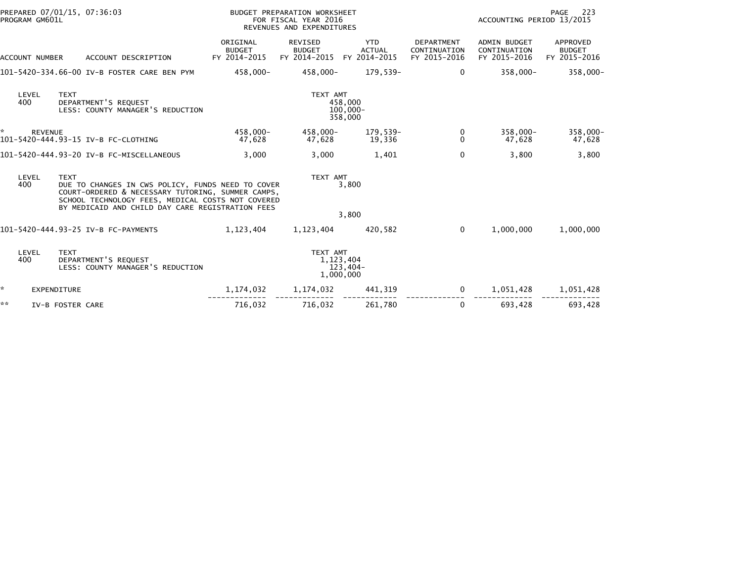|    | PROGRAM GM601L | PREPARED 07/01/15, 07:36:03                                                                                                                                                                                                    |                                           | BUDGET PREPARATION WORKSHEET<br>FOR FISCAL YEAR 2016<br>REVENUES AND EXPENDITURES |                                             |                                                   | ACCOUNTING PERIOD 13/2015                           | 223<br>PAGE                               |
|----|----------------|--------------------------------------------------------------------------------------------------------------------------------------------------------------------------------------------------------------------------------|-------------------------------------------|-----------------------------------------------------------------------------------|---------------------------------------------|---------------------------------------------------|-----------------------------------------------------|-------------------------------------------|
|    | ACCOUNT NUMBER | ACCOUNT DESCRIPTION                                                                                                                                                                                                            | ORIGINAL<br><b>BUDGET</b><br>FY 2014-2015 | <b>REVISED</b><br><b>BUDGET</b><br>FY 2014-2015                                   | <b>YTD</b><br><b>ACTUAL</b><br>FY 2014-2015 | <b>DEPARTMENT</b><br>CONTINUATION<br>FY 2015-2016 | <b>ADMIN BUDGET</b><br>CONTINUATION<br>FY 2015-2016 | APPROVED<br><b>BUDGET</b><br>FY 2015-2016 |
|    |                | 101-5420-334.66-00 IV-B FOSTER CARE BEN PYM                                                                                                                                                                                    | 458.000-                                  | 458.000-                                                                          | 179.539-                                    | $\Omega$                                          | $358.000 -$                                         | 358,000-                                  |
|    | LEVEL<br>400   | <b>TEXT</b><br>DEPARTMENT'S REQUEST<br>LESS: COUNTY MANAGER'S REDUCTION                                                                                                                                                        |                                           | TEXT AMT                                                                          | 458,000<br>$100,000 -$<br>358,000           |                                                   |                                                     |                                           |
| *  | <b>REVENUE</b> | 101-5420-444.93-15 IV-B FC-CLOTHING                                                                                                                                                                                            | 458.000-<br>47,628                        | 458.000-<br>47,628                                                                | 179,539-<br>19,336                          | 0<br>$\Omega$                                     | $358,000 -$<br>47,628                               | 358,000-<br>47,628                        |
|    |                | 101-5420-444.93-20 IV-B FC-MISCELLANEOUS                                                                                                                                                                                       | 3,000                                     | 3,000                                                                             | 1,401                                       | 0                                                 | 3,800                                               | 3,800                                     |
|    | LEVEL<br>400   | <b>TEXT</b><br>DUE TO CHANGES IN CWS POLICY, FUNDS NEED TO COVER<br>COURT-ORDERED & NECESSARY TUTORING, SUMMER CAMPS,<br>SCHOOL TECHNOLOGY FEES, MEDICAL COSTS NOT COVERED<br>BY MEDICAID AND CHILD DAY CARE REGISTRATION FEES |                                           | TEXT AMT                                                                          | 3,800<br>3,800                              |                                                   |                                                     |                                           |
|    |                | 101-5420-444.93-25 IV-B FC-PAYMENTS                                                                                                                                                                                            | 1,123,404                                 | 1,123,404                                                                         | 420,582                                     | $\Omega$                                          | 1,000,000                                           | 1,000,000                                 |
|    | LEVEL<br>400   | <b>TEXT</b><br>DEPARTMENT'S REQUEST<br>LESS: COUNTY MANAGER'S REDUCTION                                                                                                                                                        |                                           | TEXT AMT<br>1, 123, 404<br>1,000,000                                              | $123,404-$                                  |                                                   |                                                     |                                           |
| ÷. |                | <b>EXPENDITURE</b>                                                                                                                                                                                                             | 1,174,032                                 | 1,174,032                                                                         | 441,319                                     | 0                                                 | 1,051,428                                           | 1,051,428                                 |
| ** |                | IV-B FOSTER CARE                                                                                                                                                                                                               | 716,032                                   | 716,032                                                                           | 261,780                                     | 0                                                 | 693,428                                             | 693,428                                   |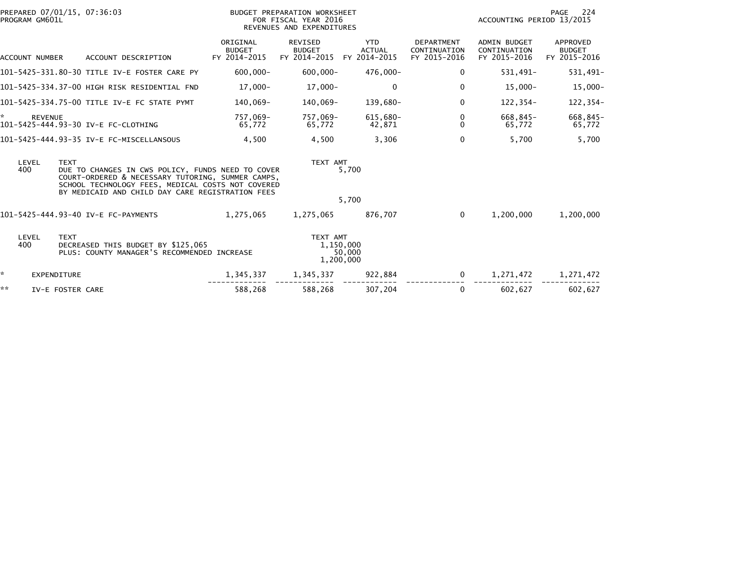|    | PREPARED 07/01/15, 07:36:03<br>PROGRAM GM601L |                                                                                                                                                                                                                 |                                           | BUDGET PREPARATION WORKSHEET<br>FOR FISCAL YEAR 2016<br>REVENUES AND EXPENDITURES |                                             | PAGE 224<br>ACCOUNTING PERIOD 13/2015             |                                                     |                                           |  |
|----|-----------------------------------------------|-----------------------------------------------------------------------------------------------------------------------------------------------------------------------------------------------------------------|-------------------------------------------|-----------------------------------------------------------------------------------|---------------------------------------------|---------------------------------------------------|-----------------------------------------------------|-------------------------------------------|--|
|    | ACCOUNT NUMBER                                | ACCOUNT DESCRIPTION                                                                                                                                                                                             | ORIGINAL<br><b>BUDGET</b><br>FY 2014-2015 | <b>REVISED</b><br><b>BUDGET</b><br>FY 2014-2015                                   | <b>YTD</b><br><b>ACTUAL</b><br>FY 2014-2015 | <b>DEPARTMENT</b><br>CONTINUATION<br>FY 2015-2016 | <b>ADMIN BUDGET</b><br>CONTINUATION<br>FY 2015-2016 | APPROVED<br><b>BUDGET</b><br>FY 2015-2016 |  |
|    |                                               | 101-5425-331.80-30 TITLE IV-E FOSTER CARE PY                                                                                                                                                                    | $-000, 000$                               | $600.000 -$                                                                       | 476.000-                                    | 0                                                 | 531,491-                                            | 531,491-                                  |  |
|    |                                               | 101–5425–334.37–00 HIGH RISK RESIDENTIAL FND                                                                                                                                                                    | 17,000-                                   | 17,000-                                                                           | $\Omega$                                    | 0                                                 | $15,000 -$                                          | 15,000-                                   |  |
|    |                                               | 101-5425-334.75-00 TITLE IV-E FC STATE PYMT                                                                                                                                                                     | 140,069-                                  | 140,069-                                                                          | 139,680-                                    | $\mathbf 0$                                       | 122,354-                                            | 122,354-                                  |  |
| *  | <b>REVENUE</b>                                | 101-5425-444.93-30 IV-E FC-CLOTHING                                                                                                                                                                             | 757,069–<br>65,772                        | 757,069-<br>65,772                                                                | 615,680-<br>42,871                          | 0<br>$\Omega$                                     | 668,845-<br>65,772                                  | 668,845-<br>65,772                        |  |
|    |                                               | 101-5425-444.93-35 IV-E FC-MISCELLANSOUS                                                                                                                                                                        | 4,500                                     | 4,500                                                                             | 3,306                                       | $\mathbf 0$                                       | 5,700                                               | 5,700                                     |  |
|    | LEVEL<br><b>TEXT</b><br>400                   | DUE TO CHANGES IN CWS POLICY, FUNDS NEED TO COVER<br>COURT-ORDERED & NECESSARY TUTORING, SUMMER CAMPS,<br>SCHOOL TECHNOLOGY FEES, MEDICAL COSTS NOT COVERED<br>BY MEDICAID AND CHILD DAY CARE REGISTRATION FEES |                                           | TEXT AMT                                                                          | 5,700                                       |                                                   |                                                     |                                           |  |
|    |                                               |                                                                                                                                                                                                                 |                                           |                                                                                   | 5,700                                       |                                                   |                                                     |                                           |  |
|    |                                               | 101-5425-444.93-40 IV-E FC-PAYMENTS                                                                                                                                                                             | 1,275,065                                 | 1,275,065                                                                         | 876,707                                     | $\mathbf{0}$                                      | 1,200,000                                           | 1,200,000                                 |  |
|    | LEVEL<br><b>TEXT</b><br>400                   | DECREASED THIS BUDGET BY \$125,065<br>PLUS: COUNTY MANAGER'S RECOMMENDED INCREASE                                                                                                                               |                                           | TEXT AMT<br>1,150,000<br>1,200,000                                                | 50,000                                      |                                                   |                                                     |                                           |  |
| ÷. | <b>EXPENDITURE</b>                            |                                                                                                                                                                                                                 | 1,345,337                                 | 1,345,337                                                                         | 922,884                                     | $\mathbf{0}$                                      | 1,271,472                                           | 1,271,472                                 |  |
| ** | IV-E FOSTER CARE                              |                                                                                                                                                                                                                 | 588,268                                   | 588,268                                                                           | 307,204                                     | $\Omega$                                          | 602,627                                             | 602,627                                   |  |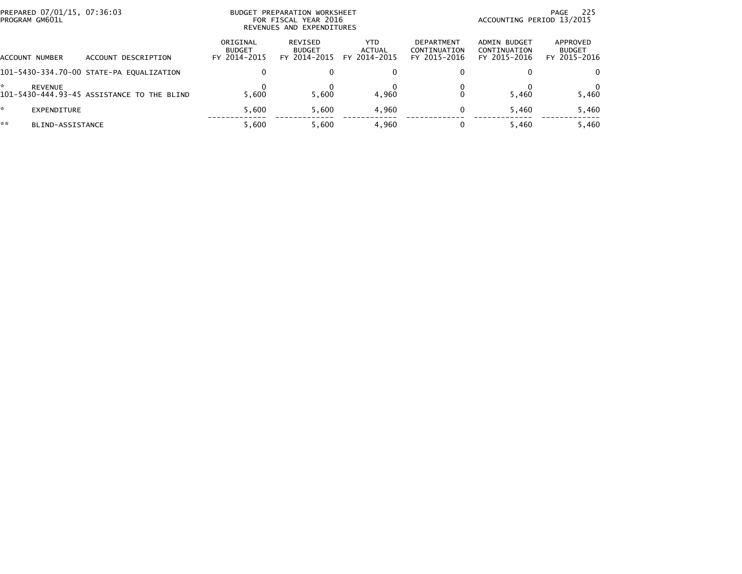| PREPARED 07/01/15, 07:36:03<br>PROGRAM GM601L |                                            | <b>BUDGET</b>                             | PREPARATION WORKSHEET<br>FOR FISCAL YEAR 2016<br>REVENUES AND EXPENDITURES |                                | 225<br>PAGE<br>ACCOUNTING PERIOD 13/2015          |                                              |                                           |  |
|-----------------------------------------------|--------------------------------------------|-------------------------------------------|----------------------------------------------------------------------------|--------------------------------|---------------------------------------------------|----------------------------------------------|-------------------------------------------|--|
| <b>ACCOUNT NUMBER</b>                         | ACCOUNT DESCRIPTION                        | ORIGINAL<br><b>BUDGET</b><br>FY 2014-2015 | REVISED<br><b>BUDGET</b><br>FY 2014-2015                                   | YTD.<br>ACTUAL<br>FY 2014-2015 | <b>DEPARTMENT</b><br>CONTINUATION<br>FY 2015-2016 | ADMIN BUDGET<br>CONTINUATION<br>FY 2015-2016 | APPROVED<br><b>BUDGET</b><br>FY 2015-2016 |  |
|                                               | 101-5430-334.70-00 STATE-PA EQUALIZATION   | $\Omega$                                  |                                                                            | $\bf{0}$                       |                                                   |                                              | 0                                         |  |
| <b>REVENUE</b>                                | 101-5430-444.93-45 ASSISTANCE TO THE BLIND | 5.600                                     | 5.600                                                                      | 4.960                          |                                                   | 5.460                                        | 5,460                                     |  |
| *.<br>EXPENDITURE                             |                                            | 5.600                                     | 5.600                                                                      | 4.960                          | 0                                                 | 5,460                                        | 5,460                                     |  |
| **<br>BLIND-ASSISTANCE                        |                                            | 5.600                                     | 5.600                                                                      | 4,960                          |                                                   | 5.460                                        | 5,460                                     |  |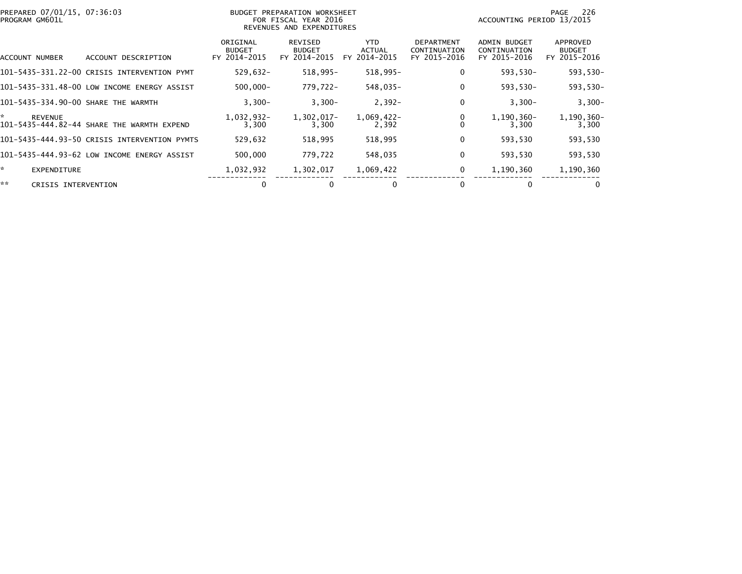| PREPARED 07/01/15, 07:36:03<br>PROGRAM GM601L |                                              |                                           | BUDGET PREPARATION WORKSHEET<br>FOR FISCAL YEAR 2016<br>REVENUES AND EXPENDITURES | -226<br>PAGE<br>ACCOUNTING PERIOD 13/2015   |                                                   |                                                     |                                           |
|-----------------------------------------------|----------------------------------------------|-------------------------------------------|-----------------------------------------------------------------------------------|---------------------------------------------|---------------------------------------------------|-----------------------------------------------------|-------------------------------------------|
| ACCOUNT NUMBER                                | ACCOUNT DESCRIPTION                          | ORIGINAL<br><b>BUDGET</b><br>FY 2014-2015 | REVISED<br><b>BUDGET</b><br>FY 2014-2015                                          | <b>YTD</b><br><b>ACTUAL</b><br>FY 2014-2015 | <b>DEPARTMENT</b><br>CONTINUATION<br>FY 2015-2016 | <b>ADMIN BUDGET</b><br>CONTINUATION<br>FY 2015-2016 | APPROVED<br><b>BUDGET</b><br>FY 2015-2016 |
|                                               | 101-5435-331.22-00 CRISIS INTERVENTION PYMT  | $529,632 -$                               | 518,995-                                                                          | 518,995-                                    | 0                                                 | 593,530-                                            | 593,530-                                  |
|                                               | 101-5435-331.48-00 LOW INCOME ENERGY ASSIST  | $500,000 -$                               | 779,722-                                                                          | 548,035-                                    | 0                                                 | 593,530-                                            | 593,530-                                  |
| 101-5435-334.90-00 SHARE THE WARMTH           |                                              | $3,300-$                                  | $3,300-$                                                                          | $2,392-$                                    | 0                                                 | $3,300-$                                            | $3,300-$                                  |
| *.<br><b>REVENUE</b>                          | 101-5435-444.82-44 SHARE THE WARMTH EXPEND   | 1,032,932-<br>3,300                       | 1,302,017-<br>3,300                                                               | 1,069,422-<br>2,392                         |                                                   | 1,190,360-<br>3,300                                 | 1,190,360-<br>3,300                       |
|                                               | 101–5435–444.93–50 CRISIS INTERVENTION PYMTS | 529,632                                   | 518,995                                                                           | 518,995                                     | 0                                                 | 593,530                                             | 593,530                                   |
|                                               | 101-5435-444.93-62 LOW INCOME ENERGY ASSIST  | 500,000                                   | 779,722                                                                           | 548,035                                     | 0                                                 | 593,530                                             | 593,530                                   |
| *.<br><b>EXPENDITURE</b>                      |                                              | 1,032,932                                 | 1,302,017                                                                         | 1,069,422                                   | 0                                                 | 1,190,360                                           | 1,190,360                                 |
| **<br>CRISIS INTERVENTION                     |                                              | 0                                         |                                                                                   | 0                                           |                                                   | 0                                                   |                                           |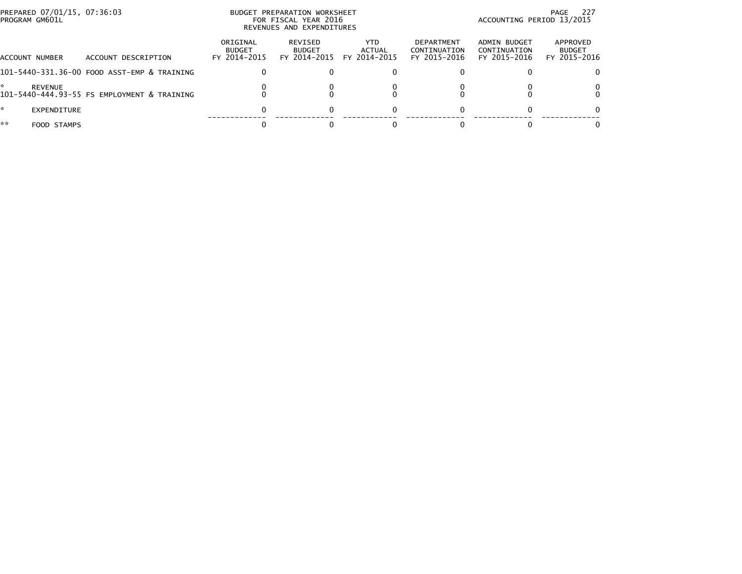| PREPARED 07/01/15, 07:36:03<br>PROGRAM GM601L |                                             |                                           | BUDGET PREPARATION WORKSHEET<br>FOR FISCAL YEAR 2016<br>REVENUES AND EXPENDITURES | 227<br>PAGE<br>ACCOUNTING PERIOD 13/2015 |                                                   |                                              |                                           |
|-----------------------------------------------|---------------------------------------------|-------------------------------------------|-----------------------------------------------------------------------------------|------------------------------------------|---------------------------------------------------|----------------------------------------------|-------------------------------------------|
| ACCOUNT NUMBER                                | ACCOUNT DESCRIPTION                         | ORIGINAL<br><b>BUDGET</b><br>FY 2014-2015 | REVISED<br><b>BUDGET</b><br>FY 2014-2015                                          | YTD<br>ACTUAL<br>FY 2014-2015            | <b>DEPARTMENT</b><br>CONTINUATION<br>FY 2015-2016 | ADMIN BUDGET<br>CONTINUATION<br>FY 2015-2016 | APPROVED<br><b>BUDGET</b><br>FY 2015-2016 |
|                                               | 101-5440-331.36-00 FOOD ASST-EMP & TRAINING | 0                                         |                                                                                   |                                          |                                                   |                                              |                                           |
| REVENUE                                       | 101-5440-444.93-55 FS EMPLOYMENT & TRAINING |                                           |                                                                                   |                                          |                                                   |                                              |                                           |
| W.<br>EXPENDITURE                             |                                             | 0                                         |                                                                                   |                                          |                                                   |                                              |                                           |
| **<br>FOOD STAMPS                             |                                             |                                           |                                                                                   |                                          |                                                   |                                              |                                           |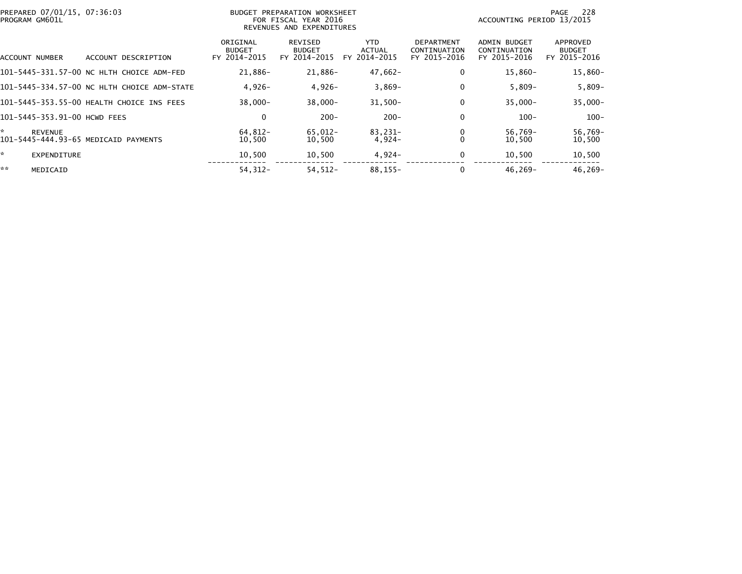| PREPARED 07/01/15, 07:36:03<br>PROGRAM GM601L               |                                           | BUDGET PREPARATION WORKSHEET<br>FOR FISCAL YEAR 2016<br>REVENUES AND EXPENDITURES | 228<br>PAGE<br>ACCOUNTING PERIOD 13/2015    |                                                   |                                                     |                                           |
|-------------------------------------------------------------|-------------------------------------------|-----------------------------------------------------------------------------------|---------------------------------------------|---------------------------------------------------|-----------------------------------------------------|-------------------------------------------|
| ACCOUNT NUMBER<br>ACCOUNT DESCRIPTION                       | ORIGINAL<br><b>BUDGET</b><br>FY 2014-2015 | REVISED<br><b>BUDGET</b><br>FY 2014-2015                                          | <b>YTD</b><br><b>ACTUAL</b><br>FY 2014-2015 | <b>DEPARTMENT</b><br>CONTINUATION<br>FY 2015-2016 | <b>ADMIN BUDGET</b><br>CONTINUATION<br>FY 2015-2016 | APPROVED<br><b>BUDGET</b><br>FY 2015-2016 |
| 101-5445-331.57-00 NC HLTH CHOICE ADM-FED                   | 21,886-                                   | 21,886-                                                                           | $47,662-$                                   | 0                                                 | $15,860-$                                           | 15,860-                                   |
| 101-5445-334.57-00 NC HLTH CHOICE ADM-STATE                 | $4.926 -$                                 | $4,926-$                                                                          | $3,869-$                                    |                                                   | $5,809-$                                            | $5,809-$                                  |
| 101-5445-353.55-00 HEALTH CHOICE INS FEES                   | $38,000 -$                                | $38,000 -$                                                                        | $31,500 -$                                  |                                                   | $35,000 -$                                          | $35,000 -$                                |
| 101-5445-353.91-00 HCWD FEES                                | 0                                         | $200 -$                                                                           | $200 -$                                     |                                                   | $100 -$                                             | $100 -$                                   |
| *<br><b>REVENUE</b><br>101-5445-444.93-65 MEDICAID PAYMENTS | 64.812-<br>10,500                         | 65.012-<br>10,500                                                                 | 83.231-<br>$4,924-$                         |                                                   | $56.769 -$<br>10,500                                | 56,769-<br>10,500                         |
| ×.<br>EXPENDITURE                                           | 10,500                                    | 10,500                                                                            | $4,924-$                                    | 0                                                 | 10,500                                              | 10,500                                    |
| **<br>MEDICAID                                              | $54, 312 -$                               | $54, 512 -$                                                                       | $88, 155 -$                                 |                                                   | $46,269-$                                           | $46, 269 -$                               |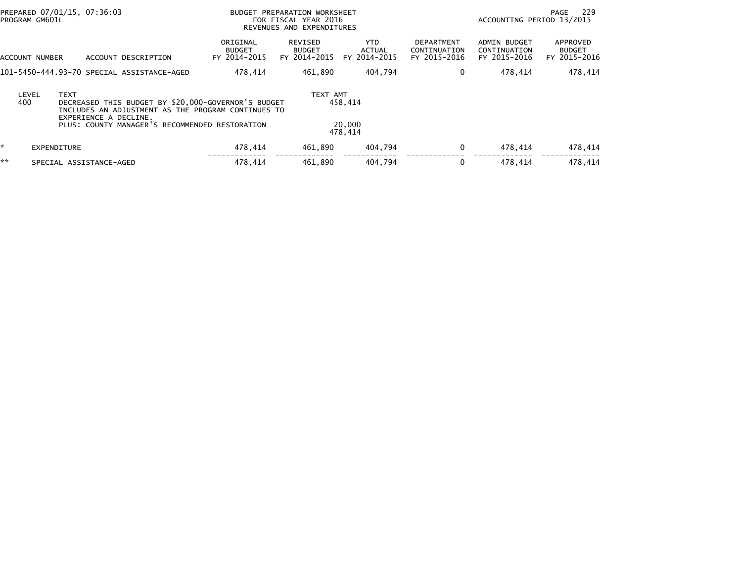|    | PREPARED 07/01/15, 07:36:03<br>PROGRAM GM601L |                                      |  | BUDGET PREPARATION WORKSHEET<br>FOR FISCAL YEAR 2016<br>REVENUES AND EXPENDITURES |                                                                                                                                                             |  |                                          |                              | ACCOUNTING PERIOD 13/2015             | PAGE                                              | 229                                                 |  |                                           |
|----|-----------------------------------------------|--------------------------------------|--|-----------------------------------------------------------------------------------|-------------------------------------------------------------------------------------------------------------------------------------------------------------|--|------------------------------------------|------------------------------|---------------------------------------|---------------------------------------------------|-----------------------------------------------------|--|-------------------------------------------|
|    | ACCOUNT NUMBER                                |                                      |  | ACCOUNT DESCRIPTION                                                               | ORIGINAL<br><b>BUDGET</b><br>FY 2014-2015                                                                                                                   |  | REVISED<br><b>BUDGET</b><br>FY 2014-2015 |                              | YTD.<br><b>ACTUAL</b><br>FY 2014-2015 | <b>DEPARTMENT</b><br>CONTINUATION<br>FY 2015-2016 | <b>ADMIN BUDGET</b><br>CONTINUATION<br>FY 2015-2016 |  | APPROVED<br><b>BUDGET</b><br>FY 2015-2016 |
|    |                                               |                                      |  | 101-5450-444.93-70 SPECIAL ASSISTANCE-AGED                                        | 478,414                                                                                                                                                     |  | 461.890                                  |                              | 404.794                               | 0                                                 | 478,414                                             |  | 478,414                                   |
|    | LEVEL<br>400                                  | <b>TEXT</b><br>EXPERIENCE A DECLINE. |  |                                                                                   | DECREASED THIS BUDGET BY \$20,000-GOVERNOR'S BUDGET<br>INCLUDES AN ADJUSTMENT AS THE PROGRAM CONTINUES TO<br>PLUS: COUNTY MANAGER'S RECOMMENDED RESTORATION |  | TEXT AMT                                 | 458.414<br>20,000<br>478.414 |                                       |                                                   |                                                     |  |                                           |
| ×. | <b>EXPENDITURE</b>                            |                                      |  |                                                                                   | 478,414                                                                                                                                                     |  | 461.890                                  |                              | 404,794                               | 0                                                 | 478.414                                             |  | 478,414                                   |
| ** |                                               | SPECIAL ASSISTANCE-AGED              |  |                                                                                   | 478.414                                                                                                                                                     |  | 461.890                                  |                              | 404.794                               | 0                                                 | 478,414                                             |  | 478.414                                   |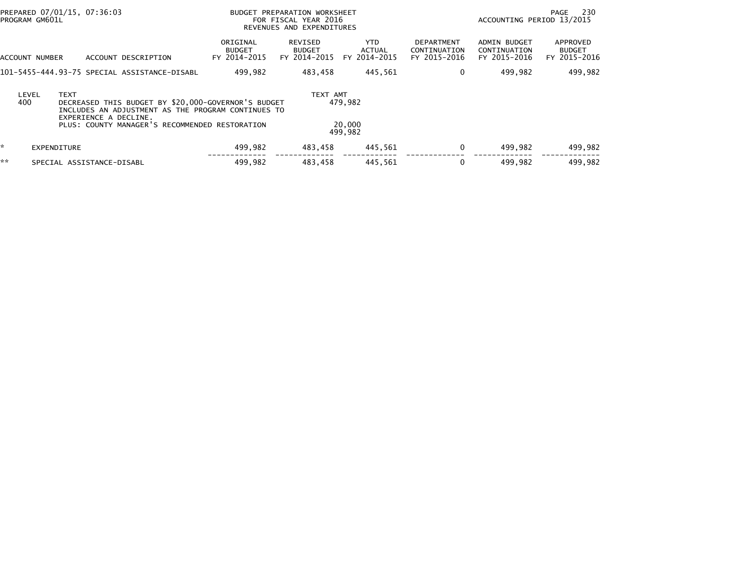| PROGRAM GM601L | PREPARED 07/01/15, 07:36:03                                                                                                                                                                         | PREPARATION WORKSHEET<br><b>BUDGET</b><br>FOR FISCAL YEAR 2016<br>REVENUES AND EXPENDITURES |                                          |                                       |                                                   | ACCOUNTING PERIOD 13/2015                           | 230<br>PAGE                               |
|----------------|-----------------------------------------------------------------------------------------------------------------------------------------------------------------------------------------------------|---------------------------------------------------------------------------------------------|------------------------------------------|---------------------------------------|---------------------------------------------------|-----------------------------------------------------|-------------------------------------------|
| ACCOUNT NUMBER | ACCOUNT DESCRIPTION                                                                                                                                                                                 | ORIGINAL<br><b>BUDGET</b><br>FY 2014-2015                                                   | REVISED<br><b>BUDGET</b><br>FY 2014-2015 | YTD.<br><b>ACTUAL</b><br>FY 2014-2015 | <b>DEPARTMENT</b><br>CONTINUATION<br>FY 2015-2016 | <b>ADMIN BUDGET</b><br>CONTINUATION<br>FY 2015-2016 | APPROVED<br><b>BUDGET</b><br>FY 2015-2016 |
|                | 101–5455–444.93–75 SPECIAL ASSISTANCE–DISABL                                                                                                                                                        | 499.982                                                                                     | 483.458                                  | 445.561                               | 0                                                 | 499.982                                             | 499,982                                   |
| LEVEL<br>400   | <b>TEXT</b><br>DECREASED THIS BUDGET BY \$20,000-GOVERNOR'S BUDGET<br>INCLUDES AN ADJUSTMENT AS THE PROGRAM CONTINUES TO<br>EXPERIENCE A DECLINE.<br>PLUS: COUNTY MANAGER'S RECOMMENDED RESTORATION |                                                                                             | TEXT AMT                                 | 479.982<br>20,000<br>499.982          |                                                   |                                                     |                                           |
| ×.             | <b>EXPENDITURE</b>                                                                                                                                                                                  | 499,982                                                                                     | 483,458                                  | 445,561                               | 0                                                 | 499.982                                             | 499,982                                   |
| **             | SPECIAL ASSISTANCE-DISABL                                                                                                                                                                           | 499.982                                                                                     | 483.458                                  | 445.561                               | 0                                                 | 499.982                                             | 499.982                                   |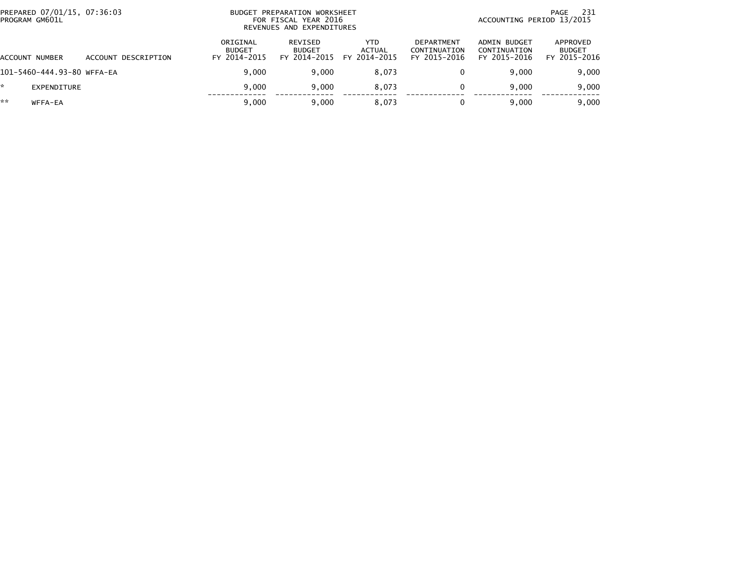|    | PREPARED 07/01/15, 07:36:03<br>PROGRAM GM601L |                     |                                           | BUDGET PREPARATION WORKSHEET<br>FOR FISCAL YEAR 2016<br>REVENUES AND EXPENDITURES |                                             | 231<br>PAGE<br>ACCOUNTING PERIOD 13/2015          |                                              |                                           |
|----|-----------------------------------------------|---------------------|-------------------------------------------|-----------------------------------------------------------------------------------|---------------------------------------------|---------------------------------------------------|----------------------------------------------|-------------------------------------------|
|    | ACCOUNT NUMBER                                | ACCOUNT DESCRIPTION | ORIGINAL<br><b>BUDGET</b><br>FY 2014-2015 | <b>REVISED</b><br><b>BUDGET</b><br>FY 2014-2015                                   | <b>YTD</b><br><b>ACTUAL</b><br>FY 2014-2015 | <b>DEPARTMENT</b><br>CONTINUATION<br>FY 2015-2016 | ADMIN BUDGET<br>CONTINUATION<br>FY 2015-2016 | APPROVED<br><b>BUDGET</b><br>FY 2015-2016 |
|    | 101-5460-444.93-80 WFFA-EA                    |                     | 9.000                                     | 9.000                                                                             | 8.073                                       | 0                                                 | 9.000                                        | 9,000                                     |
|    | EXPENDITURE                                   |                     | 9.000                                     | 9.000                                                                             | 8.073                                       | 0                                                 | 9.000                                        | 9,000                                     |
| ** | WFFA-EA                                       |                     | 9.000                                     | 9,000                                                                             | 8,073                                       | 0                                                 | 9.000                                        | 9,000                                     |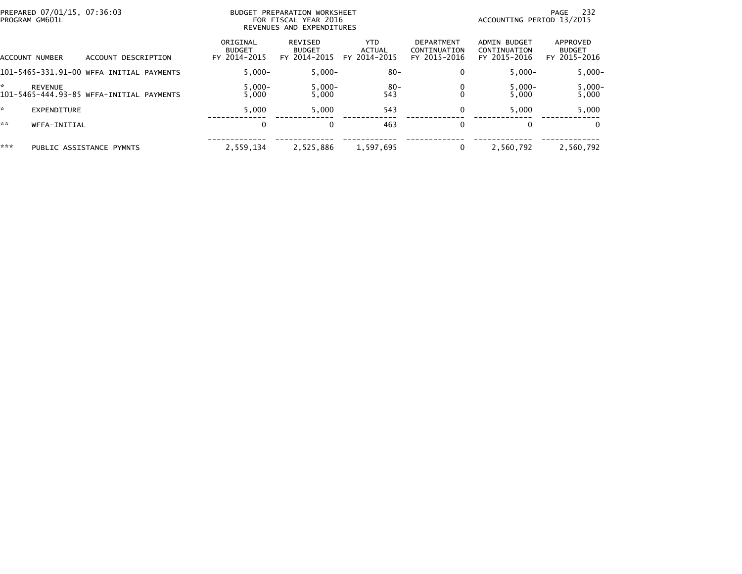| PREPARED 07/01/15, 07:36:03<br>PROGRAM GM601L |                                          |                                           | BUDGET PREPARATION WORKSHEET<br>FOR FISCAL YEAR 2016<br>REVENUES AND EXPENDITURES |                                             | PAGE<br>ACCOUNTING PERIOD 13/2015                 |                                              |                                           |  |
|-----------------------------------------------|------------------------------------------|-------------------------------------------|-----------------------------------------------------------------------------------|---------------------------------------------|---------------------------------------------------|----------------------------------------------|-------------------------------------------|--|
| ACCOUNT NUMBER                                | ACCOUNT DESCRIPTION                      | ORIGINAL<br><b>BUDGET</b><br>FY 2014-2015 | <b>REVISED</b><br><b>BUDGET</b><br>FY 2014-2015                                   | <b>YTD</b><br><b>ACTUAL</b><br>FY 2014-2015 | <b>DEPARTMENT</b><br>CONTINUATION<br>FY 2015-2016 | ADMIN BUDGET<br>CONTINUATION<br>FY 2015-2016 | APPROVED<br><b>BUDGET</b><br>FY 2015-2016 |  |
|                                               | 101-5465-331.91-00 WFFA INITIAL PAYMENTS | $5.000 -$                                 | $5.000 -$                                                                         | $80 -$                                      | 0                                                 | $5.000 -$                                    | $5,000 -$                                 |  |
| <b>REVENUE</b>                                | 101-5465-444.93-85 WFFA-INITIAL PAYMENTS | $5,000 -$<br>5,000                        | $5,000-$<br>5,000                                                                 | -80<br>543                                  |                                                   | $5,000 -$<br>5.000                           | $5,000-$<br>5,000                         |  |
| EXPENDITURE                                   |                                          | 5.000                                     | 5,000                                                                             | 543                                         |                                                   | 5.000                                        | 5,000                                     |  |
| **<br>WFFA-INITIAL                            |                                          | $\mathbf 0$                               |                                                                                   | 463                                         |                                                   | 0                                            | $\Omega$                                  |  |
| ***                                           | PUBLIC ASSISTANCE PYMNTS                 | 2.559.134                                 | 2,525,886                                                                         | 1,597,695                                   |                                                   | 2,560,792                                    | 2,560,792                                 |  |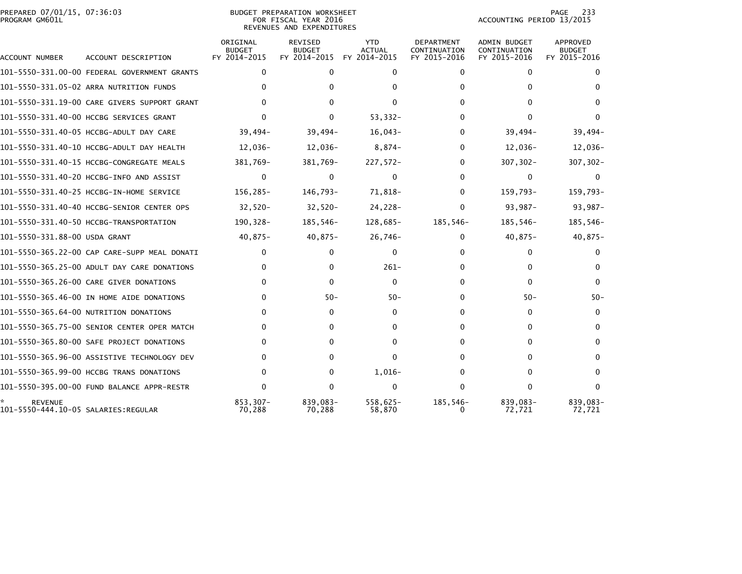## PREPARED 07/01/15, 07:36:03<br>PROGRAM GM601L

BUDGET PREPARATION WORKSHEET<br>FOR FISCAL YEAR 2016 REVENUES AND EXPENDITURES PAGE 233<br>ACCOUNTING PERIOD 13/2015

| ACCOUNT NUMBER                                        | ACCOUNT DESCRIPTION                          | ORIGINAL<br><b>BUDGET</b><br>FY 2014-2015 | REVISED<br><b>BUDGET</b><br>FY 2014-2015 | <b>YTD</b><br><b>ACTUAL</b><br>FY 2014-2015 | <b>DEPARTMENT</b><br>CONTINUATION<br>FY 2015-2016 | <b>ADMIN BUDGET</b><br>CONTINUATION<br>FY 2015-2016 | <b>APPROVED</b><br><b>BUDGET</b><br>FY 2015-2016 |
|-------------------------------------------------------|----------------------------------------------|-------------------------------------------|------------------------------------------|---------------------------------------------|---------------------------------------------------|-----------------------------------------------------|--------------------------------------------------|
|                                                       | 101-5550-331.00-00 FEDERAL GOVERNMENT GRANTS | $\mathbf{0}$                              | $\mathbf{0}$                             | $\Omega$                                    | 0                                                 | $\mathbf{0}$                                        | $\Omega$                                         |
|                                                       | 101-5550-331.05-02 ARRA NUTRITION FUNDS      |                                           | O.                                       | ŋ                                           |                                                   | 0                                                   |                                                  |
|                                                       | 101-5550-331.19-00 CARE GIVERS SUPPORT GRANT | 0                                         | 0                                        | $\Omega$                                    | 0                                                 | 0                                                   | $\Omega$                                         |
|                                                       | 101-5550-331.40-00 HCCBG SERVICES GRANT      | 0                                         | 0                                        | 53,332-                                     | 0                                                 | 0                                                   | <sup>0</sup>                                     |
|                                                       | 101-5550-331.40-05 HCCBG-ADULT DAY CARE      | 39,494-                                   | $39,494-$                                | $16,043-$                                   | 0                                                 | 39,494-                                             | $39,494-$                                        |
|                                                       | 101-5550-331.40-10 HCCBG-ADULT DAY HEALTH    | 12,036-                                   | 12,036-                                  | $8,874-$                                    | 0                                                 | 12,036-                                             | $12,036-$                                        |
|                                                       | 101-5550-331.40-15 HCCBG-CONGREGATE MEALS    | 381,769-                                  | 381,769-                                 | $227,572-$                                  | 0                                                 | $307, 302 -$                                        | $307, 302 -$                                     |
|                                                       | 101-5550-331.40-20 HCCBG-INFO AND ASSIST     | $\Omega$                                  | $\Omega$                                 | $\Omega$                                    | 0                                                 | $\mathbf{0}$                                        | $\Omega$                                         |
|                                                       | 101-5550-331.40-25 HCCBG-IN-HOME SERVICE     | 156,285-                                  | 146,793-                                 | 71,818-                                     | 0                                                 | 159,793-                                            | 159,793-                                         |
|                                                       | 101-5550-331.40-40 HCCBG-SENIOR CENTER OPS   | $32,520-$                                 | $32,520-$                                | 24,228-                                     | 0                                                 | $93,987-$                                           | 93,987-                                          |
|                                                       | 101-5550-331.40-50 HCCBG-TRANSPORTATION      | 190,328-                                  | 185,546-                                 | 128,685-                                    | 185,546-                                          | 185,546-                                            | 185,546-                                         |
| 101-5550-331.88-00 USDA GRANT                         |                                              | 40,875-                                   | $40,875-$                                | 26,746-                                     | 0                                                 | $40,875-$                                           | $40,875-$                                        |
|                                                       | 101-5550-365.22-00 CAP CARE-SUPP MEAL DONATI | 0                                         | $\Omega$                                 | 0                                           |                                                   | 0                                                   |                                                  |
|                                                       | 101-5550-365.25-00 ADULT DAY CARE DONATIONS  | 0                                         | 0                                        | $261-$                                      | 0                                                 | 0                                                   |                                                  |
|                                                       | 101-5550-365.26-00 CARE GIVER DONATIONS      | $\Omega$                                  | $\Omega$                                 | $\mathbf{0}$                                | $^{\circ}$                                        | $\Omega$                                            | $\Omega$                                         |
|                                                       | 101-5550-365.46-00 IN HOME AIDE DONATIONS    | 0                                         | $50 -$                                   | $50-$                                       | 0                                                 | $50 -$                                              | $50-$                                            |
|                                                       | 101-5550-365.64-00 NUTRITION DONATIONS       | 0                                         | 0                                        | 0                                           | 0                                                 | 0                                                   | 0                                                |
|                                                       | 101-5550-365.75-00 SENIOR CENTER OPER MATCH  | 0                                         | 0                                        | 0                                           | 0                                                 | 0                                                   | <sup>0</sup>                                     |
|                                                       | 101-5550-365.80-00 SAFE PROJECT DONATIONS    | 0                                         | 0                                        | 0                                           | 0                                                 | 0                                                   | 0                                                |
|                                                       | 101-5550-365.96-00 ASSISTIVE TECHNOLOGY DEV  | 0                                         | 0                                        | $\Omega$                                    | 0                                                 | 0                                                   | 0                                                |
|                                                       | 101-5550-365.99-00 HCCBG TRANS DONATIONS     | 0                                         | 0                                        | $1,016-$                                    | 0                                                 | 0                                                   | $\Omega$                                         |
|                                                       | 101-5550-395.00-00 FUND BALANCE APPR-RESTR   | 0                                         | 0                                        | 0                                           | 0                                                 | 0                                                   | $\Omega$                                         |
| <b>REVENUE</b><br>101-5550-444.10-05 SALARIES:REGULAR |                                              | $853.307 -$<br>70,288                     | 839,083-<br>70,288                       | 558,625-<br>58,870                          | 185,546-                                          | 839,083-<br>72,721                                  | 839,083-<br>72,721                               |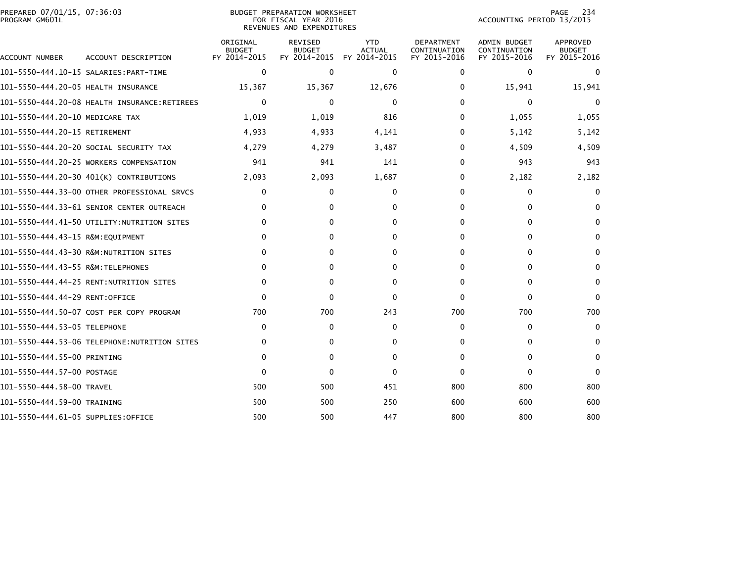| PREPARED 07/01/15, 07:36:03<br>PROGRAM GM601L |                                              |                                           | BUDGET PREPARATION WORKSHEET<br>FOR FISCAL YEAR 2016<br>REVENUES AND EXPENDITURES |                                             | 234<br>PAGE<br>ACCOUNTING PERIOD 13/2015          |                                                     |                                           |
|-----------------------------------------------|----------------------------------------------|-------------------------------------------|-----------------------------------------------------------------------------------|---------------------------------------------|---------------------------------------------------|-----------------------------------------------------|-------------------------------------------|
| ACCOUNT NUMBER                                | ACCOUNT DESCRIPTION                          | ORIGINAL<br><b>BUDGET</b><br>FY 2014-2015 | <b>REVISED</b><br><b>BUDGET</b><br>FY 2014-2015                                   | <b>YTD</b><br><b>ACTUAL</b><br>FY 2014-2015 | <b>DEPARTMENT</b><br>CONTINUATION<br>FY 2015-2016 | <b>ADMIN BUDGET</b><br>CONTINUATION<br>FY 2015-2016 | APPROVED<br><b>BUDGET</b><br>FY 2015-2016 |
|                                               |                                              | $\mathbf 0$                               | $\mathbf{0}$                                                                      | $\Omega$                                    | $\Omega$                                          | 0                                                   | $\mathbf{0}$                              |
| 101-5550-444.20-05 HEALTH INSURANCE           |                                              | 15,367                                    | 15,367                                                                            | 12,676                                      | 0                                                 | 15,941                                              | 15,941                                    |
|                                               | 101-5550-444.20-08 HEALTH INSURANCE:RETIREES | $\mathbf 0$                               | $\mathbf{0}$                                                                      | 0                                           | $\Omega$                                          | $\Omega$                                            | $\mathbf{0}$                              |
| 101-5550-444.20-10 MEDICARE TAX               |                                              | 1,019                                     | 1,019                                                                             | 816                                         | 0                                                 | 1,055                                               | 1,055                                     |
| 101-5550-444.20-15 RETIREMENT                 |                                              | 4,933                                     | 4,933                                                                             | 4,141                                       | 0                                                 | 5,142                                               | 5,142                                     |
|                                               | 101–5550–444.20–20 SOCIAL SECURITY TAX       | 4,279                                     | 4,279                                                                             | 3,487                                       | 0                                                 | 4,509                                               | 4,509                                     |
|                                               | 101-5550-444.20-25 WORKERS COMPENSATION      | 941                                       | 941                                                                               | 141                                         | 0                                                 | 943                                                 | 943                                       |
|                                               | 101-5550-444.20-30 401(K) CONTRIBUTIONS      | 2,093                                     | 2,093                                                                             | 1,687                                       | 0                                                 | 2,182                                               | 2,182                                     |
|                                               | 101-5550-444.33-00 OTHER PROFESSIONAL SRVCS  | 0                                         | $\mathbf{0}$                                                                      | 0                                           | 0                                                 | 0                                                   | $\mathbf{0}$                              |
|                                               | 101-5550-444.33-61 SENIOR CENTER OUTREACH    | $\mathbf{0}$                              | $\mathbf{0}$                                                                      | $\Omega$                                    | $\Omega$                                          | $\Omega$                                            | $\Omega$                                  |
|                                               | 101-5550-444.41-50 UTILITY:NUTRITION SITES   | 0                                         | 0                                                                                 | $\Omega$                                    | 0                                                 | 0                                                   | $\mathbf{0}$                              |
| 101-5550-444.43-15 R&M:EOUIPMENT              |                                              | $\mathbf{0}$                              | $\mathbf{0}$                                                                      | $\Omega$                                    | $\Omega$                                          | 0                                                   | $\mathbf{0}$                              |
|                                               |                                              | 0                                         | 0                                                                                 | 0                                           | 0                                                 | 0                                                   | 0                                         |
| 101-5550-444.43-55 R&M:TELEPHONES             |                                              | $\mathbf{0}$                              | 0                                                                                 | $\Omega$                                    | $\Omega$                                          | $\Omega$                                            | $\mathbf{0}$                              |
|                                               |                                              | $\mathbf{0}$                              | 0                                                                                 | 0                                           | 0                                                 | 0                                                   | $\Omega$                                  |
| 101-5550-444.44-29 RENT:OFFICE                |                                              | $\Omega$                                  | $\mathbf{0}$                                                                      | $\Omega$                                    | $\mathbf{0}$                                      | $\mathbf{0}$                                        | $\Omega$                                  |
|                                               | 101-5550-444.50-07 COST PER COPY PROGRAM     | 700                                       | 700                                                                               | 243                                         | 700                                               | 700                                                 | 700                                       |
| 101-5550-444.53-05 TELEPHONE                  |                                              | 0                                         | 0                                                                                 | 0                                           | 0                                                 | 0                                                   | $\mathbf{0}$                              |
|                                               | 101–5550–444.53–06 TELEPHONE:NUTRITION SITES | 0                                         | 0                                                                                 | 0                                           | $\Omega$                                          | 0                                                   | $\Omega$                                  |
| 101-5550-444.55-00 PRINTING                   |                                              | 0                                         | $\mathbf{0}$                                                                      | $\Omega$                                    | 0                                                 | 0                                                   | $\mathbf{0}$                              |
| 101-5550-444.57-00 POSTAGE                    |                                              | $\Omega$                                  | 0                                                                                 | $\mathbf{0}$                                | $\Omega$                                          | $\Omega$                                            | $\Omega$                                  |
| 101-5550-444.58-00 TRAVEL                     |                                              | 500                                       | 500                                                                               | 451                                         | 800                                               | 800                                                 | 800                                       |
| 101-5550-444.59-00 TRAINING                   |                                              | 500                                       | 500                                                                               | 250                                         | 600                                               | 600                                                 | 600                                       |
| 101–5550–444.61–05 SUPPLIES:OFFICE            |                                              | 500                                       | 500                                                                               | 447                                         | 800                                               | 800                                                 | 800                                       |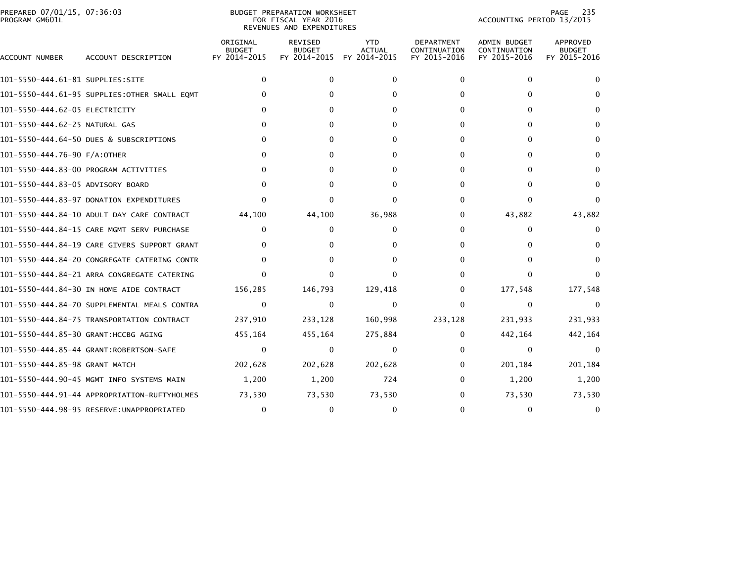| PREPARED 07/01/15, 07:36:03<br>PROGRAM GM601L |                                              |                                           | <b>BUDGET PREPARATION WORKSHEET</b><br>FOR FISCAL YEAR 2016<br>REVENUES AND EXPENDITURES |                                             | 235<br>PAGE<br>ACCOUNTING PERIOD 13/2015          |                                              |                                           |
|-----------------------------------------------|----------------------------------------------|-------------------------------------------|------------------------------------------------------------------------------------------|---------------------------------------------|---------------------------------------------------|----------------------------------------------|-------------------------------------------|
| ACCOUNT NUMBER                                | ACCOUNT DESCRIPTION                          | ORIGINAL<br><b>BUDGET</b><br>FY 2014-2015 | <b>REVISED</b><br><b>BUDGET</b><br>FY 2014-2015                                          | <b>YTD</b><br><b>ACTUAL</b><br>FY 2014-2015 | <b>DEPARTMENT</b><br>CONTINUATION<br>FY 2015-2016 | ADMIN BUDGET<br>CONTINUATION<br>FY 2015-2016 | APPROVED<br><b>BUDGET</b><br>FY 2015-2016 |
| 101-5550-444.61-81 SUPPLIES:SITE              |                                              | $\mathbf{0}$                              | 0                                                                                        | $\Omega$                                    | 0                                                 | $\mathbf{0}$                                 | 0                                         |
|                                               | 101-5550-444.61-95 SUPPLIES:OTHER SMALL EQMT | $\Omega$                                  | 0                                                                                        | 0                                           | 0                                                 | 0                                            |                                           |
| 101-5550-444.62-05 ELECTRICITY                |                                              |                                           |                                                                                          |                                             | 0                                                 | $\Omega$                                     | 0                                         |
| 101-5550-444.62-25 NATURAL GAS                |                                              | $\Omega$                                  | 0                                                                                        | 0                                           | 0                                                 | $\Omega$                                     | $\Omega$                                  |
|                                               | 101-5550-444.64-50 DUES & SUBSCRIPTIONS      | $\Omega$                                  |                                                                                          |                                             | 0                                                 | 0                                            | 0                                         |
| 101-5550-444.76-90 F/A:OTHER                  |                                              | $\Omega$                                  | 0                                                                                        |                                             | 0                                                 | $\Omega$                                     | $\Omega$                                  |
|                                               | 101-5550-444.83-00 PROGRAM ACTIVITIES        | $\Omega$                                  |                                                                                          |                                             | 0                                                 | 0                                            |                                           |
| 101-5550-444.83-05 ADVISORY BOARD             |                                              | $\Omega$                                  | 0                                                                                        | O                                           | 0                                                 | 0                                            | $\Omega$                                  |
|                                               | 101-5550-444.83-97 DONATION EXPENDITURES     | $\Omega$                                  | 0                                                                                        | ∩                                           | 0                                                 | $\Omega$                                     |                                           |
|                                               | 101-5550-444.84-10 ADULT DAY CARE CONTRACT   | 44,100                                    | 44,100                                                                                   | 36,988                                      | 0                                                 | 43,882                                       | 43,882                                    |
|                                               | 101-5550-444.84-15 CARE MGMT SERV PURCHASE   | 0                                         | 0                                                                                        | 0                                           | 0                                                 | 0                                            |                                           |
|                                               | 101-5550-444.84-19 CARE GIVERS SUPPORT GRANT | $\Omega$                                  | 0                                                                                        |                                             | 0                                                 | $\Omega$                                     |                                           |
|                                               | 101-5550-444.84-20 CONGREGATE CATERING CONTR | $\Omega$                                  |                                                                                          | 0                                           | 0                                                 |                                              |                                           |
|                                               | 101-5550-444.84-21 ARRA CONGREGATE CATERING  | $\Omega$                                  | 0                                                                                        |                                             | 0                                                 | $\mathbf{0}$                                 |                                           |
|                                               | 101-5550-444.84-30 IN HOME AIDE CONTRACT     | 156,285                                   | 146,793                                                                                  | 129,418                                     | 0                                                 | 177,548                                      | 177,548                                   |
|                                               | 101–5550–444.84–70 SUPPLEMENTAL MEALS CONTRA | $\mathbf{0}$                              | $\Omega$                                                                                 | $\Omega$                                    | 0                                                 | $\mathbf{0}$                                 | 0                                         |
|                                               | 101-5550-444.84-75 TRANSPORTATION CONTRACT   | 237,910                                   | 233,128                                                                                  | 160,998                                     | 233,128                                           | 231,933                                      | 231,933                                   |
| 101-5550-444.85-30 GRANT: HCCBG AGING         |                                              | 455,164                                   | 455,164                                                                                  | 275,884                                     | 0                                                 | 442,164                                      | 442,164                                   |
|                                               | 101-5550-444.85-44 GRANT:ROBERTSON-SAFE      | $\mathbf{0}$                              | $\mathbf{0}$                                                                             | 0                                           | 0                                                 | 0                                            | $\Omega$                                  |
| 101-5550-444.85-98 GRANT MATCH                |                                              | 202,628                                   | 202,628                                                                                  | 202,628                                     | 0                                                 | 201,184                                      | 201,184                                   |
|                                               | 101-5550-444.90-45 MGMT INFO SYSTEMS MAIN    | 1,200                                     | 1,200                                                                                    | 724                                         | 0                                                 | 1,200                                        | 1,200                                     |
|                                               | 101-5550-444.91-44 APPROPRIATION-RUFTYHOLMES | 73,530                                    | 73,530                                                                                   | 73,530                                      | 0                                                 | 73,530                                       | 73,530                                    |
|                                               | 101-5550-444.98-95 RESERVE:UNAPPROPRIATED    | $\mathbf 0$                               |                                                                                          | $\Omega$                                    | O                                                 | $\Omega$                                     |                                           |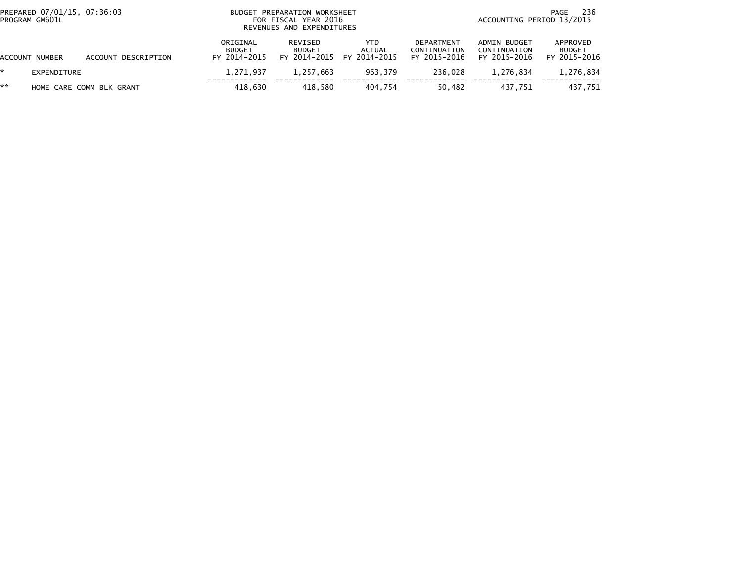|    | PREPARED 07/01/15, 07:36:03<br>PROGRAM GM601L | BUDGET PREPARATION WORKSHEET<br>FOR FISCAL YEAR 2016<br>REVENUES AND EXPENDITURES |                                           |                                          |                               |                                                   | 236<br>PAGE<br>ACCOUNTING PERIOD 13/2015            |                                           |  |  |
|----|-----------------------------------------------|-----------------------------------------------------------------------------------|-------------------------------------------|------------------------------------------|-------------------------------|---------------------------------------------------|-----------------------------------------------------|-------------------------------------------|--|--|
|    | ACCOUNT NUMBER                                | ACCOUNT DESCRIPTION                                                               | ORIGINAL<br><b>BUDGET</b><br>FY 2014-2015 | REVISED<br><b>BUDGET</b><br>FY 2014-2015 | YTD<br>ACTUAL<br>FY 2014-2015 | <b>DEPARTMENT</b><br>CONTINUATION<br>FY 2015-2016 | <b>ADMIN BUDGET</b><br>CONTINUATION<br>FY 2015-2016 | APPROVED<br><b>BUDGET</b><br>FY 2015-2016 |  |  |
|    | EXPENDITURE                                   |                                                                                   | 1.271.937                                 | 1.257.663                                | 963.379                       | 236.028                                           | 1.276.834                                           | 1,276,834                                 |  |  |
| ** |                                               | HOME CARE COMM BLK GRANT                                                          | 418.630                                   | 418.580                                  | 404.754                       | 50.482                                            | 437.751                                             | 437,751                                   |  |  |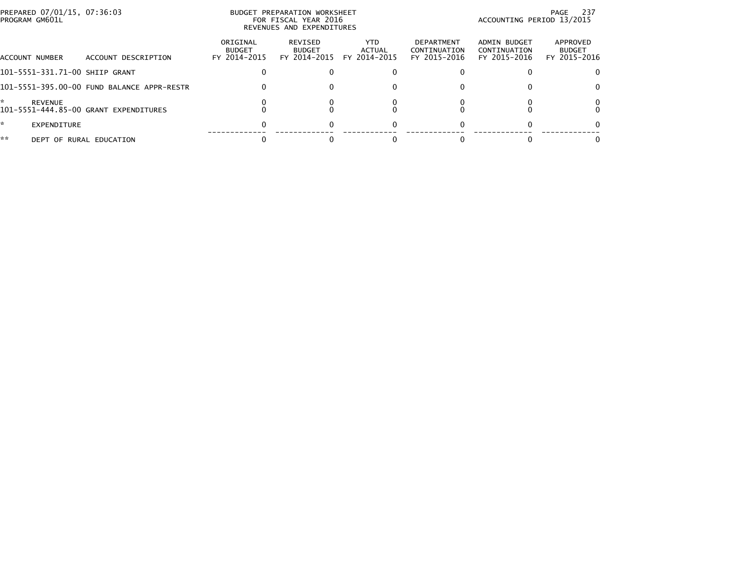|    | PREPARED 07/01/15, 07:36:03<br>PROGRAM GM601L |                                            |                                           | BUDGET PREPARATION WORKSHEET<br>FOR FISCAL YEAR 2016<br>REVENUES AND EXPENDITURES | 237<br>PAGE<br>ACCOUNTING PERIOD 13/2015 |                                                   |                                              |                                           |
|----|-----------------------------------------------|--------------------------------------------|-------------------------------------------|-----------------------------------------------------------------------------------|------------------------------------------|---------------------------------------------------|----------------------------------------------|-------------------------------------------|
|    | ACCOUNT NUMBER                                | ACCOUNT DESCRIPTION                        | ORIGINAL<br><b>BUDGET</b><br>FY 2014-2015 | REVISED<br><b>BUDGET</b><br>FY 2014-2015                                          | YTD.<br>ACTUAL<br>FY 2014-2015           | <b>DEPARTMENT</b><br>CONTINUATION<br>FY 2015-2016 | ADMIN BUDGET<br>CONTINUATION<br>FY 2015-2016 | APPROVED<br><b>BUDGET</b><br>FY 2015-2016 |
|    |                                               | 101-5551-331.71-00 SHIIP GRANT             |                                           |                                                                                   |                                          |                                                   |                                              | $\Omega$                                  |
|    |                                               | 101-5551-395.00-00 FUND BALANCE APPR-RESTR | 0                                         |                                                                                   |                                          |                                                   |                                              | 0                                         |
| *  | <b>REVENUE</b>                                | 101-5551-444.85-00 GRANT EXPENDITURES      |                                           |                                                                                   |                                          |                                                   |                                              | 0                                         |
| *  | <b>EXPENDITURE</b>                            |                                            |                                           |                                                                                   |                                          |                                                   |                                              | 0                                         |
| ** |                                               | DEPT OF RURAL EDUCATION                    |                                           |                                                                                   |                                          |                                                   |                                              | 0                                         |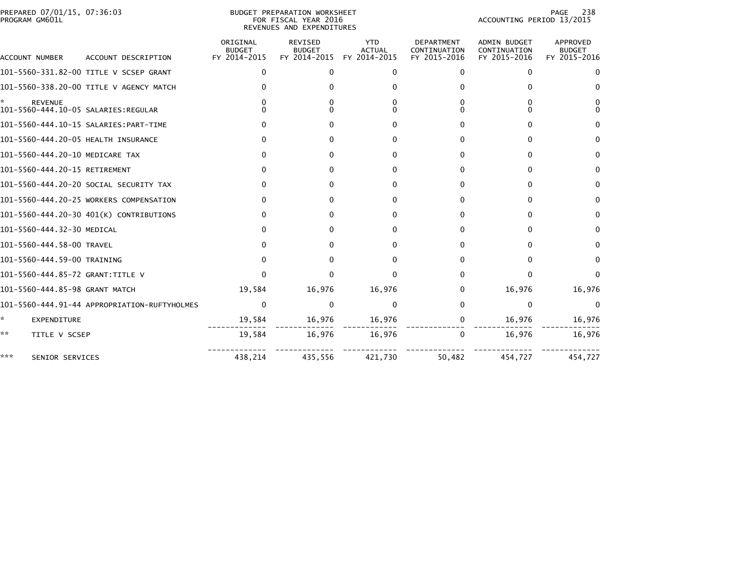| PREPARED 07/01/15, 07:36:03<br>PROGRAM GM601L         |                                              |                                           | BUDGET PREPARATION WORKSHEET<br>FOR FISCAL YEAR 2016<br>REVENUES AND EXPENDITURES |                                             | 238<br>PAGE<br>ACCOUNTING PERIOD 13/2015          |                                                     |                                           |  |
|-------------------------------------------------------|----------------------------------------------|-------------------------------------------|-----------------------------------------------------------------------------------|---------------------------------------------|---------------------------------------------------|-----------------------------------------------------|-------------------------------------------|--|
| ACCOUNT NUMBER                                        | ACCOUNT DESCRIPTION                          | ORIGINAL<br><b>BUDGET</b><br>FY 2014-2015 | <b>REVISED</b><br><b>BUDGET</b><br>FY 2014-2015                                   | <b>YTD</b><br><b>ACTUAL</b><br>FY 2014-2015 | <b>DEPARTMENT</b><br>CONTINUATION<br>FY 2015-2016 | <b>ADMIN BUDGET</b><br>CONTINUATION<br>FY 2015-2016 | APPROVED<br><b>BUDGET</b><br>FY 2015-2016 |  |
|                                                       | 101-5560-331.82-00 TITLE V SCSEP GRANT       | 0                                         | $\mathbf{0}$                                                                      | $\Omega$                                    | $\Omega$                                          | 0                                                   | 0                                         |  |
|                                                       | 101-5560-338.20-00 TITLE V AGENCY MATCH      |                                           |                                                                                   | 0                                           |                                                   | 0                                                   | 0                                         |  |
| <b>REVENUE</b><br>101-5560-444.10-05 SALARIES:REGULAR |                                              |                                           |                                                                                   |                                             |                                                   | 0<br>0                                              | 0                                         |  |
|                                                       |                                              |                                           |                                                                                   | 0                                           |                                                   | 0                                                   | 0                                         |  |
| 101-5560-444.20-05 HEALTH INSURANCE                   |                                              |                                           |                                                                                   | 0                                           |                                                   | 0                                                   | 0                                         |  |
| 101-5560-444.20-10 MEDICARE TAX                       |                                              | 0                                         | 0                                                                                 | 0                                           | 0                                                 | $\Omega$                                            | 0                                         |  |
| 101-5560-444.20-15 RETIREMENT                         |                                              | 0                                         | 0                                                                                 | $\Omega$                                    | 0                                                 | 0                                                   | 0                                         |  |
|                                                       | 101-5560-444.20-20 SOCIAL SECURITY TAX       | 0                                         | 0                                                                                 | 0                                           | 0                                                 | 0                                                   | 0                                         |  |
|                                                       | 101-5560-444.20-25 WORKERS COMPENSATION      | O                                         | O                                                                                 | <sup>0</sup>                                |                                                   | $\Omega$                                            | 0                                         |  |
|                                                       | 101-5560-444.20-30 401(K) CONTRIBUTIONS      | 0                                         | ∩                                                                                 | 0                                           | <sup>0</sup>                                      | 0                                                   | 0                                         |  |
| 101-5560-444.32-30 MEDICAL                            |                                              | <sup>0</sup>                              |                                                                                   | 0                                           | 0                                                 | 0                                                   | 0                                         |  |
| 101-5560-444.58-00 TRAVEL                             |                                              | o                                         | U                                                                                 | o                                           | <sup>0</sup>                                      | 0                                                   | 0                                         |  |
| 101-5560-444.59-00 TRAINING                           |                                              | U                                         |                                                                                   | 0                                           | 0                                                 | 0                                                   | 0                                         |  |
| 101-5560-444.85-72 GRANT:TITLE V                      |                                              | U                                         | ŋ                                                                                 | U                                           | 0                                                 | 0                                                   | $\Omega$                                  |  |
| 101-5560-444.85-98 GRANT MATCH                        |                                              | 19,584                                    | 16,976                                                                            | 16,976                                      | 0                                                 | 16,976                                              | 16,976                                    |  |
|                                                       | 101-5560-444.91-44 APPROPRIATION-RUFTYHOLMES | $\Omega$                                  | $\mathbf{0}$                                                                      | $\Omega$                                    | 0                                                 | $\Omega$                                            | $\mathbf{0}$                              |  |
| ×.<br>EXPENDITURE                                     |                                              | 19,584                                    | 16,976                                                                            | 16,976                                      | 0                                                 | 16,976                                              | 16,976                                    |  |
| **<br>TITLE V SCSEP                                   |                                              | 19,584                                    | 16,976                                                                            | 16,976                                      | 0                                                 | 16,976                                              | 16,976                                    |  |
| ***<br>SENIOR SERVICES                                |                                              | 438,214                                   | 435,556                                                                           | 421,730                                     | 50,482                                            | 454,727                                             | 454,727                                   |  |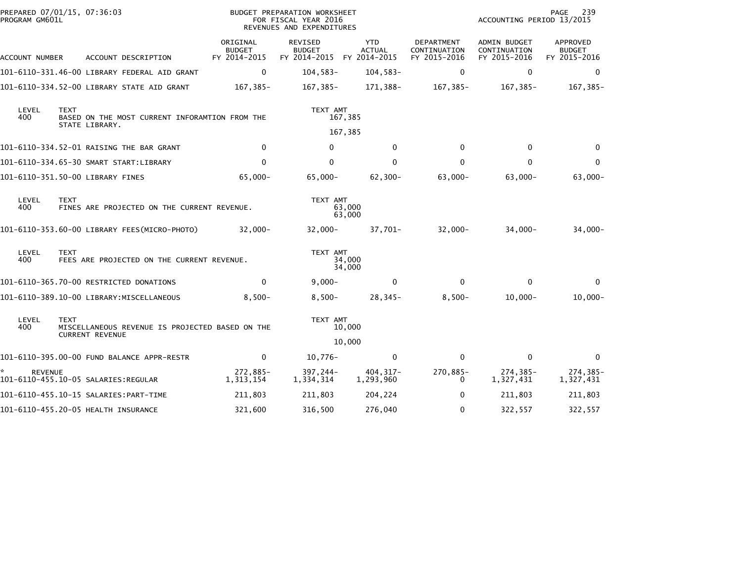| PREPARED 07/01/15, 07:36:03<br>PROGRAM GM601L |                                                                                 |                                                                           | BUDGET PREPARATION WORKSHEET<br>FOR FISCAL YEAR 2016<br>REVENUES AND EXPENDITURES |                                                       | 239<br>PAGE<br>ACCOUNTING PERIOD 13/2015 |                                            |                                              |                                           |
|-----------------------------------------------|---------------------------------------------------------------------------------|---------------------------------------------------------------------------|-----------------------------------------------------------------------------------|-------------------------------------------------------|------------------------------------------|--------------------------------------------|----------------------------------------------|-------------------------------------------|
| ACCOUNT NUMBER                                |                                                                                 | ACCOUNT DESCRIPTION                                                       | ORIGINAL<br><b>BUDGET</b><br>FY 2014-2015                                         | REVISED<br><b>BUDGET</b><br>FY 2014-2015 FY 2014-2015 | <b>YTD</b><br><b>ACTUAL</b>              | DEPARTMENT<br>CONTINUATION<br>FY 2015-2016 | ADMIN BUDGET<br>CONTINUATION<br>FY 2015-2016 | APPROVED<br><b>BUDGET</b><br>FY 2015-2016 |
|                                               |                                                                                 | 101-6110-331.46-00 LIBRARY FEDERAL AID GRANT                              | $\mathbf 0$                                                                       | $104,583-$                                            | $104,583-$                               | 0                                          | 0                                            | 0                                         |
|                                               |                                                                                 | 101-6110-334.52-00 LIBRARY STATE AID GRANT                                | 167,385-                                                                          | 167,385-                                              | 171,388-                                 | 167,385-                                   | 167,385-                                     | 167,385-                                  |
| LEVEL<br>400                                  | <b>TEXT</b><br>BASED ON THE MOST CURRENT INFORAMTION FROM THE<br>STATE LIBRARY. |                                                                           |                                                                                   | TEXT AMT                                              | 167,385                                  |                                            |                                              |                                           |
|                                               |                                                                                 |                                                                           |                                                                                   |                                                       | 167,385                                  |                                            |                                              |                                           |
|                                               |                                                                                 | 101-6110-334.52-01 RAISING THE BAR GRANT                                  | $\Omega$                                                                          | $\Omega$                                              | $\mathbf{0}$                             | $\Omega$                                   | $\Omega$                                     | $\Omega$                                  |
|                                               |                                                                                 | 101-6110-334.65-30 SMART START:LIBRARY                                    | $\Omega$                                                                          | $\mathbf{0}$                                          | $\mathbf{0}$                             | $\mathbf{0}$                               | $\Omega$                                     | $\mathbf{0}$                              |
|                                               |                                                                                 | 101-6110-351.50-00 LIBRARY FINES                                          | $65,000 -$                                                                        | $65,000 -$                                            | $62,300-$                                | $63,000 -$                                 | $63,000 -$                                   | $63,000 -$                                |
| LEVEL<br>400                                  | <b>TEXT</b>                                                                     | FINES ARE PROJECTED ON THE CURRENT REVENUE.                               |                                                                                   | TEXT AMT                                              | 63,000<br>63,000                         |                                            |                                              |                                           |
|                                               |                                                                                 | 101-6110-353.60-00 LIBRARY FEES(MICRO-PHOTO)                              | $32,000 -$                                                                        | $32,000 -$                                            | 37,701-                                  | $32,000 -$                                 | $34,000-$                                    | $34,000-$                                 |
| LEVEL<br>400                                  | <b>TEXT</b>                                                                     | FEES ARE PROJECTED ON THE CURRENT REVENUE.                                |                                                                                   | TEXT AMT                                              | 34,000<br>34,000                         |                                            |                                              |                                           |
|                                               |                                                                                 | 101-6110-365.70-00 RESTRICTED DONATIONS                                   | $\mathbf{0}$                                                                      | $9,000 -$                                             | $\mathbf{0}$                             | $\Omega$                                   | $\Omega$                                     | $\Omega$                                  |
|                                               |                                                                                 | 101-6110-389.10-00 LIBRARY:MISCELLANEOUS                                  | $8,500-$                                                                          | $8,500-$                                              | $28,345-$                                | $8,500-$                                   | $10,000 -$                                   | $10,000 -$                                |
| LEVEL<br>400                                  | <b>TEXT</b>                                                                     | MISCELLANEOUS REVENUE IS PROJECTED BASED ON THE<br><b>CURRENT REVENUE</b> |                                                                                   | TEXT AMT                                              | 10,000<br>10,000                         |                                            |                                              |                                           |
|                                               |                                                                                 | 101-6110-395.00-00 FUND BALANCE APPR-RESTR                                | 0                                                                                 | $10,776-$                                             | 0                                        | $\Omega$                                   | $\mathbf{0}$                                 | $\mathbf{0}$                              |
|                                               |                                                                                 |                                                                           |                                                                                   |                                                       |                                          |                                            |                                              |                                           |
| <b>REVENUE</b>                                |                                                                                 | 101-6110-455.10-05 SALARIES:REGULAR                                       | 272,885-<br>1,313,154                                                             | 397,244-<br>1,334,314                                 | 404, 317-<br>1,293,960                   | 270,885-<br>$\Omega$                       | 274,385-<br>1,327,431                        | $274, 385 -$<br>1,327,431                 |
|                                               |                                                                                 |                                                                           | 211,803                                                                           | 211,803                                               | 204,224                                  | $\mathbf{0}$                               | 211,803                                      | 211,803                                   |
|                                               |                                                                                 | 101-6110-455.20-05 HEALTH INSURANCE                                       | 321,600                                                                           | 316,500                                               | 276,040                                  | $\mathbf{0}$                               | 322,557                                      | 322,557                                   |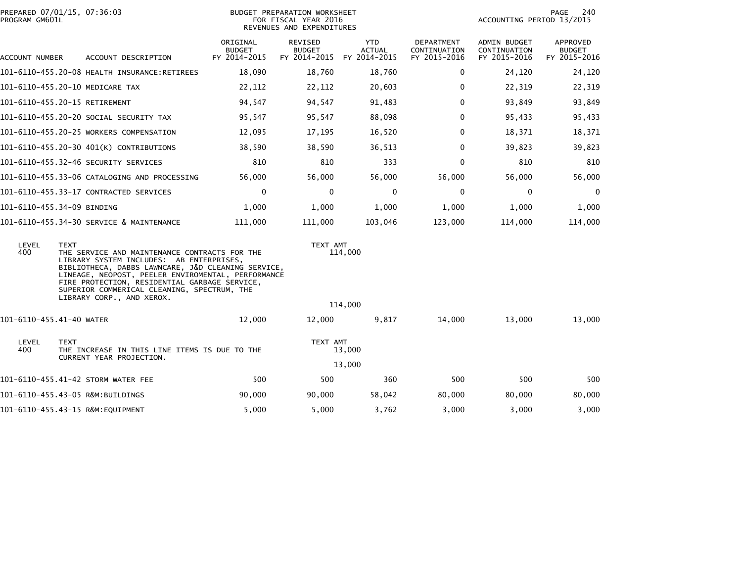| PROGRAM GM601L           | PREPARED 07/01/15, 07:36:03                                                                                                                                                                                                                                                                                                                       | BUDGET PREPARATION WORKSHEET<br>FOR FISCAL YEAR 2016<br>REVENUES AND EXPENDITURES |                                          |                                             |                                            | PAGE<br>240<br>ACCOUNTING PERIOD 13/2015     |                                           |  |
|--------------------------|---------------------------------------------------------------------------------------------------------------------------------------------------------------------------------------------------------------------------------------------------------------------------------------------------------------------------------------------------|-----------------------------------------------------------------------------------|------------------------------------------|---------------------------------------------|--------------------------------------------|----------------------------------------------|-------------------------------------------|--|
| ACCOUNT NUMBER           | ACCOUNT DESCRIPTION                                                                                                                                                                                                                                                                                                                               | ORIGINAL<br><b>BUDGET</b><br>FY 2014-2015                                         | REVISED<br><b>BUDGET</b><br>FY 2014-2015 | <b>YTD</b><br><b>ACTUAL</b><br>FY 2014-2015 | DEPARTMENT<br>CONTINUATION<br>FY 2015-2016 | ADMIN BUDGET<br>CONTINUATION<br>FY 2015-2016 | APPROVED<br><b>BUDGET</b><br>FY 2015-2016 |  |
|                          | 101-6110-455.20-08 HEALTH INSURANCE:RETIREES                                                                                                                                                                                                                                                                                                      | 18,090                                                                            | 18,760                                   | 18,760                                      | 0                                          | 24,120                                       | 24,120                                    |  |
|                          | 101-6110-455.20-10 MEDICARE TAX                                                                                                                                                                                                                                                                                                                   | 22,112                                                                            | 22,112                                   | 20,603                                      | 0                                          | 22,319                                       | 22,319                                    |  |
|                          | 101-6110-455.20-15 RETIREMENT                                                                                                                                                                                                                                                                                                                     | 94,547                                                                            | 94,547                                   | 91,483                                      | $\Omega$                                   | 93,849                                       | 93,849                                    |  |
|                          | 101-6110-455.20-20 SOCIAL SECURITY TAX                                                                                                                                                                                                                                                                                                            | 95,547                                                                            | 95,547                                   | 88,098                                      | 0                                          | 95,433                                       | 95,433                                    |  |
|                          | 101-6110-455.20-25 WORKERS COMPENSATION                                                                                                                                                                                                                                                                                                           | 12,095                                                                            | 17,195                                   | 16,520                                      | 0                                          | 18,371                                       | 18,371                                    |  |
|                          | 101-6110-455.20-30 401(K) CONTRIBUTIONS                                                                                                                                                                                                                                                                                                           | 38,590                                                                            | 38,590                                   | 36,513                                      | 0                                          | 39,823                                       | 39,823                                    |  |
|                          | 101-6110-455.32-46 SECURITY SERVICES                                                                                                                                                                                                                                                                                                              | 810                                                                               | 810                                      | 333                                         | $\Omega$                                   | 810                                          | 810                                       |  |
|                          | 101-6110-455.33-06 CATALOGING AND PROCESSING                                                                                                                                                                                                                                                                                                      | 56,000                                                                            | 56,000                                   | 56,000                                      | 56,000                                     | 56,000                                       | 56,000                                    |  |
|                          | 101-6110-455.33-17 CONTRACTED SERVICES                                                                                                                                                                                                                                                                                                            | $\mathbf 0$                                                                       | $\mathbf 0$                              | $\mathbf 0$                                 | 0                                          | $\mathbf 0$                                  | 0                                         |  |
|                          | 101-6110-455.34-09 BINDING                                                                                                                                                                                                                                                                                                                        | 1,000                                                                             | 1,000                                    | 1,000                                       | 1,000                                      | 1,000                                        | 1,000                                     |  |
|                          | 101-6110-455.34-30 SERVICE & MAINTENANCE                                                                                                                                                                                                                                                                                                          | 111,000                                                                           | 111,000                                  | 103,046                                     | 123,000                                    | 114,000                                      | 114,000                                   |  |
| LEVEL<br>400             | <b>TEXT</b><br>THE SERVICE AND MAINTENANCE CONTRACTS FOR THE<br>LIBRARY SYSTEM INCLUDES: AB ENTERPRISES,<br>BIBLIOTHECA, DABBS LAWNCARE, J&D CLEANING SERVICE,<br>LINEAGE, NEOPOST, PEELER ENVIROMENTAL, PERFORMANCE<br>FIRE PROTECTION, RESIDENTIAL GARBAGE SERVICE,<br>SUPERIOR COMMERICAL CLEANING, SPECTRUM, THE<br>LIBRARY CORP., AND XEROX. |                                                                                   | TEXT AMT                                 | 114,000                                     |                                            |                                              |                                           |  |
|                          |                                                                                                                                                                                                                                                                                                                                                   |                                                                                   |                                          | 114,000                                     |                                            |                                              |                                           |  |
| 101-6110-455.41-40 WATER |                                                                                                                                                                                                                                                                                                                                                   | 12,000                                                                            | 12,000                                   | 9,817                                       | 14,000                                     | 13,000                                       | 13,000                                    |  |
| LEVEL<br>400             | <b>TEXT</b><br>THE INCREASE IN THIS LINE ITEMS IS DUE TO THE<br>CURRENT YEAR PROJECTION.                                                                                                                                                                                                                                                          |                                                                                   | TEXT AMT                                 | 13,000                                      |                                            |                                              |                                           |  |
|                          |                                                                                                                                                                                                                                                                                                                                                   |                                                                                   |                                          | 13,000                                      |                                            |                                              |                                           |  |
|                          | 101-6110-455.41-42 STORM WATER FEE                                                                                                                                                                                                                                                                                                                | 500                                                                               | 500                                      | 360                                         | 500                                        | 500                                          | 500                                       |  |
|                          | 101-6110-455.43-05 R&M:BUILDINGS                                                                                                                                                                                                                                                                                                                  | 90,000                                                                            | 90,000                                   | 58,042                                      | 80,000                                     | 80,000                                       | 80,000                                    |  |
|                          | 101-6110-455.43-15 R&M:EQUIPMENT                                                                                                                                                                                                                                                                                                                  | 5,000                                                                             | 5,000                                    | 3,762                                       | 3,000                                      | 3,000                                        | 3,000                                     |  |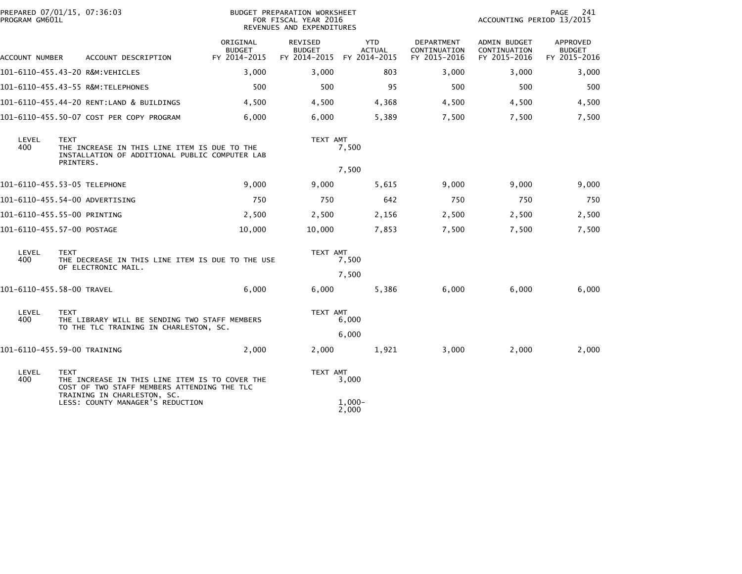| PROGRAM GM601L | PREPARED 07/01/15, 07:36:03                                                                                                                 | BUDGET PREPARATION WORKSHEET<br>FOR FISCAL YEAR 2016<br>REVENUES AND EXPENDITURES |                                                 |                                             |                                            | PAGE<br>241<br>ACCOUNTING PERIOD 13/2015     |                                           |  |
|----------------|---------------------------------------------------------------------------------------------------------------------------------------------|-----------------------------------------------------------------------------------|-------------------------------------------------|---------------------------------------------|--------------------------------------------|----------------------------------------------|-------------------------------------------|--|
| ACCOUNT NUMBER | ACCOUNT DESCRIPTION                                                                                                                         | ORIGINAL<br><b>BUDGET</b><br>FY 2014-2015                                         | <b>REVISED</b><br><b>BUDGET</b><br>FY 2014-2015 | <b>YTD</b><br><b>ACTUAL</b><br>FY 2014-2015 | DEPARTMENT<br>CONTINUATION<br>FY 2015-2016 | ADMIN BUDGET<br>CONTINUATION<br>FY 2015-2016 | APPROVED<br><b>BUDGET</b><br>FY 2015-2016 |  |
|                | 101-6110-455.43-20 R&M:VEHICLES                                                                                                             | 3,000                                                                             | 3,000                                           | 803                                         | 3,000                                      | 3,000                                        | 3,000                                     |  |
|                | 101-6110-455.43-55 R&M:TELEPHONES                                                                                                           | 500                                                                               | 500                                             | 95                                          | 500                                        | 500                                          | 500                                       |  |
|                | 101-6110-455.44-20 RENT:LAND & BUILDINGS                                                                                                    | 4,500                                                                             | 4,500                                           | 4,368                                       | 4,500                                      | 4,500                                        | 4,500                                     |  |
|                | 101-6110-455.50-07 COST PER COPY PROGRAM                                                                                                    | 6,000                                                                             | 6,000                                           | 5,389                                       | 7,500                                      | 7,500                                        | 7,500                                     |  |
| LEVEL<br>400   | <b>TEXT</b><br>THE INCREASE IN THIS LINE ITEM IS DUE TO THE<br>INSTALLATION OF ADDITIONAL PUBLIC COMPUTER LAB<br>PRINTERS.                  |                                                                                   | TEXT AMT                                        | 7,500                                       |                                            |                                              |                                           |  |
|                |                                                                                                                                             |                                                                                   |                                                 | 7,500                                       |                                            |                                              |                                           |  |
|                | 101-6110-455.53-05 TELEPHONE                                                                                                                | 9,000                                                                             | 9,000                                           | 5,615                                       | 9,000                                      | 9,000                                        | 9,000                                     |  |
|                | 101-6110-455.54-00 ADVERTISING                                                                                                              | 750                                                                               | 750                                             | 642                                         | 750                                        | 750                                          | 750                                       |  |
|                | 101-6110-455.55-00 PRINTING                                                                                                                 | 2,500                                                                             | 2,500                                           | 2,156                                       | 2,500                                      | 2,500                                        | 2,500                                     |  |
|                | 101-6110-455.57-00 POSTAGE                                                                                                                  | 10,000                                                                            | 10,000                                          | 7,853                                       | 7,500                                      | 7,500                                        | 7,500                                     |  |
| LEVEL<br>400   | <b>TEXT</b><br>THE DECREASE IN THIS LINE ITEM IS DUE TO THE USE<br>OF ELECTRONIC MAIL.                                                      |                                                                                   | TEXT AMT<br>7,500                               |                                             |                                            |                                              |                                           |  |
|                |                                                                                                                                             |                                                                                   |                                                 | 7,500                                       |                                            |                                              |                                           |  |
|                | 101-6110-455.58-00 TRAVEL                                                                                                                   | 6,000                                                                             | 6,000                                           | 5,386                                       | 6,000                                      | 6,000                                        | 6,000                                     |  |
| LEVEL<br>400   | <b>TEXT</b><br>THE LIBRARY WILL BE SENDING TWO STAFF MEMBERS<br>TO THE TLC TRAINING IN CHARLESTON, SC.                                      |                                                                                   | TEXT AMT                                        | 6,000                                       |                                            |                                              |                                           |  |
|                |                                                                                                                                             |                                                                                   |                                                 | 6,000                                       |                                            |                                              |                                           |  |
|                | 101-6110-455.59-00 TRAINING                                                                                                                 | 2,000                                                                             | 2,000                                           | 1,921                                       | 3,000                                      | 2,000                                        | 2,000                                     |  |
| LEVEL<br>400   | <b>TEXT</b><br>THE INCREASE IN THIS LINE ITEM IS TO COVER THE<br>COST OF TWO STAFF MEMBERS ATTENDING THE TLC<br>TRAINING IN CHARLESTON, SC. |                                                                                   | TEXT AMT                                        | 3,000                                       |                                            |                                              |                                           |  |
|                | LESS: COUNTY MANAGER'S REDUCTION                                                                                                            |                                                                                   |                                                 | $1.000 -$<br>2,000                          |                                            |                                              |                                           |  |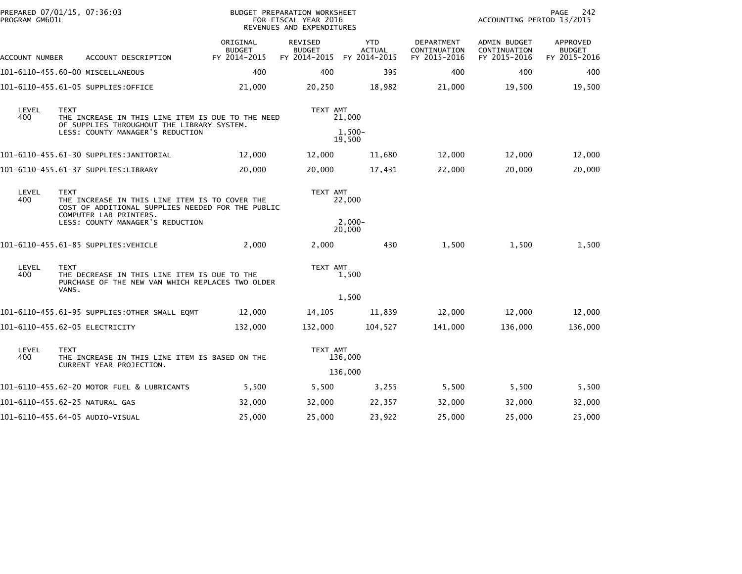| PREPARED 07/01/15, 07:36:03<br>PROGRAM GM601L |                                                                                           |                                                   | BUDGET PREPARATION WORKSHEET<br>FOR FISCAL YEAR 2016<br>REVENUES AND EXPENDITURES |                                             |                                            | ACCOUNTING PERIOD 13/2015                    |                                           |  |
|-----------------------------------------------|-------------------------------------------------------------------------------------------|---------------------------------------------------|-----------------------------------------------------------------------------------|---------------------------------------------|--------------------------------------------|----------------------------------------------|-------------------------------------------|--|
| ACCOUNT NUMBER                                | ACCOUNT DESCRIPTION                                                                       | ORIGINAL<br><b>BUDGET</b><br>FY 2014-2015         | REVISED<br><b>BUDGET</b><br>FY 2014-2015                                          | <b>YTD</b><br><b>ACTUAL</b><br>FY 2014-2015 | DEPARTMENT<br>CONTINUATION<br>FY 2015-2016 | ADMIN BUDGET<br>CONTINUATION<br>FY 2015-2016 | APPROVED<br><b>BUDGET</b><br>FY 2015-2016 |  |
|                                               | 101-6110-455.60-00 MISCELLANEOUS                                                          | 400                                               | 400                                                                               | 395                                         | 400                                        | 400                                          | 400                                       |  |
|                                               | 101-6110-455.61-05 SUPPLIES:OFFICE                                                        | 21,000                                            | 20,250                                                                            | 18,982                                      | 21,000                                     | 19,500                                       | 19,500                                    |  |
| LEVEL<br>400                                  | <b>TEXT</b><br>OF SUPPLIES THROUGHOUT THE LIBRARY SYSTEM.                                 | THE INCREASE IN THIS LINE ITEM IS DUE TO THE NEED | TEXT AMT<br>21,000                                                                |                                             |                                            |                                              |                                           |  |
|                                               | LESS: COUNTY MANAGER'S REDUCTION                                                          |                                                   |                                                                                   | 1,500-<br>19,500                            |                                            |                                              |                                           |  |
|                                               | 101-6110-455.61-30 SUPPLIES:JANITORIAL                                                    | 12,000                                            | 12,000                                                                            | 11,680                                      | 12,000                                     | 12,000                                       | 12,000                                    |  |
|                                               | 101-6110-455.61-37 SUPPLIES:LIBRARY                                                       | 20,000                                            | 20,000                                                                            | 17,431                                      | 22,000                                     | 20,000                                       | 20,000                                    |  |
| LEVEL<br>400                                  | <b>TEXT</b><br>THE INCREASE IN THIS LINE ITEM IS TO COVER THE<br>COMPUTER LAB PRINTERS.   | COST OF ADDITIONAL SUPPLIES NEEDED FOR THE PUBLIC | TEXT AMT                                                                          | 22,000                                      |                                            |                                              |                                           |  |
|                                               | LESS: COUNTY MANAGER'S REDUCTION                                                          |                                                   |                                                                                   | $2,000-$<br>20,000                          |                                            |                                              |                                           |  |
|                                               | 101-6110-455.61-85 SUPPLIES:VEHICLE                                                       | 2,000                                             | 2,000                                                                             | 430                                         | 1,500                                      | 1,500                                        | 1,500                                     |  |
| LEVEL<br>400                                  | <b>TEXT</b><br>THE DECREASE IN THIS LINE ITEM IS DUE TO THE<br>VANS.                      | PURCHASE OF THE NEW VAN WHICH REPLACES TWO OLDER  | TEXT AMT                                                                          | 1,500                                       |                                            |                                              |                                           |  |
|                                               |                                                                                           |                                                   |                                                                                   | 1,500                                       |                                            |                                              |                                           |  |
|                                               | 101-6110-455.61-95 SUPPLIES:OTHER SMALL EQMT                                              | 12,000                                            | 14,105                                                                            | 11,839                                      | 12,000                                     | 12,000                                       | 12,000                                    |  |
|                                               | 101-6110-455.62-05 ELECTRICITY                                                            | 132,000                                           | 132,000                                                                           | 104,527                                     | 141,000                                    | 136,000                                      | 136,000                                   |  |
| LEVEL<br>400                                  | <b>TEXT</b><br>THE INCREASE IN THIS LINE ITEM IS BASED ON THE<br>CURRENT YEAR PROJECTION. |                                                   | TEXT AMT                                                                          | 136,000                                     |                                            |                                              |                                           |  |
|                                               |                                                                                           |                                                   |                                                                                   | 136,000                                     |                                            |                                              |                                           |  |
|                                               | 101-6110-455.62-20 MOTOR FUEL & LUBRICANTS                                                | 5,500                                             | 5,500                                                                             | 3,255                                       | 5,500                                      | 5,500                                        | 5,500                                     |  |
|                                               | 101-6110-455.62-25 NATURAL GAS                                                            | 32,000                                            | 32,000                                                                            | 22,357                                      | 32,000                                     | 32,000                                       | 32,000                                    |  |
|                                               | 101-6110-455.64-05 AUDIO-VISUAL                                                           | 25,000                                            | 25,000                                                                            | 23,922                                      | 25,000                                     | 25,000                                       | 25,000                                    |  |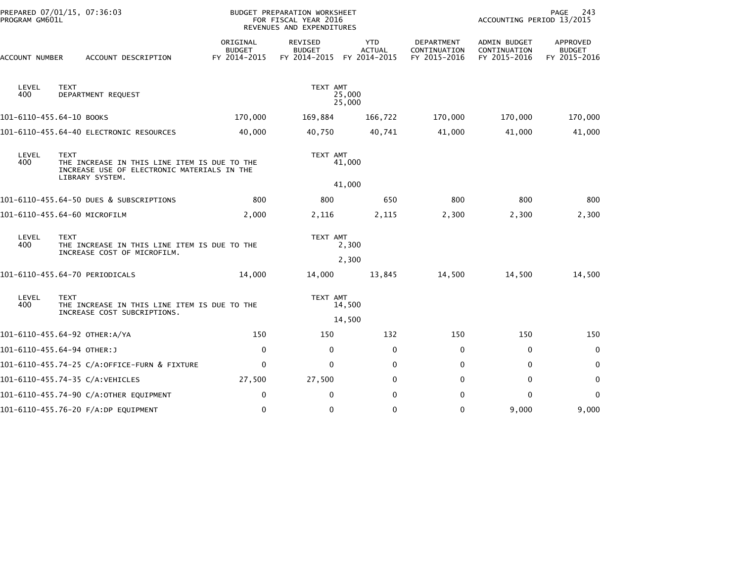| PROGRAM GM601L           | PREPARED 07/01/15, 07:36:03                                                                                                   | <b>BUDGET PREPARATION WORKSHEET</b><br>FOR FISCAL YEAR 2016<br>REVENUES AND EXPENDITURES |                                          |                                             |                                            | 243<br>PAGE<br>ACCOUNTING PERIOD 13/2015            |                                           |
|--------------------------|-------------------------------------------------------------------------------------------------------------------------------|------------------------------------------------------------------------------------------|------------------------------------------|---------------------------------------------|--------------------------------------------|-----------------------------------------------------|-------------------------------------------|
| ACCOUNT NUMBER           | ACCOUNT DESCRIPTION                                                                                                           | ORIGINAL<br><b>BUDGET</b><br>FY 2014-2015                                                | REVISED<br><b>BUDGET</b><br>FY 2014-2015 | <b>YTD</b><br><b>ACTUAL</b><br>FY 2014-2015 | DEPARTMENT<br>CONTINUATION<br>FY 2015-2016 | <b>ADMIN BUDGET</b><br>CONTINUATION<br>FY 2015-2016 | APPROVED<br><b>BUDGET</b><br>FY 2015-2016 |
| LEVEL<br>400             | <b>TEXT</b><br>DEPARTMENT REQUEST                                                                                             |                                                                                          | TEXT AMT                                 | 25,000<br>25,000                            |                                            |                                                     |                                           |
| 101-6110-455.64-10 BOOKS |                                                                                                                               | 170,000                                                                                  | 169,884                                  | 166,722                                     | 170,000                                    | 170,000                                             | 170,000                                   |
|                          | 101-6110-455.64-40 ELECTRONIC RESOURCES                                                                                       | 40,000                                                                                   | 40,750                                   | 40,741                                      | 41,000                                     | 41,000                                              | 41,000                                    |
| LEVEL<br>400             | <b>TEXT</b><br>THE INCREASE IN THIS LINE ITEM IS DUE TO THE<br>INCREASE USE OF ELECTRONIC MATERIALS IN THE<br>LIBRARY SYSTEM. |                                                                                          | TEXT AMT                                 | 41,000                                      |                                            |                                                     |                                           |
|                          |                                                                                                                               |                                                                                          |                                          | 41,000                                      |                                            |                                                     |                                           |
|                          | 101-6110-455.64-50 DUES & SUBSCRIPTIONS                                                                                       | 800                                                                                      | 800                                      | 650                                         | 800                                        | 800                                                 | 800                                       |
|                          | 101-6110-455.64-60 MICROFILM                                                                                                  | 2,000                                                                                    | 2,116                                    | 2,115                                       | 2,300                                      | 2,300                                               | 2,300                                     |
| LEVEL<br>400             | <b>TEXT</b><br>THE INCREASE IN THIS LINE ITEM IS DUE TO THE<br>INCREASE COST OF MICROFILM.                                    | TEXT AMT<br>2,300                                                                        |                                          |                                             |                                            |                                                     |                                           |
|                          |                                                                                                                               |                                                                                          |                                          | 2,300                                       |                                            |                                                     |                                           |
|                          | 101-6110-455.64-70 PERIODICALS                                                                                                | 14,000                                                                                   | 14,000                                   | 13,845                                      | 14,500                                     | 14,500                                              | 14,500                                    |
| LEVEL<br>400             | <b>TEXT</b><br>THE INCREASE IN THIS LINE ITEM IS DUE TO THE                                                                   |                                                                                          | TEXT AMT                                 | 14,500                                      |                                            |                                                     |                                           |
|                          | INCREASE COST SUBCRIPTIONS.                                                                                                   |                                                                                          |                                          | 14,500                                      |                                            |                                                     |                                           |
|                          | 101-6110-455.64-92 OTHER:A/YA                                                                                                 | 150                                                                                      | 150                                      | 132                                         | 150                                        | 150                                                 | 150                                       |
|                          | 101-6110-455.64-94 OTHER:J                                                                                                    | $\mathbf 0$                                                                              | 0                                        | $\mathbf{0}$                                | 0                                          | 0                                                   | 0                                         |
|                          | 101-6110-455.74-25 C/A:OFFICE-FURN & FIXTURE                                                                                  | $\mathbf 0$                                                                              | 0                                        | $\mathbf{0}$                                | 0                                          | $\mathbf 0$                                         | 0                                         |
|                          | 101-6110-455.74-35 C/A:VEHICLES                                                                                               | 27,500                                                                                   | 27,500                                   | $\mathbf{0}$                                | $\Omega$                                   | 0                                                   | 0                                         |
|                          | 101-6110-455.74-90 C/A:OTHER EQUIPMENT                                                                                        | $\mathbf 0$                                                                              | $\Omega$                                 | $\mathbf{0}$                                | 0                                          | $\mathbf{0}$                                        | $\mathbf{0}$                              |
|                          | 101-6110-455.76-20 F/A:DP EQUIPMENT                                                                                           | $\mathbf 0$                                                                              | 0                                        | $\mathbf 0$                                 | $\Omega$                                   | 9,000                                               | 9,000                                     |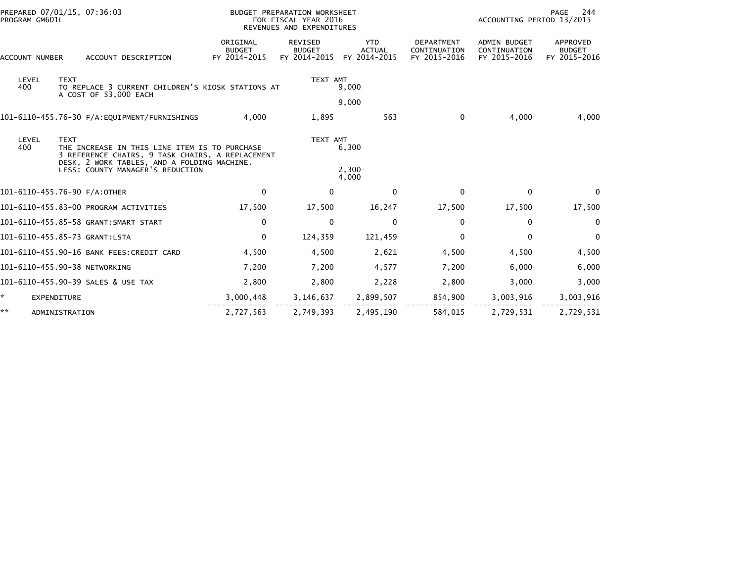| PROGRAM GM601L | PREPARED 07/01/15, 07:36:03                                                                                                                                                                         |                                           | BUDGET PREPARATION WORKSHEET<br>FOR FISCAL YEAR 2016<br>REVENUES AND EXPENDITURES | PAGE<br>244<br>ACCOUNTING PERIOD 13/2015    |                                                   |                                                     |                                           |
|----------------|-----------------------------------------------------------------------------------------------------------------------------------------------------------------------------------------------------|-------------------------------------------|-----------------------------------------------------------------------------------|---------------------------------------------|---------------------------------------------------|-----------------------------------------------------|-------------------------------------------|
| ACCOUNT NUMBER | ACCOUNT DESCRIPTION                                                                                                                                                                                 | ORIGINAL<br><b>BUDGET</b><br>FY 2014-2015 | REVISED<br><b>BUDGET</b><br>FY 2014-2015                                          | <b>YTD</b><br><b>ACTUAL</b><br>FY 2014-2015 | <b>DEPARTMENT</b><br>CONTINUATION<br>FY 2015-2016 | <b>ADMIN BUDGET</b><br>CONTINUATION<br>FY 2015-2016 | APPROVED<br><b>BUDGET</b><br>FY 2015-2016 |
| LEVEL<br>400   | <b>TEXT</b><br>TO REPLACE 3 CURRENT CHILDREN'S KIOSK STATIONS AT<br>A COST OF \$3,000 EACH                                                                                                          |                                           | TEXT AMT                                                                          | 9,000                                       |                                                   |                                                     |                                           |
|                |                                                                                                                                                                                                     |                                           |                                                                                   | 9,000                                       |                                                   |                                                     |                                           |
|                |                                                                                                                                                                                                     | 4.000                                     | 1,895                                                                             | 563                                         | $\mathbf 0$                                       | 4,000                                               | 4,000                                     |
| LEVEL<br>400   | <b>TEXT</b><br>THE INCREASE IN THIS LINE ITEM IS TO PURCHASE<br>3 REFERENCE CHAIRS, 9 TASK CHAIRS, A REPLACEMENT<br>DESK, 2 WORK TABLES, AND A FOLDING MACHINE.<br>LESS: COUNTY MANAGER'S REDUCTION |                                           | TEXT AMT                                                                          | 6,300<br>$2,300-$<br>4,000                  |                                                   |                                                     |                                           |
|                | 101-6110-455.76-90 F/A:OTHER                                                                                                                                                                        | $\Omega$                                  | $\mathbf{0}$                                                                      | $\mathbf{0}$                                | $\mathbf{0}$                                      | $\mathbf{0}$                                        | $\Omega$                                  |
|                | 101-6110-455.83-00 PROGRAM ACTIVITIES                                                                                                                                                               | 17,500                                    | 17,500                                                                            | 16,247                                      | 17,500                                            | 17,500                                              | 17,500                                    |
|                | 101-6110-455.85-58 GRANT: SMART START                                                                                                                                                               | $\mathbf 0$                               | 0                                                                                 | 0                                           | 0                                                 | 0                                                   | 0                                         |
|                | 101-6110-455.85-73 GRANT:LSTA                                                                                                                                                                       | $\mathbf 0$                               | 124,359                                                                           | 121,459                                     | $\Omega$                                          | $\mathbf{0}$                                        | $\mathbf 0$                               |
|                | 101-6110-455.90-16 BANK FEES:CREDIT CARD                                                                                                                                                            | 4,500                                     | 4,500                                                                             | 2,621                                       | 4,500                                             | 4,500                                               | 4,500                                     |
|                | 101-6110-455.90-38 NETWORKING                                                                                                                                                                       | 7,200                                     | 7,200                                                                             | 4,577                                       | 7,200                                             | 6,000                                               | 6,000                                     |
|                | 101-6110-455.90-39 SALES & USE TAX                                                                                                                                                                  | 2,800                                     | 2,800                                                                             | 2,228                                       | 2,800                                             | 3,000                                               | 3,000                                     |
|                | <b>EXPENDITURE</b>                                                                                                                                                                                  | 3,000,448                                 | 3,146,637                                                                         | 2,899,507                                   | 854,900                                           | 3,003,916                                           | 3,003,916                                 |
| **             | ADMINISTRATION                                                                                                                                                                                      | 2,727,563                                 | 2,749,393                                                                         | 2,495,190                                   | 584,015                                           | 2,729,531                                           | 2,729,531                                 |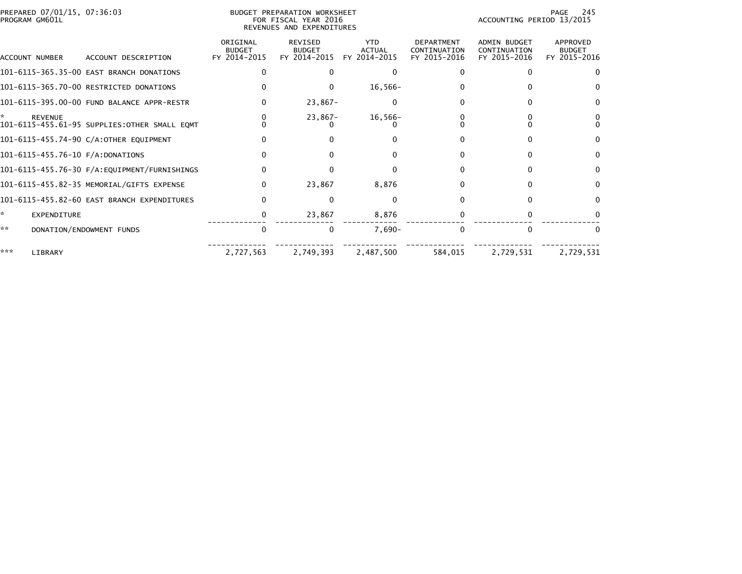| PREPARED 07/01/15, 07:36:03<br>BUDGET PREPARATION WORKSHEET<br>PROGRAM GM601L<br>FOR FISCAL YEAR 2016<br>REVENUES AND EXPENDITURES |                                              |                                           |                                                 |                                             |                                                   |                                                     | 245<br>PAGE<br>ACCOUNTING PERIOD 13/2015  |  |
|------------------------------------------------------------------------------------------------------------------------------------|----------------------------------------------|-------------------------------------------|-------------------------------------------------|---------------------------------------------|---------------------------------------------------|-----------------------------------------------------|-------------------------------------------|--|
| ACCOUNT NUMBER                                                                                                                     | ACCOUNT DESCRIPTION                          | ORIGINAL<br><b>BUDGET</b><br>FY 2014-2015 | <b>REVISED</b><br><b>BUDGET</b><br>FY 2014-2015 | <b>YTD</b><br><b>ACTUAL</b><br>FY 2014-2015 | <b>DEPARTMENT</b><br>CONTINUATION<br>FY 2015-2016 | <b>ADMIN BUDGET</b><br>CONTINUATION<br>FY 2015-2016 | APPROVED<br><b>BUDGET</b><br>FY 2015-2016 |  |
|                                                                                                                                    | 101-6115-365.35-00 EAST BRANCH DONATIONS     |                                           |                                                 | 0                                           |                                                   |                                                     |                                           |  |
|                                                                                                                                    | 101-6115-365.70-00 RESTRICTED DONATIONS      |                                           | $\Omega$                                        | $16,566-$                                   |                                                   | 0                                                   |                                           |  |
|                                                                                                                                    | 101-6115-395.00-00 FUND BALANCE APPR-RESTR   |                                           | $23,867-$                                       | $\Omega$                                    |                                                   |                                                     |                                           |  |
| <b>REVENUE</b>                                                                                                                     | 101-6115-455.61-95 SUPPLIES:OTHER SMALL EQMT |                                           | $23,867-$                                       | $16,566-$                                   |                                                   |                                                     |                                           |  |
|                                                                                                                                    | 101-6115-455.74-90 C/A:OTHER EQUIPMENT       |                                           |                                                 |                                             |                                                   | 0                                                   | <sup>0</sup>                              |  |
| 101-6115-455.76-10 F/A:DONATIONS                                                                                                   |                                              |                                           | 0                                               |                                             | 0                                                 | 0                                                   | <sup>0</sup>                              |  |
|                                                                                                                                    |                                              |                                           | $\Omega$                                        | ŋ                                           |                                                   | 0                                                   | <sup>0</sup>                              |  |
|                                                                                                                                    | 101-6115-455.82-35 MEMORIAL/GIFTS EXPENSE    | 0                                         | 23,867                                          | 8,876                                       |                                                   | 0                                                   | $\Omega$                                  |  |
|                                                                                                                                    | 101-6115-455.82-60 EAST BRANCH EXPENDITURES  | $\Omega$                                  | $\Omega$                                        | $\Omega$                                    | 0                                                 | 0                                                   | <sup>0</sup>                              |  |
| ×.<br>EXPENDITURE                                                                                                                  |                                              | 0                                         | 23,867                                          | 8,876                                       |                                                   | 0                                                   |                                           |  |
| **                                                                                                                                 | DONATION/ENDOWMENT FUNDS                     | 0                                         | $\mathbf{0}$                                    | $7,690-$                                    | $\Omega$                                          | $\Omega$                                            |                                           |  |
| ***<br>LIBRARY                                                                                                                     |                                              | 2,727,563                                 | 2,749,393                                       | 2,487,500                                   | 584,015                                           | 2,729,531                                           | 2,729,531                                 |  |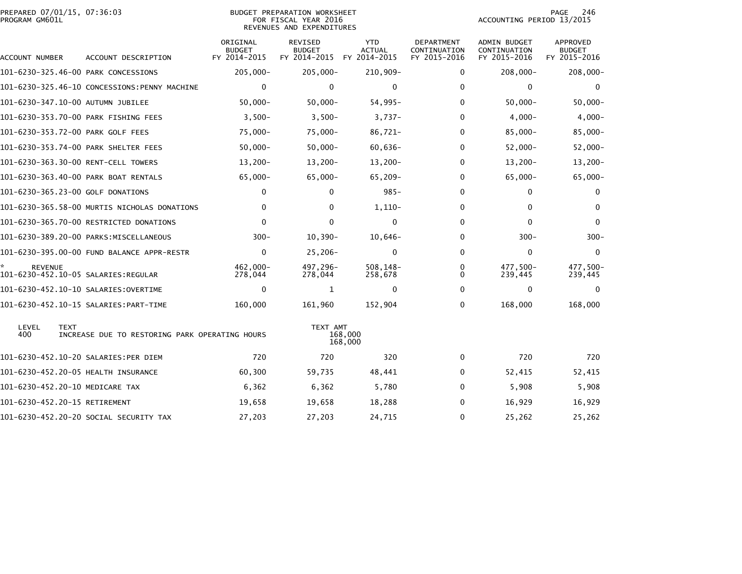| PREPARED 07/01/15, 07:36:03<br>PROGRAM GM601L |                                                |                                           | <b>BUDGET PREPARATION WORKSHEET</b><br>FOR FISCAL YEAR 2016<br>REVENUES AND EXPENDITURES | 246<br>PAGE<br>ACCOUNTING PERIOD 13/2015    |                                            |                                              |                                           |
|-----------------------------------------------|------------------------------------------------|-------------------------------------------|------------------------------------------------------------------------------------------|---------------------------------------------|--------------------------------------------|----------------------------------------------|-------------------------------------------|
| ACCOUNT NUMBER                                | ACCOUNT DESCRIPTION                            | ORIGINAL<br><b>BUDGET</b><br>FY 2014-2015 | REVISED<br><b>BUDGET</b><br>FY 2014-2015                                                 | <b>YTD</b><br><b>ACTUAL</b><br>FY 2014-2015 | DEPARTMENT<br>CONTINUATION<br>FY 2015-2016 | ADMIN BUDGET<br>CONTINUATION<br>FY 2015-2016 | APPROVED<br><b>BUDGET</b><br>FY 2015-2016 |
|                                               | 101-6230-325.46-00 PARK CONCESSIONS            | 205,000-                                  | $205,000 -$                                                                              | 210,909-                                    | $\Omega$                                   | $208,000 -$                                  | $208,000 -$                               |
|                                               | 101-6230-325.46-10 CONCESSIONS:PENNY MACHINE   | $\Omega$                                  | $\Omega$                                                                                 | $\mathbf{0}$                                | $\Omega$                                   | $\Omega$                                     | $\Omega$                                  |
|                                               | 101-6230-347.10-00 AUTUMN JUBILEE              | $50,000 -$                                | $50,000 -$                                                                               | $54,995-$                                   | $\Omega$                                   | $50,000 -$                                   | $50,000 -$                                |
|                                               | 101-6230-353.70-00 PARK FISHING FEES           | $3,500-$                                  | $3,500-$                                                                                 | $3,737-$                                    | 0                                          | $4,000-$                                     | $4,000-$                                  |
|                                               | 101-6230-353.72-00 PARK GOLF FEES              | 75,000-                                   | $75,000 -$                                                                               | 86,721-                                     | 0                                          | $85,000 -$                                   | $85,000 -$                                |
|                                               | 101-6230-353.74-00 PARK SHELTER FEES           | $50,000 -$                                | $50,000 -$                                                                               | $60,636-$                                   | $\Omega$                                   | $52,000 -$                                   | $52,000 -$                                |
|                                               | 101-6230-363.30-00 RENT-CELL TOWERS            | $13,200-$                                 | $13,200-$                                                                                | $13,200-$                                   | 0                                          | $13,200-$                                    | $13,200 -$                                |
|                                               | 101-6230-363.40-00 PARK BOAT RENTALS           | $65,000 -$                                | 65,000-                                                                                  | $65, 209 -$                                 | $\Omega$                                   | $65,000 -$                                   | $65,000 -$                                |
|                                               | 101-6230-365.23-00 GOLF DONATIONS              | $\Omega$                                  | $\Omega$                                                                                 | $985 -$                                     | 0                                          | $\Omega$                                     | $\Omega$                                  |
|                                               | 101-6230-365.58-00 MURTIS NICHOLAS DONATIONS   | 0                                         | 0                                                                                        | $1,110-$                                    | 0                                          | 0                                            | $\bf{0}$                                  |
|                                               | 101-6230-365.70-00 RESTRICTED DONATIONS        | $\mathbf 0$                               | $\mathbf 0$                                                                              | $\mathbf 0$                                 | $\Omega$                                   | $\mathbf 0$                                  | $\mathbf{0}$                              |
|                                               | 101-6230-389.20-00 PARKS:MISCELLANEOUS         | $300 -$                                   | $10, 390 -$                                                                              | $10,646-$                                   | 0                                          | $300 -$                                      | $300 -$                                   |
|                                               | 101-6230-395.00-00 FUND BALANCE APPR-RESTR     | 0                                         | $25,206 -$                                                                               | $\mathbf{0}$                                | $\Omega$                                   | 0                                            | 0                                         |
| <b>REVENUE</b>                                | 101-6230-452.10-05 SALARIES:REGULAR            | $462,000 -$<br>278,044                    | 497,296-<br>278,044                                                                      | $508, 148 -$<br>258,678                     | 0<br>0                                     | 477,500-<br>239,445                          | 477,500-<br>239,445                       |
|                                               |                                                | 0                                         | 1                                                                                        | 0                                           | $\Omega$                                   | 0                                            | $\Omega$                                  |
|                                               |                                                | 160,000                                   | 161,960                                                                                  | 152,904                                     | $\Omega$                                   | 168,000                                      | 168,000                                   |
| LEVEL<br><b>TEXT</b><br>400                   | INCREASE DUE TO RESTORING PARK OPERATING HOURS |                                           | TEXT AMT                                                                                 | 168,000<br>168,000                          |                                            |                                              |                                           |
|                                               | 101-6230-452.10-20 SALARIES:PER DIEM           | 720                                       | 720                                                                                      | 320                                         | $\Omega$                                   | 720                                          | 720                                       |
|                                               | 101-6230-452.20-05 HEALTH INSURANCE            | 60,300                                    | 59,735                                                                                   | 48,441                                      | 0                                          | 52,415                                       | 52,415                                    |
|                                               | 101-6230-452.20-10 MEDICARE TAX                | 6,362                                     | 6,362                                                                                    | 5,780                                       | $\Omega$                                   | 5,908                                        | 5,908                                     |
| 101-6230-452.20-15 RETIREMENT                 |                                                | 19,658                                    | 19,658                                                                                   | 18,288                                      | 0                                          | 16,929                                       | 16,929                                    |
|                                               | 101-6230-452.20-20 SOCIAL SECURITY TAX         | 27,203                                    | 27,203                                                                                   | 24,715                                      | 0                                          | 25,262                                       | 25,262                                    |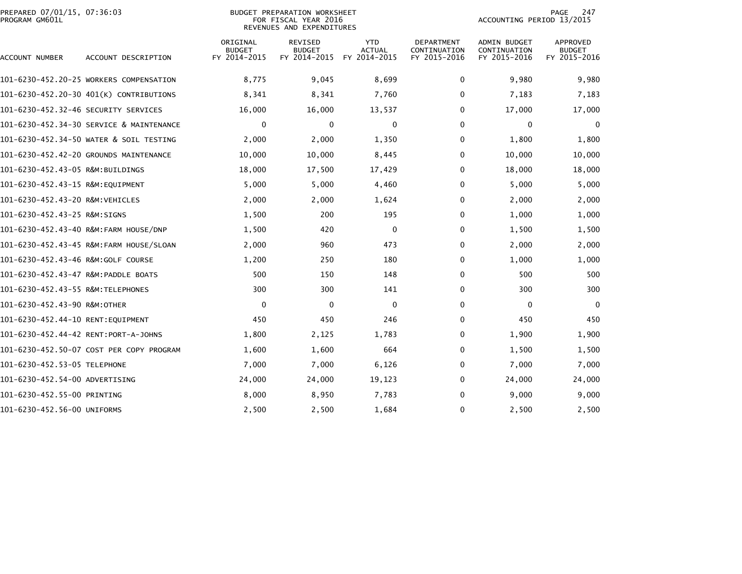| PREPARED 07/01/15, 07:36:03<br>BUDGET PREPARATION WORKSHEET<br>PROGRAM GM601L<br>FOR FISCAL YEAR 2016<br>REVENUES AND EXPENDITURES |                                          |                                           |                                                 | <b>PAGE</b><br>ACCOUNTING PERIOD 13/2015    |                                                   |                                                     | 247                                              |
|------------------------------------------------------------------------------------------------------------------------------------|------------------------------------------|-------------------------------------------|-------------------------------------------------|---------------------------------------------|---------------------------------------------------|-----------------------------------------------------|--------------------------------------------------|
| ACCOUNT NUMBER                                                                                                                     | ACCOUNT DESCRIPTION                      | ORIGINAL<br><b>BUDGET</b><br>FY 2014-2015 | <b>REVISED</b><br><b>BUDGET</b><br>FY 2014-2015 | <b>YTD</b><br><b>ACTUAL</b><br>FY 2014-2015 | <b>DEPARTMENT</b><br>CONTINUATION<br>FY 2015-2016 | <b>ADMIN BUDGET</b><br>CONTINUATION<br>FY 2015-2016 | <b>APPROVED</b><br><b>BUDGET</b><br>FY 2015-2016 |
|                                                                                                                                    | 101-6230-452.20-25 WORKERS COMPENSATION  | 8,775                                     | 9,045                                           | 8,699                                       | 0                                                 | 9,980                                               | 9,980                                            |
|                                                                                                                                    | 101-6230-452.20-30 401(K) CONTRIBUTIONS  | 8,341                                     | 8,341                                           | 7,760                                       | 0                                                 | 7,183                                               | 7,183                                            |
|                                                                                                                                    |                                          | 16,000                                    | 16,000                                          | 13,537                                      | 0                                                 | 17,000                                              | 17,000                                           |
|                                                                                                                                    | 101-6230-452.34-30 SERVICE & MAINTENANCE | $\mathbf 0$                               | 0                                               | $\mathbf 0$                                 | 0                                                 | 0                                                   | 0                                                |
|                                                                                                                                    | 101-6230-452.34-50 WATER & SOIL TESTING  | 2,000                                     | 2,000                                           | 1,350                                       | 0                                                 | 1,800                                               | 1,800                                            |
|                                                                                                                                    | 101-6230-452.42-20 GROUNDS MAINTENANCE   | 10,000                                    | 10,000                                          | 8,445                                       | 0                                                 | 10,000                                              | 10,000                                           |
| 101-6230-452.43-05 R&M:BUILDINGS                                                                                                   |                                          | 18,000                                    | 17,500                                          | 17,429                                      | 0                                                 | 18,000                                              | 18,000                                           |
| 101-6230-452.43-15 R&M:EQUIPMENT                                                                                                   |                                          | 5,000                                     | 5,000                                           | 4,460                                       | 0                                                 | 5,000                                               | 5,000                                            |
| 101-6230-452.43-20 R&M:VEHICLES                                                                                                    |                                          | 2,000                                     | 2,000                                           | 1,624                                       | 0                                                 | 2,000                                               | 2,000                                            |
| 101-6230-452.43-25 R&M:SIGNS                                                                                                       |                                          | 1,500                                     | 200                                             | 195                                         | 0                                                 | 1,000                                               | 1,000                                            |
|                                                                                                                                    | 101-6230-452.43-40 R&M:FARM HOUSE/DNP    | 1,500                                     | 420                                             | 0                                           | 0                                                 | 1,500                                               | 1,500                                            |
|                                                                                                                                    | 101-6230-452.43-45 R&M:FARM HOUSE/SLOAN  | 2,000                                     | 960                                             | 473                                         | 0                                                 | 2,000                                               | 2,000                                            |
|                                                                                                                                    |                                          | 1,200                                     | 250                                             | 180                                         | 0                                                 | 1,000                                               | 1,000                                            |
| 101-6230-452.43-47 R&M:PADDLE BOATS                                                                                                |                                          | 500                                       | 150                                             | 148                                         | 0                                                 | 500                                                 | 500                                              |
| 101-6230-452.43-55 R&M:TELEPHONES                                                                                                  |                                          | 300                                       | 300                                             | 141                                         | 0                                                 | 300                                                 | 300                                              |
| 101-6230-452.43-90 R&M:OTHER                                                                                                       |                                          | 0                                         | $\Omega$                                        | $\mathbf{0}$                                | 0                                                 | $\Omega$                                            | $\mathbf 0$                                      |
| 101-6230-452.44-10 RENT:EQUIPMENT                                                                                                  |                                          | 450                                       | 450                                             | 246                                         | 0                                                 | 450                                                 | 450                                              |
| 101-6230-452.44-42 RENT:PORT-A-JOHNS                                                                                               |                                          | 1,800                                     | 2,125                                           | 1,783                                       | 0                                                 | 1,900                                               | 1,900                                            |
|                                                                                                                                    | 101-6230-452.50-07 COST PER COPY PROGRAM | 1,600                                     | 1,600                                           | 664                                         | 0                                                 | 1,500                                               | 1,500                                            |
| 101-6230-452.53-05 TELEPHONE                                                                                                       |                                          | 7,000                                     | 7,000                                           | 6,126                                       | 0                                                 | 7,000                                               | 7,000                                            |
| 101-6230-452.54-00 ADVERTISING                                                                                                     |                                          | 24,000                                    | 24,000                                          | 19,123                                      | 0                                                 | 24,000                                              | 24,000                                           |
| 101-6230-452.55-00 PRINTING                                                                                                        |                                          | 8,000                                     | 8,950                                           | 7,783                                       | 0                                                 | 9,000                                               | 9,000                                            |
| 101-6230-452.56-00 UNIFORMS                                                                                                        |                                          | 2,500                                     | 2,500                                           | 1,684                                       | 0                                                 | 2,500                                               | 2,500                                            |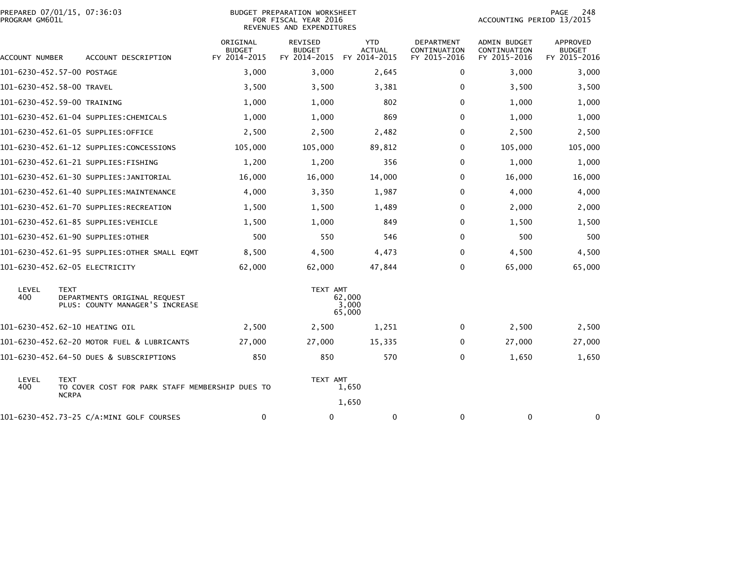| PROGRAM GM601L            | PREPARED 07/01/15, 07:36:03                                                    | <b>BUDGET PREPARATION WORKSHEET</b><br>FOR FISCAL YEAR 2016<br>REVENUES AND EXPENDITURES |                                          |                                             |                                            |                                              | 248<br><b>PAGE</b><br>ACCOUNTING PERIOD 13/2015 |  |  |
|---------------------------|--------------------------------------------------------------------------------|------------------------------------------------------------------------------------------|------------------------------------------|---------------------------------------------|--------------------------------------------|----------------------------------------------|-------------------------------------------------|--|--|
| ACCOUNT NUMBER            | ACCOUNT DESCRIPTION                                                            | ORIGINAL<br><b>BUDGET</b><br>FY 2014-2015                                                | REVISED<br><b>BUDGET</b><br>FY 2014-2015 | <b>YTD</b><br><b>ACTUAL</b><br>FY 2014-2015 | DEPARTMENT<br>CONTINUATION<br>FY 2015-2016 | ADMIN BUDGET<br>CONTINUATION<br>FY 2015-2016 | APPROVED<br><b>BUDGET</b><br>FY 2015-2016       |  |  |
|                           | 101-6230-452.57-00 POSTAGE                                                     | 3,000                                                                                    | 3,000                                    | 2,645                                       | 0                                          | 3,000                                        | 3,000                                           |  |  |
| 101-6230-452.58-00 TRAVEL |                                                                                | 3,500                                                                                    | 3,500                                    | 3,381                                       | 0                                          | 3,500                                        | 3,500                                           |  |  |
|                           | 101-6230-452.59-00 TRAINING                                                    | 1,000                                                                                    | 1,000                                    | 802                                         | 0                                          | 1,000                                        | 1,000                                           |  |  |
|                           | 101-6230-452.61-04 SUPPLIES: CHEMICALS                                         | 1,000                                                                                    | 1,000                                    | 869                                         | 0                                          | 1,000                                        | 1,000                                           |  |  |
|                           | 101-6230-452.61-05 SUPPLIES:OFFICE                                             | 2,500                                                                                    | 2,500                                    | 2,482                                       | $\mathbf{0}$                               | 2,500                                        | 2,500                                           |  |  |
|                           | 101-6230-452.61-12 SUPPLIES:CONCESSIONS                                        | 105,000                                                                                  | 105,000                                  | 89,812                                      | $\mathbf{0}$                               | 105,000                                      | 105,000                                         |  |  |
|                           | 101-6230-452.61-21 SUPPLIES:FISHING                                            | 1,200                                                                                    | 1,200                                    | 356                                         | 0                                          | 1,000                                        | 1,000                                           |  |  |
|                           | 101-6230-452.61-30 SUPPLIES:JANITORIAL                                         | 16,000                                                                                   | 16,000                                   | 14,000                                      | $\mathbf{0}$                               | 16,000                                       | 16,000                                          |  |  |
|                           | 101-6230-452.61-40 SUPPLIES:MAINTENANCE                                        | 4,000                                                                                    | 3,350                                    | 1,987                                       | 0                                          | 4,000                                        | 4,000                                           |  |  |
|                           | 101-6230-452.61-70 SUPPLIES:RECREATION                                         | 1,500                                                                                    | 1,500                                    | 1,489                                       | 0                                          | 2,000                                        | 2,000                                           |  |  |
|                           | 101-6230-452.61-85 SUPPLIES:VEHICLE                                            | 1,500                                                                                    | 1,000                                    | 849                                         | 0                                          | 1,500                                        | 1,500                                           |  |  |
|                           | 101-6230-452.61-90 SUPPLIES:OTHER                                              | 500                                                                                      | 550                                      | 546                                         | 0                                          | 500                                          | 500                                             |  |  |
|                           | 101-6230-452.61-95 SUPPLIES:OTHER SMALL EQMT                                   | 8,500                                                                                    | 4,500                                    | 4,473                                       | 0                                          | 4,500                                        | 4,500                                           |  |  |
|                           | 101-6230-452.62-05 ELECTRICITY                                                 | 62,000                                                                                   | 62,000                                   | 47,844                                      | 0                                          | 65,000                                       | 65,000                                          |  |  |
| LEVEL<br>400              | <b>TEXT</b><br>DEPARTMENTS ORIGINAL REQUEST<br>PLUS: COUNTY MANAGER'S INCREASE |                                                                                          | TEXT AMT                                 | 62,000<br>3,000<br>65,000                   |                                            |                                              |                                                 |  |  |
|                           | 101-6230-452.62-10 HEATING OIL                                                 | 2,500                                                                                    | 2,500                                    | 1,251                                       | 0                                          | 2,500                                        | 2,500                                           |  |  |
|                           | 101-6230-452.62-20 MOTOR FUEL & LUBRICANTS                                     | 27,000                                                                                   | 27,000                                   | 15,335                                      | 0                                          | 27,000                                       | 27,000                                          |  |  |
|                           | 101-6230-452.64-50 DUES & SUBSCRIPTIONS                                        | 850                                                                                      | 850                                      | 570                                         | 0                                          | 1,650                                        | 1,650                                           |  |  |
| LEVEL<br>400              | <b>TEXT</b><br>TO COVER COST FOR PARK STAFF MEMBERSHIP DUES TO<br><b>NCRPA</b> |                                                                                          | TEXT AMT                                 | 1,650<br>1,650                              |                                            |                                              |                                                 |  |  |
|                           | 101-6230-452.73-25 C/A:MINI GOLF COURSES                                       | 0                                                                                        | 0                                        | 0                                           | 0                                          | 0                                            | $\bf{0}$                                        |  |  |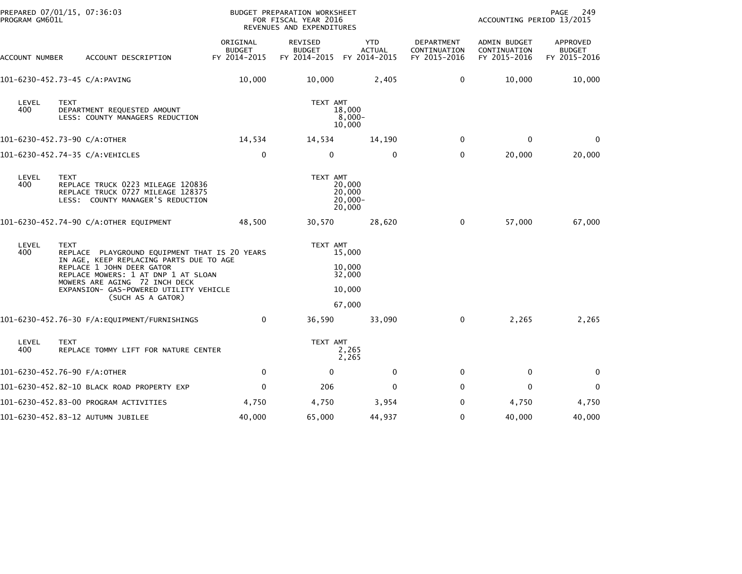| PREPARED 07/01/15, 07:36:03<br>PROGRAM GM601L |                                                                                                                           | BUDGET PREPARATION WORKSHEET<br>FOR FISCAL YEAR 2016<br>REVENUES AND EXPENDITURES |                                                       |                                          |                                            | PAGE<br>249<br>ACCOUNTING PERIOD 13/2015     |                                           |  |
|-----------------------------------------------|---------------------------------------------------------------------------------------------------------------------------|-----------------------------------------------------------------------------------|-------------------------------------------------------|------------------------------------------|--------------------------------------------|----------------------------------------------|-------------------------------------------|--|
| ACCOUNT NUMBER                                | ACCOUNT DESCRIPTION                                                                                                       | ORIGINAL<br><b>BUDGET</b><br>FY 2014-2015                                         | REVISED<br><b>BUDGET</b><br>FY 2014-2015 FY 2014-2015 | <b>YTD</b><br><b>ACTUAL</b>              | DEPARTMENT<br>CONTINUATION<br>FY 2015-2016 | ADMIN BUDGET<br>CONTINUATION<br>FY 2015-2016 | APPROVED<br><b>BUDGET</b><br>FY 2015-2016 |  |
|                                               | 101-6230-452.73-45 C/A:PAVING                                                                                             | 10,000                                                                            | 10,000                                                | 2,405                                    | 0                                          | 10,000                                       | 10,000                                    |  |
| LEVEL<br>400                                  | <b>TEXT</b><br>DEPARTMENT REQUESTED AMOUNT<br>LESS: COUNTY MANAGERS REDUCTION                                             |                                                                                   | TEXT AMT                                              | 18,000<br>$8,000 -$<br>10,000            |                                            |                                              |                                           |  |
|                                               | 101-6230-452.73-90 C/A:OTHER                                                                                              | 14,534                                                                            | 14,534                                                | 14,190                                   | $\mathbf{0}$                               | $\Omega$                                     | $\Omega$                                  |  |
|                                               | 101-6230-452.74-35 C/A:VEHICLES                                                                                           | $\mathbf 0$                                                                       | $\mathbf 0$                                           | $\mathbf 0$                              | $\mathbf{0}$                               | 20,000                                       | 20,000                                    |  |
| LEVEL<br>400                                  | <b>TEXT</b><br>REPLACE TRUCK 0223 MILEAGE 120836<br>REPLACE TRUCK 0727 MILEAGE 128375<br>LESS: COUNTY MANAGER'S REDUCTION |                                                                                   | TEXT AMT                                              | 20,000<br>20,000<br>$20,000 -$<br>20,000 |                                            |                                              |                                           |  |
|                                               | 101-6230-452.74-90 C/A:OTHER EQUIPMENT                                                                                    | 48,500                                                                            | 30,570                                                | 28,620                                   | $\mathbf 0$                                | 57,000                                       | 67,000                                    |  |
| LEVEL<br>400                                  | <b>TEXT</b><br>REPLACE PLAYGROUND EQUIPMENT THAT IS 20 YEARS<br>IN AGE, KEEP REPLACING PARTS DUE TO AGE                   |                                                                                   | TEXT AMT                                              | 15,000                                   |                                            |                                              |                                           |  |
|                                               | REPLACE 1 JOHN DEER GATOR<br>REPLACE MOWERS: 1 AT DNP 1 AT SLOAN                                                          |                                                                                   |                                                       | 10,000<br>32,000                         |                                            |                                              |                                           |  |
|                                               | MOWERS ARE AGING 72 INCH DECK<br>EXPANSION- GAS-POWERED UTILITY VEHICLE<br>(SUCH AS A GATOR)                              |                                                                                   |                                                       | 10,000                                   |                                            |                                              |                                           |  |
|                                               |                                                                                                                           |                                                                                   |                                                       | 67,000                                   |                                            |                                              |                                           |  |
|                                               | 101-6230-452.76-30 F/A:EQUIPMENT/FURNISHINGS                                                                              | $\mathbf{0}$                                                                      | 36,590                                                | 33,090                                   | $\mathbf 0$                                | 2,265                                        | 2,265                                     |  |
| LEVEL<br>400                                  | <b>TEXT</b><br>REPLACE TOMMY LIFT FOR NATURE CENTER                                                                       |                                                                                   | TEXT AMT                                              | 2,265<br>2,265                           |                                            |                                              |                                           |  |
|                                               | 101-6230-452.76-90 F/A:OTHER                                                                                              | 0                                                                                 | $\mathbf 0$                                           | 0                                        | 0                                          | 0                                            | 0                                         |  |
|                                               | 101-6230-452.82-10 BLACK ROAD PROPERTY EXP                                                                                | $\mathbf 0$                                                                       | 206                                                   | $\mathbf{0}$                             | $\mathbf{0}$                               | $\Omega$                                     | $\mathbf 0$                               |  |
|                                               | 101-6230-452.83-00 PROGRAM ACTIVITIES                                                                                     | 4,750                                                                             | 4,750                                                 | 3,954                                    | 0                                          | 4,750                                        | 4,750                                     |  |
|                                               | 101-6230-452.83-12 AUTUMN JUBILEE                                                                                         | 40,000                                                                            | 65,000                                                | 44,937                                   | 0                                          | 40,000                                       | 40,000                                    |  |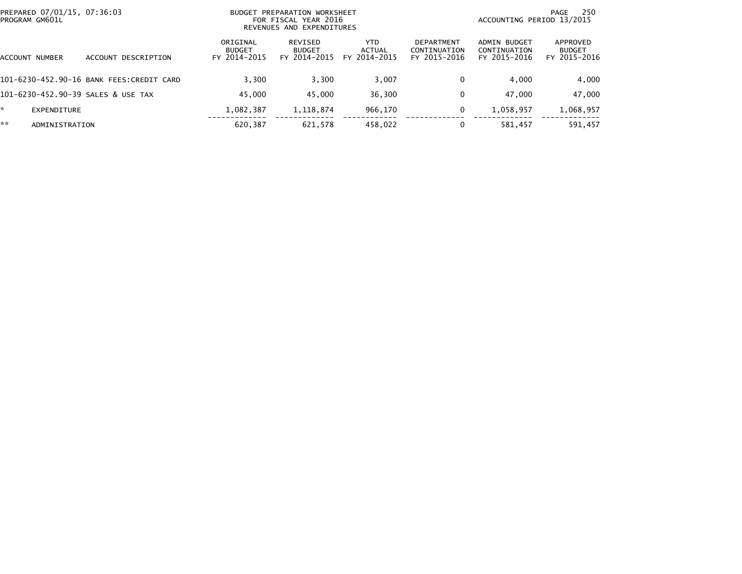| PREPARED 07/01/15, 07:36:03<br>PROGRAM GM601L |                                          | PREPARATION WORKSHEET<br><b>BUDGET</b><br>FOR FISCAL YEAR 2016<br>REVENUES AND EXPENDITURES |                                          |                                |                                            | 250<br>PAGE<br>ACCOUNTING PERIOD 13/2015            |                                           |  |
|-----------------------------------------------|------------------------------------------|---------------------------------------------------------------------------------------------|------------------------------------------|--------------------------------|--------------------------------------------|-----------------------------------------------------|-------------------------------------------|--|
| ACCOUNT NUMBER                                | ACCOUNT DESCRIPTION                      | ORIGINAL<br><b>BUDGET</b><br>FY 2014-2015                                                   | REVISED<br><b>BUDGET</b><br>FY 2014-2015 | YTD.<br>ACTUAL<br>FY 2014-2015 | DEPARTMENT<br>CONTINUATION<br>FY 2015-2016 | <b>ADMIN BUDGET</b><br>CONTINUATION<br>FY 2015-2016 | APPROVED<br><b>BUDGET</b><br>FY 2015-2016 |  |
|                                               | 101-6230-452.90-16 BANK FEES:CREDIT CARD | 3.300                                                                                       | 3,300                                    | 3,007                          | 0                                          | 4.000                                               | 4,000                                     |  |
|                                               | 101-6230-452.90-39 SALES & USE TAX       | 45.000                                                                                      | 45,000                                   | 36,300                         | 0                                          | 47.000                                              | 47,000                                    |  |
| ŵ.<br>EXPENDITURE                             |                                          | 1,082,387                                                                                   | 1,118,874                                | 966,170                        | 0                                          | 1,058,957                                           | 1,068,957                                 |  |
| **<br>ADMINISTRATION                          |                                          | 620,387                                                                                     | 621.578                                  | 458,022                        |                                            | 581,457                                             | 591,457                                   |  |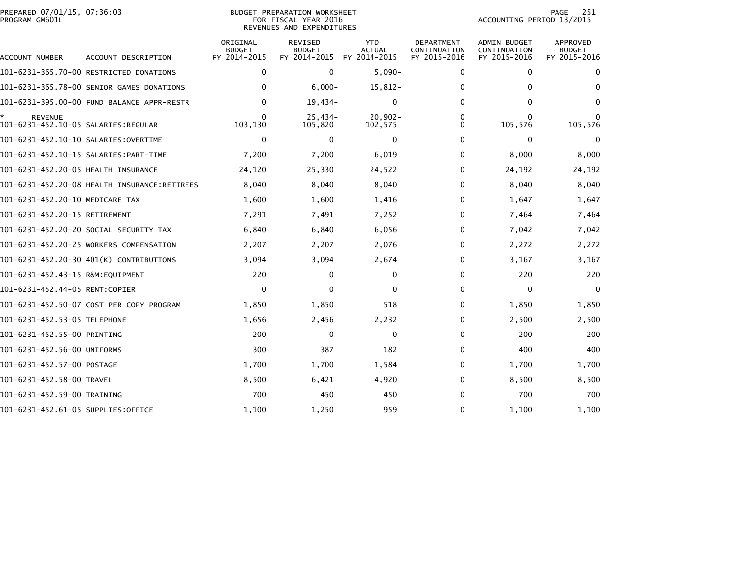| PREPARED 07/01/15, 07:36:03<br>PROGRAM GM601L |                                           |                                           | <b>BUDGET PREPARATION WORKSHEET</b><br>FOR FISCAL YEAR 2016<br>REVENUES AND EXPENDITURES | 251<br>PAGE<br>ACCOUNTING PERIOD 13/2015    |                                            |                                              |                                                  |
|-----------------------------------------------|-------------------------------------------|-------------------------------------------|------------------------------------------------------------------------------------------|---------------------------------------------|--------------------------------------------|----------------------------------------------|--------------------------------------------------|
| ACCOUNT NUMBER                                | ACCOUNT DESCRIPTION                       | ORIGINAL<br><b>BUDGET</b><br>FY 2014-2015 | <b>REVISED</b><br><b>BUDGET</b><br>FY 2014-2015                                          | <b>YTD</b><br><b>ACTUAL</b><br>FY 2014-2015 | DEPARTMENT<br>CONTINUATION<br>FY 2015-2016 | ADMIN BUDGET<br>CONTINUATION<br>FY 2015-2016 | <b>APPROVED</b><br><b>BUDGET</b><br>FY 2015-2016 |
|                                               | 101-6231-365.70-00 RESTRICTED DONATIONS   | $\mathbf 0$                               | $\mathbf 0$                                                                              | $5,090-$                                    | 0                                          | 0                                            | 0                                                |
|                                               | 101-6231-365.78-00 SENIOR GAMES DONATIONS | $\mathbf{0}$                              | $6,000 -$                                                                                | 15,812-                                     | $\Omega$                                   | $\Omega$                                     | $\bf{0}$                                         |
|                                               |                                           | $\mathbf{0}$                              | $19,434-$                                                                                | $\Omega$                                    | 0                                          | $\Omega$                                     | $\bf{0}$                                         |
| <b>REVENUE</b>                                |                                           | $\mathbf{0}$<br>103,130                   | $25,434-$<br>105,820                                                                     | $20,902 -$<br>102,575                       | $\Omega$<br>0                              | 0<br>105,576                                 | 105,576                                          |
|                                               |                                           | $\mathbf 0$                               | 0                                                                                        | 0                                           | 0                                          | 0                                            | 0                                                |
|                                               |                                           | 7,200                                     | 7,200                                                                                    | 6,019                                       | 0                                          | 8,000                                        | 8,000                                            |
| 101-6231-452.20-05 HEALTH INSURANCE           |                                           | 24,120                                    | 25,330                                                                                   | 24,522                                      | 0                                          | 24,192                                       | 24,192                                           |
|                                               |                                           | 8,040                                     | 8,040                                                                                    | 8,040                                       | 0                                          | 8,040                                        | 8,040                                            |
| 101-6231-452.20-10 MEDICARE TAX               |                                           | 1,600                                     | 1,600                                                                                    | 1,416                                       | 0                                          | 1,647                                        | 1,647                                            |
| 101-6231-452.20-15 RETIREMENT                 |                                           | 7,291                                     | 7,491                                                                                    | 7,252                                       | 0                                          | 7,464                                        | 7,464                                            |
|                                               | 101-6231-452.20-20 SOCIAL SECURITY TAX    | 6,840                                     | 6,840                                                                                    | 6,056                                       | 0                                          | 7,042                                        | 7,042                                            |
|                                               | 101-6231-452.20-25 WORKERS COMPENSATION   | 2,207                                     | 2,207                                                                                    | 2,076                                       | 0                                          | 2,272                                        | 2,272                                            |
|                                               | 101-6231-452.20-30 401(K) CONTRIBUTIONS   | 3,094                                     | 3,094                                                                                    | 2,674                                       | 0                                          | 3,167                                        | 3,167                                            |
| 101-6231-452.43-15 R&M:EQUIPMENT              |                                           | 220                                       | 0                                                                                        | 0                                           | 0                                          | 220                                          | 220                                              |
| 101-6231-452.44-05 RENT:COPIER                |                                           | $\mathbf 0$                               | $\Omega$                                                                                 | $\mathbf{0}$                                | 0                                          | 0                                            | $\mathbf{0}$                                     |
|                                               | 101-6231-452.50-07 COST PER COPY PROGRAM  | 1,850                                     | 1,850                                                                                    | 518                                         | $\Omega$                                   | 1,850                                        | 1,850                                            |
| 101-6231-452.53-05 TELEPHONE                  |                                           | 1,656                                     | 2,456                                                                                    | 2,232                                       | 0                                          | 2,500                                        | 2,500                                            |
| 101-6231-452.55-00 PRINTING                   |                                           | 200                                       | $\Omega$                                                                                 | $\Omega$                                    | $\Omega$                                   | 200                                          | 200                                              |
| 101-6231-452.56-00 UNIFORMS                   |                                           | 300                                       | 387                                                                                      | 182                                         | 0                                          | 400                                          | 400                                              |
| 101-6231-452.57-00 POSTAGE                    |                                           | 1,700                                     | 1,700                                                                                    | 1,584                                       | 0                                          | 1,700                                        | 1,700                                            |
| 101-6231-452.58-00 TRAVEL                     |                                           | 8,500                                     | 6,421                                                                                    | 4,920                                       | 0                                          | 8,500                                        | 8,500                                            |
| 101-6231-452.59-00 TRAINING                   |                                           | 700                                       | 450                                                                                      | 450                                         | 0                                          | 700                                          | 700                                              |
| 101-6231-452.61-05 SUPPLIES:OFFICE            |                                           | 1,100                                     | 1,250                                                                                    | 959                                         | 0                                          | 1,100                                        | 1,100                                            |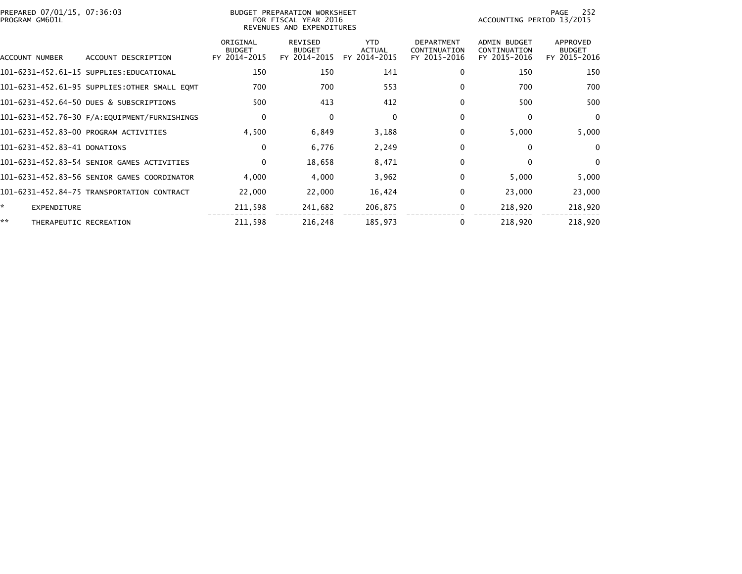| PREPARED 07/01/15, 07:36:03<br>PROGRAM GM601L |                                              | BUDGET PREPARATION WORKSHEET<br>FOR FISCAL YEAR 2016<br>REVENUES AND EXPENDITURES |                                                 |                                             |                                                   | 252<br>PAGE<br>ACCOUNTING PERIOD 13/2015            |                                                  |
|-----------------------------------------------|----------------------------------------------|-----------------------------------------------------------------------------------|-------------------------------------------------|---------------------------------------------|---------------------------------------------------|-----------------------------------------------------|--------------------------------------------------|
| ACCOUNT NUMBER                                | ACCOUNT DESCRIPTION                          | ORIGINAL<br><b>BUDGET</b><br>FY 2014-2015                                         | <b>REVISED</b><br><b>BUDGET</b><br>FY 2014-2015 | <b>YTD</b><br><b>ACTUAL</b><br>FY 2014-2015 | <b>DEPARTMENT</b><br>CONTINUATION<br>FY 2015-2016 | <b>ADMIN BUDGET</b><br>CONTINUATION<br>FY 2015-2016 | <b>APPROVED</b><br><b>BUDGET</b><br>FY 2015-2016 |
|                                               | 101-6231-452.61-15 SUPPLIES:EDUCATIONAL      | 150                                                                               | 150                                             | 141                                         | 0                                                 | 150                                                 | 150                                              |
|                                               | 101-6231-452.61-95 SUPPLIES:OTHER SMALL EQMT | 700                                                                               | 700                                             | 553                                         | 0                                                 | 700                                                 | 700                                              |
|                                               | 101-6231-452.64-50 DUES & SUBSCRIPTIONS      | 500                                                                               | 413                                             | 412                                         | $\Omega$                                          | 500                                                 | 500                                              |
|                                               |                                              | 0                                                                                 | $\mathbf{0}$                                    | 0                                           | $\Omega$                                          | 0                                                   | $\overline{0}$                                   |
|                                               | 101-6231-452.83-00 PROGRAM ACTIVITIES        | 4,500                                                                             | 6,849                                           | 3,188                                       | $\Omega$                                          | 5,000                                               | 5,000                                            |
| 101-6231-452.83-41 DONATIONS                  |                                              | $\mathbf 0$                                                                       | 6,776                                           | 2,249                                       | 0                                                 | $\mathbf{0}$                                        | $\Omega$                                         |
|                                               | 101-6231-452.83-54 SENIOR GAMES ACTIVITIES   | $\mathbf 0$                                                                       | 18,658                                          | 8,471                                       | 0                                                 | $\mathbf{0}$                                        | $\Omega$                                         |
|                                               | 101-6231-452.83-56 SENIOR GAMES COORDINATOR  | 4.000                                                                             | 4,000                                           | 3,962                                       | 0                                                 | 5,000                                               | 5,000                                            |
|                                               | 101-6231-452.84-75 TRANSPORTATION CONTRACT   | 22,000                                                                            | 22,000                                          | 16,424                                      | $\Omega$                                          | 23,000                                              | 23,000                                           |
| ×.<br><b>EXPENDITURE</b>                      |                                              | 211,598                                                                           | 241,682                                         | 206,875                                     | 0                                                 | 218,920                                             | 218,920                                          |
| **<br>THERAPEUTIC RECREATION                  |                                              | 211,598                                                                           | 216,248                                         | 185,973                                     |                                                   | 218,920                                             | 218,920                                          |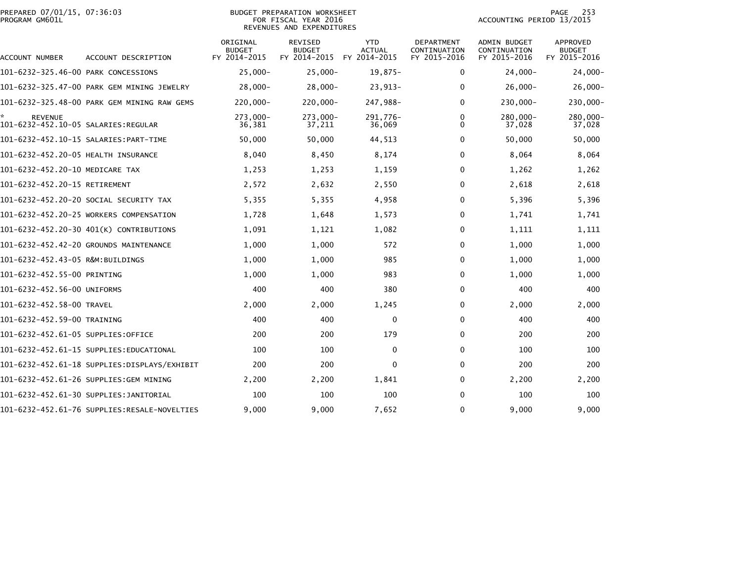|                | PREPARED 07/01/15, 07:36:03 |  |
|----------------|-----------------------------|--|
| PROGRAM GM601L |                             |  |

# PREPARED 07/01/15, 07:36:03 PREPARATION WORKSHEET PREPARATION WORKSHEET PREPARATION WORKSHEET<br>FOR FISCAL YEAR 2016 ACCOUNTING PERIOD 13/2015 REVENUES AND EXPENDITURES<br>REVENUES AND EXPENDITURES

PAGE 253<br>ACCOUNTING PERIOD 13/2015

| ACCOUNT NUMBER                                        | ACCOUNT DESCRIPTION                          | ORIGINAL<br><b>BUDGET</b><br>FY 2014-2015 | <b>REVISED</b><br><b>BUDGET</b><br>FY 2014-2015 | <b>YTD</b><br><b>ACTUAL</b><br>FY 2014-2015 | <b>DEPARTMENT</b><br>CONTINUATION<br>FY 2015-2016 | <b>ADMIN BUDGET</b><br>CONTINUATION<br>FY 2015-2016 | <b>APPROVED</b><br><b>BUDGET</b><br>FY 2015-2016 |
|-------------------------------------------------------|----------------------------------------------|-------------------------------------------|-------------------------------------------------|---------------------------------------------|---------------------------------------------------|-----------------------------------------------------|--------------------------------------------------|
| 101-6232-325.46-00 PARK CONCESSIONS                   |                                              | $25,000 -$                                | $25,000 -$                                      | $19,875-$                                   | 0                                                 | $24,000 -$                                          | $24,000 -$                                       |
|                                                       | 101-6232-325.47-00 PARK GEM MINING JEWELRY   | $28,000 -$                                | $28,000 -$                                      | $23,913-$                                   | $\Omega$                                          | $26,000 -$                                          | $26,000 -$                                       |
|                                                       | 101-6232-325.48-00 PARK GEM MINING RAW GEMS  | $220.000 -$                               | $220.000 -$                                     | 247,988-                                    | $\mathbf{0}$                                      | 230,000-                                            | 230,000-                                         |
| <b>REVENUE</b><br>101-6232-452.10-05 SALARIES:REGULAR |                                              | 273,000-<br>36,381                        | 273,000-<br>37,211                              | 291,776-<br>36,069                          | 0<br>0                                            | 280,000-<br>37,028                                  | 280,000-<br>37,028                               |
|                                                       | 101-6232-452.10-15 SALARIES:PART-TIME        | 50,000                                    | 50,000                                          | 44,513                                      | 0                                                 | 50,000                                              | 50,000                                           |
| 101-6232-452.20-05 HEALTH INSURANCE                   |                                              | 8,040                                     | 8,450                                           | 8,174                                       | $\mathbf{0}$                                      | 8,064                                               | 8,064                                            |
| 101-6232-452.20-10 MEDICARE TAX                       |                                              | 1,253                                     | 1,253                                           | 1,159                                       | 0                                                 | 1,262                                               | 1,262                                            |
| 101-6232-452.20-15 RETIREMENT                         |                                              | 2,572                                     | 2,632                                           | 2,550                                       | 0                                                 | 2,618                                               | 2,618                                            |
|                                                       | 101-6232-452.20-20 SOCIAL SECURITY TAX       | 5,355                                     | 5,355                                           | 4,958                                       | 0                                                 | 5,396                                               | 5,396                                            |
|                                                       | 101-6232-452.20-25 WORKERS COMPENSATION      | 1,728                                     | 1.648                                           | 1,573                                       | 0                                                 | 1.741                                               | 1,741                                            |
|                                                       | 101-6232-452.20-30 401(K) CONTRIBUTIONS      | 1,091                                     | 1,121                                           | 1,082                                       | 0                                                 | 1,111                                               | 1,111                                            |
|                                                       | 101-6232-452.42-20 GROUNDS MAINTENANCE       | 1,000                                     | 1,000                                           | 572                                         | 0                                                 | 1,000                                               | 1,000                                            |
| 101-6232-452.43-05 R&M:BUILDINGS                      |                                              | 1,000                                     | 1,000                                           | 985                                         | 0                                                 | 1,000                                               | 1,000                                            |
| 101-6232-452.55-00 PRINTING                           |                                              | 1,000                                     | 1,000                                           | 983                                         | 0                                                 | 1,000                                               | 1,000                                            |
| 101-6232-452.56-00 UNIFORMS                           |                                              | 400                                       | 400                                             | 380                                         | 0                                                 | 400                                                 | 400                                              |
| 101-6232-452.58-00 TRAVEL                             |                                              | 2,000                                     | 2,000                                           | 1,245                                       | 0                                                 | 2,000                                               | 2,000                                            |
| 101-6232-452.59-00 TRAINING                           |                                              | 400                                       | 400                                             | 0                                           | $\Omega$                                          | 400                                                 | 400                                              |
| 101-6232-452.61-05 SUPPLIES:OFFICE                    |                                              | 200                                       | 200                                             | 179                                         | $\mathbf{0}$                                      | 200                                                 | 200                                              |
|                                                       | 101-6232-452.61-15 SUPPLIES: EDUCATIONAL     | 100                                       | 100                                             | $\mathbf{0}$                                | $\Omega$                                          | 100                                                 | 100                                              |
|                                                       | 101-6232-452.61-18 SUPPLIES:DISPLAYS/EXHIBIT | 200                                       | 200                                             | 0                                           | 0                                                 | 200                                                 | 200                                              |
|                                                       | 101-6232-452.61-26 SUPPLIES:GEM MINING       | 2,200                                     | 2,200                                           | 1,841                                       | 0                                                 | 2,200                                               | 2,200                                            |
|                                                       | 101-6232-452.61-30 SUPPLIES:JANITORIAL       | 100                                       | 100                                             | 100                                         | 0                                                 | 100                                                 | 100                                              |
|                                                       | 101-6232-452.61-76 SUPPLIES:RESALE-NOVELTIES | 9,000                                     | 9,000                                           | 7,652                                       | $\Omega$                                          | 9,000                                               | 9,000                                            |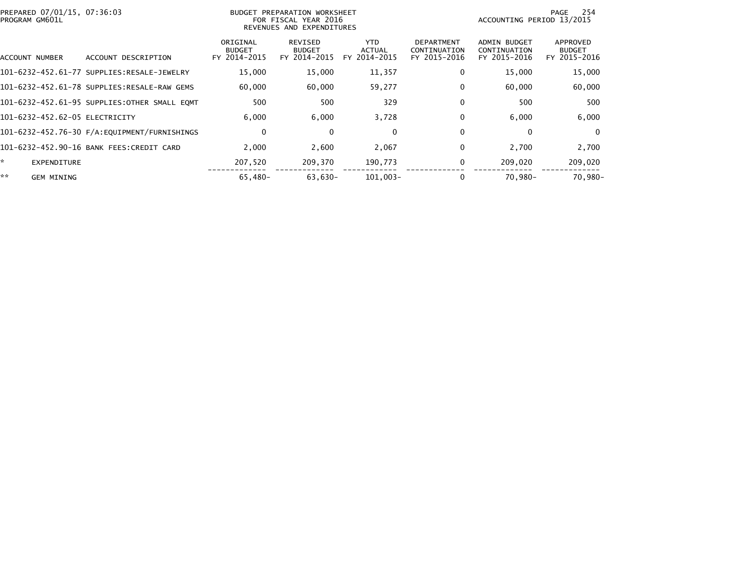| PREPARED 07/01/15, 07:36:03<br>PROGRAM GM601L |                                              | BUDGET PREPARATION WORKSHEET<br>FOR FISCAL YEAR 2016<br>REVENUES AND EXPENDITURES |                                          |                                       |                                                   | 254<br>PAGE<br>ACCOUNTING PERIOD 13/2015            |                                           |  |
|-----------------------------------------------|----------------------------------------------|-----------------------------------------------------------------------------------|------------------------------------------|---------------------------------------|---------------------------------------------------|-----------------------------------------------------|-------------------------------------------|--|
| ACCOUNT NUMBER                                | ACCOUNT DESCRIPTION                          | ORIGINAL<br><b>BUDGET</b><br>FY 2014-2015                                         | REVISED<br><b>BUDGET</b><br>FY 2014-2015 | YTD.<br><b>ACTUAL</b><br>FY 2014-2015 | <b>DEPARTMENT</b><br>CONTINUATION<br>FY 2015-2016 | <b>ADMIN BUDGET</b><br>CONTINUATION<br>FY 2015-2016 | APPROVED<br><b>BUDGET</b><br>FY 2015-2016 |  |
|                                               |                                              | 15,000                                                                            | 15,000                                   | 11,357                                | 0                                                 | 15,000                                              | 15,000                                    |  |
|                                               | 101-6232-452.61-78 SUPPLIES:RESALE-RAW GEMS  | 60,000                                                                            | 60,000                                   | 59,277                                | 0                                                 | 60,000                                              | 60,000                                    |  |
|                                               | 101-6232-452.61-95 SUPPLIES:OTHER SMALL EQMT | 500                                                                               | 500                                      | 329                                   | 0                                                 | 500                                                 | 500                                       |  |
| 101-6232-452.62-05 ELECTRICITY                |                                              | 6.000                                                                             | 6,000                                    | 3,728                                 | 0                                                 | 6,000                                               | 6,000                                     |  |
|                                               |                                              | 0                                                                                 | $\bf{0}$                                 | 0                                     | 0                                                 | $\mathbf{0}$                                        | $\Omega$                                  |  |
|                                               | 101-6232-452.90-16 BANK FEES:CREDIT CARD     | 2,000                                                                             | 2,600                                    | 2,067                                 | 0                                                 | 2,700                                               | 2,700                                     |  |
| ×.<br><b>EXPENDITURE</b>                      |                                              | 207.520                                                                           | 209.370                                  | 190,773                               | 0                                                 | 209,020                                             | 209,020                                   |  |
| **<br><b>GEM MINING</b>                       |                                              | 65.480-                                                                           | $63.630 -$                               | $101.003 -$                           |                                                   | 70.980-                                             | 70.980-                                   |  |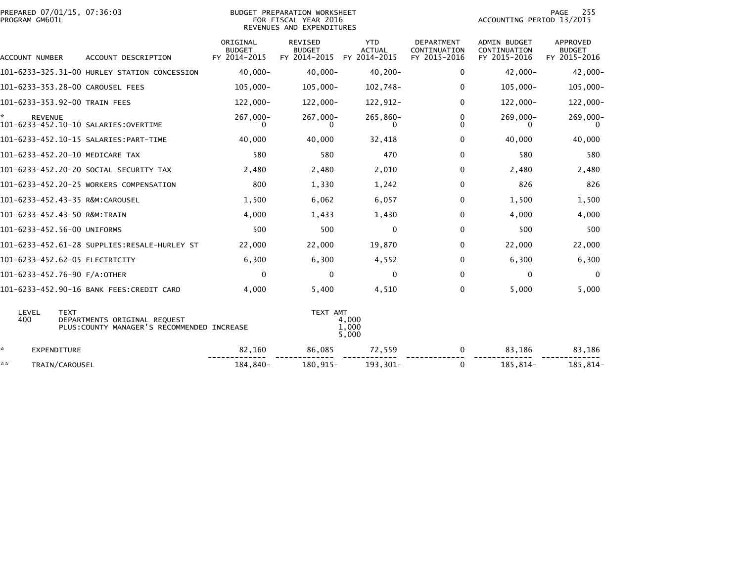| PREPARED 07/01/15, 07:36:03<br>PROGRAM GM601L | BUDGET PREPARATION WORKSHEET<br>FOR FISCAL YEAR 2016<br>REVENUES AND EXPENDITURES          |                                           |                                                 |                                       |                                                   | PAGE<br>255<br>ACCOUNTING PERIOD 13/2015            |                                           |
|-----------------------------------------------|--------------------------------------------------------------------------------------------|-------------------------------------------|-------------------------------------------------|---------------------------------------|---------------------------------------------------|-----------------------------------------------------|-------------------------------------------|
| ACCOUNT NUMBER                                | ACCOUNT DESCRIPTION                                                                        | ORIGINAL<br><b>BUDGET</b><br>FY 2014-2015 | <b>REVISED</b><br><b>BUDGET</b><br>FY 2014-2015 | YTD.<br><b>ACTUAL</b><br>FY 2014-2015 | <b>DEPARTMENT</b><br>CONTINUATION<br>FY 2015-2016 | <b>ADMIN BUDGET</b><br>CONTINUATION<br>FY 2015-2016 | APPROVED<br><b>BUDGET</b><br>FY 2015-2016 |
|                                               | 101-6233-325.31-00 HURLEY STATION CONCESSION                                               | $40,000 -$                                | $40.000 -$                                      | $40,200 -$                            | 0                                                 | $42,000 -$                                          | $42,000 -$                                |
|                                               | 101-6233-353.28-00 CAROUSEL FEES                                                           | $105,000 -$                               | $105,000 -$                                     | 102,748-                              | 0                                                 | $105,000 -$                                         | $105,000 -$                               |
|                                               | 101-6233-353.92-00 TRAIN FEES                                                              | 122,000-                                  | $122,000 -$                                     | 122,912-                              | 0                                                 | 122,000-                                            | $122,000 -$                               |
| <b>REVENUE</b>                                |                                                                                            | 267,000-<br>0                             | 267,000-<br>0.                                  | 265,860-<br>0                         | 0<br>0                                            | 269,000-<br>0                                       | $269,000 -$<br>0                          |
|                                               |                                                                                            | 40,000                                    | 40,000                                          | 32,418                                | 0                                                 | 40,000                                              | 40,000                                    |
|                                               | 101-6233-452.20-10 MEDICARE TAX                                                            | 580                                       | 580                                             | 470                                   | $\Omega$                                          | 580                                                 | 580                                       |
|                                               | 101-6233-452.20-20 SOCIAL SECURITY TAX                                                     | 2,480                                     | 2,480                                           | 2,010                                 | 0                                                 | 2,480                                               | 2,480                                     |
|                                               | 101-6233-452.20-25 WORKERS COMPENSATION                                                    | 800                                       | 1,330                                           | 1,242                                 | $\Omega$                                          | 826                                                 | 826                                       |
|                                               | 101-6233-452.43-35 R&M:CAROUSEL                                                            | 1,500                                     | 6,062                                           | 6,057                                 | 0                                                 | 1,500                                               | 1,500                                     |
| 101-6233-452.43-50 R&M:TRAIN                  |                                                                                            | 4,000                                     | 1,433                                           | 1,430                                 | 0                                                 | 4,000                                               | 4,000                                     |
| 101-6233-452.56-00 UNIFORMS                   |                                                                                            | 500                                       | 500                                             | 0                                     | 0                                                 | 500                                                 | 500                                       |
|                                               |                                                                                            | 22,000                                    | 22,000                                          | 19,870                                | 0                                                 | 22,000                                              | 22,000                                    |
|                                               | 101-6233-452.62-05 ELECTRICITY                                                             | 6,300                                     | 6,300                                           | 4,552                                 | $\Omega$                                          | 6,300                                               | 6,300                                     |
| 101-6233-452.76-90 F/A:OTHER                  |                                                                                            | 0                                         | $\mathbf{0}$                                    | $\Omega$                              | $\Omega$                                          | $\mathbf{0}$                                        | $\Omega$                                  |
|                                               | 101-6233-452.90-16 BANK FEES:CREDIT CARD                                                   | 4,000                                     | 5,400                                           | 4,510                                 | 0                                                 | 5,000                                               | 5,000                                     |
| LEVEL<br>400                                  | <b>TEXT</b><br>DEPARTMENTS ORIGINAL REQUEST<br>PLUS: COUNTY MANAGER'S RECOMMENDED INCREASE |                                           | TEXT AMT                                        | 4,000<br>1,000<br>5,000               |                                                   |                                                     |                                           |
| ÷.<br><b>EXPENDITURE</b>                      |                                                                                            | 82,160                                    | 86,085                                          | 72,559                                | 0                                                 | 83,186                                              | 83,186                                    |
| **<br>TRAIN/CAROUSEL                          |                                                                                            | 184,840-                                  | 180,915-                                        | 193,301-                              | 0                                                 | 185,814-                                            | 185,814-                                  |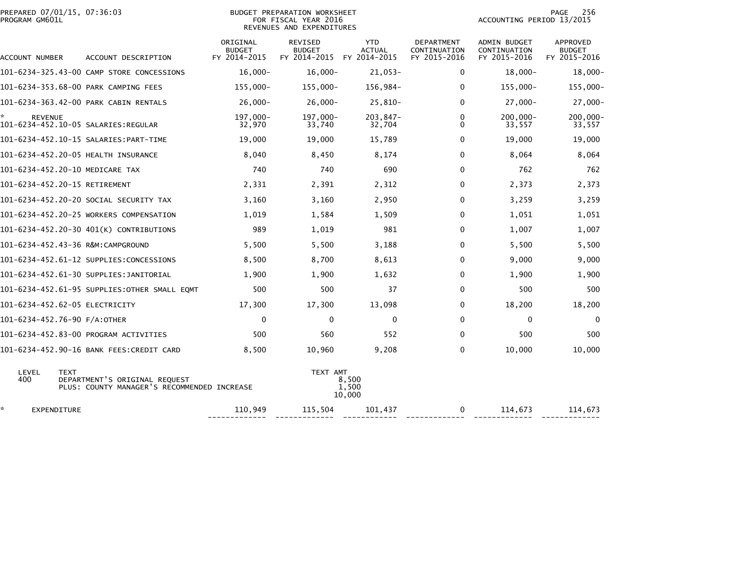| PREPARED 07/01/15, 07:36:03<br>PROGRAM GM601L |                                                                              | <b>BUDGET PREPARATION WORKSHEET</b><br>FOR FISCAL YEAR 2016<br>REVENUES AND EXPENDITURES |                                                 |                                             |                                                   | 256<br>PAGE<br>ACCOUNTING PERIOD 13/2015            |                                                  |  |
|-----------------------------------------------|------------------------------------------------------------------------------|------------------------------------------------------------------------------------------|-------------------------------------------------|---------------------------------------------|---------------------------------------------------|-----------------------------------------------------|--------------------------------------------------|--|
| ACCOUNT NUMBER                                | ACCOUNT DESCRIPTION                                                          | ORIGINAL<br><b>BUDGET</b><br>FY 2014-2015                                                | <b>REVISED</b><br><b>BUDGET</b><br>FY 2014-2015 | <b>YTD</b><br><b>ACTUAL</b><br>FY 2014-2015 | <b>DEPARTMENT</b><br>CONTINUATION<br>FY 2015-2016 | <b>ADMIN BUDGET</b><br>CONTINUATION<br>FY 2015-2016 | <b>APPROVED</b><br><b>BUDGET</b><br>FY 2015-2016 |  |
|                                               | 101-6234-325.43-00 CAMP STORE CONCESSIONS                                    | $16,000 -$                                                                               | $16,000 -$                                      | $21,053-$                                   | 0                                                 | $18,000 -$                                          | 18,000-                                          |  |
|                                               | 101-6234-353.68-00 PARK CAMPING FEES                                         | $155,000 -$                                                                              | $155,000 -$                                     | 156,984-                                    | 0                                                 | $155,000 -$                                         | 155,000-                                         |  |
|                                               | 101-6234-363.42-00 PARK CABIN RENTALS                                        | $26,000 -$                                                                               | $26,000 -$                                      | $25,810-$                                   | $\Omega$                                          | $27,000 -$                                          | 27,000-                                          |  |
| <b>REVENUE</b>                                |                                                                              | 197,000-<br>32,970                                                                       | 197,000-<br>33,740                              | 203,847-<br>32,704                          | 0<br>0                                            | $200,000 -$<br>33,557                               | $200,000 -$<br>33,557                            |  |
|                                               | 101-6234-452.10-15 SALARIES: PART-TIME                                       | 19,000                                                                                   | 19,000                                          | 15,789                                      | $\mathbf{0}$                                      | 19,000                                              | 19,000                                           |  |
| 101-6234-452.20-05 HEALTH INSURANCE           |                                                                              | 8,040                                                                                    | 8,450                                           | 8,174                                       | 0                                                 | 8,064                                               | 8,064                                            |  |
| 101-6234-452.20-10 MEDICARE TAX               |                                                                              | 740                                                                                      | 740                                             | 690                                         | 0                                                 | 762                                                 | 762                                              |  |
| 101-6234-452.20-15 RETIREMENT                 |                                                                              | 2,331                                                                                    | 2,391                                           | 2,312                                       | $\Omega$                                          | 2,373                                               | 2,373                                            |  |
|                                               | 101-6234-452.20-20 SOCIAL SECURITY TAX                                       | 3,160                                                                                    | 3,160                                           | 2,950                                       | 0                                                 | 3,259                                               | 3,259                                            |  |
|                                               | 101-6234-452.20-25 WORKERS COMPENSATION                                      | 1,019                                                                                    | 1,584                                           | 1,509                                       | 0                                                 | 1,051                                               | 1,051                                            |  |
|                                               | 101-6234-452.20-30 401(K) CONTRIBUTIONS                                      | 989                                                                                      | 1,019                                           | 981                                         | 0                                                 | 1,007                                               | 1,007                                            |  |
|                                               |                                                                              | 5,500                                                                                    | 5,500                                           | 3,188                                       | 0                                                 | 5,500                                               | 5,500                                            |  |
|                                               | 101-6234-452.61-12 SUPPLIES:CONCESSIONS                                      | 8,500                                                                                    | 8,700                                           | 8,613                                       | 0                                                 | 9,000                                               | 9,000                                            |  |
|                                               |                                                                              | 1,900                                                                                    | 1,900                                           | 1,632                                       | 0                                                 | 1,900                                               | 1,900                                            |  |
|                                               | 101-6234-452.61-95 SUPPLIES:OTHER SMALL EQMT                                 | 500                                                                                      | 500                                             | 37                                          | $\mathbf 0$                                       | 500                                                 | 500                                              |  |
| 101-6234-452.62-05 ELECTRICITY                |                                                                              | 17,300                                                                                   | 17,300                                          | 13,098                                      | 0                                                 | 18,200                                              | 18,200                                           |  |
| 101-6234-452.76-90 F/A:OTHER                  |                                                                              | $\Omega$                                                                                 | 0                                               | $\mathbf{0}$                                | 0                                                 | 0                                                   | 0                                                |  |
|                                               | 101-6234-452.83-00 PROGRAM ACTIVITIES                                        | 500                                                                                      | 560                                             | 552                                         | 0                                                 | 500                                                 | 500                                              |  |
|                                               | 101-6234-452.90-16 BANK FEES:CREDIT CARD                                     | 8,500                                                                                    | 10,960                                          | 9,208                                       | 0                                                 | 10,000                                              | 10,000                                           |  |
| LEVEL<br><b>TEXT</b><br>400                   | DEPARTMENT'S ORIGINAL REQUEST<br>PLUS: COUNTY MANAGER'S RECOMMENDED INCREASE |                                                                                          | TEXT AMT                                        | 8,500<br>1,500<br>10,000                    |                                                   |                                                     |                                                  |  |
| EXPENDITURE                                   |                                                                              | 110,949                                                                                  | 115,504                                         | 101,437                                     | $\mathbf 0$                                       | 114,673                                             | 114,673                                          |  |

------------- ------------- ------------ ------------- ------------- -------------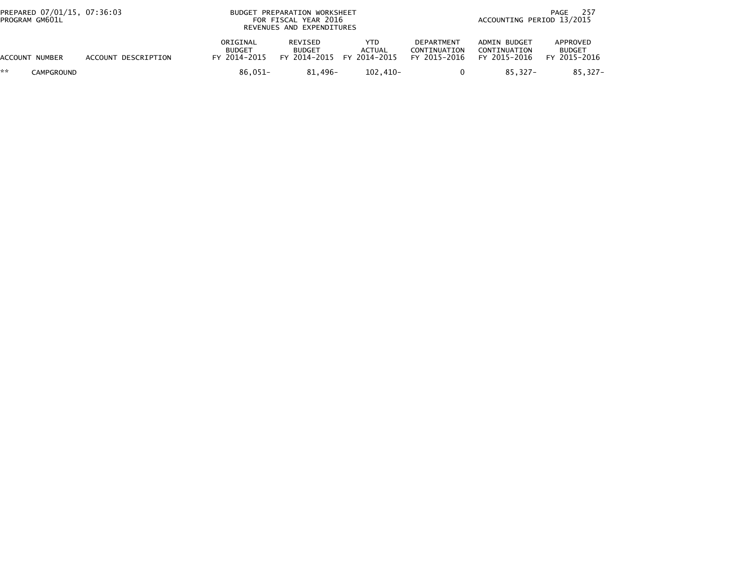| PREPARED 07/01/15, 07:36:03<br>PROGRAM GM601L |                     |                                           | BUDGET PREPARATION WORKSHEET<br>FOR FISCAL YEAR 2016<br>REVENUES AND EXPENDITURES |                       | -257<br>PAGE<br>ACCOUNTING PERIOD 13/2015  |                                              |                                           |  |
|-----------------------------------------------|---------------------|-------------------------------------------|-----------------------------------------------------------------------------------|-----------------------|--------------------------------------------|----------------------------------------------|-------------------------------------------|--|
| ACCOUNT NUMBER                                | ACCOUNT DESCRIPTION | ORIGINAL<br><b>BUDGET</b><br>FY 2014-2015 | REVISED<br><b>BUDGET</b><br>FY 2014-2015 FY 2014-2015                             | YTD.<br><b>ACTUAL</b> | DEPARTMENT<br>CONTINUATION<br>FY 2015-2016 | ADMIN BUDGET<br>CONTINUATION<br>FY 2015-2016 | APPROVED<br><b>BUDGET</b><br>FY 2015-2016 |  |
| **<br><b>CAMPGROUND</b>                       |                     | $86.051 -$                                | 81.496-                                                                           | 102.410-              |                                            | 85.327-                                      | 85.327-                                   |  |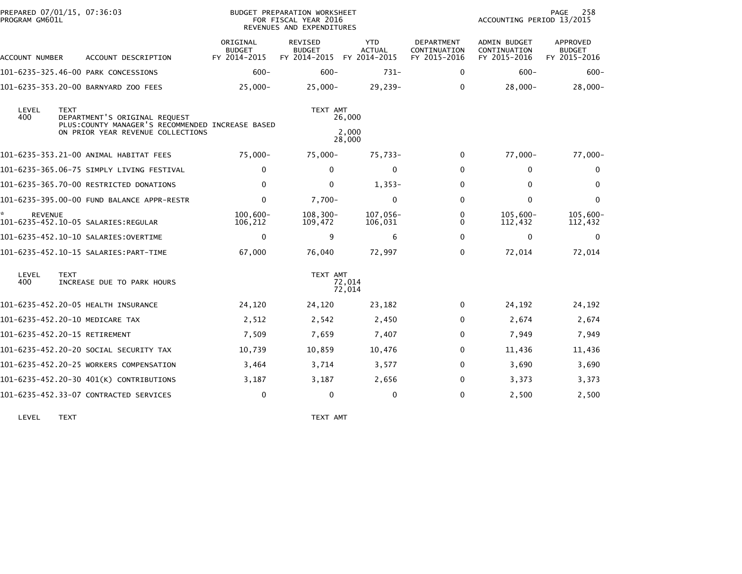| PROGRAM GM601L | PREPARED 07/01/15, 07:36:03                                                                       |                                           | BUDGET PREPARATION WORKSHEET<br>FOR FISCAL YEAR 2016<br>REVENUES AND EXPENDITURES |                                             |                                            | ACCOUNTING PERIOD 13/2015                           | 258<br>PAGE                               |
|----------------|---------------------------------------------------------------------------------------------------|-------------------------------------------|-----------------------------------------------------------------------------------|---------------------------------------------|--------------------------------------------|-----------------------------------------------------|-------------------------------------------|
| ACCOUNT NUMBER | ACCOUNT DESCRIPTION                                                                               | ORIGINAL<br><b>BUDGET</b><br>FY 2014-2015 | <b>REVISED</b><br><b>BUDGET</b><br>FY 2014-2015                                   | <b>YTD</b><br><b>ACTUAL</b><br>FY 2014-2015 | DEPARTMENT<br>CONTINUATION<br>FY 2015-2016 | <b>ADMIN BUDGET</b><br>CONTINUATION<br>FY 2015-2016 | APPROVED<br><b>BUDGET</b><br>FY 2015-2016 |
|                | 101-6235-325.46-00 PARK CONCESSIONS                                                               | $600 -$                                   | $600 -$                                                                           | $731 -$                                     | 0                                          | $600 -$                                             | $600 -$                                   |
|                | 101-6235-353.20-00 BARNYARD ZOO FEES                                                              | $25,000-$                                 | $25,000 -$                                                                        | $29,239-$                                   | 0                                          | $28,000-$                                           | $28,000-$                                 |
| LEVEL<br>400   | <b>TEXT</b><br>DEPARTMENT'S ORIGINAL REQUEST<br>PLUS: COUNTY MANAGER'S RECOMMENDED INCREASE BASED |                                           | TEXT AMT                                                                          | 26,000                                      |                                            |                                                     |                                           |
|                | ON PRIOR YEAR REVENUE COLLECTIONS                                                                 |                                           |                                                                                   | 2,000<br>28,000                             |                                            |                                                     |                                           |
|                | 101-6235-353.21-00 ANIMAL HABITAT FEES                                                            | $75,000-$                                 | 75,000-                                                                           | 75,733-                                     | 0                                          | 77,000-                                             | 77,000-                                   |
|                | 101-6235-365.06-75 SIMPLY LIVING FESTIVAL                                                         | 0                                         | $\Omega$                                                                          | $\mathbf{0}$                                | $\Omega$                                   | $\mathbf{0}$                                        | 0                                         |
|                | 101-6235-365.70-00 RESTRICTED DONATIONS                                                           | $\Omega$                                  | $\Omega$                                                                          | $1,353-$                                    | $\Omega$                                   | $\mathbf{0}$                                        | $\mathbf{0}$                              |
|                | 101-6235-395.00-00 FUND BALANCE APPR-RESTR                                                        | $\mathbf 0$                               | $7,700-$                                                                          | $\mathbf{0}$                                | $\Omega$                                   | $\mathbf 0$                                         | $\mathbf{0}$                              |
| <b>REVENUE</b> | 101-6235-452.10-05 SALARIES:REGULAR                                                               | $100.600 -$<br>106,212                    | $108, 300 -$<br>109,472                                                           | 107,056-<br>106,031                         | 0<br>0                                     | $105,600 -$<br>112,432                              | 105,600-<br>112,432                       |
|                | 101-6235-452.10-10 SALARIES:OVERTIME                                                              | $\mathbf 0$                               | 9                                                                                 | 6                                           | $\Omega$                                   | $\mathbf{0}$                                        | $\Omega$                                  |
|                | 101-6235-452.10-15 SALARIES: PART-TIME                                                            | 67,000                                    | 76,040                                                                            | 72,997                                      | 0                                          | 72,014                                              | 72,014                                    |
| LEVEL<br>400   | <b>TEXT</b><br>INCREASE DUE TO PARK HOURS                                                         |                                           | TEXT AMT                                                                          | 72,014<br>72,014                            |                                            |                                                     |                                           |
|                | 101-6235-452.20-05 HEALTH INSURANCE                                                               | 24,120                                    | 24,120                                                                            | 23,182                                      | 0                                          | 24,192                                              | 24,192                                    |
|                | 101-6235-452.20-10 MEDICARE TAX                                                                   | 2,512                                     | 2,542                                                                             | 2,450                                       | $\Omega$                                   | 2,674                                               | 2,674                                     |
|                | 101-6235-452.20-15 RETIREMENT                                                                     | 7,509                                     | 7,659                                                                             | 7,407                                       | $\Omega$                                   | 7,949                                               | 7,949                                     |
|                | 101-6235-452.20-20 SOCIAL SECURITY TAX                                                            | 10,739                                    | 10,859                                                                            | 10,476                                      | 0                                          | 11,436                                              | 11,436                                    |
|                | 101-6235-452.20-25 WORKERS COMPENSATION                                                           | 3,464                                     | 3,714                                                                             | 3,577                                       | 0                                          | 3,690                                               | 3,690                                     |
|                | 101-6235-452.20-30 401(K) CONTRIBUTIONS                                                           | 3,187                                     | 3,187                                                                             | 2,656                                       | 0                                          | 3,373                                               | 3,373                                     |
|                | 101-6235-452.33-07 CONTRACTED SERVICES                                                            | 0                                         | 0                                                                                 | 0                                           | $\Omega$                                   | 2,500                                               | 2,500                                     |
|                |                                                                                                   |                                           |                                                                                   |                                             |                                            |                                                     |                                           |

LEVEL TEXT TEXT AMT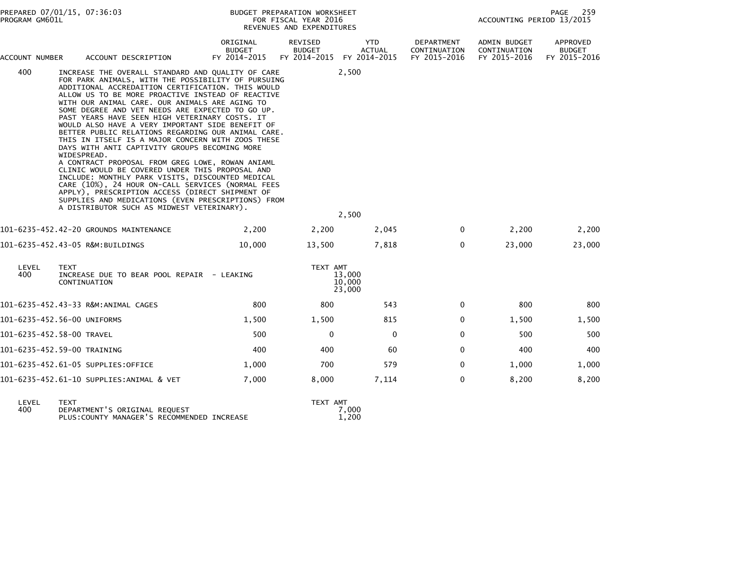| ORIGINAL<br>REVISED<br>YTD.<br>DEPARTMENT<br><b>ADMIN BUDGET</b><br><b>BUDGET</b><br><b>BUDGET</b><br><b>ACTUAL</b><br>CONTINUATION<br>CONTINUATION<br>FY 2014-2015<br>FY 2014-2015<br>FY 2014-2015<br>FY 2015-2016<br>FY 2015-2016<br>ACCOUNT NUMBER<br>ACCOUNT DESCRIPTION<br>2,500<br>400<br>INCREASE THE OVERALL STANDARD AND QUALITY OF CARE<br>FOR PARK ANIMALS, WITH THE POSSIBILITY OF PURSUING<br>ADDITIONAL ACCREDAITION CERTIFICATION. THIS WOULD<br>ALLOW US TO BE MORE PROACTIVE INSTEAD OF REACTIVE<br>WITH OUR ANIMAL CARE. OUR ANIMALS ARE AGING TO<br>SOME DEGREE AND VET NEEDS ARE EXPECTED TO GO UP.<br>PAST YEARS HAVE SEEN HIGH VETERINARY COSTS. IT<br>WOULD ALSO HAVE A VERY IMPORTANT SIDE BENEFIT OF<br>BETTER PUBLIC RELATIONS REGARDING OUR ANIMAL CARE.<br>THIS IN ITSELF IS A MAJOR CONCERN WITH ZOOS THESE<br>DAYS WITH ANTI CAPTIVITY GROUPS BECOMING MORE<br>WIDESPREAD.<br>A CONTRACT PROPOSAL FROM GREG LOWE, ROWAN ANIAML<br>CLINIC WOULD BE COVERED UNDER THIS PROPOSAL AND<br>INCLUDE: MONTHLY PARK VISITS, DISCOUNTED MEDICAL<br>CARE (10%), 24 HOUR ON-CALL SERVICES (NORMAL FEES<br>APPLY), PRESCRIPTION ACCESS (DIRECT SHIPMENT OF<br>SUPPLIES AND MEDICATIONS (EVEN PRESCRIPTIONS) FROM<br>A DISTRIBUTOR SUCH AS MIDWEST VETERINARY).<br>2,500<br>101-6235-452.42-20 GROUNDS MAINTENANCE<br>2,200<br>2,200<br>2,045<br>$\mathbf 0$<br>0<br>101-6235-452.43-05 R&M:BUILDINGS<br>10,000<br>13,500<br>7,818 | APPROVED<br><b>BUDGET</b><br>FY 2015-2016 |
|----------------------------------------------------------------------------------------------------------------------------------------------------------------------------------------------------------------------------------------------------------------------------------------------------------------------------------------------------------------------------------------------------------------------------------------------------------------------------------------------------------------------------------------------------------------------------------------------------------------------------------------------------------------------------------------------------------------------------------------------------------------------------------------------------------------------------------------------------------------------------------------------------------------------------------------------------------------------------------------------------------------------------------------------------------------------------------------------------------------------------------------------------------------------------------------------------------------------------------------------------------------------------------------------------------------------------------------------------------------------------------------------------------------------------------------------------|-------------------------------------------|
|                                                                                                                                                                                                                                                                                                                                                                                                                                                                                                                                                                                                                                                                                                                                                                                                                                                                                                                                                                                                                                                                                                                                                                                                                                                                                                                                                                                                                                                    |                                           |
|                                                                                                                                                                                                                                                                                                                                                                                                                                                                                                                                                                                                                                                                                                                                                                                                                                                                                                                                                                                                                                                                                                                                                                                                                                                                                                                                                                                                                                                    |                                           |
|                                                                                                                                                                                                                                                                                                                                                                                                                                                                                                                                                                                                                                                                                                                                                                                                                                                                                                                                                                                                                                                                                                                                                                                                                                                                                                                                                                                                                                                    | 2,200<br>2,200                            |
|                                                                                                                                                                                                                                                                                                                                                                                                                                                                                                                                                                                                                                                                                                                                                                                                                                                                                                                                                                                                                                                                                                                                                                                                                                                                                                                                                                                                                                                    | 23,000<br>23,000                          |
| LEVEL<br>TEXT AMT<br><b>TEXT</b><br>400<br>INCREASE DUE TO BEAR POOL REPAIR - LEAKING<br>13,000<br>10,000<br>CONTINUATION<br>23,000                                                                                                                                                                                                                                                                                                                                                                                                                                                                                                                                                                                                                                                                                                                                                                                                                                                                                                                                                                                                                                                                                                                                                                                                                                                                                                                |                                           |
| 101-6235-452.43-33 R&M:ANIMAL CAGES<br>800<br>800<br>543<br>$\Omega$                                                                                                                                                                                                                                                                                                                                                                                                                                                                                                                                                                                                                                                                                                                                                                                                                                                                                                                                                                                                                                                                                                                                                                                                                                                                                                                                                                               | 800<br>800                                |
| 101-6235-452.56-00 UNIFORMS<br>1,500<br>1,500<br>815<br>0                                                                                                                                                                                                                                                                                                                                                                                                                                                                                                                                                                                                                                                                                                                                                                                                                                                                                                                                                                                                                                                                                                                                                                                                                                                                                                                                                                                          | 1,500<br>1,500                            |
| 0<br>0<br>101-6235-452.58-00 TRAVEL<br>500<br>0                                                                                                                                                                                                                                                                                                                                                                                                                                                                                                                                                                                                                                                                                                                                                                                                                                                                                                                                                                                                                                                                                                                                                                                                                                                                                                                                                                                                    | 500<br>500                                |
| 400<br>60<br>0<br>101-6235-452.59-00 TRAINING<br>400                                                                                                                                                                                                                                                                                                                                                                                                                                                                                                                                                                                                                                                                                                                                                                                                                                                                                                                                                                                                                                                                                                                                                                                                                                                                                                                                                                                               | 400<br>400                                |
| 101-6235-452.61-05 SUPPLIES:OFFICE<br>700<br>579<br>0<br>1,000                                                                                                                                                                                                                                                                                                                                                                                                                                                                                                                                                                                                                                                                                                                                                                                                                                                                                                                                                                                                                                                                                                                                                                                                                                                                                                                                                                                     | 1,000<br>1,000                            |
| 7,000<br>8,000<br>7,114<br>0<br>101-6235-452.61-10 SUPPLIES:ANIMAL & VET                                                                                                                                                                                                                                                                                                                                                                                                                                                                                                                                                                                                                                                                                                                                                                                                                                                                                                                                                                                                                                                                                                                                                                                                                                                                                                                                                                           | 8,200<br>8,200                            |

| LEVEL. | TFXT                                        | TEXT AMT |
|--------|---------------------------------------------|----------|
| 400    | DEPARTMENT'S ORIGINAL REQUEST               | 7.000    |
|        | PLUS: COUNTY MANAGER'S RECOMMENDED INCREASE | 1.200    |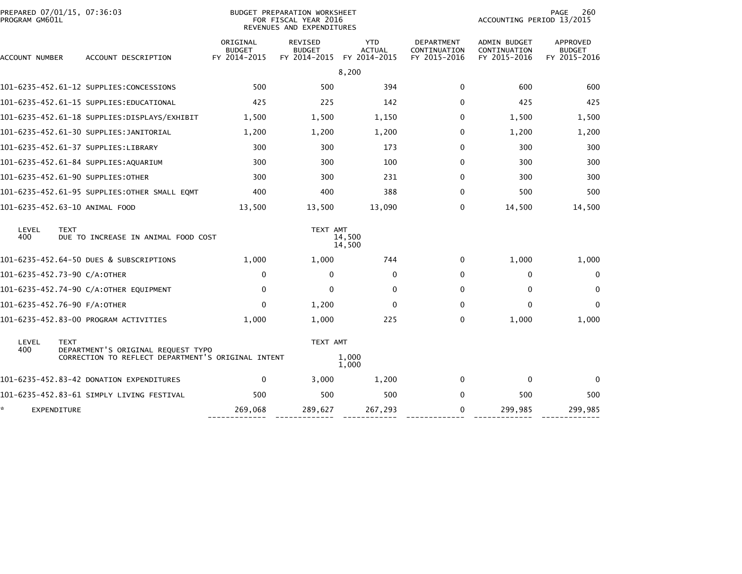| PREPARED 07/01/15, 07:36:03<br>PROGRAM GM601L |             |                                                                                          |                                           | <b>BUDGET PREPARATION WORKSHEET</b><br>FOR FISCAL YEAR 2016<br>REVENUES AND EXPENDITURES |                                             |                                                   | ACCOUNTING PERIOD 13/2015                           | 260<br>PAGE                               |
|-----------------------------------------------|-------------|------------------------------------------------------------------------------------------|-------------------------------------------|------------------------------------------------------------------------------------------|---------------------------------------------|---------------------------------------------------|-----------------------------------------------------|-------------------------------------------|
| ACCOUNT NUMBER                                |             | ACCOUNT DESCRIPTION                                                                      | ORIGINAL<br><b>BUDGET</b><br>FY 2014-2015 | <b>REVISED</b><br><b>BUDGET</b><br>FY 2014-2015                                          | <b>YTD</b><br><b>ACTUAL</b><br>FY 2014-2015 | <b>DEPARTMENT</b><br>CONTINUATION<br>FY 2015-2016 | <b>ADMIN BUDGET</b><br>CONTINUATION<br>FY 2015-2016 | APPROVED<br><b>BUDGET</b><br>FY 2015-2016 |
|                                               |             |                                                                                          |                                           |                                                                                          | 8,200                                       |                                                   |                                                     |                                           |
|                                               |             |                                                                                          | 500                                       | 500                                                                                      | 394                                         | $\Omega$                                          | 600                                                 | 600                                       |
|                                               |             | 101-6235-452.61-15 SUPPLIES:EDUCATIONAL                                                  | 425                                       | 225                                                                                      | 142                                         | $\Omega$                                          | 425                                                 | 425                                       |
|                                               |             | 101-6235-452.61-18 SUPPLIES:DISPLAYS/EXHIBIT                                             | 1,500                                     | 1,500                                                                                    | 1,150                                       | $\Omega$                                          | 1,500                                               | 1,500                                     |
|                                               |             | 101-6235-452.61-30 SUPPLIES:JANITORIAL                                                   | 1,200                                     | 1,200                                                                                    | 1,200                                       | 0                                                 | 1,200                                               | 1,200                                     |
|                                               |             | 101-6235-452.61-37 SUPPLIES:LIBRARY                                                      | 300                                       | 300                                                                                      | 173                                         | $\Omega$                                          | 300                                                 | 300                                       |
|                                               |             | 101-6235-452.61-84 SUPPLIES:AQUARIUM                                                     | 300                                       | 300                                                                                      | 100                                         | $\Omega$                                          | 300                                                 | 300                                       |
|                                               |             | 101-6235-452.61-90 SUPPLIES:OTHER                                                        | 300                                       | 300                                                                                      | 231                                         | $\Omega$                                          | 300                                                 | 300                                       |
|                                               |             | 101-6235-452.61-95 SUPPLIES:OTHER SMALL EQMT                                             | 400                                       | 400                                                                                      | 388                                         | $\Omega$                                          | 500                                                 | 500                                       |
| 101-6235-452.63-10 ANIMAL FOOD                |             |                                                                                          | 13,500                                    | 13,500                                                                                   | 13,090                                      | $\Omega$                                          | 14,500                                              | 14,500                                    |
| LEVEL<br>400                                  | <b>TEXT</b> | DUE TO INCREASE IN ANIMAL FOOD COST                                                      |                                           | TEXT AMT                                                                                 | 14,500<br>14,500                            |                                                   |                                                     |                                           |
|                                               |             | 101-6235-452.64-50 DUES & SUBSCRIPTIONS                                                  | 1,000                                     | 1,000                                                                                    | 744                                         | 0                                                 | 1,000                                               | 1,000                                     |
| 101-6235-452.73-90 C/A:OTHER                  |             |                                                                                          | 0                                         | 0                                                                                        | 0                                           | $\Omega$                                          | 0                                                   | 0                                         |
|                                               |             | 101-6235-452.74-90 C/A:OTHER EQUIPMENT                                                   | 0                                         | $\mathbf{0}$                                                                             | 0                                           | $\Omega$                                          | 0                                                   | 0                                         |
| 101-6235-452.76-90 F/A:OTHER                  |             |                                                                                          | 0                                         | 1,200                                                                                    | 0                                           | $\Omega$                                          | $\mathbf 0$                                         | $\mathbf{0}$                              |
|                                               |             | 101-6235-452.83-00 PROGRAM ACTIVITIES                                                    | 1,000                                     | 1,000                                                                                    | 225                                         | 0                                                 | 1,000                                               | 1,000                                     |
| LEVEL                                         | TEXT        |                                                                                          |                                           | TEXT AMT                                                                                 |                                             |                                                   |                                                     |                                           |
| 400                                           |             | DEPARTMENT'S ORIGINAL REQUEST TYPO<br>CORRECTION TO REFLECT DEPARTMENT'S ORIGINAL INTENT |                                           |                                                                                          | 1,000<br>1,000                              |                                                   |                                                     |                                           |
|                                               |             | 101-6235-452.83-42 DONATION EXPENDITURES                                                 | 0                                         | 3,000                                                                                    | 1,200                                       | 0                                                 | 0                                                   | $\Omega$                                  |
|                                               |             | 101–6235–452.83–61 SIMPLY LIVING FESTIVAL                                                | 500                                       | 500                                                                                      | 500                                         | $\Omega$                                          | 500                                                 | 500                                       |
| *<br>EXPENDITURE                              |             |                                                                                          | 269,068                                   | 289,627                                                                                  | 267,293                                     | 0                                                 | 299,985                                             | 299,985                                   |

------------- ------------- ------------ ------------- ------------- -------------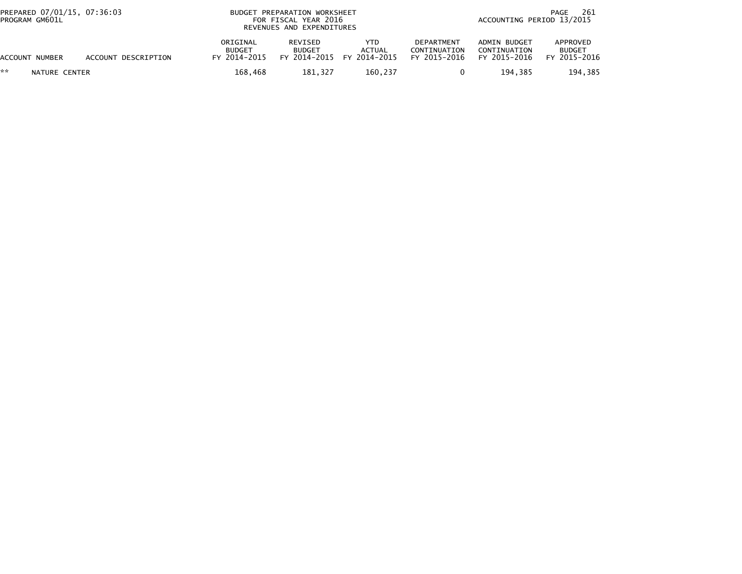| PREPARED 07/01/15, 07:36:03<br>PROGRAM GM601L |                     | BUDGET PREPARATION WORKSHEET<br>FOR FISCAL YEAR 2016<br>REVENUES AND EXPENDITURES | 261<br>PAGE<br>ACCOUNTING PERIOD 13/2015 |                                      |                                                   |                                              |                                           |
|-----------------------------------------------|---------------------|-----------------------------------------------------------------------------------|------------------------------------------|--------------------------------------|---------------------------------------------------|----------------------------------------------|-------------------------------------------|
| ACCOUNT NUMBER                                | ACCOUNT DESCRIPTION | ORIGINAL<br><b>BUDGET</b><br>FY 2014-2015                                         | REVISED<br><b>BUDGET</b><br>FY 2014-2015 | YTD<br><b>ACTUAL</b><br>FY 2014-2015 | <b>DEPARTMENT</b><br>CONTINUATION<br>FY 2015-2016 | ADMIN BUDGET<br>CONTINUATION<br>FY 2015-2016 | APPROVED<br><b>BUDGET</b><br>FY 2015-2016 |
| **<br>NATURE CENTER                           |                     | 168.468                                                                           | 181,327                                  | 160,237                              |                                                   | 194.385                                      | 194,385                                   |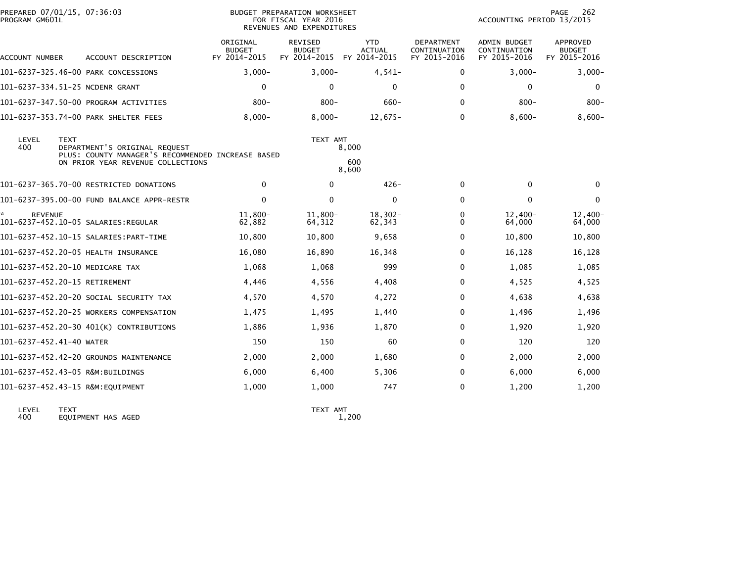| PREPARED 07/01/15, 07:36:03                                                       |                                           |                                                 |                                                   |                                                                                                                 |                                                     | PAGE<br>262                                      |
|-----------------------------------------------------------------------------------|-------------------------------------------|-------------------------------------------------|---------------------------------------------------|-----------------------------------------------------------------------------------------------------------------|-----------------------------------------------------|--------------------------------------------------|
| ACCOUNT DESCRIPTION                                                               | ORIGINAL<br><b>BUDGET</b><br>FY 2014-2015 | <b>REVISED</b><br><b>BUDGET</b><br>FY 2014-2015 | <b>YTD</b><br><b>ACTUAL</b><br>FY 2014-2015       | <b>DEPARTMENT</b><br>CONTINUATION<br>FY 2015-2016                                                               | <b>ADMIN BUDGET</b><br>CONTINUATION<br>FY 2015-2016 | <b>APPROVED</b><br><b>BUDGET</b><br>FY 2015-2016 |
| 101-6237-325.46-00 PARK CONCESSIONS                                               | $3,000-$                                  | $3,000-$                                        | $4,541-$                                          | $\Omega$                                                                                                        | $3,000-$                                            | $3,000 -$                                        |
| 101-6237-334.51-25 NCDENR GRANT                                                   | $\mathbf 0$                               | $\mathbf{0}$                                    | $\Omega$                                          | $\Omega$                                                                                                        | $\mathbf{0}$                                        | $\Omega$                                         |
| 101-6237-347.50-00 PROGRAM ACTIVITIES                                             | $800 -$                                   | $800 -$                                         | $660 -$                                           | $\Omega$                                                                                                        | $800 -$                                             | $800 -$                                          |
| 101-6237-353.74-00 PARK SHELTER FEES                                              | $8,000 -$                                 | $8,000 -$                                       | $12,675-$                                         | $\Omega$                                                                                                        | $8.600 -$                                           | $8,600-$                                         |
| <b>TEXT</b><br>DEPARTMENT'S ORIGINAL REQUEST<br>ON PRIOR YEAR REVENUE COLLECTIONS |                                           |                                                 | 600                                               |                                                                                                                 |                                                     |                                                  |
| 101-6237-365.70-00 RESTRICTED DONATIONS                                           | 0                                         | 0                                               | $426 -$                                           | 0                                                                                                               | $\mathbf 0$                                         | 0                                                |
| 101-6237-395.00-00 FUND BALANCE APPR-RESTR                                        | 0                                         | $\Omega$                                        | 0                                                 | $\Omega$                                                                                                        | $\Omega$                                            | $\Omega$                                         |
|                                                                                   | $11,800 -$<br>62,882                      | $11,800 -$<br>64,312                            | $18,302 -$<br>62,343                              | 0<br>0                                                                                                          | $12,400-$<br>64,000                                 | $12,400-$<br>64,000                              |
| 101-6237-452.10-15 SALARIES:PART-TIME                                             | 10,800                                    | 10,800                                          | 9,658                                             | 0                                                                                                               | 10,800                                              | 10,800                                           |
| 101-6237-452.20-05 HEALTH INSURANCE                                               | 16,080                                    | 16,890                                          | 16,348                                            | 0                                                                                                               | 16,128                                              | 16,128                                           |
| 101-6237-452.20-10 MEDICARE TAX                                                   | 1,068                                     | 1,068                                           | 999                                               | $\Omega$                                                                                                        | 1,085                                               | 1,085                                            |
| 101-6237-452.20-15 RETIREMENT                                                     | 4,446                                     | 4,556                                           | 4,408                                             | $\Omega$                                                                                                        | 4,525                                               | 4,525                                            |
| 101-6237-452.20-20 SOCIAL SECURITY TAX                                            | 4,570                                     | 4,570                                           | 4,272                                             | $\Omega$                                                                                                        | 4,638                                               | 4,638                                            |
| 101-6237-452.20-25 WORKERS COMPENSATION                                           | 1,475                                     | 1,495                                           | 1,440                                             | $\Omega$                                                                                                        | 1,496                                               | 1,496                                            |
| 101-6237-452.20-30 401(K) CONTRIBUTIONS                                           | 1,886                                     | 1,936                                           | 1,870                                             | 0                                                                                                               | 1,920                                               | 1,920                                            |
| 101-6237-452.41-40 WATER                                                          | 150                                       | 150                                             | 60                                                | $\Omega$                                                                                                        | 120                                                 | 120                                              |
| 101-6237-452.42-20 GROUNDS MAINTENANCE                                            | 2,000                                     | 2,000                                           | 1,680                                             | 0                                                                                                               | 2,000                                               | 2,000                                            |
| 101-6237-452.43-05 R&M:BUILDINGS                                                  | 6,000                                     | 6,400                                           | 5,306                                             | 0                                                                                                               | 6,000                                               | 6,000                                            |
| 101-6237-452.43-15 R&M:EQUIPMENT                                                  | 1,000                                     | 1,000                                           | 747                                               | $\Omega$                                                                                                        | 1,200                                               | 1,200                                            |
|                                                                                   |                                           |                                                 | PLUS: COUNTY MANAGER'S RECOMMENDED INCREASE BASED | BUDGET PREPARATION WORKSHEET<br>FOR FISCAL YEAR 2016<br>REVENUES AND EXPENDITURES<br>TEXT AMT<br>8,000<br>8,600 |                                                     | ACCOUNTING PERIOD 13/2015                        |

LEVEL TEXT TEXT AMT 400 EQUIPMENT HAS AGED 1,200

TEXT AMT<br>1,200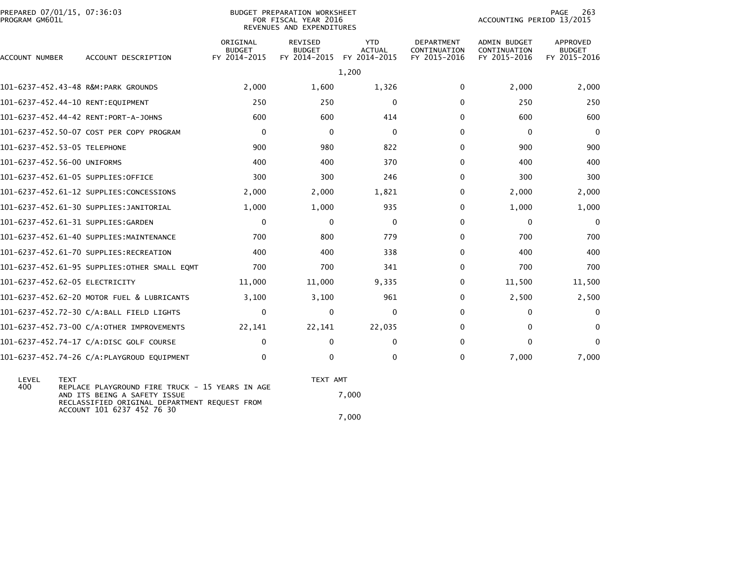| PREPARED 07/01/15, 07:36:03<br>BUDGET PREPARATION WORKSHEET<br>PROGRAM GM601L<br>FOR FISCAL YEAR 2016<br>REVENUES AND EXPENDITURES |                                               |                                           |                                                 |                                             |                                                   | 263<br><b>PAGE</b><br>ACCOUNTING PERIOD 13/2015     |                                           |  |
|------------------------------------------------------------------------------------------------------------------------------------|-----------------------------------------------|-------------------------------------------|-------------------------------------------------|---------------------------------------------|---------------------------------------------------|-----------------------------------------------------|-------------------------------------------|--|
| ACCOUNT NUMBER                                                                                                                     | ACCOUNT DESCRIPTION                           | ORIGINAL<br><b>BUDGET</b><br>FY 2014-2015 | <b>REVISED</b><br><b>BUDGET</b><br>FY 2014-2015 | <b>YTD</b><br><b>ACTUAL</b><br>FY 2014-2015 | <b>DEPARTMENT</b><br>CONTINUATION<br>FY 2015-2016 | <b>ADMIN BUDGET</b><br>CONTINUATION<br>FY 2015-2016 | APPROVED<br><b>BUDGET</b><br>FY 2015-2016 |  |
|                                                                                                                                    |                                               |                                           |                                                 | 1,200                                       |                                                   |                                                     |                                           |  |
| 101-6237-452.43-48 R&M:PARK GROUNDS                                                                                                |                                               | 2,000                                     | 1,600                                           | 1,326                                       | $\Omega$                                          | 2,000                                               | 2,000                                     |  |
| 101-6237-452.44-10 RENT:EQUIPMENT                                                                                                  |                                               | 250                                       | 250                                             | $\Omega$                                    | 0                                                 | 250                                                 | 250                                       |  |
| 101-6237-452.44-42 RENT:PORT-A-JOHNS                                                                                               |                                               | 600                                       | 600                                             | 414                                         | 0                                                 | 600                                                 | 600                                       |  |
|                                                                                                                                    | 101-6237-452.50-07 COST PER COPY PROGRAM      | $\mathbf 0$                               | $\mathbf{0}$                                    | $\mathbf{0}$                                | 0                                                 | $\mathbf{0}$                                        | $\mathbf 0$                               |  |
| 101-6237-452.53-05 TELEPHONE                                                                                                       |                                               | 900                                       | 980                                             | 822                                         | 0                                                 | 900                                                 | 900                                       |  |
| 101-6237-452.56-00 UNIFORMS                                                                                                        |                                               | 400                                       | 400                                             | 370                                         | 0                                                 | 400                                                 | 400                                       |  |
| 101-6237-452.61-05 SUPPLIES:OFFICE                                                                                                 |                                               | 300                                       | 300                                             | 246                                         | 0                                                 | 300                                                 | 300                                       |  |
|                                                                                                                                    | 101-6237-452.61-12 SUPPLIES:CONCESSIONS       | 2,000                                     | 2,000                                           | 1,821                                       | 0                                                 | 2,000                                               | 2,000                                     |  |
|                                                                                                                                    | 101-6237-452.61-30 SUPPLIES:JANITORIAL        | 1,000                                     | 1,000                                           | 935                                         | 0                                                 | 1,000                                               | 1,000                                     |  |
| 101-6237-452.61-31 SUPPLIES:GARDEN                                                                                                 |                                               | $\mathbf 0$                               | $\mathbf{0}$                                    | $\mathbf{0}$                                | 0                                                 | $\Omega$                                            | $\mathbf{0}$                              |  |
|                                                                                                                                    | 101-6237-452.61-40 SUPPLIES:MAINTENANCE       | 700                                       | 800                                             | 779                                         | 0                                                 | 700                                                 | 700                                       |  |
|                                                                                                                                    | 101-6237-452.61-70 SUPPLIES:RECREATION        | 400                                       | 400                                             | 338                                         | 0                                                 | 400                                                 | 400                                       |  |
|                                                                                                                                    | 101-6237-452.61-95 SUPPLIES: OTHER SMALL EQMT | 700                                       | 700                                             | 341                                         | 0                                                 | 700                                                 | 700                                       |  |
| 101-6237-452.62-05 ELECTRICITY                                                                                                     |                                               | 11,000                                    | 11,000                                          | 9,335                                       | 0                                                 | 11,500                                              | 11,500                                    |  |
|                                                                                                                                    | 101-6237-452.62-20 MOTOR FUEL & LUBRICANTS    | 3,100                                     | 3,100                                           | 961                                         | 0                                                 | 2,500                                               | 2,500                                     |  |
|                                                                                                                                    | 101-6237-452.72-30 C/A:BALL FIELD LIGHTS      | $\Omega$                                  | $\mathbf{0}$                                    | $\Omega$                                    | $\Omega$                                          | $\Omega$                                            | $\Omega$                                  |  |
|                                                                                                                                    | 101-6237-452.73-00 C/A:OTHER IMPROVEMENTS     | 22,141                                    | 22,141                                          | 22,035                                      | 0                                                 | $\Omega$                                            | $\Omega$                                  |  |
|                                                                                                                                    | 101-6237-452.74-17 C/A:DISC GOLF COURSE       | 0                                         | $\Omega$                                        | $\mathbf{0}$                                | 0                                                 | $\Omega$                                            | 0                                         |  |
|                                                                                                                                    | 101-6237-452.74-26 C/A:PLAYGROUD EQUIPMENT    | 0                                         | 0                                               | $\Omega$                                    | 0                                                 | 7,000                                               | 7,000                                     |  |
|                                                                                                                                    |                                               |                                           |                                                 |                                             |                                                   |                                                     |                                           |  |

 LEVEL TEXT TEXT AMT 400 REPLACE PLAYGROUND FIRE TRUCK - 15 YEARS IN AGE AND ITS BEING A SAFETY ISSUE 7,000 RECLASSIFIED ORIGINAL DEPARTMENT REQUEST FROM ACCOUNT 101 6237 452 76 307,000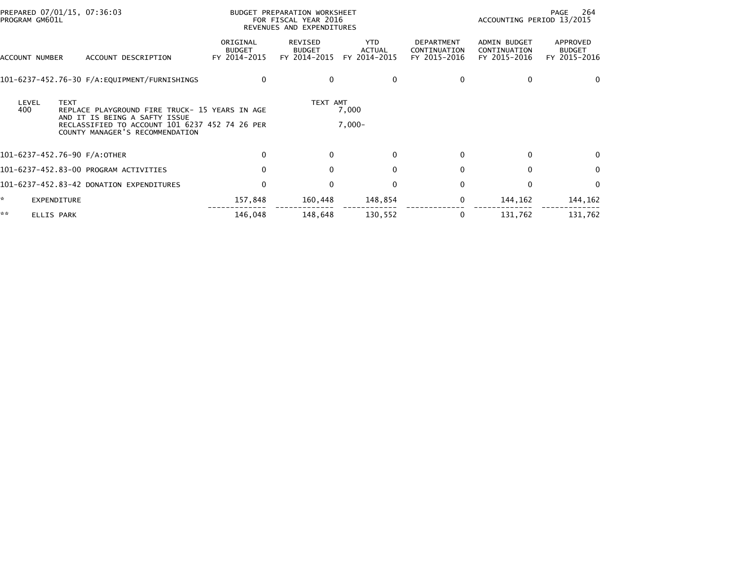| PROGRAM GM601L | PREPARED 07/01/15, 07:36:03                                                                                                                                                         |                                           | BUDGET PREPARATION WORKSHEET<br>FOR FISCAL YEAR 2016<br>REVENUES AND EXPENDITURES |                                             | - 264<br>PAGE<br>ACCOUNTING PERIOD 13/2015        |                                              |                                           |
|----------------|-------------------------------------------------------------------------------------------------------------------------------------------------------------------------------------|-------------------------------------------|-----------------------------------------------------------------------------------|---------------------------------------------|---------------------------------------------------|----------------------------------------------|-------------------------------------------|
| ACCOUNT NUMBER | ACCOUNT DESCRIPTION                                                                                                                                                                 | ORIGINAL<br><b>BUDGET</b><br>FY 2014-2015 | REVISED<br><b>BUDGET</b><br>FY 2014-2015                                          | <b>YTD</b><br><b>ACTUAL</b><br>FY 2014-2015 | <b>DEPARTMENT</b><br>CONTINUATION<br>FY 2015-2016 | ADMIN BUDGET<br>CONTINUATION<br>FY 2015-2016 | APPROVED<br><b>BUDGET</b><br>FY 2015-2016 |
|                |                                                                                                                                                                                     | $\bf{0}$                                  | $\Omega$                                                                          | 0                                           | 0                                                 | 0                                            | $\Omega$                                  |
| LEVEL<br>400   | <b>TEXT</b><br>REPLACE PLAYGROUND FIRE TRUCK- 15 YEARS IN AGE<br>AND IT IS BEING A SAFTY ISSUE<br>RECLASSIFIED TO ACCOUNT 101 6237 452 74 26 PER<br>COUNTY MANAGER'S RECOMMENDATION |                                           | TEXT AMT                                                                          | 7,000<br>$7,000-$                           |                                                   |                                              |                                           |
|                |                                                                                                                                                                                     |                                           |                                                                                   |                                             |                                                   |                                              |                                           |
|                | 101-6237-452.76-90 F/A:OTHER                                                                                                                                                        | 0                                         | $\Omega$                                                                          | $\Omega$                                    | 0                                                 | $\bf{0}$                                     | $\Omega$                                  |
|                | 101-6237-452.83-00 PROGRAM ACTIVITIES                                                                                                                                               | 0                                         | $\mathbf{0}$                                                                      | $\Omega$                                    | $\Omega$                                          | $\mathbf{0}$                                 | $\mathbf{0}$                              |
|                | 101-6237-452.83-42 DONATION EXPENDITURES                                                                                                                                            | $\mathbf 0$                               | $\mathbf{0}$                                                                      | $\Omega$                                    | $\Omega$                                          | 0                                            | $\mathbf{0}$                              |
| ☆.             | <b>EXPENDITURE</b>                                                                                                                                                                  | 157,848                                   | 160,448                                                                           | 148,854                                     | 0                                                 | 144, 162                                     | 144,162                                   |
| **             | <b>ELLIS PARK</b>                                                                                                                                                                   | 146.048                                   | 148,648                                                                           | 130,552                                     | 0                                                 | 131,762                                      | 131,762                                   |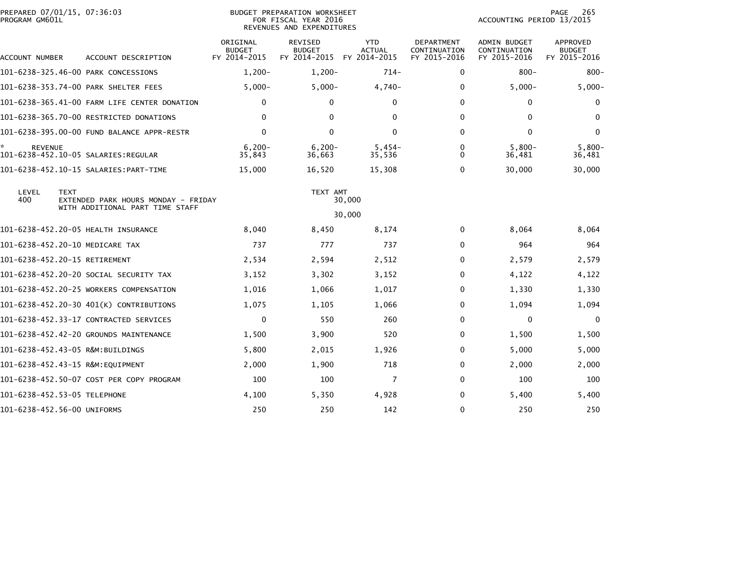| PREPARED 07/01/15, 07:36:03                  |                                           |                                                 |                                             |                                                                                                                   |                                              | 265<br>PAGE                               |
|----------------------------------------------|-------------------------------------------|-------------------------------------------------|---------------------------------------------|-------------------------------------------------------------------------------------------------------------------|----------------------------------------------|-------------------------------------------|
| ACCOUNT DESCRIPTION                          | ORIGINAL<br><b>BUDGET</b><br>FY 2014-2015 | <b>REVISED</b><br><b>BUDGET</b><br>FY 2014-2015 | <b>YTD</b><br><b>ACTUAL</b><br>FY 2014-2015 | <b>DEPARTMENT</b><br>CONTINUATION<br>FY 2015-2016                                                                 | ADMIN BUDGET<br>CONTINUATION<br>FY 2015-2016 | APPROVED<br><b>BUDGET</b><br>FY 2015-2016 |
| 101-6238-325.46-00 PARK CONCESSIONS          | $1,200-$                                  | $1,200-$                                        | $714-$                                      | 0                                                                                                                 | $800 -$                                      | $800 -$                                   |
| 101-6238-353.74-00 PARK SHELTER FEES         | $5,000-$                                  | $5,000-$                                        | $4,740-$                                    | $\Omega$                                                                                                          | $5,000-$                                     | $5,000 -$                                 |
| 101-6238-365.41-00 FARM LIFE CENTER DONATION | $\mathbf{0}$                              | $\mathbf{0}$                                    | $\Omega$                                    | 0                                                                                                                 | $\Omega$                                     | $\bf{0}$                                  |
| 101-6238-365.70-00 RESTRICTED DONATIONS      | $\mathbf{0}$                              | $\mathbf{0}$                                    | $\mathbf{0}$                                | $\Omega$                                                                                                          | $\mathbf{0}$                                 | $\Omega$                                  |
| 101-6238-395.00-00 FUND BALANCE APPR-RESTR   | 0                                         | $\mathbf{0}$                                    | $\mathbf{0}$                                | $\Omega$                                                                                                          | $\mathbf{0}$                                 | $\mathbf{0}$                              |
|                                              | $6,200 -$<br>35,843                       | $6,200-$<br>36,663                              | $5,454-$<br>35,536                          | $\Omega$<br>0                                                                                                     | $5,800-$<br>36,481                           | $5,800-$<br>36,481                        |
|                                              | 15,000                                    | 16,520                                          | 15,308                                      | 0                                                                                                                 | 30,000                                       | 30,000                                    |
| WITH ADDITIONAL PART TIME STAFF              |                                           |                                                 |                                             |                                                                                                                   |                                              |                                           |
| 101-6238-452.20-05 HEALTH INSURANCE          | 8,040                                     | 8,450                                           | 8,174                                       | 0                                                                                                                 | 8,064                                        | 8,064                                     |
| 101-6238-452.20-10 MEDICARE TAX              | 737                                       | 777                                             | 737                                         | $\Omega$                                                                                                          | 964                                          | 964                                       |
| 101-6238-452.20-15 RETIREMENT                | 2,534                                     | 2,594                                           | 2,512                                       | $\Omega$                                                                                                          | 2,579                                        | 2,579                                     |
| 101-6238-452.20-20 SOCIAL SECURITY TAX       | 3,152                                     | 3,302                                           | 3,152                                       | 0                                                                                                                 | 4,122                                        | 4,122                                     |
| 101-6238-452.20-25 WORKERS COMPENSATION      | 1,016                                     | 1,066                                           | 1,017                                       | $\Omega$                                                                                                          | 1,330                                        | 1,330                                     |
| 101-6238-452.20-30 401(K) CONTRIBUTIONS      | 1,075                                     | 1,105                                           | 1,066                                       | 0                                                                                                                 | 1,094                                        | 1,094                                     |
| 101-6238-452.33-17 CONTRACTED SERVICES       | $\mathbf 0$                               | 550                                             | 260                                         | $\Omega$                                                                                                          | $\Omega$                                     | $\mathbf{0}$                              |
| 101-6238-452.42-20 GROUNDS MAINTENANCE       | 1,500                                     | 3,900                                           | 520                                         | 0                                                                                                                 | 1,500                                        | 1,500                                     |
| 101-6238-452.43-05 R&M:BUILDINGS             | 5,800                                     | 2,015                                           | 1,926                                       | $\Omega$                                                                                                          | 5,000                                        | 5,000                                     |
| 101-6238-452.43-15 R&M:EQUIPMENT             | 2,000                                     | 1,900                                           | 718                                         | 0                                                                                                                 | 2,000                                        | 2,000                                     |
| 101-6238-452.50-07 COST PER COPY PROGRAM     | 100                                       | 100                                             | 7                                           | $\Omega$                                                                                                          | 100                                          | 100                                       |
| 101-6238-452.53-05 TELEPHONE                 | 4,100                                     | 5,350                                           | 4,928                                       | $\Omega$                                                                                                          | 5,400                                        | 5,400                                     |
| 101-6238-452.56-00 UNIFORMS                  | 250                                       | 250                                             | 142                                         | $\Omega$                                                                                                          | 250                                          | 250                                       |
|                                              |                                           | EXTENDED PARK HOURS MONDAY - FRIDAY             |                                             | BUDGET PREPARATION WORKSHEET<br>FOR FISCAL YEAR 2016<br>REVENUES AND EXPENDITURES<br>TEXT AMT<br>30,000<br>30,000 |                                              | ACCOUNTING PERIOD 13/2015                 |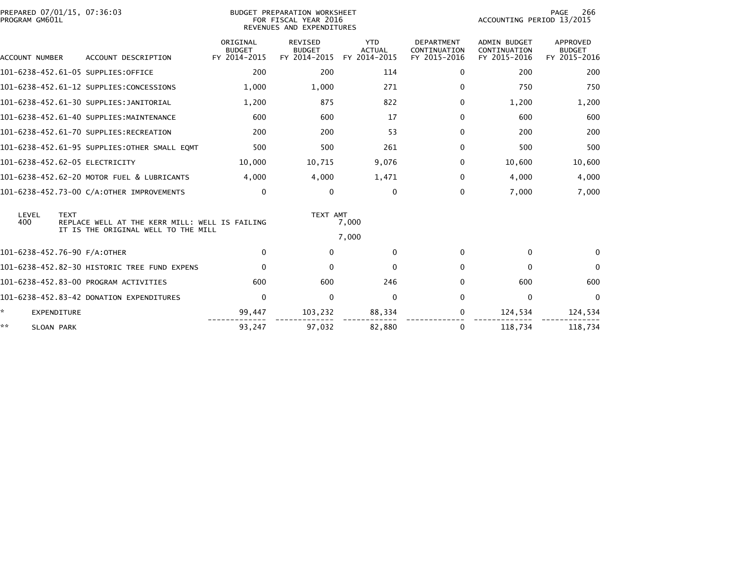| PROGRAM GM601L           | PREPARED 07/01/15, 07:36:03                                                                          |                                           | <b>BUDGET PREPARATION WORKSHEET</b><br>FOR FISCAL YEAR 2016<br>REVENUES AND EXPENDITURES | PAGE<br>266<br>ACCOUNTING PERIOD 13/2015    |                                                   |                                              |                                                  |
|--------------------------|------------------------------------------------------------------------------------------------------|-------------------------------------------|------------------------------------------------------------------------------------------|---------------------------------------------|---------------------------------------------------|----------------------------------------------|--------------------------------------------------|
| <b>ACCOUNT NUMBER</b>    | ACCOUNT DESCRIPTION                                                                                  | ORIGINAL<br><b>BUDGET</b><br>FY 2014-2015 | <b>REVISED</b><br><b>BUDGET</b><br>FY 2014-2015                                          | <b>YTD</b><br><b>ACTUAL</b><br>FY 2014-2015 | <b>DEPARTMENT</b><br>CONTINUATION<br>FY 2015-2016 | ADMIN BUDGET<br>CONTINUATION<br>FY 2015-2016 | <b>APPROVED</b><br><b>BUDGET</b><br>FY 2015-2016 |
|                          | 101-6238-452.61-05 SUPPLIES:OFFICE                                                                   | 200                                       | 200                                                                                      | 114                                         | $\Omega$                                          | 200                                          | 200                                              |
|                          | 101-6238-452.61-12 SUPPLIES:CONCESSIONS                                                              | 1,000                                     | 1.000                                                                                    | 271                                         | $\Omega$                                          | 750                                          | 750                                              |
|                          | 101-6238-452.61-30 SUPPLIES:JANITORIAL                                                               | 1,200                                     | 875                                                                                      | 822                                         | $\Omega$                                          | 1,200                                        | 1,200                                            |
|                          | 101-6238-452.61-40 SUPPLIES:MAINTENANCE                                                              | 600                                       | 600                                                                                      | 17                                          | $\Omega$                                          | 600                                          | 600                                              |
|                          | 101-6238-452.61-70 SUPPLIES:RECREATION                                                               | 200                                       | 200                                                                                      | 53                                          | $\Omega$                                          | 200                                          | 200                                              |
|                          | 101-6238-452.61-95 SUPPLIES:OTHER SMALL EQMT                                                         | 500                                       | 500                                                                                      | 261                                         | $\Omega$                                          | 500                                          | 500                                              |
|                          | 101-6238-452.62-05 ELECTRICITY                                                                       | 10,000                                    | 10,715                                                                                   | 9,076                                       | 0                                                 | 10,600                                       | 10,600                                           |
|                          | 101-6238-452.62-20 MOTOR FUEL & LUBRICANTS                                                           | 4,000                                     | 4.000                                                                                    | 1,471                                       | 0                                                 | 4,000                                        | 4,000                                            |
|                          | 101-6238-452.73-00 C/A:OTHER IMPROVEMENTS                                                            | $\Omega$                                  | $\mathbf{0}$                                                                             | $\Omega$                                    | $\Omega$                                          | 7,000                                        | 7,000                                            |
| LEVEL<br>400             | <b>TEXT</b><br>REPLACE WELL AT THE KERR MILL: WELL IS FAILING<br>IT IS THE ORIGINAL WELL TO THE MILL |                                           | TEXT AMT<br>7,000                                                                        |                                             |                                                   |                                              |                                                  |
|                          |                                                                                                      | $\Omega$                                  | $\Omega$                                                                                 | 7,000<br>$\Omega$                           | $\Omega$                                          | $\Omega$                                     | $\Omega$                                         |
|                          | 101-6238-452.76-90 F/A:OTHER                                                                         |                                           |                                                                                          |                                             |                                                   |                                              |                                                  |
|                          | 101-6238-452.82-30 HISTORIC TREE FUND EXPENS                                                         | $\mathbf 0$                               | $\mathbf{0}$                                                                             | $\mathbf{0}$                                | $\Omega$                                          | $\mathbf{0}$                                 | $\mathbf{0}$                                     |
|                          | 101-6238-452.83-00 PROGRAM ACTIVITIES                                                                | 600                                       | 600                                                                                      | 246                                         | 0                                                 | 600                                          | 600                                              |
|                          | 101-6238-452.83-42 DONATION EXPENDITURES                                                             | $\Omega$                                  | $\mathbf{0}$                                                                             | $\Omega$                                    | $\Omega$                                          | $\mathbf 0$                                  | $\Omega$                                         |
| *.<br><b>EXPENDITURE</b> |                                                                                                      | 99,447                                    | 103,232                                                                                  | 88,334                                      | 0                                                 | 124,534                                      | 124,534                                          |
| **<br>SLOAN PARK         |                                                                                                      | 93,247                                    | 97,032                                                                                   | 82,880                                      | 0                                                 | 118,734                                      | 118,734                                          |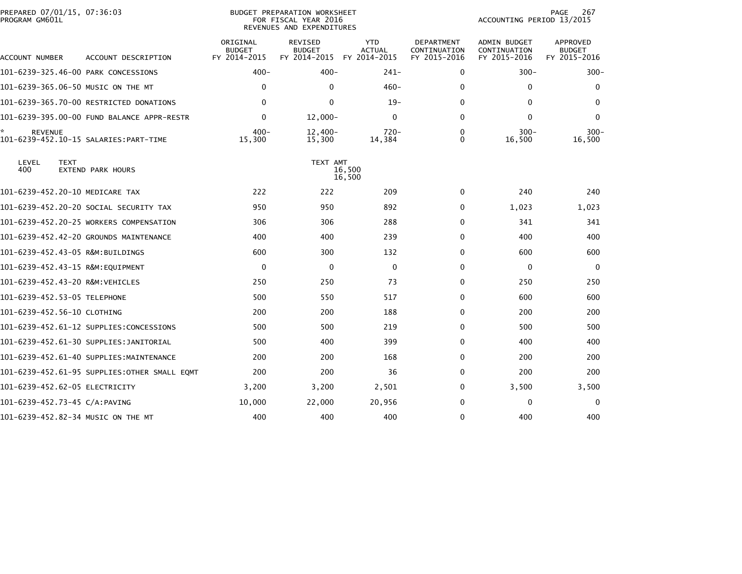| PREPARED 07/01/15, 07:36:03<br>PROGRAM GM601L |                                              |                                           | <b>BUDGET PREPARATION WORKSHEET</b><br>FOR FISCAL YEAR 2016<br>REVENUES AND EXPENDITURES |                                             |                                            | ACCOUNTING PERIOD 13/2015                    | PAGE<br>267                               |
|-----------------------------------------------|----------------------------------------------|-------------------------------------------|------------------------------------------------------------------------------------------|---------------------------------------------|--------------------------------------------|----------------------------------------------|-------------------------------------------|
| ACCOUNT NUMBER                                | ACCOUNT DESCRIPTION                          | ORIGINAL<br><b>BUDGET</b><br>FY 2014-2015 | REVISED<br><b>BUDGET</b><br>FY 2014-2015                                                 | <b>YTD</b><br><b>ACTUAL</b><br>FY 2014-2015 | DEPARTMENT<br>CONTINUATION<br>FY 2015-2016 | ADMIN BUDGET<br>CONTINUATION<br>FY 2015-2016 | APPROVED<br><b>BUDGET</b><br>FY 2015-2016 |
| 101-6239-325.46-00 PARK CONCESSIONS           |                                              | $400 -$                                   | $400 -$                                                                                  | $241 -$                                     | 0                                          | $300 -$                                      | $300 -$                                   |
| 101-6239-365.06-50 MUSIC ON THE MT            |                                              | 0                                         | $\mathbf{0}$                                                                             | $460 -$                                     | $\mathbf{0}$                               | $\mathbf{0}$                                 | 0                                         |
|                                               | 101-6239-365.70-00 RESTRICTED DONATIONS      | $\Omega$                                  | $\mathbf{0}$                                                                             | $19-$                                       | $\Omega$                                   | $\mathbf{0}$                                 | $\mathbf{0}$                              |
|                                               | 101-6239-395.00-00 FUND BALANCE APPR-RESTR   | $\mathbf 0$                               | $12,000-$                                                                                | $\mathbf 0$                                 | 0                                          | $\mathbf 0$                                  | 0                                         |
| *<br><b>REVENUE</b>                           |                                              | $400 -$<br>15,300                         | $12,400-$<br>15,300                                                                      | $720 -$<br>14,384                           | $\Omega$<br>0                              | $300 -$<br>16,500                            | $300 -$<br>16,500                         |
| LEVEL<br><b>TEXT</b><br>400                   | <b>EXTEND PARK HOURS</b>                     |                                           | TEXT AMT                                                                                 | 16.500<br>16,500                            |                                            |                                              |                                           |
| 101-6239-452.20-10 MEDICARE TAX               |                                              | 222                                       | 222                                                                                      | 209                                         | $\Omega$                                   | 240                                          | 240                                       |
|                                               | 101-6239-452.20-20 SOCIAL SECURITY TAX       | 950                                       | 950                                                                                      | 892                                         | 0                                          | 1,023                                        | 1,023                                     |
|                                               | 101-6239-452.20-25 WORKERS COMPENSATION      | 306                                       | 306                                                                                      | 288                                         | $\mathbf{0}$                               | 341                                          | 341                                       |
|                                               | 101-6239-452.42-20 GROUNDS MAINTENANCE       | 400                                       | 400                                                                                      | 239                                         | $\Omega$                                   | 400                                          | 400                                       |
| 101-6239-452.43-05 R&M:BUILDINGS              |                                              | 600                                       | 300                                                                                      | 132                                         | 0                                          | 600                                          | 600                                       |
| 101-6239-452.43-15 R&M:EQUIPMENT              |                                              | $\mathbf 0$                               | $\mathbf{0}$                                                                             | $\mathbf{0}$                                | $\mathbf{0}$                               | $\Omega$                                     | $\mathbf{0}$                              |
| 101-6239-452.43-20 R&M:VEHICLES               |                                              | 250                                       | 250                                                                                      | 73                                          | $\Omega$                                   | 250                                          | 250                                       |
| 101-6239-452.53-05 TELEPHONE                  |                                              | 500                                       | 550                                                                                      | 517                                         | 0                                          | 600                                          | 600                                       |
| 101-6239-452.56-10 CLOTHING                   |                                              | 200                                       | 200                                                                                      | 188                                         | $\mathbf{0}$                               | 200                                          | 200                                       |
|                                               | 101-6239-452.61-12 SUPPLIES:CONCESSIONS      | 500                                       | 500                                                                                      | 219                                         | 0                                          | 500                                          | 500                                       |
|                                               | 101-6239-452.61-30 SUPPLIES:JANITORIAL       | 500                                       | 400                                                                                      | 399                                         | $\mathbf{0}$                               | 400                                          | 400                                       |
|                                               | 101-6239-452.61-40 SUPPLIES:MAINTENANCE      | 200                                       | 200                                                                                      | 168                                         | $\mathbf{0}$                               | 200                                          | 200                                       |
|                                               | 101-6239-452.61-95 SUPPLIES:OTHER SMALL EQMT | 200                                       | 200                                                                                      | 36                                          | 0                                          | 200                                          | 200                                       |
| 101-6239-452.62-05 ELECTRICITY                |                                              | 3,200                                     | 3,200                                                                                    | 2,501                                       | $\mathbf{0}$                               | 3,500                                        | 3,500                                     |
| 101-6239-452.73-45 C/A:PAVING                 |                                              | 10,000                                    | 22,000                                                                                   | 20,956                                      | 0                                          | $\bf{0}$                                     | $\mathbf{0}$                              |
| 101-6239-452.82-34 MUSIC ON THE MT            |                                              | 400                                       | 400                                                                                      | 400                                         | $\mathbf{0}$                               | 400                                          | 400                                       |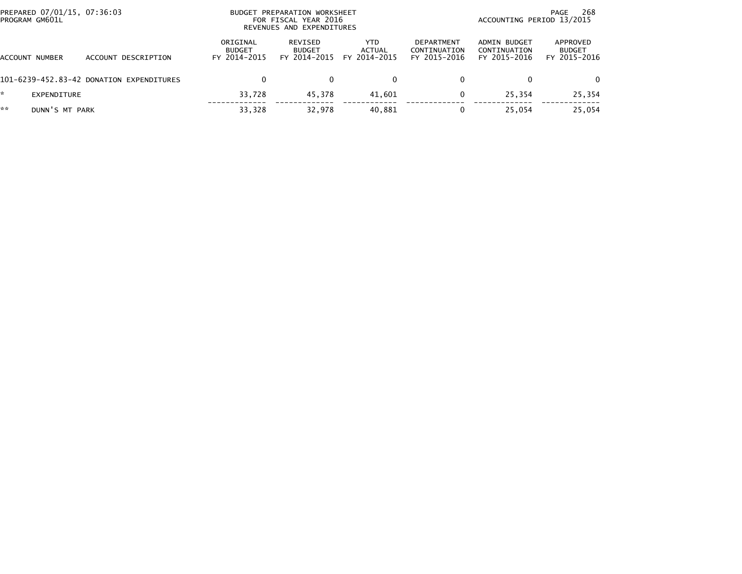| PREPARED 07/01/15, 07:36:03<br>PROGRAM GM601L |                                          | PREPARATION WORKSHEET<br><b>BUDGET</b><br>FOR FISCAL YEAR 2016<br>REVENUES AND EXPENDITURES |                                          |                                      |                                            | 268<br>PAGE<br>ACCOUNTING PERIOD 13/2015     |                                           |  |
|-----------------------------------------------|------------------------------------------|---------------------------------------------------------------------------------------------|------------------------------------------|--------------------------------------|--------------------------------------------|----------------------------------------------|-------------------------------------------|--|
| ACCOUNT NUMBER                                | ACCOUNT DESCRIPTION                      | ORIGINAL<br><b>BUDGET</b><br>FY 2014-2015                                                   | REVISED<br><b>BUDGET</b><br>FY 2014-2015 | <b>YTD</b><br>ACTUAL<br>FY 2014-2015 | DEPARTMENT<br>CONTINUATION<br>FY 2015-2016 | ADMIN BUDGET<br>CONTINUATION<br>FY 2015-2016 | APPROVED<br><b>BUDGET</b><br>FY 2015-2016 |  |
|                                               | 101-6239-452.83-42 DONATION EXPENDITURES |                                                                                             |                                          | 0                                    |                                            |                                              | $\Omega$                                  |  |
| EXPENDITURE                                   |                                          | 33,728                                                                                      | 45.378                                   | 41,601                               | 0                                          | 25.354                                       | 25,354                                    |  |
| **<br>DUNN'S MT PARK                          |                                          | 33,328                                                                                      | 32.978                                   | 40,881                               | 0                                          | 25.054                                       | 25,054                                    |  |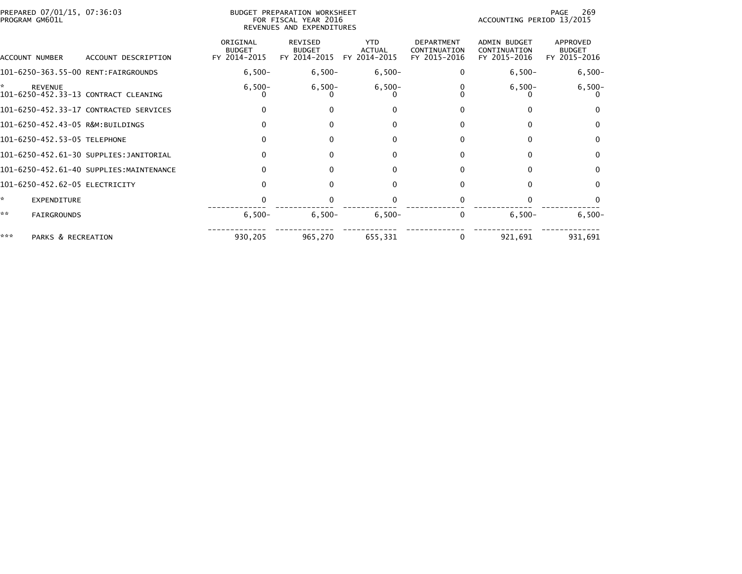|     | PREPARED 07/01/15, 07:36:03<br>BUDGET PREPARATION WORKSHEET<br>PROGRAM GM601L<br>FOR FISCAL YEAR 2016<br>REVENUES AND EXPENDITURES |                                         |                                           |                                                 |                                             |                                                   | 269<br>PAGE<br>ACCOUNTING PERIOD 13/2015            |                                           |  |
|-----|------------------------------------------------------------------------------------------------------------------------------------|-----------------------------------------|-------------------------------------------|-------------------------------------------------|---------------------------------------------|---------------------------------------------------|-----------------------------------------------------|-------------------------------------------|--|
|     | ACCOUNT NUMBER                                                                                                                     | ACCOUNT DESCRIPTION                     | ORIGINAL<br><b>BUDGET</b><br>FY 2014-2015 | <b>REVISED</b><br><b>BUDGET</b><br>FY 2014-2015 | <b>YTD</b><br><b>ACTUAL</b><br>FY 2014-2015 | <b>DEPARTMENT</b><br>CONTINUATION<br>FY 2015-2016 | <b>ADMIN BUDGET</b><br>CONTINUATION<br>FY 2015-2016 | APPROVED<br><b>BUDGET</b><br>FY 2015-2016 |  |
|     |                                                                                                                                    | 101-6250-363.55-00 RENT:FAIRGROUNDS     | $6,500-$                                  | $6,500-$                                        | $6,500-$                                    |                                                   | $6,500-$                                            | $6,500-$                                  |  |
| ÷.  | <b>REVENUE</b>                                                                                                                     | 101-6250-452.33-13 CONTRACT CLEANING    | $6,500-$                                  | $6,500-$                                        | $6,500-$                                    |                                                   | $6,500-$                                            | $6,500-$                                  |  |
|     |                                                                                                                                    | 101-6250-452.33-17 CONTRACTED SERVICES  | $\Omega$                                  | $\Omega$                                        | $\Omega$                                    |                                                   | 0                                                   | <sup>0</sup>                              |  |
|     |                                                                                                                                    | 101-6250-452.43-05 R&M:BUILDINGS        |                                           | $\Omega$                                        | $\Omega$                                    | 0                                                 | 0                                                   | $\mathbf{0}$                              |  |
|     | 101-6250-452.53-05 TELEPHONE                                                                                                       |                                         |                                           | $\Omega$                                        | $\Omega$                                    |                                                   | $\Omega$                                            | $\mathbf{0}$                              |  |
|     |                                                                                                                                    | 101-6250-452.61-30 SUPPLIES:JANITORIAL  |                                           | $\Omega$                                        | $\Omega$                                    |                                                   | 0                                                   | $\mathbf{0}$                              |  |
|     |                                                                                                                                    | 101-6250-452.61-40 SUPPLIES:MAINTENANCE |                                           | $\Omega$                                        | $\Omega$                                    | <sup>0</sup>                                      | $\Omega$                                            | 0                                         |  |
|     |                                                                                                                                    | 101-6250-452.62-05 ELECTRICITY          |                                           | 0                                               |                                             |                                                   |                                                     | $\Omega$                                  |  |
| ÷.  | EXPENDITURE                                                                                                                        |                                         |                                           |                                                 |                                             |                                                   |                                                     |                                           |  |
| **  | <b>FAIRGROUNDS</b>                                                                                                                 |                                         | $6,500 -$                                 | $6,500-$                                        | $6,500-$                                    |                                                   | $6,500-$                                            | $6,500-$                                  |  |
| *** | PARKS & RECREATION                                                                                                                 |                                         | 930,205                                   | 965,270                                         | 655,331                                     |                                                   | 921,691                                             | 931,691                                   |  |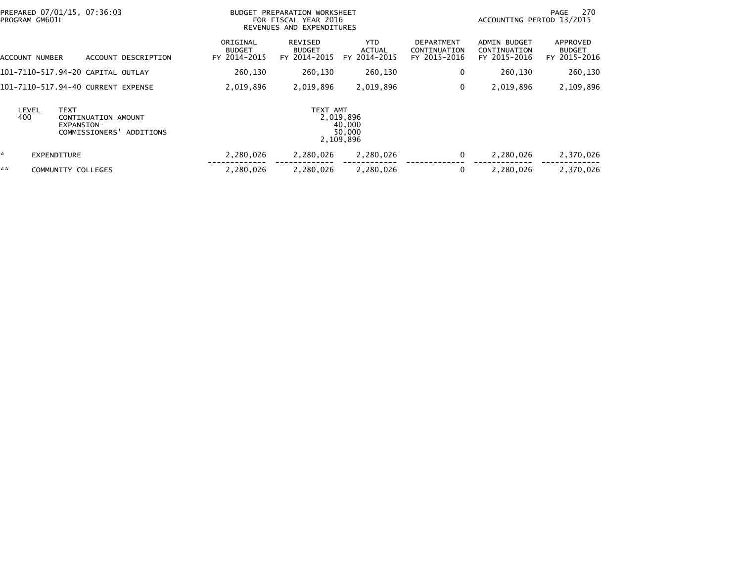| PREPARED 07/01/15, 07:36:03<br>PROGRAM GM601L |                                                                         | BUDGET PREPARATION WORKSHEET<br>FOR FISCAL YEAR 2016<br>REVENUES AND EXPENDITURES |                                          |                                             |                                                   |                                                     | 270<br>PAGE<br>ACCOUNTING PERIOD 13/2015  |  |
|-----------------------------------------------|-------------------------------------------------------------------------|-----------------------------------------------------------------------------------|------------------------------------------|---------------------------------------------|---------------------------------------------------|-----------------------------------------------------|-------------------------------------------|--|
| ACCOUNT NUMBER                                | ACCOUNT DESCRIPTION                                                     | ORIGINAL<br><b>BUDGET</b><br>FY 2014-2015                                         | REVISED<br><b>BUDGET</b><br>FY 2014-2015 | <b>YTD</b><br><b>ACTUAL</b><br>FY 2014-2015 | <b>DEPARTMENT</b><br>CONTINUATION<br>FY 2015-2016 | <b>ADMIN BUDGET</b><br>CONTINUATION<br>FY 2015-2016 | APPROVED<br><b>BUDGET</b><br>FY 2015-2016 |  |
| 101–7110–517.94–20 CAPITAL OUTLAY             |                                                                         | 260,130                                                                           | 260,130                                  | 260,130                                     | 0                                                 | 260,130                                             | 260,130                                   |  |
| 101-7110-517.94-40 CURRENT EXPENSE            |                                                                         | 2,019,896                                                                         | 2,019,896                                | 2,019,896                                   | 0                                                 | 2,019,896                                           | 2,109,896                                 |  |
| LEVEL<br><b>TEXT</b><br>400                   | CONTINUATION AMOUNT<br>EXPANSION-<br>COMMISSIONERS'<br><b>ADDITIONS</b> |                                                                                   | TEXT AMT                                 | 2,019,896<br>40,000<br>50,000<br>2,109,896  |                                                   |                                                     |                                           |  |
| ×.<br><b>EXPENDITURE</b>                      |                                                                         | 2,280,026                                                                         | 2,280,026                                | 2,280,026                                   | $\mathbf 0$                                       | 2,280,026                                           | 2,370,026                                 |  |
| **<br>COMMUNITY COLLEGES                      |                                                                         | 2,280,026                                                                         | 2,280,026                                | 2,280,026                                   | 0                                                 | 2,280,026                                           | 2,370,026                                 |  |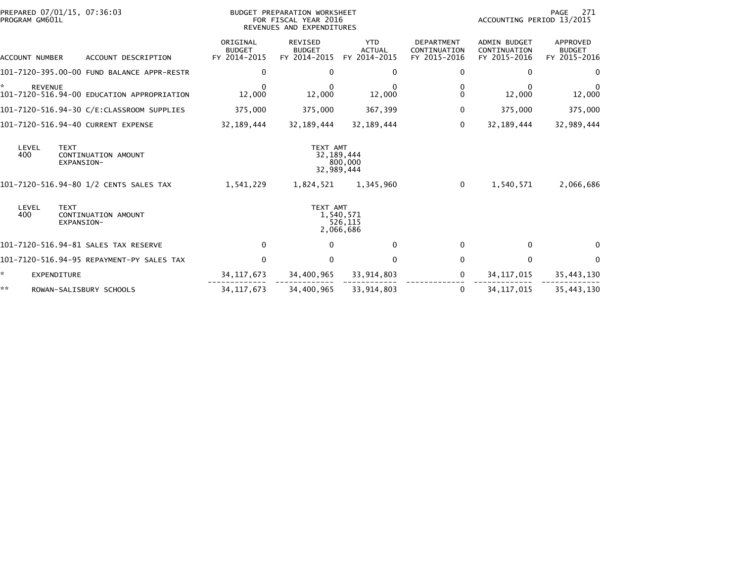| PREPARED 07/01/15, 07:36:03<br>PROGRAM GM601L                      |                                           | <b>BUDGET PREPARATION WORKSHEET</b><br>FOR FISCAL YEAR 2016<br>REVENUES AND EXPENDITURES | 271<br>PAGE<br>ACCOUNTING PERIOD 13/2015    |                                            |                                                     |                                           |
|--------------------------------------------------------------------|-------------------------------------------|------------------------------------------------------------------------------------------|---------------------------------------------|--------------------------------------------|-----------------------------------------------------|-------------------------------------------|
| ACCOUNT DESCRIPTION<br>ACCOUNT NUMBER                              | ORIGINAL<br><b>BUDGET</b><br>FY 2014-2015 | REVISED<br><b>BUDGET</b><br>FY 2014-2015                                                 | <b>YTD</b><br><b>ACTUAL</b><br>FY 2014-2015 | DEPARTMENT<br>CONTINUATION<br>FY 2015-2016 | <b>ADMIN BUDGET</b><br>CONTINUATION<br>FY 2015-2016 | APPROVED<br><b>BUDGET</b><br>FY 2015-2016 |
| 101-7120-395.00-00 FUND BALANCE APPR-RESTR                         | 0                                         | 0                                                                                        | 0                                           | 0                                          | 0                                                   | $\mathbf{0}$                              |
| ÷.<br><b>REVENUE</b><br>101-7120-516.94-00 EDUCATION APPROPRIATION | $\bf{0}$<br>12,000                        | 0<br>12,000                                                                              | 12,000                                      | 0<br>0                                     | 0<br>12,000                                         | 0<br>12,000                               |
| 101-7120-516.94-30 C/E:CLASSROOM SUPPLIES                          | 375,000                                   | 375,000                                                                                  | 367,399                                     | 0                                          | 375,000                                             | 375,000                                   |
| 101-7120-516.94-40 CURRENT EXPENSE                                 | 32, 189, 444                              | 32,189,444                                                                               | 32, 189, 444                                | 0                                          | 32, 189, 444                                        | 32,989,444                                |
| <b>TEXT</b><br>LEVEL<br>400<br>CONTINUATION AMOUNT<br>EXPANSION-   |                                           | TEXT AMT                                                                                 | 32, 189, 444<br>800,000<br>32,989,444       |                                            |                                                     |                                           |
| 101-7120-516.94-80 1/2 CENTS SALES TAX                             | 1,541,229                                 | 1,824,521                                                                                | 1,345,960                                   | $\Omega$                                   | 1,540,571                                           | 2,066,686                                 |
| LEVEL<br><b>TEXT</b><br>400<br>CONTINUATION AMOUNT<br>EXPANSION-   |                                           | TEXT AMT                                                                                 | 1,540,571<br>526,115<br>2,066,686           |                                            |                                                     |                                           |
| 101-7120-516.94-81 SALES TAX RESERVE                               | $\mathbf 0$                               | $\Omega$                                                                                 | $\mathbf{0}$                                | 0                                          | $\mathbf{0}$                                        | $\Omega$                                  |
| 101-7120-516.94-95 REPAYMENT-PY SALES TAX                          | $\mathbf 0$                               | 0                                                                                        | $\Omega$                                    | 0                                          | $\Omega$                                            | $\Omega$                                  |
| *<br><b>EXPENDITURE</b>                                            | 34, 117, 673                              | 34,400,965                                                                               | 33,914,803                                  | $\Omega$                                   | 34, 117, 015                                        | 35,443,130                                |
| **<br>ROWAN-SALISBURY SCHOOLS                                      | 34, 117, 673                              | 34,400,965                                                                               | 33,914,803                                  | 0                                          | 34, 117, 015                                        | 35,443,130                                |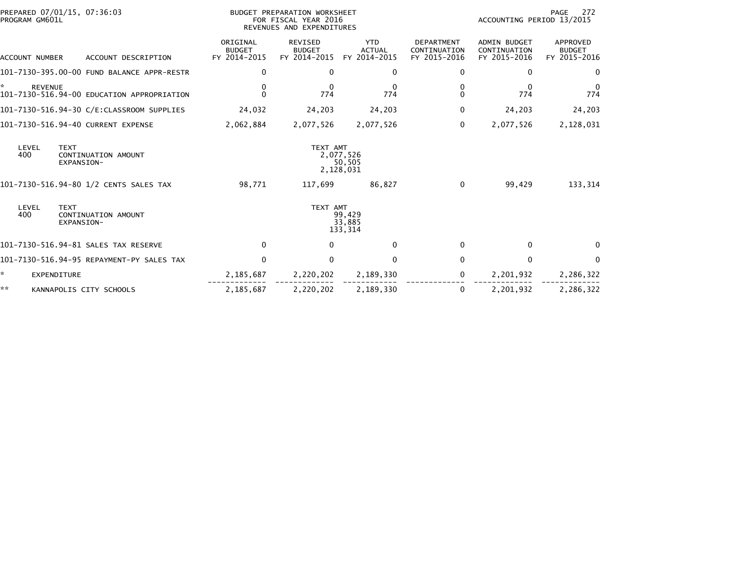| PREPARED 07/01/15, 07:36:03<br>PROGRAM GM601L                      | BUDGET PREPARATION WORKSHEET<br>FOR FISCAL YEAR 2016<br>REVENUES AND EXPENDITURES |                                                 |                                             |                                                   | 272<br>PAGE<br>ACCOUNTING PERIOD 13/2015            |                                           |  |
|--------------------------------------------------------------------|-----------------------------------------------------------------------------------|-------------------------------------------------|---------------------------------------------|---------------------------------------------------|-----------------------------------------------------|-------------------------------------------|--|
| ACCOUNT NUMBER<br>ACCOUNT DESCRIPTION                              | ORIGINAL<br><b>BUDGET</b><br>FY 2014-2015                                         | <b>REVISED</b><br><b>BUDGET</b><br>FY 2014-2015 | <b>YTD</b><br><b>ACTUAL</b><br>FY 2014-2015 | <b>DEPARTMENT</b><br>CONTINUATION<br>FY 2015-2016 | <b>ADMIN BUDGET</b><br>CONTINUATION<br>FY 2015-2016 | APPROVED<br><b>BUDGET</b><br>FY 2015-2016 |  |
| 101-7130-395.00-00 FUND BALANCE APPR-RESTR                         | $\mathbf{0}$                                                                      | $\Omega$                                        | $\Omega$                                    | 0                                                 | $\Omega$                                            | $\Omega$                                  |  |
| ×.<br><b>REVENUE</b><br>101-7130-516.94-00 EDUCATION APPROPRIATION | 0<br>$\Omega$                                                                     | $\Omega$<br>774                                 | 0<br>774                                    | 0<br>0                                            | $\Omega$<br>774                                     | $\mathbf 0$<br>774                        |  |
|                                                                    | 24,032                                                                            | 24,203                                          | 24,203                                      | 0                                                 | 24,203                                              | 24,203                                    |  |
| 101-7130-516.94-40 CURRENT EXPENSE                                 | 2,062,884                                                                         | 2,077,526                                       | 2,077,526                                   | $\Omega$                                          | 2,077,526                                           | 2,128,031                                 |  |
| LEVEL<br><b>TEXT</b><br>400<br>CONTINUATION AMOUNT<br>EXPANSION-   |                                                                                   | TEXT AMT                                        | 2,077,526<br>50,505<br>2,128,031            |                                                   |                                                     |                                           |  |
| 101-7130-516.94-80 1/2 CENTS SALES TAX                             | 98,771                                                                            | 117,699                                         | 86,827                                      | 0                                                 | 99,429                                              | 133,314                                   |  |
| LEVEL<br><b>TEXT</b><br>400<br>CONTINUATION AMOUNT<br>EXPANSION-   |                                                                                   | TEXT AMT                                        | 99,429<br>33,885<br>133,314                 |                                                   |                                                     |                                           |  |
| 101-7130-516.94-81 SALES TAX RESERVE                               | 0                                                                                 | $\Omega$                                        | $\mathbf{0}$                                | 0                                                 | $\Omega$                                            | $\Omega$                                  |  |
| 101-7130-516.94-95 REPAYMENT-PY SALES TAX                          | $\mathbf 0$                                                                       | $\mathbf{0}$                                    | $\mathbf{0}$                                | 0                                                 | $\mathbf{0}$                                        | $\Omega$                                  |  |
| *<br>EXPENDITURE                                                   | 2,185,687                                                                         | 2,220,202                                       | 2,189,330                                   | 0                                                 | 2,201,932                                           | 2,286,322                                 |  |
| **<br>KANNAPOLIS CITY SCHOOLS                                      | 2,185,687                                                                         | 2,220,202                                       | 2,189,330                                   | 0                                                 | 2,201,932                                           | 2,286,322                                 |  |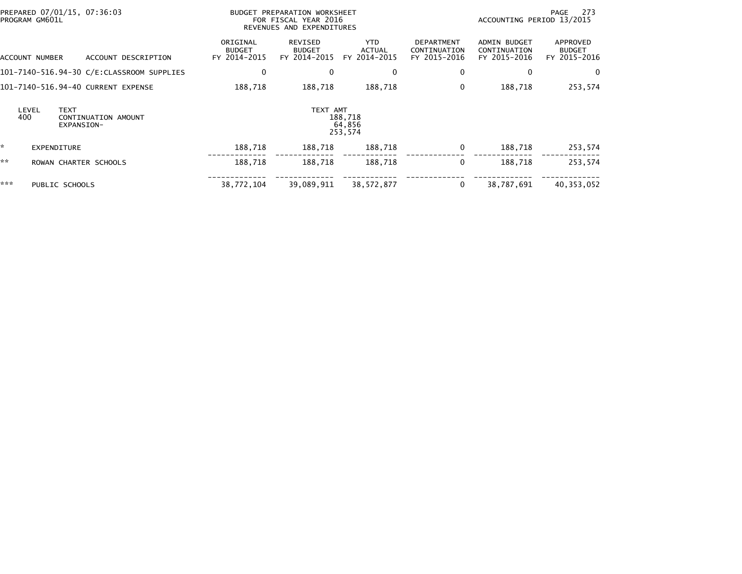| PROGRAM GM601L |                    | PREPARED 07/01/15, 07:36:03                      |                                           | BUDGET PREPARATION WORKSHEET<br>FOR FISCAL YEAR 2016<br>REVENUES AND EXPENDITURES | 273<br>PAGE<br>ACCOUNTING PERIOD 13/2015    |                                                   |                                              |                                           |
|----------------|--------------------|--------------------------------------------------|-------------------------------------------|-----------------------------------------------------------------------------------|---------------------------------------------|---------------------------------------------------|----------------------------------------------|-------------------------------------------|
| ACCOUNT NUMBER |                    | ACCOUNT DESCRIPTION                              | ORIGINAL<br><b>BUDGET</b><br>FY 2014-2015 | REVISED<br><b>BUDGET</b><br>FY 2014-2015                                          | <b>YTD</b><br><b>ACTUAL</b><br>FY 2014-2015 | <b>DEPARTMENT</b><br>CONTINUATION<br>FY 2015-2016 | ADMIN BUDGET<br>CONTINUATION<br>FY 2015-2016 | APPROVED<br><b>BUDGET</b><br>FY 2015-2016 |
|                |                    |                                                  | 0                                         | 0                                                                                 | 0                                           | 0                                                 | 0                                            | 0                                         |
|                |                    | 101-7140-516.94-40 CURRENT EXPENSE               | 188,718                                   | 188,718                                                                           | 188,718                                     | 0                                                 | 188,718                                      | 253,574                                   |
| LEVEL<br>400   |                    | <b>TEXT</b><br>CONTINUATION AMOUNT<br>EXPANSION- |                                           | TEXT AMT                                                                          | 188,718<br>64,856<br>253,574                |                                                   |                                              |                                           |
| ☆              | <b>EXPENDITURE</b> |                                                  | 188,718                                   | 188,718                                                                           | 188,718                                     | 0                                                 | 188,718                                      | 253,574                                   |
| **             |                    | ROWAN CHARTER SCHOOLS                            | 188,718                                   | 188,718                                                                           | 188,718                                     | 0                                                 | 188.718                                      | 253,574                                   |
| ***            |                    | PUBLIC SCHOOLS                                   | 38,772,104                                | 39,089,911                                                                        | 38, 572, 877                                | 0                                                 | 38,787,691                                   | 40,353,052                                |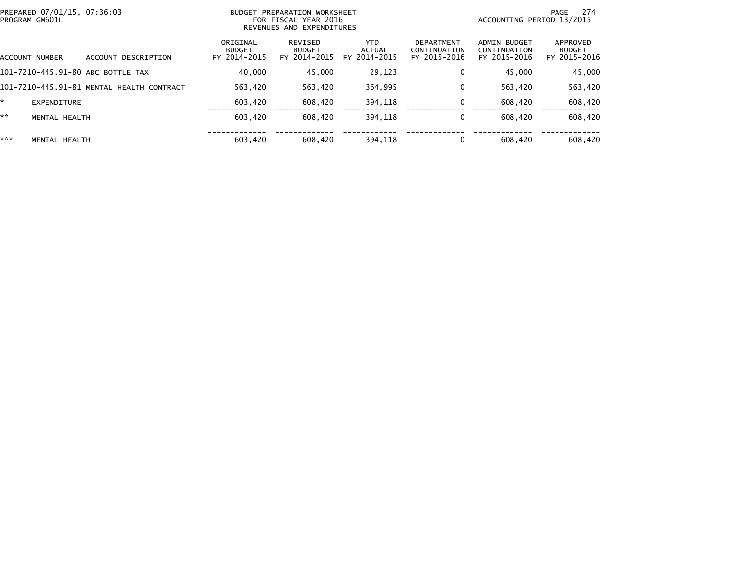| PREPARED 07/01/15, 07:36:03<br>PROGRAM GM601L |                                           | BUDGET PREPARATION WORKSHEET<br>FOR FISCAL YEAR 2016<br>REVENUES AND EXPENDITURES |                                          |                                       |                                                   |                                              | 274<br>PAGE<br>ACCOUNTING PERIOD 13/2015  |  |  |
|-----------------------------------------------|-------------------------------------------|-----------------------------------------------------------------------------------|------------------------------------------|---------------------------------------|---------------------------------------------------|----------------------------------------------|-------------------------------------------|--|--|
| ACCOUNT NUMBER                                | DESCRIPTION<br><b>ACCOUNT</b>             | ORIGINAL<br><b>BUDGET</b><br>FY 2014-2015                                         | REVISED<br><b>BUDGET</b><br>FY 2014-2015 | YTD.<br><b>ACTUAL</b><br>FY 2014-2015 | <b>DEPARTMENT</b><br>CONTINUATION<br>FY 2015-2016 | ADMIN BUDGET<br>CONTINUATION<br>FY 2015-2016 | APPROVED<br><b>BUDGET</b><br>FY 2015-2016 |  |  |
| 101-7210-445.91-80 ABC BOTTLE TAX             |                                           | 40,000                                                                            | 45.000                                   | 29,123                                | 0                                                 | 45,000                                       | 45,000                                    |  |  |
|                                               | 101-7210-445.91-81 MENTAL HEALTH CONTRACT | 563,420                                                                           | 563,420                                  | 364,995                               | 0                                                 | 563,420                                      | 563,420                                   |  |  |
| ÷.<br>EXPENDITURE                             |                                           | 603.420                                                                           | 608,420                                  | 394.118                               | $\Omega$                                          | 608,420                                      | 608,420                                   |  |  |
| **<br>MENTAL HEALTH                           |                                           | 603.420                                                                           | 608,420                                  | 394.118                               | 0                                                 | 608,420                                      | 608,420                                   |  |  |
| ***<br>MENTAL HEALTH                          |                                           | 603,420                                                                           | 608,420                                  | 394,118                               |                                                   | 608,420                                      | 608,420                                   |  |  |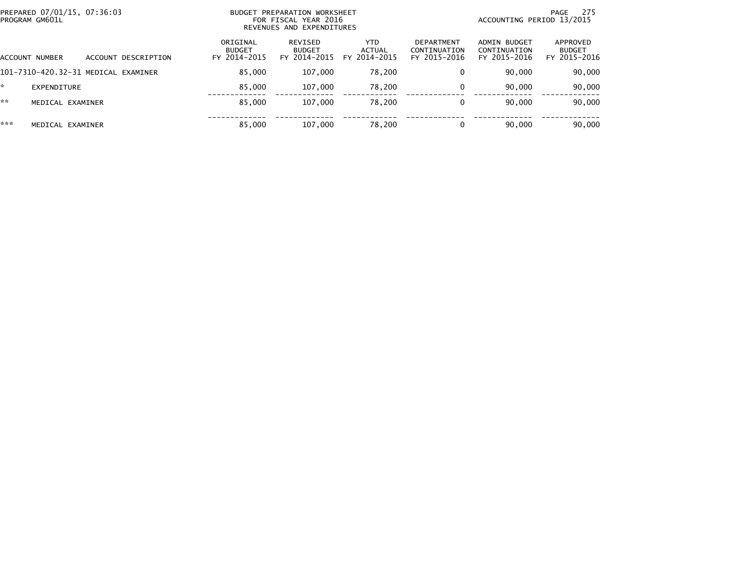| PREPARED 07/01/15, 07:36:03<br>PROGRAM GM601L |                       |                                     | PREPARATION WORKSHEET<br><b>BUDGET</b><br>FOR FISCAL YEAR 2016<br>REVENUES AND EXPENDITURES |                                          |                                | -275<br>PAGE<br>ACCOUNTING PERIOD 13/2015         |                                              |                                           |
|-----------------------------------------------|-----------------------|-------------------------------------|---------------------------------------------------------------------------------------------|------------------------------------------|--------------------------------|---------------------------------------------------|----------------------------------------------|-------------------------------------------|
|                                               | <b>ACCOUNT NUMBER</b> | ACCOUNT DESCRIPTION                 | ORIGINAL<br><b>BUDGET</b><br>FY 2014-2015                                                   | REVISED<br><b>BUDGET</b><br>FY 2014-2015 | YTD.<br>ACTUAL<br>FY 2014-2015 | <b>DEPARTMENT</b><br>CONTINUATION<br>FY 2015-2016 | ADMIN BUDGET<br>CONTINUATION<br>FY 2015-2016 | APPROVED<br><b>BUDGET</b><br>FY 2015-2016 |
|                                               |                       | 101-7310-420.32-31 MEDICAL EXAMINER | 85,000                                                                                      | 107,000                                  | 78,200                         |                                                   | 90.000                                       | 90,000                                    |
| *.                                            | EXPENDITURE           |                                     | 85.000                                                                                      | 107,000                                  | 78,200                         |                                                   | 90,000                                       | 90,000                                    |
| **                                            | MEDICAL EXAMINER      |                                     | 85,000                                                                                      | 107,000                                  | 78,200                         |                                                   | 90.000                                       | 90,000                                    |
| ***                                           | MEDICAL EXAMINER      |                                     | 85,000                                                                                      | 107.000                                  | 78,200                         |                                                   | 90,000                                       | 90,000                                    |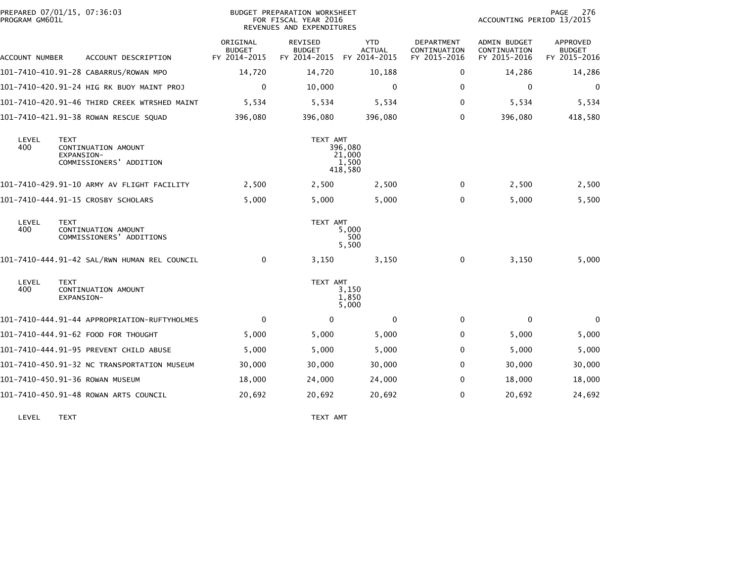| PROGRAM GM601L | PREPARED 07/01/15, 07:36:03                                                 | BUDGET PREPARATION WORKSHEET<br>FOR FISCAL YEAR 2016<br>REVENUES AND EXPENDITURES |                                          |                                             |                                            | 276<br>PAGE<br>ACCOUNTING PERIOD 13/2015     |                                           |
|----------------|-----------------------------------------------------------------------------|-----------------------------------------------------------------------------------|------------------------------------------|---------------------------------------------|--------------------------------------------|----------------------------------------------|-------------------------------------------|
| ACCOUNT NUMBER | ACCOUNT DESCRIPTION                                                         | ORIGINAL<br><b>BUDGET</b><br>FY 2014-2015                                         | REVISED<br><b>BUDGET</b><br>FY 2014-2015 | <b>YTD</b><br><b>ACTUAL</b><br>FY 2014-2015 | DEPARTMENT<br>CONTINUATION<br>FY 2015-2016 | ADMIN BUDGET<br>CONTINUATION<br>FY 2015-2016 | APPROVED<br><b>BUDGET</b><br>FY 2015-2016 |
|                | 101-7410-410.91-28 CABARRUS/ROWAN MPO                                       | 14,720                                                                            | 14,720                                   | 10,188                                      | 0                                          | 14,286                                       | 14,286                                    |
|                | 101-7410-420.91-24 HIG RK BUOY MAINT PROJ                                   | 0                                                                                 | 10,000                                   | 0                                           | 0                                          | 0                                            | 0                                         |
|                | 101-7410-420.91-46 THIRD CREEK WTRSHED MAINT                                | 5,534                                                                             | 5,534                                    | 5,534                                       | 0                                          | 5,534                                        | 5,534                                     |
|                | 101-7410-421.91-38 ROWAN RESCUE SQUAD                                       | 396.080                                                                           | 396,080                                  | 396,080                                     | 0                                          | 396,080                                      | 418,580                                   |
| LEVEL<br>400   | <b>TEXT</b><br>CONTINUATION AMOUNT<br>EXPANSION-<br>COMMISSIONERS' ADDITION |                                                                                   | TEXT AMT                                 | 396,080<br>21,000<br>1,500<br>418,580       |                                            |                                              |                                           |
|                | 101-7410-429.91-10 ARMY AV FLIGHT FACILITY                                  | 2,500                                                                             | 2,500                                    | 2,500                                       | $\Omega$                                   | 2,500                                        | 2,500                                     |
|                | 101-7410-444.91-15 CROSBY SCHOLARS                                          | 5,000                                                                             | 5,000                                    | 5,000                                       | $\Omega$                                   | 5,000                                        | 5,500                                     |
| LEVEL<br>400   | <b>TEXT</b><br>CONTINUATION AMOUNT<br>COMMISSIONERS' ADDITIONS              |                                                                                   | TEXT AMT                                 | 5,000<br>500<br>5,500                       |                                            |                                              |                                           |
|                | 101-7410-444.91-42 SAL/RWN HUMAN REL COUNCIL                                | $\mathbf{0}$                                                                      | 3,150                                    | 3,150                                       | $\Omega$                                   | 3,150                                        | 5,000                                     |
| LEVEL<br>400   | <b>TEXT</b><br>CONTINUATION AMOUNT<br>EXPANSION-                            |                                                                                   | TEXT AMT                                 | 3,150<br>1,850<br>5,000                     |                                            |                                              |                                           |
|                | 101-7410-444.91-44 APPROPRIATION-RUFTYHOLMES                                | $\mathbf 0$                                                                       | 0                                        | 0                                           | 0                                          | 0                                            | 0                                         |
|                | 101-7410-444.91-62 FOOD FOR THOUGHT                                         | 5,000                                                                             | 5,000                                    | 5,000                                       | 0                                          | 5,000                                        | 5,000                                     |
|                | 101-7410-444.91-95 PREVENT CHILD ABUSE                                      | 5,000                                                                             | 5,000                                    | 5,000                                       | $\Omega$                                   | 5,000                                        | 5,000                                     |
|                | 101-7410-450.91-32 NC TRANSPORTATION MUSEUM                                 | 30,000                                                                            | 30,000                                   | 30,000                                      | $\Omega$                                   | 30,000                                       | 30,000                                    |
|                | 101-7410-450.91-36 ROWAN MUSEUM                                             | 18,000                                                                            | 24,000                                   | 24,000                                      | 0                                          | 18,000                                       | 18,000                                    |
|                | 101-7410-450.91-48 ROWAN ARTS COUNCIL                                       | 20,692                                                                            | 20,692                                   | 20,692                                      | 0                                          | 20,692                                       | 24,692                                    |
|                |                                                                             |                                                                                   |                                          |                                             |                                            |                                              |                                           |

LEVEL TEXT TEXT AMT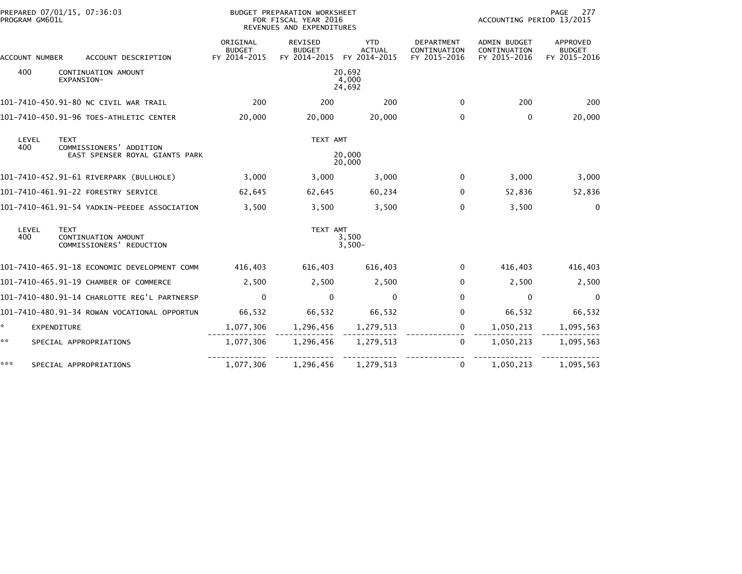| PROGRAM GM601L | PREPARED 07/01/15, 07:36:03                                    | BUDGET PREPARATION WORKSHEET<br>FOR FISCAL YEAR 2016<br>REVENUES AND EXPENDITURES |                                          |                                             |                                                   | 277<br>PAGE<br>ACCOUNTING PERIOD 13/2015            |                                           |  |
|----------------|----------------------------------------------------------------|-----------------------------------------------------------------------------------|------------------------------------------|---------------------------------------------|---------------------------------------------------|-----------------------------------------------------|-------------------------------------------|--|
| ACCOUNT NUMBER | ACCOUNT DESCRIPTION                                            | ORIGINAL<br><b>BUDGET</b><br>FY 2014-2015                                         | REVISED<br><b>BUDGET</b><br>FY 2014-2015 | <b>YTD</b><br><b>ACTUAL</b><br>FY 2014-2015 | <b>DEPARTMENT</b><br>CONTINUATION<br>FY 2015-2016 | <b>ADMIN BUDGET</b><br>CONTINUATION<br>FY 2015-2016 | APPROVED<br><b>BUDGET</b><br>FY 2015-2016 |  |
| 400            | CONTINUATION AMOUNT<br>EXPANSION-                              |                                                                                   |                                          | 20,692<br>4,000<br>24,692                   |                                                   |                                                     |                                           |  |
|                | 101-7410-450.91-80 NC CIVIL WAR TRAIL                          | 200                                                                               | 200                                      | 200                                         | $\mathbf{0}$                                      | 200                                                 | 200                                       |  |
|                | 101-7410-450.91-96 TOES-ATHLETIC CENTER                        | 20,000                                                                            | 20,000                                   | 20,000                                      | 0                                                 | $\mathbf{0}$                                        | 20,000                                    |  |
| LEVEL          | <b>TEXT</b>                                                    |                                                                                   | TEXT AMT                                 |                                             |                                                   |                                                     |                                           |  |
| 400            | COMMISSIONERS' ADDITION<br>EAST SPENSER ROYAL GIANTS PARK      | 20,000<br>20,000                                                                  |                                          |                                             |                                                   |                                                     |                                           |  |
|                | 101-7410-452.91-61 RIVERPARK (BULLHOLE)                        | 3,000                                                                             | 3,000                                    | 3,000                                       | $\mathbf{0}$                                      | 3,000                                               | 3,000                                     |  |
|                | 101-7410-461.91-22 FORESTRY SERVICE                            | 62,645                                                                            | 62,645                                   | 60,234                                      | $\Omega$                                          | 52,836                                              | 52,836                                    |  |
|                | 101-7410-461.91-54 YADKIN-PEEDEE ASSOCIATION                   | 3,500                                                                             | 3,500                                    | 3,500                                       | $\mathbf{0}$                                      | 3,500                                               | $\mathbf 0$                               |  |
| LEVEL<br>400   | <b>TEXT</b><br>CONTINUATION AMOUNT<br>COMMISSIONERS' REDUCTION |                                                                                   | TEXT AMT                                 | 3,500<br>$3,500-$                           |                                                   |                                                     |                                           |  |
|                | 101-7410-465.91-18 ECONOMIC DEVELOPMENT COMM                   | 416,403                                                                           | 616,403                                  | 616.403                                     | $\Omega$                                          | 416,403                                             | 416,403                                   |  |
|                | 101-7410-465.91-19 CHAMBER OF COMMERCE                         | 2,500                                                                             | 2,500                                    | 2,500                                       | $\Omega$                                          | 2,500                                               | 2,500                                     |  |
|                | 101-7410-480.91-14 CHARLOTTE REG'L PARTNERSP                   | 0                                                                                 | $\mathbf{0}$                             | $\mathbf{0}$                                | 0                                                 | 0                                                   | 0                                         |  |
|                | 101-7410-480.91-34 ROWAN VOCATIONAL OPPORTUN                   | 66,532                                                                            | 66,532                                   | 66,532                                      | $\Omega$                                          | 66,532                                              | 66,532                                    |  |
| *.             | EXPENDITURE                                                    | 1,077,306                                                                         | 1,296,456                                | 1,279,513                                   | $\mathbf 0$                                       | 1,050,213                                           | 1,095,563                                 |  |
| **             | SPECIAL APPROPRIATIONS                                         | 1,077,306                                                                         | 1,296,456                                | 1,279,513                                   | $\Omega$                                          | 1,050,213                                           | 1,095,563                                 |  |
| ***            | SPECIAL APPROPRIATIONS                                         | 1,077,306                                                                         | 1,296,456                                | 1,279,513                                   | $\Omega$                                          | 1,050,213                                           | 1,095,563                                 |  |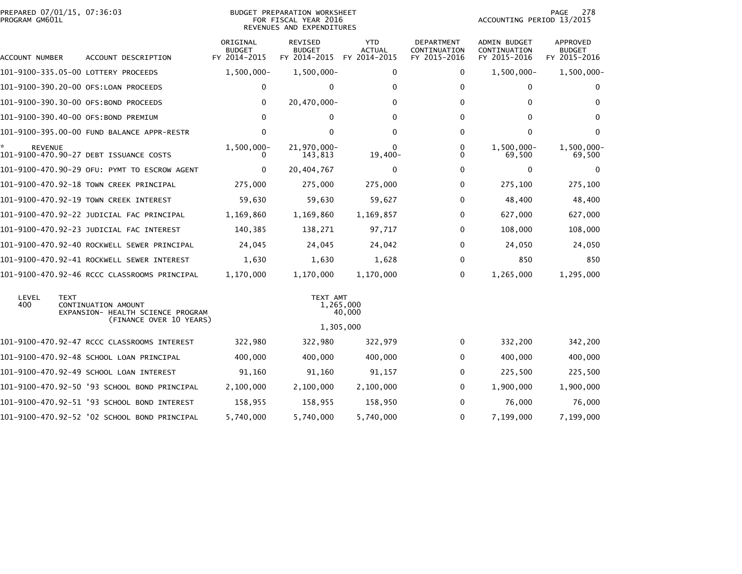| PREPARED 07/01/15, 07:36:03                              |                                           |                                          |                                             |                                                                                                                                          |                                              | PAGE<br>278                               |
|----------------------------------------------------------|-------------------------------------------|------------------------------------------|---------------------------------------------|------------------------------------------------------------------------------------------------------------------------------------------|----------------------------------------------|-------------------------------------------|
| ACCOUNT DESCRIPTION                                      | ORIGINAL<br><b>BUDGET</b><br>FY 2014-2015 | REVISED<br><b>BUDGET</b><br>FY 2014-2015 | <b>YTD</b><br><b>ACTUAL</b><br>FY 2014-2015 | DEPARTMENT<br>CONTINUATION<br>FY 2015-2016                                                                                               | ADMIN BUDGET<br>CONTINUATION<br>FY 2015-2016 | APPROVED<br><b>BUDGET</b><br>FY 2015-2016 |
| 101-9100-335.05-00 LOTTERY PROCEEDS                      | $1,500,000 -$                             | $1,500,000 -$                            | 0                                           | 0                                                                                                                                        | $1,500,000 -$                                | $1,500,000 -$                             |
| 101-9100-390.20-00 OFS:LOAN PROCEEDS                     | 0                                         | $\mathbf{0}$                             | $\Omega$                                    | $\Omega$                                                                                                                                 | 0                                            | $\bf{0}$                                  |
| 101-9100-390.30-00 OFS:BOND PROCEEDS                     | 0                                         | 20,470,000-                              | 0                                           | $\Omega$                                                                                                                                 | 0                                            | 0                                         |
| 101-9100-390.40-00 OFS:BOND PREMIUM                      | $\Omega$                                  | 0                                        | $\Omega$                                    | $\Omega$                                                                                                                                 | 0                                            | $\Omega$                                  |
| 101-9100-395.00-00 FUND BALANCE APPR-RESTR               | $\mathbf{0}$                              | $\mathbf{0}$                             | $\Omega$                                    | $\Omega$                                                                                                                                 | $\mathbf{0}$                                 | $\Omega$                                  |
| 101-9100-470.90-27 DEBT ISSUANCE COSTS                   | $1,500,000 -$<br>$^{(1)}$                 | 21,970,000-<br>143,813                   | $19,400-$                                   | 0<br>0                                                                                                                                   | $1,500,000 -$<br>69,500                      | 1,500,000-<br>69,500                      |
| 101-9100-470.90-29 OFU: PYMT TO ESCROW AGENT             | $\mathbf{0}$                              | 20,404,767                               | $\Omega$                                    | 0                                                                                                                                        | 0                                            | $\Omega$                                  |
| 101-9100-470.92-18 TOWN CREEK PRINCIPAL                  | 275,000                                   | 275,000                                  | 275,000                                     | 0                                                                                                                                        | 275,100                                      | 275,100                                   |
| 101-9100-470.92-19 TOWN CREEK INTEREST                   | 59,630                                    | 59,630                                   | 59,627                                      | $\Omega$                                                                                                                                 | 48,400                                       | 48,400                                    |
| 101-9100-470.92-22 JUDICIAL FAC PRINCIPAL                | 1,169,860                                 | 1,169,860                                | 1,169,857                                   | 0                                                                                                                                        | 627,000                                      | 627,000                                   |
| 101-9100-470.92-23 JUDICIAL FAC INTEREST                 | 140,385                                   | 138,271                                  | 97,717                                      | $\Omega$                                                                                                                                 | 108,000                                      | 108,000                                   |
| 101-9100-470.92-40 ROCKWELL SEWER PRINCIPAL              | 24,045                                    | 24,045                                   | 24,042                                      | 0                                                                                                                                        | 24,050                                       | 24,050                                    |
| 101-9100-470.92-41 ROCKWELL SEWER INTEREST               | 1,630                                     | 1,630                                    | 1,628                                       | 0                                                                                                                                        | 850                                          | 850                                       |
| 101-9100-470.92-46 RCCC CLASSROOMS PRINCIPAL             | 1,170,000                                 | 1,170,000                                | 1,170,000                                   | $\Omega$                                                                                                                                 | 1,265,000                                    | 1,295,000                                 |
| CONTINUATION AMOUNT<br>EXPANSION- HEALTH SCIENCE PROGRAM |                                           |                                          |                                             |                                                                                                                                          |                                              |                                           |
| 101-9100-470.92-47 RCCC CLASSROOMS INTEREST              | 322,980                                   | 322,980                                  | 322,979                                     | 0                                                                                                                                        | 332,200                                      | 342,200                                   |
| 101-9100-470.92-48 SCHOOL LOAN PRINCIPAL                 | 400,000                                   | 400,000                                  | 400,000                                     | 0                                                                                                                                        | 400,000                                      | 400,000                                   |
| 101-9100-470.92-49 SCHOOL LOAN INTEREST                  | 91,160                                    | 91,160                                   | 91,157                                      | 0                                                                                                                                        | 225,500                                      | 225,500                                   |
| 101-9100-470.92-50 '93 SCHOOL BOND PRINCIPAL             | 2,100,000                                 | 2,100,000                                | 2,100,000                                   | $\Omega$                                                                                                                                 | 1,900,000                                    | 1,900,000                                 |
| 101-9100-470.92-51 '93 SCHOOL BOND INTEREST              | 158,955                                   | 158,955                                  | 158,950                                     | 0                                                                                                                                        | 76,000                                       | 76,000                                    |
| 101-9100-470.92-52 '02 SCHOOL BOND PRINCIPAL             | 5,740,000                                 | 5,740,000                                | 5,740,000                                   | $\Omega$                                                                                                                                 | 7,199,000                                    | 7,199,000                                 |
|                                                          |                                           | (FINANCE OVER 10 YEARS)                  |                                             | <b>BUDGET PREPARATION WORKSHEET</b><br>FOR FISCAL YEAR 2016<br>REVENUES AND EXPENDITURES<br>TEXT AMT<br>1,265,000<br>40,000<br>1,305,000 |                                              | ACCOUNTING PERIOD 13/2015                 |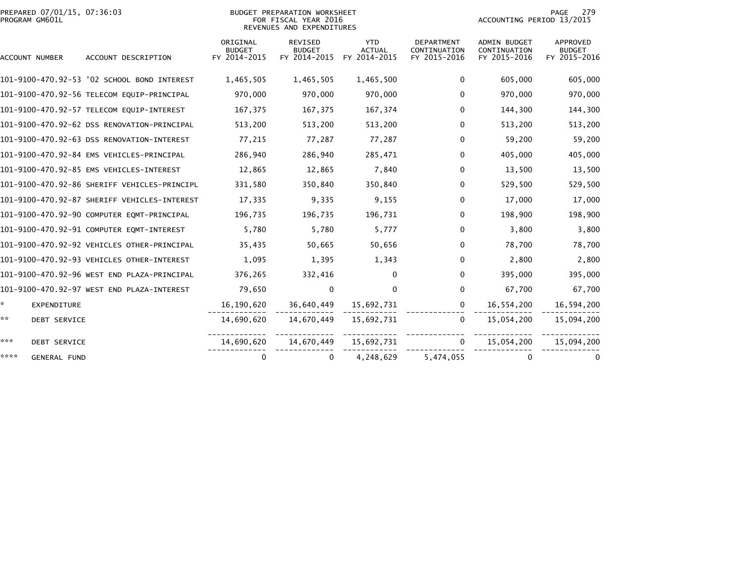| PREPARED 07/01/15, 07:36:03<br>PROGRAM GM601L |                                              |                                           | BUDGET PREPARATION WORKSHEET<br>FOR FISCAL YEAR 2016<br>REVENUES AND EXPENDITURES |                                             |                                                   | ACCOUNTING PERIOD 13/2015                           | 279<br>PAGE                               |
|-----------------------------------------------|----------------------------------------------|-------------------------------------------|-----------------------------------------------------------------------------------|---------------------------------------------|---------------------------------------------------|-----------------------------------------------------|-------------------------------------------|
| ACCOUNT NUMBER                                | ACCOUNT DESCRIPTION                          | ORIGINAL<br><b>BUDGET</b><br>FY 2014-2015 | REVISED<br><b>BUDGET</b><br>FY 2014-2015                                          | <b>YTD</b><br><b>ACTUAL</b><br>FY 2014-2015 | <b>DEPARTMENT</b><br>CONTINUATION<br>FY 2015-2016 | <b>ADMIN BUDGET</b><br>CONTINUATION<br>FY 2015-2016 | APPROVED<br><b>BUDGET</b><br>FY 2015-2016 |
|                                               | 101-9100-470.92-53 '02 SCHOOL BOND INTEREST  | 1,465,505                                 | 1,465,505                                                                         | 1,465,500                                   | $\Omega$                                          | 605,000                                             | 605,000                                   |
|                                               | 101-9100-470.92-56 TELECOM EQUIP-PRINCIPAL   | 970,000                                   | 970,000                                                                           | 970,000                                     | $\Omega$                                          | 970,000                                             | 970,000                                   |
|                                               | 101-9100-470.92-57 TELECOM EQUIP-INTEREST    | 167,375                                   | 167,375                                                                           | 167,374                                     | $\Omega$                                          | 144,300                                             | 144,300                                   |
|                                               | 101-9100-470.92-62 DSS RENOVATION-PRINCIPAL  | 513,200                                   | 513,200                                                                           | 513,200                                     | 0                                                 | 513,200                                             | 513,200                                   |
|                                               | 101-9100-470.92-63 DSS RENOVATION-INTEREST   | 77,215                                    | 77,287                                                                            | 77,287                                      | $\Omega$                                          | 59,200                                              | 59,200                                    |
|                                               | 101-9100-470.92-84 EMS VEHICLES-PRINCIPAL    | 286,940                                   | 286,940                                                                           | 285,471                                     | 0                                                 | 405,000                                             | 405,000                                   |
|                                               | 101-9100-470.92-85 EMS VEHICLES-INTEREST     | 12,865                                    | 12,865                                                                            | 7,840                                       | $\mathbf{0}$                                      | 13,500                                              | 13,500                                    |
|                                               | 101-9100-470.92-86 SHERIFF VEHICLES-PRINCIPL | 331,580                                   | 350,840                                                                           | 350,840                                     | $\Omega$                                          | 529,500                                             | 529,500                                   |
|                                               | 101-9100-470.92-87 SHERIFF VEHICLES-INTEREST | 17,335                                    | 9,335                                                                             | 9,155                                       | $\mathbf{0}$                                      | 17,000                                              | 17,000                                    |
|                                               | 101-9100-470.92-90 COMPUTER EQMT-PRINCIPAL   | 196,735                                   | 196,735                                                                           | 196,731                                     | $\Omega$                                          | 198,900                                             | 198,900                                   |
|                                               | 101-9100-470.92-91 COMPUTER EQMT-INTEREST    | 5,780                                     | 5,780                                                                             | 5,777                                       | 0                                                 | 3,800                                               | 3,800                                     |
|                                               | 101-9100-470.92-92 VEHICLES OTHER-PRINCIPAL  | 35,435                                    | 50,665                                                                            | 50,656                                      | 0                                                 | 78,700                                              | 78,700                                    |
|                                               | 101-9100-470.92-93 VEHICLES OTHER-INTEREST   | 1,095                                     | 1,395                                                                             | 1,343                                       | $\Omega$                                          | 2,800                                               | 2,800                                     |
|                                               | 101-9100-470.92-96 WEST END PLAZA-PRINCIPAL  | 376,265                                   | 332,416                                                                           | 0                                           | $\mathbf{0}$                                      | 395,000                                             | 395,000                                   |
|                                               | 101-9100-470.92-97 WEST END PLAZA-INTEREST   | 79,650                                    | $\mathbf{0}$                                                                      | $\Omega$                                    | $\mathbf{0}$                                      | 67,700                                              | 67,700                                    |
| $\star$<br>EXPENDITURE                        |                                              | 16,190,620                                | 36,640,449                                                                        | 15,692,731                                  | $\mathbf{0}$                                      | 16,554,200                                          | 16,594,200                                |
| **<br><b>DEBT SERVICE</b>                     |                                              | 14,690,620                                | 14,670,449                                                                        | 15,692,731                                  | $\Omega$                                          | 15,054,200                                          | 15,094,200                                |
| ***<br><b>DEBT SERVICE</b>                    |                                              | 14,690,620                                | 14,670,449                                                                        | 15,692,731                                  | $\Omega$                                          | 15,054,200                                          | 15,094,200                                |
| ****<br><b>GENERAL FUND</b>                   |                                              | $\Omega$                                  | $\Omega$                                                                          | 4,248,629                                   | 5,474,055                                         | $\Omega$                                            |                                           |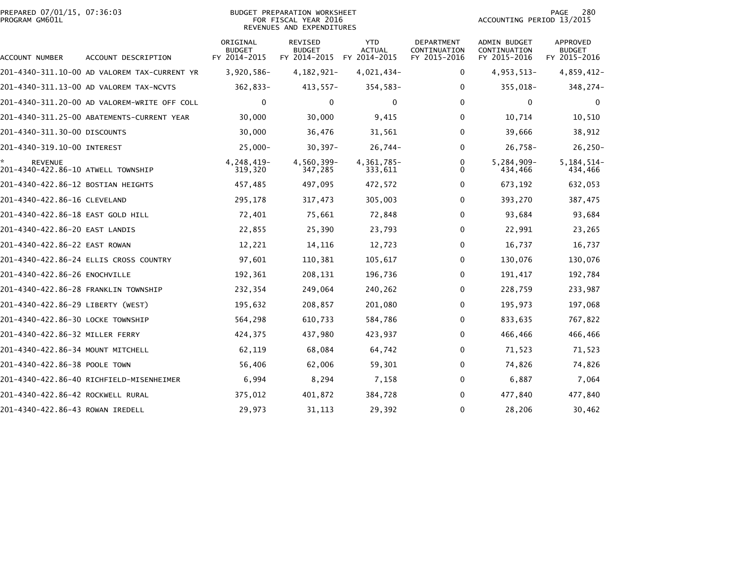### PREPARED 07/01/15, 07:36:03<br>PROGRAM GM601L

#### BUDGET PREPARATION WORKSHEET<br>FOR FISCAL YEAR 2016 REVENUES AND EXPENDITURES

PAGE 280<br>ACCOUNTING PERIOD 13/2015

| ACCOUNT NUMBER                                       | ACCOUNT DESCRIPTION                          | ORIGINAL<br><b>BUDGET</b><br>FY 2014-2015 | REVISED<br><b>BUDGET</b><br>FY 2014-2015 | <b>YTD</b><br><b>ACTUAL</b><br>FY 2014-2015 | DEPARTMENT<br>CONTINUATION<br>FY 2015-2016 | <b>ADMIN BUDGET</b><br>CONTINUATION<br>FY 2015-2016 | APPROVED<br><b>BUDGET</b><br>FY 2015-2016 |
|------------------------------------------------------|----------------------------------------------|-------------------------------------------|------------------------------------------|---------------------------------------------|--------------------------------------------|-----------------------------------------------------|-------------------------------------------|
|                                                      | 201-4340-311.10-00 AD VALOREM TAX-CURRENT YR | $3,920,586 -$                             | 4, 182, 921-                             | 4,021,434-                                  | 0                                          | 4,953,513-                                          | 4,859,412-                                |
|                                                      | 201-4340-311.13-00 AD VALOREM TAX-NCVTS      | 362,833-                                  | $413,557-$                               | $354,583-$                                  | 0                                          | 355,018-                                            | 348,274-                                  |
|                                                      | 201-4340-311.20-00 AD VALOREM-WRITE OFF COLL | 0                                         | 0                                        | 0                                           | $\mathbf{0}$                               | $\mathbf{0}$                                        |                                           |
|                                                      | 201-4340-311.25-00 ABATEMENTS-CURRENT YEAR   | 30,000                                    | 30,000                                   | 9,415                                       | 0                                          | 10,714                                              | 10,510                                    |
| 201-4340-311.30-00 DISCOUNTS                         |                                              | 30,000                                    | 36,476                                   | 31,561                                      | $\mathbf{0}$                               | 39,666                                              | 38,912                                    |
| 201-4340-319.10-00 INTEREST                          |                                              | $25,000 -$                                | $30,397 -$                               | $26,744-$                                   | 0                                          | $26,758-$                                           | $26, 250 -$                               |
| <b>REVENUE</b><br>201-4340-422.86-10 ATWELL TOWNSHIP |                                              | 4,248,419-<br>319,320                     | 4,560,399-<br>347,285                    | 4,361,785-<br>333,611                       | 0<br>$\Omega$                              | 5,284,909-<br>434,466                               | $5, 184, 514 -$<br>434,466                |
| 201-4340-422.86-12 BOSTIAN HEIGHTS                   |                                              | 457,485                                   | 497,095                                  | 472,572                                     | 0                                          | 673,192                                             | 632,053                                   |
| 201-4340-422.86-16 CLEVELAND                         |                                              | 295,178                                   | 317,473                                  | 305,003                                     | 0                                          | 393,270                                             | 387,475                                   |
| 201-4340-422.86-18 EAST GOLD HILL                    |                                              | 72,401                                    | 75,661                                   | 72,848                                      | $\mathbf{0}$                               | 93,684                                              | 93,684                                    |
| 201-4340-422.86-20 EAST LANDIS                       |                                              | 22,855                                    | 25,390                                   | 23,793                                      | 0                                          | 22,991                                              | 23,265                                    |
| 201-4340-422.86-22 EAST ROWAN                        |                                              | 12,221                                    | 14,116                                   | 12,723                                      | $\mathbf{0}$                               | 16,737                                              | 16,737                                    |
|                                                      | 201-4340-422.86-24 ELLIS CROSS COUNTRY       | 97,601                                    | 110,381                                  | 105,617                                     | $\mathbf{0}$                               | 130,076                                             | 130,076                                   |
| 201-4340-422.86-26 ENOCHVILLE                        |                                              | 192,361                                   | 208,131                                  | 196,736                                     | 0                                          | 191,417                                             | 192,784                                   |
| 201-4340-422.86-28 FRANKLIN TOWNSHIP                 |                                              | 232,354                                   | 249,064                                  | 240,262                                     | 0                                          | 228,759                                             | 233,987                                   |
| 201-4340-422.86-29 LIBERTY (WEST)                    |                                              | 195,632                                   | 208,857                                  | 201,080                                     | $\mathbf{0}$                               | 195,973                                             | 197,068                                   |
| 201-4340-422.86-30 LOCKE TOWNSHIP                    |                                              | 564,298                                   | 610,733                                  | 584,786                                     | 0                                          | 833,635                                             | 767,822                                   |
| 201-4340-422.86-32 MILLER FERRY                      |                                              | 424,375                                   | 437,980                                  | 423,937                                     | 0                                          | 466,466                                             | 466,466                                   |
| 201-4340-422.86-34 MOUNT MITCHELL                    |                                              | 62,119                                    | 68,084                                   | 64,742                                      | 0                                          | 71,523                                              | 71,523                                    |
| 201-4340-422.86-38 POOLE TOWN                        |                                              | 56,406                                    | 62,006                                   | 59,301                                      | 0                                          | 74,826                                              | 74,826                                    |
|                                                      | 201-4340-422.86-40 RICHFIELD-MISENHEIMER     | 6,994                                     | 8,294                                    | 7,158                                       | 0                                          | 6,887                                               | 7,064                                     |
| 201-4340-422.86-42 ROCKWELL RURAL                    |                                              | 375,012                                   | 401,872                                  | 384,728                                     | 0                                          | 477,840                                             | 477,840                                   |
| 201-4340-422.86-43 ROWAN IREDELL                     |                                              | 29,973                                    | 31, 113                                  | 29,392                                      | $\mathbf{0}$                               | 28,206                                              | 30,462                                    |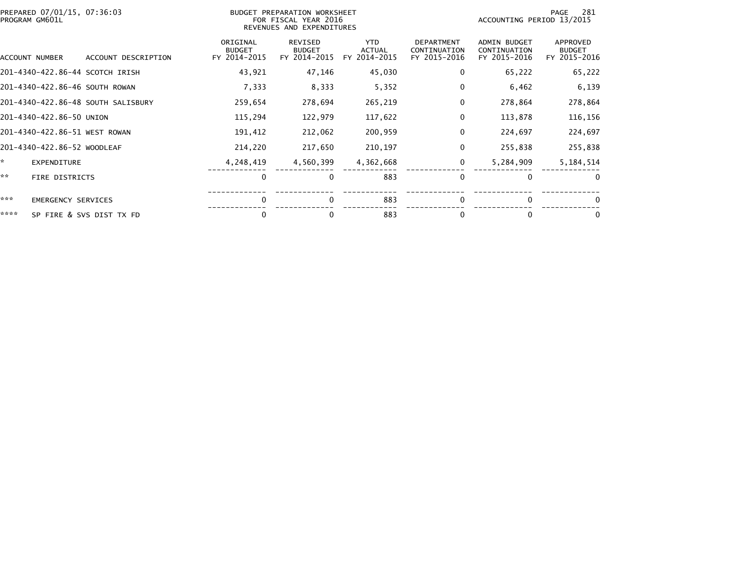| PROGRAM GM601L | PREPARED 07/01/15, 07:36:03        |                                           | BUDGET PREPARATION WORKSHEET<br>FOR FISCAL YEAR 2016<br>REVENUES AND EXPENDITURES |                                             |                                                   |                                              | 281<br>PAGE<br>ACCOUNTING PERIOD 13/2015  |  |  |
|----------------|------------------------------------|-------------------------------------------|-----------------------------------------------------------------------------------|---------------------------------------------|---------------------------------------------------|----------------------------------------------|-------------------------------------------|--|--|
| ACCOUNT NUMBER | ACCOUNT DESCRIPTION                | ORIGINAL<br><b>BUDGET</b><br>FY 2014-2015 | REVISED<br><b>BUDGET</b><br>FY 2014-2015                                          | <b>YTD</b><br><b>ACTUAL</b><br>FY 2014-2015 | <b>DEPARTMENT</b><br>CONTINUATION<br>FY 2015-2016 | ADMIN BUDGET<br>CONTINUATION<br>FY 2015-2016 | APPROVED<br><b>BUDGET</b><br>FY 2015-2016 |  |  |
|                | 201-4340-422.86-44 SCOTCH IRISH    | 43,921                                    | 47,146                                                                            | 45,030                                      | 0                                                 | 65,222                                       | 65,222                                    |  |  |
|                | 201-4340-422.86-46 SOUTH ROWAN     | 7,333                                     | 8,333                                                                             | 5,352                                       | 0                                                 | 6,462                                        | 6,139                                     |  |  |
|                | 201-4340-422.86-48 SOUTH SALISBURY | 259,654                                   | 278,694                                                                           | 265,219                                     | 0                                                 | 278,864                                      | 278,864                                   |  |  |
|                | 201-4340-422.86-50 UNION           | 115,294                                   | 122,979                                                                           | 117,622                                     | 0                                                 | 113,878                                      | 116,156                                   |  |  |
|                | 201-4340-422.86-51 WEST ROWAN      | 191,412                                   | 212,062                                                                           | 200,959                                     | 0                                                 | 224,697                                      | 224,697                                   |  |  |
|                | 201-4340-422.86-52 WOODLEAF        | 214,220                                   | 217,650                                                                           | 210,197                                     | 0                                                 | 255,838                                      | 255,838                                   |  |  |
| ×.             | <b>EXPENDITURE</b>                 | 4,248,419                                 | 4,560,399                                                                         | 4,362,668                                   | 0                                                 | 5,284,909                                    | 5,184,514                                 |  |  |
| **             | <b>FIRE DISTRICTS</b>              | 0                                         | $\mathbf{0}$                                                                      | 883                                         | $\mathbf{0}$                                      | $\Omega$                                     | $\Omega$                                  |  |  |
| ***            | <b>EMERGENCY SERVICES</b>          | $\Omega$                                  | $\mathbf{0}$                                                                      | 883                                         | $\mathbf{0}$                                      | $\Omega$                                     | 0                                         |  |  |
| ****           | SP FIRE & SVS DIST TX FD           | 0                                         | 0                                                                                 | 883                                         | $\bf{0}$                                          | 0                                            | 0                                         |  |  |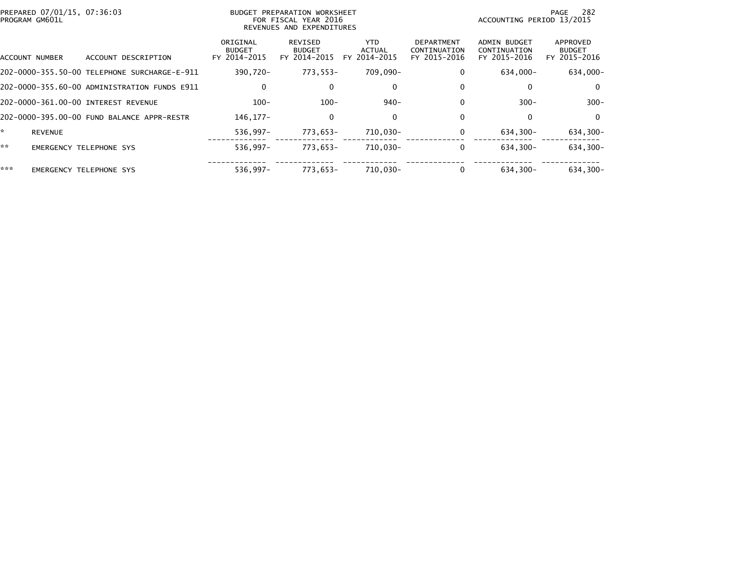|     | PREPARED 07/01/15, 07:36:03<br>PROGRAM GM601L |                                              |                                           | BUDGET PREPARATION WORKSHEET<br>FOR FISCAL YEAR 2016<br>REVENUES AND EXPENDITURES |                                       |                                                   | ACCOUNTING PERIOD 13/2015                           | 282<br>PAGE                               |
|-----|-----------------------------------------------|----------------------------------------------|-------------------------------------------|-----------------------------------------------------------------------------------|---------------------------------------|---------------------------------------------------|-----------------------------------------------------|-------------------------------------------|
|     | ACCOUNT NUMBER                                | ACCOUNT DESCRIPTION                          | ORIGINAL<br><b>BUDGET</b><br>FY 2014-2015 | REVISED<br><b>BUDGET</b><br>FY 2014-2015                                          | YTD.<br><b>ACTUAL</b><br>FY 2014-2015 | <b>DEPARTMENT</b><br>CONTINUATION<br>FY 2015-2016 | <b>ADMIN BUDGET</b><br>CONTINUATION<br>FY 2015-2016 | APPROVED<br><b>BUDGET</b><br>FY 2015-2016 |
|     |                                               | 202-0000-355.50-00 TELEPHONE SURCHARGE-E-911 | 390.720-                                  | 773,553-                                                                          | 709.090-                              | $\Omega$                                          | 634,000-                                            | 634,000-                                  |
|     |                                               | 202-0000-355.60-00 ADMINISTRATION FUNDS E911 | $\mathbf 0$                               | 0                                                                                 | 0                                     | $\bf{0}$                                          | 0                                                   | $\mathbf{0}$                              |
|     |                                               | 202-0000-361.00-00 INTEREST REVENUE          | $100 -$                                   | $100 -$                                                                           | $940 -$                               | $\Omega$                                          | $300 -$                                             | $300 -$                                   |
|     |                                               | 202-0000-395.00-00 FUND BALANCE APPR-RESTR   | 146, 177-                                 | 0                                                                                 | 0                                     | $\Omega$                                          | 0                                                   | 0                                         |
| *   | <b>REVENUE</b>                                |                                              | $536.997 -$                               | 773.653-                                                                          | 710,030-                              | 0                                                 | 634.300-                                            | $634,300-$                                |
| **  |                                               | <b>EMERGENCY TELEPHONE SYS</b>               | $536.997 -$                               | 773.653-                                                                          | 710,030-                              |                                                   | 634.300-                                            | 634,300-                                  |
| *** |                                               | <b>EMERGENCY TELEPHONE SYS</b>               | $536.997 -$                               | 773.653-                                                                          | 710.030-                              |                                                   | 634.300-                                            | 634.300-                                  |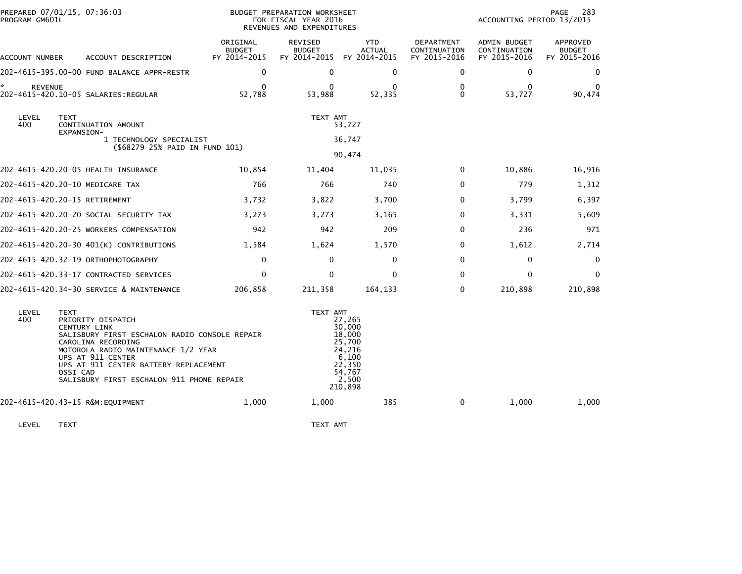| PROGRAM GM601L       | PREPARED 07/01/15, 07:36:03                                                                                                                                                                                                                                                                  | BUDGET PREPARATION WORKSHEET<br>FOR FISCAL YEAR 2016<br>REVENUES AND EXPENDITURES |                                          |                                                                                                 |                                            | 283<br>PAGE<br>ACCOUNTING PERIOD 13/2015     |                                           |  |
|----------------------|----------------------------------------------------------------------------------------------------------------------------------------------------------------------------------------------------------------------------------------------------------------------------------------------|-----------------------------------------------------------------------------------|------------------------------------------|-------------------------------------------------------------------------------------------------|--------------------------------------------|----------------------------------------------|-------------------------------------------|--|
| ACCOUNT NUMBER       | ACCOUNT DESCRIPTION                                                                                                                                                                                                                                                                          | ORIGINAL<br><b>BUDGET</b><br>FY 2014-2015                                         | REVISED<br><b>BUDGET</b><br>FY 2014-2015 | <b>YTD</b><br><b>ACTUAL</b><br>FY 2014-2015                                                     | DEPARTMENT<br>CONTINUATION<br>FY 2015-2016 | ADMIN BUDGET<br>CONTINUATION<br>FY 2015-2016 | APPROVED<br><b>BUDGET</b><br>FY 2015-2016 |  |
|                      | 202-4615-395.00-00 FUND BALANCE APPR-RESTR                                                                                                                                                                                                                                                   | $\mathbf 0$                                                                       | $\mathbf{0}$                             | $\Omega$                                                                                        | $\mathbf{0}$                               | $\mathbf{0}$                                 | $\bf{0}$                                  |  |
| *.<br><b>REVENUE</b> | 202-4615-420.10-05 SALARIES:REGULAR                                                                                                                                                                                                                                                          | $\Omega$<br>52,788                                                                | $\Omega$<br>53,988                       | 52,335                                                                                          | $\mathbf{0}$<br>$\Omega$                   | $\Omega$<br>53,727                           | 90.474                                    |  |
| LEVEL<br>400         | <b>TEXT</b><br>CONTINUATION AMOUNT<br>EXPANSION-                                                                                                                                                                                                                                             |                                                                                   | TEXT AMT                                 | 53,727                                                                                          |                                            |                                              |                                           |  |
|                      | 1 TECHNOLOGY SPECIALIST<br>(\$68279 25% PAID IN FUND 101)                                                                                                                                                                                                                                    |                                                                                   |                                          | 36,747                                                                                          |                                            |                                              |                                           |  |
|                      |                                                                                                                                                                                                                                                                                              |                                                                                   |                                          | 90,474                                                                                          |                                            |                                              |                                           |  |
|                      | 202-4615-420.20-05 HEALTH INSURANCE                                                                                                                                                                                                                                                          | 10,854                                                                            | 11,404                                   | 11,035                                                                                          | $\Omega$                                   | 10,886                                       | 16,916                                    |  |
|                      | 202-4615-420.20-10 MEDICARE TAX                                                                                                                                                                                                                                                              | 766                                                                               | 766                                      | 740                                                                                             | $\Omega$                                   | 779                                          | 1,312                                     |  |
|                      | 202-4615-420.20-15 RETIREMENT                                                                                                                                                                                                                                                                | 3,732                                                                             | 3,822                                    | 3,700                                                                                           | $\mathbf{0}$                               | 3,799                                        | 6,397                                     |  |
|                      | 202-4615-420.20-20 SOCIAL SECURITY TAX                                                                                                                                                                                                                                                       | 3,273                                                                             | 3,273                                    | 3,165                                                                                           | 0                                          | 3,331                                        | 5,609                                     |  |
|                      | 202-4615-420.20-25 WORKERS COMPENSATION                                                                                                                                                                                                                                                      | 942                                                                               | 942                                      | 209                                                                                             | $\mathbf{0}$                               | 236                                          | 971                                       |  |
|                      | 202-4615-420.20-30 401(K) CONTRIBUTIONS                                                                                                                                                                                                                                                      | 1,584                                                                             | 1,624                                    | 1,570                                                                                           | $\Omega$                                   | 1,612                                        | 2,714                                     |  |
|                      | 202-4615-420.32-19 ORTHOPHOTOGRAPHY                                                                                                                                                                                                                                                          | 0                                                                                 | $\mathbf{0}$                             | $\mathbf{0}$                                                                                    | $\mathbf{0}$                               | 0                                            | $\Omega$                                  |  |
|                      | 202-4615-420.33-17 CONTRACTED SERVICES                                                                                                                                                                                                                                                       | $\mathbf{0}$                                                                      | $\Omega$                                 | $\Omega$                                                                                        | $\mathbf{0}$                               | $\mathbf{0}$                                 | $\Omega$                                  |  |
|                      | 202-4615-420.34-30 SERVICE & MAINTENANCE                                                                                                                                                                                                                                                     | 206,858                                                                           | 211,358                                  | 164,133                                                                                         | $\mathbf{0}$                               | 210,898                                      | 210,898                                   |  |
| LEVEL<br>400         | <b>TEXT</b><br>PRIORITY DISPATCH<br><b>CENTURY LINK</b><br>SALISBURY FIRST ESCHALON RADIO CONSOLE REPAIR<br>CAROLINA RECORDING<br>MOTOROLA RADIO MAINTENANCE 1/2 YEAR<br>UPS AT 911 CENTER<br>UPS AT 911 CENTER BATTERY REPLACEMENT<br>OSSI CAD<br>SALISBURY FIRST ESCHALON 911 PHONE REPAIR |                                                                                   | TEXT AMT                                 | 27,265<br>30,000<br>18,000<br>25,700<br>24.216<br>6,100<br>22,350<br>54,767<br>2,500<br>210,898 |                                            |                                              |                                           |  |
|                      | 202-4615-420.43-15 R&M:EQUIPMENT                                                                                                                                                                                                                                                             | 1,000                                                                             | 1,000                                    | 385                                                                                             | 0                                          | 1.000                                        | 1,000                                     |  |

LEVEL TEXT TEXT AMT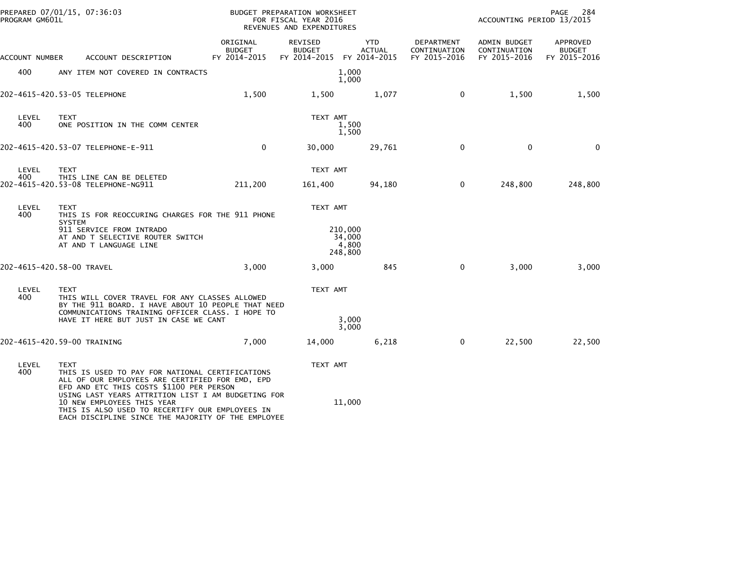| PROGRAM GM601L | PREPARED 07/01/15, 07:36:03                                                                                                                                                                                         |                                    | BUDGET PREPARATION WORKSHEET<br>FOR FISCAL YEAR 2016<br>REVENUES AND EXPENDITURES |                                       |                                            | ACCOUNTING PERIOD 13/2015                    | PAGE<br>284                               |
|----------------|---------------------------------------------------------------------------------------------------------------------------------------------------------------------------------------------------------------------|------------------------------------|-----------------------------------------------------------------------------------|---------------------------------------|--------------------------------------------|----------------------------------------------|-------------------------------------------|
| ACCOUNT NUMBER | ACCOUNT DESCRIPTION                                                                                                                                                                                                 | ORIGINAL<br>BUDGET<br>FY 2014-2015 | REVISED<br><b>BUDGET</b><br>FY 2014-2015 FY 2014-2015                             | <b>YTD</b><br><b>ACTUAL</b>           | DEPARTMENT<br>CONTINUATION<br>FY 2015-2016 | ADMIN BUDGET<br>CONTINUATION<br>FY 2015-2016 | APPROVED<br><b>BUDGET</b><br>FY 2015-2016 |
| 400            | ANY ITEM NOT COVERED IN CONTRACTS                                                                                                                                                                                   |                                    |                                                                                   | 1,000<br>1,000                        |                                            |                                              |                                           |
|                | 202-4615-420.53-05 TELEPHONE                                                                                                                                                                                        | 1,500                              | 1,500                                                                             | 1,077                                 | 0                                          | 1,500                                        | 1,500                                     |
| LEVEL<br>400   | <b>TEXT</b><br>ONE POSITION IN THE COMM CENTER                                                                                                                                                                      |                                    | TEXT AMT                                                                          | 1,500<br>1,500                        |                                            |                                              |                                           |
|                | 202-4615-420.53-07 TELEPHONE-E-911                                                                                                                                                                                  | $\Omega$                           | 30,000                                                                            | 29,761                                | $\mathbf 0$                                | $\mathbf{0}$                                 | $\mathbf{0}$                              |
| LEVEL<br>400   | <b>TEXT</b><br>THIS LINE CAN BE DELETED<br>202-4615-420.53-08 TELEPHONE-NG911                                                                                                                                       | 211,200                            | TEXT AMT<br>161,400                                                               | 94,180                                | 0                                          | 248,800                                      | 248,800                                   |
| LEVEL<br>400   | TEXT<br>THIS IS FOR REOCCURING CHARGES FOR THE 911 PHONE<br><b>SYSTEM</b><br>911 SERVICE FROM INTRADO<br>AT AND T SELECTIVE ROUTER SWITCH<br>AT AND T LANGUAGE LINE                                                 |                                    | TEXT AMT                                                                          | 210,000<br>34,000<br>4,800<br>248,800 |                                            |                                              |                                           |
|                | 202-4615-420.58-00 TRAVEL                                                                                                                                                                                           | 3,000                              | 3,000                                                                             | 845                                   | $\mathbf 0$                                | 3,000                                        | 3,000                                     |
| LEVEL<br>400   | <b>TEXT</b><br>THIS WILL COVER TRAVEL FOR ANY CLASSES ALLOWED<br>BY THE 911 BOARD. I HAVE ABOUT 10 PEOPLE THAT NEED<br>COMMUNICATIONS TRAINING OFFICER CLASS. I HOPE TO<br>HAVE IT HERE BUT JUST IN CASE WE CANT    |                                    | TEXT AMT                                                                          | 3,000                                 |                                            |                                              |                                           |
|                | 202-4615-420.59-00 TRAINING                                                                                                                                                                                         | 7.000                              | 14,000                                                                            | 3,000<br>6,218                        | $\mathbf 0$                                | 22,500                                       | 22,500                                    |
| LEVEL<br>400   | <b>TEXT</b><br>THIS IS USED TO PAY FOR NATIONAL CERTIFICATIONS<br>ALL OF OUR EMPLOYEES ARE CERTIFIED FOR EMD, EPD<br>EFD AND ETC THIS COSTS \$1100 PER PERSON<br>USING LAST YEARS ATTRITION LIST I AM BUDGETING FOR |                                    | TEXT AMT                                                                          |                                       |                                            |                                              |                                           |
|                | 10 NEW EMPLOYEES THIS YEAR<br>THIS IS ALSO USED TO RECERTIFY OUR EMPLOYEES IN<br>EACH DISCIPLINE SINCE THE MAJORITY OF THE EMPLOYEE                                                                                 |                                    |                                                                                   | 11,000                                |                                            |                                              |                                           |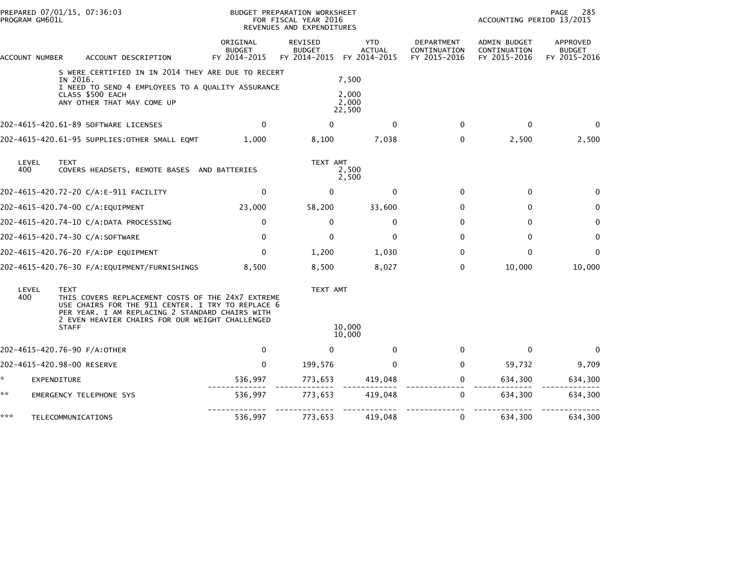| PROGRAM GM601L | PREPARED 07/01/15, 07:36:03                                                                                                                                                                                                                 |                                           | BUDGET PREPARATION WORKSHEET<br>FOR FISCAL YEAR 2016<br>REVENUES AND EXPENDITURES |                                             |                                            | ACCOUNTING PERIOD 13/2015                    | 285<br>PAGE                               |
|----------------|---------------------------------------------------------------------------------------------------------------------------------------------------------------------------------------------------------------------------------------------|-------------------------------------------|-----------------------------------------------------------------------------------|---------------------------------------------|--------------------------------------------|----------------------------------------------|-------------------------------------------|
| ACCOUNT NUMBER | ACCOUNT DESCRIPTION                                                                                                                                                                                                                         | ORIGINAL<br><b>BUDGET</b><br>FY 2014-2015 | <b>REVISED</b><br><b>BUDGET</b><br>FY 2014-2015                                   | <b>YTD</b><br><b>ACTUAL</b><br>FY 2014-2015 | DEPARTMENT<br>CONTINUATION<br>FY 2015-2016 | ADMIN BUDGET<br>CONTINUATION<br>FY 2015-2016 | APPROVED<br><b>BUDGET</b><br>FY 2015-2016 |
|                | S WERE CERTIFIED IN IN 2014 THEY ARE DUE TO RECERT<br>IN 2016.<br>I NEED TO SEND 4 EMPLOYEES TO A QUALITY ASSURANCE<br>CLASS \$500 EACH<br>ANY OTHER THAT MAY COME UP                                                                       |                                           |                                                                                   | 7,500<br>2,000<br>2,000<br>22,500           |                                            |                                              |                                           |
|                | 202-4615-420.61-89 SOFTWARE LICENSES                                                                                                                                                                                                        | $\mathbf{0}$                              | $\Omega$                                                                          | $\mathbf{0}$                                | $\mathbf{0}$                               | $\mathbf{0}$                                 | $\mathbf{0}$                              |
|                | 202-4615-420.61-95 SUPPLIES: OTHER SMALL EQMT                                                                                                                                                                                               | 1,000                                     | 8,100                                                                             | 7,038                                       | 0                                          | 2,500                                        | 2,500                                     |
| LEVEL<br>400   | <b>TEXT</b><br>COVERS HEADSETS, REMOTE BASES AND BATTERIES                                                                                                                                                                                  |                                           | TEXT AMT                                                                          | 2,500<br>2,500                              |                                            |                                              |                                           |
|                | 202–4615–420.72–20 C/A:E–911 FACILITY                                                                                                                                                                                                       | $\mathbf{0}$                              | $\mathbf{0}$                                                                      | $\mathbf{0}$                                | $\mathbf{0}$                               | $\mathbf{0}$                                 | $\Omega$                                  |
|                | 202-4615-420.74-00 C/A:EQUIPMENT                                                                                                                                                                                                            | 23,000                                    | 58,200                                                                            | 33,600                                      | $\mathbf{0}$                               | $\mathbf{0}$                                 | $\mathbf 0$                               |
|                | 202-4615-420.74-10 C/A:DATA PROCESSING                                                                                                                                                                                                      | 0                                         | 0                                                                                 | 0                                           | 0                                          | 0                                            | 0                                         |
|                | 202-4615-420.74-30 C/A:SOFTWARE                                                                                                                                                                                                             | $\mathbf{0}$                              | $\Omega$                                                                          | $\mathbf{0}$                                | $\Omega$                                   | $\mathbf{0}$                                 | $\mathbf 0$                               |
|                | 202-4615-420.76-20 F/A:DP EQUIPMENT                                                                                                                                                                                                         | $\mathbf{0}$                              | 1,200                                                                             | 1,030                                       | 0                                          | $\mathbf{0}$                                 | $\mathbf{0}$                              |
|                |                                                                                                                                                                                                                                             | 8.500                                     | 8,500                                                                             | 8,027                                       | $\mathbf{0}$                               | 10,000                                       | 10,000                                    |
| LEVEL<br>400   | <b>TEXT</b><br>THIS COVERS REPLACEMENT COSTS OF THE 24X7 EXTREME<br>USE CHAIRS FOR THE 911 CENTER. I TRY TO REPLACE 6<br>PER YEAR. I AM REPLACING 2 STANDARD CHAIRS WITH<br>2 EVEN HEAVIER CHAIRS FOR OUR WEIGHT CHALLENGED<br><b>STAFF</b> |                                           | TEXT AMT                                                                          | 10,000<br>10,000                            |                                            |                                              |                                           |
|                | 202-4615-420.76-90 F/A:OTHER                                                                                                                                                                                                                | $\mathbf 0$                               | $\Omega$                                                                          | $\mathbf{0}$                                | $\mathbf{0}$                               | $\mathbf 0$                                  | $\mathbf{0}$                              |
|                | 202-4615-420.98-00 RESERVE                                                                                                                                                                                                                  | $\mathbf{0}$                              | 199,576                                                                           | $\mathbf{0}$                                | $\mathbf{0}$                               | 59,732                                       | 9,709                                     |
| *              | EXPENDITURE                                                                                                                                                                                                                                 | 536,997                                   | 773,653                                                                           | 419,048                                     | 0                                          | 634,300                                      | 634,300                                   |
| **             |                                                                                                                                                                                                                                             |                                           |                                                                                   |                                             | $\mathbf{0}$                               |                                              |                                           |
|                | EMERGENCY TELEPHONE SYS                                                                                                                                                                                                                     | 536,997                                   | 773,653                                                                           | 419,048                                     |                                            | 634,300                                      | 634,300                                   |
| ***            | TELECOMMUNICATIONS                                                                                                                                                                                                                          | 536,997                                   | 773,653                                                                           | 419,048                                     | 0                                          | 634,300                                      | 634,300                                   |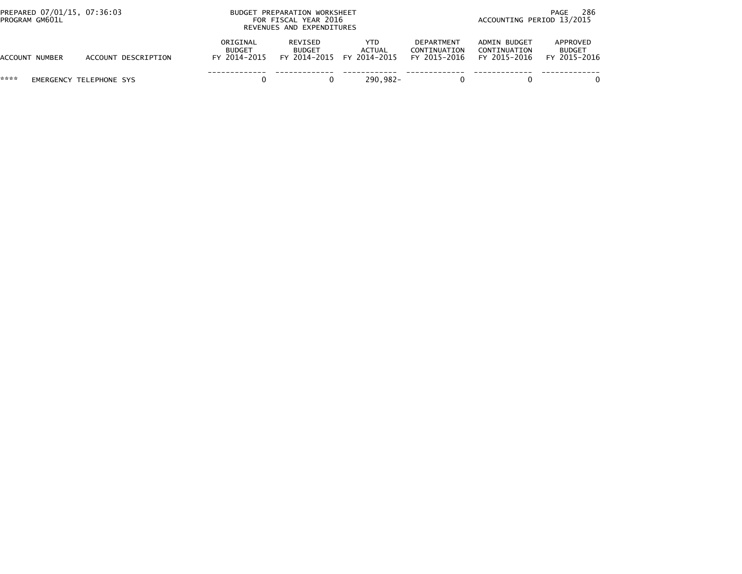| PREPARED 07/01/15, 07:36:03<br>PROGRAM GM601L |                         | BUDGET PREPARATION WORKSHEET<br>FOR FISCAL YEAR 2016<br>REVENUES AND EXPENDITURES |                          |                                             |                                            | 286<br>PAGE<br>ACCOUNTING PERIOD 13/2015     |                                           |  |
|-----------------------------------------------|-------------------------|-----------------------------------------------------------------------------------|--------------------------|---------------------------------------------|--------------------------------------------|----------------------------------------------|-------------------------------------------|--|
| ACCOUNT NUMBER                                | ACCOUNT DESCRIPTION     | ORIGINAL<br>BUDGET<br>FY 2014-2015                                                | REVISED<br><b>BUDGET</b> | YTD.<br>ACTUAL<br>FY 2014-2015 FY 2014-2015 | DEPARTMENT<br>CONTINUATION<br>FY 2015-2016 | ADMIN BUDGET<br>CONTINUATION<br>FY 2015-2016 | APPROVED<br><b>BUDGET</b><br>FY 2015-2016 |  |
| ****                                          | EMERGENCY TELEPHONE SYS |                                                                                   |                          | 290.982-                                    |                                            |                                              |                                           |  |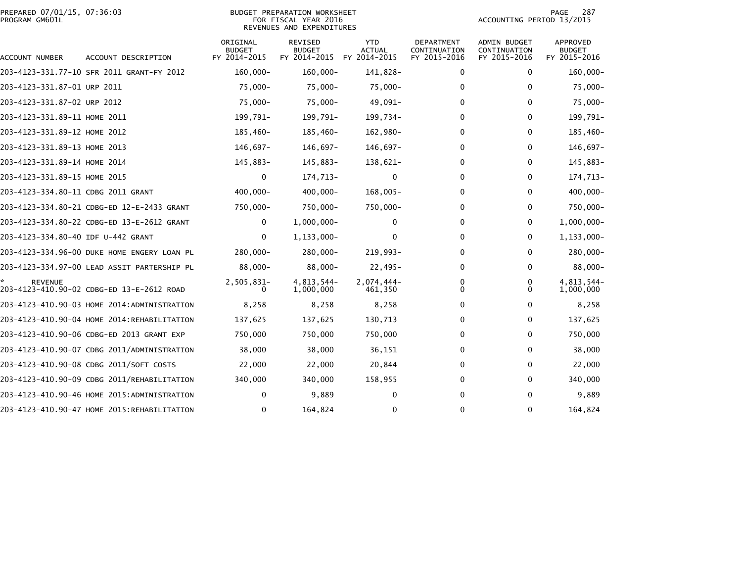|                | PREPARED 07/01/15, 07:36:03 |  |
|----------------|-----------------------------|--|
| PROGRAM GM601L |                             |  |

### PREPARED 07/01/15, 07:36:03 PREPARATION WORKSHEET PREPARATION WORKSHEET PREPARATION WORKSHEET<br>FOR FISCAL YEAR 2016 ACCOUNTING PERIOD 13/2015 REVENUES AND EXPENDITURES<br>REVENUES AND EXPENDITURES

PAGE 287<br>ACCOUNTING PERIOD 13/2015

| ACCOUNT NUMBER                     | ACCOUNT DESCRIPTION                         | ORIGINAL<br><b>BUDGET</b><br>FY 2014-2015 | REVISED<br><b>BUDGET</b><br>FY 2014-2015 | <b>YTD</b><br>ACTUAL<br>FY 2014-2015 | DEPARTMENT<br>CONTINUATION<br>FY 2015-2016 | <b>ADMIN BUDGET</b><br>CONTINUATION<br>FY 2015-2016 | <b>APPROVED</b><br><b>BUDGET</b><br>FY 2015-2016 |
|------------------------------------|---------------------------------------------|-------------------------------------------|------------------------------------------|--------------------------------------|--------------------------------------------|-----------------------------------------------------|--------------------------------------------------|
|                                    | 203-4123-331.77-10 SFR 2011 GRANT-FY 2012   | $160.000 -$                               | $160,000 -$                              | 141.828-                             | 0                                          | 0                                                   | $160,000 -$                                      |
| 203-4123-331.87-01 URP 2011        |                                             | 75,000-                                   | $75,000 -$                               | 75,000-                              | 0                                          | 0                                                   | $75,000 -$                                       |
| 203-4123-331.87-02 URP 2012        |                                             | 75,000-                                   | $75,000 -$                               | 49,091-                              | 0                                          | $\mathbf{0}$                                        | 75,000-                                          |
| 203-4123-331.89-11 HOME 2011       |                                             | 199,791-                                  | 199,791-                                 | 199,734-                             | 0                                          | $\mathbf{0}$                                        | 199,791-                                         |
| 203-4123-331.89-12 HOME 2012       |                                             | 185,460-                                  | 185,460-                                 | 162,980-                             | 0                                          | $\mathbf{0}$                                        | 185,460-                                         |
| 203-4123-331.89-13 HOME 2013       |                                             | 146,697-                                  | 146,697-                                 | 146,697-                             | 0                                          | 0                                                   | 146,697-                                         |
| 203-4123-331.89-14 HOME 2014       |                                             | 145,883-                                  | 145,883-                                 | 138,621-                             | 0                                          | $\mathbf{0}$                                        | 145,883-                                         |
| 203-4123-331.89-15 HOME 2015       |                                             | 0                                         | 174,713-                                 | 0                                    | 0                                          | 0                                                   | 174,713-                                         |
| 203-4123-334.80-11 CDBG 2011 GRANT |                                             | $400,000 -$                               | $400,000 -$                              | 168,005-                             | 0                                          | $\mathbf{0}$                                        | $400,000 -$                                      |
|                                    | 203-4123-334.80-21 CDBG-ED 12-E-2433 GRANT  | 750,000-                                  | 750,000-                                 | 750,000-                             | 0                                          | $\mathbf{0}$                                        | 750,000-                                         |
|                                    | 203-4123-334.80-22 CDBG-ED 13-E-2612 GRANT  | 0                                         | $1,000,000 -$                            | 0                                    | 0                                          | $\mathbf{0}$                                        | $1,000,000 -$                                    |
| 203-4123-334.80-40 IDF U-442 GRANT |                                             | $\Omega$                                  | 1,133,000-                               | 0                                    | 0                                          | $\mathbf{0}$                                        | $1, 133, 000 -$                                  |
|                                    | 203-4123-334.96-00 DUKE HOME ENGERY LOAN PL | 280,000-                                  | $280,000 -$                              | 219,993-                             | 0                                          | 0                                                   | 280,000-                                         |
|                                    | 203-4123-334.97-00 LEAD ASSIT PARTERSHIP PL | $88,000 -$                                | $88,000 -$                               | $22,495-$                            | 0                                          | 0                                                   | $88,000 -$                                       |
| <b>REVENUE</b>                     | 203-4123-410.90-02 CDBG-ED 13-E-2612 ROAD   | 2,505,831-<br>0                           | 4,813,544-<br>1,000,000                  | $2,074,444-$<br>461,350              | 0<br>0                                     | 0<br>0                                              | 4,813,544-<br>1,000,000                          |
|                                    | 203-4123-410.90-03 HOME 2014:ADMINISTRATION | 8,258                                     | 8,258                                    | 8,258                                | 0                                          | $\mathbf{0}$                                        | 8,258                                            |
|                                    | 203-4123-410.90-04 HOME 2014:REHABILITATION | 137,625                                   | 137,625                                  | 130,713                              | 0                                          | 0                                                   | 137,625                                          |
|                                    | 203-4123-410.90-06 CDBG-ED 2013 GRANT EXP   | 750,000                                   | 750,000                                  | 750,000                              | 0                                          | $\mathbf{0}$                                        | 750,000                                          |
|                                    | 203-4123-410.90-07 CDBG 2011/ADMINISTRATION | 38,000                                    | 38,000                                   | 36,151                               | 0                                          | 0                                                   | 38,000                                           |
|                                    | 203-4123-410.90-08 CDBG 2011/SOFT COSTS     | 22,000                                    | 22,000                                   | 20,844                               | 0                                          | 0                                                   | 22,000                                           |
|                                    | 203-4123-410.90-09 CDBG 2011/REHABILITATION | 340,000                                   | 340,000                                  | 158,955                              | 0                                          | 0                                                   | 340,000                                          |
|                                    |                                             | $\mathbf{0}$                              | 9,889                                    | $\bf{0}$                             | 0                                          | 0                                                   | 9,889                                            |
|                                    | 203-4123-410.90-47 HOME 2015:REHABILITATION | 0                                         | 164,824                                  | 0                                    | 0                                          | $\mathbf{0}$                                        | 164,824                                          |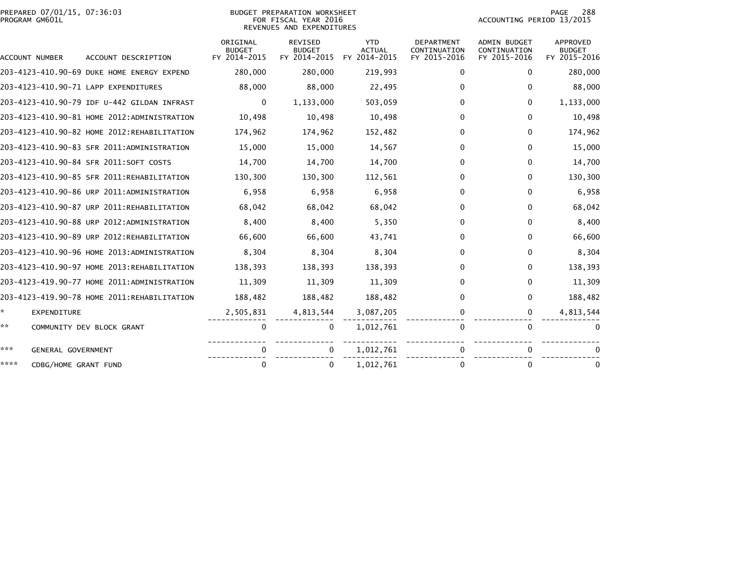|                | PREPARED 07/01/15, 07:36:03 |  |
|----------------|-----------------------------|--|
| PROGRAM GM601L |                             |  |

# PREPARED 07/01/15, 07:36:03 PREPARATION WORKSHEET PREPARATION WORKSHEET PREPARATION WORKSHEET<br>FOR FISCAL YEAR 2016 ACCOUNTING PERIOD 13/2015 REVENUES AND EXPENDITURES<br>REVENUES AND EXPENDITURES

PAGE 288<br>ACCOUNTING PERIOD 13/2015

|      | <b>ACCOUNT NUMBER</b> | ACCOUNT DESCRIPTION                         | ORIGINAL<br><b>BUDGET</b><br>FY 2014-2015 | <b>REVISED</b><br><b>BUDGET</b><br>FY 2014-2015 | <b>YTD</b><br><b>ACTUAL</b><br>FY 2014-2015 | <b>DEPARTMENT</b><br>CONTINUATION<br>FY 2015-2016 | <b>ADMIN BUDGET</b><br>CONTINUATION<br>FY 2015-2016 | APPROVED<br><b>BUDGET</b><br>FY 2015-2016 |
|------|-----------------------|---------------------------------------------|-------------------------------------------|-------------------------------------------------|---------------------------------------------|---------------------------------------------------|-----------------------------------------------------|-------------------------------------------|
|      |                       | 203-4123-410.90-69 DUKE HOME ENERGY EXPEND  | 280,000                                   | 280,000                                         | 219,993                                     | 0                                                 | $\Omega$                                            | 280,000                                   |
|      |                       | 203-4123-410.90-71 LAPP EXPENDITURES        | 88,000                                    | 88,000                                          | 22,495                                      | 0                                                 | 0                                                   | 88,000                                    |
|      |                       | 203-4123-410.90-79 IDF U-442 GILDAN INFRAST | $\mathbf{0}$                              | 1,133,000                                       | 503,059                                     | 0                                                 | $\mathbf{0}$                                        | 1,133,000                                 |
|      |                       | 203-4123-410.90-81 HOME 2012:ADMINISTRATION | 10,498                                    | 10,498                                          | 10,498                                      | 0                                                 | $\mathbf{0}$                                        | 10,498                                    |
|      |                       | 203-4123-410.90-82 HOME 2012:REHABILITATION | 174,962                                   | 174,962                                         | 152,482                                     | $\Omega$                                          | $\Omega$                                            | 174,962                                   |
|      |                       | 203-4123-410.90-83 SFR 2011:ADMINISTRATION  | 15,000                                    | 15,000                                          | 14,567                                      | $\Omega$                                          | $\mathbf{0}$                                        | 15,000                                    |
|      |                       | 203-4123-410.90-84 SFR 2011:SOFT COSTS      | 14,700                                    | 14,700                                          | 14,700                                      | 0                                                 | 0                                                   | 14,700                                    |
|      |                       | 203-4123-410.90-85 SFR 2011:REHABILITATION  | 130,300                                   | 130,300                                         | 112,561                                     | 0                                                 | $\mathbf{0}$                                        | 130,300                                   |
|      |                       | 203-4123-410.90-86 URP 2011:ADMINISTRATION  | 6,958                                     | 6,958                                           | 6,958                                       | 0                                                 | $\Omega$                                            | 6,958                                     |
|      |                       | 203-4123-410.90-87 URP 2011:REHABILITATION  | 68,042                                    | 68,042                                          | 68,042                                      | 0                                                 | 0                                                   | 68,042                                    |
|      |                       | 203-4123-410.90-88 URP 2012:ADMINISTRATION  | 8,400                                     | 8,400                                           | 5,350                                       | 0                                                 | $\mathbf{0}$                                        | 8,400                                     |
|      |                       | 203-4123-410.90-89 URP 2012:REHABILITATION  | 66,600                                    | 66,600                                          | 43,741                                      | 0                                                 | $\Omega$                                            | 66,600                                    |
|      |                       | 203-4123-410.90-96 HOME 2013:ADMINISTRATION | 8,304                                     | 8,304                                           | 8,304                                       | 0                                                 | 0                                                   | 8,304                                     |
|      |                       | 203-4123-410.90-97 HOME 2013:REHABILITATION | 138,393                                   | 138,393                                         | 138,393                                     | 0                                                 | $\mathbf{0}$                                        | 138,393                                   |
|      |                       | 203-4123-419.90-77 HOME 2011:ADMINISTRATION | 11.309                                    | 11,309                                          | 11,309                                      | 0                                                 | $\Omega$                                            | 11,309                                    |
|      |                       | 203-4123-419.90-78 HOME 2011:REHABILITATION | 188,482                                   | 188,482                                         | 188,482                                     | $\Omega$                                          | $\mathbf{0}$                                        | 188,482                                   |
| *.   | EXPENDITURE           |                                             | 2,505,831                                 | 4,813,544                                       | 3,087,205                                   | 0                                                 | 0                                                   | 4,813,544                                 |
| **   |                       | COMMUNITY DEV BLOCK GRANT                   | 0                                         | 0                                               | 1,012,761                                   | 0                                                 | $\mathbf{0}$                                        | 0                                         |
| ***  | GENERAL GOVERNMENT    |                                             |                                           | 0                                               | 1,012,761                                   | 0                                                 |                                                     |                                           |
| **** | CDBG/HOME GRANT FUND  |                                             | $\Omega$                                  | 0                                               | 1,012,761                                   | 0                                                 | $\Omega$                                            | 0                                         |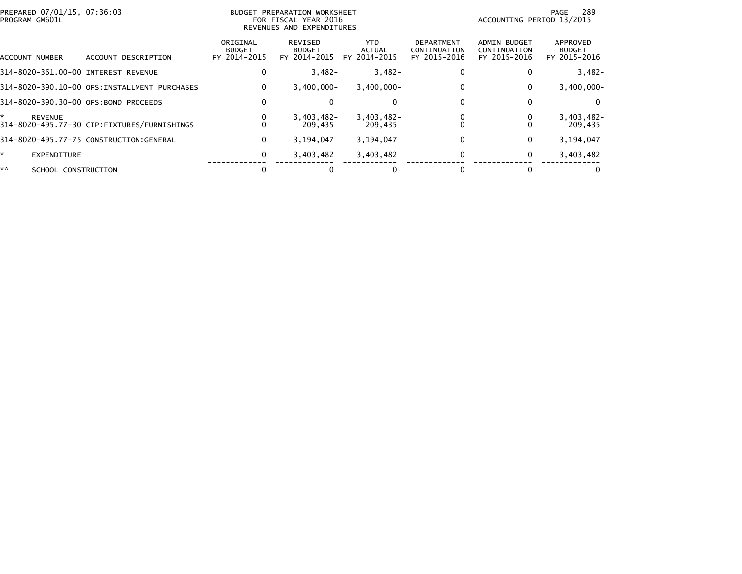| PREPARED 07/01/15, 07:36:03<br>PROGRAM GM601L |                                               | BUDGET PREPARATION WORKSHEET<br>FOR FISCAL YEAR 2016<br>REVENUES AND EXPENDITURES |                                          |                                       |                                            | 289<br>PAGE<br>ACCOUNTING PERIOD 13/2015     |                                           |  |
|-----------------------------------------------|-----------------------------------------------|-----------------------------------------------------------------------------------|------------------------------------------|---------------------------------------|--------------------------------------------|----------------------------------------------|-------------------------------------------|--|
| ACCOUNT NUMBER                                | ACCOUNT DESCRIPTION                           | ORIGINAL<br><b>BUDGET</b><br>FY 2014-2015                                         | REVISED<br><b>BUDGET</b><br>FY 2014-2015 | YTD.<br><b>ACTUAL</b><br>FY 2014-2015 | DEPARTMENT<br>CONTINUATION<br>FY 2015-2016 | ADMIN BUDGET<br>CONTINUATION<br>FY 2015-2016 | APPROVED<br><b>BUDGET</b><br>FY 2015-2016 |  |
| 314-8020-361.00-00 INTEREST REVENUE           |                                               | 0                                                                                 | $3,482-$                                 | $3,482-$                              |                                            | 0                                            | $3,482-$                                  |  |
|                                               | 314-8020-390.10-00 OFS: INSTALLMENT PURCHASES | 0                                                                                 | $3.400.000 -$                            | $3.400.000 -$                         |                                            | 0                                            | $3,400,000 -$                             |  |
| 314-8020-390.30-00 OFS:BOND PROCEEDS          |                                               | 0                                                                                 |                                          | $\mathbf 0$                           |                                            | 0                                            | $\Omega$                                  |  |
| ÷<br><b>REVENUE</b>                           | 314-8020-495.77-30 CIP:FIXTURES/FURNISHINGS   |                                                                                   | $3,403,482-$<br>209.435                  | $3,403,482 -$<br>209.435              |                                            |                                              | $3,403,482 -$<br>209,435                  |  |
|                                               | 314-8020-495.77-75 CONSTRUCTION:GENERAL       | 0                                                                                 | 3,194,047                                | 3,194,047                             |                                            | 0                                            | 3,194,047                                 |  |
| ×.<br><b>EXPENDITURE</b>                      |                                               | 0                                                                                 | 3,403,482                                | 3,403,482                             |                                            | 0                                            | 3,403,482                                 |  |
| **<br>SCHOOL CONSTRUCTION                     |                                               |                                                                                   |                                          |                                       |                                            |                                              |                                           |  |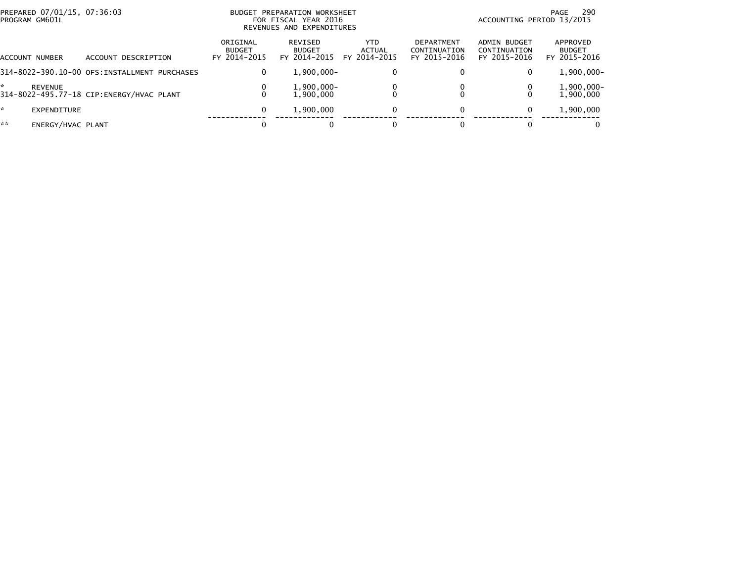| PREPARED 07/01/15, 07:36:03<br>PROGRAM GM601L |                                              |                                           | BUDGET PREPARATION WORKSHEET<br>FOR FISCAL YEAR 2016<br>REVENUES AND EXPENDITURES | -290<br>PAGE<br>ACCOUNTING PERIOD 13/2015 |                                                   |                                              |                                           |
|-----------------------------------------------|----------------------------------------------|-------------------------------------------|-----------------------------------------------------------------------------------|-------------------------------------------|---------------------------------------------------|----------------------------------------------|-------------------------------------------|
| ACCOUNT NUMBER                                | ACCOUNT DESCRIPTION                          | ORIGINAL<br><b>BUDGET</b><br>FY 2014-2015 | REVISED<br><b>BUDGET</b><br>FY 2014-2015                                          | YTD.<br>ACTUAL<br>FY 2014-2015            | <b>DEPARTMENT</b><br>CONTINUATION<br>FY 2015-2016 | ADMIN BUDGET<br>CONTINUATION<br>FY 2015-2016 | APPROVED<br><b>BUDGET</b><br>FY 2015-2016 |
|                                               | 314-8022-390.10-00 OFS:INSTALLMENT PURCHASES | 0                                         | $1,900,000 -$                                                                     | $\bf{0}$                                  |                                                   | 0                                            | $1,900,000 -$                             |
| ÷<br><b>REVENUE</b>                           | 314-8022-495.77-18 CIP:ENERGY/HVAC PLANT     | 0                                         | 1,900,000-<br>1.900.000                                                           |                                           |                                                   |                                              | 1,900,000-<br>1,900,000                   |
| *<br>EXPENDITURE                              |                                              | 0                                         | 1,900,000                                                                         | $\mathbf{0}$                              | 0                                                 | $\mathbf{0}$                                 | 1,900,000                                 |
| **<br>ENERGY/HVAC PLANT                       |                                              |                                           |                                                                                   |                                           |                                                   |                                              | $\Omega$                                  |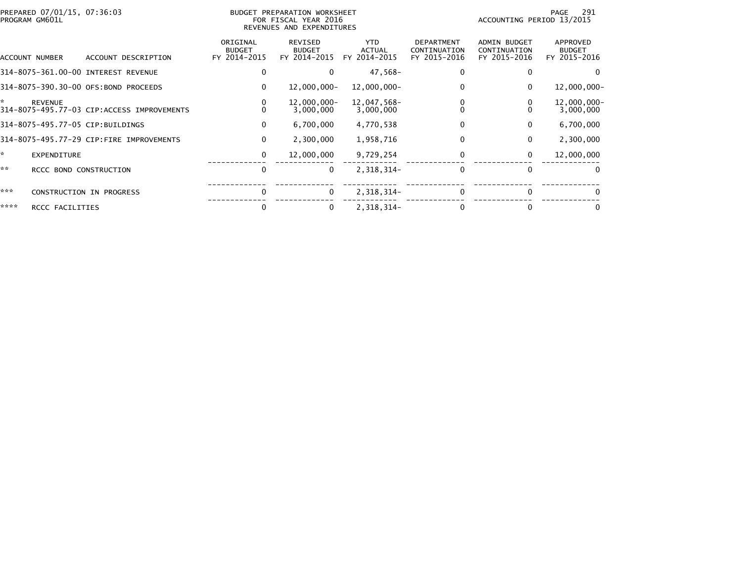|      | PREPARED 07/01/15, 07:36:03<br>PROGRAM GM601L |                                            | <b>BUDGET PREPARATION WORKSHEET</b><br>FOR FISCAL YEAR 2016<br>REVENUES AND EXPENDITURES |                                                 |                                             |                                                   | 291<br>PAGE<br>ACCOUNTING PERIOD 13/2015            |                                                  |  |
|------|-----------------------------------------------|--------------------------------------------|------------------------------------------------------------------------------------------|-------------------------------------------------|---------------------------------------------|---------------------------------------------------|-----------------------------------------------------|--------------------------------------------------|--|
|      | ACCOUNT NUMBER                                | ACCOUNT DESCRIPTION                        | ORIGINAL<br><b>BUDGET</b><br>FY 2014-2015                                                | <b>REVISED</b><br><b>BUDGET</b><br>FY 2014-2015 | <b>YTD</b><br><b>ACTUAL</b><br>FY 2014-2015 | <b>DEPARTMENT</b><br>CONTINUATION<br>FY 2015-2016 | <b>ADMIN BUDGET</b><br>CONTINUATION<br>FY 2015-2016 | <b>APPROVED</b><br><b>BUDGET</b><br>FY 2015-2016 |  |
|      |                                               | 314-8075-361.00-00 INTEREST REVENUE        | 0                                                                                        |                                                 | 47,568-                                     |                                                   |                                                     |                                                  |  |
|      |                                               | 314-8075-390.30-00 OFS:BOND PROCEEDS       | 0                                                                                        | $12,000,000 -$                                  | 12,000,000-                                 |                                                   | 0                                                   | $12,000,000 -$                                   |  |
| ×.   | <b>REVENUE</b>                                | 314-8075-495.77-03 CIP:ACCESS IMPROVEMENTS | 0<br>$\Omega$                                                                            | $12,000,000 -$<br>3,000,000                     | 12,047,568-<br>3,000,000                    |                                                   |                                                     | 12,000,000-<br>3,000,000                         |  |
|      |                                               | 314-8075-495.77-05 CIP:BUILDINGS           | 0                                                                                        | 6,700,000                                       | 4,770,538                                   |                                                   | 0                                                   | 6,700,000                                        |  |
|      |                                               | 314-8075-495.77-29 CIP:FIRE IMPROVEMENTS   | 0                                                                                        | 2,300,000                                       | 1,958,716                                   | 0                                                 | 0                                                   | 2,300,000                                        |  |
| ×.   | <b>EXPENDITURE</b>                            |                                            | 0                                                                                        | 12,000,000                                      | 9,729,254                                   |                                                   | 0                                                   | 12,000,000                                       |  |
| **   | RCCC BOND CONSTRUCTION                        |                                            | 0                                                                                        | $\Omega$                                        | 2,318,314-                                  |                                                   | $\Omega$                                            | 0                                                |  |
| ***  |                                               | <b>CONSTRUCTION IN PROGRESS</b>            | 0                                                                                        | 0                                               | 2,318,314-                                  | 0                                                 | $\bf{0}$                                            | 0                                                |  |
| **** | RCCC FACILITIES                               |                                            | 0                                                                                        |                                                 | 2,318,314-                                  |                                                   | $\Omega$                                            |                                                  |  |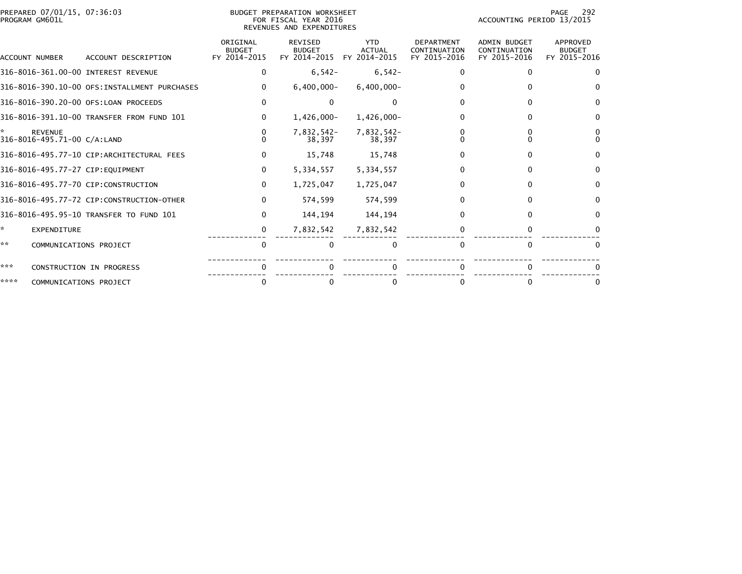|                | PREPARED 07/01/15, 07:36:03 |  |
|----------------|-----------------------------|--|
| PROGRAM GM601L |                             |  |

## BUDGET PREPARATION WORKSHEET<br>FOR FISCAL YEAR 2016 PROGRAM GM601L FOR FISCAL YEAR 2016 ACCOUNTING PERIOD 13/2015REVENUES AND EXPENDITURES

|      | ACCOUNT NUMBER                                | ACCOUNT DESCRIPTION                          | ORIGINAL<br><b>BUDGET</b><br>FY 2014-2015 | <b>REVISED</b><br><b>BUDGET</b><br>FY 2014-2015 | <b>YTD</b><br><b>ACTUAL</b><br>FY 2014-2015 | <b>DEPARTMENT</b><br>CONTINUATION<br>FY 2015-2016 | <b>ADMIN BUDGET</b><br>CONTINUATION<br>FY 2015-2016 | APPROVED<br><b>BUDGET</b><br>FY 2015-2016 |
|------|-----------------------------------------------|----------------------------------------------|-------------------------------------------|-------------------------------------------------|---------------------------------------------|---------------------------------------------------|-----------------------------------------------------|-------------------------------------------|
|      |                                               | 316-8016-361.00-00 INTEREST REVENUE          | 0                                         | $6,542-$                                        | $6,542-$                                    |                                                   | $\Omega$                                            | $\Omega$                                  |
|      |                                               | 316-8016-390.10-00 OFS:INSTALLMENT PURCHASES | $\Omega$                                  | $6,400,000 -$                                   | $6,400,000 -$                               |                                                   |                                                     |                                           |
|      |                                               | 316-8016-390.20-00 OFS:LOAN PROCEEDS         | 0                                         |                                                 | $\Omega$                                    |                                                   |                                                     |                                           |
|      |                                               | 316-8016-391.10-00 TRANSFER FROM FUND 101    | 0                                         | $1,426,000 -$                                   | 1,426,000-                                  |                                                   | $\Omega$                                            |                                           |
|      | <b>REVENUE</b><br>316-8016-495.71-00 C/A:LAND |                                              |                                           | 7,832,542-<br>38.397                            | 7,832,542-<br>38.397                        |                                                   |                                                     |                                           |
|      |                                               | 316-8016-495.77-10 CIP:ARCHITECTURAL FEES    | 0                                         | 15,748                                          | 15,748                                      |                                                   |                                                     | $\Omega$                                  |
|      |                                               | 316-8016-495.77-27 CIP:EQUIPMENT             | 0                                         | 5,334,557                                       | 5,334,557                                   |                                                   | $\Omega$                                            |                                           |
|      |                                               | 316-8016-495.77-70 CIP:CONSTRUCTION          | $\Omega$                                  | 1,725,047                                       | 1,725,047                                   |                                                   | $\Omega$                                            | $\Omega$                                  |
|      |                                               | 316-8016-495.77-72 CIP:CONSTRUCTION-OTHER    | $\Omega$                                  | 574,599                                         | 574,599                                     |                                                   |                                                     | $\Omega$                                  |
|      |                                               | 316-8016-495.95-10 TRANSFER TO FUND 101      | 0                                         | 144,194                                         | 144,194                                     |                                                   |                                                     | $\Omega$                                  |
| *    | <b>EXPENDITURE</b>                            |                                              | 0                                         | 7,832,542                                       | 7,832,542                                   |                                                   | $\Omega$                                            |                                           |
| **   | COMMUNICATIONS PROJECT                        |                                              | n                                         |                                                 |                                             |                                                   | $\Omega$                                            |                                           |
| ***  |                                               | CONSTRUCTION IN PROGRESS                     |                                           |                                                 |                                             |                                                   |                                                     |                                           |
| **** | COMMUNICATIONS PROJECT                        |                                              | 0                                         |                                                 | 0                                           |                                                   |                                                     |                                           |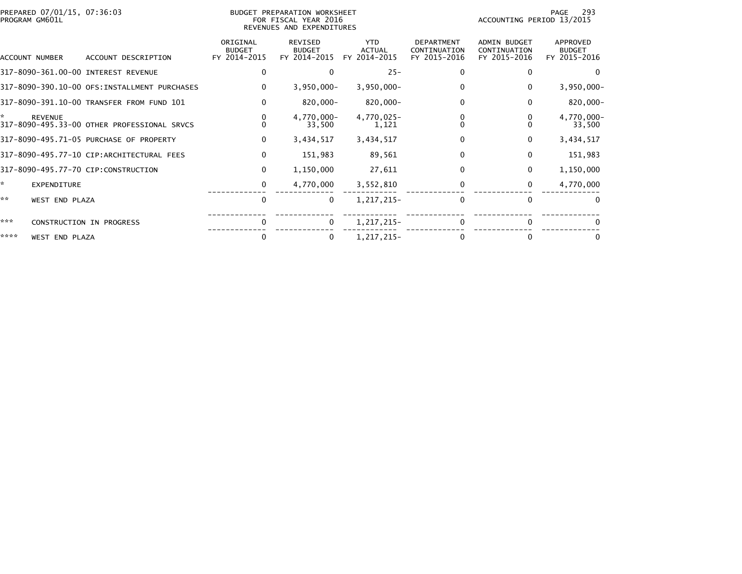| PREPARED 07/01/15, 07:36:03<br>BUDGET PREPARATION WORKSHEET<br>FOR FISCAL YEAR 2016<br>PROGRAM GM601L<br>REVENUES AND EXPENDITURES |                                              |                                           |                                                 |                                             | -293<br>PAGE<br>ACCOUNTING PERIOD 13/2015         |                                              |                                           |
|------------------------------------------------------------------------------------------------------------------------------------|----------------------------------------------|-------------------------------------------|-------------------------------------------------|---------------------------------------------|---------------------------------------------------|----------------------------------------------|-------------------------------------------|
| ACCOUNT NUMBER                                                                                                                     | ACCOUNT DESCRIPTION                          | ORIGINAL<br><b>BUDGET</b><br>FY 2014-2015 | <b>REVISED</b><br><b>BUDGET</b><br>FY 2014-2015 | <b>YTD</b><br><b>ACTUAL</b><br>FY 2014-2015 | <b>DEPARTMENT</b><br>CONTINUATION<br>FY 2015-2016 | ADMIN BUDGET<br>CONTINUATION<br>FY 2015-2016 | APPROVED<br><b>BUDGET</b><br>FY 2015-2016 |
|                                                                                                                                    | 317-8090-361.00-00 INTEREST REVENUE          | 0                                         |                                                 | $25 -$                                      | 0                                                 | $\bf{0}$                                     | $\Omega$                                  |
|                                                                                                                                    | 317-8090-390.10-00 OFS:INSTALLMENT PURCHASES | 0                                         | $3,950,000 -$                                   | $3,950,000 -$                               | 0                                                 | 0                                            | $3,950,000 -$                             |
|                                                                                                                                    | 317-8090-391.10-00 TRANSFER FROM FUND 101    | $\mathbf{0}$                              | 820,000-                                        | 820,000-                                    | $\Omega$                                          | $\bf{0}$                                     | $820,000 -$                               |
| ×.<br><b>REVENUE</b>                                                                                                               | 317-8090-495.33-00 OTHER PROFESSIONAL SRVCS  |                                           | 4,770,000-<br>33,500                            | 4,770,025-<br>1,121                         | 0                                                 |                                              | 4,770,000-<br>33,500                      |
|                                                                                                                                    | 317-8090-495.71-05 PURCHASE OF PROPERTY      | $\mathbf{0}$                              | 3,434,517                                       | 3,434,517                                   | 0                                                 | $\mathbf{0}$                                 | 3,434,517                                 |
|                                                                                                                                    | 317-8090-495.77-10 CIP:ARCHITECTURAL FEES    | $\mathbf{0}$                              | 151,983                                         | 89,561                                      | 0                                                 | $\mathbf{0}$                                 | 151,983                                   |
|                                                                                                                                    | 317-8090-495.77-70 CIP:CONSTRUCTION          | 0                                         | 1,150,000                                       | 27,611                                      | 0                                                 | $\Omega$                                     | 1,150,000                                 |
| ÷.                                                                                                                                 | EXPENDITURE                                  | 0                                         | 4,770,000                                       | 3,552,810                                   |                                                   | 0                                            | 4,770,000                                 |
| **                                                                                                                                 | WEST END PLAZA                               | 0                                         | $\mathbf 0$                                     | 1,217,215-                                  | $\Omega$                                          | $\Omega$                                     | $\Omega$                                  |
| ***                                                                                                                                | CONSTRUCTION IN PROGRESS                     | $\Omega$                                  | $\Omega$                                        | 1,217,215-                                  | $\Omega$                                          | $\Omega$                                     |                                           |
| ****                                                                                                                               | WEST END PLAZA                               | $\Omega$                                  | $\Omega$                                        | 1,217,215-                                  | 0                                                 | 0                                            | $\bf{0}$                                  |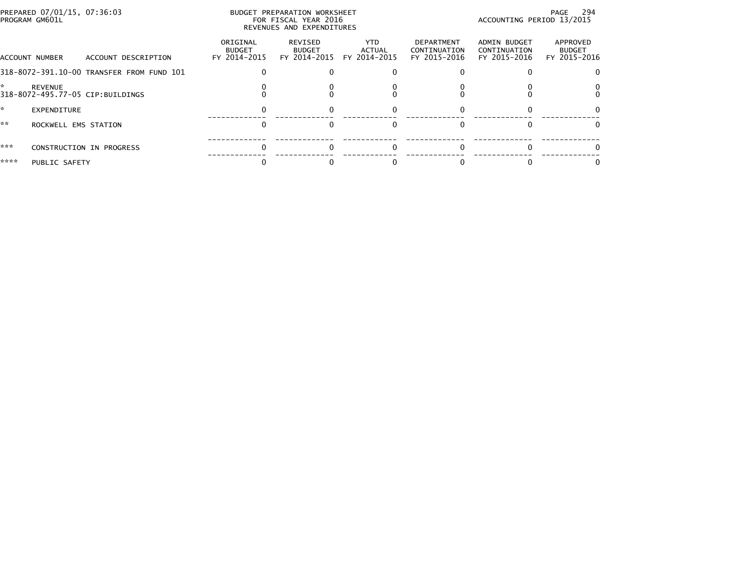| PREPARED 07/01/15, 07:36:03<br>BUDGET PREPARATION WORKSHEET<br>PROGRAM GM601L<br>FOR FISCAL YEAR 2016<br>REVENUES AND EXPENDITURES |                                           |                          |                                                   |                                            |                                                     | PAGE 294<br>ACCOUNTING PERIOD 13/2015     |  |
|------------------------------------------------------------------------------------------------------------------------------------|-------------------------------------------|--------------------------|---------------------------------------------------|--------------------------------------------|-----------------------------------------------------|-------------------------------------------|--|
| ACCOUNT NUMBER<br>ACCOUNT DESCRIPTION                                                                                              | ORIGINAL<br><b>BUDGET</b><br>FY 2014-2015 | REVISED<br><b>BUDGET</b> | <b>YTD</b><br>ACTUAL<br>FY 2014-2015 FY 2014-2015 | DEPARTMENT<br>CONTINUATION<br>FY 2015-2016 | <b>ADMIN BUDGET</b><br>CONTINUATION<br>FY 2015-2016 | APPROVED<br><b>BUDGET</b><br>FY 2015-2016 |  |
| 318-8072-391.10-00 TRANSFER FROM FUND 101                                                                                          |                                           |                          |                                                   |                                            |                                                     |                                           |  |
| <b>REVENUE</b><br>318-8072-495.77-05 CIP:BUILDINGS                                                                                 |                                           |                          |                                                   |                                            |                                                     |                                           |  |
| EXPENDITURE                                                                                                                        |                                           |                          |                                                   |                                            |                                                     |                                           |  |
| **<br>ROCKWELL EMS STATION                                                                                                         |                                           |                          |                                                   |                                            |                                                     |                                           |  |
| ***<br>CONSTRUCTION IN PROGRESS                                                                                                    |                                           |                          |                                                   |                                            |                                                     |                                           |  |
| ****<br>PUBLIC SAFETY                                                                                                              |                                           |                          |                                                   |                                            |                                                     |                                           |  |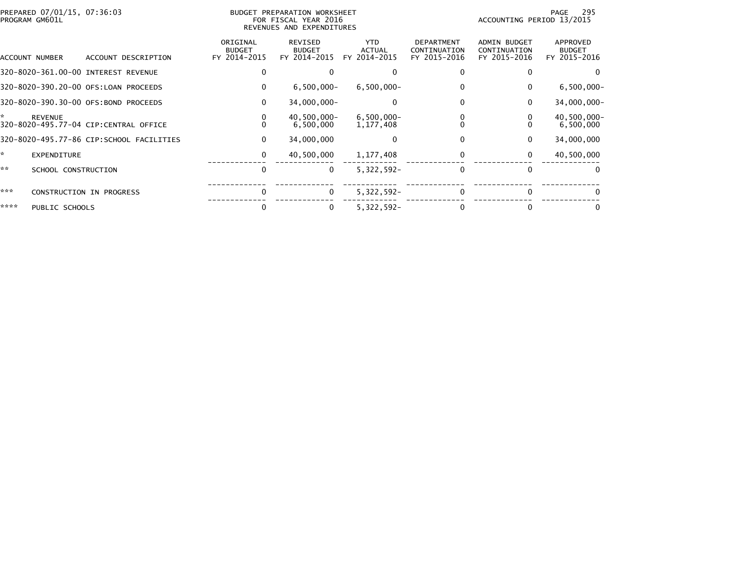| PREPARED 07/01/15, 07:36:03<br>PROGRAM GM601L                 |                                          | BUDGET PREPARATION WORKSHEET<br>FOR FISCAL YEAR 2016<br>REVENUES AND EXPENDITURES |                                          |                                             |                                                   | 295<br>PAGE<br>ACCOUNTING PERIOD 13/2015     |                                           |
|---------------------------------------------------------------|------------------------------------------|-----------------------------------------------------------------------------------|------------------------------------------|---------------------------------------------|---------------------------------------------------|----------------------------------------------|-------------------------------------------|
| ACCOUNT NUMBER                                                | ACCOUNT DESCRIPTION                      | ORIGINAL<br><b>BUDGET</b><br>FY 2014-2015                                         | REVISED<br><b>BUDGET</b><br>FY 2014-2015 | <b>YTD</b><br><b>ACTUAL</b><br>FY 2014-2015 | <b>DEPARTMENT</b><br>CONTINUATION<br>FY 2015-2016 | ADMIN BUDGET<br>CONTINUATION<br>FY 2015-2016 | APPROVED<br><b>BUDGET</b><br>FY 2015-2016 |
| 320-8020-361.00-00 INTEREST REVENUE                           |                                          |                                                                                   |                                          |                                             |                                                   |                                              |                                           |
| 320-8020-390.20-00 OFS:LOAN PROCEEDS                          |                                          | $\mathbf{0}$                                                                      | $6,500,000 -$                            | $6,500,000 -$                               |                                                   | 0                                            | $6,500,000 -$                             |
| 320-8020-390.30-00 OFS:BOND PROCEEDS                          |                                          | 0                                                                                 | $34,000,000 -$                           | 0                                           | 0                                                 | 0                                            | 34,000,000-                               |
| ÷.<br><b>REVENUE</b><br>320-8020-495.77-04 CIP:CENTRAL OFFICE |                                          | 0                                                                                 | 40,500,000-<br>6,500,000                 | $6,500,000 -$<br>1, 177, 408                | 0                                                 |                                              | 40,500,000-<br>6,500,000                  |
|                                                               | 320-8020-495.77-86 CIP:SCHOOL FACILITIES | 0                                                                                 | 34,000,000                               | $\Omega$                                    | 0                                                 | $\mathbf{0}$                                 | 34,000,000                                |
| ÷,<br><b>EXPENDITURE</b>                                      |                                          | 0                                                                                 | 40,500,000                               | 1,177,408                                   | 0                                                 | 0                                            | 40,500,000                                |
| **<br>SCHOOL CONSTRUCTION                                     |                                          | 0                                                                                 | $\mathbf{0}$                             | 5,322,592-                                  |                                                   | 0                                            | 0                                         |
| ***<br><b>CONSTRUCTION IN PROGRESS</b>                        |                                          | $\Omega$                                                                          | $\Omega$                                 | $5,322,592 -$                               | 0                                                 | 0                                            | $\Omega$                                  |
| ****<br>PUBLIC SCHOOLS                                        |                                          |                                                                                   | 0                                        | $5,322,592 -$                               |                                                   |                                              | 0                                         |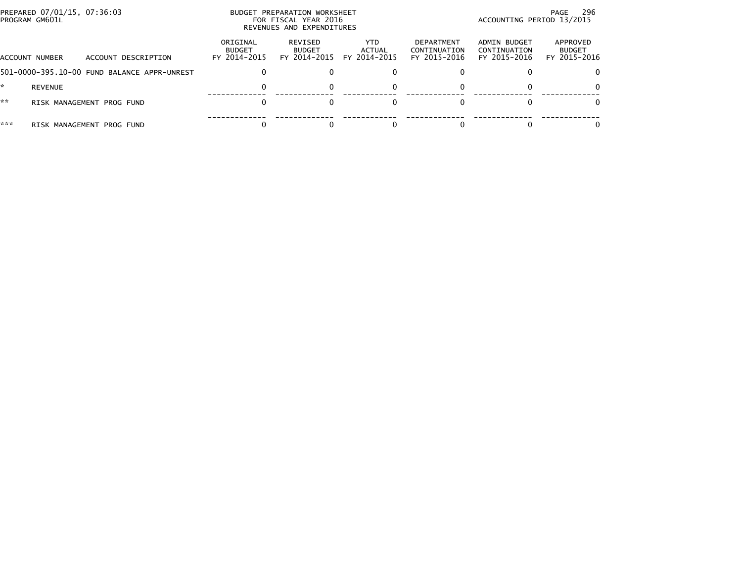| PREPARED 07/01/15, 07:36:03<br>PROGRAM GM601L |                                             | BUDGET PREPARATION WORKSHEET<br>FOR FISCAL YEAR 2016<br>REVENUES AND EXPENDITURES |                                          |                                |                                            | 296<br>PAGE<br>ACCOUNTING PERIOD 13/2015     |                                           |  |
|-----------------------------------------------|---------------------------------------------|-----------------------------------------------------------------------------------|------------------------------------------|--------------------------------|--------------------------------------------|----------------------------------------------|-------------------------------------------|--|
| ACCOUNT NUMBER                                | ACCOUNT DESCRIPTION                         | ORIGINAL<br><b>BUDGET</b><br>FY 2014-2015                                         | REVISED<br><b>BUDGET</b><br>FY 2014-2015 | YTD.<br>ACTUAL<br>FY 2014-2015 | DEPARTMENT<br>CONTINUATION<br>FY 2015-2016 | ADMIN BUDGET<br>CONTINUATION<br>FY 2015-2016 | APPROVED<br><b>BUDGET</b><br>FY 2015-2016 |  |
|                                               | 501-0000-395.10-00 FUND BALANCE APPR-UNREST |                                                                                   |                                          |                                |                                            |                                              |                                           |  |
| <b>REVENUE</b>                                |                                             |                                                                                   |                                          | 0                              |                                            |                                              | 0                                         |  |
| **                                            | RISK MANAGEMENT PROG FUND                   |                                                                                   |                                          |                                |                                            |                                              | 0                                         |  |
| ***<br>RISK MANAGEMENT                        | PROG FUND                                   |                                                                                   |                                          |                                |                                            |                                              |                                           |  |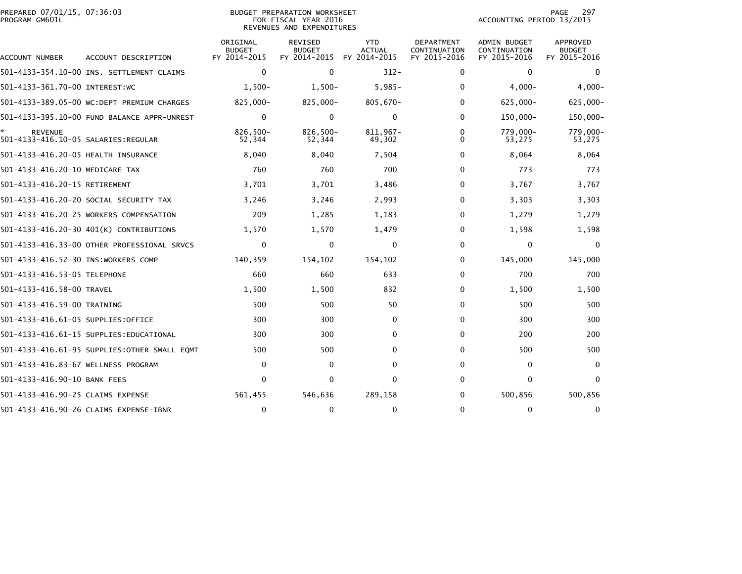| PREPARED 07/01/15, 07:36:03<br>PROGRAM GM601L         |                                               |                                           | <b>BUDGET PREPARATION WORKSHEET</b><br>FOR FISCAL YEAR 2016<br>REVENUES AND EXPENDITURES | 297<br><b>PAGE</b><br>ACCOUNTING PERIOD 13/2015 |                                            |                                                     |                                                  |
|-------------------------------------------------------|-----------------------------------------------|-------------------------------------------|------------------------------------------------------------------------------------------|-------------------------------------------------|--------------------------------------------|-----------------------------------------------------|--------------------------------------------------|
| ACCOUNT NUMBER                                        | ACCOUNT DESCRIPTION                           | ORIGINAL<br><b>BUDGET</b><br>FY 2014-2015 | <b>REVISED</b><br><b>BUDGET</b><br>FY 2014-2015                                          | <b>YTD</b><br><b>ACTUAL</b><br>FY 2014-2015     | DEPARTMENT<br>CONTINUATION<br>FY 2015-2016 | <b>ADMIN BUDGET</b><br>CONTINUATION<br>FY 2015-2016 | <b>APPROVED</b><br><b>BUDGET</b><br>FY 2015-2016 |
|                                                       | 501-4133-354.10-00 INS. SETTLEMENT CLAIMS     | $\mathbf 0$                               | $\mathbf 0$                                                                              | $312 -$                                         | 0                                          | $\mathbf 0$                                         | $\mathbf{0}$                                     |
| 501-4133-361.70-00 INTEREST:WC                        |                                               | $1.500 -$                                 | $1,500-$                                                                                 | $5,985-$                                        | $\Omega$                                   | $4,000-$                                            | $4,000-$                                         |
|                                                       | 501-4133-389.05-00 WC:DEPT PREMIUM CHARGES    | 825,000-                                  | 825,000-                                                                                 | 805,670-                                        | 0                                          | 625,000-                                            | $625,000 -$                                      |
|                                                       | 501-4133-395.10-00 FUND BALANCE APPR-UNREST   | $\mathbf 0$                               | $\mathbf 0$                                                                              | 0                                               | $\Omega$                                   | $150,000 -$                                         | 150,000-                                         |
| <b>REVENUE</b><br>501-4133-416.10-05 SALARIES:REGULAR |                                               | $826.500 -$<br>52,344                     | $826,500 -$<br>52,344                                                                    | 811.967-<br>49,302                              | 0<br>0                                     | 779.000-<br>53,275                                  | 779,000-<br>53,275                               |
| 501-4133-416.20-05 HEALTH INSURANCE                   |                                               | 8,040                                     | 8,040                                                                                    | 7,504                                           | 0                                          | 8,064                                               | 8,064                                            |
| 501-4133-416.20-10 MEDICARE TAX                       |                                               | 760                                       | 760                                                                                      | 700                                             | 0                                          | 773                                                 | 773                                              |
| 501-4133-416.20-15 RETIREMENT                         |                                               | 3,701                                     | 3,701                                                                                    | 3,486                                           | 0                                          | 3,767                                               | 3,767                                            |
|                                                       | 501-4133-416.20-20 SOCIAL SECURITY TAX        | 3,246                                     | 3,246                                                                                    | 2,993                                           | $\Omega$                                   | 3,303                                               | 3,303                                            |
|                                                       | 501-4133-416.20-25 WORKERS COMPENSATION       | 209                                       | 1,285                                                                                    | 1,183                                           | 0                                          | 1,279                                               | 1,279                                            |
|                                                       | 501-4133-416.20-30 401(K) CONTRIBUTIONS       | 1,570                                     | 1,570                                                                                    | 1,479                                           | $\Omega$                                   | 1,598                                               | 1,598                                            |
|                                                       | 501-4133-416.33-00 OTHER PROFESSIONAL SRVCS   | $\mathbf 0$                               | $\Omega$                                                                                 | $\Omega$                                        | $\Omega$                                   | $\mathbf 0$                                         | $\Omega$                                         |
| 501-4133-416.52-30 INS:WORKERS COMP                   |                                               | 140,359                                   | 154,102                                                                                  | 154,102                                         | 0                                          | 145,000                                             | 145,000                                          |
| 501-4133-416.53-05 TELEPHONE                          |                                               | 660                                       | 660                                                                                      | 633                                             | 0                                          | 700                                                 | 700                                              |
| 501-4133-416.58-00 TRAVEL                             |                                               | 1,500                                     | 1,500                                                                                    | 832                                             | $\Omega$                                   | 1,500                                               | 1,500                                            |
| 501-4133-416.59-00 TRAINING                           |                                               | 500                                       | 500                                                                                      | 50                                              | $\Omega$                                   | 500                                                 | 500                                              |
| 501-4133-416.61-05 SUPPLIES:OFFICE                    |                                               | 300                                       | 300                                                                                      | 0                                               | $\Omega$                                   | 300                                                 | 300                                              |
|                                                       | 501-4133-416.61-15 SUPPLIES:EDUCATIONAL       | 300                                       | 300                                                                                      | $\Omega$                                        | $\mathbf{0}$                               | 200                                                 | 200                                              |
|                                                       | 501-4133-416.61-95 SUPPLIES: OTHER SMALL EOMT | 500                                       | 500                                                                                      | $\Omega$                                        | 0                                          | 500                                                 | 500                                              |
| 501-4133-416.83-67 WELLNESS PROGRAM                   |                                               | 0                                         | 0                                                                                        | 0                                               | $\Omega$                                   | 0                                                   | $\Omega$                                         |
| 501-4133-416.90-10 BANK FEES                          |                                               | $\Omega$                                  | $\mathbf{0}$                                                                             | $\Omega$                                        | $\Omega$                                   | 0                                                   | $\mathbf{0}$                                     |
| 501-4133-416.90-25 CLAIMS EXPENSE                     |                                               | 561,455                                   | 546,636                                                                                  | 289,158                                         | 0                                          | 500,856                                             | 500,856                                          |
|                                                       | 501-4133-416.90-26 CLAIMS EXPENSE-IBNR        | $\mathbf 0$                               | 0                                                                                        | $\mathbf 0$                                     | $\Omega$                                   | $\mathbf 0$                                         | $\mathbf 0$                                      |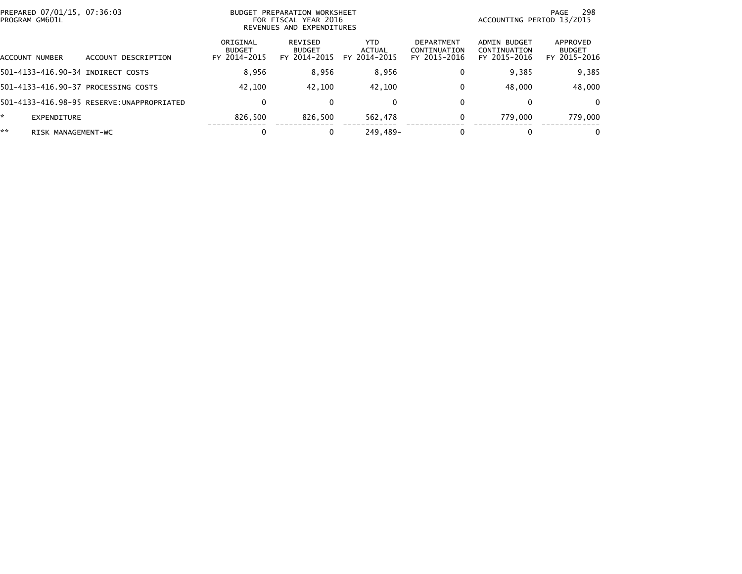| PROGRAM GM601L    | PREPARED 07/01/15, 07:36:03                | BUDGET PREPARATION WORKSHEET<br>ACCOUNTING PERIOD 13/2015<br>FOR FISCAL YEAR 2016<br>REVENUES AND EXPENDITURES |                                          |                                |                                            |                                              |                                           |
|-------------------|--------------------------------------------|----------------------------------------------------------------------------------------------------------------|------------------------------------------|--------------------------------|--------------------------------------------|----------------------------------------------|-------------------------------------------|
| ACCOUNT NUMBER    | DESCRIPTION<br>ACCOUNT                     | ORIGINAL<br><b>BUDGET</b><br>FY 2014-2015                                                                      | REVISED<br><b>BUDGET</b><br>FY 2014-2015 | YTD.<br>ACTUAL<br>FY 2014-2015 | DEPARTMENT<br>CONTINUATION<br>FY 2015-2016 | ADMIN BUDGET<br>CONTINUATION<br>FY 2015-2016 | APPROVED<br><b>BUDGET</b><br>FY 2015-2016 |
|                   | 501-4133-416.90-34 INDIRECT COSTS          | 8,956                                                                                                          | 8,956                                    | 8,956                          | 0                                          | 9,385                                        | 9,385                                     |
|                   | 501-4133-416.90-37 PROCESSING COSTS        | 42.100                                                                                                         | 42.100                                   | 42.100                         | 0                                          | 48,000                                       | 48,000                                    |
|                   | 501-4133-416.98-95 RESERVE: UNAPPROPRIATED | 0                                                                                                              |                                          | $\mathbf{0}$                   | 0                                          | 0                                            | $\Omega$                                  |
| ÷.<br>EXPENDITURE |                                            | 826.500                                                                                                        | 826.500                                  | 562.478                        | 0                                          | 779,000                                      | 779.000                                   |
| **                | RISK MANAGEMENT-WC                         | 0                                                                                                              |                                          | 249.489-                       |                                            | 0                                            | $\bf{0}$                                  |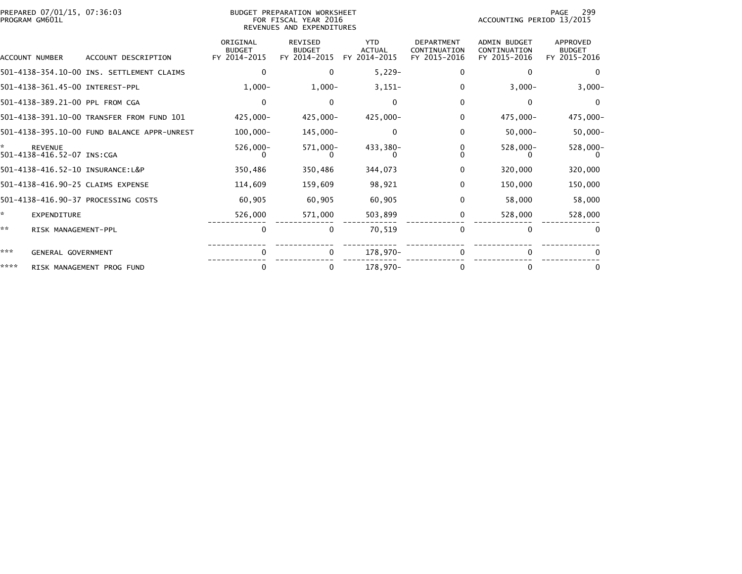| PREPARED 07/01/15, 07:36:03<br><b>BUDGET PREPARATION WORKSHEET</b><br>FOR FISCAL YEAR 2016<br>PROGRAM GM601L<br>REVENUES AND EXPENDITURES |                                       |                                             |                                           |                                                 |                                             | 299<br>PAGE<br>ACCOUNTING PERIOD 13/2015          |                                                     |                                           |
|-------------------------------------------------------------------------------------------------------------------------------------------|---------------------------------------|---------------------------------------------|-------------------------------------------|-------------------------------------------------|---------------------------------------------|---------------------------------------------------|-----------------------------------------------------|-------------------------------------------|
|                                                                                                                                           | ACCOUNT NUMBER                        | ACCOUNT DESCRIPTION                         | ORIGINAL<br><b>BUDGET</b><br>FY 2014-2015 | <b>REVISED</b><br><b>BUDGET</b><br>FY 2014-2015 | <b>YTD</b><br><b>ACTUAL</b><br>FY 2014-2015 | <b>DEPARTMENT</b><br>CONTINUATION<br>FY 2015-2016 | <b>ADMIN BUDGET</b><br>CONTINUATION<br>FY 2015-2016 | APPROVED<br><b>BUDGET</b><br>FY 2015-2016 |
|                                                                                                                                           |                                       |                                             |                                           |                                                 |                                             |                                                   |                                                     |                                           |
|                                                                                                                                           |                                       | 501-4138-354.10-00 INS. SETTLEMENT CLAIMS   | 0                                         | $\bf{0}$                                        | $5,229-$                                    | 0                                                 | 0                                                   | $\Omega$                                  |
|                                                                                                                                           |                                       | 501-4138-361.45-00 INTEREST-PPL             | $1,000-$                                  | $1,000-$                                        | $3,151-$                                    | 0                                                 | $3,000-$                                            | $3,000-$                                  |
|                                                                                                                                           |                                       | 501-4138-389.21-00 PPL FROM CGA             | $\mathbf{0}$                              | $\Omega$                                        | $\Omega$                                    | 0                                                 | 0                                                   | $\Omega$                                  |
|                                                                                                                                           |                                       | 501-4138-391.10-00 TRANSFER FROM FUND 101   | 425,000-                                  | $425,000 -$                                     | 425,000-                                    | 0                                                 | 475,000-                                            | 475,000-                                  |
|                                                                                                                                           |                                       | 501-4138-395.10-00 FUND BALANCE APPR-UNREST | $100,000 -$                               | 145,000-                                        | $\Omega$                                    | 0                                                 | $50,000 -$                                          | $50,000 -$                                |
| ÷.                                                                                                                                        | REVENUE<br>501-4138-416.52-07 INS:CGA |                                             | 526,000-                                  | $571,000 -$                                     | 433,380-                                    | 0                                                 | $528,000 -$                                         | 528,000-                                  |
|                                                                                                                                           |                                       | 501-4138-416.52-10 INSURANCE:L&P            | 350,486                                   | 350,486                                         | 344,073                                     | 0                                                 | 320,000                                             | 320,000                                   |
|                                                                                                                                           |                                       | 501-4138-416.90-25 CLAIMS EXPENSE           | 114,609                                   | 159,609                                         | 98,921                                      | 0                                                 | 150,000                                             | 150,000                                   |
|                                                                                                                                           |                                       | 501-4138-416.90-37 PROCESSING COSTS         | 60,905                                    | 60,905                                          | 60,905                                      | 0                                                 | 58,000                                              | 58,000                                    |
| ÷.                                                                                                                                        | <b>EXPENDITURE</b>                    |                                             | 526,000                                   | 571,000                                         | 503,899                                     | 0                                                 | 528,000                                             | 528,000                                   |
| **                                                                                                                                        | RISK MANAGEMENT-PPL                   |                                             | 0                                         |                                                 | 70,519                                      | $\Omega$                                          | 0                                                   |                                           |
| ***                                                                                                                                       | GENERAL GOVERNMENT                    |                                             | $\Omega$                                  |                                                 | 178,970-                                    |                                                   |                                                     |                                           |
| ****                                                                                                                                      |                                       | RISK MANAGEMENT PROG FUND                   | 0                                         |                                                 | 178,970-                                    |                                                   | 0                                                   |                                           |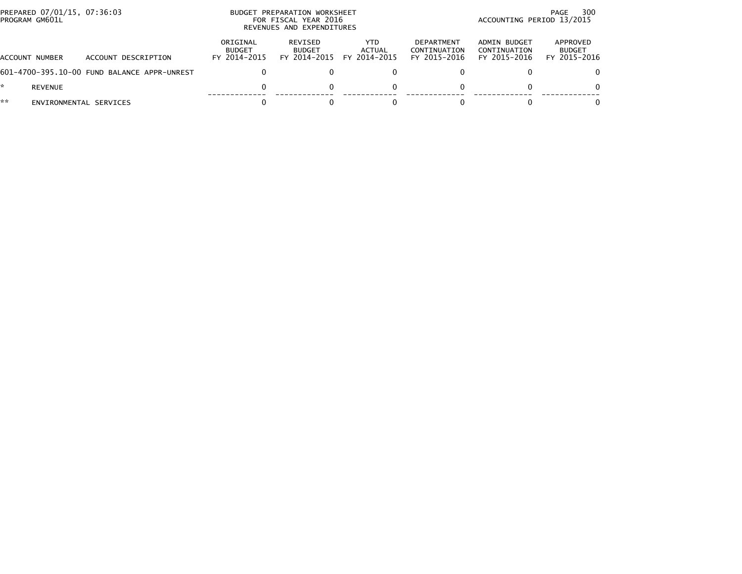|    | PREPARED 07/01/15, 07:36:03<br>PROGRAM GM601L |                                             | PREPARATION WORKSHEET<br><b>BUDGET</b><br>FOR FISCAL YEAR 2016<br>REVENUES AND EXPENDITURES |                                                 |                                |                                            | 300<br>PAGE<br>ACCOUNTING PERIOD 13/2015     |                                           |  |
|----|-----------------------------------------------|---------------------------------------------|---------------------------------------------------------------------------------------------|-------------------------------------------------|--------------------------------|--------------------------------------------|----------------------------------------------|-------------------------------------------|--|
|    | ACCOUNT NUMBER                                | ACCOUNT DESCRIPTION                         | ORIGINAL<br><b>BUDGET</b><br>FY 2014-2015                                                   | <b>REVISED</b><br><b>BUDGET</b><br>FY 2014-2015 | YTD.<br>ACTUAL<br>FY 2014-2015 | DEPARTMENT<br>CONTINUATION<br>FY 2015-2016 | ADMIN BUDGET<br>CONTINUATION<br>FY 2015-2016 | APPROVED<br><b>BUDGET</b><br>FY 2015-2016 |  |
|    |                                               | 601-4700-395.10-00 FUND BALANCE APPR-UNREST |                                                                                             |                                                 |                                |                                            |                                              | 0                                         |  |
| *. | REVENUE                                       |                                             |                                                                                             |                                                 |                                |                                            |                                              | $\Omega$                                  |  |
| ** | ENVIRONMENTAL SERVICES                        |                                             |                                                                                             |                                                 |                                |                                            |                                              | 0                                         |  |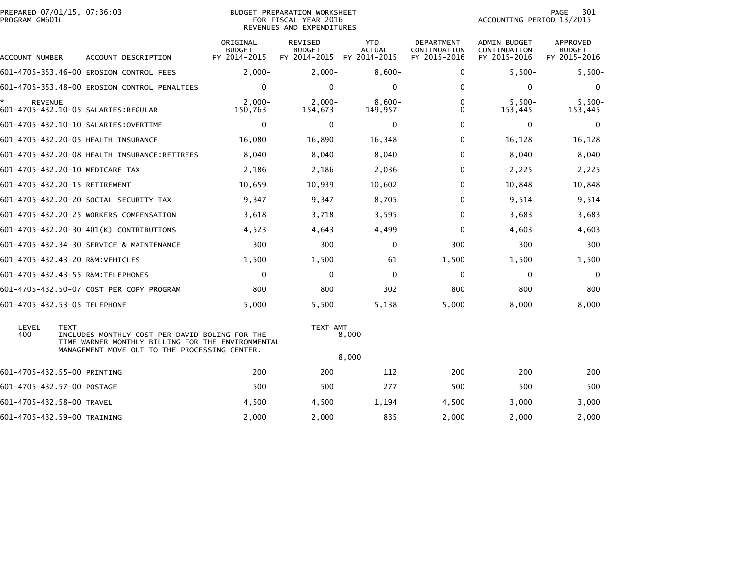| PREPARED 07/01/15, 07:36:03<br>PROGRAM GM601L | BUDGET PREPARATION WORKSHEET<br>FOR FISCAL YEAR 2016<br>REVENUES AND EXPENDITURES                                                                                   |                                           |                                                 |                                             |                                                   | PAGE<br>301<br>ACCOUNTING PERIOD 13/2015     |                                           |  |
|-----------------------------------------------|---------------------------------------------------------------------------------------------------------------------------------------------------------------------|-------------------------------------------|-------------------------------------------------|---------------------------------------------|---------------------------------------------------|----------------------------------------------|-------------------------------------------|--|
| ACCOUNT NUMBER                                | ACCOUNT DESCRIPTION                                                                                                                                                 | ORIGINAL<br><b>BUDGET</b><br>FY 2014-2015 | <b>REVISED</b><br><b>BUDGET</b><br>FY 2014-2015 | <b>YTD</b><br><b>ACTUAL</b><br>FY 2014-2015 | <b>DEPARTMENT</b><br>CONTINUATION<br>FY 2015-2016 | ADMIN BUDGET<br>CONTINUATION<br>FY 2015-2016 | APPROVED<br><b>BUDGET</b><br>FY 2015-2016 |  |
|                                               | 601-4705-353.46-00 EROSION CONTROL FEES                                                                                                                             | $2,000-$                                  | $2,000-$                                        | $8,600-$                                    | 0                                                 | $5,500-$                                     | $5,500-$                                  |  |
|                                               | 601-4705-353.48-00 EROSION CONTROL PENALTIES                                                                                                                        | 0                                         | $\mathbf{0}$                                    | $\mathbf{0}$                                | 0                                                 | $\mathbf 0$                                  | $\mathbf 0$                               |  |
| *<br><b>REVENUE</b>                           | 601-4705-432.10-05 SALARIES:REGULAR                                                                                                                                 | $2.000 -$<br>150,763                      | $2.000 -$<br>154,673                            | $8,600-$<br>149,957                         | 0<br>0                                            | $5,500-$<br>153,445                          | $5,500-$<br>153,445                       |  |
|                                               | 601-4705-432.10-10 SALARIES:OVERTIME                                                                                                                                | 0                                         | $\mathbf{0}$                                    | $\Omega$                                    | 0                                                 | 0                                            | 0                                         |  |
|                                               | 601-4705-432.20-05 HEALTH INSURANCE                                                                                                                                 | 16,080                                    | 16,890                                          | 16,348                                      | 0                                                 | 16,128                                       | 16,128                                    |  |
|                                               |                                                                                                                                                                     | 8,040                                     | 8,040                                           | 8,040                                       | 0                                                 | 8,040                                        | 8,040                                     |  |
|                                               | 601-4705-432.20-10 MEDICARE TAX                                                                                                                                     | 2,186                                     | 2,186                                           | 2,036                                       | 0                                                 | 2,225                                        | 2,225                                     |  |
|                                               | 601-4705-432.20-15 RETIREMENT                                                                                                                                       | 10,659                                    | 10,939                                          | 10,602                                      | 0                                                 | 10,848                                       | 10,848                                    |  |
|                                               | 601-4705-432.20-20 SOCIAL SECURITY TAX                                                                                                                              | 9,347                                     | 9,347                                           | 8,705                                       | $\Omega$                                          | 9,514                                        | 9,514                                     |  |
|                                               | 601-4705-432.20-25 WORKERS COMPENSATION                                                                                                                             | 3,618                                     | 3,718                                           | 3,595                                       | 0                                                 | 3,683                                        | 3,683                                     |  |
|                                               | 601-4705-432.20-30 401(K) CONTRIBUTIONS                                                                                                                             | 4,523                                     | 4,643                                           | 4,499                                       | 0                                                 | 4,603                                        | 4,603                                     |  |
|                                               | 601-4705-432.34-30 SERVICE & MAINTENANCE                                                                                                                            | 300                                       | 300                                             | 0                                           | 300                                               | 300                                          | 300                                       |  |
|                                               | 601-4705-432.43-20 R&M:VEHICLES                                                                                                                                     | 1,500                                     | 1,500                                           | 61                                          | 1,500                                             | 1,500                                        | 1,500                                     |  |
|                                               | 601-4705-432.43-55 R&M:TELEPHONES                                                                                                                                   | 0                                         | $\mathbf{0}$                                    | $\mathbf{0}$                                | $\Omega$                                          | $\mathbf 0$                                  | $\mathbf 0$                               |  |
|                                               | 601-4705-432.50-07 COST PER COPY PROGRAM                                                                                                                            | 800                                       | 800                                             | 302                                         | 800                                               | 800                                          | 800                                       |  |
|                                               | 601-4705-432.53-05 TELEPHONE                                                                                                                                        | 5,000                                     | 5,500                                           | 5,138                                       | 5,000                                             | 8,000                                        | 8,000                                     |  |
| LEVEL<br>400                                  | <b>TEXT</b><br>INCLUDES MONTHLY COST PER DAVID BOLING FOR THE<br>TIME WARNER MONTHLY BILLING FOR THE ENVIRONMENTAL<br>MANAGEMENT MOVE OUT TO THE PROCESSING CENTER. |                                           | TEXT AMT                                        | 8,000<br>8,000                              |                                                   |                                              |                                           |  |
| 601-4705-432.55-00 PRINTING                   |                                                                                                                                                                     | 200                                       | 200                                             | 112                                         | 200                                               | 200                                          | 200                                       |  |
| 601-4705-432.57-00 POSTAGE                    |                                                                                                                                                                     | 500                                       | 500                                             | 277                                         | 500                                               | 500                                          | 500                                       |  |
| 601-4705-432.58-00 TRAVEL                     |                                                                                                                                                                     | 4,500                                     | 4,500                                           | 1,194                                       | 4,500                                             | 3,000                                        | 3,000                                     |  |
| 601-4705-432.59-00 TRAINING                   |                                                                                                                                                                     | 2,000                                     | 2,000                                           | 835                                         | 2,000                                             | 2,000                                        | 2,000                                     |  |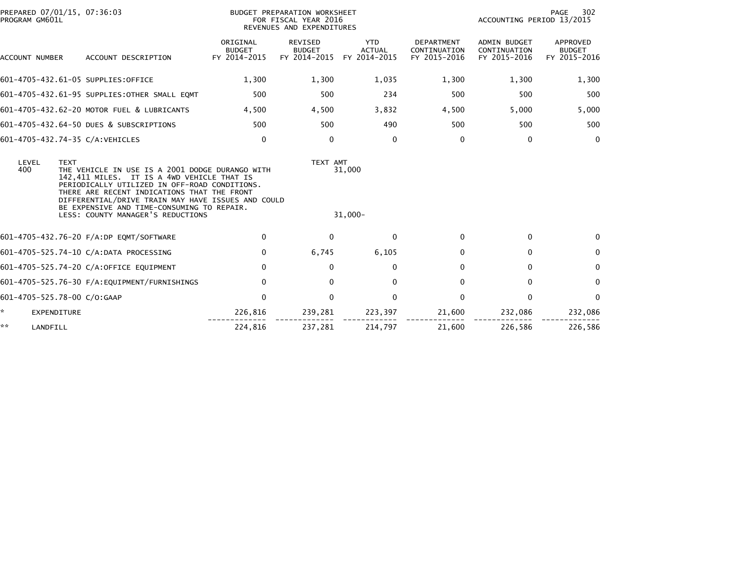| PREPARED 07/01/15, 07:36:03<br>PROGRAM GM601L                                                                                                                                                                                                                                                                                    |                                               | BUDGET PREPARATION WORKSHEET<br>FOR FISCAL YEAR 2016<br>REVENUES AND EXPENDITURES |                                          |                                             |                                                   | PAGE<br>302<br>ACCOUNTING PERIOD 13/2015            |                                           |  |
|----------------------------------------------------------------------------------------------------------------------------------------------------------------------------------------------------------------------------------------------------------------------------------------------------------------------------------|-----------------------------------------------|-----------------------------------------------------------------------------------|------------------------------------------|---------------------------------------------|---------------------------------------------------|-----------------------------------------------------|-------------------------------------------|--|
| ACCOUNT NUMBER                                                                                                                                                                                                                                                                                                                   | ACCOUNT DESCRIPTION                           | ORIGINAL<br><b>BUDGET</b><br>FY 2014-2015                                         | REVISED<br><b>BUDGET</b><br>FY 2014-2015 | <b>YTD</b><br><b>ACTUAL</b><br>FY 2014-2015 | <b>DEPARTMENT</b><br>CONTINUATION<br>FY 2015-2016 | <b>ADMIN BUDGET</b><br>CONTINUATION<br>FY 2015-2016 | APPROVED<br><b>BUDGET</b><br>FY 2015-2016 |  |
| 601-4705-432.61-05 SUPPLIES:OFFICE                                                                                                                                                                                                                                                                                               |                                               | 1,300                                                                             | 1,300                                    | 1,035                                       | 1,300                                             | 1,300                                               | 1,300                                     |  |
|                                                                                                                                                                                                                                                                                                                                  | 601-4705-432.61-95 SUPPLIES: OTHER SMALL EQMT | 500                                                                               | 500                                      | 234                                         | 500                                               | 500                                                 | 500                                       |  |
|                                                                                                                                                                                                                                                                                                                                  | 601-4705-432.62-20 MOTOR FUEL & LUBRICANTS    | 4,500                                                                             | 4,500                                    | 3,832                                       | 4,500                                             | 5,000                                               | 5,000                                     |  |
|                                                                                                                                                                                                                                                                                                                                  | 601-4705-432.64-50 DUES & SUBSCRIPTIONS       | 500                                                                               | 500                                      | 490                                         | 500                                               | 500                                                 | 500                                       |  |
| 601-4705-432.74-35 C/A:VEHICLES                                                                                                                                                                                                                                                                                                  |                                               | $\mathbf 0$                                                                       | $\Omega$                                 | $\Omega$                                    | $\Omega$                                          | $\mathbf{0}$                                        | $\mathbf{0}$                              |  |
| LEVEL<br><b>TEXT</b><br>400<br>THE VEHICLE IN USE IS A 2001 DODGE DURANGO WITH<br>142,411 MILES. IT IS A 4WD VEHICLE THAT IS<br>PERIODICALLY UTILIZED IN OFF-ROAD CONDITIONS.<br>THERE ARE RECENT INDICATIONS THAT THE FRONT<br>DIFFERENTIAL/DRIVE TRAIN MAY HAVE ISSUES AND COULD<br>BE EXPENSIVE AND TIME-CONSUMING TO REPAIR. |                                               |                                                                                   | TEXT AMT                                 | 31,000                                      |                                                   |                                                     |                                           |  |
|                                                                                                                                                                                                                                                                                                                                  | LESS: COUNTY MANAGER'S REDUCTIONS             |                                                                                   |                                          | $31,000 -$                                  |                                                   |                                                     |                                           |  |
|                                                                                                                                                                                                                                                                                                                                  | 601-4705-432.76-20 F/A:DP EQMT/SOFTWARE       | 0                                                                                 | $\Omega$                                 | $\Omega$                                    | 0                                                 | $\Omega$                                            | $\mathbf 0$                               |  |
|                                                                                                                                                                                                                                                                                                                                  | 601-4705-525.74-10 C/A:DATA PROCESSING        | 0                                                                                 | 6,745                                    | 6,105                                       | $\Omega$                                          | $\Omega$                                            | $\mathbf{0}$                              |  |
|                                                                                                                                                                                                                                                                                                                                  | 601-4705-525.74-20 C/A:OFFICE EQUIPMENT       | 0                                                                                 | 0                                        | 0                                           | 0                                                 | 0                                                   | $\mathbf{0}$                              |  |
|                                                                                                                                                                                                                                                                                                                                  | 601-4705-525.76-30 F/A:EQUIPMENT/FURNISHINGS  | $\mathbf 0$                                                                       | $\Omega$                                 | $\mathbf{0}$                                | $\Omega$                                          | $\Omega$                                            | $\mathbf{0}$                              |  |
| 601-4705-525.78-00 C/O:GAAP                                                                                                                                                                                                                                                                                                      |                                               | $\mathbf{0}$                                                                      | $\mathbf{0}$                             | $\Omega$                                    | 0                                                 | $\Omega$                                            | $\mathbf{0}$                              |  |
| ×.<br>EXPENDITURE                                                                                                                                                                                                                                                                                                                |                                               | 226,816                                                                           | 239,281                                  | 223,397                                     | 21,600                                            | 232,086                                             | 232,086                                   |  |
| **<br>LANDFILL                                                                                                                                                                                                                                                                                                                   |                                               | 224,816                                                                           | 237,281                                  | 214,797                                     | 21,600                                            | 226,586                                             | 226,586                                   |  |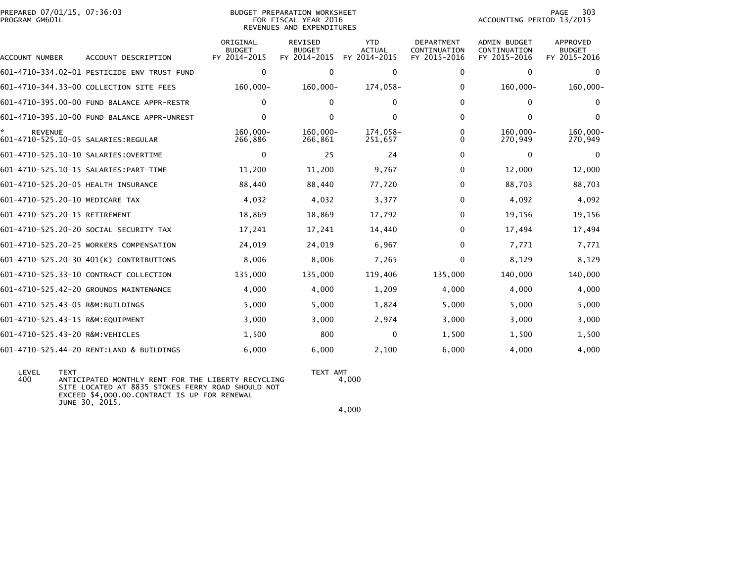|                | PREPARED 07/01/15, 07:36:03 |  |
|----------------|-----------------------------|--|
| PROGRAM GM601L |                             |  |

## PODGET PREPARATION WORKSHEET A SUDGET PREPARATION WORKSHEET FOR FISCAL YEAR 2016 PROGRAM GM601L FOR FISCAL YEAR 2016 ACCOUNTING PERIOD 13/2015REVENUES AND EXPENDITURES

| ACCOUNT NUMBER                                         | ACCOUNT DESCRIPTION                         | ORIGINAL<br><b>BUDGET</b><br>FY 2014-2015 | <b>REVISED</b><br><b>BUDGET</b><br>FY 2014-2015 | <b>YTD</b><br><b>ACTUAL</b><br>FY 2014-2015 | <b>DEPARTMENT</b><br>CONTINUATION<br>FY 2015-2016 | <b>ADMIN BUDGET</b><br>CONTINUATION<br>FY 2015-2016 | APPROVED<br><b>BUDGET</b><br>FY 2015-2016 |
|--------------------------------------------------------|---------------------------------------------|-------------------------------------------|-------------------------------------------------|---------------------------------------------|---------------------------------------------------|-----------------------------------------------------|-------------------------------------------|
|                                                        | 601-4710-334.02-01 PESTICIDE ENV TRUST FUND | 0                                         | $\Omega$                                        | $\mathbf{0}$                                | 0                                                 | $\mathbf{0}$                                        | $\Omega$                                  |
|                                                        | 601-4710-344.33-00 COLLECTION SITE FEES     | 160,000-                                  | $160,000 -$                                     | 174,058-                                    | 0                                                 | $160,000 -$                                         | $160,000 -$                               |
|                                                        | 601-4710-395.00-00 FUND BALANCE APPR-RESTR  | $\Omega$                                  | $\Omega$                                        | $\Omega$                                    | 0                                                 | $\Omega$                                            | $\Omega$                                  |
|                                                        | 601-4710-395.10-00 FUND BALANCE APPR-UNREST | $\Omega$                                  | $\Omega$                                        | $\mathbf{0}$                                | $\Omega$                                          | $\Omega$                                            | $\Omega$                                  |
| <b>REVENUE</b><br>601-4710-525.10-05 SALARIES: REGULAR |                                             | $160.000 -$<br>266,886                    | $160.000 -$<br>266,861                          | 174,058-<br>251,657                         | 0<br>0                                            | $160.000 -$<br>270,949                              | 160,000-<br>270,949                       |
| 601-4710-525.10-10 SALARIES: OVERTIME                  |                                             | $\mathbf{0}$                              | 25                                              | 24                                          | 0                                                 | $\mathbf{0}$                                        | $\Omega$                                  |
| 601-4710-525.10-15 SALARIES: PART-TIME                 |                                             | 11,200                                    | 11,200                                          | 9,767                                       | 0                                                 | 12,000                                              | 12,000                                    |
| 601-4710-525.20-05 HEALTH INSURANCE                    |                                             | 88,440                                    | 88,440                                          | 77,720                                      | 0                                                 | 88,703                                              | 88,703                                    |
| 601-4710-525.20-10 MEDICARE TAX                        |                                             | 4,032                                     | 4,032                                           | 3,377                                       | 0                                                 | 4,092                                               | 4,092                                     |
| 601-4710-525.20-15 RETIREMENT                          |                                             | 18,869                                    | 18,869                                          | 17,792                                      | 0                                                 | 19,156                                              | 19,156                                    |
|                                                        | 601-4710-525.20-20 SOCIAL SECURITY TAX      | 17,241                                    | 17,241                                          | 14,440                                      | 0                                                 | 17,494                                              | 17,494                                    |
|                                                        | 601-4710-525.20-25 WORKERS COMPENSATION     | 24,019                                    | 24,019                                          | 6,967                                       | $\Omega$                                          | 7,771                                               | 7,771                                     |
|                                                        | 601-4710-525.20-30 401(K) CONTRIBUTIONS     | 8,006                                     | 8,006                                           | 7,265                                       | 0                                                 | 8,129                                               | 8,129                                     |
|                                                        | 601-4710-525.33-10 CONTRACT COLLECTION      | 135,000                                   | 135,000                                         | 119,406                                     | 135,000                                           | 140,000                                             | 140,000                                   |
|                                                        | 601-4710-525.42-20 GROUNDS MAINTENANCE      | 4,000                                     | 4,000                                           | 1,209                                       | 4,000                                             | 4,000                                               | 4,000                                     |
| 601-4710-525.43-05 R&M:BUILDINGS                       |                                             | 5,000                                     | 5,000                                           | 1,824                                       | 5,000                                             | 5,000                                               | 5,000                                     |
| 601-4710-525.43-15 R&M:EQUIPMENT                       |                                             | 3,000                                     | 3,000                                           | 2,974                                       | 3,000                                             | 3,000                                               | 3,000                                     |
| 601-4710-525.43-20 R&M: VEHICLES                       |                                             | 1,500                                     | 800                                             | 0                                           | 1,500                                             | 1,500                                               | 1,500                                     |
|                                                        | 601-4710-525.44-20 RENT:LAND & BUILDINGS    | 6,000                                     | 6,000                                           | 2,100                                       | 6,000                                             | 4,000                                               | 4,000                                     |

LEVEL TEXT AMT<br>400 ANTICIPATED MONTHLY RENT FOR THE LIBERTY RECYCLING 4.0 ANTICIPATED MONTHLY RENT FOR THE LIBERTY RECYCLING SITE LOCATED AT 8835 STOKES FERRY ROAD SHOULD NOT EXCEED \$4,OOO.OO.CONTRACT IS UP FOR RENEWAL JUNE 30, 2015.

 $4,000$ 

4,000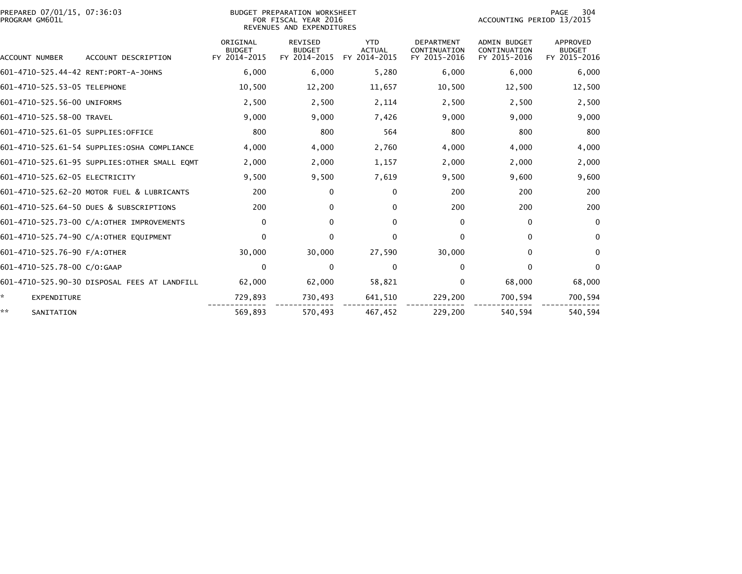| PREPARED 07/01/15, 07:36:03<br>PROGRAM GM601L |                                               | BUDGET PREPARATION WORKSHEET<br>FOR FISCAL YEAR 2016<br>REVENUES AND EXPENDITURES |                                                 |                                             |                                                   | 304<br>PAGE<br>ACCOUNTING PERIOD 13/2015     |                                           |  |
|-----------------------------------------------|-----------------------------------------------|-----------------------------------------------------------------------------------|-------------------------------------------------|---------------------------------------------|---------------------------------------------------|----------------------------------------------|-------------------------------------------|--|
| <b>ACCOUNT NUMBER</b>                         | ACCOUNT DESCRIPTION                           | ORIGINAL<br><b>BUDGET</b><br>FY 2014-2015                                         | <b>REVISED</b><br><b>BUDGET</b><br>FY 2014-2015 | <b>YTD</b><br><b>ACTUAL</b><br>FY 2014-2015 | <b>DEPARTMENT</b><br>CONTINUATION<br>FY 2015-2016 | ADMIN BUDGET<br>CONTINUATION<br>FY 2015-2016 | APPROVED<br><b>BUDGET</b><br>FY 2015-2016 |  |
| 601-4710-525.44-42 RENT:PORT-A-JOHNS          |                                               | 6.000                                                                             | 6,000                                           | 5,280                                       | 6,000                                             | 6,000                                        | 6,000                                     |  |
| 601-4710-525.53-05 TELEPHONE                  |                                               | 10,500                                                                            | 12,200                                          | 11,657                                      | 10,500                                            | 12,500                                       | 12,500                                    |  |
| 601-4710-525.56-00 UNIFORMS                   |                                               | 2,500                                                                             | 2,500                                           | 2,114                                       | 2,500                                             | 2,500                                        | 2,500                                     |  |
| 601-4710-525.58-00 TRAVEL                     |                                               | 9,000                                                                             | 9,000                                           | 7,426                                       | 9,000                                             | 9,000                                        | 9,000                                     |  |
| 601-4710-525.61-05 SUPPLIES:OFFICE            |                                               | 800                                                                               | 800                                             | 564                                         | 800                                               | 800                                          | 800                                       |  |
|                                               | 601-4710-525.61-54 SUPPLIES:0SHA COMPLIANCE   | 4,000                                                                             | 4,000                                           | 2,760                                       | 4,000                                             | 4,000                                        | 4,000                                     |  |
|                                               | 601-4710-525.61-95 SUPPLIES: OTHER SMALL EQMT | 2,000                                                                             | 2,000                                           | 1,157                                       | 2,000                                             | 2,000                                        | 2,000                                     |  |
| 601-4710-525.62-05 ELECTRICITY                |                                               | 9,500                                                                             | 9,500                                           | 7,619                                       | 9,500                                             | 9,600                                        | 9,600                                     |  |
|                                               | 601-4710-525.62-20 MOTOR FUEL & LUBRICANTS    | 200                                                                               | 0                                               | $\mathbf{0}$                                | 200                                               | 200                                          | 200                                       |  |
|                                               | 601-4710-525.64-50 DUES & SUBSCRIPTIONS       | 200                                                                               | 0                                               | $\Omega$                                    | 200                                               | 200                                          | 200                                       |  |
|                                               | 601-4710-525.73-00 C/A:OTHER IMPROVEMENTS     | $\mathbf 0$                                                                       | $\mathbf{0}$                                    | $\mathbf{0}$                                | 0                                                 | $\Omega$                                     | $\mathbf{0}$                              |  |
|                                               | 601-4710-525.74-90 C/A:OTHER EQUIPMENT        | $\Omega$                                                                          | $\mathbf{0}$                                    | $\mathbf{0}$                                | 0                                                 | $\mathbf{0}$                                 | $\mathbf{0}$                              |  |
| 601-4710-525.76-90 F/A:OTHER                  |                                               | 30,000                                                                            | 30,000                                          | 27,590                                      | 30,000                                            | $\Omega$                                     | $\Omega$                                  |  |
| 601-4710-525.78-00 C/O:GAAP                   |                                               | $\mathbf 0$                                                                       | $\mathbf{0}$                                    | $\mathbf{0}$                                | 0                                                 | $\Omega$                                     | $\mathbf{0}$                              |  |
|                                               | 601-4710-525.90-30 DISPOSAL FEES AT LANDFILL  | 62,000                                                                            | 62,000                                          | 58,821                                      | 0                                                 | 68,000                                       | 68,000                                    |  |
| *<br><b>EXPENDITURE</b>                       |                                               | 729,893                                                                           | 730,493                                         | 641,510                                     | 229,200                                           | 700,594                                      | 700,594                                   |  |
| **<br>SANITATION                              |                                               | 569,893                                                                           | 570,493                                         | 467,452                                     | 229,200                                           | 540,594                                      | 540,594                                   |  |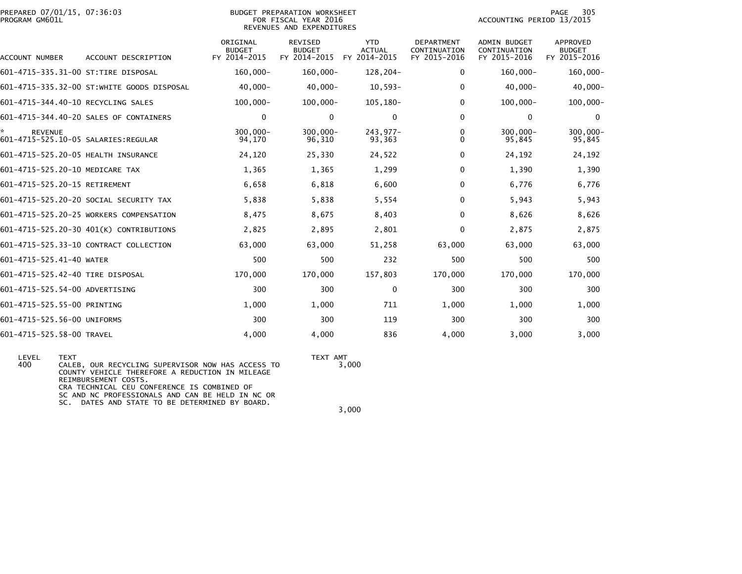| PREPARED 07/01/15, 07:36:03<br>PROGRAM GM601L          |                                            | 305<br>PAGE<br>ACCOUNTING PERIOD 13/2015  |                                                 |                                             |                                                          |                                                     |                                                  |
|--------------------------------------------------------|--------------------------------------------|-------------------------------------------|-------------------------------------------------|---------------------------------------------|----------------------------------------------------------|-----------------------------------------------------|--------------------------------------------------|
| <b>ACCOUNT NUMBER</b>                                  | ACCOUNT DESCRIPTION                        | ORIGINAL<br><b>BUDGET</b><br>FY 2014-2015 | <b>REVISED</b><br><b>BUDGET</b><br>FY 2014-2015 | <b>YTD</b><br><b>ACTUAL</b><br>FY 2014-2015 | <b>DEPARTMENT</b><br><b>CONTINUATION</b><br>FY 2015-2016 | <b>ADMIN BUDGET</b><br>CONTINUATION<br>FY 2015-2016 | <b>APPROVED</b><br><b>BUDGET</b><br>FY 2015-2016 |
| 601-4715-335.31-00 ST:TIRE DISPOSAL                    |                                            | $160,000 -$                               | $160,000 -$                                     | 128,204-                                    | 0                                                        | $160.000 -$                                         | $160,000 -$                                      |
|                                                        | 601-4715-335.32-00 ST:WHITE GOODS DISPOSAL | $40,000 -$                                | $40,000 -$                                      | $10,593-$                                   | 0                                                        | $40.000 -$                                          | $40,000 -$                                       |
| 601-4715-344.40-10 RECYCLING SALES                     |                                            | $100,000 -$                               | $100,000 -$                                     | 105,180-                                    | $\Omega$                                                 | $100,000 -$                                         | $100,000 -$                                      |
|                                                        | 601-4715-344.40-20 SALES OF CONTAINERS     | $\mathbf{0}$                              | $\mathbf{0}$                                    | $\mathbf{0}$                                | 0                                                        | $\mathbf{0}$                                        | 0                                                |
| <b>REVENUE</b><br>601-4715-525.10-05 SALARIES: REGULAR |                                            | $300,000 -$<br>94,170                     | $300,000 -$<br>96,310                           | 243,977-<br>93,363                          | $\Omega$<br>0                                            | $300,000 -$<br>95,845                               | $300,000 -$<br>95,845                            |
| 601-4715-525.20-05 HEALTH INSURANCE                    |                                            | 24,120                                    | 25,330                                          | 24,522                                      | 0                                                        | 24,192                                              | 24,192                                           |
| 601-4715-525.20-10 MEDICARE TAX                        |                                            | 1,365                                     | 1,365                                           | 1,299                                       | 0                                                        | 1,390                                               | 1,390                                            |
| 601-4715-525.20-15 RETIREMENT                          |                                            | 6,658                                     | 6,818                                           | 6,600                                       | $\Omega$                                                 | 6,776                                               | 6,776                                            |
|                                                        | 601-4715-525.20-20 SOCIAL SECURITY TAX     | 5,838                                     | 5,838                                           | 5,554                                       | 0                                                        | 5,943                                               | 5,943                                            |
|                                                        | 601-4715-525.20-25 WORKERS COMPENSATION    | 8,475                                     | 8,675                                           | 8,403                                       | 0                                                        | 8,626                                               | 8,626                                            |
|                                                        | 601-4715-525.20-30 401(K) CONTRIBUTIONS    | 2,825                                     | 2,895                                           | 2,801                                       | $\mathbf{0}$                                             | 2,875                                               | 2,875                                            |
|                                                        | 601-4715-525.33-10 CONTRACT COLLECTION     | 63,000                                    | 63,000                                          | 51,258                                      | 63,000                                                   | 63,000                                              | 63,000                                           |
| 601-4715-525.41-40 WATER                               |                                            | 500                                       | 500                                             | 232                                         | 500                                                      | 500                                                 | 500                                              |
| 601-4715-525.42-40 TIRE DISPOSAL                       |                                            | 170,000                                   | 170,000                                         | 157,803                                     | 170,000                                                  | 170,000                                             | 170,000                                          |
| 601-4715-525.54-00 ADVERTISING                         |                                            | 300                                       | 300                                             | $\mathbf 0$                                 | 300                                                      | 300                                                 | 300                                              |
| 601-4715-525.55-00 PRINTING                            |                                            | 1,000                                     | 1,000                                           | 711                                         | 1,000                                                    | 1,000                                               | 1,000                                            |
| 601-4715-525.56-00 UNIFORMS                            |                                            | 300                                       | 300                                             | 119                                         | 300                                                      | 300                                                 | 300                                              |
| 601-4715-525.58-00 TRAVEL                              |                                            | 4,000                                     | 4,000                                           | 836                                         | 4,000                                                    | 3.000                                               | 3,000                                            |

 LEVEL TEXT TEXT AMT 400 CALEB, OUR RECYCLING SUPERVISOR NOW HAS ACCESS TO 3,000 COUNTY VEHICLE THEREFORE A REDUCTION IN MILEAGE REIMBURSEMENT COSTS. CRA TECHNICAL CEU CONFERENCE IS COMBINED OF SC AND NC PROFESSIONALS AND CAN BE HELD IN NC ORSC. DATES AND STATE TO BE DETERMINED BY BOARD.

 $3,000$ 

3,000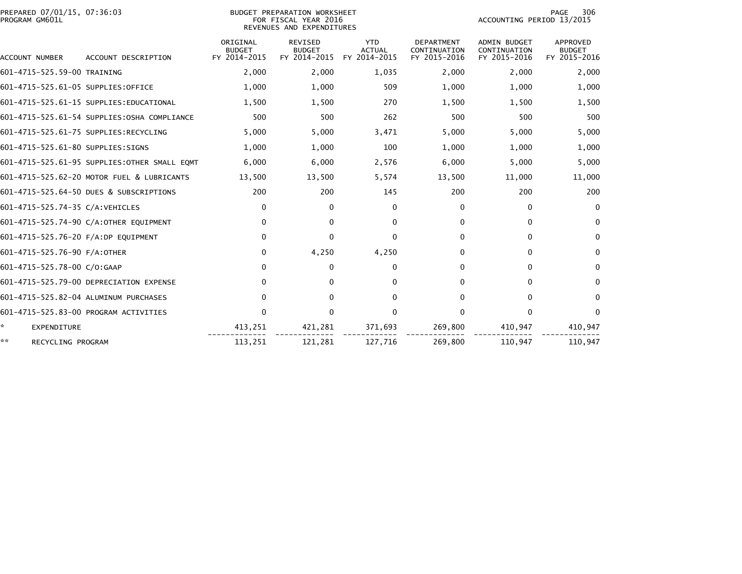| PREPARED 07/01/15, 07:36:03<br>PROGRAM GM601L |                                               | <b>BUDGET PREPARATION WORKSHEET</b><br>FOR FISCAL YEAR 2016<br>REVENUES AND EXPENDITURES | 306<br>PAGE<br>ACCOUNTING PERIOD 13/2015        |                                             |                                                   |                                              |                                           |
|-----------------------------------------------|-----------------------------------------------|------------------------------------------------------------------------------------------|-------------------------------------------------|---------------------------------------------|---------------------------------------------------|----------------------------------------------|-------------------------------------------|
| ACCOUNT NUMBER                                | ACCOUNT DESCRIPTION                           | ORIGINAL<br><b>BUDGET</b><br>FY 2014-2015                                                | <b>REVISED</b><br><b>BUDGET</b><br>FY 2014-2015 | <b>YTD</b><br><b>ACTUAL</b><br>FY 2014-2015 | <b>DEPARTMENT</b><br>CONTINUATION<br>FY 2015-2016 | ADMIN BUDGET<br>CONTINUATION<br>FY 2015-2016 | APPROVED<br><b>BUDGET</b><br>FY 2015-2016 |
| 601-4715-525.59-00 TRAINING                   |                                               | 2,000                                                                                    | 2,000                                           | 1,035                                       | 2,000                                             | 2,000                                        | 2,000                                     |
| 601-4715-525.61-05 SUPPLIES:OFFICE            |                                               | 1,000                                                                                    | 1,000                                           | 509                                         | 1,000                                             | 1,000                                        | 1,000                                     |
|                                               | 601-4715-525.61-15 SUPPLIES: EDUCATIONAL      | 1,500                                                                                    | 1,500                                           | 270                                         | 1,500                                             | 1,500                                        | 1,500                                     |
|                                               | 601-4715-525.61-54 SUPPLIES:0SHA COMPLIANCE   | 500                                                                                      | 500                                             | 262                                         | 500                                               | 500                                          | 500                                       |
|                                               | 601-4715-525.61-75 SUPPLIES:RECYCLING         | 5,000                                                                                    | 5,000                                           | 3,471                                       | 5,000                                             | 5,000                                        | 5,000                                     |
| 601-4715-525.61-80 SUPPLIES:SIGNS             |                                               | 1,000                                                                                    | 1,000                                           | 100                                         | 1,000                                             | 1,000                                        | 1,000                                     |
|                                               | 601-4715-525.61-95 SUPPLIES: OTHER SMALL EQMT | 6,000                                                                                    | 6,000                                           | 2,576                                       | 6,000                                             | 5,000                                        | 5,000                                     |
|                                               | 601-4715-525.62-20 MOTOR FUEL & LUBRICANTS    | 13,500                                                                                   | 13,500                                          | 5,574                                       | 13,500                                            | 11,000                                       | 11,000                                    |
|                                               | 601-4715-525.64-50 DUES & SUBSCRIPTIONS       | 200                                                                                      | 200                                             | 145                                         | 200                                               | 200                                          | 200                                       |
| 601-4715-525.74-35 C/A:VEHICLES               |                                               | 0                                                                                        | $\mathbf{0}$                                    | $\mathbf{0}$                                | 0                                                 | 0                                            | $\mathbf{0}$                              |
|                                               | 601-4715-525.74-90 C/A:OTHER EQUIPMENT        | $\Omega$                                                                                 | 0                                               | $\Omega$                                    | 0                                                 | $\mathbf{0}$                                 | $\mathbf{0}$                              |
| 601-4715-525.76-20 F/A:DP EQUIPMENT           |                                               | $\mathbf{0}$                                                                             | $\Omega$                                        | $\Omega$                                    | 0                                                 | $\mathbf{0}$                                 | $\mathbf 0$                               |
| 601-4715-525.76-90 F/A:OTHER                  |                                               | 0                                                                                        | 4,250                                           | 4,250                                       | 0                                                 | $\mathbf 0$                                  | $\mathbf 0$                               |
| 601-4715-525.78-00 C/O:GAAP                   |                                               | 0                                                                                        | 0                                               | $\mathbf{0}$                                | 0                                                 | $\mathbf{0}$                                 | $\mathbf{0}$                              |
|                                               | 601-4715-525.79-00 DEPRECIATION EXPENSE       | $\Omega$                                                                                 | 0                                               | 0                                           | 0                                                 | $\mathbf{0}$                                 | $\mathbf{0}$                              |
|                                               | 601-4715-525.82-04 ALUMINUM PURCHASES         | 0                                                                                        | $\mathbf{0}$                                    | $\mathbf{0}$                                | 0                                                 | $\mathbf{0}$                                 | 0                                         |
|                                               | 601-4715-525.83-00 PROGRAM ACTIVITIES         | $\Omega$                                                                                 | $\Omega$                                        | $\mathbf{0}$                                | 0                                                 | $\mathbf{0}$                                 | $\mathbf{0}$                              |
| *<br>EXPENDITURE                              |                                               | 413,251                                                                                  | 421,281                                         | 371,693                                     | 269,800                                           | 410,947                                      | 410,947                                   |
| **<br>RECYCLING PROGRAM                       |                                               | 113,251                                                                                  | 121,281                                         | 127,716                                     | 269,800                                           | 110,947                                      | 110,947                                   |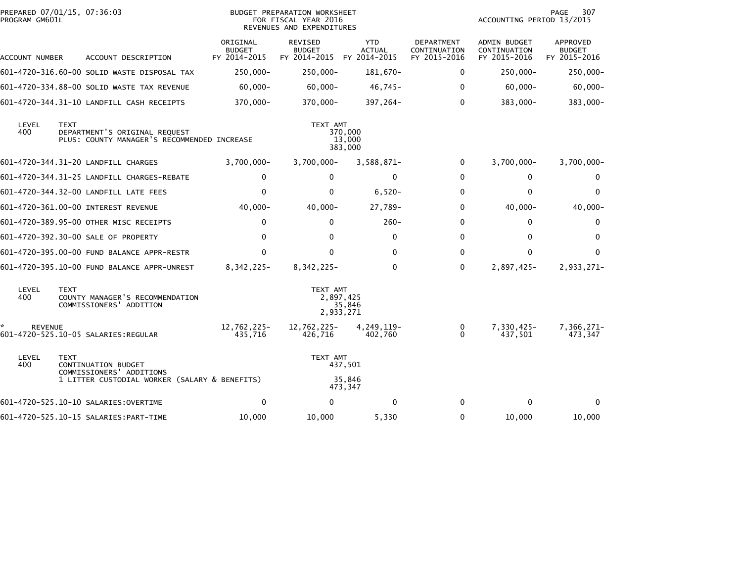| PROGRAM GM601L | PREPARED 07/01/15, 07:36:03                                                                 |                                           | BUDGET PREPARATION WORKSHEET<br>FOR FISCAL YEAR 2016<br>REVENUES AND EXPENDITURES |                                             |                                                   |                                              | 307<br><b>PAGE</b><br>ACCOUNTING PERIOD 13/2015 |  |  |
|----------------|---------------------------------------------------------------------------------------------|-------------------------------------------|-----------------------------------------------------------------------------------|---------------------------------------------|---------------------------------------------------|----------------------------------------------|-------------------------------------------------|--|--|
| ACCOUNT NUMBER | ACCOUNT DESCRIPTION                                                                         | ORIGINAL<br><b>BUDGET</b><br>FY 2014-2015 | <b>REVISED</b><br><b>BUDGET</b><br>FY 2014-2015                                   | <b>YTD</b><br><b>ACTUAL</b><br>FY 2014-2015 | <b>DEPARTMENT</b><br>CONTINUATION<br>FY 2015-2016 | ADMIN BUDGET<br>CONTINUATION<br>FY 2015-2016 | APPROVED<br><b>BUDGET</b><br>FY 2015-2016       |  |  |
|                | 601–4720–316.60–00 SOLID WASTE DISPOSAL TAX                                                 | $250,000 -$                               | $250,000 -$                                                                       | 181,670-                                    | $\mathbf{0}$                                      | 250,000-                                     | $250,000 -$                                     |  |  |
|                | 601-4720-334.88-00 SOLID WASTE TAX REVENUE                                                  | $60,000 -$                                | $60,000 -$                                                                        | $46,745-$                                   | $\mathbf{0}$                                      | $60,000 -$                                   | $60,000 -$                                      |  |  |
|                | 601-4720-344.31-10 LANDFILL CASH RECEIPTS                                                   | 370,000-                                  | 370,000-                                                                          | 397,264-                                    | $\mathbf{0}$                                      | 383,000-                                     | 383,000-                                        |  |  |
| LEVEL<br>400   | <b>TEXT</b><br>DEPARTMENT'S ORIGINAL REQUEST<br>PLUS: COUNTY MANAGER'S RECOMMENDED INCREASE |                                           | TEXT AMT                                                                          | 370,000<br>13,000<br>383,000                |                                                   |                                              |                                                 |  |  |
|                | 601-4720-344.31-20 LANDFILL CHARGES                                                         | $3,700,000 -$                             | 3,700,000-                                                                        | $3,588,871-$                                | 0                                                 | $3,700,000 -$                                | $3,700,000 -$                                   |  |  |
|                |                                                                                             | 0                                         | $\Omega$                                                                          | 0                                           | $\Omega$                                          | $\Omega$                                     | 0                                               |  |  |
|                | 601-4720-344.32-00 LANDFILL LATE FEES                                                       | 0                                         | 0                                                                                 | $6,520-$                                    | $\mathbf{0}$                                      | $\Omega$                                     | $\mathbf{0}$                                    |  |  |
|                | 601-4720-361.00-00 INTEREST REVENUE                                                         | $40,000 -$                                | $40,000 -$                                                                        | 27,789-                                     | $\mathbf{0}$                                      | $40,000 -$                                   | $40,000 -$                                      |  |  |
|                | 601-4720-389.95-00 OTHER MISC RECEIPTS                                                      | $\mathbf 0$                               | $\Omega$                                                                          | $260 -$                                     | $\Omega$                                          | $\Omega$                                     | 0                                               |  |  |
|                | 601-4720-392.30-00 SALE OF PROPERTY                                                         | $\mathbf{0}$                              | $\Omega$                                                                          | 0                                           | $\mathbf{0}$                                      | $\Omega$                                     | 0                                               |  |  |
|                | 601-4720-395.00-00 FUND BALANCE APPR-RESTR                                                  | 0                                         | $\Omega$                                                                          | $\Omega$                                    | $\Omega$                                          | $\Omega$                                     | $\mathbf{0}$                                    |  |  |
|                | 601-4720-395.10-00 FUND BALANCE APPR-UNREST                                                 | 8, 342, 225-                              | 8, 342, 225-                                                                      | $\mathbf 0$                                 | $\mathbf{0}$                                      | 2,897,425-                                   | 2,933,271-                                      |  |  |
| LEVEL<br>400   | <b>TEXT</b><br>COUNTY MANAGER'S RECOMMENDATION<br>COMMISSIONERS' ADDITION                   |                                           | TEXT AMT<br>2,897,425<br>2,933,271                                                | 35,846                                      |                                                   |                                              |                                                 |  |  |
| <b>REVENUE</b> | 601-4720-525.10-05 SALARIES:REGULAR                                                         | 12,762,225-<br>435,716                    | 12,762,225-<br>426,716                                                            | 4,249,119-<br>402,760                       | $\mathbf{0}$<br>$\Omega$                          | 7,330,425-<br>437,501                        | 7,366,271-<br>473,347                           |  |  |
| LEVEL<br>400   | <b>TEXT</b><br>CONTINUATION BUDGET                                                          |                                           | TEXT AMT                                                                          | 437,501                                     |                                                   |                                              |                                                 |  |  |
|                | COMMISSIONERS' ADDITIONS<br>1 LITTER CUSTODIAL WORKER (SALARY & BENEFITS)                   |                                           |                                                                                   | 35,846<br>473,347                           |                                                   |                                              |                                                 |  |  |
|                | 601-4720-525.10-10 SALARIES:OVERTIME                                                        | 0                                         | $\Omega$                                                                          | 0                                           | $\Omega$                                          | 0                                            | 0                                               |  |  |
|                |                                                                                             | 10,000                                    | 10,000                                                                            | 5,330                                       | 0                                                 | 10,000                                       | 10,000                                          |  |  |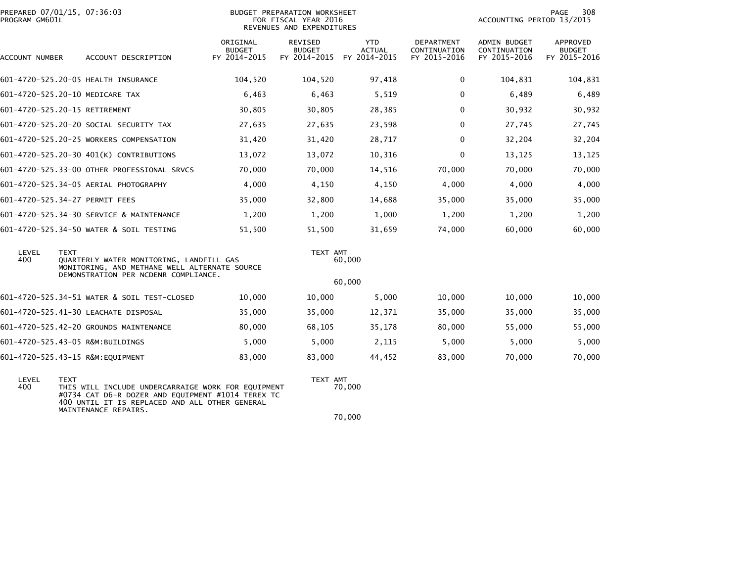| PREPARED 07/01/15, 07:36:03<br>PROGRAM GM601L |                                                                                                                                                                                                  |                                           | BUDGET PREPARATION WORKSHEET<br>FOR FISCAL YEAR 2016<br>REVENUES AND EXPENDITURES |                                             | PAGE<br>308<br>ACCOUNTING PERIOD 13/2015   |                                              |                                           |
|-----------------------------------------------|--------------------------------------------------------------------------------------------------------------------------------------------------------------------------------------------------|-------------------------------------------|-----------------------------------------------------------------------------------|---------------------------------------------|--------------------------------------------|----------------------------------------------|-------------------------------------------|
| ACCOUNT NUMBER                                | ACCOUNT DESCRIPTION                                                                                                                                                                              | ORIGINAL<br><b>BUDGET</b><br>FY 2014-2015 | REVISED<br><b>BUDGET</b><br>FY 2014-2015                                          | <b>YTD</b><br><b>ACTUAL</b><br>FY 2014-2015 | DEPARTMENT<br>CONTINUATION<br>FY 2015-2016 | ADMIN BUDGET<br>CONTINUATION<br>FY 2015-2016 | APPROVED<br><b>BUDGET</b><br>FY 2015-2016 |
|                                               | 601-4720-525.20-05 HEALTH INSURANCE                                                                                                                                                              | 104,520                                   | 104,520                                                                           | 97,418                                      | 0                                          | 104,831                                      | 104,831                                   |
|                                               | 601-4720-525.20-10 MEDICARE TAX                                                                                                                                                                  | 6,463                                     | 6,463                                                                             | 5,519                                       | $\mathbf 0$                                | 6,489                                        | 6,489                                     |
|                                               | 601-4720-525.20-15 RETIREMENT                                                                                                                                                                    | 30,805                                    | 30,805                                                                            | 28,385                                      | $\Omega$                                   | 30,932                                       | 30,932                                    |
|                                               | 601-4720-525.20-20 SOCIAL SECURITY TAX                                                                                                                                                           | 27,635                                    | 27,635                                                                            | 23,598                                      | $\mathbf{0}$                               | 27,745                                       | 27,745                                    |
|                                               | 601-4720-525.20-25 WORKERS COMPENSATION                                                                                                                                                          | 31,420                                    | 31,420                                                                            | 28,717                                      | $\mathbf 0$                                | 32,204                                       | 32,204                                    |
|                                               | 601-4720-525.20-30 401(K) CONTRIBUTIONS                                                                                                                                                          | 13,072                                    | 13,072                                                                            | 10,316                                      | $\mathbf 0$                                | 13,125                                       | 13,125                                    |
|                                               | 601-4720-525.33-00 OTHER PROFESSIONAL SRVCS                                                                                                                                                      | 70,000                                    | 70,000                                                                            | 14,516                                      | 70,000                                     | 70,000                                       | 70,000                                    |
|                                               | 601-4720-525.34-05 AERIAL PHOTOGRAPHY                                                                                                                                                            | 4,000                                     | 4,150                                                                             | 4,150                                       | 4,000                                      | 4,000                                        | 4,000                                     |
|                                               | 601-4720-525.34-27 PERMIT FEES                                                                                                                                                                   | 35,000                                    | 32,800                                                                            | 14,688                                      | 35,000                                     | 35,000                                       | 35,000                                    |
|                                               | 601-4720-525.34-30 SERVICE & MAINTENANCE                                                                                                                                                         | 1,200                                     | 1,200                                                                             | 1,000                                       | 1,200                                      | 1,200                                        | 1,200                                     |
|                                               | 601-4720-525.34-50 WATER & SOIL TESTING                                                                                                                                                          | 51,500                                    | 51,500                                                                            | 31,659                                      | 74,000                                     | 60,000                                       | 60,000                                    |
| LEVEL<br>400                                  | <b>TEXT</b><br>QUARTERLY WATER MONITORING, LANDFILL GAS<br>MONITORING, AND METHANE WELL ALTERNATE SOURCE                                                                                         |                                           | TEXT AMT                                                                          | 60,000                                      |                                            |                                              |                                           |
|                                               | DEMONSTRATION PER NCDENR COMPLIANCE.                                                                                                                                                             |                                           |                                                                                   | 60,000                                      |                                            |                                              |                                           |
|                                               | 601-4720-525.34-51 WATER & SOIL TEST-CLOSED                                                                                                                                                      | 10,000                                    | 10,000                                                                            | 5,000                                       | 10,000                                     | 10,000                                       | 10,000                                    |
|                                               | 601-4720-525.41-30 LEACHATE DISPOSAL                                                                                                                                                             | 35,000                                    | 35,000                                                                            | 12,371                                      | 35,000                                     | 35,000                                       | 35,000                                    |
|                                               | 601-4720-525.42-20 GROUNDS MAINTENANCE                                                                                                                                                           | 80,000                                    | 68,105                                                                            | 35,178                                      | 80,000                                     | 55,000                                       | 55,000                                    |
|                                               | 601-4720-525.43-05 R&M:BUILDINGS                                                                                                                                                                 | 5,000                                     | 5,000                                                                             | 2,115                                       | 5,000                                      | 5,000                                        | 5,000                                     |
|                                               | 601-4720-525.43-15 R&M:EQUIPMENT                                                                                                                                                                 | 83,000                                    | 83,000                                                                            | 44,452                                      | 83,000                                     | 70,000                                       | 70,000                                    |
| LEVEL<br>400                                  | <b>TEXT</b><br>THIS WILL INCLUDE UNDERCARRAIGE WORK FOR EQUIPMENT<br>#0734 CAT D6-R DOZER AND EQUIPMENT #1014 TEREX TC<br>400 UNTIL IT IS REPLACED AND ALL OTHER GENERAL<br>MAINTENANCE REPAIRS. |                                           | TEXT AMT                                                                          | 70,000                                      |                                            |                                              |                                           |
|                                               |                                                                                                                                                                                                  |                                           |                                                                                   | 70,000                                      |                                            |                                              |                                           |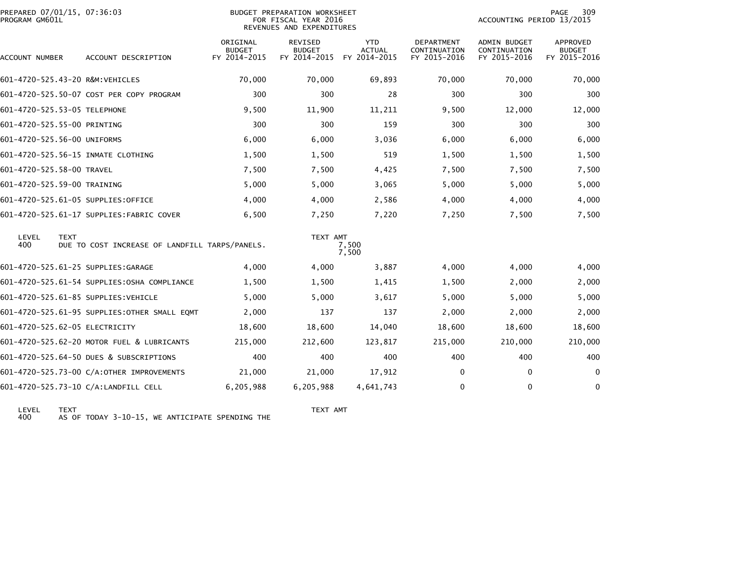| PREPARED 07/01/15, 07:36:03<br>BUDGET PREPARATION WORKSHEET<br>PROGRAM GM601L<br>FOR FISCAL YEAR 2016<br>REVENUES AND EXPENDITURES |                                                               |                                           |                                          |                                             | PAGE<br>309<br>ACCOUNTING PERIOD 13/2015   |                                                     |                                                  |
|------------------------------------------------------------------------------------------------------------------------------------|---------------------------------------------------------------|-------------------------------------------|------------------------------------------|---------------------------------------------|--------------------------------------------|-----------------------------------------------------|--------------------------------------------------|
| ACCOUNT NUMBER                                                                                                                     | ACCOUNT DESCRIPTION                                           | ORIGINAL<br><b>BUDGET</b><br>FY 2014-2015 | REVISED<br><b>BUDGET</b><br>FY 2014-2015 | <b>YTD</b><br><b>ACTUAL</b><br>FY 2014-2015 | DEPARTMENT<br>CONTINUATION<br>FY 2015-2016 | <b>ADMIN BUDGET</b><br>CONTINUATION<br>FY 2015-2016 | <b>APPROVED</b><br><b>BUDGET</b><br>FY 2015-2016 |
|                                                                                                                                    | 601-4720-525.43-20 R&M:VEHICLES                               | 70,000                                    | 70,000                                   | 69,893                                      | 70,000                                     | 70,000                                              | 70,000                                           |
|                                                                                                                                    | 601-4720-525.50-07 COST PER COPY PROGRAM                      | 300                                       | 300                                      | 28                                          | 300                                        | 300                                                 | 300                                              |
| 601-4720-525.53-05 TELEPHONE                                                                                                       |                                                               | 9,500                                     | 11,900                                   | 11,211                                      | 9,500                                      | 12,000                                              | 12,000                                           |
| 601-4720-525.55-00 PRINTING                                                                                                        |                                                               | 300                                       | 300                                      | 159                                         | 300                                        | 300                                                 | 300                                              |
| 601-4720-525.56-00 UNIFORMS                                                                                                        |                                                               | 6,000                                     | 6,000                                    | 3,036                                       | 6,000                                      | 6,000                                               | 6,000                                            |
|                                                                                                                                    | 601-4720-525.56-15 INMATE CLOTHING                            | 1,500                                     | 1,500                                    | 519                                         | 1,500                                      | 1,500                                               | 1,500                                            |
| 601-4720-525.58-00 TRAVEL                                                                                                          |                                                               | 7,500                                     | 7,500                                    | 4,425                                       | 7,500                                      | 7,500                                               | 7,500                                            |
| 601-4720-525.59-00 TRAINING                                                                                                        |                                                               | 5,000                                     | 5,000                                    | 3,065                                       | 5,000                                      | 5,000                                               | 5,000                                            |
|                                                                                                                                    | 601-4720-525.61-05 SUPPLIES:OFFICE                            | 4,000                                     | 4,000                                    | 2,586                                       | 4,000                                      | 4,000                                               | 4,000                                            |
|                                                                                                                                    | 601-4720-525.61-17 SUPPLIES: FABRIC COVER                     | 6,500                                     | 7,250                                    | 7,220                                       | 7,250                                      | 7,500                                               | 7,500                                            |
| LEVEL<br>400                                                                                                                       | <b>TEXT</b><br>DUE TO COST INCREASE OF LANDFILL TARPS/PANELS. |                                           | TEXT AMT                                 | 7,500<br>7,500                              |                                            |                                                     |                                                  |
|                                                                                                                                    | 601-4720-525.61-25 SUPPLIES:GARAGE                            | 4,000                                     | 4,000                                    | 3,887                                       | 4,000                                      | 4,000                                               | 4,000                                            |
|                                                                                                                                    | 601-4720-525.61-54 SUPPLIES:OSHA COMPLIANCE                   | 1,500                                     | 1,500                                    | 1,415                                       | 1,500                                      | 2,000                                               | 2,000                                            |
|                                                                                                                                    | 601-4720-525.61-85 SUPPLIES:VEHICLE                           | 5,000                                     | 5,000                                    | 3,617                                       | 5,000                                      | 5,000                                               | 5,000                                            |
|                                                                                                                                    | 601-4720-525.61-95 SUPPLIES: OTHER SMALL EQMT                 | 2,000                                     | 137                                      | 137                                         | 2,000                                      | 2,000                                               | 2,000                                            |
|                                                                                                                                    | 601-4720-525.62-05 ELECTRICITY                                | 18,600                                    | 18,600                                   | 14,040                                      | 18,600                                     | 18,600                                              | 18,600                                           |
|                                                                                                                                    | 601-4720-525.62-20 MOTOR FUEL & LUBRICANTS                    | 215,000                                   | 212,600                                  | 123,817                                     | 215,000                                    | 210,000                                             | 210,000                                          |
|                                                                                                                                    | 601-4720-525.64-50 DUES & SUBSCRIPTIONS                       | 400                                       | 400                                      | 400                                         | 400                                        | 400                                                 | 400                                              |
|                                                                                                                                    | 601-4720-525.73-00 C/A:OTHER IMPROVEMENTS                     | 21,000                                    | 21,000                                   | 17,912                                      | 0                                          | 0                                                   | 0                                                |
|                                                                                                                                    | 601-4720-525.73-10 C/A:LANDFILL CELL                          | 6,205,988                                 | 6,205,988                                | 4,641,743                                   | 0                                          | $\mathbf 0$                                         | $\mathbf 0$                                      |
|                                                                                                                                    |                                                               |                                           |                                          |                                             |                                            |                                                     |                                                  |

LEVEL TEXT TEXT AMT 400 AS OF TODAY 3-10-15, WE ANTICIPATE SPENDING THE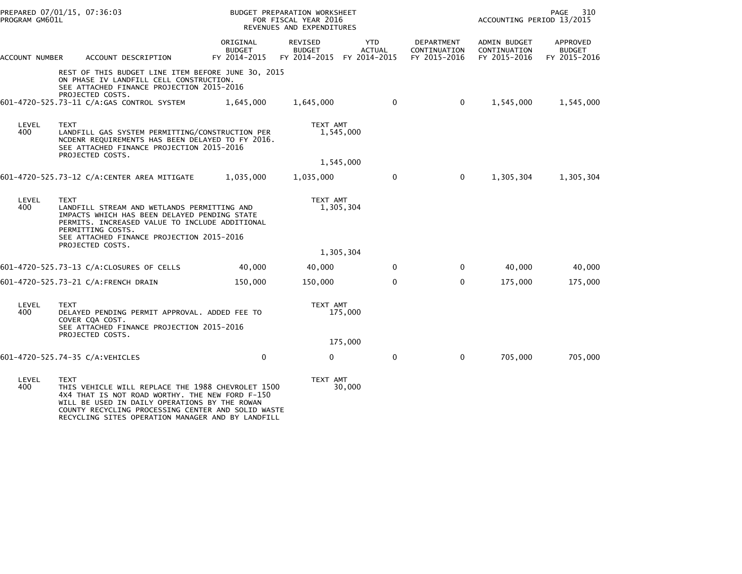| PROGRAM GM601L | PREPARED 07/01/15, 07:36:03                                                                                                                                                                                                                                                     |                                           | BUDGET PREPARATION WORKSHEET<br>FOR FISCAL YEAR 2016<br>REVENUES AND EXPENDITURES |                                                          |                                            | ACCOUNTING PERIOD 13/2015                    | PAGE<br>310                               |
|----------------|---------------------------------------------------------------------------------------------------------------------------------------------------------------------------------------------------------------------------------------------------------------------------------|-------------------------------------------|-----------------------------------------------------------------------------------|----------------------------------------------------------|--------------------------------------------|----------------------------------------------|-------------------------------------------|
| ACCOUNT NUMBER | ACCOUNT DESCRIPTION                                                                                                                                                                                                                                                             | ORIGINAL<br><b>BUDGET</b><br>FY 2014-2015 | REVISED<br><b>BUDGET</b>                                                          | <b>YTD</b><br><b>ACTUAL</b><br>FY 2014-2015 FY 2014-2015 | DEPARTMENT<br>CONTINUATION<br>FY 2015-2016 | ADMIN BUDGET<br>CONTINUATION<br>FY 2015-2016 | APPROVED<br><b>BUDGET</b><br>FY 2015-2016 |
|                | REST OF THIS BUDGET LINE ITEM BEFORE JUNE 30, 2015<br>ON PHASE IV LANDFILL CELL CONSTRUCTION.<br>SEE ATTACHED FINANCE PROJECTION 2015-2016<br>PROJECTED COSTS.<br>601-4720-525.73-11 C/A:GAS CONTROL SYSTEM                                                                     | 1,645,000                                 | 1,645,000                                                                         | $\mathbf 0$                                              | $\mathbf 0$                                | 1,545,000                                    | 1,545,000                                 |
| LEVEL<br>400   | <b>TEXT</b><br>LANDFILL GAS SYSTEM PERMITTING/CONSTRUCTION PER<br>NCDENR REQUIREMENTS HAS BEEN DELAYED TO FY 2016.<br>SEE ATTACHED FINANCE PROJECTION 2015-2016<br>PROJECTED COSTS.                                                                                             |                                           | TEXT AMT                                                                          | 1,545,000                                                |                                            |                                              |                                           |
|                |                                                                                                                                                                                                                                                                                 |                                           |                                                                                   | 1,545,000                                                |                                            |                                              |                                           |
|                | 601-4720-525.73-12 C/A:CENTER AREA MITIGATE                                                                                                                                                                                                                                     | 1,035,000                                 | 1,035,000                                                                         | $\mathbf 0$                                              | $\mathbf{0}$                               | 1,305,304                                    | 1,305,304                                 |
| LEVEL<br>400   | <b>TEXT</b><br>LANDFILL STREAM AND WETLANDS PERMITTING AND<br>IMPACTS WHICH HAS BEEN DELAYED PENDING STATE<br>PERMITS. INCREASED VALUE TO INCLUDE ADDITIONAL<br>PERMITTING COSTS.<br>SEE ATTACHED FINANCE PROJECTION 2015-2016                                                  |                                           | TEXT AMT                                                                          | 1,305,304                                                |                                            |                                              |                                           |
|                | PROJECTED COSTS.                                                                                                                                                                                                                                                                |                                           |                                                                                   | 1,305,304                                                |                                            |                                              |                                           |
|                | 601-4720-525.73-13 C/A:CLOSURES OF CELLS                                                                                                                                                                                                                                        | 40,000                                    | 40,000                                                                            | $\mathbf{0}$                                             | 0                                          | 40,000                                       | 40,000                                    |
|                | 601-4720-525.73-21 C/A:FRENCH DRAIN                                                                                                                                                                                                                                             | 150,000                                   | 150,000                                                                           | $\mathbf{0}$                                             | $\Omega$                                   | 175,000                                      | 175,000                                   |
| LEVEL<br>400   | <b>TEXT</b><br>DELAYED PENDING PERMIT APPROVAL. ADDED FEE TO<br>COVER COA COST.<br>SEE ATTACHED FINANCE PROJECTION 2015-2016                                                                                                                                                    |                                           | TEXT AMT                                                                          | 175,000                                                  |                                            |                                              |                                           |
|                | PROJECTED COSTS.                                                                                                                                                                                                                                                                |                                           |                                                                                   | 175,000                                                  |                                            |                                              |                                           |
|                | 601-4720-525.74-35 C/A:VEHICLES                                                                                                                                                                                                                                                 | $\mathbf 0$                               | 0                                                                                 | 0                                                        | $\mathbf 0$                                | 705,000                                      | 705,000                                   |
| LEVEL<br>400   | <b>TEXT</b><br>THIS VEHICLE WILL REPLACE THE 1988 CHEVROLET 1500<br>4X4 THAT IS NOT ROAD WORTHY. THE NEW FORD F-150<br>WILL BE USED IN DAILY OPERATIONS BY THE ROWAN<br>COUNTY RECYCLING PROCESSING CENTER AND SOLID WASTE<br>RECYCLING SITES OPERATION MANAGER AND BY LANDFILL |                                           | TEXT AMT                                                                          | 30,000                                                   |                                            |                                              |                                           |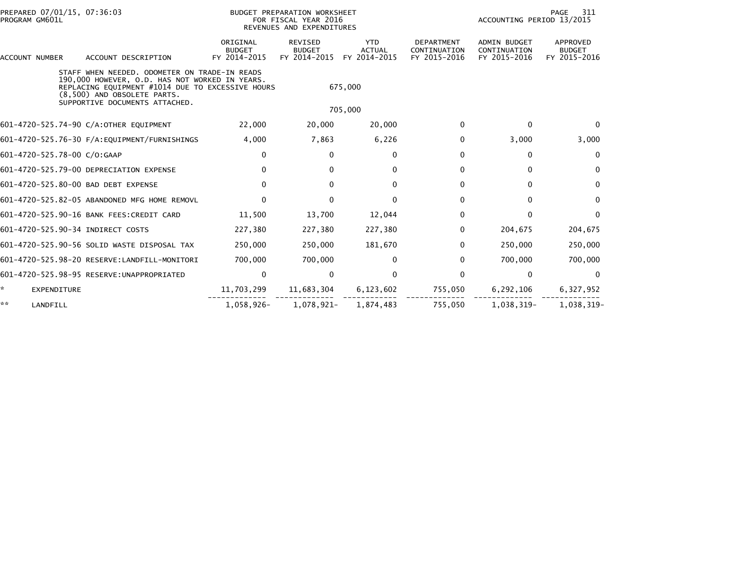| PREPARED 07/01/15, 07:36:03<br>PROGRAM GM601L |             | BUDGET PREPARATION WORKSHEET<br>FOR FISCAL YEAR 2016<br>REVENUES AND EXPENDITURES                                                                                                                                    |                                           |                                          |                                             | 311<br>PAGE<br>ACCOUNTING PERIOD 13/2015          |                                                     |                                           |
|-----------------------------------------------|-------------|----------------------------------------------------------------------------------------------------------------------------------------------------------------------------------------------------------------------|-------------------------------------------|------------------------------------------|---------------------------------------------|---------------------------------------------------|-----------------------------------------------------|-------------------------------------------|
| ACCOUNT NUMBER                                |             | ACCOUNT DESCRIPTION                                                                                                                                                                                                  | ORIGINAL<br><b>BUDGET</b><br>FY 2014-2015 | REVISED<br><b>BUDGET</b><br>FY 2014-2015 | <b>YTD</b><br><b>ACTUAL</b><br>FY 2014-2015 | <b>DEPARTMENT</b><br>CONTINUATION<br>FY 2015-2016 | <b>ADMIN BUDGET</b><br>CONTINUATION<br>FY 2015-2016 | APPROVED<br><b>BUDGET</b><br>FY 2015-2016 |
|                                               |             | STAFF WHEN NEEDED, ODOMETER ON TRADE-IN READS<br>190,000 HOWEVER, O.D. HAS NOT WORKED IN YEARS.<br>REPLACING EQUIPMENT #1014 DUE TO EXCESSIVE HOURS<br>(8,500) AND OBSOLETE PARTS.<br>SUPPORTIVE DOCUMENTS ATTACHED. |                                           |                                          | 675,000                                     |                                                   |                                                     |                                           |
|                                               |             |                                                                                                                                                                                                                      |                                           |                                          | 705,000                                     |                                                   |                                                     |                                           |
|                                               |             | 601-4720-525.74-90 C/A:OTHER EQUIPMENT                                                                                                                                                                               | 22,000                                    | 20,000                                   | 20,000                                      | $\Omega$                                          | 0                                                   |                                           |
|                                               |             |                                                                                                                                                                                                                      | 4,000                                     | 7,863                                    | 6,226                                       | $\Omega$                                          | 3,000                                               | 3,000                                     |
| 601-4720-525.78-00 C/O:GAAP                   |             |                                                                                                                                                                                                                      | 0                                         | $\Omega$                                 | 0                                           | $\Omega$                                          | 0                                                   | $\mathbf{0}$                              |
|                                               |             | 601-4720-525.79-00 DEPRECIATION EXPENSE                                                                                                                                                                              | $\mathbf{0}$                              | 0                                        | 0                                           | $\Omega$                                          | 0                                                   | 0                                         |
|                                               |             | 601-4720-525.80-00 BAD DEBT EXPENSE                                                                                                                                                                                  | $\mathbf{0}$                              | <sup>0</sup>                             | 0                                           | $\Omega$                                          | 0                                                   | 0                                         |
|                                               |             | 601-4720-525.82-05 ABANDONED MFG HOME REMOVL                                                                                                                                                                         | 0                                         | 0                                        | 0                                           | $\Omega$                                          | 0                                                   | 0                                         |
|                                               |             | 601-4720-525.90-16 BANK FEES:CREDIT CARD                                                                                                                                                                             | 11,500                                    | 13,700                                   | 12,044                                      | $\Omega$                                          | $\Omega$                                            | 0                                         |
|                                               |             | 601-4720-525.90-34 INDIRECT COSTS                                                                                                                                                                                    | 227,380                                   | 227,380                                  | 227,380                                     | 0                                                 | 204,675                                             | 204,675                                   |
|                                               |             | 601-4720-525.90-56 SOLID WASTE DISPOSAL TAX                                                                                                                                                                          | 250,000                                   | 250,000                                  | 181,670                                     | $\Omega$                                          | 250,000                                             | 250,000                                   |
|                                               |             | 601-4720-525.98-20 RESERVE:LANDFILL-MONITORI                                                                                                                                                                         | 700,000                                   | 700,000                                  | 0                                           | 0                                                 | 700,000                                             | 700,000                                   |
|                                               |             |                                                                                                                                                                                                                      | 0                                         | 0                                        | 0                                           | 0                                                 | 0                                                   | $^{\circ}$                                |
| *                                             | EXPENDITURE |                                                                                                                                                                                                                      | 11,703,299                                | 11,683,304                               | 6,123,602                                   | 755,050                                           | 6,292,106                                           | 6,327,952                                 |
| **<br>LANDFILL                                |             |                                                                                                                                                                                                                      | 1,058,926-                                | 1,078,921-                               | 1.874.483                                   | 755.050                                           | 1,038,319-                                          | 1.038.319-                                |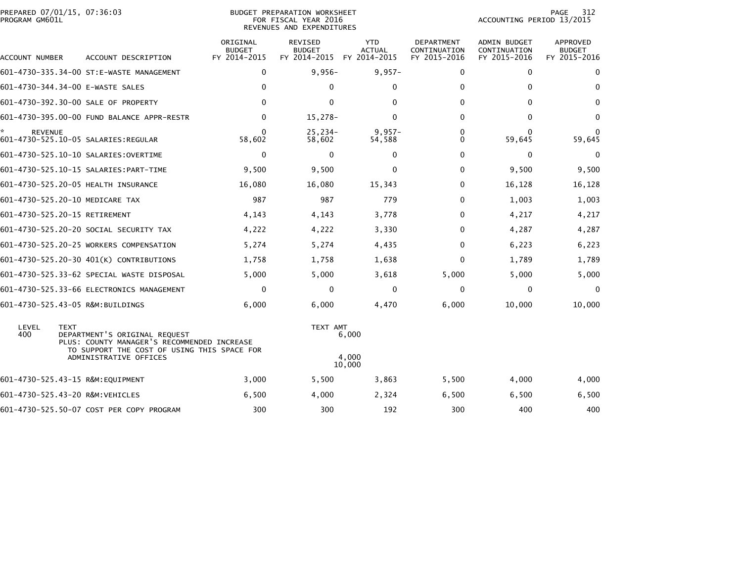|                | PREPARED 07/01/15, 07:36:03 |  |
|----------------|-----------------------------|--|
| PROGRAM GM601L |                             |  |

## PREPARED 07/01/15, 07:36:03 PREPARATION WORKSHEET PREPARATION WORKSHEET PREPARATION WORKSHEET<br>FOR FISCAL YEAR 2016 ACCOUNTING PERIOD 13/2015 REVENUES AND EXPENDITURES<br>REVENUES AND EXPENDITURES

PAGE 312<br>ACCOUNTING PERIOD 13/2015

| ACCOUNT NUMBER | ACCOUNT DESCRIPTION                                                                                                                                                  | ORIGINAL<br><b>BUDGET</b><br>FY 2014-2015 | <b>REVISED</b><br><b>BUDGET</b><br>FY 2014-2015 | <b>YTD</b><br><b>ACTUAL</b><br>FY 2014-2015 | DEPARTMENT<br>CONTINUATION<br>FY 2015-2016 | <b>ADMIN BUDGET</b><br>CONTINUATION<br>FY 2015-2016 | APPROVED<br><b>BUDGET</b><br>FY 2015-2016 |
|----------------|----------------------------------------------------------------------------------------------------------------------------------------------------------------------|-------------------------------------------|-------------------------------------------------|---------------------------------------------|--------------------------------------------|-----------------------------------------------------|-------------------------------------------|
|                | 601-4730-335.34-00 ST:E-WASTE MANAGEMENT                                                                                                                             | $\mathbf 0$                               | $9,956-$                                        | $9,957-$                                    | 0                                          | $\mathbf{0}$                                        | $\Omega$                                  |
|                | 601-4730-344.34-00 E-WASTE SALES                                                                                                                                     | $\mathbf{0}$                              | 0                                               | $\mathbf{0}$                                | 0                                          | $\Omega$                                            | $\Omega$                                  |
|                | 601-4730-392.30-00 SALE OF PROPERTY                                                                                                                                  | $\Omega$                                  | $\Omega$                                        | $\Omega$                                    | $\Omega$                                   | $\Omega$                                            | 0                                         |
|                | 601-4730-395.00-00 FUND BALANCE APPR-RESTR                                                                                                                           | 0                                         | $15,278-$                                       | $\mathbf{0}$                                | $\Omega$                                   | $\mathbf{0}$                                        | $\mathbf{0}$                              |
| <b>REVENUE</b> |                                                                                                                                                                      | $\Omega$<br>58,602                        | $25.234-$<br>58,602                             | $9.957 -$<br>54,588                         | 0<br>0                                     | $\bf{0}$<br>59,645                                  | 0<br>59,645                               |
|                | 601-4730-525.10-10 SALARIES: OVERTIME                                                                                                                                | $\mathbf 0$                               | $\Omega$                                        | $\mathbf{0}$                                | 0                                          | $\mathbf{0}$                                        | 0                                         |
|                | 601-4730-525.10-15 SALARIES: PART-TIME                                                                                                                               | 9,500                                     | 9,500                                           | 0                                           | 0                                          | 9,500                                               | 9,500                                     |
|                | 601-4730-525.20-05 HEALTH INSURANCE                                                                                                                                  | 16,080                                    | 16,080                                          | 15,343                                      | $\Omega$                                   | 16,128                                              | 16,128                                    |
|                | 601-4730-525.20-10 MEDICARE TAX                                                                                                                                      | 987                                       | 987                                             | 779                                         | $\Omega$                                   | 1,003                                               | 1,003                                     |
|                | 601-4730-525.20-15 RETIREMENT                                                                                                                                        | 4,143                                     | 4,143                                           | 3,778                                       | $\Omega$                                   | 4,217                                               | 4,217                                     |
|                | 601-4730-525.20-20 SOCIAL SECURITY TAX                                                                                                                               | 4,222                                     | 4,222                                           | 3,330                                       | 0                                          | 4,287                                               | 4,287                                     |
|                | 601-4730-525.20-25 WORKERS COMPENSATION                                                                                                                              | 5,274                                     | 5,274                                           | 4,435                                       | $\Omega$                                   | 6,223                                               | 6,223                                     |
|                | 601-4730-525.20-30 401(K) CONTRIBUTIONS                                                                                                                              | 1,758                                     | 1,758                                           | 1,638                                       | 0                                          | 1,789                                               | 1,789                                     |
|                | 601-4730-525.33-62 SPECIAL WASTE DISPOSAL                                                                                                                            | 5,000                                     | 5,000                                           | 3,618                                       | 5,000                                      | 5,000                                               | 5,000                                     |
|                | 601-4730-525.33-66 ELECTRONICS MANAGEMENT                                                                                                                            | 0                                         | 0                                               | 0                                           | 0                                          | 0                                                   | $\Omega$                                  |
|                | 601-4730-525.43-05 R&M:BUILDINGS                                                                                                                                     | 6,000                                     | 6,000                                           | 4,470                                       | 6,000                                      | 10,000                                              | 10,000                                    |
| LEVEL<br>400   | <b>TEXT</b><br>DEPARTMENT'S ORIGINAL REQUEST<br>PLUS: COUNTY MANAGER'S RECOMMENDED INCREASE<br>TO SUPPORT THE COST OF USING THIS SPACE FOR<br>ADMINISTRATIVE OFFICES |                                           | TEXT AMT                                        | 6,000<br>4,000<br>10,000                    |                                            |                                                     |                                           |
|                | 601-4730-525.43-15 R&M:EQUIPMENT                                                                                                                                     | 3,000                                     | 5,500                                           | 3,863                                       | 5,500                                      | 4,000                                               | 4,000                                     |
|                | 601-4730-525.43-20 R&M:VEHICLES                                                                                                                                      | 6,500                                     | 4.000                                           | 2,324                                       | 6,500                                      | 6,500                                               | 6,500                                     |
|                | 601-4730-525.50-07 COST PER COPY PROGRAM                                                                                                                             | 300                                       | 300                                             | 192                                         | 300                                        | 400                                                 | 400                                       |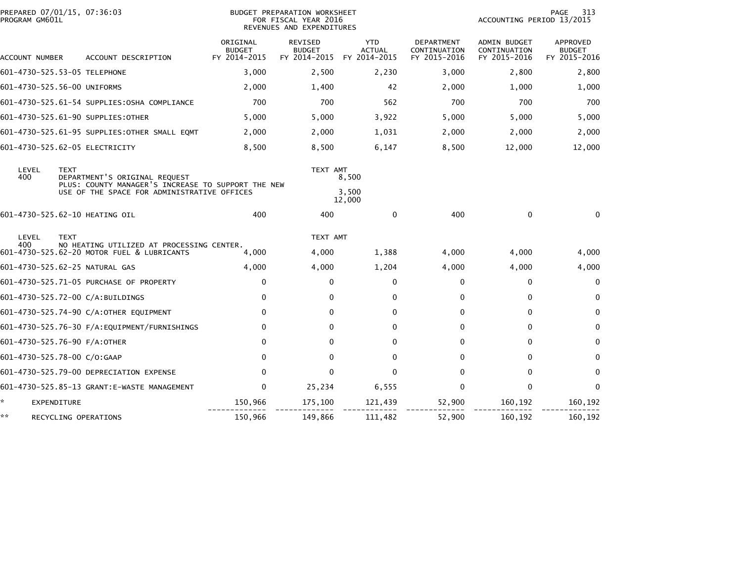| PREPARED 07/01/15, 07:36:03<br>PROGRAM GM601L |                                                                                         | <b>BUDGET PREPARATION WORKSHEET</b><br>FOR FISCAL YEAR 2016<br>REVENUES AND EXPENDITURES |                                          |                                             |                                            | 313<br>PAGE<br>ACCOUNTING PERIOD 13/2015     |                                           |  |
|-----------------------------------------------|-----------------------------------------------------------------------------------------|------------------------------------------------------------------------------------------|------------------------------------------|---------------------------------------------|--------------------------------------------|----------------------------------------------|-------------------------------------------|--|
| ACCOUNT NUMBER                                | ACCOUNT DESCRIPTION                                                                     | ORIGINAL<br><b>BUDGET</b><br>FY 2014-2015                                                | REVISED<br><b>BUDGET</b><br>FY 2014-2015 | <b>YTD</b><br><b>ACTUAL</b><br>FY 2014-2015 | DEPARTMENT<br>CONTINUATION<br>FY 2015-2016 | ADMIN BUDGET<br>CONTINUATION<br>FY 2015-2016 | APPROVED<br><b>BUDGET</b><br>FY 2015-2016 |  |
| 601-4730-525.53-05 TELEPHONE                  |                                                                                         | 3,000                                                                                    | 2,500                                    | 2,230                                       | 3,000                                      | 2,800                                        | 2,800                                     |  |
| 601-4730-525.56-00 UNIFORMS                   |                                                                                         | 2,000                                                                                    | 1,400                                    | 42                                          | 2,000                                      | 1,000                                        | 1,000                                     |  |
|                                               | 601-4730-525.61-54 SUPPLIES:0SHA COMPLIANCE                                             | 700                                                                                      | 700                                      | 562                                         | 700                                        | 700                                          | 700                                       |  |
| 601-4730-525.61-90 SUPPLIES:OTHER             |                                                                                         | 5,000                                                                                    | 5,000                                    | 3,922                                       | 5,000                                      | 5,000                                        | 5,000                                     |  |
|                                               | 601-4730-525.61-95 SUPPLIES:OTHER SMALL EQMT                                            | 2,000                                                                                    | 2,000                                    | 1,031                                       | 2,000                                      | 2,000                                        | 2,000                                     |  |
| 601-4730-525.62-05 ELECTRICITY                |                                                                                         | 8,500                                                                                    | 8,500                                    | 6,147                                       | 8,500                                      | 12,000                                       | 12,000                                    |  |
| LEVEL<br><b>TEXT</b><br>400                   | DEPARTMENT'S ORIGINAL REQUEST<br>PLUS: COUNTY MANAGER'S INCREASE TO SUPPORT THE NEW     | TEXT AMT                                                                                 | 8,500                                    |                                             |                                            |                                              |                                           |  |
|                                               | USE OF THE SPACE FOR ADMINISTRATIVE OFFICES                                             |                                                                                          |                                          | 3,500<br>12,000                             |                                            |                                              |                                           |  |
| 601-4730-525.62-10 HEATING OIL                |                                                                                         | 400                                                                                      | 400                                      | $\mathbf{0}$                                | 400                                        | $\mathbf 0$                                  | $\mathbf{0}$                              |  |
| LEVEL<br><b>TEXT</b>                          |                                                                                         |                                                                                          | TEXT AMT                                 |                                             |                                            |                                              |                                           |  |
| 400                                           | NO HEATING UTILIZED AT PROCESSING CENTER.<br>601-4730-525.62-20 MOTOR FUEL & LUBRICANTS | 4,000                                                                                    | 4,000                                    | 1,388                                       | 4,000                                      | 4,000                                        | 4,000                                     |  |
| 601-4730-525.62-25 NATURAL GAS                |                                                                                         | 4,000                                                                                    | 4,000                                    | 1,204                                       | 4,000                                      | 4,000                                        | 4,000                                     |  |
|                                               | 601-4730-525.71-05 PURCHASE OF PROPERTY                                                 | 0                                                                                        | 0                                        | $\mathbf{0}$                                | 0                                          | 0                                            | $\mathbf{0}$                              |  |
| 601-4730-525.72-00 C/A:BUILDINGS              |                                                                                         | 0                                                                                        | 0                                        | 0                                           | 0                                          | 0                                            | $\mathbf{0}$                              |  |
|                                               | 601-4730-525.74-90 C/A:OTHER EQUIPMENT                                                  | $\mathbf{0}$                                                                             | $\Omega$                                 | $\mathbf{0}$                                | 0                                          | $\mathbf{0}$                                 | $\mathbf{0}$                              |  |
|                                               |                                                                                         | 0                                                                                        | 0                                        | $\Omega$                                    | 0                                          | $\mathbf{0}$                                 | $\mathbf{0}$                              |  |
| 601-4730-525.76-90 F/A:OTHER                  |                                                                                         | $\Omega$                                                                                 | 0                                        | $\mathbf{0}$                                | 0                                          | $\mathbf{0}$                                 | $\Omega$                                  |  |
| 601-4730-525.78-00 C/O:GAAP                   |                                                                                         | $\Omega$                                                                                 | 0                                        | $\mathbf{0}$                                | 0                                          | $\mathbf{0}$                                 | $\Omega$                                  |  |
|                                               | 601-4730-525.79-00 DEPRECIATION EXPENSE                                                 | $\mathbf{0}$                                                                             | $\Omega$                                 | $\Omega$                                    | $\Omega$                                   | $\mathbf{0}$                                 | $\mathbf{0}$                              |  |
|                                               | 601-4730-525.85-13 GRANT:E-WASTE MANAGEMENT                                             | $\Omega$                                                                                 | 25,234                                   | 6,555                                       | $\Omega$                                   | $\mathbf{0}$                                 | $\mathbf{0}$                              |  |
| ÷.<br><b>EXPENDITURE</b>                      |                                                                                         | 150,966                                                                                  | 175,100                                  | 121,439                                     | 52,900                                     | 160,192                                      | 160,192                                   |  |
| **<br>RECYCLING OPERATIONS                    |                                                                                         | 150,966                                                                                  | 149,866                                  | 111,482                                     | 52,900                                     | 160,192                                      | 160,192                                   |  |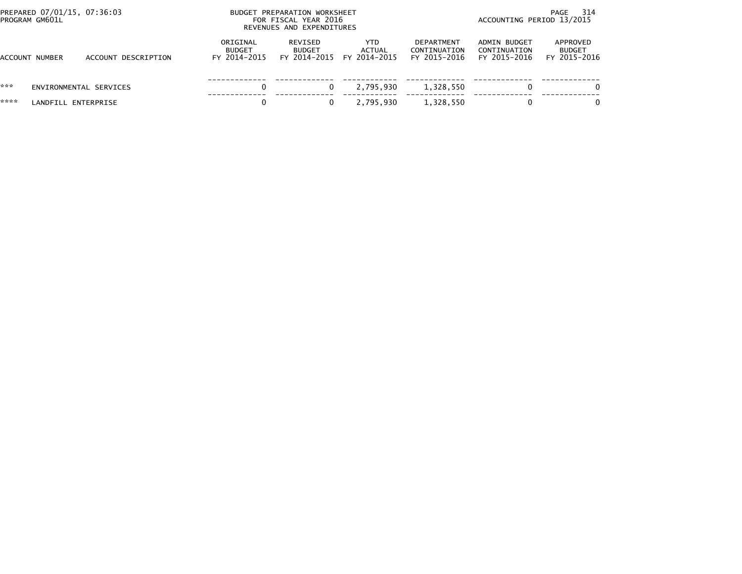| PROGRAM GM601L | PREPARED 07/01/15, 07:36:03 |                     | BUDGET PREPARATION WORKSHEET<br>FOR FISCAL YEAR 2016<br>REVENUES AND EXPENDITURES |                                          |                               |                                                   | - 314<br>PAGE<br>ACCOUNTING PERIOD 13/2015   |                                           |  |
|----------------|-----------------------------|---------------------|-----------------------------------------------------------------------------------|------------------------------------------|-------------------------------|---------------------------------------------------|----------------------------------------------|-------------------------------------------|--|
| ACCOUNT NUMBER |                             | ACCOUNT DESCRIPTION | ORIGINAL<br><b>BUDGET</b><br>FY 2014-2015                                         | REVISED<br><b>BUDGET</b><br>FY 2014-2015 | YTD<br>ACTUAL<br>FY 2014-2015 | <b>DEPARTMENT</b><br>CONTINUATION<br>FY 2015-2016 | ADMIN BUDGET<br>CONTINUATION<br>FY 2015-2016 | APPROVED<br><b>BUDGET</b><br>FY 2015-2016 |  |
| ***            | ENVIRONMENTAL SERVICES      |                     |                                                                                   |                                          | 2,795,930                     | 1,328,550                                         | 0                                            | $\Omega$                                  |  |
| ****           | LANDFILL ENTERPRISE         |                     |                                                                                   |                                          | 2,795,930                     | 1,328,550                                         | 0                                            | $\Omega$                                  |  |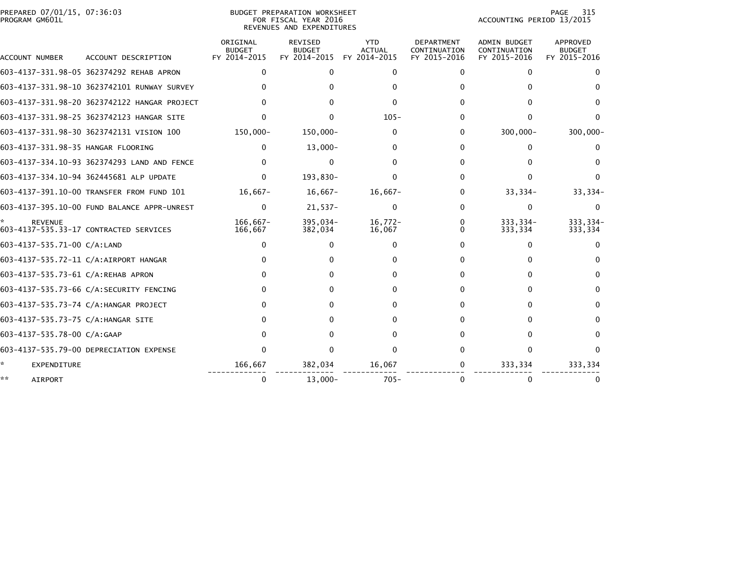|                | PREPARED 07/01/15, 07:36:03 |  |
|----------------|-----------------------------|--|
| PROGRAM GM601L |                             |  |

BUDGET PREPARATION WORKSHEET PROGRAM GM601L FOR FISCAL YEAR 2016 ACCOUNTING PERIOD 13/2015 REVENUES AND EXPENDITURES

PAGE 315<br>ACCOUNTING PERIOD 13/2015

|                                    |                                              | ORIGINAL<br><b>BUDGET</b> | <b>REVISED</b><br><b>BUDGET</b> | <b>YTD</b><br><b>ACTUAL</b> | <b>DEPARTMENT</b><br>CONTINUATION | <b>ADMIN BUDGET</b><br>CONTINUATION | APPROVED<br><b>BUDGET</b> |
|------------------------------------|----------------------------------------------|---------------------------|---------------------------------|-----------------------------|-----------------------------------|-------------------------------------|---------------------------|
| ACCOUNT NUMBER                     | ACCOUNT DESCRIPTION                          | FY 2014-2015              | FY 2014-2015                    | FY 2014-2015                | FY 2015-2016                      | FY 2015-2016                        | FY 2015-2016              |
|                                    | 603-4137-331.98-05 362374292 REHAB APRON     | $\mathbf{0}$              | 0                               | $\Omega$                    | 0                                 | 0                                   |                           |
|                                    | 603-4137-331.98-10 3623742101 RUNWAY SURVEY  |                           |                                 |                             |                                   |                                     |                           |
|                                    | 603-4137-331.98-20 3623742122 HANGAR PROJECT |                           |                                 |                             |                                   |                                     |                           |
|                                    | 603-4137-331.98-25 3623742123 HANGAR SITE    |                           |                                 | $105 -$                     | 0                                 | 0                                   |                           |
|                                    | 603-4137-331.98-30 3623742131 VISION 100     | 150,000-                  | 150,000-                        | 0                           | 0                                 | 300,000-                            | $300,000 -$               |
| 603-4137-331.98-35 HANGAR FLOORING |                                              | $\Omega$                  | $13,000 -$                      |                             | 0                                 | 0                                   |                           |
|                                    | 603-4137-334.10-93 362374293 LAND AND FENCE  |                           | $\Omega$                        |                             | 0                                 |                                     |                           |
|                                    | 603-4137-334.10-94 362445681 ALP UPDATE      | 0                         | 193,830-                        |                             | 0                                 |                                     |                           |
|                                    | 603-4137-391.10-00 TRANSFER FROM FUND 101    | $16,667-$                 | $16,667-$                       | $16,667-$                   | 0                                 | $33,334-$                           | $33,334-$                 |
|                                    | 603-4137-395.10-00 FUND BALANCE APPR-UNREST  | $\mathbf{0}$              | $21,537-$                       | 0                           | 0                                 | 0                                   | $\Omega$                  |
| <b>REVENUE</b>                     | 603-4137-535.33-17 CONTRACTED SERVICES       | $166.667 -$<br>166,667    | 395,034-<br>382,034             | $16,772-$<br>16,067         | 0<br>0                            | 333.334-<br>333,334                 | 333,334-<br>333,334       |
| 603-4137-535.71-00 C/A:LAND        |                                              | 0                         | $\Omega$                        | $\Omega$                    | 0                                 | $\Omega$                            | $\Omega$                  |
|                                    | 603-4137-535.72-11 C/A:AIRPORT HANGAR        |                           |                                 |                             | 0                                 |                                     |                           |
| 603-4137-535.73-61 C/A:REHAB APRON |                                              | $\Omega$                  |                                 |                             | 0                                 | 0                                   |                           |
|                                    | 603-4137-535.73-66 C/A:SECURITY FENCING      |                           |                                 |                             | 0                                 | 0                                   | 0                         |
|                                    | 603-4137-535.73-74 C/A:HANGAR PROJECT        | <sup>0</sup>              |                                 |                             | 0                                 | <sup>n</sup>                        |                           |
| 603-4137-535.73-75 C/A:HANGAR SITE |                                              |                           |                                 |                             | 0                                 | 0                                   | 0                         |
| 603-4137-535.78-00 C/A:GAAP        |                                              | $^{\circ}$                |                                 |                             | 0                                 | <sup>0</sup>                        |                           |
|                                    | 603-4137-535.79-00 DEPRECIATION EXPENSE      | <sup>0</sup>              |                                 |                             | U.                                | 0                                   |                           |
| EXPENDITURE                        |                                              | 166,667                   | 382,034                         | 16,067                      | 0                                 | 333,334                             | 333,334                   |
| **<br><b>AIRPORT</b>               |                                              | $\Omega$                  | $13,000 -$                      | $705 -$                     | 0                                 |                                     |                           |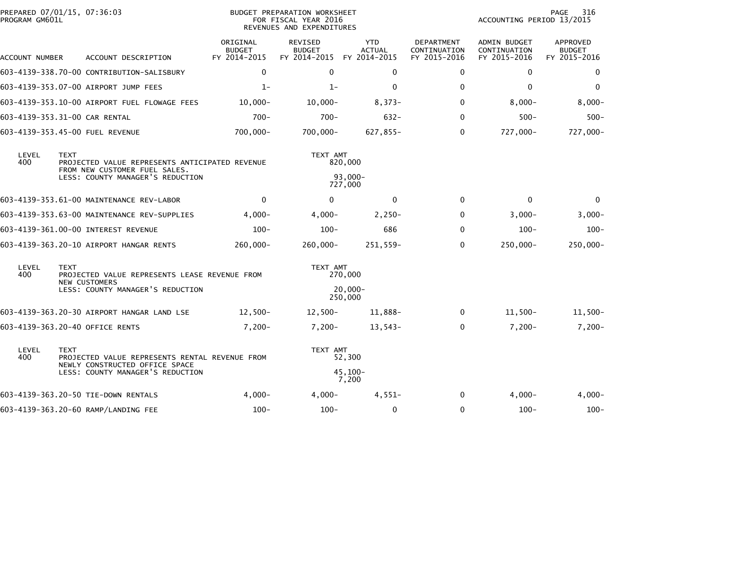| PREPARED 07/01/15, 07:36:03<br>PROGRAM GM601L |             |                                                                                  | BUDGET PREPARATION WORKSHEET<br>FOR FISCAL YEAR 2016<br>REVENUES AND EXPENDITURES |                                                 |                                             |                                                   | 316<br>PAGE<br>ACCOUNTING PERIOD 13/2015            |                                           |  |
|-----------------------------------------------|-------------|----------------------------------------------------------------------------------|-----------------------------------------------------------------------------------|-------------------------------------------------|---------------------------------------------|---------------------------------------------------|-----------------------------------------------------|-------------------------------------------|--|
| ACCOUNT NUMBER                                |             | ACCOUNT DESCRIPTION                                                              | ORIGINAL<br><b>BUDGET</b><br>FY 2014-2015                                         | <b>REVISED</b><br><b>BUDGET</b><br>FY 2014-2015 | <b>YTD</b><br><b>ACTUAL</b><br>FY 2014-2015 | <b>DEPARTMENT</b><br>CONTINUATION<br>FY 2015-2016 | <b>ADMIN BUDGET</b><br>CONTINUATION<br>FY 2015-2016 | APPROVED<br><b>BUDGET</b><br>FY 2015-2016 |  |
|                                               |             | 603-4139-338.70-00 CONTRIBUTION-SALISBURY                                        | $\mathbf 0$                                                                       | $\Omega$                                        | 0                                           | $\mathbf{0}$                                      | $\Omega$                                            | 0                                         |  |
|                                               |             | 603-4139-353.07-00 AIRPORT JUMP FEES                                             | $1 -$                                                                             | $1-$                                            | $\Omega$                                    | $\mathbf{0}$                                      | $\Omega$                                            | $\mathbf{0}$                              |  |
|                                               |             | 603-4139-353.10-00 AIRPORT FUEL FLOWAGE FEES                                     | $10,000 -$                                                                        | $10,000-$                                       | $8,373-$                                    | $\mathbf{0}$                                      | $8,000-$                                            | $8,000-$                                  |  |
| 603-4139-353.31-00 CAR RENTAL                 |             |                                                                                  | $700 -$                                                                           | $700 -$                                         | $632 -$                                     | $\mathbf{0}$                                      | $500 -$                                             | $500 -$                                   |  |
|                                               |             | 603-4139-353.45-00 FUEL REVENUE                                                  | 700,000-                                                                          | 700,000-                                        | $627,855 -$                                 | $\mathbf{0}$                                      | 727,000-                                            | 727,000-                                  |  |
| LEVEL<br><b>TEXT</b><br>400                   |             | PROJECTED VALUE REPRESENTS ANTICIPATED REVENUE<br>FROM NEW CUSTOMER FUEL SALES.  |                                                                                   | TEXT AMT<br>820,000                             |                                             |                                                   |                                                     |                                           |  |
|                                               |             | LESS: COUNTY MANAGER'S REDUCTION                                                 |                                                                                   | $93.000 -$<br>727,000                           |                                             |                                                   |                                                     |                                           |  |
|                                               |             | 603-4139-353.61-00 MAINTENANCE REV-LABOR                                         | $\mathbf 0$                                                                       | $\mathbf{0}$                                    | $\bf{0}$                                    | $\Omega$                                          | $\Omega$                                            | 0                                         |  |
|                                               |             | 603-4139-353.63-00 MAINTENANCE REV-SUPPLIES                                      | $4,000-$                                                                          | $4,000-$                                        | $2,250-$                                    | $\Omega$                                          | $3,000-$                                            | $3,000 -$                                 |  |
|                                               |             | 603-4139-361.00-00 INTEREST REVENUE                                              | $100 -$                                                                           | $100 -$                                         | 686                                         | $\Omega$                                          | $100 -$                                             | $100 -$                                   |  |
|                                               |             | 603-4139-363.20-10 AIRPORT HANGAR RENTS                                          | 260,000-                                                                          | $260,000 -$                                     | 251,559-                                    | $\Omega$                                          | 250,000-                                            | 250,000-                                  |  |
| LEVEL<br>400                                  | <b>TEXT</b> | PROJECTED VALUE REPRESENTS LEASE REVENUE FROM<br><b>NEW CUSTOMERS</b>            | TEXT AMT                                                                          | 270,000                                         |                                             |                                                   |                                                     |                                           |  |
|                                               |             | LESS: COUNTY MANAGER'S REDUCTION                                                 |                                                                                   | $20,000 -$<br>250,000                           |                                             |                                                   |                                                     |                                           |  |
|                                               |             | 603-4139-363.20-30 AIRPORT HANGAR LAND LSE                                       | $12,500-$                                                                         | $12,500-$                                       | 11,888-                                     | $\mathbf 0$                                       | $11,500-$                                           | $11,500-$                                 |  |
|                                               |             | 603-4139-363.20-40 OFFICE RENTS                                                  | $7,200 -$                                                                         | $7,200-$                                        | $13,543-$                                   | $\mathbf{0}$                                      | $7,200-$                                            | $7,200-$                                  |  |
| LEVEL<br>400                                  | <b>TEXT</b> | PROJECTED VALUE REPRESENTS RENTAL REVENUE FROM<br>NEWLY CONSTRUCTED OFFICE SPACE |                                                                                   | TEXT AMT<br>52,300                              |                                             |                                                   |                                                     |                                           |  |
|                                               |             | LESS: COUNTY MANAGER'S REDUCTION                                                 |                                                                                   |                                                 | $45,100 -$<br>7,200                         |                                                   |                                                     |                                           |  |
|                                               |             | 603-4139-363.20-50 TIE-DOWN RENTALS                                              | $4.000 -$                                                                         | $4.000 -$                                       | $4,551-$                                    | $\Omega$                                          | $4,000-$                                            | $4,000-$                                  |  |
|                                               |             | 603-4139-363.20-60 RAMP/LANDING FEE                                              | $100 -$                                                                           | $100 -$                                         | $\mathbf 0$                                 | $\mathbf{0}$                                      | $100 -$                                             | $100 -$                                   |  |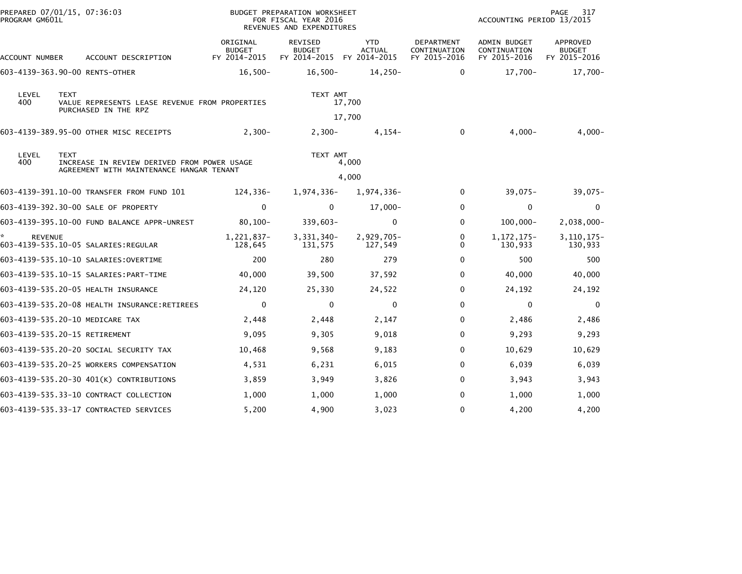| PREPARED 07/01/15, 07:36:03<br>PROGRAM GM601L |             |                                                                        | BUDGET PREPARATION WORKSHEET<br>FOR FISCAL YEAR 2016<br>REVENUES AND EXPENDITURES |                                                 |                                             |                                                   | PAGE<br>317<br>ACCOUNTING PERIOD 13/2015            |                                           |  |
|-----------------------------------------------|-------------|------------------------------------------------------------------------|-----------------------------------------------------------------------------------|-------------------------------------------------|---------------------------------------------|---------------------------------------------------|-----------------------------------------------------|-------------------------------------------|--|
| ACCOUNT NUMBER                                |             | ACCOUNT DESCRIPTION                                                    | ORIGINAL<br><b>BUDGET</b><br>FY 2014-2015                                         | <b>REVISED</b><br><b>BUDGET</b><br>FY 2014-2015 | <b>YTD</b><br><b>ACTUAL</b><br>FY 2014-2015 | <b>DEPARTMENT</b><br>CONTINUATION<br>FY 2015-2016 | <b>ADMIN BUDGET</b><br>CONTINUATION<br>FY 2015-2016 | APPROVED<br><b>BUDGET</b><br>FY 2015-2016 |  |
| 603-4139-363.90-00 RENTS-OTHER                |             |                                                                        | $16,500-$                                                                         | $16,500-$                                       | 14,250-                                     | $\Omega$                                          | 17,700-                                             | 17,700-                                   |  |
| LEVEL<br>400                                  | <b>TEXT</b> | VALUE REPRESENTS LEASE REVENUE FROM PROPERTIES<br>PURCHASED IN THE RPZ |                                                                                   | TEXT AMT                                        | 17,700<br>17,700                            |                                                   |                                                     |                                           |  |
|                                               |             | 603-4139-389.95-00 OTHER MISC RECEIPTS                                 | $2,300-$                                                                          | $2,300-$                                        | 4,154-                                      | $\mathbf{0}$                                      | $4,000-$                                            | $4,000-$                                  |  |
| LEVEL<br><b>TEXT</b><br>400                   |             | INCREASE IN REVIEW DERIVED FROM POWER USAGE                            |                                                                                   | TEXT AMT                                        | 4,000                                       |                                                   |                                                     |                                           |  |
|                                               |             | AGREEMENT WITH MAINTENANCE HANGAR TENANT                               |                                                                                   | 4,000                                           |                                             |                                                   |                                                     |                                           |  |
|                                               |             | 603-4139-391.10-00 TRANSFER FROM FUND 101                              | 124,336-                                                                          | 1,974,336-                                      | 1,974,336-                                  | $\Omega$                                          | $39,075-$                                           | $39,075 -$                                |  |
|                                               |             | 603-4139-392.30-00 SALE OF PROPERTY                                    | 0                                                                                 | $\Omega$                                        | $17,000 -$                                  | $\Omega$                                          | $\mathbf{0}$                                        | $\Omega$                                  |  |
|                                               |             | 603-4139-395.10-00 FUND BALANCE APPR-UNREST                            | $80,100 -$                                                                        | $339,603-$                                      | $\mathbf 0$                                 | $\Omega$                                          | $100,000 -$                                         | 2,038,000-                                |  |
| <b>REVENUE</b>                                |             | 603-4139-535.10-05 SALARIES:REGULAR                                    | 1,221,837-<br>128,645                                                             | 3,331,340-<br>131,575                           | 2,929,705-<br>127,549                       | 0<br>$\Omega$                                     | 1, 172, 175-<br>130,933                             | $3, 110, 175 -$<br>130,933                |  |
|                                               |             | 603-4139-535.10-10 SALARIES: OVERTIME                                  | 200                                                                               | 280                                             | 279                                         | 0                                                 | 500                                                 | 500                                       |  |
|                                               |             | 603-4139-535.10-15 SALARIES:PART-TIME                                  | 40,000                                                                            | 39,500                                          | 37,592                                      | 0                                                 | 40,000                                              | 40,000                                    |  |
|                                               |             | 603-4139-535.20-05 HEALTH INSURANCE                                    | 24,120                                                                            | 25,330                                          | 24,522                                      | 0                                                 | 24,192                                              | 24,192                                    |  |
|                                               |             |                                                                        | $\mathbf 0$                                                                       | $\mathbf{0}$                                    | $\mathbf 0$                                 | $\Omega$                                          | $\mathbf{0}$                                        | $\Omega$                                  |  |
|                                               |             | 603-4139-535.20-10 MEDICARE TAX                                        | 2,448                                                                             | 2,448                                           | 2,147                                       | 0                                                 | 2,486                                               | 2,486                                     |  |
| 603-4139-535.20-15 RETIREMENT                 |             |                                                                        | 9,095                                                                             | 9,305                                           | 9,018                                       | 0                                                 | 9,293                                               | 9,293                                     |  |
|                                               |             | 603-4139-535.20-20 SOCIAL SECURITY TAX                                 | 10,468                                                                            | 9,568                                           | 9,183                                       | $\Omega$                                          | 10,629                                              | 10,629                                    |  |
|                                               |             | 603-4139-535.20-25 WORKERS COMPENSATION                                | 4,531                                                                             | 6,231                                           | 6,015                                       | 0                                                 | 6,039                                               | 6,039                                     |  |
|                                               |             | 603-4139-535.20-30 401(K) CONTRIBUTIONS                                | 3,859                                                                             | 3,949                                           | 3,826                                       | $\Omega$                                          | 3,943                                               | 3,943                                     |  |
|                                               |             | 603-4139-535.33-10 CONTRACT COLLECTION                                 | 1,000                                                                             | 1,000                                           | 1,000                                       | $\Omega$                                          | 1,000                                               | 1,000                                     |  |
|                                               |             | 603-4139-535.33-17 CONTRACTED SERVICES                                 | 5,200                                                                             | 4,900                                           | 3,023                                       | $\Omega$                                          | 4,200                                               | 4,200                                     |  |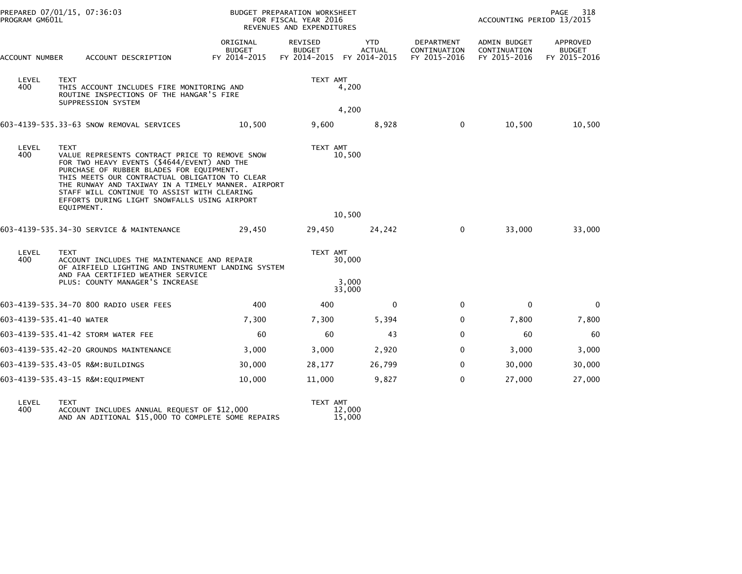| PREPARED 07/01/15, 07:36:03<br>PROGRAM GM601L                                                                                                                                                                                                                                                                                                                                   |                                                                                                                  |                                           | BUDGET PREPARATION WORKSHEET<br>FOR FISCAL YEAR 2016<br>REVENUES AND EXPENDITURES |                                             |                                            | PAGE<br>318<br>ACCOUNTING PERIOD 13/2015     |                                           |
|---------------------------------------------------------------------------------------------------------------------------------------------------------------------------------------------------------------------------------------------------------------------------------------------------------------------------------------------------------------------------------|------------------------------------------------------------------------------------------------------------------|-------------------------------------------|-----------------------------------------------------------------------------------|---------------------------------------------|--------------------------------------------|----------------------------------------------|-------------------------------------------|
| ACCOUNT NUMBER                                                                                                                                                                                                                                                                                                                                                                  | ACCOUNT DESCRIPTION                                                                                              | ORIGINAL<br><b>BUDGET</b><br>FY 2014-2015 | REVISED<br><b>BUDGET</b><br>FY 2014-2015                                          | <b>YTD</b><br><b>ACTUAL</b><br>FY 2014-2015 | DEPARTMENT<br>CONTINUATION<br>FY 2015-2016 | ADMIN BUDGET<br>CONTINUATION<br>FY 2015-2016 | APPROVED<br><b>BUDGET</b><br>FY 2015-2016 |
| LEVEL<br><b>TEXT</b><br>400<br>THIS ACCOUNT INCLUDES FIRE MONITORING AND<br>ROUTINE INSPECTIONS OF THE HANGAR'S FIRE<br>SUPPRESSION SYSTEM                                                                                                                                                                                                                                      |                                                                                                                  |                                           | TEXT AMT                                                                          | 4,200                                       |                                            |                                              |                                           |
|                                                                                                                                                                                                                                                                                                                                                                                 |                                                                                                                  |                                           |                                                                                   | 4,200                                       |                                            |                                              |                                           |
|                                                                                                                                                                                                                                                                                                                                                                                 | 603-4139-535.33-63 SNOW REMOVAL SERVICES                                                                         | 10,500                                    | 9,600                                                                             | 8,928                                       | $\mathbf{0}$                               | 10,500                                       | 10,500                                    |
| LEVEL<br><b>TEXT</b><br>400<br>VALUE REPRESENTS CONTRACT PRICE TO REMOVE SNOW<br>FOR TWO HEAVY EVENTS (\$4644/EVENT) AND THE<br>PURCHASE OF RUBBER BLADES FOR EQUIPMENT.<br>THIS MEETS OUR CONTRACTUAL OBLIGATION TO CLEAR<br>THE RUNWAY AND TAXIWAY IN A TIMELY MANNER. AIRPORT<br>STAFF WILL CONTINUE TO ASSIST WITH CLEARING<br>EFFORTS DURING LIGHT SNOWFALLS USING AIRPORT |                                                                                                                  |                                           | TEXT AMT                                                                          | 10,500                                      |                                            |                                              |                                           |
|                                                                                                                                                                                                                                                                                                                                                                                 | EQUIPMENT.                                                                                                       |                                           |                                                                                   | 10,500                                      |                                            |                                              |                                           |
|                                                                                                                                                                                                                                                                                                                                                                                 | 603-4139-535.34-30 SERVICE & MAINTENANCE                                                                         | 29,450                                    | 29,450                                                                            | 24,242                                      | $\Omega$                                   | 33,000                                       | 33,000                                    |
| LEVEL<br>400                                                                                                                                                                                                                                                                                                                                                                    | <b>TEXT</b><br>ACCOUNT INCLUDES THE MAINTENANCE AND REPAIR<br>OF AIRFIELD LIGHTING AND INSTRUMENT LANDING SYSTEM |                                           | TEXT AMT                                                                          | 30,000                                      |                                            |                                              |                                           |
|                                                                                                                                                                                                                                                                                                                                                                                 | AND FAA CERTIFIED WEATHER SERVICE<br>PLUS: COUNTY MANAGER'S INCREASE                                             | 3,000<br>33,000                           |                                                                                   |                                             |                                            |                                              |                                           |
|                                                                                                                                                                                                                                                                                                                                                                                 | 603-4139-535.34-70 800 RADIO USER FEES                                                                           | 400                                       | 400                                                                               | $\mathbf{0}$                                | $\mathbf{0}$                               | $\mathbf{0}$                                 | 0                                         |
|                                                                                                                                                                                                                                                                                                                                                                                 | 603-4139-535.41-40 WATER                                                                                         | 7,300                                     | 7,300                                                                             | 5,394                                       | $\Omega$                                   | 7,800                                        | 7,800                                     |
|                                                                                                                                                                                                                                                                                                                                                                                 | 603-4139-535.41-42 STORM WATER FEE                                                                               | 60                                        | 60                                                                                | 43                                          | 0                                          | 60                                           | 60                                        |
|                                                                                                                                                                                                                                                                                                                                                                                 | 603-4139-535.42-20 GROUNDS MAINTENANCE                                                                           | 3,000                                     | 3,000                                                                             | 2,920                                       | $\mathbf{0}$                               | 3,000                                        | 3,000                                     |
|                                                                                                                                                                                                                                                                                                                                                                                 | 603-4139-535.43-05 R&M:BUILDINGS                                                                                 | 30,000                                    | 28,177                                                                            | 26,799                                      | 0                                          | 30,000                                       | 30,000                                    |
|                                                                                                                                                                                                                                                                                                                                                                                 | 603-4139-535.43-15 R&M:EQUIPMENT                                                                                 | 10,000                                    | 11,000                                                                            | 9,827                                       | $\Omega$                                   | 27,000                                       | 27,000                                    |
|                                                                                                                                                                                                                                                                                                                                                                                 |                                                                                                                  |                                           |                                                                                   |                                             |                                            |                                              |                                           |

| LEVEL | <b>TFXT</b>                                        | TFXT AMT |
|-------|----------------------------------------------------|----------|
| 400   | ACCOUNT INCLUDES ANNUAL REQUEST OF \$12,000        | 12.000   |
|       | AND AN ADITIONAL \$15,000 TO COMPLETE SOME REPAIRS | 15.000   |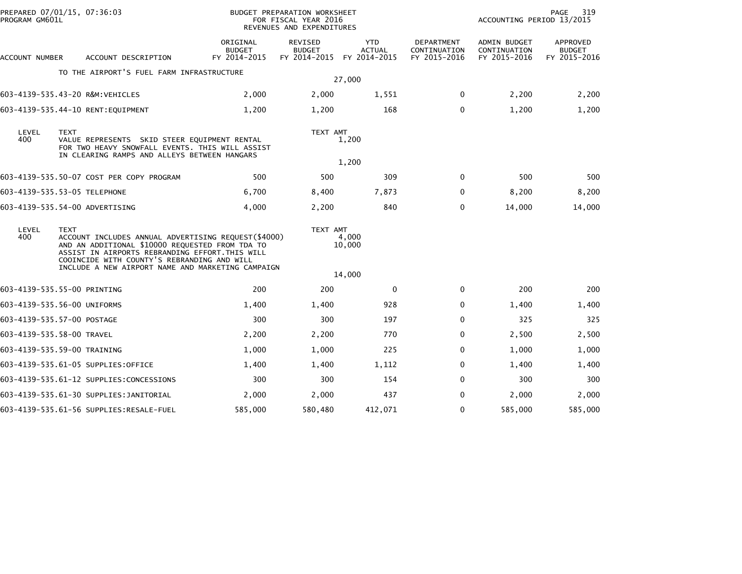| PREPARED 07/01/15, 07:36:03<br>PROGRAM GM601L |             |                                                                                                                                                                                                                                                               |                                           | BUDGET PREPARATION WORKSHEET<br>FOR FISCAL YEAR 2016<br>REVENUES AND EXPENDITURES |                                             |                                            | ACCOUNTING PERIOD 13/2015                    | 319<br>PAGE                               |
|-----------------------------------------------|-------------|---------------------------------------------------------------------------------------------------------------------------------------------------------------------------------------------------------------------------------------------------------------|-------------------------------------------|-----------------------------------------------------------------------------------|---------------------------------------------|--------------------------------------------|----------------------------------------------|-------------------------------------------|
| ACCOUNT NUMBER                                |             | ACCOUNT DESCRIPTION                                                                                                                                                                                                                                           | ORIGINAL<br><b>BUDGET</b><br>FY 2014-2015 | REVISED<br><b>BUDGET</b><br>FY 2014-2015                                          | <b>YTD</b><br><b>ACTUAL</b><br>FY 2014-2015 | DEPARTMENT<br>CONTINUATION<br>FY 2015-2016 | ADMIN BUDGET<br>CONTINUATION<br>FY 2015-2016 | APPROVED<br><b>BUDGET</b><br>FY 2015-2016 |
|                                               |             | TO THE AIRPORT'S FUEL FARM INFRASTRUCTURE                                                                                                                                                                                                                     |                                           |                                                                                   | 27,000                                      |                                            |                                              |                                           |
| 603-4139-535.43-20 R&M:VEHICLES               |             |                                                                                                                                                                                                                                                               | 2,000                                     | 2,000                                                                             | 1,551                                       | 0                                          | 2,200                                        | 2,200                                     |
|                                               |             | 603-4139-535.44-10 RENT:EQUIPMENT                                                                                                                                                                                                                             | 1,200                                     | 1,200                                                                             | 168                                         | $\Omega$                                   | 1,200                                        | 1,200                                     |
| LEVEL<br>400                                  | <b>TEXT</b> | VALUE REPRESENTS SKID STEER EQUIPMENT RENTAL<br>FOR TWO HEAVY SNOWFALL EVENTS. THIS WILL ASSIST<br>IN CLEARING RAMPS AND ALLEYS BETWEEN HANGARS                                                                                                               |                                           | TEXT AMT                                                                          | 1,200<br>1,200                              |                                            |                                              |                                           |
|                                               |             | 603-4139-535.50-07 COST PER COPY PROGRAM                                                                                                                                                                                                                      | 500                                       | 500                                                                               | 309                                         | $\Omega$                                   | 500                                          | 500                                       |
| 603-4139-535.53-05 TELEPHONE                  |             |                                                                                                                                                                                                                                                               | 6,700                                     | 8,400                                                                             | 7,873                                       | 0                                          | 8,200                                        | 8,200                                     |
| 603-4139-535.54-00 ADVERTISING                |             |                                                                                                                                                                                                                                                               | 4,000                                     | 2,200                                                                             | 840                                         | $\Omega$                                   | 14,000                                       | 14,000                                    |
| LEVEL<br>400                                  | <b>TEXT</b> | ACCOUNT INCLUDES ANNUAL ADVERTISING REQUEST(\$4000)<br>AND AN ADDITIONAL \$10000 REQUESTED FROM TDA TO<br>ASSIST IN AIRPORTS REBRANDING EFFORT. THIS WILL<br>COOINCIDE WITH COUNTY'S REBRANDING AND WILL<br>INCLUDE A NEW AIRPORT NAME AND MARKETING CAMPAIGN |                                           | TEXT AMT                                                                          | 4,000<br>10,000<br>14,000                   |                                            |                                              |                                           |
| 603-4139-535.55-00 PRINTING                   |             |                                                                                                                                                                                                                                                               | 200                                       | 200                                                                               | 0                                           | 0                                          | 200                                          | 200                                       |
| 603-4139-535.56-00 UNIFORMS                   |             |                                                                                                                                                                                                                                                               | 1,400                                     | 1,400                                                                             | 928                                         | $\Omega$                                   | 1,400                                        | 1,400                                     |
| 603-4139-535.57-00 POSTAGE                    |             |                                                                                                                                                                                                                                                               | 300                                       | 300                                                                               | 197                                         | $\Omega$                                   | 325                                          | 325                                       |
| 603-4139-535.58-00 TRAVEL                     |             |                                                                                                                                                                                                                                                               | 2,200                                     | 2,200                                                                             | 770                                         | 0                                          | 2,500                                        | 2,500                                     |
| 603-4139-535.59-00 TRAINING                   |             |                                                                                                                                                                                                                                                               | 1,000                                     | 1,000                                                                             | 225                                         | $\Omega$                                   | 1,000                                        | 1,000                                     |
|                                               |             | 603-4139-535.61-05 SUPPLIES:OFFICE                                                                                                                                                                                                                            | 1,400                                     | 1,400                                                                             | 1,112                                       | $\Omega$                                   | 1,400                                        | 1,400                                     |
|                                               |             | 603-4139-535.61-12 SUPPLIES:CONCESSIONS                                                                                                                                                                                                                       | 300                                       | 300                                                                               | 154                                         | $\Omega$                                   | 300                                          | 300                                       |
|                                               |             | 603-4139-535.61-30 SUPPLIES:JANITORIAL                                                                                                                                                                                                                        | 2,000                                     | 2,000                                                                             | 437                                         | $\Omega$                                   | 2,000                                        | 2,000                                     |
|                                               |             | 603-4139-535.61-56 SUPPLIES:RESALE-FUEL                                                                                                                                                                                                                       | 585,000                                   | 580,480                                                                           | 412,071                                     | 0                                          | 585,000                                      | 585,000                                   |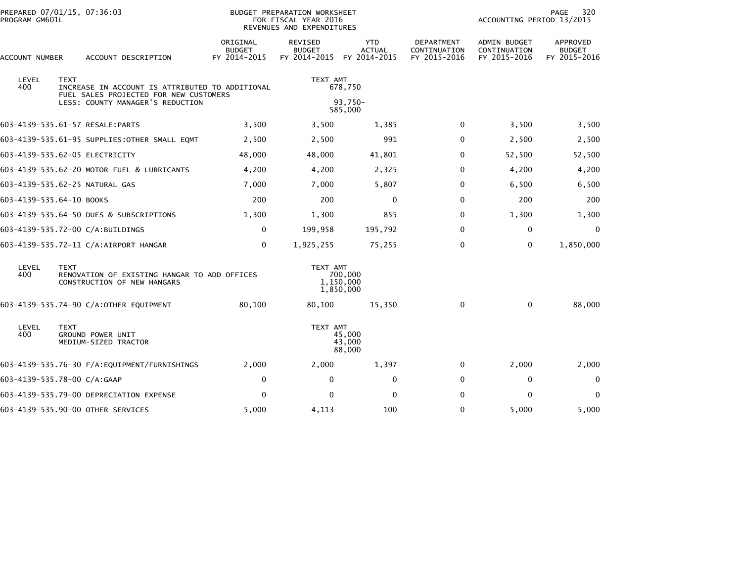| PROGRAM GM601L           | PREPARED 07/01/15, 07:36:03                                                                              | <b>BUDGET PREPARATION WORKSHEET</b><br>FOR FISCAL YEAR 2016<br>REVENUES AND EXPENDITURES |                                                 |                                             |                                                   | 320<br>PAGE<br>ACCOUNTING PERIOD 13/2015            |                                           |
|--------------------------|----------------------------------------------------------------------------------------------------------|------------------------------------------------------------------------------------------|-------------------------------------------------|---------------------------------------------|---------------------------------------------------|-----------------------------------------------------|-------------------------------------------|
| ACCOUNT NUMBER           | ACCOUNT DESCRIPTION                                                                                      | ORIGINAL<br><b>BUDGET</b><br>FY 2014-2015                                                | <b>REVISED</b><br><b>BUDGET</b><br>FY 2014-2015 | <b>YTD</b><br><b>ACTUAL</b><br>FY 2014-2015 | <b>DEPARTMENT</b><br>CONTINUATION<br>FY 2015-2016 | <b>ADMIN BUDGET</b><br>CONTINUATION<br>FY 2015-2016 | APPROVED<br><b>BUDGET</b><br>FY 2015-2016 |
| LEVEL<br>400             | <b>TEXT</b><br>INCREASE IN ACCOUNT IS ATTRIBUTED TO ADDITIONAL<br>FUEL SALES PROJECTED FOR NEW CUSTOMERS |                                                                                          | TEXT AMT<br>678,750                             |                                             |                                                   |                                                     |                                           |
|                          | LESS: COUNTY MANAGER'S REDUCTION                                                                         |                                                                                          | 93,750-<br>585,000                              |                                             |                                                   |                                                     |                                           |
|                          | 603-4139-535.61-57 RESALE:PARTS                                                                          | 3,500                                                                                    | 3,500                                           | 1,385                                       | 0                                                 | 3,500                                               | 3,500                                     |
|                          | 603-4139-535.61-95 SUPPLIES: OTHER SMALL EQMT                                                            | 2,500                                                                                    | 2,500                                           | 991                                         | 0                                                 | 2,500                                               | 2,500                                     |
|                          | 603-4139-535.62-05 ELECTRICITY                                                                           | 48,000                                                                                   | 48,000                                          | 41,801                                      | 0                                                 | 52,500                                              | 52,500                                    |
|                          | 603-4139-535.62-20 MOTOR FUEL & LUBRICANTS                                                               | 4,200                                                                                    | 4,200                                           | 2,325                                       | $\Omega$                                          | 4,200                                               | 4,200                                     |
|                          | 603-4139-535.62-25 NATURAL GAS                                                                           | 7,000                                                                                    | 7,000                                           | 5,807                                       | 0                                                 | 6,500                                               | 6,500                                     |
| 603-4139-535.64-10 BOOKS |                                                                                                          | 200                                                                                      | 200                                             | 0                                           | $\Omega$                                          | 200                                                 | 200                                       |
|                          | 603-4139-535.64-50 DUES & SUBSCRIPTIONS                                                                  | 1,300                                                                                    | 1,300                                           | 855                                         | $\Omega$                                          | 1,300                                               | 1,300                                     |
|                          | 603-4139-535.72-00 C/A:BUILDINGS                                                                         | 0                                                                                        | 199,958                                         | 195,792                                     | $\Omega$                                          | 0                                                   | 0                                         |
|                          | 603-4139-535.72-11 C/A:AIRPORT HANGAR                                                                    | $\mathbf 0$                                                                              | 1,925,255                                       | 75,255                                      | $\Omega$                                          | 0                                                   | 1,850,000                                 |
| LEVEL<br>400             | <b>TEXT</b><br>RENOVATION OF EXISTING HANGAR TO ADD OFFICES<br>CONSTRUCTION OF NEW HANGARS               |                                                                                          | TEXT AMT                                        | 700,000<br>1,150,000<br>1,850,000           |                                                   |                                                     |                                           |
|                          | 603-4139-535.74-90 C/A:OTHER EQUIPMENT                                                                   | 80.100                                                                                   | 80,100                                          | 15,350                                      | $\mathbf{0}$                                      | $\mathbf{0}$                                        | 88,000                                    |
| LEVEL<br>400             | <b>TEXT</b><br>GROUND POWER UNIT<br>MEDIUM-SIZED TRACTOR                                                 |                                                                                          | TEXT AMT                                        | 45,000<br>43,000<br>88,000                  |                                                   |                                                     |                                           |
|                          | 603-4139-535.76-30 F/A:EQUIPMENT/FURNISHINGS                                                             | 2,000                                                                                    | 2,000                                           | 1,397                                       | 0                                                 | 2,000                                               | 2,000                                     |
|                          | 603-4139-535.78-00 C/A:GAAP                                                                              | 0                                                                                        | $\mathbf{0}$                                    | 0                                           | $\mathbf{0}$                                      | 0                                                   | $\mathbf{0}$                              |
|                          | 603-4139-535.79-00 DEPRECIATION EXPENSE                                                                  | $\mathbf{0}$                                                                             | $\Omega$                                        | $\Omega$                                    | $\Omega$                                          | $\Omega$                                            | 0                                         |
|                          | 603-4139-535.90-00 OTHER SERVICES                                                                        | 5,000                                                                                    | 4,113                                           | 100                                         | 0                                                 | 5,000                                               | 5,000                                     |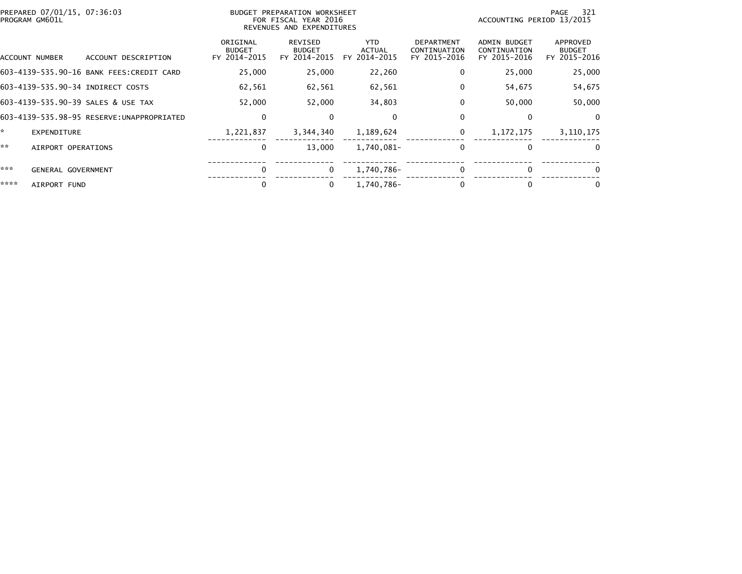| PREPARED 07/01/15, 07:36:03<br>PROGRAM GM601L |                                           | BUDGET PREPARATION WORKSHEET<br>FOR FISCAL YEAR 2016<br>REVENUES AND EXPENDITURES |                                             |                                                   |                                                     | 321<br>PAGE<br>ACCOUNTING PERIOD 13/2015  |  |  |
|-----------------------------------------------|-------------------------------------------|-----------------------------------------------------------------------------------|---------------------------------------------|---------------------------------------------------|-----------------------------------------------------|-------------------------------------------|--|--|
| ACCOUNT DESCRIPTION<br>ACCOUNT NUMBER         | ORIGINAL<br><b>BUDGET</b><br>FY 2014-2015 | REVISED<br><b>BUDGET</b><br>FY 2014-2015                                          | <b>YTD</b><br><b>ACTUAL</b><br>FY 2014-2015 | <b>DEPARTMENT</b><br>CONTINUATION<br>FY 2015-2016 | <b>ADMIN BUDGET</b><br>CONTINUATION<br>FY 2015-2016 | APPROVED<br><b>BUDGET</b><br>FY 2015-2016 |  |  |
| 603-4139-535.90-16 BANK FEES:CREDIT CARD      | 25,000                                    | 25,000                                                                            | 22,260                                      | 0                                                 | 25,000                                              | 25,000                                    |  |  |
| 603-4139-535.90-34 INDIRECT COSTS             | 62,561                                    | 62,561                                                                            | 62,561                                      | 0                                                 | 54,675                                              | 54,675                                    |  |  |
| 603-4139-535.90-39 SALES & USE TAX            | 52,000                                    | 52,000                                                                            | 34,803                                      | $\Omega$                                          | 50,000                                              | 50,000                                    |  |  |
|                                               | $\mathbf 0$                               | $\bf{0}$                                                                          | $\mathbf{0}$                                | 0                                                 |                                                     | 0                                         |  |  |
| *.<br>EXPENDITURE                             | 1,221,837                                 | 3,344,340                                                                         | 1,189,624                                   | 0                                                 | 1, 172, 175                                         | 3,110,175                                 |  |  |
| **<br>AIRPORT OPERATIONS                      | 0                                         | 13,000                                                                            | 1,740,081-                                  | $\bf{0}$                                          | 0                                                   | $\bf{0}$                                  |  |  |
| ***<br>GENERAL GOVERNMENT                     | $\Omega$                                  | $\Omega$                                                                          | 1,740,786-                                  | 0                                                 | $\Omega$                                            | 0                                         |  |  |
| ****<br>AIRPORT FUND                          | 0                                         | 0                                                                                 | 1,740,786-                                  | 0                                                 |                                                     | 0                                         |  |  |